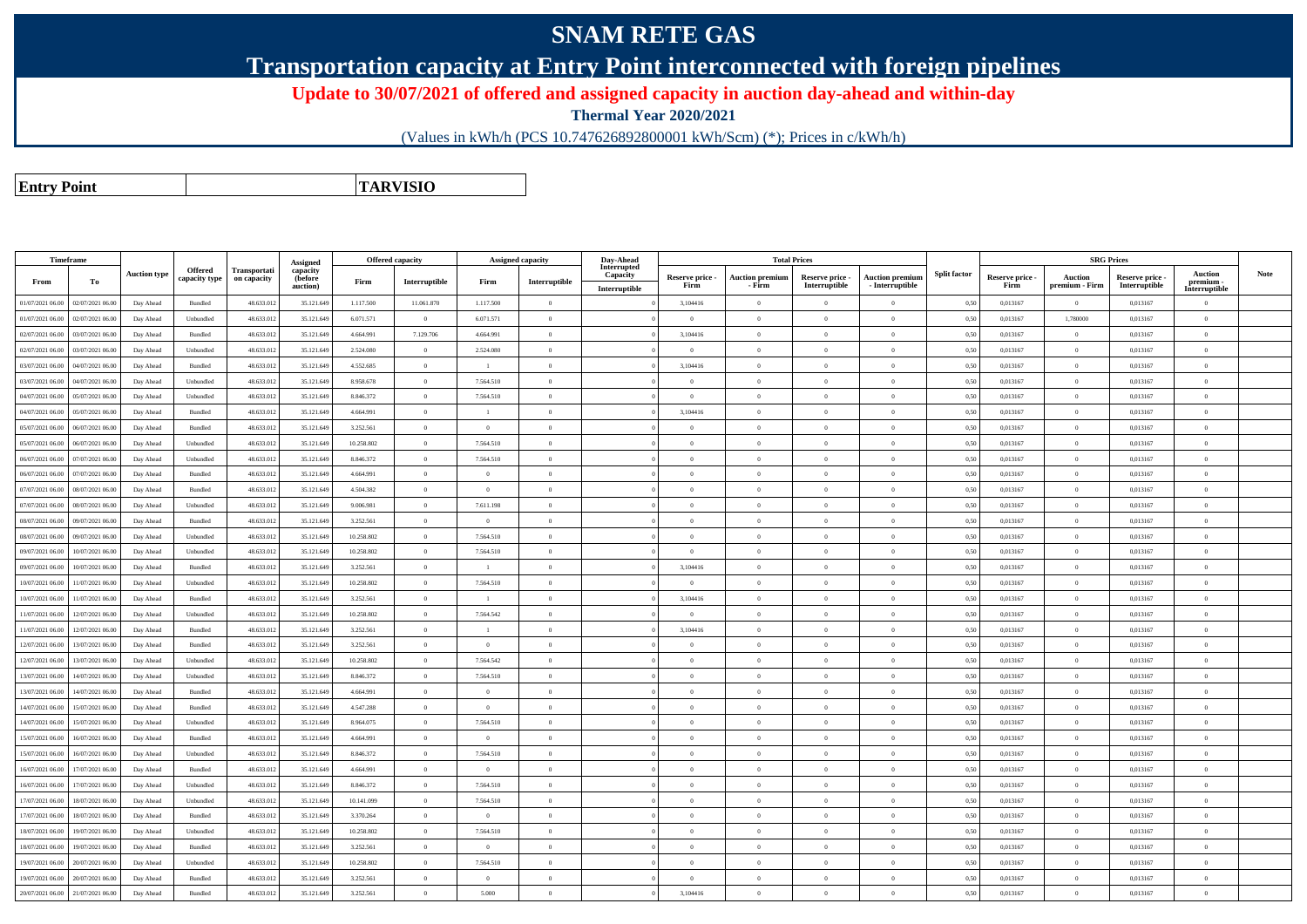## **SNAM RETE GAS**

**Transportation capacity at Entry Point interconnected with foreign pipelines**

**Update to 30/07/2021 of offered and assigned capacity in auction day-ahead and within-day**

**Thermal Year 2020/2021**

(Values in kWh/h (PCS 10.747626892800001 kWh/Scm) (\*); Prices in c/kWh/h)

**Entry PointTARVISIO**

| Timeframe        |                  |                     |                |              |                      |            | Offered capacity | Assigned capacity |                | Day-Ahead               |                         |                                  | <b>Total Prices</b>              |                                           |                     |                         | <b>SRG Prices</b>                |                                  |                          |             |
|------------------|------------------|---------------------|----------------|--------------|----------------------|------------|------------------|-------------------|----------------|-------------------------|-------------------------|----------------------------------|----------------------------------|-------------------------------------------|---------------------|-------------------------|----------------------------------|----------------------------------|--------------------------|-------------|
|                  |                  | <b>Auction type</b> | <b>Offered</b> | Transportati | Assigned<br>capacity |            |                  |                   |                | Interrupted<br>Capacity |                         |                                  |                                  |                                           | <b>Split factor</b> |                         |                                  |                                  | <b>Auction</b>           | <b>Note</b> |
| From             | To               |                     | capacity type  | on capacity  | (before<br>auction)  | Firm       | Interruptible    | Firm              | Interruptible  | Interruptible           | Reserve price -<br>Firm | <b>Auction premium</b><br>- Firm | Reserve price -<br>Interruptible | <b>Auction premium</b><br>- Interruptible |                     | Reserve price -<br>Firm | <b>Auction</b><br>premium - Firm | Reserve price -<br>Interruptible | premium<br>Interruptible |             |
| 01/07/2021 06:00 | 02/07/2021 06:00 | Day Ahead           | Bundled        | 48.633.012   | 35.121.64            | 1.117.500  | 11.061.870       | 1.117.500         | $\overline{0}$ |                         | 3,104416                | $\overline{0}$                   |                                  | $\overline{0}$                            | 0,50                | 0,013167                | $\overline{0}$                   | 0,013167                         | $\bf{0}$                 |             |
| 01/07/2021 06:00 | 02/07/2021 06:00 | Day Ahead           | Unbundled      | 48.633.012   | 35.121.649           | 6.071.571  | $\overline{0}$   | 6.071.571         | $\overline{0}$ |                         | $\overline{0}$          | $\overline{0}$                   | $\overline{0}$                   | $\overline{0}$                            | 0,50                | 0,013167                | 1,780000                         | 0,013167                         | $\bf{0}$                 |             |
| 02/07/2021 06:00 | 03/07/2021 06:00 | Day Ahead           | Bundled        | 48.633.012   | 35.121.649           | 4.664.991  | 7.129.706        | 4.664.991         | $\Omega$       |                         | 3,104416                | $\Omega$                         |                                  | $\overline{0}$                            | 0,50                | 0,013167                | $\mathbf{0}$                     | 0,013167                         | $\theta$                 |             |
| 02/07/2021 06:00 | 03/07/2021 06:00 | Day Ahead           | Unbundled      | 48.633.012   | 35.121.649           | 2.524.080  | $\overline{0}$   | 2.524.080         | $\overline{0}$ |                         | $\overline{0}$          | $\overline{0}$                   | $\overline{0}$                   | $\overline{0}$                            | 0,50                | 0,013167                | $\overline{0}$                   | 0,013167                         | $\overline{0}$           |             |
| 03/07/2021 06:00 | 04/07/2021 06:00 | Day Ahead           | Bundled        | 48.633.01    | 35.121.649           | 4.552.685  | $\overline{0}$   |                   | $\Omega$       |                         | 3,104416                | $\Omega$                         |                                  | $\theta$                                  | 0,50                | 0,013167                | $\overline{0}$                   | 0,013167                         | $\theta$                 |             |
| 03/07/2021 06:00 | 04/07/2021 06:00 | Day Ahead           | Unbundled      | 48.633.012   | 35.121.649           | 8.958.678  | $\overline{0}$   | 7.564.510         | $\overline{0}$ |                         | $\overline{0}$          | $\overline{0}$                   | $\theta$                         | $\overline{0}$                            | 0,50                | 0,013167                | $\theta$                         | 0,013167                         | $\bf{0}$                 |             |
| 04/07/2021 06:00 | 05/07/2021 06:00 | Day Ahead           | Unbundled      | 48.633.01    | 35.121.649           | 8.846.372  | $\overline{0}$   | 7.564.510         | $\overline{0}$ |                         | $\Omega$                | $\Omega$                         |                                  | $\overline{0}$                            | 0,50                | 0,013167                | $\mathbf{0}$                     | 0,013167                         | $\Omega$                 |             |
| 04/07/2021 06:00 | 05/07/2021 06:00 | Day Ahead           | Bundled        | 48.633.012   | 35.121.649           | 4.664.991  | $\overline{0}$   | $\overline{1}$    | $\overline{0}$ |                         | 3,104416                | $\overline{0}$                   | $\theta$                         | $\overline{0}$                            | 0.50                | 0.013167                | $\overline{0}$                   | 0.013167                         | $\mathbf{0}$             |             |
| 05/07/2021 06:00 | 06/07/2021 06:00 | Day Ahead           | <b>Bundled</b> | 48.633.012   | 35.121.649           | 3.252.561  | $\theta$         | $\Omega$          | $\Omega$       |                         | $\Omega$                | $\theta$                         | $\Omega$                         | $\theta$                                  | 0.50                | 0.013167                | $\Omega$                         | 0.013167                         | $\theta$                 |             |
| 05/07/2021 06:00 | 06/07/2021 06:00 | Day Ahead           | Unbundled      | 48.633.012   | 35.121.649           | 10.258.802 | $\overline{0}$   | 7.564.510         | $\overline{0}$ |                         | $\overline{0}$          | $\overline{0}$                   | $\Omega$                         | $\overline{0}$                            | 0.50                | 0.013167                | $\theta$                         | 0.013167                         | $\mathbf{0}$             |             |
| 06/07/2021 06:00 | 07/07/2021 06:00 | Day Ahead           | Unbundled      | 48.633.012   | 35.121.649           | 8.846.372  | $\overline{0}$   | 7.564.510         | $\theta$       |                         | $\theta$                | $\overline{0}$                   | $\Omega$                         | $\overline{0}$                            | 0,50                | 0.013167                | $\theta$                         | 0.013167                         | $\theta$                 |             |
| 06/07/2021 06:00 | 07/07/2021 06:00 | Day Ahead           | Bundled        | 48.633.012   | 35.121.649           | 4 664 991  | $\theta$         | $\Omega$          | $\overline{0}$ |                         | $\theta$                | $\theta$                         | $\Omega$                         | $\theta$                                  | 0.50                | 0.013167                | $\mathbf{0}$                     | 0.013167                         | $\theta$                 |             |
| 07/07/2021 06:00 | 08/07/2021 06:00 | Day Ahead           | Bundled        | 48.633.012   | 35.121.649           | 4.504.382  | $\overline{0}$   | $\theta$          | $\overline{0}$ |                         | $\theta$                | $\overline{0}$                   | $\Omega$                         | $\overline{0}$                            | 0,50                | 0,013167                | $\mathbf{0}$                     | 0,013167                         | $\theta$                 |             |
| 07/07/2021 06:00 | 08/07/2021 06:00 | Day Ahead           | Unbundled      | 48.633.012   | 35.121.649           | 9.006.981  | $\overline{0}$   | 7.611.198         | $\theta$       |                         | $\theta$                | $\theta$                         | $\Omega$                         | $\theta$                                  | 0.50                | 0.013167                | $\mathbf{0}$                     | 0.013167                         | $\theta$                 |             |
| 08/07/2021 06:00 | 09/07/2021 06:00 | Day Ahead           | Bundled        | 48.633.012   | 35.121.649           | 3.252.561  | $\,$ 0 $\,$      | $\Omega$          | $\overline{0}$ |                         | $\overline{0}$          | $\overline{0}$                   | $\Omega$                         | $\,$ 0                                    | 0,50                | 0,013167                | $\,$ 0 $\,$                      | 0,013167                         | $\overline{0}$           |             |
| 08/07/2021 06:00 | 09/07/2021 06.00 | Day Ahead           | Unbundled      | 48.633.01    | 35.121.649           | 10.258.802 | $\overline{0}$   | 7.564.510         | $\overline{0}$ |                         | $\overline{0}$          | $\theta$                         | $\Omega$                         | $\overline{0}$                            | 0,50                | 0,013167                | $\mathbf{0}$                     | 0,013167                         | $\overline{0}$           |             |
| 09/07/2021 06:00 | 10/07/2021 06:00 | Day Ahead           | Unbundled      | 48.633.012   | 35.121.649           | 10.258.802 | $\overline{0}$   | 7.564.510         | $\overline{0}$ |                         | $\Omega$                | $\overline{0}$                   | $\Omega$                         | $\theta$                                  | 0,50                | 0,013167                | $\mathbf{0}$                     | 0,013167                         | $\theta$                 |             |
| 09/07/2021 06:00 | 10/07/2021 06:00 | Day Ahead           | Bundled        | 48.633.01    | 35.121.649           | 3.252.561  | $\overline{0}$   | $\overline{1}$    | $\overline{0}$ |                         | 3,104416                | $\overline{0}$                   | $\Omega$                         | $\overline{0}$                            | 0,50                | 0,013167                | $\mathbf{0}$                     | 0,013167                         | $\overline{0}$           |             |
| 10/07/2021 06:00 | 11/07/2021 06.0  | Day Ahead           | Unbundled      | 48.633.012   | 35.121.649           | 10.258.802 | $\overline{0}$   | 7.564.510         | $\overline{0}$ |                         | $\overline{0}$          | $\overline{0}$                   | $\overline{0}$                   | $\overline{0}$                            | 0,50                | 0,013167                | $\,$ 0 $\,$                      | 0,013167                         | $\overline{0}$           |             |
| 10/07/2021 06:00 | 1/07/2021 06.0   | Day Ahead           | Bundled        | 48.633.01    | 35.121.649           | 3.252.561  | $\overline{0}$   | $\overline{1}$    | $\overline{0}$ |                         | 3,104416                | $\theta$                         | $\Omega$                         | $\overline{0}$                            | 0,50                | 0,013167                | $\overline{0}$                   | 0,013167                         | $\overline{0}$           |             |
| 11/07/2021 06:00 | 12/07/2021 06:00 | Day Ahead           | Unbundled      | 48.633.012   | 35.121.649           | 10.258.802 | $\overline{0}$   | 7.564.542         | $\overline{0}$ |                         | $\overline{0}$          | $\overline{0}$                   | $\overline{0}$                   | $\overline{0}$                            | 0,50                | 0,013167                | $\mathbf{0}$                     | 0,013167                         | $\theta$                 |             |
| 11/07/2021 06:00 | 12/07/2021 06:00 | Day Ahead           | Bundled        | 48.633.01    | 35.121.649           | 3.252.561  | $\theta$         |                   | $\Omega$       |                         | 3,104416                | $\Omega$                         |                                  | $\theta$                                  | 0,50                | 0,013167                | $\Omega$                         | 0,013167                         | $\theta$                 |             |
| 12/07/2021 06:00 | 13/07/2021 06:00 | Day Ahead           | Bundled        | 48.633.012   | 35.121.649           | 3.252.561  | $\overline{0}$   | $\overline{0}$    | $\overline{0}$ |                         | $\overline{0}$          | $\overline{0}$                   | $\overline{0}$                   | $\overline{0}$                            | 0,50                | 0,013167                | $\,$ 0 $\,$                      | 0,013167                         | $\overline{0}$           |             |
| 12/07/2021 06:00 | 13/07/2021 06:00 | Day Ahead           | Unbundled      | 48.633.012   | 35.121.649           | 10.258.802 | $\theta$         | 7.564.542         | $\Omega$       |                         | $\overline{0}$          | $\Omega$                         |                                  | $\overline{0}$                            | 0,50                | 0,013167                | $\overline{0}$                   | 0,013167                         | $\Omega$                 |             |
| 13/07/2021 06:00 | 14/07/2021 06:00 | Day Ahead           | Unbundled      | 48.633.012   | 35.121.649           | 8.846.372  | $\theta$         | 7.564.510         | $\overline{0}$ |                         | $\overline{0}$          | $\mathbf{0}$                     | $\Omega$                         | $\overline{0}$                            | 0.50                | 0.013167                | $\overline{0}$                   | 0.013167                         | $\overline{0}$           |             |
| 13/07/2021 06:00 | 14/07/2021 06:00 | Day Ahead           | Bundled        | 48.633.012   | 35.121.649           | 4.664.991  | $\theta$         |                   | $\Omega$       |                         | $\Omega$                | $\theta$                         |                                  | $\theta$                                  | 0,50                | 0,013167                | $\overline{0}$                   | 0,013167                         | $\theta$                 |             |
| 14/07/2021 06:00 | 15/07/2021 06:00 | Day Ahead           | Bundled        | 48.633.012   | 35.121.649           | 4.547.288  | $\theta$         | $\Omega$          | $\overline{0}$ |                         | $\overline{0}$          | $\overline{0}$                   | $\theta$                         | $\overline{0}$                            | 0.50                | 0.013167                | $\mathbf{0}$                     | 0.013167                         | $\overline{0}$           |             |
| 14/07/2021 06:00 | 15/07/2021 06:00 | Day Ahead           | Unbundled      | 48.633.012   | 35.121.649           | 8.964.075  | $\overline{0}$   | 7.564.510         | $\theta$       |                         | $\theta$                | $\overline{0}$                   | $\Omega$                         | $\Omega$                                  | 0.50                | 0.013167                | $\theta$                         | 0.013167                         | $\theta$                 |             |
| 15/07/2021 06:00 | 16/07/2021 06:00 | Day Ahead           | Bundled        | 48.633.012   | 35.121.649           | 4.664.991  | $\Omega$         | $\Omega$          | $\Omega$       |                         | $\theta$                | $\theta$                         | $\theta$                         | $\Omega$                                  | 0.50                | 0.013167                | $\Omega$                         | 0.013167                         | $\theta$                 |             |
| 15/07/2021 06:00 | 16/07/2021 06:00 | Day Ahead           | Unbundled      | 48.633.012   | 35.121.649           | 8.846.372  | $\Omega$         | 7.564.510         | $\theta$       |                         | $\theta$                | $\theta$                         | $\Omega$                         | $\theta$                                  | 0.50                | 0.013167                | $\Omega$                         | 0.013167                         | $\theta$                 |             |
| 16/07/2021 06:00 | 17/07/2021 06:00 | Day Ahead           | Bundled        | 48.633.012   | 35.121.649           | 4.664.991  | $\,$ 0 $\,$      | $\Omega$          | $\overline{0}$ |                         | $\overline{0}$          | $\overline{0}$                   | $\Omega$                         | $\overline{0}$                            | 0,50                | 0,013167                | $\,$ 0 $\,$                      | 0,013167                         | $\bf{0}$                 |             |
| 16/07/2021 06:00 | 17/07/2021 06:00 | Day Ahead           | Unbundled      | 48.633.012   | 35.121.649           | 8.846.372  | $\overline{0}$   | 7.564.510         | $\overline{0}$ |                         | $\overline{0}$          | $\overline{0}$                   | $\Omega$                         | $\theta$                                  | 0.50                | 0.013167                | $\theta$                         | 0.013167                         | $\theta$                 |             |
| 17/07/2021 06:00 | 18/07/2021 06:00 | Day Ahead           | Unbundled      | 48.633.01    | 35.121.649           | 10.141.099 | $\,$ 0 $\,$      | 7.564.510         | $\overline{0}$ |                         | $\overline{0}$          | $\overline{0}$                   | $\Omega$                         | $\overline{0}$                            | 0,50                | 0,013167                | $\,$ 0 $\,$                      | 0,013167                         | $\bf{0}$                 |             |
| 17/07/2021 06:00 | 18/07/2021 06:00 | Day Ahead           | Bundled        | 48.633.012   | 35.121.649           | 3.370.264  | $\overline{0}$   | $\Omega$          | $\overline{0}$ |                         | $\theta$                | $\overline{0}$                   | $\Omega$                         | $\overline{0}$                            | 0,50                | 0,013167                | $\mathbf{0}$                     | 0,013167                         | $\overline{0}$           |             |
| 18/07/2021 06:00 | 19/07/2021 06:00 | Day Ahead           | Unbundled      | 48.633.012   | 35.121.649           | 10.258.802 | $\theta$         | 7.564.510         | $\theta$       |                         | $\overline{0}$          | $\overline{0}$                   | $\Omega$                         | $\overline{0}$                            | 0,50                | 0.013167                | $\mathbf{0}$                     | 0,013167                         | $\theta$                 |             |
| 18/07/2021 06:00 | 19/07/2021 06:00 | Day Ahead           | Bundled        | 48.633.012   | 35.121.649           | 3.252.561  | $\,$ 0 $\,$      | $\theta$          | $\overline{0}$ |                         | $\overline{0}$          | $\overline{0}$                   | $\overline{0}$                   | $\,$ 0                                    | 0.50                | 0,013167                | $\,$ 0 $\,$                      | 0,013167                         | $\overline{0}$           |             |
| 19/07/2021 06:00 | 20/07/2021 06.0  | Day Ahead           | Unbundled      | 48.633.01    | 35.121.64            | 10.258.802 | $\overline{0}$   | 7.564.510         | $\overline{0}$ |                         | $\overline{0}$          | $\theta$                         | $\Omega$                         | $\overline{0}$                            | 0,50                | 0,013167                | $\overline{0}$                   | 0,013167                         | $\overline{0}$           |             |
| 19/07/2021 06:00 | 20/07/2021 06:00 | Day Ahead           | Bundled        | 48.633.012   | 35.121.649           | 3.252.561  | $\overline{0}$   | $\Omega$          | $\overline{0}$ |                         | $\overline{0}$          | $\overline{0}$                   | $\overline{0}$                   | $\bf{0}$                                  | 0.50                | 0,013167                | $\overline{0}$                   | 0.013167                         | $\bf{0}$                 |             |
| 20/07/2021 06:00 | 21/07/2021 06.00 | Day Ahead           | Bundled        | 48.633.012   | 35.121.649           | 3.252.561  | $\theta$         | 5.000             | $\overline{0}$ |                         | 3,104416                | $\theta$                         |                                  | $\Omega$                                  | 0,50                | 0,013167                | $\overline{0}$                   | 0,013167                         | $\bf{0}$                 |             |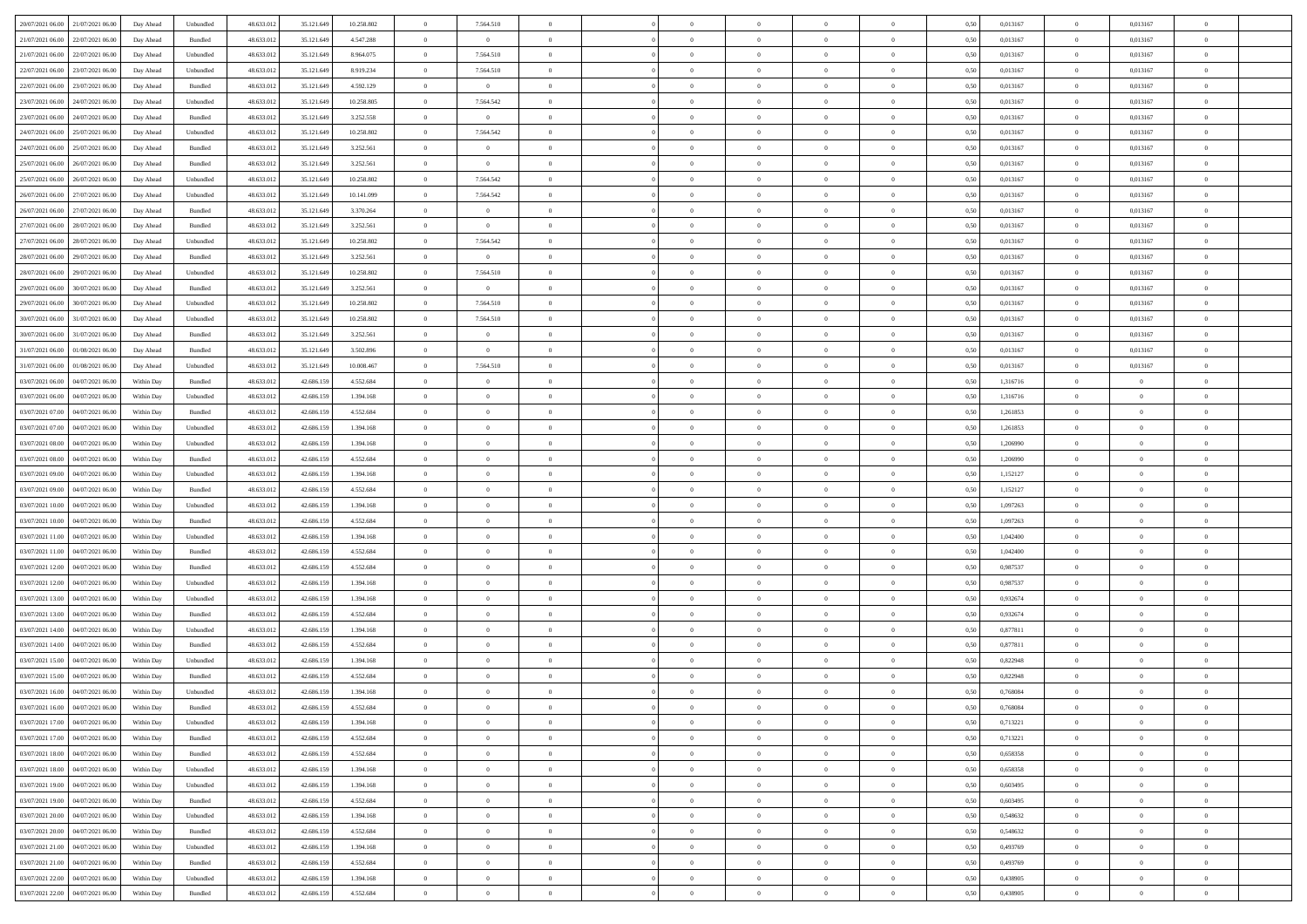| 20/07/2021 06:00 21/07/2021 06:00                                | Day Ahead  | Unbundled | 48.633.01  | 35.121.649 | 10.258.802 | $\overline{0}$ | 7.564.510      |                | $\overline{0}$ | $\theta$       |                | $\theta$       | 0,50 | 0,013167 | $\theta$       | 0,013167       | $\overline{0}$ |  |
|------------------------------------------------------------------|------------|-----------|------------|------------|------------|----------------|----------------|----------------|----------------|----------------|----------------|----------------|------|----------|----------------|----------------|----------------|--|
| 21/07/2021 06:00<br>22/07/2021 06:00                             | Day Ahead  | Bundled   | 48.633.01  | 35.121.649 | 4.547.288  | $\bf{0}$       | $\bf{0}$       | $\bf{0}$       | $\overline{0}$ | $\overline{0}$ | $\overline{0}$ | $\bf{0}$       | 0,50 | 0,013167 | $\,$ 0 $\,$    | 0,013167       | $\overline{0}$ |  |
| 21/07/2021 06:00<br>22/07/2021 06:00                             | Day Ahead  | Unbundled | 48.633.013 | 35.121.649 | 8.964.075  | $\overline{0}$ | 7.564.510      | $\overline{0}$ | $\bf{0}$       | $\bf{0}$       | $\overline{0}$ | $\bf{0}$       | 0.50 | 0.013167 | $\bf{0}$       | 0.013167       | $\overline{0}$ |  |
| 22/07/2021 06:00<br>23/07/2021 06:00                             | Day Ahead  | Unbundled | 48.633.013 | 35.121.649 | 8.919.234  | $\overline{0}$ | 7.564.510      | $\overline{0}$ | $\theta$       | $\theta$       | $\overline{0}$ | $\overline{0}$ | 0,50 | 0,013167 | $\,$ 0 $\,$    | 0,013167       | $\overline{0}$ |  |
| 22/07/2021 06:00<br>23/07/2021 06.00                             | Day Ahead  | Bundled   | 48.633.01  | 35.121.649 | 4.592.129  | $\bf{0}$       | $\overline{0}$ | $\bf{0}$       | $\overline{0}$ | $\theta$       | $\overline{0}$ | $\bf{0}$       | 0,50 | 0,013167 | $\,$ 0 $\,$    | 0,013167       | $\overline{0}$ |  |
|                                                                  |            |           |            |            |            |                |                |                |                |                | $\theta$       |                |      |          |                |                |                |  |
| 23/07/2021 06:00<br>24/07/2021 06:00                             | Day Ahead  | Unbundled | 48.633.013 | 35.121.649 | 10.258.805 | $\overline{0}$ | 7.564.542      | $\overline{0}$ | $\bf{0}$       | $\overline{0}$ |                | $\bf{0}$       | 0.50 | 0.013167 | $\bf{0}$       | 0.013167       | $\overline{0}$ |  |
| 23/07/2021 06:00<br>24/07/2021 06:00                             | Day Ahead  | Bundled   | 48.633.013 | 35.121.649 | 3.252.558  | $\overline{0}$ | $\overline{0}$ | $\overline{0}$ | $\overline{0}$ | $\theta$       | $\overline{0}$ | $\bf{0}$       | 0,50 | 0,013167 | $\,$ 0 $\,$    | 0,013167       | $\overline{0}$ |  |
| 24/07/2021 06:00<br>25/07/2021 06.00                             | Day Ahead  | Unbundled | 48.633.01  | 35.121.649 | 10.258.802 | $\bf{0}$       | 7.564.542      | $\bf{0}$       | $\overline{0}$ | $\theta$       | $\overline{0}$ | $\bf{0}$       | 0,50 | 0,013167 | $\,$ 0 $\,$    | 0,013167       | $\overline{0}$ |  |
| 24/07/2021 06:00<br>25/07/2021 06:00                             | Day Ahead  | Bundled   | 48.633.013 | 35.121.649 | 3.252.561  | $\overline{0}$ | $\overline{0}$ | $\overline{0}$ | $\bf{0}$       | $\overline{0}$ | $\overline{0}$ | $\bf{0}$       | 0.50 | 0.013167 | $\bf{0}$       | 0.013167       | $\overline{0}$ |  |
| 25/07/2021 06:00<br>26/07/2021 06:00                             | Day Ahead  | Bundled   | 48.633.012 | 35.121.649 | 3.252.561  | $\overline{0}$ | $\bf{0}$       | $\overline{0}$ | $\overline{0}$ | $\theta$       | $\overline{0}$ | $\bf{0}$       | 0,50 | 0,013167 | $\bf{0}$       | 0,013167       | $\overline{0}$ |  |
| 25/07/2021 06:00<br>26/07/2021 06.00                             | Day Ahead  | Unbundled | 48.633.01  | 35.121.649 | 10.258.802 | $\bf{0}$       | 7.564.542      | $\bf{0}$       | $\overline{0}$ | $\bf{0}$       | $\overline{0}$ | $\bf{0}$       | 0,50 | 0,013167 | $\,$ 0 $\,$    | 0,013167       | $\overline{0}$ |  |
| 26/07/2021 06:00<br>27/07/2021 06:00                             | Day Ahead  | Unbundled | 48.633.013 | 35.121.649 | 10.141.099 | $\overline{0}$ | 7.564.542      | $\overline{0}$ | $\bf{0}$       | $\bf{0}$       | $\overline{0}$ | $\bf{0}$       | 0.50 | 0.013167 | $\overline{0}$ | 0.013167       | $\overline{0}$ |  |
| 26/07/2021 06:00<br>27/07/2021 06:00                             | Day Ahead  | Bundled   | 48.633.01  | 35.121.649 | 3.370.264  | $\overline{0}$ | $\overline{0}$ | $\overline{0}$ | $\theta$       | $\theta$       | $\overline{0}$ | $\overline{0}$ | 0,50 | 0,013167 | $\,$ 0 $\,$    | 0,013167       | $\overline{0}$ |  |
|                                                                  |            |           |            |            |            |                |                |                |                |                |                |                |      |          |                |                |                |  |
| 27/07/2021 06:00<br>28/07/2021 06:00                             | Day Ahead  | Bundled   | 48.633.01  | 35.121.649 | 3.252.561  | $\bf{0}$       | $\bf{0}$       | $\bf{0}$       | $\overline{0}$ | $\theta$       | $\overline{0}$ | $\bf{0}$       | 0,50 | 0,013167 | $\,$ 0 $\,$    | 0,013167       | $\overline{0}$ |  |
| 27/07/2021 06:00<br>28/07/2021 06:00                             | Day Ahead  | Unbundled | 48.633.013 | 35.121.649 | 10.258.802 | $\overline{0}$ | 7.564.542      | $\overline{0}$ | $\bf{0}$       | $\overline{0}$ | $\Omega$       | $\bf{0}$       | 0.50 | 0.013167 | $\bf{0}$       | 0.013167       | $\overline{0}$ |  |
| 28/07/2021 06:00<br>29/07/2021 06:00                             | Day Ahead  | Bundled   | 48.633.013 | 35.121.649 | 3.252.561  | $\overline{0}$ | $\overline{0}$ | $\overline{0}$ | $\overline{0}$ | $\overline{0}$ | $\overline{0}$ | $\bf{0}$       | 0,50 | 0,013167 | $\bf{0}$       | 0,013167       | $\overline{0}$ |  |
| 28/07/2021 06:00<br>29/07/2021 06.00                             | Day Ahead  | Unbundled | 48.633.01  | 35.121.649 | 10.258.802 | $\bf{0}$       | 7.564.510      | $\bf{0}$       | $\overline{0}$ | $\bf{0}$       | $\overline{0}$ | $\bf{0}$       | 0,50 | 0,013167 | $\,$ 0 $\,$    | 0,013167       | $\overline{0}$ |  |
| 29/07/2021 06:00<br>30/07/2021 06:00                             | Day Ahead  | Bundled   | 48.633.013 | 35.121.649 | 3.252.561  | $\overline{0}$ | $\overline{0}$ | $\overline{0}$ | $\bf{0}$       | $\overline{0}$ | $\overline{0}$ | $\bf{0}$       | 0.50 | 0.013167 | $\bf{0}$       | 0.013167       | $\overline{0}$ |  |
| 29/07/2021 06:00<br>30/07/2021 06:00                             | Day Ahead  | Unbundled | 48.633.013 | 35.121.649 | 10.258.802 | $\overline{0}$ | 7.564.510      | $\overline{0}$ | $\overline{0}$ | $\overline{0}$ | $\overline{0}$ | $\bf{0}$       | 0,50 | 0,013167 | $\,$ 0 $\,$    | 0,013167       | $\overline{0}$ |  |
| 30/07/2021 06:00<br>31/07/2021 06.00                             | Day Ahead  | Unbundled | 48.633.01  | 35.121.649 | 10.258.802 | $\bf{0}$       | 7.564.510      | $\bf{0}$       | $\bf{0}$       | $\overline{0}$ | $\overline{0}$ | $\bf{0}$       | 0,50 | 0,013167 | $\,$ 0 $\,$    | 0,013167       | $\overline{0}$ |  |
|                                                                  |            |           |            |            |            |                |                |                |                |                |                |                |      |          |                |                |                |  |
| 30/07/2021 06:00<br>31/07/2021 06:00                             | Day Ahead  | Bundled   | 48.633.013 | 35.121.649 | 3.252.561  | $\overline{0}$ | $\overline{0}$ | $\overline{0}$ | $\bf{0}$       | $\bf{0}$       | $\overline{0}$ | $\bf{0}$       | 0.50 | 0.013167 | $\overline{0}$ | 0.013167       | $\overline{0}$ |  |
| 31/07/2021 06:00<br>01/08/2021 06:00                             | Day Ahead  | Bundled   | 48.633.01  | 35.121.649 | 3.502.896  | $\overline{0}$ | $\overline{0}$ | $\overline{0}$ | $\theta$       | $\theta$       | $\overline{0}$ | $\bf{0}$       | 0,50 | 0,013167 | $\,$ 0 $\,$    | 0,013167       | $\overline{0}$ |  |
| 31/07/2021 06:00<br>01/08/2021 06:00                             | Day Ahead  | Unbundled | 48.633.01  | 35.121.649 | 10.008.467 | $\bf{0}$       | 7.564.510      | $\bf{0}$       | $\overline{0}$ | $\bf{0}$       | $\overline{0}$ | $\bf{0}$       | 0,50 | 0,013167 | $\,$ 0 $\,$    | 0,013167       | $\overline{0}$ |  |
| 03/07/2021 06:00<br>04/07/2021 06:00                             | Within Day | Bundled   | 48.633.013 | 42.686.159 | 4.552.684  | $\overline{0}$ | $\overline{0}$ | $\overline{0}$ | $\overline{0}$ | $\overline{0}$ | $\theta$       | $\bf{0}$       | 0.50 | 1.316716 | $\,$ 0 $\,$    | $\overline{0}$ | $\overline{0}$ |  |
| 03/07/2021 06:00<br>04/07/2021 06:00                             | Within Day | Unbundled | 48.633.013 | 42.686.159 | 1.394.168  | $\overline{0}$ | $\overline{0}$ | $\overline{0}$ | $\overline{0}$ | $\theta$       | $\overline{0}$ | $\bf{0}$       | 0,50 | 1,316716 | $\theta$       | $\theta$       | $\overline{0}$ |  |
| 03/07/2021 07:00<br>04/07/2021 06.00                             | Within Day | Bundled   | 48.633.01  | 42.686.15  | 4.552.684  | $\overline{0}$ | $\overline{0}$ | $\bf{0}$       | $\overline{0}$ | $\theta$       | $\overline{0}$ | $\bf{0}$       | 0,50 | 1,261853 | $\,$ 0 $\,$    | $\bf{0}$       | $\overline{0}$ |  |
| 03/07/2021 07:00<br>04/07/2021 06:00                             | Within Day | Unbundled | 48.633.013 | 42.686.159 | 1.394.168  | $\overline{0}$ | $\bf{0}$       | $\overline{0}$ | $\bf{0}$       | $\overline{0}$ | $\overline{0}$ | $\bf{0}$       | 0.50 | 1.261853 | $\bf{0}$       | $\overline{0}$ | $\overline{0}$ |  |
| 03/07/2021 08:00<br>04/07/2021 06:00                             | Within Day | Unbundled | 48.633.013 | 42.686.159 | 1.394.168  | $\overline{0}$ | $\overline{0}$ | $\overline{0}$ | $\theta$       | $\overline{0}$ | $\overline{0}$ | $\bf{0}$       | 0,50 | 1,206990 | $\theta$       | $\theta$       | $\overline{0}$ |  |
| 03/07/2021 08:00<br>04/07/2021 06.00                             | Within Day | Bundled   | 48.633.01  | 42.686.159 | 4.552.684  | $\bf{0}$       | $\bf{0}$       | $\bf{0}$       | $\bf{0}$       | $\overline{0}$ | $\overline{0}$ | $\bf{0}$       | 0,50 | 1,206990 | $\,$ 0 $\,$    | $\bf{0}$       | $\overline{0}$ |  |
|                                                                  |            |           |            |            |            |                |                |                |                |                |                |                |      |          |                |                |                |  |
| 03/07/2021 09:00<br>04/07/2021 06:00                             | Within Day | Unbundled | 48.633.013 | 42.686.159 | 1.394.168  | $\overline{0}$ | $\bf{0}$       | $\overline{0}$ | $\bf{0}$       | $\bf{0}$       | $\overline{0}$ | $\bf{0}$       | 0.50 | 1,152127 | $\bf{0}$       | $\overline{0}$ | $\bf{0}$       |  |
| 03/07/2021 09:00<br>04/07/2021 06:00                             | Within Day | Bundled   | 48.633.013 | 42.686.159 | 4.552.684  | $\overline{0}$ | $\overline{0}$ | $\overline{0}$ | $\overline{0}$ | $\overline{0}$ | $\overline{0}$ | $\bf{0}$       | 0.5( | 1,152127 | $\theta$       | $\theta$       | $\overline{0}$ |  |
| 03/07/2021 10:00<br>04/07/2021 06.00                             | Within Day | Unbundled | 48.633.01  | 42.686.159 | 1.394.168  | $\bf{0}$       | $\overline{0}$ | $\bf{0}$       | $\overline{0}$ | $\overline{0}$ | $\overline{0}$ | $\bf{0}$       | 0,50 | 1,097263 | $\,$ 0 $\,$    | $\bf{0}$       | $\overline{0}$ |  |
| 03/07/2021 10:00<br>04/07/2021 06:00                             | Within Day | Bundled   | 48.633.013 | 42.686.159 | 4.552.684  | $\overline{0}$ | $\bf{0}$       | $\overline{0}$ | $\bf{0}$       | $\overline{0}$ | $\Omega$       | $\bf{0}$       | 0.50 | 1.097263 | $\,$ 0 $\,$    | $\theta$       | $\overline{0}$ |  |
| 03/07/2021 11:00<br>04/07/2021 06:00                             | Within Dav | Unbundled | 48.633.013 | 42.686.159 | 1.394.168  | $\overline{0}$ | $\overline{0}$ | $\overline{0}$ | $\overline{0}$ | $\overline{0}$ | $\overline{0}$ | $\bf{0}$       | 0.5( | 1,042400 | $\theta$       | $\theta$       | $\overline{0}$ |  |
| 03/07/2021 11:00<br>04/07/2021 06.00                             | Within Day | Bundled   | 48.633.01  | 42.686.15  | 4.552.684  | $\bf{0}$       | $\bf{0}$       | $\bf{0}$       | $\overline{0}$ | $\bf{0}$       | $\overline{0}$ | $\bf{0}$       | 0,50 | 1,042400 | $\,$ 0 $\,$    | $\bf{0}$       | $\overline{0}$ |  |
| 03/07/2021 12:00<br>04/07/2021 06:00                             | Within Day | Bundled   | 48.633.013 | 42.686.159 | 4.552.684  | $\overline{0}$ | $\bf{0}$       | $\overline{0}$ | $\bf{0}$       | $\overline{0}$ | $\overline{0}$ | $\bf{0}$       | 0.50 | 0.987537 | $\bf{0}$       | $\overline{0}$ | $\overline{0}$ |  |
| 03/07/2021 12:00<br>04/07/2021 06:00                             | Within Dav | Unbundled | 48.633.013 | 42.686.159 | 1.394.168  | $\overline{0}$ | $\overline{0}$ | $\overline{0}$ | $\overline{0}$ | $\overline{0}$ | $\overline{0}$ | $\bf{0}$       | 0.50 | 0,987537 | $\theta$       | $\theta$       | $\overline{0}$ |  |
| 03/07/2021 13:00<br>04/07/2021 06.00                             | Within Day | Unbundled | 48.633.01  | 42.686.159 | 1.394.168  | $\bf{0}$       | $\bf{0}$       | $\bf{0}$       | $\bf{0}$       | $\overline{0}$ | $\overline{0}$ | $\bf{0}$       | 0,50 | 0,932674 | $\,$ 0 $\,$    | $\bf{0}$       | $\overline{0}$ |  |
|                                                                  |            |           |            |            |            |                |                |                |                |                |                |                |      |          |                |                |                |  |
| 03/07/2021 13:00<br>04/07/2021 06:00                             | Within Day | Bundled   | 48.633.013 | 42.686.159 | 4.552.684  | $\overline{0}$ | $\bf{0}$       | $\overline{0}$ | $\bf{0}$       | $\bf{0}$       | $\overline{0}$ | $\bf{0}$       | 0.50 | 0.932674 | $\bf{0}$       | $\overline{0}$ | $\overline{0}$ |  |
| 03/07/2021 14:00<br>04/07/2021 06:00                             | Within Day | Unbundled | 48.633.013 | 42.686.159 | 1.394.168  | $\overline{0}$ | $\overline{0}$ | $\overline{0}$ | $\overline{0}$ | $\overline{0}$ | $\overline{0}$ | $\bf{0}$       | 0.5( | 0,877811 | $\theta$       | $\theta$       | $\overline{0}$ |  |
| 03/07/2021 14:00<br>04/07/2021 06.00                             | Within Day | Bundled   | 48.633.01  | 42.686.159 | 4.552.684  | $\bf{0}$       | $\bf{0}$       | $\bf{0}$       | $\overline{0}$ | $\overline{0}$ | $\overline{0}$ | $\bf{0}$       | 0,50 | 0,877811 | $\,$ 0 $\,$    | $\bf{0}$       | $\overline{0}$ |  |
| 03/07/2021 15:00<br>04/07/2021 06:00                             | Within Day | Unbundled | 48.633.013 | 42.686.159 | 1.394.168  | $\overline{0}$ | $\overline{0}$ | $\overline{0}$ | $\bf{0}$       | $\overline{0}$ | $\Omega$       | $\bf{0}$       | 0.50 | 0.822948 | $\bf{0}$       | $\theta$       | $\overline{0}$ |  |
| 03/07/2021 15:00<br>04/07/2021 06:00                             | Within Dav | Bundled   | 48.633.013 | 42.686.159 | 4.552.684  | $\overline{0}$ | $\overline{0}$ | $\Omega$       | $\overline{0}$ | $\theta$       | $\Omega$       | $\overline{0}$ | 0.5( | 0,822948 | $\theta$       | $\theta$       | $\overline{0}$ |  |
| 03/07/2021 16:00<br>04/07/2021 06:00                             | Within Day | Unbundled | 48.633.01  | 42.686.159 | 1.394.168  | $\bf{0}$       | $\bf{0}$       | $\overline{0}$ | $\bf{0}$       | $\bf{0}$       | $\overline{0}$ | $\bf{0}$       | 0,50 | 0,768084 | $\,$ 0 $\,$    | $\bf{0}$       | $\overline{0}$ |  |
| ${\color{red} 03/07/2021\,16.00 \, \bigg  \, 04/07/2021\,06.00}$ | Within Day | Bundled   | 48.633.012 | 42.686.159 | 4 552 684  | $\overline{0}$ |                |                | $\Omega$       |                |                |                | 0,50 | 0.768084 | $\theta$       | $\overline{0}$ |                |  |
| 03/07/2021 17:00  04/07/2021 06:00                               | Within Day | Unbundled | 48.633.012 | 42.686.159 | 1.394.168  | $\overline{0}$ | $\overline{0}$ | $\Omega$       | $\theta$       | $\overline{0}$ | $\overline{0}$ | $\bf{0}$       | 0,50 | 0,713221 | $\theta$       | $\theta$       | $\overline{0}$ |  |
|                                                                  |            |           |            |            |            |                |                |                |                |                |                |                |      |          |                |                |                |  |
| 03/07/2021 17:00<br>04/07/2021 06:00                             | Within Day | Bundled   | 48.633.013 | 42.686.159 | 4.552.684  | $\overline{0}$ | $\bf{0}$       | $\overline{0}$ | $\overline{0}$ | $\bf{0}$       | $\overline{0}$ | $\bf{0}$       | 0,50 | 0,713221 | $\bf{0}$       | $\overline{0}$ | $\bf{0}$       |  |
| 03/07/2021 18:00 04/07/2021 06:00                                | Within Day | Bundled   | 48.633.012 | 42.686.159 | 4.552.684  | $\overline{0}$ | $\bf{0}$       | $\overline{0}$ | $\overline{0}$ | $\mathbf{0}$   | $\overline{0}$ | $\,$ 0 $\,$    | 0.50 | 0.658358 | $\overline{0}$ | $\bf{0}$       | $\,$ 0 $\,$    |  |
| 03/07/2021 18:00 04/07/2021 06:00                                | Within Day | Unbundled | 48.633.012 | 42.686.159 | 1.394.168  | $\overline{0}$ | $\overline{0}$ | $\overline{0}$ | $\overline{0}$ | $\overline{0}$ | $\overline{0}$ | $\bf{0}$       | 0,50 | 0,658358 | $\overline{0}$ | $\theta$       | $\overline{0}$ |  |
| 03/07/2021 19:00<br>04/07/2021 06:00                             | Within Day | Unbundled | 48.633.012 | 42.686.159 | 1.394.168  | $\overline{0}$ | $\bf{0}$       | $\overline{0}$ | $\overline{0}$ | $\overline{0}$ | $\overline{0}$ | $\bf{0}$       | 0,50 | 0,603495 | $\bf{0}$       | $\overline{0}$ | $\overline{0}$ |  |
| 03/07/2021 19:00 04/07/2021 06:00                                | Within Day | Bundled   | 48.633.012 | 42.686.159 | 4.552.684  | $\overline{0}$ | $\bf{0}$       | $\overline{0}$ | $\overline{0}$ | $\bf{0}$       | $\overline{0}$ | $\bf{0}$       | 0.50 | 0.603495 | $\,$ 0 $\,$    | $\theta$       | $\,$ 0         |  |
| 03/07/2021 20:00 04/07/2021 06:00                                | Within Dav | Unbundled | 48.633.012 | 42.686.159 | 1.394.168  | $\overline{0}$ | $\overline{0}$ | $\overline{0}$ | $\overline{0}$ | $\overline{0}$ | $\overline{0}$ | $\bf{0}$       | 0.50 | 0,548632 | $\overline{0}$ | $\theta$       | $\overline{0}$ |  |
| 04/07/2021 06:00<br>03/07/2021 20:00                             | Within Day | Bundled   | 48.633.013 | 42.686.159 | 4.552.684  | $\overline{0}$ | $\overline{0}$ | $\overline{0}$ | $\overline{0}$ | $\overline{0}$ | $\overline{0}$ | $\bf{0}$       | 0,50 | 0,548632 | $\bf{0}$       | $\overline{0}$ | $\overline{0}$ |  |
| 03/07/2021 21:00 04/07/2021 06:00                                |            | Unbundled | 48.633.012 | 42.686.159 | 1.394.168  | $\overline{0}$ | $\overline{0}$ |                |                |                | $\overline{0}$ |                | 0.50 | 0.493769 | $\mathbf{0}$   | $\bf{0}$       | $\,$ 0         |  |
|                                                                  | Within Day |           |            |            |            |                |                | $\overline{0}$ | $\overline{0}$ | $\overline{0}$ |                | $\bf{0}$       |      |          |                |                |                |  |
| 03/07/2021 21:00 04/07/2021 06:00                                | Within Dav | Bundled   | 48.633.012 | 42.686.159 | 4.552.684  | $\overline{0}$ | $\overline{0}$ | $\overline{0}$ | $\overline{0}$ | $\overline{0}$ | $\overline{0}$ | $\bf{0}$       | 0,50 | 0,493769 | $\overline{0}$ | $\theta$       | $\overline{0}$ |  |
| 03/07/2021 22:00<br>04/07/2021 06.00                             | Within Day | Unbundled | 48.633.013 | 42.686.159 | 1.394.168  | $\overline{0}$ | $\bf{0}$       | $\overline{0}$ | $\bf{0}$       | $\overline{0}$ | $\overline{0}$ | $\bf{0}$       | 0,50 | 0,438905 | $\bf{0}$       | $\,$ 0 $\,$    | $\bf{0}$       |  |
| 03/07/2021 22:00 04/07/2021 06:00                                | Within Day | Bundled   | 48.633.012 | 42.686.159 | 4.552.684  | $\overline{0}$ | $\bf{0}$       | $\overline{0}$ | $\overline{0}$ | $\,$ 0 $\,$    | $\overline{0}$ | $\bf{0}$       | 0,50 | 0,438905 | $\overline{0}$ | $\,$ 0 $\,$    | $\,$ 0 $\,$    |  |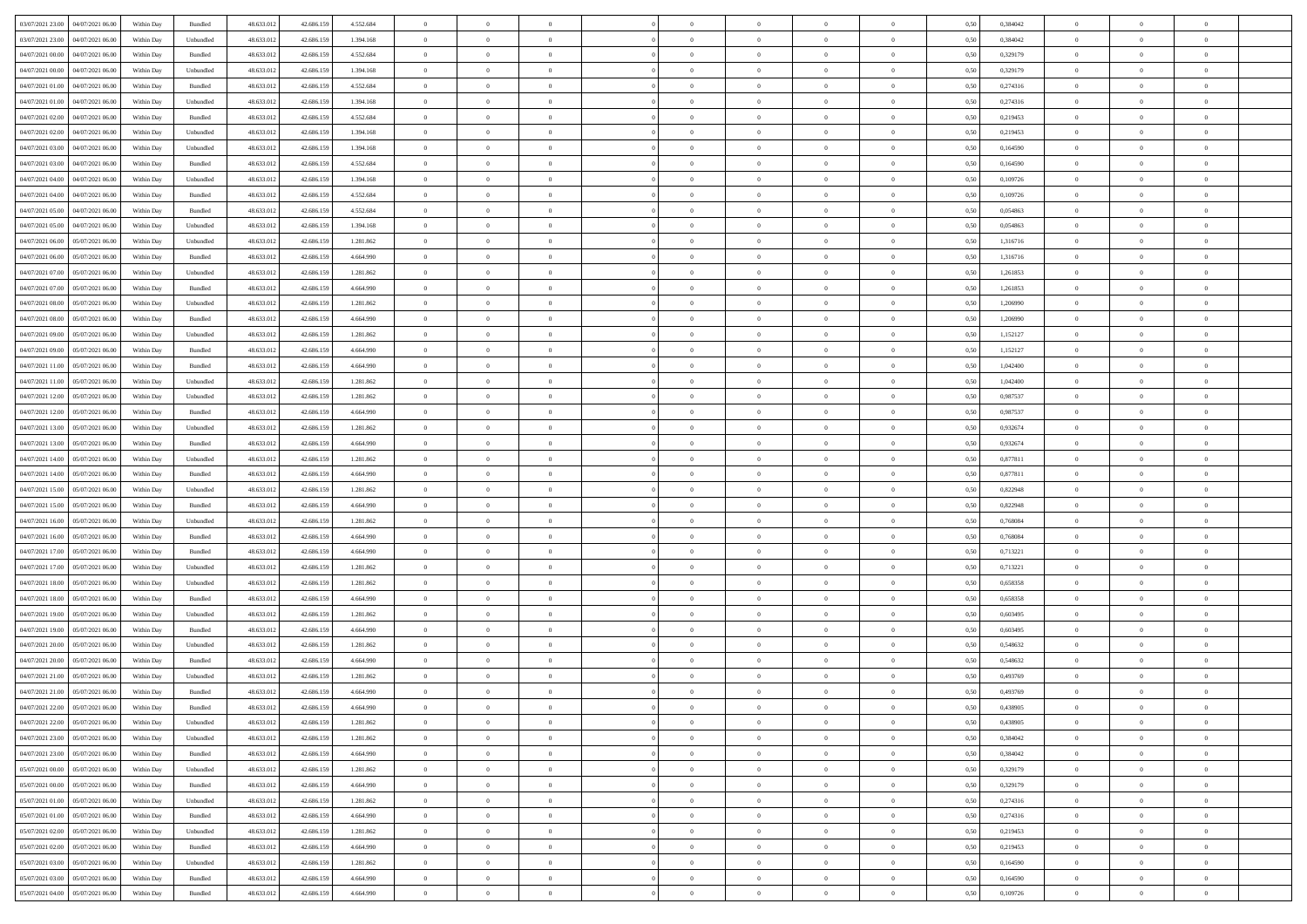| 03/07/2021 23:00 04/07/2021 06:00            | Within Day | Bundled            | 48.633.01  | 42.686.159 | 4.552.684 | $\overline{0}$ | $\overline{0}$ |                | $\overline{0}$ | $\theta$       |                | $\theta$       | 0,50 | 0,384042 | $\theta$       | $\theta$       | $\overline{0}$ |  |
|----------------------------------------------|------------|--------------------|------------|------------|-----------|----------------|----------------|----------------|----------------|----------------|----------------|----------------|------|----------|----------------|----------------|----------------|--|
| 03/07/2021 23:00<br>04/07/2021 06.00         | Within Day | Unbundled          | 48.633.01  | 42.686.15  | 1.394.168 | $\bf{0}$       | $\bf{0}$       | $\bf{0}$       | $\bf{0}$       | $\overline{0}$ | $\overline{0}$ | $\bf{0}$       | 0,50 | 0,384042 | $\,$ 0 $\,$    | $\bf{0}$       | $\overline{0}$ |  |
| 04/07/2021 00:00<br>04/07/2021 06:00         | Within Day | Bundled            | 48.633.013 | 42.686.159 | 4.552.684 | $\overline{0}$ | $\bf{0}$       | $\overline{0}$ | $\bf{0}$       | $\bf{0}$       | $\overline{0}$ | $\bf{0}$       | 0.50 | 0,329179 | $\overline{0}$ | $\overline{0}$ | $\overline{0}$ |  |
| 04/07/2021 00:00<br>04/07/2021 06:00         | Within Day | Unbundled          | 48.633.01  | 42.686.159 | 1.394.168 | $\overline{0}$ | $\overline{0}$ | $\overline{0}$ | $\theta$       | $\theta$       | $\overline{0}$ | $\bf{0}$       | 0,50 | 0,329179 | $\theta$       | $\theta$       | $\overline{0}$ |  |
| 04/07/2021 01:00<br>04/07/2021 06.00         | Within Day | Bundled            | 48.633.01  | 42.686.159 | 4.552.684 | $\bf{0}$       | $\overline{0}$ | $\bf{0}$       | $\overline{0}$ | $\theta$       | $\overline{0}$ | $\bf{0}$       | 0,50 | 0,274316 | $\,$ 0 $\,$    | $\bf{0}$       | $\overline{0}$ |  |
|                                              |            |                    |            |            |           |                |                |                |                |                |                |                |      |          |                |                |                |  |
| 04/07/2021 01:00<br>04/07/2021 06:00         | Within Day | Unbundled          | 48.633.013 | 42.686.159 | 1.394.168 | $\overline{0}$ | $\overline{0}$ | $\overline{0}$ | $\bf{0}$       | $\overline{0}$ | $\theta$       | $\bf{0}$       | 0.50 | 0,274316 | $\,$ 0 $\,$    | $\theta$       | $\overline{0}$ |  |
| 04/07/2021 02:00<br>04/07/2021 06:00         | Within Day | Bundled            | 48.633.013 | 42.686.159 | 4.552.684 | $\overline{0}$ | $\overline{0}$ | $\overline{0}$ | $\overline{0}$ | $\overline{0}$ | $\overline{0}$ | $\bf{0}$       | 0,50 | 0,219453 | $\,$ 0 $\,$    | $\theta$       | $\overline{0}$ |  |
| 04/07/2021 02:00<br>04/07/2021 06.00         | Within Day | Unbundled          | 48.633.01  | 42.686.15  | 1.394.168 | $\bf{0}$       | $\bf{0}$       | $\bf{0}$       | $\overline{0}$ | $\overline{0}$ | $\overline{0}$ | $\bf{0}$       | 0,50 | 0,219453 | $\,$ 0 $\,$    | $\bf{0}$       | $\overline{0}$ |  |
| 04/07/2021 03:00<br>04/07/2021 06:00         | Within Day | Unbundled          | 48.633.013 | 42.686.159 | 1.394.168 | $\overline{0}$ | $\bf{0}$       | $\overline{0}$ | $\bf{0}$       | $\overline{0}$ | $\overline{0}$ | $\bf{0}$       | 0.50 | 0.164590 | $\bf{0}$       | $\overline{0}$ | $\overline{0}$ |  |
| 04/07/2021 03:00<br>04/07/2021 06:00         | Within Day | Bundled            | 48.633.013 | 42.686.159 | 4.552.684 | $\overline{0}$ | $\bf{0}$       | $\overline{0}$ | $\overline{0}$ | $\overline{0}$ | $\overline{0}$ | $\bf{0}$       | 0,50 | 0,164590 | $\,$ 0 $\,$    | $\bf{0}$       | $\overline{0}$ |  |
| 04/07/2021 04:00<br>04/07/2021 06.00         | Within Day | Unbundled          | 48.633.01  | 42.686.159 | 1.394.168 | $\bf{0}$       | $\bf{0}$       | $\bf{0}$       | $\bf{0}$       | $\bf{0}$       | $\overline{0}$ | $\bf{0}$       | 0,50 | 0,109726 | $\,$ 0 $\,$    | $\bf{0}$       | $\overline{0}$ |  |
| 04/07/2021 04:00<br>04/07/2021 06:00         | Within Day | Bundled            | 48.633.013 | 42.686.159 | 4.552.684 | $\overline{0}$ | $\bf{0}$       | $\overline{0}$ | $\overline{0}$ | $\bf{0}$       | $\overline{0}$ | $\bf{0}$       | 0.50 | 0.109726 | $\bf{0}$       | $\,$ 0 $\,$    | $\,$ 0         |  |
|                                              |            |                    |            |            |           |                |                |                |                |                |                |                |      |          |                |                |                |  |
| 04/07/2021 05:00<br>04/07/2021 06:00         | Within Day | Bundled            | 48.633.01  | 42.686.159 | 4.552.684 | $\overline{0}$ | $\overline{0}$ | $\overline{0}$ | $\theta$       | $\theta$       | $\overline{0}$ | $\bf{0}$       | 0,50 | 0,054863 | $\,$ 0 $\,$    | $\theta$       | $\overline{0}$ |  |
| 04/07/2021 05:00<br>04/07/2021 06.00         | Within Day | Unbundled          | 48.633.01  | 42.686.15  | 1.394.168 | $\bf{0}$       | $\overline{0}$ | $\bf{0}$       | $\bf{0}$       | $\bf{0}$       | $\overline{0}$ | $\bf{0}$       | 0,50 | 0,054863 | $\,$ 0 $\,$    | $\bf{0}$       | $\overline{0}$ |  |
| 04/07/2021 06:00<br>05/07/2021 06:00         | Within Day | Unbundled          | 48.633.013 | 42.686.159 | 1.281.862 | $\overline{0}$ | $\bf{0}$       | $\overline{0}$ | $\bf{0}$       | $\overline{0}$ | $\theta$       | $\bf{0}$       | 0.50 | 1.316716 | $\,$ 0 $\,$    | $\theta$       | $\overline{0}$ |  |
| 04/07/2021 06:00<br>05/07/2021 06:00         | Within Day | Bundled            | 48.633.013 | 42.686.159 | 4.664.990 | $\overline{0}$ | $\overline{0}$ | $\overline{0}$ | $\overline{0}$ | $\overline{0}$ | $\overline{0}$ | $\bf{0}$       | 0,50 | 1,316716 | $\theta$       | $\theta$       | $\overline{0}$ |  |
| 04/07/2021 07:00<br>05/07/2021 06.00         | Within Day | Unbundled          | 48.633.01  | 42.686.159 | 1.281.862 | $\bf{0}$       | $\bf{0}$       | $\bf{0}$       | $\overline{0}$ | $\bf{0}$       | $\overline{0}$ | $\bf{0}$       | 0,50 | 1,261853 | $\,$ 0 $\,$    | $\bf{0}$       | $\overline{0}$ |  |
| 04/07/2021 07:00<br>05/07/2021 06:00         | Within Day | Bundled            | 48.633.013 | 42.686.159 | 4.664.990 | $\overline{0}$ | $\bf{0}$       | $\overline{0}$ | $\bf{0}$       | $\overline{0}$ | $\overline{0}$ | $\bf{0}$       | 0.50 | 1.261853 | $\bf{0}$       | $\overline{0}$ | $\bf{0}$       |  |
| 04/07/2021 08:00<br>05/07/2021 06:00         | Within Day | Unbundled          | 48.633.013 | 42.686.159 | 1.281.862 | $\bf{0}$       | $\bf{0}$       | $\overline{0}$ | $\overline{0}$ | $\overline{0}$ | $\overline{0}$ | $\bf{0}$       | 0,50 | 1,206990 | $\,$ 0 $\,$    | $\bf{0}$       | $\overline{0}$ |  |
|                                              |            |                    |            |            |           |                |                |                |                |                |                |                |      |          |                |                |                |  |
| 04/07/2021 08:00<br>05/07/2021 06.00         | Within Day | Bundled            | 48.633.01  | 42.686.159 | 4.664.990 | $\bf{0}$       | $\bf{0}$       | $\bf{0}$       | $\bf{0}$       | $\overline{0}$ | $\overline{0}$ | $\bf{0}$       | 0,50 | 1,206990 | $\,$ 0 $\,$    | $\bf{0}$       | $\overline{0}$ |  |
| 04/07/2021 09:00<br>05/07/2021 06:00         | Within Day | Unbundled          | 48.633.013 | 42.686.159 | 1.281.862 | $\overline{0}$ | $\bf{0}$       | $\overline{0}$ | $\overline{0}$ | $\bf{0}$       | $\overline{0}$ | $\bf{0}$       | 0.50 | 1,152127 | $\bf{0}$       | $\overline{0}$ | $\,$ 0         |  |
| 04/07/2021 09:00<br>05/07/2021 06:00         | Within Day | Bundled            | 48.633.01  | 42.686.159 | 4.664.990 | $\overline{0}$ | $\overline{0}$ | $\overline{0}$ | $\theta$       | $\theta$       | $\overline{0}$ | $\bf{0}$       | 0,50 | 1,152127 | $\theta$       | $\theta$       | $\overline{0}$ |  |
| 04/07/2021 11:00<br>05/07/2021 06.00         | Within Day | Bundled            | 48.633.01  | 42.686.159 | 4.664.990 | $\bf{0}$       | $\bf{0}$       | $\bf{0}$       | $\bf{0}$       | $\overline{0}$ | $\overline{0}$ | $\bf{0}$       | 0,50 | 1,042400 | $\,$ 0 $\,$    | $\bf{0}$       | $\overline{0}$ |  |
| 04/07/2021 11:00<br>05/07/2021 06:00         | Within Day | Unbundled          | 48.633.013 | 42.686.159 | 1.281.862 | $\overline{0}$ | $\bf{0}$       | $\overline{0}$ | $\bf{0}$       | $\overline{0}$ | $\theta$       | $\bf{0}$       | 0.50 | 1.042400 | $\,$ 0 $\,$    | $\theta$       | $\overline{0}$ |  |
| 04/07/2021 12:00<br>05/07/2021 06:00         | Within Day | Unbundled          | 48.633.013 | 42.686.159 | 1.281.862 | $\overline{0}$ | $\overline{0}$ | $\overline{0}$ | $\overline{0}$ | $\overline{0}$ | $\overline{0}$ | $\bf{0}$       | 0,50 | 0,987537 | $\,$ 0 $\,$    | $\theta$       | $\overline{0}$ |  |
| 04/07/2021 12:00<br>05/07/2021 06.00         | Within Day | Bundled            | 48.633.01  | 42.686.15  | 4.664.990 | $\bf{0}$       | $\overline{0}$ | $\bf{0}$       | $\overline{0}$ | $\bf{0}$       | $\overline{0}$ | $\bf{0}$       | 0,50 | 0,987537 | $\,$ 0 $\,$    | $\bf{0}$       | $\overline{0}$ |  |
| 04/07/2021 13:00<br>05/07/2021 06:00         | Within Day | Unbundled          | 48.633.013 | 42.686.159 | 1.281.862 | $\overline{0}$ | $\bf{0}$       | $\overline{0}$ | $\bf{0}$       | $\overline{0}$ | $\overline{0}$ | $\bf{0}$       | 0.50 | 0.932674 | $\bf{0}$       | $\overline{0}$ | $\overline{0}$ |  |
| 04/07/2021 13:00<br>05/07/2021 06:00         | Within Day | Bundled            | 48.633.013 | 42.686.159 | 4.664.990 | $\overline{0}$ | $\bf{0}$       | $\overline{0}$ | $\overline{0}$ | $\overline{0}$ | $\overline{0}$ | $\bf{0}$       | 0,50 | 0,932674 | $\theta$       | $\theta$       | $\overline{0}$ |  |
|                                              |            |                    |            |            |           |                |                |                |                |                |                |                |      |          |                |                |                |  |
| 04/07/2021 14:00<br>05/07/2021 06.00         | Within Day | Unbundled          | 48.633.01  | 42.686.159 | 1.281.862 | $\bf{0}$       | $\bf{0}$       | $\bf{0}$       | $\bf{0}$       | $\overline{0}$ | $\overline{0}$ | $\bf{0}$       | 0,50 | 0,877811 | $\,$ 0 $\,$    | $\bf{0}$       | $\overline{0}$ |  |
| 04/07/2021 14:00<br>05/07/2021 06:00         | Within Day | Bundled            | 48.633.013 | 42.686.159 | 4.664.990 | $\overline{0}$ | $\bf{0}$       | $\overline{0}$ | $\bf{0}$       | $\bf{0}$       | $\overline{0}$ | $\bf{0}$       | 0.50 | 0.877811 | $\bf{0}$       | $\overline{0}$ | $\bf{0}$       |  |
| 04/07/2021 15:00<br>05/07/2021 06:00         | Within Day | Unbundled          | 48.633.013 | 42.686.159 | 1.281.862 | $\overline{0}$ | $\overline{0}$ | $\overline{0}$ | $\overline{0}$ | $\overline{0}$ | $\overline{0}$ | $\bf{0}$       | 0.5( | 0,822948 | $\theta$       | $\theta$       | $\overline{0}$ |  |
| 04/07/2021 15:00<br>05/07/2021 06.00         | Within Day | Bundled            | 48.633.01  | 42.686.159 | 4.664.990 | $\bf{0}$       | $\bf{0}$       | $\bf{0}$       | $\bf{0}$       | $\overline{0}$ | $\overline{0}$ | $\bf{0}$       | 0,50 | 0,822948 | $\,$ 0 $\,$    | $\bf{0}$       | $\overline{0}$ |  |
| 04/07/2021 16:00<br>05/07/2021 06:00         | Within Day | Unbundled          | 48.633.013 | 42.686.159 | 1.281.862 | $\overline{0}$ | $\bf{0}$       | $\overline{0}$ | $\bf{0}$       | $\overline{0}$ | $\overline{0}$ | $\bf{0}$       | 0.50 | 0.768084 | $\,$ 0 $\,$    | $\bf{0}$       | $\overline{0}$ |  |
| 04/07/2021 16:00<br>05/07/2021 06:00         | Within Dav | Bundled            | 48.633.013 | 42.686.159 | 4.664.990 | $\overline{0}$ | $\overline{0}$ | $\overline{0}$ | $\overline{0}$ | $\overline{0}$ | $\overline{0}$ | $\bf{0}$       | 0.50 | 0,768084 | $\theta$       | $\theta$       | $\overline{0}$ |  |
| 04/07/2021 17:00<br>05/07/2021 06.00         | Within Day | Bundled            | 48.633.01  | 42.686.159 | 4.664.990 | $\bf{0}$       | $\bf{0}$       | $\bf{0}$       | $\bf{0}$       | $\overline{0}$ | $\overline{0}$ | $\bf{0}$       | 0,50 | 0,713221 | $\,$ 0 $\,$    | $\bf{0}$       | $\overline{0}$ |  |
| 04/07/2021 17:00<br>05/07/2021 06:00         | Within Day | Unbundled          | 48.633.013 | 42.686.159 | 1.281.862 | $\overline{0}$ | $\bf{0}$       | $\overline{0}$ | $\bf{0}$       | $\overline{0}$ | $\overline{0}$ | $\bf{0}$       | 0.50 | 0.713221 | $\bf{0}$       | $\overline{0}$ | $\overline{0}$ |  |
|                                              |            |                    |            |            |           |                |                |                |                |                |                |                |      |          |                |                |                |  |
| 04/07/2021 18:00<br>05/07/2021 06:00         | Within Day | Unbundled          | 48.633.013 | 42.686.159 | 1.281.862 | $\overline{0}$ | $\overline{0}$ | $\overline{0}$ | $\overline{0}$ | $\overline{0}$ | $\overline{0}$ | $\bf{0}$       | 0.50 | 0,658358 | $\theta$       | $\theta$       | $\overline{0}$ |  |
| 04/07/2021 18:00<br>05/07/2021 06.00         | Within Day | Bundled            | 48.633.01  | 42.686.159 | 4.664.990 | $\bf{0}$       | $\bf{0}$       | $\bf{0}$       | $\bf{0}$       | $\overline{0}$ | $\overline{0}$ | $\bf{0}$       | 0,50 | 0,658358 | $\,$ 0 $\,$    | $\bf{0}$       | $\overline{0}$ |  |
| 04/07/2021 19:00<br>05/07/2021 06:00         | Within Day | Unbundled          | 48.633.013 | 42.686.159 | 1.281.862 | $\overline{0}$ | $\bf{0}$       | $\overline{0}$ | $\overline{0}$ | $\bf{0}$       | $\overline{0}$ | $\bf{0}$       | 0.50 | 0.603495 | $\,$ 0 $\,$    | $\overline{0}$ | $\,$ 0         |  |
| 04/07/2021 19:00<br>05/07/2021 06:00         | Within Day | Bundled            | 48.633.013 | 42.686.159 | 4.664.990 | $\overline{0}$ | $\overline{0}$ | $\overline{0}$ | $\overline{0}$ | $\overline{0}$ | $\overline{0}$ | $\bf{0}$       | 0.50 | 0,603495 | $\theta$       | $\theta$       | $\overline{0}$ |  |
| 04/07/2021 20:00<br>05/07/2021 06.00         | Within Day | Unbundled          | 48.633.01  | 42.686.159 | 1.281.862 | $\bf{0}$       | $\bf{0}$       | $\bf{0}$       | $\bf{0}$       | $\overline{0}$ | $\overline{0}$ | $\bf{0}$       | 0,50 | 0,548632 | $\,$ 0 $\,$    | $\bf{0}$       | $\overline{0}$ |  |
| 04/07/2021 20:00<br>05/07/2021 06:00         | Within Day | Bundled            | 48.633.013 | 42.686.159 | 4.664.990 | $\overline{0}$ | $\overline{0}$ | $\overline{0}$ | $\bf{0}$       | $\overline{0}$ | $\Omega$       | $\bf{0}$       | 0.50 | 0.548632 | $\bf{0}$       | $\theta$       | $\overline{0}$ |  |
| 04/07/2021 21:00<br>05/07/2021 06:00         | Within Day | Unbundled          | 48.633.013 | 42.686.159 | 1.281.862 | $\overline{0}$ | $\overline{0}$ | $\Omega$       | $\overline{0}$ | $\theta$       | $\overline{0}$ | $\overline{0}$ | 0.5( | 0,493769 | $\theta$       | $\theta$       | $\overline{0}$ |  |
| 04/07/2021 21:00<br>05/07/2021 06:00         | Within Day | Bundled            | 48.633.01  | 42.686.159 | 4.664.990 | $\bf{0}$       | $\bf{0}$       | $\bf{0}$       | $\bf{0}$       | $\bf{0}$       | $\overline{0}$ | $\bf{0}$       | 0,50 | 0,493769 | $\,$ 0 $\,$    | $\bf{0}$       | $\overline{0}$ |  |
| $04/07/2021\ 22.00 \qquad 05/07/2021\ 06.00$ | Within Day | $\mathbf B$ undled | 48.633.012 | 42.686.159 | 4 664 990 | $\bf{0}$       | $\theta$       |                | $\overline{0}$ |                |                |                | 0,50 | 0.438905 | $\bf{0}$       | $\overline{0}$ |                |  |
|                                              |            |                    |            |            |           |                |                |                |                |                |                |                |      |          |                |                |                |  |
| 04/07/2021 22:00 05/07/2021 06:00            | Within Day | Unbundled          | 48.633.012 | 42.686.159 | 1.281.862 | $\overline{0}$ | $\overline{0}$ | $\overline{0}$ | $\theta$       | $\overline{0}$ | $\overline{0}$ | $\bf{0}$       | 0,50 | 0,438905 | $\theta$       | $\overline{0}$ | $\overline{0}$ |  |
| 04/07/2021 23:00<br>05/07/2021 06:00         | Within Day | Unbundled          | 48.633.013 | 42.686.159 | 1.281.862 | $\overline{0}$ | $\bf{0}$       | $\overline{0}$ | $\overline{0}$ | $\bf{0}$       | $\overline{0}$ | $\bf{0}$       | 0,50 | 0,384042 | $\bf{0}$       | $\overline{0}$ | $\bf{0}$       |  |
| 04/07/2021 23:00 05/07/2021 06:00            | Within Day | Bundled            | 48.633.012 | 42.686.159 | 4.664.990 | $\overline{0}$ | $\bf{0}$       | $\overline{0}$ | $\overline{0}$ | $\mathbf{0}$   | $\overline{0}$ | $\,$ 0 $\,$    | 0.50 | 0.384042 | $\overline{0}$ | $\bf{0}$       | $\,$ 0 $\,$    |  |
| 05/07/2021 00:00 05/07/2021 06:00            | Within Day | Unbundled          | 48.633.012 | 42.686.159 | 1.281.862 | $\overline{0}$ | $\overline{0}$ | $\overline{0}$ | $\overline{0}$ | $\overline{0}$ | $\overline{0}$ | $\bf{0}$       | 0,50 | 0,329179 | $\overline{0}$ | $\theta$       | $\overline{0}$ |  |
| 05/07/2021 00:00<br>05/07/2021 06:00         | Within Day | Bundled            | 48.633.012 | 42.686.159 | 4.664.990 | $\overline{0}$ | $\bf{0}$       | $\overline{0}$ | $\overline{0}$ | $\overline{0}$ | $\overline{0}$ | $\bf{0}$       | 0,50 | 0,329179 | $\bf{0}$       | $\overline{0}$ | $\overline{0}$ |  |
| 05/07/2021 01:00 05/07/2021 06:00            | Within Day | Unbundled          | 48.633.012 | 42.686.159 | 1.281.862 | $\overline{0}$ | $\bf{0}$       | $\overline{0}$ | $\overline{0}$ | $\bf{0}$       | $\overline{0}$ | $\bf{0}$       | 0.50 | 0,274316 | $\,$ 0 $\,$    | $\overline{0}$ | $\,$ 0         |  |
| 05/07/2021 01:00  05/07/2021 06:00           | Within Dav | Bundled            | 48.633.012 | 42.686.159 | 4.664.990 | $\overline{0}$ | $\overline{0}$ | $\overline{0}$ | $\overline{0}$ | $\overline{0}$ | $\overline{0}$ | $\bf{0}$       | 0.50 | 0,274316 | $\overline{0}$ | $\theta$       | $\overline{0}$ |  |
|                                              |            |                    |            |            |           |                |                |                |                |                |                |                |      |          |                |                |                |  |
| 05/07/2021 06:00<br>05/07/2021 02:00         | Within Day | Unbundled          | 48.633.013 | 42.686.159 | 1.281.862 | $\overline{0}$ | $\overline{0}$ | $\overline{0}$ | $\overline{0}$ | $\overline{0}$ | $\overline{0}$ | $\bf{0}$       | 0,50 | 0,219453 | $\bf{0}$       | $\overline{0}$ | $\overline{0}$ |  |
| 05/07/2021 02:00 05/07/2021 06:00            | Within Day | Bundled            | 48.633.012 | 42.686.159 | 4.664.990 | $\overline{0}$ | $\overline{0}$ | $\overline{0}$ | $\overline{0}$ | $\overline{0}$ | $\overline{0}$ | $\bf{0}$       | 0.50 | 0.219453 | $\mathbf{0}$   | $\bf{0}$       | $\,$ 0         |  |
| 05/07/2021 03:00 05/07/2021 06:00            | Within Dav | Unbundled          | 48.633.012 | 42.686.159 | 1.281.862 | $\overline{0}$ | $\overline{0}$ | $\overline{0}$ | $\overline{0}$ | $\overline{0}$ | $\overline{0}$ | $\bf{0}$       | 0,50 | 0,164590 | $\overline{0}$ | $\theta$       | $\overline{0}$ |  |
| 05/07/2021 03:00<br>05/07/2021 06:00         | Within Day | Bundled            | 48.633.013 | 42.686.159 | 4.664.990 | $\overline{0}$ | $\bf{0}$       | $\overline{0}$ | $\bf{0}$       | $\overline{0}$ | $\overline{0}$ | $\bf{0}$       | 0,50 | 0,164590 | $\bf{0}$       | $\,$ 0 $\,$    | $\bf{0}$       |  |
| 05/07/2021 04:00 05/07/2021 06:00            | Within Day | Bundled            | 48.633.012 | 42.686.159 | 4.664.990 | $\,$ 0 $\,$    | $\bf{0}$       | $\overline{0}$ | $\overline{0}$ | $\,$ 0 $\,$    | $\overline{0}$ | $\bf{0}$       | 0,50 | 0,109726 | $\overline{0}$ | $\,$ 0 $\,$    | $\,$ 0 $\,$    |  |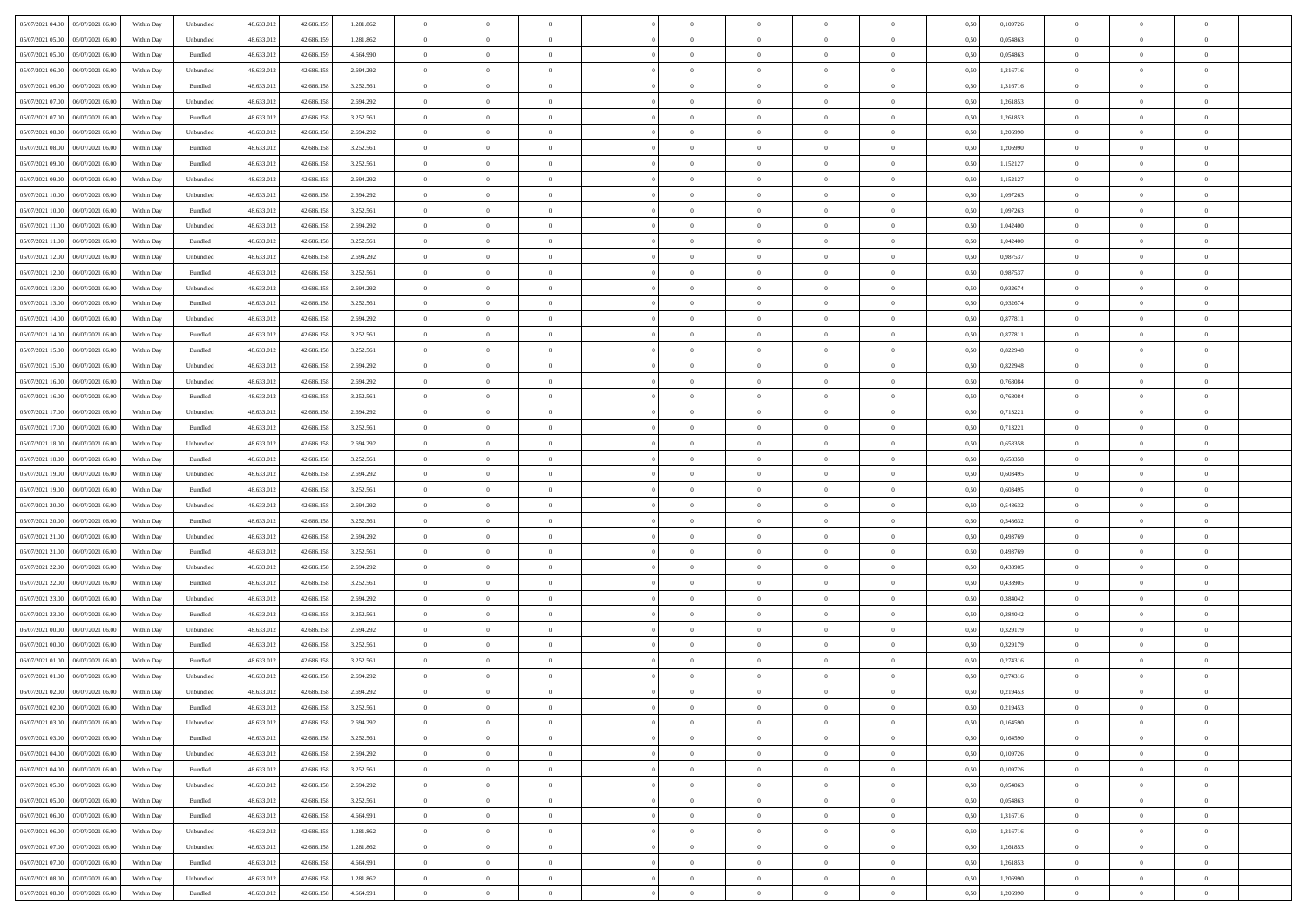| 05/07/2021 04:00 05/07/2021 06:00              | Within Day | Unbundled | 48.633.01  | 42.686.159 | 1.281.862 | $\overline{0}$ | $\theta$       |                | $\overline{0}$ | $\theta$       |                | $\theta$       | 0,50 | 0,109726 | $\theta$       | $\theta$       | $\theta$       |  |
|------------------------------------------------|------------|-----------|------------|------------|-----------|----------------|----------------|----------------|----------------|----------------|----------------|----------------|------|----------|----------------|----------------|----------------|--|
| 05/07/2021 05:00<br>05/07/2021 06:00           | Within Day | Unbundled | 48.633.01  | 42.686.15  | 1.281.862 | $\bf{0}$       | $\bf{0}$       | $\bf{0}$       | $\bf{0}$       | $\overline{0}$ | $\overline{0}$ | $\bf{0}$       | 0,50 | 0,054863 | $\,$ 0 $\,$    | $\bf{0}$       | $\overline{0}$ |  |
| 05/07/2021 05:00<br>05/07/2021 06:00           | Within Day | Bundled   | 48.633.013 | 42.686.159 | 4.664.990 | $\overline{0}$ | $\bf{0}$       | $\overline{0}$ | $\bf{0}$       | $\bf{0}$       | $\overline{0}$ | $\bf{0}$       | 0.50 | 0.054863 | $\bf{0}$       | $\overline{0}$ | $\overline{0}$ |  |
| 05/07/2021 06:00<br>06/07/2021 06:00           | Within Day | Unbundled | 48.633.01  | 42.686.158 | 2.694.292 | $\overline{0}$ | $\,$ 0         | $\overline{0}$ | $\theta$       | $\theta$       | $\overline{0}$ | $\bf{0}$       | 0,50 | 1,316716 | $\theta$       | $\theta$       | $\overline{0}$ |  |
| 05/07/2021 06:00<br>06/07/2021 06.00           | Within Day | Bundled   | 48.633.01  | 42.686.158 | 3.252.561 | $\overline{0}$ | $\overline{0}$ | $\bf{0}$       | $\overline{0}$ | $\theta$       | $\overline{0}$ | $\bf{0}$       | 0,50 | 1,316716 | $\,$ 0 $\,$    | $\bf{0}$       | $\overline{0}$ |  |
|                                                |            |           |            |            |           |                |                |                |                |                |                |                |      |          |                |                |                |  |
| 05/07/2021 07:00<br>06/07/2021 06:00           | Within Day | Unbundled | 48.633.013 | 42.686.158 | 2.694.292 | $\overline{0}$ | $\overline{0}$ | $\overline{0}$ | $\bf{0}$       | $\overline{0}$ | $\theta$       | $\bf{0}$       | 0.50 | 1.261853 | $\,$ 0 $\,$    | $\theta$       | $\overline{0}$ |  |
| 05/07/2021 07:00<br>06/07/2021 06:00           | Within Day | Bundled   | 48.633.013 | 42.686.158 | 3.252.561 | $\overline{0}$ | $\overline{0}$ | $\overline{0}$ | $\overline{0}$ | $\overline{0}$ | $\overline{0}$ | $\bf{0}$       | 0,50 | 1,261853 | $\theta$       | $\theta$       | $\overline{0}$ |  |
| 05/07/2021 08:00<br>06/07/2021 06.00           | Within Day | Unbundled | 48.633.01  | 42.686.158 | 2.694.292 | $\overline{0}$ | $\overline{0}$ | $\bf{0}$       | $\overline{0}$ | $\overline{0}$ | $\overline{0}$ | $\bf{0}$       | 0,50 | 1,206990 | $\,$ 0 $\,$    | $\bf{0}$       | $\overline{0}$ |  |
| 05/07/2021 08:00<br>06/07/2021 06:00           | Within Day | Bundled   | 48.633.013 | 42.686.158 | 3.252.561 | $\overline{0}$ | $\bf{0}$       | $\overline{0}$ | $\bf{0}$       | $\overline{0}$ | $\overline{0}$ | $\bf{0}$       | 0.50 | 1.206990 | $\bf{0}$       | $\overline{0}$ | $\overline{0}$ |  |
| 05/07/2021 09:00<br>06/07/2021 06:00           | Within Day | Bundled   | 48.633.013 | 42.686.158 | 3.252.561 | $\overline{0}$ | $\bf{0}$       | $\overline{0}$ | $\overline{0}$ | $\overline{0}$ | $\overline{0}$ | $\bf{0}$       | 0,50 | 1,152127 | $\,$ 0 $\,$    | $\bf{0}$       | $\overline{0}$ |  |
| 05/07/2021 09:00<br>06/07/2021 06.00           | Within Day | Unbundled | 48.633.01  | 42.686.158 | 2.694.292 | $\bf{0}$       | $\overline{0}$ | $\bf{0}$       | $\bf{0}$       | $\bf{0}$       | $\overline{0}$ | $\bf{0}$       | 0,50 | 1,152127 | $\,$ 0 $\,$    | $\bf{0}$       | $\overline{0}$ |  |
| 05/07/2021 10:00<br>06/07/2021 06:00           | Within Day | Unbundled | 48.633.013 | 42.686.158 | 2.694.292 | $\overline{0}$ | $\bf{0}$       | $\overline{0}$ | $\bf{0}$       | $\bf{0}$       | $\overline{0}$ | $\bf{0}$       | 0.50 | 1.097263 | $\bf{0}$       | $\overline{0}$ | $\bf{0}$       |  |
|                                                |            |           |            |            |           |                |                |                |                |                |                |                |      |          |                |                |                |  |
| 05/07/2021 10:00<br>06/07/2021 06:00           | Within Day | Bundled   | 48.633.01  | 42.686.158 | 3.252.561 | $\overline{0}$ | $\overline{0}$ | $\overline{0}$ | $\theta$       | $\theta$       | $\overline{0}$ | $\bf{0}$       | 0,50 | 1,097263 | $\,$ 0 $\,$    | $\theta$       | $\overline{0}$ |  |
| 05/07/2021 11:00<br>06/07/2021 06.00           | Within Day | Unbundled | 48.633.01  | 42.686.158 | 2.694.292 | $\bf{0}$       | $\overline{0}$ | $\bf{0}$       | $\overline{0}$ | $\bf{0}$       | $\overline{0}$ | $\bf{0}$       | 0,50 | 1,042400 | $\,$ 0 $\,$    | $\bf{0}$       | $\overline{0}$ |  |
| 05/07/2021 11:00<br>06/07/2021 06:00           | Within Day | Bundled   | 48.633.013 | 42.686.158 | 3.252.561 | $\overline{0}$ | $\overline{0}$ | $\overline{0}$ | $\bf{0}$       | $\overline{0}$ | $\theta$       | $\bf{0}$       | 0.50 | 1.042400 | $\,$ 0 $\,$    | $\theta$       | $\overline{0}$ |  |
| 05/07/2021 12:00<br>06/07/2021 06:00           | Within Day | Unbundled | 48.633.013 | 42.686.158 | 2.694.292 | $\overline{0}$ | $\overline{0}$ | $\overline{0}$ | $\overline{0}$ | $\overline{0}$ | $\overline{0}$ | $\bf{0}$       | 0,50 | 0,987537 | $\theta$       | $\theta$       | $\overline{0}$ |  |
| 05/07/2021 12:00<br>06/07/2021 06.00           | Within Day | Bundled   | 48.633.01  | 42.686.158 | 3.252.561 | $\bf{0}$       | $\overline{0}$ | $\bf{0}$       | $\overline{0}$ | $\bf{0}$       | $\overline{0}$ | $\bf{0}$       | 0,50 | 0,987537 | $\,$ 0 $\,$    | $\bf{0}$       | $\overline{0}$ |  |
| 05/07/2021 13:00<br>06/07/2021 06:00           | Within Day | Unbundled | 48.633.013 | 42.686.158 | 2.694.292 | $\overline{0}$ | $\bf{0}$       | $\overline{0}$ | $\bf{0}$       | $\overline{0}$ | $\overline{0}$ | $\bf{0}$       | 0.50 | 0.932674 | $\bf{0}$       | $\overline{0}$ | $\overline{0}$ |  |
| 05/07/2021 13:00<br>06/07/2021 06:00           | Within Day | Bundled   | 48.633.013 | 42.686.158 | 3.252.561 | $\overline{0}$ | $\bf{0}$       | $\overline{0}$ | $\overline{0}$ | $\overline{0}$ | $\overline{0}$ | $\bf{0}$       | 0,50 | 0,932674 | $\,$ 0 $\,$    | $\bf{0}$       | $\overline{0}$ |  |
|                                                |            |           |            |            |           |                |                |                |                |                |                |                |      |          |                |                |                |  |
| 05/07/2021 14:00<br>06/07/2021 06.00           | Within Day | Unbundled | 48.633.01  | 42.686.158 | 2.694.292 | $\bf{0}$       | $\bf{0}$       | $\bf{0}$       | $\bf{0}$       | $\overline{0}$ | $\overline{0}$ | $\bf{0}$       | 0,50 | 0,877811 | $\,$ 0 $\,$    | $\bf{0}$       | $\overline{0}$ |  |
| 05/07/2021 14:00<br>06/07/2021 06:00           | Within Day | Bundled   | 48.633.013 | 42.686.158 | 3.252.561 | $\overline{0}$ | $\bf{0}$       | $\overline{0}$ | $\overline{0}$ | $\bf{0}$       | $\overline{0}$ | $\bf{0}$       | 0.50 | 0.877811 | $\bf{0}$       | $\overline{0}$ | $\,$ 0         |  |
| 05/07/2021 15:00<br>06/07/2021 06:00           | Within Day | Bundled   | 48.633.01  | 42.686.158 | 3.252.561 | $\overline{0}$ | $\overline{0}$ | $\overline{0}$ | $\theta$       | $\theta$       | $\overline{0}$ | $\bf{0}$       | 0,50 | 0,822948 | $\theta$       | $\theta$       | $\overline{0}$ |  |
| 05/07/2021 15:00<br>06/07/2021 06.00           | Within Day | Unbundled | 48.633.01  | 42.686.158 | 2.694.292 | $\bf{0}$       | $\overline{0}$ | $\bf{0}$       | $\bf{0}$       | $\,$ 0 $\,$    | $\overline{0}$ | $\bf{0}$       | 0,50 | 0,822948 | $\,$ 0 $\,$    | $\bf{0}$       | $\overline{0}$ |  |
| 05/07/2021 16:00<br>06/07/2021 06:00           | Within Day | Unbundled | 48.633.013 | 42.686.158 | 2.694.292 | $\overline{0}$ | $\overline{0}$ | $\overline{0}$ | $\bf{0}$       | $\overline{0}$ | $\theta$       | $\bf{0}$       | 0.50 | 0.768084 | $\,$ 0 $\,$    | $\theta$       | $\overline{0}$ |  |
| 05/07/2021 16:00<br>06/07/2021 06:00           | Within Day | Bundled   | 48.633.013 | 42.686.158 | 3.252.561 | $\overline{0}$ | $\overline{0}$ | $\overline{0}$ | $\overline{0}$ | $\overline{0}$ | $\overline{0}$ | $\bf{0}$       | 0,50 | 0,768084 | $\theta$       | $\theta$       | $\overline{0}$ |  |
| 05/07/2021 17:00<br>06/07/2021 06.00           | Within Day | Unbundled | 48.633.01  | 42.686.158 | 2.694.292 | $\bf{0}$       | $\overline{0}$ | $\bf{0}$       | $\overline{0}$ | $\bf{0}$       | $\overline{0}$ | $\bf{0}$       | 0,50 | 0,713221 | $\,$ 0 $\,$    | $\bf{0}$       | $\overline{0}$ |  |
| 05/07/2021 17:00<br>06/07/2021 06:00           | Within Day | Bundled   | 48.633.013 | 42.686.158 | 3.252.561 | $\overline{0}$ | $\bf{0}$       | $\overline{0}$ | $\bf{0}$       | $\overline{0}$ | $\overline{0}$ | $\bf{0}$       | 0.50 | 0.713221 | $\bf{0}$       | $\overline{0}$ | $\overline{0}$ |  |
| 05/07/2021 18:00<br>06/07/2021 06:00           | Within Day | Unbundled | 48.633.01  | 42.686.158 | 2.694.292 | $\overline{0}$ | $\overline{0}$ | $\overline{0}$ | $\overline{0}$ | $\overline{0}$ | $\overline{0}$ | $\bf{0}$       | 0,50 | 0,658358 | $\theta$       | $\theta$       | $\overline{0}$ |  |
|                                                |            |           |            |            |           |                |                |                |                |                |                |                |      |          |                |                |                |  |
| 05/07/2021 18:00<br>06/07/2021 06.00           | Within Day | Bundled   | 48.633.01  | 42.686.158 | 3.252.561 | $\bf{0}$       | $\bf{0}$       | $\bf{0}$       | $\bf{0}$       | $\overline{0}$ | $\overline{0}$ | $\bf{0}$       | 0,50 | 0,658358 | $\,$ 0 $\,$    | $\bf{0}$       | $\overline{0}$ |  |
| 05/07/2021 19:00<br>06/07/2021 06:00           | Within Day | Unbundled | 48.633.013 | 42.686.158 | 2.694.292 | $\overline{0}$ | $\bf{0}$       | $\overline{0}$ | $\bf{0}$       | $\bf{0}$       | $\overline{0}$ | $\bf{0}$       | 0.50 | 0.603495 | $\bf{0}$       | $\overline{0}$ | $\bf{0}$       |  |
| 05/07/2021 19:00<br>06/07/2021 06:00           | Within Day | Bundled   | 48.633.013 | 42.686.158 | 3.252.561 | $\overline{0}$ | $\overline{0}$ | $\overline{0}$ | $\overline{0}$ | $\overline{0}$ | $\overline{0}$ | $\bf{0}$       | 0.50 | 0.603495 | $\theta$       | $\theta$       | $\overline{0}$ |  |
| 05/07/2021 20:00<br>06/07/2021 06.00           | Within Day | Unbundled | 48.633.01  | 42.686.158 | 2.694.292 | $\bf{0}$       | $\overline{0}$ | $\bf{0}$       | $\bf{0}$       | $\,$ 0 $\,$    | $\overline{0}$ | $\bf{0}$       | 0,50 | 0,548632 | $\,$ 0 $\,$    | $\bf{0}$       | $\overline{0}$ |  |
| 05/07/2021 20:00<br>06/07/2021 06:00           | Within Day | Bundled   | 48.633.013 | 42.686.158 | 3.252.561 | $\overline{0}$ | $\bf{0}$       | $\overline{0}$ | $\bf{0}$       | $\overline{0}$ | $\Omega$       | $\bf{0}$       | 0.50 | 0.548632 | $\,$ 0 $\,$    | $\theta$       | $\overline{0}$ |  |
| 05/07/2021 21:00<br>06/07/2021 06:00           | Within Dav | Unbundled | 48.633.013 | 42.686.158 | 2.694.292 | $\overline{0}$ | $\overline{0}$ | $\overline{0}$ | $\overline{0}$ | $\theta$       | $\overline{0}$ | $\bf{0}$       | 0.50 | 0,493769 | $\theta$       | $\theta$       | $\overline{0}$ |  |
| 05/07/2021 21:00<br>06/07/2021 06.00           | Within Day | Bundled   | 48.633.01  | 42.686.158 | 3.252.561 | $\bf{0}$       | $\bf{0}$       | $\bf{0}$       | $\bf{0}$       | $\bf{0}$       | $\overline{0}$ | $\bf{0}$       | 0,50 | 0,493769 | $\,$ 0 $\,$    | $\bf{0}$       | $\overline{0}$ |  |
| 05/07/2021 22:00<br>06/07/2021 06:00           | Within Day | Unbundled | 48.633.013 | 42.686.158 | 2.694.292 | $\overline{0}$ | $\bf{0}$       | $\overline{0}$ | $\bf{0}$       | $\overline{0}$ | $\overline{0}$ | $\bf{0}$       | 0.50 | 0.438905 | $\bf{0}$       | $\overline{0}$ | $\overline{0}$ |  |
|                                                |            |           |            |            |           |                |                |                |                |                |                |                |      |          |                |                |                |  |
| 05/07/2021 22:00<br>06/07/2021 06:00           | Within Dav | Bundled   | 48.633.013 | 42.686.158 | 3.252.561 | $\overline{0}$ | $\overline{0}$ | $\overline{0}$ | $\overline{0}$ | $\overline{0}$ | $\overline{0}$ | $\bf{0}$       | 0.50 | 0,438905 | $\theta$       | $\theta$       | $\overline{0}$ |  |
| 05/07/2021 23:00<br>06/07/2021 06.00           | Within Day | Unbundled | 48.633.01  | 42.686.158 | 2.694.292 | $\bf{0}$       | $\bf{0}$       | $\bf{0}$       | $\bf{0}$       | $\overline{0}$ | $\overline{0}$ | $\bf{0}$       | 0,50 | 0,384042 | $\,$ 0 $\,$    | $\bf{0}$       | $\overline{0}$ |  |
| 05/07/2021 23:00<br>06/07/2021 06:00           | Within Day | Bundled   | 48.633.013 | 42.686.158 | 3.252.561 | $\overline{0}$ | $\bf{0}$       | $\overline{0}$ | $\overline{0}$ | $\bf{0}$       | $\overline{0}$ | $\bf{0}$       | 0.50 | 0.384042 | $\bf{0}$       | $\overline{0}$ | $\overline{0}$ |  |
| 06/07/2021 00:00<br>06/07/2021 06:00           | Within Dav | Unbundled | 48.633.013 | 42.686.158 | 2.694.292 | $\overline{0}$ | $\overline{0}$ | $\overline{0}$ | $\overline{0}$ | $\overline{0}$ | $\overline{0}$ | $\bf{0}$       | 0.5( | 0,329179 | $\theta$       | $\theta$       | $\overline{0}$ |  |
| 06/07/2021 00:00<br>06/07/2021 06.00           | Within Day | Bundled   | 48.633.01  | 42.686.158 | 3.252.561 | $\bf{0}$       | $\bf{0}$       | $\bf{0}$       | $\bf{0}$       | $\overline{0}$ | $\overline{0}$ | $\bf{0}$       | 0,50 | 0,329179 | $\,$ 0 $\,$    | $\bf{0}$       | $\overline{0}$ |  |
| 06/07/2021 01:00<br>06/07/2021 06:00           | Within Day | Bundled   | 48.633.013 | 42.686.158 | 3.252.561 | $\overline{0}$ | $\overline{0}$ | $\overline{0}$ | $\bf{0}$       | $\overline{0}$ | $\Omega$       | $\bf{0}$       | 0.50 | 0,274316 | $\bf{0}$       | $\theta$       | $\overline{0}$ |  |
| 06/07/2021 01:00<br>06/07/2021 06:00           | Within Dav | Unbundled | 48.633.013 | 42.686.158 | 2.694.292 | $\overline{0}$ | $\overline{0}$ | $\Omega$       | $\overline{0}$ | $\theta$       | $\overline{0}$ | $\overline{0}$ | 0.5( | 0,274316 | $\theta$       | $\theta$       | $\overline{0}$ |  |
| 06/07/2021 02:00<br>06/07/2021 06:00           | Within Day | Unbundled | 48.633.01  | 42.686.158 | 2.694.292 | $\bf{0}$       | $\bf{0}$       | $\overline{0}$ | $\bf{0}$       | $\bf{0}$       | $\overline{0}$ | $\bf{0}$       | 0,50 | 0,219453 | $\overline{0}$ | $\bf{0}$       | $\overline{0}$ |  |
| $06/07/2021\; 02.00 \qquad 06/07/2021\; 06.00$ | Within Day | Bundled   | 48.633.012 | 42.686.158 | 3.252.561 | $\bf{0}$       | $\Omega$       |                | $\Omega$       |                |                |                | 0,50 | 0,219453 | $\bf{0}$       | $\overline{0}$ |                |  |
|                                                |            |           |            |            |           |                |                |                |                |                |                |                |      |          |                |                |                |  |
| 06/07/2021 03:00 06/07/2021 06:00              | Within Day | Unbundled | 48.633.012 | 42.686.158 | 2.694.292 | $\overline{0}$ | $\overline{0}$ | $\Omega$       | $\theta$       | $\overline{0}$ | $\overline{0}$ | $\bf{0}$       | 0,50 | 0,164590 | $\theta$       | $\overline{0}$ | $\overline{0}$ |  |
| 06/07/2021 03:00<br>06/07/2021 06:00           | Within Day | Bundled   | 48.633.013 | 42.686.158 | 3.252.561 | $\overline{0}$ | $\bf{0}$       | $\overline{0}$ | $\overline{0}$ | $\bf{0}$       | $\overline{0}$ | $\bf{0}$       | 0,50 | 0,164590 | $\bf{0}$       | $\overline{0}$ | $\bf{0}$       |  |
| 06/07/2021 04:00 06/07/2021 06:00              | Within Day | Unbundled | 48.633.012 | 42.686.158 | 2.694.292 | $\overline{0}$ | $\bf{0}$       | $\overline{0}$ | $\overline{0}$ | $\mathbf{0}$   | $\overline{0}$ | $\,$ 0 $\,$    | 0.50 | 0.109726 | $\overline{0}$ | $\bf{0}$       | $\,$ 0 $\,$    |  |
| 06/07/2021 04:00   06/07/2021 06:00            | Within Dav | Bundled   | 48.633.012 | 42.686.158 | 3.252.561 | $\overline{0}$ | $\overline{0}$ | $\overline{0}$ | $\overline{0}$ | $\overline{0}$ | $\overline{0}$ | $\bf{0}$       | 0,50 | 0,109726 | $\overline{0}$ | $\theta$       | $\overline{0}$ |  |
| 06/07/2021 05:00<br>06/07/2021 06:00           | Within Day | Unbundled | 48.633.012 | 42.686.158 | 2.694.292 | $\overline{0}$ | $\bf{0}$       | $\overline{0}$ | $\overline{0}$ | $\overline{0}$ | $\overline{0}$ | $\bf{0}$       | 0,50 | 0,054863 | $\bf{0}$       | $\overline{0}$ | $\overline{0}$ |  |
| 06/07/2021 05:00<br>06/07/2021 06:00           | Within Day | Bundled   | 48.633.012 | 42.686.158 | 3.252.561 | $\overline{0}$ | $\bf{0}$       | $\overline{0}$ | $\overline{0}$ | $\bf{0}$       | $\overline{0}$ | $\bf{0}$       | 0.50 | 0.054863 | $\,$ 0 $\,$    | $\overline{0}$ | $\,$ 0         |  |
| 06/07/2021 06:00<br>07/07/2021 06:00           | Within Dav | Bundled   | 48.633.012 | 42.686.158 | 4.664.991 | $\overline{0}$ | $\overline{0}$ | $\overline{0}$ | $\overline{0}$ | $\overline{0}$ | $\overline{0}$ | $\bf{0}$       | 0.50 | 1,316716 | $\overline{0}$ | $\theta$       | $\overline{0}$ |  |
|                                                |            |           |            |            |           |                |                |                |                |                |                |                |      |          |                |                |                |  |
| 07/07/2021 06:00<br>06/07/2021 06:00           | Within Day | Unbundled | 48.633.013 | 42.686.158 | 1.281.862 | $\overline{0}$ | $\overline{0}$ | $\overline{0}$ | $\overline{0}$ | $\overline{0}$ | $\overline{0}$ | $\bf{0}$       | 0,50 | 1,316716 | $\bf{0}$       | $\overline{0}$ | $\overline{0}$ |  |
| 06/07/2021 07:00 07/07/2021 06:00              | Within Day | Unbundled | 48.633.012 | 42.686.158 | 1.281.862 | $\overline{0}$ | $\overline{0}$ | $\overline{0}$ | $\overline{0}$ | $\overline{0}$ | $\overline{0}$ | $\bf{0}$       | 0.50 | 1.261853 | $\mathbf{0}$   | $\bf{0}$       | $\,$ 0         |  |
| 06/07/2021 07:00 07/07/2021 06:00              | Within Dav | Bundled   | 48.633.012 | 42.686.158 | 4.664.991 | $\overline{0}$ | $\overline{0}$ | $\overline{0}$ | $\overline{0}$ | $\overline{0}$ | $\overline{0}$ | $\bf{0}$       | 0,50 | 1,261853 | $\overline{0}$ | $\theta$       | $\overline{0}$ |  |
| 06/07/2021 08:00<br>07/07/2021 06:00           | Within Day | Unbundled | 48.633.013 | 42.686.158 | 1.281.862 | $\overline{0}$ | $\bf{0}$       | $\overline{0}$ | $\bf{0}$       | $\overline{0}$ | $\overline{0}$ | $\bf{0}$       | 0,50 | 1,206990 | $\bf{0}$       | $\,$ 0 $\,$    | $\bf{0}$       |  |
| 06/07/2021 08:00 07/07/2021 06:00              | Within Day | Bundled   | 48.633.012 | 42.686.158 | 4.664.991 | $\,$ 0 $\,$    | $\bf{0}$       | $\overline{0}$ | $\overline{0}$ | $\,$ 0 $\,$    | $\overline{0}$ | $\bf{0}$       | 0,50 | 1,206990 | $\overline{0}$ | $\,$ 0 $\,$    | $\,$ 0 $\,$    |  |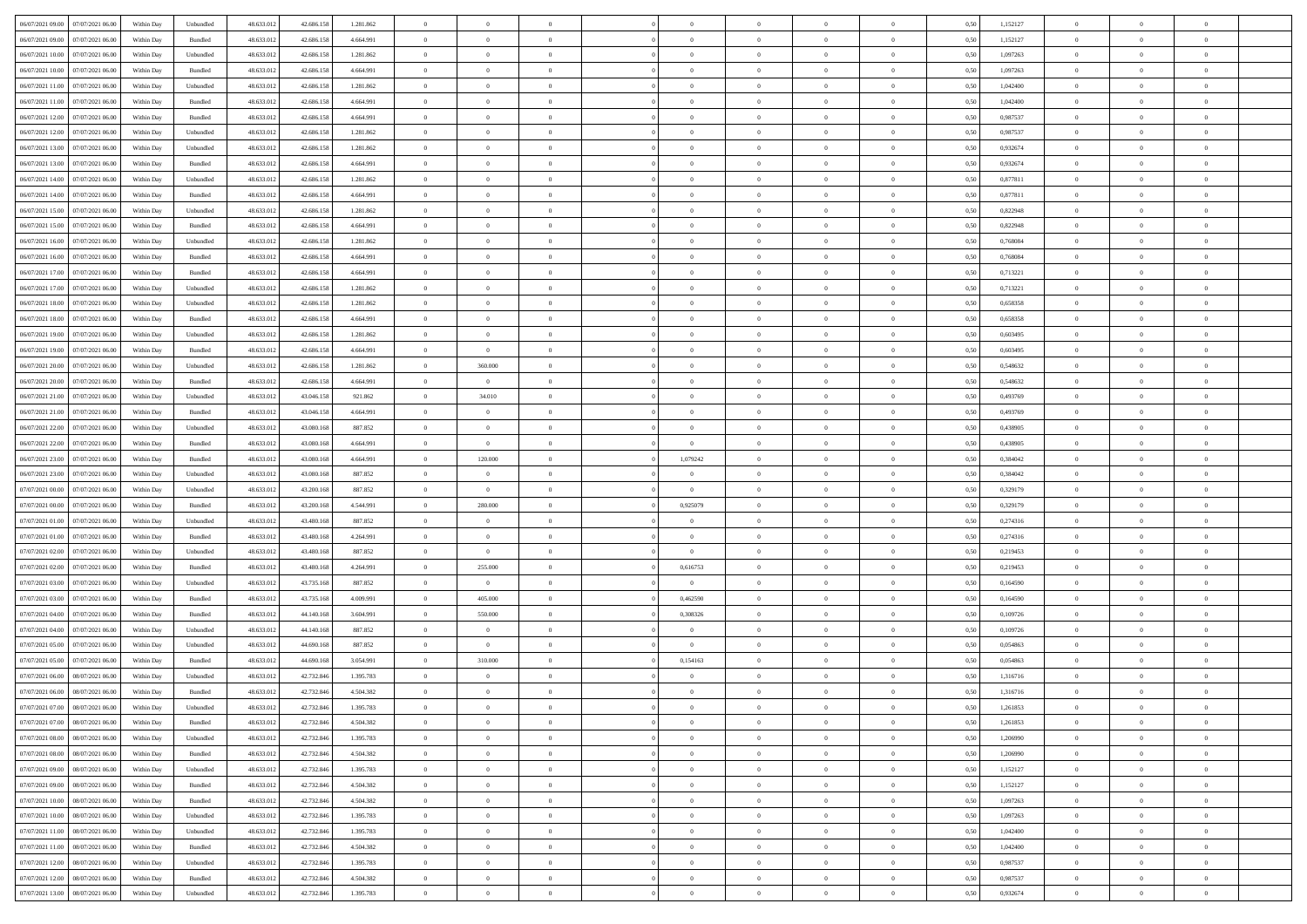| 06/07/2021 09:00 07/07/2021 06:00            | Within Day | Unbundled                   | 48.633.01  | 42.686.158 | 1.281.862 | $\overline{0}$ | $\overline{0}$ |                | $\overline{0}$ | $\theta$       |                | $\theta$       | 0,50 | 1,152127 | $\theta$       | $\theta$       | $\overline{0}$ |  |
|----------------------------------------------|------------|-----------------------------|------------|------------|-----------|----------------|----------------|----------------|----------------|----------------|----------------|----------------|------|----------|----------------|----------------|----------------|--|
| 06/07/2021 09:00<br>07/07/2021 06:00         | Within Day | Bundled                     | 48.633.01  | 42.686.158 | 4.664.991 | $\bf{0}$       | $\bf{0}$       | $\bf{0}$       | $\bf{0}$       | $\overline{0}$ | $\overline{0}$ | $\bf{0}$       | 0,50 | 1,152127 | $\,$ 0 $\,$    | $\bf{0}$       | $\overline{0}$ |  |
| 06/07/2021 10:00<br>07/07/2021 06:00         | Within Day | Unbundled                   | 48.633.013 | 42.686.158 | 1.281.862 | $\overline{0}$ | $\bf{0}$       | $\overline{0}$ | $\bf{0}$       | $\bf{0}$       | $\overline{0}$ | $\bf{0}$       | 0.50 | 1.097263 | $\bf{0}$       | $\overline{0}$ | $\overline{0}$ |  |
| 06/07/2021 10:00<br>07/07/2021 06:00         | Within Day | Bundled                     | 48.633.013 | 42.686.158 | 4.664.991 | $\overline{0}$ | $\overline{0}$ | $\overline{0}$ | $\theta$       | $\theta$       | $\overline{0}$ | $\bf{0}$       | 0,50 | 1,097263 | $\theta$       | $\theta$       | $\overline{0}$ |  |
|                                              |            |                             |            |            |           |                |                |                |                |                |                |                |      |          |                |                |                |  |
| 06/07/2021 11:00<br>07/07/2021 06.00         | Within Day | Unbundled                   | 48.633.01  | 42.686.158 | 1.281.862 | $\bf{0}$       | $\overline{0}$ | $\bf{0}$       | $\overline{0}$ | $\theta$       | $\overline{0}$ | $\bf{0}$       | 0,50 | 1,042400 | $\,$ 0 $\,$    | $\bf{0}$       | $\overline{0}$ |  |
| 06/07/2021 11:00<br>07/07/2021 06:00         | Within Day | Bundled                     | 48.633.013 | 42.686.158 | 4.664.991 | $\overline{0}$ | $\overline{0}$ | $\overline{0}$ | $\bf{0}$       | $\overline{0}$ | $\theta$       | $\bf{0}$       | 0.50 | 1.042400 | $\bf{0}$       | $\theta$       | $\overline{0}$ |  |
| 06/07/2021 12:00<br>07/07/2021 06:00         | Within Day | Bundled                     | 48.633.013 | 42.686.158 | 4.664.991 | $\overline{0}$ | $\overline{0}$ | $\overline{0}$ | $\overline{0}$ | $\overline{0}$ | $\overline{0}$ | $\bf{0}$       | 0,50 | 0,987537 | $\theta$       | $\theta$       | $\overline{0}$ |  |
| 06/07/2021 12:00<br>07/07/2021 06.00         | Within Day | Unbundled                   | 48.633.01  | 42.686.158 | 1.281.862 | $\bf{0}$       | $\overline{0}$ | $\bf{0}$       | $\overline{0}$ | $\bf{0}$       | $\overline{0}$ | $\bf{0}$       | 0,50 | 0,987537 | $\,$ 0 $\,$    | $\bf{0}$       | $\overline{0}$ |  |
|                                              |            |                             |            |            |           |                |                |                |                |                |                |                |      |          |                |                |                |  |
| 06/07/2021 13:00<br>07/07/2021 06:00         | Within Day | Unbundled                   | 48.633.013 | 42.686.158 | 1.281.862 | $\overline{0}$ | $\bf{0}$       | $\overline{0}$ | $\bf{0}$       | $\overline{0}$ | $\overline{0}$ | $\bf{0}$       | 0.50 | 0.932674 | $\bf{0}$       | $\overline{0}$ | $\overline{0}$ |  |
| 06/07/2021 13:00<br>07/07/2021 06:00         | Within Day | Bundled                     | 48.633.013 | 42.686.158 | 4.664.991 | $\overline{0}$ | $\bf{0}$       | $\overline{0}$ | $\overline{0}$ | $\overline{0}$ | $\overline{0}$ | $\bf{0}$       | 0,50 | 0,932674 | $\,$ 0 $\,$    | $\bf{0}$       | $\overline{0}$ |  |
| 06/07/2021 14:00<br>07/07/2021 06.00         | Within Day | Unbundled                   | 48.633.01  | 42.686.158 | 1.281.862 | $\bf{0}$       | $\overline{0}$ | $\bf{0}$       | $\bf{0}$       | $\bf{0}$       | $\overline{0}$ | $\bf{0}$       | 0,50 | 0,877811 | $\,$ 0 $\,$    | $\bf{0}$       | $\overline{0}$ |  |
| 06/07/2021 14:00<br>07/07/2021 06:00         | Within Day | Bundled                     | 48.633.013 | 42.686.158 | 4.664.991 | $\overline{0}$ | $\bf{0}$       | $\overline{0}$ | $\overline{0}$ | $\bf{0}$       | $\overline{0}$ | $\bf{0}$       | 0.50 | 0.877811 | $\bf{0}$       | $\overline{0}$ | $\bf{0}$       |  |
| 06/07/2021 15:00<br>07/07/2021 06:00         | Within Day | Unbundled                   | 48.633.01  | 42.686.158 | 1.281.862 | $\overline{0}$ | $\overline{0}$ | $\overline{0}$ | $\theta$       | $\theta$       | $\overline{0}$ | $\bf{0}$       | 0,50 | 0,822948 | $\,$ 0 $\,$    | $\theta$       | $\overline{0}$ |  |
|                                              |            |                             |            |            |           |                |                |                |                |                |                |                |      |          |                |                |                |  |
| 06/07/2021 15:00<br>07/07/2021 06.00         | Within Day | Bundled                     | 48.633.01  | 42.686.158 | 4.664.991 | $\bf{0}$       | $\overline{0}$ | $\bf{0}$       | $\overline{0}$ | $\bf{0}$       | $\overline{0}$ | $\bf{0}$       | 0,50 | 0,822948 | $\,$ 0 $\,$    | $\bf{0}$       | $\overline{0}$ |  |
| 06/07/2021 16:00<br>07/07/2021 06:00         | Within Day | Unbundled                   | 48.633.013 | 42.686.158 | 1.281.862 | $\overline{0}$ | $\bf{0}$       | $\overline{0}$ | $\bf{0}$       | $\overline{0}$ | $\theta$       | $\bf{0}$       | 0.50 | 0.768084 | $\,$ 0 $\,$    | $\theta$       | $\overline{0}$ |  |
| 06/07/2021 16:00<br>07/07/2021 06:00         | Within Day | Bundled                     | 48.633.013 | 42.686.158 | 4.664.991 | $\overline{0}$ | $\overline{0}$ | $\overline{0}$ | $\overline{0}$ | $\overline{0}$ | $\overline{0}$ | $\bf{0}$       | 0,50 | 0,768084 | $\theta$       | $\theta$       | $\overline{0}$ |  |
| 06/07/2021 17:00<br>07/07/2021 06.00         | Within Day | Bundled                     | 48.633.01  | 42.686.158 | 4.664.991 | $\bf{0}$       | $\overline{0}$ | $\bf{0}$       | $\overline{0}$ | $\bf{0}$       | $\overline{0}$ | $\bf{0}$       | 0,50 | 0,713221 | $\,$ 0 $\,$    | $\bf{0}$       | $\overline{0}$ |  |
| 06/07/2021 17:00<br>07/07/2021 06:00         |            | Unbundled                   | 48.633.013 | 42.686.158 | 1.281.862 |                | $\bf{0}$       | $\overline{0}$ |                | $\overline{0}$ | $\overline{0}$ |                | 0.50 | 0.713221 | $\bf{0}$       | $\overline{0}$ | $\overline{0}$ |  |
|                                              | Within Day |                             |            |            |           | $\overline{0}$ |                |                | $\bf{0}$       |                |                | $\bf{0}$       |      |          |                |                |                |  |
| 06/07/2021 18:00<br>07/07/2021 06:00         | Within Day | Unbundled                   | 48.633.013 | 42.686.158 | 1.281.862 | $\overline{0}$ | $\bf{0}$       | $\overline{0}$ | $\overline{0}$ | $\overline{0}$ | $\overline{0}$ | $\bf{0}$       | 0,50 | 0,658358 | $\,$ 0 $\,$    | $\bf{0}$       | $\overline{0}$ |  |
| 06/07/2021 18:00<br>07/07/2021 06.00         | Within Day | Bundled                     | 48.633.01  | 42.686.158 | 4.664.991 | $\bf{0}$       | $\bf{0}$       | $\bf{0}$       | $\bf{0}$       | $\overline{0}$ | $\overline{0}$ | $\bf{0}$       | 0,50 | 0,658358 | $\,$ 0 $\,$    | $\bf{0}$       | $\overline{0}$ |  |
| 06/07/2021 19:00<br>07/07/2021 06:00         | Within Day | Unbundled                   | 48.633.013 | 42.686.158 | 1.281.862 | $\overline{0}$ | $\bf{0}$       | $\overline{0}$ | $\bf{0}$       | $\bf{0}$       | $\overline{0}$ | $\bf{0}$       | 0.50 | 0.603495 | $\bf{0}$       | $\overline{0}$ | $\bf{0}$       |  |
| 06/07/2021 19:00<br>07/07/2021 06:00         | Within Day | Bundled                     | 48.633.01  | 42.686.158 | 4.664.991 | $\overline{0}$ | $\overline{0}$ | $\overline{0}$ | $\theta$       | $\theta$       | $\overline{0}$ | $\bf{0}$       | 0,50 | 0,603495 | $\theta$       | $\theta$       | $\overline{0}$ |  |
|                                              |            |                             |            |            |           |                |                |                |                |                | $\overline{0}$ |                |      |          |                |                |                |  |
| 06/07/2021 20:00<br>07/07/2021 06.00         | Within Day | Unbundled                   | 48.633.01  | 42.686.158 | 1.281.862 | $\bf{0}$       | 360,000        | $\bf{0}$       | $\bf{0}$       | $\bf{0}$       |                | $\bf{0}$       | 0,50 | 0,548632 | $\,$ 0 $\,$    | $\bf{0}$       | $\overline{0}$ |  |
| 06/07/2021 20:00<br>07/07/2021 06:00         | Within Day | Bundled                     | 48.633.013 | 42.686.158 | 4.664.991 | $\overline{0}$ | $\overline{0}$ | $\overline{0}$ | $\bf{0}$       | $\overline{0}$ | $\theta$       | $\bf{0}$       | 0.50 | 0.548632 | $\,$ 0 $\,$    | $\theta$       | $\overline{0}$ |  |
| 06/07/2021 21:00<br>07/07/2021 06:00         | Within Day | Unbundled                   | 48.633.013 | 43.046.158 | 921.862   | $\overline{0}$ | 34.010         | $\overline{0}$ | $\overline{0}$ | $\overline{0}$ | $\overline{0}$ | $\bf{0}$       | 0,50 | 0,493769 | $\theta$       | $\theta$       | $\overline{0}$ |  |
| 06/07/2021 21:00<br>07/07/2021 06.00         | Within Day | Bundled                     | 48.633.01  | 43.046.158 | 4.664.991 | $\bf{0}$       | $\theta$       | $\bf{0}$       | $\overline{0}$ | $\bf{0}$       | $\overline{0}$ | $\bf{0}$       | 0,50 | 0,493769 | $\,$ 0 $\,$    | $\bf{0}$       | $\overline{0}$ |  |
| 06/07/2021 22:00<br>07/07/2021 06:00         | Within Day | Unbundled                   | 48.633.013 | 43,080,168 | 887.852   | $\overline{0}$ | $\bf{0}$       | $\overline{0}$ | $\bf{0}$       | $\overline{0}$ | $\overline{0}$ | $\bf{0}$       | 0.50 | 0.438905 | $\bf{0}$       | $\overline{0}$ | $\overline{0}$ |  |
| 06/07/2021 22:00<br>07/07/2021 06:00         | Within Day | Bundled                     | 48.633.01  | 43.080.168 | 4.664.991 | $\overline{0}$ | $\bf{0}$       | $\overline{0}$ | $\overline{0}$ | $\overline{0}$ | $\overline{0}$ | $\bf{0}$       | 0,50 | 0,438905 | $\theta$       | $\theta$       | $\overline{0}$ |  |
|                                              |            |                             |            |            |           |                |                |                |                |                |                |                |      |          |                |                |                |  |
| 06/07/2021 23:00<br>07/07/2021 06.00         | Within Day | Bundled                     | 48.633.01  | 43.080.16  | 4.664.991 | $\bf{0}$       | 120.000        | $\bf{0}$       | 1,079242       | $\overline{0}$ | $\overline{0}$ | $\bf{0}$       | 0,50 | 0,384042 | $\,$ 0 $\,$    | $\bf{0}$       | $\overline{0}$ |  |
| 06/07/2021 23:00<br>07/07/2021 06:00         | Within Day | Unbundled                   | 48.633.013 | 43.080.168 | 887.852   | $\overline{0}$ | $\bf{0}$       | $\overline{0}$ | $\bf{0}$       | $\bf{0}$       | $\overline{0}$ | $\bf{0}$       | 0.50 | 0.384042 | $\bf{0}$       | $\overline{0}$ | $\bf{0}$       |  |
| 07/07/2021 00:00<br>07/07/2021 06:00         | Within Day | Unbundled                   | 48.633.013 | 43.200.168 | 887.852   | $\overline{0}$ | $\overline{0}$ | $\overline{0}$ | $\overline{0}$ | $\overline{0}$ | $\overline{0}$ | $\bf{0}$       | 0.5( | 0,329179 | $\theta$       | $\theta$       | $\overline{0}$ |  |
| 07/07/2021 00:00<br>07/07/2021 06.00         | Within Day | Bundled                     | 48.633.01  | 43.200.16  | 4.544.991 | $\bf{0}$       | 280.000        | $\bf{0}$       | 0,925079       | $\,$ 0 $\,$    | $\overline{0}$ | $\bf{0}$       | 0,50 | 0,329179 | $\,$ 0 $\,$    | $\bf{0}$       | $\overline{0}$ |  |
| 07/07/2021 01:00<br>07/07/2021 06:00         |            | Unbundled                   | 48.633.013 | 43,480,168 | 887.852   | $\overline{0}$ | $\overline{0}$ | $\overline{0}$ | $\bf{0}$       | $\overline{0}$ | $\overline{0}$ | $\bf{0}$       | 0.50 | 0,274316 | $\,$ 0 $\,$    | $\bf{0}$       | $\overline{0}$ |  |
|                                              | Within Day |                             |            |            |           |                |                |                |                |                |                |                |      |          |                |                |                |  |
| 07/07/2021 01:00<br>07/07/2021 06:00         | Within Dav | Bundled                     | 48.633.013 | 43.480.168 | 4.264.991 | $\overline{0}$ | $\overline{0}$ | $\overline{0}$ | $\overline{0}$ | $\theta$       | $\overline{0}$ | $\bf{0}$       | 0.50 | 0,274316 | $\theta$       | $\theta$       | $\overline{0}$ |  |
| 07/07/2021 02:00<br>07/07/2021 06.00         | Within Day | Unbundled                   | 48.633.01  | 43.480.16  | 887.852   | $\bf{0}$       | $\bf{0}$       | $\bf{0}$       | $\bf{0}$       | $\bf{0}$       | $\overline{0}$ | $\bf{0}$       | 0,50 | 0,219453 | $\,$ 0 $\,$    | $\bf{0}$       | $\overline{0}$ |  |
| 07/07/2021 02:00<br>07/07/2021 06:00         | Within Day | Bundled                     | 48.633.013 | 43,480,168 | 4.264.991 | $\overline{0}$ | 255,000        | $\overline{0}$ | 0.616753       | $\overline{0}$ | $\overline{0}$ | $\bf{0}$       | 0.50 | 0.219453 | $\bf{0}$       | $\overline{0}$ | $\overline{0}$ |  |
| 07/07/2021 03:00<br>07/07/2021 06:00         | Within Day | Unbundled                   | 48.633.013 | 43.735.168 | 887.852   | $\overline{0}$ | $\overline{0}$ | $\overline{0}$ | $\overline{0}$ | $\overline{0}$ | $\overline{0}$ | $\bf{0}$       | 0.50 | 0,164590 | $\theta$       | $\theta$       | $\overline{0}$ |  |
| 07/07/2021 03:00<br>07/07/2021 06.00         | Within Day | Bundled                     | 48.633.01  | 43.735.16  | 4.009.991 | $\bf{0}$       | 405.000        | $\overline{0}$ | 0,462590       | $\overline{0}$ | $\overline{0}$ | $\bf{0}$       | 0,50 | 0,164590 | $\,$ 0 $\,$    | $\bf{0}$       | $\overline{0}$ |  |
| 07/07/2021 04:00<br>07/07/2021 06:00         |            | Bundled                     | 48.633.013 | 44.140.168 | 3.604.991 |                | 550,000        | $\overline{0}$ | 0,308326       | $\bf{0}$       | $\overline{0}$ |                | 0.50 | 0.109726 | $\bf{0}$       | $\overline{0}$ | $\overline{0}$ |  |
|                                              | Within Day |                             |            |            |           | $\overline{0}$ |                |                |                |                |                | $\bf{0}$       |      |          |                |                |                |  |
| 07/07/2021 04:00<br>07/07/2021 06:00         | Within Day | Unbundled                   | 48.633.013 | 44.140.168 | 887.852   | $\overline{0}$ | $\overline{0}$ | $\overline{0}$ | $\overline{0}$ | $\overline{0}$ | $\overline{0}$ | $\bf{0}$       | 0.5( | 0,109726 | $\theta$       | $\theta$       | $\overline{0}$ |  |
| 07/07/2021 05:00<br>07/07/2021 06.00         | Within Day | Unbundled                   | 48.633.01  | 44.690.168 | 887.852   | $\bf{0}$       | $\overline{0}$ | $\bf{0}$       | $\bf{0}$       | $\theta$       | $\overline{0}$ | $\bf{0}$       | 0,50 | 0,054863 | $\,$ 0 $\,$    | $\bf{0}$       | $\overline{0}$ |  |
| 07/07/2021 05:00<br>07/07/2021 06:00         | Within Day | Bundled                     | 48.633.013 | 44,690,168 | 3.054.991 | $\overline{0}$ | 310,000        | $\overline{0}$ | 0.154163       | $\theta$       | $\Omega$       | $\bf{0}$       | 0.50 | 0.054863 | $\bf{0}$       | $\theta$       | $\overline{0}$ |  |
| 07/07/2021 06:00<br>08/07/2021 06:00         | Within Dav | Unbundled                   | 48.633.013 | 42.732.846 | 1.395.783 | $\overline{0}$ | $\overline{0}$ | $\Omega$       | $\overline{0}$ | $\theta$       | $\overline{0}$ | $\overline{0}$ | 0.5( | 1,316716 | $\theta$       | $\theta$       | $\overline{0}$ |  |
| 07/07/2021 06:00<br>08/07/2021 06:00         | Within Day | Bundled                     | 48.633.01  | 42.732.846 | 4.504.382 | $\bf{0}$       | $\overline{0}$ | $\bf{0}$       | $\bf{0}$       | $\bf{0}$       | $\overline{0}$ | $\bf{0}$       | 0,50 | 1,316716 | $\,$ 0 $\,$    | $\bf{0}$       | $\overline{0}$ |  |
|                                              |            |                             |            |            |           |                |                |                |                |                |                |                |      |          |                |                |                |  |
| $07/07/2021\;07.00 \qquad 08/07/2021\;06.00$ | Within Day | $\ensuremath{\mathsf{Unb}}$ | 48.633.012 | 42.732.846 | 1.395.783 | $\overline{0}$ | $\Omega$       |                | $\overline{0}$ |                |                |                | 0,50 | 1,261853 | $\bf{0}$       | $\overline{0}$ |                |  |
| 07/07/2021 07:00 08/07/2021 06:00            | Within Day | Bundled                     | 48.633.012 | 42.732.846 | 4.504.382 | $\overline{0}$ | $\overline{0}$ | $\overline{0}$ | $\theta$       | $\overline{0}$ | $\overline{0}$ | $\bf{0}$       | 0,50 | 1,261853 | $\theta$       | $\overline{0}$ | $\overline{0}$ |  |
| 07/07/2021 08:00<br>08/07/2021 06:00         | Within Day | Unbundled                   | 48.633.013 | 42.732.846 | 1.395.783 | $\overline{0}$ | $\bf{0}$       | $\overline{0}$ | $\overline{0}$ | $\bf{0}$       | $\overline{0}$ | $\bf{0}$       | 0,50 | 1,206990 | $\overline{0}$ | $\overline{0}$ | $\bf{0}$       |  |
| 07/07/2021 08:00 08/07/2021 06:00            | Within Day | Bundled                     | 48.633.012 | 42.732.846 | 4.504.382 | $\overline{0}$ | $\overline{0}$ | $\overline{0}$ | $\overline{0}$ | $\mathbf{0}$   | $\overline{0}$ | $\,$ 0 $\,$    | 0.50 | 1.206990 | $\overline{0}$ | $\bf{0}$       | $\bf{0}$       |  |
|                                              |            |                             |            |            |           |                | $\overline{0}$ |                |                | $\overline{0}$ |                |                |      |          | $\overline{0}$ | $\theta$       | $\overline{0}$ |  |
| 07/07/2021 09:00   08/07/2021 06:00          | Within Dav | Unbundled                   | 48.633.012 | 42.732.846 | 1.395.783 | $\overline{0}$ |                | $\overline{0}$ | $\overline{0}$ |                | $\overline{0}$ | $\bf{0}$       | 0,50 | 1,152127 |                |                |                |  |
| 07/07/2021 09:00<br>08/07/2021 06:00         | Within Day | Bundled                     | 48.633.012 | 42.732.846 | 4.504.382 | $\overline{0}$ | $\bf{0}$       | $\overline{0}$ | $\overline{0}$ | $\bf{0}$       | $\overline{0}$ | $\bf{0}$       | 0,50 | 1,152127 | $\bf{0}$       | $\overline{0}$ | $\overline{0}$ |  |
| 07/07/2021 10:00  08/07/2021 06:00           | Within Day | Bundled                     | 48.633.012 | 42.732.846 | 4.504.382 | $\overline{0}$ | $\bf{0}$       | $\overline{0}$ | $\overline{0}$ | $\bf{0}$       | $\overline{0}$ | $\bf{0}$       | 0.50 | 1.097263 | $\,$ 0 $\,$    | $\overline{0}$ | $\,$ 0         |  |
| 07/07/2021 10:00  08/07/2021 06:00           | Within Dav | Unbundled                   | 48.633.012 | 42.732.846 | 1.395.783 | $\overline{0}$ | $\overline{0}$ | $\overline{0}$ | $\overline{0}$ | $\overline{0}$ | $\overline{0}$ | $\bf{0}$       | 0.50 | 1,097263 | $\overline{0}$ | $\theta$       | $\overline{0}$ |  |
| 08/07/2021 06:00<br>07/07/2021 11:00         | Within Day | Unbundled                   | 48.633.013 | 42.732.846 | 1.395.783 | $\overline{0}$ | $\overline{0}$ | $\overline{0}$ | $\overline{0}$ | $\overline{0}$ | $\overline{0}$ | $\bf{0}$       | 0,50 | 1,042400 | $\bf{0}$       | $\overline{0}$ | $\,$ 0         |  |
| 07/07/2021 11:00  08/07/2021 06:00           |            | Bundled                     | 48.633.012 | 42.732.846 | 4.504.382 |                | $\overline{0}$ | $\overline{0}$ |                |                | $\overline{0}$ |                | 0.50 | 1.042400 |                |                | $\,$ 0         |  |
|                                              | Within Day |                             |            |            |           | $\overline{0}$ |                |                | $\overline{0}$ | $\overline{0}$ |                | $\bf{0}$       |      |          | $\mathbf{0}$   | $\bf{0}$       |                |  |
| 07/07/2021 12:00  08/07/2021 06:00           | Within Dav | Unbundled                   | 48.633.012 | 42.732.846 | 1.395.783 | $\overline{0}$ | $\overline{0}$ | $\overline{0}$ | $\overline{0}$ | $\overline{0}$ | $\overline{0}$ | $\bf{0}$       | 0,50 | 0,987537 | $\overline{0}$ | $\theta$       | $\overline{0}$ |  |
| 07/07/2021 12:00<br>08/07/2021 06:00         | Within Day | Bundled                     | 48.633.013 | 42.732.846 | 4.504.382 | $\overline{0}$ | $\bf{0}$       | $\overline{0}$ | $\overline{0}$ | $\overline{0}$ | $\overline{0}$ | $\bf{0}$       | 0,50 | 0,987537 | $\bf{0}$       | $\overline{0}$ | $\bf{0}$       |  |
| 07/07/2021 13:00 08/07/2021 06:00            | Within Day | Unbundled                   | 48.633.012 | 42.732.846 | 1.395.783 | $\overline{0}$ | $\bf{0}$       | $\overline{0}$ | $\overline{0}$ | $\,$ 0 $\,$    | $\overline{0}$ | $\bf{0}$       | 0,50 | 0,932674 | $\overline{0}$ | $\,$ 0 $\,$    | $\,$ 0 $\,$    |  |
|                                              |            |                             |            |            |           |                |                |                |                |                |                |                |      |          |                |                |                |  |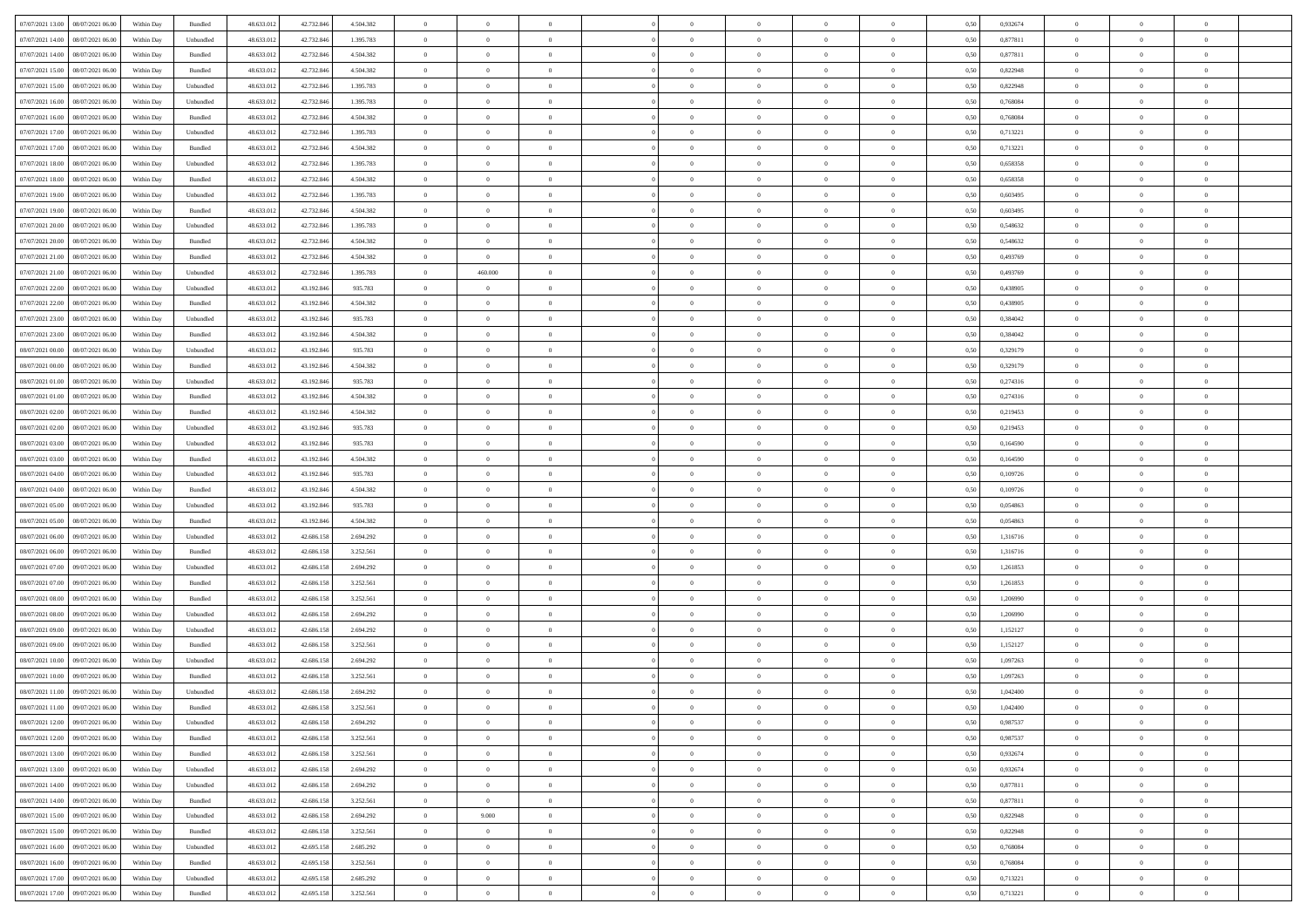| 07/07/2021 13:00   08/07/2021 06:00          | Within Day | Bundled   | 48.633.01  | 42.732.846 | 4.504.382 | $\overline{0}$ | $\overline{0}$ |                | $\overline{0}$ | $\theta$       |                | $\theta$       | 0,50 | 0,932674 | $\theta$       | $\theta$       | $\theta$       |  |
|----------------------------------------------|------------|-----------|------------|------------|-----------|----------------|----------------|----------------|----------------|----------------|----------------|----------------|------|----------|----------------|----------------|----------------|--|
|                                              |            |           |            |            |           |                |                |                |                |                |                |                |      |          |                |                |                |  |
| 07/07/2021 14:00<br>08/07/2021 06:00         | Within Day | Unbundled | 48.633.01  | 42.732.84  | 1.395.783 | $\bf{0}$       | $\bf{0}$       | $\bf{0}$       | $\bf{0}$       | $\overline{0}$ | $\overline{0}$ | $\bf{0}$       | 0,50 | 0,877811 | $\,$ 0 $\,$    | $\bf{0}$       | $\overline{0}$ |  |
| 07/07/2021 14:00<br>08/07/2021 06:00         | Within Day | Bundled   | 48.633.013 | 42.732.846 | 4.504.382 | $\overline{0}$ | $\bf{0}$       | $\overline{0}$ | $\bf{0}$       | $\bf{0}$       | $\overline{0}$ | $\bf{0}$       | 0.50 | 0.877811 | $\bf{0}$       | $\overline{0}$ | $\bf{0}$       |  |
| 07/07/2021 15:00<br>08/07/2021 06:00         | Within Day | Bundled   | 48.633.01  | 42.732.846 | 4.504.382 | $\overline{0}$ | $\overline{0}$ | $\overline{0}$ | $\theta$       | $\theta$       | $\overline{0}$ | $\bf{0}$       | 0,50 | 0,822948 | $\theta$       | $\theta$       | $\overline{0}$ |  |
|                                              |            |           |            |            |           |                |                |                |                |                |                |                |      |          |                |                |                |  |
| 07/07/2021 15:00<br>08/07/2021 06:00         | Within Day | Unbundled | 48.633.01  | 42.732.846 | 1.395.783 | $\bf{0}$       | $\overline{0}$ | $\bf{0}$       | $\overline{0}$ | $\theta$       | $\overline{0}$ | $\bf{0}$       | 0,50 | 0,822948 | $\,$ 0 $\,$    | $\bf{0}$       | $\overline{0}$ |  |
| 07/07/2021 16:00<br>08/07/2021 06:00         | Within Day | Unbundled | 48.633.013 | 42.732.84  | 1.395.783 | $\overline{0}$ | $\overline{0}$ | $\overline{0}$ | $\bf{0}$       | $\overline{0}$ | $\theta$       | $\bf{0}$       | 0.50 | 0.768084 | $\,$ 0 $\,$    | $\theta$       | $\overline{0}$ |  |
| 07/07/2021 16:00<br>08/07/2021 06:00         | Within Day | Bundled   | 48.633.013 | 42.732.846 | 4.504.382 | $\overline{0}$ | $\overline{0}$ | $\overline{0}$ | $\overline{0}$ | $\overline{0}$ | $\overline{0}$ | $\bf{0}$       | 0,50 | 0,768084 | $\theta$       | $\theta$       | $\overline{0}$ |  |
| 07/07/2021 17:00<br>08/07/2021 06:00         | Within Day | Unbundled | 48.633.01  | 42.732.84  | 1.395.783 | $\bf{0}$       | $\overline{0}$ | $\bf{0}$       | $\overline{0}$ | $\overline{0}$ | $\overline{0}$ | $\bf{0}$       | 0,50 | 0,713221 | $\,$ 0 $\,$    | $\bf{0}$       | $\overline{0}$ |  |
| 07/07/2021 17:00<br>08/07/2021 06:00         | Within Day | Bundled   | 48.633.013 | 42.732.84  | 4.504.382 | $\overline{0}$ | $\bf{0}$       | $\overline{0}$ | $\bf{0}$       | $\overline{0}$ | $\overline{0}$ | $\bf{0}$       | 0.50 | 0.713221 | $\bf{0}$       | $\overline{0}$ | $\overline{0}$ |  |
|                                              |            |           |            |            |           |                |                |                |                |                |                |                |      |          |                |                |                |  |
| 07/07/2021 18:00<br>08/07/2021 06:00         | Within Day | Unbundled | 48.633.012 | 42.732.846 | 1.395.783 | $\overline{0}$ | $\bf{0}$       | $\overline{0}$ | $\overline{0}$ | $\overline{0}$ | $\overline{0}$ | $\bf{0}$       | 0,50 | 0,658358 | $\,$ 0 $\,$    | $\bf{0}$       | $\overline{0}$ |  |
| 07/07/2021 18:00<br>08/07/2021 06:00         | Within Day | Bundled   | 48.633.01  | 42.732.846 | 4.504.382 | $\bf{0}$       | $\overline{0}$ | $\bf{0}$       | $\bf{0}$       | $\bf{0}$       | $\overline{0}$ | $\bf{0}$       | 0,50 | 0,658358 | $\,$ 0 $\,$    | $\bf{0}$       | $\overline{0}$ |  |
| 07/07/2021 19:00<br>08/07/2021 06:00         | Within Day | Unbundled | 48.633.013 | 42.732.846 | 1.395.783 | $\overline{0}$ | $\bf{0}$       | $\overline{0}$ | $\overline{0}$ | $\bf{0}$       | $\overline{0}$ | $\bf{0}$       | 0.50 | 0.603495 | $\bf{0}$       | $\overline{0}$ | $\,$ 0         |  |
| 07/07/2021 19:00<br>08/07/2021 06:00         | Within Day | Bundled   | 48.633.01  | 42.732.846 | 4.504.382 | $\overline{0}$ | $\overline{0}$ | $\overline{0}$ | $\theta$       | $\theta$       | $\overline{0}$ | $\bf{0}$       | 0,50 | 0,603495 | $\theta$       | $\theta$       | $\overline{0}$ |  |
|                                              |            |           |            |            |           |                | $\overline{0}$ |                | $\overline{0}$ |                | $\overline{0}$ |                |      |          | $\,$ 0 $\,$    | $\bf{0}$       | $\overline{0}$ |  |
| 07/07/2021 20:00<br>08/07/2021 06:00         | Within Day | Unbundled | 48.633.01  | 42.732.84  | 1.395.783 | $\bf{0}$       |                | $\bf{0}$       |                | $\bf{0}$       |                | $\bf{0}$       | 0,50 | 0,548632 |                |                |                |  |
| 07/07/2021 20:00<br>08/07/2021 06:00         | Within Day | Bundled   | 48.633.013 | 42.732.84  | 4.504.382 | $\overline{0}$ | $\bf{0}$       | $\overline{0}$ | $\bf{0}$       | $\overline{0}$ | $\theta$       | $\bf{0}$       | 0.50 | 0.548632 | $\,$ 0 $\,$    | $\theta$       | $\overline{0}$ |  |
| 07/07/2021 21:00<br>08/07/2021 06:00         | Within Day | Bundled   | 48.633.013 | 42.732.846 | 4.504.382 | $\overline{0}$ | $\overline{0}$ | $\overline{0}$ | $\overline{0}$ | $\overline{0}$ | $\overline{0}$ | $\bf{0}$       | 0,50 | 0,493769 | $\theta$       | $\theta$       | $\overline{0}$ |  |
| 07/07/2021 21:00<br>08/07/2021 06:00         | Within Day | Unbundled | 48.633.01  | 42.732.846 | 1.395.783 | $\bf{0}$       | 460.000        | $\bf{0}$       | $\overline{0}$ | $\bf{0}$       | $\overline{0}$ | $\bf{0}$       | 0,50 | 0,493769 | $\,$ 0 $\,$    | $\bf{0}$       | $\overline{0}$ |  |
| 07/07/2021 22.00<br>08/07/2021 06:00         | Within Day | Unbundled | 48.633.013 | 43.192.84  | 935.783   | $\overline{0}$ | $\bf{0}$       | $\overline{0}$ | $\bf{0}$       | $\overline{0}$ | $\overline{0}$ | $\bf{0}$       | 0.50 | 0.438905 | $\bf{0}$       | $\overline{0}$ | $\bf{0}$       |  |
| 07/07/2021 22:00<br>08/07/2021 06:00         | Within Day | Bundled   | 48.633.013 | 43.192.846 | 4.504.382 | $\bf{0}$       | $\bf{0}$       | $\overline{0}$ | $\overline{0}$ | $\overline{0}$ | $\overline{0}$ | $\bf{0}$       | 0,50 | 0,438905 | $\,$ 0 $\,$    | $\bf{0}$       | $\overline{0}$ |  |
|                                              |            |           |            |            |           |                |                |                |                |                |                |                |      |          |                |                |                |  |
| 07/07/2021 23:00<br>08/07/2021 06:00         | Within Day | Unbundled | 48.633.01  | 43.192.84  | 935.783   | $\bf{0}$       | $\bf{0}$       | $\bf{0}$       | $\bf{0}$       | $\overline{0}$ | $\overline{0}$ | $\bf{0}$       | 0,50 | 0,384042 | $\,$ 0 $\,$    | $\bf{0}$       | $\overline{0}$ |  |
| 07/07/2021 23:00<br>08/07/2021 06:00         | Within Day | Bundled   | 48.633.013 | 43.192.846 | 4.504.382 | $\overline{0}$ | $\bf{0}$       | $\overline{0}$ | $\overline{0}$ | $\bf{0}$       | $\overline{0}$ | $\bf{0}$       | 0.50 | 0.384042 | $\bf{0}$       | $\overline{0}$ | $\,$ 0         |  |
| 08/07/2021 00:00<br>08/07/2021 06:00         | Within Day | Unbundled | 48.633.01  | 43.192.846 | 935.783   | $\overline{0}$ | $\overline{0}$ | $\overline{0}$ | $\overline{0}$ | $\theta$       | $\overline{0}$ | $\bf{0}$       | 0,50 | 0,329179 | $\theta$       | $\theta$       | $\overline{0}$ |  |
| 08/07/2021 00:00<br>08/07/2021 06:00         | Within Day | Bundled   | 48.633.01  | 43.192.84  | 4.504.382 | $\bf{0}$       | $\bf{0}$       | $\bf{0}$       | $\bf{0}$       | $\overline{0}$ | $\overline{0}$ | $\bf{0}$       | 0,50 | 0,329179 | $\,$ 0 $\,$    | $\bf{0}$       | $\overline{0}$ |  |
| 08/07/2021 01:00<br>08/07/2021 06:00         | Within Day | Unbundled | 48.633.013 | 43.192.84  | 935.783   | $\overline{0}$ | $\bf{0}$       | $\overline{0}$ | $\bf{0}$       | $\overline{0}$ | $\theta$       | $\bf{0}$       | 0.50 | 0,274316 | $\,$ 0 $\,$    | $\theta$       | $\overline{0}$ |  |
|                                              |            |           |            |            |           | $\overline{0}$ | $\overline{0}$ | $\overline{0}$ | $\overline{0}$ | $\overline{0}$ | $\overline{0}$ |                |      |          |                | $\theta$       | $\overline{0}$ |  |
| 08/07/2021 01:00<br>08/07/2021 06:00         | Within Day | Bundled   | 48.633.013 | 43.192.846 | 4.504.382 |                |                |                |                |                |                | $\bf{0}$       | 0,50 | 0,274316 | $\,$ 0 $\,$    |                |                |  |
| 08/07/2021 02:00<br>08/07/2021 06:00         | Within Day | Bundled   | 48.633.01  | 43.192.84  | 4.504.382 | $\bf{0}$       | $\overline{0}$ | $\bf{0}$       | $\overline{0}$ | $\bf{0}$       | $\overline{0}$ | $\bf{0}$       | 0,50 | 0,219453 | $\,$ 0 $\,$    | $\bf{0}$       | $\overline{0}$ |  |
| 08/07/2021 02:00<br>08/07/2021 06:00         | Within Day | Unbundled | 48.633.013 | 43.192.84  | 935.783   | $\overline{0}$ | $\bf{0}$       | $\overline{0}$ | $\bf{0}$       | $\overline{0}$ | $\overline{0}$ | $\bf{0}$       | 0.50 | 0.219453 | $\bf{0}$       | $\overline{0}$ | $\overline{0}$ |  |
| 08/07/2021 03:00<br>08/07/2021 06:00         | Within Day | Unbundled | 48.633.013 | 43.192.846 | 935.783   | $\overline{0}$ | $\bf{0}$       | $\overline{0}$ | $\overline{0}$ | $\overline{0}$ | $\overline{0}$ | $\bf{0}$       | 0,50 | 0,164590 | $\theta$       | $\theta$       | $\overline{0}$ |  |
| 08/07/2021 03:00<br>08/07/2021 06:00         | Within Day | Bundled   | 48.633.01  | 43.192.84  | 4.504.382 | $\bf{0}$       | $\bf{0}$       | $\bf{0}$       | $\bf{0}$       | $\overline{0}$ | $\overline{0}$ | $\bf{0}$       | 0,50 | 0,164590 | $\,$ 0 $\,$    | $\bf{0}$       | $\overline{0}$ |  |
| 08/07/2021 04:00<br>08/07/2021 06:00         | Within Day | Unbundled | 48.633.013 | 43.192.846 | 935.783   | $\overline{0}$ | $\bf{0}$       | $\overline{0}$ | $\bf{0}$       | $\bf{0}$       | $\overline{0}$ | $\bf{0}$       | 0.50 | 0.109726 | $\bf{0}$       | $\overline{0}$ | $\,$ 0         |  |
| 08/07/2021 04:00<br>08/07/2021 06:00         | Within Day | Bundled   | 48.633.013 | 43.192.846 | 4.504.382 | $\overline{0}$ | $\overline{0}$ | $\overline{0}$ | $\overline{0}$ | $\overline{0}$ | $\overline{0}$ | $\bf{0}$       | 0.50 | 0,109726 | $\theta$       | $\theta$       | $\overline{0}$ |  |
|                                              |            |           |            |            |           |                |                |                |                |                |                |                |      |          |                |                |                |  |
| 08/07/2021 05:00<br>08/07/2021 06:00         | Within Day | Unbundled | 48.633.01  | 43.192.84  | 935.783   | $\bf{0}$       | $\overline{0}$ | $\bf{0}$       | $\bf{0}$       | $\overline{0}$ | $\overline{0}$ | $\bf{0}$       | 0,50 | 0,054863 | $\,$ 0 $\,$    | $\bf{0}$       | $\overline{0}$ |  |
| 08/07/2021 05:00<br>08/07/2021 06:00         | Within Day | Bundled   | 48.633.013 | 43.192.846 | 4.504.382 | $\overline{0}$ | $\bf{0}$       | $\overline{0}$ | $\bf{0}$       | $\overline{0}$ | $\overline{0}$ | $\bf{0}$       | 0.50 | 0.054863 | $\,$ 0 $\,$    | $\bf{0}$       | $\overline{0}$ |  |
| 08/07/2021 06:00<br>09/07/2021 06:00         | Within Dav | Unbundled | 48.633.013 | 42.686.158 | 2.694.292 | $\overline{0}$ | $\overline{0}$ | $\overline{0}$ | $\overline{0}$ | $\overline{0}$ | $\overline{0}$ | $\bf{0}$       | 0.50 | 1,316716 | $\theta$       | $\theta$       | $\overline{0}$ |  |
| 08/07/2021 06:00<br>09/07/2021 06.00         | Within Day | Bundled   | 48.633.01  | 42.686.158 | 3.252.561 | $\bf{0}$       | $\bf{0}$       | $\bf{0}$       | $\bf{0}$       | $\overline{0}$ | $\overline{0}$ | $\bf{0}$       | 0,50 | 1,316716 | $\,$ 0 $\,$    | $\bf{0}$       | $\overline{0}$ |  |
| 08/07/2021 07:00<br>09/07/2021 06:00         | Within Day | Unbundled | 48.633.013 | 42.686.158 | 2.694.292 | $\overline{0}$ | $\bf{0}$       | $\overline{0}$ | $\bf{0}$       | $\overline{0}$ | $\overline{0}$ | $\bf{0}$       | 0.50 | 1.261853 | $\bf{0}$       | $\overline{0}$ | $\bf{0}$       |  |
| 08/07/2021 07:00<br>09/07/2021 06:00         | Within Day | Bundled   | 48.633.013 | 42.686.158 | 3.252.561 | $\overline{0}$ | $\overline{0}$ | $\overline{0}$ | $\overline{0}$ | $\overline{0}$ | $\overline{0}$ | $\bf{0}$       | 0.50 | 1,261853 | $\theta$       | $\theta$       | $\overline{0}$ |  |
|                                              |            |           |            |            |           |                |                |                |                |                |                |                |      |          |                |                |                |  |
| 08/07/2021 08:00<br>09/07/2021 06.00         | Within Day | Bundled   | 48.633.01  | 42.686.158 | 3.252.561 | $\bf{0}$       | $\bf{0}$       | $\bf{0}$       | $\bf{0}$       | $\overline{0}$ | $\overline{0}$ | $\bf{0}$       | 0,50 | 1,206990 | $\,$ 0 $\,$    | $\bf{0}$       | $\overline{0}$ |  |
| 08/07/2021 08:00<br>09/07/2021 06:00         | Within Day | Unbundled | 48.633.013 | 42.686.158 | 2.694.292 | $\overline{0}$ | $\bf{0}$       | $\overline{0}$ | $\overline{0}$ | $\bf{0}$       | $\overline{0}$ | $\bf{0}$       | 0.50 | 1.206990 | $\bf{0}$       | $\overline{0}$ | $\bf{0}$       |  |
| 08/07/2021 09:00<br>09/07/2021 06:00         | Within Day | Unbundled | 48.633.013 | 42.686.158 | 2.694.292 | $\overline{0}$ | $\overline{0}$ | $\overline{0}$ | $\overline{0}$ | $\overline{0}$ | $\overline{0}$ | $\bf{0}$       | 0.5( | 1,152127 | $\theta$       | $\theta$       | $\overline{0}$ |  |
| 08/07/2021 09:00<br>09/07/2021 06.00         | Within Day | Bundled   | 48.633.01  | 42.686.158 | 3.252.561 | $\bf{0}$       | $\bf{0}$       | $\bf{0}$       | $\bf{0}$       | $\overline{0}$ | $\overline{0}$ | $\bf{0}$       | 0,50 | 1,152127 | $\,$ 0 $\,$    | $\bf{0}$       | $\overline{0}$ |  |
| 08/07/2021 10:00<br>09/07/2021 06:00         | Within Day | Unbundled | 48.633.013 | 42.686.158 | 2.694.292 | $\overline{0}$ | $\overline{0}$ | $\overline{0}$ | $\bf{0}$       | $\overline{0}$ | $\Omega$       | $\bf{0}$       | 0.50 | 1.097263 | $\bf{0}$       | $\theta$       | $\overline{0}$ |  |
| 08/07/2021 10:00<br>09/07/2021 06:00         | Within Dav | Bundled   | 48.633.013 | 42.686.158 | 3.252.561 | $\overline{0}$ | $\overline{0}$ | $\Omega$       | $\overline{0}$ | $\theta$       | $\overline{0}$ | $\overline{0}$ | 0.5( | 1,097263 | $\theta$       | $\theta$       | $\overline{0}$ |  |
|                                              |            |           |            |            |           |                |                |                |                |                |                |                |      |          |                |                |                |  |
| 08/07/2021 11:00<br>09/07/2021 06:00         | Within Day | Unbundled | 48.633.01  | 42.686.158 | 2.694.292 | $\bf{0}$       | $\bf{0}$       | $\overline{0}$ | $\bf{0}$       | $\bf{0}$       | $\overline{0}$ | $\bf{0}$       | 0,50 | 1,042400 | $\overline{0}$ | $\bf{0}$       | $\overline{0}$ |  |
| $08/07/2021\ 11.00 \qquad 09/07/2021\ 06.00$ | Within Day | Bundled   | 48.633.012 | 42.686.158 | 3.252.561 | $\bf{0}$       | $\Omega$       |                | $\Omega$       |                |                |                | 0,50 | 1,042400 | $\bf{0}$       | $\overline{0}$ |                |  |
| 08/07/2021 12:00 09/07/2021 06:00            | Within Day | Unbundled | 48.633.012 | 42.686.158 | 2.694.292 | $\overline{0}$ | $\overline{0}$ | $\overline{0}$ | $\theta$       | $\overline{0}$ | $\overline{0}$ | $\bf{0}$       | 0,50 | 0,987537 | $\theta$       | $\overline{0}$ | $\overline{0}$ |  |
| 08/07/2021 12:00<br>09/07/2021 06:00         | Within Day | Bundled   | 48.633.013 | 42.686.158 | 3.252.561 | $\overline{0}$ | $\bf{0}$       | $\overline{0}$ | $\overline{0}$ | $\bf{0}$       | $\overline{0}$ | $\bf{0}$       | 0,50 | 0,987537 | $\bf{0}$       | $\overline{0}$ | $\bf{0}$       |  |
| 08/07/2021 13:00 09/07/2021 06:00            | Within Day | Bundled   | 48.633.012 | 42.686.158 | 3.252.561 | $\overline{0}$ | $\bf{0}$       | $\overline{0}$ | $\overline{0}$ | $\mathbf{0}$   | $\overline{0}$ | $\,$ 0 $\,$    | 0.50 | 0.932674 | $\overline{0}$ | $\bf{0}$       | $\,$ 0 $\,$    |  |
|                                              |            |           |            |            |           |                |                |                |                |                |                |                |      |          |                |                |                |  |
| 08/07/2021 13:00 09/07/2021 06:00            | Within Day | Unbundled | 48.633.012 | 42.686.158 | 2.694.292 | $\overline{0}$ | $\overline{0}$ | $\overline{0}$ | $\overline{0}$ | $\overline{0}$ | $\overline{0}$ | $\bf{0}$       | 0,50 | 0,932674 | $\overline{0}$ | $\theta$       | $\overline{0}$ |  |
| 08/07/2021 14:00<br>09/07/2021 06:00         | Within Day | Unbundled | 48.633.012 | 42.686.158 | 2.694.292 | $\overline{0}$ | $\bf{0}$       | $\overline{0}$ | $\overline{0}$ | $\overline{0}$ | $\overline{0}$ | $\bf{0}$       | 0,50 | 0,877811 | $\bf{0}$       | $\overline{0}$ | $\overline{0}$ |  |
| 08/07/2021 14:00<br>09/07/2021 06:00         | Within Day | Bundled   | 48.633.012 | 42.686.158 | 3.252.561 | $\overline{0}$ | $\overline{0}$ | $\overline{0}$ | $\overline{0}$ | $\bf{0}$       | $\overline{0}$ | $\bf{0}$       | 0.50 | 0.877811 | $\,$ 0 $\,$    | $\overline{0}$ | $\,$ 0         |  |
| 08/07/2021 15:00<br>09/07/2021 06:00         | Within Dav | Unbundled | 48.633.012 | 42.686.158 | 2.694.292 | $\overline{0}$ | 9.000          | $\overline{0}$ | $\overline{0}$ | $\overline{0}$ | $\overline{0}$ | $\bf{0}$       | 0.50 | 0,822948 | $\overline{0}$ | $\theta$       | $\overline{0}$ |  |
| 09/07/2021 06:00<br>08/07/2021 15:00         | Within Day | Bundled   | 48.633.013 | 42.686.158 | 3.252.561 | $\overline{0}$ | $\bf{0}$       | $\overline{0}$ | $\overline{0}$ | $\overline{0}$ | $\overline{0}$ | $\bf{0}$       | 0,50 | 0,822948 | $\bf{0}$       | $\overline{0}$ | $\overline{0}$ |  |
|                                              |            |           |            |            |           |                |                |                |                |                |                |                |      |          |                |                |                |  |
| 09/07/2021 06:00<br>08/07/2021 16:00         | Within Day | Unbundled | 48.633.012 | 42.695.158 | 2.685.292 | $\overline{0}$ | $\overline{0}$ | $\overline{0}$ | $\overline{0}$ | $\overline{0}$ | $\overline{0}$ | $\bf{0}$       | 0.50 | 0.768084 | $\mathbf{0}$   | $\bf{0}$       | $\,$ 0         |  |
| 08/07/2021 16:00 09/07/2021 06:00            | Within Dav | Bundled   | 48.633.012 | 42.695.158 | 3.252.561 | $\overline{0}$ | $\overline{0}$ | $\overline{0}$ | $\overline{0}$ | $\overline{0}$ | $\overline{0}$ | $\bf{0}$       | 0,50 | 0,768084 | $\overline{0}$ | $\theta$       | $\overline{0}$ |  |
| 08/07/2021 17:00<br>09/07/2021 06.00         | Within Day | Unbundled | 48.633.013 | 42.695.158 | 2.685.292 | $\overline{0}$ | $\bf{0}$       | $\overline{0}$ | $\bf{0}$       | $\overline{0}$ | $\overline{0}$ | $\bf{0}$       | 0,50 | 0,713221 | $\bf{0}$       | $\,$ 0 $\,$    | $\bf{0}$       |  |
| 08/07/2021 17:00 09/07/2021 06:00            | Within Day | Bundled   | 48.633.012 | 42.695.158 | 3.252.561 | $\,$ 0 $\,$    | $\bf{0}$       | $\overline{0}$ | $\overline{0}$ | $\,$ 0 $\,$    | $\overline{0}$ | $\bf{0}$       | 0,50 | 0,713221 | $\overline{0}$ | $\,$ 0 $\,$    | $\,$ 0 $\,$    |  |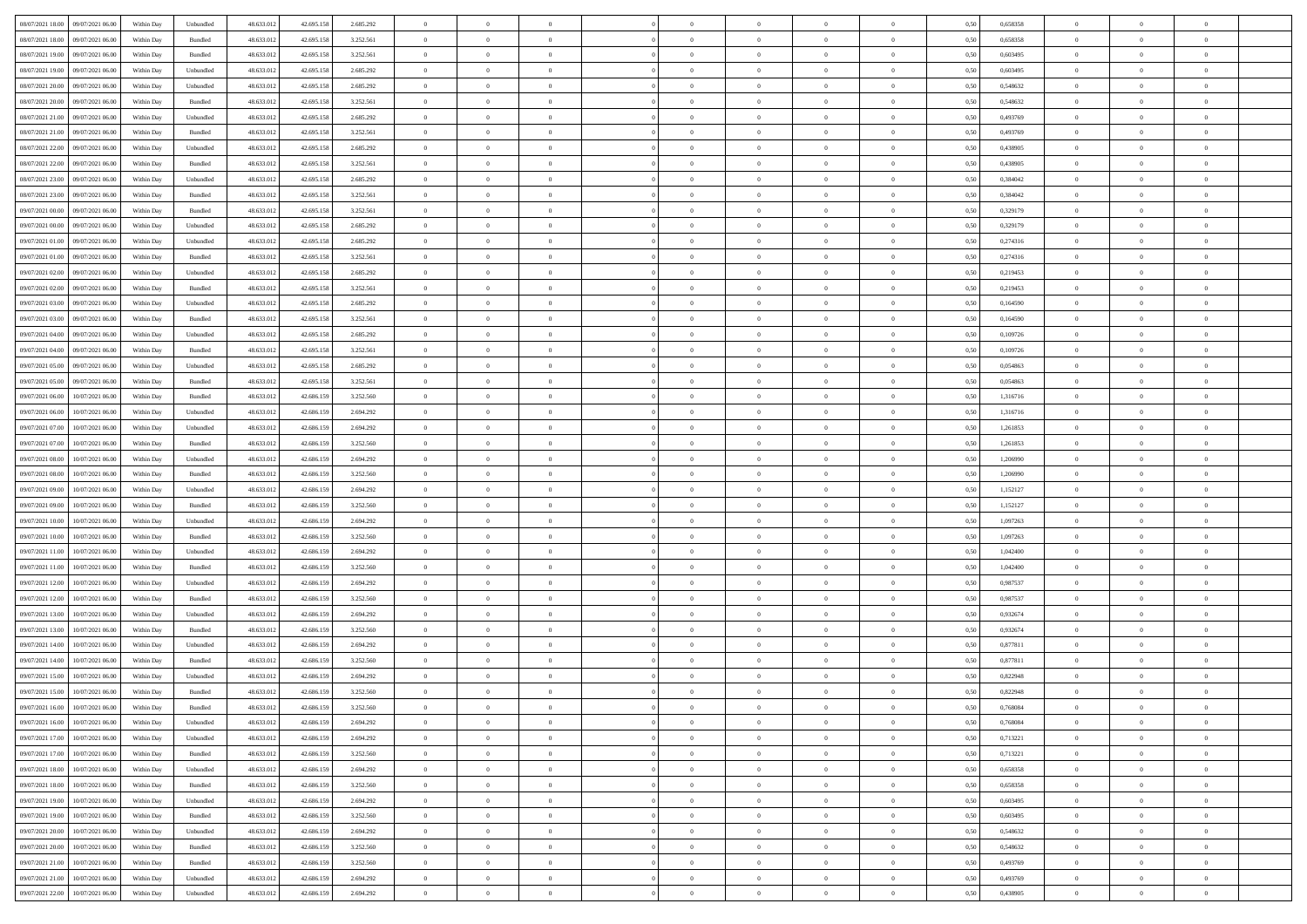|                                              |            |                    |            |            |           | $\overline{0}$ | $\overline{0}$ |                | $\overline{0}$ | $\theta$       |                | $\theta$       |      |          | $\theta$       | $\theta$       | $\overline{0}$ |  |
|----------------------------------------------|------------|--------------------|------------|------------|-----------|----------------|----------------|----------------|----------------|----------------|----------------|----------------|------|----------|----------------|----------------|----------------|--|
| 08/07/2021 18:00 09/07/2021 06:00            | Within Day | Unbundled          | 48.633.01  | 42.695.158 | 2.685.292 |                |                |                |                |                |                |                | 0,50 | 0,658358 |                |                |                |  |
| 08/07/2021 18:00<br>09/07/2021 06.00         | Within Day | Bundled            | 48.633.01  | 42.695.158 | 3.252.561 | $\bf{0}$       | $\bf{0}$       | $\bf{0}$       | $\bf{0}$       | $\overline{0}$ | $\overline{0}$ | $\bf{0}$       | 0,50 | 0,658358 | $\,$ 0 $\,$    | $\bf{0}$       | $\overline{0}$ |  |
| 08/07/2021 19:00<br>09/07/2021 06:00         | Within Day | Bundled            | 48.633.013 | 42.695.158 | 3.252.561 | $\overline{0}$ | $\bf{0}$       | $\overline{0}$ | $\bf{0}$       | $\bf{0}$       | $\overline{0}$ | $\bf{0}$       | 0.50 | 0.603495 | $\bf{0}$       | $\overline{0}$ | $\overline{0}$ |  |
| 08/07/2021 19:00<br>09/07/2021 06:00         | Within Day | Unbundled          | 48.633.01  | 42.695.158 | 2.685.292 | $\overline{0}$ | $\overline{0}$ | $\overline{0}$ | $\theta$       | $\theta$       | $\overline{0}$ | $\bf{0}$       | 0,50 | 0,603495 | $\theta$       | $\theta$       | $\overline{0}$ |  |
| 08/07/2021 20:00<br>09/07/2021 06.00         | Within Day | Unbundled          | 48.633.01  | 42.695.158 | 2.685.292 | $\bf{0}$       | $\overline{0}$ | $\bf{0}$       | $\overline{0}$ | $\theta$       | $\overline{0}$ | $\bf{0}$       | 0,50 | 0,548632 | $\,$ 0 $\,$    | $\bf{0}$       | $\overline{0}$ |  |
| 08/07/2021 20:00<br>09/07/2021 06:00         |            | Bundled            | 48.633.013 | 42.695.158 | 3.252.561 | $\overline{0}$ | $\overline{0}$ | $\overline{0}$ | $\bf{0}$       | $\overline{0}$ | $\theta$       | $\bf{0}$       | 0.50 | 0.548632 | $\,$ 0 $\,$    | $\theta$       | $\overline{0}$ |  |
|                                              | Within Day |                    |            |            |           |                |                |                |                |                |                |                |      |          |                |                |                |  |
| 08/07/2021 21:00<br>09/07/2021 06:00         | Within Day | Unbundled          | 48.633.013 | 42.695.158 | 2.685.292 | $\overline{0}$ | $\overline{0}$ | $\overline{0}$ | $\overline{0}$ | $\overline{0}$ | $\overline{0}$ | $\bf{0}$       | 0,50 | 0,493769 | $\theta$       | $\theta$       | $\overline{0}$ |  |
| 08/07/2021 21:00<br>09/07/2021 06.00         | Within Day | Bundled            | 48.633.01  | 42.695.158 | 3.252.561 | $\bf{0}$       | $\overline{0}$ | $\bf{0}$       | $\overline{0}$ | $\overline{0}$ | $\overline{0}$ | $\bf{0}$       | 0,50 | 0,493769 | $\,$ 0 $\,$    | $\bf{0}$       | $\overline{0}$ |  |
| 08/07/2021 22:00<br>09/07/2021 06:00         | Within Day | Unbundled          | 48.633.013 | 42.695.158 | 2.685.292 | $\overline{0}$ | $\bf{0}$       | $\overline{0}$ | $\bf{0}$       | $\overline{0}$ | $\overline{0}$ | $\bf{0}$       | 0.50 | 0.438905 | $\bf{0}$       | $\overline{0}$ | $\overline{0}$ |  |
| 08/07/2021 22:00<br>09/07/2021 06:00         | Within Day | Bundled            | 48.633.013 | 42.695.158 | 3.252.561 | $\overline{0}$ | $\bf{0}$       | $\overline{0}$ | $\overline{0}$ | $\overline{0}$ | $\overline{0}$ | $\bf{0}$       | 0,50 | 0,438905 | $\,$ 0 $\,$    | $\bf{0}$       | $\overline{0}$ |  |
| 08/07/2021 23:00<br>09/07/2021 06.00         | Within Day | Unbundled          | 48.633.01  | 42.695.158 | 2.685.292 | $\bf{0}$       | $\overline{0}$ | $\bf{0}$       | $\bf{0}$       | $\bf{0}$       | $\overline{0}$ | $\bf{0}$       | 0,50 | 0,384042 | $\,$ 0 $\,$    | $\bf{0}$       | $\overline{0}$ |  |
| 08/07/2021 23:00<br>09/07/2021 06:00         | Within Day | Bundled            | 48.633.013 | 42.695.158 | 3.252.561 | $\overline{0}$ | $\bf{0}$       | $\overline{0}$ | $\overline{0}$ | $\bf{0}$       | $\overline{0}$ | $\bf{0}$       | 0.50 | 0.384042 | $\bf{0}$       | $\overline{0}$ | $\bf{0}$       |  |
| 09/07/2021 00:00<br>09/07/2021 06:00         | Within Day | Bundled            | 48.633.01  | 42.695.158 | 3.252.561 | $\overline{0}$ | $\overline{0}$ | $\overline{0}$ | $\theta$       | $\theta$       | $\overline{0}$ | $\bf{0}$       | 0,50 | 0,329179 | $\,$ 0 $\,$    | $\theta$       | $\overline{0}$ |  |
|                                              |            |                    |            |            |           |                |                |                |                |                |                |                |      |          |                |                |                |  |
| 09/07/2021 00:00<br>09/07/2021 06.00         | Within Day | Unbundled          | 48.633.01  | 42.695.158 | 2.685.292 | $\bf{0}$       | $\overline{0}$ | $\bf{0}$       | $\overline{0}$ | $\bf{0}$       | $\overline{0}$ | $\bf{0}$       | 0,50 | 0,329179 | $\,$ 0 $\,$    | $\bf{0}$       | $\overline{0}$ |  |
| 09/07/2021 01:00<br>09/07/2021 06:00         | Within Day | Unbundled          | 48.633.013 | 42.695.158 | 2.685.292 | $\overline{0}$ | $\overline{0}$ | $\overline{0}$ | $\bf{0}$       | $\overline{0}$ | $\theta$       | $\bf{0}$       | 0.50 | 0,274316 | $\,$ 0 $\,$    | $\theta$       | $\overline{0}$ |  |
| 09/07/2021 01:00<br>09/07/2021 06:00         | Within Day | Bundled            | 48.633.013 | 42.695.158 | 3.252.561 | $\overline{0}$ | $\overline{0}$ | $\overline{0}$ | $\overline{0}$ | $\overline{0}$ | $\overline{0}$ | $\bf{0}$       | 0,50 | 0,274316 | $\theta$       | $\theta$       | $\overline{0}$ |  |
| 09/07/2021 02:00<br>09/07/2021 06.00         | Within Day | Unbundled          | 48.633.01  | 42.695.158 | 2.685.292 | $\bf{0}$       | $\overline{0}$ | $\bf{0}$       | $\overline{0}$ | $\bf{0}$       | $\overline{0}$ | $\bf{0}$       | 0,50 | 0,219453 | $\,$ 0 $\,$    | $\bf{0}$       | $\overline{0}$ |  |
| 09/07/2021 02:00<br>09/07/2021 06:00         | Within Day | Bundled            | 48.633.013 | 42.695.158 | 3.252.561 | $\overline{0}$ | $\bf{0}$       | $\overline{0}$ | $\bf{0}$       | $\overline{0}$ | $\overline{0}$ | $\bf{0}$       | 0.50 | 0.219453 | $\bf{0}$       | $\overline{0}$ | $\overline{0}$ |  |
| 09/07/2021 03:00<br>09/07/2021 06:00         | Within Day | Unbundled          | 48.633.013 | 42.695.158 | 2.685.292 | $\overline{0}$ | $\bf{0}$       | $\overline{0}$ | $\overline{0}$ | $\overline{0}$ | $\overline{0}$ | $\bf{0}$       | 0,50 | 0,164590 | $\,$ 0 $\,$    | $\bf{0}$       | $\overline{0}$ |  |
| 09/07/2021 03:00<br>09/07/2021 06.00         | Within Day | Bundled            | 48.633.01  | 42.695.158 | 3.252.561 | $\bf{0}$       | $\bf{0}$       | $\bf{0}$       | $\bf{0}$       | $\overline{0}$ | $\overline{0}$ | $\bf{0}$       | 0,50 | 0,164590 | $\,$ 0 $\,$    | $\bf{0}$       | $\overline{0}$ |  |
| 09/07/2021 04:00<br>09/07/2021 06:00         | Within Day | Unbundled          | 48.633.013 | 42.695.158 | 2.685.292 | $\overline{0}$ | $\bf{0}$       | $\overline{0}$ | $\overline{0}$ | $\bf{0}$       | $\overline{0}$ | $\bf{0}$       | 0.50 | 0.109726 | $\bf{0}$       | $\overline{0}$ | $\overline{0}$ |  |
|                                              |            |                    |            |            |           |                |                |                |                |                |                |                |      |          |                |                |                |  |
| 09/07/2021 04:00<br>09/07/2021 06:00         | Within Day | Bundled            | 48.633.01  | 42.695.158 | 3.252.561 | $\overline{0}$ | $\overline{0}$ | $\overline{0}$ | $\theta$       | $\theta$       | $\overline{0}$ | $\bf{0}$       | 0,50 | 0,109726 | $\theta$       | $\theta$       | $\overline{0}$ |  |
| 09/07/2021 05:00<br>09/07/2021 06.00         | Within Day | Unbundled          | 48.633.01  | 42.695.158 | 2.685.292 | $\bf{0}$       | $\overline{0}$ | $\bf{0}$       | $\bf{0}$       | $\bf{0}$       | $\overline{0}$ | $\bf{0}$       | 0,50 | 0,054863 | $\,$ 0 $\,$    | $\bf{0}$       | $\overline{0}$ |  |
| 09/07/2021 05:00<br>09/07/2021 06:00         | Within Day | Bundled            | 48.633.013 | 42.695.158 | 3.252.561 | $\overline{0}$ | $\overline{0}$ | $\overline{0}$ | $\bf{0}$       | $\overline{0}$ | $\theta$       | $\bf{0}$       | 0.50 | 0.054863 | $\,$ 0 $\,$    | $\theta$       | $\overline{0}$ |  |
| 09/07/2021 06:00<br>10/07/2021 06:00         | Within Day | Bundled            | 48.633.013 | 42.686.159 | 3.252.560 | $\overline{0}$ | $\overline{0}$ | $\overline{0}$ | $\overline{0}$ | $\overline{0}$ | $\overline{0}$ | $\bf{0}$       | 0,50 | 1,316716 | $\theta$       | $\theta$       | $\overline{0}$ |  |
| 09/07/2021 06:00<br>10/07/2021 06:00         | Within Day | Unbundled          | 48.633.01  | 42.686.15  | 2.694.292 | $\bf{0}$       | $\overline{0}$ | $\bf{0}$       | $\overline{0}$ | $\bf{0}$       | $\overline{0}$ | $\bf{0}$       | 0,50 | 1,316716 | $\,$ 0 $\,$    | $\bf{0}$       | $\overline{0}$ |  |
| 09/07/2021 07:00<br>10/07/2021 06:00         | Within Day | Unbundled          | 48.633.013 | 42.686.159 | 2.694.292 | $\overline{0}$ | $\bf{0}$       | $\overline{0}$ | $\bf{0}$       | $\overline{0}$ | $\overline{0}$ | $\bf{0}$       | 0.50 | 1.261853 | $\bf{0}$       | $\overline{0}$ | $\overline{0}$ |  |
| 09/07/2021 07:00<br>10/07/2021 06:00         | Within Day | Bundled            | 48.633.013 | 42.686.159 | 3.252.560 | $\overline{0}$ | $\overline{0}$ | $\overline{0}$ | $\overline{0}$ | $\overline{0}$ | $\overline{0}$ | $\bf{0}$       | 0,50 | 1,261853 | $\theta$       | $\theta$       | $\overline{0}$ |  |
| 09/07/2021 08:00<br>10/07/2021 06:00         | Within Day | Unbundled          | 48.633.01  | 42.686.159 | 2.694.292 | $\bf{0}$       | $\bf{0}$       | $\bf{0}$       | $\bf{0}$       | $\overline{0}$ | $\overline{0}$ | $\bf{0}$       | 0,50 | 1,206990 | $\,$ 0 $\,$    | $\bf{0}$       | $\overline{0}$ |  |
| 09/07/2021 08:00<br>10/07/2021 06:00         | Within Day | Bundled            | 48.633.013 | 42.686.159 | 3.252.560 | $\overline{0}$ | $\bf{0}$       | $\overline{0}$ | $\bf{0}$       | $\bf{0}$       | $\overline{0}$ | $\bf{0}$       | 0.50 | 1.206990 | $\bf{0}$       | $\overline{0}$ | $\bf{0}$       |  |
|                                              |            |                    |            |            |           |                |                |                |                |                |                |                |      |          |                |                |                |  |
| 09/07/2021 09:00<br>10/07/2021 06:00         | Within Day | Unbundled          | 48.633.013 | 42.686.159 | 2.694.292 | $\overline{0}$ | $\overline{0}$ | $\overline{0}$ | $\overline{0}$ | $\overline{0}$ | $\overline{0}$ | $\bf{0}$       | 0.5( | 1,152127 | $\theta$       | $\theta$       | $\overline{0}$ |  |
| 09/07/2021 09:00<br>10/07/2021 06:00         | Within Day | Bundled            | 48.633.01  | 42.686.159 | 3.252.560 | $\bf{0}$       | $\overline{0}$ | $\bf{0}$       | $\bf{0}$       | $\,$ 0 $\,$    | $\overline{0}$ | $\bf{0}$       | 0,50 | 1,152127 | $\,$ 0 $\,$    | $\bf{0}$       | $\overline{0}$ |  |
| 09/07/2021 10:00<br>10/07/2021 06:00         | Within Day | Unbundled          | 48.633.013 | 42.686.159 | 2.694.292 | $\overline{0}$ | $\bf{0}$       | $\overline{0}$ | $\bf{0}$       | $\overline{0}$ | $\Omega$       | $\bf{0}$       | 0.50 | 1.097263 | $\,$ 0 $\,$    | $\bf{0}$       | $\overline{0}$ |  |
| 09/07/2021 10:00<br>10/07/2021 06:00         | Within Dav | Bundled            | 48.633.013 | 42.686.159 | 3.252.560 | $\overline{0}$ | $\overline{0}$ | $\overline{0}$ | $\overline{0}$ | $\theta$       | $\overline{0}$ | $\bf{0}$       | 0.50 | 1,097263 | $\theta$       | $\theta$       | $\overline{0}$ |  |
| 09/07/2021 11:00<br>10/07/2021 06:00         | Within Day | Unbundled          | 48.633.01  | 42.686.159 | 2.694.292 | $\bf{0}$       | $\bf{0}$       | $\bf{0}$       | $\bf{0}$       | $\bf{0}$       | $\overline{0}$ | $\bf{0}$       | 0,50 | 1,042400 | $\,$ 0 $\,$    | $\bf{0}$       | $\overline{0}$ |  |
| 09/07/2021 11:00<br>10/07/2021 06:00         | Within Day | Bundled            | 48.633.013 | 42.686.159 | 3.252.560 | $\overline{0}$ | $\bf{0}$       | $\overline{0}$ | $\bf{0}$       | $\overline{0}$ | $\overline{0}$ | $\bf{0}$       | 0.50 | 1.042400 | $\bf{0}$       | $\overline{0}$ | $\overline{0}$ |  |
| 09/07/2021 12:00<br>10/07/2021 06:00         | Within Dav | Unbundled          | 48.633.013 | 42.686.159 | 2.694.292 | $\overline{0}$ | $\overline{0}$ | $\overline{0}$ | $\overline{0}$ | $\overline{0}$ | $\overline{0}$ | $\bf{0}$       | 0.50 | 0,987537 | $\theta$       | $\theta$       | $\overline{0}$ |  |
| 09/07/2021 12:00<br>10/07/2021 06:00         | Within Day | Bundled            | 48.633.01  | 42.686.159 | 3.252.560 | $\bf{0}$       | $\bf{0}$       | $\bf{0}$       | $\bf{0}$       | $\overline{0}$ | $\overline{0}$ | $\bf{0}$       | 0,50 | 0,987537 | $\,$ 0 $\,$    | $\bf{0}$       | $\overline{0}$ |  |
| 10/07/2021 06:00                             |            |                    | 48.633.013 |            |           |                |                | $\overline{0}$ |                |                | $\overline{0}$ |                | 0.50 | 0.932674 |                |                |                |  |
| 09/07/2021 13:00                             | Within Day | Unbundled          |            | 42.686.159 | 2.694.292 | $\overline{0}$ | $\bf{0}$       |                | $\overline{0}$ | $\bf{0}$       |                | $\bf{0}$       |      |          | $\bf{0}$       | $\overline{0}$ | $\overline{0}$ |  |
| 09/07/2021 13:00<br>10/07/2021 06:00         | Within Day | Bundled            | 48.633.013 | 42.686.159 | 3.252.560 | $\overline{0}$ | $\overline{0}$ | $\overline{0}$ | $\overline{0}$ | $\overline{0}$ | $\overline{0}$ | $\bf{0}$       | 0.50 | 0,932674 | $\theta$       | $\theta$       | $\overline{0}$ |  |
| 09/07/2021 14:00<br>10/07/2021 06:00         | Within Day | Unbundled          | 48.633.01  | 42.686.159 | 2.694.292 | $\bf{0}$       | $\bf{0}$       | $\bf{0}$       | $\bf{0}$       | $\overline{0}$ | $\overline{0}$ | $\bf{0}$       | 0,50 | 0,877811 | $\,$ 0 $\,$    | $\bf{0}$       | $\overline{0}$ |  |
| 09/07/2021 14:00<br>10/07/2021 06:00         | Within Day | Bundled            | 48.633.013 | 42.686.159 | 3.252.560 | $\overline{0}$ | $\overline{0}$ | $\overline{0}$ | $\bf{0}$       | $\overline{0}$ | $\Omega$       | $\bf{0}$       | 0.50 | 0.877811 | $\bf{0}$       | $\theta$       | $\overline{0}$ |  |
| 09/07/2021 15:00<br>10/07/2021 06:00         | Within Dav | Unbundled          | 48.633.013 | 42.686.159 | 2.694.292 | $\overline{0}$ | $\overline{0}$ | $\Omega$       | $\overline{0}$ | $\theta$       | $\Omega$       | $\overline{0}$ | 0.5( | 0,822948 | $\theta$       | $\theta$       | $\overline{0}$ |  |
| 09/07/2021 15:00<br>10/07/2021 06:00         | Within Day | Bundled            | 48.633.01  | 42.686.159 | 3.252.560 | $\bf{0}$       | $\bf{0}$       | $\overline{0}$ | $\bf{0}$       | $\bf{0}$       | $\overline{0}$ | $\bf{0}$       | 0,50 | 0,822948 | $\,$ 0 $\,$    | $\bf{0}$       | $\overline{0}$ |  |
| $09/07/2021\ 16.00 \qquad 10/07/2021\ 06.00$ | Within Day | $\mathbf B$ undled | 48.633.012 | 42.686.159 | 3.252.560 | $\overline{0}$ | $\Omega$       |                | $\Omega$       |                |                |                | 0,50 | 0.768084 | $\theta$       | $\overline{0}$ |                |  |
| 09/07/2021 16:00 10/07/2021 06:00            | Within Day | Unbundled          | 48.633.012 | 42.686.159 | 2.694.292 | $\overline{0}$ | $\overline{0}$ | $\overline{0}$ | $\theta$       | $\overline{0}$ | $\overline{0}$ | $\bf{0}$       | 0,50 | 0,768084 | $\theta$       | $\overline{0}$ | $\overline{0}$ |  |
| 09/07/2021 17:00<br>10/07/2021 06:00         | Within Day | Unbundled          | 48.633.013 | 42.686.159 | 2.694.292 | $\overline{0}$ | $\bf{0}$       | $\overline{0}$ | $\overline{0}$ | $\bf{0}$       | $\overline{0}$ |                | 0,50 | 0,713221 | $\bf{0}$       | $\overline{0}$ | $\bf{0}$       |  |
|                                              |            |                    |            |            |           |                |                |                |                |                |                | $\bf{0}$       |      |          |                |                |                |  |
| 09/07/2021 17:00 10/07/2021 06:00            | Within Day | Bundled            | 48.633.012 | 42.686.159 | 3.252.560 | $\overline{0}$ | $\bf{0}$       | $\overline{0}$ | $\overline{0}$ | $\mathbf{0}$   | $\overline{0}$ | $\,$ 0 $\,$    | 0.50 | 0,713221 | $\overline{0}$ | $\bf{0}$       | $\,$ 0 $\,$    |  |
| 09/07/2021 18:00<br>10/07/2021 06:00         | Within Day | Unbundled          | 48.633.012 | 42.686.159 | 2.694.292 | $\overline{0}$ | $\overline{0}$ | $\overline{0}$ | $\overline{0}$ | $\overline{0}$ | $\overline{0}$ | $\bf{0}$       | 0,50 | 0,658358 | $\overline{0}$ | $\theta$       | $\overline{0}$ |  |
| 09/07/2021 18:00<br>10/07/2021 06:00         | Within Day | Bundled            | 48.633.012 | 42.686.159 | 3.252.560 | $\overline{0}$ | $\bf{0}$       | $\overline{0}$ | $\overline{0}$ | $\overline{0}$ | $\overline{0}$ | $\bf{0}$       | 0,50 | 0,658358 | $\bf{0}$       | $\overline{0}$ | $\overline{0}$ |  |
| 09/07/2021 19:00<br>10/07/2021 06:00         | Within Day | Unbundled          | 48.633.012 | 42.686.159 | 2.694.292 | $\overline{0}$ | $\bf{0}$       | $\overline{0}$ | $\overline{0}$ | $\bf{0}$       | $\overline{0}$ | $\bf{0}$       | 0.50 | 0.603495 | $\,$ 0 $\,$    | $\overline{0}$ | $\,$ 0         |  |
| 09/07/2021 19:00<br>10/07/2021 06:00         | Within Dav | Bundled            | 48.633.012 | 42.686.159 | 3.252.560 | $\overline{0}$ | $\overline{0}$ | $\overline{0}$ | $\overline{0}$ | $\overline{0}$ | $\overline{0}$ | $\bf{0}$       | 0.50 | 0,603495 | $\overline{0}$ | $\theta$       | $\overline{0}$ |  |
| 09/07/2021 20:00<br>10/07/2021 06:00         | Within Day | Unbundled          | 48.633.013 | 42.686.159 | 2.694.292 | $\overline{0}$ | $\overline{0}$ | $\overline{0}$ | $\overline{0}$ | $\overline{0}$ | $\overline{0}$ | $\bf{0}$       | 0,50 | 0,548632 | $\bf{0}$       | $\overline{0}$ | $\,$ 0         |  |
| 10/07/2021 06:00<br>09/07/2021 20:00         | Within Day | Bundled            | 48.633.012 | 42.686.159 | 3.252.560 | $\overline{0}$ | $\overline{0}$ | $\overline{0}$ | $\overline{0}$ | $\overline{0}$ | $\overline{0}$ | $\bf{0}$       | 0.50 | 0.548632 | $\mathbf{0}$   | $\bf{0}$       | $\,$ 0         |  |
| 10/07/2021 06:00                             |            |                    |            |            |           |                | $\overline{0}$ |                |                | $\overline{0}$ |                |                |      |          |                | $\theta$       | $\overline{0}$ |  |
| 09/07/2021 21:00                             | Within Dav | Bundled            | 48.633.012 | 42.686.159 | 3.252.560 | $\overline{0}$ |                | $\overline{0}$ | $\overline{0}$ |                | $\overline{0}$ | $\bf{0}$       | 0,50 | 0,493769 | $\overline{0}$ |                |                |  |
| 09/07/2021 21:00<br>10/07/2021 06:00         | Within Day | Unbundled          | 48.633.013 | 42.686.159 | 2.694.292 | $\overline{0}$ | $\bf{0}$       | $\overline{0}$ | $\overline{0}$ | $\overline{0}$ | $\overline{0}$ | $\bf{0}$       | 0,50 | 0,493769 | $\bf{0}$       | $\,$ 0 $\,$    | $\bf{0}$       |  |
| 09/07/2021 22:00 10/07/2021 06:00            | Within Day | Unbundled          | 48.633.012 | 42.686.159 | 2.694.292 | $\,$ 0 $\,$    | $\bf{0}$       | $\overline{0}$ | $\overline{0}$ | $\,$ 0 $\,$    | $\overline{0}$ | $\,$ 0 $\,$    | 0,50 | 0,438905 | $\overline{0}$ | $\,$ 0 $\,$    | $\,$ 0 $\,$    |  |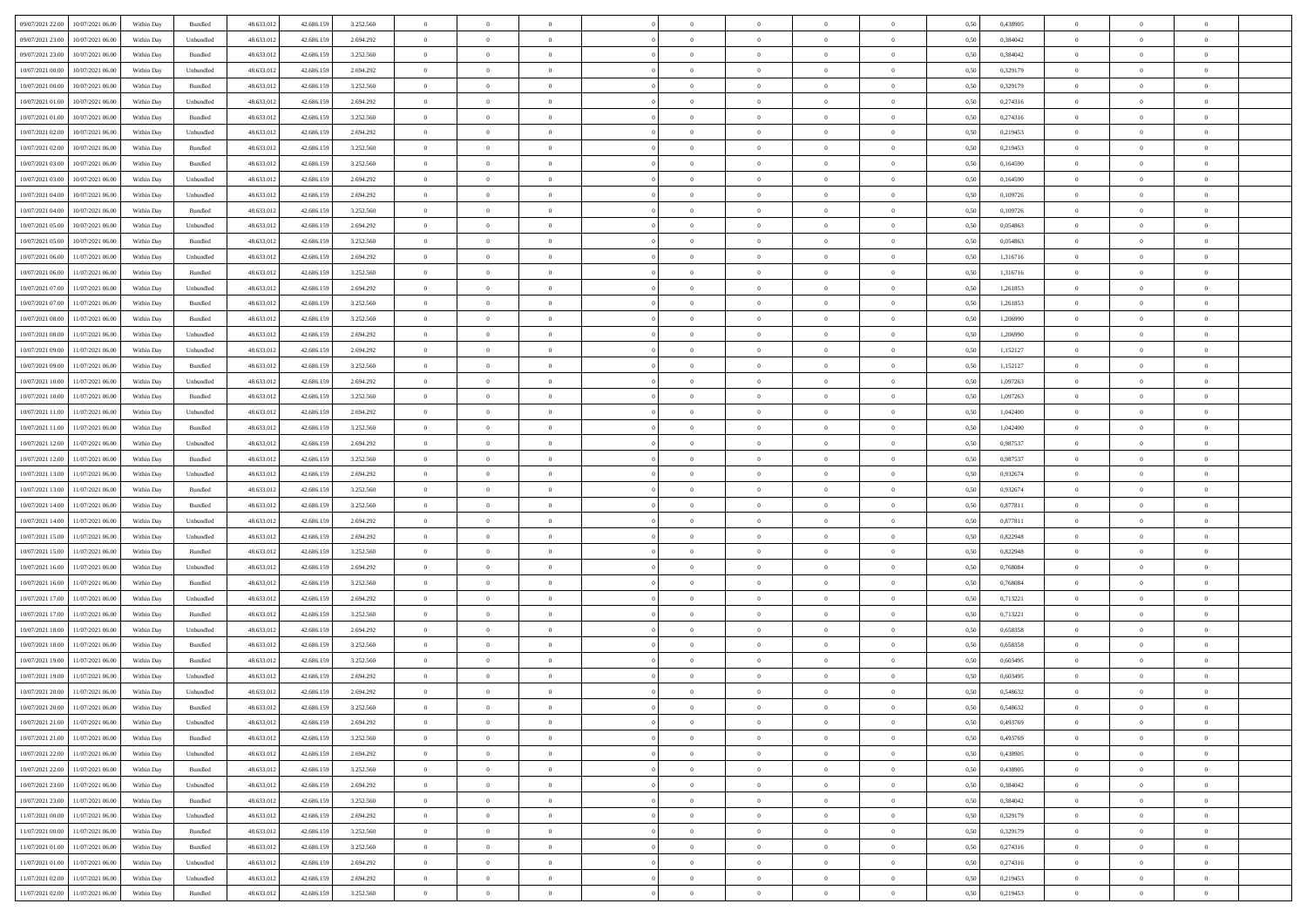|                                              |            |                    |            |            |           | $\overline{0}$ | $\overline{0}$ |                | $\overline{0}$ | $\theta$       |                | $\theta$       |      |          | $\theta$       | $\theta$       | $\theta$       |  |
|----------------------------------------------|------------|--------------------|------------|------------|-----------|----------------|----------------|----------------|----------------|----------------|----------------|----------------|------|----------|----------------|----------------|----------------|--|
| 09/07/2021 22.00<br>10/07/2021 06:00         | Within Day | Bundled            | 48.633.01  | 42.686.159 | 3.252.560 |                |                |                |                |                |                |                | 0,50 | 0,438905 |                |                |                |  |
| 09/07/2021 23:00<br>10/07/2021 06:00         | Within Day | Unbundled          | 48.633.01  | 42.686.15  | 2.694.292 | $\bf{0}$       | $\bf{0}$       | $\bf{0}$       | $\bf{0}$       | $\overline{0}$ | $\overline{0}$ | $\bf{0}$       | 0,50 | 0,384042 | $\,$ 0 $\,$    | $\bf{0}$       | $\overline{0}$ |  |
| 09/07/2021 23:00<br>10/07/2021 06:00         | Within Day | Bundled            | 48.633.013 | 42.686.159 | 3.252.560 | $\overline{0}$ | $\bf{0}$       | $\overline{0}$ | $\bf{0}$       | $\bf{0}$       | $\overline{0}$ | $\bf{0}$       | 0.50 | 0.384042 | $\bf{0}$       | $\overline{0}$ | $\overline{0}$ |  |
| 10/07/2021 00:00<br>10/07/2021 06:00         | Within Day | Unbundled          | 48.633.013 | 42.686.159 | 2.694.292 | $\overline{0}$ | $\bf{0}$       | $\overline{0}$ | $\theta$       | $\theta$       | $\overline{0}$ | $\bf{0}$       | 0,50 | 0,329179 | $\theta$       | $\theta$       | $\overline{0}$ |  |
| 10/07/2021 00:00<br>10/07/2021 06:00         | Within Day | Bundled            | 48.633.01  | 42.686.159 | 3.252.560 | $\overline{0}$ | $\overline{0}$ | $\bf{0}$       | $\overline{0}$ | $\theta$       | $\overline{0}$ | $\bf{0}$       | 0,50 | 0,329179 | $\,$ 0 $\,$    | $\bf{0}$       | $\overline{0}$ |  |
| 10/07/2021 01:00<br>10/07/2021 06:00         |            | Unbundled          | 48.633.013 | 42.686.159 | 2.694.292 | $\overline{0}$ | $\overline{0}$ | $\overline{0}$ | $\bf{0}$       | $\overline{0}$ | $\theta$       | $\bf{0}$       | 0.50 | 0,274316 | $\,$ 0 $\,$    | $\theta$       | $\overline{0}$ |  |
|                                              | Within Day |                    |            |            |           |                |                |                |                |                |                |                |      |          |                |                |                |  |
| 10/07/2021 01:00<br>10/07/2021 06:00         | Within Day | Bundled            | 48.633.013 | 42.686.159 | 3.252.560 | $\overline{0}$ | $\overline{0}$ | $\overline{0}$ | $\overline{0}$ | $\overline{0}$ | $\overline{0}$ | $\bf{0}$       | 0,50 | 0,274316 | $\theta$       | $\theta$       | $\overline{0}$ |  |
| 10/07/2021 02:00<br>10/07/2021 06:00         | Within Day | Unbundled          | 48.633.01  | 42.686.15  | 2.694.292 | $\overline{0}$ | $\overline{0}$ | $\bf{0}$       | $\overline{0}$ | $\overline{0}$ | $\overline{0}$ | $\bf{0}$       | 0,50 | 0,219453 | $\,$ 0 $\,$    | $\bf{0}$       | $\overline{0}$ |  |
| 10/07/2021 02:00<br>10/07/2021 06:00         | Within Day | Bundled            | 48.633.013 | 42.686.159 | 3.252.560 | $\overline{0}$ | $\bf{0}$       | $\overline{0}$ | $\bf{0}$       | $\overline{0}$ | $\overline{0}$ | $\bf{0}$       | 0.50 | 0.219453 | $\bf{0}$       | $\overline{0}$ | $\overline{0}$ |  |
| 10/07/2021 03:00<br>10/07/2021 06:00         | Within Day | Bundled            | 48.633.013 | 42.686.159 | 3.252.560 | $\overline{0}$ | $\bf{0}$       | $\overline{0}$ | $\overline{0}$ | $\overline{0}$ | $\overline{0}$ | $\bf{0}$       | 0,50 | 0,164590 | $\,$ 0 $\,$    | $\bf{0}$       | $\overline{0}$ |  |
| 10/07/2021 03:00<br>10/07/2021 06:00         | Within Day | Unbundled          | 48.633.01  | 42.686.159 | 2.694.292 | $\bf{0}$       | $\overline{0}$ | $\bf{0}$       | $\bf{0}$       | $\bf{0}$       | $\overline{0}$ | $\bf{0}$       | 0,50 | 0,164590 | $\,$ 0 $\,$    | $\bf{0}$       | $\overline{0}$ |  |
| 10/07/2021 04:00<br>10/07/2021 06:00         | Within Day | Unbundled          | 48.633.013 | 42.686.159 | 2.694.292 | $\overline{0}$ | $\bf{0}$       | $\overline{0}$ | $\bf{0}$       | $\bf{0}$       | $\overline{0}$ | $\bf{0}$       | 0.50 | 0.109726 | $\bf{0}$       | $\overline{0}$ | $\bf{0}$       |  |
| 10/07/2021 04:00<br>10/07/2021 06:00         | Within Day | Bundled            | 48.633.01  | 42.686.159 | 3.252.560 | $\overline{0}$ | $\overline{0}$ | $\overline{0}$ | $\theta$       | $\theta$       | $\overline{0}$ | $\bf{0}$       | 0,50 | 0,109726 | $\,$ 0 $\,$    | $\theta$       | $\overline{0}$ |  |
|                                              |            |                    |            |            |           |                |                |                |                |                |                |                |      |          |                |                |                |  |
| 10/07/2021 05:00<br>10/07/2021 06:00         | Within Day | Unbundled          | 48.633.01  | 42.686.15  | 2.694.292 | $\bf{0}$       | $\overline{0}$ | $\bf{0}$       | $\overline{0}$ | $\bf{0}$       | $\overline{0}$ | $\bf{0}$       | 0,50 | 0,054863 | $\,$ 0 $\,$    | $\bf{0}$       | $\overline{0}$ |  |
| 10/07/2021 05:00<br>10/07/2021 06:00         | Within Day | Bundled            | 48.633.013 | 42.686.159 | 3.252.560 | $\overline{0}$ | $\overline{0}$ | $\overline{0}$ | $\bf{0}$       | $\overline{0}$ | $\theta$       | $\bf{0}$       | 0.50 | 0.054863 | $\,$ 0 $\,$    | $\theta$       | $\overline{0}$ |  |
| 10/07/2021 06:00<br>11/07/2021 06:00         | Within Day | Unbundled          | 48.633.013 | 42.686.159 | 2.694.292 | $\overline{0}$ | $\overline{0}$ | $\overline{0}$ | $\overline{0}$ | $\overline{0}$ | $\overline{0}$ | $\bf{0}$       | 0,50 | 1,316716 | $\theta$       | $\theta$       | $\overline{0}$ |  |
| 10/07/2021 06:00<br>11/07/2021 06:00         | Within Day | Bundled            | 48.633.01  | 42.686.159 | 3.252.560 | $\bf{0}$       | $\overline{0}$ | $\bf{0}$       | $\overline{0}$ | $\bf{0}$       | $\overline{0}$ | $\bf{0}$       | 0,50 | 1,316716 | $\,$ 0 $\,$    | $\bf{0}$       | $\overline{0}$ |  |
| 10/07/2021 07:00<br>11/07/2021 06:00         | Within Day | Unbundled          | 48.633.013 | 42.686.159 | 2.694.292 | $\overline{0}$ | $\bf{0}$       | $\overline{0}$ | $\bf{0}$       | $\overline{0}$ | $\overline{0}$ | $\bf{0}$       | 0.50 | 1.261853 | $\bf{0}$       | $\overline{0}$ | $\overline{0}$ |  |
| 10/07/2021 07:00<br>11/07/2021 06:00         | Within Day | Bundled            | 48.633.013 | 42.686.159 | 3.252.560 | $\overline{0}$ | $\bf{0}$       | $\overline{0}$ | $\overline{0}$ | $\overline{0}$ | $\overline{0}$ | $\bf{0}$       | 0,50 | 1,261853 | $\,$ 0 $\,$    | $\bf{0}$       | $\overline{0}$ |  |
| 10/07/2021 08:00<br>11/07/2021 06:00         | Within Day | Bundled            | 48.633.01  | 42.686.159 | 3.252.560 | $\bf{0}$       | $\bf{0}$       | $\bf{0}$       | $\bf{0}$       | $\overline{0}$ | $\overline{0}$ | $\bf{0}$       | 0,50 | 1,206990 | $\,$ 0 $\,$    | $\bf{0}$       | $\overline{0}$ |  |
| 10/07/2021 08:00<br>11/07/2021 06:00         |            | Unbundled          | 48.633.013 |            |           |                | $\bf{0}$       | $\overline{0}$ |                | $\bf{0}$       | $\overline{0}$ |                | 0.50 | 1.206990 | $\bf{0}$       | $\overline{0}$ | $\bf{0}$       |  |
|                                              | Within Day |                    |            | 42.686.159 | 2.694.292 | $\overline{0}$ |                |                | $\bf{0}$       |                |                | $\bf{0}$       |      |          |                |                |                |  |
| 10/07/2021 09:00<br>11/07/2021 06:00         | Within Day | Unbundled          | 48.633.01  | 42.686.159 | 2.694.292 | $\overline{0}$ | $\overline{0}$ | $\overline{0}$ | $\theta$       | $\theta$       | $\overline{0}$ | $\bf{0}$       | 0,50 | 1,152127 | $\theta$       | $\theta$       | $\overline{0}$ |  |
| 10/07/2021 09:00<br>11/07/2021 06:00         | Within Day | Bundled            | 48.633.01  | 42.686.159 | 3.252.560 | $\bf{0}$       | $\overline{0}$ | $\bf{0}$       | $\bf{0}$       | $\bf{0}$       | $\overline{0}$ | $\bf{0}$       | 0,50 | 1,152127 | $\,$ 0 $\,$    | $\bf{0}$       | $\overline{0}$ |  |
| 10/07/2021 10:00<br>11/07/2021 06:00         | Within Day | Unbundled          | 48.633.013 | 42.686.159 | 2.694.292 | $\overline{0}$ | $\overline{0}$ | $\overline{0}$ | $\bf{0}$       | $\overline{0}$ | $\theta$       | $\bf{0}$       | 0.50 | 1.097263 | $\,$ 0 $\,$    | $\theta$       | $\overline{0}$ |  |
| 10/07/2021 10:00<br>11/07/2021 06:00         | Within Day | Bundled            | 48.633.013 | 42.686.159 | 3.252.560 | $\overline{0}$ | $\overline{0}$ | $\overline{0}$ | $\overline{0}$ | $\overline{0}$ | $\overline{0}$ | $\bf{0}$       | 0,50 | 1,097263 | $\theta$       | $\theta$       | $\overline{0}$ |  |
| 10/07/2021 11:00<br>11/07/2021 06:00         | Within Day | Unbundled          | 48.633.01  | 42.686.15  | 2.694.292 | $\bf{0}$       | $\overline{0}$ | $\bf{0}$       | $\overline{0}$ | $\bf{0}$       | $\overline{0}$ | $\bf{0}$       | 0,50 | 1,042400 | $\,$ 0 $\,$    | $\bf{0}$       | $\overline{0}$ |  |
| 10/07/2021 11:00<br>11/07/2021 06:00         | Within Day | Bundled            | 48.633.013 | 42.686.159 | 3.252.560 | $\overline{0}$ | $\bf{0}$       | $\overline{0}$ | $\bf{0}$       | $\overline{0}$ | $\overline{0}$ | $\bf{0}$       | 0.50 | 1.042400 | $\bf{0}$       | $\overline{0}$ | $\overline{0}$ |  |
| 10/07/2021 12:00<br>11/07/2021 06:00         | Within Day | Unbundled          | 48.633.01  | 42.686.159 | 2.694.292 | $\overline{0}$ | $\overline{0}$ | $\overline{0}$ | $\overline{0}$ | $\overline{0}$ | $\overline{0}$ | $\bf{0}$       | 0,50 | 0,987537 | $\theta$       | $\theta$       | $\overline{0}$ |  |
| 10/07/2021 12:00<br>11/07/2021 06:00         | Within Day | Bundled            | 48.633.01  | 42.686.159 | 3.252.560 | $\bf{0}$       | $\bf{0}$       | $\bf{0}$       | $\bf{0}$       | $\overline{0}$ | $\overline{0}$ | $\bf{0}$       | 0,50 | 0,987537 | $\,$ 0 $\,$    | $\bf{0}$       | $\overline{0}$ |  |
|                                              |            |                    |            |            |           |                |                |                |                |                |                |                |      |          |                |                |                |  |
| 10/07/2021 13:00<br>11/07/2021 06:00         | Within Day | Unbundled          | 48.633.013 | 42.686.159 | 2.694.292 | $\overline{0}$ | $\bf{0}$       | $\overline{0}$ | $\bf{0}$       | $\bf{0}$       | $\overline{0}$ | $\bf{0}$       | 0.50 | 0.932674 | $\bf{0}$       | $\overline{0}$ | $\bf{0}$       |  |
| 10/07/2021 13:00<br>11/07/2021 06:00         | Within Day | Bundled            | 48.633.013 | 42.686.159 | 3.252.560 | $\overline{0}$ | $\overline{0}$ | $\overline{0}$ | $\overline{0}$ | $\overline{0}$ | $\overline{0}$ | $\bf{0}$       | 0.50 | 0,932674 | $\theta$       | $\theta$       | $\overline{0}$ |  |
| 10/07/2021 14:00<br>11/07/2021 06:00         | Within Day | Bundled            | 48.633.01  | 42.686.159 | 3.252.560 | $\bf{0}$       | $\overline{0}$ | $\bf{0}$       | $\bf{0}$       | $\,$ 0 $\,$    | $\overline{0}$ | $\bf{0}$       | 0,50 | 0,877811 | $\,$ 0 $\,$    | $\bf{0}$       | $\overline{0}$ |  |
| 10/07/2021 14:00<br>11/07/2021 06:00         | Within Day | Unbundled          | 48.633.013 | 42.686.159 | 2.694.292 | $\overline{0}$ | $\bf{0}$       | $\overline{0}$ | $\bf{0}$       | $\overline{0}$ | $\Omega$       | $\bf{0}$       | 0.50 | 0.877811 | $\,$ 0 $\,$    | $\theta$       | $\overline{0}$ |  |
| 10/07/2021 15:00<br>11/07/2021 06:00         | Within Dav | Unbundled          | 48.633.013 | 42.686.159 | 2.694.292 | $\overline{0}$ | $\overline{0}$ | $\overline{0}$ | $\overline{0}$ | $\theta$       | $\overline{0}$ | $\overline{0}$ | 0.5( | 0,822948 | $\theta$       | $\theta$       | $\overline{0}$ |  |
| 10/07/2021 15:00<br>11/07/2021 06:00         | Within Day | Bundled            | 48.633.01  | 42.686.159 | 3.252.560 | $\bf{0}$       | $\bf{0}$       | $\bf{0}$       | $\bf{0}$       | $\bf{0}$       | $\overline{0}$ | $\bf{0}$       | 0,50 | 0,822948 | $\,$ 0 $\,$    | $\bf{0}$       | $\overline{0}$ |  |
| 10/07/2021 16:00<br>11/07/2021 06:00         | Within Day | Unbundled          | 48.633.013 | 42.686.159 | 2.694.292 | $\overline{0}$ | $\bf{0}$       | $\overline{0}$ | $\bf{0}$       | $\overline{0}$ | $\overline{0}$ | $\bf{0}$       | 0.50 | 0.768084 | $\bf{0}$       | $\overline{0}$ | $\overline{0}$ |  |
| 10/07/2021 16:00<br>11/07/2021 06:00         | Within Dav | Bundled            | 48.633.013 | 42.686.159 | 3.252.560 | $\overline{0}$ | $\overline{0}$ | $\overline{0}$ | $\overline{0}$ | $\overline{0}$ | $\overline{0}$ | $\bf{0}$       | 0.50 | 0.768084 | $\theta$       | $\theta$       | $\overline{0}$ |  |
| 11/07/2021 06:00                             | Within Day | Unbundled          | 48.633.01  | 42.686.159 | 2.694.292 | $\bf{0}$       | $\bf{0}$       | $\bf{0}$       | $\bf{0}$       | $\overline{0}$ | $\overline{0}$ | $\bf{0}$       | 0,50 | 0,713221 | $\,$ 0 $\,$    | $\bf{0}$       | $\overline{0}$ |  |
| 10/07/2021 17:00                             |            |                    |            |            |           |                |                |                |                |                |                |                |      |          |                |                |                |  |
| 10/07/2021 17:00<br>11/07/2021 06:00         | Within Day | Bundled            | 48.633.013 | 42.686.159 | 3.252.560 | $\overline{0}$ | $\bf{0}$       | $\overline{0}$ | $\bf{0}$       | $\bf{0}$       | $\overline{0}$ | $\bf{0}$       | 0.50 | 0,713221 | $\bf{0}$       | $\overline{0}$ | $\overline{0}$ |  |
| 10/07/2021 18:00<br>11/07/2021 06:00         | Within Dav | Unbundled          | 48.633.013 | 42.686.159 | 2.694.292 | $\overline{0}$ | $\overline{0}$ | $\overline{0}$ | $\overline{0}$ | $\overline{0}$ | $\overline{0}$ | $\bf{0}$       | 0.5( | 0,658358 | $\theta$       | $\theta$       | $\overline{0}$ |  |
| 10/07/2021 18:00<br>11/07/2021 06:00         | Within Day | Bundled            | 48.633.01  | 42.686.159 | 3.252.560 | $\bf{0}$       | $\bf{0}$       | $\bf{0}$       | $\bf{0}$       | $\overline{0}$ | $\overline{0}$ | $\bf{0}$       | 0,50 | 0,658358 | $\,$ 0 $\,$    | $\bf{0}$       | $\overline{0}$ |  |
| 10/07/2021 19:00<br>11/07/2021 06:00         | Within Day | Bundled            | 48.633.013 | 42.686.159 | 3.252.560 | $\overline{0}$ | $\overline{0}$ | $\overline{0}$ | $\bf{0}$       | $\overline{0}$ | $\Omega$       | $\bf{0}$       | 0.50 | 0.603495 | $\,$ 0 $\,$    | $\theta$       | $\overline{0}$ |  |
| 10/07/2021 19:00<br>11/07/2021 06:00         | Within Dav | Unbundled          | 48.633.013 | 42.686.159 | 2.694.292 | $\overline{0}$ | $\overline{0}$ | $\Omega$       | $\overline{0}$ | $\theta$       | $\Omega$       | $\overline{0}$ | 0.5( | 0,603495 | $\theta$       | $\theta$       | $\overline{0}$ |  |
| 10/07/2021 20:00<br>11/07/2021 06:00         | Within Day | Unbundled          | 48.633.01  | 42.686.159 | 2.694.292 | $\bf{0}$       | $\bf{0}$       | $\overline{0}$ | $\bf{0}$       | $\bf{0}$       | $\overline{0}$ | $\bf{0}$       | 0,50 | 0,548632 | $\,$ 0 $\,$    | $\bf{0}$       | $\overline{0}$ |  |
| $10/07/2021\ 20.00 \qquad 11/07/2021\ 06.00$ | Within Day | $\mathbf B$ undled | 48.633.012 | 42.686.159 | 3.252.560 | $\overline{0}$ | $\Omega$       |                | $\Omega$       |                |                |                | 0,50 | 0,548632 | $\bf{0}$       | $\overline{0}$ |                |  |
| 10/07/2021 21:00 11/07/2021 06:00            | Within Day | Unbundled          | 48.633.012 | 42.686.159 | 2.694.292 | $\overline{0}$ | $\overline{0}$ | $\Omega$       | $\theta$       | $\overline{0}$ | $\overline{0}$ | $\bf{0}$       | 0,50 | 0,493769 | $\theta$       | $\overline{0}$ | $\overline{0}$ |  |
|                                              |            |                    |            |            |           |                |                |                |                |                |                |                |      |          |                |                |                |  |
| 10/07/2021 21:00<br>11/07/2021 06:00         | Within Day | Bundled            | 48.633.013 | 42.686.159 | 3.252.560 | $\overline{0}$ | $\bf{0}$       | $\overline{0}$ | $\overline{0}$ | $\bf{0}$       | $\overline{0}$ | $\bf{0}$       | 0,50 | 0,493769 | $\bf{0}$       | $\overline{0}$ | $\bf{0}$       |  |
| 10/07/2021 22:00 11/07/2021 06:00            | Within Day | Unbundled          | 48.633.012 | 42.686.159 | 2.694.292 | $\overline{0}$ | $\bf{0}$       | $\overline{0}$ | $\overline{0}$ | $\mathbf{0}$   | $\overline{0}$ | $\,$ 0 $\,$    | 0.50 | 0.438905 | $\overline{0}$ | $\bf{0}$       | $\,$ 0 $\,$    |  |
| 10/07/2021 22:00 11/07/2021 06:00            | Within Dav | Bundled            | 48.633.012 | 42.686.159 | 3.252.560 | $\overline{0}$ | $\overline{0}$ | $\overline{0}$ | $\overline{0}$ | $\overline{0}$ | $\overline{0}$ | $\bf{0}$       | 0,50 | 0,438905 | $\overline{0}$ | $\theta$       | $\overline{0}$ |  |
| 10/07/2021 23:00<br>11/07/2021 06:00         | Within Day | Unbundled          | 48.633.012 | 42.686.159 | 2.694.292 | $\overline{0}$ | $\bf{0}$       | $\overline{0}$ | $\overline{0}$ | $\bf{0}$       | $\overline{0}$ | $\bf{0}$       | 0,50 | 0,384042 | $\bf{0}$       | $\overline{0}$ | $\overline{0}$ |  |
| 10/07/2021 23:00<br>11/07/2021 06:00         | Within Day | Bundled            | 48.633.012 | 42.686.159 | 3.252.560 | $\overline{0}$ | $\bf{0}$       | $\overline{0}$ | $\overline{0}$ | $\bf{0}$       | $\overline{0}$ | $\bf{0}$       | 0.50 | 0.384042 | $\,$ 0 $\,$    | $\overline{0}$ | $\,$ 0         |  |
| 11/07/2021 00:00<br>11/07/2021 06:00         | Within Dav | Unbundled          | 48.633.012 | 42.686.159 | 2.694.292 | $\overline{0}$ | $\overline{0}$ | $\overline{0}$ | $\overline{0}$ | $\overline{0}$ | $\overline{0}$ | $\bf{0}$       | 0.50 | 0,329179 | $\overline{0}$ | $\theta$       | $\overline{0}$ |  |
| 11/07/2021 00:00<br>11/07/2021 06:00         | Within Day | Bundled            | 48.633.013 | 42.686.159 | 3.252.560 | $\overline{0}$ | $\overline{0}$ | $\overline{0}$ | $\overline{0}$ | $\overline{0}$ | $\overline{0}$ | $\bf{0}$       | 0,50 | 0,329179 | $\bf{0}$       | $\overline{0}$ | $\overline{0}$ |  |
| 11/07/2021 01:00<br>11/07/2021 06:00         |            | Bundled            | 48.633.012 | 42.686.159 | 3.252.560 | $\overline{0}$ | $\overline{0}$ |                |                |                | $\overline{0}$ |                | 0.50 |          | $\mathbf{0}$   | $\bf{0}$       | $\,$ 0         |  |
|                                              | Within Day |                    |            |            |           |                |                | $\overline{0}$ | $\overline{0}$ | $\overline{0}$ |                | $\bf{0}$       |      | 0,274316 |                |                |                |  |
| 11/07/2021 01:00 11/07/2021 06:00            | Within Dav | Unbundled          | 48.633.012 | 42.686.159 | 2.694.292 | $\overline{0}$ | $\overline{0}$ | $\overline{0}$ | $\overline{0}$ | $\overline{0}$ | $\overline{0}$ | $\bf{0}$       | 0,50 | 0,274316 | $\overline{0}$ | $\theta$       | $\overline{0}$ |  |
| 11/07/2021 02:00<br>11/07/2021 06:00         | Within Day | Unbundled          | 48.633.013 | 42.686.159 | 2.694.292 | $\overline{0}$ | $\bf{0}$       | $\overline{0}$ | $\bf{0}$       | $\overline{0}$ | $\overline{0}$ | $\bf{0}$       | 0,50 | 0,219453 | $\bf{0}$       | $\,$ 0 $\,$    | $\bf{0}$       |  |
| 11/07/2021 02:00 11/07/2021 06:00            | Within Day | Bundled            | 48.633.012 | 42.686.159 | 3.252.560 | $\,$ 0 $\,$    | $\bf{0}$       | $\overline{0}$ | $\overline{0}$ | $\,$ 0 $\,$    | $\overline{0}$ | $\,$ 0 $\,$    | 0,50 | 0,219453 | $\overline{0}$ | $\,$ 0 $\,$    | $\,$ 0 $\,$    |  |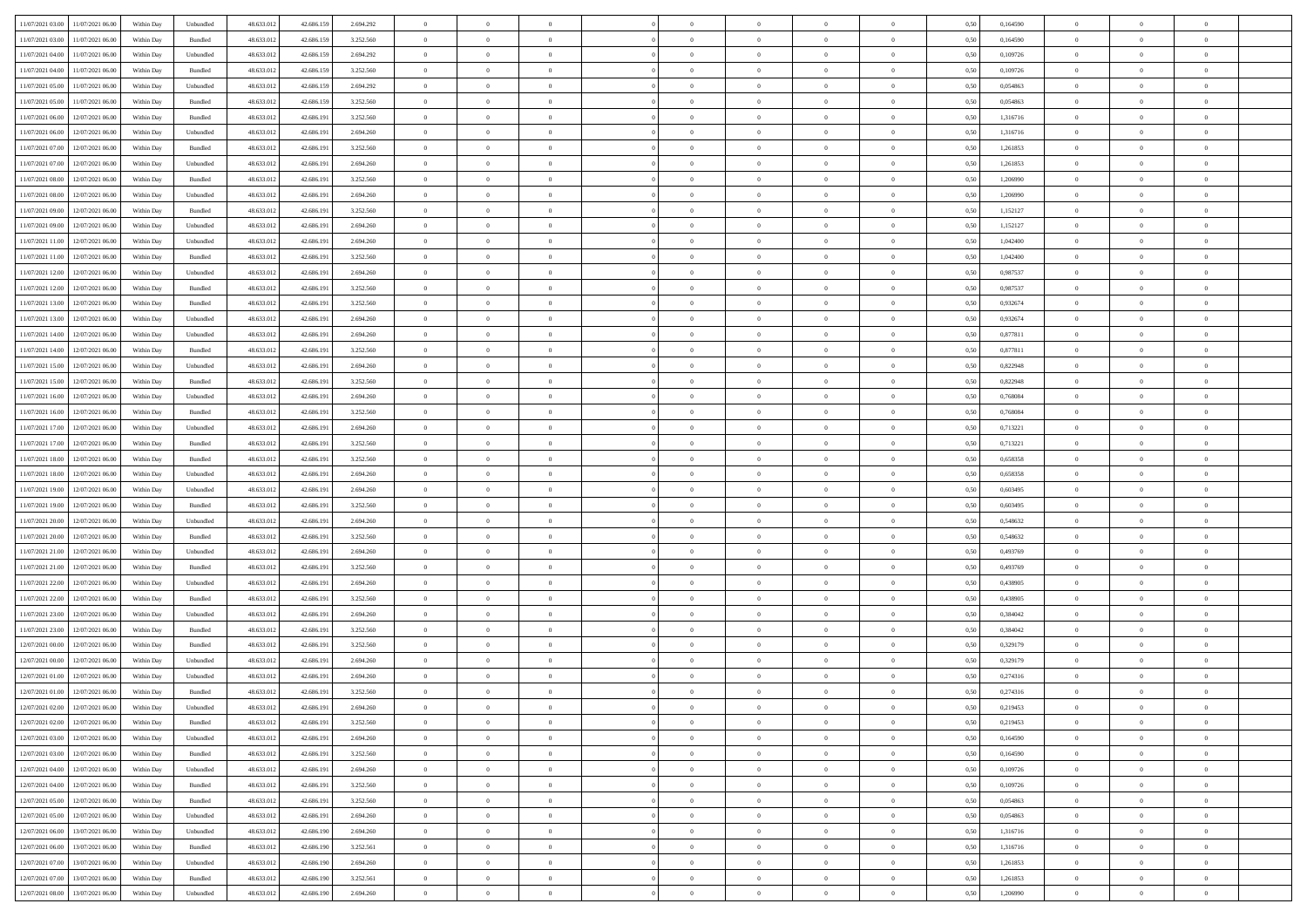| 11/07/2021 03:00 | 11/07/2021 06:00                  | Within Day | Unbundled                   | 48.633.012 | 42.686.159 | 2.694.292 | $\overline{0}$ | $\theta$       |                | $\overline{0}$ | $\bf{0}$       | $\overline{0}$ | $\theta$       | 0,50 | 0,164590 | $\theta$       | $\theta$       | $\overline{0}$           |  |
|------------------|-----------------------------------|------------|-----------------------------|------------|------------|-----------|----------------|----------------|----------------|----------------|----------------|----------------|----------------|------|----------|----------------|----------------|--------------------------|--|
| 11/07/2021 03:00 | 11/07/2021 06.00                  | Within Day | Bundled                     | 48.633.01  | 42.686.159 | 3.252.560 | $\overline{0}$ | $\overline{0}$ | $\overline{0}$ | $\overline{0}$ | $\,$ 0         | $\overline{0}$ | $\bf{0}$       | 0,50 | 0,164590 | $\,$ 0 $\,$    | $\overline{0}$ | $\overline{0}$           |  |
|                  |                                   |            |                             |            |            |           |                |                |                |                |                |                |                |      |          |                |                |                          |  |
| 11/07/2021 04:00 | 11/07/2021 06:00                  | Within Day | Unbundled                   | 48.633.012 | 42.686.159 | 2.694.292 | $\overline{0}$ | $\overline{0}$ | $\overline{0}$ | $\overline{0}$ | $\bf{0}$       | $\overline{0}$ | $\mathbf{0}$   | 0.50 | 0.109726 | $\bf{0}$       | $\overline{0}$ | $\overline{0}$           |  |
| 11/07/2021 04:00 | 11/07/2021 06:00                  | Within Day | Bundled                     | 48.633.012 | 42.686.159 | 3.252.560 | $\overline{0}$ | $\overline{0}$ | $\overline{0}$ | $\overline{0}$ | $\bf{0}$       | $\overline{0}$ | $\overline{0}$ | 0,50 | 0,109726 | $\,$ 0 $\,$    | $\overline{0}$ | $\overline{0}$           |  |
| 11/07/2021 05:00 | 11/07/2021 06.00                  | Within Day | Unbundled                   | 48.633.01  | 42.686.159 | 2.694.292 | $\overline{0}$ | $\theta$       | $\overline{0}$ |                | $\bf{0}$       | $\overline{0}$ | $\bf{0}$       | 0,50 | 0,054863 | $\,$ 0 $\,$    | $\overline{0}$ | $\overline{0}$           |  |
| 11/07/2021 05:00 | 11/07/2021 06:00                  | Within Day | Bundled                     | 48.633.012 | 42,686.159 | 3.252.560 | $\overline{0}$ | $\overline{0}$ | $\overline{0}$ | $\overline{0}$ | $\bf{0}$       | $\overline{0}$ | $\bf{0}$       | 0.50 | 0.054863 | $\,0\,$        | $\theta$       | $\overline{0}$           |  |
| 11/07/2021 06:00 | 12/07/2021 06:00                  | Within Day | Bundled                     | 48.633.012 | 42.686.191 | 3.252.560 | $\overline{0}$ | $\overline{0}$ | $\overline{0}$ | $\overline{0}$ | $\,$ 0         | $\overline{0}$ | $\overline{0}$ | 0,50 | 1,316716 | $\,$ 0 $\,$    | $\theta$       | $\overline{0}$           |  |
| 11/07/2021 06.00 | 12/07/2021 06:00                  | Within Day | Unbundled                   | 48.633.01  | 42.686.19  | 2.694.260 | $\overline{0}$ | $\theta$       | $\overline{0}$ |                | $\,$ 0         | $\overline{0}$ | $\bf{0}$       | 0,50 | 1,316716 | $\,$ 0 $\,$    | $\overline{0}$ | $\overline{0}$           |  |
| 11/07/2021 07:00 | 12/07/2021 06:00                  | Within Day | Bundled                     | 48.633.012 | 42.686.19  | 3.252.560 | $\overline{0}$ | $\overline{0}$ | $\overline{0}$ | $\overline{0}$ | $\bf{0}$       | $\overline{0}$ | $\bf{0}$       | 0.50 | 1.261853 | $\,0\,$        | $\overline{0}$ | $\overline{0}$           |  |
| 11/07/2021 07:00 | 12/07/2021 06:00                  | Within Day | Unbundled                   | 48.633.012 | 42.686.191 | 2.694.260 | $\overline{0}$ | $\overline{0}$ | $\overline{0}$ | $\overline{0}$ | $\bf{0}$       | $\overline{0}$ | $\bf{0}$       | 0,50 | 1,261853 | $\,$ 0 $\,$    | $\overline{0}$ | $\overline{0}$           |  |
| 11/07/2021 08:00 | 12/07/2021 06:00                  | Within Day | Bundled                     | 48.633.01  | 42.686.191 | 3.252.560 | $\bf{0}$       | $\theta$       | $\overline{0}$ | $\overline{0}$ | $\,$ 0         | $\overline{0}$ | $\bf{0}$       | 0,50 | 1,206990 | $\,$ 0 $\,$    | $\overline{0}$ | $\overline{0}$           |  |
| 11/07/2021 08:00 | 12/07/2021 06:00                  | Within Day | Unbundled                   | 48.633.012 | 42.686.191 | 2.694.260 | $\overline{0}$ | $\overline{0}$ | $\overline{0}$ | $\overline{0}$ | $\bf{0}$       | $\overline{0}$ | $\mathbf{0}$   | 0.50 | 1.206990 | $\bf{0}$       | $\overline{0}$ | $\bf{0}$                 |  |
| 11/07/2021 09:00 | 12/07/2021 06:00                  | Within Day | Bundled                     | 48.633.012 | 42.686.191 | 3.252.560 | $\overline{0}$ | $\overline{0}$ | $\overline{0}$ | $\overline{0}$ | $\bf{0}$       | $\overline{0}$ | $\overline{0}$ | 0,50 | 1,152127 | $\,$ 0 $\,$    | $\overline{0}$ | $\overline{0}$           |  |
| 11/07/2021 09:00 | 12/07/2021 06:00                  | Within Day | Unbundled                   | 48.633.01  | 42.686.19  | 2.694.260 | $\overline{0}$ | $\theta$       | $\overline{0}$ |                | $\,$ 0         | $\overline{0}$ | $\bf{0}$       | 0,50 | 1,152127 | $\,$ 0 $\,$    | $\overline{0}$ | $\overline{0}$           |  |
|                  |                                   |            |                             |            |            |           |                |                |                |                |                |                |                |      |          |                |                |                          |  |
| 11/07/2021 11:00 | 12/07/2021 06:00                  | Within Day | Unbundled                   | 48.633.012 | 42.686.191 | 2.694.260 | $\overline{0}$ | $\overline{0}$ | $\overline{0}$ | $\overline{0}$ | $\bf{0}$       | $\overline{0}$ | $\bf{0}$       | 0.50 | 1.042400 | $\,0\,$        | $\theta$       | $\overline{0}$           |  |
| 11/07/2021 11:00 | 12/07/2021 06:00                  | Within Day | Bundled                     | 48.633.012 | 42.686.191 | 3.252.560 | $\overline{0}$ | $\overline{0}$ | $\overline{0}$ | $\overline{0}$ | $\,$ 0         | $\overline{0}$ | $\overline{0}$ | 0,50 | 1,042400 | $\theta$       | $\theta$       | $\overline{0}$           |  |
| 11/07/2021 12:00 | 12/07/2021 06:00                  | Within Day | Unbundled                   | 48.633.01  | 42.686.191 | 2.694.260 | $\overline{0}$ | $\theta$       | $\overline{0}$ |                | $\,$ 0         | $\overline{0}$ | $\bf{0}$       | 0,50 | 0,987537 | $\,$ 0 $\,$    | $\overline{0}$ | $\overline{0}$           |  |
| 11/07/2021 12:00 | 12/07/2021 06:00                  | Within Day | Bundled                     | 48.633.012 | 42.686.19  | 3.252.560 | $\overline{0}$ | $\overline{0}$ | $\overline{0}$ | $\overline{0}$ | $\bf{0}$       | $\overline{0}$ | $\bf{0}$       | 0.50 | 0.987537 | $\,0\,$        | $\overline{0}$ | $\overline{\phantom{a}}$ |  |
| 11/07/2021 13:00 | 12/07/2021 06:00                  | Within Day | Bundled                     | 48.633.012 | 42.686.191 | 3.252.560 | $\overline{0}$ | $\overline{0}$ | $\overline{0}$ | $\overline{0}$ | $\,$ 0         | $\overline{0}$ | $\bf{0}$       | 0,50 | 0,932674 | $\,$ 0 $\,$    | $\overline{0}$ | $\overline{0}$           |  |
| 11/07/2021 13:00 | 12/07/2021 06:00                  | Within Day | Unbundled                   | 48.633.01  | 42.686.191 | 2.694.260 | $\bf{0}$       | $\,$ 0 $\,$    | $\overline{0}$ | $\overline{0}$ | $\,$ 0         | $\bf{0}$       | $\bf{0}$       | 0,50 | 0,932674 | $\,$ 0 $\,$    | $\overline{0}$ | $\overline{0}$           |  |
| 11/07/2021 14:00 | 12/07/2021 06:00                  | Within Day | Unbundled                   | 48.633.012 | 42.686.191 | 2.694.260 | $\overline{0}$ | $\overline{0}$ | $\overline{0}$ | $\overline{0}$ | $\bf{0}$       | $\overline{0}$ | $\mathbf{0}$   | 0.50 | 0,877811 | $\,$ 0 $\,$    | $\overline{0}$ | $\overline{\phantom{a}}$ |  |
| 11/07/2021 14:00 | 12/07/2021 06:00                  | Within Day | Bundled                     | 48.633.012 | 42.686.191 | 3.252.560 | $\overline{0}$ | $\overline{0}$ | $\overline{0}$ | $\overline{0}$ | $\bf{0}$       | $\overline{0}$ | $\overline{0}$ | 0,50 | 0,877811 | $\theta$       | $\overline{0}$ | $\overline{0}$           |  |
| 11/07/2021 15:00 | 12/07/2021 06:00                  | Within Day | Unbundled                   | 48.633.01  | 42.686.191 | 2.694.260 | $\overline{0}$ | $\theta$       | $\overline{0}$ | $\overline{0}$ | $\,$ 0         | $\overline{0}$ | $\bf{0}$       | 0,50 | 0,822948 | $\,$ 0 $\,$    | $\overline{0}$ | $\overline{0}$           |  |
| 11/07/2021 15:00 | 12/07/2021 06:00                  | Within Day | Bundled                     | 48.633.012 | 42.686.191 | 3.252.560 | $\overline{0}$ | $\overline{0}$ | $\overline{0}$ | $\overline{0}$ | $\bf{0}$       | $\overline{0}$ | $\bf{0}$       | 0.50 | 0.822948 | $\,0\,$        | $\theta$       | $\overline{0}$           |  |
| 11/07/2021 16:00 | 12/07/2021 06:00                  | Within Day | Unbundled                   | 48.633.012 | 42.686.191 | 2.694.260 | $\overline{0}$ | $\overline{0}$ | $\overline{0}$ | $\overline{0}$ | $\,$ 0         | $\overline{0}$ | $\overline{0}$ | 0,50 | 0,768084 | $\,$ 0 $\,$    | $\theta$       | $\overline{0}$           |  |
| 11/07/2021 16:00 | 12/07/2021 06:00                  | Within Day | Bundled                     | 48.633.01  | 42.686.19  | 3.252.560 | $\overline{0}$ | $\theta$       | $\overline{0}$ |                | $\,$ 0         | $\overline{0}$ | $\bf{0}$       | 0,50 | 0,768084 | $\,$ 0 $\,$    | $\overline{0}$ | $\overline{0}$           |  |
|                  |                                   |            |                             |            |            |           |                |                |                |                |                |                |                |      |          |                |                |                          |  |
| 11/07/2021 17:00 | 12/07/2021 06:00                  | Within Day | Unbundled                   | 48.633.012 | 42,686.191 | 2.694.260 | $\overline{0}$ | $\overline{0}$ | $\overline{0}$ | $\overline{0}$ | $\bf{0}$       | $\overline{0}$ | $\bf{0}$       | 0.50 | 0.713221 | $\,0\,$        | $\overline{0}$ | $\overline{0}$           |  |
| 11/07/2021 17:00 | 12/07/2021 06:00                  | Within Day | Bundled                     | 48.633.012 | 42.686.191 | 3.252.560 | $\overline{0}$ | $\overline{0}$ | $\overline{0}$ | $\overline{0}$ | $\bf{0}$       | $\overline{0}$ | $\bf{0}$       | 0,50 | 0,713221 | $\,$ 0 $\,$    | $\theta$       | $\overline{0}$           |  |
| 11/07/2021 18:00 | 12/07/2021 06:00                  | Within Day | Bundled                     | 48.633.01  | 42.686.191 | 3.252.560 | $\bf{0}$       | $\overline{0}$ | $\overline{0}$ | $\overline{0}$ | $\bf{0}$       | $\bf{0}$       | $\bf{0}$       | 0,50 | 0,658358 | $\,$ 0 $\,$    | $\overline{0}$ | $\overline{0}$           |  |
| 11/07/2021 18:00 | 12/07/2021 06:00                  | Within Day | Unbundled                   | 48.633.012 | 42.686.191 | 2.694.260 | $\overline{0}$ | $\bf{0}$       | $\overline{0}$ | $\overline{0}$ | $\bf{0}$       | $\overline{0}$ | $\mathbf{0}$   | 0.50 | 0.658358 | $\,$ 0 $\,$    | $\overline{0}$ | $\bf{0}$                 |  |
| 11/07/2021 19:00 | 12/07/2021 06:00                  | Within Dav | Unbundled                   | 48.633.012 | 42.686.191 | 2.694.260 | $\overline{0}$ | $\overline{0}$ | $\overline{0}$ | $\overline{0}$ | $\overline{0}$ | $\overline{0}$ | $\overline{0}$ | 0.50 | 0,603495 | $\theta$       | $\overline{0}$ | $\overline{0}$           |  |
| 11/07/2021 19:00 | 12/07/2021 06:00                  | Within Day | Bundled                     | 48.633.01  | 42.686.19  | 3.252.560 | $\overline{0}$ | $\theta$       | $\overline{0}$ |                | $\,$ 0         | $\overline{0}$ | $\bf{0}$       | 0,50 | 0,603495 | $\,$ 0 $\,$    | $\overline{0}$ | $\overline{0}$           |  |
| 11/07/2021 20:00 | 12/07/2021 06:00                  | Within Day | Unbundled                   | 48.633.012 | 42.686.191 | 2.694.260 | $\overline{0}$ | $\overline{0}$ | $\overline{0}$ | $\overline{0}$ | $\bf{0}$       | $\overline{0}$ | $\bf{0}$       | 0.50 | 0.548632 | $\,0\,$        | $\theta$       | $\overline{0}$           |  |
| 11/07/2021 20:00 | 12/07/2021 06:00                  | Within Dav | Bundled                     | 48.633.012 | 42.686.191 | 3.252.560 | $\overline{0}$ | $\overline{0}$ | $\Omega$       | $\Omega$       | $\mathbf{0}$   | $\overline{0}$ | $\overline{0}$ | 0.50 | 0,548632 | $\theta$       | $\overline{0}$ | $\overline{0}$           |  |
| 11/07/2021 21:00 | 12/07/2021 06:00                  | Within Day | Unbundled                   | 48.633.01  | 42.686.191 | 2.694.260 | $\overline{0}$ | $\theta$       | $\overline{0}$ |                | $\,$ 0         | $\overline{0}$ | $\bf{0}$       | 0,50 | 0,493769 | $\,$ 0 $\,$    | $\overline{0}$ | $\overline{0}$           |  |
| 11/07/2021 21:00 | 12/07/2021 06:00                  | Within Day | Bundled                     | 48.633.012 | 42.686.19  | 3.252.560 | $\overline{0}$ | $\overline{0}$ | $\overline{0}$ | $\overline{0}$ | $\bf{0}$       | $\overline{0}$ | $\bf{0}$       | 0.50 | 0.493769 | $\,0\,$        | $\overline{0}$ | $\overline{0}$           |  |
| 11/07/2021 22:00 | 12/07/2021 06:00                  | Within Dav | Unbundled                   | 48.633.012 | 42.686.191 | 2.694.260 | $\overline{0}$ | $\overline{0}$ | $\overline{0}$ | $\overline{0}$ | $\overline{0}$ | $\overline{0}$ | $\overline{0}$ | 0.50 | 0,438905 | $\theta$       | $\overline{0}$ | $\overline{0}$           |  |
| 11/07/2021 22.00 | 12/07/2021 06:00                  | Within Day | Bundled                     | 48.633.01  | 42.686.19  | 3.252.560 | $\overline{0}$ | $\overline{0}$ | $\overline{0}$ | $\overline{0}$ | $\bf{0}$       | $\bf{0}$       | $\bf{0}$       | 0,50 | 0,438905 | $\,$ 0 $\,$    | $\overline{0}$ | $\overline{0}$           |  |
| 11/07/2021 23:00 | 12/07/2021 06:00                  | Within Day | Unbundled                   | 48.633.012 | 42.686.191 | 2.694.260 | $\overline{0}$ | $\overline{0}$ | $\overline{0}$ | $\overline{0}$ | $\bf{0}$       | $\overline{0}$ | $\mathbf{0}$   | 0.50 | 0.384042 | $\,$ 0 $\,$    | $\overline{0}$ | $\overline{0}$           |  |
| 11/07/2021 23:00 | 12/07/2021 06:00                  | Within Dav | Bundled                     | 48.633.012 | 42.686.191 | 3.252.560 | $\overline{0}$ | $\overline{0}$ | $\Omega$       | $\overline{0}$ | $\mathbf{0}$   | $\overline{0}$ | $\overline{0}$ | 0.50 | 0,384042 | $\theta$       | $\overline{0}$ | $\overline{0}$           |  |
|                  |                                   |            |                             |            |            |           |                |                |                |                |                |                |                |      |          |                |                |                          |  |
| 12/07/2021 00:00 | 12/07/2021 06:00                  | Within Day | Bundled                     | 48.633.01  | 42.686.191 | 3.252.560 | $\overline{0}$ | $\theta$       | $\overline{0}$ | $\overline{0}$ | $\,$ 0         | $\overline{0}$ | $\bf{0}$       | 0,50 | 0,329179 | $\,$ 0 $\,$    | $\overline{0}$ | $\overline{0}$           |  |
| 12/07/2021 00:00 | 12/07/2021 06:00                  | Within Day | Unbundled                   | 48.633.012 | 42.686.19  | 2.694.260 | $\overline{0}$ | $\overline{0}$ | $\overline{0}$ | $\overline{0}$ | $\bf{0}$       | $\overline{0}$ | $\overline{0}$ | 0.50 | 0,329179 | $\,0\,$        | $\theta$       | $\overline{0}$           |  |
| 12/07/2021 01:00 | 12/07/2021 06:00                  | Within Dav | Unbundled                   | 48.633.012 | 42.686.191 | 2.694.260 | $\overline{0}$ | $\Omega$       | $\Omega$       | $\Omega$       | $\bf{0}$       | $\overline{0}$ | $\mathbf{0}$   | 0.50 | 0,274316 | $\theta$       | $\overline{0}$ | $\overline{0}$           |  |
| 12/07/2021 01:00 | 12/07/2021 06:00                  | Within Day | Bundled                     | 48.633.012 | 42.686.191 | 3.252.560 | $\overline{0}$ | $\,$ 0 $\,$    | $\overline{0}$ | $\bf{0}$       | $\,$ 0         | $\overline{0}$ | $\bf{0}$       | 0,50 | 0,274316 | $\,$ 0 $\,$    | $\overline{0}$ | $\overline{0}$           |  |
| 12/07/2021 02:00 | 12/07/2021 06:00                  | Within Day | $\ensuremath{\mathsf{Unb}}$ | 48.633.012 | 42.686.191 | 2.694.260 | $\bf{0}$       | $\theta$       |                | $^{\circ}$     |                |                |                | 0,50 | 0,219453 | $\bf{0}$       | $\theta$       |                          |  |
| 12/07/2021 02:00 | 12/07/2021 06:00                  | Within Day | Bundled                     | 48.633.012 | 42.686.191 | 3.252.560 | $\Omega$       | $\overline{0}$ | $\overline{0}$ | $\Omega$       | $\mathbf{0}$   | $\overline{0}$ | $\overline{0}$ | 0,50 | 0,219453 | $\theta$       | $\theta$       | $\overline{0}$           |  |
| 12/07/2021 03:00 | 12/07/2021 06:00                  | Within Day | Unbundled                   | 48.633.012 | 42.686.191 | 2.694.260 | $\overline{0}$ | $\bf{0}$       | $\overline{0}$ | $\bf{0}$       | $\overline{0}$ | $\overline{0}$ | $\mathbf{0}$   | 0,50 | 0,164590 | $\overline{0}$ | $\overline{0}$ | $\bf{0}$                 |  |
| 12/07/2021 03:00 | 12/07/2021 06:00                  | Within Day | Bundled                     | 48.633.012 | 42.686.191 | 3.252.560 | $\overline{0}$ | $\overline{0}$ | $\overline{0}$ | $\overline{0}$ | $\overline{0}$ | $\overline{0}$ | $\mathbf{0}$   | 0.50 | 0.164590 | $\overline{0}$ | $\bf{0}$       | $\overline{0}$           |  |
| 12/07/2021 04:00 | 12/07/2021 06:00                  | Within Day | Unbundled                   | 48.633.012 | 42.686.191 | 2.694.260 | $\overline{0}$ | $\overline{0}$ | $\overline{0}$ | $\overline{0}$ | $\overline{0}$ | $\overline{0}$ | $\overline{0}$ | 0.50 | 0,109726 | $\overline{0}$ | $\theta$       | $\overline{0}$           |  |
| 12/07/2021 04:00 | 12/07/2021 06:00                  | Within Day | Bundled                     | 48.633.012 | 42.686.191 | 3.252.560 | $\overline{0}$ | $\overline{0}$ | $\overline{0}$ | $\overline{0}$ | $\bf{0}$       | $\overline{0}$ | $\bf{0}$       | 0,50 | 0,109726 | $\bf{0}$       | $\overline{0}$ | $\overline{0}$           |  |
| 12/07/2021 05:00 | 12/07/2021 06:00                  | Within Day | Bundled                     | 48.633.012 | 42.686.191 | 3.252.560 | $\overline{0}$ | $\overline{0}$ | $\overline{0}$ | $\overline{0}$ | $\bf{0}$       | $\overline{0}$ | $\mathbf{0}$   | 0.50 | 0.054863 | $\,$ 0 $\,$    | $\overline{0}$ | $\overline{0}$           |  |
| 12/07/2021 05:00 | 12/07/2021 06:00                  | Within Day | Unbundled                   | 48.633.012 | 42.686.191 | 2.694.260 | $\overline{0}$ | $\overline{0}$ | $\overline{0}$ | $\overline{0}$ | $\overline{0}$ | $\overline{0}$ | $\overline{0}$ | 0.50 | 0,054863 | $\overline{0}$ | $\theta$       | $\overline{0}$           |  |
| 12/07/2021 06:00 | 13/07/2021 06:00                  | Within Day | Unbundled                   | 48.633.01  | 42.686.190 | 2.694.260 | $\overline{0}$ | $\,$ 0         | $\overline{0}$ | $\bf{0}$       | $\,$ 0 $\,$    | $\overline{0}$ | $\bf{0}$       | 0,50 | 1,316716 | $\,$ 0 $\,$    | $\overline{0}$ | $\overline{0}$           |  |
|                  |                                   |            |                             |            |            |           |                |                |                |                |                |                |                |      |          |                |                |                          |  |
| 12/07/2021 06:00 | 13/07/2021 06:00                  | Within Day | Bundled                     | 48.633.012 | 42.686.190 | 3.252.561 | $\overline{0}$ | $\overline{0}$ | $\overline{0}$ | $\overline{0}$ | $\bf{0}$       | $\overline{0}$ | $\mathbf{0}$   | 0.50 | 1.316716 | $\mathbf{0}$   | $\bf{0}$       | $\overline{0}$           |  |
| 12/07/2021 07:00 | 13/07/2021 06:00                  | Within Day | Unbundled                   | 48.633.012 | 42.686.190 | 2.694.260 | $\overline{0}$ | $\overline{0}$ | $\overline{0}$ | $\overline{0}$ | $\overline{0}$ | $\overline{0}$ | $\overline{0}$ | 0,50 | 1,261853 | $\overline{0}$ | $\theta$       | $\overline{0}$           |  |
| 12/07/2021 07:00 | 13/07/2021 06:00                  | Within Day | Bundled                     | 48.633.012 | 42.686.190 | 3.252.561 | $\overline{0}$ | $\bf{0}$       | $\overline{0}$ | $\bf{0}$       | $\bf{0}$       | $\overline{0}$ | $\bf{0}$       | 0,50 | 1,261853 | $\overline{0}$ | $\overline{0}$ | $\bf{0}$                 |  |
|                  | 12/07/2021 08:00 13/07/2021 06:00 | Within Day | Unbundled                   | 48.633.012 | 42.686.190 | 2.694.260 | $\overline{0}$ | $\,$ 0 $\,$    | $\overline{0}$ | $\overline{0}$ | $\,$ 0 $\,$    | $\overline{0}$ | $\,$ 0 $\,$    | 0,50 | 1,206990 | $\overline{0}$ | $\,$ 0 $\,$    | $\,$ 0 $\,$              |  |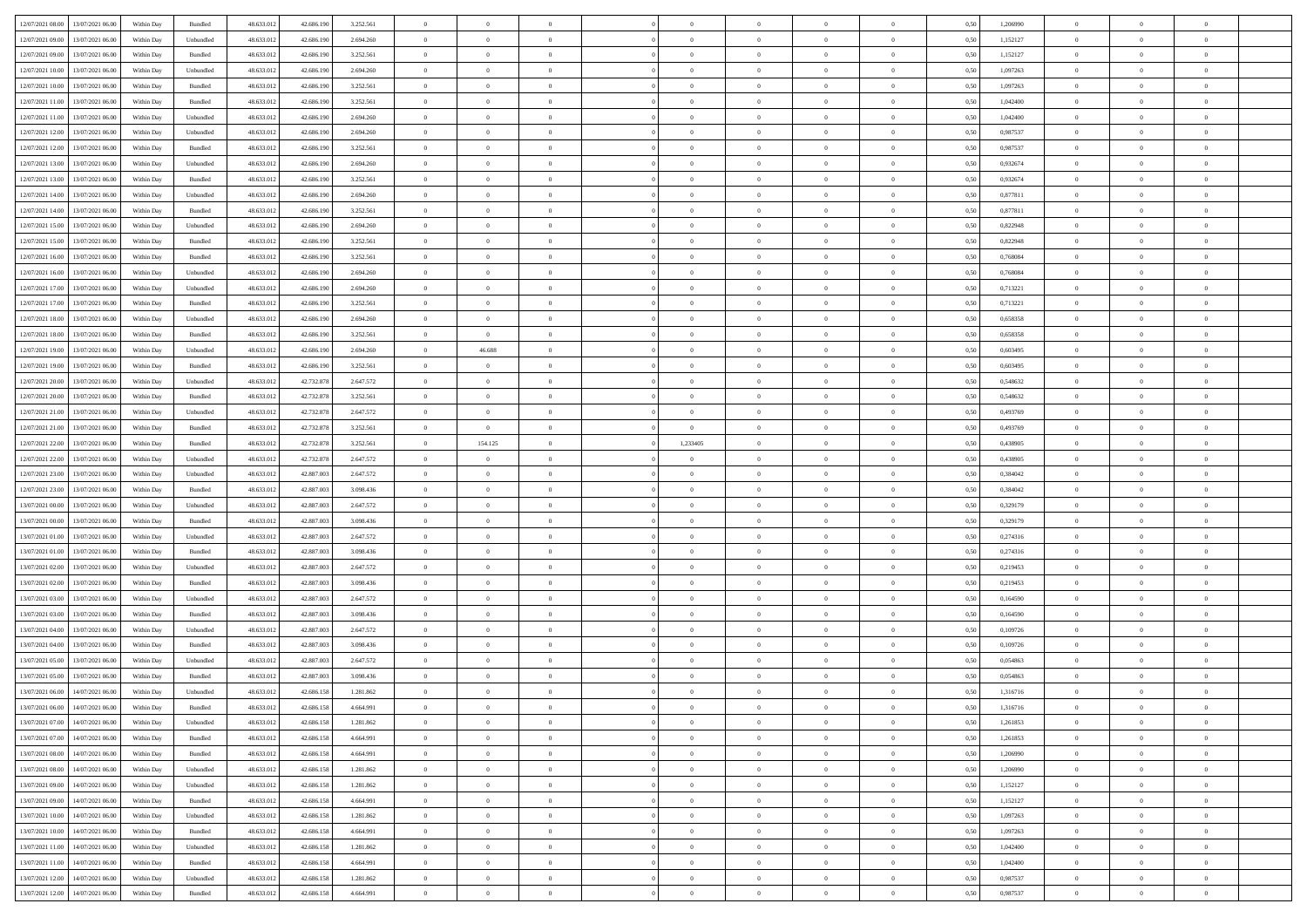| 12/07/2021 08:00 13/07/2021 06:00            | Within Day | Bundled   | 48.633.01  | 42.686.190 | 3.252.561 | $\overline{0}$ | $\overline{0}$ |                | $\overline{0}$ | $\theta$       |                | $\theta$       | 0,50 | 1,206990 | $\theta$       | $\theta$       | $\overline{0}$ |  |
|----------------------------------------------|------------|-----------|------------|------------|-----------|----------------|----------------|----------------|----------------|----------------|----------------|----------------|------|----------|----------------|----------------|----------------|--|
| 12/07/2021 09:00<br>13/07/2021 06:00         | Within Day | Unbundled | 48.633.01  | 42.686.19  | 2.694.260 | $\bf{0}$       | $\bf{0}$       | $\bf{0}$       | $\bf{0}$       | $\overline{0}$ | $\overline{0}$ | $\bf{0}$       | 0,50 | 1,152127 | $\,$ 0 $\,$    | $\bf{0}$       | $\overline{0}$ |  |
| 12/07/2021 09:00<br>13/07/2021 06:00         | Within Day | Bundled   | 48.633.013 | 42.686.190 | 3.252.561 | $\overline{0}$ | $\bf{0}$       | $\overline{0}$ | $\bf{0}$       | $\bf{0}$       | $\overline{0}$ | $\bf{0}$       | 0.50 | 1,152127 | $\bf{0}$       | $\overline{0}$ | $\bf{0}$       |  |
| 12/07/2021 10:00<br>13/07/2021 06:00         |            |           |            |            |           | $\overline{0}$ | $\overline{0}$ | $\overline{0}$ | $\overline{0}$ | $\theta$       | $\overline{0}$ |                |      | 1,097263 | $\theta$       | $\theta$       | $\overline{0}$ |  |
|                                              | Within Day | Unbundled | 48.633.013 | 42.686.190 | 2.694.260 |                |                |                |                |                |                | $\bf{0}$       | 0,50 |          |                |                |                |  |
| 12/07/2021 10:00<br>13/07/2021 06:00         | Within Day | Bundled   | 48.633.01  | 42.686.190 | 3.252.561 | $\bf{0}$       | $\overline{0}$ | $\bf{0}$       | $\overline{0}$ | $\bf{0}$       | $\overline{0}$ | $\bf{0}$       | 0,50 | 1,097263 | $\,$ 0 $\,$    | $\bf{0}$       | $\overline{0}$ |  |
| 12/07/2021 11:00<br>13/07/2021 06:00         | Within Day | Bundled   | 48.633.013 | 42.686.190 | 3.252.561 | $\overline{0}$ | $\bf{0}$       | $\overline{0}$ | $\bf{0}$       | $\overline{0}$ | $\overline{0}$ | $\bf{0}$       | 0.50 | 1.042400 | $\,$ 0 $\,$    | $\theta$       | $\overline{0}$ |  |
| 12/07/2021 11:00<br>13/07/2021 06:00         | Within Day | Unbundled | 48.633.013 | 42.686.190 | 2.694.260 | $\overline{0}$ | $\overline{0}$ | $\overline{0}$ | $\overline{0}$ | $\overline{0}$ | $\overline{0}$ | $\bf{0}$       | 0,50 | 1,042400 | $\,$ 0 $\,$    | $\theta$       | $\overline{0}$ |  |
|                                              |            |           |            |            |           |                |                |                |                |                |                |                |      |          |                |                |                |  |
| 12/07/2021 12:00<br>13/07/2021 06:00         | Within Day | Unbundled | 48.633.01  | 42.686.19  | 2.694.260 | $\bf{0}$       | $\bf{0}$       | $\bf{0}$       | $\overline{0}$ | $\overline{0}$ | $\overline{0}$ | $\bf{0}$       | 0,50 | 0,987537 | $\,$ 0 $\,$    | $\bf{0}$       | $\overline{0}$ |  |
| 12/07/2021 12:00<br>13/07/2021 06:00         | Within Day | Bundled   | 48.633.013 | 42.686.190 | 3.252.561 | $\overline{0}$ | $\bf{0}$       | $\overline{0}$ | $\bf{0}$       | $\overline{0}$ | $\overline{0}$ | $\bf{0}$       | 0.50 | 0.987537 | $\bf{0}$       | $\overline{0}$ | $\overline{0}$ |  |
| 12/07/2021 13:00<br>13/07/2021 06:00         | Within Day | Unbundled | 48.633.013 | 42.686.190 | 2.694.260 | $\bf{0}$       | $\bf{0}$       | $\overline{0}$ | $\overline{0}$ | $\overline{0}$ | $\overline{0}$ | $\bf{0}$       | 0,50 | 0,932674 | $\,$ 0 $\,$    | $\bf{0}$       | $\overline{0}$ |  |
| 12/07/2021 13:00<br>13/07/2021 06:00         | Within Day | Bundled   | 48.633.01  | 42.686.190 | 3.252.561 | $\bf{0}$       | $\bf{0}$       | $\bf{0}$       | $\bf{0}$       | $\overline{0}$ | $\overline{0}$ | $\bf{0}$       | 0,50 | 0,932674 | $\,$ 0 $\,$    | $\bf{0}$       | $\overline{0}$ |  |
|                                              |            |           |            |            |           |                |                |                |                |                |                |                |      |          |                |                |                |  |
| 12/07/2021 14:00<br>13/07/2021 06:00         | Within Day | Unbundled | 48.633.013 | 42.686.190 | 2.694.260 | $\overline{0}$ | $\bf{0}$       | $\overline{0}$ | $\overline{0}$ | $\overline{0}$ | $\overline{0}$ | $\bf{0}$       | 0.50 | 0.877811 | $\bf{0}$       | $\overline{0}$ | $\,$ 0         |  |
| 12/07/2021 14:00<br>13/07/2021 06:00         | Within Day | Bundled   | 48.633.01  | 42.686.190 | 3.252.561 | $\overline{0}$ | $\overline{0}$ | $\overline{0}$ | $\theta$       | $\theta$       | $\overline{0}$ | $\bf{0}$       | 0,50 | 0,877811 | $\,$ 0 $\,$    | $\theta$       | $\overline{0}$ |  |
| 12/07/2021 15:00<br>13/07/2021 06:00         | Within Day | Unbundled | 48.633.01  | 42.686.19  | 2.694.260 | $\bf{0}$       | $\overline{0}$ | $\bf{0}$       | $\bf{0}$       | $\bf{0}$       | $\overline{0}$ | $\bf{0}$       | 0,50 | 0,822948 | $\,$ 0 $\,$    | $\bf{0}$       | $\overline{0}$ |  |
| 12/07/2021 15:00<br>13/07/2021 06:00         | Within Day | Bundled   | 48.633.013 | 42.686.190 | 3.252.561 | $\overline{0}$ | $\bf{0}$       | $\overline{0}$ | $\bf{0}$       | $\overline{0}$ | $\theta$       | $\bf{0}$       | 0.50 | 0,822948 | $\,$ 0 $\,$    | $\theta$       | $\overline{0}$ |  |
| 12/07/2021 16:00<br>13/07/2021 06:00         | Within Day | Bundled   | 48.633.013 | 42.686.190 | 3.252.561 | $\overline{0}$ | $\overline{0}$ | $\overline{0}$ | $\overline{0}$ | $\overline{0}$ | $\overline{0}$ | $\bf{0}$       | 0,50 | 0,768084 | $\theta$       | $\theta$       | $\overline{0}$ |  |
|                                              |            |           |            |            |           |                |                |                |                |                |                |                |      |          |                |                |                |  |
| 12/07/2021 16:00<br>13/07/2021 06:00         | Within Day | Unbundled | 48.633.01  | 42.686.190 | 2.694.260 | $\bf{0}$       | $\bf{0}$       | $\bf{0}$       | $\overline{0}$ | $\overline{0}$ | $\overline{0}$ | $\bf{0}$       | 0,50 | 0,768084 | $\,$ 0 $\,$    | $\bf{0}$       | $\overline{0}$ |  |
| 12/07/2021 17:00<br>13/07/2021 06:00         | Within Day | Unbundled | 48.633.013 | 42.686.190 | 2.694.260 | $\overline{0}$ | $\bf{0}$       | $\overline{0}$ | $\bf{0}$       | $\overline{0}$ | $\overline{0}$ | $\bf{0}$       | 0.50 | 0.713221 | $\bf{0}$       | $\overline{0}$ | $\bf{0}$       |  |
| 12/07/2021 17:00<br>13/07/2021 06:00         | Within Day | Bundled   | 48.633.013 | 42.686.190 | 3.252.561 | $\overline{0}$ | $\bf{0}$       | $\overline{0}$ | $\overline{0}$ | $\overline{0}$ | $\overline{0}$ | $\bf{0}$       | 0,50 | 0,713221 | $\,$ 0 $\,$    | $\bf{0}$       | $\overline{0}$ |  |
| 12/07/2021 18:00<br>13/07/2021 06:00         | Within Day | Unbundled | 48.633.01  | 42.686.190 | 2.694.260 | $\bf{0}$       | $\bf{0}$       | $\bf{0}$       | $\bf{0}$       | $\overline{0}$ | $\overline{0}$ | $\bf{0}$       | 0,50 | 0,658358 | $\,$ 0 $\,$    | $\bf{0}$       | $\overline{0}$ |  |
|                                              |            |           |            |            |           |                |                |                |                |                |                |                |      |          |                |                |                |  |
| 12/07/2021 18:00<br>13/07/2021 06:00         | Within Day | Bundled   | 48.633.013 | 42.686.190 | 3.252.561 | $\overline{0}$ | $\overline{0}$ | $\overline{0}$ | $\overline{0}$ | $\bf{0}$       | $\overline{0}$ | $\bf{0}$       | 0.50 | 0.658358 | $\bf{0}$       | $\overline{0}$ | $\,$ 0         |  |
| 12/07/2021 19:00<br>13/07/2021 06:00         | Within Day | Unbundled | 48.633.01  | 42.686.190 | 2.694.260 | $\overline{0}$ | 46.688         | $\overline{0}$ | $\overline{0}$ | $\theta$       | $\overline{0}$ | $\bf{0}$       | 0,50 | 0,603495 | $\theta$       | $\theta$       | $\overline{0}$ |  |
| 12/07/2021 19:00<br>13/07/2021 06:00         | Within Day | Bundled   | 48.633.01  | 42.686.190 | 3.252.561 | $\bf{0}$       | $\theta$       | $\bf{0}$       | $\bf{0}$       | $\overline{0}$ | $\overline{0}$ | $\bf{0}$       | 0,50 | 0,603495 | $\,$ 0 $\,$    | $\bf{0}$       | $\overline{0}$ |  |
| 12/07/2021 20:00<br>13/07/2021 06:00         | Within Day | Unbundled | 48.633.013 | 42.732.878 | 2.647.572 | $\overline{0}$ | $\overline{0}$ | $\overline{0}$ | $\bf{0}$       | $\overline{0}$ | $\theta$       | $\bf{0}$       | 0.50 | 0.548632 | $\,$ 0 $\,$    | $\theta$       | $\overline{0}$ |  |
| 12/07/2021 20:00<br>13/07/2021 06:00         | Within Day | Bundled   | 48.633.013 | 42.732.878 | 3.252.561 | $\overline{0}$ | $\overline{0}$ | $\overline{0}$ | $\overline{0}$ | $\overline{0}$ | $\overline{0}$ | $\bf{0}$       | 0,50 | 0,548632 | $\,$ 0 $\,$    | $\theta$       | $\overline{0}$ |  |
|                                              |            |           |            |            |           |                |                |                |                |                |                |                |      |          |                |                |                |  |
| 12/07/2021 21:00<br>13/07/2021 06:00         | Within Day | Unbundled | 48.633.01  | 42.732.878 | 2.647.572 | $\bf{0}$       | $\overline{0}$ | $\bf{0}$       | $\overline{0}$ | $\bf{0}$       | $\overline{0}$ | $\bf{0}$       | 0,50 | 0,493769 | $\,$ 0 $\,$    | $\bf{0}$       | $\overline{0}$ |  |
| 12/07/2021 21:00<br>13/07/2021 06:00         | Within Day | Bundled   | 48.633.013 | 42.732.878 | 3.252.561 | $\overline{0}$ | $\overline{0}$ | $\overline{0}$ | $\bf{0}$       | $\overline{0}$ | $\overline{0}$ | $\bf{0}$       | 0.50 | 0.493769 | $\bf{0}$       | $\overline{0}$ | $\overline{0}$ |  |
| 12/07/2021 22:00<br>13/07/2021 06:00         | Within Day | Bundled   | 48.633.01  | 42.732.878 | 3.252.561 | $\overline{0}$ | 154.125        | $\overline{0}$ | 1,233405       | $\overline{0}$ | $\overline{0}$ | $\bf{0}$       | 0,50 | 0,438905 | $\theta$       | $\theta$       | $\overline{0}$ |  |
| 12/07/2021 22:00<br>13/07/2021 06:00         | Within Day | Unbundled | 48.633.01  | 42.732.878 | 2.647.572 | $\bf{0}$       | $\bf{0}$       | $\bf{0}$       | $\bf{0}$       | $\overline{0}$ | $\overline{0}$ | $\bf{0}$       | 0,50 | 0,438905 | $\,$ 0 $\,$    | $\bf{0}$       | $\overline{0}$ |  |
| 13/07/2021 06:00                             |            |           | 48.633.013 | 42,887.003 |           |                |                |                |                |                | $\overline{0}$ |                |      | 0.384042 |                |                | $\,$ 0         |  |
| 12/07/2021 23:00                             | Within Day | Unbundled |            |            | 2.647.572 | $\overline{0}$ | $\bf{0}$       | $\overline{0}$ | $\bf{0}$       | $\bf{0}$       |                | $\bf{0}$       | 0.50 |          | $\bf{0}$       | $\overline{0}$ |                |  |
| 12/07/2021 23:00<br>13/07/2021 06:00         | Within Day | Bundled   | 48.633.013 | 42.887.003 | 3.098.436 | $\overline{0}$ | $\overline{0}$ | $\overline{0}$ | $\overline{0}$ | $\overline{0}$ | $\overline{0}$ | $\bf{0}$       | 0.5( | 0.384042 | $\theta$       | $\theta$       | $\overline{0}$ |  |
| 13/07/2021 00:00<br>13/07/2021 06:00         | Within Day | Unbundled | 48.633.01  | 42.887.00  | 2.647.572 | $\bf{0}$       | $\bf{0}$       | $\bf{0}$       | $\bf{0}$       | $\overline{0}$ | $\overline{0}$ | $\bf{0}$       | 0,50 | 0,329179 | $\,$ 0 $\,$    | $\bf{0}$       | $\overline{0}$ |  |
| 13/07/2021 00:00<br>13/07/2021 06:00         | Within Day | Bundled   | 48.633.013 | 42,887.003 | 3.098.436 | $\overline{0}$ | $\bf{0}$       | $\overline{0}$ | $\bf{0}$       | $\overline{0}$ | $\overline{0}$ | $\bf{0}$       | 0.50 | 0,329179 | $\,$ 0 $\,$    | $\bf{0}$       | $\overline{0}$ |  |
| 13/07/2021 01:00<br>13/07/2021 06:00         | Within Dav | Unbundled | 48.633.013 | 42.887.003 | 2.647.572 | $\overline{0}$ | $\overline{0}$ | $\overline{0}$ | $\overline{0}$ | $\overline{0}$ | $\overline{0}$ | $\bf{0}$       | 0.50 | 0,274316 | $\theta$       | $\theta$       | $\overline{0}$ |  |
|                                              |            |           |            |            |           |                |                |                |                |                | $\overline{0}$ |                |      |          |                |                |                |  |
| 13/07/2021 01:00<br>13/07/2021 06:00         | Within Day | Bundled   | 48.633.01  | 42.887.00  | 3.098.436 | $\bf{0}$       | $\bf{0}$       | $\bf{0}$       | $\bf{0}$       | $\overline{0}$ |                | $\bf{0}$       | 0,50 | 0,274316 | $\,$ 0 $\,$    | $\bf{0}$       | $\overline{0}$ |  |
| 13/07/2021 02:00<br>13/07/2021 06:00         | Within Day | Unbundled | 48.633.013 | 42,887.003 | 2.647.572 | $\overline{0}$ | $\bf{0}$       | $\overline{0}$ | $\bf{0}$       | $\overline{0}$ | $\overline{0}$ | $\bf{0}$       | 0.50 | 0.219453 | $\bf{0}$       | $\overline{0}$ | $\overline{0}$ |  |
| 13/07/2021 02:00<br>13/07/2021 06:00         | Within Dav | Bundled   | 48.633.013 | 42.887.003 | 3.098.436 | $\overline{0}$ | $\overline{0}$ | $\overline{0}$ | $\overline{0}$ | $\overline{0}$ | $\overline{0}$ | $\bf{0}$       | 0.50 | 0,219453 | $\theta$       | $\theta$       | $\overline{0}$ |  |
| 13/07/2021 03:00<br>13/07/2021 06:00         | Within Day | Unbundled | 48.633.01  | 42.887.00  | 2.647.572 | $\bf{0}$       | $\bf{0}$       | $\bf{0}$       | $\bf{0}$       | $\overline{0}$ | $\overline{0}$ | $\bf{0}$       | 0,50 | 0,164590 | $\,$ 0 $\,$    | $\bf{0}$       | $\overline{0}$ |  |
| 13/07/2021 03:00<br>13/07/2021 06:00         | Within Day | Bundled   | 48.633.013 | 42,887,003 | 3.098.436 | $\overline{0}$ | $\bf{0}$       | $\overline{0}$ | $\overline{0}$ | $\bf{0}$       | $\overline{0}$ | $\bf{0}$       | 0.50 | 0.164590 | $\bf{0}$       | $\overline{0}$ | $\,$ 0         |  |
|                                              |            |           |            |            |           |                |                |                |                |                |                |                |      |          |                |                |                |  |
| 13/07/2021 04:00<br>13/07/2021 06:00         | Within Dav | Unbundled | 48.633.013 | 42.887.003 | 2.647.572 | $\overline{0}$ | $\overline{0}$ | $\overline{0}$ | $\overline{0}$ | $\overline{0}$ | $\overline{0}$ | $\bf{0}$       | 0.50 | 0,109726 | $\theta$       | $\theta$       | $\overline{0}$ |  |
| 13/07/2021 04:00<br>13/07/2021 06:00         | Within Day | Bundled   | 48.633.013 | 42.887.00  | 3.098.436 | $\bf{0}$       | $\bf{0}$       | $\bf{0}$       | $\bf{0}$       | $\overline{0}$ | $\overline{0}$ | $\bf{0}$       | 0,50 | 0,109726 | $\,$ 0 $\,$    | $\bf{0}$       | $\overline{0}$ |  |
| 13/07/2021 05:00<br>13/07/2021 06:00         | Within Day | Unbundled | 48.633.013 | 42,887.003 | 2.647.572 | $\overline{0}$ | $\overline{0}$ | $\overline{0}$ | $\bf{0}$       | $\overline{0}$ | $\overline{0}$ | $\bf{0}$       | 0.50 | 0.054863 | $\bf{0}$       | $\theta$       | $\overline{0}$ |  |
| 13/07/2021 05:00<br>13/07/2021 06:00         | Within Dav | Bundled   | 48.633.013 | 42.887.003 | 3.098.436 | $\overline{0}$ | $\overline{0}$ | $\overline{0}$ | $\overline{0}$ | $\theta$       | $\overline{0}$ | $\overline{0}$ | 0.5( | 0,054863 | $\theta$       | $\theta$       | $\overline{0}$ |  |
| 13/07/2021 06:00<br>14/07/2021 06.00         | Within Day | Unbundled | 48.633.01  | 42.686.158 | 1.281.862 | $\bf{0}$       | $\bf{0}$       | $\bf{0}$       | $\bf{0}$       | $\bf{0}$       | $\overline{0}$ | $\bf{0}$       | 0,50 | 1,316716 | $\,$ 0 $\,$    | $\bf{0}$       | $\overline{0}$ |  |
|                                              |            | Bundled   |            |            | 4 664 991 |                |                |                |                |                |                |                |      |          |                |                |                |  |
| $13/07/2021\ 06.00 \qquad 14/07/2021\ 06.00$ | Within Day |           | 48.633.012 | 42.686.158 |           | $\bf{0}$       | $\theta$       |                | $\overline{0}$ |                |                |                | 0,50 | 1,316716 | $\bf{0}$       | $\overline{0}$ |                |  |
| 13/07/2021 07:00 14/07/2021 06:00            | Within Day | Unbundled | 48.633.012 | 42.686.158 | 1.281.862 | $\overline{0}$ | $\overline{0}$ | $\overline{0}$ | $\theta$       | $\overline{0}$ | $\overline{0}$ | $\bf{0}$       | 0,50 | 1,261853 | $\theta$       | $\overline{0}$ | $\overline{0}$ |  |
| 13/07/2021 07:00<br>14/07/2021 06.00         | Within Day | Bundled   | 48.633.013 | 42.686.158 | 4.664.991 | $\overline{0}$ | $\bf{0}$       | $\overline{0}$ | $\overline{0}$ | $\bf{0}$       | $\overline{0}$ | $\bf{0}$       | 0,50 | 1,261853 | $\bf{0}$       | $\overline{0}$ | $\bf{0}$       |  |
| 13/07/2021 08:00 14/07/2021 06:00            | Within Day | Bundled   | 48.633.012 | 42.686.158 | 4.664.991 | $\overline{0}$ | $\bf{0}$       | $\overline{0}$ | $\overline{0}$ | $\mathbf{0}$   | $\overline{0}$ | $\,$ 0 $\,$    | 0.50 | 1.206990 | $\overline{0}$ | $\bf{0}$       | $\,$ 0 $\,$    |  |
| 13/07/2021 08:00 14/07/2021 06:00            | Within Day | Unbundled | 48.633.012 | 42.686.158 | 1.281.862 | $\overline{0}$ | $\overline{0}$ | $\overline{0}$ | $\overline{0}$ | $\overline{0}$ | $\overline{0}$ | $\bf{0}$       | 0,50 | 1,206990 | $\overline{0}$ | $\theta$       | $\overline{0}$ |  |
|                                              |            |           |            |            |           |                |                |                |                |                |                |                |      |          |                |                |                |  |
| 13/07/2021 09:00<br>14/07/2021 06.00         | Within Day | Unbundled | 48.633.012 | 42.686.158 | 1.281.862 | $\overline{0}$ | $\bf{0}$       | $\overline{0}$ | $\overline{0}$ | $\bf{0}$       | $\overline{0}$ | $\bf{0}$       | 0,50 | 1,152127 | $\bf{0}$       | $\overline{0}$ | $\overline{0}$ |  |
| 13/07/2021 09:00<br>14/07/2021 06:00         | Within Day | Bundled   | 48.633.012 | 42.686.158 | 4.664.991 | $\overline{0}$ | $\bf{0}$       | $\overline{0}$ | $\overline{0}$ | $\bf{0}$       | $\overline{0}$ | $\bf{0}$       | 0.50 | 1.152127 | $\,$ 0 $\,$    | $\overline{0}$ | $\,$ 0         |  |
| 13/07/2021 10:00<br>14/07/2021 06:00         | Within Dav | Unbundled | 48.633.012 | 42.686.158 | 1.281.862 | $\overline{0}$ | $\overline{0}$ | $\overline{0}$ | $\overline{0}$ | $\overline{0}$ | $\overline{0}$ | $\bf{0}$       | 0,50 | 1,097263 | $\overline{0}$ | $\theta$       | $\overline{0}$ |  |
| 14/07/2021 06:00<br>13/07/2021 10:00         | Within Day | Bundled   | 48.633.013 | 42.686.158 | 4.664.991 | $\overline{0}$ | $\overline{0}$ | $\overline{0}$ | $\overline{0}$ | $\overline{0}$ | $\overline{0}$ | $\bf{0}$       | 0,50 | 1,097263 | $\bf{0}$       | $\overline{0}$ | $\overline{0}$ |  |
|                                              |            |           |            |            |           |                |                |                |                |                |                |                |      |          |                |                |                |  |
| 13/07/2021 11:00 14/07/2021 06:00            | Within Day | Unbundled | 48.633.012 | 42.686.158 | 1.281.862 | $\overline{0}$ | $\overline{0}$ | $\overline{0}$ | $\overline{0}$ | $\overline{0}$ | $\overline{0}$ | $\bf{0}$       | 0.50 | 1.042400 | $\mathbf{0}$   | $\bf{0}$       | $\,$ 0         |  |
| 13/07/2021 11:00 14/07/2021 06:00            | Within Dav | Bundled   | 48.633.012 | 42.686.158 | 4.664.991 | $\overline{0}$ | $\overline{0}$ | $\overline{0}$ | $\overline{0}$ | $\overline{0}$ | $\overline{0}$ | $\bf{0}$       | 0,50 | 1,042400 | $\overline{0}$ | $\theta$       | $\overline{0}$ |  |
| 13/07/2021 12:00<br>14/07/2021 06.00         | Within Day | Unbundled | 48.633.013 | 42.686.158 | 1.281.862 | $\overline{0}$ | $\bf{0}$       | $\overline{0}$ | $\overline{0}$ | $\overline{0}$ | $\overline{0}$ | $\bf{0}$       | 0,50 | 0,987537 | $\bf{0}$       | $\,$ 0 $\,$    | $\bf{0}$       |  |
| 13/07/2021 12:00 14/07/2021 06:00            | Within Day | Bundled   | 48.633.012 | 42.686.158 | 4.664.991 | $\,$ 0 $\,$    | $\bf{0}$       | $\overline{0}$ | $\overline{0}$ | $\,$ 0 $\,$    | $\overline{0}$ | $\,$ 0 $\,$    | 0,50 | 0,987537 | $\overline{0}$ | $\,$ 0 $\,$    | $\,$ 0 $\,$    |  |
|                                              |            |           |            |            |           |                |                |                |                |                |                |                |      |          |                |                |                |  |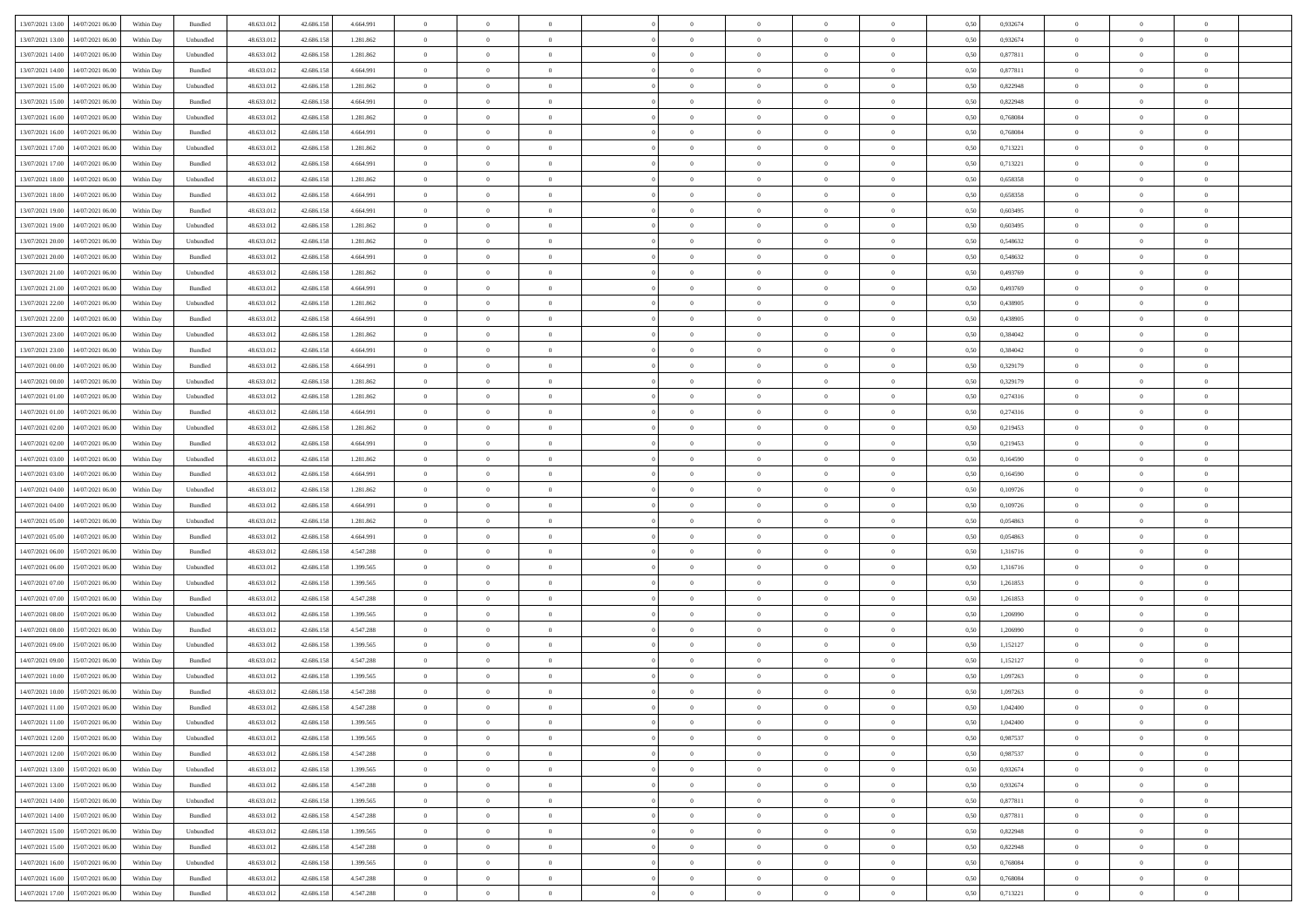| 13/07/2021 13:00 | 14/07/2021 06:00                  | Within Day | Bundled            | 48.633.012 | 42.686.158 | 4.664.991 | $\overline{0}$ | $\theta$       |                | $\overline{0}$ | $\bf{0}$       | $\overline{0}$ | $\theta$       | 0,50 | 0,932674 | $\theta$       | $\theta$       | $\theta$                 |  |
|------------------|-----------------------------------|------------|--------------------|------------|------------|-----------|----------------|----------------|----------------|----------------|----------------|----------------|----------------|------|----------|----------------|----------------|--------------------------|--|
| 13/07/2021 13:00 | 14/07/2021 06.00                  | Within Day | Unbundled          | 48.633.01  | 42.686.158 | 1.281.862 | $\overline{0}$ | $\overline{0}$ | $\overline{0}$ | $\overline{0}$ | $\,$ 0         | $\bf{0}$       | $\bf{0}$       | 0,50 | 0,932674 | $\,$ 0 $\,$    | $\overline{0}$ | $\overline{0}$           |  |
|                  |                                   |            |                    |            |            |           |                |                |                |                |                |                |                |      |          |                |                |                          |  |
| 13/07/2021 14:00 | 14/07/2021 06:00                  | Within Day | Unbundled          | 48.633.012 | 42.686.158 | 1.281.862 | $\overline{0}$ | $\bf{0}$       | $\overline{0}$ | $\overline{0}$ | $\bf{0}$       | $\bf{0}$       | $\mathbf{0}$   | 0.50 | 0.877811 | $\bf{0}$       | $\overline{0}$ | $\overline{0}$           |  |
| 13/07/2021 14:00 | 14/07/2021 06:00                  | Within Day | Bundled            | 48.633.012 | 42.686.158 | 4.664.991 | $\overline{0}$ | $\overline{0}$ | $\overline{0}$ | $\overline{0}$ | $\,$ 0         | $\overline{0}$ | $\overline{0}$ | 0,50 | 0,877811 | $\,$ 0 $\,$    | $\overline{0}$ | $\overline{0}$           |  |
| 13/07/2021 15:00 | 14/07/2021 06.00                  | Within Day | Unbundled          | 48.633.01  | 42.686.158 | 1.281.862 | $\overline{0}$ | $\theta$       | $\overline{0}$ |                | $\bf{0}$       | $\overline{0}$ | $\bf{0}$       | 0,50 | 0,822948 | $\,$ 0 $\,$    | $\overline{0}$ | $\overline{0}$           |  |
| 13/07/2021 15:00 | 14/07/2021 06:00                  | Within Day | Bundled            | 48.633.012 | 42.686.158 | 4.664.991 | $\overline{0}$ | $\overline{0}$ | $\overline{0}$ | $\overline{0}$ | $\bf{0}$       | $\overline{0}$ | $\bf{0}$       | 0.50 | 0.822948 | $\,0\,$        | $\theta$       | $\overline{0}$           |  |
| 13/07/2021 16:00 | 14/07/2021 06:00                  | Within Day | Unbundled          | 48.633.012 | 42.686.158 | 1.281.862 | $\overline{0}$ | $\overline{0}$ | $\overline{0}$ | $\overline{0}$ | $\bf{0}$       | $\overline{0}$ | $\overline{0}$ | 0,50 | 0,768084 | $\,$ 0 $\,$    | $\theta$       | $\overline{0}$           |  |
| 13/07/2021 16:00 | 14/07/2021 06.00                  | Within Day | Bundled            | 48.633.01  | 42.686.158 | 4.664.991 | $\overline{0}$ | $\theta$       | $\overline{0}$ |                | $\,$ 0         | $\bf{0}$       | $\bf{0}$       | 0,50 | 0,768084 | $\,$ 0 $\,$    | $\overline{0}$ | $\overline{0}$           |  |
| 13/07/2021 17:00 | 14/07/2021 06:00                  | Within Day | Unbundled          | 48.633.012 | 42.686.158 | 1.281.862 | $\overline{0}$ | $\overline{0}$ | $\overline{0}$ | $\overline{0}$ | $\bf{0}$       | $\overline{0}$ | $\bf{0}$       | 0.50 | 0.713221 | $\,0\,$        | $\overline{0}$ | $\overline{0}$           |  |
| 13/07/2021 17:00 | 14/07/2021 06:00                  | Within Day | Bundled            | 48.633.012 | 42.686.158 | 4.664.991 | $\overline{0}$ | $\overline{0}$ | $\overline{0}$ | $\overline{0}$ | $\bf{0}$       | $\overline{0}$ | $\bf{0}$       | 0,50 | 0,713221 | $\,$ 0 $\,$    | $\overline{0}$ | $\overline{0}$           |  |
| 13/07/2021 18:00 | 14/07/2021 06.00                  | Within Day | Unbundled          | 48.633.01  | 42.686.158 | 1.281.862 | $\bf{0}$       | $\theta$       | $\overline{0}$ | $\overline{0}$ | $\,$ 0         | $\bf{0}$       | $\bf{0}$       | 0,50 | 0,658358 | $\,$ 0 $\,$    | $\overline{0}$ | $\overline{0}$           |  |
| 13/07/2021 18:00 | 14/07/2021 06:00                  | Within Day | Bundled            | 48.633.012 | 42.686.158 | 4.664.991 | $\overline{0}$ | $\overline{0}$ | $\overline{0}$ | $\overline{0}$ | $\bf{0}$       | $\overline{0}$ | $\mathbf{0}$   | 0.50 | 0.658358 | $\bf{0}$       | $\overline{0}$ | $\bf{0}$                 |  |
|                  |                                   |            |                    |            |            |           | $\overline{0}$ | $\overline{0}$ | $\overline{0}$ | $\overline{0}$ |                | $\overline{0}$ | $\overline{0}$ |      |          | $\,$ 0 $\,$    | $\overline{0}$ |                          |  |
| 13/07/2021 19:00 | 14/07/2021 06:00                  | Within Day | Bundled            | 48.633.01  | 42.686.158 | 4.664.991 |                |                |                |                | $\,$ 0         |                |                | 0,50 | 0,603495 |                |                | $\overline{0}$           |  |
| 13/07/2021 19:00 | 14/07/2021 06.00                  | Within Day | Unbundled          | 48.633.01  | 42.686.158 | 1.281.862 | $\overline{0}$ | $\theta$       | $\overline{0}$ |                | $\,$ 0         | $\overline{0}$ | $\bf{0}$       | 0,50 | 0,603495 | $\,$ 0 $\,$    | $\overline{0}$ | $\overline{0}$           |  |
| 13/07/2021 20:00 | 14/07/2021 06:00                  | Within Day | Unbundled          | 48.633.012 | 42.686.158 | 1.281.862 | $\overline{0}$ | $\overline{0}$ | $\overline{0}$ | $\overline{0}$ | $\bf{0}$       | $\overline{0}$ | $\bf{0}$       | 0.50 | 0.548632 | $\,0\,$        | $\theta$       | $\overline{0}$           |  |
| 13/07/2021 20:00 | 14/07/2021 06:00                  | Within Day | Bundled            | 48.633.012 | 42.686.158 | 4.664.991 | $\overline{0}$ | $\overline{0}$ | $\overline{0}$ | $\overline{0}$ | $\bf{0}$       | $\overline{0}$ | $\overline{0}$ | 0,50 | 0,548632 | $\,0\,$        | $\theta$       | $\overline{0}$           |  |
| 13/07/2021 21:00 | 14/07/2021 06.00                  | Within Day | Unbundled          | 48.633.01  | 42.686.158 | 1.281.862 | $\overline{0}$ | $\theta$       | $\overline{0}$ |                | $\,$ 0         | $\overline{0}$ | $\bf{0}$       | 0,50 | 0,493769 | $\,$ 0 $\,$    | $\overline{0}$ | $\overline{0}$           |  |
| 13/07/2021 21:00 | 14/07/2021 06:00                  | Within Day | Bundled            | 48.633.012 | 42.686.158 | 4.664.991 | $\overline{0}$ | $\overline{0}$ | $\overline{0}$ | $\overline{0}$ | $\bf{0}$       | $\overline{0}$ | $\bf{0}$       | 0.50 | 0.493769 | $\,0\,$        | $\overline{0}$ | $\bf{0}$                 |  |
| 13/07/2021 22:00 | 14/07/2021 06:00                  | Within Day | Unbundled          | 48.633.012 | 42.686.158 | 1.281.862 | $\overline{0}$ | $\overline{0}$ | $\overline{0}$ | $\overline{0}$ | $\bf{0}$       | $\overline{0}$ | $\bf{0}$       | 0,50 | 0,438905 | $\,$ 0 $\,$    | $\overline{0}$ | $\overline{0}$           |  |
| 13/07/2021 22.00 | 14/07/2021 06.00                  | Within Day | Bundled            | 48.633.01  | 42.686.158 | 4.664.991 | $\bf{0}$       | $\overline{0}$ | $\overline{0}$ | $\overline{0}$ | $\,$ 0         | $\overline{0}$ | $\bf{0}$       | 0,50 | 0,438905 | $\,$ 0 $\,$    | $\overline{0}$ | $\overline{0}$           |  |
| 13/07/2021 23:00 | 14/07/2021 06:00                  | Within Day | Unbundled          | 48.633.012 | 42.686.158 | 1.281.862 | $\overline{0}$ | $\overline{0}$ | $\overline{0}$ | $\overline{0}$ | $\bf{0}$       | $\overline{0}$ | $\mathbf{0}$   | 0.50 | 0.384042 | $\,$ 0 $\,$    | $\overline{0}$ | $\bf{0}$                 |  |
| 13/07/2021 23:00 | 14/07/2021 06:00                  | Within Day | Bundled            | 48.633.012 | 42.686.158 | 4.664.991 | $\overline{0}$ | $\overline{0}$ | $\overline{0}$ | $\overline{0}$ | $\bf{0}$       | $\overline{0}$ | $\overline{0}$ | 0,50 | 0,384042 | $\,$ 0 $\,$    | $\overline{0}$ | $\overline{0}$           |  |
| 14/07/2021 00:00 | 14/07/2021 06.00                  | Within Day | Bundled            | 48.633.01  | 42.686.158 | 4.664.991 | $\overline{0}$ | $\theta$       | $\overline{0}$ | $\overline{0}$ | $\,$ 0         | $\overline{0}$ | $\bf{0}$       | 0,50 | 0,329179 | $\,$ 0 $\,$    | $\overline{0}$ | $\overline{0}$           |  |
|                  | 14/07/2021 06:00                  |            |                    | 48.633.012 | 42.686.158 |           |                | $\overline{0}$ |                |                |                | $\overline{0}$ |                |      |          |                | $\theta$       | $\overline{0}$           |  |
| 14/07/2021 00:00 |                                   | Within Day | Unbundled          |            |            | 1.281.862 | $\overline{0}$ |                | $\overline{0}$ | $\overline{0}$ | $\bf{0}$       |                | $\bf{0}$       | 0.50 | 0,329179 | $\,0\,$        |                |                          |  |
| 14/07/2021 01:00 | 14/07/2021 06:00                  | Within Day | Unbundled          | 48.633.012 | 42.686.158 | 1.281.862 | $\overline{0}$ | $\overline{0}$ | $\overline{0}$ | $\overline{0}$ | $\,$ 0         | $\overline{0}$ | $\overline{0}$ | 0,50 | 0,274316 | $\,0\,$        | $\theta$       | $\overline{0}$           |  |
| 14/07/2021 01:00 | 14/07/2021 06.00                  | Within Day | Bundled            | 48.633.01  | 42.686.158 | 4.664.991 | $\overline{0}$ | $\theta$       | $\overline{0}$ |                | $\,$ 0         | $\overline{0}$ | $\bf{0}$       | 0,50 | 0,274316 | $\,$ 0 $\,$    | $\overline{0}$ | $\overline{0}$           |  |
| 14/07/2021 02:00 | 14/07/2021 06:00                  | Within Day | Unbundled          | 48.633.012 | 42.686.158 | 1.281.862 | $\overline{0}$ | $\overline{0}$ | $\overline{0}$ | $\overline{0}$ | $\bf{0}$       | $\overline{0}$ | $\bf{0}$       | 0.50 | 0.219453 | $\,0\,$        | $\overline{0}$ | $\overline{0}$           |  |
| 14/07/2021 02:00 | 14/07/2021 06:00                  | Within Day | Bundled            | 48.633.012 | 42.686.158 | 4.664.991 | $\overline{0}$ | $\overline{0}$ | $\overline{0}$ | $\overline{0}$ | $\bf{0}$       | $\overline{0}$ | $\bf{0}$       | 0,50 | 0,219453 | $\,$ 0 $\,$    | $\overline{0}$ | $\overline{0}$           |  |
| 14/07/2021 03:00 | 14/07/2021 06.00                  | Within Day | Unbundled          | 48.633.01  | 42.686.158 | 1.281.862 | $\overline{0}$ | $\overline{0}$ | $\overline{0}$ | $\overline{0}$ | $\bf{0}$       | $\overline{0}$ | $\bf{0}$       | 0,50 | 0,164590 | $\,$ 0 $\,$    | $\overline{0}$ | $\overline{0}$           |  |
| 14/07/2021 03:00 | 14/07/2021 06:00                  | Within Day | Bundled            | 48.633.012 | 42.686.158 | 4.664.991 | $\overline{0}$ | $\bf{0}$       | $\overline{0}$ | $\overline{0}$ | $\bf{0}$       | $\overline{0}$ | $\mathbf{0}$   | 0.50 | 0.164590 | $\,$ 0 $\,$    | $\overline{0}$ | $\bf{0}$                 |  |
| 14/07/2021 04:00 | 14/07/2021 06:00                  | Within Dav | Unbundled          | 48.633.012 | 42.686.158 | 1.281.862 | $\overline{0}$ | $\overline{0}$ | $\overline{0}$ | $\overline{0}$ | $\overline{0}$ | $\overline{0}$ | $\overline{0}$ | 0.50 | 0,109726 | $\theta$       | $\overline{0}$ | $\overline{0}$           |  |
| 14/07/2021 04:00 | 14/07/2021 06.00                  | Within Day | Bundled            | 48.633.01  | 42.686.158 | 4.664.991 | $\overline{0}$ | $\theta$       | $\overline{0}$ |                | $\,$ 0         | $\overline{0}$ | $\bf{0}$       | 0,50 | 0,109726 | $\,$ 0 $\,$    | $\overline{0}$ | $\overline{0}$           |  |
| 14/07/2021 05:00 | 14/07/2021 06:00                  | Within Day | Unbundled          | 48.633.012 | 42.686.158 | 1.281.862 | $\overline{0}$ | $\overline{0}$ | $\overline{0}$ | $\overline{0}$ | $\bf{0}$       | $\overline{0}$ | $\bf{0}$       | 0.50 | 0.054863 | $\,0\,$        | $\overline{0}$ | $\overline{0}$           |  |
| 14/07/2021 05:00 | 14/07/2021 06:00                  | Within Dav | Bundled            | 48.633.012 | 42.686.158 | 4.664.991 | $\overline{0}$ | $\overline{0}$ | $\Omega$       | $\Omega$       | $\mathbf{0}$   | $\overline{0}$ | $\overline{0}$ | 0.50 | 0,054863 | $\theta$       | $\overline{0}$ | $\overline{0}$           |  |
| 14/07/2021 06:00 | 15/07/2021 06.00                  | Within Day | Bundled            | 48.633.01  | 42.686.158 | 4.547.288 | $\overline{0}$ | $\theta$       | $\overline{0}$ |                | $\,$ 0         | $\overline{0}$ | $\bf{0}$       | 0,50 | 1,316716 | $\,$ 0 $\,$    | $\overline{0}$ | $\overline{0}$           |  |
| 14/07/2021 06:00 | 15/07/2021 06:00                  |            | Unbundled          | 48.633.012 | 42.686.158 | 1.399.565 |                | $\overline{0}$ | $\overline{0}$ | $\overline{0}$ | $\bf{0}$       | $\overline{0}$ |                | 0.50 | 1.316716 | $\,0\,$        | $\overline{0}$ | $\overline{\phantom{a}}$ |  |
|                  |                                   | Within Day |                    |            |            |           | $\overline{0}$ |                |                |                |                |                | $\bf{0}$       |      |          |                |                |                          |  |
| 14/07/2021 07:00 | 15/07/2021 06:00                  | Within Dav | Unbundled          | 48.633.012 | 42.686.158 | 1.399.565 | $\overline{0}$ | $\overline{0}$ | $\overline{0}$ | $\overline{0}$ | $\overline{0}$ | $\overline{0}$ | $\overline{0}$ | 0.50 | 1,261853 | $\theta$       | $\overline{0}$ | $\overline{0}$           |  |
| 14/07/2021 07:00 | 15/07/2021 06.00                  | Within Day | Bundled            | 48.633.01  | 42.686.158 | 4.547.288 | $\bf{0}$       | $\overline{0}$ | $\overline{0}$ | $\overline{0}$ | $\bf{0}$       | $\bf{0}$       | $\bf{0}$       | 0,50 | 1,261853 | $\,$ 0 $\,$    | $\overline{0}$ | $\overline{0}$           |  |
| 14/07/2021 08:00 | 15/07/2021 06:00                  | Within Day | Unbundled          | 48.633.012 | 42.686.158 | 1.399.565 | $\overline{0}$ | $\overline{0}$ | $\overline{0}$ | $\overline{0}$ | $\bf{0}$       | $\overline{0}$ | $\mathbf{0}$   | 0.50 | 1.206990 | $\,$ 0 $\,$    | $\overline{0}$ | $\overline{\phantom{a}}$ |  |
| 14/07/2021 08:00 | 15/07/2021 06:00                  | Within Dav | Bundled            | 48.633.012 | 42.686.158 | 4.547.288 | $\overline{0}$ | $\overline{0}$ | $\Omega$       | $\overline{0}$ | $\mathbf{0}$   | $\overline{0}$ | $\mathbf{0}$   | 0.50 | 1.206990 | $\theta$       | $\overline{0}$ | $\overline{0}$           |  |
| 14/07/2021 09:00 | 15/07/2021 06.00                  | Within Day | Unbundled          | 48.633.01  | 42.686.158 | 1.399.565 | $\overline{0}$ | $\,$ 0 $\,$    | $\overline{0}$ | $\overline{0}$ | $\,$ 0         | $\bf{0}$       | $\bf{0}$       | 0,50 | 1,152127 | $\,$ 0 $\,$    | $\overline{0}$ | $\overline{0}$           |  |
| 14/07/2021 09:00 | 15/07/2021 06:00                  | Within Day | Bundled            | 48.633.012 | 42.686.158 | 4.547.288 | $\overline{0}$ | $\overline{0}$ | $\overline{0}$ | $\overline{0}$ | $\bf{0}$       | $\overline{0}$ | $\bf{0}$       | 0.50 | 1,152127 | $\,0\,$        | $\theta$       | $\overline{0}$           |  |
| 14/07/2021 10:00 | 15/07/2021 06:00                  | Within Dav | Unbundled          | 48.633.012 | 42.686.158 | 1.399.565 | $\overline{0}$ | $\theta$       | $\Omega$       | $\Omega$       | $\bf{0}$       | $\overline{0}$ | $\overline{0}$ | 0.50 | 1,097263 | $\theta$       | $\overline{0}$ | $\overline{0}$           |  |
| 14/07/2021 10:00 | 15/07/2021 06:00                  | Within Day | Bundled            | 48.633.012 | 42.686.158 | 4.547.288 | $\bf{0}$       | $\overline{0}$ | $\overline{0}$ | $\bf{0}$       | $\,$ 0         | $\bf{0}$       | $\bf{0}$       | 0,50 | 1,097263 | $\,$ 0 $\,$    | $\overline{0}$ | $\overline{0}$           |  |
| 14/07/2021 11:00 | 15/07/2021 06:00                  | Within Day | $\mathbf B$ undled | 48.633.012 | 42.686.158 | 4.547.288 | $\bf{0}$       | $\theta$       |                |                | $\Omega$       |                |                | 0,50 | 1,042400 | $\bf{0}$       | $\theta$       |                          |  |
| 14/07/2021 11:00 | 15/07/2021 06:00                  | Within Day | Unbundled          | 48.633.012 | 42.686.158 | 1.399.565 | $\Omega$       | $\overline{0}$ | $\overline{0}$ | $\Omega$       | $\mathbf{0}$   | $\overline{0}$ | $\mathbf{0}$   | 0,50 | 1,042400 | $\theta$       | $\overline{0}$ | $\overline{0}$           |  |
| 14/07/2021 12:00 | 15/07/2021 06:00                  | Within Day | Unbundled          | 48.633.012 | 42.686.158 | 1.399.565 | $\bf{0}$       | $\overline{0}$ | $\overline{0}$ | $\bf{0}$       | $\overline{0}$ | $\overline{0}$ | $\mathbf{0}$   | 0,50 | 0,987537 | $\bf{0}$       | $\overline{0}$ | $\bf{0}$                 |  |
| 14/07/2021 12:00 | 15/07/2021 06:00                  | Within Day | Bundled            | 48.633.012 | 42.686.158 | 4.547.288 | $\overline{0}$ | $\overline{0}$ | $\overline{0}$ | $\overline{0}$ | $\overline{0}$ | $\overline{0}$ | $\mathbf{0}$   | 0.50 | 0.987537 | $\overline{0}$ | $\bf{0}$       | $\overline{0}$           |  |
|                  |                                   |            |                    |            |            |           |                |                |                |                |                |                |                |      |          |                |                |                          |  |
| 14/07/2021 13:00 | 15/07/2021 06:00                  | Within Day | Unbundled          | 48.633.012 | 42.686.158 | 1.399.565 | $\overline{0}$ | $\overline{0}$ | $\overline{0}$ | $\overline{0}$ | $\overline{0}$ | $\overline{0}$ | $\mathbf{0}$   | 0.50 | 0,932674 | $\overline{0}$ | $\theta$       | $\overline{0}$           |  |
| 14/07/2021 13:00 | 15/07/2021 06:00                  | Within Day | Bundled            | 48.633.012 | 42.686.158 | 4.547.288 | $\bf{0}$       | $\overline{0}$ | $\overline{0}$ | $\overline{0}$ | $\bf{0}$       | $\bf{0}$       | $\bf{0}$       | 0,50 | 0,932674 | $\bf{0}$       | $\overline{0}$ | $\overline{0}$           |  |
| 14/07/2021 14:00 | 15/07/2021 06:00                  | Within Day | Unbundled          | 48.633.012 | 42.686.158 | 1.399.565 | $\overline{0}$ | $\overline{0}$ | $\overline{0}$ | $\overline{0}$ | $\bf{0}$       | $\overline{0}$ | $\mathbf{0}$   | 0.50 | 0.877811 | $\,$ 0 $\,$    | $\overline{0}$ | $\overline{0}$           |  |
| 14/07/2021 14:00 | 15/07/2021 06:00                  | Within Day | Bundled            | 48.633.012 | 42.686.158 | 4.547.288 | $\overline{0}$ | $\overline{0}$ | $\overline{0}$ | $\overline{0}$ | $\overline{0}$ | $\overline{0}$ | $\overline{0}$ | 0.50 | 0,877811 | $\overline{0}$ | $\theta$       | $\overline{0}$           |  |
| 14/07/2021 15:00 | 15/07/2021 06:00                  | Within Day | Unbundled          | 48.633.01  | 42.686.158 | 1.399.565 | $\overline{0}$ | $\,$ 0         | $\overline{0}$ | $\bf{0}$       | $\,$ 0 $\,$    | $\overline{0}$ | $\bf{0}$       | 0,50 | 0,822948 | $\,$ 0 $\,$    | $\overline{0}$ | $\overline{0}$           |  |
| 14/07/2021 15:00 | 15/07/2021 06:00                  | Within Day | Bundled            | 48.633.012 | 42.686.158 | 4.547.288 | $\overline{0}$ | $\overline{0}$ | $\overline{0}$ | $\overline{0}$ | $\bf{0}$       | $\overline{0}$ | $\mathbf{0}$   | 0.50 | 0.822948 | $\mathbf{0}$   | $\bf{0}$       | $\overline{0}$           |  |
| 14/07/2021 16:00 | 15/07/2021 06:00                  | Within Day | Unbundled          | 48.633.012 | 42.686.158 | 1.399.565 | $\overline{0}$ | $\overline{0}$ | $\overline{0}$ | $\overline{0}$ | $\overline{0}$ | $\overline{0}$ | $\overline{0}$ | 0,50 | 0,768084 | $\overline{0}$ | $\theta$       | $\overline{0}$           |  |
| 14/07/2021 16:00 | 15/07/2021 06:00                  | Within Day | Bundled            | 48.633.012 | 42.686.158 | 4.547.288 | $\overline{0}$ | $\bf{0}$       | $\overline{0}$ | $\bf{0}$       | $\bf{0}$       | $\bf{0}$       | $\bf{0}$       | 0,50 | 0,768084 | $\bf{0}$       | $\overline{0}$ | $\bf{0}$                 |  |
|                  | 14/07/2021 17:00 15/07/2021 06:00 | Within Day | Bundled            | 48.633.012 | 42.686.158 | 4.547.288 | $\overline{0}$ | $\,$ 0 $\,$    | $\overline{0}$ | $\overline{0}$ | $\,$ 0 $\,$    | $\overline{0}$ | $\,$ 0 $\,$    | 0,50 | 0,713221 | $\overline{0}$ | $\,$ 0 $\,$    | $\,$ 0 $\,$              |  |
|                  |                                   |            |                    |            |            |           |                |                |                |                |                |                |                |      |          |                |                |                          |  |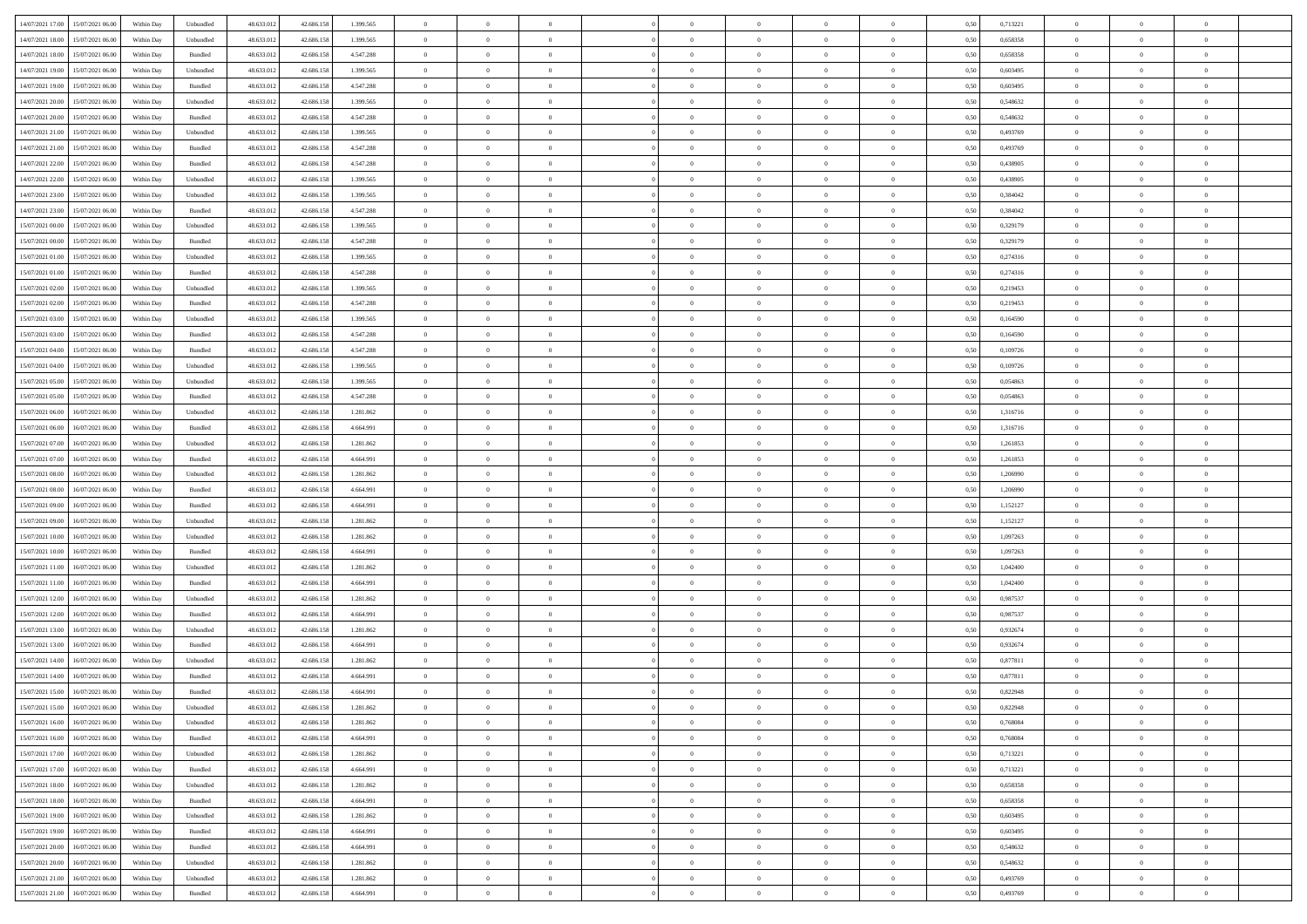| 14/07/2021 17:00 15/07/2021 06:00            | Within Day | Unbundled         | 48.633.01  | 42.686.158 | 1.399.565 | $\overline{0}$                   | $\overline{0}$ |                | $\overline{0}$ | $\theta$       |                | $\theta$       | 0,50 | 0,713221 | $\theta$       | $\theta$       | $\overline{0}$ |  |
|----------------------------------------------|------------|-------------------|------------|------------|-----------|----------------------------------|----------------|----------------|----------------|----------------|----------------|----------------|------|----------|----------------|----------------|----------------|--|
|                                              |            |                   |            |            |           |                                  |                |                |                |                |                |                |      |          |                |                |                |  |
| 14/07/2021 18:00<br>15/07/2021 06:00         | Within Day | Unbundled         | 48.633.01  | 42.686.158 | 1.399.565 | $\bf{0}$                         | $\bf{0}$       | $\bf{0}$       | $\bf{0}$       | $\overline{0}$ | $\overline{0}$ | $\bf{0}$       | 0,50 | 0,658358 | $\,$ 0 $\,$    | $\bf{0}$       | $\overline{0}$ |  |
| 14/07/2021 18:00<br>15/07/2021 06:00         | Within Day | Bundled           | 48.633.013 | 42.686.158 | 4.547.288 | $\overline{0}$                   | $\bf{0}$       | $\overline{0}$ | $\bf{0}$       | $\bf{0}$       | $\overline{0}$ | $\bf{0}$       | 0.50 | 0.658358 | $\bf{0}$       | $\overline{0}$ | $\bf{0}$       |  |
| 14/07/2021 19:00<br>15/07/2021 06:00         | Within Day | Unbundled         | 48.633.013 | 42.686.158 | 1.399.565 | $\overline{0}$                   | $\overline{0}$ | $\overline{0}$ | $\theta$       | $\theta$       | $\overline{0}$ | $\bf{0}$       | 0,50 | 0,603495 | $\theta$       | $\theta$       | $\overline{0}$ |  |
| 14/07/2021 19:00<br>15/07/2021 06:00         | Within Day | Bundled           | 48.633.01  | 42.686.158 | 4.547.288 | $\bf{0}$                         | $\overline{0}$ | $\bf{0}$       | $\overline{0}$ | $\bf{0}$       | $\overline{0}$ | $\bf{0}$       | 0,50 | 0,603495 | $\,$ 0 $\,$    | $\bf{0}$       | $\overline{0}$ |  |
| 14/07/2021 20:00<br>15/07/2021 06:00         |            | Unbundled         | 48.633.013 | 42.686.158 | 1.399.565 | $\overline{0}$                   | $\bf{0}$       | $\overline{0}$ | $\bf{0}$       | $\overline{0}$ | $\overline{0}$ | $\bf{0}$       | 0.50 | 0.548632 | $\,$ 0 $\,$    | $\theta$       | $\overline{0}$ |  |
|                                              | Within Day |                   |            |            |           |                                  |                |                |                |                |                |                |      |          |                |                |                |  |
| 14/07/2021 20:00<br>15/07/2021 06:00         | Within Day | Bundled           | 48.633.013 | 42.686.158 | 4.547.288 | $\overline{0}$                   | $\overline{0}$ | $\overline{0}$ | $\overline{0}$ | $\overline{0}$ | $\overline{0}$ | $\bf{0}$       | 0,50 | 0,548632 | $\theta$       | $\theta$       | $\overline{0}$ |  |
| 14/07/2021 21:00<br>15/07/2021 06:00         | Within Day | Unbundled         | 48.633.01  | 42.686.158 | 1.399.565 | $\bf{0}$                         | $\bf{0}$       | $\bf{0}$       | $\overline{0}$ | $\overline{0}$ | $\overline{0}$ | $\bf{0}$       | 0,50 | 0,493769 | $\,$ 0 $\,$    | $\bf{0}$       | $\overline{0}$ |  |
| 14/07/2021 21:00<br>15/07/2021 06:00         | Within Day | Bundled           | 48.633.013 | 42.686.158 | 4.547.288 | $\overline{0}$                   | $\bf{0}$       | $\overline{0}$ | $\bf{0}$       | $\overline{0}$ | $\overline{0}$ | $\bf{0}$       | 0.50 | 0.493769 | $\bf{0}$       | $\overline{0}$ | $\overline{0}$ |  |
| 14/07/2021 22:00<br>15/07/2021 06:00         | Within Day | Bundled           | 48.633.013 | 42.686.158 | 4.547.288 | $\overline{0}$                   | $\bf{0}$       | $\overline{0}$ | $\overline{0}$ | $\overline{0}$ | $\overline{0}$ | $\bf{0}$       | 0,50 | 0,438905 | $\,$ 0 $\,$    | $\bf{0}$       | $\overline{0}$ |  |
| 14/07/2021 22:00<br>15/07/2021 06:00         | Within Day | Unbundled         | 48.633.01  | 42.686.158 | 1.399.565 | $\bf{0}$                         | $\bf{0}$       | $\bf{0}$       | $\bf{0}$       | $\overline{0}$ | $\overline{0}$ | $\bf{0}$       | 0,50 | 0,438905 | $\,$ 0 $\,$    | $\bf{0}$       | $\overline{0}$ |  |
| 14/07/2021 23:00<br>15/07/2021 06:00         | Within Day | Unbundled         | 48.633.013 | 42.686.158 | 1.399.565 | $\overline{0}$                   | $\bf{0}$       | $\overline{0}$ | $\bf{0}$       | $\overline{0}$ | $\overline{0}$ | $\bf{0}$       | 0.50 | 0.384042 | $\bf{0}$       | $\overline{0}$ | $\,$ 0         |  |
| 14/07/2021 23:00<br>15/07/2021 06:00         | Within Day | Bundled           | 48.633.01  | 42.686.158 | 4.547.288 | $\overline{0}$                   | $\overline{0}$ | $\overline{0}$ | $\theta$       | $\theta$       | $\overline{0}$ | $\bf{0}$       | 0,50 | 0,384042 | $\,$ 0 $\,$    | $\theta$       | $\overline{0}$ |  |
|                                              |            |                   |            |            |           |                                  |                |                |                |                |                |                |      |          |                |                |                |  |
| 15/07/2021 00:00<br>15/07/2021 06:00         | Within Day | Unbundled         | 48.633.01  | 42.686.158 | 1.399.565 | $\bf{0}$                         | $\overline{0}$ | $\bf{0}$       | $\bf{0}$       | $\bf{0}$       | $\overline{0}$ | $\bf{0}$       | 0,50 | 0,329179 | $\,$ 0 $\,$    | $\bf{0}$       | $\overline{0}$ |  |
| 15/07/2021 00:00<br>15/07/2021 06:00         | Within Day | Bundled           | 48.633.013 | 42.686.158 | 4.547.288 | $\overline{0}$                   | $\bf{0}$       | $\overline{0}$ | $\bf{0}$       | $\overline{0}$ | $\overline{0}$ | $\bf{0}$       | 0.50 | 0,329179 | $\,$ 0 $\,$    | $\theta$       | $\overline{0}$ |  |
| 15/07/2021 01:00<br>15/07/2021 06:00         | Within Day | Unbundled         | 48.633.013 | 42.686.158 | 1.399.565 | $\overline{0}$                   | $\overline{0}$ | $\overline{0}$ | $\overline{0}$ | $\overline{0}$ | $\overline{0}$ | $\bf{0}$       | 0,50 | 0,274316 | $\theta$       | $\theta$       | $\overline{0}$ |  |
| 15/07/2021 01:00<br>15/07/2021 06:00         | Within Day | Bundled           | 48.633.01  | 42.686.158 | 4.547.288 | $\bf{0}$                         | $\bf{0}$       | $\bf{0}$       | $\overline{0}$ | $\overline{0}$ | $\overline{0}$ | $\bf{0}$       | 0,50 | 0,274316 | $\,$ 0 $\,$    | $\bf{0}$       | $\overline{0}$ |  |
| 15/07/2021 02:00<br>15/07/2021 06:00         | Within Day | Unbundled         | 48.633.013 | 42.686.158 | 1.399.565 | $\overline{0}$                   | $\bf{0}$       | $\overline{0}$ | $\bf{0}$       | $\overline{0}$ | $\overline{0}$ | $\bf{0}$       | 0.50 | 0.219453 | $\bf{0}$       | $\overline{0}$ | $\bf{0}$       |  |
| 15/07/2021 02:00<br>15/07/2021 06:00         | Within Day | Bundled           | 48.633.013 | 42.686.158 | 4.547.288 | $\overline{0}$                   | $\bf{0}$       | $\overline{0}$ | $\overline{0}$ | $\overline{0}$ | $\overline{0}$ | $\bf{0}$       | 0,50 | 0,219453 | $\,$ 0 $\,$    | $\bf{0}$       | $\overline{0}$ |  |
| 15/07/2021 03:00<br>15/07/2021 06:00         | Within Day | Unbundled         | 48.633.01  | 42.686.158 | 1.399.565 | $\bf{0}$                         | $\bf{0}$       | $\bf{0}$       | $\bf{0}$       | $\overline{0}$ | $\overline{0}$ | $\bf{0}$       | 0,50 | 0,164590 | $\,$ 0 $\,$    | $\bf{0}$       | $\overline{0}$ |  |
| 15/07/2021 03:00<br>15/07/2021 06:00         |            | Bundled           | 48.633.013 | 42.686.158 | 4.547.288 |                                  | $\bf{0}$       |                |                | $\bf{0}$       | $\overline{0}$ |                | 0.50 | 0.164590 | $\bf{0}$       | $\overline{0}$ | $\,$ 0         |  |
|                                              | Within Day |                   |            |            |           | $\overline{0}$<br>$\overline{0}$ | $\overline{0}$ | $\overline{0}$ | $\overline{0}$ |                |                | $\bf{0}$       |      |          | $\theta$       | $\theta$       |                |  |
| 15/07/2021 04:00<br>15/07/2021 06:00         | Within Day | Bundled           | 48.633.01  | 42.686.158 | 4.547.288 |                                  |                | $\overline{0}$ | $\theta$       | $\theta$       | $\overline{0}$ | $\bf{0}$       | 0,50 | 0,109726 |                |                | $\overline{0}$ |  |
| 15/07/2021 04:00<br>15/07/2021 06:00         | Within Day | Unbundled         | 48.633.01  | 42.686.158 | 1.399.565 | $\bf{0}$                         | $\bf{0}$       | $\bf{0}$       | $\bf{0}$       | $\overline{0}$ | $\overline{0}$ | $\bf{0}$       | 0,50 | 0,109726 | $\,$ 0 $\,$    | $\bf{0}$       | $\overline{0}$ |  |
| 15/07/2021 05:00<br>15/07/2021 06:00         | Within Day | Unbundled         | 48.633.013 | 42.686.158 | 1.399.565 | $\overline{0}$                   | $\bf{0}$       | $\overline{0}$ | $\bf{0}$       | $\overline{0}$ | $\overline{0}$ | $\bf{0}$       | 0.50 | 0.054863 | $\,$ 0 $\,$    | $\theta$       | $\overline{0}$ |  |
| 15/07/2021 05:00<br>15/07/2021 06:00         | Within Day | Bundled           | 48.633.013 | 42.686.158 | 4.547.288 | $\overline{0}$                   | $\overline{0}$ | $\overline{0}$ | $\overline{0}$ | $\overline{0}$ | $\overline{0}$ | $\bf{0}$       | 0,50 | 0,054863 | $\,$ 0 $\,$    | $\theta$       | $\overline{0}$ |  |
| 15/07/2021 06:00<br>16/07/2021 06:00         | Within Day | Unbundled         | 48.633.01  | 42.686.158 | 1.281.862 | $\bf{0}$                         | $\overline{0}$ | $\bf{0}$       | $\overline{0}$ | $\bf{0}$       | $\overline{0}$ | $\bf{0}$       | 0,50 | 1,316716 | $\,$ 0 $\,$    | $\bf{0}$       | $\overline{0}$ |  |
| 15/07/2021 06:00<br>16/07/2021 06:00         | Within Day | Bundled           | 48.633.013 | 42.686.158 | 4.664.991 | $\overline{0}$                   | $\bf{0}$       | $\overline{0}$ | $\bf{0}$       | $\overline{0}$ | $\overline{0}$ | $\bf{0}$       | 0.50 | 1.316716 | $\bf{0}$       | $\overline{0}$ | $\overline{0}$ |  |
| 15/07/2021 07:00<br>16/07/2021 06:00         | Within Day | Unbundled         | 48.633.013 | 42.686.158 | 1.281.862 | $\overline{0}$                   | $\bf{0}$       | $\overline{0}$ | $\overline{0}$ | $\overline{0}$ | $\overline{0}$ | $\bf{0}$       | 0,50 | 1,261853 | $\theta$       | $\bf{0}$       | $\overline{0}$ |  |
| 15/07/2021 07:00<br>16/07/2021 06:00         | Within Day | Bundled           | 48.633.01  | 42.686.158 | 4.664.991 | $\bf{0}$                         | $\bf{0}$       | $\bf{0}$       | $\bf{0}$       | $\overline{0}$ | $\overline{0}$ | $\bf{0}$       | 0,50 | 1,261853 | $\,$ 0 $\,$    | $\bf{0}$       | $\overline{0}$ |  |
|                                              |            |                   |            |            |           |                                  |                |                |                |                |                |                |      |          |                |                |                |  |
| 15/07/2021 08:00<br>16/07/2021 06:00         | Within Day | Unbundled         | 48.633.013 | 42.686.158 | 1.281.862 | $\overline{0}$                   | $\bf{0}$       | $\overline{0}$ | $\bf{0}$       | $\bf{0}$       | $\overline{0}$ | $\bf{0}$       | 0.50 | 1.206990 | $\bf{0}$       | $\overline{0}$ | $\,$ 0         |  |
| 15/07/2021 08:00<br>16/07/2021 06:00         | Within Day | Bundled           | 48.633.013 | 42.686.158 | 4.664.991 | $\overline{0}$                   | $\overline{0}$ | $\overline{0}$ | $\overline{0}$ | $\overline{0}$ | $\overline{0}$ | $\bf{0}$       | 0.50 | 1.206990 | $\theta$       | $\theta$       | $\overline{0}$ |  |
| 15/07/2021 09:00<br>16/07/2021 06:00         | Within Day | Bundled           | 48.633.01  | 42.686.158 | 4.664.991 | $\bf{0}$                         | $\overline{0}$ | $\bf{0}$       | $\bf{0}$       | $\overline{0}$ | $\overline{0}$ | $\bf{0}$       | 0,50 | 1,152127 | $\,$ 0 $\,$    | $\bf{0}$       | $\overline{0}$ |  |
| 15/07/2021 09:00<br>16/07/2021 06:00         | Within Day | Unbundled         | 48.633.013 | 42.686.158 | 1.281.862 | $\overline{0}$                   | $\bf{0}$       | $\overline{0}$ | $\bf{0}$       | $\overline{0}$ | $\overline{0}$ | $\bf{0}$       | 0.50 | 1,152127 | $\,$ 0 $\,$    | $\bf{0}$       | $\overline{0}$ |  |
| 15/07/2021 10:00<br>16/07/2021 06:00         | Within Dav | Unbundled         | 48.633.013 | 42.686.158 | 1.281.862 | $\overline{0}$                   | $\overline{0}$ | $\overline{0}$ | $\overline{0}$ | $\overline{0}$ | $\overline{0}$ | $\bf{0}$       | 0.50 | 1,097263 | $\theta$       | $\theta$       | $\overline{0}$ |  |
| 15/07/2021 10:00<br>16/07/2021 06:00         | Within Day | Bundled           | 48.633.01  | 42.686.158 | 4.664.991 | $\bf{0}$                         | $\bf{0}$       | $\bf{0}$       | $\bf{0}$       | $\overline{0}$ | $\overline{0}$ | $\bf{0}$       | 0,50 | 1,097263 | $\,$ 0 $\,$    | $\bf{0}$       | $\overline{0}$ |  |
| 15/07/2021 11:00<br>16/07/2021 06:00         | Within Day | Unbundled         | 48.633.013 | 42.686.158 | 1.281.862 | $\overline{0}$                   | $\bf{0}$       | $\overline{0}$ | $\bf{0}$       | $\overline{0}$ | $\overline{0}$ | $\bf{0}$       | 0.50 | 1.042400 | $\bf{0}$       | $\overline{0}$ | $\bf{0}$       |  |
| 15/07/2021 11:00<br>16/07/2021 06:00         | Within Dav | Bundled           | 48.633.013 | 42.686.158 | 4.664.991 | $\overline{0}$                   | $\overline{0}$ | $\overline{0}$ | $\overline{0}$ | $\overline{0}$ | $\overline{0}$ | $\bf{0}$       | 0.50 | 1,042400 | $\theta$       | $\theta$       | $\overline{0}$ |  |
| 16/07/2021 06:00                             | Within Day | Unbundled         | 48.633.01  | 42.686.158 | 1.281.862 | $\bf{0}$                         | $\bf{0}$       | $\bf{0}$       | $\bf{0}$       | $\overline{0}$ | $\overline{0}$ | $\bf{0}$       | 0,50 | 0,987537 | $\,$ 0 $\,$    | $\bf{0}$       | $\overline{0}$ |  |
| 15/07/2021 12:00                             |            |                   |            |            |           |                                  |                |                |                |                |                |                |      |          |                |                |                |  |
| 15/07/2021 12:00<br>16/07/2021 06:00         | Within Day | Bundled           | 48.633.013 | 42.686.158 | 4.664.991 | $\overline{0}$                   | $\bf{0}$       | $\overline{0}$ | $\overline{0}$ | $\bf{0}$       | $\overline{0}$ | $\bf{0}$       | 0.50 | 0.987537 | $\bf{0}$       | $\overline{0}$ | $\,$ 0         |  |
| 15/07/2021 13:00<br>16/07/2021 06:00         | Within Dav | Unbundled         | 48.633.013 | 42.686.158 | 1.281.862 | $\overline{0}$                   | $\overline{0}$ | $\overline{0}$ | $\overline{0}$ | $\overline{0}$ | $\overline{0}$ | $\bf{0}$       | 0.50 | 0,932674 | $\theta$       | $\theta$       | $\overline{0}$ |  |
| 15/07/2021 13:00<br>16/07/2021 06:00         | Within Day | Bundled           | 48.633.01  | 42.686.158 | 4.664.991 | $\bf{0}$                         | $\bf{0}$       | $\bf{0}$       | $\bf{0}$       | $\overline{0}$ | $\overline{0}$ | $\bf{0}$       | 0,50 | 0,932674 | $\,$ 0 $\,$    | $\bf{0}$       | $\overline{0}$ |  |
| 15/07/2021 14:00<br>16/07/2021 06:00         | Within Day | Unbundled         | 48.633.013 | 42.686.158 | 1.281.862 | $\overline{0}$                   | $\overline{0}$ | $\overline{0}$ | $\bf{0}$       | $\overline{0}$ | $\overline{0}$ | $\bf{0}$       | 0.50 | 0.877811 | $\bf{0}$       | $\theta$       | $\overline{0}$ |  |
| 15/07/2021 14:00<br>16/07/2021 06:00         | Within Dav | Bundled           | 48.633.013 | 42.686.158 | 4.664.991 | $\overline{0}$                   | $\overline{0}$ | $\overline{0}$ | $\overline{0}$ | $\theta$       | $\overline{0}$ | $\overline{0}$ | 0.5( | 0,877811 | $\theta$       | $\theta$       | $\overline{0}$ |  |
| 15/07/2021 15:00<br>16/07/2021 06:00         | Within Day | Bundled           | 48.633.01  | 42.686.158 | 4.664.991 | $\bf{0}$                         | $\bf{0}$       | $\bf{0}$       | $\bf{0}$       | $\bf{0}$       | $\overline{0}$ | $\bf{0}$       | 0,50 | 0,822948 | $\overline{0}$ | $\bf{0}$       | $\overline{0}$ |  |
| $15/07/2021\ 15.00 \qquad 16/07/2021\ 06.00$ | Within Day | ${\sf Unbundred}$ | 48.633.012 | 42.686.158 | 1.281.862 | $\bf{0}$                         | $\theta$       |                | $\Omega$       |                |                |                | 0,50 | 0,822948 | $\bf{0}$       | $\overline{0}$ |                |  |
| 15/07/2021 16:00 16/07/2021 06:00            | Within Day | Unbundled         | 48.633.012 | 42.686.158 | 1.281.862 | $\overline{0}$                   | $\overline{0}$ | $\overline{0}$ | $\theta$       | $\overline{0}$ | $\overline{0}$ | $\bf{0}$       | 0,50 | 0,768084 | $\theta$       | $\overline{0}$ | $\overline{0}$ |  |
|                                              |            |                   |            |            |           |                                  |                |                |                |                |                |                |      |          |                |                |                |  |
| 15/07/2021 16:00<br>16/07/2021 06:00         | Within Day | Bundled           | 48.633.013 | 42.686.158 | 4.664.991 | $\overline{0}$                   | $\bf{0}$       | $\overline{0}$ | $\overline{0}$ | $\bf{0}$       | $\overline{0}$ | $\bf{0}$       | 0,50 | 0,768084 | $\bf{0}$       | $\overline{0}$ | $\bf{0}$       |  |
| 15/07/2021 17:00 16/07/2021 06:00            | Within Day | Unbundled         | 48.633.012 | 42.686.158 | 1.281.862 | $\overline{0}$                   | $\overline{0}$ | $\overline{0}$ | $\overline{0}$ | $\mathbf{0}$   | $\overline{0}$ | $\,$ 0 $\,$    | 0.50 | 0,713221 | $\overline{0}$ | $\bf{0}$       | $\,$ 0 $\,$    |  |
| 15/07/2021 17:00 16/07/2021 06:00            | Within Day | Bundled           | 48.633.012 | 42.686.158 | 4.664.991 | $\overline{0}$                   | $\overline{0}$ | $\overline{0}$ | $\overline{0}$ | $\overline{0}$ | $\overline{0}$ | $\bf{0}$       | 0.50 | 0,713221 | $\overline{0}$ | $\theta$       | $\overline{0}$ |  |
| 15/07/2021 18:00<br>16/07/2021 06:00         | Within Day | Unbundled         | 48.633.012 | 42.686.158 | 1.281.862 | $\overline{0}$                   | $\bf{0}$       | $\overline{0}$ | $\overline{0}$ | $\bf{0}$       | $\overline{0}$ | $\bf{0}$       | 0,50 | 0,658358 | $\bf{0}$       | $\overline{0}$ | $\overline{0}$ |  |
| 15/07/2021 18:00<br>16/07/2021 06:00         | Within Day | Bundled           | 48.633.012 | 42.686.158 | 4.664.991 | $\overline{0}$                   | $\bf{0}$       | $\overline{0}$ | $\overline{0}$ | $\bf{0}$       | $\overline{0}$ | $\bf{0}$       | 0.50 | 0.658358 | $\,$ 0 $\,$    | $\overline{0}$ | $\,$ 0         |  |
| 15/07/2021 19:00<br>16/07/2021 06:00         | Within Dav | Unbundled         | 48.633.012 | 42.686.158 | 1.281.862 | $\overline{0}$                   | $\overline{0}$ | $\overline{0}$ | $\overline{0}$ | $\overline{0}$ | $\overline{0}$ | $\bf{0}$       | 0.50 | 0,603495 | $\overline{0}$ | $\theta$       | $\overline{0}$ |  |
| 16/07/2021 06:00<br>15/07/2021 19:00         | Within Day | Bundled           | 48.633.013 | 42.686.158 | 4.664.991 | $\overline{0}$                   | $\overline{0}$ | $\overline{0}$ | $\overline{0}$ | $\overline{0}$ | $\overline{0}$ | $\bf{0}$       | 0,50 | 0,603495 | $\bf{0}$       | $\overline{0}$ | $\overline{0}$ |  |
| 15/07/2021 20:00<br>16/07/2021 06:00         |            | Bundled           | 48.633.012 | 42.686.158 | 4.664.991 | $\overline{0}$                   | $\overline{0}$ |                |                | $\overline{0}$ | $\overline{0}$ |                | 0.50 | 0.548632 | $\mathbf{0}$   | $\bf{0}$       | $\,$ 0         |  |
|                                              | Within Day |                   |            |            |           |                                  |                | $\overline{0}$ | $\overline{0}$ |                |                | $\bf{0}$       |      |          |                |                |                |  |
| 15/07/2021 20:00 16/07/2021 06:00            | Within Dav | Unbundled         | 48.633.012 | 42.686.158 | 1.281.862 | $\overline{0}$                   | $\overline{0}$ | $\overline{0}$ | $\overline{0}$ | $\overline{0}$ | $\overline{0}$ | $\bf{0}$       | 0,50 | 0,548632 | $\overline{0}$ | $\theta$       | $\overline{0}$ |  |
| 15/07/2021 21:00<br>16/07/2021 06:00         | Within Day | Unbundled         | 48.633.013 | 42.686.158 | 1.281.862 | $\overline{0}$                   | $\bf{0}$       | $\overline{0}$ | $\overline{0}$ | $\overline{0}$ | $\overline{0}$ | $\bf{0}$       | 0,50 | 0,493769 | $\bf{0}$       | $\overline{0}$ | $\bf{0}$       |  |
| 15/07/2021 21:00 16/07/2021 06:00            | Within Day | Bundled           | 48.633.012 | 42.686.158 | 4.664.991 | $\,$ 0 $\,$                      | $\bf{0}$       | $\overline{0}$ | $\overline{0}$ | $\,$ 0 $\,$    | $\overline{0}$ | $\,$ 0 $\,$    | 0,50 | 0,493769 | $\overline{0}$ | $\,$ 0 $\,$    | $\,$ 0 $\,$    |  |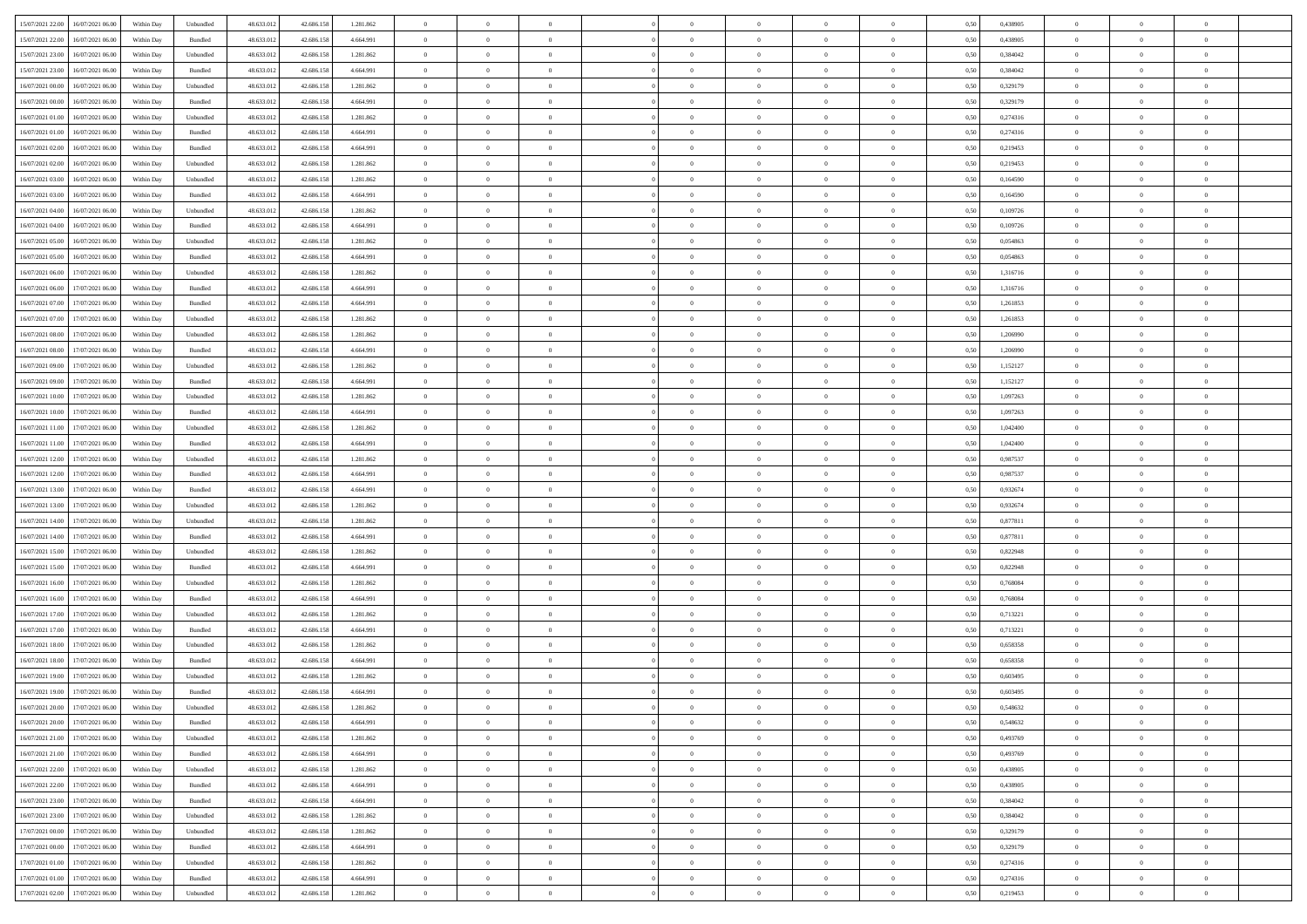| 15/07/2021 22:00<br>16/07/2021 06:00         | Within Day | Unbundled                   | 48.633.01  | 42.686.158 | 1.281.862 | $\overline{0}$ | $\overline{0}$ |                | $\overline{0}$ | $\theta$       |                | $\theta$       | 0,50 | 0,438905 | $\theta$       | $\theta$       | $\overline{0}$ |  |
|----------------------------------------------|------------|-----------------------------|------------|------------|-----------|----------------|----------------|----------------|----------------|----------------|----------------|----------------|------|----------|----------------|----------------|----------------|--|
| 15/07/2021 22:00<br>16/07/2021 06:00         | Within Day | Bundled                     | 48.633.01  | 42.686.158 | 4.664.991 | $\bf{0}$       | $\bf{0}$       | $\bf{0}$       | $\bf{0}$       | $\overline{0}$ | $\overline{0}$ | $\bf{0}$       | 0,50 | 0,438905 | $\,$ 0 $\,$    | $\bf{0}$       | $\overline{0}$ |  |
| 15/07/2021 23:00<br>16/07/2021 06:00         | Within Day | Unbundled                   | 48.633.012 | 42.686.158 | 1.281.862 | $\overline{0}$ | $\bf{0}$       | $\overline{0}$ | $\bf{0}$       | $\bf{0}$       | $\overline{0}$ | $\bf{0}$       | 0.50 | 0.384042 | $\bf{0}$       | $\overline{0}$ | $\overline{0}$ |  |
| 15/07/2021 23:00<br>16/07/2021 06:00         |            |                             |            |            |           | $\overline{0}$ | $\overline{0}$ | $\overline{0}$ | $\theta$       | $\theta$       | $\overline{0}$ |                |      |          | $\,$ 0 $\,$    | $\,$ 0 $\,$    | $\overline{0}$ |  |
|                                              | Within Day | Bundled                     | 48.633.013 | 42.686.158 | 4.664.991 |                |                |                |                |                |                | $\bf{0}$       | 0,50 | 0,384042 |                |                |                |  |
| 16/07/2021 00:00<br>16/07/2021 06:00         | Within Day | Unbundled                   | 48.633.01  | 42.686.158 | 1.281.862 | $\bf{0}$       | $\overline{0}$ | $\bf{0}$       | $\overline{0}$ | $\bf{0}$       | $\overline{0}$ | $\bf{0}$       | 0,50 | 0,329179 | $\,$ 0 $\,$    | $\bf{0}$       | $\overline{0}$ |  |
| 16/07/2021 00:00<br>16/07/2021 06:00         | Within Day | Bundled                     | 48.633.013 | 42.686.158 | 4.664.991 | $\overline{0}$ | $\bf{0}$       | $\overline{0}$ | $\bf{0}$       | $\overline{0}$ | $\overline{0}$ | $\bf{0}$       | 0.50 | 0,329179 | $\,$ 0 $\,$    | $\theta$       | $\overline{0}$ |  |
| 16/07/2021 01:00<br>16/07/2021 06:00         | Within Day | Unbundled                   | 48.633.013 | 42.686.158 | 1.281.862 | $\overline{0}$ | $\overline{0}$ | $\overline{0}$ | $\overline{0}$ | $\overline{0}$ | $\overline{0}$ | $\bf{0}$       | 0,50 | 0,274316 | $\,$ 0 $\,$    | $\theta$       | $\overline{0}$ |  |
|                                              |            |                             |            |            |           |                |                |                |                |                |                |                |      |          |                |                |                |  |
| 16/07/2021 01:00<br>16/07/2021 06:00         | Within Day | Bundled                     | 48.633.01  | 42.686.158 | 4.664.991 | $\bf{0}$       | $\bf{0}$       | $\bf{0}$       | $\overline{0}$ | $\overline{0}$ | $\overline{0}$ | $\bf{0}$       | 0,50 | 0,274316 | $\,$ 0 $\,$    | $\bf{0}$       | $\overline{0}$ |  |
| 16/07/2021 02:00<br>16/07/2021 06:00         | Within Day | Bundled                     | 48.633.013 | 42.686.158 | 4.664.991 | $\overline{0}$ | $\bf{0}$       | $\overline{0}$ | $\bf{0}$       | $\overline{0}$ | $\overline{0}$ | $\bf{0}$       | 0.50 | 0.219453 | $\bf{0}$       | $\overline{0}$ | $\overline{0}$ |  |
| 16/07/2021 02:00<br>16/07/2021 06:00         | Within Day | Unbundled                   | 48.633.013 | 42.686.158 | 1.281.862 | $\bf{0}$       | $\bf{0}$       | $\overline{0}$ | $\overline{0}$ | $\overline{0}$ | $\overline{0}$ | $\bf{0}$       | 0,50 | 0,219453 | $\,$ 0 $\,$    | $\,$ 0 $\,$    | $\overline{0}$ |  |
| 16/07/2021 03:00<br>16/07/2021 06:00         | Within Day | Unbundled                   | 48.633.01  | 42.686.158 | 1.281.862 | $\bf{0}$       | $\bf{0}$       | $\bf{0}$       | $\bf{0}$       | $\bf{0}$       | $\overline{0}$ | $\bf{0}$       | 0,50 | 0,164590 | $\,$ 0 $\,$    | $\bf{0}$       | $\overline{0}$ |  |
|                                              |            |                             |            |            |           |                |                |                |                |                |                |                |      |          |                |                |                |  |
| 16/07/2021 03:00<br>16/07/2021 06:00         | Within Day | Bundled                     | 48.633.013 | 42.686.158 | 4.664.991 | $\overline{0}$ | $\bf{0}$       | $\overline{0}$ | $\overline{0}$ | $\bf{0}$       | $\overline{0}$ | $\bf{0}$       | 0.50 | 0.164590 | $\bf{0}$       | $\,$ 0 $\,$    | $\,$ 0         |  |
| 16/07/2021 04:00<br>16/07/2021 06:00         | Within Day | Unbundled                   | 48.633.01  | 42.686.158 | 1.281.862 | $\overline{0}$ | $\bf{0}$       | $\overline{0}$ | $\theta$       | $\theta$       | $\overline{0}$ | $\bf{0}$       | 0,50 | 0,109726 | $\,$ 0 $\,$    | $\,$ 0 $\,$    | $\overline{0}$ |  |
| 16/07/2021 04:00<br>16/07/2021 06:00         | Within Day | Bundled                     | 48.633.01  | 42.686.158 | 4.664.991 | $\bf{0}$       | $\overline{0}$ | $\bf{0}$       | $\bf{0}$       | $\bf{0}$       | $\overline{0}$ | $\bf{0}$       | 0,50 | 0,109726 | $\,$ 0 $\,$    | $\bf{0}$       | $\overline{0}$ |  |
|                                              |            |                             |            |            |           |                |                |                |                |                |                |                |      |          |                |                |                |  |
| 16/07/2021 05:00<br>16/07/2021 06:00         | Within Day | Unbundled                   | 48.633.013 | 42.686.158 | 1.281.862 | $\overline{0}$ | $\bf{0}$       | $\overline{0}$ | $\bf{0}$       | $\overline{0}$ | $\overline{0}$ | $\bf{0}$       | 0.50 | 0.054863 | $\,$ 0 $\,$    | $\bf{0}$       | $\overline{0}$ |  |
| 16/07/2021 05:00<br>16/07/2021 06:00         | Within Day | Bundled                     | 48.633.013 | 42.686.158 | 4.664.991 | $\overline{0}$ | $\overline{0}$ | $\overline{0}$ | $\overline{0}$ | $\overline{0}$ | $\overline{0}$ | $\bf{0}$       | 0,50 | 0,054863 | $\theta$       | $\theta$       | $\overline{0}$ |  |
| 16/07/2021 06:00<br>17/07/2021 06:00         | Within Day | Unbundled                   | 48.633.01  | 42.686.158 | 1.281.862 | $\bf{0}$       | $\bf{0}$       | $\bf{0}$       | $\overline{0}$ | $\bf{0}$       | $\overline{0}$ | $\bf{0}$       | 0,50 | 1,316716 | $\,$ 0 $\,$    | $\bf{0}$       | $\overline{0}$ |  |
| 16/07/2021 06:00<br>17/07/2021 06:00         | Within Day | Bundled                     | 48.633.013 | 42.686.158 | 4.664.991 | $\overline{0}$ | $\bf{0}$       | $\overline{0}$ | $\bf{0}$       | $\overline{0}$ | $\overline{0}$ | $\bf{0}$       | 0.50 | 1.316716 | $\bf{0}$       | $\overline{0}$ | $\overline{0}$ |  |
|                                              |            |                             |            |            |           | $\overline{0}$ |                | $\overline{0}$ | $\overline{0}$ |                | $\overline{0}$ |                |      |          | $\,$ 0 $\,$    |                |                |  |
| 16/07/2021 07:00<br>17/07/2021 06:00         | Within Day | Bundled                     | 48.633.013 | 42.686.158 | 4.664.991 |                | $\bf{0}$       |                |                | $\overline{0}$ |                | $\bf{0}$       | 0,50 | 1,261853 |                | $\bf{0}$       | $\overline{0}$ |  |
| 16/07/2021 07:00<br>17/07/2021 06:00         | Within Day | Unbundled                   | 48.633.01  | 42.686.158 | 1.281.862 | $\bf{0}$       | $\bf{0}$       | $\bf{0}$       | $\bf{0}$       | $\overline{0}$ | $\overline{0}$ | $\bf{0}$       | 0,50 | 1,261853 | $\,$ 0 $\,$    | $\bf{0}$       | $\overline{0}$ |  |
| 16/07/2021 08:00<br>17/07/2021 06:00         | Within Day | Unbundled                   | 48.633.013 | 42.686.158 | 1.281.862 | $\overline{0}$ | $\bf{0}$       | $\overline{0}$ | $\overline{0}$ | $\bf{0}$       | $\overline{0}$ | $\bf{0}$       | 0.50 | 1.206990 | $\bf{0}$       | $\overline{0}$ | $\,$ 0         |  |
| 16/07/2021 08:00<br>17/07/2021 06:00         | Within Day | Bundled                     | 48.633.01  | 42.686.158 | 4.664.991 | $\overline{0}$ | $\overline{0}$ | $\overline{0}$ | $\theta$       | $\theta$       | $\overline{0}$ | $\bf{0}$       | 0,50 | 1,206990 | $\theta$       | $\theta$       | $\overline{0}$ |  |
|                                              |            |                             |            |            |           |                | $\bf{0}$       |                |                | $\overline{0}$ | $\overline{0}$ |                |      |          | $\,$ 0 $\,$    | $\bf{0}$       | $\overline{0}$ |  |
| 16/07/2021 09:00<br>17/07/2021 06:00         | Within Day | Unbundled                   | 48.633.01  | 42.686.158 | 1.281.862 | $\bf{0}$       |                | $\bf{0}$       | $\bf{0}$       |                |                | $\bf{0}$       | 0,50 | 1,152127 |                |                |                |  |
| 16/07/2021 09:00<br>17/07/2021 06:00         | Within Day | Bundled                     | 48.633.013 | 42.686.158 | 4.664.991 | $\overline{0}$ | $\bf{0}$       | $\overline{0}$ | $\bf{0}$       | $\overline{0}$ | $\overline{0}$ | $\bf{0}$       | 0.50 | 1,152127 | $\,$ 0 $\,$    | $\theta$       | $\overline{0}$ |  |
| 16/07/2021 10:00<br>17/07/2021 06:00         | Within Day | Unbundled                   | 48.633.013 | 42.686.158 | 1.281.862 | $\overline{0}$ | $\overline{0}$ | $\overline{0}$ | $\overline{0}$ | $\overline{0}$ | $\overline{0}$ | $\bf{0}$       | 0,50 | 1,097263 | $\,$ 0 $\,$    | $\theta$       | $\overline{0}$ |  |
| 16/07/2021 10:00<br>17/07/2021 06:00         | Within Day | Bundled                     | 48.633.01  | 42.686.158 | 4.664.991 | $\bf{0}$       | $\overline{0}$ | $\bf{0}$       | $\overline{0}$ | $\bf{0}$       | $\overline{0}$ | $\bf{0}$       | 0,50 | 1,097263 | $\,$ 0 $\,$    | $\bf{0}$       | $\overline{0}$ |  |
| 16/07/2021 11:00<br>17/07/2021 06:00         | Within Day | Unbundled                   | 48.633.013 | 42.686.158 | 1.281.862 | $\overline{0}$ | $\bf{0}$       | $\overline{0}$ | $\bf{0}$       | $\overline{0}$ | $\overline{0}$ | $\bf{0}$       | 0.50 | 1.042400 | $\bf{0}$       | $\overline{0}$ | $\overline{0}$ |  |
|                                              |            |                             |            |            |           |                |                |                |                |                |                |                |      |          |                |                |                |  |
| 16/07/2021 11:00<br>17/07/2021 06:00         | Within Day | Bundled                     | 48.633.013 | 42.686.158 | 4.664.991 | $\overline{0}$ | $\bf{0}$       | $\overline{0}$ | $\overline{0}$ | $\overline{0}$ | $\overline{0}$ | $\bf{0}$       | 0,50 | 1,042400 | $\theta$       | $\bf{0}$       | $\overline{0}$ |  |
| 16/07/2021 12:00<br>17/07/2021 06:00         | Within Day | Unbundled                   | 48.633.01  | 42.686.158 | 1.281.862 | $\bf{0}$       | $\bf{0}$       | $\bf{0}$       | $\bf{0}$       | $\overline{0}$ | $\overline{0}$ | $\bf{0}$       | 0,50 | 0,987537 | $\,$ 0 $\,$    | $\bf{0}$       | $\overline{0}$ |  |
| 16/07/2021 12:00<br>17/07/2021 06:00         | Within Day | Bundled                     | 48.633.013 | 42.686.158 | 4.664.991 | $\overline{0}$ | $\bf{0}$       | $\overline{0}$ | $\bf{0}$       | $\bf{0}$       | $\overline{0}$ | $\bf{0}$       | 0.50 | 0.987537 | $\bf{0}$       | $\overline{0}$ | $\,$ 0         |  |
| 16/07/2021 13:00<br>17/07/2021 06:00         | Within Day | Bundled                     | 48.633.013 | 42.686.158 | 4.664.991 | $\overline{0}$ | $\overline{0}$ | $\overline{0}$ | $\overline{0}$ | $\overline{0}$ | $\overline{0}$ | $\bf{0}$       | 0.50 | 0,932674 | $\theta$       | $\theta$       | $\overline{0}$ |  |
|                                              |            |                             |            |            |           |                |                |                |                |                |                |                |      |          |                |                |                |  |
| 16/07/2021 13:00<br>17/07/2021 06:00         | Within Day | Unbundled                   | 48.633.01  | 42.686.158 | 1.281.862 | $\bf{0}$       | $\overline{0}$ | $\bf{0}$       | $\bf{0}$       | $\overline{0}$ | $\overline{0}$ | $\bf{0}$       | 0,50 | 0,932674 | $\,$ 0 $\,$    | $\bf{0}$       | $\overline{0}$ |  |
| 16/07/2021 14:00<br>17/07/2021 06:00         | Within Day | Unbundled                   | 48.633.013 | 42.686.158 | 1.281.862 | $\overline{0}$ | $\bf{0}$       | $\overline{0}$ | $\bf{0}$       | $\overline{0}$ | $\overline{0}$ | $\bf{0}$       | 0.50 | 0.877811 | $\,$ 0 $\,$    | $\bf{0}$       | $\overline{0}$ |  |
| 16/07/2021 14:00<br>17/07/2021 06:00         | Within Dav | Bundled                     | 48.633.013 | 42.686.158 | 4.664.991 | $\overline{0}$ | $\overline{0}$ | $\overline{0}$ | $\overline{0}$ | $\overline{0}$ | $\overline{0}$ | $\bf{0}$       | 0.50 | 0,877811 | $\theta$       | $\theta$       | $\overline{0}$ |  |
| 16/07/2021 15:00<br>17/07/2021 06:00         | Within Day | Unbundled                   | 48.633.01  | 42.686.158 | 1.281.862 | $\bf{0}$       | $\bf{0}$       | $\bf{0}$       | $\bf{0}$       | $\overline{0}$ | $\overline{0}$ | $\bf{0}$       | 0,50 | 0,822948 | $\,$ 0 $\,$    | $\bf{0}$       | $\overline{0}$ |  |
| 16/07/2021 15:00<br>17/07/2021 06:00         |            | Bundled                     | 48.633.013 | 42.686.158 | 4.664.991 |                | $\bf{0}$       | $\overline{0}$ |                | $\overline{0}$ | $\overline{0}$ |                | 0.50 | 0.822948 | $\bf{0}$       | $\overline{0}$ | $\overline{0}$ |  |
|                                              | Within Day |                             |            |            |           | $\overline{0}$ |                |                | $\bf{0}$       |                |                | $\bf{0}$       |      |          |                |                |                |  |
| 16/07/2021 16:00<br>17/07/2021 06:00         | Within Dav | Unbundled                   | 48.633.013 | 42.686.158 | 1.281.862 | $\overline{0}$ | $\overline{0}$ | $\overline{0}$ | $\overline{0}$ | $\overline{0}$ | $\overline{0}$ | $\bf{0}$       | 0.50 | 0.768084 | $\theta$       | $\theta$       | $\overline{0}$ |  |
| 16/07/2021 16:00<br>17/07/2021 06:00         | Within Day | Bundled                     | 48.633.01  | 42.686.158 | 4.664.991 | $\bf{0}$       | $\bf{0}$       | $\bf{0}$       | $\bf{0}$       | $\overline{0}$ | $\overline{0}$ | $\bf{0}$       | 0,50 | 0,768084 | $\,$ 0 $\,$    | $\bf{0}$       | $\overline{0}$ |  |
| 16/07/2021 17:00<br>17/07/2021 06:00         | Within Day | Unbundled                   | 48.633.013 | 42.686.158 | 1.281.862 | $\overline{0}$ | $\bf{0}$       | $\overline{0}$ | $\overline{0}$ | $\bf{0}$       | $\overline{0}$ | $\bf{0}$       | 0.50 | 0,713221 | $\,$ 0 $\,$    | $\overline{0}$ | $\,$ 0         |  |
| 16/07/2021 17:00<br>17/07/2021 06:00         | Within Day | Bundled                     | 48.633.013 | 42.686.158 | 4.664.991 | $\overline{0}$ | $\overline{0}$ | $\overline{0}$ | $\overline{0}$ | $\overline{0}$ | $\overline{0}$ | $\bf{0}$       | 0.5( | 0,713221 | $\theta$       | $\theta$       | $\overline{0}$ |  |
|                                              |            |                             |            |            |           |                |                |                |                |                |                |                |      |          |                |                |                |  |
| 16/07/2021 18:00<br>17/07/2021 06:00         | Within Day | Unbundled                   | 48.633.01  | 42.686.158 | 1.281.862 | $\bf{0}$       | $\bf{0}$       | $\bf{0}$       | $\bf{0}$       | $\overline{0}$ | $\overline{0}$ | $\bf{0}$       | 0,50 | 0,658358 | $\,$ 0 $\,$    | $\bf{0}$       | $\overline{0}$ |  |
| 16/07/2021 18:00<br>17/07/2021 06:00         | Within Day | Bundled                     | 48.633.013 | 42.686.158 | 4.664.991 | $\overline{0}$ | $\overline{0}$ | $\overline{0}$ | $\bf{0}$       | $\overline{0}$ | $\overline{0}$ | $\bf{0}$       | 0.50 | 0.658358 | $\bf{0}$       | $\theta$       | $\overline{0}$ |  |
| 16/07/2021 19:00<br>17/07/2021 06:00         | Within Dav | Unbundled                   | 48.633.013 | 42.686.158 | 1.281.862 | $\overline{0}$ | $\overline{0}$ | $\overline{0}$ | $\overline{0}$ | $\theta$       | $\overline{0}$ | $\overline{0}$ | 0.5( | 0,603495 | $\theta$       | $\theta$       | $\overline{0}$ |  |
| 16/07/2021 19:00<br>17/07/2021 06:00         | Within Day | Bundled                     | 48.633.01  | 42.686.158 | 4.664.991 | $\bf{0}$       | $\bf{0}$       | $\bf{0}$       | $\bf{0}$       | $\bf{0}$       | $\overline{0}$ | $\bf{0}$       | 0,50 | 0,603495 | $\,$ 0 $\,$    | $\bf{0}$       | $\overline{0}$ |  |
| $16/07/2021\ 20.00 \qquad 17/07/2021\ 06.00$ |            |                             | 48.633.012 |            | 1.281.862 |                |                |                | $\Omega$       |                |                |                | 0,50 | 0,548632 |                |                |                |  |
|                                              | Within Day | $\ensuremath{\mathsf{Unb}}$ |            | 42.686.158 |           | $\bf{0}$       | $\theta$       |                |                |                |                |                |      |          | $\theta$       | $\overline{0}$ |                |  |
| 16/07/2021 20:00 17/07/2021 06:00            | Within Day | Bundled                     | 48.633.012 | 42.686.158 | 4.664.991 | $\overline{0}$ | $\overline{0}$ | $\Omega$       | $\theta$       | $\overline{0}$ | $\overline{0}$ | $\bf{0}$       | 0,50 | 0,548632 | $\theta$       | $\overline{0}$ | $\overline{0}$ |  |
| 16/07/2021 21:00<br>17/07/2021 06:00         | Within Day | Unbundled                   | 48.633.013 | 42.686.158 | 1.281.862 | $\overline{0}$ | $\bf{0}$       | $\overline{0}$ | $\overline{0}$ | $\bf{0}$       | $\overline{0}$ | $\bf{0}$       | 0,50 | 0,493769 | $\bf{0}$       | $\overline{0}$ | $\bf{0}$       |  |
| 16/07/2021 21:00 17/07/2021 06:00            | Within Day | Bundled                     | 48.633.012 | 42.686.158 | 4.664.991 | $\overline{0}$ | $\bf{0}$       | $\overline{0}$ | $\overline{0}$ | $\mathbf{0}$   | $\overline{0}$ | $\,$ 0 $\,$    | 0.50 | 0,493769 | $\overline{0}$ | $\bf{0}$       | $\overline{0}$ |  |
|                                              |            |                             |            |            |           |                | $\overline{0}$ |                |                | $\overline{0}$ |                |                |      |          | $\overline{0}$ | $\theta$       | $\overline{0}$ |  |
| 16/07/2021 22:00 17/07/2021 06:00            | Within Day | Unbundled                   | 48.633.012 | 42.686.158 | 1.281.862 | $\overline{0}$ |                | $\overline{0}$ | $\overline{0}$ |                | $\overline{0}$ | $\bf{0}$       | 0,50 | 0,438905 |                |                |                |  |
| 16/07/2021 22:00<br>17/07/2021 06:00         | Within Day | Bundled                     | 48.633.012 | 42.686.158 | 4.664.991 | $\overline{0}$ | $\bf{0}$       | $\overline{0}$ | $\overline{0}$ | $\bf{0}$       | $\overline{0}$ | $\bf{0}$       | 0,50 | 0,438905 | $\bf{0}$       | $\overline{0}$ | $\overline{0}$ |  |
| 16/07/2021 23:00<br>17/07/2021 06:00         | Within Day | Bundled                     | 48.633.012 | 42.686.158 | 4.664.991 | $\overline{0}$ | $\bf{0}$       | $\overline{0}$ | $\overline{0}$ | $\bf{0}$       | $\overline{0}$ | $\bf{0}$       | 0.50 | 0.384042 | $\,$ 0 $\,$    | $\overline{0}$ | $\,$ 0         |  |
| 16/07/2021 23:00<br>17/07/2021 06:00         | Within Day | Unbundled                   | 48.633.012 | 42.686.158 | 1.281.862 | $\overline{0}$ | $\overline{0}$ | $\overline{0}$ | $\overline{0}$ | $\overline{0}$ | $\overline{0}$ | $\bf{0}$       | 0.50 | 0,384042 | $\overline{0}$ | $\theta$       | $\overline{0}$ |  |
| 17/07/2021 06:00<br>17/07/2021 00:00         |            |                             |            |            |           |                | $\overline{0}$ |                |                | $\overline{0}$ |                |                |      |          | $\bf{0}$       | $\overline{0}$ | $\overline{0}$ |  |
|                                              | Within Day | Unbundled                   | 48.633.013 | 42.686.158 | 1.281.862 | $\overline{0}$ |                | $\overline{0}$ | $\overline{0}$ |                | $\overline{0}$ | $\bf{0}$       | 0,50 | 0,329179 |                |                |                |  |
| 17/07/2021 00:00<br>17/07/2021 06:00         | Within Day | Bundled                     | 48.633.012 | 42.686.158 | 4.664.991 | $\overline{0}$ | $\overline{0}$ | $\overline{0}$ | $\overline{0}$ | $\overline{0}$ | $\overline{0}$ | $\bf{0}$       | 0.50 | 0.329179 | $\mathbf{0}$   | $\bf{0}$       | $\,$ 0         |  |
| 17/07/2021 01:00 17/07/2021 06:00            | Within Dav | Unbundled                   | 48.633.012 | 42.686.158 | 1.281.862 | $\overline{0}$ | $\overline{0}$ | $\overline{0}$ | $\overline{0}$ | $\overline{0}$ | $\overline{0}$ | $\bf{0}$       | 0,50 | 0,274316 | $\overline{0}$ | $\theta$       | $\overline{0}$ |  |
| 17/07/2021 01:00<br>17/07/2021 06:00         | Within Day | Bundled                     | 48.633.013 | 42.686.158 | 4.664.991 | $\overline{0}$ | $\bf{0}$       | $\overline{0}$ | $\bf{0}$       | $\overline{0}$ | $\overline{0}$ | $\bf{0}$       | 0,50 | 0,274316 | $\bf{0}$       | $\,$ 0 $\,$    | $\bf{0}$       |  |
|                                              |            |                             |            |            |           |                |                |                |                |                |                |                |      |          |                |                |                |  |
| 17/07/2021 02:00 17/07/2021 06:00            | Within Day | Unbundled                   | 48.633.012 | 42.686.158 | 1.281.862 | $\,$ 0 $\,$    | $\bf{0}$       | $\overline{0}$ | $\overline{0}$ | $\,$ 0 $\,$    | $\overline{0}$ | $\,$ 0 $\,$    | 0,50 | 0,219453 | $\overline{0}$ | $\,$ 0 $\,$    | $\,$ 0 $\,$    |  |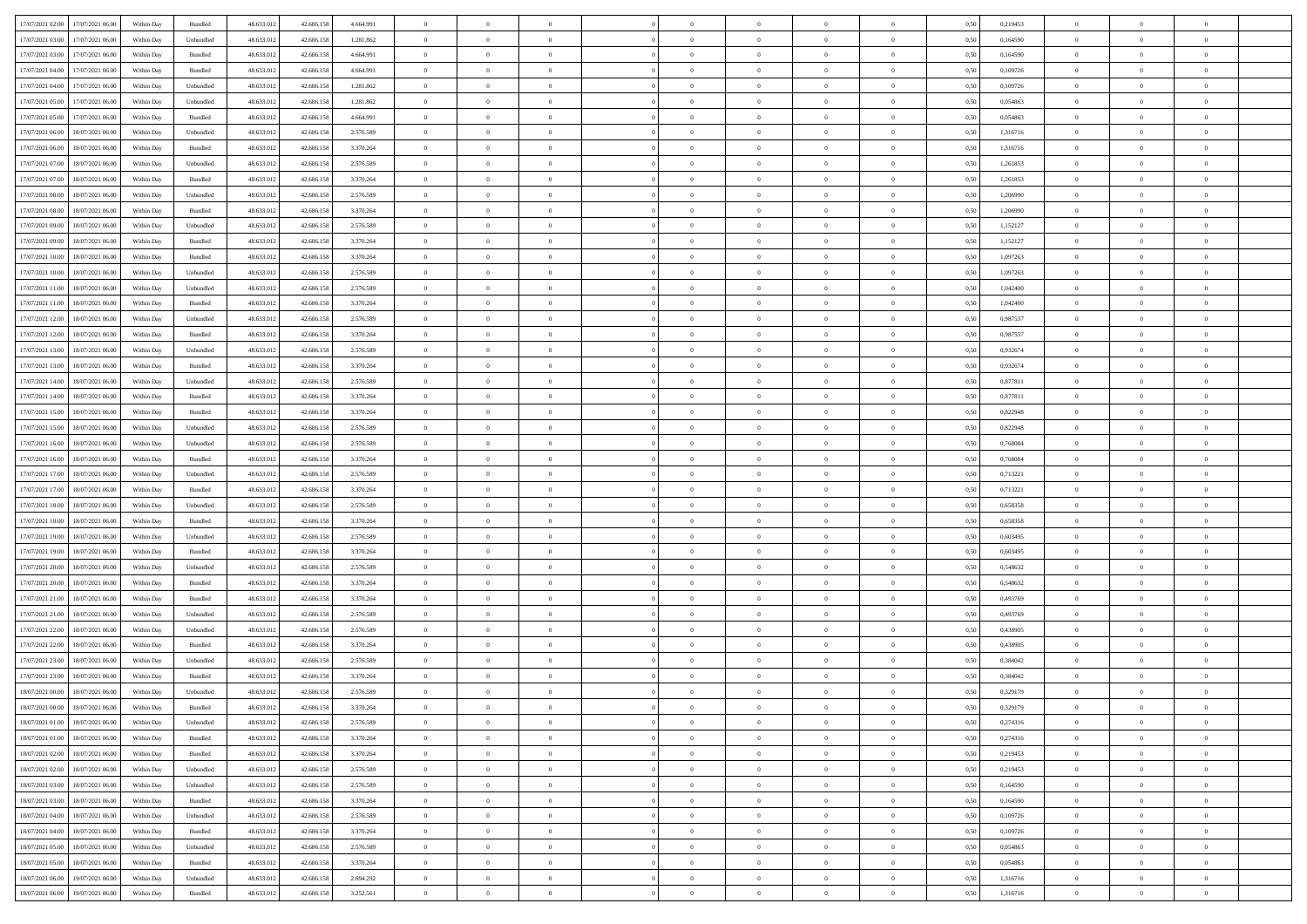|                                              |            |           |            |            |           | $\overline{0}$ | $\overline{0}$ |                | $\overline{0}$ | $\theta$       |                | $\theta$       |      |          | $\theta$       | $\theta$       | $\overline{0}$ |  |
|----------------------------------------------|------------|-----------|------------|------------|-----------|----------------|----------------|----------------|----------------|----------------|----------------|----------------|------|----------|----------------|----------------|----------------|--|
| 17/07/2021 02:00 17/07/2021 06:00            | Within Day | Bundled   | 48.633.01  | 42.686.158 | 4.664.991 |                |                |                |                |                |                |                | 0,50 | 0,219453 |                |                |                |  |
| 17/07/2021 03:00<br>17/07/2021 06:00         | Within Day | Unbundled | 48.633.01  | 42.686.158 | 1.281.862 | $\bf{0}$       | $\bf{0}$       | $\bf{0}$       | $\bf{0}$       | $\overline{0}$ | $\overline{0}$ | $\bf{0}$       | 0,50 | 0,164590 | $\,$ 0 $\,$    | $\bf{0}$       | $\overline{0}$ |  |
| 17/07/2021 03:00<br>17/07/2021 06:00         | Within Day | Bundled   | 48.633.013 | 42.686.158 | 4.664.991 | $\overline{0}$ | $\bf{0}$       | $\overline{0}$ | $\bf{0}$       | $\bf{0}$       | $\overline{0}$ | $\bf{0}$       | 0.50 | 0.164590 | $\bf{0}$       | $\overline{0}$ | $\bf{0}$       |  |
| 17/07/2021 04:00<br>17/07/2021 06:00         | Within Day | Bundled   | 48.633.01  | 42.686.158 | 4.664.991 | $\overline{0}$ | $\overline{0}$ | $\overline{0}$ | $\theta$       | $\theta$       | $\overline{0}$ | $\bf{0}$       | 0,50 | 0,109726 | $\theta$       | $\theta$       | $\overline{0}$ |  |
| 17/07/2021 04:00<br>17/07/2021 06:00         | Within Day | Unbundled | 48.633.01  | 42.686.158 | 1.281.862 | $\bf{0}$       | $\overline{0}$ | $\bf{0}$       | $\overline{0}$ | $\bf{0}$       | $\overline{0}$ | $\bf{0}$       | 0,50 | 0,109726 | $\,$ 0 $\,$    | $\bf{0}$       | $\overline{0}$ |  |
| 17/07/2021 05:00<br>17/07/2021 06:00         |            | Unbundled | 48.633.013 | 42.686.158 | 1.281.862 | $\overline{0}$ | $\overline{0}$ | $\overline{0}$ | $\bf{0}$       | $\overline{0}$ | $\theta$       | $\bf{0}$       | 0.50 | 0.054863 | $\,$ 0 $\,$    | $\theta$       | $\overline{0}$ |  |
|                                              | Within Day |           |            |            |           |                |                |                |                |                |                |                |      |          |                |                |                |  |
| 17/07/2021 05:00<br>17/07/2021 06:00         | Within Day | Bundled   | 48.633.013 | 42.686.158 | 4.664.991 | $\overline{0}$ | $\overline{0}$ | $\overline{0}$ | $\overline{0}$ | $\overline{0}$ | $\overline{0}$ | $\bf{0}$       | 0,50 | 0,054863 | $\theta$       | $\theta$       | $\overline{0}$ |  |
| 17/07/2021 06:00<br>18/07/2021 06:00         | Within Day | Unbundled | 48.633.01  | 42.686.158 | 2.576.589 | $\bf{0}$       | $\bf{0}$       | $\bf{0}$       | $\overline{0}$ | $\overline{0}$ | $\overline{0}$ | $\bf{0}$       | 0,50 | 1,316716 | $\,$ 0 $\,$    | $\bf{0}$       | $\overline{0}$ |  |
| 17/07/2021 06:00<br>18/07/2021 06:00         | Within Day | Bundled   | 48.633.013 | 42.686.158 | 3.370.264 | $\overline{0}$ | $\bf{0}$       | $\overline{0}$ | $\bf{0}$       | $\overline{0}$ | $\overline{0}$ | $\bf{0}$       | 0.50 | 1.316716 | $\bf{0}$       | $\overline{0}$ | $\overline{0}$ |  |
| 17/07/2021 07:00<br>18/07/2021 06:00         | Within Day | Unbundled | 48.633.013 | 42.686.158 | 2.576.589 | $\overline{0}$ | $\bf{0}$       | $\overline{0}$ | $\overline{0}$ | $\overline{0}$ | $\overline{0}$ | $\bf{0}$       | 0,50 | 1,261853 | $\,$ 0 $\,$    | $\bf{0}$       | $\overline{0}$ |  |
| 17/07/2021 07:00<br>18/07/2021 06:00         | Within Day | Bundled   | 48.633.01  | 42.686.158 | 3.370.264 | $\bf{0}$       | $\bf{0}$       | $\bf{0}$       | $\bf{0}$       | $\overline{0}$ | $\overline{0}$ | $\bf{0}$       | 0,50 | 1,261853 | $\,$ 0 $\,$    | $\bf{0}$       | $\overline{0}$ |  |
| 17/07/2021 08:00<br>18/07/2021 06:00         | Within Day | Unbundled | 48.633.013 | 42.686.158 | 2.576.589 | $\overline{0}$ | $\bf{0}$       | $\overline{0}$ | $\overline{0}$ | $\bf{0}$       | $\overline{0}$ | $\bf{0}$       | 0.50 | 1.206990 | $\bf{0}$       | $\overline{0}$ | $\,$ 0         |  |
| 17/07/2021 08:00<br>18/07/2021 06:00         | Within Day | Bundled   | 48.633.01  | 42.686.158 | 3.370.264 | $\overline{0}$ | $\overline{0}$ | $\overline{0}$ | $\theta$       | $\theta$       | $\overline{0}$ | $\bf{0}$       | 0,50 | 1,206990 | $\,$ 0 $\,$    | $\theta$       | $\overline{0}$ |  |
|                                              |            |           |            |            |           |                |                |                |                |                |                |                |      |          |                |                |                |  |
| 17/07/2021 09:00<br>18/07/2021 06:00         | Within Day | Unbundled | 48.633.01  | 42.686.158 | 2.576.589 | $\bf{0}$       | $\overline{0}$ | $\bf{0}$       | $\overline{0}$ | $\bf{0}$       | $\overline{0}$ | $\bf{0}$       | 0,50 | 1,152127 | $\,$ 0 $\,$    | $\bf{0}$       | $\overline{0}$ |  |
| 17/07/2021 09:00<br>18/07/2021 06:00         | Within Day | Bundled   | 48.633.013 | 42.686.158 | 3.370.264 | $\overline{0}$ | $\bf{0}$       | $\overline{0}$ | $\bf{0}$       | $\overline{0}$ | $\theta$       | $\bf{0}$       | 0.50 | 1,152127 | $\,$ 0 $\,$    | $\theta$       | $\overline{0}$ |  |
| 17/07/2021 10:00<br>18/07/2021 06:00         | Within Day | Bundled   | 48.633.013 | 42.686.158 | 3.370.264 | $\overline{0}$ | $\overline{0}$ | $\overline{0}$ | $\overline{0}$ | $\overline{0}$ | $\overline{0}$ | $\bf{0}$       | 0,50 | 1,097263 | $\theta$       | $\theta$       | $\overline{0}$ |  |
| 17/07/2021 10:00<br>18/07/2021 06:00         | Within Day | Unbundled | 48.633.01  | 42.686.158 | 2.576.589 | $\bf{0}$       | $\bf{0}$       | $\bf{0}$       | $\overline{0}$ | $\overline{0}$ | $\overline{0}$ | $\bf{0}$       | 0,50 | 1,097263 | $\,$ 0 $\,$    | $\bf{0}$       | $\overline{0}$ |  |
| 17/07/2021 11:00<br>18/07/2021 06:00         | Within Day | Unbundled | 48.633.013 | 42.686.158 | 2.576.589 | $\overline{0}$ | $\bf{0}$       | $\overline{0}$ | $\bf{0}$       | $\overline{0}$ | $\overline{0}$ | $\bf{0}$       | 0.50 | 1.042400 | $\bf{0}$       | $\overline{0}$ | $\bf{0}$       |  |
| 17/07/2021 11:00<br>18/07/2021 06:00         | Within Day | Bundled   | 48.633.013 | 42.686.158 | 3.370.264 | $\overline{0}$ | $\bf{0}$       | $\overline{0}$ | $\overline{0}$ | $\overline{0}$ | $\overline{0}$ | $\bf{0}$       | 0,50 | 1,042400 | $\,$ 0 $\,$    | $\bf{0}$       | $\overline{0}$ |  |
| 17/07/2021 12:00<br>18/07/2021 06:00         | Within Day | Unbundled | 48.633.01  | 42.686.158 | 2.576.589 | $\bf{0}$       | $\bf{0}$       | $\bf{0}$       | $\bf{0}$       | $\overline{0}$ | $\overline{0}$ | $\bf{0}$       | 0,50 | 0,987537 | $\,$ 0 $\,$    | $\bf{0}$       | $\overline{0}$ |  |
| 17/07/2021 12:00<br>18/07/2021 06:00         | Within Day | Bundled   | 48.633.013 | 42.686.158 | 3.370.264 | $\overline{0}$ | $\bf{0}$       | $\overline{0}$ | $\overline{0}$ | $\bf{0}$       | $\overline{0}$ | $\bf{0}$       | 0.50 | 0.987537 | $\bf{0}$       | $\overline{0}$ | $\,$ 0         |  |
|                                              |            |           |            |            |           |                |                |                |                |                |                |                |      |          |                |                |                |  |
| 17/07/2021 13:00<br>18/07/2021 06:00         | Within Day | Unbundled | 48.633.01  | 42.686.158 | 2.576.589 | $\overline{0}$ | $\overline{0}$ | $\overline{0}$ | $\theta$       | $\theta$       | $\overline{0}$ | $\bf{0}$       | 0,50 | 0,932674 | $\theta$       | $\theta$       | $\overline{0}$ |  |
| 17/07/2021 13:00<br>18/07/2021 06:00         | Within Day | Bundled   | 48.633.01  | 42.686.158 | 3.370.264 | $\bf{0}$       | $\bf{0}$       | $\bf{0}$       | $\bf{0}$       | $\overline{0}$ | $\overline{0}$ | $\bf{0}$       | 0,50 | 0,932674 | $\,$ 0 $\,$    | $\bf{0}$       | $\overline{0}$ |  |
| 17/07/2021 14:00<br>18/07/2021 06:00         | Within Day | Unbundled | 48.633.013 | 42.686.158 | 2.576.589 | $\overline{0}$ | $\overline{0}$ | $\overline{0}$ | $\bf{0}$       | $\overline{0}$ | $\theta$       | $\bf{0}$       | 0.50 | 0.877811 | $\,$ 0 $\,$    | $\theta$       | $\overline{0}$ |  |
| 17/07/2021 14:00<br>18/07/2021 06:00         | Within Day | Bundled   | 48.633.013 | 42.686.158 | 3.370.264 | $\overline{0}$ | $\overline{0}$ | $\overline{0}$ | $\overline{0}$ | $\overline{0}$ | $\overline{0}$ | $\bf{0}$       | 0,50 | 0,877811 | $\theta$       | $\theta$       | $\overline{0}$ |  |
| 17/07/2021 15:00<br>18/07/2021 06:00         | Within Day | Bundled   | 48.633.01  | 42.686.158 | 3.370.264 | $\bf{0}$       | $\overline{0}$ | $\bf{0}$       | $\overline{0}$ | $\bf{0}$       | $\overline{0}$ | $\bf{0}$       | 0,50 | 0,822948 | $\,$ 0 $\,$    | $\bf{0}$       | $\overline{0}$ |  |
| 17/07/2021 15:00<br>18/07/2021 06:00         | Within Day | Unbundled | 48.633.013 | 42.686.158 | 2.576.589 | $\overline{0}$ | $\bf{0}$       | $\overline{0}$ | $\bf{0}$       | $\overline{0}$ | $\overline{0}$ | $\bf{0}$       | 0.50 | 0.822948 | $\bf{0}$       | $\overline{0}$ | $\overline{0}$ |  |
| 17/07/2021 16:00<br>18/07/2021 06:00         | Within Day | Unbundled | 48.633.013 | 42.686.158 | 2.576.589 | $\overline{0}$ | $\bf{0}$       | $\overline{0}$ | $\overline{0}$ | $\overline{0}$ | $\overline{0}$ | $\bf{0}$       | 0,50 | 0,768084 | $\theta$       | $\theta$       | $\overline{0}$ |  |
| 17/07/2021 16:00<br>18/07/2021 06:00         | Within Day | Bundled   | 48.633.01  | 42.686.158 | 3.370.264 | $\bf{0}$       | $\bf{0}$       | $\bf{0}$       | $\bf{0}$       | $\overline{0}$ | $\overline{0}$ | $\bf{0}$       | 0,50 | 0,768084 | $\,$ 0 $\,$    | $\bf{0}$       | $\overline{0}$ |  |
| 17/07/2021 17:00<br>18/07/2021 06:00         | Within Day | Unbundled | 48.633.013 | 42.686.158 | 2.576.589 | $\overline{0}$ | $\bf{0}$       | $\overline{0}$ | $\bf{0}$       | $\bf{0}$       | $\overline{0}$ | $\bf{0}$       | 0.50 | 0,713221 | $\bf{0}$       | $\overline{0}$ | $\,$ 0         |  |
|                                              |            |           |            |            |           |                |                |                |                |                |                |                |      |          |                |                |                |  |
| 17/07/2021 17:00<br>18/07/2021 06:00         | Within Day | Bundled   | 48.633.013 | 42.686.158 | 3.370.264 | $\overline{0}$ | $\overline{0}$ | $\overline{0}$ | $\overline{0}$ | $\overline{0}$ | $\overline{0}$ | $\bf{0}$       | 0.5( | 0,713221 | $\theta$       | $\theta$       | $\overline{0}$ |  |
| 17/07/2021 18:00<br>18/07/2021 06:00         | Within Day | Unbundled | 48.633.01  | 42.686.158 | 2.576.589 | $\bf{0}$       | $\overline{0}$ | $\bf{0}$       | $\bf{0}$       | $\overline{0}$ | $\overline{0}$ | $\bf{0}$       | 0,50 | 0,658358 | $\,$ 0 $\,$    | $\bf{0}$       | $\overline{0}$ |  |
| 17/07/2021 18:00<br>18/07/2021 06:00         | Within Day | Bundled   | 48.633.013 | 42.686.158 | 3.370.264 | $\overline{0}$ | $\bf{0}$       | $\overline{0}$ | $\bf{0}$       | $\overline{0}$ | $\overline{0}$ | $\bf{0}$       | 0.50 | 0.658358 | $\,$ 0 $\,$    | $\bf{0}$       | $\overline{0}$ |  |
| 17/07/2021 19:00<br>18/07/2021 06:00         | Within Dav | Unbundled | 48.633.013 | 42.686.158 | 2.576.589 | $\overline{0}$ | $\overline{0}$ | $\overline{0}$ | $\overline{0}$ | $\overline{0}$ | $\overline{0}$ | $\bf{0}$       | 0.50 | 0,603495 | $\theta$       | $\theta$       | $\overline{0}$ |  |
| 17/07/2021 19:00<br>18/07/2021 06:00         | Within Day | Bundled   | 48.633.01  | 42.686.158 | 3.370.264 | $\bf{0}$       | $\bf{0}$       | $\bf{0}$       | $\bf{0}$       | $\overline{0}$ | $\overline{0}$ | $\bf{0}$       | 0,50 | 0,603495 | $\,$ 0 $\,$    | $\bf{0}$       | $\overline{0}$ |  |
| 17/07/2021 20:00<br>18/07/2021 06:00         | Within Day | Unbundled | 48.633.013 | 42.686.158 | 2.576.589 | $\overline{0}$ | $\bf{0}$       | $\overline{0}$ | $\bf{0}$       | $\overline{0}$ | $\overline{0}$ | $\bf{0}$       | 0.50 | 0.548632 | $\bf{0}$       | $\overline{0}$ | $\overline{0}$ |  |
| 17/07/2021 20:00<br>18/07/2021 06:00         | Within Day | Bundled   | 48.633.013 | 42.686.158 | 3.370.264 | $\overline{0}$ | $\overline{0}$ | $\overline{0}$ | $\overline{0}$ | $\overline{0}$ | $\overline{0}$ | $\bf{0}$       | 0.50 | 0,548632 | $\theta$       | $\theta$       | $\overline{0}$ |  |
| 17/07/2021 21:00<br>18/07/2021 06:00         | Within Day | Bundled   | 48.633.01  | 42.686.158 | 3.370.264 | $\bf{0}$       | $\bf{0}$       | $\bf{0}$       | $\bf{0}$       | $\overline{0}$ | $\overline{0}$ | $\bf{0}$       | 0,50 | 0,493769 | $\,$ 0 $\,$    | $\bf{0}$       | $\overline{0}$ |  |
| 18/07/2021 06:00                             |            |           | 48.633.013 |            |           |                |                | $\overline{0}$ |                |                | $\overline{0}$ |                | 0.50 | 0,493769 |                |                | $\,$ 0         |  |
| 17/07/2021 21:00                             | Within Day | Unbundled |            | 42.686.158 | 2.576.589 | $\overline{0}$ | $\bf{0}$       |                | $\overline{0}$ | $\bf{0}$       |                | $\bf{0}$       |      |          | $\bf{0}$       | $\overline{0}$ |                |  |
| 17/07/2021 22:00<br>18/07/2021 06:00         | Within Dav | Unbundled | 48.633.013 | 42.686.158 | 2.576.589 | $\overline{0}$ | $\overline{0}$ | $\overline{0}$ | $\overline{0}$ | $\overline{0}$ | $\overline{0}$ | $\bf{0}$       | 0.5( | 0,438905 | $\theta$       | $\theta$       | $\overline{0}$ |  |
| 17/07/2021 22.00<br>18/07/2021 06:00         | Within Day | Bundled   | 48.633.01  | 42.686.158 | 3.370.264 | $\bf{0}$       | $\bf{0}$       | $\bf{0}$       | $\bf{0}$       | $\overline{0}$ | $\overline{0}$ | $\bf{0}$       | 0,50 | 0,438905 | $\,$ 0 $\,$    | $\bf{0}$       | $\overline{0}$ |  |
| 17/07/2021 23:00<br>18/07/2021 06:00         | Within Day | Unbundled | 48.633.013 | 42.686.158 | 2.576.589 | $\overline{0}$ | $\overline{0}$ | $\overline{0}$ | $\bf{0}$       | $\overline{0}$ | $\Omega$       | $\bf{0}$       | 0.50 | 0.384042 | $\bf{0}$       | $\theta$       | $\overline{0}$ |  |
| 17/07/2021 23:00<br>18/07/2021 06:00         | Within Dav | Bundled   | 48.633.013 | 42.686.158 | 3.370.264 | $\overline{0}$ | $\overline{0}$ | $\Omega$       | $\overline{0}$ | $\theta$       | $\overline{0}$ | $\overline{0}$ | 0.5( | 0,384042 | $\theta$       | $\theta$       | $\overline{0}$ |  |
| 18/07/2021 00:00<br>18/07/2021 06:00         | Within Day | Unbundled | 48.633.01  | 42.686.158 | 2.576.589 | $\bf{0}$       | $\bf{0}$       | $\bf{0}$       | $\bf{0}$       | $\bf{0}$       | $\overline{0}$ | $\bf{0}$       | 0,50 | 0,329179 | $\,$ 0 $\,$    | $\bf{0}$       | $\overline{0}$ |  |
| $18/07/2021\ 00.00 \qquad 18/07/2021\ 06.00$ | Within Day | Bundled   | 48.633.012 | 42.686.158 | 3.370.264 | $\bf{0}$       | $\Omega$       |                | $\Omega$       |                |                |                | 0,50 | 0,329179 | $\theta$       | $\overline{0}$ |                |  |
| 18/07/2021 01:00 18/07/2021 06:00            | Within Day | Unbundled | 48.633.012 | 42.686.158 | 2.576.589 | $\overline{0}$ | $\overline{0}$ | $\Omega$       | $\theta$       | $\overline{0}$ | $\overline{0}$ | $\bf{0}$       | 0,50 | 0,274316 | $\theta$       | $\overline{0}$ | $\overline{0}$ |  |
|                                              |            |           |            |            |           |                |                |                |                |                |                |                |      |          |                |                |                |  |
| 18/07/2021 01:00<br>18/07/2021 06:00         | Within Day | Bundled   | 48.633.013 | 42.686.158 | 3.370.264 | $\overline{0}$ | $\bf{0}$       | $\overline{0}$ | $\overline{0}$ | $\bf{0}$       | $\overline{0}$ | $\bf{0}$       | 0,50 | 0,274316 | $\bf{0}$       | $\overline{0}$ | $\bf{0}$       |  |
| 18/07/2021 02:00 18/07/2021 06:00            | Within Day | Bundled   | 48.633.012 | 42.686.158 | 3.370.264 | $\overline{0}$ | $\bf{0}$       | $\overline{0}$ | $\overline{0}$ | $\mathbf{0}$   | $\overline{0}$ | $\,$ 0 $\,$    | 0.50 | 0,219453 | $\overline{0}$ | $\bf{0}$       | $\,$ 0 $\,$    |  |
| 18/07/2021 02:00 18/07/2021 06:00            | Within Day | Unbundled | 48.633.012 | 42.686.158 | 2.576.589 | $\overline{0}$ | $\overline{0}$ | $\overline{0}$ | $\overline{0}$ | $\overline{0}$ | $\overline{0}$ | $\bf{0}$       | 0.50 | 0,219453 | $\overline{0}$ | $\theta$       | $\overline{0}$ |  |
| 18/07/2021 03:00<br>18/07/2021 06:00         | Within Day | Unbundled | 48.633.012 | 42.686.158 | 2.576.589 | $\overline{0}$ | $\bf{0}$       | $\overline{0}$ | $\overline{0}$ | $\overline{0}$ | $\overline{0}$ | $\bf{0}$       | 0,50 | 0,164590 | $\bf{0}$       | $\overline{0}$ | $\overline{0}$ |  |
| 18/07/2021 03:00<br>18/07/2021 06:00         | Within Day | Bundled   | 48.633.012 | 42.686.158 | 3.370.264 | $\overline{0}$ | $\bf{0}$       | $\overline{0}$ | $\overline{0}$ | $\bf{0}$       | $\overline{0}$ | $\bf{0}$       | 0.50 | 0.164590 | $\,$ 0 $\,$    | $\overline{0}$ | $\,$ 0         |  |
| 18/07/2021 04:00<br>18/07/2021 06:00         | Within Dav | Unbundled | 48.633.012 | 42.686.158 | 2.576.589 | $\overline{0}$ | $\overline{0}$ | $\overline{0}$ | $\overline{0}$ | $\overline{0}$ | $\overline{0}$ | $\bf{0}$       | 0.50 | 0,109726 | $\overline{0}$ | $\theta$       | $\overline{0}$ |  |
| 18/07/2021 04:00<br>18/07/2021 06:00         | Within Day | Bundled   | 48.633.013 | 42.686.158 | 3.370.264 | $\overline{0}$ | $\overline{0}$ | $\overline{0}$ | $\overline{0}$ | $\overline{0}$ | $\overline{0}$ | $\bf{0}$       | 0,50 | 0,109726 | $\bf{0}$       | $\overline{0}$ | $\overline{0}$ |  |
| 18/07/2021 05:00<br>18/07/2021 06:00         | Within Day | Unbundled | 48.633.012 | 42.686.158 | 2.576.589 | $\overline{0}$ | $\overline{0}$ | $\overline{0}$ | $\overline{0}$ | $\overline{0}$ | $\overline{0}$ | $\bf{0}$       | 0.50 | 0.054863 | $\mathbf{0}$   | $\bf{0}$       | $\,$ 0         |  |
|                                              |            |           |            |            |           |                | $\overline{0}$ |                |                | $\overline{0}$ |                |                |      |          |                | $\theta$       | $\overline{0}$ |  |
| 18/07/2021 05:00 18/07/2021 06:00            | Within Dav | Bundled   | 48.633.012 | 42.686.158 | 3.370.264 | $\overline{0}$ |                | $\overline{0}$ | $\overline{0}$ |                | $\overline{0}$ | $\bf{0}$       | 0,50 | 0,054863 | $\overline{0}$ |                |                |  |
| 18/07/2021 06:00<br>19/07/2021 06:00         | Within Day | Unbundled | 48.633.013 | 42.686.158 | 2.694.292 | $\overline{0}$ | $\bf{0}$       | $\overline{0}$ | $\bf{0}$       | $\overline{0}$ | $\overline{0}$ | $\bf{0}$       | 0,50 | 1,316716 | $\bf{0}$       | $\,$ 0 $\,$    | $\bf{0}$       |  |
| 18/07/2021 06:00 19/07/2021 06:00            | Within Day | Bundled   | 48.633.012 | 42.686.158 | 3.252.561 | $\,$ 0 $\,$    | $\bf{0}$       | $\overline{0}$ | $\overline{0}$ | $\,$ 0 $\,$    | $\overline{0}$ | $\bf{0}$       | 0,50 | 1,316716 | $\overline{0}$ | $\,$ 0 $\,$    | $\,$ 0 $\,$    |  |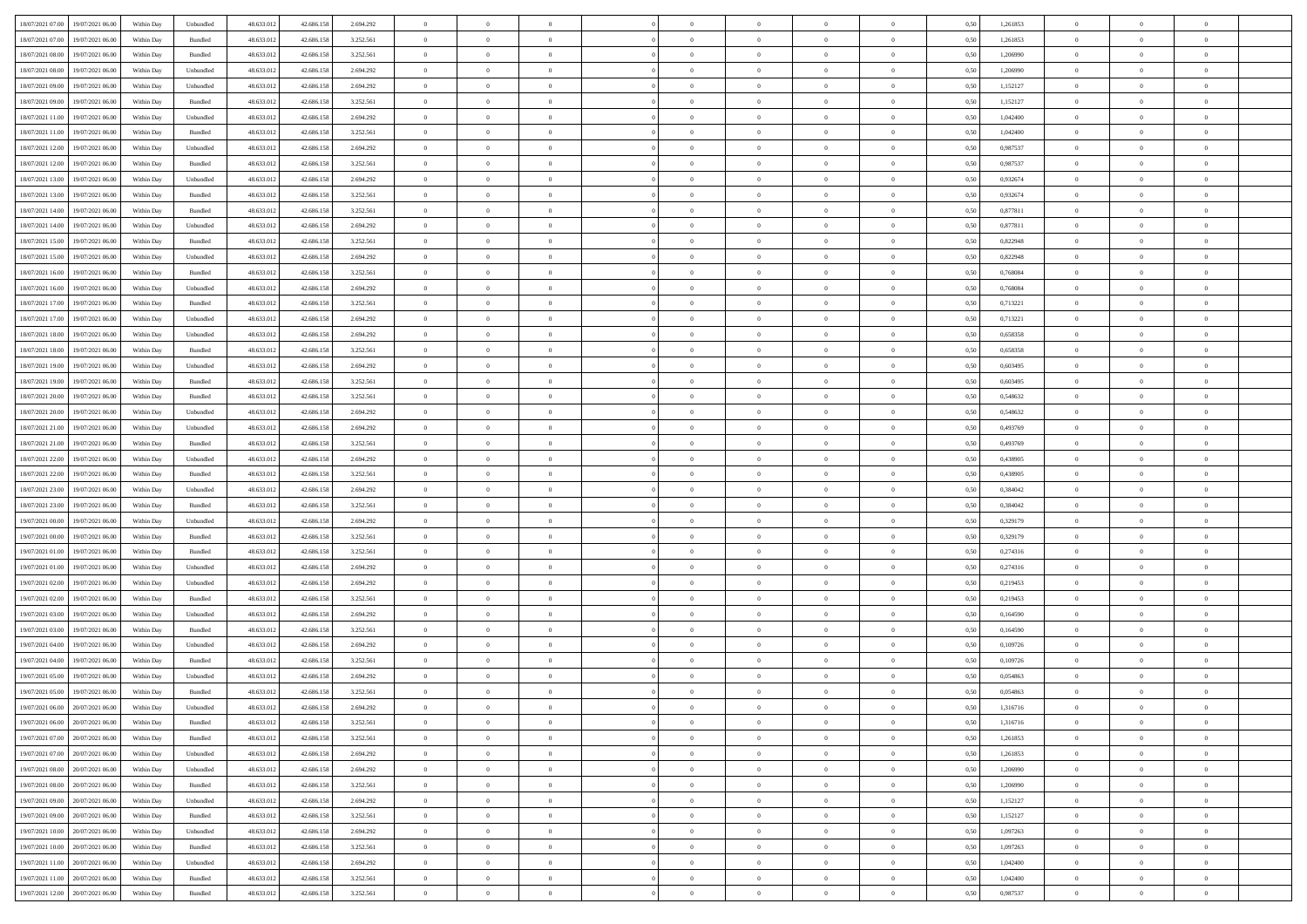| 18/07/2021 07:00<br>19/07/2021 06:00           | Within Day | Unbundled                   | 48.633.01  | 42.686.158 | 2.694.292 | $\overline{0}$ | $\overline{0}$ |                | $\overline{0}$ | $\theta$       |                | $\theta$       | 0,50 | 1,261853 | $\theta$       | $\theta$       | $\overline{0}$ |  |
|------------------------------------------------|------------|-----------------------------|------------|------------|-----------|----------------|----------------|----------------|----------------|----------------|----------------|----------------|------|----------|----------------|----------------|----------------|--|
| 18/07/2021 07:00<br>19/07/2021 06:00           | Within Day | Bundled                     | 48.633.01  | 42.686.158 | 3.252.561 | $\bf{0}$       | $\overline{0}$ | $\bf{0}$       | $\overline{0}$ | $\overline{0}$ | $\overline{0}$ | $\bf{0}$       | 0,50 | 1,261853 | $\,$ 0 $\,$    | $\bf{0}$       | $\overline{0}$ |  |
| 18/07/2021 08:00<br>19/07/2021 06:00           | Within Day | Bundled                     | 48.633.013 | 42.686.158 | 3.252.561 | $\overline{0}$ | $\bf{0}$       | $\overline{0}$ | $\bf{0}$       | $\bf{0}$       | $\overline{0}$ | $\bf{0}$       | 0.50 | 1.206990 | $\bf{0}$       | $\overline{0}$ | $\overline{0}$ |  |
| 18/07/2021 08:00<br>19/07/2021 06:00           |            |                             | 48.633.01  |            |           | $\overline{0}$ | $\bf{0}$       | $\overline{0}$ | $\theta$       | $\theta$       | $\overline{0}$ |                |      |          | $\theta$       | $\theta$       | $\overline{0}$ |  |
|                                                | Within Day | Unbundled                   |            | 42.686.158 | 2.694.292 |                |                |                |                |                |                | $\bf{0}$       | 0,50 | 1,206990 |                |                |                |  |
| 18/07/2021 09:00<br>19/07/2021 06:00           | Within Day | Unbundled                   | 48.633.01  | 42.686.158 | 2.694.292 | $\bf{0}$       | $\overline{0}$ | $\bf{0}$       | $\overline{0}$ | $\theta$       | $\overline{0}$ | $\bf{0}$       | 0,50 | 1,152127 | $\,$ 0 $\,$    | $\bf{0}$       | $\overline{0}$ |  |
| 18/07/2021 09:00<br>19/07/2021 06:00           | Within Day | Bundled                     | 48.633.013 | 42.686.158 | 3.252.561 | $\overline{0}$ | $\overline{0}$ | $\overline{0}$ | $\bf{0}$       | $\overline{0}$ | $\theta$       | $\bf{0}$       | 0.50 | 1,152127 | $\,$ 0 $\,$    | $\theta$       | $\overline{0}$ |  |
| 18/07/2021 11:00<br>19/07/2021 06:00           | Within Day | Unbundled                   | 48.633.013 | 42.686.158 | 2.694.292 | $\overline{0}$ | $\overline{0}$ | $\overline{0}$ | $\overline{0}$ | $\overline{0}$ | $\overline{0}$ | $\bf{0}$       | 0,50 | 1,042400 | $\theta$       | $\theta$       | $\overline{0}$ |  |
|                                                |            |                             |            |            |           |                |                |                |                |                |                |                |      |          |                |                |                |  |
| 18/07/2021 11:00<br>19/07/2021 06:00           | Within Day | Bundled                     | 48.633.01  | 42.686.158 | 3.252.561 | $\bf{0}$       | $\overline{0}$ | $\bf{0}$       | $\overline{0}$ | $\bf{0}$       | $\overline{0}$ | $\bf{0}$       | 0,50 | 1,042400 | $\,$ 0 $\,$    | $\bf{0}$       | $\overline{0}$ |  |
| 18/07/2021 12:00<br>19/07/2021 06:00           | Within Day | Unbundled                   | 48.633.013 | 42.686.158 | 2.694.292 | $\overline{0}$ | $\bf{0}$       | $\overline{0}$ | $\bf{0}$       | $\overline{0}$ | $\overline{0}$ | $\bf{0}$       | 0.50 | 0.987537 | $\bf{0}$       | $\overline{0}$ | $\overline{0}$ |  |
| 18/07/2021 12:00<br>19/07/2021 06:00           | Within Day | Bundled                     | 48.633.013 | 42.686.158 | 3.252.561 | $\overline{0}$ | $\bf{0}$       | $\overline{0}$ | $\overline{0}$ | $\overline{0}$ | $\overline{0}$ | $\bf{0}$       | 0,50 | 0,987537 | $\,$ 0 $\,$    | $\bf{0}$       | $\overline{0}$ |  |
| 18/07/2021 13:00<br>19/07/2021 06:00           | Within Day | Unbundled                   | 48.633.01  | 42.686.158 | 2.694.292 | $\bf{0}$       | $\overline{0}$ | $\bf{0}$       | $\bf{0}$       | $\bf{0}$       | $\overline{0}$ | $\bf{0}$       | 0,50 | 0,932674 | $\,$ 0 $\,$    | $\bf{0}$       | $\overline{0}$ |  |
|                                                |            |                             |            |            |           |                |                |                |                |                |                |                |      |          |                |                |                |  |
| 18/07/2021 13:00<br>19/07/2021 06:00           | Within Day | $\mathbf B$ undled          | 48.633.013 | 42.686.158 | 3.252.561 | $\overline{0}$ | $\bf{0}$       | $\overline{0}$ | $\bf{0}$       | $\bf{0}$       | $\overline{0}$ | $\bf{0}$       | 0.50 | 0.932674 | $\bf{0}$       | $\overline{0}$ | $\overline{0}$ |  |
| 18/07/2021 14:00<br>19/07/2021 06:00           | Within Day | Bundled                     | 48.633.01  | 42.686.158 | 3.252.561 | $\overline{0}$ | $\overline{0}$ | $\overline{0}$ | $\theta$       | $\theta$       | $\overline{0}$ | $\bf{0}$       | 0,50 | 0,877811 | $\,$ 0 $\,$    | $\theta$       | $\overline{0}$ |  |
| 18/07/2021 14:00<br>19/07/2021 06:00           | Within Day | Unbundled                   | 48.633.01  | 42.686.158 | 2.694.292 | $\bf{0}$       | $\overline{0}$ | $\bf{0}$       | $\overline{0}$ | $\bf{0}$       | $\overline{0}$ | $\bf{0}$       | 0,50 | 0,877811 | $\,$ 0 $\,$    | $\bf{0}$       | $\overline{0}$ |  |
|                                                |            |                             |            |            |           |                |                |                |                |                | $\theta$       |                |      |          |                |                |                |  |
| 18/07/2021 15:00<br>19/07/2021 06:00           | Within Day | Bundled                     | 48.633.013 | 42.686.158 | 3.252.561 | $\overline{0}$ | $\overline{0}$ | $\overline{0}$ | $\bf{0}$       | $\overline{0}$ |                | $\bf{0}$       | 0.50 | 0,822948 | $\,$ 0 $\,$    | $\theta$       | $\overline{0}$ |  |
| 18/07/2021 15:00<br>19/07/2021 06:00           | Within Day | Unbundled                   | 48.633.013 | 42.686.158 | 2.694.292 | $\overline{0}$ | $\overline{0}$ | $\overline{0}$ | $\overline{0}$ | $\overline{0}$ | $\overline{0}$ | $\bf{0}$       | 0,50 | 0,822948 | $\theta$       | $\theta$       | $\overline{0}$ |  |
| 18/07/2021 16:00<br>19/07/2021 06:00           | Within Day | Bundled                     | 48.633.01  | 42.686.158 | 3.252.561 | $\bf{0}$       | $\overline{0}$ | $\bf{0}$       | $\overline{0}$ | $\bf{0}$       | $\overline{0}$ | $\bf{0}$       | 0,50 | 0,768084 | $\,$ 0 $\,$    | $\bf{0}$       | $\overline{0}$ |  |
| 18/07/2021 16:00<br>19/07/2021 06:00           | Within Day | Unbundled                   | 48.633.013 | 42.686.158 | 2.694.292 | $\overline{0}$ | $\bf{0}$       | $\overline{0}$ | $\bf{0}$       | $\overline{0}$ | $\overline{0}$ | $\bf{0}$       | 0.50 | 0.768084 | $\bf{0}$       | $\overline{0}$ | $\overline{0}$ |  |
| 18/07/2021 17:00<br>19/07/2021 06:00           | Within Day | Bundled                     | 48.633.013 | 42.686.158 | 3.252.561 | $\overline{0}$ | $\bf{0}$       | $\overline{0}$ | $\overline{0}$ | $\overline{0}$ | $\overline{0}$ | $\bf{0}$       | 0,50 | 0,713221 | $\,$ 0 $\,$    | $\bf{0}$       | $\overline{0}$ |  |
|                                                |            |                             |            |            |           |                |                |                |                |                |                |                |      |          |                |                |                |  |
| 18/07/2021 17:00<br>19/07/2021 06:00           | Within Day | Unbundled                   | 48.633.01  | 42.686.158 | 2.694.292 | $\bf{0}$       | $\bf{0}$       | $\bf{0}$       | $\bf{0}$       | $\overline{0}$ | $\overline{0}$ | $\bf{0}$       | 0,50 | 0,713221 | $\,$ 0 $\,$    | $\bf{0}$       | $\overline{0}$ |  |
| 18/07/2021 18:00<br>19/07/2021 06:00           | Within Day | Unbundled                   | 48.633.013 | 42.686.158 | 2.694.292 | $\overline{0}$ | $\bf{0}$       | $\overline{0}$ | $\bf{0}$       | $\bf{0}$       | $\overline{0}$ | $\bf{0}$       | 0.50 | 0.658358 | $\bf{0}$       | $\overline{0}$ | $\overline{0}$ |  |
| 18/07/2021 18:00<br>19/07/2021 06:00           | Within Day | Bundled                     | 48.633.01  | 42.686.158 | 3.252.561 | $\overline{0}$ | $\overline{0}$ | $\overline{0}$ | $\theta$       | $\theta$       | $\overline{0}$ | $\bf{0}$       | 0,50 | 0,658358 | $\theta$       | $\theta$       | $\overline{0}$ |  |
| 18/07/2021 19:00<br>19/07/2021 06:00           | Within Day | Unbundled                   | 48.633.01  | 42.686.158 | 2.694.292 | $\bf{0}$       | $\overline{0}$ | $\bf{0}$       | $\bf{0}$       | $\bf{0}$       | $\overline{0}$ | $\bf{0}$       | 0,50 | 0,603495 | $\,$ 0 $\,$    | $\bf{0}$       | $\overline{0}$ |  |
|                                                |            |                             |            |            |           |                |                |                |                |                |                |                |      |          |                |                |                |  |
| 18/07/2021 19:00<br>19/07/2021 06:00           | Within Day | Bundled                     | 48.633.013 | 42.686.158 | 3.252.561 | $\overline{0}$ | $\overline{0}$ | $\overline{0}$ | $\bf{0}$       | $\overline{0}$ | $\theta$       | $\bf{0}$       | 0.50 | 0.603495 | $\bf{0}$       | $\theta$       | $\overline{0}$ |  |
| 18/07/2021 20:00<br>19/07/2021 06:00           | Within Day | Bundled                     | 48.633.013 | 42.686.158 | 3.252.561 | $\overline{0}$ | $\overline{0}$ | $\overline{0}$ | $\overline{0}$ | $\overline{0}$ | $\overline{0}$ | $\bf{0}$       | 0,50 | 0,548632 | $\theta$       | $\theta$       | $\overline{0}$ |  |
| 18/07/2021 20:00<br>19/07/2021 06:00           | Within Day | Unbundled                   | 48.633.01  | 42.686.158 | 2.694.292 | $\bf{0}$       | $\overline{0}$ | $\bf{0}$       | $\overline{0}$ | $\bf{0}$       | $\overline{0}$ | $\bf{0}$       | 0,50 | 0,548632 | $\,$ 0 $\,$    | $\bf{0}$       | $\overline{0}$ |  |
| 18/07/2021 21:00<br>19/07/2021 06:00           | Within Day | Unbundled                   | 48.633.013 | 42.686.158 | 2.694.292 | $\overline{0}$ | $\bf{0}$       | $\overline{0}$ | $\bf{0}$       | $\overline{0}$ | $\overline{0}$ | $\bf{0}$       | 0.50 | 0.493769 | $\bf{0}$       | $\overline{0}$ | $\overline{0}$ |  |
|                                                |            |                             |            |            |           |                |                |                |                |                |                |                |      |          |                |                |                |  |
| 18/07/2021 21:00<br>19/07/2021 06:00           | Within Day | Bundled                     | 48.633.013 | 42.686.158 | 3.252.561 | $\overline{0}$ | $\overline{0}$ | $\overline{0}$ | $\overline{0}$ | $\overline{0}$ | $\overline{0}$ | $\bf{0}$       | 0,50 | 0,493769 | $\theta$       | $\theta$       | $\overline{0}$ |  |
| 18/07/2021 22:00<br>19/07/2021 06:00           | Within Day | Unbundled                   | 48.633.01  | 42.686.158 | 2.694.292 | $\bf{0}$       | $\bf{0}$       | $\bf{0}$       | $\bf{0}$       | $\overline{0}$ | $\overline{0}$ | $\bf{0}$       | 0,50 | 0,438905 | $\,$ 0 $\,$    | $\bf{0}$       | $\overline{0}$ |  |
| 18/07/2021 22:00<br>19/07/2021 06:00           | Within Day | Bundled                     | 48.633.013 | 42.686.158 | 3.252.561 | $\overline{0}$ | $\bf{0}$       | $\overline{0}$ | $\bf{0}$       | $\bf{0}$       | $\overline{0}$ | $\bf{0}$       | 0.50 | 0.438905 | $\bf{0}$       | $\overline{0}$ | $\overline{0}$ |  |
| 18/07/2021 23:00<br>19/07/2021 06:00           | Within Day | Unbundled                   | 48.633.013 | 42.686.158 | 2.694.292 | $\overline{0}$ | $\overline{0}$ | $\overline{0}$ | $\overline{0}$ | $\overline{0}$ | $\overline{0}$ | $\bf{0}$       | 0.5( | 0.384042 | $\theta$       | $\theta$       | $\overline{0}$ |  |
|                                                |            |                             |            |            |           |                |                |                |                |                |                |                |      |          |                |                |                |  |
| 18/07/2021 23:00<br>19/07/2021 06:00           | Within Day | Bundled                     | 48.633.01  | 42.686.158 | 3.252.561 | $\bf{0}$       | $\overline{0}$ | $\bf{0}$       | $\bf{0}$       | $\,$ 0 $\,$    | $\overline{0}$ | $\bf{0}$       | 0,50 | 0,384042 | $\,$ 0 $\,$    | $\bf{0}$       | $\overline{0}$ |  |
| 19/07/2021 00:00<br>19/07/2021 06:00           | Within Day | Unbundled                   | 48.633.013 | 42.686.158 | 2.694.292 | $\overline{0}$ | $\bf{0}$       | $\overline{0}$ | $\bf{0}$       | $\overline{0}$ | $\Omega$       | $\bf{0}$       | 0.50 | 0,329179 | $\,$ 0 $\,$    | $\bf{0}$       | $\overline{0}$ |  |
| 19/07/2021 00:00<br>19/07/2021 06:00           | Within Dav | Bundled                     | 48.633.013 | 42.686.158 | 3.252.561 | $\overline{0}$ | $\overline{0}$ | $\overline{0}$ | $\overline{0}$ | $\theta$       | $\overline{0}$ | $\bf{0}$       | 0.50 | 0,329179 | $\theta$       | $\theta$       | $\overline{0}$ |  |
| 19/07/2021 01:00<br>19/07/2021 06:00           | Within Day | Bundled                     | 48.633.01  | 42.686.158 | 3.252.561 | $\bf{0}$       | $\bf{0}$       | $\bf{0}$       | $\overline{0}$ | $\bf{0}$       | $\overline{0}$ | $\bf{0}$       | 0,50 | 0,274316 | $\,$ 0 $\,$    | $\bf{0}$       | $\overline{0}$ |  |
| 19/07/2021 01:00<br>19/07/2021 06:00           | Within Day | Unbundled                   | 48.633.013 | 42.686.158 | 2.694.292 | $\overline{0}$ | $\bf{0}$       | $\overline{0}$ | $\bf{0}$       | $\overline{0}$ | $\overline{0}$ | $\bf{0}$       | 0.50 | 0,274316 | $\bf{0}$       | $\overline{0}$ | $\overline{0}$ |  |
|                                                |            |                             |            |            |           |                |                |                |                |                |                |                |      |          |                |                |                |  |
| 19/07/2021 02:00<br>19/07/2021 06:00           | Within Dav | Unbundled                   | 48.633.013 | 42.686.158 | 2.694.292 | $\overline{0}$ | $\overline{0}$ | $\overline{0}$ | $\overline{0}$ | $\overline{0}$ | $\overline{0}$ | $\bf{0}$       | 0.50 | 0,219453 | $\theta$       | $\theta$       | $\overline{0}$ |  |
| 19/07/2021 02:00<br>19/07/2021 06:00           | Within Day | Bundled                     | 48.633.01  | 42.686.158 | 3.252.561 | $\bf{0}$       | $\bf{0}$       | $\bf{0}$       | $\bf{0}$       | $\overline{0}$ | $\overline{0}$ | $\bf{0}$       | 0,50 | 0,219453 | $\,$ 0 $\,$    | $\bf{0}$       | $\overline{0}$ |  |
| 19/07/2021 03:00<br>19/07/2021 06:00           | Within Day | Unbundled                   | 48.633.013 | 42.686.158 | 2.694.292 | $\overline{0}$ | $\bf{0}$       | $\overline{0}$ | $\bf{0}$       | $\bf{0}$       | $\overline{0}$ | $\bf{0}$       | 0.50 | 0.164590 | $\bf{0}$       | $\overline{0}$ | $\overline{0}$ |  |
| 19/07/2021 03:00<br>19/07/2021 06:00           | Within Dav | Bundled                     | 48.633.013 | 42.686.158 | 3.252.561 | $\overline{0}$ | $\overline{0}$ | $\overline{0}$ | $\overline{0}$ | $\theta$       | $\overline{0}$ | $\bf{0}$       | 0.50 | 0,164590 | $\theta$       | $\theta$       | $\overline{0}$ |  |
|                                                |            |                             |            |            |           |                |                |                |                |                |                |                |      |          |                |                |                |  |
| 19/07/2021 04:00<br>19/07/2021 06:00           | Within Day | Unbundled                   | 48.633.01  | 42.686.158 | 2.694.292 | $\bf{0}$       | $\bf{0}$       | $\bf{0}$       | $\bf{0}$       | $\overline{0}$ | $\overline{0}$ | $\bf{0}$       | 0,50 | 0,109726 | $\,$ 0 $\,$    | $\bf{0}$       | $\overline{0}$ |  |
| 19/07/2021 04:00<br>19/07/2021 06:00           | Within Day | Bundled                     | 48.633.013 | 42.686.158 | 3.252.561 | $\overline{0}$ | $\overline{0}$ | $\overline{0}$ | $\bf{0}$       | $\overline{0}$ | $\Omega$       | $\bf{0}$       | 0.50 | 0.109726 | $\,$ 0 $\,$    | $\theta$       | $\overline{0}$ |  |
| 19/07/2021 05:00<br>19/07/2021 06:00           | Within Dav | Unbundled                   | 48.633.013 | 42.686.158 | 2.694.292 | $\overline{0}$ | $\overline{0}$ | $\Omega$       | $\overline{0}$ | $\theta$       | $\overline{0}$ | $\overline{0}$ | 0.5( | 0,054863 | $\theta$       | $\theta$       | $\overline{0}$ |  |
| 19/07/2021 05:00<br>19/07/2021 06:00           | Within Day | Bundled                     | 48.633.01  | 42.686.158 | 3.252.561 | $\bf{0}$       | $\,$ 0 $\,$    | $\overline{0}$ | $\bf{0}$       | $\bf{0}$       | $\overline{0}$ | $\bf{0}$       | 0,50 | 0,054863 | $\,$ 0 $\,$    | $\bf{0}$       | $\overline{0}$ |  |
| $19/07/2021\; 06.00 \qquad 20/07/2021\; 06.00$ | Within Day | $\ensuremath{\mathsf{Unb}}$ | 48.633.012 | 42.686.158 | 2.694.292 | $\overline{0}$ |                |                | $\Omega$       |                |                |                | 0,50 | 1,316716 | $\theta$       | $\overline{0}$ |                |  |
|                                                |            |                             |            |            |           |                |                |                |                |                |                |                |      |          |                |                |                |  |
| 19/07/2021 06:00 20/07/2021 06:00              | Within Day | Bundled                     | 48.633.012 | 42.686.158 | 3.252.561 | $\overline{0}$ | $\overline{0}$ | $\overline{0}$ | $\theta$       | $\overline{0}$ | $\overline{0}$ | $\bf{0}$       | 0,50 | 1,316716 | $\theta$       | $\theta$       | $\overline{0}$ |  |
| 19/07/2021 07:00<br>20/07/2021 06:00           | Within Day | Bundled                     | 48.633.013 | 42.686.158 | 3.252.561 | $\overline{0}$ | $\bf{0}$       | $\overline{0}$ | $\overline{0}$ | $\bf{0}$       | $\overline{0}$ | $\bf{0}$       | 0,50 | 1,261853 | $\bf{0}$       | $\overline{0}$ | $\bf{0}$       |  |
| 19/07/2021 07:00 20/07/2021 06:00              | Within Day | Unbundled                   | 48.633.012 | 42.686.158 | 2.694.292 | $\overline{0}$ | $\overline{0}$ | $\overline{0}$ | $\overline{0}$ | $\mathbf{0}$   | $\overline{0}$ | $\,$ 0 $\,$    | 0.50 | 1.261853 | $\overline{0}$ | $\bf{0}$       | $\,$ 0 $\,$    |  |
|                                                |            |                             |            |            |           |                | $\overline{0}$ |                |                | $\overline{0}$ |                |                |      |          |                | $\theta$       | $\overline{0}$ |  |
| 19/07/2021 08:00 20/07/2021 06:00              | Within Dav | Unbundled                   | 48.633.012 | 42.686.158 | 2.694.292 | $\overline{0}$ |                | $\overline{0}$ | $\overline{0}$ |                | $\overline{0}$ | $\bf{0}$       | 0,50 | 1,206990 | $\overline{0}$ |                |                |  |
| 19/07/2021 08:00<br>20/07/2021 06:00           | Within Day | Bundled                     | 48.633.012 | 42.686.158 | 3.252.561 | $\overline{0}$ | $\bf{0}$       | $\overline{0}$ | $\overline{0}$ | $\bf{0}$       | $\overline{0}$ | $\bf{0}$       | 0,50 | 1,206990 | $\bf{0}$       | $\overline{0}$ | $\overline{0}$ |  |
| 19/07/2021 09:00 20/07/2021 06:00              | Within Day | Unbundled                   | 48.633.012 | 42.686.158 | 2.694.292 | $\overline{0}$ | $\bf{0}$       | $\overline{0}$ | $\overline{0}$ | $\bf{0}$       | $\overline{0}$ | $\bf{0}$       | 0.50 | 1,152127 | $\,$ 0 $\,$    | $\overline{0}$ | $\,$ 0         |  |
| 19/07/2021 09:00 20/07/2021 06:00              | Within Dav | Bundled                     | 48.633.012 | 42.686.158 | 3.252.561 | $\overline{0}$ | $\overline{0}$ | $\overline{0}$ | $\overline{0}$ | $\overline{0}$ | $\overline{0}$ | $\bf{0}$       | 0,50 | 1,152127 | $\overline{0}$ | $\theta$       | $\overline{0}$ |  |
|                                                |            |                             |            |            |           |                | $\overline{0}$ |                |                | $\overline{0}$ |                |                |      |          | $\bf{0}$       | $\overline{0}$ | $\overline{0}$ |  |
| 19/07/2021 10:00<br>20/07/2021 06:00           | Within Day | Unbundled                   | 48.633.013 | 42.686.158 | 2.694.292 | $\overline{0}$ |                | $\overline{0}$ | $\overline{0}$ |                | $\overline{0}$ | $\bf{0}$       | 0,50 | 1,097263 |                |                |                |  |
| 19/07/2021 10:00 20/07/2021 06:00              | Within Day | Bundled                     | 48.633.012 | 42.686.158 | 3.252.561 | $\overline{0}$ | $\overline{0}$ | $\overline{0}$ | $\overline{0}$ | $\overline{0}$ | $\overline{0}$ | $\bf{0}$       | 0.50 | 1.097263 | $\mathbf{0}$   | $\bf{0}$       | $\,$ 0         |  |
| 19/07/2021 11:00 20/07/2021 06:00              | Within Dav | Unbundled                   | 48.633.012 | 42.686.158 | 2.694.292 | $\overline{0}$ | $\overline{0}$ | $\overline{0}$ | $\overline{0}$ | $\overline{0}$ | $\overline{0}$ | $\bf{0}$       | 0,50 | 1,042400 | $\overline{0}$ | $\theta$       | $\overline{0}$ |  |
| 19/07/2021 11:00<br>20/07/2021 06:00           | Within Day | Bundled                     | 48.633.013 | 42.686.158 | 3.252.561 | $\overline{0}$ | $\bf{0}$       | $\overline{0}$ | $\overline{0}$ | $\overline{0}$ | $\overline{0}$ | $\bf{0}$       | 0,50 | 1,042400 | $\bf{0}$       | $\overline{0}$ | $\bf{0}$       |  |
| 19/07/2021 12:00 20/07/2021 06:00              |            |                             |            |            |           |                |                |                |                |                |                |                |      |          |                |                |                |  |
|                                                | Within Day | Bundled                     | 48.633.012 | 42.686.158 | 3.252.561 | $\,$ 0 $\,$    | $\bf{0}$       | $\overline{0}$ | $\overline{0}$ | $\,$ 0 $\,$    | $\overline{0}$ | $\,$ 0 $\,$    | 0,50 | 0,987537 | $\overline{0}$ | $\,$ 0 $\,$    | $\,$ 0 $\,$    |  |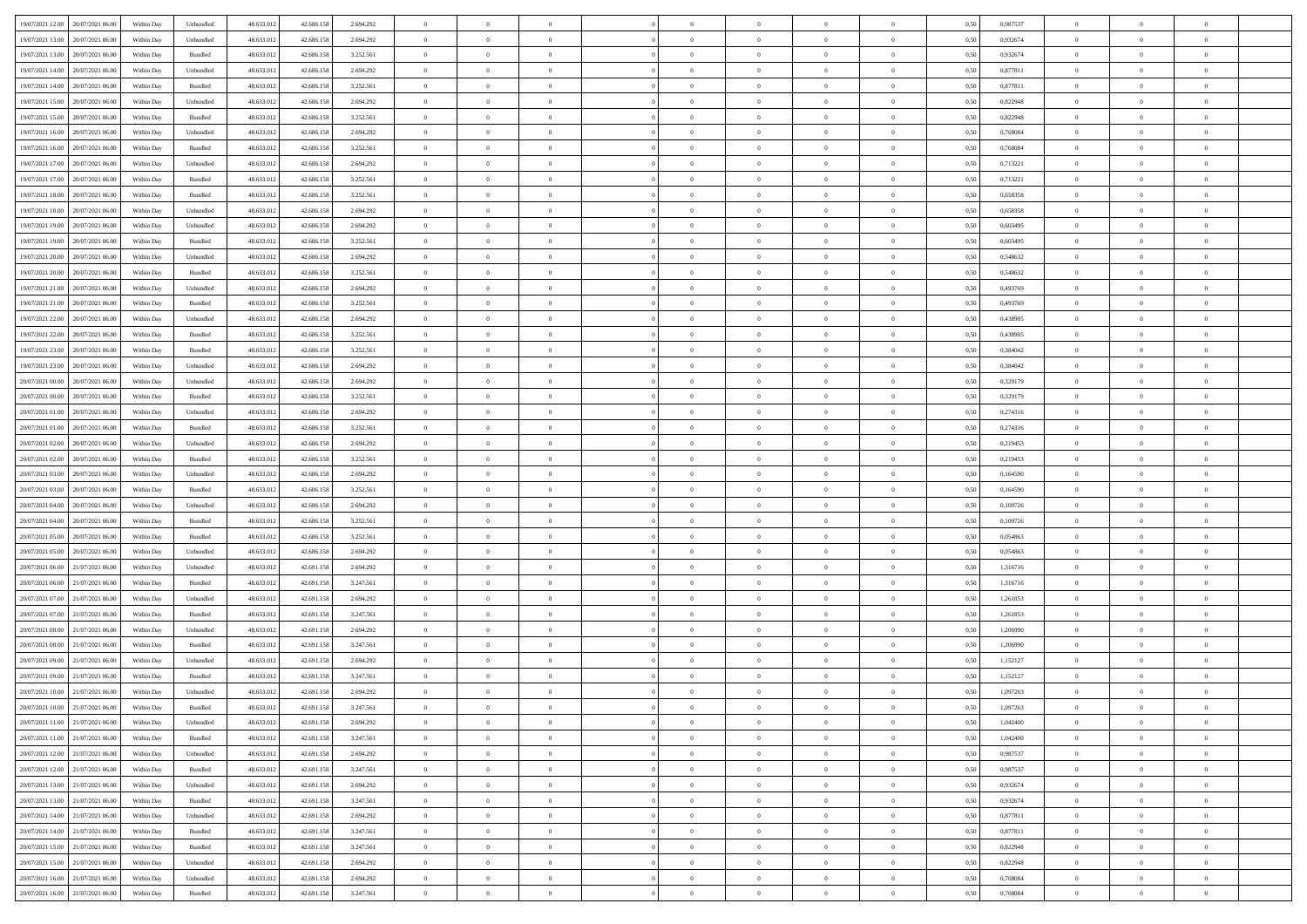| 19/07/2021 12:00 20/07/2021 06:00    | Within Day | Unbundled | 48.633.01  | 42.686.158 | 2.694.292 | $\overline{0}$ | $\overline{0}$ |                | $\overline{0}$ | $\theta$       |                | $\theta$       | 0,50 | 0,987537 | $\theta$       | $\theta$       | $\theta$       |  |
|--------------------------------------|------------|-----------|------------|------------|-----------|----------------|----------------|----------------|----------------|----------------|----------------|----------------|------|----------|----------------|----------------|----------------|--|
|                                      |            |           |            |            |           |                |                |                |                |                |                |                |      |          |                |                |                |  |
| 19/07/2021 13:00<br>20/07/2021 06:00 | Within Day | Unbundled | 48.633.01  | 42.686.158 | 2.694.292 | $\bf{0}$       | $\bf{0}$       | $\bf{0}$       | $\bf{0}$       | $\overline{0}$ | $\overline{0}$ | $\bf{0}$       | 0,50 | 0,932674 | $\,$ 0 $\,$    | $\bf{0}$       | $\overline{0}$ |  |
| 19/07/2021 13:00<br>20/07/2021 06:00 | Within Day | Bundled   | 48.633.013 | 42.686.158 | 3.252.561 | $\overline{0}$ | $\bf{0}$       | $\overline{0}$ | $\bf{0}$       | $\bf{0}$       | $\overline{0}$ | $\bf{0}$       | 0.50 | 0.932674 | $\bf{0}$       | $\overline{0}$ | $\bf{0}$       |  |
| 19/07/2021 14:00<br>20/07/2021 06:00 | Within Day | Unbundled | 48.633.01  | 42.686.158 | 2.694.292 | $\overline{0}$ | $\overline{0}$ | $\overline{0}$ | $\theta$       | $\theta$       | $\overline{0}$ | $\bf{0}$       | 0,50 | 0,877811 | $\theta$       | $\theta$       | $\overline{0}$ |  |
|                                      |            |           |            |            |           |                |                |                |                |                |                |                |      |          |                |                |                |  |
| 19/07/2021 14:00<br>20/07/2021 06:00 | Within Day | Bundled   | 48.633.01  | 42.686.158 | 3.252.561 | $\bf{0}$       | $\overline{0}$ | $\bf{0}$       | $\overline{0}$ | $\bf{0}$       | $\overline{0}$ | $\bf{0}$       | 0,50 | 0,877811 | $\,$ 0 $\,$    | $\bf{0}$       | $\overline{0}$ |  |
| 19/07/2021 15:00<br>20/07/2021 06:00 | Within Day | Unbundled | 48.633.013 | 42.686.158 | 2.694.292 | $\overline{0}$ | $\overline{0}$ | $\overline{0}$ | $\bf{0}$       | $\overline{0}$ | $\theta$       | $\bf{0}$       | 0.50 | 0.822948 | $\,$ 0 $\,$    | $\theta$       | $\overline{0}$ |  |
| 19/07/2021 15:00<br>20/07/2021 06:00 | Within Day | Bundled   | 48.633.013 | 42.686.158 | 3.252.561 | $\overline{0}$ | $\overline{0}$ | $\overline{0}$ | $\overline{0}$ | $\overline{0}$ | $\overline{0}$ | $\bf{0}$       | 0,50 | 0,822948 | $\theta$       | $\theta$       | $\overline{0}$ |  |
| 19/07/2021 16:00<br>20/07/2021 06:00 | Within Day | Unbundled | 48.633.01  | 42.686.158 | 2.694.292 | $\bf{0}$       | $\overline{0}$ | $\bf{0}$       | $\overline{0}$ | $\overline{0}$ | $\overline{0}$ | $\bf{0}$       | 0,50 | 0,768084 | $\,$ 0 $\,$    | $\bf{0}$       | $\overline{0}$ |  |
| 19/07/2021 16:00<br>20/07/2021 06:00 |            | Bundled   | 48.633.013 |            |           |                |                |                |                |                | $\overline{0}$ |                |      |          |                |                |                |  |
|                                      | Within Day |           |            | 42.686.158 | 3.252.561 | $\overline{0}$ | $\bf{0}$       | $\overline{0}$ | $\bf{0}$       | $\overline{0}$ |                | $\bf{0}$       | 0.50 | 0.768084 | $\bf{0}$       | $\overline{0}$ | $\overline{0}$ |  |
| 19/07/2021 17:00<br>20/07/2021 06:00 | Within Day | Unbundled | 48.633.013 | 42.686.158 | 2.694.292 | $\overline{0}$ | $\bf{0}$       | $\overline{0}$ | $\overline{0}$ | $\overline{0}$ | $\overline{0}$ | $\bf{0}$       | 0,50 | 0,713221 | $\,$ 0 $\,$    | $\bf{0}$       | $\overline{0}$ |  |
| 19/07/2021 17:00<br>20/07/2021 06:00 | Within Day | Bundled   | 48.633.01  | 42.686.158 | 3.252.561 | $\bf{0}$       | $\overline{0}$ | $\bf{0}$       | $\bf{0}$       | $\bf{0}$       | $\overline{0}$ | $\bf{0}$       | 0,50 | 0,713221 | $\,$ 0 $\,$    | $\bf{0}$       | $\overline{0}$ |  |
| 19/07/2021 18:00<br>20/07/2021 06:00 | Within Day | Bundled   | 48.633.013 | 42.686.158 | 3.252.561 | $\overline{0}$ | $\bf{0}$       | $\overline{0}$ | $\overline{0}$ | $\bf{0}$       | $\overline{0}$ | $\bf{0}$       | 0.50 | 0.658358 | $\bf{0}$       | $\overline{0}$ | $\,$ 0         |  |
| 19/07/2021 18:00<br>20/07/2021 06:00 | Within Day | Unbundled | 48.633.01  | 42.686.158 | 2.694.292 | $\overline{0}$ | $\overline{0}$ | $\overline{0}$ | $\theta$       | $\theta$       | $\overline{0}$ | $\bf{0}$       | 0,50 | 0,658358 | $\,$ 0 $\,$    | $\theta$       | $\overline{0}$ |  |
|                                      |            |           |            |            |           |                |                |                |                |                |                |                |      |          |                |                |                |  |
| 19/07/2021 19:00<br>20/07/2021 06:00 | Within Day | Unbundled | 48.633.01  | 42.686.158 | 2.694.292 | $\bf{0}$       | $\overline{0}$ | $\bf{0}$       | $\overline{0}$ | $\bf{0}$       | $\overline{0}$ | $\bf{0}$       | 0,50 | 0,603495 | $\,$ 0 $\,$    | $\bf{0}$       | $\overline{0}$ |  |
| 19/07/2021 19:00<br>20/07/2021 06:00 | Within Day | Bundled   | 48.633.013 | 42.686.158 | 3.252.561 | $\overline{0}$ | $\bf{0}$       | $\overline{0}$ | $\bf{0}$       | $\overline{0}$ | $\theta$       | $\bf{0}$       | 0.50 | 0.603495 | $\,$ 0 $\,$    | $\theta$       | $\overline{0}$ |  |
| 19/07/2021 20:00<br>20/07/2021 06:00 | Within Day | Unbundled | 48.633.013 | 42.686.158 | 2.694.292 | $\overline{0}$ | $\overline{0}$ | $\overline{0}$ | $\overline{0}$ | $\overline{0}$ | $\overline{0}$ | $\bf{0}$       | 0,50 | 0,548632 | $\theta$       | $\theta$       | $\overline{0}$ |  |
| 19/07/2021 20:00<br>20/07/2021 06:00 | Within Day | Bundled   | 48.633.01  | 42.686.158 | 3.252.561 | $\bf{0}$       | $\bf{0}$       | $\bf{0}$       | $\overline{0}$ | $\bf{0}$       | $\overline{0}$ | $\bf{0}$       | 0,50 | 0,548632 | $\,$ 0 $\,$    | $\bf{0}$       | $\overline{0}$ |  |
| 19/07/2021 21:00<br>20/07/2021 06:00 | Within Day | Unbundled | 48.633.013 | 42.686.158 | 2.694.292 | $\overline{0}$ | $\bf{0}$       | $\overline{0}$ | $\bf{0}$       | $\overline{0}$ | $\overline{0}$ | $\bf{0}$       | 0.50 | 0.493769 | $\bf{0}$       | $\overline{0}$ | $\bf{0}$       |  |
|                                      |            |           |            |            |           |                |                |                |                |                |                |                |      |          |                |                |                |  |
| 19/07/2021 21:00<br>20/07/2021 06:00 | Within Day | Bundled   | 48.633.013 | 42.686.158 | 3.252.561 | $\overline{0}$ | $\bf{0}$       | $\overline{0}$ | $\overline{0}$ | $\overline{0}$ | $\overline{0}$ | $\bf{0}$       | 0,50 | 0,493769 | $\,$ 0 $\,$    | $\bf{0}$       | $\overline{0}$ |  |
| 19/07/2021 22:00<br>20/07/2021 06:00 | Within Day | Unbundled | 48.633.01  | 42.686.158 | 2.694.292 | $\bf{0}$       | $\bf{0}$       | $\bf{0}$       | $\bf{0}$       | $\overline{0}$ | $\overline{0}$ | $\bf{0}$       | 0,50 | 0,438905 | $\,$ 0 $\,$    | $\bf{0}$       | $\overline{0}$ |  |
| 19/07/2021 22:00<br>20/07/2021 06:00 | Within Day | Bundled   | 48.633.013 | 42.686.158 | 3.252.561 | $\overline{0}$ | $\bf{0}$       | $\overline{0}$ | $\overline{0}$ | $\bf{0}$       | $\overline{0}$ | $\bf{0}$       | 0.50 | 0.438905 | $\bf{0}$       | $\overline{0}$ | $\,$ 0         |  |
| 19/07/2021 23:00<br>20/07/2021 06:00 | Within Day | Bundled   | 48.633.01  | 42.686.158 | 3.252.561 | $\overline{0}$ | $\overline{0}$ | $\overline{0}$ | $\theta$       | $\theta$       | $\overline{0}$ | $\bf{0}$       | 0,50 | 0,384042 | $\theta$       | $\theta$       | $\overline{0}$ |  |
| 19/07/2021 23:00<br>20/07/2021 06:00 | Within Day | Unbundled | 48.633.01  | 42.686.158 | 2.694.292 | $\bf{0}$       | $\bf{0}$       | $\bf{0}$       | $\bf{0}$       | $\overline{0}$ | $\overline{0}$ | $\bf{0}$       | 0,50 | 0,384042 | $\,$ 0 $\,$    | $\bf{0}$       | $\overline{0}$ |  |
|                                      |            |           |            |            |           |                |                |                |                |                |                |                |      |          |                |                |                |  |
| 20/07/2021 00:00<br>20/07/2021 06:00 | Within Day | Unbundled | 48.633.013 | 42.686.158 | 2.694.292 | $\overline{0}$ | $\overline{0}$ | $\overline{0}$ | $\bf{0}$       | $\overline{0}$ | $\theta$       | $\bf{0}$       | 0.50 | 0,329179 | $\,$ 0 $\,$    | $\theta$       | $\overline{0}$ |  |
| 20/07/2021 00:00<br>20/07/2021 06:00 | Within Day | Bundled   | 48.633.013 | 42.686.158 | 3.252.561 | $\overline{0}$ | $\overline{0}$ | $\overline{0}$ | $\overline{0}$ | $\overline{0}$ | $\overline{0}$ | $\bf{0}$       | 0,50 | 0,329179 | $\,$ 0 $\,$    | $\theta$       | $\overline{0}$ |  |
| 20/07/2021 01:00<br>20/07/2021 06:00 | Within Day | Unbundled | 48.633.01  | 42.686.158 | 2.694.292 | $\bf{0}$       | $\overline{0}$ | $\bf{0}$       | $\overline{0}$ | $\bf{0}$       | $\overline{0}$ | $\bf{0}$       | 0,50 | 0,274316 | $\,$ 0 $\,$    | $\bf{0}$       | $\overline{0}$ |  |
| 20/07/2021 01:00<br>20/07/2021 06:00 | Within Day | Bundled   | 48.633.013 | 42.686.158 | 3.252.561 | $\overline{0}$ | $\bf{0}$       | $\overline{0}$ | $\bf{0}$       | $\overline{0}$ | $\overline{0}$ | $\bf{0}$       | 0.50 | 0,274316 | $\bf{0}$       | $\overline{0}$ | $\overline{0}$ |  |
| 20/07/2021 02:00<br>20/07/2021 06:00 | Within Day | Unbundled | 48.633.01  | 42.686.158 | 2.694.292 | $\overline{0}$ | $\bf{0}$       | $\overline{0}$ | $\overline{0}$ | $\overline{0}$ | $\overline{0}$ | $\bf{0}$       | 0,50 | 0,219453 | $\theta$       | $\theta$       | $\overline{0}$ |  |
|                                      |            |           |            |            |           |                |                |                |                |                |                |                |      |          |                |                |                |  |
| 20/07/2021 02:00<br>20/07/2021 06:00 | Within Day | Bundled   | 48.633.01  | 42.686.158 | 3.252.561 | $\bf{0}$       | $\bf{0}$       | $\bf{0}$       | $\bf{0}$       | $\overline{0}$ | $\overline{0}$ | $\bf{0}$       | 0,50 | 0,219453 | $\,$ 0 $\,$    | $\bf{0}$       | $\overline{0}$ |  |
| 20/07/2021 03:00<br>20/07/2021 06:00 | Within Day | Unbundled | 48.633.013 | 42.686.158 | 2.694.292 | $\overline{0}$ | $\bf{0}$       | $\overline{0}$ | $\bf{0}$       | $\bf{0}$       | $\overline{0}$ | $\bf{0}$       | 0.50 | 0.164590 | $\bf{0}$       | $\overline{0}$ | $\,$ 0         |  |
| 20/07/2021 03:00<br>20/07/2021 06:00 | Within Day | Bundled   | 48.633.013 | 42.686.158 | 3.252.561 | $\overline{0}$ | $\overline{0}$ | $\overline{0}$ | $\overline{0}$ | $\overline{0}$ | $\overline{0}$ | $\bf{0}$       | 0.50 | 0.164590 | $\theta$       | $\theta$       | $\overline{0}$ |  |
| 20/07/2021 04:00<br>20/07/2021 06:00 | Within Day | Unbundled | 48.633.01  | 42.686.158 | 2.694.292 | $\bf{0}$       | $\overline{0}$ | $\bf{0}$       | $\bf{0}$       | $\overline{0}$ | $\overline{0}$ | $\bf{0}$       | 0,50 | 0,109726 | $\,$ 0 $\,$    | $\bf{0}$       | $\overline{0}$ |  |
| 20/07/2021 04:00<br>20/07/2021 06:00 |            | Bundled   | 48.633.013 | 42.686.158 | 3.252.561 | $\overline{0}$ | $\bf{0}$       | $\overline{0}$ | $\bf{0}$       | $\overline{0}$ | $\overline{0}$ | $\bf{0}$       | 0.50 | 0.109726 | $\,$ 0 $\,$    | $\bf{0}$       | $\overline{0}$ |  |
|                                      | Within Day |           |            |            |           |                |                |                |                |                |                |                |      |          |                |                |                |  |
| 20/07/2021 05:00<br>20/07/2021 06:00 | Within Dav | Bundled   | 48.633.013 | 42.686.158 | 3.252.561 | $\overline{0}$ | $\overline{0}$ | $\overline{0}$ | $\overline{0}$ | $\overline{0}$ | $\overline{0}$ | $\bf{0}$       | 0.5( | 0,054863 | $\theta$       | $\theta$       | $\overline{0}$ |  |
| 20/07/2021 05:00<br>20/07/2021 06:00 | Within Day | Unbundled | 48.633.01  | 42.686.158 | 2.694.292 | $\bf{0}$       | $\bf{0}$       | $\bf{0}$       | $\bf{0}$       | $\bf{0}$       | $\overline{0}$ | $\bf{0}$       | 0,50 | 0,054863 | $\,$ 0 $\,$    | $\bf{0}$       | $\overline{0}$ |  |
| 20/07/2021 06:00<br>21/07/2021 06:00 | Within Day | Unbundled | 48.633.013 | 42.691.158 | 2.694.292 | $\overline{0}$ | $\bf{0}$       | $\overline{0}$ | $\bf{0}$       | $\overline{0}$ | $\overline{0}$ | $\bf{0}$       | 0.50 | 1.316716 | $\bf{0}$       | $\overline{0}$ | $\overline{0}$ |  |
| 20/07/2021 06:00<br>21/07/2021 06:00 | Within Dav | Bundled   | 48.633.013 | 42.691.158 | 3.247.561 | $\overline{0}$ | $\overline{0}$ | $\overline{0}$ | $\overline{0}$ | $\overline{0}$ | $\overline{0}$ | $\bf{0}$       | 0.50 | 1,316716 | $\theta$       | $\theta$       | $\overline{0}$ |  |
| 20/07/2021 07:00<br>21/07/2021 06.00 | Within Day | Unbundled | 48.633.01  | 42.691.158 | 2.694.292 | $\bf{0}$       | $\bf{0}$       | $\bf{0}$       | $\bf{0}$       | $\overline{0}$ | $\overline{0}$ | $\bf{0}$       | 0,50 | 1,261853 | $\,$ 0 $\,$    | $\bf{0}$       | $\overline{0}$ |  |
|                                      |            |           |            |            |           |                |                |                |                |                |                |                |      |          |                |                |                |  |
| 20/07/2021 07:00<br>21/07/2021 06:00 | Within Day | Bundled   | 48.633.013 | 42.691.158 | 3.247.561 | $\overline{0}$ | $\bf{0}$       | $\overline{0}$ | $\overline{0}$ | $\bf{0}$       | $\overline{0}$ | $\bf{0}$       | 0.50 | 1.261853 | $\,$ 0 $\,$    | $\overline{0}$ | $\,$ 0         |  |
| 20/07/2021 08:00<br>21/07/2021 06:00 | Within Dav | Unbundled | 48.633.013 | 42.691.158 | 2.694.292 | $\overline{0}$ | $\overline{0}$ | $\overline{0}$ | $\overline{0}$ | $\overline{0}$ | $\overline{0}$ | $\bf{0}$       | 0.5( | 1.206990 | $\theta$       | $\theta$       | $\overline{0}$ |  |
| 20/07/2021 08:00<br>21/07/2021 06.00 | Within Day | Bundled   | 48.633.01  | 42.691.158 | 3.247.561 | $\bf{0}$       | $\bf{0}$       | $\bf{0}$       | $\bf{0}$       | $\overline{0}$ | $\overline{0}$ | $\bf{0}$       | 0,50 | 1,206990 | $\,$ 0 $\,$    | $\bf{0}$       | $\overline{0}$ |  |
| 20/07/2021 09:00<br>21/07/2021 06:00 | Within Day | Unbundled | 48.633.013 | 42.691.158 | 2.694.292 | $\overline{0}$ | $\overline{0}$ | $\overline{0}$ | $\bf{0}$       | $\overline{0}$ | $\Omega$       | $\bf{0}$       | 0.50 | 1,152127 | $\bf{0}$       | $\theta$       | $\overline{0}$ |  |
| 20/07/2021 09:00<br>21/07/2021 06:00 | Within Dav | Bundled   | 48.633.013 | 42.691.158 | 3.247.561 | $\overline{0}$ | $\overline{0}$ | $\Omega$       | $\overline{0}$ | $\theta$       | $\overline{0}$ | $\overline{0}$ | 0.5( | 1,152127 | $\theta$       | $\theta$       | $\overline{0}$ |  |
| 20/07/2021 10:00                     |            |           |            |            |           | $\bf{0}$       | $\bf{0}$       | $\overline{0}$ | $\bf{0}$       | $\bf{0}$       | $\overline{0}$ |                |      |          | $\overline{0}$ | $\bf{0}$       | $\overline{0}$ |  |
| 21/07/2021 06:00                     | Within Day | Unbundled | 48.633.01  | 42.691.158 | 2.694.292 |                |                |                |                |                |                | $\bf{0}$       | 0,50 | 1,097263 |                |                |                |  |
| 20/07/2021 10:00 21/07/2021 06:00    | Within Day | Bundled   | 48.633.012 | 42.691.158 | 3.247.561 | $\bf{0}$       | $\Omega$       |                | $\Omega$       |                |                |                | 0,50 | 1,097263 | $\bf{0}$       | $\overline{0}$ |                |  |
| 20/07/2021 11:00 21/07/2021 06:00    | Within Day | Unbundled | 48.633.012 | 42.691.158 | 2.694.292 | $\overline{0}$ | $\overline{0}$ | $\Omega$       | $\theta$       | $\overline{0}$ | $\overline{0}$ | $\bf{0}$       | 0,50 | 1,042400 | $\theta$       | $\overline{0}$ | $\overline{0}$ |  |
| 20/07/2021 11:00<br>21/07/2021 06:00 | Within Day | Bundled   | 48.633.013 | 42.691.158 | 3.247.561 | $\overline{0}$ | $\bf{0}$       | $\overline{0}$ | $\overline{0}$ | $\bf{0}$       | $\overline{0}$ | $\bf{0}$       | 0,50 | 1,042400 | $\bf{0}$       | $\overline{0}$ | $\bf{0}$       |  |
| 20/07/2021 12:00 21/07/2021 06:00    | Within Day | Unbundled | 48.633.012 | 42.691.158 | 2.694.292 | $\overline{0}$ | $\overline{0}$ | $\overline{0}$ | $\overline{0}$ | $\mathbf{0}$   | $\overline{0}$ | $\,$ 0 $\,$    | 0.50 | 0.987537 | $\overline{0}$ | $\bf{0}$       | $\bf{0}$       |  |
|                                      |            |           |            |            |           |                |                |                |                |                |                |                |      |          |                |                |                |  |
| 20/07/2021 12:00 21/07/2021 06:00    | Within Day | Bundled   | 48.633.012 | 42.691.158 | 3.247.561 | $\overline{0}$ | $\overline{0}$ | $\overline{0}$ | $\overline{0}$ | $\overline{0}$ | $\overline{0}$ | $\bf{0}$       | 0.50 | 0,987537 | $\overline{0}$ | $\theta$       | $\overline{0}$ |  |
| 20/07/2021 13:00<br>21/07/2021 06:00 | Within Day | Unbundled | 48.633.012 | 42.691.158 | 2.694.292 | $\overline{0}$ | $\bf{0}$       | $\overline{0}$ | $\overline{0}$ | $\bf{0}$       | $\overline{0}$ | $\bf{0}$       | 0,50 | 0,932674 | $\bf{0}$       | $\overline{0}$ | $\overline{0}$ |  |
| 20/07/2021 13:00 21/07/2021 06:00    | Within Day | Bundled   | 48.633.012 | 42.691.158 | 3.247.561 | $\overline{0}$ | $\bf{0}$       | $\overline{0}$ | $\overline{0}$ | $\bf{0}$       | $\overline{0}$ | $\bf{0}$       | 0.50 | 0.932674 | $\,$ 0 $\,$    | $\overline{0}$ | $\,$ 0         |  |
| 20/07/2021 14:00 21/07/2021 06:00    | Within Dav | Unbundled | 48.633.012 | 42.691.158 | 2.694.292 | $\overline{0}$ | $\overline{0}$ | $\overline{0}$ | $\overline{0}$ | $\overline{0}$ | $\overline{0}$ | $\bf{0}$       | 0.50 | 0,877811 | $\overline{0}$ | $\theta$       | $\overline{0}$ |  |
| 21/07/2021 06:00<br>20/07/2021 14:00 | Within Day | Bundled   | 48.633.013 | 42.691.158 | 3.247.561 | $\overline{0}$ | $\overline{0}$ | $\overline{0}$ | $\overline{0}$ | $\overline{0}$ | $\overline{0}$ | $\bf{0}$       | 0,50 | 0,877811 | $\bf{0}$       | $\overline{0}$ | $\overline{0}$ |  |
|                                      |            |           |            |            |           |                |                |                |                |                |                |                |      |          |                |                |                |  |
| 20/07/2021 15:00 21/07/2021 06:00    | Within Day | Bundled   | 48.633.012 | 42.691.158 | 3.247.561 | $\overline{0}$ | $\overline{0}$ | $\overline{0}$ | $\overline{0}$ | $\overline{0}$ | $\overline{0}$ | $\bf{0}$       | 0.50 | 0.822948 | $\mathbf{0}$   | $\bf{0}$       | $\,$ 0         |  |
| 20/07/2021 15:00 21/07/2021 06:00    | Within Dav | Unbundled | 48.633.012 | 42.691.158 | 2.694.292 | $\overline{0}$ | $\overline{0}$ | $\overline{0}$ | $\overline{0}$ | $\overline{0}$ | $\overline{0}$ | $\bf{0}$       | 0,50 | 0,822948 | $\overline{0}$ | $\theta$       | $\overline{0}$ |  |
| 20/07/2021 16:00<br>21/07/2021 06:00 | Within Day | Unbundled | 48.633.013 | 42.691.158 | 2.694.292 | $\overline{0}$ | $\bf{0}$       | $\overline{0}$ | $\bf{0}$       | $\overline{0}$ | $\overline{0}$ | $\bf{0}$       | 0,50 | 0,768084 | $\bf{0}$       | $\overline{0}$ | $\bf{0}$       |  |
| 20/07/2021 16:00 21/07/2021 06:00    | Within Day | Bundled   | 48.633.012 | 42.691.158 | 3.247.561 | $\,$ 0 $\,$    | $\bf{0}$       | $\overline{0}$ | $\overline{0}$ | $\,$ 0 $\,$    | $\overline{0}$ | $\,$ 0 $\,$    | 0,50 | 0,768084 | $\overline{0}$ | $\,$ 0 $\,$    | $\,$ 0 $\,$    |  |
|                                      |            |           |            |            |           |                |                |                |                |                |                |                |      |          |                |                |                |  |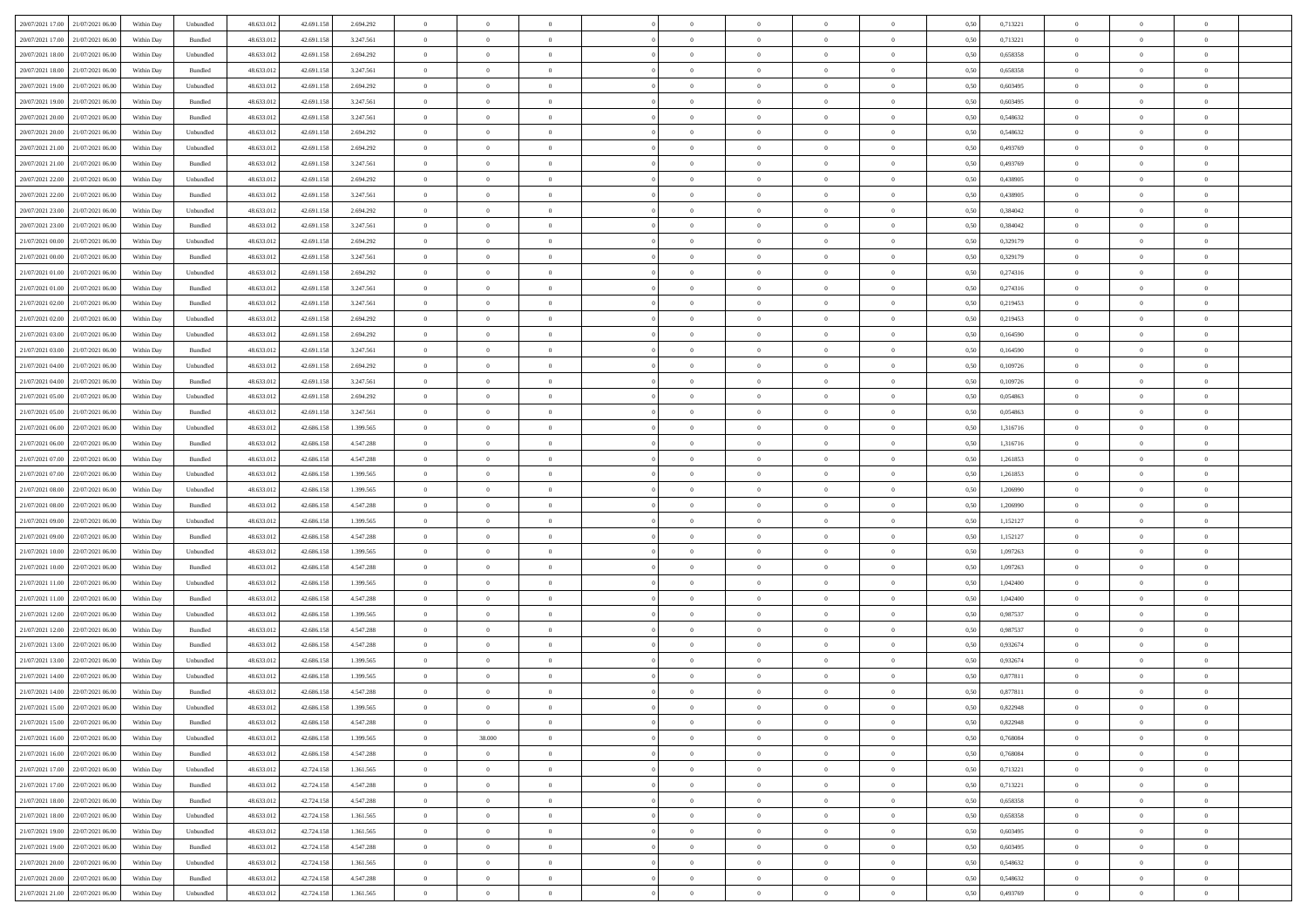| 20/07/2021 17:00 21/07/2021 06:00    | Within Day | Unbundled         | 48.633.01  | 42.691.158 | 2.694.292 | $\overline{0}$ | $\overline{0}$ |                | $\overline{0}$ | $\theta$       |                | $\theta$       | 0,50 | 0,713221 | $\theta$       | $\theta$       | $\overline{0}$ |  |
|--------------------------------------|------------|-------------------|------------|------------|-----------|----------------|----------------|----------------|----------------|----------------|----------------|----------------|------|----------|----------------|----------------|----------------|--|
| 20/07/2021 17:00<br>21/07/2021 06:00 | Within Day | Bundled           | 48.633.01  | 42.691.158 | 3.247.561 | $\bf{0}$       | $\bf{0}$       | $\bf{0}$       | $\bf{0}$       | $\overline{0}$ | $\overline{0}$ | $\bf{0}$       | 0,50 | 0,713221 | $\,$ 0 $\,$    | $\bf{0}$       | $\overline{0}$ |  |
| 20/07/2021 18:00<br>21/07/2021 06:00 | Within Day | Unbundled         | 48.633.013 | 42.691.158 | 2.694.292 | $\overline{0}$ | $\bf{0}$       | $\overline{0}$ | $\bf{0}$       | $\overline{0}$ | $\overline{0}$ | $\bf{0}$       | 0.50 | 0.658358 | $\overline{0}$ | $\overline{0}$ | $\bf{0}$       |  |
| 20/07/2021 18:00<br>21/07/2021 06:00 | Within Day | Bundled           | 48.633.013 | 42.691.158 | 3.247.561 | $\overline{0}$ | $\overline{0}$ | $\overline{0}$ | $\theta$       | $\theta$       | $\overline{0}$ | $\bf{0}$       | 0,50 | 0,658358 | $\theta$       | $\,$ 0 $\,$    | $\overline{0}$ |  |
| 20/07/2021 19:00<br>21/07/2021 06.00 | Within Day | Unbundled         | 48.633.01  | 42.691.158 | 2.694.292 | $\bf{0}$       | $\overline{0}$ | $\bf{0}$       | $\overline{0}$ | $\bf{0}$       | $\overline{0}$ | $\bf{0}$       | 0,50 | 0,603495 | $\,$ 0 $\,$    | $\bf{0}$       | $\overline{0}$ |  |
|                                      |            |                   |            |            |           |                |                |                |                |                |                |                |      |          |                |                |                |  |
| 20/07/2021 19:00<br>21/07/2021 06:00 | Within Day | Bundled           | 48.633.013 | 42.691.158 | 3.247.561 | $\overline{0}$ | $\bf{0}$       | $\overline{0}$ | $\bf{0}$       | $\overline{0}$ | $\overline{0}$ | $\bf{0}$       | 0.50 | 0.603495 | $\,$ 0 $\,$    | $\theta$       | $\overline{0}$ |  |
| 20/07/2021 20:00<br>21/07/2021 06:00 | Within Day | Bundled           | 48.633.013 | 42.691.158 | 3.247.561 | $\overline{0}$ | $\overline{0}$ | $\overline{0}$ | $\overline{0}$ | $\overline{0}$ | $\overline{0}$ | $\bf{0}$       | 0,50 | 0,548632 | $\theta$       | $\theta$       | $\overline{0}$ |  |
| 20/07/2021 20:00<br>21/07/2021 06:00 | Within Day | Unbundled         | 48.633.01  | 42.691.158 | 2.694.292 | $\bf{0}$       | $\bf{0}$       | $\bf{0}$       | $\overline{0}$ | $\overline{0}$ | $\overline{0}$ | $\bf{0}$       | 0,50 | 0,548632 | $\,$ 0 $\,$    | $\bf{0}$       | $\overline{0}$ |  |
| 20/07/2021 21:00<br>21/07/2021 06:00 | Within Day | Unbundled         | 48.633.013 | 42.691.158 | 2.694.292 | $\overline{0}$ | $\bf{0}$       | $\overline{0}$ | $\bf{0}$       | $\overline{0}$ | $\overline{0}$ | $\bf{0}$       | 0.50 | 0.493769 | $\bf{0}$       | $\overline{0}$ | $\overline{0}$ |  |
| 20/07/2021 21:00<br>21/07/2021 06:00 | Within Day | Bundled           | 48.633.013 | 42.691.158 | 3.247.561 | $\bf{0}$       | $\bf{0}$       | $\overline{0}$ | $\overline{0}$ | $\overline{0}$ | $\overline{0}$ | $\bf{0}$       | 0,50 | 0,493769 | $\,$ 0 $\,$    | $\,$ 0 $\,$    | $\overline{0}$ |  |
| 20/07/2021 22:00<br>21/07/2021 06:00 | Within Day | Unbundled         | 48.633.01  | 42.691.158 | 2.694.292 | $\bf{0}$       | $\bf{0}$       | $\bf{0}$       | $\bf{0}$       | $\overline{0}$ | $\overline{0}$ | $\bf{0}$       | 0,50 | 0,438905 | $\,$ 0 $\,$    | $\bf{0}$       | $\overline{0}$ |  |
| 20/07/2021 22:00<br>21/07/2021 06:00 | Within Day | Bundled           | 48.633.013 | 42.691.158 | 3.247.561 | $\overline{0}$ | $\bf{0}$       | $\overline{0}$ | $\overline{0}$ | $\overline{0}$ | $\overline{0}$ | $\bf{0}$       | 0.50 | 0.438905 | $\bf{0}$       | $\,$ 0 $\,$    | $\,$ 0         |  |
| 20/07/2021 23:00<br>21/07/2021 06:00 | Within Day | Unbundled         | 48.633.01  | 42.691.158 | 2.694.292 | $\overline{0}$ | $\bf{0}$       | $\overline{0}$ | $\theta$       | $\theta$       | $\overline{0}$ | $\bf{0}$       | 0,50 | 0,384042 | $\,$ 0 $\,$    | $\,$ 0 $\,$    | $\overline{0}$ |  |
|                                      |            |                   |            |            |           |                |                |                |                |                |                |                |      |          |                |                |                |  |
| 20/07/2021 23:00<br>21/07/2021 06:00 | Within Day | Bundled           | 48.633.01  | 42.691.158 | 3.247.561 | $\bf{0}$       | $\overline{0}$ | $\bf{0}$       | $\bf{0}$       | $\bf{0}$       | $\overline{0}$ | $\bf{0}$       | 0,50 | 0,384042 | $\,$ 0 $\,$    | $\bf{0}$       | $\overline{0}$ |  |
| 21/07/2021 00:00<br>21/07/2021 06:00 | Within Day | Unbundled         | 48.633.013 | 42.691.158 | 2.694.292 | $\overline{0}$ | $\bf{0}$       | $\overline{0}$ | $\bf{0}$       | $\overline{0}$ | $\overline{0}$ | $\bf{0}$       | 0.50 | 0,329179 | $\,$ 0 $\,$    | $\bf{0}$       | $\overline{0}$ |  |
| 21/07/2021 00:00<br>21/07/2021 06:00 | Within Day | Bundled           | 48.633.013 | 42.691.158 | 3.247.561 | $\overline{0}$ | $\overline{0}$ | $\overline{0}$ | $\overline{0}$ | $\overline{0}$ | $\overline{0}$ | $\bf{0}$       | 0,50 | 0,329179 | $\theta$       | $\theta$       | $\overline{0}$ |  |
| 21/07/2021 01:00<br>21/07/2021 06:00 | Within Day | Unbundled         | 48.633.01  | 42.691.158 | 2.694.292 | $\bf{0}$       | $\bf{0}$       | $\bf{0}$       | $\overline{0}$ | $\overline{0}$ | $\overline{0}$ | $\bf{0}$       | 0,50 | 0,274316 | $\,$ 0 $\,$    | $\bf{0}$       | $\overline{0}$ |  |
| 21/07/2021 01:00<br>21/07/2021 06:00 | Within Day | Bundled           | 48.633.013 | 42.691.158 | 3.247.561 | $\overline{0}$ | $\bf{0}$       | $\overline{0}$ | $\bf{0}$       | $\overline{0}$ | $\overline{0}$ | $\bf{0}$       | 0.50 | 0,274316 | $\bf{0}$       | $\overline{0}$ | $\bf{0}$       |  |
| 21/07/2021 02:00<br>21/07/2021 06:00 | Within Day | Bundled           | 48.633.013 | 42.691.158 | 3.247.561 | $\overline{0}$ | $\bf{0}$       | $\overline{0}$ | $\overline{0}$ | $\overline{0}$ | $\overline{0}$ | $\bf{0}$       | 0,50 | 0,219453 | $\,$ 0 $\,$    | $\bf{0}$       | $\overline{0}$ |  |
| 21/07/2021 02:00<br>21/07/2021 06:00 | Within Day | Unbundled         | 48.633.01  | 42.691.158 | 2.694.292 | $\bf{0}$       | $\bf{0}$       | $\bf{0}$       | $\bf{0}$       | $\overline{0}$ | $\overline{0}$ | $\bf{0}$       | 0,50 | 0,219453 | $\,$ 0 $\,$    | $\bf{0}$       | $\overline{0}$ |  |
|                                      |            |                   |            |            |           |                |                |                |                |                |                |                |      |          |                |                |                |  |
| 21/07/2021 03:00<br>21/07/2021 06:00 | Within Day | Unbundled         | 48.633.013 | 42.691.158 | 2.694.292 | $\overline{0}$ | $\bf{0}$       | $\overline{0}$ | $\overline{0}$ | $\bf{0}$       | $\overline{0}$ | $\bf{0}$       | 0.50 | 0.164590 | $\bf{0}$       | $\,$ 0 $\,$    | $\,$ 0         |  |
| 21/07/2021 03:00<br>21/07/2021 06:00 | Within Day | Bundled           | 48.633.01  | 42.691.158 | 3.247.561 | $\overline{0}$ | $\overline{0}$ | $\overline{0}$ | $\overline{0}$ | $\theta$       | $\overline{0}$ | $\bf{0}$       | 0,50 | 0,164590 | $\theta$       | $\theta$       | $\overline{0}$ |  |
| 21/07/2021 04:00<br>21/07/2021 06:00 | Within Day | Unbundled         | 48.633.01  | 42.691.158 | 2.694.292 | $\bf{0}$       | $\bf{0}$       | $\bf{0}$       | $\bf{0}$       | $\overline{0}$ | $\overline{0}$ | $\bf{0}$       | 0,50 | 0,109726 | $\,$ 0 $\,$    | $\bf{0}$       | $\overline{0}$ |  |
| 21/07/2021 04:00<br>21/07/2021 06:00 | Within Day | Bundled           | 48.633.013 | 42.691.158 | 3.247.561 | $\overline{0}$ | $\bf{0}$       | $\overline{0}$ | $\bf{0}$       | $\overline{0}$ | $\overline{0}$ | $\bf{0}$       | 0.50 | 0.109726 | $\bf{0}$       | $\overline{0}$ | $\overline{0}$ |  |
| 21/07/2021 05:00<br>21/07/2021 06:00 | Within Day | Unbundled         | 48.633.013 | 42.691.158 | 2.694.292 | $\overline{0}$ | $\overline{0}$ | $\overline{0}$ | $\overline{0}$ | $\overline{0}$ | $\overline{0}$ | $\bf{0}$       | 0,50 | 0,054863 | $\,$ 0 $\,$    | $\theta$       | $\overline{0}$ |  |
| 21/07/2021 05:00<br>21/07/2021 06:00 | Within Day | Bundled           | 48.633.01  | 42.691.158 | 3.247.561 | $\bf{0}$       | $\overline{0}$ | $\bf{0}$       | $\overline{0}$ | $\overline{0}$ | $\overline{0}$ | $\bf{0}$       | 0,50 | 0,054863 | $\,$ 0 $\,$    | $\bf{0}$       | $\overline{0}$ |  |
| 21/07/2021 06:00<br>22/07/2021 06:00 | Within Day | Unbundled         | 48.633.013 | 42.686.158 | 1.399.565 | $\overline{0}$ | $\bf{0}$       | $\overline{0}$ | $\bf{0}$       | $\overline{0}$ | $\overline{0}$ | $\bf{0}$       | 0.50 | 1.316716 | $\bf{0}$       | $\overline{0}$ | $\overline{0}$ |  |
| 21/07/2021 06:00<br>22/07/2021 06:00 | Within Day | Bundled           | 48.633.013 | 42.686.158 | 4.547.288 | $\overline{0}$ | $\bf{0}$       | $\overline{0}$ | $\overline{0}$ | $\overline{0}$ | $\overline{0}$ | $\bf{0}$       | 0,50 | 1,316716 | $\theta$       | $\bf{0}$       | $\overline{0}$ |  |
| 22/07/2021 06.00                     | Within Day | Bundled           | 48.633.01  | 42.686.158 | 4.547.288 | $\bf{0}$       | $\bf{0}$       | $\bf{0}$       | $\bf{0}$       | $\overline{0}$ | $\overline{0}$ | $\bf{0}$       | 0,50 | 1,261853 | $\,$ 0 $\,$    | $\bf{0}$       | $\overline{0}$ |  |
| 21/07/2021 07:00                     |            |                   |            |            |           |                |                |                |                |                |                |                |      |          |                |                |                |  |
| 21/07/2021 07:00<br>22/07/2021 06:00 | Within Day | Unbundled         | 48.633.013 | 42.686.158 | 1.399.565 | $\overline{0}$ | $\bf{0}$       | $\overline{0}$ | $\bf{0}$       | $\overline{0}$ | $\overline{0}$ | $\bf{0}$       | 0.50 | 1.261853 | $\bf{0}$       | $\,$ 0 $\,$    | $\,$ 0         |  |
| 21/07/2021 08:00<br>22/07/2021 06:00 | Within Day | Unbundled         | 48.633.013 | 42.686.158 | 1.399.565 | $\overline{0}$ | $\overline{0}$ | $\overline{0}$ | $\overline{0}$ | $\overline{0}$ | $\overline{0}$ | $\bf{0}$       | 0.50 | 1.206990 | $\theta$       | $\theta$       | $\overline{0}$ |  |
| 21/07/2021 08:00<br>22/07/2021 06.00 | Within Day | Bundled           | 48.633.01  | 42.686.158 | 4.547.288 | $\bf{0}$       | $\bf{0}$       | $\bf{0}$       | $\bf{0}$       | $\overline{0}$ | $\overline{0}$ | $\bf{0}$       | 0,50 | 1,206990 | $\,$ 0 $\,$    | $\bf{0}$       | $\overline{0}$ |  |
| 21/07/2021 09:00<br>22/07/2021 06:00 | Within Day | Unbundled         | 48.633.013 | 42.686.158 | 1.399.565 | $\overline{0}$ | $\bf{0}$       | $\overline{0}$ | $\bf{0}$       | $\overline{0}$ | $\overline{0}$ | $\bf{0}$       | 0.50 | 1,152127 | $\,$ 0 $\,$    | $\bf{0}$       | $\overline{0}$ |  |
| 21/07/2021 09:00<br>22/07/2021 06:00 | Within Dav | Bundled           | 48.633.013 | 42.686.158 | 4.547.288 | $\overline{0}$ | $\overline{0}$ | $\overline{0}$ | $\overline{0}$ | $\overline{0}$ | $\overline{0}$ | $\bf{0}$       | 0.50 | 1,152127 | $\theta$       | $\theta$       | $\overline{0}$ |  |
| 21/07/2021 10:00<br>22/07/2021 06.00 | Within Day | Unbundled         | 48.633.01  | 42.686.158 | 1.399.565 | $\bf{0}$       | $\bf{0}$       | $\bf{0}$       | $\bf{0}$       | $\overline{0}$ | $\overline{0}$ | $\bf{0}$       | 0,50 | 1,097263 | $\,$ 0 $\,$    | $\bf{0}$       | $\overline{0}$ |  |
| 21/07/2021 10:00<br>22/07/2021 06:00 | Within Day | Bundled           | 48.633.013 | 42.686.158 | 4.547.288 | $\overline{0}$ | $\bf{0}$       | $\overline{0}$ | $\bf{0}$       | $\overline{0}$ | $\overline{0}$ | $\bf{0}$       | 0.50 | 1.097263 | $\bf{0}$       | $\overline{0}$ | $\bf{0}$       |  |
| 21/07/2021 11:00<br>22/07/2021 06:00 | Within Day | Unbundled         | 48.633.013 | 42.686.158 | 1.399.565 | $\overline{0}$ | $\overline{0}$ | $\overline{0}$ | $\overline{0}$ | $\overline{0}$ | $\overline{0}$ | $\bf{0}$       | 0.50 | 1,042400 | $\theta$       | $\theta$       | $\overline{0}$ |  |
|                                      |            |                   |            |            |           |                |                |                |                |                |                |                |      |          |                |                |                |  |
| 21/07/2021 11:00<br>22/07/2021 06.00 | Within Day | Bundled           | 48.633.01  | 42.686.158 | 4.547.288 | $\bf{0}$       | $\bf{0}$       | $\bf{0}$       | $\bf{0}$       | $\overline{0}$ | $\bf{0}$       | $\bf{0}$       | 0,50 | 1,042400 | $\,$ 0 $\,$    | $\bf{0}$       | $\overline{0}$ |  |
| 21/07/2021 12:00<br>22/07/2021 06:00 | Within Day | Unbundled         | 48.633.013 | 42.686.158 | 1.399.565 | $\overline{0}$ | $\bf{0}$       | $\overline{0}$ | $\overline{0}$ | $\bf{0}$       | $\overline{0}$ | $\bf{0}$       | 0.50 | 0.987537 | $\,$ 0 $\,$    | $\,$ 0 $\,$    | $\,$ 0         |  |
| 21/07/2021 12:00<br>22/07/2021 06:00 | Within Day | Bundled           | 48.633.013 | 42.686.158 | 4.547.288 | $\overline{0}$ | $\overline{0}$ | $\overline{0}$ | $\overline{0}$ | $\overline{0}$ | $\overline{0}$ | $\bf{0}$       | 0.50 | 0,987537 | $\theta$       | $\theta$       | $\overline{0}$ |  |
| 21/07/2021 13:00<br>22/07/2021 06.00 | Within Day | Bundled           | 48.633.013 | 42.686.158 | 4.547.288 | $\bf{0}$       | $\bf{0}$       | $\bf{0}$       | $\bf{0}$       | $\overline{0}$ | $\overline{0}$ | $\bf{0}$       | 0,50 | 0,932674 | $\,$ 0 $\,$    | $\bf{0}$       | $\overline{0}$ |  |
| 21/07/2021 13:00<br>22/07/2021 06:00 | Within Day | Unbundled         | 48.633.013 | 42.686.158 | 1.399.565 | $\overline{0}$ | $\bf{0}$       | $\overline{0}$ | $\bf{0}$       | $\overline{0}$ | $\overline{0}$ | $\bf{0}$       | 0.50 | 0.932674 | $\bf{0}$       | $\theta$       | $\overline{0}$ |  |
| 21/07/2021 14:00<br>22/07/2021 06:00 | Within Day | Unbundled         | 48.633.013 | 42.686.158 | 1.399.565 | $\overline{0}$ | $\overline{0}$ | $\overline{0}$ | $\overline{0}$ | $\theta$       | $\overline{0}$ | $\overline{0}$ | 0.5( | 0,877811 | $\theta$       | $\theta$       | $\overline{0}$ |  |
| 21/07/2021 14:00<br>22/07/2021 06:00 | Within Day | Bundled           | 48.633.01  | 42.686.158 | 4.547.288 | $\bf{0}$       | $\bf{0}$       | $\bf{0}$       | $\bf{0}$       | $\bf{0}$       | $\overline{0}$ | $\bf{0}$       | 0,50 | 0,877811 | $\,$ 0 $\,$    | $\bf{0}$       | $\overline{0}$ |  |
| 21/07/2021 15:00 22/07/2021 06:00    | Within Day | ${\sf Unbundred}$ | 48.633.012 | 42.686.158 | 1.399.565 | $\bf{0}$       | $\theta$       |                | $\overline{0}$ |                |                |                | 0,50 | 0,822948 | $\bf{0}$       | $\bf{0}$       |                |  |
| 21/07/2021 15:00 22/07/2021 06:00    | Within Day | Bundled           | 48.633.012 | 42.686.158 | 4.547.288 | $\overline{0}$ | $\overline{0}$ | $\Omega$       | $\theta$       | $\overline{0}$ | $\overline{0}$ | $\bf{0}$       | 0,50 | 0,822948 | $\theta$       | $\theta$       | $\overline{0}$ |  |
|                                      |            |                   |            |            |           |                |                |                |                |                |                |                |      |          |                |                |                |  |
| 21/07/2021 16:00<br>22/07/2021 06:00 | Within Day | Unbundled         | 48.633.013 | 42.686.158 | 1.399.565 | $\overline{0}$ | 38.000         | $\overline{0}$ | $\overline{0}$ | $\bf{0}$       | $\overline{0}$ | $\bf{0}$       | 0,50 | 0,768084 | $\bf{0}$       | $\overline{0}$ | $\bf{0}$       |  |
| 21/07/2021 16:00 22/07/2021 06:00    | Within Day | Bundled           | 48.633.012 | 42.686.158 | 4.547.288 | $\overline{0}$ | $\overline{0}$ | $\overline{0}$ | $\overline{0}$ | $\mathbf{0}$   | $\overline{0}$ | $\,$ 0 $\,$    | 0.50 | 0.768084 | $\overline{0}$ | $\bf{0}$       | $\overline{0}$ |  |
| 21/07/2021 17:00 22/07/2021 06:00    | Within Dav | Unbundled         | 48.633.012 | 42.724.158 | 1.361.565 | $\overline{0}$ | $\overline{0}$ | $\overline{0}$ | $\overline{0}$ | $\overline{0}$ | $\overline{0}$ | $\bf{0}$       | 0,50 | 0,713221 | $\overline{0}$ | $\theta$       | $\overline{0}$ |  |
| 21/07/2021 17:00<br>22/07/2021 06:00 | Within Day | Bundled           | 48.633.012 | 42.724.158 | 4.547.288 | $\overline{0}$ | $\bf{0}$       | $\overline{0}$ | $\overline{0}$ | $\bf{0}$       | $\overline{0}$ | $\bf{0}$       | 0,50 | 0,713221 | $\bf{0}$       | $\overline{0}$ | $\overline{0}$ |  |
| 21/07/2021 18:00 22/07/2021 06:00    | Within Day | Bundled           | 48.633.012 | 42.724.158 | 4.547.288 | $\overline{0}$ | $\bf{0}$       | $\overline{0}$ | $\overline{0}$ | $\bf{0}$       | $\overline{0}$ | $\bf{0}$       | 0.50 | 0.658358 | $\,$ 0 $\,$    | $\overline{0}$ | $\,$ 0         |  |
| 21/07/2021 18:00 22/07/2021 06:00    | Within Dav | Unbundled         | 48.633.012 | 42.724.158 | 1.361.565 | $\overline{0}$ | $\overline{0}$ | $\overline{0}$ | $\overline{0}$ | $\overline{0}$ | $\overline{0}$ | $\bf{0}$       | 0.50 | 0,658358 | $\overline{0}$ | $\theta$       | $\overline{0}$ |  |
| 22/07/2021 06:00<br>21/07/2021 19:00 | Within Day | Unbundled         | 48.633.013 | 42.724.158 | 1.361.565 | $\overline{0}$ | $\overline{0}$ | $\overline{0}$ | $\overline{0}$ | $\overline{0}$ | $\overline{0}$ | $\bf{0}$       | 0,50 | 0,603495 | $\bf{0}$       | $\overline{0}$ | $\,$ 0         |  |
|                                      |            |                   |            |            |           |                |                |                |                |                |                |                |      |          |                |                |                |  |
| 21/07/2021 19:00 22/07/2021 06:00    | Within Day | Bundled           | 48.633.012 | 42.724.158 | 4.547.288 | $\overline{0}$ | $\overline{0}$ | $\overline{0}$ | $\overline{0}$ | $\overline{0}$ | $\overline{0}$ | $\bf{0}$       | 0.50 | 0.603495 | $\mathbf{0}$   | $\bf{0}$       | $\,$ 0         |  |
| 21/07/2021 20.00 22/07/2021 06:00    | Within Dav | Unbundled         | 48.633.012 | 42.724.158 | 1.361.565 | $\overline{0}$ | $\overline{0}$ | $\overline{0}$ | $\overline{0}$ | $\overline{0}$ | $\overline{0}$ | $\bf{0}$       | 0,50 | 0,548632 | $\overline{0}$ | $\theta$       | $\overline{0}$ |  |
| 21/07/2021 20:00<br>22/07/2021 06:00 | Within Day | Bundled           | 48.633.013 | 42.724.158 | 4.547.288 | $\overline{0}$ | $\bf{0}$       | $\overline{0}$ | $\bf{0}$       | $\overline{0}$ | $\overline{0}$ | $\bf{0}$       | 0,50 | 0,548632 | $\bf{0}$       | $\,$ 0 $\,$    | $\bf{0}$       |  |
| 21/07/2021 21:00 22/07/2021 06:00    | Within Day | Unbundled         | 48.633.012 | 42.724.158 | 1.361.565 | $\,$ 0 $\,$    | $\bf{0}$       | $\overline{0}$ | $\overline{0}$ | $\,$ 0 $\,$    | $\overline{0}$ | $\bf{0}$       | 0,50 | 0,493769 | $\overline{0}$ | $\,$ 0 $\,$    | $\,$ 0 $\,$    |  |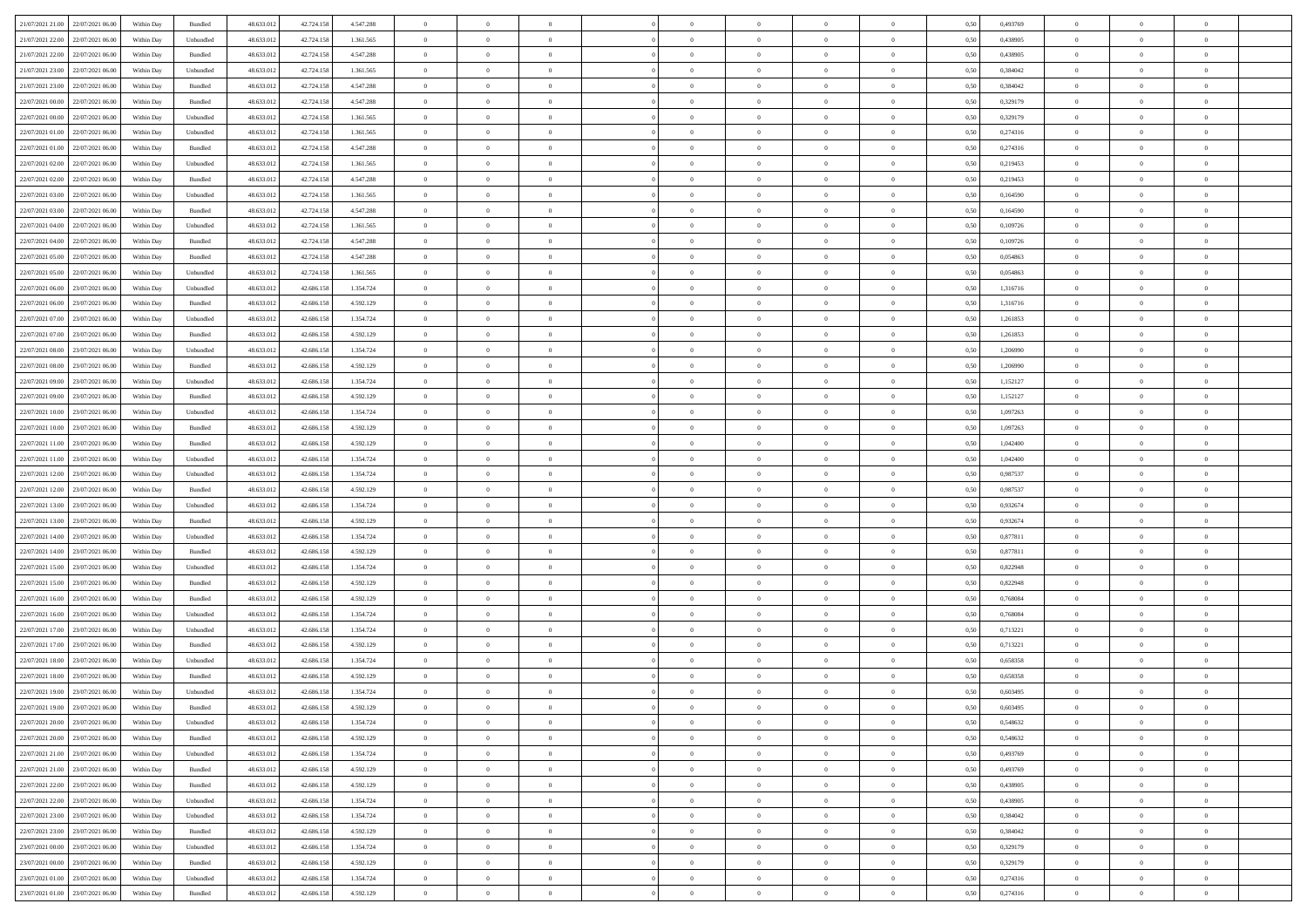| 21/07/2021 21.00 22/07/2021 06:00    | Within Day | Bundled            | 48.633.01  | 42.724.158 | 4.547.288 | $\overline{0}$ | $\overline{0}$ |                | $\overline{0}$ | $\theta$       |                | $\theta$       | 0,50 | 0,493769 | $\theta$       | $\theta$       | $\overline{0}$ |  |
|--------------------------------------|------------|--------------------|------------|------------|-----------|----------------|----------------|----------------|----------------|----------------|----------------|----------------|------|----------|----------------|----------------|----------------|--|
|                                      |            |                    |            |            |           |                |                |                |                |                |                |                |      |          |                |                |                |  |
| 21/07/2021 22:00<br>22/07/2021 06:00 | Within Day | Unbundled          | 48.633.01  | 42.724.158 | 1.361.565 | $\bf{0}$       | $\bf{0}$       | $\bf{0}$       | $\bf{0}$       | $\overline{0}$ | $\overline{0}$ | $\bf{0}$       | 0,50 | 0,438905 | $\,$ 0 $\,$    | $\bf{0}$       | $\overline{0}$ |  |
| 21/07/2021 22:00<br>22/07/2021 06:00 | Within Day | Bundled            | 48.633.013 | 42.724.158 | 4.547.288 | $\overline{0}$ | $\bf{0}$       | $\overline{0}$ | $\bf{0}$       | $\bf{0}$       | $\overline{0}$ | $\bf{0}$       | 0.50 | 0.438905 | $\bf{0}$       | $\overline{0}$ | $\bf{0}$       |  |
| 21/07/2021 23:00<br>22/07/2021 06:00 | Within Day | Unbundled          | 48.633.01  | 42.724.158 | 1.361.565 | $\overline{0}$ | $\overline{0}$ | $\overline{0}$ | $\theta$       | $\theta$       | $\overline{0}$ | $\bf{0}$       | 0,50 | 0,384042 | $\theta$       | $\theta$       | $\overline{0}$ |  |
| 21/07/2021 23:00<br>22/07/2021 06.00 | Within Day | Bundled            | 48.633.01  | 42.724.158 | 4.547.288 | $\bf{0}$       | $\overline{0}$ | $\bf{0}$       | $\overline{0}$ | $\bf{0}$       | $\overline{0}$ | $\bf{0}$       | 0,50 | 0,384042 | $\,$ 0 $\,$    | $\bf{0}$       | $\overline{0}$ |  |
| 22/07/2021 00:00<br>22/07/2021 06:00 | Within Day | Bundled            | 48.633.013 | 42.724.158 | 4.547.288 | $\overline{0}$ | $\bf{0}$       | $\overline{0}$ | $\bf{0}$       | $\overline{0}$ | $\overline{0}$ | $\bf{0}$       | 0.50 | 0,329179 | $\,$ 0 $\,$    | $\theta$       | $\overline{0}$ |  |
|                                      |            |                    |            |            |           | $\overline{0}$ | $\overline{0}$ | $\overline{0}$ | $\overline{0}$ | $\overline{0}$ | $\overline{0}$ |                |      |          |                | $\theta$       | $\overline{0}$ |  |
| 22/07/2021 00:00<br>22/07/2021 06:00 | Within Day | Unbundled          | 48.633.013 | 42.724.158 | 1.361.565 |                |                |                |                |                |                | $\bf{0}$       | 0,50 | 0,329179 | $\,$ 0 $\,$    |                |                |  |
| 22/07/2021 01:00<br>22/07/2021 06.00 | Within Day | Unbundled          | 48.633.01  | 42.724.158 | 1.361.565 | $\bf{0}$       | $\bf{0}$       | $\bf{0}$       | $\overline{0}$ | $\overline{0}$ | $\overline{0}$ | $\bf{0}$       | 0,50 | 0,274316 | $\,$ 0 $\,$    | $\bf{0}$       | $\overline{0}$ |  |
| 22/07/2021 01:00<br>22/07/2021 06:00 | Within Day | Bundled            | 48.633.013 | 42.724.158 | 4.547.288 | $\overline{0}$ | $\bf{0}$       | $\overline{0}$ | $\bf{0}$       | $\overline{0}$ | $\overline{0}$ | $\bf{0}$       | 0.50 | 0,274316 | $\bf{0}$       | $\overline{0}$ | $\overline{0}$ |  |
| 22/07/2021 02:00<br>22/07/2021 06:00 | Within Day | Unbundled          | 48.633.012 | 42.724.158 | 1.361.565 | $\bf{0}$       | $\bf{0}$       | $\overline{0}$ | $\overline{0}$ | $\overline{0}$ | $\overline{0}$ | $\bf{0}$       | 0,50 | 0,219453 | $\,$ 0 $\,$    | $\,$ 0 $\,$    | $\overline{0}$ |  |
| 22/07/2021 02:00<br>22/07/2021 06:00 | Within Day | Bundled            | 48.633.01  | 42.724.158 | 4.547.288 | $\bf{0}$       | $\bf{0}$       | $\bf{0}$       | $\bf{0}$       | $\overline{0}$ | $\overline{0}$ | $\bf{0}$       | 0,50 | 0,219453 | $\,$ 0 $\,$    | $\bf{0}$       | $\overline{0}$ |  |
| 22/07/2021 03:00<br>22/07/2021 06:00 | Within Day | Unbundled          | 48.633.013 | 42.724.158 | 1.361.565 | $\overline{0}$ | $\bf{0}$       | $\overline{0}$ | $\overline{0}$ | $\overline{0}$ | $\overline{0}$ | $\bf{0}$       | 0.50 | 0.164590 | $\bf{0}$       | $\,$ 0 $\,$    | $\,$ 0         |  |
| 22/07/2021 03:00<br>22/07/2021 06:00 | Within Day | Bundled            | 48.633.01  | 42.724.158 | 4.547.288 | $\overline{0}$ | $\overline{0}$ | $\overline{0}$ | $\theta$       | $\theta$       | $\overline{0}$ | $\bf{0}$       | 0,50 | 0,164590 | $\,$ 0 $\,$    | $\theta$       | $\overline{0}$ |  |
| 22/07/2021 04:00<br>22/07/2021 06:00 | Within Day | Unbundled          | 48.633.01  | 42.724.158 | 1.361.565 | $\bf{0}$       | $\overline{0}$ | $\bf{0}$       | $\bf{0}$       | $\bf{0}$       | $\overline{0}$ | $\bf{0}$       | 0,50 | 0,109726 | $\,$ 0 $\,$    | $\bf{0}$       | $\overline{0}$ |  |
|                                      |            |                    |            |            |           |                |                |                |                |                |                |                |      |          |                |                |                |  |
| 22/07/2021 04:00<br>22/07/2021 06:00 | Within Day | Bundled            | 48.633.013 | 42.724.158 | 4.547.288 | $\overline{0}$ | $\bf{0}$       | $\overline{0}$ | $\bf{0}$       | $\overline{0}$ | $\overline{0}$ | $\bf{0}$       | 0.50 | 0.109726 | $\,$ 0 $\,$    | $\bf{0}$       | $\overline{0}$ |  |
| 22/07/2021 05:00<br>22/07/2021 06:00 | Within Day | Bundled            | 48.633.013 | 42.724.158 | 4.547.288 | $\overline{0}$ | $\overline{0}$ | $\overline{0}$ | $\overline{0}$ | $\overline{0}$ | $\overline{0}$ | $\bf{0}$       | 0,50 | 0,054863 | $\theta$       | $\theta$       | $\overline{0}$ |  |
| 22/07/2021 05:00<br>22/07/2021 06.00 | Within Day | Unbundled          | 48.633.01  | 42.724.158 | 1.361.565 | $\bf{0}$       | $\bf{0}$       | $\bf{0}$       | $\overline{0}$ | $\overline{0}$ | $\overline{0}$ | $\bf{0}$       | 0,50 | 0,054863 | $\,$ 0 $\,$    | $\bf{0}$       | $\overline{0}$ |  |
| 22/07/2021 06:00<br>23/07/2021 06:00 | Within Day | Unbundled          | 48.633.013 | 42.686.158 | 1.354.724 | $\overline{0}$ | $\bf{0}$       | $\overline{0}$ | $\bf{0}$       | $\overline{0}$ | $\overline{0}$ | $\bf{0}$       | 0.50 | 1.316716 | $\bf{0}$       | $\overline{0}$ | $\bf{0}$       |  |
| 22/07/2021 06:00<br>23/07/2021 06:00 | Within Day | Bundled            | 48.633.013 | 42.686.158 | 4.592.129 | $\overline{0}$ | $\bf{0}$       | $\overline{0}$ | $\overline{0}$ | $\overline{0}$ | $\overline{0}$ | $\bf{0}$       | 0,50 | 1,316716 | $\,$ 0 $\,$    | $\bf{0}$       | $\overline{0}$ |  |
| 22/07/2021 07:00<br>23/07/2021 06:00 | Within Day | Unbundled          | 48.633.01  | 42.686.158 | 1.354.724 | $\bf{0}$       | $\bf{0}$       | $\bf{0}$       | $\bf{0}$       | $\overline{0}$ | $\overline{0}$ | $\bf{0}$       | 0,50 | 1,261853 | $\,$ 0 $\,$    | $\bf{0}$       | $\overline{0}$ |  |
| 22/07/2021 07:00<br>23/07/2021 06:00 | Within Day | Bundled            | 48.633.013 | 42.686.158 | 4.592.129 | $\overline{0}$ | $\bf{0}$       | $\overline{0}$ | $\overline{0}$ | $\bf{0}$       | $\overline{0}$ | $\bf{0}$       | 0.50 | 1.261853 | $\bf{0}$       | $\overline{0}$ | $\,$ 0         |  |
| 22/07/2021 08:00<br>23/07/2021 06:00 | Within Day | Unbundled          | 48.633.01  | 42.686.158 | 1.354.724 | $\overline{0}$ | $\overline{0}$ | $\overline{0}$ | $\theta$       | $\theta$       | $\overline{0}$ | $\bf{0}$       | 0,50 | 1,206990 | $\theta$       | $\theta$       | $\overline{0}$ |  |
|                                      |            |                    |            |            |           |                |                |                |                |                |                |                |      |          |                |                |                |  |
| 22/07/2021 08:00<br>23/07/2021 06:00 | Within Day | Bundled            | 48.633.01  | 42.686.158 | 4.592.129 | $\bf{0}$       | $\bf{0}$       | $\bf{0}$       | $\bf{0}$       | $\overline{0}$ | $\overline{0}$ | $\bf{0}$       | 0,50 | 1,206990 | $\,$ 0 $\,$    | $\bf{0}$       | $\overline{0}$ |  |
| 22/07/2021 09:00<br>23/07/2021 06:00 | Within Day | Unbundled          | 48.633.013 | 42.686.158 | 1.354.724 | $\overline{0}$ | $\bf{0}$       | $\overline{0}$ | $\bf{0}$       | $\overline{0}$ | $\overline{0}$ | $\bf{0}$       | 0.50 | 1,152127 | $\bf{0}$       | $\theta$       | $\overline{0}$ |  |
| 22/07/2021 09:00<br>23/07/2021 06:00 | Within Day | Bundled            | 48.633.013 | 42.686.158 | 4.592.129 | $\overline{0}$ | $\overline{0}$ | $\overline{0}$ | $\overline{0}$ | $\overline{0}$ | $\overline{0}$ | $\bf{0}$       | 0,50 | 1,152127 | $\,$ 0 $\,$    | $\theta$       | $\overline{0}$ |  |
| 22/07/2021 10:00<br>23/07/2021 06.00 | Within Day | Unbundled          | 48.633.01  | 42.686.158 | 1.354.724 | $\bf{0}$       | $\overline{0}$ | $\bf{0}$       | $\overline{0}$ | $\overline{0}$ | $\overline{0}$ | $\bf{0}$       | 0,50 | 1,097263 | $\,$ 0 $\,$    | $\bf{0}$       | $\overline{0}$ |  |
| 22/07/2021 10:00<br>23/07/2021 06:00 | Within Day | Bundled            | 48.633.013 | 42.686.158 | 4.592.129 | $\overline{0}$ | $\bf{0}$       | $\overline{0}$ | $\bf{0}$       | $\overline{0}$ | $\overline{0}$ | $\bf{0}$       | 0.50 | 1.097263 | $\bf{0}$       | $\overline{0}$ | $\overline{0}$ |  |
| 22/07/2021 11:00<br>23/07/2021 06:00 | Within Day | Bundled            | 48.633.013 | 42.686.158 | 4.592.129 | $\overline{0}$ | $\bf{0}$       | $\overline{0}$ | $\overline{0}$ | $\overline{0}$ | $\overline{0}$ | $\bf{0}$       | 0,50 | 1,042400 | $\theta$       | $\theta$       | $\overline{0}$ |  |
| 22/07/2021 11:00<br>23/07/2021 06:00 | Within Day | Unbundled          | 48.633.01  | 42.686.158 | 1.354.724 | $\bf{0}$       | $\bf{0}$       | $\bf{0}$       | $\bf{0}$       | $\overline{0}$ | $\overline{0}$ | $\bf{0}$       | 0,50 | 1,042400 | $\,$ 0 $\,$    | $\bf{0}$       | $\overline{0}$ |  |
| 22/07/2021 12:00<br>23/07/2021 06:00 | Within Day | Unbundled          | 48.633.013 | 42.686.158 | 1.354.724 | $\overline{0}$ | $\bf{0}$       | $\overline{0}$ | $\bf{0}$       | $\bf{0}$       | $\overline{0}$ | $\bf{0}$       | 0.50 | 0.987537 | $\bf{0}$       | $\,$ 0 $\,$    | $\,$ 0         |  |
|                                      |            |                    |            |            |           |                | $\overline{0}$ |                |                | $\overline{0}$ |                |                |      |          | $\theta$       | $\theta$       | $\overline{0}$ |  |
| 22/07/2021 12:00<br>23/07/2021 06:00 | Within Day | Bundled            | 48.633.013 | 42.686.158 | 4.592.129 | $\overline{0}$ |                | $\overline{0}$ | $\overline{0}$ |                | $\overline{0}$ | $\bf{0}$       | 0.50 | 0,987537 |                |                |                |  |
| 22/07/2021 13:00<br>23/07/2021 06:00 | Within Day | Unbundled          | 48.633.01  | 42.686.158 | 1.354.724 | $\bf{0}$       | $\bf{0}$       | $\bf{0}$       | $\bf{0}$       | $\overline{0}$ | $\overline{0}$ | $\bf{0}$       | 0,50 | 0,932674 | $\,$ 0 $\,$    | $\bf{0}$       | $\overline{0}$ |  |
| 22/07/2021 13:00<br>23/07/2021 06:00 | Within Day | Bundled            | 48.633.013 | 42.686.158 | 4.592.129 | $\overline{0}$ | $\bf{0}$       | $\overline{0}$ | $\bf{0}$       | $\overline{0}$ | $\overline{0}$ | $\bf{0}$       | 0.50 | 0.932674 | $\,$ 0 $\,$    | $\bf{0}$       | $\overline{0}$ |  |
| 22/07/2021 14:00<br>23/07/2021 06:00 | Within Dav | Unbundled          | 48.633.013 | 42.686.158 | 1.354.724 | $\overline{0}$ | $\overline{0}$ | $\overline{0}$ | $\overline{0}$ | $\overline{0}$ | $\overline{0}$ | $\bf{0}$       | 0.50 | 0,877811 | $\theta$       | $\theta$       | $\overline{0}$ |  |
| 22/07/2021 14:00<br>23/07/2021 06.00 | Within Day | Bundled            | 48.633.01  | 42.686.158 | 4.592.129 | $\bf{0}$       | $\bf{0}$       | $\bf{0}$       | $\bf{0}$       | $\overline{0}$ | $\overline{0}$ | $\bf{0}$       | 0,50 | 0,877811 | $\,$ 0 $\,$    | $\bf{0}$       | $\overline{0}$ |  |
| 22/07/2021 15:00<br>23/07/2021 06:00 | Within Day | Unbundled          | 48.633.013 | 42.686.158 | 1.354.724 | $\overline{0}$ | $\bf{0}$       | $\overline{0}$ | $\bf{0}$       | $\overline{0}$ | $\overline{0}$ | $\bf{0}$       | 0.50 | 0.822948 | $\bf{0}$       | $\overline{0}$ | $\bf{0}$       |  |
| 22/07/2021 15:00<br>23/07/2021 06:00 | Within Day | Bundled            | 48.633.013 | 42.686.158 | 4.592.129 | $\overline{0}$ | $\overline{0}$ | $\overline{0}$ | $\overline{0}$ | $\overline{0}$ | $\overline{0}$ | $\bf{0}$       | 0.50 | 0,822948 | $\theta$       | $\theta$       | $\overline{0}$ |  |
| 22/07/2021 16:00<br>23/07/2021 06.00 | Within Day | Bundled            | 48.633.01  | 42.686.158 | 4.592.129 | $\bf{0}$       | $\bf{0}$       | $\bf{0}$       | $\bf{0}$       | $\overline{0}$ | $\bf{0}$       | $\bf{0}$       | 0,50 | 0,768084 | $\,$ 0 $\,$    | $\bf{0}$       | $\overline{0}$ |  |
| 22/07/2021 16:00<br>23/07/2021 06:00 | Within Day | Unbundled          | 48.633.013 | 42.686.158 | 1.354.724 | $\overline{0}$ | $\bf{0}$       | $\overline{0}$ | $\overline{0}$ | $\bf{0}$       | $\overline{0}$ | $\bf{0}$       | 0.50 | 0.768084 | $\,$ 0 $\,$    | $\,$ 0 $\,$    | $\,$ 0         |  |
|                                      |            |                    |            |            |           |                |                |                |                |                |                |                |      |          |                |                |                |  |
| 22/07/2021 17:00<br>23/07/2021 06:00 | Within Day | Unbundled          | 48.633.013 | 42.686.158 | 1.354.724 | $\overline{0}$ | $\overline{0}$ | $\overline{0}$ | $\overline{0}$ | $\overline{0}$ | $\overline{0}$ | $\bf{0}$       | 0.5( | 0,713221 | $\theta$       | $\theta$       | $\overline{0}$ |  |
| 22/07/2021 17:00<br>23/07/2021 06:00 | Within Day | Bundled            | 48.633.013 | 42.686.158 | 4.592.129 | $\bf{0}$       | $\bf{0}$       | $\bf{0}$       | $\bf{0}$       | $\overline{0}$ | $\overline{0}$ | $\bf{0}$       | 0,50 | 0,713221 | $\,$ 0 $\,$    | $\bf{0}$       | $\overline{0}$ |  |
| 22/07/2021 18:00<br>23/07/2021 06:00 | Within Day | Unbundled          | 48.633.013 | 42.686.158 | 1.354.724 | $\overline{0}$ | $\overline{0}$ | $\overline{0}$ | $\bf{0}$       | $\overline{0}$ | $\overline{0}$ | $\bf{0}$       | 0.50 | 0.658358 | $\bf{0}$       | $\theta$       | $\overline{0}$ |  |
| 22/07/2021 18:00<br>23/07/2021 06:00 | Within Day | Bundled            | 48.633.013 | 42.686.158 | 4.592.129 | $\overline{0}$ | $\overline{0}$ | $\Omega$       | $\overline{0}$ | $\theta$       | $\overline{0}$ | $\overline{0}$ | 0.5( | 0,658358 | $\theta$       | $\theta$       | $\overline{0}$ |  |
| 22/07/2021 19:00<br>23/07/2021 06:00 | Within Day | Unbundled          | 48.633.01  | 42.686.158 | 1.354.724 | $\bf{0}$       | $\bf{0}$       | $\bf{0}$       | $\bf{0}$       | $\bf{0}$       | $\overline{0}$ | $\bf{0}$       | 0,50 | 0,603495 | $\,$ 0 $\,$    | $\bf{0}$       | $\overline{0}$ |  |
| 22/07/2021 19:00 23/07/2021 06:00    | Within Day | $\mathbf B$ undled | 48.633.012 | 42.686.158 | 4.592.129 | $\bf{0}$       | $\theta$       |                | $\overline{0}$ |                |                |                | 0,50 | 0.603495 | $\bf{0}$       | $\bf{0}$       |                |  |
| 22/07/2021 20:00 23/07/2021 06:00    | Within Day | Unbundled          | 48.633.012 | 42.686.158 | 1.354.724 | $\overline{0}$ | $\overline{0}$ | $\Omega$       | $\theta$       | $\overline{0}$ | $\overline{0}$ | $\bf{0}$       | 0,50 | 0,548632 | $\theta$       | $\theta$       | $\overline{0}$ |  |
| 22/07/2021 20:00<br>23/07/2021 06:00 | Within Day | Bundled            | 48.633.013 | 42.686.158 | 4.592.129 | $\overline{0}$ | $\bf{0}$       | $\overline{0}$ | $\overline{0}$ | $\bf{0}$       | $\overline{0}$ | $\bf{0}$       | 0,50 | 0,548632 | $\bf{0}$       | $\overline{0}$ | $\bf{0}$       |  |
|                                      |            |                    |            |            |           |                |                |                |                |                |                |                |      |          |                |                |                |  |
| 22/07/2021 21:00 23/07/2021 06:00    | Within Day | Unbundled          | 48.633.012 | 42.686.158 | 1.354.724 | $\overline{0}$ | $\bf{0}$       | $\overline{0}$ | $\overline{0}$ | $\mathbf{0}$   | $\overline{0}$ | $\,$ 0 $\,$    | 0.50 | 0,493769 | $\overline{0}$ | $\bf{0}$       | $\,$ 0 $\,$    |  |
| 22/07/2021 21:00 23/07/2021 06:00    | Within Dav | Bundled            | 48.633.012 | 42.686.158 | 4.592.129 | $\overline{0}$ | $\overline{0}$ | $\overline{0}$ | $\overline{0}$ | $\overline{0}$ | $\overline{0}$ | $\bf{0}$       | 0,50 | 0,493769 | $\overline{0}$ | $\theta$       | $\overline{0}$ |  |
| 22/07/2021 22:00<br>23/07/2021 06:00 | Within Day | Bundled            | 48.633.012 | 42.686.158 | 4.592.129 | $\overline{0}$ | $\bf{0}$       | $\overline{0}$ | $\overline{0}$ | $\overline{0}$ | $\overline{0}$ | $\bf{0}$       | 0,50 | 0,438905 | $\bf{0}$       | $\overline{0}$ | $\overline{0}$ |  |
| 22/07/2021 22:00 23/07/2021 06:00    | Within Day | Unbundled          | 48.633.012 | 42.686.158 | 1.354.724 | $\overline{0}$ | $\bf{0}$       | $\overline{0}$ | $\overline{0}$ | $\bf{0}$       | $\overline{0}$ | $\bf{0}$       | 0.50 | 0.438905 | $\,$ 0 $\,$    | $\overline{0}$ | $\,$ 0         |  |
| 22/07/2021 23:00 23/07/2021 06:00    | Within Dav | Unbundled          | 48.633.012 | 42.686.158 | 1.354.724 | $\overline{0}$ | $\overline{0}$ | $\overline{0}$ | $\overline{0}$ | $\overline{0}$ | $\overline{0}$ | $\bf{0}$       | 0.50 | 0,384042 | $\overline{0}$ | $\theta$       | $\overline{0}$ |  |
| 23/07/2021 06:00<br>22/07/2021 23:00 | Within Day | Bundled            | 48.633.013 | 42.686.158 | 4.592.129 | $\overline{0}$ | $\overline{0}$ | $\overline{0}$ | $\overline{0}$ | $\overline{0}$ | $\overline{0}$ | $\bf{0}$       | 0,50 | 0,384042 | $\bf{0}$       | $\overline{0}$ | $\overline{0}$ |  |
| 23/07/2021 00:00 23/07/2021 06:00    | Within Day | Unbundled          | 48.633.012 | 42.686.158 | 1.354.724 | $\overline{0}$ | $\overline{0}$ | $\overline{0}$ | $\overline{0}$ | $\overline{0}$ | $\overline{0}$ | $\bf{0}$       | 0.50 | 0.329179 | $\mathbf{0}$   | $\bf{0}$       | $\,$ 0         |  |
| 23/07/2021 00:00 23/07/2021 06:00    | Within Dav | Bundled            | 48.633.012 | 42.686.158 | 4.592.129 | $\overline{0}$ | $\overline{0}$ | $\overline{0}$ | $\overline{0}$ | $\overline{0}$ | $\overline{0}$ | $\bf{0}$       | 0,50 | 0,329179 | $\overline{0}$ | $\theta$       | $\overline{0}$ |  |
|                                      |            |                    |            |            |           |                |                |                |                |                |                |                |      |          |                |                |                |  |
| 23/07/2021 01:00<br>23/07/2021 06:00 | Within Day | Unbundled          | 48.633.013 | 42.686.158 | 1.354.724 | $\overline{0}$ | $\bf{0}$       | $\overline{0}$ | $\bf{0}$       | $\overline{0}$ | $\bf{0}$       | $\bf{0}$       | 0,50 | 0,274316 | $\bf{0}$       | $\,$ 0 $\,$    | $\bf{0}$       |  |
| 23/07/2021 01:00 23/07/2021 06:00    | Within Day | Bundled            | 48.633.012 | 42.686.158 | 4.592.129 | $\,$ 0 $\,$    | $\bf{0}$       | $\overline{0}$ | $\overline{0}$ | $\,$ 0 $\,$    | $\overline{0}$ | $\bf{0}$       | 0,50 | 0,274316 | $\overline{0}$ | $\,$ 0 $\,$    | $\,$ 0 $\,$    |  |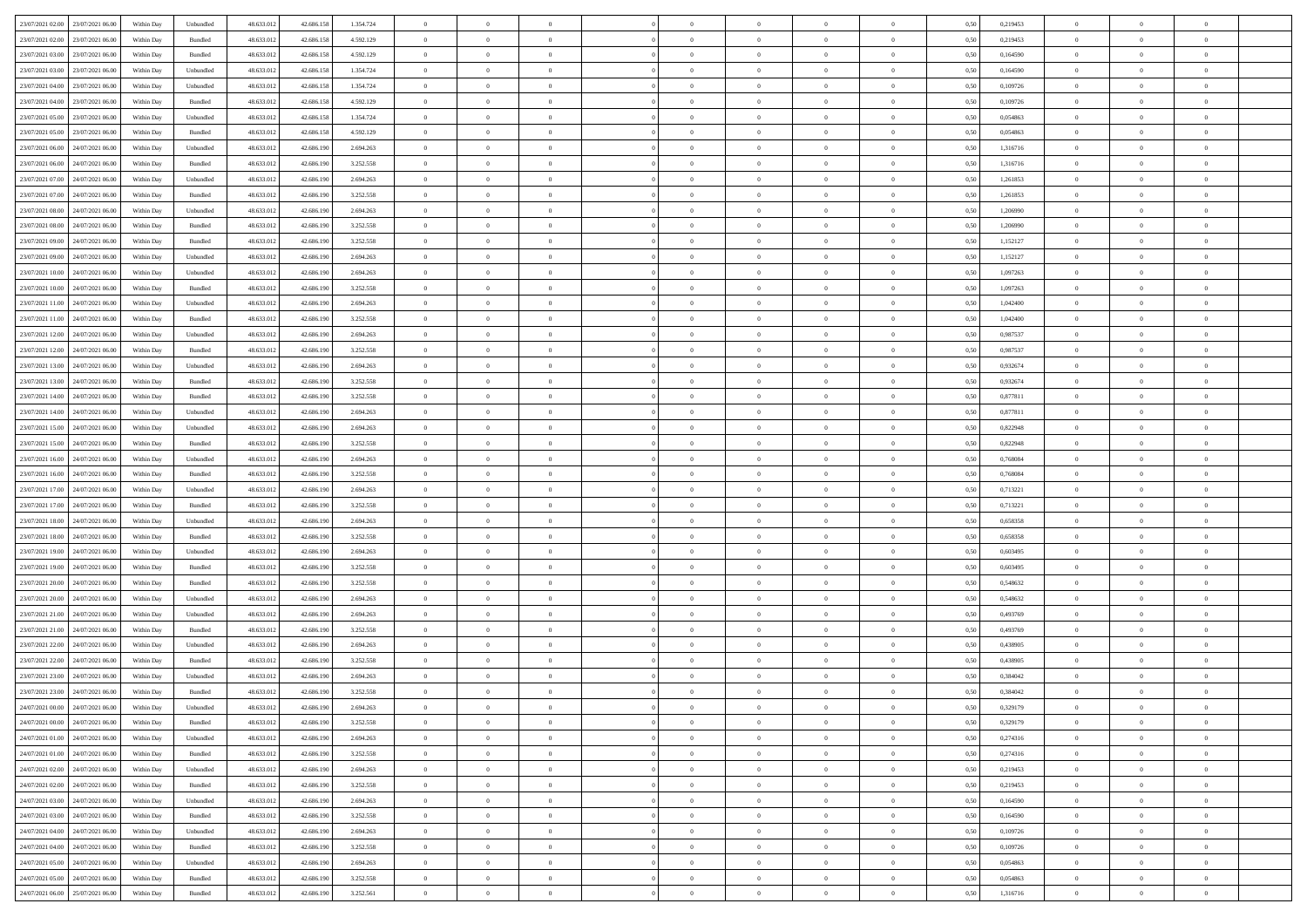| 23/07/2021 02:00 23/07/2021 06:00    | Within Day | Unbundled                   | 48.633.01  | 42.686.158 | 1.354.724 | $\overline{0}$ | $\overline{0}$ |                | $\overline{0}$ | $\theta$       |                | $\theta$       | 0,50 | 0,219453 | $\theta$       | $\theta$       | $\theta$       |  |
|--------------------------------------|------------|-----------------------------|------------|------------|-----------|----------------|----------------|----------------|----------------|----------------|----------------|----------------|------|----------|----------------|----------------|----------------|--|
| 23/07/2021 02:00<br>23/07/2021 06:00 | Within Day | Bundled                     | 48.633.01  | 42.686.158 | 4.592.129 | $\bf{0}$       | $\bf{0}$       | $\bf{0}$       | $\bf{0}$       | $\overline{0}$ | $\overline{0}$ | $\bf{0}$       | 0,50 | 0,219453 | $\,$ 0 $\,$    | $\bf{0}$       | $\overline{0}$ |  |
| 23/07/2021 03:00<br>23/07/2021 06:00 | Within Day | Bundled                     | 48.633.013 | 42.686.158 | 4.592.129 | $\overline{0}$ | $\bf{0}$       | $\overline{0}$ | $\bf{0}$       | $\bf{0}$       | $\overline{0}$ | $\bf{0}$       | 0.50 | 0.164590 | $\bf{0}$       | $\overline{0}$ | $\bf{0}$       |  |
| 23/07/2021 03:00<br>23/07/2021 06:00 | Within Day | Unbundled                   | 48.633.013 | 42.686.158 | 1.354.724 | $\overline{0}$ | $\overline{0}$ | $\overline{0}$ | $\theta$       | $\theta$       | $\overline{0}$ | $\bf{0}$       | 0,50 | 0,164590 | $\theta$       | $\theta$       | $\overline{0}$ |  |
| 23/07/2021 04:00<br>23/07/2021 06.00 | Within Day | Unbundled                   | 48.633.01  | 42.686.158 | 1.354.724 | $\bf{0}$       | $\overline{0}$ | $\bf{0}$       | $\overline{0}$ | $\bf{0}$       | $\overline{0}$ | $\bf{0}$       | 0,50 | 0,109726 | $\,$ 0 $\,$    | $\bf{0}$       | $\overline{0}$ |  |
|                                      |            |                             |            |            |           |                |                |                |                |                |                |                |      |          |                |                |                |  |
| 23/07/2021 04:00<br>23/07/2021 06:00 | Within Day | Bundled                     | 48.633.013 | 42.686.158 | 4.592.129 | $\overline{0}$ | $\overline{0}$ | $\overline{0}$ | $\bf{0}$       | $\overline{0}$ | $\theta$       | $\bf{0}$       | 0.50 | 0.109726 | $\,$ 0 $\,$    | $\theta$       | $\overline{0}$ |  |
| 23/07/2021 05:00<br>23/07/2021 06:00 | Within Day | Unbundled                   | 48.633.013 | 42.686.158 | 1.354.724 | $\overline{0}$ | $\overline{0}$ | $\overline{0}$ | $\overline{0}$ | $\overline{0}$ | $\overline{0}$ | $\bf{0}$       | 0,50 | 0,054863 | $\theta$       | $\theta$       | $\overline{0}$ |  |
| 23/07/2021 05:00<br>23/07/2021 06.00 | Within Day | Bundled                     | 48.633.01  | 42.686.158 | 4.592.129 | $\bf{0}$       | $\bf{0}$       | $\bf{0}$       | $\overline{0}$ | $\overline{0}$ | $\overline{0}$ | $\bf{0}$       | 0,50 | 0,054863 | $\,$ 0 $\,$    | $\bf{0}$       | $\overline{0}$ |  |
| 23/07/2021 06:00<br>24/07/2021 06:00 | Within Day | Unbundled                   | 48.633.013 | 42.686.190 | 2.694.263 | $\overline{0}$ | $\bf{0}$       | $\overline{0}$ | $\bf{0}$       | $\overline{0}$ | $\overline{0}$ | $\bf{0}$       | 0.50 | 1.316716 | $\bf{0}$       | $\overline{0}$ | $\overline{0}$ |  |
| 23/07/2021 06:00<br>24/07/2021 06:00 | Within Day | Bundled                     | 48.633.013 | 42.686.190 | 3.252.558 | $\overline{0}$ | $\bf{0}$       | $\overline{0}$ | $\overline{0}$ | $\overline{0}$ | $\overline{0}$ | $\bf{0}$       | 0,50 | 1,316716 | $\,$ 0 $\,$    | $\bf{0}$       | $\overline{0}$ |  |
| 23/07/2021 07:00<br>24/07/2021 06.00 | Within Day | Unbundled                   | 48.633.01  | 42.686.190 | 2.694.263 | $\bf{0}$       | $\bf{0}$       | $\bf{0}$       | $\bf{0}$       | $\overline{0}$ | $\overline{0}$ | $\bf{0}$       | 0,50 | 1,261853 | $\,$ 0 $\,$    | $\bf{0}$       | $\overline{0}$ |  |
| 23/07/2021 07:00<br>24/07/2021 06:00 | Within Day | Bundled                     | 48.633.013 | 42.686.190 | 3.252.558 | $\overline{0}$ | $\bf{0}$       | $\overline{0}$ | $\overline{0}$ | $\bf{0}$       | $\overline{0}$ | $\bf{0}$       | 0.50 | 1.261853 | $\bf{0}$       | $\overline{0}$ | $\,$ 0         |  |
|                                      |            |                             |            |            |           |                |                |                |                |                |                |                |      |          |                |                |                |  |
| 23/07/2021 08:00<br>24/07/2021 06:00 | Within Day | Unbundled                   | 48.633.01  | 42.686.190 | 2.694.263 | $\overline{0}$ | $\overline{0}$ | $\overline{0}$ | $\theta$       | $\theta$       | $\overline{0}$ | $\bf{0}$       | 0,50 | 1,206990 | $\,$ 0 $\,$    | $\theta$       | $\overline{0}$ |  |
| 23/07/2021 08:00<br>24/07/2021 06.00 | Within Day | Bundled                     | 48.633.01  | 42.686.190 | 3.252.558 | $\bf{0}$       | $\overline{0}$ | $\bf{0}$       | $\bf{0}$       | $\bf{0}$       | $\overline{0}$ | $\bf{0}$       | 0,50 | 1,206990 | $\,$ 0 $\,$    | $\bf{0}$       | $\overline{0}$ |  |
| 23/07/2021 09:00<br>24/07/2021 06:00 | Within Day | Bundled                     | 48.633.013 | 42.686.190 | 3.252.558 | $\overline{0}$ | $\bf{0}$       | $\overline{0}$ | $\bf{0}$       | $\overline{0}$ | $\theta$       | $\bf{0}$       | 0.50 | 1,152127 | $\,$ 0 $\,$    | $\theta$       | $\overline{0}$ |  |
| 23/07/2021 09:00<br>24/07/2021 06:00 | Within Day | Unbundled                   | 48.633.013 | 42.686.190 | 2.694.263 | $\overline{0}$ | $\overline{0}$ | $\overline{0}$ | $\overline{0}$ | $\overline{0}$ | $\overline{0}$ | $\bf{0}$       | 0,50 | 1,152127 | $\theta$       | $\theta$       | $\overline{0}$ |  |
| 23/07/2021 10:00<br>24/07/2021 06.00 | Within Day | Unbundled                   | 48.633.01  | 42.686.190 | 2.694.263 | $\bf{0}$       | $\bf{0}$       | $\bf{0}$       | $\overline{0}$ | $\overline{0}$ | $\overline{0}$ | $\bf{0}$       | 0,50 | 1,097263 | $\,$ 0 $\,$    | $\bf{0}$       | $\overline{0}$ |  |
| 23/07/2021 10:00<br>24/07/2021 06:00 | Within Day | Bundled                     | 48.633.013 | 42.686.190 | 3.252.558 | $\overline{0}$ | $\bf{0}$       | $\overline{0}$ | $\bf{0}$       | $\overline{0}$ | $\overline{0}$ | $\bf{0}$       | 0.50 | 1.097263 | $\bf{0}$       | $\overline{0}$ | $\bf{0}$       |  |
| 23/07/2021 11:00<br>24/07/2021 06:00 | Within Day | Unbundled                   | 48.633.013 | 42.686.190 | 2.694.263 | $\overline{0}$ | $\bf{0}$       | $\overline{0}$ | $\overline{0}$ | $\overline{0}$ | $\overline{0}$ | $\bf{0}$       | 0,50 | 1,042400 | $\,$ 0 $\,$    | $\bf{0}$       | $\overline{0}$ |  |
|                                      |            |                             |            |            |           |                |                |                |                |                |                |                |      |          |                |                |                |  |
| 23/07/2021 11:00<br>24/07/2021 06.00 | Within Day | Bundled                     | 48.633.01  | 42.686.190 | 3.252.558 | $\bf{0}$       | $\bf{0}$       | $\bf{0}$       | $\bf{0}$       | $\overline{0}$ | $\overline{0}$ | $\bf{0}$       | 0,50 | 1,042400 | $\,$ 0 $\,$    | $\bf{0}$       | $\overline{0}$ |  |
| 23/07/2021 12:00<br>24/07/2021 06.00 | Within Day | Unbundled                   | 48.633.013 | 42.686.190 | 2.694.263 | $\overline{0}$ | $\bf{0}$       | $\overline{0}$ | $\overline{0}$ | $\bf{0}$       | $\overline{0}$ | $\bf{0}$       | 0.50 | 0.987537 | $\bf{0}$       | $\overline{0}$ | $\,$ 0         |  |
| 23/07/2021 12:00<br>24/07/2021 06:00 | Within Day | Bundled                     | 48.633.01  | 42.686.190 | 3.252.558 | $\overline{0}$ | $\overline{0}$ | $\overline{0}$ | $\theta$       | $\theta$       | $\overline{0}$ | $\bf{0}$       | 0,50 | 0,987537 | $\theta$       | $\theta$       | $\overline{0}$ |  |
| 23/07/2021 13:00<br>24/07/2021 06.00 | Within Day | Unbundled                   | 48.633.01  | 42.686.190 | 2.694.263 | $\bf{0}$       | $\bf{0}$       | $\bf{0}$       | $\bf{0}$       | $\overline{0}$ | $\overline{0}$ | $\bf{0}$       | 0,50 | 0,932674 | $\,$ 0 $\,$    | $\bf{0}$       | $\overline{0}$ |  |
| 23/07/2021 13:00<br>24/07/2021 06:00 | Within Day | Bundled                     | 48.633.013 | 42.686.190 | 3.252.558 | $\overline{0}$ | $\overline{0}$ | $\overline{0}$ | $\bf{0}$       | $\overline{0}$ | $\theta$       | $\bf{0}$       | 0.50 | 0.932674 | $\,$ 0 $\,$    | $\theta$       | $\overline{0}$ |  |
| 23/07/2021 14:00<br>24/07/2021 06:00 | Within Day | Bundled                     | 48.633.013 | 42.686.190 | 3.252.558 | $\overline{0}$ | $\overline{0}$ | $\overline{0}$ | $\overline{0}$ | $\overline{0}$ | $\overline{0}$ | $\bf{0}$       | 0,50 | 0,877811 | $\,$ 0 $\,$    | $\theta$       | $\overline{0}$ |  |
| 23/07/2021 14:00<br>24/07/2021 06.00 | Within Day | Unbundled                   | 48.633.01  | 42.686.190 | 2.694.263 | $\bf{0}$       | $\overline{0}$ | $\bf{0}$       | $\overline{0}$ | $\overline{0}$ | $\overline{0}$ | $\bf{0}$       | 0,50 | 0,877811 | $\,$ 0 $\,$    | $\bf{0}$       | $\overline{0}$ |  |
| 23/07/2021 15:00<br>24/07/2021 06:00 | Within Day | Unbundled                   | 48.633.013 | 42.686.190 | 2.694.263 | $\overline{0}$ | $\bf{0}$       | $\overline{0}$ | $\bf{0}$       | $\overline{0}$ | $\overline{0}$ | $\bf{0}$       | 0.50 | 0.822948 | $\bf{0}$       | $\overline{0}$ | $\overline{0}$ |  |
| 23/07/2021 15:00<br>24/07/2021 06:00 | Within Day | Bundled                     | 48.633.013 | 42.686.190 | 3.252.558 | $\overline{0}$ | $\bf{0}$       | $\overline{0}$ | $\overline{0}$ | $\overline{0}$ | $\overline{0}$ | $\bf{0}$       | 0,50 | 0,822948 | $\theta$       | $\theta$       | $\overline{0}$ |  |
|                                      |            |                             |            |            |           |                |                |                |                |                |                |                |      |          |                |                |                |  |
| 23/07/2021 16:00<br>24/07/2021 06.00 | Within Day | Unbundled                   | 48.633.01  | 42.686.190 | 2.694.263 | $\bf{0}$       | $\bf{0}$       | $\bf{0}$       | $\bf{0}$       | $\overline{0}$ | $\overline{0}$ | $\bf{0}$       | 0,50 | 0,768084 | $\,$ 0 $\,$    | $\bf{0}$       | $\overline{0}$ |  |
| 23/07/2021 16:00<br>24/07/2021 06:00 | Within Day | Bundled                     | 48.633.013 | 42.686.190 | 3.252.558 | $\overline{0}$ | $\bf{0}$       | $\overline{0}$ | $\overline{0}$ | $\bf{0}$       | $\overline{0}$ | $\bf{0}$       | 0.50 | 0.768084 | $\bf{0}$       | $\overline{0}$ | $\,$ 0         |  |
| 23/07/2021 17:00<br>24/07/2021 06:00 | Within Day | Unbundled                   | 48.633.013 | 42.686.190 | 2.694.263 | $\overline{0}$ | $\overline{0}$ | $\overline{0}$ | $\overline{0}$ | $\overline{0}$ | $\overline{0}$ | $\bf{0}$       | 0.5( | 0,713221 | $\theta$       | $\theta$       | $\overline{0}$ |  |
| 23/07/2021 17:00<br>24/07/2021 06.00 | Within Day | Bundled                     | 48.633.01  | 42.686.190 | 3.252.558 | $\bf{0}$       | $\bf{0}$       | $\bf{0}$       | $\bf{0}$       | $\overline{0}$ | $\overline{0}$ | $\bf{0}$       | 0,50 | 0,713221 | $\,$ 0 $\,$    | $\bf{0}$       | $\overline{0}$ |  |
| 23/07/2021 18:00<br>24/07/2021 06:00 | Within Day | Unbundled                   | 48.633.013 | 42.686.190 | 2.694.263 | $\overline{0}$ | $\bf{0}$       | $\overline{0}$ | $\bf{0}$       | $\overline{0}$ | $\overline{0}$ | $\bf{0}$       | 0.50 | 0.658358 | $\,$ 0 $\,$    | $\bf{0}$       | $\overline{0}$ |  |
| 23/07/2021 18:00<br>24/07/2021 06:00 | Within Dav | Bundled                     | 48.633.013 | 42.686.190 | 3.252.558 | $\overline{0}$ | $\overline{0}$ | $\overline{0}$ | $\overline{0}$ | $\overline{0}$ | $\overline{0}$ | $\bf{0}$       | 0.5( | 0,658358 | $\theta$       | $\theta$       | $\overline{0}$ |  |
| 23/07/2021 19:00<br>24/07/2021 06.00 | Within Day | Unbundled                   | 48.633.01  | 42.686.190 | 2.694.263 | $\bf{0}$       | $\bf{0}$       | $\bf{0}$       | $\bf{0}$       | $\overline{0}$ | $\overline{0}$ | $\bf{0}$       | 0,50 | 0,603495 | $\,$ 0 $\,$    | $\bf{0}$       | $\overline{0}$ |  |
| 23/07/2021 19:00<br>24/07/2021 06:00 | Within Day | Bundled                     | 48.633.013 | 42.686.190 | 3.252.558 | $\overline{0}$ | $\bf{0}$       | $\overline{0}$ | $\bf{0}$       | $\overline{0}$ | $\overline{0}$ | $\bf{0}$       | 0.50 | 0.603495 | $\bf{0}$       | $\overline{0}$ | $\overline{0}$ |  |
|                                      |            |                             |            |            |           |                |                |                |                |                |                |                |      |          |                |                |                |  |
| 23/07/2021 20:00<br>24/07/2021 06:00 | Within Dav | Bundled                     | 48.633.013 | 42.686.190 | 3.252.558 | $\overline{0}$ | $\overline{0}$ | $\overline{0}$ | $\overline{0}$ | $\overline{0}$ | $\overline{0}$ | $\bf{0}$       | 0.50 | 0,548632 | $\theta$       | $\theta$       | $\overline{0}$ |  |
| 23/07/2021 20:00<br>24/07/2021 06.00 | Within Day | Unbundled                   | 48.633.01  | 42.686.190 | 2.694.263 | $\bf{0}$       | $\bf{0}$       | $\bf{0}$       | $\bf{0}$       | $\overline{0}$ | $\bf{0}$       | $\bf{0}$       | 0,50 | 0,548632 | $\,$ 0 $\,$    | $\bf{0}$       | $\overline{0}$ |  |
| 23/07/2021 21:00<br>24/07/2021 06:00 | Within Day | Unbundled                   | 48.633.013 | 42.686.190 | 2.694.263 | $\overline{0}$ | $\bf{0}$       | $\overline{0}$ | $\overline{0}$ | $\bf{0}$       | $\overline{0}$ | $\bf{0}$       | 0.50 | 0.493769 | $\,$ 0 $\,$    | $\overline{0}$ | $\,$ 0         |  |
| 23/07/2021 21:00<br>24/07/2021 06:00 | Within Dav | Bundled                     | 48.633.013 | 42.686.190 | 3.252.558 | $\overline{0}$ | $\overline{0}$ | $\overline{0}$ | $\overline{0}$ | $\overline{0}$ | $\overline{0}$ | $\bf{0}$       | 0.5( | 0,493769 | $\theta$       | $\theta$       | $\overline{0}$ |  |
| 23/07/2021 22.00<br>24/07/2021 06.00 | Within Day | Unbundled                   | 48.633.01  | 42.686.190 | 2.694.263 | $\bf{0}$       | $\bf{0}$       | $\bf{0}$       | $\bf{0}$       | $\overline{0}$ | $\overline{0}$ | $\bf{0}$       | 0,50 | 0,438905 | $\,$ 0 $\,$    | $\bf{0}$       | $\overline{0}$ |  |
| 23/07/2021 22.00<br>24/07/2021 06:00 | Within Day | Bundled                     | 48.633.013 | 42.686.190 | 3.252.558 | $\overline{0}$ | $\overline{0}$ | $\overline{0}$ | $\bf{0}$       | $\overline{0}$ | $\Omega$       | $\bf{0}$       | 0.50 | 0.438905 | $\bf{0}$       | $\theta$       | $\overline{0}$ |  |
| 23/07/2021 23:00<br>24/07/2021 06:00 | Within Dav | Unbundled                   | 48.633.013 | 42.686.190 | 2.694.263 | $\overline{0}$ | $\overline{0}$ | $\Omega$       | $\overline{0}$ | $\theta$       | $\overline{0}$ | $\overline{0}$ | 0.5( | 0,384042 | $\theta$       | $\theta$       | $\overline{0}$ |  |
| 23/07/2021 23:00<br>24/07/2021 06:00 | Within Day | Bundled                     | 48.633.01  | 42.686.190 | 3.252.558 | $\bf{0}$       | $\bf{0}$       | $\bf{0}$       | $\bf{0}$       | $\bf{0}$       | $\overline{0}$ | $\bf{0}$       | 0,50 | 0,384042 | $\,$ 0 $\,$    | $\bf{0}$       | $\overline{0}$ |  |
| 24/07/2021 00:00 24/07/2021 06:00    |            | $\ensuremath{\mathsf{Unb}}$ | 48.633.012 | 42.686.190 | 2.694.263 |                | $\Omega$       |                | $\Omega$       |                |                |                |      | 0.329179 |                |                |                |  |
|                                      | Within Day |                             |            |            |           | $\bf{0}$       |                |                |                |                |                |                | 0,50 |          | $\bf{0}$       | $\bf{0}$       |                |  |
| 24/07/2021 00:00 24/07/2021 06:00    | Within Day | Bundled                     | 48.633.012 | 42.686.190 | 3.252.558 | $\overline{0}$ | $\overline{0}$ | $\Omega$       | $\theta$       | $\overline{0}$ | $\overline{0}$ | $\bf{0}$       | 0,50 | 0,329179 | $\theta$       | $\theta$       | $\overline{0}$ |  |
| 24/07/2021 01:00<br>24/07/2021 06:00 | Within Day | Unbundled                   | 48.633.013 | 42.686.190 | 2.694.263 | $\overline{0}$ | $\bf{0}$       | $\overline{0}$ | $\overline{0}$ | $\bf{0}$       | $\overline{0}$ | $\bf{0}$       | 0,50 | 0,274316 | $\bf{0}$       | $\overline{0}$ | $\bf{0}$       |  |
| 24/07/2021 01:00 24/07/2021 06:00    | Within Day | Bundled                     | 48.633.012 | 42.686.190 | 3.252.558 | $\overline{0}$ | $\bf{0}$       | $\overline{0}$ | $\overline{0}$ | $\mathbf{0}$   | $\overline{0}$ | $\,$ 0 $\,$    | 0.50 | 0,274316 | $\overline{0}$ | $\bf{0}$       | $\,$ 0 $\,$    |  |
| 24/07/2021 02:00 24/07/2021 06:00    | Within Day | Unbundled                   | 48.633.012 | 42.686.190 | 2.694.263 | $\overline{0}$ | $\overline{0}$ | $\overline{0}$ | $\overline{0}$ | $\overline{0}$ | $\overline{0}$ | $\bf{0}$       | 0,50 | 0,219453 | $\overline{0}$ | $\theta$       | $\overline{0}$ |  |
| 24/07/2021 02:00<br>24/07/2021 06:00 | Within Day | Bundled                     | 48.633.012 | 42.686.190 | 3.252.558 | $\overline{0}$ | $\bf{0}$       | $\overline{0}$ | $\overline{0}$ | $\overline{0}$ | $\overline{0}$ | $\bf{0}$       | 0,50 | 0,219453 | $\bf{0}$       | $\overline{0}$ | $\overline{0}$ |  |
| 24/07/2021 03:00<br>24/07/2021 06:00 | Within Day | Unbundled                   | 48.633.012 | 42.686.190 | 2.694.263 | $\overline{0}$ | $\bf{0}$       | $\overline{0}$ | $\overline{0}$ | $\bf{0}$       | $\overline{0}$ | $\bf{0}$       | 0.50 | 0.164590 | $\,$ 0 $\,$    | $\overline{0}$ | $\,$ 0         |  |
| 24/07/2021 03:00 24/07/2021 06:00    | Within Dav | Bundled                     | 48.633.012 | 42.686.190 | 3.252.558 | $\overline{0}$ | $\overline{0}$ | $\overline{0}$ | $\overline{0}$ | $\overline{0}$ | $\overline{0}$ | $\bf{0}$       | 0.50 | 0,164590 | $\overline{0}$ | $\theta$       | $\overline{0}$ |  |
|                                      |            |                             |            |            |           |                |                |                |                |                |                |                |      |          |                |                |                |  |
| 24/07/2021 06:00<br>24/07/2021 04:00 | Within Day | Unbundled                   | 48.633.013 | 42.686.190 | 2.694.263 | $\overline{0}$ | $\overline{0}$ | $\overline{0}$ | $\overline{0}$ | $\overline{0}$ | $\overline{0}$ | $\bf{0}$       | 0,50 | 0,109726 | $\bf{0}$       | $\overline{0}$ | $\,$ 0         |  |
| 24/07/2021 04:00 24/07/2021 06:00    | Within Day | Bundled                     | 48.633.012 | 42.686.190 | 3.252.558 | $\overline{0}$ | $\overline{0}$ | $\overline{0}$ | $\overline{0}$ | $\overline{0}$ | $\overline{0}$ | $\bf{0}$       | 0.50 | 0.109726 | $\mathbf{0}$   | $\bf{0}$       | $\,$ 0         |  |
| 24/07/2021 05:00 24/07/2021 06:00    | Within Dav | Unbundled                   | 48.633.012 | 42.686.190 | 2.694.263 | $\overline{0}$ | $\overline{0}$ | $\overline{0}$ | $\overline{0}$ | $\overline{0}$ | $\overline{0}$ | $\bf{0}$       | 0,50 | 0,054863 | $\overline{0}$ | $\theta$       | $\overline{0}$ |  |
| 24/07/2021 05:00<br>24/07/2021 06.00 | Within Day | Bundled                     | 48.633.013 | 42.686.190 | 3.252.558 | $\overline{0}$ | $\bf{0}$       | $\overline{0}$ | $\bf{0}$       | $\overline{0}$ | $\overline{0}$ | $\bf{0}$       | 0,50 | 0,054863 | $\bf{0}$       | $\,$ 0 $\,$    | $\bf{0}$       |  |
| 24/07/2021 06:00 25/07/2021 06:00    | Within Day | Bundled                     | 48.633.012 | 42.686.190 | 3.252.561 | $\,$ 0 $\,$    | $\bf{0}$       | $\overline{0}$ | $\overline{0}$ | $\,$ 0 $\,$    | $\overline{0}$ | $\bf{0}$       | 0,50 | 1,316716 | $\overline{0}$ | $\,$ 0 $\,$    | $\,$ 0 $\,$    |  |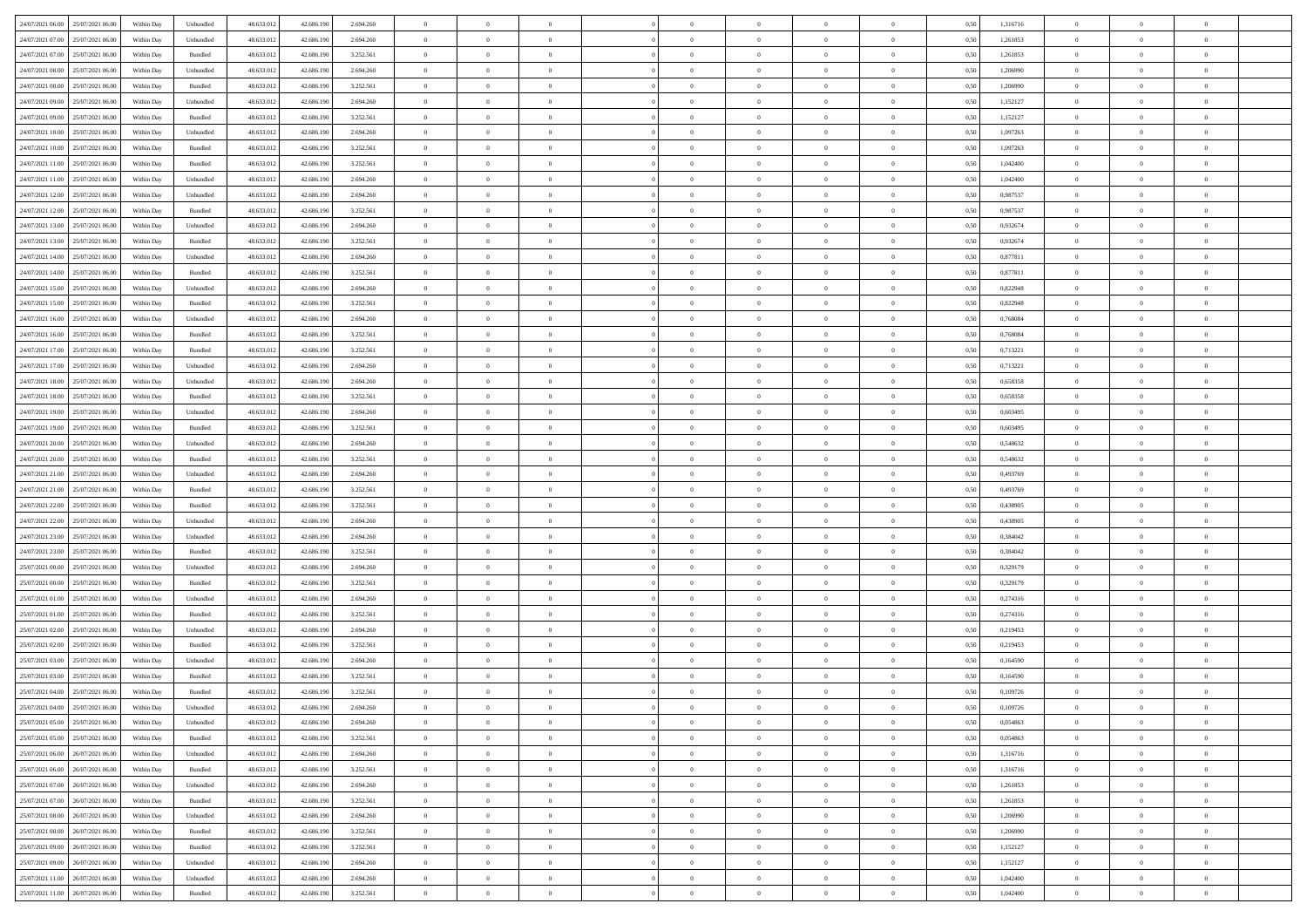| 24/07/2021 06:00 25/07/2021 06:00    | Within Day | Unbundled         | 48.633.01  | 42.686.190 | 2.694.260 | $\overline{0}$ | $\overline{0}$ |                | $\overline{0}$ | $\theta$       |                | $\theta$       | 0,50 | 1,316716 | $\theta$       | $\theta$       | $\theta$       |  |
|--------------------------------------|------------|-------------------|------------|------------|-----------|----------------|----------------|----------------|----------------|----------------|----------------|----------------|------|----------|----------------|----------------|----------------|--|
| 24/07/2021 07:00<br>25/07/2021 06.00 | Within Day | Unbundled         | 48.633.01  | 42.686.19  | 2.694.260 | $\bf{0}$       | $\bf{0}$       | $\bf{0}$       | $\bf{0}$       | $\overline{0}$ | $\overline{0}$ | $\bf{0}$       | 0,50 | 1,261853 | $\,$ 0 $\,$    | $\bf{0}$       | $\overline{0}$ |  |
| 24/07/2021 07:00<br>25/07/2021 06:00 | Within Day | Bundled           | 48.633.013 | 42.686.190 | 3.252.561 | $\overline{0}$ | $\bf{0}$       | $\overline{0}$ | $\bf{0}$       | $\bf{0}$       | $\overline{0}$ | $\bf{0}$       | 0.50 | 1,261853 | $\bf{0}$       | $\overline{0}$ | $\bf{0}$       |  |
| 24/07/2021 08:00<br>25/07/2021 06:00 | Within Day | Unbundled         | 48.633.01  | 42.686.190 | 2.694.260 | $\overline{0}$ | $\overline{0}$ | $\overline{0}$ | $\theta$       | $\theta$       | $\overline{0}$ | $\bf{0}$       | 0,50 | 1,206990 | $\theta$       | $\theta$       | $\overline{0}$ |  |
| 24/07/2021 08:00<br>25/07/2021 06.00 | Within Day | Bundled           | 48.633.01  | 42.686.190 | 3.252.561 | $\bf{0}$       | $\overline{0}$ | $\bf{0}$       | $\overline{0}$ | $\bf{0}$       | $\overline{0}$ | $\bf{0}$       | 0,50 | 1,206990 | $\,$ 0 $\,$    | $\bf{0}$       | $\overline{0}$ |  |
|                                      |            |                   |            |            |           |                |                |                |                |                |                |                |      |          |                |                |                |  |
| 24/07/2021 09:00<br>25/07/2021 06:00 | Within Day | Unbundled         | 48.633.013 | 42.686.190 | 2.694.260 | $\overline{0}$ | $\bf{0}$       | $\overline{0}$ | $\bf{0}$       | $\overline{0}$ | $\overline{0}$ | $\bf{0}$       | 0.50 | 1,152127 | $\,$ 0 $\,$    | $\theta$       | $\overline{0}$ |  |
| 24/07/2021 09:00<br>25/07/2021 06:00 | Within Day | Bundled           | 48.633.013 | 42.686.190 | 3.252.561 | $\overline{0}$ | $\overline{0}$ | $\overline{0}$ | $\overline{0}$ | $\overline{0}$ | $\overline{0}$ | $\bf{0}$       | 0,50 | 1,152127 | $\,$ 0 $\,$    | $\theta$       | $\overline{0}$ |  |
| 24/07/2021 10:00<br>25/07/2021 06.00 | Within Day | Unbundled         | 48.633.01  | 42.686.19  | 2.694.260 | $\bf{0}$       | $\bf{0}$       | $\bf{0}$       | $\overline{0}$ | $\overline{0}$ | $\overline{0}$ | $\bf{0}$       | 0,50 | 1,097263 | $\,$ 0 $\,$    | $\bf{0}$       | $\overline{0}$ |  |
| 24/07/2021 10:00<br>25/07/2021 06:00 | Within Day | Bundled           | 48.633.013 | 42.686.190 | 3.252.561 | $\overline{0}$ | $\bf{0}$       | $\overline{0}$ | $\bf{0}$       | $\overline{0}$ | $\overline{0}$ | $\bf{0}$       | 0.50 | 1.097263 | $\bf{0}$       | $\overline{0}$ | $\overline{0}$ |  |
| 24/07/2021 11:00<br>25/07/2021 06:00 | Within Day | Bundled           | 48.633.013 | 42.686.190 | 3.252.561 | $\overline{0}$ | $\bf{0}$       | $\overline{0}$ | $\overline{0}$ | $\overline{0}$ | $\overline{0}$ | $\bf{0}$       | 0,50 | 1,042400 | $\,$ 0 $\,$    | $\,$ 0 $\,$    | $\overline{0}$ |  |
| 24/07/2021 11:00<br>25/07/2021 06.00 | Within Day | Unbundled         | 48.633.01  | 42.686.190 | 2.694.260 | $\bf{0}$       | $\bf{0}$       | $\bf{0}$       | $\bf{0}$       | $\overline{0}$ | $\overline{0}$ | $\bf{0}$       | 0,50 | 1,042400 | $\,$ 0 $\,$    | $\bf{0}$       | $\overline{0}$ |  |
| 24/07/2021 12:00<br>25/07/2021 06:00 | Within Day | Unbundled         | 48.633.013 | 42.686.190 | 2.694.260 | $\overline{0}$ | $\bf{0}$       | $\overline{0}$ | $\overline{0}$ | $\bf{0}$       | $\overline{0}$ | $\bf{0}$       | 0.50 | 0.987537 | $\bf{0}$       | $\overline{0}$ | $\,$ 0         |  |
| 24/07/2021 12:00<br>25/07/2021 06:00 | Within Day | Bundled           | 48.633.01  | 42.686.190 | 3.252.561 | $\overline{0}$ | $\overline{0}$ | $\overline{0}$ | $\theta$       | $\theta$       | $\overline{0}$ | $\bf{0}$       | 0,50 | 0,987537 | $\,$ 0 $\,$    | $\theta$       | $\overline{0}$ |  |
|                                      |            |                   |            |            |           |                |                |                |                |                |                |                |      |          |                |                |                |  |
| 24/07/2021 13:00<br>25/07/2021 06.00 | Within Day | Unbundled         | 48.633.01  | 42.686.190 | 2.694.260 | $\bf{0}$       | $\overline{0}$ | $\bf{0}$       | $\overline{0}$ | $\bf{0}$       | $\overline{0}$ | $\bf{0}$       | 0,50 | 0,932674 | $\,$ 0 $\,$    | $\bf{0}$       | $\overline{0}$ |  |
| 24/07/2021 13:00<br>25/07/2021 06:00 | Within Day | Bundled           | 48.633.013 | 42.686.190 | 3.252.561 | $\overline{0}$ | $\bf{0}$       | $\overline{0}$ | $\bf{0}$       | $\overline{0}$ | $\overline{0}$ | $\bf{0}$       | 0.50 | 0.932674 | $\,$ 0 $\,$    | $\theta$       | $\overline{0}$ |  |
| 24/07/2021 14:00<br>25/07/2021 06:00 | Within Day | Unbundled         | 48.633.013 | 42.686.190 | 2.694.260 | $\overline{0}$ | $\overline{0}$ | $\overline{0}$ | $\overline{0}$ | $\overline{0}$ | $\overline{0}$ | $\bf{0}$       | 0,50 | 0,877811 | $\theta$       | $\theta$       | $\overline{0}$ |  |
| 24/07/2021 14:00<br>25/07/2021 06.00 | Within Day | Bundled           | 48.633.01  | 42.686.190 | 3.252.561 | $\bf{0}$       | $\bf{0}$       | $\bf{0}$       | $\overline{0}$ | $\overline{0}$ | $\overline{0}$ | $\bf{0}$       | 0,50 | 0,877811 | $\,$ 0 $\,$    | $\bf{0}$       | $\overline{0}$ |  |
| 24/07/2021 15:00<br>25/07/2021 06:00 | Within Day | Unbundled         | 48.633.013 | 42.686.190 | 2.694.260 | $\overline{0}$ | $\bf{0}$       | $\overline{0}$ | $\bf{0}$       | $\overline{0}$ | $\overline{0}$ | $\bf{0}$       | 0.50 | 0.822948 | $\bf{0}$       | $\overline{0}$ | $\bf{0}$       |  |
| 24/07/2021 15:00<br>25/07/2021 06:00 | Within Day | Bundled           | 48.633.013 | 42.686.190 | 3.252.561 | $\overline{0}$ | $\bf{0}$       | $\overline{0}$ | $\overline{0}$ | $\overline{0}$ | $\overline{0}$ | $\bf{0}$       | 0,50 | 0,822948 | $\,$ 0 $\,$    | $\bf{0}$       | $\overline{0}$ |  |
| 24/07/2021 16:00<br>25/07/2021 06.00 | Within Day | Unbundled         | 48.633.01  | 42.686.190 | 2.694.260 | $\bf{0}$       | $\bf{0}$       | $\bf{0}$       | $\bf{0}$       | $\overline{0}$ | $\overline{0}$ | $\bf{0}$       | 0,50 | 0,768084 | $\,$ 0 $\,$    | $\bf{0}$       | $\overline{0}$ |  |
|                                      |            |                   |            |            |           |                |                |                |                |                |                |                |      |          |                |                |                |  |
| 24/07/2021 16:00<br>25/07/2021 06:00 | Within Day | Bundled           | 48.633.013 | 42.686.190 | 3.252.561 | $\overline{0}$ | $\bf{0}$       | $\overline{0}$ | $\overline{0}$ | $\bf{0}$       | $\overline{0}$ | $\bf{0}$       | 0.50 | 0.768084 | $\,$ 0 $\,$    | $\overline{0}$ | $\,$ 0         |  |
| 24/07/2021 17:00<br>25/07/2021 06:00 | Within Day | Bundled           | 48.633.01  | 42.686.190 | 3.252.561 | $\overline{0}$ | $\overline{0}$ | $\overline{0}$ | $\theta$       | $\theta$       | $\overline{0}$ | $\bf{0}$       | 0,50 | 0,713221 | $\theta$       | $\theta$       | $\overline{0}$ |  |
| 24/07/2021 17:00<br>25/07/2021 06.00 | Within Day | Unbundled         | 48.633.01  | 42.686.190 | 2.694.260 | $\bf{0}$       | $\bf{0}$       | $\bf{0}$       | $\bf{0}$       | $\overline{0}$ | $\overline{0}$ | $\bf{0}$       | 0,50 | 0,713221 | $\,$ 0 $\,$    | $\bf{0}$       | $\overline{0}$ |  |
| 24/07/2021 18:00<br>25/07/2021 06:00 | Within Day | Unbundled         | 48.633.013 | 42.686.190 | 2.694.260 | $\overline{0}$ | $\bf{0}$       | $\overline{0}$ | $\bf{0}$       | $\overline{0}$ | $\overline{0}$ | $\bf{0}$       | 0.50 | 0.658358 | $\,$ 0 $\,$    | $\theta$       | $\overline{0}$ |  |
| 24/07/2021 18:00<br>25/07/2021 06:00 | Within Day | Bundled           | 48.633.013 | 42.686.190 | 3.252.561 | $\overline{0}$ | $\overline{0}$ | $\overline{0}$ | $\overline{0}$ | $\overline{0}$ | $\overline{0}$ | $\bf{0}$       | 0,50 | 0,658358 | $\,$ 0 $\,$    | $\theta$       | $\overline{0}$ |  |
| 24/07/2021 19:00<br>25/07/2021 06.00 | Within Day | Unbundled         | 48.633.01  | 42.686.190 | 2.694.260 | $\bf{0}$       | $\overline{0}$ | $\bf{0}$       | $\overline{0}$ | $\bf{0}$       | $\overline{0}$ | $\bf{0}$       | 0,50 | 0,603495 | $\,$ 0 $\,$    | $\bf{0}$       | $\overline{0}$ |  |
| 24/07/2021 19:00<br>25/07/2021 06:00 | Within Day | Bundled           | 48.633.013 | 42.686.190 | 3.252.561 | $\overline{0}$ | $\bf{0}$       | $\overline{0}$ | $\bf{0}$       | $\overline{0}$ | $\overline{0}$ | $\bf{0}$       | 0.50 | 0.603495 | $\bf{0}$       | $\overline{0}$ | $\overline{0}$ |  |
| 24/07/2021 20:00<br>25/07/2021 06:00 | Within Day | Unbundled         | 48.633.01  | 42.686.190 | 2.694.260 | $\overline{0}$ | $\bf{0}$       | $\overline{0}$ | $\overline{0}$ | $\overline{0}$ | $\overline{0}$ | $\bf{0}$       | 0,50 | 0,548632 | $\theta$       | $\theta$       | $\overline{0}$ |  |
|                                      |            |                   |            |            |           |                |                |                |                |                |                |                |      |          |                |                |                |  |
| 24/07/2021 20:00<br>25/07/2021 06.00 | Within Day | Bundled           | 48.633.01  | 42.686.190 | 3.252.561 | $\bf{0}$       | $\bf{0}$       | $\bf{0}$       | $\bf{0}$       | $\overline{0}$ | $\overline{0}$ | $\bf{0}$       | 0,50 | 0,548632 | $\,$ 0 $\,$    | $\bf{0}$       | $\overline{0}$ |  |
| 24/07/2021 21:00<br>25/07/2021 06:00 | Within Day | Unbundled         | 48.633.013 | 42.686.190 | 2.694.260 | $\overline{0}$ | $\bf{0}$       | $\overline{0}$ | $\bf{0}$       | $\bf{0}$       | $\overline{0}$ | $\bf{0}$       | 0.50 | 0.493769 | $\bf{0}$       | $\overline{0}$ | $\,$ 0         |  |
| 24/07/2021 21:00<br>25/07/2021 06:00 | Within Day | Bundled           | 48.633.013 | 42.686.190 | 3.252.561 | $\overline{0}$ | $\overline{0}$ | $\overline{0}$ | $\overline{0}$ | $\overline{0}$ | $\overline{0}$ | $\bf{0}$       | 0.50 | 0,493769 | $\theta$       | $\theta$       | $\overline{0}$ |  |
| 24/07/2021 22.00<br>25/07/2021 06.00 | Within Day | Bundled           | 48.633.01  | 42.686.190 | 3.252.561 | $\bf{0}$       | $\overline{0}$ | $\bf{0}$       | $\bf{0}$       | $\overline{0}$ | $\overline{0}$ | $\bf{0}$       | 0,50 | 0,438905 | $\,$ 0 $\,$    | $\bf{0}$       | $\overline{0}$ |  |
| 24/07/2021 22:00<br>25/07/2021 06:00 | Within Day | Unbundled         | 48.633.013 | 42.686.190 | 2.694.260 | $\overline{0}$ | $\bf{0}$       | $\overline{0}$ | $\bf{0}$       | $\overline{0}$ | $\overline{0}$ | $\bf{0}$       | 0.50 | 0.438905 | $\,$ 0 $\,$    | $\bf{0}$       | $\overline{0}$ |  |
| 24/07/2021 23:00<br>25/07/2021 06:00 | Within Dav | Unbundled         | 48.633.013 | 42.686.190 | 2.694.260 | $\overline{0}$ | $\overline{0}$ | $\overline{0}$ | $\overline{0}$ | $\overline{0}$ | $\overline{0}$ | $\bf{0}$       | 0.50 | 0,384042 | $\theta$       | $\theta$       | $\overline{0}$ |  |
| 24/07/2021 23:00<br>25/07/2021 06.00 | Within Day | Bundled           | 48.633.01  | 42.686.190 | 3.252.561 | $\bf{0}$       | $\bf{0}$       | $\bf{0}$       | $\bf{0}$       | $\overline{0}$ | $\overline{0}$ | $\bf{0}$       | 0,50 | 0,384042 | $\,$ 0 $\,$    | $\bf{0}$       | $\overline{0}$ |  |
| 25/07/2021 00:00<br>25/07/2021 06:00 | Within Day | Unbundled         | 48.633.013 | 42.686.190 | 2.694.260 | $\overline{0}$ | $\bf{0}$       | $\overline{0}$ | $\bf{0}$       | $\overline{0}$ | $\overline{0}$ | $\bf{0}$       | 0.50 | 0.329179 | $\bf{0}$       | $\overline{0}$ | $\overline{0}$ |  |
| 25/07/2021 00:00<br>25/07/2021 06:00 | Within Day | Bundled           | 48.633.013 | 42.686.190 | 3.252.561 | $\overline{0}$ | $\overline{0}$ | $\overline{0}$ | $\overline{0}$ | $\overline{0}$ | $\overline{0}$ | $\bf{0}$       | 0.50 | 0,329179 | $\theta$       | $\theta$       | $\overline{0}$ |  |
|                                      |            |                   |            |            |           |                |                |                |                |                |                |                |      |          |                |                |                |  |
| 25/07/2021 01:00<br>25/07/2021 06.00 | Within Day | Unbundled         | 48.633.01  | 42.686.190 | 2.694.260 | $\bf{0}$       | $\bf{0}$       | $\bf{0}$       | $\bf{0}$       | $\overline{0}$ | $\overline{0}$ | $\bf{0}$       | 0,50 | 0,274316 | $\,$ 0 $\,$    | $\bf{0}$       | $\overline{0}$ |  |
| 25/07/2021 01:00<br>25/07/2021 06:00 | Within Day | Bundled           | 48.633.013 | 42.686.190 | 3.252.561 | $\overline{0}$ | $\bf{0}$       | $\overline{0}$ | $\overline{0}$ | $\bf{0}$       | $\overline{0}$ | $\bf{0}$       | 0.50 | 0,274316 | $\,$ 0 $\,$    | $\,$ 0 $\,$    | $\,$ 0         |  |
| 25/07/2021 02:00<br>25/07/2021 06:00 | Within Dav | Unbundled         | 48.633.013 | 42.686.190 | 2.694.260 | $\overline{0}$ | $\overline{0}$ | $\overline{0}$ | $\overline{0}$ | $\overline{0}$ | $\overline{0}$ | $\bf{0}$       | 0.5( | 0,219453 | $\theta$       | $\theta$       | $\overline{0}$ |  |
| 25/07/2021 02:00<br>25/07/2021 06.00 | Within Day | Bundled           | 48.633.01  | 42.686.190 | 3.252.561 | $\bf{0}$       | $\bf{0}$       | $\bf{0}$       | $\bf{0}$       | $\overline{0}$ | $\overline{0}$ | $\bf{0}$       | 0,50 | 0,219453 | $\,$ 0 $\,$    | $\bf{0}$       | $\overline{0}$ |  |
| 25/07/2021 03:00<br>25/07/2021 06:00 | Within Day | Unbundled         | 48.633.013 | 42.686.190 | 2.694.260 | $\overline{0}$ | $\overline{0}$ | $\overline{0}$ | $\bf{0}$       | $\overline{0}$ | $\overline{0}$ | $\bf{0}$       | 0.50 | 0.164590 | $\bf{0}$       | $\theta$       | $\overline{0}$ |  |
| 25/07/2021 03:00<br>25/07/2021 06:00 | Within Dav | Bundled           | 48.633.013 | 42.686.190 | 3.252.561 | $\overline{0}$ | $\overline{0}$ | $\Omega$       | $\overline{0}$ | $\theta$       | $\overline{0}$ | $\overline{0}$ | 0.5( | 0,164590 | $\theta$       | $\theta$       | $\overline{0}$ |  |
| 25/07/2021 04:00<br>25/07/2021 06:00 | Within Day | Bundled           | 48.633.01  | 42.686.190 | 3.252.561 | $\bf{0}$       | $\bf{0}$       | $\bf{0}$       | $\bf{0}$       | $\bf{0}$       | $\overline{0}$ | $\bf{0}$       | 0,50 | 0,109726 | $\overline{0}$ | $\bf{0}$       | $\overline{0}$ |  |
| 25/07/2021 04:00 25/07/2021 06:00    | Within Day | ${\sf Unbundred}$ | 48.633.012 | 42.686.190 | 2.694.260 | $\bf{0}$       | $\Omega$       |                | $\Omega$       |                |                |                | 0,50 | 0,109726 | $\bf{0}$       | $\overline{0}$ |                |  |
|                                      |            |                   |            |            |           |                |                |                |                |                |                |                |      |          |                |                |                |  |
| 25/07/2021 05:00 25/07/2021 06:00    | Within Day | Unbundled         | 48.633.012 | 42.686.190 | 2.694.260 | $\overline{0}$ | $\overline{0}$ | $\Omega$       | $\theta$       | $\overline{0}$ | $\overline{0}$ | $\bf{0}$       | 0,50 | 0,054863 | $\theta$       | $\theta$       | $\overline{0}$ |  |
| 25/07/2021 05:00<br>25/07/2021 06:00 | Within Day | Bundled           | 48.633.013 | 42.686.190 | 3.252.561 | $\overline{0}$ | $\bf{0}$       | $\overline{0}$ | $\overline{0}$ | $\bf{0}$       | $\overline{0}$ | $\bf{0}$       | 0,50 | 0,054863 | $\bf{0}$       | $\overline{0}$ | $\bf{0}$       |  |
| 25/07/2021 06:00 26/07/2021 06:00    | Within Day | Unbundled         | 48.633.012 | 42.686.190 | 2.694.260 | $\overline{0}$ | $\bf{0}$       | $\overline{0}$ | $\overline{0}$ | $\mathbf{0}$   | $\overline{0}$ | $\,$ 0 $\,$    | 0.50 | 1,316716 | $\overline{0}$ | $\bf{0}$       | $\,$ 0 $\,$    |  |
| 25/07/2021 06:00 26/07/2021 06:00    | Within Dav | Bundled           | 48.633.012 | 42.686.190 | 3.252.561 | $\overline{0}$ | $\overline{0}$ | $\overline{0}$ | $\overline{0}$ | $\overline{0}$ | $\overline{0}$ | $\bf{0}$       | 0,50 | 1,316716 | $\overline{0}$ | $\theta$       | $\overline{0}$ |  |
| 25/07/2021 07:00<br>26/07/2021 06:00 | Within Day | Unbundled         | 48.633.012 | 42.686.190 | 2.694.260 | $\overline{0}$ | $\bf{0}$       | $\overline{0}$ | $\overline{0}$ | $\bf{0}$       | $\overline{0}$ | $\bf{0}$       | 0,50 | 1,261853 | $\bf{0}$       | $\overline{0}$ | $\overline{0}$ |  |
| 25/07/2021 07:00<br>26/07/2021 06:00 | Within Day | Bundled           | 48.633.012 | 42.686.190 | 3.252.561 | $\overline{0}$ | $\bf{0}$       | $\overline{0}$ | $\overline{0}$ | $\bf{0}$       | $\overline{0}$ | $\bf{0}$       | 0.50 | 1.261853 | $\,$ 0 $\,$    | $\overline{0}$ | $\,$ 0         |  |
| 25/07/2021 08:00<br>26/07/2021 06:00 | Within Dav | Unbundled         | 48.633.012 | 42.686.190 | 2.694.260 | $\overline{0}$ | $\overline{0}$ | $\overline{0}$ | $\overline{0}$ | $\overline{0}$ | $\overline{0}$ | $\bf{0}$       | 0,50 | 1,206990 | $\overline{0}$ | $\theta$       | $\overline{0}$ |  |
| 25/07/2021 08:00<br>26/07/2021 06.00 | Within Day | Bundled           | 48.633.013 | 42.686.190 | 3.252.561 | $\overline{0}$ | $\overline{0}$ | $\overline{0}$ | $\overline{0}$ | $\overline{0}$ | $\overline{0}$ | $\bf{0}$       | 0,50 | 1,206990 | $\bf{0}$       | $\overline{0}$ | $\,$ 0         |  |
|                                      |            |                   |            |            |           |                |                |                |                |                |                |                |      |          |                |                |                |  |
| 25/07/2021 09:00<br>26/07/2021 06:00 | Within Day | Bundled           | 48.633.012 | 42.686.190 | 3.252.561 | $\overline{0}$ | $\overline{0}$ | $\overline{0}$ | $\overline{0}$ | $\overline{0}$ | $\overline{0}$ | $\bf{0}$       | 0.50 | 1.152127 | $\mathbf{0}$   | $\bf{0}$       | $\,$ 0         |  |
| 25/07/2021 09:00 26/07/2021 06:00    | Within Dav | Unbundled         | 48.633.012 | 42.686.190 | 2.694.260 | $\overline{0}$ | $\overline{0}$ | $\overline{0}$ | $\overline{0}$ | $\overline{0}$ | $\overline{0}$ | $\bf{0}$       | 0,50 | 1,152127 | $\overline{0}$ | $\theta$       | $\overline{0}$ |  |
| 25/07/2021 11:00<br>26/07/2021 06.00 | Within Day | Unbundled         | 48.633.013 | 42.686.190 | 2.694.260 | $\overline{0}$ | $\bf{0}$       | $\overline{0}$ | $\bf{0}$       | $\overline{0}$ | $\overline{0}$ | $\bf{0}$       | 0,50 | 1,042400 | $\bf{0}$       | $\,$ 0 $\,$    | $\bf{0}$       |  |
| 25/07/2021 11:00 26/07/2021 06:00    | Within Day | Bundled           | 48.633.012 | 42.686.190 | 3.252.561 | $\,$ 0 $\,$    | $\bf{0}$       | $\overline{0}$ | $\overline{0}$ | $\,$ 0 $\,$    | $\overline{0}$ | $\,$ 0 $\,$    | 0,50 | 1,042400 | $\overline{0}$ | $\,$ 0 $\,$    | $\,$ 0 $\,$    |  |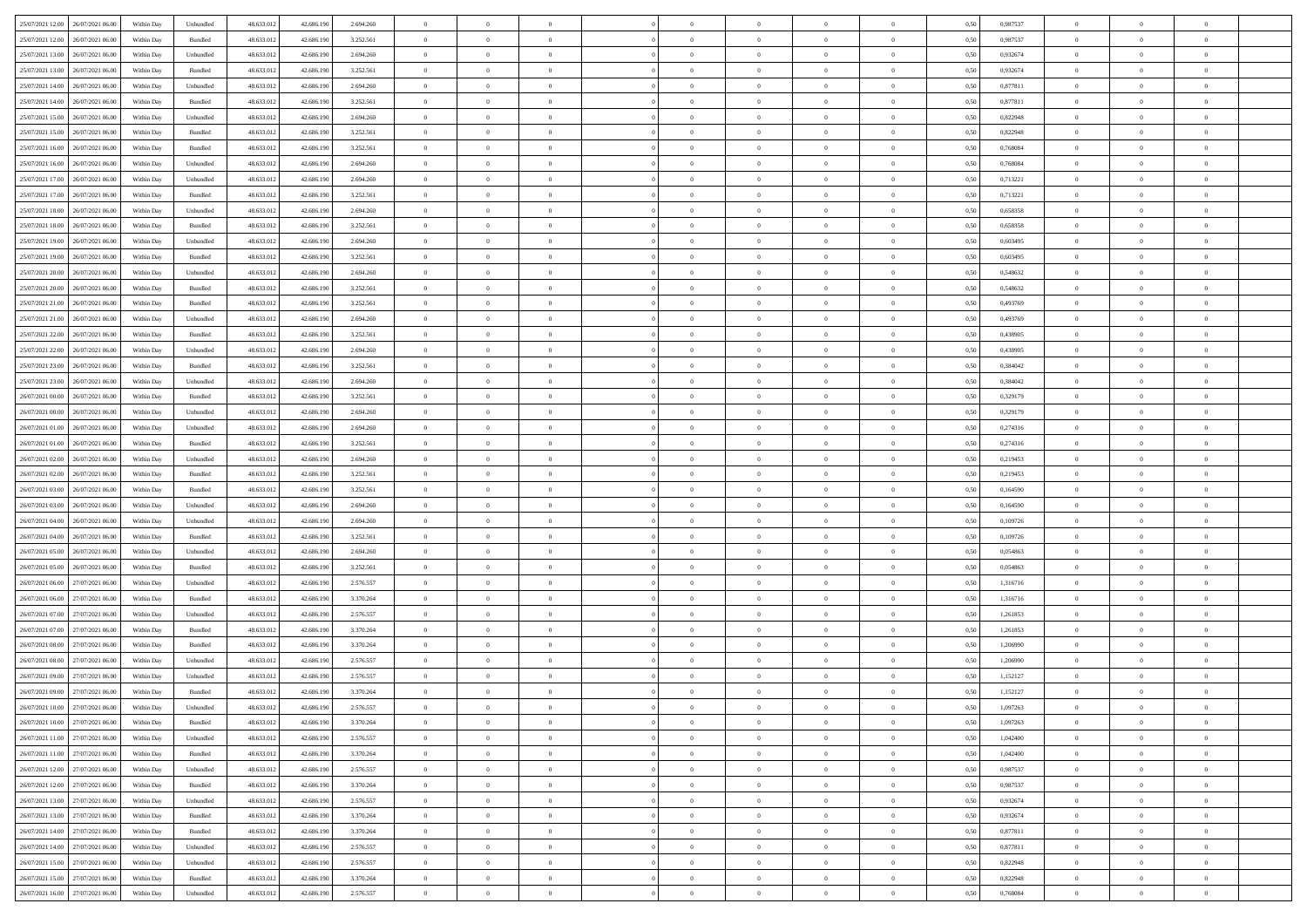|                                      |            |                             |            |            |           | $\overline{0}$ | $\overline{0}$ |                | $\overline{0}$ | $\theta$       |                | $\theta$       |      |          | $\theta$       | $\theta$       | $\overline{0}$ |  |
|--------------------------------------|------------|-----------------------------|------------|------------|-----------|----------------|----------------|----------------|----------------|----------------|----------------|----------------|------|----------|----------------|----------------|----------------|--|
| 25/07/2021 12:00 26/07/2021 06:00    | Within Day | Unbundled                   | 48.633.01  | 42.686.190 | 2.694.260 |                |                |                |                |                |                |                | 0,50 | 0,987537 |                |                |                |  |
| 25/07/2021 12:00<br>26/07/2021 06.00 | Within Day | Bundled                     | 48.633.01  | 42.686.19  | 3.252.561 | $\bf{0}$       | $\bf{0}$       | $\bf{0}$       | $\bf{0}$       | $\overline{0}$ | $\overline{0}$ | $\bf{0}$       | 0,50 | 0,987537 | $\,$ 0 $\,$    | $\bf{0}$       | $\overline{0}$ |  |
| 25/07/2021 13:00<br>26/07/2021 06:00 | Within Day | Unbundled                   | 48.633.013 | 42.686.190 | 2.694.260 | $\overline{0}$ | $\bf{0}$       | $\overline{0}$ | $\bf{0}$       | $\bf{0}$       | $\overline{0}$ | $\bf{0}$       | 0.50 | 0.932674 | $\bf{0}$       | $\overline{0}$ | $\overline{0}$ |  |
| 25/07/2021 13:00<br>26/07/2021 06:00 | Within Day | Bundled                     | 48.633.013 | 42.686.190 | 3.252.561 | $\overline{0}$ | $\overline{0}$ | $\overline{0}$ | $\theta$       | $\theta$       | $\overline{0}$ | $\bf{0}$       | 0,50 | 0,932674 | $\theta$       | $\theta$       | $\overline{0}$ |  |
|                                      |            |                             |            |            |           |                |                |                |                |                |                |                |      |          |                |                |                |  |
| 25/07/2021 14:00<br>26/07/2021 06.00 | Within Day | Unbundled                   | 48.633.01  | 42.686.190 | 2.694.260 | $\bf{0}$       | $\overline{0}$ | $\bf{0}$       | $\overline{0}$ | $\bf{0}$       | $\overline{0}$ | $\bf{0}$       | 0,50 | 0,877811 | $\,$ 0 $\,$    | $\bf{0}$       | $\overline{0}$ |  |
| 25/07/2021 14:00<br>26/07/2021 06:00 | Within Day | Bundled                     | 48.633.013 | 42.686.190 | 3.252.561 | $\overline{0}$ | $\bf{0}$       | $\overline{0}$ | $\bf{0}$       | $\overline{0}$ | $\overline{0}$ | $\bf{0}$       | 0.50 | 0.877811 | $\,$ 0 $\,$    | $\theta$       | $\overline{0}$ |  |
| 25/07/2021 15:00<br>26/07/2021 06:00 | Within Day | Unbundled                   | 48.633.013 | 42.686.190 | 2.694.260 | $\overline{0}$ | $\overline{0}$ | $\overline{0}$ | $\overline{0}$ | $\overline{0}$ | $\overline{0}$ | $\bf{0}$       | 0,50 | 0,822948 | $\theta$       | $\theta$       | $\overline{0}$ |  |
| 25/07/2021 15:00<br>26/07/2021 06.00 | Within Day | Bundled                     | 48.633.01  | 42.686.190 | 3.252.561 | $\bf{0}$       | $\bf{0}$       | $\bf{0}$       | $\overline{0}$ | $\overline{0}$ | $\overline{0}$ | $\bf{0}$       | 0,50 | 0,822948 | $\,$ 0 $\,$    | $\bf{0}$       | $\overline{0}$ |  |
|                                      |            |                             |            |            |           |                |                |                |                |                |                |                |      |          |                |                |                |  |
| 25/07/2021 16:00<br>26/07/2021 06:00 | Within Day | Bundled                     | 48.633.013 | 42.686.190 | 3.252.561 | $\overline{0}$ | $\bf{0}$       | $\overline{0}$ | $\bf{0}$       | $\overline{0}$ | $\overline{0}$ | $\bf{0}$       | 0.50 | 0.768084 | $\bf{0}$       | $\overline{0}$ | $\overline{0}$ |  |
| 25/07/2021 16:00<br>26/07/2021 06:00 | Within Day | Unbundled                   | 48.633.013 | 42.686.190 | 2.694.260 | $\overline{0}$ | $\bf{0}$       | $\overline{0}$ | $\overline{0}$ | $\overline{0}$ | $\overline{0}$ | $\bf{0}$       | 0,50 | 0,768084 | $\,$ 0 $\,$    | $\,$ 0 $\,$    | $\overline{0}$ |  |
| 25/07/2021 17:00<br>26/07/2021 06.00 | Within Day | Unbundled                   | 48.633.01  | 42.686.190 | 2.694.260 | $\bf{0}$       | $\bf{0}$       | $\bf{0}$       | $\bf{0}$       | $\overline{0}$ | $\overline{0}$ | $\bf{0}$       | 0,50 | 0,713221 | $\,$ 0 $\,$    | $\bf{0}$       | $\overline{0}$ |  |
| 25/07/2021 17:00<br>26/07/2021 06:00 | Within Day | Bundled                     | 48.633.013 | 42.686.190 | 3.252.561 | $\overline{0}$ | $\bf{0}$       | $\overline{0}$ | $\overline{0}$ | $\overline{0}$ | $\overline{0}$ | $\bf{0}$       | 0.50 | 0,713221 | $\bf{0}$       | $\,$ 0 $\,$    | $\,$ 0         |  |
| 25/07/2021 18:00<br>26/07/2021 06:00 | Within Day | Unbundled                   | 48.633.01  | 42.686.190 | 2.694.260 | $\overline{0}$ | $\overline{0}$ | $\overline{0}$ | $\theta$       | $\theta$       | $\overline{0}$ | $\bf{0}$       | 0,50 | 0,658358 | $\,$ 0 $\,$    | $\theta$       | $\overline{0}$ |  |
|                                      |            |                             |            |            |           |                |                |                |                |                |                |                |      |          |                |                |                |  |
| 25/07/2021 18:00<br>26/07/2021 06.00 | Within Day | Bundled                     | 48.633.01  | 42.686.190 | 3.252.561 | $\bf{0}$       | $\overline{0}$ | $\bf{0}$       | $\bf{0}$       | $\overline{0}$ | $\overline{0}$ | $\bf{0}$       | 0,50 | 0,658358 | $\,$ 0 $\,$    | $\bf{0}$       | $\overline{0}$ |  |
| 25/07/2021 19:00<br>26/07/2021 06:00 | Within Day | Unbundled                   | 48.633.013 | 42.686.190 | 2.694.260 | $\overline{0}$ | $\bf{0}$       | $\overline{0}$ | $\bf{0}$       | $\overline{0}$ | $\overline{0}$ | $\bf{0}$       | 0.50 | 0.603495 | $\,$ 0 $\,$    | $\theta$       | $\overline{0}$ |  |
| 25/07/2021 19:00<br>26/07/2021 06:00 | Within Day | Bundled                     | 48.633.013 | 42.686.190 | 3.252.561 | $\overline{0}$ | $\overline{0}$ | $\overline{0}$ | $\overline{0}$ | $\overline{0}$ | $\overline{0}$ | $\bf{0}$       | 0,50 | 0,603495 | $\theta$       | $\theta$       | $\overline{0}$ |  |
| 25/07/2021 20:00<br>26/07/2021 06.00 | Within Day | Unbundled                   | 48.633.01  | 42.686.190 | 2.694.260 | $\bf{0}$       | $\bf{0}$       | $\bf{0}$       | $\overline{0}$ | $\overline{0}$ | $\overline{0}$ | $\bf{0}$       | 0,50 | 0,548632 | $\,$ 0 $\,$    | $\bf{0}$       | $\overline{0}$ |  |
|                                      |            |                             |            |            |           |                |                |                |                |                |                |                |      |          |                |                |                |  |
| 25/07/2021 20:00<br>26/07/2021 06:00 | Within Day | Bundled                     | 48.633.013 | 42.686.190 | 3.252.561 | $\overline{0}$ | $\bf{0}$       | $\overline{0}$ | $\bf{0}$       | $\overline{0}$ | $\overline{0}$ | $\bf{0}$       | 0.50 | 0.548632 | $\bf{0}$       | $\overline{0}$ | $\bf{0}$       |  |
| 25/07/2021 21:00<br>26/07/2021 06:00 | Within Day | Bundled                     | 48.633.013 | 42.686.190 | 3.252.561 | $\overline{0}$ | $\bf{0}$       | $\overline{0}$ | $\overline{0}$ | $\overline{0}$ | $\overline{0}$ | $\bf{0}$       | 0,50 | 0,493769 | $\,$ 0 $\,$    | $\bf{0}$       | $\overline{0}$ |  |
| 25/07/2021 21:00<br>26/07/2021 06.00 | Within Day | Unbundled                   | 48.633.01  | 42.686.190 | 2.694.260 | $\bf{0}$       | $\bf{0}$       | $\bf{0}$       | $\bf{0}$       | $\overline{0}$ | $\overline{0}$ | $\bf{0}$       | 0,50 | 0,493769 | $\,$ 0 $\,$    | $\bf{0}$       | $\overline{0}$ |  |
| 25/07/2021 22.00<br>26/07/2021 06:00 | Within Day | Bundled                     | 48.633.013 | 42.686.190 | 3.252.561 | $\overline{0}$ | $\bf{0}$       | $\overline{0}$ | $\overline{0}$ | $\bf{0}$       | $\overline{0}$ | $\bf{0}$       | 0.50 | 0.438905 | $\bf{0}$       | $\overline{0}$ | $\,$ 0         |  |
| 25/07/2021 22:00<br>26/07/2021 06:00 | Within Day | Unbundled                   | 48.633.01  | 42.686.190 | 2.694.260 | $\overline{0}$ | $\overline{0}$ | $\overline{0}$ | $\theta$       | $\theta$       | $\overline{0}$ | $\bf{0}$       | 0,50 | 0,438905 | $\theta$       | $\theta$       | $\overline{0}$ |  |
|                                      |            |                             |            |            |           |                | $\bf{0}$       |                |                | $\overline{0}$ | $\overline{0}$ |                |      |          | $\,$ 0 $\,$    | $\bf{0}$       | $\overline{0}$ |  |
| 25/07/2021 23:00<br>26/07/2021 06.00 | Within Day | Bundled                     | 48.633.01  | 42.686.190 | 3.252.561 | $\bf{0}$       |                | $\bf{0}$       | $\bf{0}$       |                |                | $\bf{0}$       | 0,50 | 0,384042 |                |                |                |  |
| 25/07/2021 23:00<br>26/07/2021 06:00 | Within Day | Unbundled                   | 48.633.013 | 42.686.190 | 2.694.260 | $\overline{0}$ | $\bf{0}$       | $\overline{0}$ | $\bf{0}$       | $\overline{0}$ | $\overline{0}$ | $\bf{0}$       | 0.50 | 0.384042 | $\,$ 0 $\,$    | $\theta$       | $\overline{0}$ |  |
| 26/07/2021 00:00<br>26/07/2021 06:00 | Within Day | Bundled                     | 48.633.013 | 42.686.190 | 3.252.561 | $\overline{0}$ | $\overline{0}$ | $\overline{0}$ | $\overline{0}$ | $\overline{0}$ | $\overline{0}$ | $\bf{0}$       | 0,50 | 0,329179 | $\,$ 0 $\,$    | $\theta$       | $\overline{0}$ |  |
| 26/07/2021 00:00<br>26/07/2021 06.00 | Within Day | Unbundled                   | 48.633.01  | 42.686.190 | 2.694.260 | $\bf{0}$       | $\overline{0}$ | $\bf{0}$       | $\overline{0}$ | $\overline{0}$ | $\overline{0}$ | $\bf{0}$       | 0,50 | 0,329179 | $\,$ 0 $\,$    | $\bf{0}$       | $\overline{0}$ |  |
| 26/07/2021 01:00<br>26/07/2021 06:00 | Within Day | Unbundled                   | 48.633.013 | 42.686.190 | 2.694.260 | $\overline{0}$ | $\bf{0}$       | $\overline{0}$ | $\bf{0}$       | $\overline{0}$ | $\overline{0}$ | $\bf{0}$       | 0.50 | 0,274316 | $\bf{0}$       | $\overline{0}$ | $\overline{0}$ |  |
| 26/07/2021 01:00<br>26/07/2021 06:00 | Within Day | Bundled                     | 48.633.013 | 42.686.190 | 3.252.561 | $\overline{0}$ | $\bf{0}$       | $\overline{0}$ | $\overline{0}$ | $\overline{0}$ | $\overline{0}$ | $\bf{0}$       | 0,50 | 0,274316 | $\theta$       | $\theta$       | $\overline{0}$ |  |
|                                      |            |                             |            |            |           |                |                |                |                |                |                |                |      |          |                |                |                |  |
| 26/07/2021 02:00<br>26/07/2021 06.00 | Within Day | Unbundled                   | 48.633.01  | 42.686.190 | 2.694.260 | $\bf{0}$       | $\bf{0}$       | $\bf{0}$       | $\bf{0}$       | $\overline{0}$ | $\overline{0}$ | $\bf{0}$       | 0,50 | 0,219453 | $\,$ 0 $\,$    | $\bf{0}$       | $\overline{0}$ |  |
| 26/07/2021 02:00<br>26/07/2021 06:00 | Within Day | Bundled                     | 48.633.013 | 42.686.190 | 3.252.561 | $\overline{0}$ | $\bf{0}$       | $\overline{0}$ | $\overline{0}$ | $\bf{0}$       | $\overline{0}$ | $\bf{0}$       | 0.50 | 0,219453 | $\bf{0}$       | $\,$ 0 $\,$    | $\,$ 0         |  |
| 26/07/2021 03:00<br>26/07/2021 06:00 | Within Day | Bundled                     | 48.633.013 | 42.686.190 | 3.252.561 | $\overline{0}$ | $\overline{0}$ | $\overline{0}$ | $\overline{0}$ | $\overline{0}$ | $\overline{0}$ | $\bf{0}$       | 0.50 | 0.164590 | $\theta$       | $\theta$       | $\overline{0}$ |  |
| 26/07/2021 03:00<br>26/07/2021 06.00 | Within Day | Unbundled                   | 48.633.01  | 42.686.190 | 2.694.260 | $\bf{0}$       | $\bf{0}$       | $\bf{0}$       | $\bf{0}$       | $\overline{0}$ | $\overline{0}$ | $\bf{0}$       | 0,50 | 0,164590 | $\,$ 0 $\,$    | $\bf{0}$       | $\overline{0}$ |  |
| 26/07/2021 04:00<br>26/07/2021 06:00 |            | Unbundled                   | 48.633.013 | 42.686.190 | 2.694.260 | $\overline{0}$ | $\bf{0}$       | $\overline{0}$ | $\bf{0}$       | $\overline{0}$ | $\overline{0}$ | $\bf{0}$       | 0.50 | 0.109726 | $\,$ 0 $\,$    | $\bf{0}$       | $\overline{0}$ |  |
|                                      | Within Day |                             |            |            |           |                |                |                |                |                |                |                |      |          |                |                |                |  |
| 26/07/2021 04:00<br>26/07/2021 06:00 | Within Dav | Bundled                     | 48.633.013 | 42.686.190 | 3.252.561 | $\overline{0}$ | $\overline{0}$ | $\overline{0}$ | $\overline{0}$ | $\overline{0}$ | $\overline{0}$ | $\bf{0}$       | 0.5( | 0,109726 | $\theta$       | $\theta$       | $\overline{0}$ |  |
| 26/07/2021 05:00<br>26/07/2021 06.00 | Within Day | Unbundled                   | 48.633.01  | 42.686.190 | 2.694.260 | $\bf{0}$       | $\bf{0}$       | $\bf{0}$       | $\bf{0}$       | $\overline{0}$ | $\overline{0}$ | $\bf{0}$       | 0,50 | 0,054863 | $\,$ 0 $\,$    | $\bf{0}$       | $\overline{0}$ |  |
| 26/07/2021 05:00<br>26/07/2021 06:00 | Within Day | Bundled                     | 48.633.013 | 42.686.190 | 3.252.561 | $\overline{0}$ | $\bf{0}$       | $\overline{0}$ | $\bf{0}$       | $\overline{0}$ | $\overline{0}$ | $\bf{0}$       | 0.50 | 0.054863 | $\bf{0}$       | $\overline{0}$ | $\overline{0}$ |  |
| 26/07/2021 06:00<br>27/07/2021 06:00 | Within Day | Unbundled                   | 48.633.013 | 42.686.190 | 2.576.557 | $\overline{0}$ | $\overline{0}$ | $\overline{0}$ | $\overline{0}$ | $\overline{0}$ | $\overline{0}$ | $\bf{0}$       | 0.50 | 1,316716 | $\theta$       | $\theta$       | $\overline{0}$ |  |
| 26/07/2021 06:00<br>27/07/2021 06.00 | Within Day | Bundled                     | 48.633.01  | 42.686.190 | 3.370.264 | $\bf{0}$       | $\bf{0}$       | $\bf{0}$       | $\bf{0}$       | $\overline{0}$ | $\bf{0}$       | $\bf{0}$       | 0,50 | 1,316716 | $\,$ 0 $\,$    | $\bf{0}$       | $\overline{0}$ |  |
|                                      |            |                             |            |            |           |                |                |                |                |                |                |                |      |          |                |                |                |  |
| 26/07/2021 07:00<br>27/07/2021 06:00 | Within Day | Unbundled                   | 48.633.013 | 42.686.190 | 2.576.557 | $\overline{0}$ | $\bf{0}$       | $\overline{0}$ | $\overline{0}$ | $\bf{0}$       | $\overline{0}$ | $\bf{0}$       | 0.50 | 1.261853 | $\,$ 0 $\,$    | $\,$ 0 $\,$    | $\,$ 0         |  |
| 26/07/2021 07:00<br>27/07/2021 06:00 | Within Dav | Bundled                     | 48.633.013 | 42.686.190 | 3.370.264 | $\overline{0}$ | $\overline{0}$ | $\overline{0}$ | $\overline{0}$ | $\overline{0}$ | $\overline{0}$ | $\bf{0}$       | 0.5( | 1,261853 | $\theta$       | $\theta$       | $\overline{0}$ |  |
| 26/07/2021 08:00<br>27/07/2021 06.00 | Within Day | Bundled                     | 48.633.01  | 42.686.190 | 3.370.264 | $\bf{0}$       | $\bf{0}$       | $\bf{0}$       | $\bf{0}$       | $\overline{0}$ | $\overline{0}$ | $\bf{0}$       | 0,50 | 1,206990 | $\,$ 0 $\,$    | $\bf{0}$       | $\overline{0}$ |  |
| 26/07/2021 08:00<br>27/07/2021 06:00 | Within Day | Unbundled                   | 48.633.013 | 42.686.190 | 2.576.557 | $\overline{0}$ | $\overline{0}$ | $\overline{0}$ | $\bf{0}$       | $\overline{0}$ | $\overline{0}$ | $\bf{0}$       | 0.50 | 1.206990 | $\bf{0}$       | $\theta$       | $\overline{0}$ |  |
| 26/07/2021 09:00<br>27/07/2021 06:00 | Within Day | Unbundled                   | 48.633.013 | 42.686.190 | 2.576.557 | $\overline{0}$ | $\overline{0}$ | $\overline{0}$ | $\theta$       | $\theta$       | $\overline{0}$ | $\overline{0}$ | 0.5( | 1,152127 | $\theta$       | $\theta$       | $\overline{0}$ |  |
| 27/07/2021 06:00                     |            |                             |            |            |           | $\bf{0}$       | $\bf{0}$       | $\bf{0}$       | $\bf{0}$       | $\bf{0}$       | $\overline{0}$ |                |      |          | $\,$ 0 $\,$    | $\bf{0}$       | $\overline{0}$ |  |
| 26/07/2021 09:00                     | Within Day | Bundled                     | 48.633.01  | 42.686.190 | 3.370.264 |                |                |                |                |                |                | $\bf{0}$       | 0,50 | 1,152127 |                |                |                |  |
| 26/07/2021 10:00 27/07/2021 06:00    | Within Day | $\ensuremath{\mathsf{Unb}}$ | 48.633.012 | 42.686.190 | 2.576.557 | $\bf{0}$       | $\theta$       |                | $\overline{0}$ |                |                |                | 0,50 | 1,097263 | $\bf{0}$       | $\bf{0}$       |                |  |
| 26/07/2021 10:00 27/07/2021 06:00    | Within Day | Bundled                     | 48.633.012 | 42.686.190 | 3.370.264 | $\overline{0}$ | $\overline{0}$ | $\Omega$       | $\theta$       | $\overline{0}$ | $\overline{0}$ | $\bf{0}$       | 0,50 | 1,097263 | $\theta$       | $\theta$       | $\overline{0}$ |  |
| 26/07/2021 11:00<br>27/07/2021 06:00 | Within Day | Unbundled                   | 48.633.013 | 42.686.190 | 2.576.557 | $\overline{0}$ | $\bf{0}$       | $\overline{0}$ | $\overline{0}$ | $\bf{0}$       | $\overline{0}$ | $\bf{0}$       | 0,50 | 1,042400 | $\bf{0}$       | $\overline{0}$ | $\bf{0}$       |  |
| 26/07/2021 11:00 27/07/2021 06:00    | Within Day | Bundled                     | 48.633.012 | 42.686.190 | 3.370.264 | $\overline{0}$ | $\overline{0}$ | $\overline{0}$ | $\overline{0}$ | $\mathbf{0}$   | $\overline{0}$ | $\,$ 0 $\,$    | 0.50 | 1.042400 | $\overline{0}$ | $\bf{0}$       | $\bf{0}$       |  |
|                                      |            |                             |            |            |           |                |                |                |                |                |                |                |      |          |                |                |                |  |
| 26/07/2021 12:00 27/07/2021 06:00    | Within Day | Unbundled                   | 48.633.012 | 42.686.190 | 2.576.557 | $\overline{0}$ | $\overline{0}$ | $\overline{0}$ | $\overline{0}$ | $\overline{0}$ | $\overline{0}$ | $\bf{0}$       | 0,50 | 0,987537 | $\overline{0}$ | $\theta$       | $\overline{0}$ |  |
| 26/07/2021 12:00<br>27/07/2021 06:00 | Within Day | Bundled                     | 48.633.012 | 42.686.190 | 3.370.264 | $\overline{0}$ | $\bf{0}$       | $\overline{0}$ | $\overline{0}$ | $\bf{0}$       | $\overline{0}$ | $\bf{0}$       | 0,50 | 0,987537 | $\bf{0}$       | $\overline{0}$ | $\overline{0}$ |  |
| 26/07/2021 13:00 27/07/2021 06:00    | Within Day | Unbundled                   | 48.633.012 | 42.686.190 | 2.576.557 | $\overline{0}$ | $\bf{0}$       | $\overline{0}$ | $\overline{0}$ | $\bf{0}$       | $\overline{0}$ | $\bf{0}$       | 0.50 | 0.932674 | $\,$ 0 $\,$    | $\overline{0}$ | $\,$ 0         |  |
| 26/07/2021 13:00 27/07/2021 06:00    | Within Dav | Bundled                     | 48.633.012 | 42.686.190 | 3.370.264 | $\overline{0}$ | $\overline{0}$ | $\overline{0}$ | $\overline{0}$ | $\overline{0}$ | $\overline{0}$ | $\bf{0}$       | 0.50 | 0,932674 | $\overline{0}$ | $\theta$       | $\overline{0}$ |  |
| 27/07/2021 06:00<br>26/07/2021 14:00 | Within Day | Bundled                     | 48.633.013 | 42.686.190 | 3.370.264 | $\overline{0}$ | $\overline{0}$ | $\overline{0}$ | $\overline{0}$ | $\overline{0}$ | $\overline{0}$ | $\bf{0}$       | 0,50 | 0,877811 | $\bf{0}$       | $\overline{0}$ | $\,$ 0         |  |
|                                      |            |                             |            |            |           |                |                |                |                |                |                |                |      |          |                |                |                |  |
| 26/07/2021 14:00 27/07/2021 06:00    | Within Day | Unbundled                   | 48.633.012 | 42.686.190 | 2.576.557 | $\overline{0}$ | $\overline{0}$ | $\overline{0}$ | $\overline{0}$ | $\overline{0}$ | $\overline{0}$ | $\bf{0}$       | 0.50 | 0.877811 | $\mathbf{0}$   | $\bf{0}$       | $\,$ 0         |  |
| 26/07/2021 15:00 27/07/2021 06:00    | Within Dav | Unbundled                   | 48.633.012 | 42.686.190 | 2.576.557 | $\overline{0}$ | $\overline{0}$ | $\overline{0}$ | $\overline{0}$ | $\overline{0}$ | $\overline{0}$ | $\bf{0}$       | 0,50 | 0,822948 | $\overline{0}$ | $\theta$       | $\overline{0}$ |  |
| 26/07/2021 15:00<br>27/07/2021 06:00 | Within Day | Bundled                     | 48.633.013 | 42.686.190 | 3.370.264 | $\overline{0}$ | $\bf{0}$       | $\overline{0}$ | $\overline{0}$ | $\overline{0}$ | $\overline{0}$ | $\bf{0}$       | 0,50 | 0,822948 | $\bf{0}$       | $\overline{0}$ | $\bf{0}$       |  |
| 26/07/2021 16:00 27/07/2021 06:00    | Within Day | Unbundled                   | 48.633.012 | 42.686.190 | 2.576.557 | $\,$ 0 $\,$    | $\bf{0}$       | $\overline{0}$ | $\overline{0}$ | $\,$ 0 $\,$    | $\overline{0}$ | $\,$ 0 $\,$    | 0,50 | 0,768084 | $\overline{0}$ | $\,$ 0 $\,$    | $\,$ 0 $\,$    |  |
|                                      |            |                             |            |            |           |                |                |                |                |                |                |                |      |          |                |                |                |  |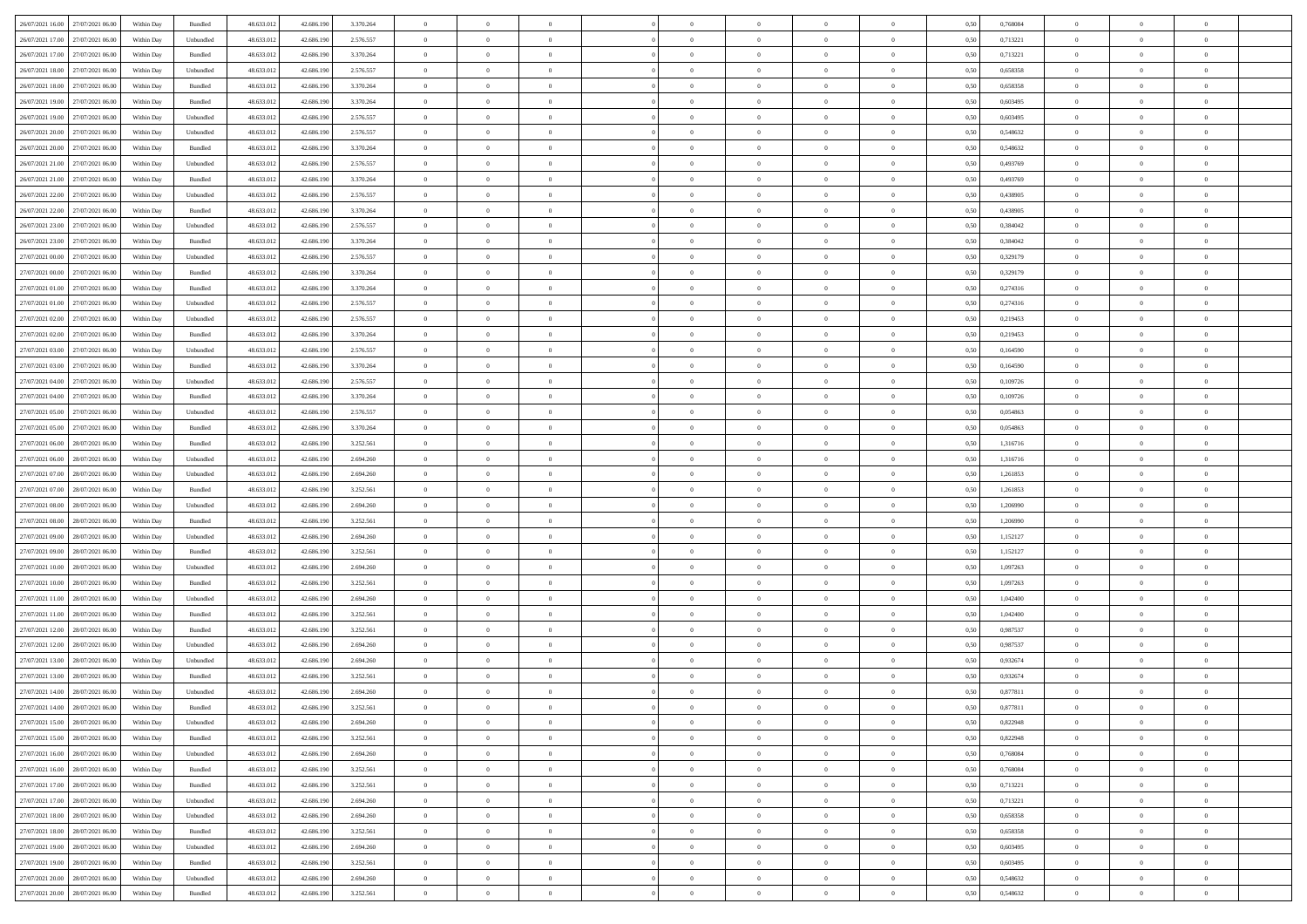|                                      |            |                    |            |            |           | $\overline{0}$ | $\overline{0}$ |                | $\overline{0}$ | $\theta$       |                | $\theta$       |      |          | $\theta$       | $\theta$       | $\overline{0}$ |  |
|--------------------------------------|------------|--------------------|------------|------------|-----------|----------------|----------------|----------------|----------------|----------------|----------------|----------------|------|----------|----------------|----------------|----------------|--|
| 26/07/2021 16:00 27/07/2021 06:00    | Within Day | Bundled            | 48.633.01  | 42.686.190 | 3.370.264 |                |                |                |                |                |                |                | 0,50 | 0,768084 |                |                |                |  |
| 26/07/2021 17:00<br>27/07/2021 06:00 | Within Day | Unbundled          | 48.633.01  | 42.686.19  | 2.576.557 | $\bf{0}$       | $\bf{0}$       | $\bf{0}$       | $\bf{0}$       | $\overline{0}$ | $\overline{0}$ | $\bf{0}$       | 0,50 | 0,713221 | $\,$ 0 $\,$    | $\bf{0}$       | $\overline{0}$ |  |
| 26/07/2021 17:00<br>27/07/2021 06:00 | Within Day | Bundled            | 48.633.012 | 42.686.190 | 3.370.264 | $\overline{0}$ | $\bf{0}$       | $\overline{0}$ | $\bf{0}$       | $\bf{0}$       | $\overline{0}$ | $\bf{0}$       | 0.50 | 0,713221 | $\overline{0}$ | $\overline{0}$ | $\bf{0}$       |  |
| 26/07/2021 18:00<br>27/07/2021 06:00 | Within Day | Unbundled          | 48.633.01  | 42.686.190 | 2.576.557 | $\overline{0}$ | $\overline{0}$ | $\overline{0}$ | $\theta$       | $\theta$       | $\overline{0}$ | $\bf{0}$       | 0,50 | 0,658358 | $\theta$       | $\theta$       | $\overline{0}$ |  |
| 26/07/2021 18:00<br>27/07/2021 06.00 | Within Day | Bundled            | 48.633.01  | 42.686.190 | 3.370.264 | $\bf{0}$       | $\overline{0}$ | $\bf{0}$       | $\overline{0}$ | $\bf{0}$       | $\overline{0}$ | $\bf{0}$       | 0,50 | 0,658358 | $\,$ 0 $\,$    | $\bf{0}$       | $\overline{0}$ |  |
|                                      |            |                    |            |            |           |                |                |                |                |                |                |                |      |          |                |                |                |  |
| 26/07/2021 19:00<br>27/07/2021 06:00 | Within Day | Bundled            | 48.633.013 | 42.686.190 | 3.370.264 | $\overline{0}$ | $\bf{0}$       | $\overline{0}$ | $\bf{0}$       | $\overline{0}$ | $\overline{0}$ | $\bf{0}$       | 0.50 | 0.603495 | $\,$ 0 $\,$    | $\theta$       | $\overline{0}$ |  |
| 26/07/2021 19:00<br>27/07/2021 06:00 | Within Day | Unbundled          | 48.633.013 | 42.686.190 | 2.576.557 | $\overline{0}$ | $\overline{0}$ | $\overline{0}$ | $\overline{0}$ | $\overline{0}$ | $\overline{0}$ | $\bf{0}$       | 0,50 | 0,603495 | $\theta$       | $\theta$       | $\overline{0}$ |  |
| 26/07/2021 20:00<br>27/07/2021 06.00 | Within Day | Unbundled          | 48.633.01  | 42.686.190 | 2.576.557 | $\bf{0}$       | $\bf{0}$       | $\bf{0}$       | $\overline{0}$ | $\overline{0}$ | $\overline{0}$ | $\bf{0}$       | 0,50 | 0,548632 | $\,$ 0 $\,$    | $\bf{0}$       | $\overline{0}$ |  |
| 26/07/2021 20:00<br>27/07/2021 06:00 | Within Day | Bundled            | 48.633.013 | 42.686.190 | 3.370.264 | $\overline{0}$ | $\bf{0}$       | $\overline{0}$ | $\bf{0}$       | $\overline{0}$ | $\overline{0}$ | $\bf{0}$       | 0.50 | 0.548632 | $\bf{0}$       | $\overline{0}$ | $\overline{0}$ |  |
| 26/07/2021 21:00<br>27/07/2021 06:00 | Within Day | Unbundled          | 48.633.013 | 42.686.190 | 2.576.557 | $\overline{0}$ | $\bf{0}$       | $\overline{0}$ | $\overline{0}$ | $\overline{0}$ | $\overline{0}$ | $\bf{0}$       | 0,50 | 0,493769 | $\,$ 0 $\,$    | $\,$ 0 $\,$    | $\overline{0}$ |  |
| 26/07/2021 21:00<br>27/07/2021 06.00 | Within Day | Bundled            | 48.633.01  | 42.686.190 | 3.370.264 | $\bf{0}$       | $\bf{0}$       | $\bf{0}$       | $\bf{0}$       | $\overline{0}$ | $\overline{0}$ | $\bf{0}$       | 0,50 | 0,493769 | $\,$ 0 $\,$    | $\bf{0}$       | $\overline{0}$ |  |
| 26/07/2021 22:00<br>27/07/2021 06:00 | Within Day | Unbundled          | 48.633.013 | 42.686.190 | 2.576.557 | $\overline{0}$ | $\bf{0}$       | $\overline{0}$ | $\overline{0}$ | $\overline{0}$ | $\overline{0}$ | $\bf{0}$       | 0.50 | 0.438905 | $\bf{0}$       | $\,$ 0 $\,$    | $\,$ 0         |  |
|                                      |            |                    |            |            |           | $\overline{0}$ | $\overline{0}$ | $\overline{0}$ | $\theta$       | $\theta$       | $\overline{0}$ |                |      |          | $\,$ 0 $\,$    | $\theta$       |                |  |
| 26/07/2021 22:00<br>27/07/2021 06:00 | Within Day | Bundled            | 48.633.01  | 42.686.190 | 3.370.264 |                |                |                |                |                |                | $\bf{0}$       | 0,50 | 0,438905 |                |                | $\overline{0}$ |  |
| 26/07/2021 23:00<br>27/07/2021 06.00 | Within Day | Unbundled          | 48.633.01  | 42.686.190 | 2.576.557 | $\bf{0}$       | $\overline{0}$ | $\bf{0}$       | $\bf{0}$       | $\bf{0}$       | $\overline{0}$ | $\bf{0}$       | 0,50 | 0,384042 | $\,$ 0 $\,$    | $\bf{0}$       | $\overline{0}$ |  |
| 26/07/2021 23:00<br>27/07/2021 06:00 | Within Day | Bundled            | 48.633.013 | 42.686.190 | 3.370.264 | $\overline{0}$ | $\bf{0}$       | $\overline{0}$ | $\bf{0}$       | $\overline{0}$ | $\overline{0}$ | $\bf{0}$       | 0.50 | 0.384042 | $\,$ 0 $\,$    | $\theta$       | $\overline{0}$ |  |
| 27/07/2021 00:00<br>27/07/2021 06:00 | Within Day | Unbundled          | 48.633.013 | 42.686.190 | 2.576.557 | $\overline{0}$ | $\overline{0}$ | $\overline{0}$ | $\overline{0}$ | $\overline{0}$ | $\overline{0}$ | $\bf{0}$       | 0,50 | 0,329179 | $\theta$       | $\theta$       | $\overline{0}$ |  |
| 27/07/2021 00:00<br>27/07/2021 06.00 | Within Day | Bundled            | 48.633.01  | 42.686.190 | 3.370.264 | $\bf{0}$       | $\bf{0}$       | $\bf{0}$       | $\overline{0}$ | $\overline{0}$ | $\overline{0}$ | $\bf{0}$       | 0,50 | 0,329179 | $\,$ 0 $\,$    | $\bf{0}$       | $\overline{0}$ |  |
| 27/07/2021 01:00<br>27/07/2021 06:00 | Within Day | Bundled            | 48.633.013 | 42.686.190 | 3.370.264 | $\overline{0}$ | $\bf{0}$       | $\overline{0}$ | $\bf{0}$       | $\bf{0}$       | $\overline{0}$ | $\bf{0}$       | 0.50 | 0,274316 | $\bf{0}$       | $\overline{0}$ | $\bf{0}$       |  |
| 27/07/2021 01:00<br>27/07/2021 06:00 | Within Day | Unbundled          | 48.633.013 | 42.686.190 | 2.576.557 | $\overline{0}$ | $\bf{0}$       | $\overline{0}$ | $\overline{0}$ | $\overline{0}$ | $\overline{0}$ | $\bf{0}$       | 0,50 | 0,274316 | $\,$ 0 $\,$    | $\bf{0}$       | $\overline{0}$ |  |
| 27/07/2021 02:00<br>27/07/2021 06.00 | Within Day | Unbundled          | 48.633.01  | 42.686.190 | 2.576.557 | $\bf{0}$       | $\bf{0}$       | $\bf{0}$       | $\bf{0}$       | $\overline{0}$ | $\overline{0}$ | $\bf{0}$       | 0,50 | 0,219453 | $\,$ 0 $\,$    | $\bf{0}$       | $\overline{0}$ |  |
|                                      |            |                    |            |            |           |                |                |                |                |                |                |                |      |          |                |                |                |  |
| 27/07/2021 02:00<br>27/07/2021 06:00 | Within Day | Bundled            | 48.633.013 | 42.686.190 | 3.370.264 | $\overline{0}$ | $\bf{0}$       | $\overline{0}$ | $\overline{0}$ | $\bf{0}$       | $\overline{0}$ | $\bf{0}$       | 0.50 | 0,219453 | $\bf{0}$       | $\overline{0}$ | $\,$ 0         |  |
| 27/07/2021 03:00<br>27/07/2021 06:00 | Within Day | Unbundled          | 48.633.01  | 42.686.190 | 2.576.557 | $\overline{0}$ | $\overline{0}$ | $\overline{0}$ | $\overline{0}$ | $\theta$       | $\overline{0}$ | $\bf{0}$       | 0,50 | 0,164590 | $\theta$       | $\theta$       | $\overline{0}$ |  |
| 27/07/2021 03:00<br>27/07/2021 06.00 | Within Day | Bundled            | 48.633.01  | 42.686.190 | 3.370.264 | $\bf{0}$       | $\bf{0}$       | $\bf{0}$       | $\bf{0}$       | $\overline{0}$ | $\overline{0}$ | $\bf{0}$       | 0,50 | 0,164590 | $\,$ 0 $\,$    | $\bf{0}$       | $\overline{0}$ |  |
| 27/07/2021 04:00<br>27/07/2021 06:00 | Within Day | Unbundled          | 48.633.013 | 42.686.190 | 2.576.557 | $\overline{0}$ | $\bf{0}$       | $\overline{0}$ | $\bf{0}$       | $\overline{0}$ | $\overline{0}$ | $\bf{0}$       | 0.50 | 0.109726 | $\,$ 0 $\,$    | $\theta$       | $\overline{0}$ |  |
| 27/07/2021 04:00<br>27/07/2021 06:00 | Within Day | Bundled            | 48.633.013 | 42.686.190 | 3.370.264 | $\overline{0}$ | $\overline{0}$ | $\overline{0}$ | $\overline{0}$ | $\overline{0}$ | $\overline{0}$ | $\bf{0}$       | 0,50 | 0,109726 | $\,$ 0 $\,$    | $\theta$       | $\overline{0}$ |  |
| 27/07/2021 05:00<br>27/07/2021 06.00 | Within Day | Unbundled          | 48.633.01  | 42.686.190 | 2.576.557 | $\bf{0}$       | $\overline{0}$ | $\bf{0}$       | $\overline{0}$ | $\overline{0}$ | $\overline{0}$ | $\bf{0}$       | 0,50 | 0,054863 | $\,$ 0 $\,$    | $\bf{0}$       | $\overline{0}$ |  |
| 27/07/2021 05:00<br>27/07/2021 06:00 | Within Day | Bundled            | 48.633.013 | 42.686.190 | 3.370.264 | $\overline{0}$ | $\bf{0}$       | $\overline{0}$ | $\bf{0}$       | $\overline{0}$ | $\overline{0}$ | $\bf{0}$       | 0.50 | 0.054863 | $\bf{0}$       | $\overline{0}$ | $\overline{0}$ |  |
| 27/07/2021 06:00<br>28/07/2021 06:00 | Within Day | Bundled            | 48.633.01  | 42.686.190 | 3.252.561 | $\overline{0}$ | $\bf{0}$       | $\overline{0}$ | $\overline{0}$ | $\overline{0}$ | $\overline{0}$ | $\bf{0}$       | 0,50 | 1,316716 | $\theta$       | $\theta$       | $\overline{0}$ |  |
| 28/07/2021 06:00                     | Within Day | Unbundled          | 48.633.01  | 42.686.190 | 2.694.260 | $\bf{0}$       | $\bf{0}$       | $\bf{0}$       | $\bf{0}$       | $\overline{0}$ | $\overline{0}$ | $\bf{0}$       | 0,50 | 1,316716 | $\,$ 0 $\,$    | $\bf{0}$       | $\overline{0}$ |  |
| 27/07/2021 06:00                     |            |                    |            |            |           |                |                |                |                |                |                |                |      |          |                |                |                |  |
| 27/07/2021 07:00<br>28/07/2021 06:00 | Within Day | Unbundled          | 48.633.013 | 42.686.190 | 2.694.260 | $\overline{0}$ | $\bf{0}$       | $\overline{0}$ | $\bf{0}$       | $\bf{0}$       | $\overline{0}$ | $\bf{0}$       | 0.50 | 1.261853 | $\bf{0}$       | $\,$ 0 $\,$    | $\,$ 0         |  |
| 27/07/2021 07:00<br>28/07/2021 06:00 | Within Day | Bundled            | 48.633.013 | 42.686.190 | 3.252.561 | $\overline{0}$ | $\overline{0}$ | $\overline{0}$ | $\overline{0}$ | $\overline{0}$ | $\overline{0}$ | $\bf{0}$       | 0.5( | 1,261853 | $\theta$       | $\theta$       | $\overline{0}$ |  |
| 27/07/2021 08:00<br>28/07/2021 06:00 | Within Day | Unbundled          | 48.633.01  | 42.686.190 | 2.694.260 | $\bf{0}$       | $\bf{0}$       | $\bf{0}$       | $\bf{0}$       | $\overline{0}$ | $\overline{0}$ | $\bf{0}$       | 0,50 | 1,206990 | $\,$ 0 $\,$    | $\bf{0}$       | $\overline{0}$ |  |
| 27/07/2021 08:00<br>28/07/2021 06:00 | Within Day | Bundled            | 48.633.013 | 42.686.190 | 3.252.561 | $\overline{0}$ | $\bf{0}$       | $\overline{0}$ | $\bf{0}$       | $\overline{0}$ | $\overline{0}$ | $\bf{0}$       | 0.50 | 1.206990 | $\,$ 0 $\,$    | $\bf{0}$       | $\overline{0}$ |  |
| 27/07/2021 09:00<br>28/07/2021 06:00 | Within Dav | Unbundled          | 48.633.013 | 42.686.190 | 2.694.260 | $\overline{0}$ | $\overline{0}$ | $\overline{0}$ | $\overline{0}$ | $\overline{0}$ | $\overline{0}$ | $\bf{0}$       | 0.50 | 1,152127 | $\theta$       | $\theta$       | $\overline{0}$ |  |
| 27/07/2021 09:00<br>28/07/2021 06:00 | Within Day | Bundled            | 48.633.01  | 42.686.190 | 3.252.561 | $\bf{0}$       | $\bf{0}$       | $\bf{0}$       | $\bf{0}$       | $\overline{0}$ | $\overline{0}$ | $\bf{0}$       | 0,50 | 1,152127 | $\,$ 0 $\,$    | $\bf{0}$       | $\overline{0}$ |  |
| 27/07/2021 10:00<br>28/07/2021 06:00 | Within Day | Unbundled          | 48.633.013 | 42.686.190 | 2.694.260 | $\overline{0}$ | $\bf{0}$       | $\overline{0}$ | $\bf{0}$       | $\overline{0}$ | $\overline{0}$ | $\bf{0}$       | 0.50 | 1.097263 | $\bf{0}$       | $\overline{0}$ | $\bf{0}$       |  |
| 27/07/2021 10:00<br>28/07/2021 06:00 | Within Dav | Bundled            | 48.633.013 | 42.686.190 | 3.252.561 | $\overline{0}$ | $\overline{0}$ | $\overline{0}$ | $\overline{0}$ | $\overline{0}$ | $\overline{0}$ | $\bf{0}$       | 0.50 | 1,097263 | $\theta$       | $\theta$       | $\overline{0}$ |  |
|                                      |            |                    |            |            |           |                |                |                |                |                |                |                |      |          |                |                |                |  |
| 27/07/2021 11:00<br>28/07/2021 06:00 | Within Day | Unbundled          | 48.633.01  | 42.686.190 | 2.694.260 | $\bf{0}$       | $\bf{0}$       | $\bf{0}$       | $\bf{0}$       | $\overline{0}$ | $\bf{0}$       | $\bf{0}$       | 0,50 | 1,042400 | $\,$ 0 $\,$    | $\bf{0}$       | $\overline{0}$ |  |
| 27/07/2021 11:00<br>28/07/2021 06:00 | Within Day | Bundled            | 48.633.013 | 42.686.190 | 3.252.561 | $\overline{0}$ | $\bf{0}$       | $\overline{0}$ | $\overline{0}$ | $\bf{0}$       | $\overline{0}$ | $\bf{0}$       | 0.50 | 1.042400 | $\,$ 0 $\,$    | $\,$ 0 $\,$    | $\,$ 0         |  |
| 27/07/2021 12:00<br>28/07/2021 06:00 | Within Dav | Bundled            | 48.633.013 | 42.686.190 | 3.252.561 | $\overline{0}$ | $\overline{0}$ | $\overline{0}$ | $\overline{0}$ | $\overline{0}$ | $\overline{0}$ | $\bf{0}$       | 0.50 | 0,987537 | $\theta$       | $\theta$       | $\overline{0}$ |  |
| 27/07/2021 12:00<br>28/07/2021 06:00 | Within Day | Unbundled          | 48.633.013 | 42.686.190 | 2.694.260 | $\bf{0}$       | $\bf{0}$       | $\bf{0}$       | $\bf{0}$       | $\overline{0}$ | $\overline{0}$ | $\bf{0}$       | 0,50 | 0,987537 | $\,$ 0 $\,$    | $\bf{0}$       | $\overline{0}$ |  |
| 27/07/2021 13:00<br>28/07/2021 06:00 | Within Day | Unbundled          | 48.633.013 | 42.686.190 | 2.694.260 | $\overline{0}$ | $\overline{0}$ | $\overline{0}$ | $\bf{0}$       | $\overline{0}$ | $\overline{0}$ | $\bf{0}$       | 0.50 | 0.932674 | $\bf{0}$       | $\theta$       | $\overline{0}$ |  |
| 27/07/2021 13:00<br>28/07/2021 06:00 | Within Dav | Bundled            | 48.633.013 | 42.686.190 | 3.252.561 | $\overline{0}$ | $\overline{0}$ | $\Omega$       | $\overline{0}$ | $\theta$       | $\overline{0}$ | $\overline{0}$ | 0.5( | 0,932674 | $\theta$       | $\theta$       | $\overline{0}$ |  |
| 27/07/2021 14:00<br>28/07/2021 06:00 | Within Day | Unbundled          | 48.633.01  | 42.686.190 | 2.694.260 | $\bf{0}$       | $\bf{0}$       | $\bf{0}$       | $\bf{0}$       | $\bf{0}$       | $\overline{0}$ | $\bf{0}$       | 0,50 | 0,877811 | $\,$ 0 $\,$    | $\bf{0}$       | $\overline{0}$ |  |
| 27/07/2021 14:00 28/07/2021 06:00    | Within Day | $\mathbf B$ undled | 48.633.012 | 42.686.190 | 3.252.561 | $\bf{0}$       | $\theta$       |                | $\overline{0}$ |                |                |                | 0,50 | 0,877811 | $\bf{0}$       | $\bf{0}$       |                |  |
| 27/07/2021 15:00 28/07/2021 06:00    | Within Day | Unbundled          | 48.633.012 | 42.686.190 | 2.694.260 | $\overline{0}$ | $\overline{0}$ | $\Omega$       | $\theta$       | $\overline{0}$ | $\overline{0}$ | $\bf{0}$       | 0,50 | 0,822948 | $\theta$       | $\theta$       | $\overline{0}$ |  |
|                                      |            |                    |            |            |           |                |                |                |                |                |                |                |      |          |                |                |                |  |
| 27/07/2021 15:00<br>28/07/2021 06:00 | Within Day | Bundled            | 48.633.013 | 42.686.190 | 3.252.561 | $\overline{0}$ | $\bf{0}$       | $\overline{0}$ | $\overline{0}$ | $\bf{0}$       | $\overline{0}$ | $\bf{0}$       | 0,50 | 0,822948 | $\bf{0}$       | $\overline{0}$ | $\bf{0}$       |  |
| 27/07/2021 16:00 28/07/2021 06:00    | Within Day | Unbundled          | 48.633.012 | 42.686.190 | 2.694.260 | $\overline{0}$ | $\bf{0}$       | $\overline{0}$ | $\overline{0}$ | $\mathbf{0}$   | $\overline{0}$ | $\,$ 0 $\,$    | 0.50 | 0.768084 | $\overline{0}$ | $\bf{0}$       | $\,$ 0 $\,$    |  |
| 27/07/2021 16:00 28/07/2021 06:00    | Within Dav | Bundled            | 48.633.012 | 42.686.190 | 3.252.561 | $\overline{0}$ | $\overline{0}$ | $\overline{0}$ | $\overline{0}$ | $\overline{0}$ | $\overline{0}$ | $\bf{0}$       | 0,50 | 0,768084 | $\overline{0}$ | $\theta$       | $\overline{0}$ |  |
| 27/07/2021 17:00<br>28/07/2021 06:00 | Within Day | Bundled            | 48.633.012 | 42.686.190 | 3.252.561 | $\overline{0}$ | $\bf{0}$       | $\overline{0}$ | $\overline{0}$ | $\bf{0}$       | $\overline{0}$ | $\bf{0}$       | 0,50 | 0,713221 | $\bf{0}$       | $\overline{0}$ | $\overline{0}$ |  |
| 27/07/2021 17:00<br>28/07/2021 06:00 | Within Day | Unbundled          | 48.633.012 | 42.686.190 | 2.694.260 | $\overline{0}$ | $\bf{0}$       | $\overline{0}$ | $\overline{0}$ | $\bf{0}$       | $\overline{0}$ | $\bf{0}$       | 0.50 | 0,713221 | $\,$ 0 $\,$    | $\overline{0}$ | $\,$ 0         |  |
| 27/07/2021 18:00 28/07/2021 06:00    | Within Dav | Unbundled          | 48.633.012 | 42.686.190 | 2.694.260 | $\overline{0}$ | $\overline{0}$ | $\overline{0}$ | $\overline{0}$ | $\overline{0}$ | $\overline{0}$ | $\bf{0}$       | 0.50 | 0,658358 | $\overline{0}$ | $\theta$       | $\overline{0}$ |  |
| 28/07/2021 06:00<br>27/07/2021 18:00 | Within Day | Bundled            | 48.633.013 | 42.686.190 | 3.252.561 | $\overline{0}$ | $\overline{0}$ | $\overline{0}$ | $\overline{0}$ | $\overline{0}$ | $\overline{0}$ | $\bf{0}$       | 0,50 | 0,658358 | $\bf{0}$       | $\overline{0}$ | $\,$ 0         |  |
| 27/07/2021 19:00 28/07/2021 06:00    |            | Unbundled          | 48.633.012 | 42.686.190 | 2.694.260 | $\overline{0}$ | $\overline{0}$ |                |                |                | $\overline{0}$ |                | 0.50 | 0.603495 | $\mathbf{0}$   | $\bf{0}$       | $\,$ 0         |  |
|                                      | Within Day |                    |            |            |           |                |                | $\overline{0}$ | $\overline{0}$ | $\overline{0}$ |                | $\bf{0}$       |      |          |                |                |                |  |
| 27/07/2021 19:00 28/07/2021 06:00    | Within Dav | Bundled            | 48.633.012 | 42.686.190 | 3.252.561 | $\overline{0}$ | $\overline{0}$ | $\overline{0}$ | $\overline{0}$ | $\overline{0}$ | $\overline{0}$ | $\bf{0}$       | 0,50 | 0,603495 | $\overline{0}$ | $\theta$       | $\overline{0}$ |  |
| 27/07/2021 20:00<br>28/07/2021 06:00 | Within Day | Unbundled          | 48.633.013 | 42.686.190 | 2.694.260 | $\overline{0}$ | $\bf{0}$       | $\overline{0}$ | $\bf{0}$       | $\overline{0}$ | $\overline{0}$ | $\bf{0}$       | 0,50 | 0,548632 | $\bf{0}$       | $\,$ 0 $\,$    | $\bf{0}$       |  |
| 27/07/2021 20:00 28/07/2021 06:00    | Within Day | Bundled            | 48.633.012 | 42.686.190 | 3.252.561 | $\,$ 0 $\,$    | $\bf{0}$       | $\overline{0}$ | $\overline{0}$ | $\,$ 0 $\,$    | $\overline{0}$ | $\bf{0}$       | 0,50 | 0,548632 | $\overline{0}$ | $\,$ 0 $\,$    | $\,$ 0 $\,$    |  |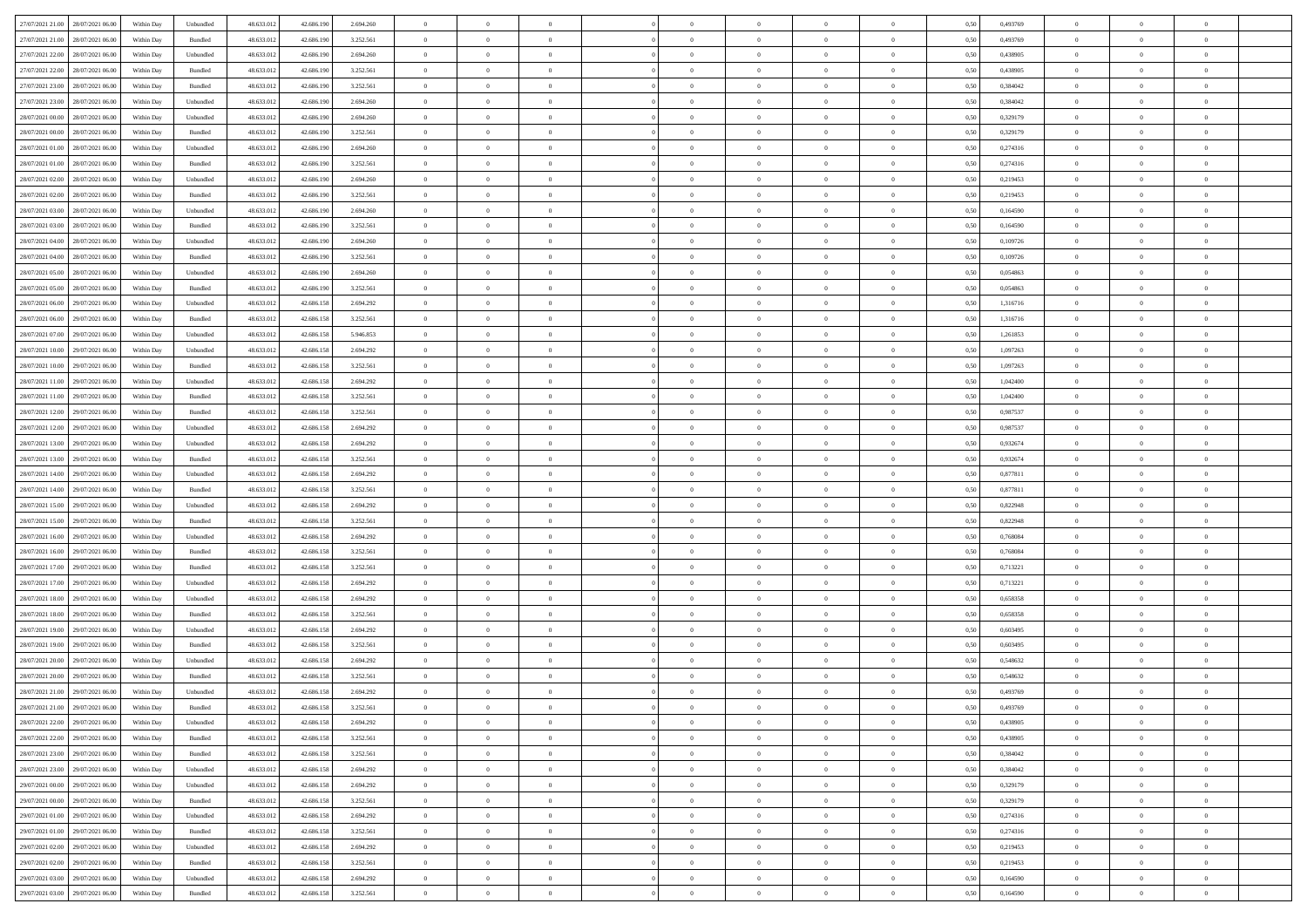|                                      |            |           |            |            |           | $\overline{0}$ | $\overline{0}$ |                | $\overline{0}$ | $\theta$       |                | $\theta$       |      |          | $\theta$       | $\theta$       | $\overline{0}$ |  |
|--------------------------------------|------------|-----------|------------|------------|-----------|----------------|----------------|----------------|----------------|----------------|----------------|----------------|------|----------|----------------|----------------|----------------|--|
| 27/07/2021 21:00 28/07/2021 06:00    | Within Day | Unbundled | 48.633.01  | 42.686.190 | 2.694.260 |                |                |                |                |                |                |                | 0,50 | 0,493769 |                |                |                |  |
| 27/07/2021 21:00<br>28/07/2021 06:00 | Within Day | Bundled   | 48.633.01  | 42.686.19  | 3.252.561 | $\bf{0}$       | $\bf{0}$       | $\bf{0}$       | $\bf{0}$       | $\overline{0}$ | $\overline{0}$ | $\bf{0}$       | 0,50 | 0,493769 | $\,$ 0 $\,$    | $\bf{0}$       | $\overline{0}$ |  |
| 27/07/2021 22:00<br>28/07/2021 06:00 | Within Day | Unbundled | 48.633.013 | 42.686.190 | 2.694.260 | $\overline{0}$ | $\bf{0}$       | $\overline{0}$ | $\bf{0}$       | $\bf{0}$       | $\overline{0}$ | $\bf{0}$       | 0.50 | 0.438905 | $\bf{0}$       | $\overline{0}$ | $\overline{0}$ |  |
| 27/07/2021 22:00<br>28/07/2021 06:00 | Within Day | Bundled   | 48.633.013 | 42.686.190 | 3.252.561 | $\overline{0}$ | $\overline{0}$ | $\overline{0}$ | $\theta$       | $\theta$       | $\overline{0}$ | $\bf{0}$       | 0,50 | 0,438905 | $\theta$       | $\theta$       | $\overline{0}$ |  |
| 27/07/2021 23:00<br>28/07/2021 06:00 | Within Day | Bundled   | 48.633.01  | 42.686.190 | 3.252.561 | $\bf{0}$       | $\overline{0}$ | $\bf{0}$       | $\overline{0}$ | $\theta$       | $\overline{0}$ | $\bf{0}$       | 0,50 | 0,384042 | $\,$ 0 $\,$    | $\bf{0}$       | $\overline{0}$ |  |
|                                      |            |           |            |            |           |                |                |                |                |                |                |                |      |          |                |                |                |  |
| 27/07/2021 23:00<br>28/07/2021 06:00 | Within Day | Unbundled | 48.633.013 | 42.686.190 | 2.694.260 | $\overline{0}$ | $\overline{0}$ | $\overline{0}$ | $\bf{0}$       | $\overline{0}$ | $\theta$       | $\bf{0}$       | 0.50 | 0.384042 | $\,$ 0 $\,$    | $\theta$       | $\overline{0}$ |  |
| 28/07/2021 00:00<br>28/07/2021 06:00 | Within Day | Unbundled | 48.633.013 | 42.686.190 | 2.694.260 | $\overline{0}$ | $\overline{0}$ | $\overline{0}$ | $\overline{0}$ | $\overline{0}$ | $\overline{0}$ | $\bf{0}$       | 0,50 | 0,329179 | $\,$ 0 $\,$    | $\theta$       | $\overline{0}$ |  |
| 28/07/2021 00:00<br>28/07/2021 06:00 | Within Day | Bundled   | 48.633.01  | 42.686.190 | 3.252.561 | $\bf{0}$       | $\bf{0}$       | $\bf{0}$       | $\overline{0}$ | $\overline{0}$ | $\overline{0}$ | $\bf{0}$       | 0,50 | 0,329179 | $\,$ 0 $\,$    | $\bf{0}$       | $\overline{0}$ |  |
| 28/07/2021 01:00<br>28/07/2021 06:00 | Within Day | Unbundled | 48.633.013 | 42.686.190 | 2.694.260 | $\overline{0}$ | $\bf{0}$       | $\overline{0}$ | $\bf{0}$       | $\overline{0}$ | $\overline{0}$ | $\bf{0}$       | 0.50 | 0,274316 | $\bf{0}$       | $\overline{0}$ | $\overline{0}$ |  |
| 28/07/2021 01:00<br>28/07/2021 06:00 | Within Day | Bundled   | 48.633.013 | 42.686.190 | 3.252.561 | $\overline{0}$ | $\bf{0}$       | $\overline{0}$ | $\overline{0}$ | $\overline{0}$ | $\overline{0}$ | $\bf{0}$       | 0,50 | 0,274316 | $\,$ 0 $\,$    | $\bf{0}$       | $\overline{0}$ |  |
| 28/07/2021 02:00<br>28/07/2021 06:00 | Within Day | Unbundled | 48.633.01  | 42.686.190 | 2.694.260 | $\bf{0}$       | $\overline{0}$ | $\bf{0}$       | $\bf{0}$       | $\bf{0}$       | $\overline{0}$ | $\bf{0}$       | 0,50 | 0,219453 | $\,$ 0 $\,$    | $\bf{0}$       | $\overline{0}$ |  |
| 28/07/2021 02:00<br>28/07/2021 06:00 | Within Day | Bundled   | 48.633.013 | 42.686.190 | 3.252.561 | $\overline{0}$ | $\bf{0}$       | $\overline{0}$ | $\overline{0}$ | $\bf{0}$       | $\overline{0}$ | $\bf{0}$       | 0.50 | 0,219453 | $\bf{0}$       | $\overline{0}$ | $\,$ 0         |  |
|                                      |            |           |            |            |           | $\overline{0}$ | $\overline{0}$ | $\overline{0}$ | $\theta$       | $\theta$       | $\overline{0}$ |                |      |          | $\,$ 0 $\,$    | $\theta$       |                |  |
| 28/07/2021 03:00<br>28/07/2021 06:00 | Within Day | Unbundled | 48.633.01  | 42.686.190 | 2.694.260 |                |                |                |                |                |                | $\bf{0}$       | 0,50 | 0,164590 |                |                | $\overline{0}$ |  |
| 28/07/2021 03:00<br>28/07/2021 06:00 | Within Day | Bundled   | 48.633.01  | 42.686.190 | 3.252.561 | $\bf{0}$       | $\overline{0}$ | $\bf{0}$       | $\overline{0}$ | $\bf{0}$       | $\overline{0}$ | $\bf{0}$       | 0,50 | 0,164590 | $\,$ 0 $\,$    | $\bf{0}$       | $\overline{0}$ |  |
| 28/07/2021 04:00<br>28/07/2021 06:00 | Within Day | Unbundled | 48.633.013 | 42.686.190 | 2.694.260 | $\overline{0}$ | $\bf{0}$       | $\overline{0}$ | $\bf{0}$       | $\overline{0}$ | $\theta$       | $\bf{0}$       | 0.50 | 0.109726 | $\,$ 0 $\,$    | $\theta$       | $\overline{0}$ |  |
| 28/07/2021 04:00<br>28/07/2021 06:00 | Within Day | Bundled   | 48.633.013 | 42.686.190 | 3.252.561 | $\overline{0}$ | $\overline{0}$ | $\overline{0}$ | $\overline{0}$ | $\overline{0}$ | $\overline{0}$ | $\bf{0}$       | 0,50 | 0,109726 | $\theta$       | $\theta$       | $\overline{0}$ |  |
| 28/07/2021 05:00<br>28/07/2021 06:00 | Within Day | Unbundled | 48.633.01  | 42.686.190 | 2.694.260 | $\bf{0}$       | $\bf{0}$       | $\bf{0}$       | $\overline{0}$ | $\bf{0}$       | $\overline{0}$ | $\bf{0}$       | 0,50 | 0,054863 | $\,$ 0 $\,$    | $\bf{0}$       | $\overline{0}$ |  |
| 28/07/2021 05:00<br>28/07/2021 06:00 | Within Day | Bundled   | 48.633.013 | 42.686.190 | 3.252.561 | $\overline{0}$ | $\bf{0}$       | $\overline{0}$ | $\bf{0}$       | $\overline{0}$ | $\overline{0}$ | $\bf{0}$       | 0.50 | 0.054863 | $\bf{0}$       | $\overline{0}$ | $\overline{0}$ |  |
| 28/07/2021 06:00<br>29/07/2021 06:00 | Within Day | Unbundled | 48.633.013 | 42.686.158 | 2.694.292 | $\overline{0}$ | $\bf{0}$       | $\overline{0}$ | $\overline{0}$ | $\overline{0}$ | $\overline{0}$ | $\bf{0}$       | 0,50 | 1,316716 | $\,$ 0 $\,$    | $\bf{0}$       | $\overline{0}$ |  |
| 28/07/2021 06:00<br>29/07/2021 06.00 | Within Day | Bundled   | 48.633.01  | 42.686.158 | 3.252.561 | $\bf{0}$       | $\bf{0}$       | $\bf{0}$       | $\bf{0}$       | $\overline{0}$ | $\overline{0}$ | $\bf{0}$       | 0,50 | 1,316716 | $\,$ 0 $\,$    | $\bf{0}$       | $\overline{0}$ |  |
|                                      |            |           |            |            |           |                |                |                |                |                |                |                |      |          |                |                |                |  |
| 28/07/2021 07:00<br>29/07/2021 06:00 | Within Day | Unbundled | 48.633.013 | 42.686.158 | 5.946.853 | $\overline{0}$ | $\bf{0}$       | $\overline{0}$ | $\overline{0}$ | $\bf{0}$       | $\overline{0}$ | $\bf{0}$       | 0.50 | 1.261853 | $\bf{0}$       | $\overline{0}$ | $\,$ 0         |  |
| 28/07/2021 10:00<br>29/07/2021 06:00 | Within Day | Unbundled | 48.633.01  | 42.686.158 | 2.694.292 | $\overline{0}$ | $\overline{0}$ | $\overline{0}$ | $\theta$       | $\theta$       | $\overline{0}$ | $\bf{0}$       | 0,50 | 1,097263 | $\theta$       | $\theta$       | $\overline{0}$ |  |
| 28/07/2021 10:00<br>29/07/2021 06.00 | Within Day | Bundled   | 48.633.01  | 42.686.158 | 3.252.561 | $\bf{0}$       | $\bf{0}$       | $\bf{0}$       | $\bf{0}$       | $\overline{0}$ | $\overline{0}$ | $\bf{0}$       | 0,50 | 1,097263 | $\,$ 0 $\,$    | $\bf{0}$       | $\overline{0}$ |  |
| 28/07/2021 11:00<br>29/07/2021 06:00 | Within Day | Unbundled | 48.633.013 | 42.686.158 | 2.694.292 | $\overline{0}$ | $\overline{0}$ | $\overline{0}$ | $\bf{0}$       | $\overline{0}$ | $\theta$       | $\bf{0}$       | 0.50 | 1.042400 | $\,$ 0 $\,$    | $\theta$       | $\overline{0}$ |  |
| 28/07/2021 11:00<br>29/07/2021 06:00 | Within Day | Bundled   | 48.633.013 | 42.686.158 | 3.252.561 | $\overline{0}$ | $\overline{0}$ | $\overline{0}$ | $\overline{0}$ | $\overline{0}$ | $\overline{0}$ | $\bf{0}$       | 0,50 | 1,042400 | $\,$ 0 $\,$    | $\theta$       | $\overline{0}$ |  |
| 28/07/2021 12:00<br>29/07/2021 06.00 | Within Day | Bundled   | 48.633.01  | 42.686.158 | 3.252.561 | $\bf{0}$       | $\overline{0}$ | $\bf{0}$       | $\overline{0}$ | $\bf{0}$       | $\overline{0}$ | $\bf{0}$       | 0,50 | 0,987537 | $\,$ 0 $\,$    | $\bf{0}$       | $\overline{0}$ |  |
| 28/07/2021 12:00<br>29/07/2021 06:00 | Within Day | Unbundled | 48.633.013 | 42.686.158 | 2.694.292 | $\overline{0}$ | $\bf{0}$       | $\overline{0}$ | $\bf{0}$       | $\overline{0}$ | $\overline{0}$ | $\bf{0}$       | 0.50 | 0.987537 | $\bf{0}$       | $\overline{0}$ | $\overline{0}$ |  |
| 28/07/2021 13:00<br>29/07/2021 06:00 | Within Day | Unbundled | 48.633.013 | 42.686.158 | 2.694.292 | $\overline{0}$ | $\bf{0}$       | $\overline{0}$ | $\overline{0}$ | $\overline{0}$ | $\overline{0}$ | $\bf{0}$       | 0,50 | 0,932674 | $\theta$       | $\theta$       | $\overline{0}$ |  |
| 28/07/2021 13:00<br>29/07/2021 06.00 | Within Day | Bundled   | 48.633.01  | 42.686.158 | 3.252.561 | $\bf{0}$       | $\bf{0}$       | $\bf{0}$       | $\bf{0}$       | $\overline{0}$ | $\overline{0}$ | $\bf{0}$       | 0,50 | 0,932674 | $\,$ 0 $\,$    | $\bf{0}$       | $\overline{0}$ |  |
|                                      |            |           |            |            |           |                |                |                |                |                |                |                |      |          |                |                |                |  |
| 28/07/2021 14:00<br>29/07/2021 06:00 | Within Day | Unbundled | 48.633.013 | 42.686.158 | 2.694.292 | $\overline{0}$ | $\bf{0}$       | $\overline{0}$ | $\bf{0}$       | $\bf{0}$       | $\overline{0}$ | $\bf{0}$       | 0.50 | 0.877811 | $\bf{0}$       | $\overline{0}$ | $\,$ 0         |  |
| 28/07/2021 14:00<br>29/07/2021 06:00 | Within Day | Bundled   | 48.633.013 | 42.686.158 | 3.252.561 | $\overline{0}$ | $\overline{0}$ | $\overline{0}$ | $\overline{0}$ | $\overline{0}$ | $\overline{0}$ | $\bf{0}$       | 0.5( | 0,877811 | $\theta$       | $\theta$       | $\overline{0}$ |  |
| 28/07/2021 15:00<br>29/07/2021 06.00 | Within Day | Unbundled | 48.633.01  | 42.686.158 | 2.694.292 | $\bf{0}$       | $\overline{0}$ | $\bf{0}$       | $\bf{0}$       | $\overline{0}$ | $\overline{0}$ | $\bf{0}$       | 0,50 | 0,822948 | $\,$ 0 $\,$    | $\bf{0}$       | $\overline{0}$ |  |
| 28/07/2021 15:00<br>29/07/2021 06:00 | Within Day | Bundled   | 48.633.013 | 42.686.158 | 3.252.561 | $\overline{0}$ | $\bf{0}$       | $\overline{0}$ | $\bf{0}$       | $\overline{0}$ | $\overline{0}$ | $\bf{0}$       | 0.50 | 0.822948 | $\,$ 0 $\,$    | $\bf{0}$       | $\overline{0}$ |  |
| 28/07/2021 16:00<br>29/07/2021 06:00 | Within Dav | Unbundled | 48.633.013 | 42.686.158 | 2.694.292 | $\overline{0}$ | $\overline{0}$ | $\overline{0}$ | $\overline{0}$ | $\theta$       | $\overline{0}$ | $\bf{0}$       | 0.50 | 0,768084 | $\theta$       | $\theta$       | $\overline{0}$ |  |
| 28/07/2021 16:00<br>29/07/2021 06.00 | Within Day | Bundled   | 48.633.01  | 42.686.158 | 3.252.561 | $\bf{0}$       | $\bf{0}$       | $\bf{0}$       | $\bf{0}$       | $\overline{0}$ | $\overline{0}$ | $\bf{0}$       | 0,50 | 0,768084 | $\,$ 0 $\,$    | $\bf{0}$       | $\overline{0}$ |  |
| 28/07/2021 17:00<br>29/07/2021 06:00 | Within Day | Bundled   | 48.633.013 | 42.686.158 | 3.252.561 | $\overline{0}$ | $\bf{0}$       | $\overline{0}$ | $\bf{0}$       | $\overline{0}$ | $\overline{0}$ | $\bf{0}$       | 0.50 | 0.713221 | $\bf{0}$       | $\overline{0}$ | $\overline{0}$ |  |
| 28/07/2021 17:00<br>29/07/2021 06:00 | Within Dav | Unbundled | 48.633.013 | 42.686.158 | 2.694.292 | $\overline{0}$ | $\overline{0}$ | $\overline{0}$ | $\overline{0}$ | $\overline{0}$ | $\overline{0}$ | $\bf{0}$       | 0.50 | 0,713221 | $\theta$       | $\theta$       | $\overline{0}$ |  |
| 28/07/2021 18:00<br>29/07/2021 06.00 | Within Day | Unbundled | 48.633.01  | 42.686.158 | 2.694.292 | $\bf{0}$       | $\bf{0}$       | $\bf{0}$       | $\bf{0}$       | $\overline{0}$ | $\overline{0}$ | $\bf{0}$       | 0,50 | 0,658358 | $\,$ 0 $\,$    | $\bf{0}$       | $\overline{0}$ |  |
|                                      |            |           |            |            |           |                |                |                |                |                |                |                |      |          |                |                |                |  |
| 28/07/2021 18:00<br>29/07/2021 06:00 | Within Day | Bundled   | 48.633.013 | 42.686.158 | 3.252.561 | $\overline{0}$ | $\bf{0}$       | $\overline{0}$ | $\overline{0}$ | $\bf{0}$       | $\overline{0}$ | $\bf{0}$       | 0.50 | 0.658358 | $\,$ 0 $\,$    | $\overline{0}$ | $\overline{0}$ |  |
| 28/07/2021 19:00<br>29/07/2021 06:00 | Within Dav | Unbundled | 48.633.013 | 42.686.158 | 2.694.292 | $\overline{0}$ | $\overline{0}$ | $\overline{0}$ | $\overline{0}$ | $\overline{0}$ | $\overline{0}$ | $\bf{0}$       | 0.5( | 0,603495 | $\theta$       | $\theta$       | $\overline{0}$ |  |
| 28/07/2021 19:00<br>29/07/2021 06.00 | Within Day | Bundled   | 48.633.01  | 42.686.158 | 3.252.561 | $\bf{0}$       | $\bf{0}$       | $\bf{0}$       | $\bf{0}$       | $\overline{0}$ | $\overline{0}$ | $\bf{0}$       | 0,50 | 0,603495 | $\,$ 0 $\,$    | $\bf{0}$       | $\overline{0}$ |  |
| 28/07/2021 20:00<br>29/07/2021 06:00 | Within Day | Unbundled | 48.633.013 | 42.686.158 | 2.694.292 | $\overline{0}$ | $\overline{0}$ | $\overline{0}$ | $\bf{0}$       | $\overline{0}$ | $\Omega$       | $\bf{0}$       | 0.50 | 0.548632 | $\bf{0}$       | $\theta$       | $\overline{0}$ |  |
| 28/07/2021 20:00<br>29/07/2021 06:00 | Within Dav | Bundled   | 48.633.013 | 42.686.158 | 3.252.561 | $\overline{0}$ | $\overline{0}$ | $\Omega$       | $\overline{0}$ | $\theta$       | $\overline{0}$ | $\overline{0}$ | 0.5( | 0,548632 | $\theta$       | $\theta$       | $\overline{0}$ |  |
| 28/07/2021 21:00<br>29/07/2021 06.00 | Within Day | Unbundled | 48.633.01  | 42.686.158 | 2.694.292 | $\bf{0}$       | $\bf{0}$       | $\overline{0}$ | $\bf{0}$       | $\bf{0}$       | $\overline{0}$ | $\bf{0}$       | 0,50 | 0,493769 | $\,$ 0 $\,$    | $\bf{0}$       | $\overline{0}$ |  |
| 28/07/2021 21:00 29/07/2021 06:00    | Within Day | Bundled   | 48.633.012 | 42.686.158 | 3.252.561 | $\bf{0}$       | $\Omega$       |                | $\Omega$       |                |                |                | 0,50 | 0.493769 | $\bf{0}$       | $\overline{0}$ |                |  |
| 28/07/2021 22:00 29/07/2021 06:00    | Within Day | Unbundled | 48.633.012 | 42.686.158 | 2.694.292 | $\overline{0}$ | $\overline{0}$ | $\Omega$       | $\theta$       | $\overline{0}$ | $\overline{0}$ | $\bf{0}$       | 0,50 | 0,438905 | $\theta$       | $\overline{0}$ | $\overline{0}$ |  |
|                                      |            |           |            |            |           |                |                |                |                |                |                |                |      |          |                |                |                |  |
| 28/07/2021 22:00<br>29/07/2021 06.00 | Within Day | Bundled   | 48.633.013 | 42.686.158 | 3.252.561 | $\overline{0}$ | $\bf{0}$       | $\overline{0}$ | $\overline{0}$ | $\bf{0}$       | $\overline{0}$ | $\bf{0}$       | 0,50 | 0,438905 | $\bf{0}$       | $\overline{0}$ | $\bf{0}$       |  |
| 28/07/2021 23:00 29/07/2021 06:00    | Within Day | Bundled   | 48.633.012 | 42.686.158 | 3.252.561 | $\overline{0}$ | $\bf{0}$       | $\overline{0}$ | $\overline{0}$ | $\mathbf{0}$   | $\overline{0}$ | $\,$ 0 $\,$    | 0.50 | 0.384042 | $\overline{0}$ | $\bf{0}$       | $\,$ 0 $\,$    |  |
| 28/07/2021 23:00 29/07/2021 06:00    | Within Day | Unbundled | 48.633.012 | 42.686.158 | 2.694.292 | $\overline{0}$ | $\overline{0}$ | $\overline{0}$ | $\overline{0}$ | $\overline{0}$ | $\overline{0}$ | $\bf{0}$       | 0,50 | 0,384042 | $\overline{0}$ | $\theta$       | $\overline{0}$ |  |
| 29/07/2021 00:00<br>29/07/2021 06.00 | Within Day | Unbundled | 48.633.012 | 42.686.158 | 2.694.292 | $\overline{0}$ | $\bf{0}$       | $\overline{0}$ | $\overline{0}$ | $\overline{0}$ | $\overline{0}$ | $\bf{0}$       | 0,50 | 0,329179 | $\bf{0}$       | $\overline{0}$ | $\overline{0}$ |  |
| 29/07/2021 00:00<br>29/07/2021 06:00 | Within Day | Bundled   | 48.633.012 | 42.686.158 | 3.252.561 | $\overline{0}$ | $\bf{0}$       | $\overline{0}$ | $\overline{0}$ | $\bf{0}$       | $\overline{0}$ | $\bf{0}$       | 0.50 | 0,329179 | $\,$ 0 $\,$    | $\overline{0}$ | $\,$ 0         |  |
| 29/07/2021 01:00<br>29/07/2021 06:00 | Within Dav | Unbundled | 48.633.012 | 42.686.158 | 2.694.292 | $\overline{0}$ | $\overline{0}$ | $\overline{0}$ | $\overline{0}$ | $\overline{0}$ | $\overline{0}$ | $\bf{0}$       | 0.50 | 0,274316 | $\overline{0}$ | $\theta$       | $\overline{0}$ |  |
| 29/07/2021 01:00<br>29/07/2021 06.00 | Within Day | Bundled   | 48.633.013 | 42.686.158 | 3.252.561 | $\overline{0}$ | $\overline{0}$ | $\overline{0}$ | $\overline{0}$ | $\overline{0}$ | $\overline{0}$ | $\bf{0}$       | 0,50 | 0,274316 | $\bf{0}$       | $\overline{0}$ | $\,$ 0         |  |
| 29/07/2021 02:00<br>29/07/2021 06:00 | Within Day | Unbundled | 48.633.012 | 42.686.158 | 2.694.292 | $\overline{0}$ | $\overline{0}$ | $\overline{0}$ | $\overline{0}$ | $\overline{0}$ | $\overline{0}$ | $\bf{0}$       | 0.50 | 0.219453 | $\mathbf{0}$   | $\bf{0}$       | $\,$ 0         |  |
|                                      |            |           |            |            |           |                | $\overline{0}$ |                |                | $\overline{0}$ |                |                |      |          |                | $\theta$       | $\overline{0}$ |  |
| 29/07/2021 02:00 29/07/2021 06:00    | Within Dav | Bundled   | 48.633.012 | 42.686.158 | 3.252.561 | $\overline{0}$ |                | $\overline{0}$ | $\overline{0}$ |                | $\overline{0}$ | $\bf{0}$       | 0,50 | 0,219453 | $\overline{0}$ |                |                |  |
| 29/07/2021 03:00<br>29/07/2021 06.00 | Within Day | Unbundled | 48.633.013 | 42.686.158 | 2.694.292 | $\overline{0}$ | $\bf{0}$       | $\overline{0}$ | $\bf{0}$       | $\overline{0}$ | $\overline{0}$ | $\bf{0}$       | 0,50 | 0,164590 | $\bf{0}$       | $\,$ 0 $\,$    | $\bf{0}$       |  |
| 29/07/2021 03:00 29/07/2021 06:00    | Within Day | Bundled   | 48.633.012 | 42.686.158 | 3.252.561 | $\,$ 0 $\,$    | $\bf{0}$       | $\overline{0}$ | $\overline{0}$ | $\,$ 0 $\,$    | $\overline{0}$ | $\bf{0}$       | 0,50 | 0,164590 | $\overline{0}$ | $\,$ 0 $\,$    | $\,$ 0 $\,$    |  |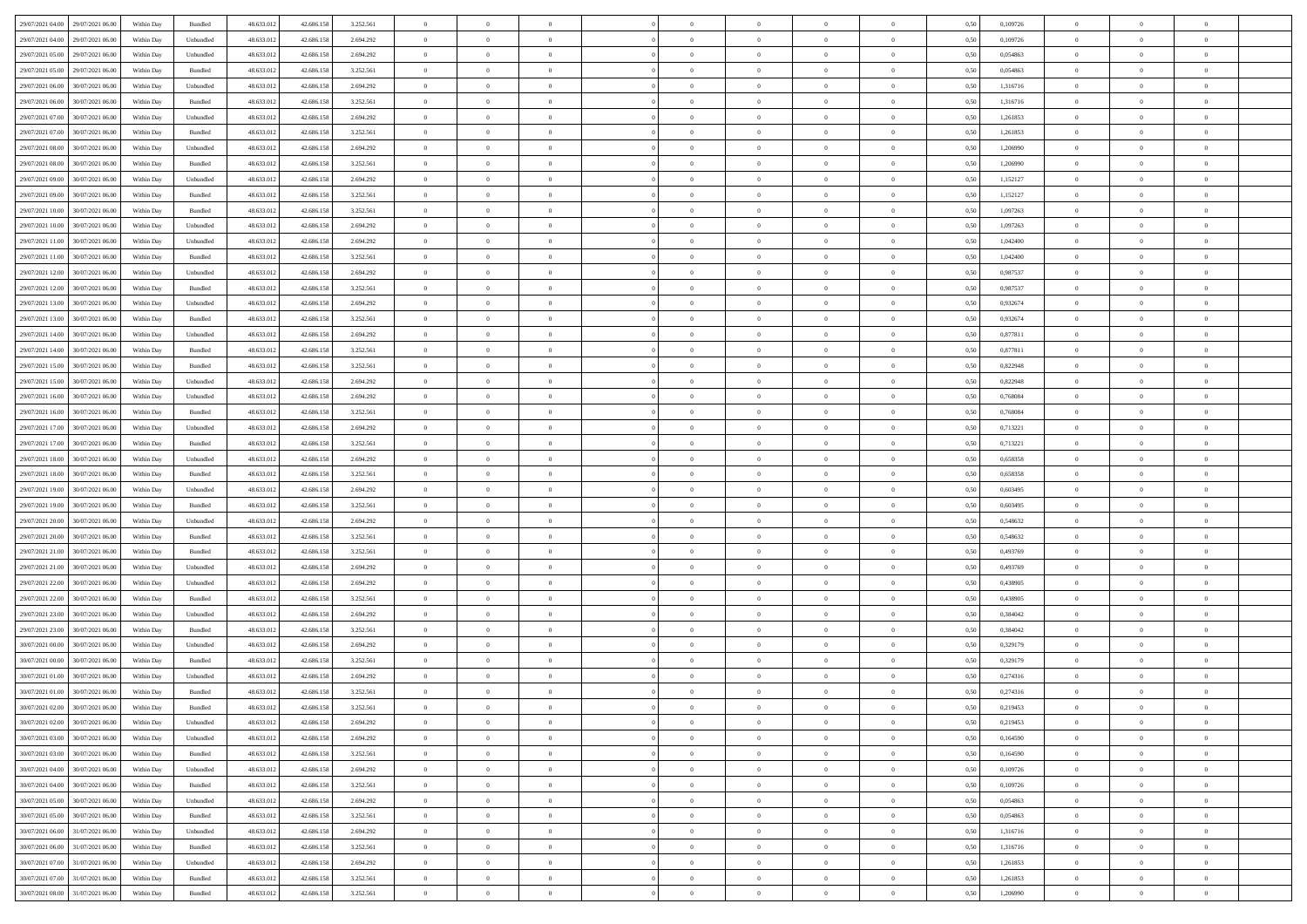| 29/07/2021 04:00 29/07/2021 06:00                   | Within Day | Bundled            | 48.633.01  | 42.686.158 | 3.252.561 | $\overline{0}$ | $\overline{0}$ |                | $\overline{0}$ | $\theta$       |                | $\theta$       | 0,50 | 0,109726 | $\theta$       | $\theta$       | $\overline{0}$ |  |
|-----------------------------------------------------|------------|--------------------|------------|------------|-----------|----------------|----------------|----------------|----------------|----------------|----------------|----------------|------|----------|----------------|----------------|----------------|--|
| 29/07/2021 04:00<br>29/07/2021 06.00                | Within Day | Unbundled          | 48.633.01  | 42.686.158 | 2.694.292 | $\bf{0}$       | $\bf{0}$       | $\bf{0}$       | $\bf{0}$       | $\overline{0}$ | $\overline{0}$ | $\bf{0}$       | 0,50 | 0,109726 | $\,$ 0 $\,$    | $\bf{0}$       | $\overline{0}$ |  |
| 29/07/2021 05:00<br>29/07/2021 06:00                | Within Day | Unbundled          | 48.633.013 | 42.686.158 | 2.694.292 | $\overline{0}$ | $\bf{0}$       | $\overline{0}$ | $\bf{0}$       | $\bf{0}$       | $\overline{0}$ | $\bf{0}$       | 0.50 | 0.054863 | $\bf{0}$       | $\overline{0}$ | $\overline{0}$ |  |
| 29/07/2021 05:00<br>29/07/2021 06:00                | Within Day | Bundled            | 48.633.01  | 42.686.158 | 3.252.561 | $\overline{0}$ | $\overline{0}$ | $\overline{0}$ | $\theta$       | $\theta$       | $\overline{0}$ | $\bf{0}$       | 0,50 | 0,054863 | $\theta$       | $\theta$       | $\overline{0}$ |  |
| 29/07/2021 06:00<br>30/07/2021 06:00                | Within Day | Unbundled          | 48.633.01  | 42.686.158 | 2.694.292 | $\bf{0}$       | $\overline{0}$ | $\bf{0}$       | $\overline{0}$ | $\bf{0}$       | $\overline{0}$ | $\bf{0}$       | 0,50 | 1,316716 | $\,$ 0 $\,$    | $\bf{0}$       | $\overline{0}$ |  |
|                                                     |            |                    |            |            |           |                |                |                |                |                |                |                |      |          |                |                |                |  |
| 29/07/2021 06:00<br>30/07/2021 06:00                | Within Day | Bundled            | 48.633.013 | 42.686.158 | 3.252.561 | $\overline{0}$ | $\overline{0}$ | $\overline{0}$ | $\bf{0}$       | $\overline{0}$ | $\theta$       | $\bf{0}$       | 0.50 | 1.316716 | $\,$ 0 $\,$    | $\theta$       | $\overline{0}$ |  |
| 29/07/2021 07:00<br>30/07/2021 06:00                | Within Day | Unbundled          | 48.633.013 | 42.686.158 | 2.694.292 | $\overline{0}$ | $\overline{0}$ | $\overline{0}$ | $\overline{0}$ | $\overline{0}$ | $\overline{0}$ | $\bf{0}$       | 0,50 | 1,261853 | $\,$ 0 $\,$    | $\theta$       | $\overline{0}$ |  |
| 29/07/2021 07:00<br>30/07/2021 06:00                | Within Day | Bundled            | 48.633.01  | 42.686.158 | 3.252.561 | $\bf{0}$       | $\bf{0}$       | $\bf{0}$       | $\overline{0}$ | $\overline{0}$ | $\overline{0}$ | $\bf{0}$       | 0,50 | 1,261853 | $\,$ 0 $\,$    | $\bf{0}$       | $\overline{0}$ |  |
| 29/07/2021 08:00<br>30/07/2021 06:00                | Within Day | Unbundled          | 48.633.013 | 42.686.158 | 2.694.292 | $\overline{0}$ | $\bf{0}$       | $\overline{0}$ | $\bf{0}$       | $\overline{0}$ | $\overline{0}$ | $\bf{0}$       | 0.50 | 1.206990 | $\bf{0}$       | $\overline{0}$ | $\overline{0}$ |  |
| 29/07/2021 08:00<br>30/07/2021 06:00                | Within Day | Bundled            | 48.633.013 | 42.686.158 | 3.252.561 | $\overline{0}$ | $\bf{0}$       | $\overline{0}$ | $\overline{0}$ | $\overline{0}$ | $\overline{0}$ | $\bf{0}$       | 0,50 | 1,206990 | $\,$ 0 $\,$    | $\bf{0}$       | $\overline{0}$ |  |
| 29/07/2021 09:00<br>30/07/2021 06:00                | Within Day | Unbundled          | 48.633.01  | 42.686.158 | 2.694.292 | $\bf{0}$       | $\bf{0}$       | $\bf{0}$       | $\bf{0}$       | $\overline{0}$ | $\overline{0}$ | $\bf{0}$       | 0,50 | 1,152127 | $\,$ 0 $\,$    | $\bf{0}$       | $\overline{0}$ |  |
| 29/07/2021 09:00<br>30/07/2021 06:00                | Within Day | Bundled            | 48.633.013 | 42.686.158 | 3.252.561 | $\overline{0}$ | $\bf{0}$       | $\overline{0}$ | $\overline{0}$ | $\bf{0}$       | $\overline{0}$ | $\bf{0}$       | 0.50 | 1,152127 | $\bf{0}$       | $\overline{0}$ | $\,$ 0         |  |
|                                                     |            |                    |            |            |           |                |                |                |                |                |                |                |      |          |                |                |                |  |
| 29/07/2021 10:00<br>30/07/2021 06:00                | Within Day | Bundled            | 48.633.01  | 42.686.158 | 3.252.561 | $\overline{0}$ | $\overline{0}$ | $\overline{0}$ | $\theta$       | $\theta$       | $\overline{0}$ | $\bf{0}$       | 0,50 | 1,097263 | $\,$ 0 $\,$    | $\theta$       | $\overline{0}$ |  |
| 29/07/2021 10:00<br>30/07/2021 06:00                | Within Day | Unbundled          | 48.633.01  | 42.686.158 | 2.694.292 | $\bf{0}$       | $\overline{0}$ | $\bf{0}$       | $\overline{0}$ | $\bf{0}$       | $\overline{0}$ | $\bf{0}$       | 0,50 | 1,097263 | $\,$ 0 $\,$    | $\bf{0}$       | $\overline{0}$ |  |
| 29/07/2021 11:00<br>30/07/2021 06:00                | Within Day | Unbundled          | 48.633.013 | 42.686.158 | 2.694.292 | $\overline{0}$ | $\bf{0}$       | $\overline{0}$ | $\bf{0}$       | $\overline{0}$ | $\theta$       | $\bf{0}$       | 0.50 | 1.042400 | $\,$ 0 $\,$    | $\theta$       | $\overline{0}$ |  |
| 29/07/2021 11:00<br>30/07/2021 06:00                | Within Day | Bundled            | 48.633.013 | 42.686.158 | 3.252.561 | $\overline{0}$ | $\overline{0}$ | $\overline{0}$ | $\overline{0}$ | $\overline{0}$ | $\overline{0}$ | $\bf{0}$       | 0,50 | 1,042400 | $\theta$       | $\theta$       | $\overline{0}$ |  |
| 29/07/2021 12:00<br>30/07/2021 06:00                | Within Day | Unbundled          | 48.633.01  | 42.686.158 | 2.694.292 | $\bf{0}$       | $\bf{0}$       | $\bf{0}$       | $\overline{0}$ | $\bf{0}$       | $\overline{0}$ | $\bf{0}$       | 0,50 | 0,987537 | $\,$ 0 $\,$    | $\bf{0}$       | $\overline{0}$ |  |
| 29/07/2021 12:00<br>30/07/2021 06:00                | Within Day | Bundled            | 48.633.013 | 42.686.158 | 3.252.561 | $\overline{0}$ | $\bf{0}$       | $\overline{0}$ | $\bf{0}$       | $\overline{0}$ | $\overline{0}$ | $\bf{0}$       | 0.50 | 0.987537 | $\bf{0}$       | $\overline{0}$ | $\overline{0}$ |  |
| 29/07/2021 13:00<br>30/07/2021 06:00                | Within Day | Unbundled          | 48.633.013 | 42.686.158 | 2.694.292 | $\overline{0}$ | $\bf{0}$       | $\overline{0}$ | $\overline{0}$ | $\overline{0}$ | $\overline{0}$ | $\bf{0}$       | 0,50 | 0,932674 | $\,$ 0 $\,$    | $\bf{0}$       | $\overline{0}$ |  |
|                                                     |            |                    |            |            |           |                |                |                |                |                |                |                |      |          |                |                |                |  |
| 29/07/2021 13:00<br>30/07/2021 06:00                | Within Day | Bundled            | 48.633.01  | 42.686.158 | 3.252.561 | $\bf{0}$       | $\bf{0}$       | $\bf{0}$       | $\bf{0}$       | $\overline{0}$ | $\overline{0}$ | $\bf{0}$       | 0,50 | 0,932674 | $\,$ 0 $\,$    | $\bf{0}$       | $\overline{0}$ |  |
| 29/07/2021 14:00<br>30/07/2021 06:00                | Within Day | Unbundled          | 48.633.013 | 42.686.158 | 2.694.292 | $\overline{0}$ | $\bf{0}$       | $\overline{0}$ | $\overline{0}$ | $\bf{0}$       | $\overline{0}$ | $\bf{0}$       | 0.50 | 0.877811 | $\bf{0}$       | $\overline{0}$ | $\,$ 0         |  |
| 29/07/2021 14:00<br>30/07/2021 06:00                | Within Day | Bundled            | 48.633.01  | 42.686.158 | 3.252.561 | $\overline{0}$ | $\overline{0}$ | $\overline{0}$ | $\theta$       | $\theta$       | $\overline{0}$ | $\bf{0}$       | 0,50 | 0,877811 | $\theta$       | $\theta$       | $\overline{0}$ |  |
| 29/07/2021 15:00<br>30/07/2021 06:00                | Within Day | Bundled            | 48.633.01  | 42.686.158 | 3.252.561 | $\bf{0}$       | $\bf{0}$       | $\bf{0}$       | $\bf{0}$       | $\overline{0}$ | $\overline{0}$ | $\bf{0}$       | 0,50 | 0,822948 | $\,$ 0 $\,$    | $\bf{0}$       | $\overline{0}$ |  |
| 29/07/2021 15:00<br>30/07/2021 06:00                | Within Day | Unbundled          | 48.633.013 | 42.686.158 | 2.694.292 | $\overline{0}$ | $\overline{0}$ | $\overline{0}$ | $\bf{0}$       | $\overline{0}$ | $\theta$       | $\bf{0}$       | 0.50 | 0.822948 | $\,$ 0 $\,$    | $\theta$       | $\overline{0}$ |  |
| 29/07/2021 16:00<br>30/07/2021 06:00                | Within Day | Unbundled          | 48.633.013 | 42.686.158 | 2.694.292 | $\overline{0}$ | $\overline{0}$ | $\overline{0}$ | $\overline{0}$ | $\overline{0}$ | $\overline{0}$ | $\bf{0}$       | 0,50 | 0,768084 | $\,$ 0 $\,$    | $\theta$       | $\overline{0}$ |  |
| 29/07/2021 16:00<br>30/07/2021 06:00                | Within Day | Bundled            | 48.633.01  | 42.686.158 | 3.252.561 | $\bf{0}$       | $\overline{0}$ | $\bf{0}$       | $\overline{0}$ | $\bf{0}$       | $\overline{0}$ | $\bf{0}$       | 0,50 | 0,768084 | $\,$ 0 $\,$    | $\bf{0}$       | $\overline{0}$ |  |
| 29/07/2021 17:00<br>30/07/2021 06:00                | Within Day | Unbundled          | 48.633.013 | 42.686.158 | 2.694.292 | $\overline{0}$ | $\bf{0}$       | $\overline{0}$ | $\bf{0}$       | $\overline{0}$ | $\overline{0}$ | $\bf{0}$       | 0.50 | 0.713221 | $\bf{0}$       | $\overline{0}$ | $\overline{0}$ |  |
| 29/07/2021 17:00<br>30/07/2021 06:00                | Within Day | Bundled            | 48.633.013 | 42.686.158 | 3.252.561 | $\overline{0}$ | $\bf{0}$       | $\overline{0}$ | $\overline{0}$ | $\overline{0}$ | $\overline{0}$ | $\bf{0}$       | 0,50 | 0,713221 | $\,$ 0 $\,$    | $\theta$       | $\overline{0}$ |  |
|                                                     |            |                    |            |            |           |                |                |                |                |                |                |                |      |          |                |                |                |  |
| 29/07/2021 18:00<br>30/07/2021 06:00                | Within Day | Unbundled          | 48.633.01  | 42.686.158 | 2.694.292 | $\bf{0}$       | $\bf{0}$       | $\bf{0}$       | $\bf{0}$       | $\overline{0}$ | $\overline{0}$ | $\bf{0}$       | 0,50 | 0,658358 | $\,$ 0 $\,$    | $\bf{0}$       | $\overline{0}$ |  |
| 29/07/2021 18:00<br>30/07/2021 06:00                | Within Day | Bundled            | 48.633.013 | 42.686.158 | 3.252.561 | $\overline{0}$ | $\bf{0}$       | $\overline{0}$ | $\bf{0}$       | $\bf{0}$       | $\overline{0}$ | $\bf{0}$       | 0.50 | 0.658358 | $\bf{0}$       | $\overline{0}$ | $\bf{0}$       |  |
| 29/07/2021 19:00<br>30/07/2021 06:00                | Within Day | Unbundled          | 48.633.013 | 42.686.158 | 2.694.292 | $\overline{0}$ | $\overline{0}$ | $\overline{0}$ | $\overline{0}$ | $\overline{0}$ | $\overline{0}$ | $\bf{0}$       | 0.5( | 0,603495 | $\theta$       | $\theta$       | $\overline{0}$ |  |
| 29/07/2021 19:00<br>30/07/2021 06:00                | Within Day | Bundled            | 48.633.01  | 42.686.158 | 3.252.561 | $\bf{0}$       | $\overline{0}$ | $\bf{0}$       | $\bf{0}$       | $\overline{0}$ | $\overline{0}$ | $\bf{0}$       | 0,50 | 0,603495 | $\,$ 0 $\,$    | $\bf{0}$       | $\overline{0}$ |  |
| 29/07/2021 20:00<br>30/07/2021 06:00                | Within Day | Unbundled          | 48.633.013 | 42.686.158 | 2.694.292 | $\overline{0}$ | $\bf{0}$       | $\overline{0}$ | $\bf{0}$       | $\overline{0}$ | $\overline{0}$ | $\bf{0}$       | 0.50 | 0.548632 | $\,$ 0 $\,$    | $\bf{0}$       | $\overline{0}$ |  |
| 29/07/2021 20:00<br>30/07/2021 06:00                | Within Dav | Bundled            | 48.633.013 | 42.686.158 | 3.252.561 | $\overline{0}$ | $\overline{0}$ | $\overline{0}$ | $\overline{0}$ | $\theta$       | $\overline{0}$ | $\bf{0}$       | 0.50 | 0,548632 | $\theta$       | $\theta$       | $\overline{0}$ |  |
| 29/07/2021 21:00<br>30/07/2021 06:00                | Within Day | Bundled            | 48.633.01  | 42.686.158 | 3.252.561 | $\bf{0}$       | $\bf{0}$       | $\bf{0}$       | $\bf{0}$       | $\overline{0}$ | $\overline{0}$ | $\bf{0}$       | 0,50 | 0,493769 | $\,$ 0 $\,$    | $\bf{0}$       | $\overline{0}$ |  |
| 29/07/2021 21:00<br>30/07/2021 06:00                | Within Day | Unbundled          | 48.633.013 | 42.686.158 | 2.694.292 | $\overline{0}$ | $\bf{0}$       | $\overline{0}$ | $\bf{0}$       | $\overline{0}$ | $\overline{0}$ | $\bf{0}$       | 0.50 | 0.493769 | $\bf{0}$       | $\overline{0}$ | $\overline{0}$ |  |
|                                                     |            |                    |            |            |           |                |                |                |                |                |                |                |      |          |                |                |                |  |
| 29/07/2021 22:00<br>30/07/2021 06:00                | Within Day | Unbundled          | 48.633.013 | 42.686.158 | 2.694.292 | $\overline{0}$ | $\overline{0}$ | $\overline{0}$ | $\overline{0}$ | $\overline{0}$ | $\overline{0}$ | $\bf{0}$       | 0.50 | 0,438905 | $\theta$       | $\theta$       | $\overline{0}$ |  |
| 29/07/2021 22:00<br>30/07/2021 06:00                | Within Day | Bundled            | 48.633.01  | 42.686.158 | 3.252.561 | $\bf{0}$       | $\bf{0}$       | $\bf{0}$       | $\bf{0}$       | $\overline{0}$ | $\overline{0}$ | $\bf{0}$       | 0,50 | 0,438905 | $\,$ 0 $\,$    | $\bf{0}$       | $\overline{0}$ |  |
| 29/07/2021 23:00<br>30/07/2021 06:00                | Within Day | Unbundled          | 48.633.013 | 42.686.158 | 2.694.292 | $\overline{0}$ | $\bf{0}$       | $\overline{0}$ | $\overline{0}$ | $\bf{0}$       | $\overline{0}$ | $\bf{0}$       | 0.50 | 0.384042 | $\bf{0}$       | $\overline{0}$ | $\overline{0}$ |  |
| 29/07/2021 23:00<br>30/07/2021 06:00                | Within Day | Bundled            | 48.633.013 | 42.686.158 | 3.252.561 | $\overline{0}$ | $\overline{0}$ | $\overline{0}$ | $\overline{0}$ | $\overline{0}$ | $\overline{0}$ | $\bf{0}$       | 0.50 | 0,384042 | $\theta$       | $\theta$       | $\overline{0}$ |  |
| 30/07/2021 00:00<br>30/07/2021 06:00                | Within Day | Unbundled          | 48.633.01  | 42.686.158 | 2.694.292 | $\bf{0}$       | $\bf{0}$       | $\bf{0}$       | $\bf{0}$       | $\overline{0}$ | $\overline{0}$ | $\bf{0}$       | 0,50 | 0,329179 | $\,$ 0 $\,$    | $\bf{0}$       | $\overline{0}$ |  |
| 30/07/2021 00:00<br>30/07/2021 06:00                | Within Day | Bundled            | 48.633.013 | 42.686.158 | 3.252.561 | $\overline{0}$ | $\overline{0}$ | $\overline{0}$ | $\bf{0}$       | $\overline{0}$ | $\Omega$       | $\bf{0}$       | 0.50 | 0,329179 | $\bf{0}$       | $\theta$       | $\overline{0}$ |  |
| 30/07/2021 01:00<br>30/07/2021 06:00                | Within Dav | Unbundled          | 48.633.013 | 42.686.158 | 2.694.292 | $\overline{0}$ | $\overline{0}$ | $\Omega$       | $\overline{0}$ | $\theta$       | $\overline{0}$ | $\overline{0}$ | 0.5( | 0,274316 | $\theta$       | $\theta$       | $\overline{0}$ |  |
| 30/07/2021 01:00<br>30/07/2021 06:00                | Within Day | Bundled            | 48.633.01  | 42.686.158 | 3.252.561 | $\bf{0}$       | $\bf{0}$       | $\overline{0}$ | $\bf{0}$       | $\bf{0}$       | $\overline{0}$ | $\bf{0}$       | 0,50 | 0,274316 | $\overline{0}$ | $\bf{0}$       | $\overline{0}$ |  |
| $30/07/2021\ 02.00 \qquad \qquad 30/07/2021\ 06.00$ | Within Day | $\mathbf B$ undled | 48.633.012 | 42.686.158 | 3.252.561 | $\bf{0}$       | $\Omega$       |                | $\Omega$       |                |                |                | 0,50 | 0,219453 | $\bf{0}$       | $\overline{0}$ |                |  |
|                                                     |            |                    |            |            |           |                |                |                |                |                |                |                |      |          |                |                |                |  |
| 30/07/2021 02:00 30/07/2021 06:00                   | Within Day | Unbundled          | 48.633.012 | 42.686.158 | 2.694.292 | $\overline{0}$ | $\overline{0}$ | $\Omega$       | $\theta$       | $\overline{0}$ | $\overline{0}$ | $\bf{0}$       | 0,50 | 0,219453 | $\theta$       | $\overline{0}$ | $\overline{0}$ |  |
| 30/07/2021 03:00<br>30/07/2021 06:00                | Within Day | Unbundled          | 48.633.013 | 42.686.158 | 2.694.292 | $\overline{0}$ | $\bf{0}$       | $\overline{0}$ | $\overline{0}$ | $\bf{0}$       | $\overline{0}$ | $\bf{0}$       | 0,50 | 0,164590 | $\bf{0}$       | $\overline{0}$ | $\bf{0}$       |  |
| 30/07/2021 03:00<br>30/07/2021 06:00                | Within Day | Bundled            | 48.633.012 | 42.686.158 | 3.252.561 | $\overline{0}$ | $\bf{0}$       | $\overline{0}$ | $\overline{0}$ | $\mathbf{0}$   | $\overline{0}$ | $\,$ 0 $\,$    | 0.50 | 0.164590 | $\overline{0}$ | $\bf{0}$       | $\,$ 0 $\,$    |  |
| 30/07/2021 04:00<br>30/07/2021 06:00                | Within Dav | Unbundled          | 48.633.012 | 42.686.158 | 2.694.292 | $\overline{0}$ | $\overline{0}$ | $\overline{0}$ | $\overline{0}$ | $\overline{0}$ | $\overline{0}$ | $\bf{0}$       | 0,50 | 0,109726 | $\overline{0}$ | $\theta$       | $\overline{0}$ |  |
| 30/07/2021 04:00<br>30/07/2021 06:00                | Within Day | Bundled            | 48.633.012 | 42.686.158 | 3.252.561 | $\overline{0}$ | $\bf{0}$       | $\overline{0}$ | $\overline{0}$ | $\overline{0}$ | $\overline{0}$ | $\bf{0}$       | 0,50 | 0,109726 | $\bf{0}$       | $\overline{0}$ | $\overline{0}$ |  |
| 30/07/2021 05:00<br>30/07/2021 06:00                | Within Day | Unbundled          | 48.633.012 | 42.686.158 | 2.694.292 | $\overline{0}$ | $\bf{0}$       | $\overline{0}$ | $\overline{0}$ | $\bf{0}$       | $\overline{0}$ | $\bf{0}$       | 0.50 | 0.054863 | $\,$ 0 $\,$    | $\overline{0}$ | $\,$ 0         |  |
| 30/07/2021 05:00<br>30/07/2021 06:00                | Within Dav | Bundled            | 48.633.012 | 42.686.158 | 3.252.561 | $\overline{0}$ | $\overline{0}$ | $\overline{0}$ | $\overline{0}$ | $\overline{0}$ | $\overline{0}$ | $\bf{0}$       | 0.50 | 0,054863 | $\overline{0}$ | $\theta$       | $\overline{0}$ |  |
|                                                     |            |                    |            |            |           |                |                |                |                |                |                |                |      |          |                |                |                |  |
| 30/07/2021 06:00<br>31/07/2021 06:00                | Within Day | Unbundled          | 48.633.013 | 42.686.158 | 2.694.292 | $\overline{0}$ | $\overline{0}$ | $\overline{0}$ | $\overline{0}$ | $\overline{0}$ | $\overline{0}$ | $\bf{0}$       | 0,50 | 1,316716 | $\bf{0}$       | $\overline{0}$ | $\overline{0}$ |  |
| 31/07/2021 06:00<br>30/07/2021 06:00                | Within Day | Bundled            | 48.633.012 | 42.686.158 | 3.252.561 | $\overline{0}$ | $\overline{0}$ | $\overline{0}$ | $\overline{0}$ | $\overline{0}$ | $\overline{0}$ | $\bf{0}$       | 0.50 | 1.316716 | $\mathbf{0}$   | $\bf{0}$       | $\,$ 0         |  |
| 30/07/2021 07:00<br>31/07/2021 06:00                | Within Dav | Unbundled          | 48.633.012 | 42.686.158 | 2.694.292 | $\overline{0}$ | $\overline{0}$ | $\overline{0}$ | $\overline{0}$ | $\overline{0}$ | $\overline{0}$ | $\bf{0}$       | 0,50 | 1,261853 | $\overline{0}$ | $\theta$       | $\overline{0}$ |  |
| 30/07/2021 07:00<br>31/07/2021 06:00                | Within Day | Bundled            | 48.633.013 | 42.686.158 | 3.252.561 | $\overline{0}$ | $\bf{0}$       | $\overline{0}$ | $\bf{0}$       | $\overline{0}$ | $\overline{0}$ | $\bf{0}$       | 0,50 | 1,261853 | $\bf{0}$       | $\,$ 0 $\,$    | $\bf{0}$       |  |
| 30/07/2021 08:00 31/07/2021 06:00                   | Within Day | Bundled            | 48.633.012 | 42.686.158 | 3.252.561 | $\,$ 0 $\,$    | $\bf{0}$       | $\overline{0}$ | $\overline{0}$ | $\,$ 0 $\,$    | $\overline{0}$ | $\bf{0}$       | 0,50 | 1,206990 | $\overline{0}$ | $\,$ 0 $\,$    | $\,$ 0 $\,$    |  |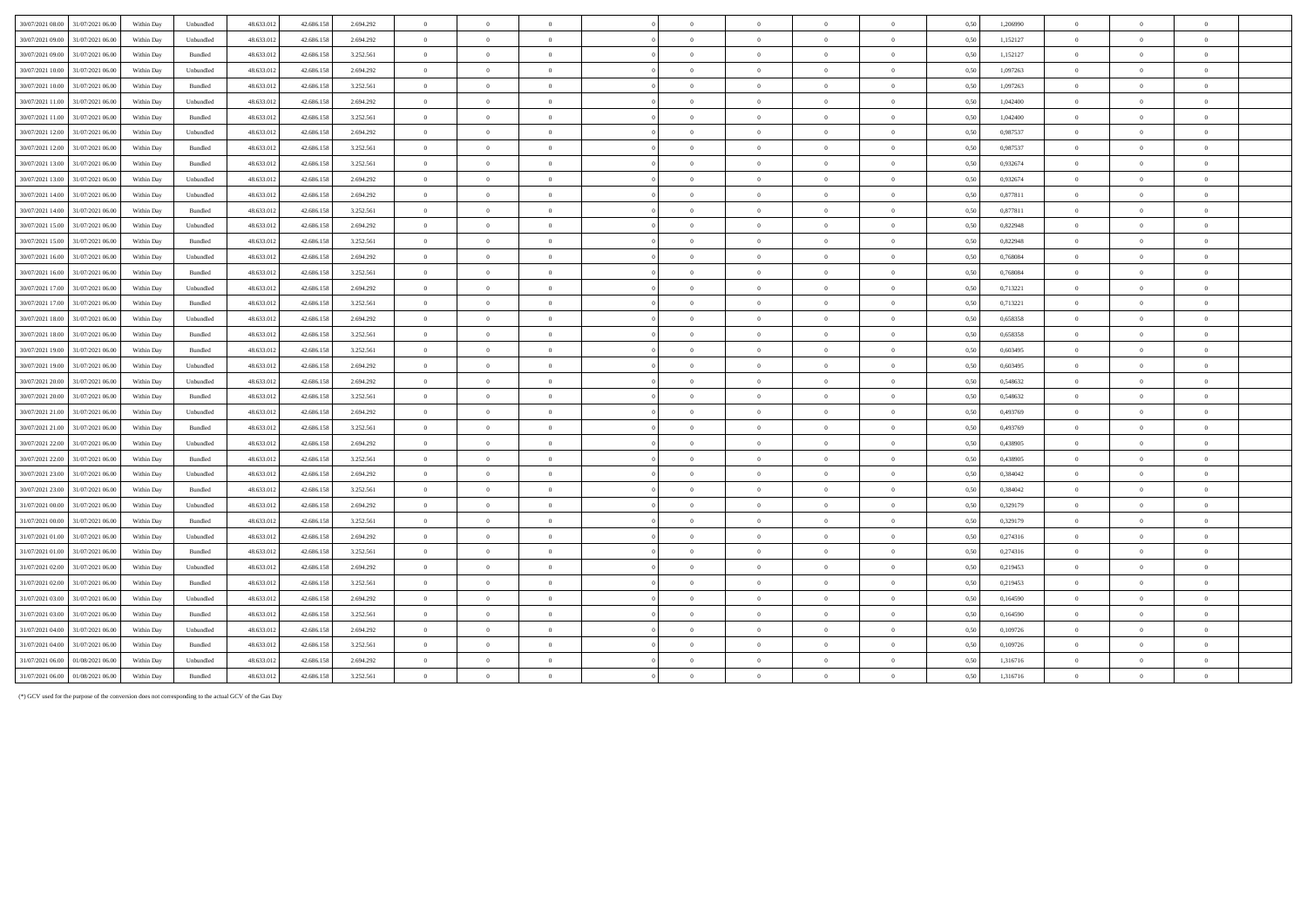| 30/07/2021 08:00 31/07/2021 06:00    | Within Day | Unbundled         | 48.633.012 | 42.686.158 | 2.694.292 | $\,$ 0 $\,$    | $\overline{0}$ | $\overline{0}$ | $\overline{0}$ | $\Omega$       | $\overline{0}$ | $\overline{0}$ | 0.50 | 1,206990 | $\overline{0}$ | $\overline{0}$ |                |
|--------------------------------------|------------|-------------------|------------|------------|-----------|----------------|----------------|----------------|----------------|----------------|----------------|----------------|------|----------|----------------|----------------|----------------|
| 30/07/2021 09:00 31/07/2021 06:00    | Within Day | Unbundled         | 48.633.012 | 42.686.158 | 2.694.292 | $\overline{0}$ | $\Omega$       | $\theta$       | $\Omega$       | $\theta$       | $\Omega$       | $\overline{0}$ | 0.50 | 1,152127 | $\overline{0}$ | $\Omega$       | $\mathbf{a}$   |
| 31/07/2021 06:00<br>30/07/2021 09:00 | Within Day | Bundled           | 48.633.012 | 42.686.158 | 3.252.561 | $\overline{0}$ | $\overline{0}$ | $\overline{0}$ | $\overline{0}$ | $\mathbf{0}$   | $\overline{0}$ | $\bf{0}$       | 0,50 | 1,152127 | $\Omega$       | $\Omega$       | $\theta$       |
| 30/07/2021 10:00<br>31/07/2021 06:00 | Within Dav | Unbundled         | 48.633.012 | 42.686.158 | 2.694.292 | $\overline{0}$ | $\overline{0}$ | $\overline{0}$ | $\overline{0}$ | $\bf{0}$       | $\overline{0}$ | $\overline{0}$ | 0.50 | 1.097263 | $\overline{0}$ | $\overline{0}$ | $\bf{0}$       |
| 30/07/2021 10:00<br>31/07/2021 06:00 | Within Day | Bundled           | 48.633.012 | 42.686.158 | 3.252.561 | $\overline{0}$ | $\overline{0}$ | $\Omega$       | $\theta$       | $\theta$       | $\Omega$       | $\overline{0}$ | 0.50 | 1.097263 | $\theta$       | $\overline{0}$ | $\theta$       |
| 30/07/2021 11:00 31/07/2021 06:00    | Within Dav | Unbundled         | 48.633.012 | 42.686.158 | 2.694.292 | $\overline{0}$ | $\Omega$       | $\theta$       | $\theta$       | $\Omega$       | $\Omega$       | $\overline{0}$ | 0.50 | 1.042400 | $\Omega$       | $\sqrt{2}$     |                |
| 30/07/2021 11:00<br>31/07/2021 06:00 | Within Day | Bundled           | 48.633.012 | 42.686.158 | 3.252.561 | $\overline{0}$ | $\overline{0}$ | $\overline{0}$ | $\overline{0}$ | $\overline{0}$ | $\overline{0}$ | $\bf{0}$       | 0,50 | 1,042400 | $\overline{0}$ | $\overline{0}$ | $\theta$       |
| 30/07/2021 12:00<br>31/07/2021 06:00 | Within Day | Unbundled         | 48.633.012 | 42.686.158 | 2.694.292 | $\overline{0}$ | $\overline{0}$ | $\overline{0}$ | $\overline{0}$ | $\theta$       | $\overline{0}$ | $\overline{0}$ | 0,50 | 0,987537 | $\Omega$       | $\theta$       | $\theta$       |
| 30/07/2021 12:00<br>31/07/2021 06:00 | Within Day | Bundled           | 48.633.012 | 42.686.158 | 3.252.561 | $\overline{0}$ | $\theta$       | $\Omega$       | $\Omega$       | $\theta$       | $\Omega$       | $\Omega$       | 0,50 | 0,987537 | $\Omega$       | $\theta$       | $\Omega$       |
| 30/07/2021 13:00<br>31/07/2021 06:00 | Within Day | Bundled           | 48.633.013 | 42.686.158 | 3.252.561 | $\overline{0}$ | $\overline{0}$ | $\overline{0}$ | $\overline{0}$ | $\Omega$       | $\overline{0}$ | $\overline{0}$ | 0,50 | 0,932674 | $\Omega$       | $\Omega$       | $\Omega$       |
| 30/07/2021 13:00<br>31/07/2021 06:00 | Within Day | Unbundled         | 48.633.012 | 42.686.158 | 2.694.292 | $\overline{0}$ | $\overline{0}$ | $\overline{0}$ | $\overline{0}$ | $\bf{0}$       | $\overline{0}$ | $\overline{0}$ | 0,50 | 0.932674 | $\overline{0}$ | $\overline{0}$ | $\theta$       |
| 30/07/2021 14:00<br>31/07/2021 06.00 | Within Day | Unbundled         | 48.633.012 | 42.686.158 | 2.694.292 | $\overline{0}$ | $\overline{0}$ | $\overline{0}$ | $\overline{0}$ | $\theta$       | $\overline{0}$ | $\overline{0}$ | 0,50 | 0,877811 | $\overline{0}$ | $\overline{0}$ | $\mathbf{a}$   |
| 30/07/2021 14:00 31/07/2021 06:00    | Within Day | Bundled           | 48 633 013 | 42.686.158 | 3.252.561 | $\overline{0}$ | $\Omega$       | $\Omega$       | $\Omega$       | $\Omega$       | $\Omega$       | $\theta$       | 0.50 | 0.877811 | $\Omega$       | $\sqrt{2}$     | $\mathbf{a}$   |
| 30/07/2021 15:00<br>31/07/2021 06.00 | Within Day | Unbundled         | 48.633.012 | 42.686.158 | 2.694.292 | $\overline{0}$ | $\overline{0}$ | $\overline{0}$ | $\overline{0}$ | $\mathbf{0}$   | $\overline{0}$ | $\bf{0}$       | 0,50 | 0,822948 | $\overline{0}$ | $\overline{0}$ | $\theta$       |
| 30/07/2021 15:00<br>31/07/2021 06:00 | Within Dav | Bundled           | 48 633 013 | 42.686.158 | 3.252.561 | $\overline{0}$ | $\overline{0}$ | $\overline{0}$ | $\overline{0}$ | $\mathbf{0}$   | $\overline{0}$ | $\bf{0}$       | 0.50 | 0.822948 | $\overline{0}$ | $\Omega$       | $\mathbf{0}$   |
| 30/07/2021 16:00<br>31/07/2021 06:00 | Within Day | Unbundled         | 48.633.012 | 42.686.158 | 2.694.292 | $\overline{0}$ | $\Omega$       | $\overline{0}$ | $\Omega$       | $\theta$       | $\Omega$       | $\overline{0}$ | 0.50 | 0.768084 | $\Omega$       | $\Omega$       | $\sqrt{2}$     |
| 30/07/2021 16:00<br>31/07/2021 06:00 | Within Day | <b>Bundled</b>    | 48.633.012 | 42.686.158 | 3.252.561 | $\overline{0}$ | $\Omega$       | $\theta$       | $\Omega$       | $\Omega$       | $\Omega$       | $\overline{0}$ | 0.50 | 0.768084 | $\Omega$       | $\Omega$       |                |
| 30/07/2021 17:00<br>31/07/2021 06:00 | Within Day | Unbundled         | 48.633.012 | 42.686.158 | 2.694.292 | $\overline{0}$ | $\overline{0}$ | $\overline{0}$ | $\overline{0}$ | $\mathbf{0}$   | $\Omega$       | $\overline{0}$ | 0.50 | 0.713221 | $\overline{0}$ | $\overline{0}$ | $\theta$       |
| 30/07/2021 17:00<br>31/07/2021 06:00 | Within Day | Bundled           | 48.633.012 | 42.686.158 | 3.252.561 | $\overline{0}$ | $\overline{0}$ | $\overline{0}$ | $\overline{0}$ | $\theta$       | $\overline{0}$ | $\overline{0}$ | 0,50 | 0,713221 | $\overline{0}$ | $\theta$       | $\theta$       |
| 30/07/2021 18:00<br>31/07/2021 06:00 | Within Day | Unbundled         | 48.633.012 | 42.686.158 | 2.694.292 | $\overline{0}$ | $\overline{0}$ | $\theta$       | $\Omega$       | $\theta$       | $\overline{0}$ | $\overline{0}$ | 0,50 | 0,658358 | $\overline{0}$ | $\theta$       | $\theta$       |
| 30/07/2021 18:00<br>31/07/2021 06:00 | Within Day | Bundled           | 48.633.012 | 42.686.158 | 3.252.561 | $\overline{0}$ | $\overline{0}$ | $\overline{0}$ | $\Omega$       | $\Omega$       | $\Omega$       | $\overline{0}$ | 0,50 | 0,658358 | $\Omega$       | $\theta$       |                |
| 30/07/2021 19:00<br>31/07/2021 06:00 | Within Day | Bundled           | 48.633.012 | 42.686.158 | 3.252.561 | $\overline{0}$ | $\overline{0}$ | $\overline{0}$ | $\overline{0}$ | $\bf{0}$       | $\overline{0}$ | $\overline{0}$ | 0,50 | 0,603495 | $\overline{0}$ | $\overline{0}$ | $\overline{0}$ |
| 30/07/2021 19:00<br>31/07/2021 06:00 | Within Day | Unbundled         | 48.633.013 | 42.686.158 | 2.694.292 | $\overline{0}$ | $\overline{0}$ | $\overline{0}$ | $\overline{0}$ | $\overline{0}$ | $\overline{0}$ | $\overline{0}$ | 0,50 | 0,603495 | $\overline{0}$ | $\overline{0}$ | $\Omega$       |
| 30/07/2021 20:00<br>31/07/2021 06.00 | Within Day | Unbundled         | 48.633.012 | 42.686.158 | 2.694.292 | $\overline{0}$ | $\overline{0}$ | $\overline{0}$ | $\overline{0}$ | $\theta$       | $\overline{0}$ | $\overline{0}$ | 0,50 | 0,548632 | $\overline{0}$ | $\theta$       | $\Omega$       |
| 30/07/2021 20:00<br>31/07/2021 06.00 | Within Day | Bundled           | 48.633.012 | 42.686.158 | 3.252.561 | $\overline{0}$ | $\overline{0}$ | $\overline{0}$ | $\overline{0}$ | $\Omega$       | $\overline{0}$ | $\overline{0}$ | 0.50 | 0.548632 | $\Omega$       | $\theta$       | $\sqrt{2}$     |
| 30/07/2021 21:00<br>31/07/2021 06:00 | Within Dav | ${\sf Unbundred}$ | 48.633.012 | 42.686.158 | 2.694.292 | $\overline{0}$ | $\overline{0}$ | $\overline{0}$ | $\overline{0}$ | $\bf{0}$       | $\overline{0}$ | $\overline{0}$ | 0.50 | 0.493769 | $\overline{0}$ | $\Omega$       | $\sqrt{2}$     |
| 30/07/2021 21:00<br>31/07/2021 06:00 | Within Dav | Bundled           | 48.633.012 | 42.686.158 | 3.252.561 | $\overline{0}$ | $\overline{0}$ | $\overline{0}$ | $\Omega$       | $\Omega$       | $\theta$       | $\overline{0}$ | 0.50 | 0.493769 | $\Omega$       | $\overline{0}$ | $\sqrt{2}$     |
| 30/07/2021 22:00 31/07/2021 06:00    | Within Day | Unbundled         | 48.633.012 | 42.686.158 | 2.694.292 | $\overline{0}$ | $\Omega$       | $\overline{0}$ | $\theta$       | $\mathbf{0}$   | $\theta$       | $\theta$       | 0.50 | 0.438905 | $\theta$       | $\Omega$       | $\Omega$       |
| 30/07/2021 22:00<br>31/07/2021 06:00 | Within Day | Bundled           | 48.633.012 | 42.686.158 | 3.252.561 | $\overline{0}$ | $\Omega$       | $\overline{0}$ | $\theta$       | $\theta$       | $\Omega$       | $\overline{0}$ | 0.50 | 0.438905 | $\Omega$       | $\Omega$       | $\theta$       |
| 30/07/2021 23:00<br>31/07/2021 06:00 | Within Dav | Unbundled         | 48,633,012 | 42.686.158 | 2.694.292 | $\overline{0}$ | $\overline{0}$ | $\overline{0}$ | $\overline{0}$ | $\mathbf{0}$   | $\overline{0}$ | $\theta$       | 0.50 | 0.384042 | $\overline{0}$ | $\Omega$       | $\theta$       |
| 30/07/2021 23:00<br>31/07/2021 06:00 | Within Day | <b>Bundled</b>    | 48,633,012 | 42,686,158 | 3.252.561 | $\overline{0}$ | $\Omega$       | $\overline{0}$ | $\theta$       | $\theta$       | $\Omega$       | $\theta$       | 0.50 | 0.384042 | $\overline{0}$ | $\Omega$       | $\sqrt{2}$     |
| 31/07/2021 00:00<br>31/07/2021 06:00 | Within Day | Unbundled         | 48.633.012 | 42.686.158 | 2.694.292 | $\overline{0}$ | $\overline{0}$ | $\overline{0}$ | $\overline{0}$ | $\theta$       | $\overline{0}$ | $\bf{0}$       | 0,50 | 0,329179 | $\theta$       | $\Omega$       |                |
| 31/07/2021 00:00<br>31/07/2021 06:00 | Within Day | Bundled           | 48.633.012 | 42.686.158 | 3.252.561 | $\overline{0}$ | $\overline{0}$ | $\overline{0}$ | $\overline{0}$ | $\overline{0}$ | $\overline{0}$ | $\overline{0}$ | 0,50 | 0,329179 | $\overline{0}$ | $\Omega$       | $\theta$       |
| 31/07/2021 01:00<br>31/07/2021 06:00 | Within Day | Unbundled         | 48.633.012 | 42.686.158 | 2.694.292 | $\overline{0}$ | $\overline{0}$ | $\overline{0}$ | $\overline{0}$ | $\theta$       | $\overline{0}$ | $\bf{0}$       | 0,50 | 0,274316 | $\overline{0}$ | $\Omega$       |                |
| 31/07/2021 01:00 31/07/2021 06:00    | Within Day | Bundled           | 48.633.012 | 42.686.158 | 3.252.561 | $\overline{0}$ | $\overline{0}$ | $\overline{0}$ | $\overline{0}$ | $\theta$       | $\overline{0}$ | $\bf{0}$       | 0,50 | 0,274316 | $\overline{0}$ | $\Omega$       | $\theta$       |
| 31/07/2021 02:00<br>31/07/2021 06:00 | Within Day | Unbundled         | 48.633.013 | 42.686.158 | 2.694.292 | $\overline{0}$ | $\overline{0}$ | $\overline{0}$ | $\overline{0}$ | $\overline{0}$ | $\overline{0}$ | $\bf{0}$       | 0,50 | 0,219453 | $\overline{0}$ | $\overline{0}$ | $\theta$       |
| 31/07/2021 02:00<br>31/07/2021 06:00 | Within Day | Bundled           | 48.633.012 | 42.686.158 | 3.252.561 | $\overline{0}$ | $\overline{0}$ | $\overline{0}$ | $\overline{0}$ | $\theta$       | $\overline{0}$ | $\bf{0}$       | 0,50 | 0,219453 | $\overline{0}$ | $\overline{0}$ | $\overline{0}$ |
| 31/07/2021 03:00<br>31/07/2021 06:00 | Within Day | Unbundled         | 48.633.013 | 42.686.158 | 2.694.292 | $\overline{0}$ | $\overline{0}$ | $\overline{0}$ | $\overline{0}$ | $\Omega$       | $\overline{0}$ | $\overline{0}$ | 0.50 | 0,164590 | $\Omega$       | $\overline{0}$ | $\sqrt{2}$     |
| 31/07/2021 03:00 31/07/2021 06:00    | Within Day | Bundled           | 48.633.012 | 42.686.158 | 3.252.561 | $\overline{0}$ | $\overline{0}$ | $\theta$       | $\Omega$       | $\Omega$       | $\overline{0}$ | $\overline{0}$ | 0.50 | 0.164590 | $\overline{0}$ | $\sqrt{2}$     | $\mathbf{a}$   |
| 31/07/2021 04:00<br>31/07/2021 06:00 | Within Day | Unbundled         | 48.633.012 | 42.686.158 | 2.694.292 | $\overline{0}$ | $\bf{0}$       | $\,$ 0 $\,$    | $\overline{0}$ | $\theta$       | $\overline{0}$ | $\bf{0}$       | 0.50 | 0,109726 | $\overline{0}$ | $\overline{0}$ | $\theta$       |
| 31/07/2021 04:00<br>31/07/2021 06:00 | Within Dav | Bundled           | 48.633.012 | 42.686.158 | 3.252.561 | $\overline{0}$ | $\overline{0}$ | $\overline{0}$ | $\overline{0}$ | $\mathbf{0}$   | $\overline{0}$ | $\bf{0}$       | 0.50 | 0.109726 | $\overline{0}$ | $\Omega$       | $\theta$       |
| 31/07/2021 06:00<br>01/08/2021 06:00 | Within Day | Unbundled         | 48.633.012 | 42.686.158 | 2.694.292 | $\overline{0}$ | $\Omega$       | $\Omega$       | $\theta$       | $\theta$       | $\theta$       | $\theta$       | 0.50 | 1,316716 | $\Omega$       | $\Omega$       | $\theta$       |
| 31/07/2021 06:00 01/08/2021 06:00    | Within Day | Bundled           | 48.633.012 | 42.686.158 | 3.252.561 | $\theta$       | $\theta$       | $\Omega$       | $\Omega$       |                | $\Omega$       | $\Omega$       | 0,50 | 1,316716 | $\Omega$       | $\Omega$       |                |
|                                      |            |                   |            |            |           |                |                |                |                |                |                |                |      |          |                |                |                |

(\*) GCV used for the purpose of the conversion does not corresponding to the actual GCV of the Gas Day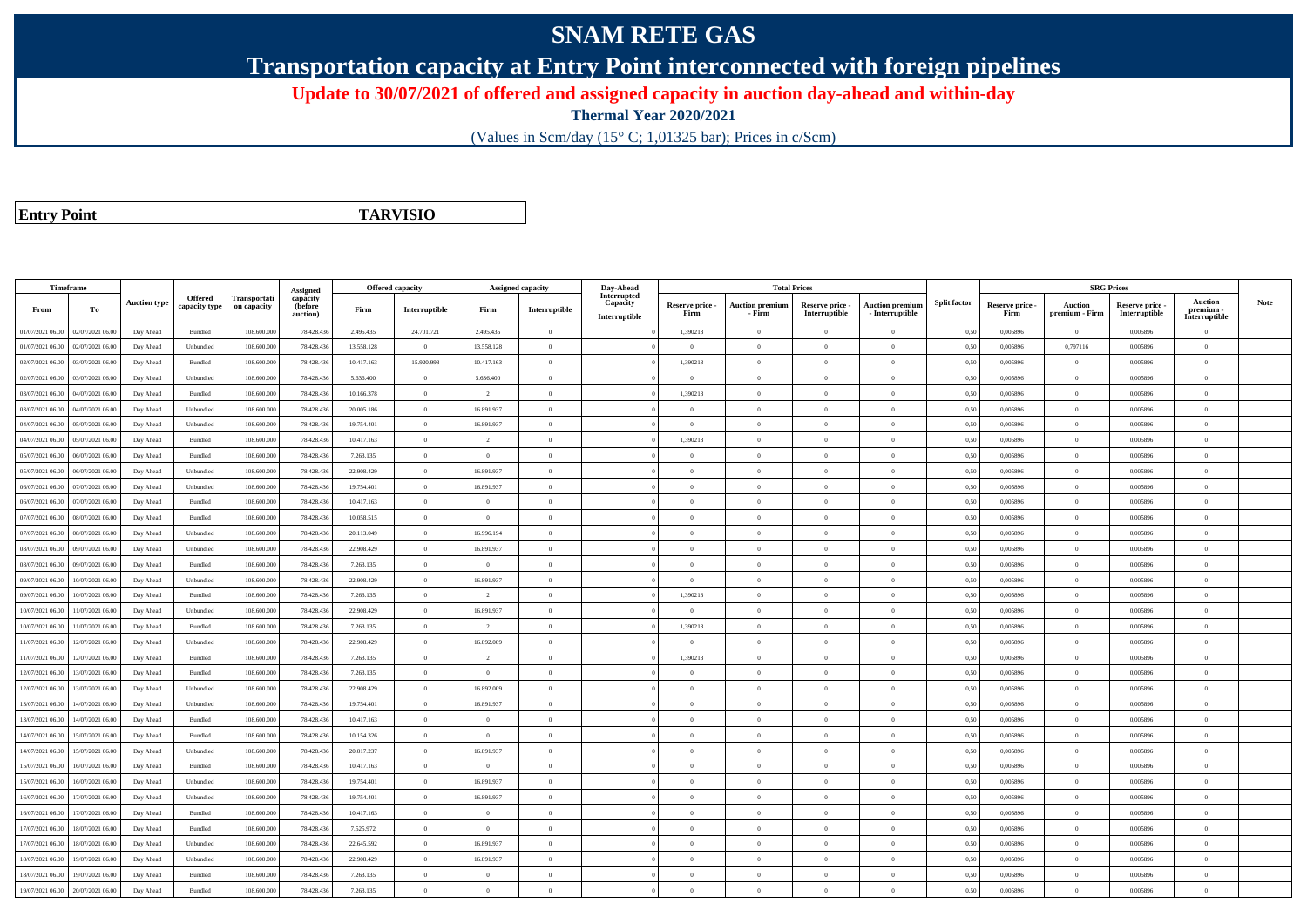## **SNAM RETE GAS**

**Transportation capacity at Entry Point interconnected with foreign pipelines**

**Update to 30/07/2021 of offered and assigned capacity in auction day-ahead and within-day**

**Thermal Year 2020/2021**

(Values in Scm/day (15° C; 1,01325 bar); Prices in c/Scm)

**Entry Point**

**TARVISIO**

| Interrupted<br>Offered<br>Transportati<br>capacity<br><b>Auction</b><br><b>Auction type</b><br><b>Split factor</b><br><b>Note</b><br>Capacity<br>Reserve price -<br><b>Auction premium</b><br>Reserve price -<br><b>Auction</b><br>Reserve price<br>Reserve price -<br>Auction premiun<br>capacity type<br>on capacity<br>(before<br>Interruptible<br>Interruptible<br>From<br>To<br>Firm<br>Firm<br>premium<br>$-$ Interruptible<br>Interruptible<br>premium - Firm<br>Interruptible<br>Firm<br>auction)<br>Firm<br>- Firm<br>Interruptible<br>Interruptible<br>01/07/2021 06:00<br>02/07/2021 06:00<br>108.600.000<br>2.495.435<br>24.701.721<br>2.495.435<br>1,390213<br>0,50<br>0,005896<br>Day Ahead<br>Bundled<br>78.428.436<br>$\overline{0}$<br>$\theta$<br>$\theta$<br>$\theta$<br>$\Omega$<br>0,005896<br>$\Omega$<br>0,797116<br>02/07/2021 06:00<br>108,600,000<br>78.428.436<br>13.558.128<br>13.558.128<br>0.005896<br>01/07/2021 06:00<br>Day Ahead<br>Unbundled<br>$\theta$<br>$\theta$<br>$\Omega$<br>0.50<br>0.005896<br>$\Omega$<br>$\theta$<br>$\Omega$<br>$\Omega$<br>02/07/2021 06:00<br>03/07/2021 06:00<br>Bundled<br>108.600.000<br>78.428.436<br>10.417.163<br>15.920.998<br>10.417.163<br>$\Omega$<br>1,390213<br>0,50<br>0,005896<br>$\Omega$<br>0,005896<br>Day Ahead<br>$\Omega$<br>$\theta$<br>$\Omega$<br>03/07/2021 06:00<br>5.636.400<br>$\overline{0}$<br>02/07/2021 06:00<br>Day Ahead<br>Unbundled<br>108.600.000<br>78.428.436<br>5.636.400<br>$\overline{0}$<br>$\overline{0}$<br>$\overline{0}$<br>$\theta$<br>$\overline{0}$<br>$\overline{0}$<br>0,50<br>0,005896<br>0,005896<br>$\bf{0}$<br>04/07/2021 06:00<br>78.428.436<br>$\overline{0}$<br>1,390213<br>0,005896<br>$\overline{0}$<br>03/07/2021 06:00<br>Day Ahead<br>Bundled<br>108.600.000<br>10.166.378<br>$\overline{2}$<br>$\overline{0}$<br>$\overline{0}$<br>$\mathbf{0}$<br>0,50<br>0,005896<br>$\theta$<br>$\Omega$<br>04/07/2021 06.00<br>108.600.000<br>78.428.436<br>$\overline{0}$<br>16.891.937<br>0,005896<br>$\overline{0}$<br>03/07/2021 06:00<br>Day Ahead<br>Unbundled<br>20.005.186<br>$\overline{0}$<br>$\Omega$<br>$\overline{0}$<br>$\mathbf{0}$<br>0,50<br>0,005896<br>$\Omega$<br>$\overline{0}$<br>$\overline{0}$<br>04/07/2021 06:00<br>05/07/2021 06:00<br>108,600,000<br>78,428,436<br>19.754.401<br>16.891.937<br>$\Omega$<br>$\Omega$<br>$\theta$<br>$\theta$<br>0.50<br>0.005896<br>0.005896<br>$\theta$<br>Day Ahead<br>Unbundled<br>$\theta$<br>108.600.000<br>78.428.436<br>$\overline{0}$<br>1,390213<br>$\overline{0}$<br>04/07/2021 06:00<br>05/07/2021 06:00<br>Day Ahead<br>Bundled<br>10.417.163<br>$\overline{2}$<br>$\Omega$<br>$\theta$<br>$\overline{0}$<br>$\Omega$<br>0,50<br>0,005896<br>0,005896<br>$\Omega$<br>108,600,000<br>78.428.436<br>05/07/2021 06:00<br>06/07/2021 06:00<br>Day Ahead<br>Bundled<br>7.263.135<br>$\overline{0}$<br>$\Omega$<br>$\Omega$<br>$\theta$<br>0.50<br>0.005896<br>$\Omega$<br>0.005896<br>$\theta$<br>$\Omega$<br>$\overline{0}$<br>05/07/2021 06:00<br>06/07/2021 06:00<br>Unbundled<br>108.600.000<br>78.428.436<br>22.908.429<br>16.891.937<br>$\overline{0}$<br>$\Omega$<br>$\overline{0}$<br>$\overline{0}$<br>0,50<br>0,005896<br>$\overline{0}$<br>Day Ahead<br>$\theta$<br>0.005896<br>$\Omega$<br>$\overline{0}$<br>06/07/2021 06:00<br>07/07/2021 06.00<br>Day Ahead<br>Unbundled<br>108.600.000<br>78.428.436<br>19.754.401<br>16.891.937<br>$\overline{0}$<br>$\overline{0}$<br>$\overline{0}$<br>$\mathbf{0}$<br>0,50<br>0,005896<br>$\overline{0}$<br>0,005896<br>$\bf{0}$<br>$\theta$<br>06/07/2021 06:00<br>07/07/2021 06:00<br>Bundled<br>108,600,000<br>78.428.436<br>10.417.163<br>$\overline{0}$<br>$\theta$<br>0.005896<br>$\overline{0}$<br>0.005896<br>$\theta$<br>Day Ahead<br>$\theta$<br>$\theta$<br>$\Omega$<br>$\Omega$<br>0.50<br>$\theta$<br>$\overline{0}$<br>$\overline{0}$<br>07/07/2021 06:00<br>08/07/2021 06.0<br>Day Ahead<br>Bundled<br>108.600.000<br>78.428.436<br>10.058.515<br>$\overline{0}$<br>$\Omega$<br>$\Omega$<br>$\Omega$<br>$\theta$<br>0.50<br>0,005896<br>0,005896<br>$\Omega$<br>07/07/2021 06:00<br>08/07/2021 06:00<br>108.600.000<br>78.428.436<br>$\overline{0}$<br>16.996.194<br>$\overline{0}$<br>$\overline{0}$<br>$\overline{0}$<br>0,50<br>0,005896<br>$\overline{0}$<br>0,005896<br>Day Ahead<br>Unbundled<br>20.113.049<br>$\theta$<br>$\mathbf{0}$<br>$\bf{0}$<br>08/07/2021 06:00<br>09/07/2021 06:00<br>108,600,000<br>78.428.436<br>22.908.429<br>$\overline{0}$<br>16.891.937<br>0.50<br>0.005896<br>$\Omega$<br>0.005896<br>Day Ahead<br>Unbundled<br>$\theta$<br>$\Omega$<br>$\theta$<br>$\theta$<br>$\Omega$<br>08/07/2021 06:00<br>09/07/2021 06.0<br>Day Ahead<br>Bundled<br>108.600.000<br>78.428.436<br>7.263.135<br>$\overline{0}$<br>$\overline{0}$<br>$\overline{0}$<br>$\Omega$<br>$\overline{0}$<br>$\Omega$<br>0,50<br>0,005896<br>$\overline{0}$<br>0,005896<br>$\Omega$<br>09/07/2021 06:00<br>10/07/2021 06:00<br>Unbundled<br>108.600.000<br>78.428.436<br>22.908.429<br>$\overline{0}$<br>16.891.937<br>$\Omega$<br>$\overline{0}$<br>$\theta$<br>0,50<br>0,005896<br>$\overline{0}$<br>0,005896<br>Day Ahead<br>$\Omega$<br>$\theta$<br>$\Omega$<br>$\overline{0}$<br>1.390213<br>$\overline{0}$<br>10/07/2021 06:00<br><b>Bundled</b><br>108,600,000<br>78.428.436<br>7.263.135<br>$\overline{2}$<br>$\overline{0}$<br>$\overline{0}$<br>$\Omega$<br>0.005896<br>0.005896<br>09/07/2021 06:00<br>Day Ahead<br>$\theta$<br>0.50<br>$\Omega$<br>10/07/2021 06:00<br>11/07/2021 06.00<br>Unbundled<br>108.600.000<br>78.428.436<br>22.908.429<br>$\overline{0}$<br>16.891.937<br>$\overline{0}$<br>$\mathbf{0}$<br>0.50<br>0.005896<br>$\overline{0}$<br>0.005896<br>Day Ahead<br>$\theta$<br>$\theta$<br>$\bf{0}$<br>1,390213<br>$\overline{0}$<br>10/07/2021 06:00<br>11/07/2021 06:00<br>Day Ahead<br>Bundled<br>108.600.000<br>78.428.436<br>7.263.135<br>$\overline{0}$<br>$\overline{2}$<br>$\overline{0}$<br>$\overline{0}$<br>$\Omega$<br>0,50<br>0,005896<br>0,005896<br>$\Omega$<br>12/07/2021 06:00<br>108.600.000<br>78.428.436<br>22.908.429<br>$\overline{0}$<br>16.892.009<br>0,005896<br>$\overline{0}$<br>0,005896<br>11/07/2021 06:00<br>Day Ahead<br>Unbundled<br>$\Omega$<br>$\Omega$<br>0.50<br>$\Omega$<br>$\Omega$<br>$\theta$<br>$\Omega$<br>12/07/2021 06:00<br>Bundled<br>108.600.000<br>78.428.436<br>7.263.135<br>$\theta$<br>1,390213<br>0,005896<br>$\Omega$<br>0,005896<br>11/07/2021 06:00<br>Day Ahead<br>$\overline{2}$<br>$\Omega$<br>$\Omega$<br>$\theta$<br>0,50<br>$\Omega$<br>$\overline{0}$<br>12/07/2021 06:00<br>13/07/2021 06:00<br>Day Ahead<br>Bundled<br>108,600,000<br>78,428,436<br>7.263.135<br>$\overline{0}$<br>$\Omega$<br>$\Omega$<br>$\Omega$<br>$\theta$<br>$\theta$<br>$\theta$<br>0.50<br>0.005896<br>0.005896<br>$\theta$<br>$\overline{0}$<br>13/07/2021 06:00<br>78.428.436<br>16.892.009<br>$\overline{0}$<br>0,005896<br>$\overline{0}$<br>12/07/2021 06:00<br>Day Ahead<br>Unbundled<br>108,600,000<br>22.908.429<br>$\overline{0}$<br>$\overline{0}$<br>$\theta$<br>$\overline{0}$<br>0.50<br>0.005896<br>$\bf{0}$<br>108.600.000<br>16.891.937<br>0,005896<br>$\overline{0}$<br>13/07/2021 06:00<br>14/07/2021 06.00<br>Day Ahead<br>Unbundled<br>78.428.436<br>19.754.401<br>$\overline{0}$<br>$\Omega$<br>$\Omega$<br>$\overline{0}$<br>$\theta$<br>0,50<br>0,005896<br>$\theta$<br>13/07/2021 06:00<br>14/07/2021 06:00<br>108,600,000<br>78.428.436<br>10.417.163<br>$\overline{0}$<br>$\overline{0}$<br>$\Omega$<br>$\overline{0}$<br>$\overline{0}$<br>0.50<br>0,005896<br>$\overline{0}$<br>0.005896<br>$\theta$<br>Day Ahead<br>Bundled<br>$\theta$<br>$\theta$<br>$\overline{0}$<br>$\overline{0}$<br>14/07/2021 06:00<br>15/07/2021 06:00<br>Day Ahead<br>Bundled<br>108.600.000<br>78.428.436<br>10.154.326<br>$\theta$<br>$\Omega$<br>$\Omega$<br>$\overline{0}$<br>$\Omega$<br>0,50<br>0,005896<br>0,005896<br>$\bf{0}$<br>$\theta$<br>14/07/2021 06:00<br>15/07/2021 06:00<br>108,600,000<br>78,428,436<br>20.017.237<br>$\overline{0}$<br>16.891.937<br>0.005896<br>$\Omega$<br>0.005896<br>Day Ahead<br>Unbundled<br>$\Omega$<br>$\Omega$<br>$\theta$<br>$\Omega$<br>0.50<br>$\Omega$<br>16/07/2021 06:00<br>108.600.000<br>78.428.436<br>10.417.163<br>$\overline{0}$<br>$\overline{0}$<br>$\Omega$<br>$\overline{0}$<br>$\overline{0}$<br>0,005896<br>$\overline{0}$<br>15/07/2021 06:00<br>Day Ahead<br>Bundled<br>$\Omega$<br>0,50<br>0,005896<br>$\Omega$<br>$\theta$<br>15/07/2021 06:00<br>16/07/2021 06:00<br>Day Ahead<br>Unbundled<br>108.600.000<br>78.428.436<br>19.754.401<br>$\overline{0}$<br>16.891.937<br>$\overline{0}$<br>$\overline{0}$<br>$\overline{0}$<br>$\mathbf{0}$<br>0,50<br>0,005896<br>$\overline{0}$<br>0,005896<br>$\bf{0}$<br>$\theta$<br>16/07/2021 06:00<br>17/07/2021 06:00<br>108,600,000<br>78,428,436<br>19.754.401<br>$\overline{0}$<br>16.891.937<br>$\theta$<br>0.005896<br>$\overline{0}$<br>0.005896<br>Day Ahead<br>Unbundled<br>$\theta$<br>$\Omega$<br>$\Omega$<br>0.50<br>$\Omega$<br>$\theta$<br>$\overline{0}$<br>$\overline{0}$<br>16/07/2021 06:00<br>17/07/2021 06:00<br>108,600,000<br>78.428.436<br>10.417.163<br>$\Omega$<br>$\Omega$<br>$\theta$<br>$\theta$<br>0.50<br>0,005896<br>0.005896<br>Day Ahead<br>Bundled<br>$\theta$<br>$\Omega$<br>$\sqrt{2}$<br>17/07/2021 06:00<br>18/07/2021 06:00<br>Bundled<br>108.600.000<br>78.428.436<br>7.525.972<br>$\overline{0}$<br>$\Omega$<br>$\Omega$<br>$\theta$<br>0,50<br>0,005896<br>$\Omega$<br>0,005896<br>Day Ahead<br>$\theta$<br>$\Omega$<br>$\theta$<br>$\Omega$<br>108,600,000<br>$\overline{0}$<br>16.891.937<br>$\overline{0}$<br>17/07/2021 06:00<br>18/07/2021 06:00<br>Unbundled<br>78.428.436<br>22.645.592<br>$\theta$<br>$\Omega$<br>$\Omega$<br>0.50<br>0.005896<br>0.005896<br>$\Omega$<br>Day Ahead<br>$\theta$<br>$\Omega$<br>18/07/2021 06:00<br>19/07/2021 06:00<br>108.600.000<br>78.428.43<br>22.908.429<br>$\Omega$<br>16.891.937<br>$\Omega$<br>$\theta$<br>0,50<br>0,005896<br>$\overline{0}$<br>Day Ahead<br>Unbundled<br>$\Omega$<br>$\Omega$<br>0.005896<br>$\Omega$<br>19/07/2021 06:00<br>0,005896<br>$\overline{0}$<br>18/07/2021 06:00<br>Day Ahead<br>Bundled<br>108.600.000<br>78.428.436<br>7.263.135<br>$\overline{0}$<br>$\Omega$<br>$\Omega$<br>$\Omega$<br>$\overline{0}$<br>$\theta$<br>0,50<br>0,005896<br>$\Omega$ | Timeframe |  |          | <b>Offered capacity</b> | <b>Assigned capacity</b> | Day-Ahead | <b>Total Prices</b> |  |  | <b>SRG Prices</b> |  |  |
|-----------------------------------------------------------------------------------------------------------------------------------------------------------------------------------------------------------------------------------------------------------------------------------------------------------------------------------------------------------------------------------------------------------------------------------------------------------------------------------------------------------------------------------------------------------------------------------------------------------------------------------------------------------------------------------------------------------------------------------------------------------------------------------------------------------------------------------------------------------------------------------------------------------------------------------------------------------------------------------------------------------------------------------------------------------------------------------------------------------------------------------------------------------------------------------------------------------------------------------------------------------------------------------------------------------------------------------------------------------------------------------------------------------------------------------------------------------------------------------------------------------------------------------------------------------------------------------------------------------------------------------------------------------------------------------------------------------------------------------------------------------------------------------------------------------------------------------------------------------------------------------------------------------------------------------------------------------------------------------------------------------------------------------------------------------------------------------------------------------------------------------------------------------------------------------------------------------------------------------------------------------------------------------------------------------------------------------------------------------------------------------------------------------------------------------------------------------------------------------------------------------------------------------------------------------------------------------------------------------------------------------------------------------------------------------------------------------------------------------------------------------------------------------------------------------------------------------------------------------------------------------------------------------------------------------------------------------------------------------------------------------------------------------------------------------------------------------------------------------------------------------------------------------------------------------------------------------------------------------------------------------------------------------------------------------------------------------------------------------------------------------------------------------------------------------------------------------------------------------------------------------------------------------------------------------------------------------------------------------------------------------------------------------------------------------------------------------------------------------------------------------------------------------------------------------------------------------------------------------------------------------------------------------------------------------------------------------------------------------------------------------------------------------------------------------------------------------------------------------------------------------------------------------------------------------------------------------------------------------------------------------------------------------------------------------------------------------------------------------------------------------------------------------------------------------------------------------------------------------------------------------------------------------------------------------------------------------------------------------------------------------------------------------------------------------------------------------------------------------------------------------------------------------------------------------------------------------------------------------------------------------------------------------------------------------------------------------------------------------------------------------------------------------------------------------------------------------------------------------------------------------------------------------------------------------------------------------------------------------------------------------------------------------------------------------------------------------------------------------------------------------------------------------------------------------------------------------------------------------------------------------------------------------------------------------------------------------------------------------------------------------------------------------------------------------------------------------------------------------------------------------------------------------------------------------------------------------------------------------------------------------------------------------------------------------------------------------------------------------------------------------------------------------------------------------------------------------------------------------------------------------------------------------------------------------------------------------------------------------------------------------------------------------------------------------------------------------------------------------------------------------------------------------------------------------------------------------------------------------------------------------------------------------------------------------------------------------------------------------------------------------------------------------------------------------------------------------------------------------------------------------------------------------------------------------------------------------------------------------------------------------------------------------------------------------------------------------------------------------------------------------------------------------------------------------------------------------------------------------------------------------------------------------------------------------------------------------------------------------------------------------------------------------------------------------------------------------------------------------------------------------------------------------------------------------------------------------------------------------------------------------------------------------------------------------------------------------------------------------------------------------------------------------------------------------------------------------------------------------------------------------------------------------------------------------------------------------------------------------------------------------------------------------------------------------------------------------------------------------------------------------------------------------------------------------------------------------------------------------------------------------------------------------------------------------------------------------------------------------------------------------------------------------------------------------------------------------------------------------------------------------------------------------------------------------------------------------------------------------------------------------------------------------------------------------------------------------------------------------------------------------------------------------------------------------------------------------------------------------------------------------------------------------------------------------------------------------------------------------------------------------------------------------------------------------------------------------------------------------------------------------------------------------------------------------------------------------------------------------------------------------------------------------------------------------------------------------------------------------------------------------------------------------------------------------------------------------------------------------------------------------------------------------------------------------------------------------------------------------------------------------------------------------------------------------------------------------------------------------------------------------------------------------------------------------------------------------------------------------------------------------------------------------------------------------------------------------------------------------------------------------------------------------------------------------------------------------------------------------------------------------------------------------------------------------------------------------------------------------------------------------------------------------------------------------------------------------------------------------------------------------------------------------------------------------------------------------------------------------------------------------------------------------------------------------|-----------|--|----------|-------------------------|--------------------------|-----------|---------------------|--|--|-------------------|--|--|
|                                                                                                                                                                                                                                                                                                                                                                                                                                                                                                                                                                                                                                                                                                                                                                                                                                                                                                                                                                                                                                                                                                                                                                                                                                                                                                                                                                                                                                                                                                                                                                                                                                                                                                                                                                                                                                                                                                                                                                                                                                                                                                                                                                                                                                                                                                                                                                                                                                                                                                                                                                                                                                                                                                                                                                                                                                                                                                                                                                                                                                                                                                                                                                                                                                                                                                                                                                                                                                                                                                                                                                                                                                                                                                                                                                                                                                                                                                                                                                                                                                                                                                                                                                                                                                                                                                                                                                                                                                                                                                                                                                                                                                                                                                                                                                                                                                                                                                                                                                                                                                                                                                                                                                                                                                                                                                                                                                                                                                                                                                                                                                                                                                                                                                                                                                                                                                                                                                                                                                                                                                                                                                                                                                                                                                                                                                                                                                                                                                                                                                                                                                                                                                                                                                                                                                                                                                                                                                                                                                                                                                                                                                                                                                                                                                                                                                                                                                                                                                                                                                                                                                                                                                                                                                                                                                                                                                                                                                                                                                                                                                                                                                                                                                                                                                                                                                                                                                                                                                                                                                                                                                                                                                                                                                                                                                                                                                                                                                                                                                                                                                                                                                                                                                                                                                                                                                                                                                                                                                                                                                                                                                                                                                                                                                                                                                                                                                                                                                                                                                                                                                                                                                                                                                                                                                                                                                                                                                                                                                   |           |  | Assigned |                         |                          |           |                     |  |  |                   |  |  |
|                                                                                                                                                                                                                                                                                                                                                                                                                                                                                                                                                                                                                                                                                                                                                                                                                                                                                                                                                                                                                                                                                                                                                                                                                                                                                                                                                                                                                                                                                                                                                                                                                                                                                                                                                                                                                                                                                                                                                                                                                                                                                                                                                                                                                                                                                                                                                                                                                                                                                                                                                                                                                                                                                                                                                                                                                                                                                                                                                                                                                                                                                                                                                                                                                                                                                                                                                                                                                                                                                                                                                                                                                                                                                                                                                                                                                                                                                                                                                                                                                                                                                                                                                                                                                                                                                                                                                                                                                                                                                                                                                                                                                                                                                                                                                                                                                                                                                                                                                                                                                                                                                                                                                                                                                                                                                                                                                                                                                                                                                                                                                                                                                                                                                                                                                                                                                                                                                                                                                                                                                                                                                                                                                                                                                                                                                                                                                                                                                                                                                                                                                                                                                                                                                                                                                                                                                                                                                                                                                                                                                                                                                                                                                                                                                                                                                                                                                                                                                                                                                                                                                                                                                                                                                                                                                                                                                                                                                                                                                                                                                                                                                                                                                                                                                                                                                                                                                                                                                                                                                                                                                                                                                                                                                                                                                                                                                                                                                                                                                                                                                                                                                                                                                                                                                                                                                                                                                                                                                                                                                                                                                                                                                                                                                                                                                                                                                                                                                                                                                                                                                                                                                                                                                                                                                                                                                                                                                                                                                                   |           |  |          |                         |                          |           |                     |  |  |                   |  |  |
|                                                                                                                                                                                                                                                                                                                                                                                                                                                                                                                                                                                                                                                                                                                                                                                                                                                                                                                                                                                                                                                                                                                                                                                                                                                                                                                                                                                                                                                                                                                                                                                                                                                                                                                                                                                                                                                                                                                                                                                                                                                                                                                                                                                                                                                                                                                                                                                                                                                                                                                                                                                                                                                                                                                                                                                                                                                                                                                                                                                                                                                                                                                                                                                                                                                                                                                                                                                                                                                                                                                                                                                                                                                                                                                                                                                                                                                                                                                                                                                                                                                                                                                                                                                                                                                                                                                                                                                                                                                                                                                                                                                                                                                                                                                                                                                                                                                                                                                                                                                                                                                                                                                                                                                                                                                                                                                                                                                                                                                                                                                                                                                                                                                                                                                                                                                                                                                                                                                                                                                                                                                                                                                                                                                                                                                                                                                                                                                                                                                                                                                                                                                                                                                                                                                                                                                                                                                                                                                                                                                                                                                                                                                                                                                                                                                                                                                                                                                                                                                                                                                                                                                                                                                                                                                                                                                                                                                                                                                                                                                                                                                                                                                                                                                                                                                                                                                                                                                                                                                                                                                                                                                                                                                                                                                                                                                                                                                                                                                                                                                                                                                                                                                                                                                                                                                                                                                                                                                                                                                                                                                                                                                                                                                                                                                                                                                                                                                                                                                                                                                                                                                                                                                                                                                                                                                                                                                                                                                                                                   |           |  |          |                         |                          |           |                     |  |  |                   |  |  |
|                                                                                                                                                                                                                                                                                                                                                                                                                                                                                                                                                                                                                                                                                                                                                                                                                                                                                                                                                                                                                                                                                                                                                                                                                                                                                                                                                                                                                                                                                                                                                                                                                                                                                                                                                                                                                                                                                                                                                                                                                                                                                                                                                                                                                                                                                                                                                                                                                                                                                                                                                                                                                                                                                                                                                                                                                                                                                                                                                                                                                                                                                                                                                                                                                                                                                                                                                                                                                                                                                                                                                                                                                                                                                                                                                                                                                                                                                                                                                                                                                                                                                                                                                                                                                                                                                                                                                                                                                                                                                                                                                                                                                                                                                                                                                                                                                                                                                                                                                                                                                                                                                                                                                                                                                                                                                                                                                                                                                                                                                                                                                                                                                                                                                                                                                                                                                                                                                                                                                                                                                                                                                                                                                                                                                                                                                                                                                                                                                                                                                                                                                                                                                                                                                                                                                                                                                                                                                                                                                                                                                                                                                                                                                                                                                                                                                                                                                                                                                                                                                                                                                                                                                                                                                                                                                                                                                                                                                                                                                                                                                                                                                                                                                                                                                                                                                                                                                                                                                                                                                                                                                                                                                                                                                                                                                                                                                                                                                                                                                                                                                                                                                                                                                                                                                                                                                                                                                                                                                                                                                                                                                                                                                                                                                                                                                                                                                                                                                                                                                                                                                                                                                                                                                                                                                                                                                                                                                                                                                                   |           |  |          |                         |                          |           |                     |  |  |                   |  |  |
|                                                                                                                                                                                                                                                                                                                                                                                                                                                                                                                                                                                                                                                                                                                                                                                                                                                                                                                                                                                                                                                                                                                                                                                                                                                                                                                                                                                                                                                                                                                                                                                                                                                                                                                                                                                                                                                                                                                                                                                                                                                                                                                                                                                                                                                                                                                                                                                                                                                                                                                                                                                                                                                                                                                                                                                                                                                                                                                                                                                                                                                                                                                                                                                                                                                                                                                                                                                                                                                                                                                                                                                                                                                                                                                                                                                                                                                                                                                                                                                                                                                                                                                                                                                                                                                                                                                                                                                                                                                                                                                                                                                                                                                                                                                                                                                                                                                                                                                                                                                                                                                                                                                                                                                                                                                                                                                                                                                                                                                                                                                                                                                                                                                                                                                                                                                                                                                                                                                                                                                                                                                                                                                                                                                                                                                                                                                                                                                                                                                                                                                                                                                                                                                                                                                                                                                                                                                                                                                                                                                                                                                                                                                                                                                                                                                                                                                                                                                                                                                                                                                                                                                                                                                                                                                                                                                                                                                                                                                                                                                                                                                                                                                                                                                                                                                                                                                                                                                                                                                                                                                                                                                                                                                                                                                                                                                                                                                                                                                                                                                                                                                                                                                                                                                                                                                                                                                                                                                                                                                                                                                                                                                                                                                                                                                                                                                                                                                                                                                                                                                                                                                                                                                                                                                                                                                                                                                                                                                                                                   |           |  |          |                         |                          |           |                     |  |  |                   |  |  |
|                                                                                                                                                                                                                                                                                                                                                                                                                                                                                                                                                                                                                                                                                                                                                                                                                                                                                                                                                                                                                                                                                                                                                                                                                                                                                                                                                                                                                                                                                                                                                                                                                                                                                                                                                                                                                                                                                                                                                                                                                                                                                                                                                                                                                                                                                                                                                                                                                                                                                                                                                                                                                                                                                                                                                                                                                                                                                                                                                                                                                                                                                                                                                                                                                                                                                                                                                                                                                                                                                                                                                                                                                                                                                                                                                                                                                                                                                                                                                                                                                                                                                                                                                                                                                                                                                                                                                                                                                                                                                                                                                                                                                                                                                                                                                                                                                                                                                                                                                                                                                                                                                                                                                                                                                                                                                                                                                                                                                                                                                                                                                                                                                                                                                                                                                                                                                                                                                                                                                                                                                                                                                                                                                                                                                                                                                                                                                                                                                                                                                                                                                                                                                                                                                                                                                                                                                                                                                                                                                                                                                                                                                                                                                                                                                                                                                                                                                                                                                                                                                                                                                                                                                                                                                                                                                                                                                                                                                                                                                                                                                                                                                                                                                                                                                                                                                                                                                                                                                                                                                                                                                                                                                                                                                                                                                                                                                                                                                                                                                                                                                                                                                                                                                                                                                                                                                                                                                                                                                                                                                                                                                                                                                                                                                                                                                                                                                                                                                                                                                                                                                                                                                                                                                                                                                                                                                                                                                                                                                                   |           |  |          |                         |                          |           |                     |  |  |                   |  |  |
|                                                                                                                                                                                                                                                                                                                                                                                                                                                                                                                                                                                                                                                                                                                                                                                                                                                                                                                                                                                                                                                                                                                                                                                                                                                                                                                                                                                                                                                                                                                                                                                                                                                                                                                                                                                                                                                                                                                                                                                                                                                                                                                                                                                                                                                                                                                                                                                                                                                                                                                                                                                                                                                                                                                                                                                                                                                                                                                                                                                                                                                                                                                                                                                                                                                                                                                                                                                                                                                                                                                                                                                                                                                                                                                                                                                                                                                                                                                                                                                                                                                                                                                                                                                                                                                                                                                                                                                                                                                                                                                                                                                                                                                                                                                                                                                                                                                                                                                                                                                                                                                                                                                                                                                                                                                                                                                                                                                                                                                                                                                                                                                                                                                                                                                                                                                                                                                                                                                                                                                                                                                                                                                                                                                                                                                                                                                                                                                                                                                                                                                                                                                                                                                                                                                                                                                                                                                                                                                                                                                                                                                                                                                                                                                                                                                                                                                                                                                                                                                                                                                                                                                                                                                                                                                                                                                                                                                                                                                                                                                                                                                                                                                                                                                                                                                                                                                                                                                                                                                                                                                                                                                                                                                                                                                                                                                                                                                                                                                                                                                                                                                                                                                                                                                                                                                                                                                                                                                                                                                                                                                                                                                                                                                                                                                                                                                                                                                                                                                                                                                                                                                                                                                                                                                                                                                                                                                                                                                                                                   |           |  |          |                         |                          |           |                     |  |  |                   |  |  |
|                                                                                                                                                                                                                                                                                                                                                                                                                                                                                                                                                                                                                                                                                                                                                                                                                                                                                                                                                                                                                                                                                                                                                                                                                                                                                                                                                                                                                                                                                                                                                                                                                                                                                                                                                                                                                                                                                                                                                                                                                                                                                                                                                                                                                                                                                                                                                                                                                                                                                                                                                                                                                                                                                                                                                                                                                                                                                                                                                                                                                                                                                                                                                                                                                                                                                                                                                                                                                                                                                                                                                                                                                                                                                                                                                                                                                                                                                                                                                                                                                                                                                                                                                                                                                                                                                                                                                                                                                                                                                                                                                                                                                                                                                                                                                                                                                                                                                                                                                                                                                                                                                                                                                                                                                                                                                                                                                                                                                                                                                                                                                                                                                                                                                                                                                                                                                                                                                                                                                                                                                                                                                                                                                                                                                                                                                                                                                                                                                                                                                                                                                                                                                                                                                                                                                                                                                                                                                                                                                                                                                                                                                                                                                                                                                                                                                                                                                                                                                                                                                                                                                                                                                                                                                                                                                                                                                                                                                                                                                                                                                                                                                                                                                                                                                                                                                                                                                                                                                                                                                                                                                                                                                                                                                                                                                                                                                                                                                                                                                                                                                                                                                                                                                                                                                                                                                                                                                                                                                                                                                                                                                                                                                                                                                                                                                                                                                                                                                                                                                                                                                                                                                                                                                                                                                                                                                                                                                                                                                                   |           |  |          |                         |                          |           |                     |  |  |                   |  |  |
|                                                                                                                                                                                                                                                                                                                                                                                                                                                                                                                                                                                                                                                                                                                                                                                                                                                                                                                                                                                                                                                                                                                                                                                                                                                                                                                                                                                                                                                                                                                                                                                                                                                                                                                                                                                                                                                                                                                                                                                                                                                                                                                                                                                                                                                                                                                                                                                                                                                                                                                                                                                                                                                                                                                                                                                                                                                                                                                                                                                                                                                                                                                                                                                                                                                                                                                                                                                                                                                                                                                                                                                                                                                                                                                                                                                                                                                                                                                                                                                                                                                                                                                                                                                                                                                                                                                                                                                                                                                                                                                                                                                                                                                                                                                                                                                                                                                                                                                                                                                                                                                                                                                                                                                                                                                                                                                                                                                                                                                                                                                                                                                                                                                                                                                                                                                                                                                                                                                                                                                                                                                                                                                                                                                                                                                                                                                                                                                                                                                                                                                                                                                                                                                                                                                                                                                                                                                                                                                                                                                                                                                                                                                                                                                                                                                                                                                                                                                                                                                                                                                                                                                                                                                                                                                                                                                                                                                                                                                                                                                                                                                                                                                                                                                                                                                                                                                                                                                                                                                                                                                                                                                                                                                                                                                                                                                                                                                                                                                                                                                                                                                                                                                                                                                                                                                                                                                                                                                                                                                                                                                                                                                                                                                                                                                                                                                                                                                                                                                                                                                                                                                                                                                                                                                                                                                                                                                                                                                                                                   |           |  |          |                         |                          |           |                     |  |  |                   |  |  |
|                                                                                                                                                                                                                                                                                                                                                                                                                                                                                                                                                                                                                                                                                                                                                                                                                                                                                                                                                                                                                                                                                                                                                                                                                                                                                                                                                                                                                                                                                                                                                                                                                                                                                                                                                                                                                                                                                                                                                                                                                                                                                                                                                                                                                                                                                                                                                                                                                                                                                                                                                                                                                                                                                                                                                                                                                                                                                                                                                                                                                                                                                                                                                                                                                                                                                                                                                                                                                                                                                                                                                                                                                                                                                                                                                                                                                                                                                                                                                                                                                                                                                                                                                                                                                                                                                                                                                                                                                                                                                                                                                                                                                                                                                                                                                                                                                                                                                                                                                                                                                                                                                                                                                                                                                                                                                                                                                                                                                                                                                                                                                                                                                                                                                                                                                                                                                                                                                                                                                                                                                                                                                                                                                                                                                                                                                                                                                                                                                                                                                                                                                                                                                                                                                                                                                                                                                                                                                                                                                                                                                                                                                                                                                                                                                                                                                                                                                                                                                                                                                                                                                                                                                                                                                                                                                                                                                                                                                                                                                                                                                                                                                                                                                                                                                                                                                                                                                                                                                                                                                                                                                                                                                                                                                                                                                                                                                                                                                                                                                                                                                                                                                                                                                                                                                                                                                                                                                                                                                                                                                                                                                                                                                                                                                                                                                                                                                                                                                                                                                                                                                                                                                                                                                                                                                                                                                                                                                                                                                                   |           |  |          |                         |                          |           |                     |  |  |                   |  |  |
|                                                                                                                                                                                                                                                                                                                                                                                                                                                                                                                                                                                                                                                                                                                                                                                                                                                                                                                                                                                                                                                                                                                                                                                                                                                                                                                                                                                                                                                                                                                                                                                                                                                                                                                                                                                                                                                                                                                                                                                                                                                                                                                                                                                                                                                                                                                                                                                                                                                                                                                                                                                                                                                                                                                                                                                                                                                                                                                                                                                                                                                                                                                                                                                                                                                                                                                                                                                                                                                                                                                                                                                                                                                                                                                                                                                                                                                                                                                                                                                                                                                                                                                                                                                                                                                                                                                                                                                                                                                                                                                                                                                                                                                                                                                                                                                                                                                                                                                                                                                                                                                                                                                                                                                                                                                                                                                                                                                                                                                                                                                                                                                                                                                                                                                                                                                                                                                                                                                                                                                                                                                                                                                                                                                                                                                                                                                                                                                                                                                                                                                                                                                                                                                                                                                                                                                                                                                                                                                                                                                                                                                                                                                                                                                                                                                                                                                                                                                                                                                                                                                                                                                                                                                                                                                                                                                                                                                                                                                                                                                                                                                                                                                                                                                                                                                                                                                                                                                                                                                                                                                                                                                                                                                                                                                                                                                                                                                                                                                                                                                                                                                                                                                                                                                                                                                                                                                                                                                                                                                                                                                                                                                                                                                                                                                                                                                                                                                                                                                                                                                                                                                                                                                                                                                                                                                                                                                                                                                                                                   |           |  |          |                         |                          |           |                     |  |  |                   |  |  |
|                                                                                                                                                                                                                                                                                                                                                                                                                                                                                                                                                                                                                                                                                                                                                                                                                                                                                                                                                                                                                                                                                                                                                                                                                                                                                                                                                                                                                                                                                                                                                                                                                                                                                                                                                                                                                                                                                                                                                                                                                                                                                                                                                                                                                                                                                                                                                                                                                                                                                                                                                                                                                                                                                                                                                                                                                                                                                                                                                                                                                                                                                                                                                                                                                                                                                                                                                                                                                                                                                                                                                                                                                                                                                                                                                                                                                                                                                                                                                                                                                                                                                                                                                                                                                                                                                                                                                                                                                                                                                                                                                                                                                                                                                                                                                                                                                                                                                                                                                                                                                                                                                                                                                                                                                                                                                                                                                                                                                                                                                                                                                                                                                                                                                                                                                                                                                                                                                                                                                                                                                                                                                                                                                                                                                                                                                                                                                                                                                                                                                                                                                                                                                                                                                                                                                                                                                                                                                                                                                                                                                                                                                                                                                                                                                                                                                                                                                                                                                                                                                                                                                                                                                                                                                                                                                                                                                                                                                                                                                                                                                                                                                                                                                                                                                                                                                                                                                                                                                                                                                                                                                                                                                                                                                                                                                                                                                                                                                                                                                                                                                                                                                                                                                                                                                                                                                                                                                                                                                                                                                                                                                                                                                                                                                                                                                                                                                                                                                                                                                                                                                                                                                                                                                                                                                                                                                                                                                                                                                                   |           |  |          |                         |                          |           |                     |  |  |                   |  |  |
|                                                                                                                                                                                                                                                                                                                                                                                                                                                                                                                                                                                                                                                                                                                                                                                                                                                                                                                                                                                                                                                                                                                                                                                                                                                                                                                                                                                                                                                                                                                                                                                                                                                                                                                                                                                                                                                                                                                                                                                                                                                                                                                                                                                                                                                                                                                                                                                                                                                                                                                                                                                                                                                                                                                                                                                                                                                                                                                                                                                                                                                                                                                                                                                                                                                                                                                                                                                                                                                                                                                                                                                                                                                                                                                                                                                                                                                                                                                                                                                                                                                                                                                                                                                                                                                                                                                                                                                                                                                                                                                                                                                                                                                                                                                                                                                                                                                                                                                                                                                                                                                                                                                                                                                                                                                                                                                                                                                                                                                                                                                                                                                                                                                                                                                                                                                                                                                                                                                                                                                                                                                                                                                                                                                                                                                                                                                                                                                                                                                                                                                                                                                                                                                                                                                                                                                                                                                                                                                                                                                                                                                                                                                                                                                                                                                                                                                                                                                                                                                                                                                                                                                                                                                                                                                                                                                                                                                                                                                                                                                                                                                                                                                                                                                                                                                                                                                                                                                                                                                                                                                                                                                                                                                                                                                                                                                                                                                                                                                                                                                                                                                                                                                                                                                                                                                                                                                                                                                                                                                                                                                                                                                                                                                                                                                                                                                                                                                                                                                                                                                                                                                                                                                                                                                                                                                                                                                                                                                                                                   |           |  |          |                         |                          |           |                     |  |  |                   |  |  |
|                                                                                                                                                                                                                                                                                                                                                                                                                                                                                                                                                                                                                                                                                                                                                                                                                                                                                                                                                                                                                                                                                                                                                                                                                                                                                                                                                                                                                                                                                                                                                                                                                                                                                                                                                                                                                                                                                                                                                                                                                                                                                                                                                                                                                                                                                                                                                                                                                                                                                                                                                                                                                                                                                                                                                                                                                                                                                                                                                                                                                                                                                                                                                                                                                                                                                                                                                                                                                                                                                                                                                                                                                                                                                                                                                                                                                                                                                                                                                                                                                                                                                                                                                                                                                                                                                                                                                                                                                                                                                                                                                                                                                                                                                                                                                                                                                                                                                                                                                                                                                                                                                                                                                                                                                                                                                                                                                                                                                                                                                                                                                                                                                                                                                                                                                                                                                                                                                                                                                                                                                                                                                                                                                                                                                                                                                                                                                                                                                                                                                                                                                                                                                                                                                                                                                                                                                                                                                                                                                                                                                                                                                                                                                                                                                                                                                                                                                                                                                                                                                                                                                                                                                                                                                                                                                                                                                                                                                                                                                                                                                                                                                                                                                                                                                                                                                                                                                                                                                                                                                                                                                                                                                                                                                                                                                                                                                                                                                                                                                                                                                                                                                                                                                                                                                                                                                                                                                                                                                                                                                                                                                                                                                                                                                                                                                                                                                                                                                                                                                                                                                                                                                                                                                                                                                                                                                                                                                                                                                                   |           |  |          |                         |                          |           |                     |  |  |                   |  |  |
|                                                                                                                                                                                                                                                                                                                                                                                                                                                                                                                                                                                                                                                                                                                                                                                                                                                                                                                                                                                                                                                                                                                                                                                                                                                                                                                                                                                                                                                                                                                                                                                                                                                                                                                                                                                                                                                                                                                                                                                                                                                                                                                                                                                                                                                                                                                                                                                                                                                                                                                                                                                                                                                                                                                                                                                                                                                                                                                                                                                                                                                                                                                                                                                                                                                                                                                                                                                                                                                                                                                                                                                                                                                                                                                                                                                                                                                                                                                                                                                                                                                                                                                                                                                                                                                                                                                                                                                                                                                                                                                                                                                                                                                                                                                                                                                                                                                                                                                                                                                                                                                                                                                                                                                                                                                                                                                                                                                                                                                                                                                                                                                                                                                                                                                                                                                                                                                                                                                                                                                                                                                                                                                                                                                                                                                                                                                                                                                                                                                                                                                                                                                                                                                                                                                                                                                                                                                                                                                                                                                                                                                                                                                                                                                                                                                                                                                                                                                                                                                                                                                                                                                                                                                                                                                                                                                                                                                                                                                                                                                                                                                                                                                                                                                                                                                                                                                                                                                                                                                                                                                                                                                                                                                                                                                                                                                                                                                                                                                                                                                                                                                                                                                                                                                                                                                                                                                                                                                                                                                                                                                                                                                                                                                                                                                                                                                                                                                                                                                                                                                                                                                                                                                                                                                                                                                                                                                                                                                                                                   |           |  |          |                         |                          |           |                     |  |  |                   |  |  |
|                                                                                                                                                                                                                                                                                                                                                                                                                                                                                                                                                                                                                                                                                                                                                                                                                                                                                                                                                                                                                                                                                                                                                                                                                                                                                                                                                                                                                                                                                                                                                                                                                                                                                                                                                                                                                                                                                                                                                                                                                                                                                                                                                                                                                                                                                                                                                                                                                                                                                                                                                                                                                                                                                                                                                                                                                                                                                                                                                                                                                                                                                                                                                                                                                                                                                                                                                                                                                                                                                                                                                                                                                                                                                                                                                                                                                                                                                                                                                                                                                                                                                                                                                                                                                                                                                                                                                                                                                                                                                                                                                                                                                                                                                                                                                                                                                                                                                                                                                                                                                                                                                                                                                                                                                                                                                                                                                                                                                                                                                                                                                                                                                                                                                                                                                                                                                                                                                                                                                                                                                                                                                                                                                                                                                                                                                                                                                                                                                                                                                                                                                                                                                                                                                                                                                                                                                                                                                                                                                                                                                                                                                                                                                                                                                                                                                                                                                                                                                                                                                                                                                                                                                                                                                                                                                                                                                                                                                                                                                                                                                                                                                                                                                                                                                                                                                                                                                                                                                                                                                                                                                                                                                                                                                                                                                                                                                                                                                                                                                                                                                                                                                                                                                                                                                                                                                                                                                                                                                                                                                                                                                                                                                                                                                                                                                                                                                                                                                                                                                                                                                                                                                                                                                                                                                                                                                                                                                                                                                                   |           |  |          |                         |                          |           |                     |  |  |                   |  |  |
|                                                                                                                                                                                                                                                                                                                                                                                                                                                                                                                                                                                                                                                                                                                                                                                                                                                                                                                                                                                                                                                                                                                                                                                                                                                                                                                                                                                                                                                                                                                                                                                                                                                                                                                                                                                                                                                                                                                                                                                                                                                                                                                                                                                                                                                                                                                                                                                                                                                                                                                                                                                                                                                                                                                                                                                                                                                                                                                                                                                                                                                                                                                                                                                                                                                                                                                                                                                                                                                                                                                                                                                                                                                                                                                                                                                                                                                                                                                                                                                                                                                                                                                                                                                                                                                                                                                                                                                                                                                                                                                                                                                                                                                                                                                                                                                                                                                                                                                                                                                                                                                                                                                                                                                                                                                                                                                                                                                                                                                                                                                                                                                                                                                                                                                                                                                                                                                                                                                                                                                                                                                                                                                                                                                                                                                                                                                                                                                                                                                                                                                                                                                                                                                                                                                                                                                                                                                                                                                                                                                                                                                                                                                                                                                                                                                                                                                                                                                                                                                                                                                                                                                                                                                                                                                                                                                                                                                                                                                                                                                                                                                                                                                                                                                                                                                                                                                                                                                                                                                                                                                                                                                                                                                                                                                                                                                                                                                                                                                                                                                                                                                                                                                                                                                                                                                                                                                                                                                                                                                                                                                                                                                                                                                                                                                                                                                                                                                                                                                                                                                                                                                                                                                                                                                                                                                                                                                                                                                                                                   |           |  |          |                         |                          |           |                     |  |  |                   |  |  |
|                                                                                                                                                                                                                                                                                                                                                                                                                                                                                                                                                                                                                                                                                                                                                                                                                                                                                                                                                                                                                                                                                                                                                                                                                                                                                                                                                                                                                                                                                                                                                                                                                                                                                                                                                                                                                                                                                                                                                                                                                                                                                                                                                                                                                                                                                                                                                                                                                                                                                                                                                                                                                                                                                                                                                                                                                                                                                                                                                                                                                                                                                                                                                                                                                                                                                                                                                                                                                                                                                                                                                                                                                                                                                                                                                                                                                                                                                                                                                                                                                                                                                                                                                                                                                                                                                                                                                                                                                                                                                                                                                                                                                                                                                                                                                                                                                                                                                                                                                                                                                                                                                                                                                                                                                                                                                                                                                                                                                                                                                                                                                                                                                                                                                                                                                                                                                                                                                                                                                                                                                                                                                                                                                                                                                                                                                                                                                                                                                                                                                                                                                                                                                                                                                                                                                                                                                                                                                                                                                                                                                                                                                                                                                                                                                                                                                                                                                                                                                                                                                                                                                                                                                                                                                                                                                                                                                                                                                                                                                                                                                                                                                                                                                                                                                                                                                                                                                                                                                                                                                                                                                                                                                                                                                                                                                                                                                                                                                                                                                                                                                                                                                                                                                                                                                                                                                                                                                                                                                                                                                                                                                                                                                                                                                                                                                                                                                                                                                                                                                                                                                                                                                                                                                                                                                                                                                                                                                                                                                                   |           |  |          |                         |                          |           |                     |  |  |                   |  |  |
|                                                                                                                                                                                                                                                                                                                                                                                                                                                                                                                                                                                                                                                                                                                                                                                                                                                                                                                                                                                                                                                                                                                                                                                                                                                                                                                                                                                                                                                                                                                                                                                                                                                                                                                                                                                                                                                                                                                                                                                                                                                                                                                                                                                                                                                                                                                                                                                                                                                                                                                                                                                                                                                                                                                                                                                                                                                                                                                                                                                                                                                                                                                                                                                                                                                                                                                                                                                                                                                                                                                                                                                                                                                                                                                                                                                                                                                                                                                                                                                                                                                                                                                                                                                                                                                                                                                                                                                                                                                                                                                                                                                                                                                                                                                                                                                                                                                                                                                                                                                                                                                                                                                                                                                                                                                                                                                                                                                                                                                                                                                                                                                                                                                                                                                                                                                                                                                                                                                                                                                                                                                                                                                                                                                                                                                                                                                                                                                                                                                                                                                                                                                                                                                                                                                                                                                                                                                                                                                                                                                                                                                                                                                                                                                                                                                                                                                                                                                                                                                                                                                                                                                                                                                                                                                                                                                                                                                                                                                                                                                                                                                                                                                                                                                                                                                                                                                                                                                                                                                                                                                                                                                                                                                                                                                                                                                                                                                                                                                                                                                                                                                                                                                                                                                                                                                                                                                                                                                                                                                                                                                                                                                                                                                                                                                                                                                                                                                                                                                                                                                                                                                                                                                                                                                                                                                                                                                                                                                                                                   |           |  |          |                         |                          |           |                     |  |  |                   |  |  |
|                                                                                                                                                                                                                                                                                                                                                                                                                                                                                                                                                                                                                                                                                                                                                                                                                                                                                                                                                                                                                                                                                                                                                                                                                                                                                                                                                                                                                                                                                                                                                                                                                                                                                                                                                                                                                                                                                                                                                                                                                                                                                                                                                                                                                                                                                                                                                                                                                                                                                                                                                                                                                                                                                                                                                                                                                                                                                                                                                                                                                                                                                                                                                                                                                                                                                                                                                                                                                                                                                                                                                                                                                                                                                                                                                                                                                                                                                                                                                                                                                                                                                                                                                                                                                                                                                                                                                                                                                                                                                                                                                                                                                                                                                                                                                                                                                                                                                                                                                                                                                                                                                                                                                                                                                                                                                                                                                                                                                                                                                                                                                                                                                                                                                                                                                                                                                                                                                                                                                                                                                                                                                                                                                                                                                                                                                                                                                                                                                                                                                                                                                                                                                                                                                                                                                                                                                                                                                                                                                                                                                                                                                                                                                                                                                                                                                                                                                                                                                                                                                                                                                                                                                                                                                                                                                                                                                                                                                                                                                                                                                                                                                                                                                                                                                                                                                                                                                                                                                                                                                                                                                                                                                                                                                                                                                                                                                                                                                                                                                                                                                                                                                                                                                                                                                                                                                                                                                                                                                                                                                                                                                                                                                                                                                                                                                                                                                                                                                                                                                                                                                                                                                                                                                                                                                                                                                                                                                                                                                                   |           |  |          |                         |                          |           |                     |  |  |                   |  |  |
|                                                                                                                                                                                                                                                                                                                                                                                                                                                                                                                                                                                                                                                                                                                                                                                                                                                                                                                                                                                                                                                                                                                                                                                                                                                                                                                                                                                                                                                                                                                                                                                                                                                                                                                                                                                                                                                                                                                                                                                                                                                                                                                                                                                                                                                                                                                                                                                                                                                                                                                                                                                                                                                                                                                                                                                                                                                                                                                                                                                                                                                                                                                                                                                                                                                                                                                                                                                                                                                                                                                                                                                                                                                                                                                                                                                                                                                                                                                                                                                                                                                                                                                                                                                                                                                                                                                                                                                                                                                                                                                                                                                                                                                                                                                                                                                                                                                                                                                                                                                                                                                                                                                                                                                                                                                                                                                                                                                                                                                                                                                                                                                                                                                                                                                                                                                                                                                                                                                                                                                                                                                                                                                                                                                                                                                                                                                                                                                                                                                                                                                                                                                                                                                                                                                                                                                                                                                                                                                                                                                                                                                                                                                                                                                                                                                                                                                                                                                                                                                                                                                                                                                                                                                                                                                                                                                                                                                                                                                                                                                                                                                                                                                                                                                                                                                                                                                                                                                                                                                                                                                                                                                                                                                                                                                                                                                                                                                                                                                                                                                                                                                                                                                                                                                                                                                                                                                                                                                                                                                                                                                                                                                                                                                                                                                                                                                                                                                                                                                                                                                                                                                                                                                                                                                                                                                                                                                                                                                                                                   |           |  |          |                         |                          |           |                     |  |  |                   |  |  |
|                                                                                                                                                                                                                                                                                                                                                                                                                                                                                                                                                                                                                                                                                                                                                                                                                                                                                                                                                                                                                                                                                                                                                                                                                                                                                                                                                                                                                                                                                                                                                                                                                                                                                                                                                                                                                                                                                                                                                                                                                                                                                                                                                                                                                                                                                                                                                                                                                                                                                                                                                                                                                                                                                                                                                                                                                                                                                                                                                                                                                                                                                                                                                                                                                                                                                                                                                                                                                                                                                                                                                                                                                                                                                                                                                                                                                                                                                                                                                                                                                                                                                                                                                                                                                                                                                                                                                                                                                                                                                                                                                                                                                                                                                                                                                                                                                                                                                                                                                                                                                                                                                                                                                                                                                                                                                                                                                                                                                                                                                                                                                                                                                                                                                                                                                                                                                                                                                                                                                                                                                                                                                                                                                                                                                                                                                                                                                                                                                                                                                                                                                                                                                                                                                                                                                                                                                                                                                                                                                                                                                                                                                                                                                                                                                                                                                                                                                                                                                                                                                                                                                                                                                                                                                                                                                                                                                                                                                                                                                                                                                                                                                                                                                                                                                                                                                                                                                                                                                                                                                                                                                                                                                                                                                                                                                                                                                                                                                                                                                                                                                                                                                                                                                                                                                                                                                                                                                                                                                                                                                                                                                                                                                                                                                                                                                                                                                                                                                                                                                                                                                                                                                                                                                                                                                                                                                                                                                                                                                                   |           |  |          |                         |                          |           |                     |  |  |                   |  |  |
|                                                                                                                                                                                                                                                                                                                                                                                                                                                                                                                                                                                                                                                                                                                                                                                                                                                                                                                                                                                                                                                                                                                                                                                                                                                                                                                                                                                                                                                                                                                                                                                                                                                                                                                                                                                                                                                                                                                                                                                                                                                                                                                                                                                                                                                                                                                                                                                                                                                                                                                                                                                                                                                                                                                                                                                                                                                                                                                                                                                                                                                                                                                                                                                                                                                                                                                                                                                                                                                                                                                                                                                                                                                                                                                                                                                                                                                                                                                                                                                                                                                                                                                                                                                                                                                                                                                                                                                                                                                                                                                                                                                                                                                                                                                                                                                                                                                                                                                                                                                                                                                                                                                                                                                                                                                                                                                                                                                                                                                                                                                                                                                                                                                                                                                                                                                                                                                                                                                                                                                                                                                                                                                                                                                                                                                                                                                                                                                                                                                                                                                                                                                                                                                                                                                                                                                                                                                                                                                                                                                                                                                                                                                                                                                                                                                                                                                                                                                                                                                                                                                                                                                                                                                                                                                                                                                                                                                                                                                                                                                                                                                                                                                                                                                                                                                                                                                                                                                                                                                                                                                                                                                                                                                                                                                                                                                                                                                                                                                                                                                                                                                                                                                                                                                                                                                                                                                                                                                                                                                                                                                                                                                                                                                                                                                                                                                                                                                                                                                                                                                                                                                                                                                                                                                                                                                                                                                                                                                                                                   |           |  |          |                         |                          |           |                     |  |  |                   |  |  |
|                                                                                                                                                                                                                                                                                                                                                                                                                                                                                                                                                                                                                                                                                                                                                                                                                                                                                                                                                                                                                                                                                                                                                                                                                                                                                                                                                                                                                                                                                                                                                                                                                                                                                                                                                                                                                                                                                                                                                                                                                                                                                                                                                                                                                                                                                                                                                                                                                                                                                                                                                                                                                                                                                                                                                                                                                                                                                                                                                                                                                                                                                                                                                                                                                                                                                                                                                                                                                                                                                                                                                                                                                                                                                                                                                                                                                                                                                                                                                                                                                                                                                                                                                                                                                                                                                                                                                                                                                                                                                                                                                                                                                                                                                                                                                                                                                                                                                                                                                                                                                                                                                                                                                                                                                                                                                                                                                                                                                                                                                                                                                                                                                                                                                                                                                                                                                                                                                                                                                                                                                                                                                                                                                                                                                                                                                                                                                                                                                                                                                                                                                                                                                                                                                                                                                                                                                                                                                                                                                                                                                                                                                                                                                                                                                                                                                                                                                                                                                                                                                                                                                                                                                                                                                                                                                                                                                                                                                                                                                                                                                                                                                                                                                                                                                                                                                                                                                                                                                                                                                                                                                                                                                                                                                                                                                                                                                                                                                                                                                                                                                                                                                                                                                                                                                                                                                                                                                                                                                                                                                                                                                                                                                                                                                                                                                                                                                                                                                                                                                                                                                                                                                                                                                                                                                                                                                                                                                                                                                                   |           |  |          |                         |                          |           |                     |  |  |                   |  |  |
|                                                                                                                                                                                                                                                                                                                                                                                                                                                                                                                                                                                                                                                                                                                                                                                                                                                                                                                                                                                                                                                                                                                                                                                                                                                                                                                                                                                                                                                                                                                                                                                                                                                                                                                                                                                                                                                                                                                                                                                                                                                                                                                                                                                                                                                                                                                                                                                                                                                                                                                                                                                                                                                                                                                                                                                                                                                                                                                                                                                                                                                                                                                                                                                                                                                                                                                                                                                                                                                                                                                                                                                                                                                                                                                                                                                                                                                                                                                                                                                                                                                                                                                                                                                                                                                                                                                                                                                                                                                                                                                                                                                                                                                                                                                                                                                                                                                                                                                                                                                                                                                                                                                                                                                                                                                                                                                                                                                                                                                                                                                                                                                                                                                                                                                                                                                                                                                                                                                                                                                                                                                                                                                                                                                                                                                                                                                                                                                                                                                                                                                                                                                                                                                                                                                                                                                                                                                                                                                                                                                                                                                                                                                                                                                                                                                                                                                                                                                                                                                                                                                                                                                                                                                                                                                                                                                                                                                                                                                                                                                                                                                                                                                                                                                                                                                                                                                                                                                                                                                                                                                                                                                                                                                                                                                                                                                                                                                                                                                                                                                                                                                                                                                                                                                                                                                                                                                                                                                                                                                                                                                                                                                                                                                                                                                                                                                                                                                                                                                                                                                                                                                                                                                                                                                                                                                                                                                                                                                                                                   |           |  |          |                         |                          |           |                     |  |  |                   |  |  |
|                                                                                                                                                                                                                                                                                                                                                                                                                                                                                                                                                                                                                                                                                                                                                                                                                                                                                                                                                                                                                                                                                                                                                                                                                                                                                                                                                                                                                                                                                                                                                                                                                                                                                                                                                                                                                                                                                                                                                                                                                                                                                                                                                                                                                                                                                                                                                                                                                                                                                                                                                                                                                                                                                                                                                                                                                                                                                                                                                                                                                                                                                                                                                                                                                                                                                                                                                                                                                                                                                                                                                                                                                                                                                                                                                                                                                                                                                                                                                                                                                                                                                                                                                                                                                                                                                                                                                                                                                                                                                                                                                                                                                                                                                                                                                                                                                                                                                                                                                                                                                                                                                                                                                                                                                                                                                                                                                                                                                                                                                                                                                                                                                                                                                                                                                                                                                                                                                                                                                                                                                                                                                                                                                                                                                                                                                                                                                                                                                                                                                                                                                                                                                                                                                                                                                                                                                                                                                                                                                                                                                                                                                                                                                                                                                                                                                                                                                                                                                                                                                                                                                                                                                                                                                                                                                                                                                                                                                                                                                                                                                                                                                                                                                                                                                                                                                                                                                                                                                                                                                                                                                                                                                                                                                                                                                                                                                                                                                                                                                                                                                                                                                                                                                                                                                                                                                                                                                                                                                                                                                                                                                                                                                                                                                                                                                                                                                                                                                                                                                                                                                                                                                                                                                                                                                                                                                                                                                                                                                                   |           |  |          |                         |                          |           |                     |  |  |                   |  |  |
|                                                                                                                                                                                                                                                                                                                                                                                                                                                                                                                                                                                                                                                                                                                                                                                                                                                                                                                                                                                                                                                                                                                                                                                                                                                                                                                                                                                                                                                                                                                                                                                                                                                                                                                                                                                                                                                                                                                                                                                                                                                                                                                                                                                                                                                                                                                                                                                                                                                                                                                                                                                                                                                                                                                                                                                                                                                                                                                                                                                                                                                                                                                                                                                                                                                                                                                                                                                                                                                                                                                                                                                                                                                                                                                                                                                                                                                                                                                                                                                                                                                                                                                                                                                                                                                                                                                                                                                                                                                                                                                                                                                                                                                                                                                                                                                                                                                                                                                                                                                                                                                                                                                                                                                                                                                                                                                                                                                                                                                                                                                                                                                                                                                                                                                                                                                                                                                                                                                                                                                                                                                                                                                                                                                                                                                                                                                                                                                                                                                                                                                                                                                                                                                                                                                                                                                                                                                                                                                                                                                                                                                                                                                                                                                                                                                                                                                                                                                                                                                                                                                                                                                                                                                                                                                                                                                                                                                                                                                                                                                                                                                                                                                                                                                                                                                                                                                                                                                                                                                                                                                                                                                                                                                                                                                                                                                                                                                                                                                                                                                                                                                                                                                                                                                                                                                                                                                                                                                                                                                                                                                                                                                                                                                                                                                                                                                                                                                                                                                                                                                                                                                                                                                                                                                                                                                                                                                                                                                                                                   |           |  |          |                         |                          |           |                     |  |  |                   |  |  |
|                                                                                                                                                                                                                                                                                                                                                                                                                                                                                                                                                                                                                                                                                                                                                                                                                                                                                                                                                                                                                                                                                                                                                                                                                                                                                                                                                                                                                                                                                                                                                                                                                                                                                                                                                                                                                                                                                                                                                                                                                                                                                                                                                                                                                                                                                                                                                                                                                                                                                                                                                                                                                                                                                                                                                                                                                                                                                                                                                                                                                                                                                                                                                                                                                                                                                                                                                                                                                                                                                                                                                                                                                                                                                                                                                                                                                                                                                                                                                                                                                                                                                                                                                                                                                                                                                                                                                                                                                                                                                                                                                                                                                                                                                                                                                                                                                                                                                                                                                                                                                                                                                                                                                                                                                                                                                                                                                                                                                                                                                                                                                                                                                                                                                                                                                                                                                                                                                                                                                                                                                                                                                                                                                                                                                                                                                                                                                                                                                                                                                                                                                                                                                                                                                                                                                                                                                                                                                                                                                                                                                                                                                                                                                                                                                                                                                                                                                                                                                                                                                                                                                                                                                                                                                                                                                                                                                                                                                                                                                                                                                                                                                                                                                                                                                                                                                                                                                                                                                                                                                                                                                                                                                                                                                                                                                                                                                                                                                                                                                                                                                                                                                                                                                                                                                                                                                                                                                                                                                                                                                                                                                                                                                                                                                                                                                                                                                                                                                                                                                                                                                                                                                                                                                                                                                                                                                                                                                                                                                                   |           |  |          |                         |                          |           |                     |  |  |                   |  |  |
|                                                                                                                                                                                                                                                                                                                                                                                                                                                                                                                                                                                                                                                                                                                                                                                                                                                                                                                                                                                                                                                                                                                                                                                                                                                                                                                                                                                                                                                                                                                                                                                                                                                                                                                                                                                                                                                                                                                                                                                                                                                                                                                                                                                                                                                                                                                                                                                                                                                                                                                                                                                                                                                                                                                                                                                                                                                                                                                                                                                                                                                                                                                                                                                                                                                                                                                                                                                                                                                                                                                                                                                                                                                                                                                                                                                                                                                                                                                                                                                                                                                                                                                                                                                                                                                                                                                                                                                                                                                                                                                                                                                                                                                                                                                                                                                                                                                                                                                                                                                                                                                                                                                                                                                                                                                                                                                                                                                                                                                                                                                                                                                                                                                                                                                                                                                                                                                                                                                                                                                                                                                                                                                                                                                                                                                                                                                                                                                                                                                                                                                                                                                                                                                                                                                                                                                                                                                                                                                                                                                                                                                                                                                                                                                                                                                                                                                                                                                                                                                                                                                                                                                                                                                                                                                                                                                                                                                                                                                                                                                                                                                                                                                                                                                                                                                                                                                                                                                                                                                                                                                                                                                                                                                                                                                                                                                                                                                                                                                                                                                                                                                                                                                                                                                                                                                                                                                                                                                                                                                                                                                                                                                                                                                                                                                                                                                                                                                                                                                                                                                                                                                                                                                                                                                                                                                                                                                                                                                                                                   |           |  |          |                         |                          |           |                     |  |  |                   |  |  |
|                                                                                                                                                                                                                                                                                                                                                                                                                                                                                                                                                                                                                                                                                                                                                                                                                                                                                                                                                                                                                                                                                                                                                                                                                                                                                                                                                                                                                                                                                                                                                                                                                                                                                                                                                                                                                                                                                                                                                                                                                                                                                                                                                                                                                                                                                                                                                                                                                                                                                                                                                                                                                                                                                                                                                                                                                                                                                                                                                                                                                                                                                                                                                                                                                                                                                                                                                                                                                                                                                                                                                                                                                                                                                                                                                                                                                                                                                                                                                                                                                                                                                                                                                                                                                                                                                                                                                                                                                                                                                                                                                                                                                                                                                                                                                                                                                                                                                                                                                                                                                                                                                                                                                                                                                                                                                                                                                                                                                                                                                                                                                                                                                                                                                                                                                                                                                                                                                                                                                                                                                                                                                                                                                                                                                                                                                                                                                                                                                                                                                                                                                                                                                                                                                                                                                                                                                                                                                                                                                                                                                                                                                                                                                                                                                                                                                                                                                                                                                                                                                                                                                                                                                                                                                                                                                                                                                                                                                                                                                                                                                                                                                                                                                                                                                                                                                                                                                                                                                                                                                                                                                                                                                                                                                                                                                                                                                                                                                                                                                                                                                                                                                                                                                                                                                                                                                                                                                                                                                                                                                                                                                                                                                                                                                                                                                                                                                                                                                                                                                                                                                                                                                                                                                                                                                                                                                                                                                                                                                                   |           |  |          |                         |                          |           |                     |  |  |                   |  |  |
|                                                                                                                                                                                                                                                                                                                                                                                                                                                                                                                                                                                                                                                                                                                                                                                                                                                                                                                                                                                                                                                                                                                                                                                                                                                                                                                                                                                                                                                                                                                                                                                                                                                                                                                                                                                                                                                                                                                                                                                                                                                                                                                                                                                                                                                                                                                                                                                                                                                                                                                                                                                                                                                                                                                                                                                                                                                                                                                                                                                                                                                                                                                                                                                                                                                                                                                                                                                                                                                                                                                                                                                                                                                                                                                                                                                                                                                                                                                                                                                                                                                                                                                                                                                                                                                                                                                                                                                                                                                                                                                                                                                                                                                                                                                                                                                                                                                                                                                                                                                                                                                                                                                                                                                                                                                                                                                                                                                                                                                                                                                                                                                                                                                                                                                                                                                                                                                                                                                                                                                                                                                                                                                                                                                                                                                                                                                                                                                                                                                                                                                                                                                                                                                                                                                                                                                                                                                                                                                                                                                                                                                                                                                                                                                                                                                                                                                                                                                                                                                                                                                                                                                                                                                                                                                                                                                                                                                                                                                                                                                                                                                                                                                                                                                                                                                                                                                                                                                                                                                                                                                                                                                                                                                                                                                                                                                                                                                                                                                                                                                                                                                                                                                                                                                                                                                                                                                                                                                                                                                                                                                                                                                                                                                                                                                                                                                                                                                                                                                                                                                                                                                                                                                                                                                                                                                                                                                                                                                                                                   |           |  |          |                         |                          |           |                     |  |  |                   |  |  |
|                                                                                                                                                                                                                                                                                                                                                                                                                                                                                                                                                                                                                                                                                                                                                                                                                                                                                                                                                                                                                                                                                                                                                                                                                                                                                                                                                                                                                                                                                                                                                                                                                                                                                                                                                                                                                                                                                                                                                                                                                                                                                                                                                                                                                                                                                                                                                                                                                                                                                                                                                                                                                                                                                                                                                                                                                                                                                                                                                                                                                                                                                                                                                                                                                                                                                                                                                                                                                                                                                                                                                                                                                                                                                                                                                                                                                                                                                                                                                                                                                                                                                                                                                                                                                                                                                                                                                                                                                                                                                                                                                                                                                                                                                                                                                                                                                                                                                                                                                                                                                                                                                                                                                                                                                                                                                                                                                                                                                                                                                                                                                                                                                                                                                                                                                                                                                                                                                                                                                                                                                                                                                                                                                                                                                                                                                                                                                                                                                                                                                                                                                                                                                                                                                                                                                                                                                                                                                                                                                                                                                                                                                                                                                                                                                                                                                                                                                                                                                                                                                                                                                                                                                                                                                                                                                                                                                                                                                                                                                                                                                                                                                                                                                                                                                                                                                                                                                                                                                                                                                                                                                                                                                                                                                                                                                                                                                                                                                                                                                                                                                                                                                                                                                                                                                                                                                                                                                                                                                                                                                                                                                                                                                                                                                                                                                                                                                                                                                                                                                                                                                                                                                                                                                                                                                                                                                                                                                                                                                                   |           |  |          |                         |                          |           |                     |  |  |                   |  |  |
|                                                                                                                                                                                                                                                                                                                                                                                                                                                                                                                                                                                                                                                                                                                                                                                                                                                                                                                                                                                                                                                                                                                                                                                                                                                                                                                                                                                                                                                                                                                                                                                                                                                                                                                                                                                                                                                                                                                                                                                                                                                                                                                                                                                                                                                                                                                                                                                                                                                                                                                                                                                                                                                                                                                                                                                                                                                                                                                                                                                                                                                                                                                                                                                                                                                                                                                                                                                                                                                                                                                                                                                                                                                                                                                                                                                                                                                                                                                                                                                                                                                                                                                                                                                                                                                                                                                                                                                                                                                                                                                                                                                                                                                                                                                                                                                                                                                                                                                                                                                                                                                                                                                                                                                                                                                                                                                                                                                                                                                                                                                                                                                                                                                                                                                                                                                                                                                                                                                                                                                                                                                                                                                                                                                                                                                                                                                                                                                                                                                                                                                                                                                                                                                                                                                                                                                                                                                                                                                                                                                                                                                                                                                                                                                                                                                                                                                                                                                                                                                                                                                                                                                                                                                                                                                                                                                                                                                                                                                                                                                                                                                                                                                                                                                                                                                                                                                                                                                                                                                                                                                                                                                                                                                                                                                                                                                                                                                                                                                                                                                                                                                                                                                                                                                                                                                                                                                                                                                                                                                                                                                                                                                                                                                                                                                                                                                                                                                                                                                                                                                                                                                                                                                                                                                                                                                                                                                                                                                                                                   |           |  |          |                         |                          |           |                     |  |  |                   |  |  |
|                                                                                                                                                                                                                                                                                                                                                                                                                                                                                                                                                                                                                                                                                                                                                                                                                                                                                                                                                                                                                                                                                                                                                                                                                                                                                                                                                                                                                                                                                                                                                                                                                                                                                                                                                                                                                                                                                                                                                                                                                                                                                                                                                                                                                                                                                                                                                                                                                                                                                                                                                                                                                                                                                                                                                                                                                                                                                                                                                                                                                                                                                                                                                                                                                                                                                                                                                                                                                                                                                                                                                                                                                                                                                                                                                                                                                                                                                                                                                                                                                                                                                                                                                                                                                                                                                                                                                                                                                                                                                                                                                                                                                                                                                                                                                                                                                                                                                                                                                                                                                                                                                                                                                                                                                                                                                                                                                                                                                                                                                                                                                                                                                                                                                                                                                                                                                                                                                                                                                                                                                                                                                                                                                                                                                                                                                                                                                                                                                                                                                                                                                                                                                                                                                                                                                                                                                                                                                                                                                                                                                                                                                                                                                                                                                                                                                                                                                                                                                                                                                                                                                                                                                                                                                                                                                                                                                                                                                                                                                                                                                                                                                                                                                                                                                                                                                                                                                                                                                                                                                                                                                                                                                                                                                                                                                                                                                                                                                                                                                                                                                                                                                                                                                                                                                                                                                                                                                                                                                                                                                                                                                                                                                                                                                                                                                                                                                                                                                                                                                                                                                                                                                                                                                                                                                                                                                                                                                                                                                                   |           |  |          |                         |                          |           |                     |  |  |                   |  |  |
|                                                                                                                                                                                                                                                                                                                                                                                                                                                                                                                                                                                                                                                                                                                                                                                                                                                                                                                                                                                                                                                                                                                                                                                                                                                                                                                                                                                                                                                                                                                                                                                                                                                                                                                                                                                                                                                                                                                                                                                                                                                                                                                                                                                                                                                                                                                                                                                                                                                                                                                                                                                                                                                                                                                                                                                                                                                                                                                                                                                                                                                                                                                                                                                                                                                                                                                                                                                                                                                                                                                                                                                                                                                                                                                                                                                                                                                                                                                                                                                                                                                                                                                                                                                                                                                                                                                                                                                                                                                                                                                                                                                                                                                                                                                                                                                                                                                                                                                                                                                                                                                                                                                                                                                                                                                                                                                                                                                                                                                                                                                                                                                                                                                                                                                                                                                                                                                                                                                                                                                                                                                                                                                                                                                                                                                                                                                                                                                                                                                                                                                                                                                                                                                                                                                                                                                                                                                                                                                                                                                                                                                                                                                                                                                                                                                                                                                                                                                                                                                                                                                                                                                                                                                                                                                                                                                                                                                                                                                                                                                                                                                                                                                                                                                                                                                                                                                                                                                                                                                                                                                                                                                                                                                                                                                                                                                                                                                                                                                                                                                                                                                                                                                                                                                                                                                                                                                                                                                                                                                                                                                                                                                                                                                                                                                                                                                                                                                                                                                                                                                                                                                                                                                                                                                                                                                                                                                                                                                                                                   |           |  |          |                         |                          |           |                     |  |  |                   |  |  |
|                                                                                                                                                                                                                                                                                                                                                                                                                                                                                                                                                                                                                                                                                                                                                                                                                                                                                                                                                                                                                                                                                                                                                                                                                                                                                                                                                                                                                                                                                                                                                                                                                                                                                                                                                                                                                                                                                                                                                                                                                                                                                                                                                                                                                                                                                                                                                                                                                                                                                                                                                                                                                                                                                                                                                                                                                                                                                                                                                                                                                                                                                                                                                                                                                                                                                                                                                                                                                                                                                                                                                                                                                                                                                                                                                                                                                                                                                                                                                                                                                                                                                                                                                                                                                                                                                                                                                                                                                                                                                                                                                                                                                                                                                                                                                                                                                                                                                                                                                                                                                                                                                                                                                                                                                                                                                                                                                                                                                                                                                                                                                                                                                                                                                                                                                                                                                                                                                                                                                                                                                                                                                                                                                                                                                                                                                                                                                                                                                                                                                                                                                                                                                                                                                                                                                                                                                                                                                                                                                                                                                                                                                                                                                                                                                                                                                                                                                                                                                                                                                                                                                                                                                                                                                                                                                                                                                                                                                                                                                                                                                                                                                                                                                                                                                                                                                                                                                                                                                                                                                                                                                                                                                                                                                                                                                                                                                                                                                                                                                                                                                                                                                                                                                                                                                                                                                                                                                                                                                                                                                                                                                                                                                                                                                                                                                                                                                                                                                                                                                                                                                                                                                                                                                                                                                                                                                                                                                                                                                                   |           |  |          |                         |                          |           |                     |  |  |                   |  |  |
|                                                                                                                                                                                                                                                                                                                                                                                                                                                                                                                                                                                                                                                                                                                                                                                                                                                                                                                                                                                                                                                                                                                                                                                                                                                                                                                                                                                                                                                                                                                                                                                                                                                                                                                                                                                                                                                                                                                                                                                                                                                                                                                                                                                                                                                                                                                                                                                                                                                                                                                                                                                                                                                                                                                                                                                                                                                                                                                                                                                                                                                                                                                                                                                                                                                                                                                                                                                                                                                                                                                                                                                                                                                                                                                                                                                                                                                                                                                                                                                                                                                                                                                                                                                                                                                                                                                                                                                                                                                                                                                                                                                                                                                                                                                                                                                                                                                                                                                                                                                                                                                                                                                                                                                                                                                                                                                                                                                                                                                                                                                                                                                                                                                                                                                                                                                                                                                                                                                                                                                                                                                                                                                                                                                                                                                                                                                                                                                                                                                                                                                                                                                                                                                                                                                                                                                                                                                                                                                                                                                                                                                                                                                                                                                                                                                                                                                                                                                                                                                                                                                                                                                                                                                                                                                                                                                                                                                                                                                                                                                                                                                                                                                                                                                                                                                                                                                                                                                                                                                                                                                                                                                                                                                                                                                                                                                                                                                                                                                                                                                                                                                                                                                                                                                                                                                                                                                                                                                                                                                                                                                                                                                                                                                                                                                                                                                                                                                                                                                                                                                                                                                                                                                                                                                                                                                                                                                                                                                                                                   |           |  |          |                         |                          |           |                     |  |  |                   |  |  |
|                                                                                                                                                                                                                                                                                                                                                                                                                                                                                                                                                                                                                                                                                                                                                                                                                                                                                                                                                                                                                                                                                                                                                                                                                                                                                                                                                                                                                                                                                                                                                                                                                                                                                                                                                                                                                                                                                                                                                                                                                                                                                                                                                                                                                                                                                                                                                                                                                                                                                                                                                                                                                                                                                                                                                                                                                                                                                                                                                                                                                                                                                                                                                                                                                                                                                                                                                                                                                                                                                                                                                                                                                                                                                                                                                                                                                                                                                                                                                                                                                                                                                                                                                                                                                                                                                                                                                                                                                                                                                                                                                                                                                                                                                                                                                                                                                                                                                                                                                                                                                                                                                                                                                                                                                                                                                                                                                                                                                                                                                                                                                                                                                                                                                                                                                                                                                                                                                                                                                                                                                                                                                                                                                                                                                                                                                                                                                                                                                                                                                                                                                                                                                                                                                                                                                                                                                                                                                                                                                                                                                                                                                                                                                                                                                                                                                                                                                                                                                                                                                                                                                                                                                                                                                                                                                                                                                                                                                                                                                                                                                                                                                                                                                                                                                                                                                                                                                                                                                                                                                                                                                                                                                                                                                                                                                                                                                                                                                                                                                                                                                                                                                                                                                                                                                                                                                                                                                                                                                                                                                                                                                                                                                                                                                                                                                                                                                                                                                                                                                                                                                                                                                                                                                                                                                                                                                                                                                                                                                                   |           |  |          |                         |                          |           |                     |  |  |                   |  |  |
| 19/07/2021 06:00<br>20/07/2021 06:00<br>Bundled<br>108,600,000<br>78.428.436<br>0.005896<br>Day Ahead<br>7.263.135<br>$\theta$<br>0.50<br>$\Omega$<br>0.005896<br>$\Omega$<br>$\Omega$<br>$\Omega$<br>$\Omega$<br>$\Omega$<br>$\Omega$                                                                                                                                                                                                                                                                                                                                                                                                                                                                                                                                                                                                                                                                                                                                                                                                                                                                                                                                                                                                                                                                                                                                                                                                                                                                                                                                                                                                                                                                                                                                                                                                                                                                                                                                                                                                                                                                                                                                                                                                                                                                                                                                                                                                                                                                                                                                                                                                                                                                                                                                                                                                                                                                                                                                                                                                                                                                                                                                                                                                                                                                                                                                                                                                                                                                                                                                                                                                                                                                                                                                                                                                                                                                                                                                                                                                                                                                                                                                                                                                                                                                                                                                                                                                                                                                                                                                                                                                                                                                                                                                                                                                                                                                                                                                                                                                                                                                                                                                                                                                                                                                                                                                                                                                                                                                                                                                                                                                                                                                                                                                                                                                                                                                                                                                                                                                                                                                                                                                                                                                                                                                                                                                                                                                                                                                                                                                                                                                                                                                                                                                                                                                                                                                                                                                                                                                                                                                                                                                                                                                                                                                                                                                                                                                                                                                                                                                                                                                                                                                                                                                                                                                                                                                                                                                                                                                                                                                                                                                                                                                                                                                                                                                                                                                                                                                                                                                                                                                                                                                                                                                                                                                                                                                                                                                                                                                                                                                                                                                                                                                                                                                                                                                                                                                                                                                                                                                                                                                                                                                                                                                                                                                                                                                                                                                                                                                                                                                                                                                                                                                                                                                                                                                                                                            |           |  |          |                         |                          |           |                     |  |  |                   |  |  |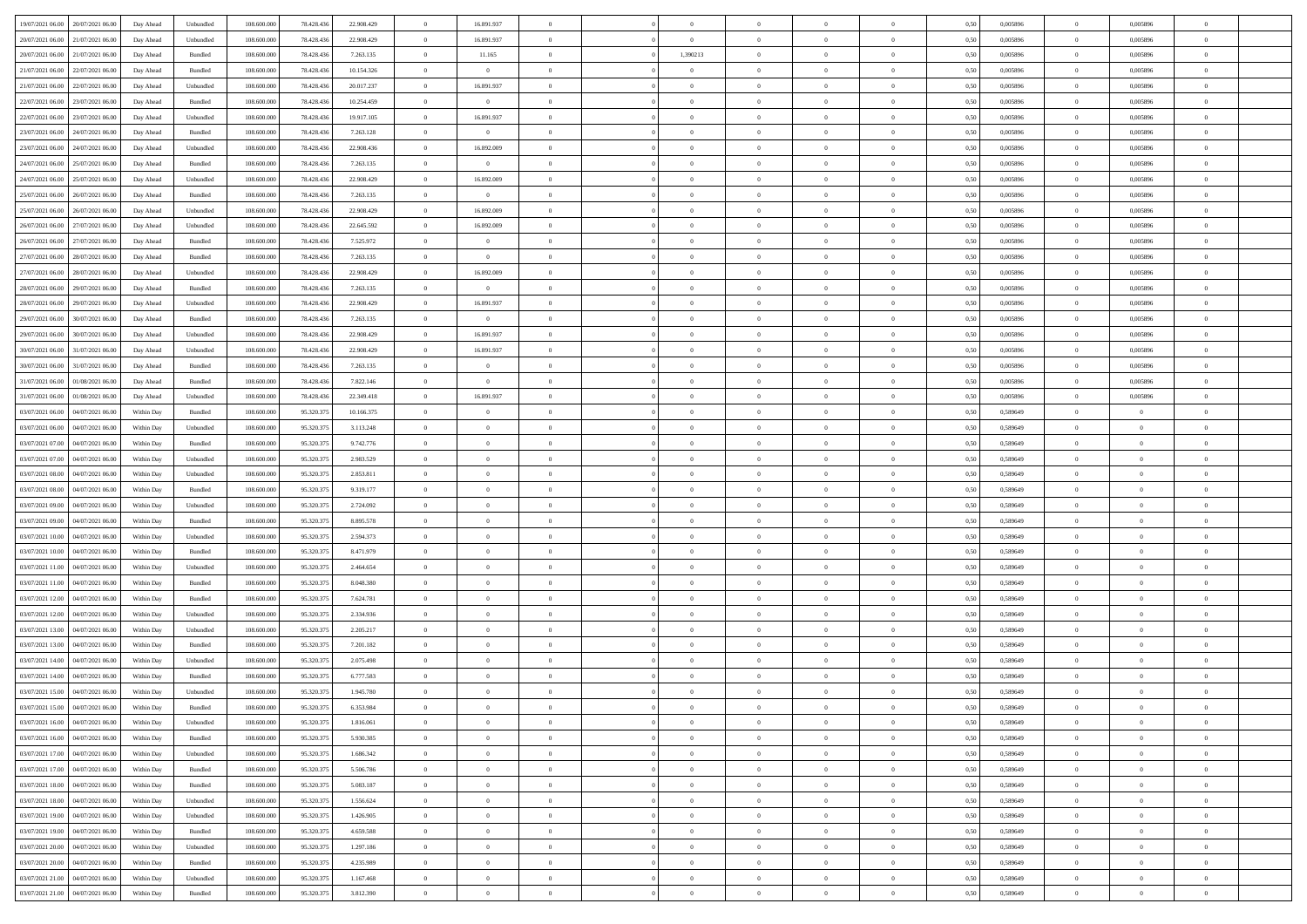| 19/07/2021 06:00 20/07/2021 06:00            | Day Ahead  | Unbundled | 108.600.000 | 78.428.436 | 22.908.429 | $\overline{0}$ | 16.891.937     |                | $\overline{0}$ | $\bf{0}$       | $\overline{0}$ | $\theta$       | 0,50 | 0,005896 | $\overline{0}$ | 0,005896       | $\bf{0}$       |  |
|----------------------------------------------|------------|-----------|-------------|------------|------------|----------------|----------------|----------------|----------------|----------------|----------------|----------------|------|----------|----------------|----------------|----------------|--|
|                                              |            |           |             |            |            |                |                |                |                |                |                |                |      |          |                |                |                |  |
| 20/07/2021 06:00<br>21/07/2021 06:00         | Day Ahead  | Unbundled | 108.600.00  | 78.428.43  | 22.908.429 | $\bf{0}$       | 16.891.937     | $\overline{0}$ | $\overline{0}$ | $\,$ 0         | $\overline{0}$ | $\bf{0}$       | 0,50 | 0,005896 | $\bf{0}$       | 0,005896       | $\bf{0}$       |  |
| 20/07/2021 06:00<br>21/07/2021 06:00         | Day Ahead  | Bundled   | 108,600,000 | 78.428.436 | 7.263.135  | $\overline{0}$ | 11.165         | $\overline{0}$ | 1,390213       | $\bf{0}$       | $\overline{0}$ | $\overline{0}$ | 0.50 | 0.005896 | $\overline{0}$ | 0.005896       | $\bf{0}$       |  |
| 21/07/2021 06:00<br>22/07/2021 06:00         | Day Ahead  | Bundled   | 108.600.000 | 78.428.436 | 10.154.326 | $\overline{0}$ | $\overline{0}$ | $\overline{0}$ | $\overline{0}$ | $\bf{0}$       | $\overline{0}$ | $\theta$       | 0,50 | 0,005896 | $\,0\,$        | 0,005896       | $\overline{0}$ |  |
| 21/07/2021 06:00<br>22/07/2021 06.00         | Day Ahead  | Unbundled | 108.600.00  | 78.428.436 | 20.017.237 | $\overline{0}$ | 16.891.937     | $\overline{0}$ |                | $\bf{0}$       | $\overline{0}$ | $\bf{0}$       | 0,50 | 0,005896 | $\bf{0}$       | 0,005896       | $\bf{0}$       |  |
| 22/07/2021 06:00<br>23/07/2021 06:00         | Day Ahead  | Bundled   | 108,600,000 | 78.428.436 | 10.254.459 | $\overline{0}$ | $\overline{0}$ | $\overline{0}$ | $\overline{0}$ | $\bf{0}$       | $\overline{0}$ | $\overline{0}$ | 0.50 | 0.005896 | $\bf{0}$       | 0.005896       | $\bf{0}$       |  |
|                                              |            |           |             |            |            | $\overline{0}$ |                | $\overline{0}$ | $\overline{0}$ |                | $\overline{0}$ | $\overline{0}$ |      |          | $\,0\,$        |                |                |  |
| 22/07/2021 06:00<br>23/07/2021 06:00         | Day Ahead  | Unbundled | 108.600.000 | 78.428.436 | 19.917.105 |                | 16.891.937     |                |                | $\bf{0}$       |                |                | 0,50 | 0,005896 |                | 0,005896       | $\bf{0}$       |  |
| 23/07/2021 06:00<br>24/07/2021 06.00         | Day Ahead  | Bundled   | 108.600.00  | 78.428.436 | 7.263.128  | $\bf{0}$       | $\bf{0}$       | $\overline{0}$ |                | $\,$ 0         | $\overline{0}$ | $\bf{0}$       | 0,50 | 0,005896 | $\bf{0}$       | 0,005896       | $\bf{0}$       |  |
| 23/07/2021 06:00<br>24/07/2021 06:00         | Day Ahead  | Unbundled | 108,600,000 | 78.428.436 | 22,908.436 | $\overline{0}$ | 16.892.009     | $\overline{0}$ | $\overline{0}$ | $\bf{0}$       | $\overline{0}$ | $\overline{0}$ | 0.50 | 0.005896 | $\overline{0}$ | 0.005896       | $\bf{0}$       |  |
| 24/07/2021 06:00<br>25/07/2021 06:00         | Day Ahead  | Bundled   | 108.600.000 | 78.428.436 | 7.263.135  | $\overline{0}$ | $\overline{0}$ | $\overline{0}$ | $\overline{0}$ | $\bf{0}$       | $\overline{0}$ | $\bf{0}$       | 0,50 | 0,005896 | $\overline{0}$ | 0,005896       | $\bf{0}$       |  |
| 24/07/2021 06:00<br>25/07/2021 06.00         | Day Ahead  | Unbundled | 108.600.00  | 78.428.436 | 22.908.429 | $\overline{0}$ | 16.892.009     | $\overline{0}$ |                | $\,$ 0         | $\overline{0}$ | $\bf{0}$       | 0,50 | 0,005896 | $\bf{0}$       | 0,005896       | $\bf{0}$       |  |
| 25/07/2021 06:00<br>26/07/2021 06:00         | Day Ahead  | Bundled   | 108,600,000 | 78.428.436 | 7.263.135  | $\overline{0}$ | $\overline{0}$ | $\overline{0}$ | $\overline{0}$ | $\,$ 0 $\,$    | $\overline{0}$ | $\overline{0}$ | 0.50 | 0.005896 | $\,$ 0 $\,$    | 0.005896       | $\bf{0}$       |  |
| 25/07/2021 06:00<br>26/07/2021 06:00         | Day Ahead  | Unbundled | 108.600.000 | 78.428.436 | 22.908.429 | $\overline{0}$ | 16.892.009     | $\overline{0}$ | $\overline{0}$ | $\,$ 0         | $\overline{0}$ | $\theta$       | 0,50 | 0,005896 | $\,0\,$        | 0,005896       | $\bf{0}$       |  |
|                                              |            |           |             |            |            |                |                |                |                |                |                |                |      |          |                |                |                |  |
| 26/07/2021 06:00<br>27/07/2021 06.00         | Day Ahead  | Unbundled | 108.600.00  | 78.428.43  | 22.645.592 | $\bf{0}$       | 16.892.009     | $\overline{0}$ |                | $\,$ 0         | $\overline{0}$ | $\bf{0}$       | 0,50 | 0,005896 | $\bf{0}$       | 0,005896       | $\bf{0}$       |  |
| 26/07/2021 06:00<br>27/07/2021 06:00         | Day Ahead  | Bundled   | 108,600,000 | 78.428.436 | 7.525.972  | $\overline{0}$ | $\overline{0}$ | $\overline{0}$ | $\overline{0}$ | $\bf{0}$       | $\overline{0}$ | $\overline{0}$ | 0.50 | 0.005896 | $\bf{0}$       | 0.005896       | $\bf{0}$       |  |
| 27/07/2021 06:00<br>28/07/2021 06:00         | Day Ahead  | Bundled   | 108.600.000 | 78.428.436 | 7.263.135  | $\overline{0}$ | $\overline{0}$ | $\overline{0}$ | $\overline{0}$ | $\bf{0}$       | $\overline{0}$ | $\overline{0}$ | 0,50 | 0,005896 | $\,0\,$        | 0,005896       | $\overline{0}$ |  |
| 27/07/2021 06:00<br>28/07/2021 06:00         | Day Ahead  | Unbundled | 108.600.00  | 78.428.436 | 22.908.429 | $\overline{0}$ | 16.892.009     | $\overline{0}$ |                | $\,$ 0         | $\overline{0}$ | $\bf{0}$       | 0,50 | 0,005896 | $\bf{0}$       | 0,005896       | $\bf{0}$       |  |
| 28/07/2021 06:00<br>29/07/2021 06:00         | Day Ahead  | Bundled   | 108 600 000 | 78.428.436 | 7.263.135  | $\overline{0}$ | $\overline{0}$ | $\overline{0}$ | $\overline{0}$ | $\bf{0}$       | $\overline{0}$ | $\overline{0}$ | 0.50 | 0.005896 | $\overline{0}$ | 0.005896       | $\bf{0}$       |  |
| 28/07/2021 06:00<br>29/07/2021 06:00         |            |           | 108.600.000 |            |            | $\overline{0}$ | 16.891.937     | $\overline{0}$ | $\overline{0}$ | $\bf{0}$       |                | $\overline{0}$ |      |          | $\,0\,$        |                | $\bf{0}$       |  |
|                                              | Day Ahead  | Unbundled |             | 78.428.436 | 22.908.429 |                |                |                |                |                | $\overline{0}$ |                | 0,50 | 0,005896 |                | 0,005896       |                |  |
| 29/07/2021 06:00<br>30/07/2021 06:00         | Day Ahead  | Bundled   | 108.600.00  | 78.428.436 | 7.263.135  | $\bf{0}$       | $\bf{0}$       | $\overline{0}$ | $\overline{0}$ | $\,$ 0         | $\overline{0}$ | $\bf{0}$       | 0,50 | 0,005896 | $\bf{0}$       | 0,005896       | $\bf{0}$       |  |
| 29/07/2021 06:00<br>30/07/2021 06:00         | Day Ahead  | Unbundled | 108,600,000 | 78.428.436 | 22.908.429 | $\overline{0}$ | 16.891.937     | $\overline{0}$ | $\overline{0}$ | $\,$ 0 $\,$    | $\overline{0}$ | $\overline{0}$ | 0.50 | 0.005896 | $\overline{0}$ | 0.005896       | $\bf{0}$       |  |
| 30/07/2021 06:00<br>31/07/2021 06:00         | Day Ahead  | Unbundled | 108.600.000 | 78.428.436 | 22.908.429 | $\overline{0}$ | 16.891.937     | $\overline{0}$ | $\overline{0}$ | $\,$ 0         | $\overline{0}$ | $\overline{0}$ | 0,50 | 0,005896 | $\,$ 0 $\,$    | 0,005896       | $\bf{0}$       |  |
| 30/07/2021 06:00<br>31/07/2021 06.00         | Day Ahead  | Bundled   | 108.600.00  | 78.428.436 | 7.263.135  | $\bf{0}$       | $\theta$       | $\overline{0}$ | $\overline{0}$ | $\,$ 0         | $\overline{0}$ | $\bf{0}$       | 0,50 | 0,005896 | $\bf{0}$       | 0,005896       | $\bf{0}$       |  |
| 31/07/2021 06:00<br>01/08/2021 06:00         | Day Ahead  | Bundled   | 108,600,000 | 78.428.436 | 7.822.146  | $\overline{0}$ | $\overline{0}$ | $\overline{0}$ | $\overline{0}$ | $\bf{0}$       | $\overline{0}$ | $\overline{0}$ | 0.50 | 0.005896 | $\bf{0}$       | 0.005896       | $\bf{0}$       |  |
| 31/07/2021 06:00<br>01/08/2021 06:00         | Day Ahead  | Unbundled | 108.600.000 | 78.428.436 | 22.349.418 | $\overline{0}$ | 16.891.937     | $\overline{0}$ | $\overline{0}$ | $\,$ 0         | $\overline{0}$ | $\overline{0}$ | 0,50 | 0,005896 | $\,$ 0 $\,$    | 0,005896       | $\overline{0}$ |  |
|                                              |            |           |             |            |            |                |                |                |                |                |                |                |      |          |                |                |                |  |
| 03/07/2021 06:00<br>04/07/2021 06.00         | Within Day | Bundled   | 108.600.00  | 95.320.37  | 10.166.375 | $\overline{0}$ | $\theta$       | $\overline{0}$ |                | $\,$ 0         | $\overline{0}$ | $\bf{0}$       | 0,50 | 0,589649 | $\bf{0}$       | $\overline{0}$ | $\bf{0}$       |  |
| 03/07/2021 06:00<br>04/07/2021 06:00         | Within Day | Unbundled | 108,600,000 | 95.320.375 | 3.113.248  | $\overline{0}$ | $\overline{0}$ | $\overline{0}$ | $\overline{0}$ | $\bf{0}$       | $\overline{0}$ | $\overline{0}$ | 0.50 | 0.589649 | $\bf{0}$       | $\overline{0}$ | $\bf{0}$       |  |
| 03/07/2021 07:00<br>04/07/2021 06:00         | Within Day | Bundled   | 108.600.000 | 95.320.375 | 9.742.776  | $\overline{0}$ | $\overline{0}$ | $\overline{0}$ | $\overline{0}$ | $\bf{0}$       | $\overline{0}$ | $\overline{0}$ | 0,50 | 0,589649 | $\,$ 0 $\,$    | $\overline{0}$ | $\bf{0}$       |  |
| 03/07/2021 07:00<br>04/07/2021 06.00         | Within Day | Unbundled | 108.600.00  | 95.320.37  | 2.983.529  | $\bf{0}$       | $\overline{0}$ | $\overline{0}$ | $\overline{0}$ | $\bf{0}$       | $\overline{0}$ | $\bf{0}$       | 0,50 | 0,589649 | $\bf{0}$       | $\overline{0}$ | $\bf{0}$       |  |
| 03/07/2021 08:00<br>04/07/2021 06:00         | Within Day | Unbundled | 108,600,000 | 95.320.375 | 2.853.811  | $\overline{0}$ | $\overline{0}$ | $\overline{0}$ | $\overline{0}$ | $\,$ 0 $\,$    | $\overline{0}$ | $\overline{0}$ | 0.50 | 0.589649 | $\overline{0}$ | $\bf{0}$       | $\bf{0}$       |  |
| 03/07/2021 08:00<br>04/07/2021 06:00         | Within Day | Bundled   | 108.600.000 | 95.320.375 | 9.319.177  | $\overline{0}$ | $\overline{0}$ | $\overline{0}$ | $\Omega$       | $\overline{0}$ | $\overline{0}$ | $\overline{0}$ | 0.50 | 0.589649 | $\mathbf{0}$   | $\overline{0}$ | $\overline{0}$ |  |
| 03/07/2021 09:00<br>04/07/2021 06.00         | Within Day | Unbundled | 108.600.00  | 95.320.37  | 2.724.092  | $\overline{0}$ | $\theta$       | $\overline{0}$ |                | $\,$ 0         | $\overline{0}$ | $\bf{0}$       | 0,50 | 0,589649 | $\bf{0}$       | $\overline{0}$ | $\bf{0}$       |  |
|                                              |            |           |             |            |            |                |                |                |                |                |                |                |      |          |                |                |                |  |
| 03/07/2021 09:00<br>04/07/2021 06:00         | Within Day | Bundled   | 108,600,000 | 95.320.375 | 8.895.578  | $\overline{0}$ | $\overline{0}$ | $\overline{0}$ | $\overline{0}$ | $\bf{0}$       | $\overline{0}$ | $\overline{0}$ | 0.50 | 0.589649 | $\bf{0}$       | $\overline{0}$ | $\bf{0}$       |  |
| 03/07/2021 10:00<br>04/07/2021 06:00         | Within Day | Unbundled | 108.600.000 | 95.320.375 | 2.594.373  | $\overline{0}$ | $\overline{0}$ | $\Omega$       | $\Omega$       | $\mathbf{0}$   | $\overline{0}$ | $\overline{0}$ | 0.50 | 0.589649 | $\mathbf{0}$   | $\overline{0}$ | $\overline{0}$ |  |
| 03/07/2021 10:00<br>04/07/2021 06.00         | Within Day | Bundled   | 108.600.00  | 95.320.37  | 8.471.979  | $\overline{0}$ | $\overline{0}$ | $\overline{0}$ |                | $\,$ 0         | $\overline{0}$ | $\bf{0}$       | 0,50 | 0,589649 | $\bf{0}$       | $\overline{0}$ | $\bf{0}$       |  |
| 03/07/2021 11:00<br>04/07/2021 06:00         | Within Day | Unbundled | 108,600,000 | 95.320.375 | 2.464.654  | $\overline{0}$ | $\overline{0}$ | $\overline{0}$ | $\overline{0}$ | $\bf{0}$       | $\overline{0}$ | $\overline{0}$ | 0.50 | 0.589649 | $\bf{0}$       | $\overline{0}$ | $\bf{0}$       |  |
| 03/07/2021 11:00<br>04/07/2021 06:00         | Within Day | Bundled   | 108.600.000 | 95.320.375 | 8.048.380  | $\overline{0}$ | $\overline{0}$ | $\overline{0}$ | $\Omega$       | $\overline{0}$ | $\overline{0}$ | $\overline{0}$ | 0.50 | 0.589649 | $\mathbf{0}$   | $\overline{0}$ | $\overline{0}$ |  |
| 03/07/2021 12:00<br>04/07/2021 06.00         | Within Day | Bundled   | 108.600.00  | 95.320.37  | 7.624.781  | $\overline{0}$ | $\overline{0}$ | $\overline{0}$ | $\overline{0}$ | $\bf{0}$       | $\overline{0}$ | $\bf{0}$       | 0,50 | 0,589649 | $\bf{0}$       | $\overline{0}$ | $\bf{0}$       |  |
| 03/07/2021 12:00<br>04/07/2021 06:00         |            | Unbundled | 108,600,000 | 95.320.375 | 2.334.936  |                | $\overline{0}$ |                | $\overline{0}$ | $\,$ 0 $\,$    | $\overline{0}$ | $\overline{0}$ | 0.50 | 0.589649 | $\overline{0}$ | $\bf{0}$       |                |  |
|                                              | Within Day |           |             |            |            | $\overline{0}$ |                | $\overline{0}$ |                |                |                |                |      |          |                |                | $\bf{0}$       |  |
| 03/07/2021 13:00<br>04/07/2021 06:00         | Within Day | Unbundled | 108.600.000 | 95.320.375 | 2.205.217  | $\overline{0}$ | $\overline{0}$ | $\Omega$       | $\Omega$       | $\mathbf{0}$   | $\overline{0}$ | $\overline{0}$ | 0.50 | 0.589649 | $\mathbf{0}$   | $\overline{0}$ | $\overline{0}$ |  |
| 03/07/2021 13:00<br>04/07/2021 06.00         | Within Day | Bundled   | 108.600.00  | 95.320.37  | 7.201.182  | $\bf{0}$       | $\overline{0}$ | $\overline{0}$ | $\overline{0}$ | $\,$ 0         | $\overline{0}$ | $\bf{0}$       | 0,50 | 0,589649 | $\bf{0}$       | $\overline{0}$ | $\bf{0}$       |  |
| 03/07/2021 14:00<br>04/07/2021 06:00         | Within Day | Unbundled | 108,600,000 | 95.320.37  | 2.075.498  | $\overline{0}$ | $\overline{0}$ | $\overline{0}$ | $\overline{0}$ | $\bf{0}$       | $\overline{0}$ | $\overline{0}$ | 0.50 | 0.589649 | $\bf{0}$       | $\overline{0}$ | $\bf{0}$       |  |
| 03/07/2021 14:00<br>04/07/2021 06:00         | Within Day | Bundled   | 108.600.000 | 95.320.375 | 6.777.583  | $\overline{0}$ | $\Omega$       | $\Omega$       | $\Omega$       | $\bf{0}$       | $\overline{0}$ | $\Omega$       | 0.50 | 0.589649 | $\mathbf{0}$   | $\overline{0}$ | $\overline{0}$ |  |
| 03/07/2021 15:00<br>04/07/2021 06:00         | Within Day | Unbundled | 108.600.00  | 95.320.37  | 1.945.780  | $\overline{0}$ | $\overline{0}$ | $\overline{0}$ | $\bf{0}$       | $\,$ 0         | $\overline{0}$ | $\bf{0}$       | 0,50 | 0,589649 | $\bf{0}$       | $\overline{0}$ | $\,$ 0         |  |
| $03/07/2021\ 15.00 \qquad 04/07/2021\ 06.00$ | Within Day | Bundled   | 108.600.000 | 95.320.375 | 6353984    | $\bf{0}$       | $\theta$       |                |                |                |                |                | 0,50 | 0.589649 | $\theta$       | $\Omega$       |                |  |
| 03/07/2021 16:00 04/07/2021 06:00            |            |           |             |            |            | $\theta$       |                | $\theta$       |                |                |                |                |      |          |                |                |                |  |
|                                              | Within Day | Unbundled | 108.600.000 | 95.320.375 | 1.816.061  |                | $\overline{0}$ |                | $\Omega$       | $\overline{0}$ | $\overline{0}$ | $\overline{0}$ | 0,50 | 0,589649 | $\theta$       | $\overline{0}$ | $\bf{0}$       |  |
| 03/07/2021 16:00<br>04/07/2021 06:00         | Within Day | Bundled   | 108.600.00  | 95.320.37  | 5.930.385  | $\overline{0}$ | $\bf{0}$       | $\overline{0}$ | $\bf{0}$       | $\overline{0}$ | $\overline{0}$ | $\mathbf{0}$   | 0,50 | 0,589649 | $\overline{0}$ | $\bf{0}$       | $\bf{0}$       |  |
| 03/07/2021 17:00   04/07/2021 06:00          | Within Day | Unbundled | 108,600,000 | 95.320.375 | 1.686.342  | $\overline{0}$ | $\overline{0}$ | $\overline{0}$ | $\overline{0}$ | $\overline{0}$ | $\overline{0}$ | $\mathbf{0}$   | 0.50 | 0.589649 | $\overline{0}$ | $\,$ 0 $\,$    | $\,$ 0 $\,$    |  |
| 03/07/2021 17:00  04/07/2021 06:00           | Within Dav | Bundled   | 108.600.000 | 95.320.375 | 5.506.786  | $\overline{0}$ | $\overline{0}$ | $\overline{0}$ | $\overline{0}$ | $\overline{0}$ | $\overline{0}$ | $\overline{0}$ | 0,50 | 0,589649 | $\theta$       | $\overline{0}$ | $\bf{0}$       |  |
| 03/07/2021 18:00<br>04/07/2021 06:00         | Within Day | Bundled   | 108.600.00  | 95.320.375 | 5.083.187  | $\overline{0}$ | $\overline{0}$ | $\overline{0}$ | $\overline{0}$ | $\bf{0}$       | $\overline{0}$ | $\bf{0}$       | 0,50 | 0,589649 | $\overline{0}$ | $\bf{0}$       | $\bf{0}$       |  |
| 03/07/2021 18:00 04/07/2021 06:00            | Within Day | Unbundled | 108,600,000 | 95.320.375 | 1.556.624  | $\overline{0}$ | $\overline{0}$ | $\overline{0}$ | $\overline{0}$ | $\,$ 0 $\,$    | $\overline{0}$ | $\overline{0}$ | 0.50 | 0.589649 | $\overline{0}$ | $\overline{0}$ | $\bf{0}$       |  |
| 03/07/2021 19:00 04/07/2021 06:00            | Within Dav | Unbundled | 108.600.000 | 95.320.375 | 1.426.905  | $\overline{0}$ | $\overline{0}$ | $\overline{0}$ | $\overline{0}$ | $\mathbf{0}$   | $\overline{0}$ | $\overline{0}$ | 0,50 | 0,589649 | $\overline{0}$ | $\overline{0}$ | $\bf{0}$       |  |
|                                              |            |           |             |            |            |                |                |                |                |                |                |                |      |          |                |                |                |  |
| 04/07/2021 06:00<br>03/07/2021 19:00         | Within Day | Bundled   | 108.600.00  | 95.320.375 | 4.659.588  | $\overline{0}$ | $\,$ 0         | $\overline{0}$ | $\bf{0}$       | $\,$ 0 $\,$    | $\overline{0}$ | $\mathbf{0}$   | 0,50 | 0,589649 | $\overline{0}$ | $\,$ 0 $\,$    | $\bf{0}$       |  |
| 03/07/2021 20:00 04/07/2021 06:00            | Within Day | Unbundled | 108,600,000 | 95.320.375 | 1.297.186  | $\overline{0}$ | $\overline{0}$ | $\overline{0}$ | $\overline{0}$ | $\,$ 0 $\,$    | $\overline{0}$ | $\mathbf{0}$   | 0.50 | 0.589649 | $\overline{0}$ | $\,$ 0 $\,$    | $\bf{0}$       |  |
| 03/07/2021 20.00 04/07/2021 06:00            | Within Dav | Bundled   | 108.600.000 | 95.320.375 | 4.235.989  | $\overline{0}$ | $\overline{0}$ | $\overline{0}$ | $\overline{0}$ | $\overline{0}$ | $\overline{0}$ | $\overline{0}$ | 0,50 | 0.589649 | $\overline{0}$ | $\overline{0}$ | $\bf{0}$       |  |
| 03/07/2021 21:00<br>04/07/2021 06:00         | Within Day | Unbundled | 108.600.00  | 95.320.37  | 1.167.468  | $\overline{0}$ | $\overline{0}$ | $\overline{0}$ | $\bf{0}$       | $\bf{0}$       | $\overline{0}$ | $\bf{0}$       | 0,50 | 0,589649 | $\overline{0}$ | $\bf{0}$       | $\bf{0}$       |  |
| 03/07/2021 21:00 04/07/2021 06:00            | Within Day | Bundled   | 108.600.000 | 95.320.375 | 3.812.390  | $\overline{0}$ | $\overline{0}$ | $\overline{0}$ | $\overline{0}$ | $\,$ 0 $\,$    | $\overline{0}$ | $\overline{0}$ | 0,50 | 0,589649 | $\,$ 0 $\,$    | $\,$ 0 $\,$    | $\bf{0}$       |  |
|                                              |            |           |             |            |            |                |                |                |                |                |                |                |      |          |                |                |                |  |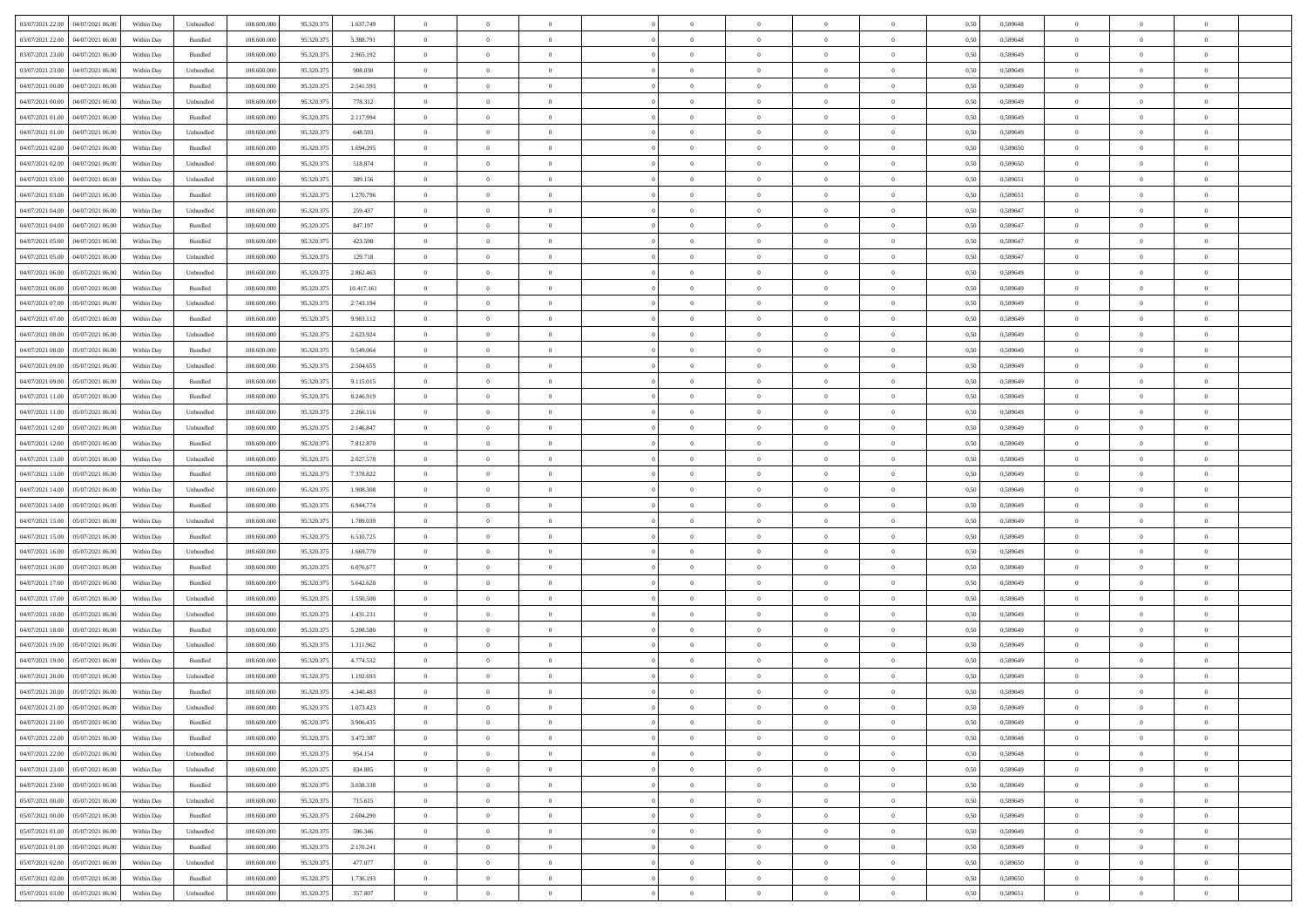| 03/07/2021 22:00 04/07/2021 06:00                  | Within Day | Unbundled                   | 108.600.000 | 95.320.375 | 1.037.749  | $\overline{0}$ | $\overline{0}$ |                | $\overline{0}$ | $\theta$       |                | $\theta$       | 0,50 | 0,589648 | $\theta$       | $\theta$       | $\overline{0}$ |  |
|----------------------------------------------------|------------|-----------------------------|-------------|------------|------------|----------------|----------------|----------------|----------------|----------------|----------------|----------------|------|----------|----------------|----------------|----------------|--|
| 03/07/2021 22:00<br>04/07/2021 06.00               | Within Day | Bundled                     | 108.600.00  | 95.320.37  | 3.388.791  | $\bf{0}$       | $\bf{0}$       | $\bf{0}$       | $\bf{0}$       | $\overline{0}$ | $\overline{0}$ | $\bf{0}$       | 0,50 | 0,589648 | $\,$ 0 $\,$    | $\bf{0}$       | $\overline{0}$ |  |
| 03/07/2021 23:00<br>04/07/2021 06:00               | Within Day | Bundled                     | 108,600,000 | 95.320.375 | 2.965.192  | $\overline{0}$ | $\bf{0}$       | $\overline{0}$ | $\bf{0}$       | $\bf{0}$       | $\overline{0}$ | $\bf{0}$       | 0.50 | 0.589649 | $\bf{0}$       | $\overline{0}$ | $\bf{0}$       |  |
| 03/07/2021 23:00<br>04/07/2021 06:00               |            |                             | 108.600.000 |            |            | $\overline{0}$ | $\overline{0}$ | $\overline{0}$ | $\overline{0}$ | $\theta$       | $\overline{0}$ |                |      |          | $\theta$       | $\theta$       | $\overline{0}$ |  |
|                                                    | Within Day | Unbundled                   |             | 95.320.375 | 908.030    |                |                |                |                |                |                | $\bf{0}$       | 0,50 | 0,589649 |                |                |                |  |
| 04/07/2021 00:00<br>04/07/2021 06.00               | Within Day | Bundled                     | 108.600.00  | 95.320.37  | 2.541.593  | $\overline{0}$ | $\overline{0}$ | $\bf{0}$       | $\overline{0}$ | $\theta$       | $\overline{0}$ | $\bf{0}$       | 0,50 | 0,589649 | $\,$ 0 $\,$    | $\bf{0}$       | $\overline{0}$ |  |
| 04/07/2021 00:00<br>04/07/2021 06:00               | Within Day | Unbundled                   | 108,600,000 | 95.320.37  | 778,312    | $\overline{0}$ | $\overline{0}$ | $\overline{0}$ | $\bf{0}$       | $\overline{0}$ | $\theta$       | $\bf{0}$       | 0.50 | 0.589649 | $\,$ 0 $\,$    | $\theta$       | $\overline{0}$ |  |
| 04/07/2021 01:00<br>04/07/2021 06:00               | Within Day | Bundled                     | 108.600.000 | 95.320.375 | 2.117.994  | $\overline{0}$ | $\overline{0}$ | $\overline{0}$ | $\overline{0}$ | $\overline{0}$ | $\overline{0}$ | $\bf{0}$       | 0,50 | 0,589649 | $\theta$       | $\theta$       | $\overline{0}$ |  |
|                                                    |            |                             |             |            |            |                |                |                |                |                |                |                |      |          |                |                |                |  |
| 04/07/2021 01:00<br>04/07/2021 06.00               | Within Day | Unbundled                   | 108.600.00  | 95.320.37  | 648.593    | $\bf{0}$       | $\bf{0}$       | $\bf{0}$       | $\overline{0}$ | $\overline{0}$ | $\overline{0}$ | $\bf{0}$       | 0,50 | 0,589649 | $\,$ 0 $\,$    | $\bf{0}$       | $\overline{0}$ |  |
| 04/07/2021 02:00<br>04/07/2021 06:00               | Within Day | Bundled                     | 108,600,000 | 95.320.37  | 1.694.395  | $\overline{0}$ | $\bf{0}$       | $\overline{0}$ | $\bf{0}$       | $\overline{0}$ | $\overline{0}$ | $\bf{0}$       | 0.50 | 0.589650 | $\bf{0}$       | $\overline{0}$ | $\overline{0}$ |  |
| 04/07/2021 02:00<br>04/07/2021 06:00               | Within Day | Unbundled                   | 108.600.000 | 95.320.375 | 518.874    | $\overline{0}$ | $\bf{0}$       | $\overline{0}$ | $\overline{0}$ | $\overline{0}$ | $\overline{0}$ | $\bf{0}$       | 0,50 | 0,589650 | $\,$ 0 $\,$    | $\bf{0}$       | $\overline{0}$ |  |
| 04/07/2021 03:00<br>04/07/2021 06.00               | Within Day | Unbundled                   | 108.600.00  | 95.320.37  | 389.156    | $\bf{0}$       | $\bf{0}$       | $\bf{0}$       | $\bf{0}$       | $\bf{0}$       | $\overline{0}$ | $\bf{0}$       | 0,50 | 0,589651 | $\,$ 0 $\,$    | $\bf{0}$       | $\overline{0}$ |  |
|                                                    |            |                             |             |            |            |                |                |                |                |                |                |                |      |          |                |                |                |  |
| 04/07/2021 03:00<br>04/07/2021 06:00               | Within Day | Bundled                     | 108,600,000 | 95.320.375 | 1.270.796  | $\overline{0}$ | $\bf{0}$       | $\overline{0}$ | $\overline{0}$ | $\bf{0}$       | $\overline{0}$ | $\bf{0}$       | 0.50 | 0.589651 | $\bf{0}$       | $\overline{0}$ | $\,$ 0         |  |
| 04/07/2021 04:00<br>04/07/2021 06:00               | Within Day | Unbundled                   | 108.600.000 | 95.320.37  | 259.437    | $\overline{0}$ | $\overline{0}$ | $\overline{0}$ | $\theta$       | $\theta$       | $\overline{0}$ | $\bf{0}$       | 0,50 | 0,589647 | $\theta$       | $\theta$       | $\overline{0}$ |  |
| 04/07/2021 04:00<br>04/07/2021 06.00               | Within Day | Bundled                     | 108.600.00  | 95.320.37  | 847.197    | $\bf{0}$       | $\overline{0}$ | $\bf{0}$       | $\bf{0}$       | $\bf{0}$       | $\overline{0}$ | $\bf{0}$       | 0,50 | 0,589647 | $\,$ 0 $\,$    | $\bf{0}$       | $\overline{0}$ |  |
| 04/07/2021 05:00<br>04/07/2021 06:00               | Within Day | Bundled                     | 108,600,000 | 95.320.375 | 423.598    | $\overline{0}$ | $\bf{0}$       | $\overline{0}$ | $\bf{0}$       | $\overline{0}$ | $\theta$       | $\bf{0}$       | 0.50 | 0.589647 | $\,$ 0 $\,$    | $\theta$       | $\overline{0}$ |  |
| 04/07/2021 05:00<br>04/07/2021 06:00               | Within Day | Unbundled                   | 108.600.000 | 95.320.375 | 129.718    | $\overline{0}$ | $\overline{0}$ | $\overline{0}$ | $\overline{0}$ | $\overline{0}$ | $\overline{0}$ | $\bf{0}$       | 0,50 | 0,589647 | $\theta$       | $\theta$       | $\overline{0}$ |  |
|                                                    |            |                             |             |            |            |                |                |                |                |                |                |                |      |          |                |                |                |  |
| 04/07/2021 06:00<br>05/07/2021 06.00               | Within Day | Unbundled                   | 108.600.00  | 95.320.37  | 2.862.463  | $\bf{0}$       | $\bf{0}$       | $\bf{0}$       | $\overline{0}$ | $\overline{0}$ | $\overline{0}$ | $\bf{0}$       | 0,50 | 0,589649 | $\,$ 0 $\,$    | $\bf{0}$       | $\overline{0}$ |  |
| 04/07/2021 06:00<br>05/07/2021 06:00               | Within Day | Bundled                     | 108,600,000 | 95.320.37  | 10.417.161 | $\overline{0}$ | $\bf{0}$       | $\overline{0}$ | $\bf{0}$       | $\overline{0}$ | $\overline{0}$ | $\bf{0}$       | 0.50 | 0.589649 | $\bf{0}$       | $\overline{0}$ | $\bf{0}$       |  |
| 04/07/2021 07:00<br>05/07/2021 06:00               | Within Day | Unbundled                   | 108.600.000 | 95.320.375 | 2.743.194  | $\overline{0}$ | $\bf{0}$       | $\overline{0}$ | $\overline{0}$ | $\overline{0}$ | $\overline{0}$ | $\bf{0}$       | 0,50 | 0,589649 | $\,$ 0 $\,$    | $\bf{0}$       | $\overline{0}$ |  |
| 04/07/2021 07:00<br>05/07/2021 06.00               | Within Day | Bundled                     | 108.600.00  | 95.320.37  | 9.983.112  | $\bf{0}$       | $\bf{0}$       | $\bf{0}$       | $\bf{0}$       | $\overline{0}$ | $\overline{0}$ | $\bf{0}$       | 0,50 | 0,589649 | $\,$ 0 $\,$    | $\bf{0}$       | $\overline{0}$ |  |
|                                                    |            |                             |             |            |            |                |                |                |                |                |                |                |      |          |                |                |                |  |
| 04/07/2021 08:00<br>05/07/2021 06:00               | Within Day | Unbundled                   | 108,600,000 | 95.320.37  | 2.623.924  | $\overline{0}$ | $\bf{0}$       | $\overline{0}$ | $\overline{0}$ | $\bf{0}$       | $\overline{0}$ | $\bf{0}$       | 0.50 | 0.589649 | $\bf{0}$       | $\overline{0}$ | $\,$ 0         |  |
| 04/07/2021 08:00<br>05/07/2021 06:00               | Within Day | Bundled                     | 108.600.000 | 95.320.375 | 9.549.064  | $\overline{0}$ | $\overline{0}$ | $\overline{0}$ | $\theta$       | $\theta$       | $\overline{0}$ | $\bf{0}$       | 0,50 | 0,589649 | $\theta$       | $\theta$       | $\overline{0}$ |  |
| 04/07/2021 09:00<br>05/07/2021 06.00               | Within Day | Unbundled                   | 108.600.00  | 95.320.37  | 2.504.655  | $\bf{0}$       | $\bf{0}$       | $\bf{0}$       | $\bf{0}$       | $\overline{0}$ | $\overline{0}$ | $\bf{0}$       | 0,50 | 0,589649 | $\,$ 0 $\,$    | $\bf{0}$       | $\overline{0}$ |  |
| 04/07/2021 09:00<br>05/07/2021 06:00               | Within Day | Bundled                     | 108,600,000 | 95.320.37  | 9.115.015  | $\overline{0}$ | $\overline{0}$ | $\overline{0}$ | $\bf{0}$       | $\overline{0}$ | $\theta$       | $\bf{0}$       | 0.50 | 0.589649 | $\,$ 0 $\,$    | $\theta$       | $\overline{0}$ |  |
| 04/07/2021 11:00<br>05/07/2021 06:00               | Within Day | Bundled                     | 108.600.000 | 95.320.375 | 8.246.919  | $\overline{0}$ | $\overline{0}$ | $\overline{0}$ | $\overline{0}$ | $\overline{0}$ | $\overline{0}$ | $\bf{0}$       | 0,50 | 0,589649 | $\theta$       | $\theta$       | $\overline{0}$ |  |
|                                                    |            |                             |             |            |            |                |                |                |                |                |                |                |      |          |                |                |                |  |
| 04/07/2021 11:00<br>05/07/2021 06.00               | Within Day | Unbundled                   | 108.600.00  | 95.320.37  | 2.266.116  | $\bf{0}$       | $\overline{0}$ | $\bf{0}$       | $\overline{0}$ | $\bf{0}$       | $\overline{0}$ | $\bf{0}$       | 0,50 | 0,589649 | $\,$ 0 $\,$    | $\bf{0}$       | $\overline{0}$ |  |
| 04/07/2021 12:00<br>05/07/2021 06:00               | Within Day | Unbundled                   | 108,600,000 | 95.320.37  | 2.146.847  | $\overline{0}$ | $\bf{0}$       | $\overline{0}$ | $\bf{0}$       | $\overline{0}$ | $\overline{0}$ | $\bf{0}$       | 0.50 | 0.589649 | $\bf{0}$       | $\overline{0}$ | $\overline{0}$ |  |
| 04/07/2021 12:00<br>05/07/2021 06:00               | Within Day | Bundled                     | 108.600.000 | 95.320.375 | 7.812.870  | $\overline{0}$ | $\bf{0}$       | $\overline{0}$ | $\overline{0}$ | $\overline{0}$ | $\overline{0}$ | $\bf{0}$       | 0,50 | 0,589649 | $\theta$       | $\theta$       | $\overline{0}$ |  |
| 04/07/2021 13:00<br>05/07/2021 06.00               | Within Day | Unbundled                   | 108.600.00  | 95.320.37  | 2.027.578  | $\bf{0}$       | $\bf{0}$       | $\bf{0}$       | $\bf{0}$       | $\overline{0}$ | $\overline{0}$ | $\bf{0}$       | 0,50 | 0,589649 | $\,$ 0 $\,$    | $\bf{0}$       | $\overline{0}$ |  |
|                                                    |            |                             |             |            |            |                |                |                |                |                |                |                |      |          |                |                |                |  |
| 04/07/2021 13:00<br>05/07/2021 06:00               | Within Day | Bundled                     | 108,600,000 | 95.320.375 | 7.378.822  | $\overline{0}$ | $\bf{0}$       | $\overline{0}$ | $\bf{0}$       | $\bf{0}$       | $\overline{0}$ | $\bf{0}$       | 0.50 | 0.589649 | $\bf{0}$       | $\overline{0}$ | $\,$ 0         |  |
| 04/07/2021 14:00<br>05/07/2021 06:00               | Within Day | Unbundled                   | 108.600.000 | 95.320.375 | 1,908,308  | $\overline{0}$ | $\overline{0}$ | $\overline{0}$ | $\overline{0}$ | $\overline{0}$ | $\overline{0}$ | $\bf{0}$       | 0.50 | 0.589649 | $\theta$       | $\theta$       | $\overline{0}$ |  |
| 04/07/2021 14:00<br>05/07/2021 06.00               | Within Day | Bundled                     | 108.600.00  | 95.320.37  | 6.944.774  | $\bf{0}$       | $\bf{0}$       | $\bf{0}$       | $\bf{0}$       | $\overline{0}$ | $\overline{0}$ | $\bf{0}$       | 0,50 | 0,589649 | $\,$ 0 $\,$    | $\bf{0}$       | $\overline{0}$ |  |
| 04/07/2021 15:00<br>05/07/2021 06:00               | Within Day | Unbundled                   | 108,600,000 | 95.320.375 | 1.789.039  | $\overline{0}$ | $\bf{0}$       | $\overline{0}$ | $\bf{0}$       | $\overline{0}$ | $\theta$       | $\bf{0}$       | 0.50 | 0.589649 | $\,$ 0 $\,$    | $\bf{0}$       | $\overline{0}$ |  |
| 04/07/2021 15:00<br>05/07/2021 06:00               | Within Dav | Bundled                     | 108.600.000 | 95.320.375 | 6.510.725  | $\overline{0}$ | $\overline{0}$ | $\overline{0}$ | $\overline{0}$ | $\overline{0}$ | $\overline{0}$ | $\bf{0}$       | 0.50 | 0.589649 | $\theta$       | $\theta$       | $\overline{0}$ |  |
|                                                    |            |                             |             |            |            |                |                |                |                |                |                |                |      |          |                |                |                |  |
| 04/07/2021 16:00<br>05/07/2021 06.00               | Within Day | Unbundled                   | 108.600.00  | 95.320.37  | 1.669.770  | $\bf{0}$       | $\bf{0}$       | $\bf{0}$       | $\bf{0}$       | $\overline{0}$ | $\overline{0}$ | $\bf{0}$       | 0,50 | 0,589649 | $\,$ 0 $\,$    | $\bf{0}$       | $\overline{0}$ |  |
| 04/07/2021 16:00<br>05/07/2021 06:00               | Within Day | Bundled                     | 108,600,000 | 95.320.37  | 6.076.677  | $\overline{0}$ | $\bf{0}$       | $\overline{0}$ | $\bf{0}$       | $\overline{0}$ | $\overline{0}$ | $\bf{0}$       | 0.50 | 0.589649 | $\bf{0}$       | $\overline{0}$ | $\overline{0}$ |  |
| 04/07/2021 17:00<br>05/07/2021 06:00               | Within Day | Bundled                     | 108.600.000 | 95.320.375 | 5.642.628  | $\overline{0}$ | $\overline{0}$ | $\overline{0}$ | $\overline{0}$ | $\overline{0}$ | $\overline{0}$ | $\bf{0}$       | 0.50 | 0.589649 | $\theta$       | $\theta$       | $\overline{0}$ |  |
| 04/07/2021 17:00<br>05/07/2021 06.00               | Within Day | Unbundled                   | 108.600.00  | 95.320.37  | 1.550.500  | $\bf{0}$       | $\bf{0}$       | $\bf{0}$       | $\bf{0}$       | $\overline{0}$ | $\overline{0}$ | $\bf{0}$       | 0,50 | 0,589649 | $\,$ 0 $\,$    | $\bf{0}$       | $\overline{0}$ |  |
|                                                    |            |                             |             |            |            |                |                |                |                |                |                |                |      |          |                |                |                |  |
| 04/07/2021 18:00<br>05/07/2021 06:00               | Within Day | Unbundled                   | 108,600,000 | 95.320.37  | 1.431.231  | $\overline{0}$ | $\bf{0}$       | $\overline{0}$ | $\overline{0}$ | $\bf{0}$       | $\overline{0}$ | $\bf{0}$       | 0.50 | 0.589649 | $\bf{0}$       | $\overline{0}$ | $\,$ 0         |  |
| 04/07/2021 18:00<br>05/07/2021 06:00               | Within Day | Bundled                     | 108.600.000 | 95.320.375 | 5.208.580  | $\overline{0}$ | $\overline{0}$ | $\overline{0}$ | $\overline{0}$ | $\overline{0}$ | $\overline{0}$ | $\bf{0}$       | 0.50 | 0.589649 | $\theta$       | $\theta$       | $\overline{0}$ |  |
| 04/07/2021 19:00<br>05/07/2021 06.00               | Within Day | Unbundled                   | 108.600.00  | 95.320.37  | 1.311.962  | $\bf{0}$       | $\bf{0}$       | $\bf{0}$       | $\bf{0}$       | $\overline{0}$ | $\overline{0}$ | $\bf{0}$       | 0,50 | 0,589649 | $\,$ 0 $\,$    | $\bf{0}$       | $\overline{0}$ |  |
| 04/07/2021 19:00<br>05/07/2021 06:00               | Within Day | Bundled                     | 108,600,000 | 95.320.37  | 4.774.532  | $\overline{0}$ | $\overline{0}$ | $\overline{0}$ | $\bf{0}$       | $\overline{0}$ | $\Omega$       | $\bf{0}$       | 0.50 | 0.589649 | $\bf{0}$       | $\theta$       | $\overline{0}$ |  |
| 04/07/2021 20:00<br>05/07/2021 06:00               | Within Day | Unbundled                   | 108.600.000 | 95.320.37  | 1.192.693  | $\overline{0}$ | $\overline{0}$ | $\Omega$       | $\overline{0}$ | $\theta$       | $\overline{0}$ | $\overline{0}$ | 0.5( | 0.589649 | $\theta$       | $\theta$       | $\overline{0}$ |  |
|                                                    |            |                             |             |            |            |                |                |                |                |                |                |                |      |          |                |                |                |  |
| 05/07/2021 06:00<br>04/07/2021 20:00               | Within Day | Bundled                     | 108.600.000 | 95.320.37  | 4.340.483  | $\bf{0}$       | $\bf{0}$       | $\bf{0}$       | $\bf{0}$       | $\bf{0}$       | $\overline{0}$ | $\bf{0}$       | 0,50 | 0,589649 | $\overline{0}$ | $\bf{0}$       | $\overline{0}$ |  |
| $04/07/2021\,\, 21.00 \qquad 05/07/2021\,\, 06.00$ | Within Day | $\ensuremath{\mathsf{Unb}}$ | 108.600.000 | 95.320.375 | 1.073.423  | $\bf{0}$       | $\theta$       |                | $\Omega$       |                |                |                | 0,50 | 0.589649 | $\bf{0}$       | $\overline{0}$ |                |  |
| 04/07/2021 21:00 05/07/2021 06:00                  | Within Day | Bundled                     | 108.600.000 | 95.320.375 | 3.906.435  | $\overline{0}$ | $\overline{0}$ | $\overline{0}$ | $\theta$       | $\overline{0}$ | $\overline{0}$ | $\bf{0}$       | 0,50 | 0,589649 | $\theta$       | $\theta$       | $\overline{0}$ |  |
| 04/07/2021 22:00<br>05/07/2021 06:00               | Within Day | Bundled                     | 108.600.00  | 95.320.37  | 3.472.387  | $\overline{0}$ | $\bf{0}$       | $\overline{0}$ | $\overline{0}$ | $\bf{0}$       | $\overline{0}$ | $\bf{0}$       | 0,50 | 0,589648 | $\bf{0}$       | $\overline{0}$ | $\bf{0}$       |  |
|                                                    |            |                             |             |            |            |                |                |                |                |                |                |                |      |          |                |                |                |  |
| 04/07/2021 22:00 05/07/2021 06:00                  | Within Day | Unbundled                   | 108,600,000 | 95.320.375 | 954.154    | $\overline{0}$ | $\overline{0}$ | $\overline{0}$ | $\overline{0}$ | $\mathbf{0}$   | $\overline{0}$ | $\,$ 0 $\,$    | 0.50 | 0.589648 | $\overline{0}$ | $\bf{0}$       | $\bf{0}$       |  |
| 04/07/2021 23:00 05/07/2021 06:00                  | Within Day | Unbundled                   | 108.600.000 | 95.320.375 | 834.885    | $\overline{0}$ | $\overline{0}$ | $\overline{0}$ | $\overline{0}$ | $\overline{0}$ | $\overline{0}$ | $\bf{0}$       | 0,50 | 0.589649 | $\overline{0}$ | $\theta$       | $\overline{0}$ |  |
| 04/07/2021 23:00<br>05/07/2021 06:00               | Within Day | Bundled                     | 108.600.000 | 95.320.375 | 3.038.338  | $\overline{0}$ | $\bf{0}$       | $\overline{0}$ | $\overline{0}$ | $\bf{0}$       | $\overline{0}$ | $\bf{0}$       | 0,50 | 0,589649 | $\bf{0}$       | $\overline{0}$ | $\overline{0}$ |  |
| 05/07/2021 00:00 05/07/2021 06:00                  | Within Day | Unbundled                   | 108,600,000 | 95.320.375 | 715.615    | $\overline{0}$ | $\bf{0}$       | $\overline{0}$ | $\overline{0}$ | $\bf{0}$       | $\overline{0}$ | $\bf{0}$       | 0.50 | 0.589649 | $\,$ 0 $\,$    | $\overline{0}$ | $\,$ 0         |  |
| 05/07/2021 00:00 05/07/2021 06:00                  | Within Dav | Bundled                     | 108.600.000 | 95.320.375 | 2.604.290  | $\overline{0}$ | $\overline{0}$ | $\overline{0}$ | $\overline{0}$ | $\overline{0}$ | $\overline{0}$ | $\bf{0}$       | 0,50 | 0.589649 | $\overline{0}$ | $\theta$       | $\overline{0}$ |  |
|                                                    |            |                             |             |            |            |                |                |                |                |                |                |                |      |          |                |                |                |  |
| 05/07/2021 06:00<br>05/07/2021 01:00               | Within Day | Unbundled                   | 108.600.00  | 95.320.37  | 596.346    | $\overline{0}$ | $\overline{0}$ | $\overline{0}$ | $\overline{0}$ | $\overline{0}$ | $\overline{0}$ | $\bf{0}$       | 0,50 | 0,589649 | $\bf{0}$       | $\overline{0}$ | $\,$ 0         |  |
| 05/07/2021 01:00  05/07/2021 06:00                 | Within Day | Bundled                     | 108,600,000 | 95.320.375 | 2.170.241  | $\overline{0}$ | $\overline{0}$ | $\overline{0}$ | $\overline{0}$ | $\overline{0}$ | $\overline{0}$ | $\bf{0}$       | 0.50 | 0.589649 | $\mathbf{0}$   | $\bf{0}$       | $\,$ 0         |  |
| 05/07/2021 02:00 05/07/2021 06:00                  | Within Dav | Unbundled                   | 108.600.000 | 95.320.375 | 477.077    | $\overline{0}$ | $\overline{0}$ | $\overline{0}$ | $\overline{0}$ | $\overline{0}$ | $\overline{0}$ | $\bf{0}$       | 0,50 | 0,589650 | $\overline{0}$ | $\theta$       | $\overline{0}$ |  |
| 05/07/2021 02:00<br>05/07/2021 06:00               | Within Day | Bundled                     | 108.600.00  | 95.320.37  | 1.736.193  | $\overline{0}$ | $\bf{0}$       | $\overline{0}$ | $\overline{0}$ | $\overline{0}$ | $\overline{0}$ | $\bf{0}$       | 0,50 | 0,589650 | $\bf{0}$       | $\overline{0}$ | $\bf{0}$       |  |
|                                                    |            |                             |             |            |            |                |                |                |                |                |                |                |      |          |                |                |                |  |
| 05/07/2021 03:00 05/07/2021 06:00                  | Within Day | Unbundled                   | 108.600.000 | 95.320.375 | 357.807    | $\overline{0}$ | $\bf{0}$       | $\overline{0}$ | $\overline{0}$ | $\,$ 0 $\,$    | $\overline{0}$ | $\,$ 0 $\,$    | 0,50 | 0,589651 | $\overline{0}$ | $\,$ 0 $\,$    | $\,$ 0 $\,$    |  |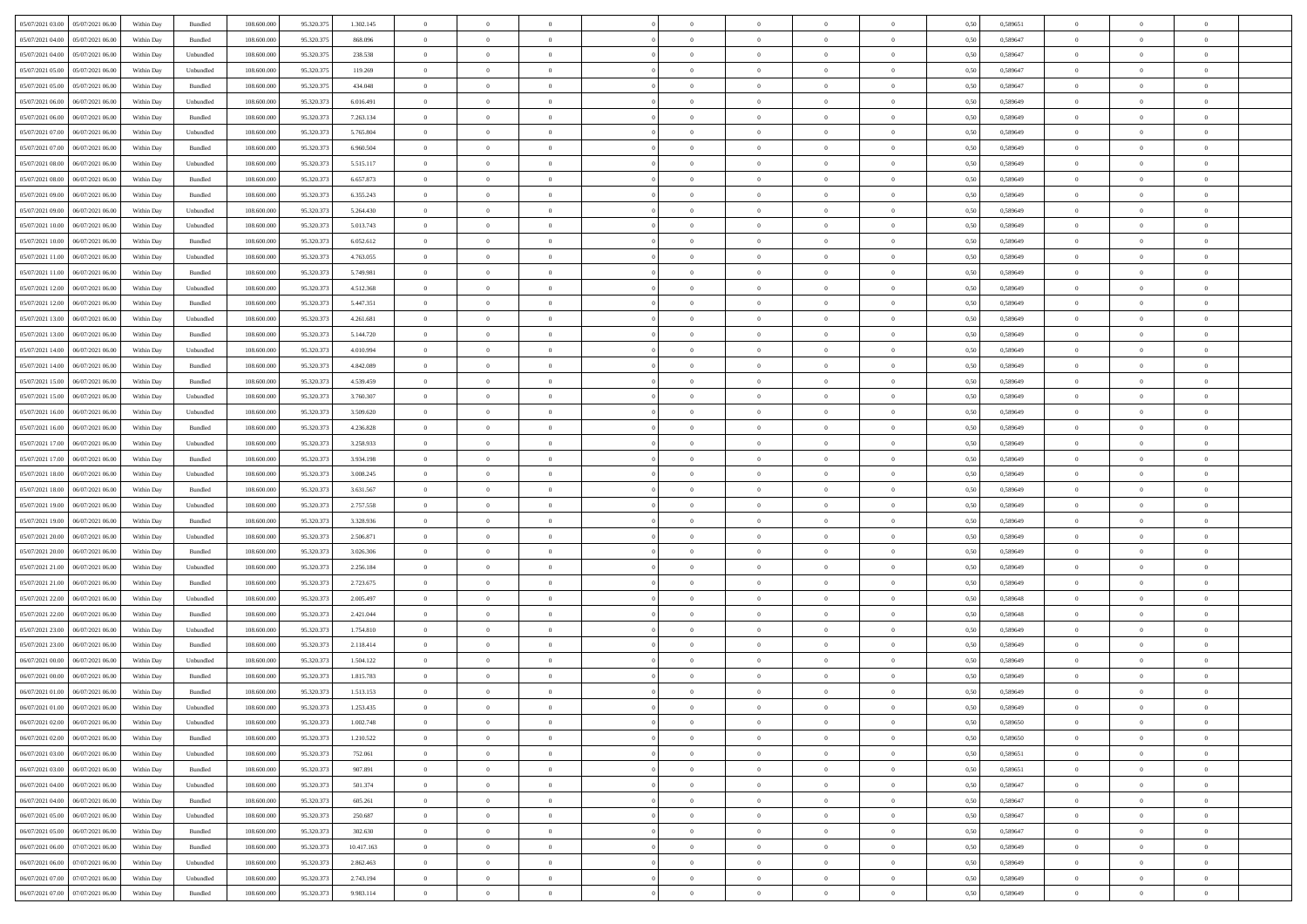| 05/07/2021 03:00 05/07/2021 06:00            | Within Day | Bundled                     | 108.600.000 | 95.320.375 | 1.302.145  | $\overline{0}$ | $\theta$       |                | $\overline{0}$ | $\theta$       |                | $\theta$       | 0,50 | 0,589651 | $\theta$       | $\theta$       | $\overline{0}$ |  |
|----------------------------------------------|------------|-----------------------------|-------------|------------|------------|----------------|----------------|----------------|----------------|----------------|----------------|----------------|------|----------|----------------|----------------|----------------|--|
| 05/07/2021 04:00<br>05/07/2021 06:00         | Within Day | Bundled                     | 108.600.00  | 95.320.37  | 868.096    | $\bf{0}$       | $\bf{0}$       | $\bf{0}$       | $\overline{0}$ | $\overline{0}$ | $\overline{0}$ | $\bf{0}$       | 0,50 | 0,589647 | $\,$ 0 $\,$    | $\bf{0}$       | $\overline{0}$ |  |
| 05/07/2021 04:00<br>05/07/2021 06:00         | Within Day | Unbundled                   | 108,600,000 | 95.320.375 | 238.538    | $\overline{0}$ | $\bf{0}$       | $\overline{0}$ | $\bf{0}$       | $\bf{0}$       | $\overline{0}$ | $\bf{0}$       | 0.50 | 0.589647 | $\bf{0}$       | $\overline{0}$ | $\overline{0}$ |  |
| 05/07/2021 05:00<br>05/07/2021 06:00         |            |                             | 108.600.000 |            |            | $\overline{0}$ | $\overline{0}$ | $\overline{0}$ | $\theta$       | $\theta$       | $\overline{0}$ |                |      |          | $\theta$       | $\theta$       | $\overline{0}$ |  |
|                                              | Within Day | Unbundled                   |             | 95.320.375 | 119.269    |                |                |                |                |                |                | $\bf{0}$       | 0,50 | 0,589647 |                |                |                |  |
| 05/07/2021 05:00<br>05/07/2021 06.00         | Within Day | Bundled                     | 108.600.00  | 95.320.37  | 434.048    | $\bf{0}$       | $\overline{0}$ | $\bf{0}$       | $\overline{0}$ | $\theta$       | $\overline{0}$ | $\bf{0}$       | 0,50 | 0,589647 | $\,$ 0 $\,$    | $\bf{0}$       | $\overline{0}$ |  |
| 05/07/2021 06:00<br>06/07/2021 06:00         | Within Day | Unbundled                   | 108,600,000 | 95.320.37  | 6.016.491  | $\overline{0}$ | $\overline{0}$ | $\overline{0}$ | $\bf{0}$       | $\overline{0}$ | $\theta$       | $\bf{0}$       | 0.50 | 0.589649 | $\bf{0}$       | $\theta$       | $\overline{0}$ |  |
| 05/07/2021 06:00<br>06/07/2021 06:00         | Within Day | Bundled                     | 108.600.000 | 95.320.373 | 7.263.134  | $\overline{0}$ | $\overline{0}$ | $\overline{0}$ | $\overline{0}$ | $\overline{0}$ | $\overline{0}$ | $\bf{0}$       | 0,50 | 0,589649 | $\theta$       | $\theta$       | $\overline{0}$ |  |
|                                              |            |                             |             |            |            |                |                |                |                |                |                |                |      |          |                |                |                |  |
| 05/07/2021 07:00<br>06/07/2021 06.00         | Within Day | Unbundled                   | 108.600.00  | 95.320.37  | 5.765.804  | $\overline{0}$ | $\overline{0}$ | $\bf{0}$       | $\overline{0}$ | $\overline{0}$ | $\overline{0}$ | $\bf{0}$       | 0,50 | 0,589649 | $\,$ 0 $\,$    | $\bf{0}$       | $\overline{0}$ |  |
| 05/07/2021 07:00<br>06/07/2021 06:00         | Within Day | Bundled                     | 108,600,000 | 95.320.37  | 6.960.504  | $\overline{0}$ | $\bf{0}$       | $\overline{0}$ | $\bf{0}$       | $\overline{0}$ | $\overline{0}$ | $\bf{0}$       | 0.50 | 0.589649 | $\bf{0}$       | $\overline{0}$ | $\overline{0}$ |  |
| 05/07/2021 08:00<br>06/07/2021 06:00         | Within Day | Unbundled                   | 108.600.000 | 95.320.373 | 5.515.117  | $\overline{0}$ | $\bf{0}$       | $\overline{0}$ | $\overline{0}$ | $\overline{0}$ | $\overline{0}$ | $\bf{0}$       | 0,50 | 0,589649 | $\,$ 0 $\,$    | $\bf{0}$       | $\overline{0}$ |  |
| 05/07/2021 08:00<br>06/07/2021 06.00         | Within Day | Bundled                     | 108.600.00  | 95.320.37  | 6.657.873  | $\bf{0}$       | $\overline{0}$ | $\bf{0}$       | $\bf{0}$       | $\bf{0}$       | $\overline{0}$ | $\bf{0}$       | 0,50 | 0,589649 | $\,$ 0 $\,$    | $\bf{0}$       | $\overline{0}$ |  |
|                                              |            |                             |             |            |            |                |                |                |                |                |                |                |      |          |                |                |                |  |
| 05/07/2021 09:00<br>06/07/2021 06:00         | Within Day | Bundled                     | 108,600,000 | 95.320.37  | 6.355.243  | $\overline{0}$ | $\bf{0}$       | $\overline{0}$ | $\overline{0}$ | $\bf{0}$       | $\overline{0}$ | $\bf{0}$       | 0.50 | 0.589649 | $\bf{0}$       | $\overline{0}$ | $\bf{0}$       |  |
| 05/07/2021 09:00<br>06/07/2021 06:00         | Within Day | Unbundled                   | 108.600.000 | 95.320.373 | 5.264.430  | $\overline{0}$ | $\overline{0}$ | $\overline{0}$ | $\theta$       | $\theta$       | $\overline{0}$ | $\bf{0}$       | 0,50 | 0,589649 | $\theta$       | $\theta$       | $\overline{0}$ |  |
| 05/07/2021 10:00<br>06/07/2021 06.00         | Within Day | Unbundled                   | 108.600.00  | 95.320.37  | 5.013.743  | $\bf{0}$       | $\overline{0}$ | $\bf{0}$       | $\overline{0}$ | $\theta$       | $\overline{0}$ | $\bf{0}$       | 0,50 | 0,589649 | $\,$ 0 $\,$    | $\bf{0}$       | $\overline{0}$ |  |
|                                              |            |                             |             |            |            |                |                |                |                |                |                |                |      |          |                |                |                |  |
| 05/07/2021 10:00<br>06/07/2021 06:00         | Within Day | Bundled                     | 108,600,000 | 95.320.37  | 6.052.612  | $\overline{0}$ | $\overline{0}$ | $\overline{0}$ | $\bf{0}$       | $\overline{0}$ | $\Omega$       | $\bf{0}$       | 0.50 | 0.589649 | $\theta$       | $\theta$       | $\overline{0}$ |  |
| 05/07/2021 11:00<br>06/07/2021 06:00         | Within Day | Unbundled                   | 108.600.000 | 95.320.373 | 4.763.055  | $\overline{0}$ | $\overline{0}$ | $\overline{0}$ | $\overline{0}$ | $\overline{0}$ | $\overline{0}$ | $\bf{0}$       | 0,50 | 0,589649 | $\theta$       | $\theta$       | $\overline{0}$ |  |
| 05/07/2021 11:00<br>06/07/2021 06.00         | Within Day | Bundled                     | 108.600.00  | 95.320.37  | 5.749.981  | $\bf{0}$       | $\overline{0}$ | $\bf{0}$       | $\overline{0}$ | $\bf{0}$       | $\overline{0}$ | $\bf{0}$       | 0,50 | 0,589649 | $\,$ 0 $\,$    | $\bf{0}$       | $\overline{0}$ |  |
| 05/07/2021 12:00<br>06/07/2021 06:00         | Within Day | Unbundled                   | 108,600,000 | 95.320.37  | 4.512.368  | $\overline{0}$ | $\bf{0}$       | $\overline{0}$ | $\bf{0}$       | $\overline{0}$ | $\overline{0}$ | $\bf{0}$       | 0.50 | 0.589649 | $\bf{0}$       | $\overline{0}$ | $\overline{0}$ |  |
| 05/07/2021 12:00<br>06/07/2021 06:00         | Within Day | Bundled                     | 108.600.000 | 95.320.373 | 5.447.351  | $\overline{0}$ | $\bf{0}$       | $\overline{0}$ | $\overline{0}$ | $\overline{0}$ | $\overline{0}$ | $\bf{0}$       | 0,50 | 0,589649 | $\,$ 0 $\,$    | $\bf{0}$       | $\overline{0}$ |  |
|                                              |            |                             |             |            |            |                |                |                |                |                |                |                |      |          |                |                |                |  |
| 05/07/2021 13:00<br>06/07/2021 06.00         | Within Day | Unbundled                   | 108.600.00  | 95.320.37  | 4.261.681  | $\bf{0}$       | $\bf{0}$       | $\bf{0}$       | $\bf{0}$       | $\overline{0}$ | $\overline{0}$ | $\bf{0}$       | 0,50 | 0,589649 | $\,$ 0 $\,$    | $\bf{0}$       | $\overline{0}$ |  |
| 05/07/2021 13:00<br>06/07/2021 06:00         | Within Day | Bundled                     | 108,600,000 | 95.320.37  | 5.144.720  | $\overline{0}$ | $\bf{0}$       | $\overline{0}$ | $\bf{0}$       | $\bf{0}$       | $\overline{0}$ | $\bf{0}$       | 0.50 | 0.589649 | $\bf{0}$       | $\overline{0}$ | $\bf{0}$       |  |
| 05/07/2021 14:00<br>06/07/2021 06:00         | Within Day | Unbundled                   | 108.600.000 | 95.320.373 | 4.010.994  | $\overline{0}$ | $\overline{0}$ | $\overline{0}$ | $\theta$       | $\theta$       | $\overline{0}$ | $\bf{0}$       | 0,50 | 0,589649 | $\theta$       | $\theta$       | $\overline{0}$ |  |
| 05/07/2021 14:00<br>06/07/2021 06.00         | Within Day | Bundled                     | 108.600.00  | 95.320.37  | 4.842.089  | $\bf{0}$       | $\overline{0}$ | $\bf{0}$       | $\bf{0}$       | $\overline{0}$ | $\overline{0}$ | $\bf{0}$       | 0,50 | 0,589649 | $\,$ 0 $\,$    | $\bf{0}$       | $\overline{0}$ |  |
|                                              |            |                             |             |            |            |                |                |                |                |                |                |                |      |          |                |                |                |  |
| 05/07/2021 15:00<br>06/07/2021 06:00         | Within Day | Bundled                     | 108,600,000 | 95.320.37  | 4.539.459  | $\overline{0}$ | $\overline{0}$ | $\overline{0}$ | $\overline{0}$ | $\overline{0}$ | $\theta$       | $\bf{0}$       | 0.50 | 0.589649 | $\bf{0}$       | $\theta$       | $\overline{0}$ |  |
| 05/07/2021 15:00<br>06/07/2021 06:00         | Within Day | Unbundled                   | 108.600.000 | 95.320.373 | 3.760.307  | $\overline{0}$ | $\overline{0}$ | $\overline{0}$ | $\overline{0}$ | $\overline{0}$ | $\overline{0}$ | $\bf{0}$       | 0,50 | 0,589649 | $\theta$       | $\theta$       | $\overline{0}$ |  |
| 05/07/2021 16:00<br>06/07/2021 06.00         | Within Day | Unbundled                   | 108.600.00  | 95.320.37  | 3.509.620  | $\bf{0}$       | $\overline{0}$ | $\bf{0}$       | $\overline{0}$ | $\bf{0}$       | $\overline{0}$ | $\bf{0}$       | 0,50 | 0,589649 | $\,$ 0 $\,$    | $\bf{0}$       | $\overline{0}$ |  |
| 05/07/2021 16:00<br>06/07/2021 06:00         |            | Bundled                     | 108,600,000 | 95.320.37  | 4.236.828  |                | $\bf{0}$       | $\overline{0}$ |                | $\overline{0}$ | $\overline{0}$ |                | 0.50 | 0.589649 | $\bf{0}$       | $\overline{0}$ | $\overline{0}$ |  |
|                                              | Within Day |                             |             |            |            | $\overline{0}$ |                |                | $\bf{0}$       |                |                | $\bf{0}$       |      |          |                |                |                |  |
| 05/07/2021 17:00<br>06/07/2021 06:00         | Within Day | Unbundled                   | 108.600.000 | 95.320.373 | 3.258.933  | $\overline{0}$ | $\overline{0}$ | $\overline{0}$ | $\overline{0}$ | $\overline{0}$ | $\overline{0}$ | $\bf{0}$       | 0,50 | 0,589649 | $\theta$       | $\theta$       | $\overline{0}$ |  |
| 05/07/2021 17:00<br>06/07/2021 06.00         | Within Day | Bundled                     | 108.600.00  | 95.320.37  | 3.934.198  | $\bf{0}$       | $\bf{0}$       | $\bf{0}$       | $\bf{0}$       | $\overline{0}$ | $\overline{0}$ | $\bf{0}$       | 0,50 | 0,589649 | $\,$ 0 $\,$    | $\bf{0}$       | $\overline{0}$ |  |
| 05/07/2021 18:00<br>06/07/2021 06:00         | Within Day | Unbundled                   | 108,600,000 | 95.320.37  | 3.008.245  | $\overline{0}$ | $\bf{0}$       | $\overline{0}$ | $\bf{0}$       | $\bf{0}$       | $\overline{0}$ | $\bf{0}$       | 0.50 | 0.589649 | $\bf{0}$       | $\overline{0}$ | $\bf{0}$       |  |
| 05/07/2021 18:00<br>06/07/2021 06:00         | Within Day | Bundled                     | 108.600.000 | 95.320.37  | 3.631.567  | $\overline{0}$ | $\overline{0}$ | $\overline{0}$ | $\overline{0}$ | $\overline{0}$ | $\overline{0}$ | $\bf{0}$       | 0.50 | 0.589649 | $\theta$       | $\theta$       | $\overline{0}$ |  |
|                                              |            |                             |             |            |            |                |                |                |                |                |                |                |      |          |                |                |                |  |
| 05/07/2021 19:00<br>06/07/2021 06.00         | Within Day | Unbundled                   | 108.600.00  | 95.320.37  | 2.757.558  | $\bf{0}$       | $\overline{0}$ | $\bf{0}$       | $\bf{0}$       | $\overline{0}$ | $\overline{0}$ | $\bf{0}$       | 0,50 | 0,589649 | $\,$ 0 $\,$    | $\bf{0}$       | $\overline{0}$ |  |
| 05/07/2021 19:00<br>06/07/2021 06:00         | Within Day | Bundled                     | 108,600,000 | 95.320.37  | 3.328.936  | $\overline{0}$ | $\bf{0}$       | $\overline{0}$ | $\bf{0}$       | $\overline{0}$ | $\Omega$       | $\bf{0}$       | 0.50 | 0.589649 | $\,$ 0 $\,$    | $\theta$       | $\overline{0}$ |  |
| 05/07/2021 20:00<br>06/07/2021 06:00         | Within Dav | Unbundled                   | 108.600.000 | 95.320.373 | 2.506.871  | $\overline{0}$ | $\overline{0}$ | $\overline{0}$ | $\overline{0}$ | $\overline{0}$ | $\overline{0}$ | $\overline{0}$ | 0.50 | 0.589649 | $\theta$       | $\theta$       | $\overline{0}$ |  |
| 05/07/2021 20:00<br>06/07/2021 06.00         | Within Day | Bundled                     | 108.600.00  | 95.320.37  | 3.026.306  | $\bf{0}$       | $\bf{0}$       | $\bf{0}$       | $\overline{0}$ | $\overline{0}$ | $\overline{0}$ | $\bf{0}$       | 0,50 | 0,589649 | $\,$ 0 $\,$    | $\bf{0}$       | $\overline{0}$ |  |
|                                              |            |                             |             |            |            |                |                |                |                |                |                |                |      |          |                |                |                |  |
| 05/07/2021 21:00<br>06/07/2021 06:00         | Within Day | Unbundled                   | 108,600,000 | 95.320.37  | 2.256.184  | $\overline{0}$ | $\bf{0}$       | $\overline{0}$ | $\bf{0}$       | $\overline{0}$ | $\overline{0}$ | $\bf{0}$       | 0.50 | 0.589649 | $\bf{0}$       | $\overline{0}$ | $\overline{0}$ |  |
| 05/07/2021 21:00<br>06/07/2021 06:00         | Within Dav | Bundled                     | 108.600.000 | 95.320.37  | 2.723.675  | $\overline{0}$ | $\overline{0}$ | $\overline{0}$ | $\overline{0}$ | $\overline{0}$ | $\overline{0}$ | $\overline{0}$ | 0.50 | 0.589649 | $\theta$       | $\theta$       | $\overline{0}$ |  |
| 05/07/2021 22.00<br>06/07/2021 06.00         | Within Day | Unbundled                   | 108.600.00  | 95.320.37  | 2.005.497  | $\bf{0}$       | $\bf{0}$       | $\bf{0}$       | $\bf{0}$       | $\overline{0}$ | $\overline{0}$ | $\bf{0}$       | 0,50 | 0,589648 | $\,$ 0 $\,$    | $\bf{0}$       | $\overline{0}$ |  |
| 05/07/2021 22:00<br>06/07/2021 06:00         | Within Day | Bundled                     | 108,600,000 | 95.320.37  | 2.421.044  | $\overline{0}$ | $\bf{0}$       | $\overline{0}$ | $\overline{0}$ | $\bf{0}$       | $\overline{0}$ | $\bf{0}$       | 0.50 | 0.589648 | $\bf{0}$       | $\overline{0}$ | $\bf{0}$       |  |
|                                              |            |                             |             |            |            |                |                |                |                |                |                |                |      |          |                |                |                |  |
|                                              |            |                             |             |            |            |                |                |                |                |                |                |                |      |          |                |                |                |  |
| 05/07/2021 23:00<br>06/07/2021 06.00         | Within Day | Bundled                     | 108.600.00  | 95.320.37  | 2.118.414  | $\bf{0}$       | $\bf{0}$       | $\bf{0}$       | $\bf{0}$       | $\overline{0}$ | $\overline{0}$ | $\bf{0}$       | 0,50 | 0,589649 | $\,$ 0 $\,$    | $\bf{0}$       | $\overline{0}$ |  |
| 06/07/2021 00:00<br>06/07/2021 06:00         | Within Day | Unbundled                   | 108,600,000 | 95.320.37  | 1.504.122  | $\overline{0}$ | $\overline{0}$ | $\overline{0}$ | $\overline{0}$ | $\overline{0}$ | $\Omega$       | $\bf{0}$       | 0.50 | 0.589649 | $\,$ 0 $\,$    | $\theta$       | $\overline{0}$ |  |
|                                              |            |                             |             |            |            |                |                |                |                |                |                |                |      |          |                |                |                |  |
|                                              |            |                             |             |            |            |                |                |                |                |                |                |                |      |          |                |                |                |  |
|                                              |            |                             |             |            |            |                |                |                |                |                |                |                |      |          |                |                |                |  |
| $06/07/2021\ 01.00 \qquad 06/07/2021\ 06.00$ | Within Day | $\ensuremath{\mathsf{Unb}}$ | 108.600.000 | 95.320.373 | 1.253.435  | $\bf{0}$       | $\Omega$       |                | $\Omega$       |                |                |                | 0,50 | 0.589649 | $\theta$       | $\overline{0}$ |                |  |
| 06/07/2021 02:00 06/07/2021 06:00            | Within Day | Unbundled                   | 108.600.000 | 95.320.373 | 1.002.748  | $\overline{0}$ | $\overline{0}$ | $\overline{0}$ | $\theta$       | $\overline{0}$ | $\overline{0}$ | $\bf{0}$       | 0,50 | 0,589650 | $\theta$       | $\overline{0}$ | $\overline{0}$ |  |
|                                              |            |                             |             |            |            |                |                |                |                |                |                |                |      |          |                |                |                |  |
|                                              |            |                             |             |            |            |                |                |                |                |                |                |                |      |          |                |                |                |  |
|                                              |            |                             |             |            |            |                |                |                |                |                |                |                |      |          |                |                |                |  |
| 06/07/2021 03:00   06/07/2021 06:00          | Within Dav | Bundled                     | 108.600.000 | 95.320.373 | 907.891    | $\overline{0}$ | $\overline{0}$ | $\overline{0}$ | $\overline{0}$ | $\overline{0}$ | $\overline{0}$ | $\bf{0}$       | 0,50 | 0,589651 | $\overline{0}$ | $\theta$       | $\overline{0}$ |  |
| 06/07/2021 04:00<br>06/07/2021 06:00         | Within Day | Unbundled                   | 108.600.000 | 95.320.373 | 501.374    | $\overline{0}$ | $\bf{0}$       | $\overline{0}$ | $\overline{0}$ | $\bf{0}$       | $\overline{0}$ | $\bf{0}$       | 0,50 | 0,589647 | $\bf{0}$       | $\overline{0}$ | $\overline{0}$ |  |
|                                              |            |                             |             |            |            |                |                |                |                |                |                |                |      |          |                |                |                |  |
|                                              |            |                             |             |            |            |                |                |                |                |                |                |                |      |          |                |                |                |  |
|                                              | Within Dav |                             |             |            | 250.687    |                |                |                | $\overline{0}$ |                |                |                | 0.50 |          |                |                |                |  |
| 06/07/2021 05:00<br>06/07/2021 06:00         | Within Day | Bundled                     | 108.600.00  | 95.320.37  | 302.630    | $\overline{0}$ | $\overline{0}$ | $\overline{0}$ | $\overline{0}$ | $\overline{0}$ | $\overline{0}$ | $\bf{0}$       | 0,50 | 0,589647 | $\bf{0}$       | $\overline{0}$ | $\,$ 0         |  |
| 06/07/2021 06:00 07/07/2021 06:00            | Within Day | Bundled                     | 108,600,000 | 95.320.373 | 10.417.163 | $\overline{0}$ | $\overline{0}$ | $\overline{0}$ | $\overline{0}$ | $\overline{0}$ | $\overline{0}$ | $\bf{0}$       | 0.50 | 0.589649 | $\mathbf{0}$   | $\bf{0}$       | $\,$ 0         |  |
|                                              |            |                             |             |            |            |                |                |                |                |                |                |                |      |          |                |                |                |  |
|                                              |            |                             |             |            |            |                |                |                |                |                |                |                |      |          |                |                |                |  |
| 06/07/2021 07:00<br>07/07/2021 06:00         | Within Day | Unbundled                   | 108.600.00  | 95.320.37  | 2.743.194  | $\overline{0}$ | $\bf{0}$       | $\overline{0}$ | $\overline{0}$ | $\overline{0}$ | $\overline{0}$ | $\bf{0}$       | 0,50 | 0,589649 | $\bf{0}$       | $\overline{0}$ | $\bf{0}$       |  |
| 06/07/2021 07:00 07/07/2021 06:00            | Within Day | Bundled                     | 108.600.000 | 95.320.373 | 9.983.114  | $\,$ 0 $\,$    | $\bf{0}$       | $\overline{0}$ | $\overline{0}$ | $\,$ 0 $\,$    | $\overline{0}$ | $\,$ 0 $\,$    | 0,50 | 0,589649 | $\overline{0}$ | $\,$ 0 $\,$    | $\,$ 0 $\,$    |  |
| 05/07/2021 23:00<br>06/07/2021 06:00         | Within Dav | Unbundled                   | 108.600.000 | 95.320.37  | 1.754.810  | $\overline{0}$ | $\overline{0}$ | $\overline{0}$ | $\overline{0}$ | $\overline{0}$ | $\overline{0}$ | $\bf{0}$       | 0.50 | 0.589649 | $\theta$       | $\theta$       | $\overline{0}$ |  |
|                                              |            |                             |             |            |            |                |                |                |                |                |                |                |      |          |                |                |                |  |
|                                              |            |                             |             |            |            |                |                |                |                |                |                |                |      |          |                |                |                |  |
|                                              |            |                             |             |            |            |                |                |                |                |                |                |                |      |          |                |                |                |  |
|                                              |            |                             |             |            |            |                |                |                |                |                |                |                |      |          |                |                |                |  |
|                                              |            |                             |             |            |            |                |                |                |                |                |                |                |      |          |                |                |                |  |
| 06/07/2021 00:00<br>06/07/2021 06:00         | Within Dav | Bundled                     | 108.600.000 | 95.320.37  | 1.815.783  | $\overline{0}$ | $\overline{0}$ | $\Omega$       | $\overline{0}$ | $\theta$       | $\overline{0}$ | $\overline{0}$ | 0.5( | 0.589649 | $\theta$       | $\theta$       | $\overline{0}$ |  |
| 06/07/2021 01:00<br>06/07/2021 06:00         | Within Day | Bundled                     | 108.600.000 | 95.320.37  | 1.513.153  | $\bf{0}$       | $\bf{0}$       | $\bf{0}$       | $\bf{0}$       | $\bf{0}$       | $\overline{0}$ | $\bf{0}$       | 0,50 | 0,589649 | $\,$ 0 $\,$    | $\bf{0}$       | $\overline{0}$ |  |
|                                              |            |                             |             |            |            |                |                |                |                |                |                |                |      |          |                |                |                |  |
|                                              |            |                             |             |            |            |                |                |                |                |                |                |                |      |          |                |                |                |  |
|                                              |            |                             |             |            |            |                |                |                |                |                |                |                |      |          |                |                |                |  |
| 06/07/2021 02:00<br>06/07/2021 06:00         | Within Day | Bundled                     | 108.600.00  | 95.320.37  | 1.210.522  | $\overline{0}$ | $\bf{0}$       | $\overline{0}$ | $\overline{0}$ | $\bf{0}$       | $\overline{0}$ | $\bf{0}$       | 0,50 | 0,589650 | $\bf{0}$       | $\overline{0}$ | $\bf{0}$       |  |
| 06/07/2021 03:00   06/07/2021 06:00          | Within Day | Unbundled                   | 108,600,000 | 95.320.373 | 752.061    | $\overline{0}$ | $\overline{0}$ | $\overline{0}$ | $\overline{0}$ | $\mathbf{0}$   | $\overline{0}$ | $\,$ 0 $\,$    | 0.50 | 0.589651 | $\overline{0}$ | $\bf{0}$       | $\bf{0}$       |  |
|                                              |            |                             |             |            |            |                |                |                |                |                |                |                |      |          |                |                |                |  |
|                                              |            |                             |             |            |            |                |                |                |                |                |                |                |      |          |                |                |                |  |
|                                              |            |                             |             |            |            |                |                |                |                |                |                |                |      |          |                |                |                |  |
| 06/07/2021 04:00<br>06/07/2021 06:00         | Within Day | Bundled                     | 108,600,000 | 95.320.37  | 605.261    | $\overline{0}$ | $\bf{0}$       | $\overline{0}$ | $\overline{0}$ | $\bf{0}$       | $\overline{0}$ | $\bf{0}$       | 0.50 | 0.589647 | $\,$ 0 $\,$    | $\overline{0}$ | $\,$ 0         |  |
| 06/07/2021 05:00<br>06/07/2021 06:00         |            | Unbundled                   | 108.600.000 | 95.320.373 |            | $\overline{0}$ | $\overline{0}$ | $\overline{0}$ |                | $\overline{0}$ | $\overline{0}$ | $\bf{0}$       |      | 0,589647 | $\overline{0}$ | $\theta$       | $\overline{0}$ |  |
|                                              |            |                             |             |            |            |                |                |                |                |                |                |                |      |          |                |                |                |  |
|                                              |            |                             |             |            |            |                |                |                |                |                |                |                |      |          |                |                |                |  |
|                                              |            |                             |             |            |            |                |                |                |                |                |                |                |      |          |                |                |                |  |
| 06/07/2021 06:00 07/07/2021 06:00            | Within Dav | Unbundled                   | 108.600.000 | 95.320.373 | 2.862.463  | $\overline{0}$ | $\overline{0}$ | $\overline{0}$ | $\overline{0}$ | $\overline{0}$ | $\overline{0}$ | $\bf{0}$       | 0,50 | 0.589649 | $\overline{0}$ | $\theta$       | $\overline{0}$ |  |
|                                              |            |                             |             |            |            |                |                |                |                |                |                |                |      |          |                |                |                |  |
|                                              |            |                             |             |            |            |                |                |                |                |                |                |                |      |          |                |                |                |  |
|                                              |            |                             |             |            |            |                |                |                |                |                |                |                |      |          |                |                |                |  |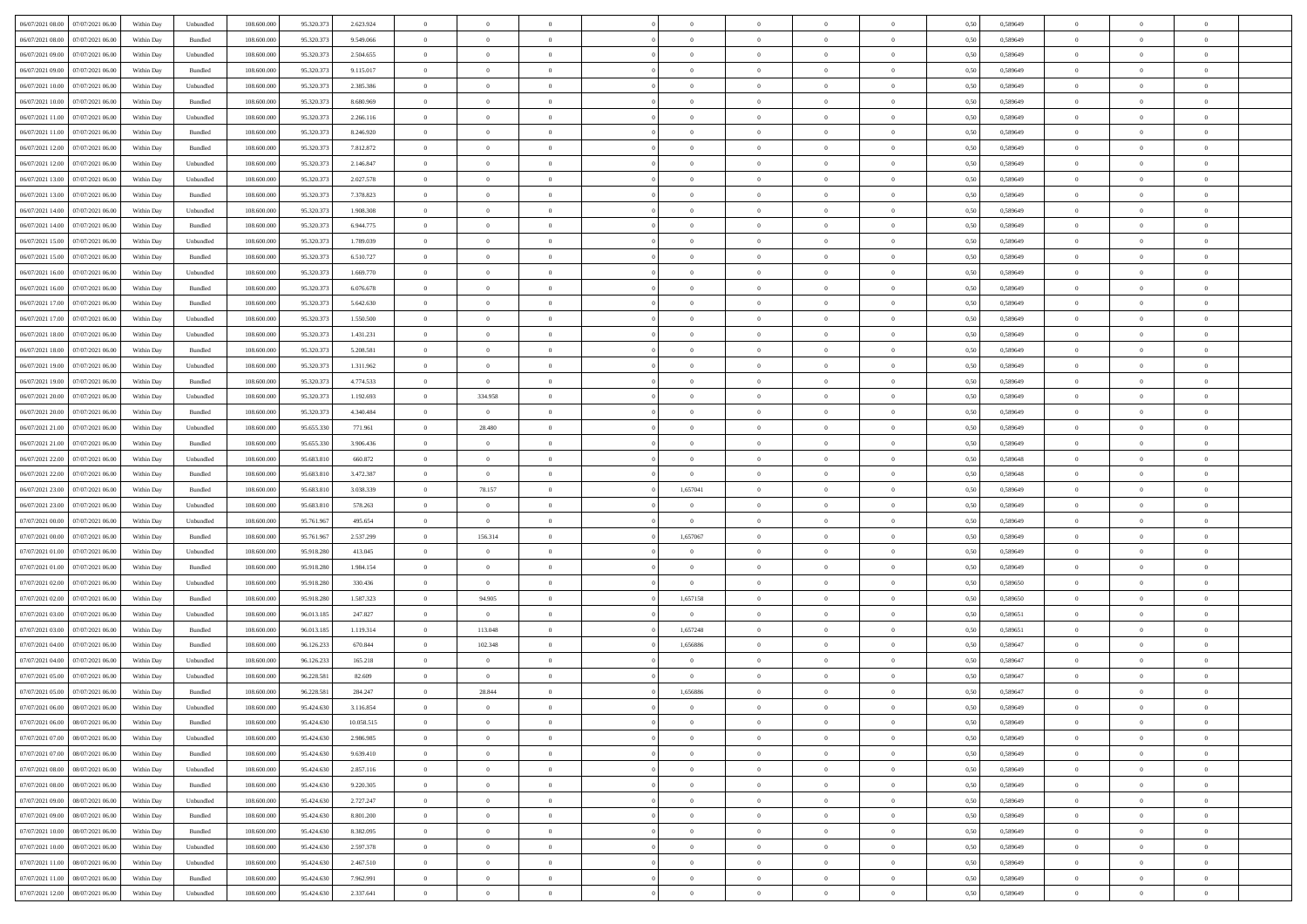| 06/07/2021 08:00 07/07/2021 06:00            | Within Day | Unbundled                   | 108.600.000 | 95.320.373 | 2.623.924  | $\overline{0}$ | $\overline{0}$ |                | $\overline{0}$ | $\theta$       |                | $\theta$       | 0,50 | 0,589649 | $\theta$       | $\theta$       | $\overline{0}$ |  |
|----------------------------------------------|------------|-----------------------------|-------------|------------|------------|----------------|----------------|----------------|----------------|----------------|----------------|----------------|------|----------|----------------|----------------|----------------|--|
| 06/07/2021 08:00<br>07/07/2021 06:00         | Within Day | Bundled                     | 108.600.00  | 95.320.37  | 9.549.066  | $\bf{0}$       | $\bf{0}$       | $\bf{0}$       | $\overline{0}$ | $\overline{0}$ | $\overline{0}$ | $\bf{0}$       | 0,50 | 0,589649 | $\,$ 0 $\,$    | $\bf{0}$       | $\overline{0}$ |  |
| 06/07/2021 09:00<br>07/07/2021 06:00         | Within Day | Unbundled                   | 108,600,000 | 95.320.373 | 2.504.655  | $\overline{0}$ | $\bf{0}$       | $\overline{0}$ | $\bf{0}$       | $\bf{0}$       | $\overline{0}$ | $\bf{0}$       | 0.50 | 0.589649 | $\bf{0}$       | $\overline{0}$ | $\overline{0}$ |  |
| 06/07/2021 09:00<br>07/07/2021 06:00         | Within Day | Bundled                     | 108.600.000 | 95.320.373 | 9.115.017  | $\overline{0}$ | $\overline{0}$ | $\overline{0}$ | $\theta$       | $\theta$       | $\overline{0}$ | $\bf{0}$       | 0,50 | 0,589649 | $\theta$       | $\theta$       | $\overline{0}$ |  |
|                                              |            |                             |             |            |            |                |                |                |                |                |                |                |      |          |                |                |                |  |
| 06/07/2021 10:00<br>07/07/2021 06.00         | Within Day | Unbundled                   | 108.600.00  | 95.320.37  | 2.385.386  | $\bf{0}$       | $\overline{0}$ | $\bf{0}$       | $\overline{0}$ | $\theta$       | $\overline{0}$ | $\bf{0}$       | 0,50 | 0,589649 | $\,$ 0 $\,$    | $\bf{0}$       | $\overline{0}$ |  |
| 06/07/2021 10:00<br>07/07/2021 06:00         | Within Day | Bundled                     | 108,600,000 | 95.320.37  | 8.680.969  | $\overline{0}$ | $\overline{0}$ | $\overline{0}$ | $\bf{0}$       | $\overline{0}$ | $\theta$       | $\bf{0}$       | 0.50 | 0.589649 | $\bf{0}$       | $\theta$       | $\overline{0}$ |  |
| 06/07/2021 11:00<br>07/07/2021 06:00         | Within Day | Unbundled                   | 108.600.000 | 95.320.37  | 2.266.116  | $\overline{0}$ | $\overline{0}$ | $\overline{0}$ | $\overline{0}$ | $\overline{0}$ | $\overline{0}$ | $\bf{0}$       | 0,50 | 0,589649 | $\theta$       | $\theta$       | $\overline{0}$ |  |
| 06/07/2021 11:00<br>07/07/2021 06.00         | Within Day | Bundled                     | 108.600.00  | 95.320.37  | 8.246.920  | $\bf{0}$       | $\overline{0}$ | $\bf{0}$       | $\overline{0}$ | $\overline{0}$ | $\overline{0}$ | $\bf{0}$       | 0,50 | 0,589649 | $\,$ 0 $\,$    | $\bf{0}$       | $\overline{0}$ |  |
| 06/07/2021 12:00<br>07/07/2021 06:00         | Within Day | Bundled                     | 108,600,000 | 95.320.37  | 7.812.872  | $\overline{0}$ | $\bf{0}$       | $\overline{0}$ | $\bf{0}$       | $\overline{0}$ | $\overline{0}$ | $\bf{0}$       | 0.50 | 0.589649 | $\bf{0}$       | $\overline{0}$ | $\overline{0}$ |  |
|                                              |            |                             |             |            |            |                |                |                |                |                |                |                |      |          |                |                |                |  |
| 06/07/2021 12:00<br>07/07/2021 06:00         | Within Day | Unbundled                   | 108.600.000 | 95.320.373 | 2.146.847  | $\overline{0}$ | $\bf{0}$       | $\overline{0}$ | $\overline{0}$ | $\overline{0}$ | $\overline{0}$ | $\bf{0}$       | 0,50 | 0,589649 | $\,$ 0 $\,$    | $\bf{0}$       | $\overline{0}$ |  |
| 06/07/2021 13:00<br>07/07/2021 06.00         | Within Day | Unbundled                   | 108.600.00  | 95.320.37  | 2.027.578  | $\bf{0}$       | $\overline{0}$ | $\bf{0}$       | $\bf{0}$       | $\bf{0}$       | $\overline{0}$ | $\bf{0}$       | 0,50 | 0,589649 | $\,$ 0 $\,$    | $\bf{0}$       | $\overline{0}$ |  |
| 06/07/2021 13:00<br>07/07/2021 06:00         | Within Day | Bundled                     | 108,600,000 | 95.320.37  | 7.378.823  | $\overline{0}$ | $\bf{0}$       | $\overline{0}$ | $\overline{0}$ | $\bf{0}$       | $\overline{0}$ | $\bf{0}$       | 0.50 | 0.589649 | $\bf{0}$       | $\overline{0}$ | $\bf{0}$       |  |
| 06/07/2021 14:00<br>07/07/2021 06:00         | Within Day | Unbundled                   | 108.600.000 | 95.320.373 | 1.908.308  | $\overline{0}$ | $\overline{0}$ | $\overline{0}$ | $\theta$       | $\theta$       | $\overline{0}$ | $\overline{0}$ | 0,50 | 0,589649 | $\theta$       | $\theta$       | $\overline{0}$ |  |
| 06/07/2021 14:00<br>07/07/2021 06.00         | Within Day | Bundled                     | 108.600.00  | 95.320.37  | 6.944.775  | $\bf{0}$       | $\overline{0}$ | $\bf{0}$       | $\overline{0}$ | $\theta$       | $\overline{0}$ | $\bf{0}$       | 0,50 | 0,589649 | $\,$ 0 $\,$    | $\bf{0}$       | $\overline{0}$ |  |
| 06/07/2021 15:00<br>07/07/2021 06:00         | Within Day | Unbundled                   | 108 600 000 | 95.320.37  | 1.789.039  | $\overline{0}$ | $\overline{0}$ | $\overline{0}$ | $\bf{0}$       | $\overline{0}$ | $\Omega$       | $\bf{0}$       | 0.50 | 0.589649 | $\theta$       | $\theta$       | $\overline{0}$ |  |
|                                              |            |                             |             |            |            |                |                |                |                |                |                |                |      |          |                |                |                |  |
| 06/07/2021 15:00<br>07/07/2021 06:00         | Within Day | Bundled                     | 108.600.000 | 95.320.373 | 6.510.727  | $\overline{0}$ | $\overline{0}$ | $\overline{0}$ | $\overline{0}$ | $\overline{0}$ | $\overline{0}$ | $\bf{0}$       | 0,50 | 0,589649 | $\theta$       | $\theta$       | $\overline{0}$ |  |
| 06/07/2021 16:00<br>07/07/2021 06.00         | Within Day | Unbundled                   | 108.600.00  | 95.320.37  | 1.669.770  | $\bf{0}$       | $\overline{0}$ | $\bf{0}$       | $\overline{0}$ | $\bf{0}$       | $\overline{0}$ | $\bf{0}$       | 0,50 | 0,589649 | $\,$ 0 $\,$    | $\bf{0}$       | $\overline{0}$ |  |
| 06/07/2021 16:00<br>07/07/2021 06:00         | Within Day | Bundled                     | 108,600,000 | 95.320.37  | 6.076.678  | $\overline{0}$ | $\bf{0}$       | $\overline{0}$ | $\bf{0}$       | $\overline{0}$ | $\overline{0}$ | $\bf{0}$       | 0.50 | 0.589649 | $\bf{0}$       | $\overline{0}$ | $\overline{0}$ |  |
| 06/07/2021 17:00<br>07/07/2021 06:00         | Within Day | Bundled                     | 108.600.000 | 95.320.373 | 5.642.630  | $\overline{0}$ | $\bf{0}$       | $\overline{0}$ | $\overline{0}$ | $\overline{0}$ | $\overline{0}$ | $\bf{0}$       | 0,50 | 0,589649 | $\,$ 0 $\,$    | $\theta$       | $\overline{0}$ |  |
| 06/07/2021 17:00<br>07/07/2021 06.00         | Within Day | Unbundled                   | 108.600.00  | 95.320.37  | 1.550.500  | $\bf{0}$       | $\bf{0}$       | $\bf{0}$       | $\bf{0}$       | $\overline{0}$ | $\overline{0}$ | $\bf{0}$       | 0,50 | 0,589649 | $\,$ 0 $\,$    | $\bf{0}$       | $\overline{0}$ |  |
| 06/07/2021 18:00<br>07/07/2021 06:00         |            | Unbundled                   | 108,600,000 | 95.320.37  |            |                | $\bf{0}$       | $\overline{0}$ |                | $\bf{0}$       | $\overline{0}$ |                | 0.50 | 0.589649 | $\bf{0}$       | $\overline{0}$ | $\,$ 0         |  |
|                                              | Within Day |                             |             |            | 1.431.231  | $\overline{0}$ |                |                | $\bf{0}$       |                |                | $\bf{0}$       |      |          |                |                |                |  |
| 06/07/2021 18:00<br>07/07/2021 06:00         | Within Day | Bundled                     | 108.600.000 | 95.320.373 | 5.208.581  | $\overline{0}$ | $\overline{0}$ | $\overline{0}$ | $\theta$       | $\theta$       | $\overline{0}$ | $\bf{0}$       | 0,50 | 0,589649 | $\theta$       | $\theta$       | $\overline{0}$ |  |
| 06/07/2021 19:00<br>07/07/2021 06.00         | Within Day | Unbundled                   | 108.600.00  | 95.320.37  | 1.311.962  | $\bf{0}$       | $\overline{0}$ | $\bf{0}$       | $\bf{0}$       | $\overline{0}$ | $\overline{0}$ | $\bf{0}$       | 0,50 | 0,589649 | $\,$ 0 $\,$    | $\bf{0}$       | $\overline{0}$ |  |
| 06/07/2021 19:00<br>07/07/2021 06:00         | Within Day | Bundled                     | 108,600,000 | 95.320.37  | 4.774.533  | $\overline{0}$ | $\overline{0}$ | $\overline{0}$ | $\overline{0}$ | $\overline{0}$ | $\theta$       | $\bf{0}$       | 0.50 | 0.589649 | $\bf{0}$       | $\theta$       | $\overline{0}$ |  |
| 06/07/2021 20:00<br>07/07/2021 06:00         | Within Day | Unbundled                   | 108.600.000 | 95.320.37  | 1.192.693  | $\overline{0}$ | 334.958        | $\overline{0}$ | $\overline{0}$ | $\overline{0}$ | $\overline{0}$ | $\bf{0}$       | 0,50 | 0,589649 | $\theta$       | $\theta$       | $\overline{0}$ |  |
| 06/07/2021 20:00<br>07/07/2021 06.00         | Within Day | Bundled                     | 108.600.00  | 95.320.37  | 4.340.484  | $\bf{0}$       | $\bf{0}$       | $\bf{0}$       | $\overline{0}$ | $\theta$       | $\overline{0}$ | $\bf{0}$       | 0,50 | 0,589649 | $\,$ 0 $\,$    | $\bf{0}$       | $\overline{0}$ |  |
| 06/07/2021 21:00<br>07/07/2021 06:00         | Within Day | Unbundled                   | 108 600 000 | 95.655.33  | 771.961    | $\overline{0}$ | 28.480         | $\overline{0}$ | $\bf{0}$       | $\overline{0}$ | $\overline{0}$ | $\bf{0}$       | 0.50 | 0.589649 | $\bf{0}$       | $\overline{0}$ | $\overline{0}$ |  |
| 06/07/2021 21:00<br>07/07/2021 06:00         |            |                             | 108.600.000 |            |            | $\overline{0}$ | $\overline{0}$ | $\overline{0}$ | $\overline{0}$ | $\overline{0}$ | $\overline{0}$ |                |      |          | $\theta$       | $\theta$       | $\overline{0}$ |  |
|                                              | Within Day | Bundled                     |             | 95.655.330 | 3.906.436  |                |                |                |                |                |                | $\bf{0}$       | 0,50 | 0,589649 |                |                |                |  |
| 06/07/2021 22:00<br>07/07/2021 06.00         | Within Day | Unbundled                   | 108.600.00  | 95.683.81  | 660.872    | $\bf{0}$       | $\bf{0}$       | $\bf{0}$       | $\bf{0}$       | $\overline{0}$ | $\overline{0}$ | $\bf{0}$       | 0,50 | 0,589648 | $\,$ 0 $\,$    | $\bf{0}$       | $\overline{0}$ |  |
| 06/07/2021 22:00<br>07/07/2021 06:00         | Within Day | Bundled                     | 108,600,000 | 95.683.810 | 3.472.387  | $\overline{0}$ | $\overline{0}$ | $\overline{0}$ | $\overline{0}$ | $\bf{0}$       | $\overline{0}$ | $\bf{0}$       | 0.50 | 0.589648 | $\bf{0}$       | $\overline{0}$ | $\bf{0}$       |  |
| 06/07/2021 23:00<br>07/07/2021 06:00         | Within Day | Bundled                     | 108.600.000 | 95,683,810 | 3.038.339  | $\overline{0}$ | 78.157         | $\overline{0}$ | 1,657041       | $\overline{0}$ | $\overline{0}$ | $\bf{0}$       | 0.50 | 0.589649 | $\theta$       | $\theta$       | $\overline{0}$ |  |
| 06/07/2021 23:00<br>07/07/2021 06.00         | Within Day | Unbundled                   | 108.600.00  | 95.683.81  | 578.263    | $\bf{0}$       | $\overline{0}$ | $\bf{0}$       | $\overline{0}$ | $\overline{0}$ | $\overline{0}$ | $\bf{0}$       | 0,50 | 0,589649 | $\,$ 0 $\,$    | $\bf{0}$       | $\overline{0}$ |  |
| 07/07/2021 00:00<br>07/07/2021 06:00         | Within Day | Unbundled                   | 108,600,000 | 95.761.967 | 495.654    | $\overline{0}$ | $\overline{0}$ | $\overline{0}$ | $\overline{0}$ | $\overline{0}$ | $\Omega$       | $\bf{0}$       | 0.50 | 0.589649 | $\,$ 0 $\,$    | $\theta$       | $\overline{0}$ |  |
| 07/07/2021 00:00<br>07/07/2021 06:00         | Within Dav | Bundled                     | 108.600.000 | 95.761.967 | 2.537.299  | $\overline{0}$ | 156.314        | $\overline{0}$ | 1,657067       | $\theta$       | $\overline{0}$ | $\bf{0}$       | 0.50 | 0.589649 | $\theta$       | $\theta$       | $\overline{0}$ |  |
|                                              |            |                             |             |            |            |                |                |                |                |                |                |                |      |          |                |                |                |  |
| 07/07/2021 01:00<br>07/07/2021 06.00         | Within Day | Unbundled                   | 108.600.00  | 95.918.28  | 413.045    | $\bf{0}$       | $\theta$       | $\bf{0}$       |                | $\overline{0}$ | $\overline{0}$ | $\bf{0}$       | 0,50 | 0,589649 | $\,$ 0 $\,$    | $\bf{0}$       | $\overline{0}$ |  |
| 07/07/2021 01:00<br>07/07/2021 06:00         | Within Day | Bundled                     | 108,600,000 | 95.918.280 | 1.984.154  | $\overline{0}$ | $\bf{0}$       | $\overline{0}$ | $\bf{0}$       | $\overline{0}$ | $\overline{0}$ | $\bf{0}$       | 0.50 | 0.589649 | $\bf{0}$       | $\overline{0}$ | $\overline{0}$ |  |
| 07/07/2021 02:00<br>07/07/2021 06:00         | Within Day | Unbundled                   | 108.600.000 | 95.918.280 | 330,436    | $\overline{0}$ | $\overline{0}$ | $\overline{0}$ | $\overline{0}$ | $\overline{0}$ | $\overline{0}$ | $\bf{0}$       | 0.50 | 0.589650 | $\theta$       | $\theta$       | $\overline{0}$ |  |
| 07/07/2021 02:00<br>07/07/2021 06.00         | Within Day | Bundled                     | 108.600.00  | 95.918.28  | 1.587.323  | $\bf{0}$       | 94.905         | $\bf{0}$       | 1,657158       | $\overline{0}$ | $\overline{0}$ | $\bf{0}$       | 0,50 | 0,589650 | $\,$ 0 $\,$    | $\bf{0}$       | $\overline{0}$ |  |
| 07/07/2021 03:00<br>07/07/2021 06:00         | Within Day | Unbundled                   | 108,600,000 | 96.013.185 | 247.827    | $\overline{0}$ | $\overline{0}$ | $\overline{0}$ | $\overline{0}$ | $\overline{0}$ | $\overline{0}$ | $\bf{0}$       | 0.50 | 0.589651 | $\bf{0}$       | $\overline{0}$ | $\overline{0}$ |  |
| 07/07/2021 03:00<br>07/07/2021 06:00         | Within Day | Bundled                     | 108.600.000 | 96.013.185 | 1.119.314  | $\overline{0}$ | 113.048        | $\overline{0}$ | 1,657248       | $\theta$       | $\overline{0}$ | $\bf{0}$       | 0.50 | 0.589651 | $\theta$       | $\theta$       | $\overline{0}$ |  |
| 07/07/2021 04:00<br>07/07/2021 06.00         | Within Day | Bundled                     | 108.600.00  | 96.126.23  | 670.844    | $\bf{0}$       | 102.348        | $\bf{0}$       | 1,656886       | $\overline{0}$ | $\overline{0}$ | $\bf{0}$       | 0,50 | 0,589647 | $\,$ 0 $\,$    | $\bf{0}$       | $\overline{0}$ |  |
|                                              |            |                             |             |            |            |                |                |                |                |                |                |                |      |          |                |                |                |  |
| 07/07/2021 04:00<br>07/07/2021 06:00         | Within Day | Unbundled                   | 108,600,000 | 96.126.23  | 165.218    | $\overline{0}$ | $\overline{0}$ | $\overline{0}$ | $\overline{0}$ | $\theta$       | $\Omega$       | $\bf{0}$       | 0.50 | 0.589647 | $\,$ 0 $\,$    | $\theta$       | $\overline{0}$ |  |
| 07/07/2021 05:00<br>07/07/2021 06:00         | Within Day | Unbundled                   | 108.600.000 | 96.228.58  | 82.609     | $\overline{0}$ | $\overline{0}$ | $\Omega$       | $\overline{0}$ | $\theta$       | $\Omega$       | $\overline{0}$ | 0.5( | 0.589647 | $\theta$       | $\theta$       | $\overline{0}$ |  |
| 07/07/2021 05:00<br>07/07/2021 06:00         | Within Day | Bundled                     | 108.600.00  | 96.228.581 | 284.247    | $\bf{0}$       | 28.844         | $\bf{0}$       | 1,656886       | $\bf{0}$       | $\overline{0}$ | $\bf{0}$       | 0,50 | 0,589647 | $\,$ 0 $\,$    | $\bf{0}$       | $\overline{0}$ |  |
| $07/07/2021\ 06.00 \qquad 08/07/2021\ 06.00$ | Within Day | $\ensuremath{\mathsf{Unb}}$ | 108.600.000 | 95.424.630 | 3.116.854  | $\bf{0}$       | $\theta$       |                | $\overline{0}$ | $\bf{0}$       |                |                | 0,50 | 0.589649 | $\theta$       | $\overline{0}$ |                |  |
| 07/07/2021 06:00 08/07/2021 06:00            | Within Day | Bundled                     | 108.600.000 | 95.424.630 | 10.058.515 | $\overline{0}$ | $\overline{0}$ | $\Omega$       | $\theta$       | $\overline{0}$ | $\overline{0}$ | $\bf{0}$       | 0,50 | 0,589649 | $\theta$       | $\theta$       | $\overline{0}$ |  |
| 07/07/2021 07:00<br>08/07/2021 06:00         | Within Day | Unbundled                   | 108.600.00  | 95.424.630 | 2.986.985  | $\overline{0}$ | $\bf{0}$       | $\overline{0}$ | $\overline{0}$ | $\bf{0}$       | $\overline{0}$ | $\bf{0}$       | 0,50 | 0,589649 | $\bf{0}$       | $\overline{0}$ | $\bf{0}$       |  |
| 07/07/2021 07:00   08/07/2021 06:00          | Within Day | Bundled                     | 108,600,000 | 95.424.630 | 9.639.410  | $\overline{0}$ | $\bf{0}$       | $\overline{0}$ | $\overline{0}$ | $\mathbf{0}$   | $\overline{0}$ | $\,$ 0 $\,$    | 0.50 | 0.589649 | $\overline{0}$ | $\bf{0}$       | $\overline{0}$ |  |
|                                              |            |                             |             |            |            |                |                |                |                |                |                |                |      |          |                |                |                |  |
| 07/07/2021 08:00 08/07/2021 06:00            | Within Dav | Unbundled                   | 108.600.000 | 95.424.630 | 2.857.116  | $\overline{0}$ | $\overline{0}$ | $\overline{0}$ | $\overline{0}$ | $\overline{0}$ | $\overline{0}$ | $\bf{0}$       | 0,50 | 0.589649 | $\theta$       | $\theta$       | $\overline{0}$ |  |
| 07/07/2021 08:00<br>08/07/2021 06:00         | Within Day | Bundled                     | 108.600.000 | 95.424.630 | 9.220.305  | $\overline{0}$ | $\bf{0}$       | $\overline{0}$ | $\overline{0}$ | $\bf{0}$       | $\overline{0}$ | $\bf{0}$       | 0,50 | 0,589649 | $\bf{0}$       | $\overline{0}$ | $\overline{0}$ |  |
| 07/07/2021 09:00<br>08/07/2021 06:00         | Within Day | Unbundled                   | 108,600,000 | 95.424.630 | 2.727.247  | $\overline{0}$ | $\bf{0}$       | $\overline{0}$ | $\overline{0}$ | $\overline{0}$ | $\overline{0}$ | $\bf{0}$       | 0.50 | 0.589649 | $\,$ 0 $\,$    | $\overline{0}$ | $\overline{0}$ |  |
| 07/07/2021 09:00<br>08/07/2021 06:00         | Within Dav | Bundled                     | 108.600.000 | 95.424.630 | 8.801.200  | $\overline{0}$ | $\overline{0}$ | $\overline{0}$ | $\overline{0}$ | $\overline{0}$ | $\overline{0}$ | $\bf{0}$       | 0,50 | 0.589649 | $\overline{0}$ | $\theta$       | $\overline{0}$ |  |
| 07/07/2021 10:00<br>08/07/2021 06:00         | Within Day | Bundled                     | 108.600.00  | 95.424.630 | 8.382.095  | $\overline{0}$ | $\overline{0}$ | $\overline{0}$ | $\overline{0}$ | $\overline{0}$ | $\overline{0}$ | $\bf{0}$       | 0,50 | 0,589649 | $\bf{0}$       | $\overline{0}$ | $\,$ 0         |  |
| 07/07/2021 10:00  08/07/2021 06:00           |            | Unbundled                   | 108,600,000 |            | 2.597.378  | $\overline{0}$ | $\overline{0}$ | $\overline{0}$ |                |                | $\overline{0}$ |                | 0.50 | 0.589649 | $\mathbf{0}$   | $\bf{0}$       | $\,$ 0         |  |
|                                              | Within Day |                             |             | 95.424.630 |            |                |                |                | $\overline{0}$ | $\overline{0}$ |                | $\bf{0}$       |      |          |                |                |                |  |
| 07/07/2021 11:00  08/07/2021 06:00           | Within Dav | Unbundled                   | 108.600.000 | 95.424.630 | 2.467.510  | $\overline{0}$ | $\overline{0}$ | $\overline{0}$ | $\overline{0}$ | $\overline{0}$ | $\overline{0}$ | $\bf{0}$       | 0,50 | 0.589649 | $\overline{0}$ | $\theta$       | $\overline{0}$ |  |
| 07/07/2021 11:00<br>08/07/2021 06:00         | Within Day | Bundled                     | 108.600.00  | 95.424.630 | 7.962.991  | $\overline{0}$ | $\bf{0}$       | $\overline{0}$ | $\overline{0}$ | $\overline{0}$ | $\overline{0}$ | $\bf{0}$       | 0,50 | 0,589649 | $\bf{0}$       | $\overline{0}$ | $\bf{0}$       |  |
| 07/07/2021 12:00 08/07/2021 06:00            | Within Day | ${\sf Unbundred}$           | 108.600.000 | 95.424.630 | 2.337.641  | $\overline{0}$ | $\bf{0}$       | $\overline{0}$ | $\overline{0}$ | $\,$ 0 $\,$    | $\overline{0}$ | $\bf{0}$       | 0,50 | 0,589649 | $\overline{0}$ | $\,$ 0 $\,$    | $\,$ 0 $\,$    |  |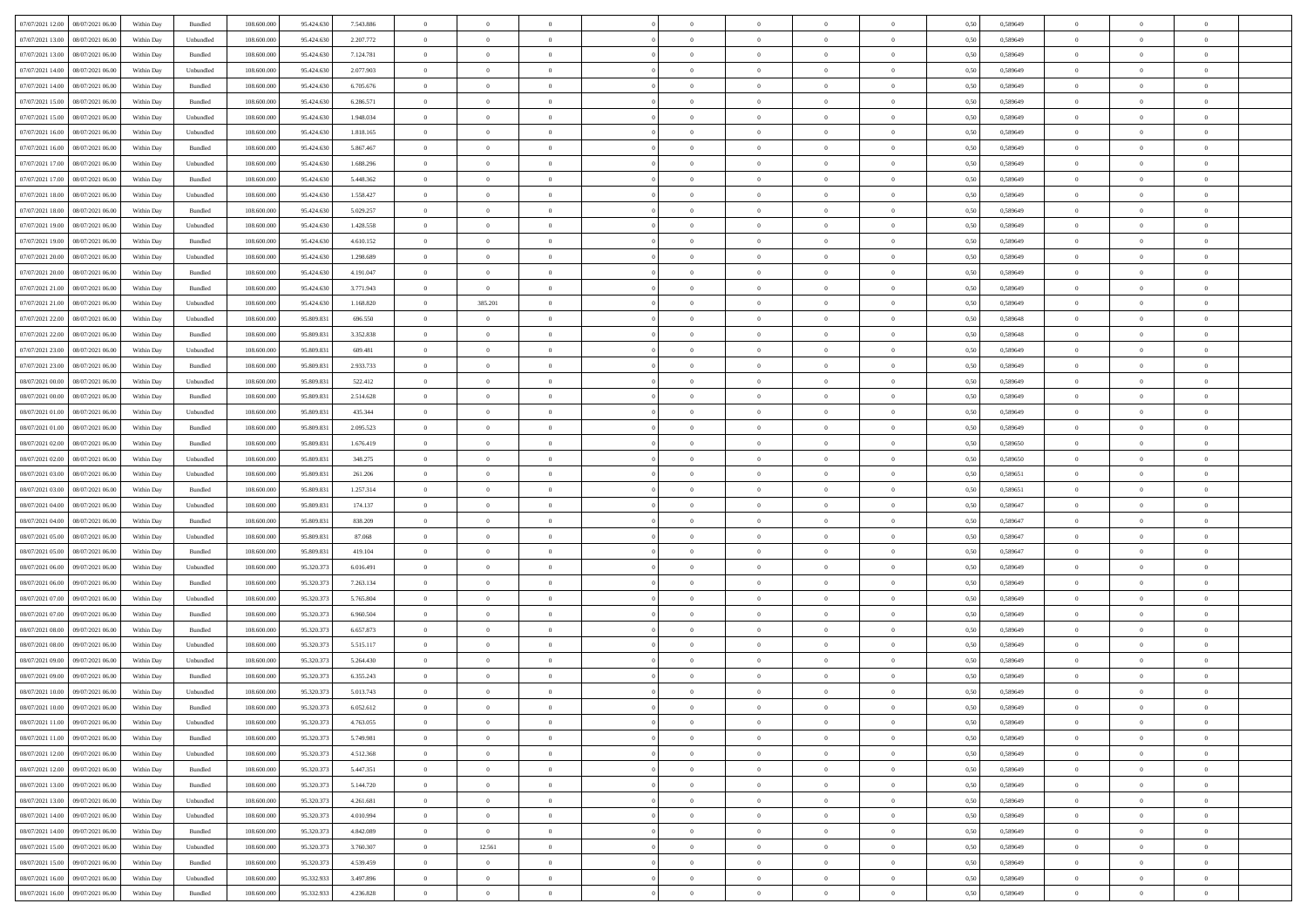| 07/07/2021 12:00   08/07/2021 06:00          |            |           | 108.600.000 |            |           | $\overline{0}$ | $\overline{0}$ |                | $\overline{0}$ | $\theta$       |                | $\theta$       |      | 0,589649 | $\theta$       | $\theta$       | $\overline{0}$ |  |
|----------------------------------------------|------------|-----------|-------------|------------|-----------|----------------|----------------|----------------|----------------|----------------|----------------|----------------|------|----------|----------------|----------------|----------------|--|
|                                              | Within Day | Bundled   |             | 95.424.630 | 7.543.886 |                |                |                |                |                |                |                | 0,50 |          |                |                |                |  |
| 07/07/2021 13:00<br>08/07/2021 06:00         | Within Day | Unbundled | 108.600.00  | 95.424.63  | 2.207.772 | $\bf{0}$       | $\bf{0}$       | $\bf{0}$       | $\overline{0}$ | $\overline{0}$ | $\overline{0}$ | $\bf{0}$       | 0,50 | 0,589649 | $\,$ 0 $\,$    | $\bf{0}$       | $\overline{0}$ |  |
| 07/07/2021 13:00<br>08/07/2021 06:00         | Within Day | Bundled   | 108,600,000 | 95.424.630 | 7.124.781 | $\overline{0}$ | $\bf{0}$       | $\overline{0}$ | $\bf{0}$       | $\bf{0}$       | $\overline{0}$ | $\bf{0}$       | 0.50 | 0.589649 | $\bf{0}$       | $\overline{0}$ | $\overline{0}$ |  |
| 07/07/2021 14:00<br>08/07/2021 06:00         | Within Day | Unbundled | 108.600.000 | 95.424.630 | 2.077.903 | $\overline{0}$ | $\overline{0}$ | $\overline{0}$ | $\theta$       | $\theta$       | $\overline{0}$ | $\bf{0}$       | 0,50 | 0,589649 | $\theta$       | $\theta$       | $\overline{0}$ |  |
|                                              |            |           |             |            |           |                |                |                |                |                |                |                |      |          |                |                |                |  |
| 07/07/2021 14:00<br>08/07/2021 06:00         | Within Day | Bundled   | 108.600.00  | 95.424.630 | 6.705.676 | $\bf{0}$       | $\overline{0}$ | $\bf{0}$       | $\overline{0}$ | $\theta$       | $\overline{0}$ | $\bf{0}$       | 0,50 | 0,589649 | $\,$ 0 $\,$    | $\bf{0}$       | $\overline{0}$ |  |
| 07/07/2021 15:00<br>08/07/2021 06:00         | Within Day | Bundled   | 108,600,000 | 95.424.630 | 6.286.571 | $\overline{0}$ | $\overline{0}$ | $\overline{0}$ | $\bf{0}$       | $\overline{0}$ | $\theta$       | $\bf{0}$       | 0.50 | 0.589649 | $\,$ 0 $\,$    | $\theta$       | $\overline{0}$ |  |
| 07/07/2021 15:00<br>08/07/2021 06:00         | Within Day | Unbundled | 108.600.000 | 95.424.630 | 1.948.034 | $\overline{0}$ | $\overline{0}$ | $\overline{0}$ | $\overline{0}$ | $\overline{0}$ | $\overline{0}$ | $\bf{0}$       | 0,50 | 0,589649 | $\theta$       | $\theta$       | $\overline{0}$ |  |
| 07/07/2021 16:00<br>08/07/2021 06:00         | Within Day | Unbundled | 108.600.00  | 95.424.63  | 1.818.165 | $\overline{0}$ | $\overline{0}$ | $\bf{0}$       | $\overline{0}$ | $\overline{0}$ | $\overline{0}$ | $\bf{0}$       | 0,50 | 0,589649 | $\,$ 0 $\,$    | $\bf{0}$       | $\overline{0}$ |  |
| 07/07/2021 16:00<br>08/07/2021 06:00         |            |           | 108,600,000 | 95.424.630 | 5.867.467 |                |                |                |                |                | $\overline{0}$ |                |      |          |                | $\overline{0}$ |                |  |
|                                              | Within Day | Bundled   |             |            |           | $\overline{0}$ | $\bf{0}$       | $\overline{0}$ | $\bf{0}$       | $\overline{0}$ |                | $\bf{0}$       | 0.50 | 0.589649 | $\bf{0}$       |                | $\overline{0}$ |  |
| 07/07/2021 17:00<br>08/07/2021 06:00         | Within Day | Unbundled | 108.600.000 | 95.424.630 | 1.688.296 | $\overline{0}$ | $\bf{0}$       | $\overline{0}$ | $\overline{0}$ | $\overline{0}$ | $\overline{0}$ | $\bf{0}$       | 0,50 | 0,589649 | $\,$ 0 $\,$    | $\bf{0}$       | $\overline{0}$ |  |
| 07/07/2021 17:00<br>08/07/2021 06:00         | Within Day | Bundled   | 108.600.00  | 95.424.63  | 5.448.362 | $\bf{0}$       | $\overline{0}$ | $\bf{0}$       | $\bf{0}$       | $\bf{0}$       | $\overline{0}$ | $\bf{0}$       | 0,50 | 0,589649 | $\,$ 0 $\,$    | $\bf{0}$       | $\overline{0}$ |  |
| 07/07/2021 18:00<br>08/07/2021 06:00         | Within Day | Unbundled | 108,600,000 | 95.424.630 | 1.558.427 | $\overline{0}$ | $\bf{0}$       | $\overline{0}$ | $\overline{0}$ | $\bf{0}$       | $\overline{0}$ | $\bf{0}$       | 0.50 | 0.589649 | $\bf{0}$       | $\overline{0}$ | $\,$ 0         |  |
| 07/07/2021 18:00<br>08/07/2021 06:00         | Within Day | Bundled   | 108.600.000 | 95.424.630 | 5.029.257 | $\overline{0}$ | $\overline{0}$ | $\overline{0}$ | $\theta$       | $\theta$       | $\overline{0}$ | $\bf{0}$       | 0,50 | 0,589649 | $\theta$       | $\theta$       | $\overline{0}$ |  |
|                                              |            |           |             |            |           |                |                |                |                |                |                |                |      |          |                |                |                |  |
| 07/07/2021 19:00<br>08/07/2021 06:00         | Within Day | Unbundled | 108.600.00  | 95.424.63  | 1.428.558 | $\bf{0}$       | $\overline{0}$ | $\bf{0}$       | $\overline{0}$ | $\theta$       | $\overline{0}$ | $\bf{0}$       | 0,50 | 0,589649 | $\,$ 0 $\,$    | $\bf{0}$       | $\overline{0}$ |  |
| 07/07/2021 19:00<br>08/07/2021 06:00         | Within Day | Bundled   | 108,600,000 | 95.424.630 | 4.610.152 | $\overline{0}$ | $\overline{0}$ | $\overline{0}$ | $\bf{0}$       | $\overline{0}$ | $\Omega$       | $\bf{0}$       | 0.50 | 0.589649 | $\theta$       | $\theta$       | $\overline{0}$ |  |
| 07/07/2021 20:00<br>08/07/2021 06:00         | Within Day | Unbundled | 108.600.000 | 95.424.630 | 1.298.689 | $\overline{0}$ | $\overline{0}$ | $\overline{0}$ | $\overline{0}$ | $\overline{0}$ | $\overline{0}$ | $\bf{0}$       | 0,50 | 0,589649 | $\theta$       | $\theta$       | $\overline{0}$ |  |
| 07/07/2021 20:00<br>08/07/2021 06:00         | Within Day | Bundled   | 108.600.00  | 95.424.630 | 4.191.047 | $\bf{0}$       | $\overline{0}$ | $\bf{0}$       | $\overline{0}$ | $\bf{0}$       | $\overline{0}$ | $\bf{0}$       | 0,50 | 0,589649 | $\,$ 0 $\,$    | $\bf{0}$       | $\overline{0}$ |  |
| 07/07/2021 21:00<br>08/07/2021 06:00         | Within Day | Bundled   | 108,600,000 | 95.424.630 | 3.771.943 | $\overline{0}$ | $\overline{0}$ | $\overline{0}$ | $\bf{0}$       | $\overline{0}$ | $\overline{0}$ | $\bf{0}$       | 0.50 | 0.589649 | $\bf{0}$       | $\overline{0}$ | $\overline{0}$ |  |
|                                              |            |           |             |            |           |                |                |                |                |                |                |                |      |          |                |                |                |  |
| 07/07/2021 21:00<br>08/07/2021 06:00         | Within Day | Unbundled | 108.600.000 | 95.424.630 | 1.168.820 | $\overline{0}$ | 385.201        | $\overline{0}$ | $\overline{0}$ | $\overline{0}$ | $\overline{0}$ | $\bf{0}$       | 0,50 | 0,589649 | $\,$ 0 $\,$    | $\bf{0}$       | $\overline{0}$ |  |
| 07/07/2021 22.00<br>08/07/2021 06:00         | Within Day | Unbundled | 108.600.00  | 95.809.83  | 696.550   | $\bf{0}$       | $\bf{0}$       | $\bf{0}$       | $\bf{0}$       | $\overline{0}$ | $\overline{0}$ | $\bf{0}$       | 0,50 | 0,589648 | $\,$ 0 $\,$    | $\bf{0}$       | $\overline{0}$ |  |
| 07/07/2021 22:00<br>08/07/2021 06:00         | Within Day | Bundled   | 108,600,000 | 95,809.83  | 3.352.838 | $\overline{0}$ | $\bf{0}$       | $\overline{0}$ | $\bf{0}$       | $\bf{0}$       | $\overline{0}$ | $\bf{0}$       | 0.50 | 0.589648 | $\bf{0}$       | $\overline{0}$ | $\,$ 0         |  |
| 07/07/2021 23:00<br>08/07/2021 06:00         | Within Day | Unbundled | 108.600.000 | 95.809.831 | 609.481   | $\overline{0}$ | $\overline{0}$ | $\overline{0}$ | $\theta$       | $\theta$       | $\overline{0}$ | $\bf{0}$       | 0,50 | 0,589649 | $\theta$       | $\theta$       | $\overline{0}$ |  |
|                                              |            |           |             |            |           |                | $\overline{0}$ |                |                | $\overline{0}$ | $\overline{0}$ |                |      |          | $\,$ 0 $\,$    | $\bf{0}$       | $\overline{0}$ |  |
| 07/07/2021 23:00<br>08/07/2021 06:00         | Within Day | Bundled   | 108.600.00  | 95.809.83  | 2.933.733 | $\bf{0}$       |                | $\bf{0}$       | $\bf{0}$       |                |                | $\bf{0}$       | 0,50 | 0,589649 |                |                |                |  |
| 08/07/2021 00:00<br>08/07/2021 06:00         | Within Day | Unbundled | 108,600,000 | 95,809.83  | 522.412   | $\overline{0}$ | $\overline{0}$ | $\overline{0}$ | $\overline{0}$ | $\overline{0}$ | $\theta$       | $\bf{0}$       | 0.50 | 0.589649 | $\,$ 0 $\,$    | $\theta$       | $\overline{0}$ |  |
| 08/07/2021 00:00<br>08/07/2021 06:00         | Within Day | Bundled   | 108.600.000 | 95.809.831 | 2.514.628 | $\overline{0}$ | $\overline{0}$ | $\overline{0}$ | $\overline{0}$ | $\overline{0}$ | $\overline{0}$ | $\bf{0}$       | 0,50 | 0,589649 | $\theta$       | $\theta$       | $\overline{0}$ |  |
| 08/07/2021 01:00<br>08/07/2021 06:00         | Within Day | Unbundled | 108.600.00  | 95.809.83  | 435.344   | $\bf{0}$       | $\overline{0}$ | $\bf{0}$       | $\overline{0}$ | $\theta$       | $\overline{0}$ | $\bf{0}$       | 0,50 | 0,589649 | $\,$ 0 $\,$    | $\bf{0}$       | $\overline{0}$ |  |
| 08/07/2021 01:00<br>08/07/2021 06:00         | Within Day | Bundled   | 108,600,000 | 95,809.83  | 2.095.523 | $\overline{0}$ | $\bf{0}$       | $\overline{0}$ | $\bf{0}$       | $\overline{0}$ | $\overline{0}$ | $\bf{0}$       | 0.50 | 0.589649 | $\bf{0}$       | $\overline{0}$ | $\overline{0}$ |  |
|                                              |            |           |             |            |           |                |                |                |                |                |                |                |      |          |                |                |                |  |
| 08/07/2021 02:00<br>08/07/2021 06:00         | Within Day | Bundled   | 108.600.000 | 95.809.831 | 1.676.419 | $\overline{0}$ | $\overline{0}$ | $\overline{0}$ | $\overline{0}$ | $\overline{0}$ | $\overline{0}$ | $\bf{0}$       | 0,50 | 0,589650 | $\theta$       | $\theta$       | $\overline{0}$ |  |
| 08/07/2021 02:00<br>08/07/2021 06:00         | Within Day | Unbundled | 108.600.00  | 95.809.83  | 348.275   | $\bf{0}$       | $\bf{0}$       | $\bf{0}$       | $\bf{0}$       | $\overline{0}$ | $\overline{0}$ | $\bf{0}$       | 0,50 | 0,589650 | $\,$ 0 $\,$    | $\bf{0}$       | $\overline{0}$ |  |
| 08/07/2021 03:00<br>08/07/2021 06:00         | Within Day | Unbundled | 108,600,000 | 95,809.83  | 261.206   | $\overline{0}$ | $\bf{0}$       | $\overline{0}$ | $\bf{0}$       | $\bf{0}$       | $\overline{0}$ | $\bf{0}$       | 0.50 | 0.589651 | $\bf{0}$       | $\overline{0}$ | $\bf{0}$       |  |
| 08/07/2021 03:00<br>08/07/2021 06:00         | Within Day | Bundled   | 108.600.000 | 95.809.831 | 1.257.314 | $\overline{0}$ | $\overline{0}$ | $\overline{0}$ | $\overline{0}$ | $\overline{0}$ | $\overline{0}$ | $\bf{0}$       | 0.50 | 0.589651 | $\theta$       | $\theta$       | $\overline{0}$ |  |
| 08/07/2021 04:00<br>08/07/2021 06:00         | Within Day | Unbundled | 108.600.00  | 95.809.83  | 174.137   | $\bf{0}$       | $\overline{0}$ | $\bf{0}$       | $\bf{0}$       | $\overline{0}$ | $\overline{0}$ | $\bf{0}$       | 0,50 | 0,589647 | $\,$ 0 $\,$    | $\bf{0}$       | $\overline{0}$ |  |
|                                              |            |           |             |            |           |                |                |                |                |                |                |                |      |          |                |                |                |  |
| 08/07/2021 04:00<br>08/07/2021 06:00         | Within Day | Bundled   | 108,600,000 | 95,809.83  | 838,209   | $\overline{0}$ | $\bf{0}$       | $\overline{0}$ | $\bf{0}$       | $\overline{0}$ | $\Omega$       | $\bf{0}$       | 0.50 | 0.589647 | $\,$ 0 $\,$    | $\theta$       | $\overline{0}$ |  |
| 08/07/2021 05:00<br>08/07/2021 06:00         | Within Dav | Unbundled | 108.600.000 | 95.809.831 | 87,068    | $\overline{0}$ | $\overline{0}$ | $\overline{0}$ | $\overline{0}$ | $\overline{0}$ | $\overline{0}$ | $\bf{0}$       | 0.50 | 0,589647 | $\theta$       | $\theta$       | $\overline{0}$ |  |
| 08/07/2021 05:00<br>08/07/2021 06:00         | Within Day | Bundled   | 108.600.00  | 95.809.83  | 419.104   | $\bf{0}$       | $\bf{0}$       | $\bf{0}$       | $\overline{0}$ | $\overline{0}$ | $\overline{0}$ | $\bf{0}$       | 0,50 | 0,589647 | $\,$ 0 $\,$    | $\bf{0}$       | $\overline{0}$ |  |
| 08/07/2021 06:00<br>09/07/2021 06:00         | Within Day | Unbundled | 108,600,000 | 95.320.37  | 6.016.491 | $\overline{0}$ | $\bf{0}$       | $\overline{0}$ | $\bf{0}$       | $\overline{0}$ | $\overline{0}$ | $\bf{0}$       | 0.50 | 0.589649 | $\bf{0}$       | $\overline{0}$ | $\overline{0}$ |  |
| 08/07/2021 06:00<br>09/07/2021 06:00         | Within Dav | Bundled   | 108.600.000 | 95.320.373 | 7.263.134 | $\overline{0}$ | $\overline{0}$ | $\overline{0}$ | $\overline{0}$ | $\overline{0}$ | $\overline{0}$ | $\overline{0}$ | 0.50 | 0.589649 | $\theta$       | $\theta$       | $\overline{0}$ |  |
|                                              |            |           |             |            |           |                |                |                |                |                |                |                |      |          |                |                |                |  |
| 08/07/2021 07:00<br>09/07/2021 06.00         | Within Day | Unbundled | 108.600.00  | 95.320.37  | 5.765.804 | $\bf{0}$       | $\bf{0}$       | $\bf{0}$       | $\bf{0}$       | $\overline{0}$ | $\overline{0}$ | $\bf{0}$       | 0,50 | 0,589649 | $\,$ 0 $\,$    | $\bf{0}$       | $\overline{0}$ |  |
| 08/07/2021 07:00<br>09/07/2021 06:00         | Within Day | Bundled   | 108,600,000 | 95.320.37  | 6.960.504 | $\overline{0}$ | $\bf{0}$       | $\overline{0}$ | $\overline{0}$ | $\bf{0}$       | $\overline{0}$ | $\bf{0}$       | 0.50 | 0.589649 | $\bf{0}$       | $\overline{0}$ | $\bf{0}$       |  |
| 08/07/2021 08:00<br>09/07/2021 06:00         | Within Dav | Bundled   | 108.600.000 | 95.320.373 | 6.657.873 | $\overline{0}$ | $\overline{0}$ | $\overline{0}$ | $\overline{0}$ | $\overline{0}$ | $\overline{0}$ | $\bf{0}$       | 0.50 | 0.589649 | $\theta$       | $\theta$       | $\overline{0}$ |  |
| 08/07/2021 08:00<br>09/07/2021 06.00         | Within Day | Unbundled | 108.600.00  | 95.320.37  | 5.515.117 | $\bf{0}$       | $\bf{0}$       | $\bf{0}$       | $\bf{0}$       | $\overline{0}$ | $\overline{0}$ | $\bf{0}$       | 0,50 | 0,589649 | $\,$ 0 $\,$    | $\bf{0}$       | $\overline{0}$ |  |
| 08/07/2021 09:00<br>09/07/2021 06:00         | Within Day | Unbundled | 108,600,000 | 95.320.37  | 5.264.430 | $\overline{0}$ | $\overline{0}$ | $\overline{0}$ | $\bf{0}$       | $\overline{0}$ | $\Omega$       | $\bf{0}$       | 0.50 | 0.589649 | $\,$ 0 $\,$    | $\theta$       | $\overline{0}$ |  |
|                                              |            |           |             |            |           |                |                |                |                |                |                |                |      |          |                |                |                |  |
| 08/07/2021 09:00<br>09/07/2021 06:00         | Within Dav | Bundled   | 108.600.000 | 95.320.37  | 6.355.243 | $\overline{0}$ | $\overline{0}$ | $\Omega$       | $\overline{0}$ | $\theta$       | $\Omega$       | $\overline{0}$ | 0.5( | 0.589649 | $\theta$       | $\theta$       | $\overline{0}$ |  |
| 09/07/2021 06:00<br>08/07/2021 10:00         | Within Day | Unbundled | 108.600.000 | 95.320.37  | 5.013.743 | $\bf{0}$       | $\bf{0}$       | $\bf{0}$       | $\bf{0}$       | $\bf{0}$       | $\overline{0}$ | $\bf{0}$       | 0,50 | 0,589649 | $\,$ 0 $\,$    | $\bf{0}$       | $\overline{0}$ |  |
| $08/07/2021\ 10.00 \qquad 09/07/2021\ 06.00$ | Within Day | Bundled   | 108.600.000 | 95.320.373 | 6.052.612 | $\bf{0}$       | $\Omega$       |                | $\Omega$       |                |                |                | 0,50 | 0.589649 | $\theta$       | $\overline{0}$ |                |  |
| 08/07/2021 11:00 09/07/2021 06:00            | Within Day | Unbundled | 108.600.000 | 95.320.373 | 4.763.055 | $\overline{0}$ | $\overline{0}$ | $\overline{0}$ | $\theta$       | $\overline{0}$ | $\overline{0}$ | $\bf{0}$       | 0,50 | 0,589649 | $\theta$       | $\overline{0}$ | $\overline{0}$ |  |
| 08/07/2021 11:00<br>09/07/2021 06:00         | Within Day | Bundled   | 108.600.00  | 95.320.37  | 5.749.981 | $\overline{0}$ | $\bf{0}$       | $\overline{0}$ | $\overline{0}$ | $\bf{0}$       | $\overline{0}$ | $\bf{0}$       | 0,50 | 0,589649 | $\bf{0}$       | $\overline{0}$ | $\bf{0}$       |  |
|                                              |            |           |             |            |           |                |                |                |                |                |                |                |      |          |                |                |                |  |
| 08/07/2021 12:00 09/07/2021 06:00            | Within Day | Unbundled | 108,600,000 | 95.320.373 | 4.512.368 | $\overline{0}$ | $\bf{0}$       | $\overline{0}$ | $\overline{0}$ | $\mathbf{0}$   | $\overline{0}$ | $\,$ 0 $\,$    | 0.50 | 0.589649 | $\overline{0}$ | $\bf{0}$       | $\bf{0}$       |  |
| 08/07/2021 12:00 09/07/2021 06:00            | Within Dav | Bundled   | 108.600.000 | 95.320.373 | 5.447.351 | $\overline{0}$ | $\overline{0}$ | $\overline{0}$ | $\overline{0}$ | $\overline{0}$ | $\overline{0}$ | $\bf{0}$       | 0,50 | 0.589649 | $\theta$       | $\theta$       | $\overline{0}$ |  |
| 08/07/2021 13:00<br>09/07/2021 06:00         | Within Day | Bundled   | 108.600.000 | 95.320.373 | 5.144.720 | $\overline{0}$ | $\bf{0}$       | $\overline{0}$ | $\overline{0}$ | $\bf{0}$       | $\overline{0}$ | $\bf{0}$       | 0,50 | 0,589649 | $\bf{0}$       | $\overline{0}$ | $\overline{0}$ |  |
| 08/07/2021 13:00<br>09/07/2021 06:00         | Within Day | Unbundled | 108,600,000 | 95.320.37  | 4.261.681 | $\overline{0}$ | $\bf{0}$       | $\overline{0}$ | $\overline{0}$ | $\bf{0}$       | $\overline{0}$ | $\bf{0}$       | 0.50 | 0.589649 | $\,$ 0 $\,$    | $\overline{0}$ | $\,$ 0         |  |
| 08/07/2021 14:00                             |            |           |             |            |           |                | $\overline{0}$ |                |                | $\overline{0}$ |                |                |      |          | $\overline{0}$ | $\theta$       | $\overline{0}$ |  |
| 09/07/2021 06:00                             | Within Dav | Unbundled | 108.600.000 | 95.320.373 | 4.010.994 | $\overline{0}$ |                | $\overline{0}$ | $\overline{0}$ |                | $\overline{0}$ | $\bf{0}$       | 0,50 | 0.589649 |                |                |                |  |
| 08/07/2021 14:00<br>09/07/2021 06:00         | Within Day | Bundled   | 108.600.00  | 95.320.37  | 4.842.089 | $\overline{0}$ | $\overline{0}$ | $\overline{0}$ | $\overline{0}$ | $\overline{0}$ | $\overline{0}$ | $\bf{0}$       | 0,50 | 0,589649 | $\bf{0}$       | $\overline{0}$ | $\,$ 0         |  |
| 09/07/2021 06:00<br>08/07/2021 15:00         | Within Day | Unbundled | 108,600,000 | 95.320.37  | 3.760.307 | $\overline{0}$ | 12.561         | $\overline{0}$ | $\overline{0}$ | $\overline{0}$ | $\overline{0}$ | $\bf{0}$       | 0.50 | 0.589649 | $\mathbf{0}$   | $\bf{0}$       | $\,$ 0         |  |
| 08/07/2021 15:00 09/07/2021 06:00            | Within Dav | Bundled   | 108.600.000 | 95.320.373 | 4.539.459 | $\overline{0}$ | $\overline{0}$ | $\overline{0}$ | $\overline{0}$ | $\overline{0}$ | $\overline{0}$ | $\bf{0}$       | 0,50 | 0.589649 | $\overline{0}$ | $\theta$       | $\overline{0}$ |  |
| 08/07/2021 16:00<br>09/07/2021 06.00         | Within Day | Unbundled | 108.600.00  | 95.332.933 | 3.497.896 | $\overline{0}$ | $\bf{0}$       | $\overline{0}$ | $\overline{0}$ | $\overline{0}$ | $\overline{0}$ | $\bf{0}$       | 0,50 | 0,589649 | $\bf{0}$       | $\overline{0}$ | $\bf{0}$       |  |
|                                              |            |           |             |            |           |                |                |                |                |                |                |                |      |          |                |                |                |  |
| 08/07/2021 16:00 09/07/2021 06:00            | Within Day | Bundled   | 108.600.000 | 95.332.933 | 4.236.828 | $\overline{0}$ | $\bf{0}$       | $\overline{0}$ | $\overline{0}$ | $\,$ 0 $\,$    | $\overline{0}$ | $\bf{0}$       | 0,50 | 0,589649 | $\overline{0}$ | $\,$ 0 $\,$    | $\,$ 0 $\,$    |  |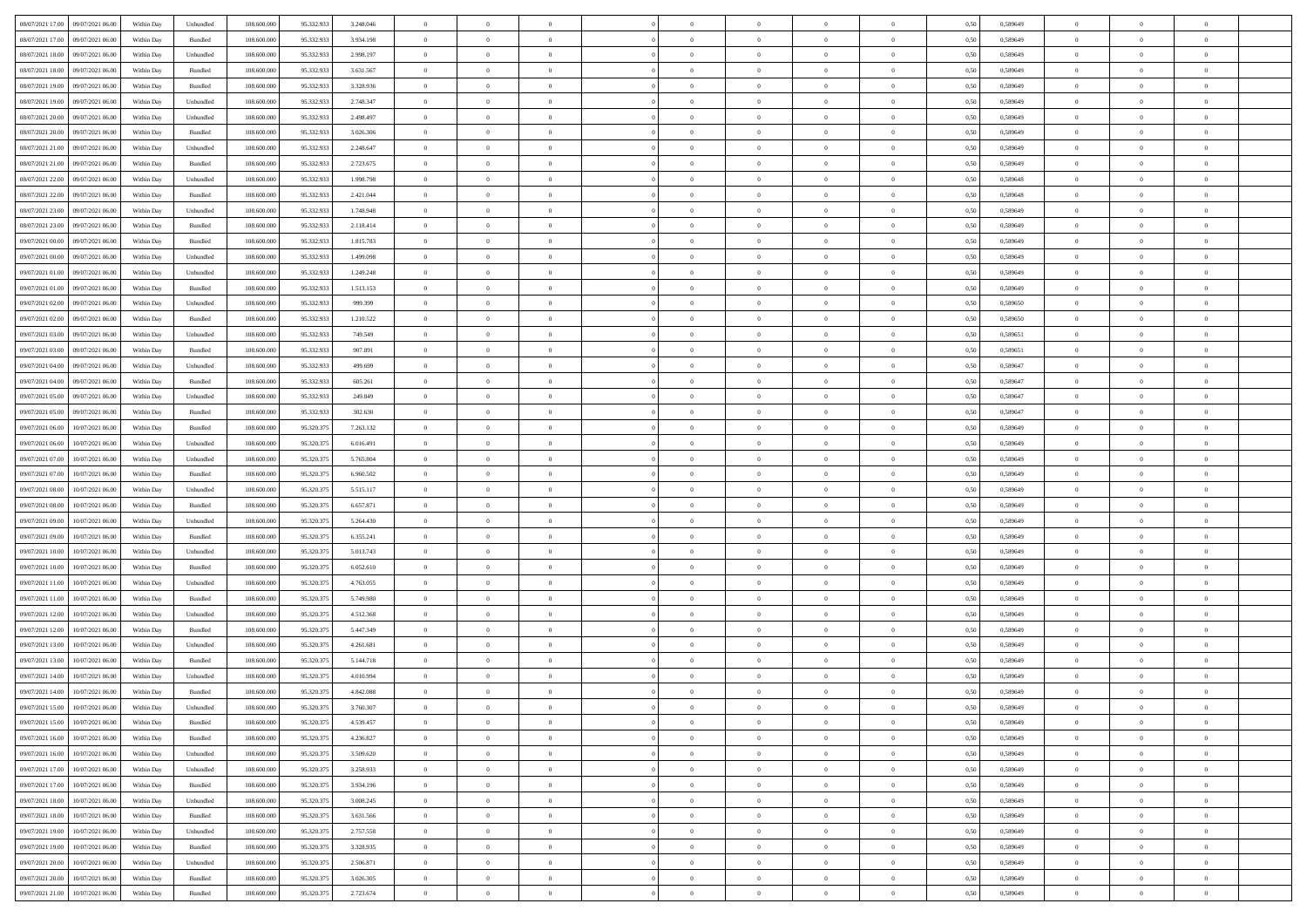| 08/07/2021 17:00<br>09/07/2021 06:00 | Within Day | Unbundled | 108.600.000 | 95.332.933 | 3.248.046 | $\overline{0}$ | $\overline{0}$ | $\overline{0}$ | $\theta$       | $\theta$       |                | $\overline{0}$ | 0,50 | 0,589649 | $\theta$       | $\theta$       | $\overline{0}$ |  |
|--------------------------------------|------------|-----------|-------------|------------|-----------|----------------|----------------|----------------|----------------|----------------|----------------|----------------|------|----------|----------------|----------------|----------------|--|
|                                      |            |           |             |            |           |                |                |                |                |                | $\overline{0}$ |                |      |          |                |                |                |  |
| 08/07/2021 17:00<br>09/07/2021 06.0  | Within Day | Bundled   | 108.600.000 | 95.332.933 | 3.934.198 | $\overline{0}$ | $\overline{0}$ | $\overline{0}$ | $\overline{0}$ | $\bf{0}$       |                | $\mathbf{0}$   | 0,50 | 0,589649 | $\,$ 0 $\,$    | $\bf{0}$       | $\overline{0}$ |  |
| 08/07/2021 18:00<br>09/07/2021 06:00 | Within Day | Unbundled | 108,600,000 | 95.332.933 | 2.998.197 | $\overline{0}$ | $\overline{0}$ | $\overline{0}$ | $\bf{0}$       | $\bf{0}$       | $\overline{0}$ | $\mathbf{0}$   | 0.50 | 0.589649 | $\bf{0}$       | $\overline{0}$ | $\,$ 0         |  |
| 08/07/2021 18:00<br>09/07/2021 06:00 | Within Day | Bundled   | 108.600.000 | 95.332.933 | 3.631.567 | $\overline{0}$ | $\overline{0}$ | $\overline{0}$ | $\overline{0}$ | $\overline{0}$ | $\overline{0}$ | $\,$ 0 $\,$    | 0,50 | 0,589649 | $\theta$       | $\overline{0}$ | $\overline{0}$ |  |
| 08/07/2021 19:00<br>09/07/2021 06.0  | Within Day | Bundled   | 108.600.000 | 95.332.933 | 3.328.936 | $\overline{0}$ | $\overline{0}$ | $\overline{0}$ | $\bf{0}$       | $\overline{0}$ | $\overline{0}$ | $\bf{0}$       | 0,50 | 0,589649 | $\,$ 0 $\,$    | $\bf{0}$       | $\overline{0}$ |  |
| 08/07/2021 19:00<br>09/07/2021 06:00 | Within Day | Unbundled | 108,600,000 | 95.332.933 | 2.748.347 | $\overline{0}$ | $\overline{0}$ | $\overline{0}$ | $\bf{0}$       | $\bf{0}$       | $\overline{0}$ | $\mathbf{0}$   | 0.50 | 0.589649 | $\,$ 0 $\,$    | $\theta$       | $\overline{0}$ |  |
| 08/07/2021 20:00<br>09/07/2021 06:00 | Within Day | Unbundled | 108.600.000 | 95.332.933 | 2.498.497 | $\overline{0}$ | $\overline{0}$ | $\overline{0}$ | $\bf{0}$       | $\overline{0}$ | $\overline{0}$ | $\bf{0}$       | 0,50 | 0,589649 | $\theta$       | $\theta$       | $\overline{0}$ |  |
| 08/07/2021 20:00<br>09/07/2021 06.0  | Within Day | Bundled   | 108.600.000 | 95.332.933 | 3.026.306 | $\overline{0}$ | $\overline{0}$ | $\overline{0}$ | $\overline{0}$ | $\bf{0}$       | $\overline{0}$ | $\bf{0}$       | 0,50 | 0,589649 | $\,$ 0 $\,$    | $\bf{0}$       | $\overline{0}$ |  |
| 08/07/2021 21:00<br>09/07/2021 06:00 | Within Day | Unbundled | 108,600,000 | 95.332.933 | 2.248.647 | $\overline{0}$ | $\overline{0}$ | $\overline{0}$ | $\bf{0}$       | $\bf{0}$       | $\overline{0}$ | $\mathbf{0}$   | 0.50 | 0.589649 | $\bf{0}$       | $\overline{0}$ | $\bf{0}$       |  |
| 08/07/2021 21:00<br>09/07/2021 06:00 | Within Day | Bundled   | 108.600.000 | 95.332.933 | 2.723.675 | $\overline{0}$ | $\overline{0}$ | $\overline{0}$ | $\bf{0}$       | $\bf{0}$       | $\overline{0}$ | $\bf{0}$       | 0,50 | 0,589649 | $\,$ 0         | $\,$ 0 $\,$    | $\overline{0}$ |  |
|                                      |            |           |             |            |           |                |                |                |                |                |                |                |      |          |                |                |                |  |
| 08/07/2021 22.00<br>09/07/2021 06.0  | Within Day | Unbundled | 108.600.000 | 95.332.933 | 1.998.798 | $\overline{0}$ | $\overline{0}$ | $\overline{0}$ | $\,$ 0 $\,$    | $\bf{0}$       | $\overline{0}$ | $\bf{0}$       | 0,50 | 0,589648 | $\,$ 0 $\,$    | $\bf{0}$       | $\overline{0}$ |  |
| 08/07/2021 22.00<br>09/07/2021 06:00 | Within Day | Bundled   | 108,600,000 | 95.332.933 | 2.421.044 | $\overline{0}$ | $\overline{0}$ | $\overline{0}$ | $\bf{0}$       | $\bf{0}$       | $\overline{0}$ | $\,$ 0 $\,$    | 0.50 | 0.589648 | $\bf{0}$       | $\overline{0}$ | $\,$ 0         |  |
| 08/07/2021 23:00<br>09/07/2021 06:00 | Within Day | Unbundled | 108.600.000 | 95.332.933 | 1.748.948 | $\overline{0}$ | $\overline{0}$ | $\overline{0}$ | $\overline{0}$ | $\overline{0}$ | $\overline{0}$ | $\,$ 0 $\,$    | 0,50 | 0,589649 | $\theta$       | $\theta$       | $\overline{0}$ |  |
| 08/07/2021 23.00<br>09/07/2021 06.0  | Within Day | Bundled   | 108.600.000 | 95.332.933 | 2.118.414 | $\overline{0}$ | $\overline{0}$ | $\overline{0}$ | $\overline{0}$ | $\bf{0}$       | $\overline{0}$ | $\bf{0}$       | 0,50 | 0,589649 | $\,$ 0 $\,$    | $\bf{0}$       | $\overline{0}$ |  |
| 09/07/2021 00:00<br>09/07/2021 06:00 | Within Day | Bundled   | 108,600,000 | 95.332.933 | 1.815.783 | $\overline{0}$ | $\overline{0}$ | $\overline{0}$ | $\bf{0}$       | $\overline{0}$ | $\overline{0}$ | $\mathbf{0}$   | 0.50 | 0.589649 | $\,$ 0 $\,$    | $\theta$       | $\overline{0}$ |  |
| 09/07/2021 00:00<br>09/07/2021 06:00 | Within Day | Unbundled | 108.600.000 | 95.332.933 | 1.499.098 | $\overline{0}$ | $\overline{0}$ | $\overline{0}$ | $\bf{0}$       | $\overline{0}$ | $\overline{0}$ | $\bf{0}$       | 0,50 | 0,589649 | $\theta$       | $\theta$       | $\overline{0}$ |  |
| 09/07/2021 01:00<br>09/07/2021 06.0  | Within Day | Unbundled | 108.600.000 | 95.332.933 | 1.249.248 | $\overline{0}$ | $\overline{0}$ | $\overline{0}$ | $\overline{0}$ | $\bf{0}$       | $\overline{0}$ | $\bf{0}$       | 0,50 | 0,589649 | $\,$ 0 $\,$    | $\bf{0}$       | $\overline{0}$ |  |
| 09/07/2021 01:00<br>09/07/2021 06:00 | Within Day | Bundled   | 108,600,000 | 95.332.933 | 1.513.153 | $\overline{0}$ | $\overline{0}$ | $\overline{0}$ | $\bf{0}$       | $\bf{0}$       | $\overline{0}$ | $\mathbf{0}$   | 0.50 | 0.589649 | $\bf{0}$       | $\overline{0}$ | $\bf{0}$       |  |
| 09/07/2021 02:00<br>09/07/2021 06:00 |            |           | 108.600.000 |            |           | $\overline{0}$ | $\overline{0}$ |                |                | $\overline{0}$ | $\overline{0}$ | $\bf{0}$       |      |          | $\,$ 0 $\,$    | $\,$ 0 $\,$    | $\overline{0}$ |  |
|                                      | Within Day | Unbundled |             | 95.332.933 | 999.399   |                |                | $\overline{0}$ | $\bf{0}$       |                |                |                | 0,50 | 0,589650 |                |                |                |  |
| 09/07/2021 02:00<br>09/07/2021 06.0  | Within Day | Bundled   | 108.600.000 | 95.332.933 | 1.210.522 | $\overline{0}$ | $\overline{0}$ | $\overline{0}$ | $\overline{0}$ | $\bf{0}$       | $\overline{0}$ | $\mathbf{0}$   | 0,50 | 0,589650 | $\,$ 0 $\,$    | $\bf{0}$       | $\overline{0}$ |  |
| 09/07/2021 03:00<br>09/07/2021 06:00 | Within Day | Unbundled | 108,600,000 | 95.332.933 | 749,549   | $\overline{0}$ | $\overline{0}$ | $\overline{0}$ | $\bf{0}$       | $\bf{0}$       | $\overline{0}$ | $\,$ 0 $\,$    | 0.50 | 0.589651 | $\bf{0}$       | $\overline{0}$ | $\,$ 0         |  |
| 09/07/2021 03:00<br>09/07/2021 06:00 | Within Day | Bundled   | 108.600.000 | 95.332.933 | 907.891   | $\overline{0}$ | $\overline{0}$ | $\overline{0}$ | $\overline{0}$ | $\overline{0}$ | $\overline{0}$ | $\,$ 0 $\,$    | 0,50 | 0,589651 | $\theta$       | $\overline{0}$ | $\overline{0}$ |  |
| 09/07/2021 04:00<br>09/07/2021 06.0  | Within Day | Unbundled | 108.600.000 | 95.332.933 | 499.699   | $\overline{0}$ | $\overline{0}$ | $\overline{0}$ | $\overline{0}$ | $\bf{0}$       | $\overline{0}$ | $\bf{0}$       | 0,50 | 0,589647 | $\,$ 0 $\,$    | $\bf{0}$       | $\overline{0}$ |  |
| 09/07/2021 04:00<br>09/07/2021 06:00 | Within Day | Bundled   | 108,600,000 | 95.332.933 | 605.261   | $\overline{0}$ | $\overline{0}$ | $\overline{0}$ | $\bf{0}$       | $\overline{0}$ | $\overline{0}$ | $\mathbf{0}$   | 0.50 | 0.589647 | $\,$ 0 $\,$    | $\overline{0}$ | $\overline{0}$ |  |
| 09/07/2021 05:00<br>09/07/2021 06:00 | Within Day | Unbundled | 108.600.000 | 95.332.933 | 249.849   | $\overline{0}$ | $\overline{0}$ | $\overline{0}$ | $\bf{0}$       | $\overline{0}$ | $\overline{0}$ | $\bf{0}$       | 0,50 | 0,589647 | $\theta$       | $\theta$       | $\overline{0}$ |  |
| 09/07/2021 05:00<br>09/07/2021 06.0  | Within Day | Bundled   | 108.600.000 | 95.332.933 | 302.630   | $\overline{0}$ | $\overline{0}$ | $\overline{0}$ | $\,$ 0 $\,$    | $\bf{0}$       | $\overline{0}$ | $\bf{0}$       | 0,50 | 0,589647 | $\,$ 0 $\,$    | $\bf{0}$       | $\overline{0}$ |  |
| 09/07/2021 06:00<br>10/07/2021 06:00 | Within Day | Bundled   | 108,600,000 | 95.320.375 | 7.263.132 | $\overline{0}$ | $\overline{0}$ | $\overline{0}$ | $\bf{0}$       | $\bf{0}$       | $\overline{0}$ | $\mathbf{0}$   | 0.50 | 0.589649 | $\bf{0}$       | $\overline{0}$ | $\bf{0}$       |  |
| 09/07/2021 06:00<br>10/07/2021 06:00 | Within Day | Unbundled | 108.600.000 | 95.320.375 | 6.016.491 | $\overline{0}$ | $\overline{0}$ | $\overline{0}$ | $\bf{0}$       | $\overline{0}$ | $\overline{0}$ | $\bf{0}$       | 0,50 | 0,589649 | $\theta$       | $\theta$       | $\overline{0}$ |  |
|                                      |            |           |             |            |           |                |                |                |                |                |                |                |      |          |                |                |                |  |
| 09/07/2021 07:00<br>10/07/2021 06.00 | Within Day | Unbundled | 108.600.000 | 95.320.375 | 5.765.804 | $\overline{0}$ | $\overline{0}$ | $\overline{0}$ | $\overline{0}$ | $\bf{0}$       | $\overline{0}$ | $\mathbf{0}$   | 0,50 | 0,589649 | $\overline{0}$ | $\bf{0}$       | $\overline{0}$ |  |
| 09/07/2021 07.00<br>10/07/2021 06:00 | Within Day | Bundled   | 108,600,000 | 95.320.375 | 6.960.502 | $\overline{0}$ | $\overline{0}$ | $\overline{0}$ | $\bf{0}$       | $\bf{0}$       | $\overline{0}$ | $\,$ 0 $\,$    | 0.50 | 0.589649 | $\bf{0}$       | $\overline{0}$ | $\,$ 0         |  |
| 09/07/2021 08:00<br>10/07/2021 06:00 | Within Day | Unbundled | 108.600.000 | 95.320.375 | 5.515.117 | $\overline{0}$ | $\overline{0}$ | $\overline{0}$ | $\overline{0}$ | $\overline{0}$ | $\overline{0}$ | $\overline{0}$ | 0.50 | 0.589649 | $\theta$       | $\theta$       | $\overline{0}$ |  |
| 09/07/2021 08.00<br>10/07/2021 06.00 | Within Day | Bundled   | 108.600.000 | 95.320.375 | 6.657.871 | $\overline{0}$ | $\overline{0}$ | $\overline{0}$ | $\overline{0}$ | $\bf{0}$       | $\overline{0}$ | $\bf{0}$       | 0,50 | 0,589649 | $\,$ 0 $\,$    | $\bf{0}$       | $\overline{0}$ |  |
| 09/07/2021 09:00<br>10/07/2021 06:00 | Within Day | Unbundled | 108,600,000 | 95.320.375 | 5.264.430 | $\overline{0}$ | $\overline{0}$ | $\overline{0}$ | $\bf{0}$       | $\overline{0}$ | $\overline{0}$ | $\mathbf{0}$   | 0.50 | 0.589649 | $\,$ 0 $\,$    | $\theta$       | $\overline{0}$ |  |
| 09/07/2021 09:00<br>10/07/2021 06:00 | Within Day | Bundled   | 108.600.000 | 95.320.375 | 6.355.241 | $\overline{0}$ | $\overline{0}$ | $\overline{0}$ | $\overline{0}$ | $\overline{0}$ | $\overline{0}$ | $\overline{0}$ | 0.50 | 0.589649 | $\theta$       | $\theta$       | $\overline{0}$ |  |
| 09/07/2021 10:00<br>10/07/2021 06.00 | Within Day | Unbundled | 108.600.000 | 95.320.375 | 5.013.743 | $\overline{0}$ | $\overline{0}$ | $\overline{0}$ | $\overline{0}$ | $\bf{0}$       | $\overline{0}$ | $\bf{0}$       | 0,50 | 0,589649 | $\,$ 0 $\,$    | $\bf{0}$       | $\overline{0}$ |  |
| 09/07/2021 10:00<br>10/07/2021 06:00 | Within Day | Bundled   | 108,600,000 | 95.320.375 | 6.052.610 | $\overline{0}$ | $\overline{0}$ | $\overline{0}$ | $\bf{0}$       | $\bf{0}$       | $\overline{0}$ | $\mathbf{0}$   | 0.50 | 0.589649 | $\bf{0}$       | $\overline{0}$ | $\bf{0}$       |  |
| 09/07/2021 11:00<br>10/07/2021 06:00 | Within Day | Unbundled | 108.600.000 | 95.320.375 | 4.763.055 | $\overline{0}$ | $\overline{0}$ | $\overline{0}$ | $\overline{0}$ | $\overline{0}$ | $\overline{0}$ | $\overline{0}$ | 0.50 | 0.589649 | $\theta$       | $\overline{0}$ | $\overline{0}$ |  |
| 09/07/2021 11:00<br>10/07/2021 06.00 | Within Day | Bundled   | 108.600.000 | 95.320.375 | 5.749.980 | $\overline{0}$ | $\overline{0}$ | $\overline{0}$ | $\overline{0}$ | $\bf{0}$       | $\overline{0}$ | $\mathbf{0}$   | 0,50 | 0,589649 | $\overline{0}$ | $\bf{0}$       | $\overline{0}$ |  |
| 09/07/2021 12:00<br>10/07/2021 06:00 | Within Day | Unbundled | 108,600,000 | 95.320.375 | 4.512.368 | $\overline{0}$ | $\overline{0}$ | $\overline{0}$ | $\bf{0}$       | $\bf{0}$       | $\overline{0}$ | $\,$ 0 $\,$    | 0.50 | 0.589649 | $\bf{0}$       | $\overline{0}$ | $\,$ 0         |  |
|                                      |            |           |             |            |           |                | $\overline{0}$ |                |                | $\overline{0}$ |                | $\overline{0}$ |      |          | $\theta$       | $\theta$       | $\overline{0}$ |  |
| 09/07/2021 12:00<br>10/07/2021 06:00 | Within Day | Bundled   | 108.600.000 | 95.320.375 | 5.447.349 | $\overline{0}$ |                | $\overline{0}$ | $\overline{0}$ |                | $\overline{0}$ |                | 0.50 | 0.589649 |                |                |                |  |
| 09/07/2021 13:00<br>10/07/2021 06.00 | Within Day | Unbundled | 108.600.000 | 95.320.375 | 4.261.681 | $\overline{0}$ | $\overline{0}$ | $\overline{0}$ | $\overline{0}$ | $\bf{0}$       | $\overline{0}$ | $\bf{0}$       | 0,50 | 0,589649 | $\,$ 0 $\,$    | $\bf{0}$       | $\overline{0}$ |  |
| 09/07/2021 13:00<br>10/07/2021 06:00 | Within Day | Bundled   | 108,600,000 | 95.320.375 | 5.144.718 | $\overline{0}$ | $\overline{0}$ | $\overline{0}$ | $\overline{0}$ | $\overline{0}$ | $\overline{0}$ | $\mathbf{0}$   | 0.50 | 0.589649 | $\,$ 0 $\,$    | $\theta$       | $\overline{0}$ |  |
| 09/07/2021 14:00<br>10/07/2021 06:00 | Within Day | Unbundled | 108.600.000 | 95.320.375 | 4.010.994 | $\overline{0}$ | $\overline{0}$ | $\overline{0}$ | $\overline{0}$ | $\overline{0}$ | $\Omega$       | $\overline{0}$ | 0.50 | 0.589649 | $\theta$       | $\theta$       | $\overline{0}$ |  |
| 09/07/2021 14:00<br>10/07/2021 06:00 | Within Day | Bundled   | 108.600.000 | 95.320.375 | 4.842.088 | $\overline{0}$ | $\overline{0}$ | $\overline{0}$ | $\overline{0}$ | $\bf{0}$       | $\overline{0}$ | $\bf{0}$       | 0,50 | 0,589649 | $\overline{0}$ | $\overline{0}$ | $\overline{0}$ |  |
| 09/07/2021 15:00<br>10/07/2021 06:00 | Within Day | Unbundled | 108.600.000 | 95.320.375 | 3.760,307 | $\bf{0}$       | $\,$ 0 $\,$    |                | $\bf{0}$       |                |                |                | 0,50 | 0.589649 | $\theta$       | $\overline{0}$ |                |  |
| 09/07/2021 15:00<br>10/07/2021 06:00 | Within Dav | Bundled   | 108.600.000 | 95.320.375 | 4.539.457 | $\overline{0}$ | $\overline{0}$ | $\overline{0}$ | $\overline{0}$ | $\overline{0}$ | $\overline{0}$ | $\overline{0}$ | 0,50 | 0,589649 | $\theta$       | $\theta$       | $\overline{0}$ |  |
| 09/07/2021 16:00<br>10/07/2021 06:00 | Within Day | Bundled   | 108.600.000 | 95.320.375 | 4.236.827 | $\overline{0}$ | $\overline{0}$ | $\overline{0}$ | $\bf{0}$       | $\overline{0}$ | $\overline{0}$ | $\bf{0}$       | 0,50 | 0,589649 | $\overline{0}$ | $\overline{0}$ | $\bf{0}$       |  |
| 09/07/2021 16:00<br>10/07/2021 06:00 | Within Day | Unbundled | 108,600,000 | 95.320.375 | 3.509.620 | $\overline{0}$ | $\overline{0}$ | $\overline{0}$ | $\,$ 0 $\,$    | $\bf{0}$       | $\overline{0}$ | $\mathbf{0}$   | 0.50 | 0.589649 | $\overline{0}$ | $\bf{0}$       | $\bf{0}$       |  |
| 09/07/2021 17:00<br>10/07/2021 06:00 | Within Dav | Unbundled | 108.600.000 | 95.320.375 | 3.258.933 | $\overline{0}$ | $\overline{0}$ | $\overline{0}$ | $\overline{0}$ | $\overline{0}$ | $\overline{0}$ | $\mathbf{0}$   | 0,50 | 0.589649 | $\overline{0}$ | $\theta$       | $\overline{0}$ |  |
|                                      |            |           |             |            |           |                |                |                |                |                |                |                |      |          |                |                |                |  |
| 09/07/2021 17.00<br>10/07/2021 06:00 | Within Day | Bundled   | 108.600.000 | 95.320.375 | 3.934.196 | $\overline{0}$ | $\overline{0}$ | $\overline{0}$ | $\bf{0}$       | $\bf{0}$       | $\overline{0}$ | $\mathbf{0}$   | 0,50 | 0,589649 | $\overline{0}$ | $\overline{0}$ | $\overline{0}$ |  |
| 09/07/2021 18:00<br>10/07/2021 06:00 | Within Day | Unbundled | 108,600,000 | 95.320.375 | 3.008.245 | $\overline{0}$ | $\overline{0}$ | $\overline{0}$ | $\bf{0}$       | $\overline{0}$ | $\overline{0}$ | $\mathbf{0}$   | 0.50 | 0.589649 | $\,$ 0 $\,$    | $\theta$       | $\,$ 0         |  |
| 09/07/2021 18:00<br>10/07/2021 06:00 | Within Dav | Bundled   | 108.600.000 | 95.320.375 | 3.631.566 | $\overline{0}$ | $\overline{0}$ | $\overline{0}$ | $\overline{0}$ | $\overline{0}$ | $\overline{0}$ | $\mathbf{0}$   | 0,50 | 0.589649 | $\overline{0}$ | $\theta$       | $\overline{0}$ |  |
| 09/07/2021 19:00<br>10/07/2021 06:00 | Within Day | Unbundled | 108.600.000 | 95.320.375 | 2.757.558 | $\overline{0}$ | $\overline{0}$ | $\overline{0}$ | $\bf{0}$       | $\bf{0}$       | $\overline{0}$ | $\,$ 0 $\,$    | 0,50 | 0,589649 | $\bf{0}$       | $\overline{0}$ | $\,$ 0         |  |
| 09/07/2021 19:00<br>10/07/2021 06:00 | Within Day | Bundled   | 108,600,000 | 95.320.375 | 3.328.935 | $\overline{0}$ | $\overline{0}$ | $\overline{0}$ | $\bf{0}$       | $\overline{0}$ | $\overline{0}$ | $\,$ 0 $\,$    | 0.50 | 0.589649 | $\overline{0}$ | $\bf{0}$       | $\,$ 0         |  |
| 09/07/2021 20:00<br>10/07/2021 06:00 | Within Dav | Unbundled | 108.600.000 | 95.320.375 | 2.506.871 | $\overline{0}$ | $\overline{0}$ | $\overline{0}$ | $\overline{0}$ | $\overline{0}$ | $\overline{0}$ | $\mathbf{0}$   | 0,50 | 0.589649 | $\overline{0}$ | $\theta$       | $\overline{0}$ |  |
| 09/07/2021 20.00<br>10/07/2021 06.00 | Within Day | Bundled   | 108.600.000 | 95.320.375 | 3.026.305 | $\overline{0}$ | $\overline{0}$ | $\overline{0}$ | $\bf{0}$       | $\bf{0}$       | $\overline{0}$ | $\mathbf{0}$   | 0,50 | 0,589649 | $\bf{0}$       | $\bf{0}$       | $\bf{0}$       |  |
| 09/07/2021 21:00 10/07/2021 06:00    | Within Day | Bundled   | 108.600.000 | 95.320.375 | 2.723.674 | $\,$ 0 $\,$    | $\overline{0}$ | $\overline{0}$ | $\bf{0}$       | $\,$ 0         | $\overline{0}$ | $\,0\,$        | 0,50 | 0,589649 | $\overline{0}$ | $\,$ 0 $\,$    | $\,$ 0 $\,$    |  |
|                                      |            |           |             |            |           |                |                |                |                |                |                |                |      |          |                |                |                |  |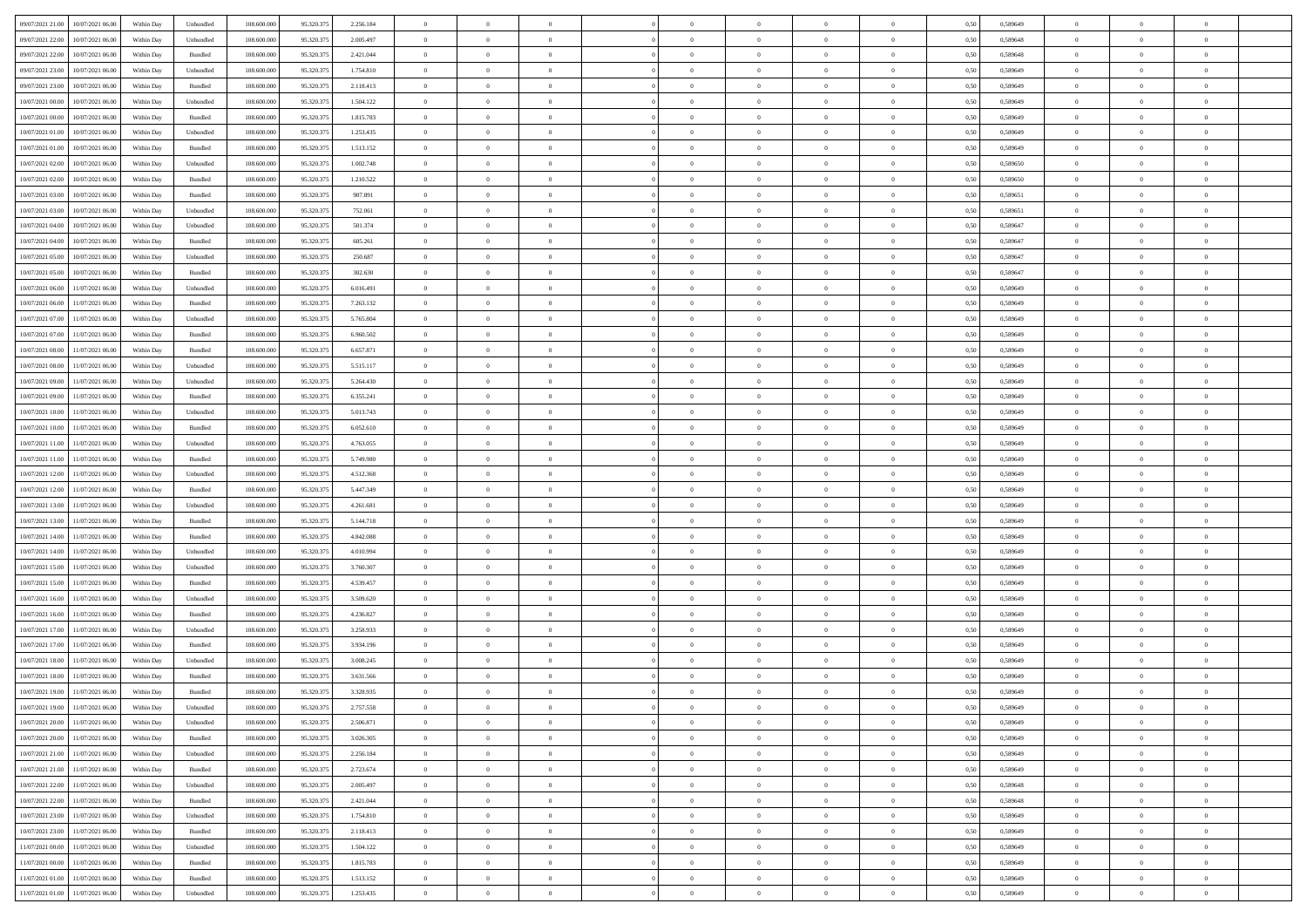| 09/07/2021 21:00<br>10/07/2021 06:00         | Within Day | Unbundled                   | 108.600.000 | 95.320.375 | 2.256.184 | $\overline{0}$ | $\overline{0}$ |                | $\overline{0}$ | $\theta$       |                | $\theta$       | 0,50 | 0,589649 | $\theta$       | $\theta$       | $\overline{0}$ |  |
|----------------------------------------------|------------|-----------------------------|-------------|------------|-----------|----------------|----------------|----------------|----------------|----------------|----------------|----------------|------|----------|----------------|----------------|----------------|--|
| 09/07/2021 22.00<br>10/07/2021 06:00         | Within Day | Unbundled                   | 108.600.00  | 95.320.37  | 2.005.497 | $\bf{0}$       | $\bf{0}$       | $\bf{0}$       | $\bf{0}$       | $\overline{0}$ | $\overline{0}$ | $\bf{0}$       | 0,50 | 0,589648 | $\,$ 0 $\,$    | $\bf{0}$       | $\overline{0}$ |  |
| 09/07/2021 22:00<br>10/07/2021 06:00         | Within Day | Bundled                     | 108,600,000 | 95.320.375 | 2.421.044 | $\overline{0}$ | $\bf{0}$       | $\overline{0}$ | $\bf{0}$       | $\bf{0}$       | $\overline{0}$ | $\bf{0}$       | 0.50 | 0.589648 | $\bf{0}$       | $\overline{0}$ | $\bf{0}$       |  |
| 09/07/2021 23:00<br>10/07/2021 06:00         |            |                             | 108.600.000 |            |           | $\overline{0}$ | $\overline{0}$ | $\overline{0}$ | $\overline{0}$ | $\theta$       | $\overline{0}$ |                |      |          | $\theta$       | $\theta$       | $\overline{0}$ |  |
|                                              | Within Day | Unbundled                   |             | 95.320.375 | 1.754.810 |                |                |                |                |                |                | $\bf{0}$       | 0,50 | 0,589649 |                |                |                |  |
| 09/07/2021 23:00<br>10/07/2021 06:00         | Within Day | Bundled                     | 108.600.00  | 95.320.37  | 2.118.413 | $\bf{0}$       | $\overline{0}$ | $\bf{0}$       | $\overline{0}$ | $\theta$       | $\overline{0}$ | $\bf{0}$       | 0,50 | 0,589649 | $\,$ 0 $\,$    | $\bf{0}$       | $\overline{0}$ |  |
| 10/07/2021 00:00<br>10/07/2021 06:00         | Within Day | Unbundled                   | 108,600,000 | 95.320.37  | 1.504.122 | $\overline{0}$ | $\overline{0}$ | $\overline{0}$ | $\bf{0}$       | $\overline{0}$ | $\theta$       | $\bf{0}$       | 0.50 | 0.589649 | $\,$ 0 $\,$    | $\theta$       | $\overline{0}$ |  |
| 10/07/2021 00:00<br>10/07/2021 06:00         | Within Day | Bundled                     | 108.600.000 | 95.320.375 | 1.815.783 | $\overline{0}$ | $\overline{0}$ | $\overline{0}$ | $\overline{0}$ | $\overline{0}$ | $\overline{0}$ | $\bf{0}$       | 0,50 | 0,589649 | $\theta$       | $\theta$       | $\overline{0}$ |  |
|                                              |            |                             |             |            |           |                |                |                |                |                |                |                |      |          |                |                |                |  |
| 10/07/2021 01:00<br>10/07/2021 06:00         | Within Day | Unbundled                   | 108.600.00  | 95.320.37  | 1.253.435 | $\bf{0}$       | $\bf{0}$       | $\bf{0}$       | $\overline{0}$ | $\overline{0}$ | $\overline{0}$ | $\bf{0}$       | 0,50 | 0,589649 | $\,$ 0 $\,$    | $\bf{0}$       | $\overline{0}$ |  |
| 10/07/2021 01:00<br>10/07/2021 06:00         | Within Day | Bundled                     | 108,600,000 | 95.320.375 | 1.513.152 | $\overline{0}$ | $\bf{0}$       | $\overline{0}$ | $\bf{0}$       | $\overline{0}$ | $\overline{0}$ | $\bf{0}$       | 0.50 | 0.589649 | $\bf{0}$       | $\overline{0}$ | $\overline{0}$ |  |
| 10/07/2021 02:00<br>10/07/2021 06:00         | Within Day | Unbundled                   | 108.600.000 | 95.320.375 | 1.002.748 | $\bf{0}$       | $\bf{0}$       | $\overline{0}$ | $\overline{0}$ | $\overline{0}$ | $\overline{0}$ | $\bf{0}$       | 0,50 | 0,589650 | $\,$ 0 $\,$    | $\bf{0}$       | $\overline{0}$ |  |
| 10/07/2021 02:00<br>10/07/2021 06:00         | Within Day | Bundled                     | 108.600.00  | 95.320.37  | 1.210.522 | $\bf{0}$       | $\bf{0}$       | $\bf{0}$       | $\bf{0}$       | $\overline{0}$ | $\overline{0}$ | $\bf{0}$       | 0,50 | 0,589650 | $\,$ 0 $\,$    | $\bf{0}$       | $\overline{0}$ |  |
| 10/07/2021 06:00                             |            | Bundled                     | 108,600,000 | 95.320.375 | 907.891   |                |                |                |                |                | $\overline{0}$ |                |      |          |                |                | $\,$ 0         |  |
| 10/07/2021 03:00                             | Within Day |                             |             |            |           | $\overline{0}$ | $\bf{0}$       | $\overline{0}$ | $\overline{0}$ | $\bf{0}$       |                | $\bf{0}$       | 0.50 | 0.589651 | $\bf{0}$       | $\overline{0}$ |                |  |
| 10/07/2021 03:00<br>10/07/2021 06:00         | Within Day | Unbundled                   | 108.600.000 | 95.320.375 | 752.061   | $\overline{0}$ | $\overline{0}$ | $\overline{0}$ | $\theta$       | $\theta$       | $\overline{0}$ | $\bf{0}$       | 0,50 | 0,589651 | $\,$ 0 $\,$    | $\theta$       | $\overline{0}$ |  |
| 10/07/2021 04:00<br>10/07/2021 06:00         | Within Day | Unbundled                   | 108.600.00  | 95.320.37  | 501.374   | $\bf{0}$       | $\overline{0}$ | $\bf{0}$       | $\bf{0}$       | $\bf{0}$       | $\overline{0}$ | $\bf{0}$       | 0,50 | 0,589647 | $\,$ 0 $\,$    | $\bf{0}$       | $\overline{0}$ |  |
| 10/07/2021 04:00<br>10/07/2021 06:00         | Within Day | Bundled                     | 108,600,000 | 95.320.37  | 605.261   | $\overline{0}$ | $\bf{0}$       | $\overline{0}$ | $\bf{0}$       | $\overline{0}$ | $\theta$       | $\bf{0}$       | 0.50 | 0.589647 | $\,$ 0 $\,$    | $\theta$       | $\overline{0}$ |  |
| 10/07/2021 05:00<br>10/07/2021 06:00         | Within Day | Unbundled                   | 108.600.000 | 95.320.375 | 250.687   | $\overline{0}$ | $\overline{0}$ | $\overline{0}$ | $\overline{0}$ | $\overline{0}$ | $\overline{0}$ | $\bf{0}$       | 0,50 | 0,589647 | $\theta$       | $\theta$       | $\overline{0}$ |  |
|                                              |            |                             |             |            |           |                |                |                |                |                |                |                |      |          |                |                |                |  |
| 10/07/2021 05:00<br>10/07/2021 06:00         | Within Day | Bundled                     | 108.600.00  | 95.320.37  | 302.630   | $\bf{0}$       | $\bf{0}$       | $\bf{0}$       | $\overline{0}$ | $\overline{0}$ | $\overline{0}$ | $\bf{0}$       | 0,50 | 0,589647 | $\,$ 0 $\,$    | $\bf{0}$       | $\overline{0}$ |  |
| 10/07/2021 06:00<br>11/07/2021 06:00         | Within Day | Unbundled                   | 108,600,000 | 95.320.37  | 6.016.491 | $\overline{0}$ | $\bf{0}$       | $\overline{0}$ | $\bf{0}$       | $\overline{0}$ | $\overline{0}$ | $\bf{0}$       | 0.50 | 0.589649 | $\bf{0}$       | $\overline{0}$ | $\bf{0}$       |  |
| 10/07/2021 06:00<br>11/07/2021 06:00         | Within Day | Bundled                     | 108.600.000 | 95.320.375 | 7.263.132 | $\overline{0}$ | $\bf{0}$       | $\overline{0}$ | $\overline{0}$ | $\overline{0}$ | $\overline{0}$ | $\bf{0}$       | 0,50 | 0,589649 | $\,$ 0 $\,$    | $\bf{0}$       | $\overline{0}$ |  |
| 10/07/2021 07:00<br>11/07/2021 06:00         | Within Day | Unbundled                   | 108.600.00  | 95.320.37  | 5.765.804 | $\bf{0}$       | $\bf{0}$       | $\bf{0}$       | $\bf{0}$       | $\overline{0}$ | $\overline{0}$ | $\bf{0}$       | 0,50 | 0,589649 | $\,$ 0 $\,$    | $\bf{0}$       | $\overline{0}$ |  |
| 10/07/2021 07:00<br>11/07/2021 06:00         |            | Bundled                     | 108,600,000 | 95.320.37  |           |                | $\bf{0}$       | $\overline{0}$ |                | $\bf{0}$       | $\overline{0}$ |                | 0.50 | 0.589649 | $\bf{0}$       | $\overline{0}$ | $\,$ 0         |  |
|                                              | Within Day |                             |             |            | 6.960.502 | $\overline{0}$ |                |                | $\overline{0}$ |                |                | $\bf{0}$       |      |          |                |                |                |  |
| 10/07/2021 08:00<br>11/07/2021 06:00         | Within Day | Bundled                     | 108.600.000 | 95.320.375 | 6.657.871 | $\overline{0}$ | $\overline{0}$ | $\overline{0}$ | $\theta$       | $\theta$       | $\overline{0}$ | $\bf{0}$       | 0,50 | 0,589649 | $\theta$       | $\theta$       | $\overline{0}$ |  |
| 10/07/2021 08:00<br>11/07/2021 06:00         | Within Day | Unbundled                   | 108.600.00  | 95.320.37  | 5.515.117 | $\bf{0}$       | $\bf{0}$       | $\bf{0}$       | $\bf{0}$       | $\overline{0}$ | $\overline{0}$ | $\bf{0}$       | 0,50 | 0,589649 | $\,$ 0 $\,$    | $\bf{0}$       | $\overline{0}$ |  |
| 10/07/2021 09:00<br>11/07/2021 06:00         | Within Day | Unbundled                   | 108,600,000 | 95.320.37  | 5.264.430 | $\overline{0}$ | $\overline{0}$ | $\overline{0}$ | $\bf{0}$       | $\overline{0}$ | $\theta$       | $\bf{0}$       | 0.50 | 0.589649 | $\,$ 0 $\,$    | $\theta$       | $\overline{0}$ |  |
| 10/07/2021 09:00<br>11/07/2021 06:00         | Within Day | Bundled                     | 108.600.000 | 95.320.375 | 6.355.241 | $\overline{0}$ | $\overline{0}$ | $\overline{0}$ | $\overline{0}$ | $\overline{0}$ | $\overline{0}$ | $\bf{0}$       | 0,50 | 0,589649 | $\,$ 0 $\,$    | $\theta$       | $\overline{0}$ |  |
|                                              |            |                             |             |            |           |                |                |                |                |                |                |                |      |          |                |                |                |  |
| 10/07/2021 10:00<br>11/07/2021 06:00         | Within Day | Unbundled                   | 108.600.00  | 95.320.37  | 5.013.743 | $\bf{0}$       | $\overline{0}$ | $\bf{0}$       | $\overline{0}$ | $\overline{0}$ | $\overline{0}$ | $\bf{0}$       | 0,50 | 0,589649 | $\,$ 0 $\,$    | $\bf{0}$       | $\overline{0}$ |  |
| 10/07/2021 10:00<br>11/07/2021 06:00         | Within Day | Bundled                     | 108,600,000 | 95.320.37  | 6.052.610 | $\overline{0}$ | $\bf{0}$       | $\overline{0}$ | $\bf{0}$       | $\overline{0}$ | $\overline{0}$ | $\bf{0}$       | 0.50 | 0.589649 | $\bf{0}$       | $\overline{0}$ | $\overline{0}$ |  |
| 10/07/2021 11:00<br>11/07/2021 06:00         | Within Day | Unbundled                   | 108.600.000 | 95.320.375 | 4.763.055 | $\overline{0}$ | $\bf{0}$       | $\overline{0}$ | $\overline{0}$ | $\overline{0}$ | $\overline{0}$ | $\bf{0}$       | 0,50 | 0,589649 | $\theta$       | $\theta$       | $\overline{0}$ |  |
| 10/07/2021 11:00<br>11/07/2021 06:00         | Within Day | Bundled                     | 108.600.00  | 95.320.37  | 5.749.980 | $\bf{0}$       | $\bf{0}$       | $\bf{0}$       | $\bf{0}$       | $\overline{0}$ | $\overline{0}$ | $\bf{0}$       | 0,50 | 0,589649 | $\,$ 0 $\,$    | $\bf{0}$       | $\overline{0}$ |  |
| 10/07/2021 12:00<br>11/07/2021 06:00         | Within Day | Unbundled                   | 108,600,000 | 95.320.375 | 4.512.368 | $\overline{0}$ | $\bf{0}$       | $\overline{0}$ | $\bf{0}$       | $\bf{0}$       | $\overline{0}$ | $\bf{0}$       | 0.50 | 0.589649 | $\bf{0}$       | $\overline{0}$ | $\,$ 0         |  |
|                                              |            |                             |             |            |           |                |                |                |                |                |                |                |      |          |                |                |                |  |
| 10/07/2021 12:00<br>11/07/2021 06:00         | Within Day | Bundled                     | 108.600.000 | 95.320.37  | 5.447.349 | $\overline{0}$ | $\overline{0}$ | $\overline{0}$ | $\overline{0}$ | $\overline{0}$ | $\overline{0}$ | $\bf{0}$       | 0.50 | 0.589649 | $\theta$       | $\theta$       | $\overline{0}$ |  |
| 10/07/2021 13:00<br>11/07/2021 06:00         | Within Day | Unbundled                   | 108.600.00  | 95.320.37  | 4.261.681 | $\bf{0}$       | $\bf{0}$       | $\bf{0}$       | $\bf{0}$       | $\overline{0}$ | $\overline{0}$ | $\bf{0}$       | 0,50 | 0,589649 | $\,$ 0 $\,$    | $\bf{0}$       | $\overline{0}$ |  |
| 10/07/2021 13:00<br>11/07/2021 06:00         | Within Day | Bundled                     | 108,600,000 | 95.320.375 | 5.144.718 | $\overline{0}$ | $\bf{0}$       | $\overline{0}$ | $\bf{0}$       | $\overline{0}$ | $\overline{0}$ | $\bf{0}$       | 0.50 | 0.589649 | $\,$ 0 $\,$    | $\bf{0}$       | $\overline{0}$ |  |
| 10/07/2021 14:00<br>11/07/2021 06:00         | Within Dav | Bundled                     | 108.600.000 | 95.320.375 | 4.842.088 | $\overline{0}$ | $\overline{0}$ | $\overline{0}$ | $\overline{0}$ | $\overline{0}$ | $\overline{0}$ | $\bf{0}$       | 0.50 | 0.589649 | $\theta$       | $\theta$       | $\overline{0}$ |  |
| 10/07/2021 14:00<br>11/07/2021 06:00         | Within Day | Unbundled                   | 108.600.00  | 95.320.37  | 4.010.994 | $\bf{0}$       | $\bf{0}$       | $\bf{0}$       | $\bf{0}$       | $\overline{0}$ | $\overline{0}$ | $\bf{0}$       | 0,50 | 0,589649 | $\,$ 0 $\,$    | $\bf{0}$       | $\overline{0}$ |  |
|                                              |            |                             |             |            |           |                |                |                |                |                |                |                |      |          |                |                |                |  |
| 10/07/2021 15:00<br>11/07/2021 06:00         | Within Day | Unbundled                   | 108,600,000 | 95.320.37  | 3.760.307 | $\overline{0}$ | $\bf{0}$       | $\overline{0}$ | $\bf{0}$       | $\overline{0}$ | $\overline{0}$ | $\bf{0}$       | 0.50 | 0.589649 | $\bf{0}$       | $\overline{0}$ | $\bf{0}$       |  |
| 10/07/2021 15:00<br>11/07/2021 06:00         | Within Dav | Bundled                     | 108.600.000 | 95.320.37  | 4.539.457 | $\overline{0}$ | $\overline{0}$ | $\overline{0}$ | $\overline{0}$ | $\overline{0}$ | $\overline{0}$ | $\bf{0}$       | 0.50 | 0.589649 | $\theta$       | $\theta$       | $\overline{0}$ |  |
| 10/07/2021 16:00<br>11/07/2021 06:00         | Within Day | Unbundled                   | 108.600.00  | 95.320.37  | 3.509.620 | $\bf{0}$       | $\bf{0}$       | $\bf{0}$       | $\bf{0}$       | $\overline{0}$ | $\overline{0}$ | $\bf{0}$       | 0,50 | 0,589649 | $\,$ 0 $\,$    | $\bf{0}$       | $\overline{0}$ |  |
| 10/07/2021 16:00<br>11/07/2021 06:00         | Within Day | Bundled                     | 108,600,000 | 95.320.37  | 4.236.827 | $\overline{0}$ | $\bf{0}$       | $\overline{0}$ | $\overline{0}$ | $\bf{0}$       | $\overline{0}$ | $\bf{0}$       | 0.50 | 0.589649 | $\bf{0}$       | $\overline{0}$ | $\,$ 0         |  |
| 10/07/2021 17:00<br>11/07/2021 06:00         | Within Dav | Unbundled                   | 108.600.000 | 95.320.375 | 3.258.933 | $\overline{0}$ | $\overline{0}$ | $\overline{0}$ | $\overline{0}$ | $\overline{0}$ | $\overline{0}$ | $\bf{0}$       | 0.50 | 0.589649 | $\theta$       | $\theta$       | $\overline{0}$ |  |
|                                              |            |                             |             |            |           |                |                |                |                |                |                |                |      |          |                |                |                |  |
| 10/07/2021 17:00<br>11/07/2021 06:00         | Within Day | Bundled                     | 108.600.00  | 95.320.37  | 3.934.196 | $\bf{0}$       | $\bf{0}$       | $\bf{0}$       | $\bf{0}$       | $\overline{0}$ | $\overline{0}$ | $\bf{0}$       | 0,50 | 0,589649 | $\,$ 0 $\,$    | $\bf{0}$       | $\overline{0}$ |  |
| 10/07/2021 18:00<br>11/07/2021 06:00         | Within Day | Unbundled                   | 108,600,000 | 95.320.37  | 3.008.245 | $\overline{0}$ | $\overline{0}$ | $\overline{0}$ | $\bf{0}$       | $\overline{0}$ | $\Omega$       | $\bf{0}$       | 0.50 | 0.589649 | $\bf{0}$       | $\theta$       | $\overline{0}$ |  |
| 10/07/2021 18:00<br>11/07/2021 06:00         | Within Dav | Bundled                     | 108.600.000 | 95.320.37  | 3.631.566 | $\overline{0}$ | $\overline{0}$ | $\overline{0}$ | $\overline{0}$ | $\theta$       | $\overline{0}$ | $\overline{0}$ | 0.5( | 0.589649 | $\theta$       | $\theta$       | $\overline{0}$ |  |
| 10/07/2021 19:00<br>11/07/2021 06:00         | Within Day | Bundled                     | 108.600.000 | 95.320.37  | 3.328.935 | $\bf{0}$       | $\bf{0}$       | $\bf{0}$       | $\bf{0}$       | $\bf{0}$       | $\overline{0}$ | $\bf{0}$       | 0,50 | 0,589649 | $\overline{0}$ | $\bf{0}$       | $\overline{0}$ |  |
| $10/07/2021\ 19.00 \qquad 11/07/2021\ 06.00$ | Within Day | $\ensuremath{\mathsf{Unb}}$ | 108.600.000 | 95.320.375 | 2.757.558 | $\bf{0}$       | $\theta$       |                | $\overline{0}$ |                |                |                | 0,50 | 0.589649 | $\bf{0}$       | $\overline{0}$ |                |  |
|                                              |            |                             |             |            |           |                |                |                |                |                |                |                |      |          |                |                |                |  |
| 10/07/2021 20:00 11/07/2021 06:00            | Within Day | Unbundled                   | 108.600.000 | 95.320.375 | 2.506.871 | $\overline{0}$ | $\overline{0}$ | $\Omega$       | $\theta$       | $\overline{0}$ | $\overline{0}$ | $\bf{0}$       | 0,50 | 0,589649 | $\theta$       | $\overline{0}$ | $\overline{0}$ |  |
| 10/07/2021 20:00<br>11/07/2021 06:00         | Within Day | Bundled                     | 108.600.00  | 95.320.37  | 3.026.305 | $\overline{0}$ | $\bf{0}$       | $\overline{0}$ | $\overline{0}$ | $\bf{0}$       | $\overline{0}$ | $\bf{0}$       | 0,50 | 0,589649 | $\bf{0}$       | $\overline{0}$ | $\bf{0}$       |  |
| 10/07/2021 21:00 11/07/2021 06:00            | Within Day | Unbundled                   | 108,600,000 | 95.320.375 | 2.256.184 | $\overline{0}$ | $\bf{0}$       | $\overline{0}$ | $\overline{0}$ | $\mathbf{0}$   | $\overline{0}$ | $\,$ 0 $\,$    | 0.50 | 0.589649 | $\overline{0}$ | $\bf{0}$       | $\,$ 0 $\,$    |  |
| 10/07/2021 21:00 11/07/2021 06:00            | Within Dav | Bundled                     | 108.600.000 | 95.320.375 | 2.723.674 | $\overline{0}$ | $\overline{0}$ | $\overline{0}$ | $\overline{0}$ | $\overline{0}$ | $\overline{0}$ | $\bf{0}$       | 0,50 | 0.589649 | $\overline{0}$ | $\theta$       | $\overline{0}$ |  |
|                                              |            |                             |             |            |           |                |                |                |                |                |                |                |      |          |                |                |                |  |
| 10/07/2021 22:00<br>11/07/2021 06:00         | Within Day | Unbundled                   | 108.600.000 | 95.320.375 | 2.005.497 | $\overline{0}$ | $\bf{0}$       | $\overline{0}$ | $\overline{0}$ | $\bf{0}$       | $\overline{0}$ | $\bf{0}$       | 0,50 | 0,589648 | $\bf{0}$       | $\overline{0}$ | $\overline{0}$ |  |
| 10/07/2021 22:00<br>11/07/2021 06:00         | Within Day | Bundled                     | 108,600,000 | 95.320.375 | 2.421.044 | $\overline{0}$ | $\bf{0}$       | $\overline{0}$ | $\overline{0}$ | $\bf{0}$       | $\overline{0}$ | $\bf{0}$       | 0.50 | 0.589648 | $\,$ 0 $\,$    | $\overline{0}$ | $\,$ 0         |  |
| 10/07/2021 23:00<br>11/07/2021 06:00         | Within Dav | Unbundled                   | 108.600.000 | 95.320.375 | 1.754.810 | $\overline{0}$ | $\overline{0}$ | $\overline{0}$ | $\overline{0}$ | $\overline{0}$ | $\overline{0}$ | $\bf{0}$       | 0.50 | 0,589649 | $\overline{0}$ | $\theta$       | $\overline{0}$ |  |
| 10/07/2021 23:00<br>11/07/2021 06:00         | Within Day | Bundled                     | 108.600.00  | 95.320.37  | 2.118.413 | $\overline{0}$ | $\overline{0}$ | $\overline{0}$ | $\overline{0}$ | $\overline{0}$ | $\overline{0}$ | $\bf{0}$       | 0,50 | 0,589649 | $\bf{0}$       | $\overline{0}$ | $\,$ 0         |  |
| 11/07/2021 06:00<br>11/07/2021 00:00         | Within Day | Unbundled                   | 108,600,000 | 95.320.37  | 1.504.122 | $\overline{0}$ | $\overline{0}$ | $\overline{0}$ | $\overline{0}$ | $\overline{0}$ | $\overline{0}$ | $\bf{0}$       | 0.50 | 0.589649 | $\mathbf{0}$   | $\bf{0}$       | $\,$ 0         |  |
|                                              |            |                             |             |            |           |                |                |                |                |                |                |                |      |          |                |                |                |  |
| 11/07/2021 00:00 11/07/2021 06:00            | Within Dav | Bundled                     | 108.600.000 | 95.320.375 | 1.815.783 | $\overline{0}$ | $\overline{0}$ | $\overline{0}$ | $\overline{0}$ | $\overline{0}$ | $\overline{0}$ | $\bf{0}$       | 0,50 | 0.589649 | $\overline{0}$ | $\theta$       | $\overline{0}$ |  |
| 11/07/2021 01:00<br>11/07/2021 06:00         | Within Day | Bundled                     | 108.600.00  | 95.320.37  | 1.513.152 | $\overline{0}$ | $\bf{0}$       | $\overline{0}$ | $\overline{0}$ | $\overline{0}$ | $\overline{0}$ | $\bf{0}$       | 0,50 | 0,589649 | $\bf{0}$       | $\,$ 0 $\,$    | $\bf{0}$       |  |
| 11/07/2021 01:00 11/07/2021 06:00            | Within Day | ${\sf Unbundred}$           | 108.600.000 | 95.320.375 | 1.253.435 | $\,$ 0 $\,$    | $\bf{0}$       | $\overline{0}$ | $\overline{0}$ | $\,$ 0 $\,$    | $\overline{0}$ | $\bf{0}$       | 0,50 | 0,589649 | $\overline{0}$ | $\,$ 0 $\,$    | $\,$ 0 $\,$    |  |
|                                              |            |                             |             |            |           |                |                |                |                |                |                |                |      |          |                |                |                |  |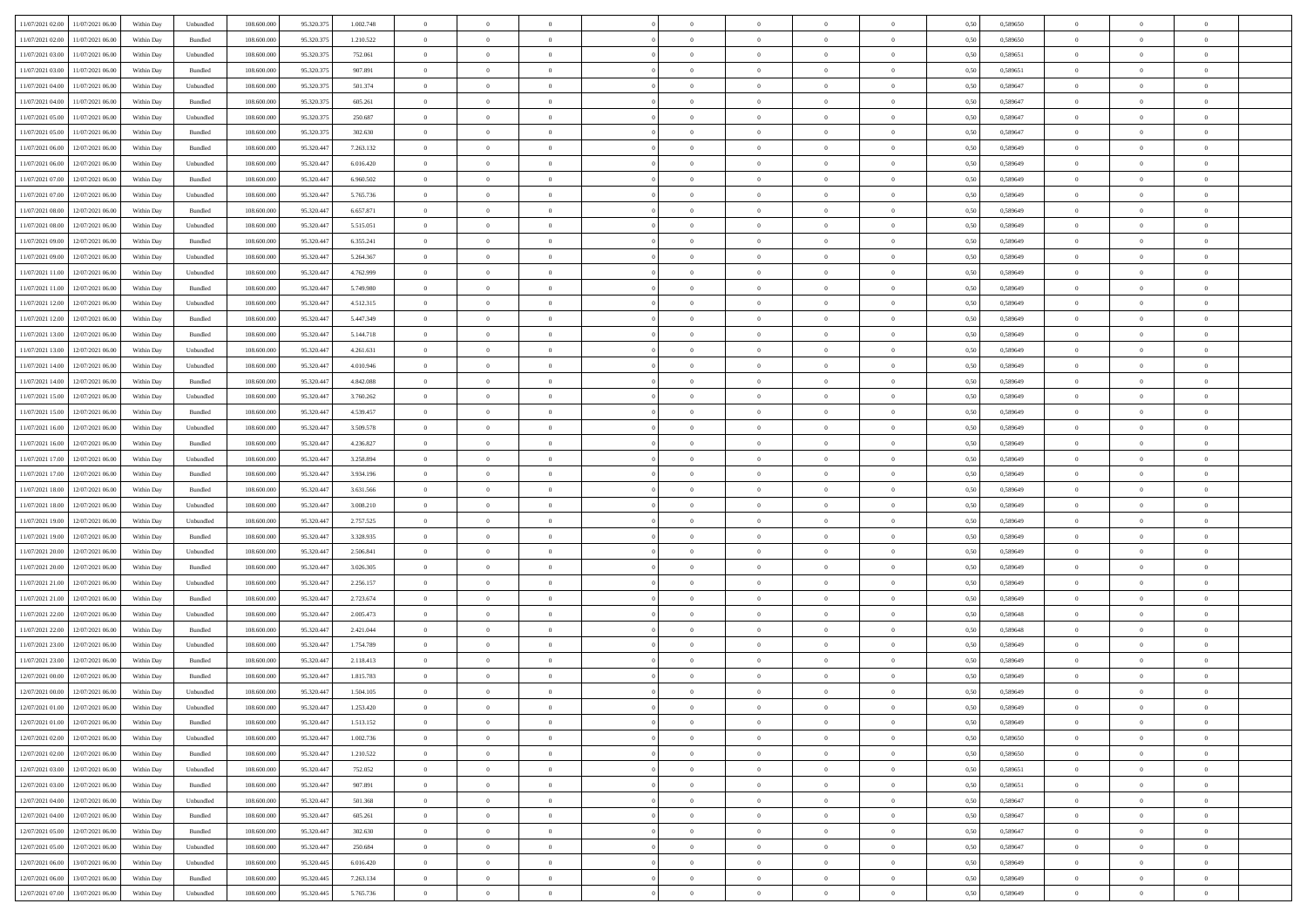|                                      |            |                             |             |            |           | $\overline{0}$ | $\overline{0}$ |                | $\overline{0}$ | $\theta$       |                | $\theta$       |      |          | $\theta$       | $\theta$       | $\overline{0}$ |  |
|--------------------------------------|------------|-----------------------------|-------------|------------|-----------|----------------|----------------|----------------|----------------|----------------|----------------|----------------|------|----------|----------------|----------------|----------------|--|
| 11/07/2021 02:00 11/07/2021 06:00    | Within Day | Unbundled                   | 108.600.000 | 95.320.375 | 1.002.748 |                |                |                |                |                |                |                | 0,50 | 0,589650 |                |                |                |  |
| 11/07/2021 02:00<br>11/07/2021 06:00 | Within Day | Bundled                     | 108.600.00  | 95.320.37  | 1.210.522 | $\bf{0}$       | $\bf{0}$       | $\bf{0}$       | $\bf{0}$       | $\overline{0}$ | $\overline{0}$ | $\bf{0}$       | 0,50 | 0,589650 | $\,$ 0 $\,$    | $\bf{0}$       | $\overline{0}$ |  |
| 11/07/2021 03:00<br>11/07/2021 06:00 | Within Day | Unbundled                   | 108,600,000 | 95.320.375 | 752.061   | $\overline{0}$ | $\bf{0}$       | $\overline{0}$ | $\bf{0}$       | $\bf{0}$       | $\overline{0}$ | $\bf{0}$       | 0.50 | 0,589651 | $\bf{0}$       | $\overline{0}$ | $\overline{0}$ |  |
|                                      |            |                             |             |            |           | $\overline{0}$ | $\overline{0}$ | $\overline{0}$ | $\overline{0}$ | $\theta$       | $\overline{0}$ |                |      |          | $\,$ 0 $\,$    | $\,$ 0 $\,$    | $\overline{0}$ |  |
| 11/07/2021 03:00<br>11/07/2021 06:00 | Within Day | Bundled                     | 108.600.000 | 95.320.375 | 907.891   |                |                |                |                |                |                | $\bf{0}$       | 0,50 | 0,589651 |                |                |                |  |
| 11/07/2021 04:00<br>11/07/2021 06:00 | Within Day | Unbundled                   | 108.600.00  | 95.320.37  | 501.374   | $\bf{0}$       | $\overline{0}$ | $\bf{0}$       | $\overline{0}$ | $\bf{0}$       | $\overline{0}$ | $\bf{0}$       | 0,50 | 0,589647 | $\,$ 0 $\,$    | $\bf{0}$       | $\overline{0}$ |  |
| 11/07/2021 04:00<br>11/07/2021 06:00 | Within Day | Bundled                     | 108,600,000 | 95.320.37  | 605.261   | $\overline{0}$ | $\bf{0}$       | $\overline{0}$ | $\bf{0}$       | $\overline{0}$ | $\overline{0}$ | $\bf{0}$       | 0.50 | 0.589647 | $\,$ 0 $\,$    | $\theta$       | $\overline{0}$ |  |
| 11/07/2021 05:00<br>11/07/2021 06:00 | Within Day | Unbundled                   | 108.600.000 | 95.320.375 | 250.687   | $\overline{0}$ | $\overline{0}$ | $\overline{0}$ | $\overline{0}$ | $\overline{0}$ | $\overline{0}$ | $\bf{0}$       | 0,50 | 0,589647 | $\,$ 0 $\,$    | $\theta$       | $\overline{0}$ |  |
|                                      |            |                             |             |            |           |                |                |                |                |                |                |                |      |          |                |                |                |  |
| 11/07/2021 05:00<br>11/07/2021 06:00 | Within Day | Bundled                     | 108.600.00  | 95.320.37  | 302.630   | $\bf{0}$       | $\bf{0}$       | $\bf{0}$       | $\overline{0}$ | $\overline{0}$ | $\overline{0}$ | $\bf{0}$       | 0,50 | 0,589647 | $\,$ 0 $\,$    | $\bf{0}$       | $\overline{0}$ |  |
| 11/07/2021 06:00<br>12/07/2021 06:00 | Within Day | Bundled                     | 108,600,000 | 95.320.447 | 7.263.132 | $\overline{0}$ | $\bf{0}$       | $\overline{0}$ | $\bf{0}$       | $\overline{0}$ | $\overline{0}$ | $\bf{0}$       | 0.50 | 0.589649 | $\bf{0}$       | $\overline{0}$ | $\overline{0}$ |  |
| 11/07/2021 06:00<br>12/07/2021 06:00 | Within Day | Unbundled                   | 108.600.000 | 95.320.447 | 6.016.420 | $\bf{0}$       | $\bf{0}$       | $\overline{0}$ | $\overline{0}$ | $\overline{0}$ | $\overline{0}$ | $\bf{0}$       | 0,50 | 0,589649 | $\,$ 0 $\,$    | $\,$ 0 $\,$    | $\overline{0}$ |  |
|                                      |            |                             |             |            |           |                |                |                |                |                |                |                |      |          |                |                |                |  |
| 11/07/2021 07:00<br>12/07/2021 06:00 | Within Day | Bundled                     | 108.600.00  | 95.320.447 | 6.960.502 | $\bf{0}$       | $\bf{0}$       | $\bf{0}$       | $\bf{0}$       | $\overline{0}$ | $\overline{0}$ | $\bf{0}$       | 0,50 | 0,589649 | $\,$ 0 $\,$    | $\bf{0}$       | $\overline{0}$ |  |
| 11/07/2021 07:00<br>12/07/2021 06:00 | Within Day | Unbundled                   | 108,600,000 | 95.320.447 | 5.765.736 | $\overline{0}$ | $\bf{0}$       | $\overline{0}$ | $\overline{0}$ | $\overline{0}$ | $\overline{0}$ | $\bf{0}$       | 0.50 | 0.589649 | $\bf{0}$       | $\,$ 0 $\,$    | $\,$ 0         |  |
| 11/07/2021 08:00<br>12/07/2021 06:00 | Within Day | Bundled                     | 108.600.000 | 95.320.447 | 6.657.871 | $\overline{0}$ | $\bf{0}$       | $\overline{0}$ | $\theta$       | $\theta$       | $\overline{0}$ | $\bf{0}$       | 0,50 | 0,589649 | $\,$ 0 $\,$    | $\theta$       | $\overline{0}$ |  |
| 11/07/2021 08:00<br>12/07/2021 06:00 | Within Day | Unbundled                   | 108.600.00  | 95.320.44  | 5.515.051 | $\bf{0}$       | $\overline{0}$ | $\bf{0}$       | $\bf{0}$       | $\bf{0}$       | $\overline{0}$ | $\bf{0}$       | 0,50 | 0,589649 | $\,$ 0 $\,$    | $\bf{0}$       | $\overline{0}$ |  |
|                                      |            |                             |             |            |           |                |                |                |                |                |                |                |      |          |                |                |                |  |
| 11/07/2021 09:00<br>12/07/2021 06:00 | Within Day | Bundled                     | 108,600,000 | 95.320.447 | 6.355.241 | $\overline{0}$ | $\bf{0}$       | $\overline{0}$ | $\bf{0}$       | $\overline{0}$ | $\theta$       | $\bf{0}$       | 0.50 | 0.589649 | $\,$ 0 $\,$    | $\theta$       | $\overline{0}$ |  |
| 11/07/2021 09:00<br>12/07/2021 06:00 | Within Day | Unbundled                   | 108.600.000 | 95.320.447 | 5.264.367 | $\overline{0}$ | $\bf{0}$       | $\overline{0}$ | $\overline{0}$ | $\overline{0}$ | $\overline{0}$ | $\bf{0}$       | 0,50 | 0,589649 | $\theta$       | $\theta$       | $\overline{0}$ |  |
| 11/07/2021 11:00<br>12/07/2021 06:00 | Within Day | Unbundled                   | 108.600.00  | 95.320.447 | 4.762.999 | $\bf{0}$       | $\bf{0}$       | $\bf{0}$       | $\overline{0}$ | $\overline{0}$ | $\overline{0}$ | $\bf{0}$       | 0,50 | 0,589649 | $\,$ 0 $\,$    | $\bf{0}$       | $\overline{0}$ |  |
|                                      |            |                             |             |            |           |                |                |                |                |                |                |                |      |          |                |                |                |  |
| 11/07/2021 11:00<br>12/07/2021 06:00 | Within Day | Bundled                     | 108,600,000 | 95.320.44  | 5.749.980 | $\overline{0}$ | $\bf{0}$       | $\overline{0}$ | $\bf{0}$       | $\overline{0}$ | $\overline{0}$ | $\bf{0}$       | 0.50 | 0.589649 | $\bf{0}$       | $\overline{0}$ | $\overline{0}$ |  |
| 11/07/2021 12:00<br>12/07/2021 06:00 | Within Day | Unbundled                   | 108.600.000 | 95.320.447 | 4.512.315 | $\bf{0}$       | $\bf{0}$       | $\overline{0}$ | $\overline{0}$ | $\overline{0}$ | $\overline{0}$ | $\bf{0}$       | 0,50 | 0,589649 | $\,$ 0 $\,$    | $\bf{0}$       | $\overline{0}$ |  |
| 11/07/2021 12:00<br>12/07/2021 06:00 | Within Day | Bundled                     | 108.600.00  | 95.320.447 | 5.447.349 | $\bf{0}$       | $\bf{0}$       | $\bf{0}$       | $\bf{0}$       | $\overline{0}$ | $\overline{0}$ | $\bf{0}$       | 0,50 | 0,589649 | $\,$ 0 $\,$    | $\bf{0}$       | $\overline{0}$ |  |
| 11/07/2021 13:00<br>12/07/2021 06:00 | Within Day | Bundled                     | 108,600,000 | 95.320.447 | 5.144.718 | $\overline{0}$ | $\bf{0}$       | $\overline{0}$ | $\overline{0}$ | $\bf{0}$       | $\overline{0}$ | $\bf{0}$       | 0.50 | 0.589649 | $\bf{0}$       | $\overline{0}$ | $\,$ 0         |  |
|                                      |            |                             |             |            |           | $\overline{0}$ | $\overline{0}$ | $\overline{0}$ | $\overline{0}$ | $\theta$       | $\overline{0}$ |                |      |          | $\theta$       | $\theta$       |                |  |
| 11/07/2021 13:00<br>12/07/2021 06:00 | Within Day | Unbundled                   | 108.600.000 | 95.320.447 | 4.261.631 |                |                |                |                |                |                | $\bf{0}$       | 0,50 | 0,589649 |                |                | $\overline{0}$ |  |
| 11/07/2021 14:00<br>12/07/2021 06:00 | Within Day | Unbundled                   | 108.600.00  | 95.320.44  | 4.010.946 | $\bf{0}$       | $\bf{0}$       | $\bf{0}$       | $\bf{0}$       | $\overline{0}$ | $\overline{0}$ | $\bf{0}$       | 0,50 | 0,589649 | $\,$ 0 $\,$    | $\bf{0}$       | $\overline{0}$ |  |
| 11/07/2021 14:00<br>12/07/2021 06:00 | Within Day | Bundled                     | 108,600,000 | 95.320.44  | 4.842.088 | $\overline{0}$ | $\bf{0}$       | $\overline{0}$ | $\bf{0}$       | $\overline{0}$ | $\theta$       | $\bf{0}$       | 0.50 | 0.589649 | $\,$ 0 $\,$    | $\theta$       | $\overline{0}$ |  |
| 11/07/2021 15:00<br>12/07/2021 06:00 | Within Day | Unbundled                   | 108.600.000 | 95.320.447 | 3.760.262 | $\overline{0}$ | $\overline{0}$ | $\overline{0}$ | $\overline{0}$ | $\overline{0}$ | $\overline{0}$ | $\bf{0}$       | 0,50 | 0,589649 | $\,$ 0 $\,$    | $\theta$       | $\overline{0}$ |  |
|                                      |            |                             |             |            |           | $\bf{0}$       | $\overline{0}$ | $\bf{0}$       | $\overline{0}$ | $\overline{0}$ | $\overline{0}$ |                |      |          | $\,$ 0 $\,$    | $\bf{0}$       | $\overline{0}$ |  |
| 11/07/2021 15:00<br>12/07/2021 06:00 | Within Day | Bundled                     | 108.600.00  | 95.320.447 | 4.539.457 |                |                |                |                |                |                | $\bf{0}$       | 0,50 | 0,589649 |                |                |                |  |
| 11/07/2021 16:00<br>12/07/2021 06:00 | Within Day | Unbundled                   | 108,600,000 | 95.320.44  | 3.509.578 | $\overline{0}$ | $\bf{0}$       | $\overline{0}$ | $\bf{0}$       | $\overline{0}$ | $\overline{0}$ | $\bf{0}$       | 0.50 | 0.589649 | $\bf{0}$       | $\overline{0}$ | $\overline{0}$ |  |
| 11/07/2021 16:00<br>12/07/2021 06:00 | Within Day | Bundled                     | 108.600.000 | 95.320.447 | 4.236.827 | $\overline{0}$ | $\bf{0}$       | $\overline{0}$ | $\overline{0}$ | $\overline{0}$ | $\overline{0}$ | $\bf{0}$       | 0,50 | 0,589649 | $\theta$       | $\bf{0}$       | $\overline{0}$ |  |
| 11/07/2021 17:00<br>12/07/2021 06:00 | Within Day | Unbundled                   | 108.600.00  | 95.320.447 | 3.258.894 | $\bf{0}$       | $\bf{0}$       | $\bf{0}$       | $\bf{0}$       | $\overline{0}$ | $\overline{0}$ | $\bf{0}$       | 0,50 | 0,589649 | $\,$ 0 $\,$    | $\bf{0}$       | $\overline{0}$ |  |
| 12/07/2021 06:00                     |            | Bundled                     | 108,600,000 | 95.320.447 | 3.934.196 |                |                |                |                |                | $\overline{0}$ |                |      |          |                | $\,$ 0 $\,$    | $\,$ 0         |  |
| 11/07/2021 17:00                     | Within Day |                             |             |            |           | $\overline{0}$ | $\bf{0}$       | $\overline{0}$ | $\overline{0}$ | $\bf{0}$       |                | $\bf{0}$       | 0.50 | 0.589649 | $\bf{0}$       |                |                |  |
| 11/07/2021 18:00<br>12/07/2021 06:00 | Within Day | Bundled                     | 108.600.000 | 95.320.447 | 3.631.566 | $\overline{0}$ | $\overline{0}$ | $\overline{0}$ | $\overline{0}$ | $\overline{0}$ | $\overline{0}$ | $\bf{0}$       | 0.50 | 0.589649 | $\theta$       | $\theta$       | $\overline{0}$ |  |
| 11/07/2021 18:00<br>12/07/2021 06:00 | Within Day | Unbundled                   | 108.600.00  | 95.320.44  | 3.008.210 | $\bf{0}$       | $\bf{0}$       | $\bf{0}$       | $\bf{0}$       | $\overline{0}$ | $\overline{0}$ | $\bf{0}$       | 0,50 | 0,589649 | $\,$ 0 $\,$    | $\bf{0}$       | $\overline{0}$ |  |
| 11/07/2021 19:00<br>12/07/2021 06:00 | Within Day | Unbundled                   | 108,600,000 | 95.320.447 | 2.757.525 | $\overline{0}$ | $\bf{0}$       | $\overline{0}$ | $\bf{0}$       | $\overline{0}$ | $\overline{0}$ | $\bf{0}$       | 0.50 | 0.589649 | $\,$ 0 $\,$    | $\bf{0}$       | $\overline{0}$ |  |
| 12/07/2021 06:00                     | Within Dav | Bundled                     | 108.600.000 | 95.320.447 | 3.328.935 | $\overline{0}$ | $\overline{0}$ | $\overline{0}$ | $\overline{0}$ | $\overline{0}$ | $\overline{0}$ | $\bf{0}$       | 0.50 | 0.589649 | $\theta$       | $\theta$       | $\overline{0}$ |  |
| 11/07/2021 19:00                     |            |                             |             |            |           |                |                |                |                |                |                |                |      |          |                |                |                |  |
| 11/07/2021 20:00<br>12/07/2021 06:00 | Within Day | Unbundled                   | 108.600.00  | 95.320.447 | 2.506.841 | $\bf{0}$       | $\bf{0}$       | $\bf{0}$       | $\bf{0}$       | $\overline{0}$ | $\overline{0}$ | $\bf{0}$       | 0,50 | 0,589649 | $\,$ 0 $\,$    | $\bf{0}$       | $\overline{0}$ |  |
| 11/07/2021 20:00<br>12/07/2021 06:00 | Within Day | Bundled                     | 108,600,000 | 95.320.44  | 3.026.305 | $\overline{0}$ | $\bf{0}$       | $\overline{0}$ | $\bf{0}$       | $\overline{0}$ | $\overline{0}$ | $\bf{0}$       | 0.50 | 0.589649 | $\bf{0}$       | $\overline{0}$ | $\overline{0}$ |  |
| 11/07/2021 21:00<br>12/07/2021 06:00 | Within Day | Unbundled                   | 108.600.000 | 95.320.447 | 2.256.157 | $\overline{0}$ | $\overline{0}$ | $\overline{0}$ | $\overline{0}$ | $\overline{0}$ | $\overline{0}$ | $\bf{0}$       | 0.50 | 0.589649 | $\theta$       | $\theta$       | $\overline{0}$ |  |
|                                      |            |                             |             |            |           |                |                |                |                |                |                |                |      |          |                |                |                |  |
| 11/07/2021 21:00<br>12/07/2021 06:00 | Within Day | Bundled                     | 108.600.00  | 95.320.447 | 2.723.674 | $\bf{0}$       | $\bf{0}$       | $\bf{0}$       | $\bf{0}$       | $\overline{0}$ | $\overline{0}$ | $\bf{0}$       | 0,50 | 0,589649 | $\,$ 0 $\,$    | $\bf{0}$       | $\overline{0}$ |  |
| 11/07/2021 22:00<br>12/07/2021 06:00 | Within Day | Unbundled                   | 108,600,000 | 95.320.447 | 2.005.473 | $\overline{0}$ | $\bf{0}$       | $\overline{0}$ | $\overline{0}$ | $\bf{0}$       | $\overline{0}$ | $\bf{0}$       | 0.50 | 0.589648 | $\bf{0}$       | $\overline{0}$ | $\,$ 0         |  |
| 11/07/2021 22:00<br>12/07/2021 06:00 | Within Day | Bundled                     | 108.600.000 | 95.320.447 | 2.421.044 | $\overline{0}$ | $\overline{0}$ | $\overline{0}$ | $\overline{0}$ | $\overline{0}$ | $\overline{0}$ | $\bf{0}$       | 0.50 | 0.589648 | $\theta$       | $\theta$       | $\overline{0}$ |  |
| 11/07/2021 23:00<br>12/07/2021 06:00 | Within Day | Unbundled                   | 108.600.00  | 95.320.447 | 1.754.789 | $\bf{0}$       | $\bf{0}$       | $\bf{0}$       | $\bf{0}$       | $\overline{0}$ | $\overline{0}$ | $\bf{0}$       | 0,50 | 0,589649 | $\,$ 0 $\,$    | $\bf{0}$       | $\overline{0}$ |  |
| 12/07/2021 06:00                     |            |                             | 108,600,000 | 95.320.44  |           |                | $\overline{0}$ | $\overline{0}$ |                | $\overline{0}$ | $\overline{0}$ |                | 0.50 | 0.589649 | $\bf{0}$       | $\theta$       | $\overline{0}$ |  |
| 11/07/2021 23:00                     | Within Day | Bundled                     |             |            | 2.118.413 | $\overline{0}$ |                |                | $\bf{0}$       |                |                | $\bf{0}$       |      |          |                |                |                |  |
| 12/07/2021 00:00<br>12/07/2021 06:00 | Within Dav | Bundled                     | 108.600.000 | 95.320.447 | 1.815.783 | $\overline{0}$ | $\overline{0}$ | $\overline{0}$ | $\theta$       | $\theta$       | $\overline{0}$ | $\overline{0}$ | 0.5( | 0.589649 | $\theta$       | $\theta$       | $\overline{0}$ |  |
| 12/07/2021 00:00<br>12/07/2021 06:00 | Within Day | Unbundled                   | 108.600.000 | 95.320.447 | 1.504.105 | $\bf{0}$       | $\bf{0}$       | $\bf{0}$       | $\bf{0}$       | $\bf{0}$       | $\overline{0}$ | $\bf{0}$       | 0,50 | 0,589649 | $\,$ 0 $\,$    | $\overline{0}$ | $\overline{0}$ |  |
| 12/07/2021 01:00 12/07/2021 06:00    | Within Day | $\ensuremath{\mathsf{Unb}}$ | 108.600.000 | 95.320.447 | 1.253.420 | $\bf{0}$       | $\theta$       |                | $\overline{0}$ |                |                |                | 0,50 | 0.589649 | $\bf{0}$       | $\bf{0}$       |                |  |
| 12/07/2021 01:00 12/07/2021 06:00    |            |                             |             |            |           |                |                |                |                |                |                |                |      |          |                |                |                |  |
|                                      | Within Day | Bundled                     | 108.600.000 | 95.320.447 | 1.513.152 | $\overline{0}$ | $\overline{0}$ | $\Omega$       | $\theta$       | $\overline{0}$ | $\overline{0}$ | $\bf{0}$       | 0,50 | 0,589649 | $\theta$       | $\theta$       | $\overline{0}$ |  |
| 12/07/2021 02:00<br>12/07/2021 06:00 | Within Day | Unbundled                   | 108.600.00  | 95.320.447 | 1.002.736 | $\overline{0}$ | $\bf{0}$       | $\overline{0}$ | $\overline{0}$ | $\bf{0}$       | $\overline{0}$ | $\bf{0}$       | 0,50 | 0,589650 | $\bf{0}$       | $\overline{0}$ | $\bf{0}$       |  |
| 12/07/2021 02:00 12/07/2021 06:00    | Within Day | Bundled                     | 108,600,000 | 95.320.447 | 1.210.522 | $\overline{0}$ | $\overline{0}$ | $\overline{0}$ | $\overline{0}$ | $\mathbf{0}$   | $\overline{0}$ | $\,$ 0 $\,$    | 0.50 | 0.589650 | $\overline{0}$ | $\bf{0}$       | $\bf{0}$       |  |
| 12/07/2021 03:00 12/07/2021 06:00    | Within Day | Unbundled                   | 108.600.000 | 95.320.447 | 752.052   | $\overline{0}$ | $\overline{0}$ | $\overline{0}$ | $\overline{0}$ | $\overline{0}$ | $\overline{0}$ | $\bf{0}$       | 0,50 | 0,589651 | $\overline{0}$ | $\theta$       | $\overline{0}$ |  |
|                                      |            |                             |             |            |           |                |                |                |                |                |                |                |      |          |                |                |                |  |
| 12/07/2021 03:00<br>12/07/2021 06:00 | Within Day | Bundled                     | 108.600.000 | 95.320.447 | 907.891   | $\overline{0}$ | $\bf{0}$       | $\overline{0}$ | $\overline{0}$ | $\bf{0}$       | $\overline{0}$ | $\bf{0}$       | 0,50 | 0,589651 | $\bf{0}$       | $\overline{0}$ | $\overline{0}$ |  |
| 12/07/2021 04:00<br>12/07/2021 06:00 | Within Day | Unbundled                   | 108,600,000 | 95.320.447 | 501.368   | $\overline{0}$ | $\bf{0}$       | $\overline{0}$ | $\overline{0}$ | $\bf{0}$       | $\overline{0}$ | $\bf{0}$       | 0.50 | 0.589647 | $\,$ 0 $\,$    | $\overline{0}$ | $\,$ 0         |  |
| 12/07/2021 04:00<br>12/07/2021 06:00 | Within Dav | Bundled                     | 108.600.000 | 95.320.447 | 605.261   | $\overline{0}$ | $\overline{0}$ | $\overline{0}$ | $\overline{0}$ | $\overline{0}$ | $\overline{0}$ | $\bf{0}$       | 0.50 | 0,589647 | $\overline{0}$ | $\theta$       | $\overline{0}$ |  |
| 12/07/2021 06:00<br>12/07/2021 05:00 | Within Day | Bundled                     | 108.600.00  | 95.320.447 | 302.630   | $\overline{0}$ | $\overline{0}$ | $\overline{0}$ | $\overline{0}$ | $\overline{0}$ | $\overline{0}$ | $\bf{0}$       | 0,50 | 0,589647 | $\bf{0}$       | $\overline{0}$ | $\,$ 0         |  |
|                                      |            |                             |             |            |           |                |                |                |                |                |                |                |      |          |                |                |                |  |
| 12/07/2021 05:00<br>12/07/2021 06:00 | Within Day | Unbundled                   | 108,600,000 | 95.320.447 | 250.684   | $\overline{0}$ | $\overline{0}$ | $\overline{0}$ | $\overline{0}$ | $\overline{0}$ | $\overline{0}$ | $\bf{0}$       | 0.50 | 0.589647 | $\mathbf{0}$   | $\bf{0}$       | $\,$ 0         |  |
| 12/07/2021 06:00 13/07/2021 06:00    | Within Dav | Unbundled                   | 108.600.000 | 95.320.445 | 6.016.420 | $\overline{0}$ | $\overline{0}$ | $\overline{0}$ | $\overline{0}$ | $\overline{0}$ | $\overline{0}$ | $\bf{0}$       | 0,50 | 0.589649 | $\overline{0}$ | $\theta$       | $\overline{0}$ |  |
| 12/07/2021 06:00<br>13/07/2021 06:00 | Within Day | Bundled                     | 108.600.00  | 95.320.445 | 7.263.134 | $\overline{0}$ | $\bf{0}$       | $\overline{0}$ | $\overline{0}$ | $\overline{0}$ | $\overline{0}$ | $\bf{0}$       | 0,50 | 0,589649 | $\bf{0}$       | $\overline{0}$ | $\bf{0}$       |  |
| 12/07/2021 07:00 13/07/2021 06:00    |            | Unbundled                   | 108.600.000 | 95.320.445 | 5.765.736 | $\,$ 0 $\,$    | $\bf{0}$       | $\overline{0}$ |                | $\,$ 0 $\,$    | $\overline{0}$ | $\,$ 0 $\,$    | 0,50 | 0,589649 | $\overline{0}$ | $\,$ 0 $\,$    | $\,$ 0 $\,$    |  |
|                                      | Within Day |                             |             |            |           |                |                |                | $\overline{0}$ |                |                |                |      |          |                |                |                |  |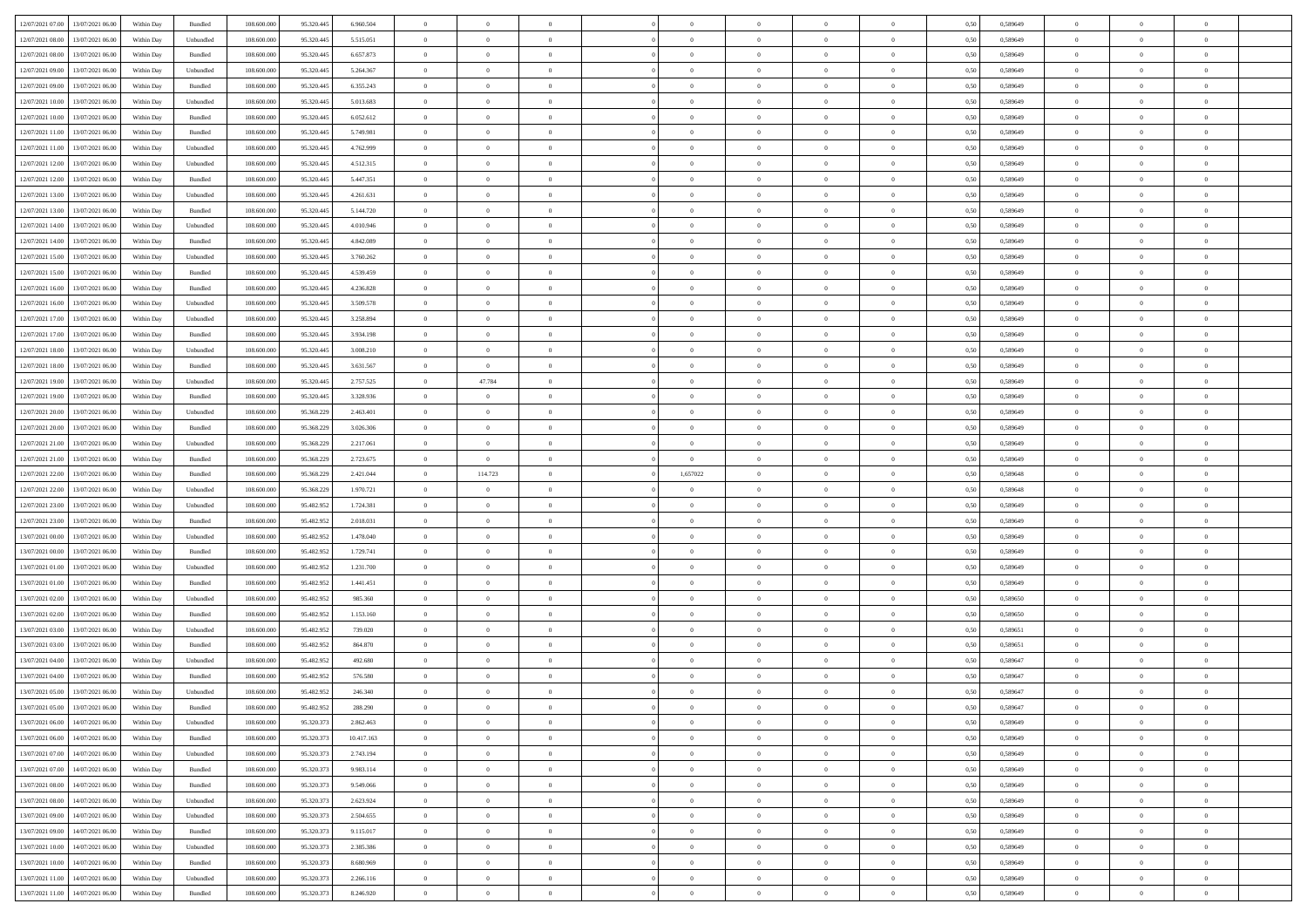|                                                  |            |                    |             |            |            | $\overline{0}$ | $\overline{0}$ |                | $\overline{0}$ | $\theta$       |                | $\theta$       |      |          | $\theta$       | $\theta$       | $\overline{0}$ |  |
|--------------------------------------------------|------------|--------------------|-------------|------------|------------|----------------|----------------|----------------|----------------|----------------|----------------|----------------|------|----------|----------------|----------------|----------------|--|
| 12/07/2021 07:00 13/07/2021 06:00                | Within Day | Bundled            | 108.600.000 | 95.320.445 | 6.960.504  |                |                |                |                |                |                |                | 0,50 | 0,589649 |                |                |                |  |
| 12/07/2021 08:00<br>13/07/2021 06:00             | Within Day | Unbundled          | 108.600.00  | 95.320.445 | 5.515.051  | $\bf{0}$       | $\bf{0}$       | $\bf{0}$       | $\bf{0}$       | $\overline{0}$ | $\bf{0}$       | $\bf{0}$       | 0,50 | 0,589649 | $\,$ 0 $\,$    | $\bf{0}$       | $\overline{0}$ |  |
| 12/07/2021 08:00<br>13/07/2021 06:00             | Within Day | Bundled            | 108,600,000 | 95.320.445 | 6.657.873  | $\overline{0}$ | $\bf{0}$       | $\overline{0}$ | $\bf{0}$       | $\bf{0}$       | $\overline{0}$ | $\bf{0}$       | 0.50 | 0.589649 | $\overline{0}$ | $\overline{0}$ | $\bf{0}$       |  |
| 12/07/2021 09:00<br>13/07/2021 06:00             |            |                    | 108.600.000 |            |            | $\overline{0}$ | $\overline{0}$ | $\overline{0}$ | $\overline{0}$ | $\theta$       | $\overline{0}$ |                |      |          | $\theta$       | $\theta$       | $\overline{0}$ |  |
|                                                  | Within Day | Unbundled          |             | 95.320.445 | 5.264.367  |                |                |                |                |                |                | $\bf{0}$       | 0,50 | 0,589649 |                |                |                |  |
| 12/07/2021 09:00<br>13/07/2021 06:00             | Within Day | Bundled            | 108.600.00  | 95.320.445 | 6.355.243  | $\bf{0}$       | $\overline{0}$ | $\bf{0}$       | $\overline{0}$ | $\bf{0}$       | $\overline{0}$ | $\bf{0}$       | 0,50 | 0,589649 | $\,$ 0 $\,$    | $\bf{0}$       | $\overline{0}$ |  |
| 12/07/2021 10:00<br>13/07/2021 06:00             | Within Day | Unbundled          | 108,600,000 | 95.320.44  | 5.013.683  | $\overline{0}$ | $\bf{0}$       | $\overline{0}$ | $\bf{0}$       | $\overline{0}$ | $\theta$       | $\bf{0}$       | 0.50 | 0.589649 | $\,$ 0 $\,$    | $\theta$       | $\overline{0}$ |  |
| 12/07/2021 10:00<br>13/07/2021 06:00             | Within Day | Bundled            | 108.600.000 | 95.320.445 | 6.052.612  | $\overline{0}$ | $\overline{0}$ | $\overline{0}$ | $\overline{0}$ | $\overline{0}$ | $\overline{0}$ | $\bf{0}$       | 0,50 | 0,589649 | $\theta$       | $\theta$       | $\overline{0}$ |  |
|                                                  |            |                    |             |            |            |                |                |                |                |                |                |                |      |          |                |                |                |  |
| 12/07/2021 11:00<br>13/07/2021 06:00             | Within Day | Bundled            | 108.600.00  | 95.320.445 | 5.749.981  | $\bf{0}$       | $\bf{0}$       | $\bf{0}$       | $\overline{0}$ | $\overline{0}$ | $\overline{0}$ | $\bf{0}$       | 0,50 | 0,589649 | $\,$ 0 $\,$    | $\bf{0}$       | $\overline{0}$ |  |
| 12/07/2021 11:00<br>13/07/2021 06:00             | Within Day | Unbundled          | 108,600,000 | 95.320.44  | 4.762.999  | $\overline{0}$ | $\bf{0}$       | $\overline{0}$ | $\bf{0}$       | $\overline{0}$ | $\overline{0}$ | $\bf{0}$       | 0.50 | 0.589649 | $\bf{0}$       | $\overline{0}$ | $\overline{0}$ |  |
| 12/07/2021 12:00<br>13/07/2021 06:00             | Within Day | Unbundled          | 108.600.000 | 95.320.445 | 4.512.315  | $\bf{0}$       | $\bf{0}$       | $\overline{0}$ | $\overline{0}$ | $\overline{0}$ | $\overline{0}$ | $\bf{0}$       | 0,50 | 0,589649 | $\,$ 0 $\,$    | $\bf{0}$       | $\overline{0}$ |  |
|                                                  |            |                    |             |            |            |                |                |                |                |                |                |                |      |          |                |                |                |  |
| 12/07/2021 12:00<br>13/07/2021 06:00             | Within Day | Bundled            | 108.600.00  | 95.320.445 | 5.447.351  | $\bf{0}$       | $\bf{0}$       | $\bf{0}$       | $\bf{0}$       | $\overline{0}$ | $\overline{0}$ | $\bf{0}$       | 0,50 | 0,589649 | $\,$ 0 $\,$    | $\bf{0}$       | $\overline{0}$ |  |
| 12/07/2021 13:00<br>13/07/2021 06:00             | Within Day | Unbundled          | 108,600,000 | 95.320.445 | 4.261.631  | $\overline{0}$ | $\bf{0}$       | $\overline{0}$ | $\overline{0}$ | $\overline{0}$ | $\overline{0}$ | $\bf{0}$       | 0.50 | 0.589649 | $\bf{0}$       | $\,$ 0 $\,$    | $\,$ 0         |  |
| 12/07/2021 13:00<br>13/07/2021 06:00             | Within Day | Bundled            | 108.600.000 | 95.320.445 | 5.144.720  | $\overline{0}$ | $\overline{0}$ | $\overline{0}$ | $\theta$       | $\theta$       | $\overline{0}$ | $\bf{0}$       | 0,50 | 0,589649 | $\,$ 0 $\,$    | $\theta$       | $\overline{0}$ |  |
| 12/07/2021 14:00<br>13/07/2021 06:00             | Within Day | Unbundled          | 108.600.00  | 95.320.445 | 4.010.946  | $\bf{0}$       | $\overline{0}$ | $\bf{0}$       | $\bf{0}$       | $\overline{0}$ | $\overline{0}$ | $\bf{0}$       | 0,50 | 0,589649 | $\,$ 0 $\,$    | $\bf{0}$       | $\overline{0}$ |  |
|                                                  |            |                    |             |            |            |                |                |                |                |                |                |                |      |          |                |                |                |  |
| 12/07/2021 14:00<br>13/07/2021 06:00             | Within Day | Bundled            | 108,600,000 | 95.320.445 | 4.842.089  | $\overline{0}$ | $\bf{0}$       | $\overline{0}$ | $\bf{0}$       | $\overline{0}$ | $\theta$       | $\bf{0}$       | 0.50 | 0.589649 | $\,$ 0 $\,$    | $\theta$       | $\overline{0}$ |  |
| 12/07/2021 15:00<br>13/07/2021 06:00             | Within Day | Unbundled          | 108.600.000 | 95.320.445 | 3.760.262  | $\overline{0}$ | $\overline{0}$ | $\overline{0}$ | $\overline{0}$ | $\overline{0}$ | $\overline{0}$ | $\bf{0}$       | 0,50 | 0,589649 | $\theta$       | $\theta$       | $\overline{0}$ |  |
| 12/07/2021 15:00<br>13/07/2021 06:00             | Within Day | Bundled            | 108.600.00  | 95.320.445 | 4.539.459  | $\bf{0}$       | $\bf{0}$       | $\bf{0}$       | $\overline{0}$ | $\overline{0}$ | $\overline{0}$ | $\bf{0}$       | 0,50 | 0,589649 | $\,$ 0 $\,$    | $\bf{0}$       | $\overline{0}$ |  |
| 12/07/2021 16:00<br>13/07/2021 06:00             | Within Day | Bundled            | 108,600,000 | 95.320.44  | 4.236.828  | $\overline{0}$ | $\bf{0}$       | $\overline{0}$ | $\bf{0}$       | $\bf{0}$       | $\overline{0}$ | $\bf{0}$       | 0.50 | 0.589649 | $\bf{0}$       | $\overline{0}$ | $\bf{0}$       |  |
|                                                  |            |                    |             |            |            |                |                |                |                |                |                |                |      |          |                |                |                |  |
| 12/07/2021 16:00<br>13/07/2021 06:00             | Within Day | Unbundled          | 108.600.000 | 95.320.445 | 3.509.578  | $\overline{0}$ | $\bf{0}$       | $\overline{0}$ | $\overline{0}$ | $\overline{0}$ | $\overline{0}$ | $\bf{0}$       | 0,50 | 0,589649 | $\,$ 0 $\,$    | $\bf{0}$       | $\overline{0}$ |  |
| 12/07/2021 17:00<br>13/07/2021 06:00             | Within Day | Unbundled          | 108.600.00  | 95.320.445 | 3.258.894  | $\bf{0}$       | $\bf{0}$       | $\bf{0}$       | $\bf{0}$       | $\overline{0}$ | $\overline{0}$ | $\bf{0}$       | 0,50 | 0,589649 | $\,$ 0 $\,$    | $\bf{0}$       | $\overline{0}$ |  |
| 12/07/2021 17:00<br>13/07/2021 06:00             | Within Day | Bundled            | 108,600,000 | 95.320.445 | 3.934.198  | $\overline{0}$ | $\bf{0}$       | $\overline{0}$ | $\overline{0}$ | $\bf{0}$       | $\overline{0}$ | $\bf{0}$       | 0.50 | 0.589649 | $\bf{0}$       | $\overline{0}$ | $\,$ 0         |  |
| 12/07/2021 18:00<br>13/07/2021 06:00             | Within Day | Unbundled          | 108.600.000 | 95.320.445 | 3.008.210  | $\overline{0}$ | $\overline{0}$ | $\overline{0}$ | $\theta$       | $\theta$       | $\overline{0}$ | $\bf{0}$       | 0,50 | 0,589649 | $\theta$       | $\theta$       | $\overline{0}$ |  |
|                                                  |            |                    |             |            |            |                |                |                |                |                |                |                |      |          |                |                |                |  |
| 12/07/2021 18:00<br>13/07/2021 06:00             | Within Day | Bundled            | 108.600.00  | 95.320.445 | 3.631.567  | $\bf{0}$       | $\overline{0}$ | $\bf{0}$       | $\bf{0}$       | $\overline{0}$ | $\overline{0}$ | $\bf{0}$       | 0,50 | 0,589649 | $\,$ 0 $\,$    | $\bf{0}$       | $\overline{0}$ |  |
| 12/07/2021 19:00<br>13/07/2021 06:00             | Within Day | Unbundled          | 108,600,000 | 95.320.44  | 2.757.525  | $\overline{0}$ | 47.784         | $\overline{0}$ | $\bf{0}$       | $\overline{0}$ | $\theta$       | $\bf{0}$       | 0.50 | 0.589649 | $\,$ 0 $\,$    | $\theta$       | $\overline{0}$ |  |
| 12/07/2021 19:00<br>13/07/2021 06:00             | Within Day | Bundled            | 108.600.000 | 95.320.445 | 3.328.936  | $\overline{0}$ | $\overline{0}$ | $\overline{0}$ | $\overline{0}$ | $\overline{0}$ | $\overline{0}$ | $\bf{0}$       | 0,50 | 0,589649 | $\,$ 0 $\,$    | $\theta$       | $\overline{0}$ |  |
| 12/07/2021 20:00<br>13/07/2021 06:00             | Within Day | Unbundled          | 108.600.00  | 95.368.229 | 2.463.401  | $\bf{0}$       | $\overline{0}$ | $\bf{0}$       | $\overline{0}$ | $\overline{0}$ | $\overline{0}$ | $\bf{0}$       | 0,50 | 0,589649 | $\,$ 0 $\,$    | $\bf{0}$       | $\overline{0}$ |  |
|                                                  |            |                    |             |            |            |                |                |                |                |                |                |                |      |          |                |                |                |  |
| 12/07/2021 20:00<br>13/07/2021 06:00             | Within Day | Bundled            | 108,600,000 | 95.368.229 | 3.026.306  | $\overline{0}$ | $\bf{0}$       | $\overline{0}$ | $\bf{0}$       | $\overline{0}$ | $\overline{0}$ | $\bf{0}$       | 0.50 | 0.589649 | $\bf{0}$       | $\overline{0}$ | $\overline{0}$ |  |
| 12/07/2021 21:00<br>13/07/2021 06:00             | Within Day | Unbundled          | 108.600.000 | 95.368.229 | 2.217.061  | $\overline{0}$ | $\bf{0}$       | $\overline{0}$ | $\overline{0}$ | $\overline{0}$ | $\overline{0}$ | $\bf{0}$       | 0,50 | 0,589649 | $\theta$       | $\theta$       | $\overline{0}$ |  |
| 12/07/2021 21:00<br>13/07/2021 06:00             | Within Day | Bundled            | 108.600.00  | 95.368.229 | 2.723.675  | $\bf{0}$       | $\bf{0}$       | $\bf{0}$       | $\overline{0}$ | $\overline{0}$ | $\overline{0}$ | $\bf{0}$       | 0,50 | 0,589649 | $\,$ 0 $\,$    | $\bf{0}$       | $\overline{0}$ |  |
| 12/07/2021 22:00<br>13/07/2021 06:00             |            | Bundled            | 108,600,000 |            |            |                | 114.723        | $\overline{0}$ | 1,657022       | $\bf{0}$       | $\overline{0}$ |                | 0.50 | 0.589648 | $\bf{0}$       | $\,$ 0 $\,$    | $\,$ 0         |  |
|                                                  | Within Day |                    |             | 95.368.229 | 2.421.044  | $\overline{0}$ |                |                |                |                |                | $\bf{0}$       |      |          |                |                |                |  |
| 12/07/2021 22:00<br>13/07/2021 06:00             | Within Day | Unbundled          | 108.600.000 | 95.368.229 | 1.970.721  | $\overline{0}$ | $\overline{0}$ | $\overline{0}$ | $\overline{0}$ | $\overline{0}$ | $\overline{0}$ | $\bf{0}$       | 0.50 | 0.589648 | $\theta$       | $\theta$       | $\overline{0}$ |  |
| 12/07/2021 23:00<br>13/07/2021 06:00             | Within Day | Unbundled          | 108.600.00  | 95.482.95  | 1.724.381  | $\bf{0}$       | $\overline{0}$ | $\bf{0}$       | $\bf{0}$       | $\overline{0}$ | $\overline{0}$ | $\bf{0}$       | 0,50 | 0,589649 | $\,$ 0 $\,$    | $\bf{0}$       | $\overline{0}$ |  |
| 12/07/2021 23:00<br>13/07/2021 06:00             | Within Day | Bundled            | 108,600,000 | 95.482.952 | 2.018.031  | $\overline{0}$ | $\bf{0}$       | $\overline{0}$ | $\bf{0}$       | $\overline{0}$ | $\overline{0}$ | $\bf{0}$       | 0.50 | 0.589649 | $\,$ 0 $\,$    | $\bf{0}$       | $\overline{0}$ |  |
| 13/07/2021 00:00<br>13/07/2021 06:00             | Within Dav | Unbundled          | 108.600.000 | 95.482.952 | 1.478.040  | $\overline{0}$ | $\overline{0}$ | $\overline{0}$ | $\overline{0}$ | $\overline{0}$ | $\overline{0}$ | $\bf{0}$       | 0.5( | 0.589649 | $\theta$       | $\theta$       | $\overline{0}$ |  |
|                                                  |            |                    |             |            |            |                |                |                |                |                |                |                |      |          |                |                |                |  |
| 13/07/2021 00:00<br>13/07/2021 06:00             | Within Day | Bundled            | 108.600.00  | 95.482.95  | 1.729.741  | $\bf{0}$       | $\bf{0}$       | $\bf{0}$       | $\bf{0}$       | $\overline{0}$ | $\overline{0}$ | $\bf{0}$       | 0,50 | 0,589649 | $\,$ 0 $\,$    | $\bf{0}$       | $\overline{0}$ |  |
| 13/07/2021 01:00<br>13/07/2021 06:00             | Within Day | Unbundled          | 108,600,000 | 95.482.952 | 1.231.700  | $\overline{0}$ | $\bf{0}$       | $\overline{0}$ | $\bf{0}$       | $\overline{0}$ | $\overline{0}$ | $\bf{0}$       | 0.50 | 0.589649 | $\bf{0}$       | $\overline{0}$ | $\bf{0}$       |  |
| 13/07/2021 01:00<br>13/07/2021 06:00             | Within Day | Bundled            | 108.600.000 | 95.482.952 | 1.441.451  | $\overline{0}$ | $\overline{0}$ | $\overline{0}$ | $\overline{0}$ | $\overline{0}$ | $\overline{0}$ | $\bf{0}$       | 0.50 | 0.589649 | $\theta$       | $\theta$       | $\overline{0}$ |  |
| 13/07/2021 06:00                                 | Within Day | Unbundled          | 108.600.00  | 95.482.95  | 985.360    | $\bf{0}$       | $\bf{0}$       | $\bf{0}$       | $\bf{0}$       | $\overline{0}$ | $\overline{0}$ | $\bf{0}$       | 0,50 | 0,589650 | $\,$ 0 $\,$    | $\bf{0}$       | $\overline{0}$ |  |
| 13/07/2021 02:00                                 |            |                    |             |            |            |                |                |                |                |                |                |                |      |          |                |                |                |  |
| 13/07/2021 02:00<br>13/07/2021 06:00             | Within Day | Bundled            | 108,600,000 | 95.482.952 | 1.153.160  | $\overline{0}$ | $\bf{0}$       | $\overline{0}$ | $\overline{0}$ | $\bf{0}$       | $\overline{0}$ | $\bf{0}$       | 0.50 | 0.589650 | $\,$ 0 $\,$    | $\overline{0}$ | $\,$ 0         |  |
| 13/07/2021 03:00<br>13/07/2021 06:00             | Within Dav | Unbundled          | 108.600.000 | 95.482.952 | 739,020    | $\overline{0}$ | $\overline{0}$ | $\overline{0}$ | $\overline{0}$ | $\overline{0}$ | $\overline{0}$ | $\bf{0}$       | 0.50 | 0.589651 | $\theta$       | $\theta$       | $\overline{0}$ |  |
| 13/07/2021 03:00<br>13/07/2021 06:00             | Within Day | Bundled            | 108.600.00  | 95.482.95  | 864.870    | $\bf{0}$       | $\bf{0}$       | $\bf{0}$       | $\bf{0}$       | $\overline{0}$ | $\overline{0}$ | $\bf{0}$       | 0,50 | 0,589651 | $\,$ 0 $\,$    | $\bf{0}$       | $\overline{0}$ |  |
| 13/07/2021 04:00<br>13/07/2021 06:00             | Within Day | Unbundled          | 108,600,000 | 95.482.95  | 492.680    | $\overline{0}$ | $\overline{0}$ | $\overline{0}$ | $\bf{0}$       | $\overline{0}$ | $\overline{0}$ | $\bf{0}$       | 0.50 | 0.589647 | $\bf{0}$       | $\theta$       | $\overline{0}$ |  |
|                                                  |            |                    |             |            |            |                |                |                |                |                |                |                |      |          |                |                |                |  |
| 13/07/2021 04:00<br>13/07/2021 06:00             | Within Dav | Bundled            | 108.600.000 | 95.482.952 | 576,580    | $\overline{0}$ | $\overline{0}$ | $\overline{0}$ | $\theta$       | $\theta$       | $\overline{0}$ | $\overline{0}$ | 0.5( | 0.589647 | $\theta$       | $\theta$       | $\overline{0}$ |  |
| 13/07/2021 05:00<br>13/07/2021 06:00             | Within Day | Unbundled          | 108.600.00  | 95.482.952 | 246.340    | $\bf{0}$       | $\bf{0}$       | $\bf{0}$       | $\bf{0}$       | $\bf{0}$       | $\overline{0}$ | $\bf{0}$       | 0,50 | 0,589647 | $\,$ 0 $\,$    | $\overline{0}$ | $\overline{0}$ |  |
| $13/07/2021\;05.00\quad \  \  13/07/2021\;06.00$ | Within Day | $\mathbf B$ undled | 108.600.000 | 95.482.952 | 288,290    | $\bf{0}$       | $\theta$       |                | $\overline{0}$ | $\bf{0}$       |                |                | 0,50 | 0.589647 | $\bf{0}$       | $\bf{0}$       |                |  |
| 13/07/2021 06:00 14/07/2021 06:00                | Within Day | Unbundled          | 108.600.000 | 95.320.373 | 2.862.463  | $\overline{0}$ | $\overline{0}$ | $\Omega$       | $\theta$       | $\overline{0}$ | $\overline{0}$ | $\bf{0}$       | 0,50 | 0,589649 | $\theta$       | $\overline{0}$ | $\overline{0}$ |  |
|                                                  |            |                    |             |            |            |                |                |                |                |                |                |                |      |          |                |                |                |  |
| 13/07/2021 06:00<br>14/07/2021 06.00             | Within Day | Bundled            | 108.600.00  | 95.320.37  | 10.417.163 | $\overline{0}$ | $\bf{0}$       | $\overline{0}$ | $\overline{0}$ | $\bf{0}$       | $\overline{0}$ | $\bf{0}$       | 0,50 | 0,589649 | $\bf{0}$       | $\overline{0}$ | $\bf{0}$       |  |
| 13/07/2021 07:00 14/07/2021 06:00                | Within Day | Unbundled          | 108,600,000 | 95.320.373 | 2.743.194  | $\overline{0}$ | $\bf{0}$       | $\overline{0}$ | $\overline{0}$ | $\mathbf{0}$   | $\overline{0}$ | $\,$ 0 $\,$    | 0.50 | 0.589649 | $\overline{0}$ | $\bf{0}$       | $\,$ 0 $\,$    |  |
| 13/07/2021 07:00 14/07/2021 06:00                | Within Dav | Bundled            | 108.600.000 | 95.320.373 | 9.983.114  | $\overline{0}$ | $\overline{0}$ | $\overline{0}$ | $\overline{0}$ | $\overline{0}$ | $\overline{0}$ | $\bf{0}$       | 0,50 | 0.589649 | $\overline{0}$ | $\theta$       | $\overline{0}$ |  |
| 13/07/2021 08:00<br>14/07/2021 06.00             | Within Day | Bundled            | 108.600.000 | 95.320.373 | 9.549.066  | $\overline{0}$ | $\bf{0}$       | $\overline{0}$ | $\overline{0}$ | $\bf{0}$       | $\overline{0}$ | $\bf{0}$       | 0,50 | 0,589649 | $\bf{0}$       | $\overline{0}$ | $\overline{0}$ |  |
|                                                  |            |                    |             |            |            |                |                |                |                |                |                |                |      |          |                |                |                |  |
| 13/07/2021 08:00<br>14/07/2021 06:00             | Within Day | Unbundled          | 108,600,000 | 95.320.37  | 2.623.924  | $\overline{0}$ | $\bf{0}$       | $\overline{0}$ | $\overline{0}$ | $\bf{0}$       | $\overline{0}$ | $\bf{0}$       | 0.50 | 0.589649 | $\,$ 0 $\,$    | $\overline{0}$ | $\,$ 0         |  |
| 13/07/2021 09:00<br>14/07/2021 06:00             | Within Dav | Unbundled          | 108.600.000 | 95.320.373 | 2.504.655  | $\overline{0}$ | $\overline{0}$ | $\overline{0}$ | $\overline{0}$ | $\overline{0}$ | $\overline{0}$ | $\bf{0}$       | 0,50 | 0.589649 | $\overline{0}$ | $\theta$       | $\overline{0}$ |  |
| 14/07/2021 06:00<br>13/07/2021 09:00             | Within Day | Bundled            | 108.600.00  | 95.320.37  | 9.115.017  | $\overline{0}$ | $\overline{0}$ | $\overline{0}$ | $\overline{0}$ | $\overline{0}$ | $\overline{0}$ | $\bf{0}$       | 0,50 | 0,589649 | $\bf{0}$       | $\overline{0}$ | $\,$ 0         |  |
| 13/07/2021 10:00<br>14/07/2021 06:00             |            | Unbundled          | 108,600,000 | 95.320.37  | 2.385.386  | $\overline{0}$ | $\overline{0}$ | $\overline{0}$ |                |                | $\overline{0}$ |                | 0.50 | 0.589649 | $\mathbf{0}$   | $\bf{0}$       | $\,$ 0         |  |
|                                                  | Within Day |                    |             |            |            |                |                |                | $\overline{0}$ | $\overline{0}$ |                | $\bf{0}$       |      |          |                |                |                |  |
| 13/07/2021 10:00 14/07/2021 06:00                | Within Dav | Bundled            | 108.600.000 | 95.320.373 | 8.680.969  | $\overline{0}$ | $\overline{0}$ | $\overline{0}$ | $\overline{0}$ | $\overline{0}$ | $\overline{0}$ | $\bf{0}$       | 0,50 | 0.589649 | $\overline{0}$ | $\theta$       | $\overline{0}$ |  |
| 13/07/2021 11:00<br>14/07/2021 06.00             | Within Day | Unbundled          | 108.600.00  | 95.320.37  | 2.266.116  | $\overline{0}$ | $\bf{0}$       | $\overline{0}$ | $\bf{0}$       | $\overline{0}$ | $\overline{0}$ | $\bf{0}$       | 0,50 | 0,589649 | $\bf{0}$       | $\,$ 0 $\,$    | $\bf{0}$       |  |
| 13/07/2021 11:00 14/07/2021 06:00                | Within Day | Bundled            | 108.600.000 | 95.320.373 | 8.246.920  | $\,$ 0 $\,$    | $\bf{0}$       | $\overline{0}$ | $\overline{0}$ | $\,$ 0 $\,$    | $\overline{0}$ | $\,$ 0 $\,$    | 0,50 | 0,589649 | $\overline{0}$ | $\,$ 0 $\,$    | $\,$ 0 $\,$    |  |
|                                                  |            |                    |             |            |            |                |                |                |                |                |                |                |      |          |                |                |                |  |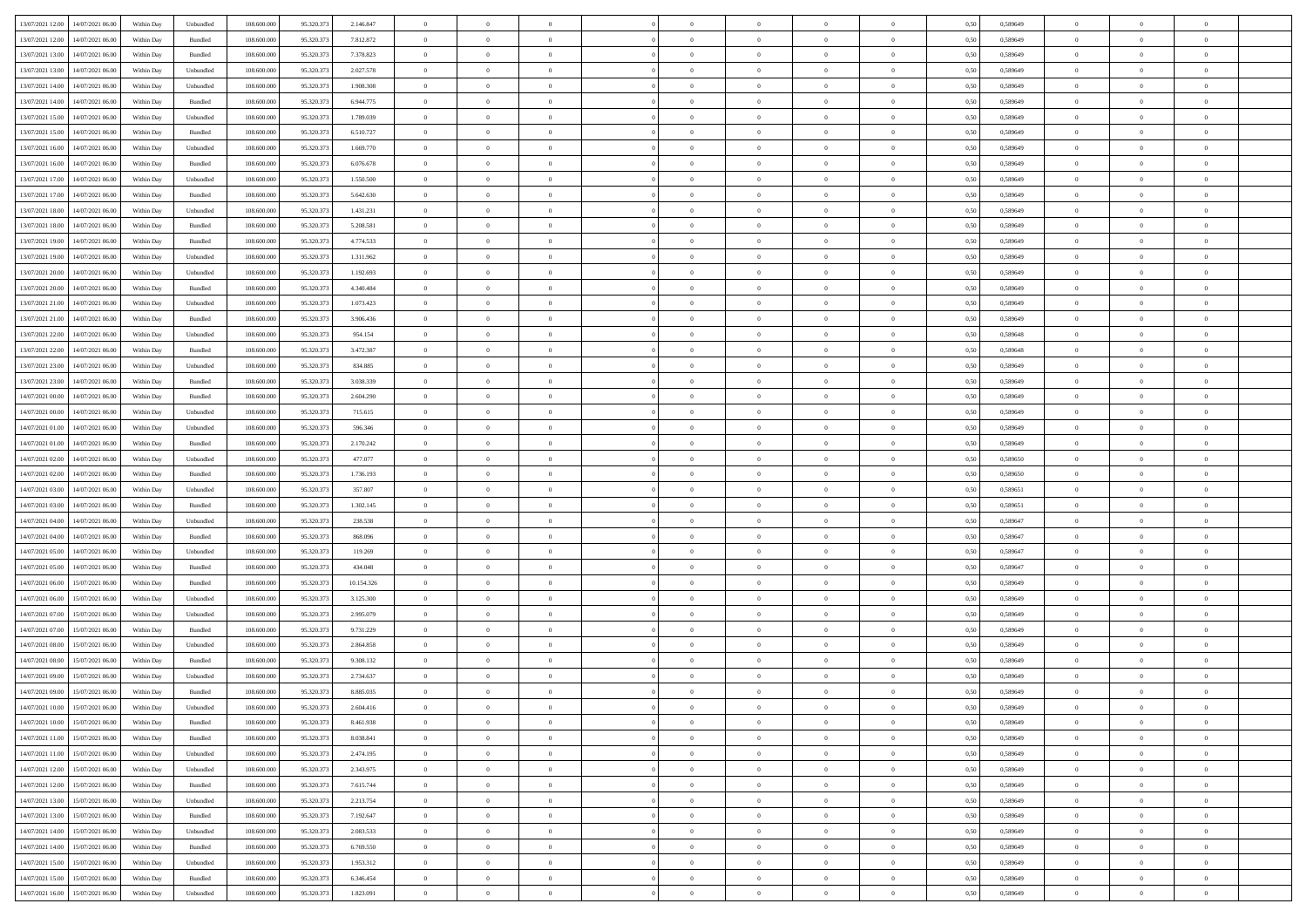|                                              |            |                             |             |            |            | $\overline{0}$ | $\overline{0}$ |                | $\overline{0}$ | $\theta$       |                | $\theta$       |      |          | $\theta$       | $\theta$       | $\overline{0}$ |  |
|----------------------------------------------|------------|-----------------------------|-------------|------------|------------|----------------|----------------|----------------|----------------|----------------|----------------|----------------|------|----------|----------------|----------------|----------------|--|
| 13/07/2021 12:00 14/07/2021 06:00            | Within Day | Unbundled                   | 108.600.000 | 95.320.373 | 2.146.847  |                |                |                |                |                |                |                | 0,50 | 0,589649 |                |                |                |  |
| 13/07/2021 12:00<br>14/07/2021 06.00         | Within Day | Bundled                     | 108.600.00  | 95.320.37  | 7.812.872  | $\bf{0}$       | $\bf{0}$       | $\bf{0}$       | $\bf{0}$       | $\overline{0}$ | $\overline{0}$ | $\bf{0}$       | 0,50 | 0,589649 | $\,$ 0 $\,$    | $\bf{0}$       | $\overline{0}$ |  |
| 13/07/2021 13:00<br>14/07/2021 06:00         | Within Day | Bundled                     | 108,600,000 | 95.320.373 | 7.378.823  | $\overline{0}$ | $\bf{0}$       | $\overline{0}$ | $\bf{0}$       | $\bf{0}$       | $\overline{0}$ | $\bf{0}$       | 0.50 | 0.589649 | $\bf{0}$       | $\overline{0}$ | $\overline{0}$ |  |
| 13/07/2021 13:00<br>14/07/2021 06:00         |            |                             | 108.600.000 |            |            | $\overline{0}$ | $\overline{0}$ | $\overline{0}$ | $\overline{0}$ | $\theta$       | $\overline{0}$ |                |      |          | $\,$ 0 $\,$    | $\,$ 0 $\,$    | $\overline{0}$ |  |
|                                              | Within Day | Unbundled                   |             | 95.320.373 | 2.027.578  |                |                |                |                |                |                | $\bf{0}$       | 0,50 | 0,589649 |                |                |                |  |
| 13/07/2021 14:00<br>14/07/2021 06:00         | Within Day | Unbundled                   | 108.600.00  | 95.320.37  | 1.908.308  | $\bf{0}$       | $\overline{0}$ | $\bf{0}$       | $\overline{0}$ | $\bf{0}$       | $\overline{0}$ | $\bf{0}$       | 0,50 | 0,589649 | $\,$ 0 $\,$    | $\bf{0}$       | $\overline{0}$ |  |
| 13/07/2021 14:00<br>14/07/2021 06:00         | Within Day | Bundled                     | 108,600,000 | 95.320.37  | 6.944.775  | $\overline{0}$ | $\bf{0}$       | $\overline{0}$ | $\bf{0}$       | $\overline{0}$ | $\overline{0}$ | $\bf{0}$       | 0.50 | 0.589649 | $\,$ 0 $\,$    | $\theta$       | $\overline{0}$ |  |
| 13/07/2021 15:00<br>14/07/2021 06:00         | Within Day | Unbundled                   | 108.600.000 | 95.320.373 | 1.789.039  | $\overline{0}$ | $\overline{0}$ | $\overline{0}$ | $\overline{0}$ | $\overline{0}$ | $\overline{0}$ | $\bf{0}$       | 0,50 | 0,589649 | $\,$ 0 $\,$    | $\theta$       | $\overline{0}$ |  |
|                                              |            |                             |             |            |            |                |                |                |                |                |                |                |      |          |                |                |                |  |
| 13/07/2021 15:00<br>14/07/2021 06.00         | Within Day | Bundled                     | 108.600.00  | 95.320.37  | 6.510.727  | $\bf{0}$       | $\bf{0}$       | $\bf{0}$       | $\bf{0}$       | $\overline{0}$ | $\overline{0}$ | $\bf{0}$       | 0,50 | 0,589649 | $\,$ 0 $\,$    | $\bf{0}$       | $\overline{0}$ |  |
| 13/07/2021 16:00<br>14/07/2021 06:00         | Within Day | Unbundled                   | 108,600,000 | 95.320.37  | 1.669.770  | $\overline{0}$ | $\bf{0}$       | $\overline{0}$ | $\bf{0}$       | $\overline{0}$ | $\overline{0}$ | $\bf{0}$       | 0.50 | 0.589649 | $\bf{0}$       | $\overline{0}$ | $\overline{0}$ |  |
| 13/07/2021 16:00<br>14/07/2021 06:00         | Within Day | Bundled                     | 108.600.000 | 95.320.373 | 6.076.678  | $\bf{0}$       | $\bf{0}$       | $\overline{0}$ | $\overline{0}$ | $\overline{0}$ | $\overline{0}$ | $\bf{0}$       | 0,50 | 0,589649 | $\,$ 0 $\,$    | $\,$ 0 $\,$    | $\overline{0}$ |  |
|                                              |            |                             |             |            |            |                |                |                |                |                |                |                |      |          |                |                |                |  |
| 13/07/2021 17:00<br>14/07/2021 06.00         | Within Day | Unbundled                   | 108.600.00  | 95.320.37  | 1.550.500  | $\bf{0}$       | $\bf{0}$       | $\bf{0}$       | $\bf{0}$       | $\overline{0}$ | $\overline{0}$ | $\bf{0}$       | 0,50 | 0,589649 | $\,$ 0 $\,$    | $\bf{0}$       | $\overline{0}$ |  |
| 13/07/2021 17:00<br>14/07/2021 06:00         | Within Day | Bundled                     | 108,600,000 | 95.320.37  | 5.642.630  | $\overline{0}$ | $\bf{0}$       | $\overline{0}$ | $\overline{0}$ | $\overline{0}$ | $\overline{0}$ | $\bf{0}$       | 0.50 | 0.589649 | $\bf{0}$       | $\,$ 0 $\,$    | $\,$ 0         |  |
| 13/07/2021 18:00<br>14/07/2021 06:00         | Within Day | Unbundled                   | 108.600.000 | 95.320.37  | 1.431.231  | $\overline{0}$ | $\bf{0}$       | $\overline{0}$ | $\theta$       | $\theta$       | $\overline{0}$ | $\bf{0}$       | 0,50 | 0,589649 | $\,$ 0 $\,$    | $\,$ 0 $\,$    | $\overline{0}$ |  |
| 13/07/2021 18:00<br>14/07/2021 06.00         | Within Day | Bundled                     | 108.600.00  | 95.320.37  | 5.208.581  | $\bf{0}$       | $\bf{0}$       | $\bf{0}$       | $\bf{0}$       | $\bf{0}$       | $\overline{0}$ | $\bf{0}$       | 0,50 | 0,589649 | $\,$ 0 $\,$    | $\bf{0}$       | $\overline{0}$ |  |
|                                              |            |                             |             |            |            |                |                |                |                |                |                |                |      |          |                |                |                |  |
| 13/07/2021 19:00<br>14/07/2021 06:00         | Within Day | Bundled                     | 108,600,000 | 95.320.37  | 4.774.533  | $\overline{0}$ | $\bf{0}$       | $\overline{0}$ | $\bf{0}$       | $\overline{0}$ | $\theta$       | $\bf{0}$       | 0.50 | 0.589649 | $\,$ 0 $\,$    | $\theta$       | $\overline{0}$ |  |
| 13/07/2021 19:00<br>14/07/2021 06:00         | Within Day | Unbundled                   | 108.600.000 | 95.320.373 | 1.311.962  | $\overline{0}$ | $\bf{0}$       | $\overline{0}$ | $\overline{0}$ | $\overline{0}$ | $\overline{0}$ | $\bf{0}$       | 0,50 | 0,589649 | $\theta$       | $\theta$       | $\overline{0}$ |  |
| 13/07/2021 20:00<br>14/07/2021 06.00         | Within Day | Unbundled                   | 108.600.00  | 95.320.37  | 1.192.693  | $\bf{0}$       | $\bf{0}$       | $\bf{0}$       | $\overline{0}$ | $\overline{0}$ | $\overline{0}$ | $\bf{0}$       | 0,50 | 0,589649 | $\,$ 0 $\,$    | $\bf{0}$       | $\overline{0}$ |  |
|                                              |            |                             |             |            |            |                |                |                |                |                |                |                |      |          |                |                |                |  |
| 13/07/2021 20:00<br>14/07/2021 06:00         | Within Day | Bundled                     | 108,600,000 | 95.320.37  | 4.340.484  | $\overline{0}$ | $\bf{0}$       | $\overline{0}$ | $\bf{0}$       | $\bf{0}$       | $\overline{0}$ | $\bf{0}$       | 0.50 | 0.589649 | $\bf{0}$       | $\overline{0}$ | $\bf{0}$       |  |
| 13/07/2021 21:00<br>14/07/2021 06:00         | Within Day | Unbundled                   | 108.600.000 | 95.320.373 | 1.073.423  | $\bf{0}$       | $\bf{0}$       | $\overline{0}$ | $\overline{0}$ | $\overline{0}$ | $\overline{0}$ | $\bf{0}$       | 0,50 | 0,589649 | $\,$ 0 $\,$    | $\bf{0}$       | $\overline{0}$ |  |
| 13/07/2021 21:00<br>14/07/2021 06.00         | Within Day | Bundled                     | 108.600.00  | 95.320.37  | 3.906.436  | $\bf{0}$       | $\bf{0}$       | $\bf{0}$       | $\bf{0}$       | $\overline{0}$ | $\overline{0}$ | $\bf{0}$       | 0,50 | 0,589649 | $\,$ 0 $\,$    | $\bf{0}$       | $\overline{0}$ |  |
| 13/07/2021 22:00<br>14/07/2021 06:00         | Within Day | Unbundled                   | 108,600,000 | 95.320.373 | 954.154    | $\overline{0}$ | $\bf{0}$       | $\overline{0}$ | $\overline{0}$ | $\bf{0}$       | $\overline{0}$ | $\bf{0}$       | 0.50 | 0.589648 | $\bf{0}$       | $\overline{0}$ | $\,$ 0         |  |
|                                              |            |                             |             |            |            | $\overline{0}$ | $\overline{0}$ | $\overline{0}$ | $\overline{0}$ | $\theta$       | $\overline{0}$ |                |      |          | $\theta$       | $\theta$       |                |  |
| 13/07/2021 22:00<br>14/07/2021 06:00         | Within Day | Bundled                     | 108.600.000 | 95.320.373 | 3.472.387  |                |                |                |                |                |                | $\bf{0}$       | 0,50 | 0,589648 |                |                | $\overline{0}$ |  |
| 13/07/2021 23:00<br>14/07/2021 06.00         | Within Day | Unbundled                   | 108.600.00  | 95.320.37  | 834.885    | $\bf{0}$       | $\bf{0}$       | $\bf{0}$       | $\bf{0}$       | $\overline{0}$ | $\overline{0}$ | $\bf{0}$       | 0,50 | 0,589649 | $\,$ 0 $\,$    | $\bf{0}$       | $\overline{0}$ |  |
| 13/07/2021 23:00<br>14/07/2021 06:00         | Within Day | Bundled                     | 108,600,000 | 95.320.37  | 3.038.339  | $\overline{0}$ | $\bf{0}$       | $\overline{0}$ | $\bf{0}$       | $\overline{0}$ | $\theta$       | $\bf{0}$       | 0.50 | 0.589649 | $\,$ 0 $\,$    | $\theta$       | $\overline{0}$ |  |
| 14/07/2021 00:00<br>14/07/2021 06:00         | Within Day | Bundled                     | 108.600.000 | 95.320.373 | 2.604.290  | $\overline{0}$ | $\overline{0}$ | $\overline{0}$ | $\overline{0}$ | $\overline{0}$ | $\overline{0}$ | $\bf{0}$       | 0,50 | 0,589649 | $\,$ 0 $\,$    | $\theta$       | $\overline{0}$ |  |
|                                              |            |                             |             |            |            |                |                |                |                |                | $\overline{0}$ |                |      |          |                |                |                |  |
| 14/07/2021 00:00<br>14/07/2021 06.00         | Within Day | Unbundled                   | 108.600.00  | 95.320.37  | 715.615    | $\bf{0}$       | $\overline{0}$ | $\bf{0}$       | $\overline{0}$ | $\overline{0}$ |                | $\bf{0}$       | 0,50 | 0,589649 | $\,$ 0 $\,$    | $\bf{0}$       | $\overline{0}$ |  |
| 14/07/2021 01:00<br>14/07/2021 06:00         | Within Day | Unbundled                   | 108,600,000 | 95.320.37  | 596,346    | $\overline{0}$ | $\bf{0}$       | $\overline{0}$ | $\bf{0}$       | $\overline{0}$ | $\overline{0}$ | $\bf{0}$       | 0.50 | 0.589649 | $\bf{0}$       | $\overline{0}$ | $\overline{0}$ |  |
| 14/07/2021 01:00<br>14/07/2021 06:00         | Within Day | Bundled                     | 108.600.000 | 95.320.373 | 2.170.242  | $\overline{0}$ | $\bf{0}$       | $\overline{0}$ | $\overline{0}$ | $\overline{0}$ | $\overline{0}$ | $\bf{0}$       | 0,50 | 0,589649 | $\theta$       | $\bf{0}$       | $\overline{0}$ |  |
| 14/07/2021 02:00<br>14/07/2021 06:00         | Within Day | Unbundled                   | 108.600.00  | 95.320.37  | 477.077    | $\bf{0}$       | $\bf{0}$       | $\bf{0}$       | $\bf{0}$       | $\overline{0}$ | $\bf{0}$       | $\bf{0}$       | 0,50 | 0,589650 | $\,$ 0 $\,$    | $\bf{0}$       | $\overline{0}$ |  |
| 14/07/2021 06:00                             |            | Bundled                     | 108,600,000 |            |            |                |                |                |                |                | $\overline{0}$ |                |      |          |                | $\,$ 0 $\,$    | $\,$ 0         |  |
| 14/07/2021 02:00                             | Within Day |                             |             | 95.320.373 | 1.736.193  | $\overline{0}$ | $\bf{0}$       | $\overline{0}$ | $\overline{0}$ | $\bf{0}$       |                | $\bf{0}$       | 0.50 | 0.589650 | $\bf{0}$       |                |                |  |
| 14/07/2021 03:00<br>14/07/2021 06:00         | Within Day | Unbundled                   | 108.600.000 | 95.320.37  | 357.807    | $\overline{0}$ | $\overline{0}$ | $\overline{0}$ | $\overline{0}$ | $\overline{0}$ | $\overline{0}$ | $\bf{0}$       | 0.50 | 0.589651 | $\theta$       | $\theta$       | $\overline{0}$ |  |
| 14/07/2021 03:00<br>14/07/2021 06:00         | Within Day | Bundled                     | 108.600.00  | 95.320.37  | 1.302.145  | $\bf{0}$       | $\bf{0}$       | $\bf{0}$       | $\bf{0}$       | $\overline{0}$ | $\overline{0}$ | $\bf{0}$       | 0,50 | 0,589651 | $\,$ 0 $\,$    | $\bf{0}$       | $\overline{0}$ |  |
| 14/07/2021 04:00<br>14/07/2021 06:00         | Within Day | Unbundled                   | 108,600,000 | 95.320.37  | 238,538    | $\overline{0}$ | $\bf{0}$       | $\overline{0}$ | $\bf{0}$       | $\overline{0}$ | $\overline{0}$ | $\bf{0}$       | 0.50 | 0.589647 | $\,$ 0 $\,$    | $\bf{0}$       | $\overline{0}$ |  |
| 14/07/2021 04:00<br>14/07/2021 06:00         | Within Dav | Bundled                     | 108.600.000 | 95.320.373 | 868,096    | $\overline{0}$ | $\overline{0}$ | $\overline{0}$ | $\overline{0}$ | $\overline{0}$ | $\overline{0}$ | $\bf{0}$       | 0.50 | 0.589647 | $\theta$       | $\theta$       | $\overline{0}$ |  |
|                                              |            |                             |             |            |            |                |                |                |                |                |                |                |      |          |                |                |                |  |
| 14/07/2021 05:00<br>14/07/2021 06.00         | Within Day | Unbundled                   | 108.600.00  | 95.320.37  | 119.269    | $\bf{0}$       | $\bf{0}$       | $\bf{0}$       | $\bf{0}$       | $\overline{0}$ | $\overline{0}$ | $\bf{0}$       | 0,50 | 0,589647 | $\,$ 0 $\,$    | $\bf{0}$       | $\overline{0}$ |  |
| 14/07/2021 05:00<br>14/07/2021 06:00         | Within Day | Bundled                     | 108,600,000 | 95.320.37  | 434,048    | $\overline{0}$ | $\bf{0}$       | $\overline{0}$ | $\bf{0}$       | $\overline{0}$ | $\overline{0}$ | $\bf{0}$       | 0.50 | 0.589647 | $\bf{0}$       | $\overline{0}$ | $\overline{0}$ |  |
| 14/07/2021 06:00<br>15/07/2021 06:00         | Within Day | Bundled                     | 108.600.000 | 95.320.37  | 10.154.326 | $\overline{0}$ | $\overline{0}$ | $\overline{0}$ | $\overline{0}$ | $\overline{0}$ | $\overline{0}$ | $\bf{0}$       | 0.50 | 0.589649 | $\theta$       | $\theta$       | $\overline{0}$ |  |
| 15/07/2021 06:00                             | Within Day | Unbundled                   | 108.600.00  | 95.320.37  | 3.125.300  | $\bf{0}$       | $\bf{0}$       | $\bf{0}$       | $\bf{0}$       | $\overline{0}$ | $\bf{0}$       | $\bf{0}$       | 0,50 | 0,589649 | $\,$ 0 $\,$    | $\bf{0}$       | $\overline{0}$ |  |
| 14/07/2021 06:00                             |            |                             |             |            |            |                |                |                |                |                |                |                |      |          |                |                |                |  |
| 14/07/2021 07:00<br>15/07/2021 06:00         | Within Day | Unbundled                   | 108,600,000 | 95.320.37  | 2.995.079  | $\overline{0}$ | $\bf{0}$       | $\overline{0}$ | $\overline{0}$ | $\bf{0}$       | $\overline{0}$ | $\bf{0}$       | 0.50 | 0.589649 | $\bf{0}$       | $\overline{0}$ | $\,$ 0         |  |
| 14/07/2021 07:00<br>15/07/2021 06:00         | Within Day | Bundled                     | 108.600.000 | 95.320.373 | 9.731.229  | $\overline{0}$ | $\overline{0}$ | $\overline{0}$ | $\overline{0}$ | $\overline{0}$ | $\overline{0}$ | $\bf{0}$       | 0.50 | 0.589649 | $\theta$       | $\theta$       | $\overline{0}$ |  |
| 14/07/2021 08:00<br>15/07/2021 06:00         | Within Day | Unbundled                   | 108.600.00  | 95.320.37  | 2.864.858  | $\bf{0}$       | $\bf{0}$       | $\bf{0}$       | $\bf{0}$       | $\overline{0}$ | $\overline{0}$ | $\bf{0}$       | 0,50 | 0,589649 | $\,$ 0 $\,$    | $\bf{0}$       | $\overline{0}$ |  |
| 14/07/2021 08:00<br>15/07/2021 06:00         |            | Bundled                     | 108,600,000 | 95.320.37  | 9.308.132  | $\overline{0}$ | $\bf{0}$       | $\overline{0}$ | $\bf{0}$       | $\overline{0}$ | $\overline{0}$ | $\bf{0}$       | 0.50 | 0.589649 | $\bf{0}$       | $\theta$       | $\overline{0}$ |  |
|                                              | Within Day |                             |             |            |            |                |                |                |                |                |                |                |      |          |                |                |                |  |
| 14/07/2021 09:00<br>15/07/2021 06:00         | Within Day | Unbundled                   | 108.600.000 | 95.320.37  | 2.734.637  | $\overline{0}$ | $\overline{0}$ | $\overline{0}$ | $\overline{0}$ | $\theta$       | $\overline{0}$ | $\overline{0}$ | 0.5( | 0.589649 | $\theta$       | $\theta$       | $\overline{0}$ |  |
| 14/07/2021 09:00<br>15/07/2021 06:00         | Within Day | Bundled                     | 108.600.000 | 95.320.37  | 8.885.035  | $\bf{0}$       | $\bf{0}$       | $\bf{0}$       | $\bf{0}$       | $\bf{0}$       | $\overline{0}$ | $\bf{0}$       | 0,50 | 0,589649 | $\,$ 0 $\,$    | $\overline{0}$ | $\overline{0}$ |  |
| $14/07/2021\ 10.00 \qquad 15/07/2021\ 06.00$ | Within Day | $\ensuremath{\mathsf{Unb}}$ | 108.600.000 | 95.320.373 | 2.604.416  | $\bf{0}$       | $\theta$       |                | $\overline{0}$ | $\bf{0}$       |                |                | 0,50 | 0.589649 | $\bf{0}$       | $\bf{0}$       |                |  |
| 14/07/2021 10:00 15/07/2021 06:00            | Within Day | Bundled                     | 108.600.000 | 95.320.373 | 8.461.938  | $\overline{0}$ | $\overline{0}$ | $\Omega$       | $\theta$       | $\overline{0}$ | $\overline{0}$ | $\bf{0}$       | 0,50 | 0,589649 | $\theta$       | $\overline{0}$ | $\overline{0}$ |  |
|                                              |            |                             |             |            |            |                |                |                |                |                |                |                |      |          |                |                |                |  |
| 14/07/2021 11:00<br>15/07/2021 06:00         | Within Day | Bundled                     | 108.600.00  | 95.320.37  | 8.038.841  | $\overline{0}$ | $\bf{0}$       | $\overline{0}$ | $\overline{0}$ | $\bf{0}$       | $\overline{0}$ | $\bf{0}$       | 0,50 | 0,589649 | $\bf{0}$       | $\overline{0}$ | $\bf{0}$       |  |
| 14/07/2021 11:00 15/07/2021 06:00            | Within Day | Unbundled                   | 108,600,000 | 95.320.37  | 2.474.195  | $\overline{0}$ | $\bf{0}$       | $\overline{0}$ | $\overline{0}$ | $\mathbf{0}$   | $\overline{0}$ | $\,$ 0 $\,$    | 0.50 | 0.589649 | $\overline{0}$ | $\bf{0}$       | $\overline{0}$ |  |
| 14/07/2021 12:00 15/07/2021 06:00            | Within Dav | Unbundled                   | 108.600.000 | 95.320.373 | 2.343.975  | $\overline{0}$ | $\overline{0}$ | $\overline{0}$ | $\overline{0}$ | $\overline{0}$ | $\overline{0}$ | $\bf{0}$       | 0,50 | 0.589649 | $\overline{0}$ | $\theta$       | $\overline{0}$ |  |
| 14/07/2021 12:00<br>15/07/2021 06:00         | Within Day | Bundled                     | 108.600.000 | 95.320.373 | 7.615.744  | $\overline{0}$ | $\bf{0}$       | $\overline{0}$ | $\overline{0}$ | $\bf{0}$       | $\overline{0}$ | $\bf{0}$       | 0,50 | 0,589649 | $\bf{0}$       | $\overline{0}$ | $\overline{0}$ |  |
|                                              |            |                             |             |            |            |                |                |                |                |                |                |                |      |          |                |                |                |  |
| 14/07/2021 13:00<br>15/07/2021 06:00         | Within Day | Unbundled                   | 108,600,000 | 95.320.37  | 2.213.754  | $\overline{0}$ | $\bf{0}$       | $\overline{0}$ | $\overline{0}$ | $\bf{0}$       | $\overline{0}$ | $\bf{0}$       | 0.50 | 0.589649 | $\,$ 0 $\,$    | $\overline{0}$ | $\,$ 0         |  |
| 14/07/2021 13:00<br>15/07/2021 06:00         | Within Dav | Bundled                     | 108.600.000 | 95.320.373 | 7.192.647  | $\overline{0}$ | $\overline{0}$ | $\overline{0}$ | $\overline{0}$ | $\overline{0}$ | $\overline{0}$ | $\bf{0}$       | 0,50 | 0.589649 | $\overline{0}$ | $\theta$       | $\overline{0}$ |  |
| 15/07/2021 06:00<br>14/07/2021 14:00         | Within Day | Unbundled                   | 108.600.00  | 95.320.37  | 2.083.533  | $\overline{0}$ | $\overline{0}$ | $\overline{0}$ | $\overline{0}$ | $\overline{0}$ | $\overline{0}$ | $\bf{0}$       | 0,50 | 0,589649 | $\bf{0}$       | $\overline{0}$ | $\,$ 0         |  |
|                                              |            | Bundled                     | 108,600,000 | 95.320.37  | 6.769.550  |                | $\overline{0}$ |                |                |                | $\overline{0}$ |                | 0.50 |          |                |                | $\,$ 0         |  |
| 14/07/2021 14:00<br>15/07/2021 06:00         | Within Day |                             |             |            |            | $\overline{0}$ |                | $\overline{0}$ | $\overline{0}$ | $\overline{0}$ |                | $\bf{0}$       |      | 0.589649 | $\mathbf{0}$   | $\bf{0}$       |                |  |
| 14/07/2021 15:00 15/07/2021 06:00            | Within Dav | Unbundled                   | 108.600.000 | 95.320.373 | 1.953.312  | $\overline{0}$ | $\overline{0}$ | $\overline{0}$ | $\overline{0}$ | $\overline{0}$ | $\overline{0}$ | $\bf{0}$       | 0,50 | 0.589649 | $\overline{0}$ | $\theta$       | $\overline{0}$ |  |
| 14/07/2021 15:00<br>15/07/2021 06:00         | Within Day | Bundled                     | 108.600.00  | 95.320.37  | 6.346.454  | $\overline{0}$ | $\bf{0}$       | $\overline{0}$ | $\overline{0}$ | $\overline{0}$ | $\overline{0}$ | $\bf{0}$       | 0,50 | 0,589649 | $\bf{0}$       | $\,$ 0 $\,$    | $\bf{0}$       |  |
| 14/07/2021 16:00 15/07/2021 06:00            | Within Day | ${\sf Unbundred}$           | 108.600.000 | 95.320.373 | 1.823.091  | $\,$ 0 $\,$    | $\bf{0}$       | $\overline{0}$ | $\overline{0}$ | $\,$ 0 $\,$    | $\overline{0}$ | $\bf{0}$       | 0,50 | 0,589649 | $\overline{0}$ | $\,$ 0 $\,$    | $\,$ 0 $\,$    |  |
|                                              |            |                             |             |            |            |                |                |                |                |                |                |                |      |          |                |                |                |  |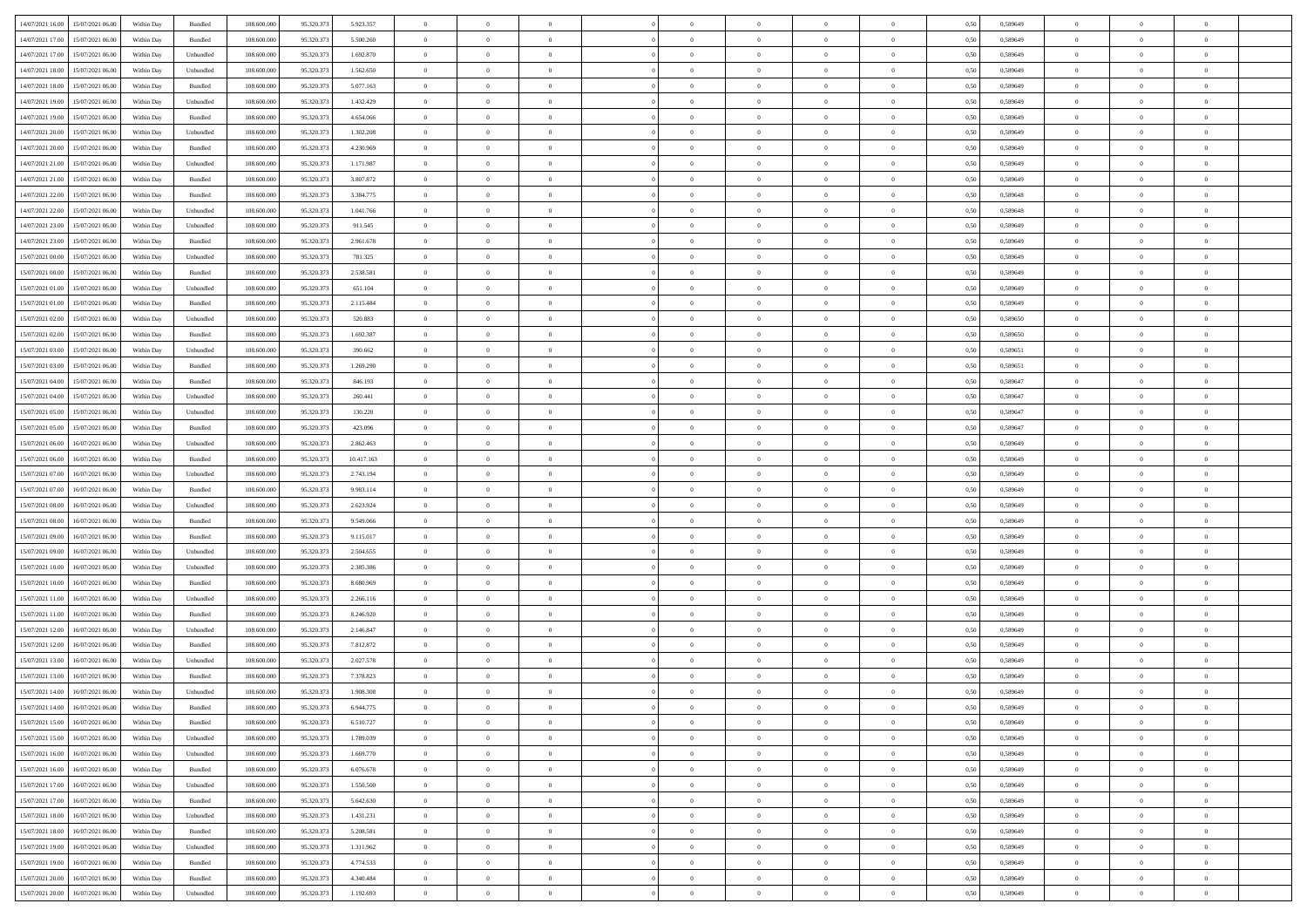|                                              |            |                   |             |            |            | $\overline{0}$ | $\overline{0}$ |                | $\overline{0}$ | $\theta$       |                | $\theta$       |      |          | $\theta$       | $\theta$       | $\overline{0}$ |  |
|----------------------------------------------|------------|-------------------|-------------|------------|------------|----------------|----------------|----------------|----------------|----------------|----------------|----------------|------|----------|----------------|----------------|----------------|--|
| 14/07/2021 16:00 15/07/2021 06:00            | Within Day | Bundled           | 108.600.000 | 95.320.373 | 5.923.357  |                |                |                |                |                |                |                | 0,50 | 0,589649 |                |                |                |  |
| 14/07/2021 17:00<br>15/07/2021 06:00         | Within Day | Bundled           | 108.600.00  | 95.320.37  | 5.500.260  | $\bf{0}$       | $\bf{0}$       | $\bf{0}$       | $\bf{0}$       | $\overline{0}$ | $\overline{0}$ | $\bf{0}$       | 0,50 | 0,589649 | $\,$ 0 $\,$    | $\bf{0}$       | $\overline{0}$ |  |
| 14/07/2021 17:00<br>15/07/2021 06:00         | Within Day | Unbundled         | 108,600,000 | 95.320.373 | 1.692.870  | $\overline{0}$ | $\bf{0}$       | $\overline{0}$ | $\bf{0}$       | $\bf{0}$       | $\overline{0}$ | $\bf{0}$       | 0.50 | 0.589649 | $\bf{0}$       | $\overline{0}$ | $\bf{0}$       |  |
| 14/07/2021 18:00<br>15/07/2021 06:00         | Within Day | Unbundled         | 108.600.000 | 95.320.373 | 1.562.650  | $\overline{0}$ | $\overline{0}$ | $\overline{0}$ | $\theta$       | $\theta$       | $\overline{0}$ | $\bf{0}$       | 0,50 | 0,589649 | $\theta$       | $\theta$       | $\overline{0}$ |  |
|                                              |            |                   |             |            |            |                |                |                |                |                |                |                |      |          |                |                |                |  |
| 14/07/2021 18:00<br>15/07/2021 06:00         | Within Day | Bundled           | 108.600.00  | 95.320.37  | 5.077.163  | $\bf{0}$       | $\overline{0}$ | $\bf{0}$       | $\overline{0}$ | $\theta$       | $\overline{0}$ | $\bf{0}$       | 0,50 | 0,589649 | $\,$ 0 $\,$    | $\bf{0}$       | $\overline{0}$ |  |
| 14/07/2021 19:00<br>15/07/2021 06:00         | Within Day | Unbundled         | 108,600,000 | 95.320.37  | 1.432.429  | $\overline{0}$ | $\overline{0}$ | $\overline{0}$ | $\bf{0}$       | $\overline{0}$ | $\theta$       | $\bf{0}$       | 0.50 | 0.589649 | $\,$ 0 $\,$    | $\theta$       | $\overline{0}$ |  |
| 14/07/2021 19:00<br>15/07/2021 06:00         | Within Day | Bundled           | 108.600.000 | 95.320.373 | 4.654.066  | $\overline{0}$ | $\overline{0}$ | $\overline{0}$ | $\overline{0}$ | $\overline{0}$ | $\overline{0}$ | $\bf{0}$       | 0,50 | 0,589649 | $\theta$       | $\theta$       | $\overline{0}$ |  |
|                                              |            |                   |             |            |            |                |                |                |                |                |                |                |      |          |                |                |                |  |
| 14/07/2021 20:00<br>15/07/2021 06:00         | Within Day | Unbundled         | 108.600.00  | 95.320.37  | 1.302.208  | $\bf{0}$       | $\bf{0}$       | $\bf{0}$       | $\overline{0}$ | $\overline{0}$ | $\overline{0}$ | $\bf{0}$       | 0,50 | 0,589649 | $\,$ 0 $\,$    | $\bf{0}$       | $\overline{0}$ |  |
| 14/07/2021 20:00<br>15/07/2021 06:00         | Within Day | Bundled           | 108,600,000 | 95.320.37  | 4.230.969  | $\overline{0}$ | $\bf{0}$       | $\overline{0}$ | $\bf{0}$       | $\overline{0}$ | $\overline{0}$ | $\bf{0}$       | 0.50 | 0.589649 | $\bf{0}$       | $\overline{0}$ | $\overline{0}$ |  |
| 14/07/2021 21:00<br>15/07/2021 06:00         | Within Day | Unbundled         | 108.600.000 | 95.320.373 | 1.171.987  | $\bf{0}$       | $\bf{0}$       | $\overline{0}$ | $\overline{0}$ | $\overline{0}$ | $\overline{0}$ | $\bf{0}$       | 0,50 | 0,589649 | $\,$ 0 $\,$    | $\bf{0}$       | $\overline{0}$ |  |
| 14/07/2021 21:00<br>15/07/2021 06:00         | Within Day | Bundled           | 108.600.00  | 95.320.37  | 3.807.872  | $\bf{0}$       | $\overline{0}$ | $\bf{0}$       | $\bf{0}$       | $\overline{0}$ | $\overline{0}$ | $\bf{0}$       | 0,50 | 0,589649 | $\,$ 0 $\,$    | $\bf{0}$       | $\overline{0}$ |  |
| 15/07/2021 06:00                             |            | Bundled           | 108,600,000 | 95.320.37  |            |                |                |                |                |                | $\overline{0}$ |                |      |          |                |                | $\,$ 0         |  |
| 14/07/2021 22:00                             | Within Day |                   |             |            | 3.384.775  | $\overline{0}$ | $\bf{0}$       | $\overline{0}$ | $\overline{0}$ | $\bf{0}$       |                | $\bf{0}$       | 0.50 | 0.589648 | $\bf{0}$       | $\overline{0}$ |                |  |
| 14/07/2021 22:00<br>15/07/2021 06:00         | Within Day | Unbundled         | 108.600.000 | 95.320.37  | 1.041.766  | $\overline{0}$ | $\overline{0}$ | $\overline{0}$ | $\theta$       | $\theta$       | $\overline{0}$ | $\bf{0}$       | 0,50 | 0,589648 | $\theta$       | $\theta$       | $\overline{0}$ |  |
| 14/07/2021 23:00<br>15/07/2021 06:00         | Within Day | Unbundled         | 108.600.00  | 95.320.37  | 911.545    | $\bf{0}$       | $\overline{0}$ | $\bf{0}$       | $\overline{0}$ | $\bf{0}$       | $\overline{0}$ | $\bf{0}$       | 0,50 | 0,589649 | $\,$ 0 $\,$    | $\bf{0}$       | $\overline{0}$ |  |
| 14/07/2021 23:00<br>15/07/2021 06:00         | Within Day | Bundled           | 108,600,000 | 95.320.37  | 2.961.678  | $\overline{0}$ | $\overline{0}$ | $\overline{0}$ | $\bf{0}$       | $\overline{0}$ | $\theta$       | $\bf{0}$       | 0.50 | 0.589649 | $\,$ 0 $\,$    | $\theta$       | $\overline{0}$ |  |
| 15/07/2021 00:00<br>15/07/2021 06:00         | Within Day | Unbundled         | 108.600.000 | 95.320.37  | 781.325    | $\overline{0}$ | $\overline{0}$ | $\overline{0}$ | $\overline{0}$ | $\overline{0}$ | $\overline{0}$ | $\bf{0}$       | 0,50 | 0,589649 | $\theta$       | $\theta$       | $\overline{0}$ |  |
|                                              |            |                   |             |            |            |                |                |                |                |                |                |                |      |          |                |                |                |  |
| 15/07/2021 00:00<br>15/07/2021 06:00         | Within Day | Bundled           | 108.600.00  | 95.320.37  | 2.538.581  | $\bf{0}$       | $\bf{0}$       | $\bf{0}$       | $\overline{0}$ | $\bf{0}$       | $\overline{0}$ | $\bf{0}$       | 0,50 | 0,589649 | $\,$ 0 $\,$    | $\bf{0}$       | $\overline{0}$ |  |
| 15/07/2021 01:00<br>15/07/2021 06:00         | Within Day | Unbundled         | 108,600,000 | 95.320.37  | 651.104    | $\overline{0}$ | $\bf{0}$       | $\overline{0}$ | $\bf{0}$       | $\overline{0}$ | $\overline{0}$ | $\bf{0}$       | 0.50 | 0.589649 | $\bf{0}$       | $\overline{0}$ | $\bf{0}$       |  |
| 15/07/2021 01:00<br>15/07/2021 06:00         | Within Day | Bundled           | 108.600.000 | 95.320.373 | 2.115.484  | $\overline{0}$ | $\bf{0}$       | $\overline{0}$ | $\overline{0}$ | $\overline{0}$ | $\overline{0}$ | $\bf{0}$       | 0,50 | 0,589649 | $\,$ 0 $\,$    | $\bf{0}$       | $\overline{0}$ |  |
| 15/07/2021 02:00<br>15/07/2021 06:00         | Within Day | Unbundled         | 108.600.00  | 95.320.37  | 520.883    | $\bf{0}$       | $\bf{0}$       | $\bf{0}$       | $\bf{0}$       | $\overline{0}$ | $\overline{0}$ | $\bf{0}$       | 0,50 | 0,589650 | $\,$ 0 $\,$    | $\bf{0}$       | $\overline{0}$ |  |
| 15/07/2021 06:00                             |            | Bundled           | 108,600,000 | 95.320.37  | 1.692.387  |                |                | $\overline{0}$ |                |                | $\overline{0}$ |                |      | 0.589650 |                |                | $\,$ 0         |  |
| 15/07/2021 02:00                             | Within Day |                   |             |            |            | $\overline{0}$ | $\bf{0}$       |                | $\overline{0}$ | $\bf{0}$       |                | $\bf{0}$       | 0.50 |          | $\bf{0}$       | $\overline{0}$ |                |  |
| 15/07/2021 03:00<br>15/07/2021 06:00         | Within Day | Unbundled         | 108.600.000 | 95.320.37  | 390.662    | $\overline{0}$ | $\overline{0}$ | $\overline{0}$ | $\theta$       | $\theta$       | $\overline{0}$ | $\bf{0}$       | 0,50 | 0,589651 | $\theta$       | $\theta$       | $\overline{0}$ |  |
| 15/07/2021 03:00<br>15/07/2021 06:00         | Within Day | Bundled           | 108.600.00  | 95.320.37  | 1.269.290  | $\bf{0}$       | $\bf{0}$       | $\bf{0}$       | $\bf{0}$       | $\overline{0}$ | $\overline{0}$ | $\bf{0}$       | 0,50 | 0,589651 | $\,$ 0 $\,$    | $\bf{0}$       | $\overline{0}$ |  |
| 15/07/2021 04:00<br>15/07/2021 06:00         | Within Day | Bundled           | 108,600,000 | 95.320.37  | 846.193    | $\overline{0}$ | $\overline{0}$ | $\overline{0}$ | $\bf{0}$       | $\overline{0}$ | $\theta$       | $\bf{0}$       | 0.50 | 0.589647 | $\,$ 0 $\,$    | $\theta$       | $\overline{0}$ |  |
| 15/07/2021 04:00<br>15/07/2021 06:00         | Within Day | Unbundled         | 108.600.000 | 95.320.373 | 260.441    | $\overline{0}$ | $\overline{0}$ | $\overline{0}$ | $\overline{0}$ | $\overline{0}$ | $\overline{0}$ | $\bf{0}$       | 0,50 | 0,589647 | $\theta$       | $\theta$       | $\overline{0}$ |  |
|                                              |            |                   |             |            |            |                |                |                |                |                |                |                |      |          |                |                |                |  |
| 15/07/2021 05:00<br>15/07/2021 06:00         | Within Day | Unbundled         | 108.600.00  | 95.320.37  | 130.220    | $\bf{0}$       | $\overline{0}$ | $\bf{0}$       | $\overline{0}$ | $\bf{0}$       | $\overline{0}$ | $\bf{0}$       | 0,50 | 0,589647 | $\,$ 0 $\,$    | $\bf{0}$       | $\overline{0}$ |  |
| 15/07/2021 05:00<br>15/07/2021 06:00         | Within Day | Bundled           | 108,600,000 | 95.320.37  | 423.096    | $\overline{0}$ | $\bf{0}$       | $\overline{0}$ | $\bf{0}$       | $\overline{0}$ | $\overline{0}$ | $\bf{0}$       | 0.50 | 0.589647 | $\bf{0}$       | $\overline{0}$ | $\overline{0}$ |  |
| 15/07/2021 06:00<br>16/07/2021 06:00         | Within Day | Unbundled         | 108.600.000 | 95.320.373 | 2.862.463  | $\overline{0}$ | $\bf{0}$       | $\overline{0}$ | $\overline{0}$ | $\overline{0}$ | $\overline{0}$ | $\bf{0}$       | 0,50 | 0,589649 | $\theta$       | $\theta$       | $\overline{0}$ |  |
| 15/07/2021 06:00<br>16/07/2021 06:00         | Within Day | Bundled           | 108.600.00  | 95.320.37  | 10.417.163 | $\bf{0}$       | $\bf{0}$       | $\bf{0}$       | $\bf{0}$       | $\overline{0}$ | $\overline{0}$ | $\bf{0}$       | 0,50 | 0,589649 | $\,$ 0 $\,$    | $\bf{0}$       | $\overline{0}$ |  |
| 15/07/2021 07:00<br>16/07/2021 06:00         | Within Day | Unbundled         | 108,600,000 | 95.320.37  | 2.743.194  | $\overline{0}$ | $\bf{0}$       | $\overline{0}$ | $\bf{0}$       | $\bf{0}$       | $\overline{0}$ | $\bf{0}$       | 0.50 | 0.589649 | $\bf{0}$       | $\overline{0}$ | $\,$ 0         |  |
|                                              |            |                   |             |            |            |                |                |                |                |                |                |                |      |          |                |                |                |  |
| 15/07/2021 07:00<br>16/07/2021 06:00         | Within Day | Bundled           | 108.600.000 | 95.320.37  | 9.983.114  | $\overline{0}$ | $\overline{0}$ | $\overline{0}$ | $\overline{0}$ | $\overline{0}$ | $\overline{0}$ | $\bf{0}$       | 0.50 | 0.589649 | $\theta$       | $\theta$       | $\overline{0}$ |  |
| 15/07/2021 08:00<br>16/07/2021 06:00         | Within Day | Unbundled         | 108.600.00  | 95.320.37  | 2.623.924  | $\bf{0}$       | $\bf{0}$       | $\bf{0}$       | $\bf{0}$       | $\overline{0}$ | $\overline{0}$ | $\bf{0}$       | 0,50 | 0,589649 | $\,$ 0 $\,$    | $\bf{0}$       | $\overline{0}$ |  |
| 15/07/2021 08:00<br>16/07/2021 06:00         | Within Day | Bundled           | 108,600,000 | 95.320.37  | 9.549.066  | $\overline{0}$ | $\bf{0}$       | $\overline{0}$ | $\bf{0}$       | $\overline{0}$ | $\theta$       | $\bf{0}$       | 0.50 | 0.589649 | $\,$ 0 $\,$    | $\theta$       | $\overline{0}$ |  |
| 15/07/2021 09:00<br>16/07/2021 06:00         | Within Dav | Bundled           | 108.600.000 | 95.320.37  | 9.115.017  | $\overline{0}$ | $\overline{0}$ | $\overline{0}$ | $\overline{0}$ | $\overline{0}$ | $\overline{0}$ | $\overline{0}$ | 0.50 | 0.589649 | $\theta$       | $\theta$       | $\overline{0}$ |  |
| 15/07/2021 09:00<br>16/07/2021 06:00         | Within Day | Unbundled         | 108.600.00  | 95.320.37  | 2.504.655  | $\bf{0}$       | $\bf{0}$       | $\bf{0}$       | $\bf{0}$       | $\overline{0}$ | $\overline{0}$ | $\bf{0}$       | 0,50 | 0,589649 | $\,$ 0 $\,$    | $\bf{0}$       | $\overline{0}$ |  |
|                                              |            |                   |             |            |            |                |                |                |                |                |                |                |      |          |                |                |                |  |
| 15/07/2021 10:00<br>16/07/2021 06:00         | Within Day | Unbundled         | 108,600,000 | 95.320.37  | 2.385.386  | $\overline{0}$ | $\bf{0}$       | $\overline{0}$ | $\bf{0}$       | $\overline{0}$ | $\overline{0}$ | $\bf{0}$       | 0.50 | 0.589649 | $\bf{0}$       | $\overline{0}$ | $\overline{0}$ |  |
| 15/07/2021 10:00<br>16/07/2021 06:00         | Within Dav | Bundled           | 108.600.000 | 95.320.37  | 8.680.969  | $\overline{0}$ | $\overline{0}$ | $\overline{0}$ | $\overline{0}$ | $\overline{0}$ | $\overline{0}$ | $\bf{0}$       | 0.50 | 0.589649 | $\theta$       | $\theta$       | $\overline{0}$ |  |
| 15/07/2021 11:00<br>16/07/2021 06:00         | Within Day | Unbundled         | 108.600.00  | 95.320.37  | 2.266.116  | $\bf{0}$       | $\bf{0}$       | $\bf{0}$       | $\bf{0}$       | $\overline{0}$ | $\overline{0}$ | $\bf{0}$       | 0,50 | 0,589649 | $\,$ 0 $\,$    | $\bf{0}$       | $\overline{0}$ |  |
| 15/07/2021 11:00<br>16/07/2021 06:00         | Within Day | Bundled           | 108,600,000 | 95.320.37  | 8.246.920  | $\overline{0}$ | $\bf{0}$       | $\overline{0}$ | $\overline{0}$ | $\bf{0}$       | $\overline{0}$ | $\bf{0}$       | 0.50 | 0.589649 | $\bf{0}$       | $\overline{0}$ | $\,$ 0         |  |
| 15/07/2021 12:00<br>16/07/2021 06:00         | Within Dav | Unbundled         | 108.600.000 | 95.320.37  | 2.146.847  | $\overline{0}$ | $\overline{0}$ | $\overline{0}$ | $\overline{0}$ | $\overline{0}$ | $\overline{0}$ | $\bf{0}$       | 0.50 | 0.589649 | $\theta$       | $\theta$       | $\overline{0}$ |  |
|                                              |            |                   |             |            |            |                |                |                |                |                |                |                |      |          |                |                |                |  |
| 15/07/2021 12:00<br>16/07/2021 06:00         | Within Day | Bundled           | 108.600.00  | 95.320.37  | 7.812.872  | $\bf{0}$       | $\bf{0}$       | $\bf{0}$       | $\bf{0}$       | $\overline{0}$ | $\overline{0}$ | $\bf{0}$       | 0,50 | 0,589649 | $\,$ 0 $\,$    | $\bf{0}$       | $\overline{0}$ |  |
| 15/07/2021 13:00<br>16/07/2021 06:00         | Within Day | Unbundled         | 108,600,000 | 95.320.37  | 2.027.578  | $\overline{0}$ | $\overline{0}$ | $\overline{0}$ | $\bf{0}$       | $\overline{0}$ | $\Omega$       | $\bf{0}$       | 0.50 | 0.589649 | $\,$ 0 $\,$    | $\theta$       | $\overline{0}$ |  |
| 15/07/2021 13:00<br>16/07/2021 06:00         | Within Dav | Bundled           | 108.600.000 | 95.320.37  | 7.378.823  | $\overline{0}$ | $\overline{0}$ | $\overline{0}$ | $\overline{0}$ | $\theta$       | $\overline{0}$ | $\overline{0}$ | 0.5( | 0.589649 | $\theta$       | $\theta$       | $\overline{0}$ |  |
| 15/07/2021 14:00<br>16/07/2021 06:00         | Within Day | Unbundled         | 108.600.000 | 95.320.37  | 1.908.308  | $\bf{0}$       | $\bf{0}$       | $\bf{0}$       | $\bf{0}$       | $\bf{0}$       | $\overline{0}$ | $\bf{0}$       | 0,50 | 0,589649 | $\overline{0}$ | $\bf{0}$       | $\overline{0}$ |  |
| $15/07/2021\ 14.00 \qquad 16/07/2021\ 06.00$ | Within Day | Bundled           | 108.600.000 | 95.320.373 | 6944775    | $\bf{0}$       | $\theta$       |                | $\overline{0}$ |                |                |                | 0,50 | 0.589649 | $\bf{0}$       | $\overline{0}$ |                |  |
|                                              |            |                   |             |            |            |                |                |                |                |                |                |                |      |          |                |                |                |  |
| 15/07/2021 15:00 16/07/2021 06:00            | Within Day | Bundled           | 108.600.000 | 95.320.373 | 6.510.727  | $\overline{0}$ | $\overline{0}$ | $\Omega$       | $\theta$       | $\overline{0}$ | $\overline{0}$ | $\bf{0}$       | 0,50 | 0,589649 | $\theta$       | $\theta$       | $\overline{0}$ |  |
| 15/07/2021 15:00<br>16/07/2021 06:00         | Within Day | Unbundled         | 108.600.00  | 95.320.37  | 1.789.039  | $\overline{0}$ | $\bf{0}$       | $\overline{0}$ | $\overline{0}$ | $\bf{0}$       | $\overline{0}$ | $\bf{0}$       | 0,50 | 0,589649 | $\bf{0}$       | $\overline{0}$ | $\bf{0}$       |  |
| 15/07/2021 16:00 16/07/2021 06:00            | Within Day | Unbundled         | 108,600,000 | 95.320.373 | 1.669.770  | $\overline{0}$ | $\overline{0}$ | $\overline{0}$ | $\overline{0}$ | $\mathbf{0}$   | $\overline{0}$ | $\,$ 0 $\,$    | 0.50 | 0.589649 | $\overline{0}$ | $\bf{0}$       | $\bf{0}$       |  |
| 15/07/2021 16:00 16/07/2021 06:00            | Within Dav | Bundled           | 108.600.000 | 95.320.373 | 6.076.678  | $\overline{0}$ | $\overline{0}$ | $\overline{0}$ | $\overline{0}$ | $\overline{0}$ | $\overline{0}$ | $\bf{0}$       | 0,50 | 0.589649 | $\overline{0}$ | $\theta$       | $\overline{0}$ |  |
|                                              |            |                   |             |            |            |                |                |                |                |                |                |                |      |          |                |                |                |  |
| 15/07/2021 17:00<br>16/07/2021 06:00         | Within Day | Unbundled         | 108.600.000 | 95.320.373 | 1.550.500  | $\overline{0}$ | $\bf{0}$       | $\overline{0}$ | $\overline{0}$ | $\bf{0}$       | $\overline{0}$ | $\bf{0}$       | 0,50 | 0,589649 | $\bf{0}$       | $\overline{0}$ | $\overline{0}$ |  |
| 15/07/2021 17:00<br>16/07/2021 06:00         | Within Day | Bundled           | 108,600,000 | 95.320.37  | 5.642.630  | $\overline{0}$ | $\bf{0}$       | $\overline{0}$ | $\overline{0}$ | $\bf{0}$       | $\overline{0}$ | $\bf{0}$       | 0.50 | 0.589649 | $\,$ 0 $\,$    | $\overline{0}$ | $\,$ 0         |  |
| 15/07/2021 18:00<br>16/07/2021 06:00         | Within Dav | Unbundled         | 108.600.000 | 95.320.373 | 1.431.231  | $\overline{0}$ | $\overline{0}$ | $\overline{0}$ | $\overline{0}$ | $\overline{0}$ | $\overline{0}$ | $\bf{0}$       | 0,50 | 0.589649 | $\overline{0}$ | $\theta$       | $\overline{0}$ |  |
| 15/07/2021 18:00<br>16/07/2021 06:00         | Within Day | Bundled           | 108.600.00  | 95.320.37  | 5.208.581  | $\overline{0}$ | $\overline{0}$ | $\overline{0}$ | $\overline{0}$ | $\overline{0}$ | $\overline{0}$ | $\bf{0}$       | 0,50 | 0,589649 | $\bf{0}$       | $\overline{0}$ | $\,$ 0         |  |
| 15/07/2021 19:00<br>16/07/2021 06:00         | Within Day | Unbundled         | 108,600,000 | 95.320.37  | 1.311.962  | $\overline{0}$ | $\overline{0}$ | $\overline{0}$ | $\overline{0}$ | $\overline{0}$ | $\overline{0}$ | $\bf{0}$       | 0.50 | 0.589649 | $\mathbf{0}$   | $\bf{0}$       | $\,$ 0         |  |
|                                              |            |                   |             |            |            |                |                |                |                |                |                |                |      |          |                |                |                |  |
| 15/07/2021 19:00 16/07/2021 06:00            | Within Dav | Bundled           | 108.600.000 | 95.320.373 | 4.774.533  | $\overline{0}$ | $\overline{0}$ | $\overline{0}$ | $\overline{0}$ | $\overline{0}$ | $\overline{0}$ | $\bf{0}$       | 0,50 | 0.589649 | $\overline{0}$ | $\theta$       | $\overline{0}$ |  |
| 15/07/2021 20:00<br>16/07/2021 06:00         | Within Day | Bundled           | 108.600.00  | 95.320.37  | 4.340.484  | $\overline{0}$ | $\bf{0}$       | $\overline{0}$ | $\overline{0}$ | $\overline{0}$ | $\overline{0}$ | $\bf{0}$       | 0,50 | 0,589649 | $\bf{0}$       | $\overline{0}$ | $\bf{0}$       |  |
| 15/07/2021 20:00 16/07/2021 06:00            | Within Day | ${\sf Unbundred}$ | 108.600.000 | 95.320.373 | 1.192.693  | $\overline{0}$ | $\bf{0}$       | $\overline{0}$ | $\overline{0}$ | $\,$ 0 $\,$    | $\overline{0}$ | $\bf{0}$       | 0,50 | 0,589649 | $\overline{0}$ | $\,$ 0 $\,$    | $\,$ 0 $\,$    |  |
|                                              |            |                   |             |            |            |                |                |                |                |                |                |                |      |          |                |                |                |  |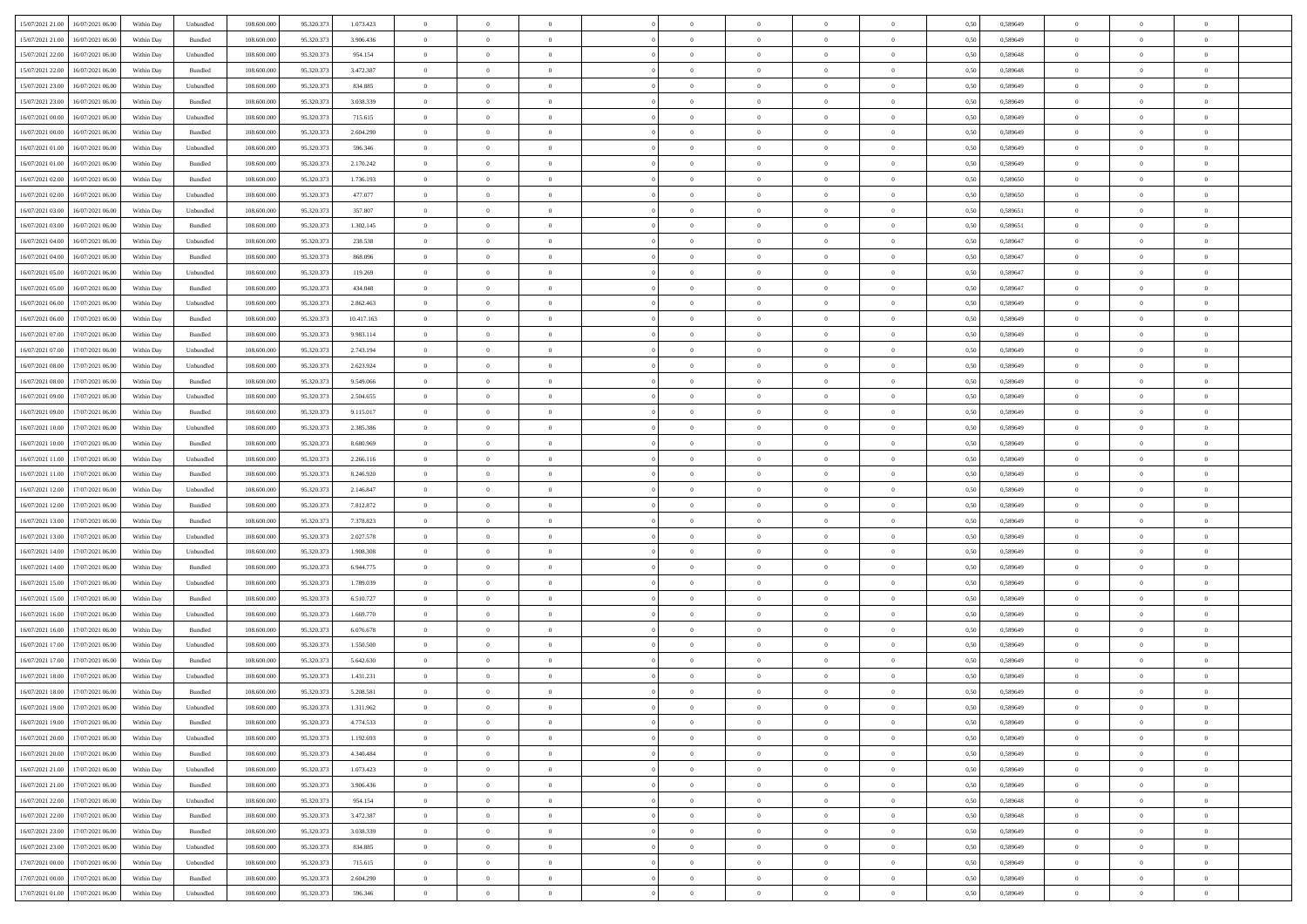|                                             |            |                             |             |            |            | $\overline{0}$ | $\overline{0}$ |                | $\overline{0}$ | $\theta$       |                | $\theta$       |      |          | $\theta$       | $\theta$       | $\overline{0}$ |  |
|---------------------------------------------|------------|-----------------------------|-------------|------------|------------|----------------|----------------|----------------|----------------|----------------|----------------|----------------|------|----------|----------------|----------------|----------------|--|
| 15/07/2021 21:00<br>16/07/2021 06:00        | Within Day | Unbundled                   | 108.600.000 | 95.320.373 | 1.073.423  |                |                |                |                |                |                |                | 0,50 | 0,589649 |                |                |                |  |
| 15/07/2021 21:00<br>16/07/2021 06:00        | Within Day | Bundled                     | 108.600.00  | 95.320.37  | 3.906.436  | $\bf{0}$       | $\bf{0}$       | $\bf{0}$       | $\bf{0}$       | $\overline{0}$ | $\overline{0}$ | $\bf{0}$       | 0,50 | 0,589649 | $\,$ 0 $\,$    | $\bf{0}$       | $\overline{0}$ |  |
| 15/07/2021 22:00<br>16/07/2021 06:00        | Within Day | Unbundled                   | 108,600,000 | 95.320.373 | 954.154    | $\overline{0}$ | $\bf{0}$       | $\overline{0}$ | $\bf{0}$       | $\bf{0}$       | $\overline{0}$ | $\bf{0}$       | 0.50 | 0.589648 | $\bf{0}$       | $\overline{0}$ | $\bf{0}$       |  |
| 15/07/2021 22:00<br>16/07/2021 06:00        | Within Day | Bundled                     | 108.600.000 | 95.320.373 | 3.472.387  | $\overline{0}$ | $\overline{0}$ | $\overline{0}$ | $\overline{0}$ | $\theta$       | $\overline{0}$ | $\bf{0}$       | 0,50 | 0,589648 | $\theta$       | $\theta$       | $\overline{0}$ |  |
|                                             |            |                             |             |            |            |                |                |                |                |                |                |                |      |          |                |                |                |  |
| 15/07/2021 23:00<br>16/07/2021 06:00        | Within Day | Unbundled                   | 108.600.00  | 95.320.37  | 834.885    | $\bf{0}$       | $\overline{0}$ | $\bf{0}$       | $\overline{0}$ | $\bf{0}$       | $\overline{0}$ | $\bf{0}$       | 0,50 | 0,589649 | $\,$ 0 $\,$    | $\bf{0}$       | $\overline{0}$ |  |
| 15/07/2021 23:00<br>16/07/2021 06:00        | Within Day | Bundled                     | 108,600,000 | 95.320.37  | 3.038.339  | $\overline{0}$ | $\overline{0}$ | $\overline{0}$ | $\bf{0}$       | $\overline{0}$ | $\theta$       | $\bf{0}$       | 0.50 | 0.589649 | $\,$ 0 $\,$    | $\theta$       | $\overline{0}$ |  |
| 16/07/2021 00:00<br>16/07/2021 06:00        | Within Day | Unbundled                   | 108.600.000 | 95.320.373 | 715.615    | $\overline{0}$ | $\overline{0}$ | $\overline{0}$ | $\overline{0}$ | $\overline{0}$ | $\overline{0}$ | $\bf{0}$       | 0,50 | 0,589649 | $\,$ 0 $\,$    | $\theta$       | $\overline{0}$ |  |
|                                             |            |                             |             |            |            |                |                |                |                |                |                |                |      |          |                |                |                |  |
| 16/07/2021 00:00<br>16/07/2021 06:00        | Within Day | Bundled                     | 108.600.00  | 95.320.37  | 2.604.290  | $\bf{0}$       | $\bf{0}$       | $\bf{0}$       | $\overline{0}$ | $\overline{0}$ | $\overline{0}$ | $\bf{0}$       | 0,50 | 0,589649 | $\,$ 0 $\,$    | $\bf{0}$       | $\overline{0}$ |  |
| 16/07/2021 01:00<br>16/07/2021 06:00        | Within Day | Unbundled                   | 108,600,000 | 95.320.37  | 596,346    | $\overline{0}$ | $\bf{0}$       | $\overline{0}$ | $\bf{0}$       | $\overline{0}$ | $\overline{0}$ | $\bf{0}$       | 0.50 | 0.589649 | $\bf{0}$       | $\overline{0}$ | $\overline{0}$ |  |
| 16/07/2021 01:00<br>16/07/2021 06:00        | Within Day | Bundled                     | 108.600.000 | 95.320.373 | 2.170.242  | $\bf{0}$       | $\bf{0}$       | $\overline{0}$ | $\overline{0}$ | $\overline{0}$ | $\overline{0}$ | $\bf{0}$       | 0,50 | 0,589649 | $\,$ 0 $\,$    | $\bf{0}$       | $\overline{0}$ |  |
| 16/07/2021 02:00<br>16/07/2021 06:00        | Within Day | Bundled                     | 108.600.00  | 95.320.37  | 1.736.193  | $\bf{0}$       | $\bf{0}$       | $\bf{0}$       | $\bf{0}$       | $\overline{0}$ | $\overline{0}$ | $\bf{0}$       | 0,50 | 0,589650 | $\,$ 0 $\,$    | $\bf{0}$       | $\overline{0}$ |  |
| 16/07/2021 06:00                            |            |                             | 108,600,000 | 95.320.37  | 477.077    |                |                |                |                |                | $\overline{0}$ |                |      |          |                |                | $\,$ 0         |  |
| 16/07/2021 02:00                            | Within Day | Unbundled                   |             |            |            | $\overline{0}$ | $\bf{0}$       | $\overline{0}$ | $\overline{0}$ | $\bf{0}$       |                | $\bf{0}$       | 0.50 | 0.589650 | $\bf{0}$       | $\overline{0}$ |                |  |
| 16/07/2021 03:00<br>16/07/2021 06:00        | Within Day | Unbundled                   | 108.600.000 | 95.320.37  | 357.807    | $\overline{0}$ | $\overline{0}$ | $\overline{0}$ | $\theta$       | $\theta$       | $\overline{0}$ | $\bf{0}$       | 0,50 | 0,589651 | $\,$ 0 $\,$    | $\theta$       | $\overline{0}$ |  |
| 16/07/2021 03:00<br>16/07/2021 06:00        | Within Day | Bundled                     | 108.600.00  | 95.320.37  | 1.302.145  | $\bf{0}$       | $\overline{0}$ | $\bf{0}$       | $\bf{0}$       | $\bf{0}$       | $\overline{0}$ | $\bf{0}$       | 0,50 | 0,589651 | $\,$ 0 $\,$    | $\bf{0}$       | $\overline{0}$ |  |
| 16/07/2021 04:00<br>16/07/2021 06:00        | Within Day | Unbundled                   | 108 600 000 | 95.320.37  | 238,538    | $\overline{0}$ | $\bf{0}$       | $\overline{0}$ | $\bf{0}$       | $\overline{0}$ | $\theta$       | $\bf{0}$       | 0.50 | 0.589647 | $\,$ 0 $\,$    | $\theta$       | $\overline{0}$ |  |
| 16/07/2021 04:00<br>16/07/2021 06:00        | Within Day | Bundled                     | 108.600.000 | 95.320.373 | 868.096    | $\overline{0}$ | $\overline{0}$ | $\overline{0}$ | $\overline{0}$ | $\overline{0}$ | $\overline{0}$ | $\bf{0}$       | 0,50 | 0,589647 | $\theta$       | $\theta$       | $\overline{0}$ |  |
|                                             |            |                             |             |            |            |                |                |                |                |                |                |                |      |          |                |                |                |  |
| 16/07/2021 05:00<br>16/07/2021 06:00        | Within Day | Unbundled                   | 108.600.00  | 95.320.37  | 119.269    | $\bf{0}$       | $\bf{0}$       | $\bf{0}$       | $\overline{0}$ | $\overline{0}$ | $\overline{0}$ | $\bf{0}$       | 0,50 | 0,589647 | $\,$ 0 $\,$    | $\bf{0}$       | $\overline{0}$ |  |
| 16/07/2021 05:00<br>16/07/2021 06:00        | Within Day | Bundled                     | 108,600,000 | 95.320.37  | 434,048    | $\overline{0}$ | $\bf{0}$       | $\overline{0}$ | $\bf{0}$       | $\overline{0}$ | $\overline{0}$ | $\bf{0}$       | 0.50 | 0.589647 | $\bf{0}$       | $\overline{0}$ | $\bf{0}$       |  |
| 16/07/2021 06:00<br>17/07/2021 06:00        | Within Day | Unbundled                   | 108.600.000 | 95.320.373 | 2.862.463  | $\bf{0}$       | $\bf{0}$       | $\overline{0}$ | $\overline{0}$ | $\overline{0}$ | $\overline{0}$ | $\bf{0}$       | 0,50 | 0,589649 | $\,$ 0 $\,$    | $\bf{0}$       | $\overline{0}$ |  |
| 16/07/2021 06:00<br>17/07/2021 06:00        | Within Day | Bundled                     | 108.600.00  | 95.320.37  | 10.417.163 | $\bf{0}$       | $\bf{0}$       | $\bf{0}$       | $\bf{0}$       | $\overline{0}$ | $\overline{0}$ | $\bf{0}$       | 0,50 | 0,589649 | $\,$ 0 $\,$    | $\bf{0}$       | $\overline{0}$ |  |
| 17/07/2021 06:00                            |            | Bundled                     | 108,600,000 | 95.320.37  |            |                |                | $\overline{0}$ |                |                | $\overline{0}$ |                |      | 0.589649 |                |                | $\,$ 0         |  |
| 16/07/2021 07:00                            | Within Day |                             |             |            | 9.983.114  | $\overline{0}$ | $\bf{0}$       |                | $\overline{0}$ | $\bf{0}$       |                | $\bf{0}$       | 0.50 |          | $\bf{0}$       | $\overline{0}$ |                |  |
| 16/07/2021 07:00<br>17/07/2021 06:00        | Within Day | Unbundled                   | 108.600.000 | 95.320.373 | 2.743.194  | $\overline{0}$ | $\overline{0}$ | $\overline{0}$ | $\overline{0}$ | $\theta$       | $\overline{0}$ | $\bf{0}$       | 0,50 | 0,589649 | $\theta$       | $\theta$       | $\overline{0}$ |  |
| 16/07/2021 08:00<br>17/07/2021 06:00        | Within Day | Unbundled                   | 108.600.00  | 95.320.37  | 2.623.924  | $\bf{0}$       | $\bf{0}$       | $\bf{0}$       | $\bf{0}$       | $\overline{0}$ | $\overline{0}$ | $\bf{0}$       | 0,50 | 0,589649 | $\,$ 0 $\,$    | $\bf{0}$       | $\overline{0}$ |  |
| 16/07/2021 08:00<br>17/07/2021 06:00        | Within Day | Bundled                     | 108,600,000 | 95.320.37  | 9.549.066  | $\overline{0}$ | $\bf{0}$       | $\overline{0}$ | $\bf{0}$       | $\overline{0}$ | $\theta$       | $\bf{0}$       | 0.50 | 0.589649 | $\,$ 0 $\,$    | $\theta$       | $\overline{0}$ |  |
| 16/07/2021 09:00<br>17/07/2021 06:00        | Within Day | Unbundled                   | 108.600.000 | 95.320.373 | 2.504.655  | $\overline{0}$ | $\overline{0}$ | $\overline{0}$ | $\overline{0}$ | $\overline{0}$ | $\overline{0}$ | $\bf{0}$       | 0,50 | 0,589649 | $\,$ 0 $\,$    | $\theta$       | $\overline{0}$ |  |
|                                             |            |                             |             |            |            |                |                |                |                |                |                |                |      |          |                |                |                |  |
| 16/07/2021 09:00<br>17/07/2021 06:00        | Within Day | Bundled                     | 108.600.00  | 95.320.37  | 9.115.017  | $\bf{0}$       | $\overline{0}$ | $\bf{0}$       | $\overline{0}$ | $\overline{0}$ | $\overline{0}$ | $\bf{0}$       | 0,50 | 0,589649 | $\,$ 0 $\,$    | $\bf{0}$       | $\overline{0}$ |  |
| 16/07/2021 10:00<br>17/07/2021 06:00        | Within Day | Unbundled                   | 108,600,000 | 95.320.37  | 2.385.386  | $\overline{0}$ | $\bf{0}$       | $\overline{0}$ | $\bf{0}$       | $\overline{0}$ | $\overline{0}$ | $\bf{0}$       | 0.50 | 0.589649 | $\bf{0}$       | $\overline{0}$ | $\overline{0}$ |  |
| 16/07/2021 10:00<br>17/07/2021 06:00        | Within Day | Bundled                     | 108.600.000 | 95.320.373 | 8.680.969  | $\overline{0}$ | $\bf{0}$       | $\overline{0}$ | $\overline{0}$ | $\overline{0}$ | $\overline{0}$ | $\bf{0}$       | 0,50 | 0,589649 | $\theta$       | $\theta$       | $\overline{0}$ |  |
| 16/07/2021 11:00<br>17/07/2021 06:00        | Within Day | Unbundled                   | 108.600.00  | 95.320.37  | 2.266.116  | $\bf{0}$       | $\bf{0}$       | $\bf{0}$       | $\bf{0}$       | $\overline{0}$ | $\overline{0}$ | $\bf{0}$       | 0,50 | 0,589649 | $\,$ 0 $\,$    | $\bf{0}$       | $\overline{0}$ |  |
| 16/07/2021 11:00<br>17/07/2021 06:00        | Within Day | Bundled                     | 108,600,000 | 95.320.37  | 8.246.920  | $\overline{0}$ | $\bf{0}$       | $\overline{0}$ | $\overline{0}$ | $\bf{0}$       | $\overline{0}$ | $\bf{0}$       | 0.50 | 0.589649 | $\bf{0}$       | $\overline{0}$ | $\,$ 0         |  |
|                                             |            |                             |             |            |            |                |                |                |                |                |                |                |      |          |                |                |                |  |
| 16/07/2021 12:00<br>17/07/2021 06:00        | Within Day | Unbundled                   | 108.600.000 | 95.320.37  | 2.146.847  | $\overline{0}$ | $\overline{0}$ | $\overline{0}$ | $\overline{0}$ | $\overline{0}$ | $\overline{0}$ | $\bf{0}$       | 0.50 | 0.589649 | $\theta$       | $\theta$       | $\overline{0}$ |  |
| 16/07/2021 12:00<br>17/07/2021 06:00        | Within Day | Bundled                     | 108.600.00  | 95.320.37  | 7.812.872  | $\bf{0}$       | $\bf{0}$       | $\bf{0}$       | $\bf{0}$       | $\overline{0}$ | $\overline{0}$ | $\bf{0}$       | 0,50 | 0,589649 | $\,$ 0 $\,$    | $\bf{0}$       | $\overline{0}$ |  |
| 16/07/2021 13:00<br>17/07/2021 06:00        | Within Day | Bundled                     | 108,600,000 | 95.320.37  | 7.378.823  | $\overline{0}$ | $\bf{0}$       | $\overline{0}$ | $\bf{0}$       | $\overline{0}$ | $\overline{0}$ | $\bf{0}$       | 0.50 | 0.589649 | $\,$ 0 $\,$    | $\bf{0}$       | $\overline{0}$ |  |
| 16/07/2021 13:00<br>17/07/2021 06:00        | Within Dav | Unbundled                   | 108.600.000 | 95.320.373 | 2.027.578  | $\overline{0}$ | $\overline{0}$ | $\overline{0}$ | $\overline{0}$ | $\overline{0}$ | $\overline{0}$ | $\bf{0}$       | 0.50 | 0.589649 | $\theta$       | $\theta$       | $\overline{0}$ |  |
| 16/07/2021 14:00<br>17/07/2021 06:00        | Within Day | Unbundled                   | 108.600.00  | 95.320.37  | 1.908.308  | $\bf{0}$       | $\bf{0}$       | $\bf{0}$       | $\bf{0}$       | $\overline{0}$ | $\overline{0}$ | $\bf{0}$       | 0,50 | 0,589649 | $\,$ 0 $\,$    | $\bf{0}$       | $\overline{0}$ |  |
|                                             |            |                             |             |            |            |                |                |                |                |                |                |                |      |          |                |                |                |  |
| 16/07/2021 14:00<br>17/07/2021 06:00        | Within Day | Bundled                     | 108,600,000 | 95.320.37  | 6.944.775  | $\overline{0}$ | $\bf{0}$       | $\overline{0}$ | $\bf{0}$       | $\overline{0}$ | $\overline{0}$ | $\bf{0}$       | 0.50 | 0.589649 | $\bf{0}$       | $\overline{0}$ | $\overline{0}$ |  |
| 16/07/2021 15:00<br>17/07/2021 06:00        | Within Dav | Unbundled                   | 108.600.000 | 95.320.37  | 1.789.039  | $\overline{0}$ | $\overline{0}$ | $\overline{0}$ | $\overline{0}$ | $\overline{0}$ | $\overline{0}$ | $\bf{0}$       | 0.50 | 0.589649 | $\theta$       | $\theta$       | $\overline{0}$ |  |
| 16/07/2021 15:00<br>17/07/2021 06:00        | Within Day | Bundled                     | 108.600.00  | 95.320.37  | 6.510.727  | $\bf{0}$       | $\bf{0}$       | $\bf{0}$       | $\bf{0}$       | $\overline{0}$ | $\overline{0}$ | $\bf{0}$       | 0,50 | 0,589649 | $\,$ 0 $\,$    | $\bf{0}$       | $\overline{0}$ |  |
| 16/07/2021 16:00<br>17/07/2021 06:00        | Within Day | Unbundled                   | 108,600,000 | 95.320.37  | 1.669.770  | $\overline{0}$ | $\bf{0}$       | $\overline{0}$ | $\overline{0}$ | $\bf{0}$       | $\overline{0}$ | $\bf{0}$       | 0.50 | 0.589649 | $\bf{0}$       | $\overline{0}$ | $\,$ 0         |  |
| 16/07/2021 16:00<br>17/07/2021 06:00        | Within Day | Bundled                     | 108.600.000 | 95.320.373 | 6.076.678  | $\overline{0}$ | $\overline{0}$ | $\overline{0}$ | $\overline{0}$ | $\overline{0}$ | $\overline{0}$ | $\bf{0}$       | 0.50 | 0.589649 | $\theta$       | $\theta$       | $\overline{0}$ |  |
|                                             |            |                             |             |            |            |                |                |                |                |                |                |                |      |          |                |                |                |  |
| 16/07/2021 17:00<br>17/07/2021 06:00        | Within Day | Unbundled                   | 108.600.00  | 95.320.37  | 1.550.500  | $\bf{0}$       | $\bf{0}$       | $\bf{0}$       | $\bf{0}$       | $\overline{0}$ | $\overline{0}$ | $\bf{0}$       | 0,50 | 0,589649 | $\,$ 0 $\,$    | $\bf{0}$       | $\overline{0}$ |  |
| 16/07/2021 17:00<br>17/07/2021 06:00        | Within Day | Bundled                     | 108,600,000 | 95.320.37  | 5.642.630  | $\overline{0}$ | $\overline{0}$ | $\overline{0}$ | $\bf{0}$       | $\overline{0}$ | $\Omega$       | $\bf{0}$       | 0.50 | 0.589649 | $\bf{0}$       | $\theta$       | $\overline{0}$ |  |
| 16/07/2021 18:00<br>17/07/2021 06:00        | Within Dav | Unbundled                   | 108.600.000 | 95.320.37  | 1.431.231  | $\overline{0}$ | $\overline{0}$ | $\overline{0}$ | $\overline{0}$ | $\theta$       | $\overline{0}$ | $\overline{0}$ | 0.5( | 0.589649 | $\theta$       | $\theta$       | $\overline{0}$ |  |
| 16/07/2021 18:00<br>17/07/2021 06:00        | Within Day | Bundled                     | 108.600.000 | 95.320.37  | 5.208.581  | $\bf{0}$       | $\bf{0}$       | $\bf{0}$       | $\bf{0}$       | $\bf{0}$       | $\overline{0}$ | $\bf{0}$       | 0,50 | 0,589649 | $\overline{0}$ | $\bf{0}$       | $\overline{0}$ |  |
| $16/07/2021\ 19.00\qquad 17/07/2021\ 06.00$ | Within Day | $\ensuremath{\mathsf{Unb}}$ | 108.600.000 | 95.320.373 | 1.311.962  | $\bf{0}$       | $\theta$       |                | $\overline{0}$ | $\Omega$       |                |                | 0,50 | 0.589649 | $\bf{0}$       | $\overline{0}$ |                |  |
|                                             |            |                             |             |            |            |                |                |                |                |                |                |                |      |          |                |                |                |  |
| 16/07/2021 19:00 17/07/2021 06:00           | Within Day | Bundled                     | 108.600.000 | 95.320.373 | 4.774.533  | $\overline{0}$ | $\overline{0}$ | $\Omega$       | $\overline{0}$ | $\overline{0}$ | $\overline{0}$ | $\bf{0}$       | 0,50 | 0,589649 | $\theta$       | $\overline{0}$ | $\overline{0}$ |  |
| 16/07/2021 20:00<br>17/07/2021 06:00        | Within Day | Unbundled                   | 108.600.00  | 95.320.37  | 1.192.693  | $\overline{0}$ | $\bf{0}$       | $\overline{0}$ | $\overline{0}$ | $\bf{0}$       | $\overline{0}$ | $\bf{0}$       | 0,50 | 0,589649 | $\bf{0}$       | $\overline{0}$ | $\bf{0}$       |  |
| 16/07/2021 20:00 17/07/2021 06:00           | Within Day | Bundled                     | 108,600,000 | 95.320.373 | 4.340.484  | $\overline{0}$ | $\overline{0}$ | $\overline{0}$ | $\overline{0}$ | $\mathbf{0}$   | $\overline{0}$ | $\,$ 0 $\,$    | 0.50 | 0.589649 | $\overline{0}$ | $\bf{0}$       | $\bf{0}$       |  |
| 16/07/2021 21:00 17/07/2021 06:00           | Within Day | Unbundled                   | 108.600.000 | 95.320.373 | 1.073.423  | $\overline{0}$ | $\overline{0}$ | $\overline{0}$ | $\overline{0}$ | $\overline{0}$ | $\overline{0}$ | $\bf{0}$       | 0,50 | 0.589649 | $\overline{0}$ | $\theta$       | $\overline{0}$ |  |
|                                             |            |                             |             |            |            |                |                |                |                |                |                |                |      |          |                |                |                |  |
| 16/07/2021 21:00<br>17/07/2021 06:00        | Within Day | Bundled                     | 108.600.000 | 95.320.373 | 3.906.436  | $\overline{0}$ | $\bf{0}$       | $\overline{0}$ | $\overline{0}$ | $\bf{0}$       | $\overline{0}$ | $\bf{0}$       | 0,50 | 0,589649 | $\bf{0}$       | $\overline{0}$ | $\overline{0}$ |  |
| 16/07/2021 22:00<br>17/07/2021 06:00        | Within Day | Unbundled                   | 108,600,000 | 95.320.37  | 954.154    | $\overline{0}$ | $\bf{0}$       | $\overline{0}$ | $\overline{0}$ | $\bf{0}$       | $\overline{0}$ | $\bf{0}$       | 0.50 | 0.589648 | $\,$ 0 $\,$    | $\overline{0}$ | $\,$ 0         |  |
| 16/07/2021 22:00<br>17/07/2021 06:00        | Within Dav | Bundled                     | 108.600.000 | 95.320.373 | 3.472.387  | $\overline{0}$ | $\overline{0}$ | $\overline{0}$ | $\overline{0}$ | $\overline{0}$ | $\overline{0}$ | $\bf{0}$       | 0.50 | 0,589648 | $\overline{0}$ | $\theta$       | $\overline{0}$ |  |
| 17/07/2021 06:00<br>16/07/2021 23:00        | Within Day | Bundled                     | 108.600.00  | 95.320.37  | 3.038.339  | $\overline{0}$ | $\overline{0}$ | $\overline{0}$ | $\overline{0}$ | $\overline{0}$ | $\overline{0}$ | $\bf{0}$       | 0,50 | 0,589649 | $\bf{0}$       | $\overline{0}$ | $\,$ 0         |  |
| 16/07/2021 23:00<br>17/07/2021 06:00        | Within Day | Unbundled                   | 108,600,000 | 95.320.37  | 834.885    | $\overline{0}$ | $\overline{0}$ | $\overline{0}$ | $\overline{0}$ | $\overline{0}$ | $\overline{0}$ | $\bf{0}$       | 0.50 | 0.589649 | $\mathbf{0}$   | $\bf{0}$       | $\,$ 0         |  |
|                                             |            |                             |             |            |            |                |                |                |                |                |                |                |      |          |                |                |                |  |
| 17/07/2021 00:00 17/07/2021 06:00           | Within Dav | Unbundled                   | 108.600.000 | 95.320.373 | 715.615    | $\overline{0}$ | $\overline{0}$ | $\overline{0}$ | $\overline{0}$ | $\overline{0}$ | $\overline{0}$ | $\bf{0}$       | 0,50 | 0.589649 | $\overline{0}$ | $\theta$       | $\overline{0}$ |  |
| 17/07/2021 00:00<br>17/07/2021 06:00        | Within Day | Bundled                     | 108.600.00  | 95.320.37  | 2.604.290  | $\overline{0}$ | $\bf{0}$       | $\overline{0}$ | $\overline{0}$ | $\overline{0}$ | $\overline{0}$ | $\bf{0}$       | 0,50 | 0,589649 | $\bf{0}$       | $\overline{0}$ | $\bf{0}$       |  |
| 17/07/2021 01:00 17/07/2021 06:00           | Within Day | Unbundled                   | 108.600.000 | 95.320.373 | 596.346    | $\,$ 0 $\,$    | $\bf{0}$       | $\overline{0}$ | $\overline{0}$ | $\,$ 0 $\,$    | $\overline{0}$ | $\,$ 0 $\,$    | 0,50 | 0,589649 | $\overline{0}$ | $\,$ 0 $\,$    | $\,$ 0 $\,$    |  |
|                                             |            |                             |             |            |            |                |                |                |                |                |                |                |      |          |                |                |                |  |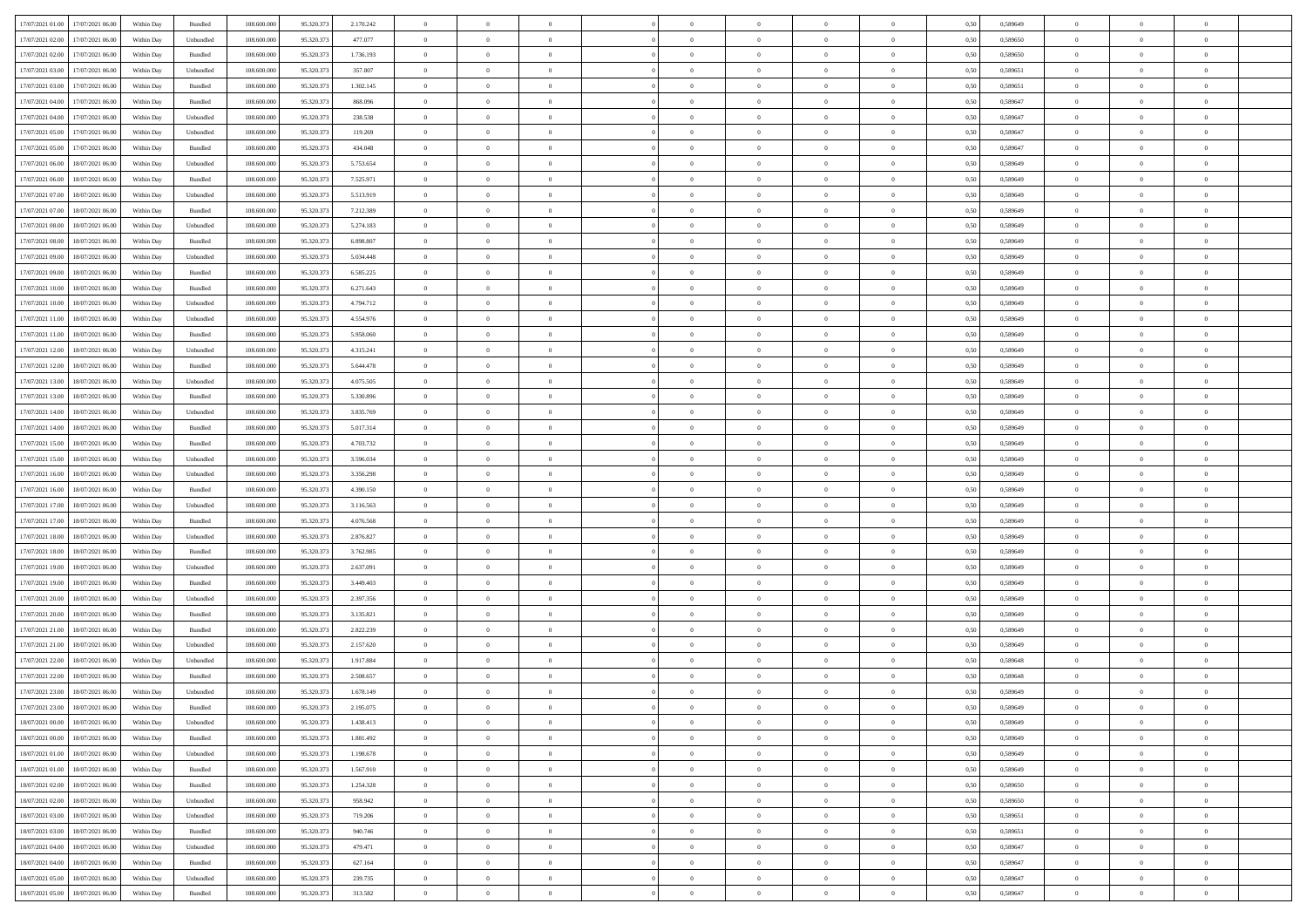| 17/07/2021 01:00 17/07/2021 06:00            | Within Day | Bundled   | 108.600.000 | 95.320.373 | 2.170.242 | $\overline{0}$ | $\overline{0}$ |                | $\overline{0}$ | $\theta$       |                | $\theta$       | 0,50 | 0,589649 | $\theta$       | $\theta$       | $\overline{0}$ |  |
|----------------------------------------------|------------|-----------|-------------|------------|-----------|----------------|----------------|----------------|----------------|----------------|----------------|----------------|------|----------|----------------|----------------|----------------|--|
| 17/07/2021 02:00<br>17/07/2021 06:00         | Within Day | Unbundled | 108.600.00  | 95.320.37  | 477.077   | $\bf{0}$       | $\bf{0}$       | $\bf{0}$       | $\bf{0}$       | $\overline{0}$ | $\overline{0}$ | $\bf{0}$       | 0,50 | 0,589650 | $\,$ 0 $\,$    | $\bf{0}$       | $\overline{0}$ |  |
| 17/07/2021 02:00<br>17/07/2021 06:00         | Within Day | Bundled   | 108,600,000 | 95.320.373 | 1.736.193 | $\overline{0}$ | $\bf{0}$       | $\overline{0}$ | $\bf{0}$       | $\bf{0}$       | $\overline{0}$ | $\bf{0}$       | 0.50 | 0.589650 | $\bf{0}$       | $\overline{0}$ | $\bf{0}$       |  |
|                                              |            |           |             |            |           | $\overline{0}$ | $\overline{0}$ | $\overline{0}$ | $\overline{0}$ | $\theta$       | $\overline{0}$ |                |      |          | $\theta$       | $\theta$       | $\overline{0}$ |  |
| 17/07/2021 03:00<br>17/07/2021 06:00         | Within Day | Unbundled | 108.600.000 | 95.320.37  | 357.807   |                |                |                |                |                |                | $\bf{0}$       | 0,50 | 0,589651 |                |                |                |  |
| 17/07/2021 03:00<br>17/07/2021 06:00         | Within Day | Bundled   | 108.600.00  | 95.320.37  | 1.302.145 | $\bf{0}$       | $\overline{0}$ | $\bf{0}$       | $\overline{0}$ | $\bf{0}$       | $\overline{0}$ | $\bf{0}$       | 0,50 | 0,589651 | $\,$ 0 $\,$    | $\bf{0}$       | $\overline{0}$ |  |
| 17/07/2021 04:00<br>17/07/2021 06:00         | Within Day | Bundled   | 108,600,000 | 95.320.37  | 868,096   | $\overline{0}$ | $\overline{0}$ | $\overline{0}$ | $\bf{0}$       | $\overline{0}$ | $\theta$       | $\bf{0}$       | 0.50 | 0.589647 | $\,$ 0 $\,$    | $\theta$       | $\overline{0}$ |  |
| 17/07/2021 04:00<br>17/07/2021 06:00         | Within Day | Unbundled | 108.600.000 | 95.320.37  | 238.538   | $\overline{0}$ | $\overline{0}$ | $\overline{0}$ | $\overline{0}$ | $\overline{0}$ | $\overline{0}$ | $\bf{0}$       | 0,50 | 0,589647 | $\theta$       | $\theta$       | $\overline{0}$ |  |
|                                              |            |           |             |            |           |                |                |                |                |                |                |                |      |          |                |                |                |  |
| 17/07/2021 05:00<br>17/07/2021 06:00         | Within Day | Unbundled | 108.600.00  | 95.320.37  | 119.269   | $\bf{0}$       | $\bf{0}$       | $\bf{0}$       | $\overline{0}$ | $\overline{0}$ | $\overline{0}$ | $\bf{0}$       | 0,50 | 0,589647 | $\,$ 0 $\,$    | $\bf{0}$       | $\overline{0}$ |  |
| 17/07/2021 05:00<br>17/07/2021 06:00         | Within Day | Bundled   | 108,600,000 | 95.320.37  | 434.048   | $\overline{0}$ | $\bf{0}$       | $\overline{0}$ | $\bf{0}$       | $\overline{0}$ | $\overline{0}$ | $\bf{0}$       | 0.50 | 0.589647 | $\bf{0}$       | $\overline{0}$ | $\overline{0}$ |  |
| 17/07/2021 06:00<br>18/07/2021 06:00         | Within Day | Unbundled | 108.600.000 | 95.320.373 | 5.753.654 | $\bf{0}$       | $\bf{0}$       | $\overline{0}$ | $\overline{0}$ | $\overline{0}$ | $\overline{0}$ | $\bf{0}$       | 0,50 | 0,589649 | $\,$ 0 $\,$    | $\bf{0}$       | $\overline{0}$ |  |
| 17/07/2021 06:00<br>18/07/2021 06:00         | Within Day | Bundled   | 108.600.00  | 95.320.37  | 7.525.971 | $\bf{0}$       | $\bf{0}$       | $\bf{0}$       | $\bf{0}$       | $\overline{0}$ | $\overline{0}$ | $\bf{0}$       | 0,50 | 0,589649 | $\,$ 0 $\,$    | $\bf{0}$       | $\overline{0}$ |  |
|                                              |            |           |             |            |           |                |                |                |                |                |                |                |      |          |                |                |                |  |
| 17/07/2021 07:00<br>18/07/2021 06:00         | Within Day | Unbundled | 108,600,000 | 95.320.37  | 5.513.919 | $\overline{0}$ | $\bf{0}$       | $\overline{0}$ | $\overline{0}$ | $\bf{0}$       | $\overline{0}$ | $\bf{0}$       | 0.50 | 0.589649 | $\bf{0}$       | $\overline{0}$ | $\,$ 0         |  |
| 17/07/2021 07:00<br>18/07/2021 06:00         | Within Day | Bundled   | 108.600.000 | 95.320.37  | 7.212.389 | $\overline{0}$ | $\overline{0}$ | $\overline{0}$ | $\theta$       | $\theta$       | $\overline{0}$ | $\bf{0}$       | 0,50 | 0,589649 | $\,$ 0 $\,$    | $\theta$       | $\overline{0}$ |  |
| 17/07/2021 08:00<br>18/07/2021 06:00         | Within Day | Unbundled | 108.600.00  | 95.320.37  | 5.274.183 | $\bf{0}$       | $\overline{0}$ | $\bf{0}$       | $\bf{0}$       | $\bf{0}$       | $\overline{0}$ | $\bf{0}$       | 0,50 | 0,589649 | $\,$ 0 $\,$    | $\bf{0}$       | $\overline{0}$ |  |
| 17/07/2021 08:00<br>18/07/2021 06:00         | Within Day | Bundled   | 108,600,000 | 95.320.37  | 6.898.807 | $\overline{0}$ | $\bf{0}$       | $\overline{0}$ | $\bf{0}$       | $\overline{0}$ | $\theta$       | $\bf{0}$       | 0.50 | 0.589649 | $\,$ 0 $\,$    | $\theta$       | $\overline{0}$ |  |
| 17/07/2021 09:00<br>18/07/2021 06:00         | Within Day | Unbundled | 108.600.000 | 95.320.373 | 5.034.448 | $\overline{0}$ | $\overline{0}$ | $\overline{0}$ | $\overline{0}$ | $\overline{0}$ | $\overline{0}$ | $\bf{0}$       | 0,50 | 0,589649 | $\theta$       | $\theta$       | $\overline{0}$ |  |
|                                              |            |           |             |            |           |                |                |                |                |                |                |                |      |          |                |                |                |  |
| 17/07/2021 09:00<br>18/07/2021 06:00         | Within Day | Bundled   | 108.600.00  | 95.320.37  | 6.585.225 | $\bf{0}$       | $\bf{0}$       | $\bf{0}$       | $\overline{0}$ | $\overline{0}$ | $\overline{0}$ | $\bf{0}$       | 0,50 | 0,589649 | $\,$ 0 $\,$    | $\bf{0}$       | $\overline{0}$ |  |
| 17/07/2021 10:00<br>18/07/2021 06:00         | Within Day | Bundled   | 108,600,000 | 95.320.37  | 6.271.643 | $\overline{0}$ | $\bf{0}$       | $\overline{0}$ | $\bf{0}$       | $\overline{0}$ | $\overline{0}$ | $\bf{0}$       | 0.50 | 0.589649 | $\bf{0}$       | $\overline{0}$ | $\bf{0}$       |  |
| 17/07/2021 10:00<br>18/07/2021 06:00         | Within Day | Unbundled | 108.600.000 | 95.320.373 | 4.794.712 | $\bf{0}$       | $\bf{0}$       | $\overline{0}$ | $\overline{0}$ | $\overline{0}$ | $\overline{0}$ | $\bf{0}$       | 0,50 | 0,589649 | $\,$ 0 $\,$    | $\bf{0}$       | $\overline{0}$ |  |
| 17/07/2021 11:00<br>18/07/2021 06:00         | Within Day | Unbundled | 108.600.00  | 95.320.37  | 4.554.976 | $\bf{0}$       | $\bf{0}$       | $\bf{0}$       | $\bf{0}$       | $\overline{0}$ | $\overline{0}$ | $\bf{0}$       | 0,50 | 0,589649 | $\,$ 0 $\,$    | $\bf{0}$       | $\overline{0}$ |  |
|                                              |            |           |             |            |           |                |                |                |                |                |                |                |      |          |                |                |                |  |
| 17/07/2021 11:00<br>18/07/2021 06:00         | Within Day | Bundled   | 108,600,000 | 95.320.37  | 5.958.060 | $\overline{0}$ | $\bf{0}$       | $\overline{0}$ | $\overline{0}$ | $\bf{0}$       | $\overline{0}$ | $\bf{0}$       | 0.50 | 0.589649 | $\bf{0}$       | $\overline{0}$ | $\,$ 0         |  |
| 17/07/2021 12:00<br>18/07/2021 06:00         | Within Day | Unbundled | 108.600.000 | 95.320.37  | 4.315.241 | $\overline{0}$ | $\overline{0}$ | $\overline{0}$ | $\overline{0}$ | $\theta$       | $\overline{0}$ | $\bf{0}$       | 0,50 | 0,589649 | $\theta$       | $\theta$       | $\overline{0}$ |  |
| 17/07/2021 12:00<br>18/07/2021 06:00         | Within Day | Bundled   | 108.600.00  | 95.320.37  | 5.644.478 | $\bf{0}$       | $\bf{0}$       | $\bf{0}$       | $\bf{0}$       | $\overline{0}$ | $\overline{0}$ | $\bf{0}$       | 0,50 | 0,589649 | $\,$ 0 $\,$    | $\bf{0}$       | $\overline{0}$ |  |
| 17/07/2021 13:00<br>18/07/2021 06:00         | Within Day | Unbundled | 108,600,000 | 95.320.37  | 4.075.505 | $\overline{0}$ | $\overline{0}$ | $\overline{0}$ | $\bf{0}$       | $\overline{0}$ | $\theta$       | $\bf{0}$       | 0.50 | 0.589649 | $\,$ 0 $\,$    | $\theta$       | $\overline{0}$ |  |
| 17/07/2021 13:00<br>18/07/2021 06:00         | Within Day | Bundled   | 108.600.000 | 95.320.373 | 5.330.896 | $\overline{0}$ | $\overline{0}$ | $\overline{0}$ | $\overline{0}$ | $\overline{0}$ | $\overline{0}$ | $\bf{0}$       | 0,50 | 0,589649 | $\,$ 0 $\,$    | $\theta$       | $\overline{0}$ |  |
|                                              |            |           |             |            |           |                |                |                |                |                |                |                |      |          |                |                |                |  |
| 17/07/2021 14:00<br>18/07/2021 06:00         | Within Day | Unbundled | 108.600.00  | 95.320.37  | 3.835.769 | $\bf{0}$       | $\overline{0}$ | $\bf{0}$       | $\overline{0}$ | $\overline{0}$ | $\overline{0}$ | $\bf{0}$       | 0,50 | 0,589649 | $\,$ 0 $\,$    | $\bf{0}$       | $\overline{0}$ |  |
| 17/07/2021 14:00<br>18/07/2021 06:00         | Within Day | Bundled   | 108,600,000 | 95.320.37  | 5.017.314 | $\overline{0}$ | $\bf{0}$       | $\overline{0}$ | $\bf{0}$       | $\overline{0}$ | $\overline{0}$ | $\bf{0}$       | 0.50 | 0.589649 | $\bf{0}$       | $\overline{0}$ | $\overline{0}$ |  |
| 17/07/2021 15:00<br>18/07/2021 06:00         | Within Day | Bundled   | 108.600.000 | 95.320.373 | 4.703.732 | $\overline{0}$ | $\bf{0}$       | $\overline{0}$ | $\overline{0}$ | $\overline{0}$ | $\overline{0}$ | $\bf{0}$       | 0,50 | 0,589649 | $\theta$       | $\theta$       | $\overline{0}$ |  |
| 17/07/2021 15:00<br>18/07/2021 06:00         | Within Day | Unbundled | 108.600.00  | 95.320.37  | 3.596.034 | $\bf{0}$       | $\bf{0}$       | $\bf{0}$       | $\bf{0}$       | $\overline{0}$ | $\overline{0}$ | $\bf{0}$       | 0,50 | 0,589649 | $\,$ 0 $\,$    | $\bf{0}$       | $\overline{0}$ |  |
|                                              |            |           |             |            |           |                |                |                |                |                |                |                |      |          |                |                |                |  |
| 17/07/2021 16:00<br>18/07/2021 06:00         | Within Day | Unbundled | 108,600,000 | 95.320.37  | 3.356.298 | $\overline{0}$ | $\bf{0}$       | $\overline{0}$ | $\bf{0}$       | $\bf{0}$       | $\overline{0}$ | $\bf{0}$       | 0.50 | 0.589649 | $\bf{0}$       | $\overline{0}$ | $\,$ 0         |  |
| 17/07/2021 16:00<br>18/07/2021 06:00         | Within Day | Bundled   | 108.600.000 | 95.320.37  | 4.390.150 | $\overline{0}$ | $\overline{0}$ | $\overline{0}$ | $\overline{0}$ | $\overline{0}$ | $\overline{0}$ | $\bf{0}$       | 0.50 | 0.589649 | $\theta$       | $\theta$       | $\overline{0}$ |  |
| 17/07/2021 17:00<br>18/07/2021 06:00         | Within Day | Unbundled | 108.600.00  | 95.320.37  | 3.116.563 | $\bf{0}$       | $\bf{0}$       | $\bf{0}$       | $\bf{0}$       | $\overline{0}$ | $\overline{0}$ | $\bf{0}$       | 0,50 | 0,589649 | $\,$ 0 $\,$    | $\bf{0}$       | $\overline{0}$ |  |
| 17/07/2021 17:00<br>18/07/2021 06:00         | Within Day | Bundled   | 108,600,000 | 95.320.37  | 4.076.568 | $\overline{0}$ | $\bf{0}$       | $\overline{0}$ | $\bf{0}$       | $\overline{0}$ | $\overline{0}$ | $\bf{0}$       | 0.50 | 0.589649 | $\,$ 0 $\,$    | $\bf{0}$       | $\overline{0}$ |  |
| 17/07/2021 18:00<br>18/07/2021 06:00         | Within Dav | Unbundled | 108.600.000 | 95.320.373 | 2.876.827 | $\overline{0}$ | $\overline{0}$ | $\overline{0}$ | $\overline{0}$ | $\overline{0}$ | $\overline{0}$ | $\bf{0}$       | 0.50 | 0.589649 | $\theta$       | $\theta$       | $\overline{0}$ |  |
|                                              |            |           |             |            |           |                |                |                |                |                |                |                |      |          |                |                |                |  |
| 17/07/2021 18:00<br>18/07/2021 06:00         | Within Day | Bundled   | 108.600.00  | 95.320.37  | 3.762.985 | $\bf{0}$       | $\bf{0}$       | $\bf{0}$       | $\bf{0}$       | $\overline{0}$ | $\overline{0}$ | $\bf{0}$       | 0,50 | 0,589649 | $\,$ 0 $\,$    | $\bf{0}$       | $\overline{0}$ |  |
| 17/07/2021 19:00<br>18/07/2021 06:00         | Within Day | Unbundled | 108,600,000 | 95.320.37  | 2.637.091 | $\overline{0}$ | $\bf{0}$       | $\overline{0}$ | $\bf{0}$       | $\overline{0}$ | $\overline{0}$ | $\bf{0}$       | 0.50 | 0.589649 | $\bf{0}$       | $\overline{0}$ | $\bf{0}$       |  |
| 17/07/2021 19:00<br>18/07/2021 06:00         | Within Dav | Bundled   | 108.600.000 | 95.320.37  | 3.449.403 | $\overline{0}$ | $\overline{0}$ | $\overline{0}$ | $\overline{0}$ | $\overline{0}$ | $\overline{0}$ | $\bf{0}$       | 0.50 | 0.589649 | $\theta$       | $\theta$       | $\overline{0}$ |  |
| 17/07/2021 20:00<br>18/07/2021 06:00         | Within Day | Unbundled | 108.600.00  | 95.320.37  | 2.397.356 | $\bf{0}$       | $\bf{0}$       | $\bf{0}$       | $\bf{0}$       | $\overline{0}$ | $\overline{0}$ | $\bf{0}$       | 0,50 | 0,589649 | $\,$ 0 $\,$    | $\bf{0}$       | $\overline{0}$ |  |
| 18/07/2021 06:00                             |            | Bundled   | 108,600,000 | 95.320.37  |           |                |                | $\overline{0}$ |                |                | $\overline{0}$ |                |      | 0.589649 |                |                | $\,$ 0         |  |
| 17/07/2021 20:00                             | Within Day |           |             |            | 3.135.821 | $\overline{0}$ | $\bf{0}$       |                | $\overline{0}$ | $\bf{0}$       |                | $\bf{0}$       | 0.50 |          | $\bf{0}$       | $\overline{0}$ |                |  |
| 17/07/2021 21:00<br>18/07/2021 06:00         | Within Dav | Bundled   | 108.600.000 | 95.320.373 | 2.822.239 | $\overline{0}$ | $\overline{0}$ | $\overline{0}$ | $\overline{0}$ | $\overline{0}$ | $\overline{0}$ | $\bf{0}$       | 0.50 | 0.589649 | $\theta$       | $\theta$       | $\overline{0}$ |  |
| 17/07/2021 21:00<br>18/07/2021 06:00         | Within Day | Unbundled | 108.600.00  | 95.320.37  | 2.157.620 | $\bf{0}$       | $\bf{0}$       | $\bf{0}$       | $\bf{0}$       | $\overline{0}$ | $\overline{0}$ | $\bf{0}$       | 0,50 | 0,589649 | $\,$ 0 $\,$    | $\bf{0}$       | $\overline{0}$ |  |
| 17/07/2021 22:00<br>18/07/2021 06:00         | Within Day | Unbundled | 108,600,000 | 95.320.37  | 1.917.884 | $\overline{0}$ | $\overline{0}$ | $\overline{0}$ | $\bf{0}$       | $\overline{0}$ | $\Omega$       | $\bf{0}$       | 0.50 | 0.589648 | $\,$ 0 $\,$    | $\theta$       | $\overline{0}$ |  |
| 17/07/2021 22:00<br>18/07/2021 06:00         | Within Dav | Bundled   | 108.600.000 | 95.320.37  | 2.508.657 | $\overline{0}$ | $\overline{0}$ | $\overline{0}$ | $\overline{0}$ | $\theta$       | $\overline{0}$ | $\overline{0}$ | 0.5( | 0.589648 | $\theta$       | $\theta$       | $\overline{0}$ |  |
|                                              |            |           |             |            |           |                |                |                |                |                |                |                |      |          |                |                |                |  |
| 17/07/2021 23:00<br>18/07/2021 06:00         | Within Day | Unbundled | 108.600.000 | 95.320.37  | 1.678.149 | $\bf{0}$       | $\bf{0}$       | $\bf{0}$       | $\bf{0}$       | $\bf{0}$       | $\overline{0}$ | $\bf{0}$       | 0,50 | 0,589649 | $\overline{0}$ | $\bf{0}$       | $\overline{0}$ |  |
| $17/07/2021\ 23.00 \qquad 18/07/2021\ 06.00$ | Within Day | Bundled   | 108.600.000 | 95.320.373 | 2.195.075 | $\bf{0}$       | $\theta$       |                | $\Omega$       |                |                |                | 0,50 | 0.589649 | $\bf{0}$       | $\overline{0}$ |                |  |
| 18/07/2021 00:00 18/07/2021 06:00            | Within Day | Unbundled | 108.600.000 | 95.320.373 | 1.438.413 | $\overline{0}$ | $\overline{0}$ | $\Omega$       | $\overline{0}$ | $\overline{0}$ | $\overline{0}$ | $\bf{0}$       | 0,50 | 0,589649 | $\theta$       | $\overline{0}$ | $\overline{0}$ |  |
| 18/07/2021 00:00<br>18/07/2021 06:00         | Within Day | Bundled   | 108.600.00  | 95.320.37  | 1.881.492 | $\overline{0}$ | $\bf{0}$       | $\overline{0}$ | $\overline{0}$ | $\bf{0}$       | $\overline{0}$ | $\bf{0}$       | 0,50 | 0,589649 | $\bf{0}$       | $\overline{0}$ | $\bf{0}$       |  |
| 18/07/2021 01:00 18/07/2021 06:00            | Within Day | Unbundled | 108,600,000 | 95.320.373 | 1.198.678 | $\overline{0}$ | $\overline{0}$ | $\overline{0}$ | $\overline{0}$ | $\mathbf{0}$   | $\overline{0}$ | $\,$ 0 $\,$    | 0.50 | 0.589649 | $\overline{0}$ | $\bf{0}$       | $\bf{0}$       |  |
|                                              |            |           |             |            |           |                |                |                |                |                |                |                |      |          |                |                |                |  |
| 18/07/2021 01:00 18/07/2021 06:00            | Within Day | Bundled   | 108.600.000 | 95.320.373 | 1.567.910 | $\overline{0}$ | $\overline{0}$ | $\overline{0}$ | $\overline{0}$ | $\overline{0}$ | $\overline{0}$ | $\bf{0}$       | 0,50 | 0.589649 | $\overline{0}$ | $\theta$       | $\overline{0}$ |  |
| 18/07/2021 02:00<br>18/07/2021 06:00         | Within Day | Bundled   | 108.600.000 | 95.320.373 | 1.254.328 | $\overline{0}$ | $\bf{0}$       | $\overline{0}$ | $\overline{0}$ | $\bf{0}$       | $\overline{0}$ | $\bf{0}$       | 0,50 | 0,589650 | $\bf{0}$       | $\overline{0}$ | $\overline{0}$ |  |
| 18/07/2021 02:00<br>18/07/2021 06:00         | Within Day | Unbundled | 108,600,000 | 95.320.37  | 958.942   | $\overline{0}$ | $\bf{0}$       | $\overline{0}$ | $\overline{0}$ | $\bf{0}$       | $\overline{0}$ | $\bf{0}$       | 0.50 | 0.589650 | $\,$ 0 $\,$    | $\overline{0}$ | $\,$ 0         |  |
| 18/07/2021 03:00<br>18/07/2021 06:00         | Within Dav | Unbundled | 108.600.000 | 95.320.373 | 719,206   | $\overline{0}$ | $\overline{0}$ | $\overline{0}$ | $\overline{0}$ | $\overline{0}$ | $\overline{0}$ | $\bf{0}$       | 0.50 | 0,589651 | $\overline{0}$ | $\theta$       | $\overline{0}$ |  |
|                                              |            |           |             |            |           |                |                |                |                |                |                |                |      |          |                |                |                |  |
| 18/07/2021 06:00<br>18/07/2021 03:00         | Within Day | Bundled   | 108.600.00  | 95.320.37  | 940.746   | $\overline{0}$ | $\overline{0}$ | $\overline{0}$ | $\overline{0}$ | $\overline{0}$ | $\overline{0}$ | $\bf{0}$       | 0,50 | 0,589651 | $\bf{0}$       | $\overline{0}$ | $\,$ 0         |  |
| 18/07/2021 04:00<br>18/07/2021 06:00         | Within Day | Unbundled | 108,600,000 | 95.320.37  | 479.471   | $\overline{0}$ | $\overline{0}$ | $\overline{0}$ | $\overline{0}$ | $\overline{0}$ | $\overline{0}$ | $\bf{0}$       | 0.50 | 0.589647 | $\mathbf{0}$   | $\bf{0}$       | $\,$ 0         |  |
| 18/07/2021 04:00<br>18/07/2021 06:00         | Within Dav | Bundled   | 108.600.000 | 95.320.373 | 627.164   | $\overline{0}$ | $\overline{0}$ | $\overline{0}$ | $\overline{0}$ | $\overline{0}$ | $\overline{0}$ | $\bf{0}$       | 0,50 | 0,589647 | $\overline{0}$ | $\theta$       | $\overline{0}$ |  |
| 18/07/2021 05:00<br>18/07/2021 06:00         | Within Day | Unbundled | 108.600.00  | 95.320.37  | 239.735   | $\overline{0}$ | $\bf{0}$       | $\overline{0}$ | $\overline{0}$ | $\overline{0}$ | $\overline{0}$ | $\bf{0}$       | 0,50 | 0,589647 | $\bf{0}$       | $\overline{0}$ | $\bf{0}$       |  |
|                                              |            |           |             |            |           |                |                |                |                |                |                |                |      |          |                |                |                |  |
| 18/07/2021 05:00 18/07/2021 06:00            | Within Day | Bundled   | 108.600.000 | 95.320.373 | 313.582   | $\,$ 0 $\,$    | $\bf{0}$       | $\overline{0}$ | $\overline{0}$ | $\,$ 0 $\,$    | $\overline{0}$ | $\,$ 0 $\,$    | 0,50 | 0,589647 | $\overline{0}$ | $\,$ 0 $\,$    | $\,$ 0 $\,$    |  |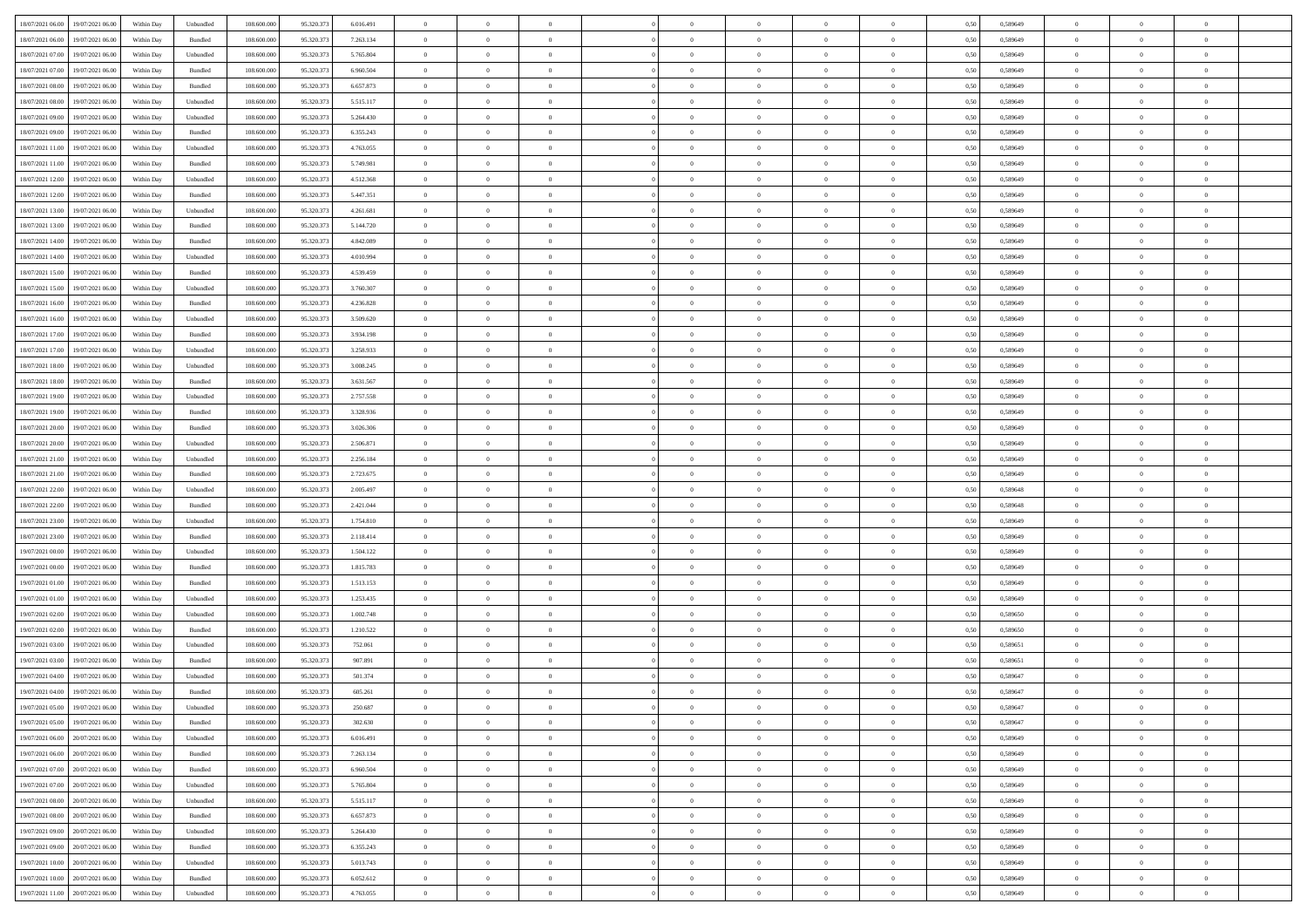| 18/07/2021 06:00<br>19/07/2021 06:00       | Within Day | Unbundled                   | 108.600.000 | 95.320.373 | 6.016.491 | $\overline{0}$ | $\overline{0}$ |                | $\overline{0}$ | $\theta$       |                | $\theta$       | 0,50 | 0,589649 | $\theta$       | $\theta$       | $\overline{0}$ |  |
|--------------------------------------------|------------|-----------------------------|-------------|------------|-----------|----------------|----------------|----------------|----------------|----------------|----------------|----------------|------|----------|----------------|----------------|----------------|--|
| 18/07/2021 06:00<br>19/07/2021 06:00       | Within Day | Bundled                     | 108.600.00  | 95.320.37  | 7.263.134 | $\bf{0}$       | $\bf{0}$       | $\bf{0}$       | $\overline{0}$ | $\overline{0}$ | $\overline{0}$ | $\bf{0}$       | 0,50 | 0,589649 | $\,$ 0 $\,$    | $\bf{0}$       | $\overline{0}$ |  |
| 18/07/2021 07:00<br>19/07/2021 06:00       | Within Day | Unbundled                   | 108,600,000 | 95.320.373 | 5.765.804 | $\overline{0}$ | $\bf{0}$       | $\overline{0}$ | $\bf{0}$       | $\bf{0}$       | $\overline{0}$ | $\bf{0}$       | 0.50 | 0.589649 | $\bf{0}$       | $\overline{0}$ | $\overline{0}$ |  |
| 18/07/2021 07:00<br>19/07/2021 06:00       |            |                             | 108.600.000 |            |           | $\overline{0}$ | $\bf{0}$       | $\overline{0}$ | $\theta$       | $\theta$       | $\overline{0}$ |                |      |          | $\theta$       | $\theta$       | $\overline{0}$ |  |
|                                            | Within Day | Bundled                     |             | 95.320.373 | 6.960.504 |                |                |                |                |                |                | $\bf{0}$       | 0,50 | 0,589649 |                |                |                |  |
| 18/07/2021 08:00<br>19/07/2021 06:00       | Within Day | Bundled                     | 108.600.00  | 95.320.37  | 6.657.873 | $\bf{0}$       | $\overline{0}$ | $\bf{0}$       | $\overline{0}$ | $\theta$       | $\overline{0}$ | $\bf{0}$       | 0,50 | 0,589649 | $\,$ 0 $\,$    | $\bf{0}$       | $\overline{0}$ |  |
| 18/07/2021 08:00<br>19/07/2021 06:00       | Within Day | Unbundled                   | 108,600,000 | 95.320.37  | 5.515.117 | $\overline{0}$ | $\overline{0}$ | $\overline{0}$ | $\bf{0}$       | $\overline{0}$ | $\theta$       | $\bf{0}$       | 0.50 | 0.589649 | $\bf{0}$       | $\theta$       | $\overline{0}$ |  |
| 18/07/2021 09:00<br>19/07/2021 06:00       | Within Day | Unbundled                   | 108.600.000 | 95.320.373 | 5.264.430 | $\overline{0}$ | $\overline{0}$ | $\overline{0}$ | $\overline{0}$ | $\overline{0}$ | $\overline{0}$ | $\bf{0}$       | 0,50 | 0,589649 | $\theta$       | $\theta$       | $\overline{0}$ |  |
|                                            |            |                             |             |            |           |                |                |                |                |                |                |                |      |          |                |                |                |  |
| 18/07/2021 09:00<br>19/07/2021 06:00       | Within Day | Bundled                     | 108.600.00  | 95.320.37  | 6.355.243 | $\bf{0}$       | $\bf{0}$       | $\bf{0}$       | $\overline{0}$ | $\overline{0}$ | $\overline{0}$ | $\bf{0}$       | 0,50 | 0,589649 | $\,$ 0 $\,$    | $\bf{0}$       | $\overline{0}$ |  |
| 18/07/2021 11:00<br>19/07/2021 06:00       | Within Day | Unbundled                   | 108,600,000 | 95.320.37  | 4.763.055 | $\overline{0}$ | $\bf{0}$       | $\overline{0}$ | $\bf{0}$       | $\overline{0}$ | $\overline{0}$ | $\bf{0}$       | 0.50 | 0.589649 | $\bf{0}$       | $\overline{0}$ | $\overline{0}$ |  |
| 18/07/2021 11:00<br>19/07/2021 06:00       | Within Day | Bundled                     | 108.600.000 | 95.320.373 | 5.749.981 | $\bf{0}$       | $\bf{0}$       | $\overline{0}$ | $\overline{0}$ | $\overline{0}$ | $\overline{0}$ | $\bf{0}$       | 0,50 | 0,589649 | $\,$ 0 $\,$    | $\bf{0}$       | $\overline{0}$ |  |
| 18/07/2021 12:00<br>19/07/2021 06:00       | Within Day | Unbundled                   | 108.600.00  | 95.320.37  | 4.512.368 | $\bf{0}$       | $\overline{0}$ | $\bf{0}$       | $\bf{0}$       | $\bf{0}$       | $\overline{0}$ | $\bf{0}$       | 0,50 | 0,589649 | $\,$ 0 $\,$    | $\bf{0}$       | $\overline{0}$ |  |
|                                            |            |                             |             |            |           |                |                |                |                |                |                |                |      |          |                |                |                |  |
| 18/07/2021 12:00<br>19/07/2021 06:00       | Within Day | Bundled                     | 108,600,000 | 95.320.37  | 5.447.351 | $\overline{0}$ | $\bf{0}$       | $\overline{0}$ | $\overline{0}$ | $\bf{0}$       | $\overline{0}$ | $\bf{0}$       | 0.50 | 0.589649 | $\bf{0}$       | $\overline{0}$ | $\overline{0}$ |  |
| 18/07/2021 13:00<br>19/07/2021 06:00       | Within Day | Unbundled                   | 108.600.000 | 95.320.37  | 4.261.681 | $\overline{0}$ | $\overline{0}$ | $\overline{0}$ | $\theta$       | $\theta$       | $\overline{0}$ | $\bf{0}$       | 0,50 | 0,589649 | $\,$ 0 $\,$    | $\theta$       | $\overline{0}$ |  |
| 18/07/2021 13:00<br>19/07/2021 06:00       | Within Day | Bundled                     | 108.600.00  | 95.320.37  | 5.144.720 | $\bf{0}$       | $\overline{0}$ | $\bf{0}$       | $\overline{0}$ | $\theta$       | $\overline{0}$ | $\bf{0}$       | 0,50 | 0,589649 | $\,$ 0 $\,$    | $\bf{0}$       | $\overline{0}$ |  |
| 18/07/2021 14:00<br>19/07/2021 06:00       | Within Day | Bundled                     | 108,600,000 | 95.320.37  | 4.842.089 | $\overline{0}$ | $\overline{0}$ | $\overline{0}$ | $\bf{0}$       | $\overline{0}$ | $\Omega$       | $\bf{0}$       | 0.50 | 0.589649 | $\,$ 0 $\,$    | $\theta$       | $\overline{0}$ |  |
|                                            |            |                             |             |            |           |                |                |                |                |                |                |                |      |          |                |                |                |  |
| 18/07/2021 14:00<br>19/07/2021 06:00       | Within Day | Unbundled                   | 108.600.000 | 95.320.373 | 4.010.994 | $\overline{0}$ | $\overline{0}$ | $\overline{0}$ | $\overline{0}$ | $\overline{0}$ | $\overline{0}$ | $\bf{0}$       | 0,50 | 0,589649 | $\theta$       | $\theta$       | $\overline{0}$ |  |
| 18/07/2021 15:00<br>19/07/2021 06:00       | Within Day | Bundled                     | 108.600.00  | 95.320.37  | 4.539.459 | $\bf{0}$       | $\overline{0}$ | $\bf{0}$       | $\overline{0}$ | $\theta$       | $\overline{0}$ | $\bf{0}$       | 0,50 | 0,589649 | $\,$ 0 $\,$    | $\bf{0}$       | $\overline{0}$ |  |
| 18/07/2021 15:00<br>19/07/2021 06:00       | Within Day | Unbundled                   | 108,600,000 | 95.320.37  | 3.760.307 | $\overline{0}$ | $\bf{0}$       | $\overline{0}$ | $\bf{0}$       | $\overline{0}$ | $\overline{0}$ | $\bf{0}$       | 0.50 | 0.589649 | $\bf{0}$       | $\overline{0}$ | $\overline{0}$ |  |
| 18/07/2021 16:00<br>19/07/2021 06:00       | Within Day | Bundled                     | 108.600.000 | 95.320.373 | 4.236.828 | $\overline{0}$ | $\bf{0}$       | $\overline{0}$ | $\overline{0}$ | $\overline{0}$ | $\overline{0}$ | $\bf{0}$       | 0,50 | 0,589649 | $\,$ 0 $\,$    | $\bf{0}$       | $\overline{0}$ |  |
|                                            |            |                             |             |            |           |                |                |                |                |                |                |                |      |          |                |                |                |  |
| 18/07/2021 16:00<br>19/07/2021 06:00       | Within Day | Unbundled                   | 108.600.00  | 95.320.37  | 3.509.620 | $\bf{0}$       | $\bf{0}$       | $\bf{0}$       | $\bf{0}$       | $\overline{0}$ | $\overline{0}$ | $\bf{0}$       | 0,50 | 0,589649 | $\,$ 0 $\,$    | $\bf{0}$       | $\overline{0}$ |  |
| 18/07/2021 17:00<br>19/07/2021 06:00       | Within Day | Bundled                     | 108,600,000 | 95.320.37  | 3.934.198 | $\overline{0}$ | $\bf{0}$       | $\overline{0}$ | $\overline{0}$ | $\bf{0}$       | $\overline{0}$ | $\bf{0}$       | 0.50 | 0.589649 | $\bf{0}$       | $\overline{0}$ | $\overline{0}$ |  |
| 18/07/2021 17:00<br>19/07/2021 06:00       | Within Day | Unbundled                   | 108.600.000 | 95.320.373 | 3.258.933 | $\overline{0}$ | $\overline{0}$ | $\overline{0}$ | $\theta$       | $\theta$       | $\overline{0}$ | $\bf{0}$       | 0,50 | 0,589649 | $\theta$       | $\theta$       | $\overline{0}$ |  |
| 18/07/2021 18:00<br>19/07/2021 06:00       | Within Day | Unbundled                   | 108.600.00  | 95.320.37  | 3.008.245 | $\bf{0}$       | $\overline{0}$ | $\bf{0}$       | $\bf{0}$       | $\,$ 0 $\,$    | $\overline{0}$ | $\bf{0}$       | 0,50 | 0,589649 | $\,$ 0 $\,$    | $\bf{0}$       | $\overline{0}$ |  |
|                                            |            |                             |             |            |           |                |                |                |                |                |                |                |      |          |                |                |                |  |
| 18/07/2021 18:00<br>19/07/2021 06:00       | Within Day | Bundled                     | 108,600,000 | 95.320.37  | 3.631.567 | $\overline{0}$ | $\overline{0}$ | $\overline{0}$ | $\bf{0}$       | $\overline{0}$ | $\Omega$       | $\bf{0}$       | 0.50 | 0.589649 | $\bf{0}$       | $\theta$       | $\overline{0}$ |  |
| 18/07/2021 19:00<br>19/07/2021 06:00       | Within Day | Unbundled                   | 108.600.000 | 95.320.373 | 2.757.558 | $\overline{0}$ | $\overline{0}$ | $\overline{0}$ | $\overline{0}$ | $\overline{0}$ | $\overline{0}$ | $\bf{0}$       | 0,50 | 0,589649 | $\,$ 0 $\,$    | $\theta$       | $\overline{0}$ |  |
| 18/07/2021 19:00<br>19/07/2021 06:00       | Within Day | Bundled                     | 108.600.00  | 95.320.37  | 3.328.936 | $\bf{0}$       | $\overline{0}$ | $\bf{0}$       | $\overline{0}$ | $\bf{0}$       | $\overline{0}$ | $\bf{0}$       | 0,50 | 0,589649 | $\,$ 0 $\,$    | $\bf{0}$       | $\overline{0}$ |  |
| 18/07/2021 20:00<br>19/07/2021 06:00       | Within Day | Bundled                     | 108,600,000 | 95.320.37  | 3.026.306 | $\overline{0}$ | $\bf{0}$       | $\overline{0}$ | $\bf{0}$       | $\overline{0}$ | $\overline{0}$ | $\bf{0}$       | 0.50 | 0.589649 | $\bf{0}$       | $\overline{0}$ | $\overline{0}$ |  |
| 18/07/2021 20:00<br>19/07/2021 06:00       | Within Day | Unbundled                   | 108.600.000 | 95.320.373 | 2.506.871 | $\overline{0}$ | $\overline{0}$ | $\overline{0}$ | $\overline{0}$ | $\overline{0}$ | $\overline{0}$ | $\bf{0}$       | 0,50 | 0,589649 | $\theta$       | $\theta$       | $\overline{0}$ |  |
|                                            |            |                             |             |            |           |                |                |                |                |                |                |                |      |          |                |                |                |  |
| 18/07/2021 21:00<br>19/07/2021 06:00       | Within Day | Unbundled                   | 108.600.00  | 95.320.37  | 2.256.184 | $\bf{0}$       | $\bf{0}$       | $\bf{0}$       | $\bf{0}$       | $\overline{0}$ | $\overline{0}$ | $\bf{0}$       | 0,50 | 0,589649 | $\,$ 0 $\,$    | $\bf{0}$       | $\overline{0}$ |  |
| 18/07/2021 21:00<br>19/07/2021 06:00       | Within Day | Bundled                     | 108,600,000 | 95.320.37  | 2.723.675 | $\overline{0}$ | $\bf{0}$       | $\overline{0}$ | $\bf{0}$       | $\bf{0}$       | $\overline{0}$ | $\bf{0}$       | 0.50 | 0.589649 | $\bf{0}$       | $\overline{0}$ | $\overline{0}$ |  |
| 18/07/2021 22:00<br>19/07/2021 06:00       | Within Day | Unbundled                   | 108.600.000 | 95.320.373 | 2.005.497 | $\overline{0}$ | $\overline{0}$ | $\overline{0}$ | $\overline{0}$ | $\overline{0}$ | $\overline{0}$ | $\bf{0}$       | 0.50 | 0.589648 | $\theta$       | $\theta$       | $\overline{0}$ |  |
| 18/07/2021 22:00<br>19/07/2021 06:00       | Within Day | Bundled                     | 108.600.00  | 95.320.37  | 2.421.044 | $\bf{0}$       | $\overline{0}$ | $\bf{0}$       | $\bf{0}$       | $\,$ 0 $\,$    | $\overline{0}$ | $\bf{0}$       | 0,50 | 0,589648 | $\,$ 0 $\,$    | $\bf{0}$       | $\overline{0}$ |  |
|                                            |            |                             |             |            |           |                |                |                |                |                |                |                |      |          |                |                |                |  |
| 18/07/2021 23:00<br>19/07/2021 06:00       | Within Day | Unbundled                   | 108,600,000 | 95.320.37  | 1.754.810 | $\overline{0}$ | $\bf{0}$       | $\overline{0}$ | $\bf{0}$       | $\overline{0}$ | $\Omega$       | $\bf{0}$       | 0.50 | 0.589649 | $\,$ 0 $\,$    | $\theta$       | $\overline{0}$ |  |
| 18/07/2021 23:00<br>19/07/2021 06:00       | Within Dav | Bundled                     | 108.600.000 | 95.320.373 | 2.118.414 | $\overline{0}$ | $\overline{0}$ | $\overline{0}$ | $\overline{0}$ | $\theta$       | $\overline{0}$ | $\bf{0}$       | 0.50 | 0.589649 | $\theta$       | $\theta$       | $\overline{0}$ |  |
| 19/07/2021 00:00<br>19/07/2021 06:00       | Within Day | Unbundled                   | 108.600.00  | 95.320.37  | 1.504.122 | $\bf{0}$       | $\bf{0}$       | $\bf{0}$       | $\bf{0}$       | $\bf{0}$       | $\overline{0}$ | $\bf{0}$       | 0,50 | 0,589649 | $\,$ 0 $\,$    | $\bf{0}$       | $\overline{0}$ |  |
| 19/07/2021 00:00<br>19/07/2021 06:00       | Within Day | Bundled                     | 108,600,000 | 95.320.37  | 1.815.783 | $\overline{0}$ | $\bf{0}$       | $\overline{0}$ | $\bf{0}$       | $\overline{0}$ | $\overline{0}$ | $\bf{0}$       | 0.50 | 0.589649 | $\bf{0}$       | $\overline{0}$ | $\overline{0}$ |  |
|                                            |            |                             |             |            |           |                |                |                |                |                |                |                |      |          |                |                |                |  |
| 19/07/2021 01:00<br>19/07/2021 06:00       | Within Dav | Bundled                     | 108.600.000 | 95.320.37  | 1.513.153 | $\overline{0}$ | $\overline{0}$ | $\overline{0}$ | $\overline{0}$ | $\overline{0}$ | $\overline{0}$ | $\overline{0}$ | 0.50 | 0.589649 | $\theta$       | $\theta$       | $\overline{0}$ |  |
| 19/07/2021 01:00<br>19/07/2021 06:00       | Within Day | Unbundled                   | 108.600.00  | 95.320.37  | 1.253.435 | $\bf{0}$       | $\bf{0}$       | $\bf{0}$       | $\bf{0}$       | $\overline{0}$ | $\overline{0}$ | $\bf{0}$       | 0,50 | 0,589649 | $\,$ 0 $\,$    | $\bf{0}$       | $\overline{0}$ |  |
| 19/07/2021 02:00<br>19/07/2021 06:00       | Within Day | Unbundled                   | 108,600,000 | 95.320.37  | 1.002.748 | $\overline{0}$ | $\bf{0}$       | $\overline{0}$ | $\overline{0}$ | $\bf{0}$       | $\overline{0}$ | $\bf{0}$       | 0.50 | 0.589650 | $\bf{0}$       | $\overline{0}$ | $\overline{0}$ |  |
| 19/07/2021 02:00<br>19/07/2021 06:00       | Within Day | Bundled                     | 108.600.000 | 95.320.37  | 1.210.522 | $\overline{0}$ | $\overline{0}$ | $\overline{0}$ | $\overline{0}$ | $\theta$       | $\overline{0}$ | $\bf{0}$       | 0.50 | 0,589650 | $\theta$       | $\theta$       | $\overline{0}$ |  |
| 19/07/2021 03:00<br>19/07/2021 06:00       | Within Day | Unbundled                   | 108.600.00  | 95.320.37  | 752.061   | $\bf{0}$       | $\bf{0}$       | $\bf{0}$       | $\bf{0}$       | $\overline{0}$ | $\overline{0}$ | $\bf{0}$       | 0,50 | 0,589651 | $\,$ 0 $\,$    | $\bf{0}$       | $\overline{0}$ |  |
|                                            |            |                             |             |            |           |                |                |                |                |                |                |                |      |          |                |                |                |  |
| 19/07/2021 03:00<br>19/07/2021 06:00       | Within Day | Bundled                     | 108,600,000 | 95.320.37  | 907.891   | $\overline{0}$ | $\overline{0}$ | $\overline{0}$ | $\bf{0}$       | $\overline{0}$ | $\Omega$       | $\bf{0}$       | 0.50 | 0.589651 | $\,$ 0 $\,$    | $\theta$       | $\overline{0}$ |  |
| 19/07/2021 04:00<br>19/07/2021 06:00       | Within Dav | Unbundled                   | 108.600.000 | 95.320.37  | 501.374   | $\overline{0}$ | $\overline{0}$ | $\Omega$       | $\overline{0}$ | $\theta$       | $\Omega$       | $\overline{0}$ | 0.5( | 0.589647 | $\theta$       | $\theta$       | $\overline{0}$ |  |
| 19/07/2021 04:00<br>19/07/2021 06:00       | Within Day | Bundled                     | 108.600.00  | 95.320.37  | 605.261   | $\bf{0}$       | $\bf{0}$       | $\bf{0}$       | $\bf{0}$       | $\bf{0}$       | $\overline{0}$ | $\bf{0}$       | 0,50 | 0,589647 | $\,$ 0 $\,$    | $\bf{0}$       | $\overline{0}$ |  |
| $19/07/2021\;05.00\qquad19/07/2021\;06.00$ | Within Day | $\ensuremath{\mathsf{Unb}}$ | 108.600.000 | 95.320.373 | 250.687   | $\overline{0}$ | $\Omega$       |                | $\Omega$       |                |                |                | 0,50 | 0.589647 | $\theta$       | $\overline{0}$ |                |  |
|                                            |            |                             |             |            |           |                |                |                |                |                |                |                |      |          |                |                |                |  |
| 19/07/2021 05:00 19/07/2021 06:00          | Within Day | Bundled                     | 108.600.000 | 95.320.373 | 302.630   | $\overline{0}$ | $\overline{0}$ | $\Omega$       | $\theta$       | $\overline{0}$ | $\overline{0}$ | $\bf{0}$       | 0,50 | 0,589647 | $\theta$       | $\theta$       | $\overline{0}$ |  |
| 19/07/2021 06:00<br>20/07/2021 06:00       | Within Day | Unbundled                   | 108.600.00  | 95.320.37  | 6.016.491 | $\overline{0}$ | $\bf{0}$       | $\overline{0}$ | $\overline{0}$ | $\bf{0}$       | $\overline{0}$ | $\bf{0}$       | 0,50 | 0,589649 | $\bf{0}$       | $\overline{0}$ | $\bf{0}$       |  |
| 19/07/2021 06:00 20/07/2021 06:00          | Within Day | Bundled                     | 108,600,000 | 95.320.373 | 7.263.134 | $\overline{0}$ | $\overline{0}$ | $\overline{0}$ | $\overline{0}$ | $\mathbf{0}$   | $\overline{0}$ | $\,$ 0 $\,$    | 0.50 | 0.589649 | $\overline{0}$ | $\bf{0}$       | $\bf{0}$       |  |
| 19/07/2021 07:00 20/07/2021 06:00          | Within Dav | Bundled                     | 108.600.000 | 95.320.373 | 6.960.504 | $\overline{0}$ | $\overline{0}$ | $\overline{0}$ | $\overline{0}$ | $\overline{0}$ | $\overline{0}$ | $\bf{0}$       | 0,50 | 0.589649 | $\overline{0}$ | $\theta$       | $\overline{0}$ |  |
|                                            |            |                             |             |            |           |                |                |                |                |                |                |                |      |          |                |                |                |  |
| 19/07/2021 07:00<br>20/07/2021 06:00       | Within Day | Unbundled                   | 108.600.000 | 95.320.373 | 5.765.804 | $\overline{0}$ | $\bf{0}$       | $\overline{0}$ | $\overline{0}$ | $\bf{0}$       | $\overline{0}$ | $\bf{0}$       | 0,50 | 0,589649 | $\bf{0}$       | $\overline{0}$ | $\overline{0}$ |  |
| 19/07/2021 08:00<br>20/07/2021 06:00       | Within Day | Unbundled                   | 108,600,000 | 95.320.37  | 5.515.117 | $\overline{0}$ | $\bf{0}$       | $\overline{0}$ | $\overline{0}$ | $\bf{0}$       | $\overline{0}$ | $\bf{0}$       | 0.50 | 0.589649 | $\,$ 0 $\,$    | $\overline{0}$ | $\,$ 0         |  |
| 19/07/2021 08:00<br>20/07/2021 06:00       | Within Dav | Bundled                     | 108.600.000 | 95.320.373 | 6.657.873 | $\overline{0}$ | $\overline{0}$ | $\overline{0}$ | $\overline{0}$ | $\overline{0}$ | $\overline{0}$ | $\bf{0}$       | 0,50 | 0.589649 | $\overline{0}$ | $\theta$       | $\overline{0}$ |  |
| 19/07/2021 09:00<br>20/07/2021 06:00       | Within Day | Unbundled                   | 108.600.00  | 95.320.37  | 5.264.430 | $\overline{0}$ | $\overline{0}$ | $\overline{0}$ | $\overline{0}$ | $\overline{0}$ | $\overline{0}$ | $\bf{0}$       | 0,50 | 0,589649 | $\bf{0}$       | $\overline{0}$ | $\,$ 0         |  |
| 19/07/2021 09:00 20/07/2021 06:00          |            | Bundled                     | 108,600,000 | 95.320.37  | 6.355.243 | $\overline{0}$ | $\overline{0}$ |                |                |                | $\overline{0}$ |                | 0.50 | 0.589649 | $\mathbf{0}$   | $\bf{0}$       | $\,$ 0         |  |
|                                            | Within Day |                             |             |            |           |                |                | $\overline{0}$ | $\overline{0}$ | $\overline{0}$ |                | $\bf{0}$       |      |          |                |                |                |  |
| 19/07/2021 10:00 20/07/2021 06:00          | Within Dav | Unbundled                   | 108.600.000 | 95.320.373 | 5.013.743 | $\overline{0}$ | $\overline{0}$ | $\overline{0}$ | $\overline{0}$ | $\overline{0}$ | $\overline{0}$ | $\bf{0}$       | 0,50 | 0.589649 | $\overline{0}$ | $\theta$       | $\overline{0}$ |  |
| 19/07/2021 10:00<br>20/07/2021 06:00       | Within Day | Bundled                     | 108.600.00  | 95.320.37  | 6.052.612 | $\overline{0}$ | $\bf{0}$       | $\overline{0}$ | $\overline{0}$ | $\overline{0}$ | $\overline{0}$ | $\bf{0}$       | 0,50 | 0,589649 | $\bf{0}$       | $\overline{0}$ | $\bf{0}$       |  |
| 19/07/2021 11:00 20/07/2021 06:00          | Within Day | Unbundled                   | 108.600.000 | 95.320.373 | 4.763.055 | $\,$ 0 $\,$    | $\bf{0}$       | $\overline{0}$ | $\overline{0}$ | $\,$ 0 $\,$    | $\overline{0}$ | $\bf{0}$       | 0,50 | 0,589649 | $\overline{0}$ | $\,$ 0 $\,$    | $\,$ 0 $\,$    |  |
|                                            |            |                             |             |            |           |                |                |                |                |                |                |                |      |          |                |                |                |  |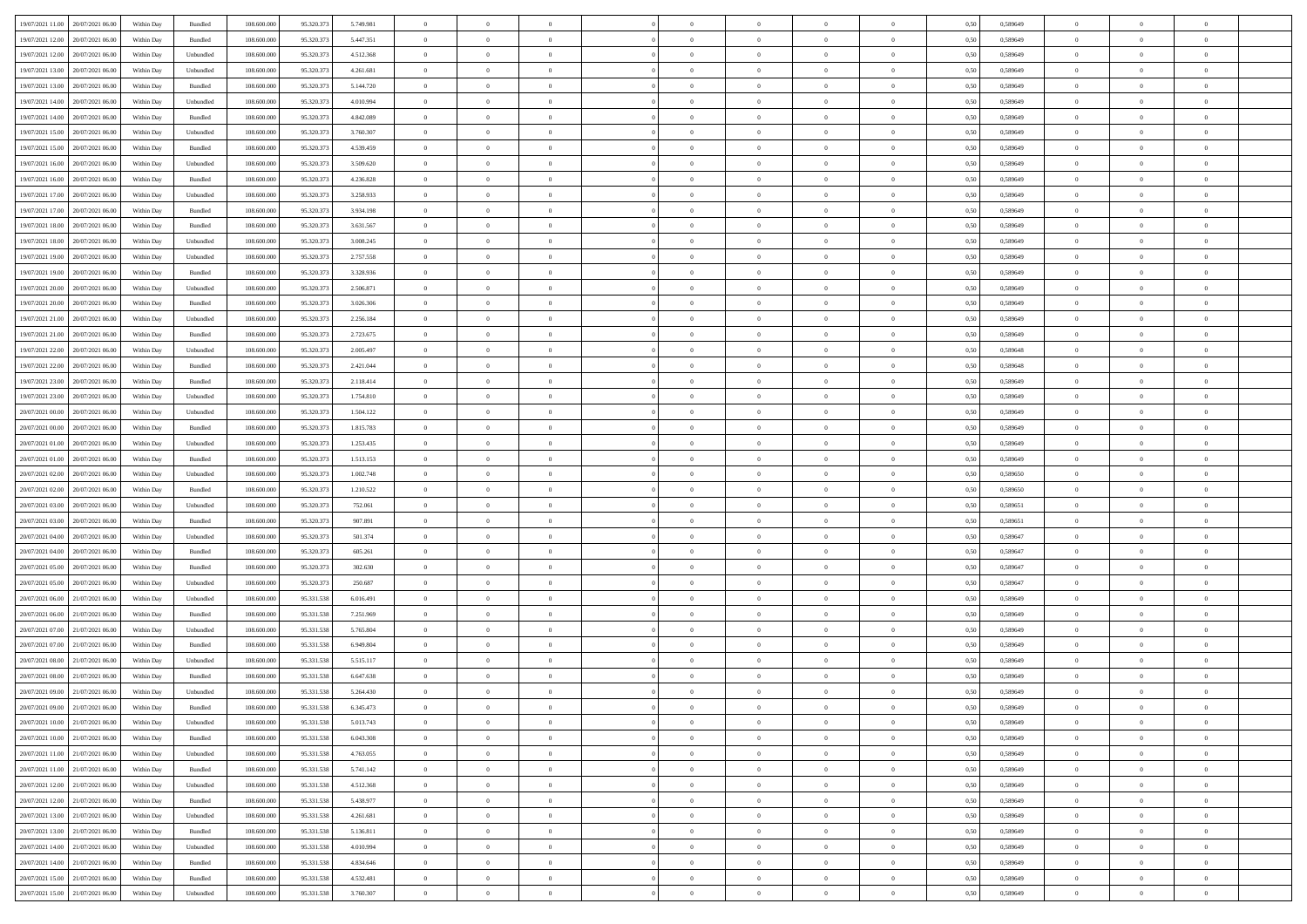|                                            |            |                    |             |            |           | $\overline{0}$ | $\overline{0}$ |                | $\overline{0}$ | $\theta$       |                | $\theta$       |      |          | $\theta$       | $\theta$       | $\overline{0}$ |  |
|--------------------------------------------|------------|--------------------|-------------|------------|-----------|----------------|----------------|----------------|----------------|----------------|----------------|----------------|------|----------|----------------|----------------|----------------|--|
| 19/07/2021 11:00 20/07/2021 06:00          | Within Day | Bundled            | 108.600.000 | 95.320.373 | 5.749.981 |                |                |                |                |                |                |                | 0,50 | 0,589649 |                |                |                |  |
| 19/07/2021 12:00<br>20/07/2021 06:00       | Within Day | Bundled            | 108.600.00  | 95.320.37  | 5.447.351 | $\bf{0}$       | $\bf{0}$       | $\bf{0}$       | $\bf{0}$       | $\overline{0}$ | $\overline{0}$ | $\bf{0}$       | 0,50 | 0,589649 | $\,$ 0 $\,$    | $\bf{0}$       | $\overline{0}$ |  |
| 19/07/2021 12:00<br>20/07/2021 06:00       | Within Day | Unbundled          | 108,600,000 | 95.320.37  | 4.512.368 | $\overline{0}$ | $\bf{0}$       | $\overline{0}$ | $\bf{0}$       | $\overline{0}$ | $\overline{0}$ | $\bf{0}$       | 0.50 | 0.589649 | $\overline{0}$ | $\overline{0}$ | $\bf{0}$       |  |
| 19/07/2021 13:00<br>20/07/2021 06:00       | Within Day | Unbundled          | 108.600.000 | 95.320.373 | 4.261.681 | $\overline{0}$ | $\overline{0}$ | $\overline{0}$ | $\overline{0}$ | $\theta$       | $\overline{0}$ | $\bf{0}$       | 0,50 | 0,589649 | $\theta$       | $\theta$       | $\overline{0}$ |  |
|                                            |            |                    |             |            |           |                |                |                |                |                |                |                |      |          |                |                |                |  |
| 19/07/2021 13:00<br>20/07/2021 06:00       | Within Day | Bundled            | 108.600.00  | 95.320.37  | 5.144.720 | $\bf{0}$       | $\overline{0}$ | $\bf{0}$       | $\overline{0}$ | $\bf{0}$       | $\overline{0}$ | $\bf{0}$       | 0,50 | 0,589649 | $\,$ 0 $\,$    | $\bf{0}$       | $\overline{0}$ |  |
| 19/07/2021 14:00<br>20/07/2021 06:00       | Within Day | Unbundled          | 108,600,000 | 95.320.37  | 4.010.994 | $\overline{0}$ | $\overline{0}$ | $\overline{0}$ | $\bf{0}$       | $\overline{0}$ | $\theta$       | $\bf{0}$       | 0.50 | 0.589649 | $\,$ 0 $\,$    | $\theta$       | $\overline{0}$ |  |
| 19/07/2021 14:00<br>20/07/2021 06:00       | Within Day | Bundled            | 108.600.000 | 95.320.373 | 4.842.089 | $\overline{0}$ | $\overline{0}$ | $\overline{0}$ | $\overline{0}$ | $\overline{0}$ | $\overline{0}$ | $\bf{0}$       | 0,50 | 0,589649 | $\theta$       | $\theta$       | $\overline{0}$ |  |
|                                            |            |                    |             |            |           |                |                |                |                |                |                |                |      |          |                |                |                |  |
| 19/07/2021 15:00<br>20/07/2021 06:00       | Within Day | Unbundled          | 108.600.00  | 95.320.37  | 3.760.307 | $\bf{0}$       | $\bf{0}$       | $\bf{0}$       | $\overline{0}$ | $\overline{0}$ | $\overline{0}$ | $\bf{0}$       | 0,50 | 0,589649 | $\,$ 0 $\,$    | $\bf{0}$       | $\overline{0}$ |  |
| 19/07/2021 15:00<br>20/07/2021 06:00       | Within Day | Bundled            | 108,600,000 | 95.320.37  | 4.539.459 | $\overline{0}$ | $\bf{0}$       | $\overline{0}$ | $\bf{0}$       | $\overline{0}$ | $\overline{0}$ | $\bf{0}$       | 0.50 | 0.589649 | $\bf{0}$       | $\overline{0}$ | $\bf{0}$       |  |
| 19/07/2021 16:00<br>20/07/2021 06:00       | Within Day | Unbundled          | 108.600.000 | 95.320.373 | 3.509.620 | $\bf{0}$       | $\bf{0}$       | $\overline{0}$ | $\overline{0}$ | $\overline{0}$ | $\overline{0}$ | $\bf{0}$       | 0,50 | 0,589649 | $\,$ 0 $\,$    | $\bf{0}$       | $\overline{0}$ |  |
| 19/07/2021 16:00<br>20/07/2021 06:00       | Within Day | Bundled            | 108.600.00  | 95.320.37  | 4.236.828 | $\bf{0}$       | $\bf{0}$       | $\bf{0}$       | $\bf{0}$       | $\overline{0}$ | $\overline{0}$ | $\bf{0}$       | 0,50 | 0,589649 | $\,$ 0 $\,$    | $\bf{0}$       | $\overline{0}$ |  |
| 20/07/2021 06:00                           |            |                    | 108,600,000 | 95.320.37  |           |                |                | $\overline{0}$ |                |                | $\overline{0}$ |                |      |          |                | $\,$ 0 $\,$    | $\,$ 0         |  |
| 19/07/2021 17:00                           | Within Day | Unbundled          |             |            | 3.258.933 | $\overline{0}$ | $\bf{0}$       |                | $\overline{0}$ | $\overline{0}$ |                | $\bf{0}$       | 0.50 | 0.589649 | $\bf{0}$       |                |                |  |
| 19/07/2021 17:00<br>20/07/2021 06:00       | Within Day | Bundled            | 108.600.000 | 95.320.373 | 3.934.198 | $\overline{0}$ | $\overline{0}$ | $\overline{0}$ | $\theta$       | $\theta$       | $\overline{0}$ | $\bf{0}$       | 0,50 | 0,589649 | $\,$ 0 $\,$    | $\theta$       | $\overline{0}$ |  |
| 19/07/2021 18:00<br>20/07/2021 06:00       | Within Day | Bundled            | 108.600.00  | 95.320.37  | 3.631.567 | $\bf{0}$       | $\overline{0}$ | $\bf{0}$       | $\bf{0}$       | $\bf{0}$       | $\overline{0}$ | $\bf{0}$       | 0,50 | 0,589649 | $\,$ 0 $\,$    | $\bf{0}$       | $\overline{0}$ |  |
| 19/07/2021 18:00<br>20/07/2021 06:00       | Within Day | Unbundled          | 108,600,000 | 95.320.37  | 3.008.245 | $\overline{0}$ | $\bf{0}$       | $\overline{0}$ | $\bf{0}$       | $\overline{0}$ | $\theta$       | $\bf{0}$       | 0.50 | 0.589649 | $\,$ 0 $\,$    | $\theta$       | $\overline{0}$ |  |
| 19/07/2021 19:00<br>20/07/2021 06:00       | Within Day | Unbundled          | 108.600.000 | 95.320.373 | 2.757.558 | $\overline{0}$ | $\overline{0}$ | $\overline{0}$ | $\overline{0}$ | $\overline{0}$ | $\overline{0}$ | $\bf{0}$       | 0,50 | 0,589649 | $\theta$       | $\theta$       | $\overline{0}$ |  |
|                                            |            |                    |             |            |           |                |                |                |                |                |                |                |      |          |                |                |                |  |
| 19/07/2021 19:00<br>20/07/2021 06:00       | Within Day | Bundled            | 108.600.00  | 95.320.37  | 3.328.936 | $\bf{0}$       | $\bf{0}$       | $\bf{0}$       | $\overline{0}$ | $\overline{0}$ | $\overline{0}$ | $\bf{0}$       | 0,50 | 0,589649 | $\,$ 0 $\,$    | $\bf{0}$       | $\overline{0}$ |  |
| 19/07/2021 20:00<br>20/07/2021 06:00       | Within Day | Unbundled          | 108 600 000 | 95.320.37  | 2.506.871 | $\overline{0}$ | $\bf{0}$       | $\overline{0}$ | $\bf{0}$       | $\bf{0}$       | $\overline{0}$ | $\bf{0}$       | 0.50 | 0.589649 | $\bf{0}$       | $\overline{0}$ | $\bf{0}$       |  |
| 19/07/2021 20:00<br>20/07/2021 06:00       | Within Day | Bundled            | 108.600.000 | 95.320.373 | 3.026.306 | $\overline{0}$ | $\bf{0}$       | $\overline{0}$ | $\overline{0}$ | $\overline{0}$ | $\overline{0}$ | $\bf{0}$       | 0,50 | 0,589649 | $\,$ 0 $\,$    | $\bf{0}$       | $\overline{0}$ |  |
| 19/07/2021 21:00<br>20/07/2021 06:00       | Within Day | Unbundled          | 108.600.00  | 95.320.37  | 2.256.184 | $\bf{0}$       | $\bf{0}$       | $\bf{0}$       | $\bf{0}$       | $\overline{0}$ | $\overline{0}$ | $\bf{0}$       | 0,50 | 0,589649 | $\,$ 0 $\,$    | $\bf{0}$       | $\overline{0}$ |  |
| 20/07/2021 06:00                           |            | Bundled            | 108,600,000 | 95.320.37  |           |                |                | $\overline{0}$ |                |                | $\overline{0}$ |                |      | 0.589649 |                |                | $\,$ 0         |  |
| 19/07/2021 21:00                           | Within Day |                    |             |            | 2.723.675 | $\overline{0}$ | $\bf{0}$       |                | $\overline{0}$ | $\bf{0}$       |                | $\bf{0}$       | 0.50 |          | $\bf{0}$       | $\overline{0}$ |                |  |
| 19/07/2021 22:00<br>20/07/2021 06:00       | Within Day | Unbundled          | 108.600.000 | 95.320.373 | 2.005.497 | $\overline{0}$ | $\overline{0}$ | $\overline{0}$ | $\overline{0}$ | $\theta$       | $\overline{0}$ | $\bf{0}$       | 0,50 | 0,589648 | $\theta$       | $\theta$       | $\overline{0}$ |  |
| 19/07/2021 22.00<br>20/07/2021 06:00       | Within Day | Bundled            | 108.600.00  | 95.320.37  | 2.421.044 | $\bf{0}$       | $\bf{0}$       | $\bf{0}$       | $\bf{0}$       | $\overline{0}$ | $\overline{0}$ | $\bf{0}$       | 0,50 | 0,589648 | $\,$ 0 $\,$    | $\bf{0}$       | $\overline{0}$ |  |
| 19/07/2021 23:00<br>20/07/2021 06:00       | Within Day | Bundled            | 108 600 000 | 95.320.37  | 2.118.414 | $\overline{0}$ | $\bf{0}$       | $\overline{0}$ | $\bf{0}$       | $\overline{0}$ | $\overline{0}$ | $\bf{0}$       | 0.50 | 0.589649 | $\,$ 0 $\,$    | $\theta$       | $\overline{0}$ |  |
| 19/07/2021 23:00<br>20/07/2021 06:00       | Within Day | Unbundled          | 108.600.000 | 95.320.373 | 1.754.810 | $\overline{0}$ | $\overline{0}$ | $\overline{0}$ | $\overline{0}$ | $\overline{0}$ | $\overline{0}$ | $\bf{0}$       | 0,50 | 0,589649 | $\,$ 0 $\,$    | $\theta$       | $\overline{0}$ |  |
|                                            |            |                    |             |            |           |                |                |                |                |                |                |                |      |          |                |                |                |  |
| 20/07/2021 00:00<br>20/07/2021 06:00       | Within Day | Unbundled          | 108.600.00  | 95.320.37  | 1.504.122 | $\bf{0}$       | $\overline{0}$ | $\bf{0}$       | $\overline{0}$ | $\overline{0}$ | $\overline{0}$ | $\bf{0}$       | 0,50 | 0,589649 | $\,$ 0 $\,$    | $\bf{0}$       | $\overline{0}$ |  |
| 20/07/2021 00:00<br>20/07/2021 06:00       | Within Day | Bundled            | 108,600,000 | 95.320.37  | 1.815.783 | $\overline{0}$ | $\bf{0}$       | $\overline{0}$ | $\bf{0}$       | $\overline{0}$ | $\overline{0}$ | $\bf{0}$       | 0.50 | 0.589649 | $\bf{0}$       | $\overline{0}$ | $\bf{0}$       |  |
| 20/07/2021 01:00<br>20/07/2021 06:00       | Within Day | Unbundled          | 108.600.000 | 95.320.373 | 1.253.435 | $\overline{0}$ | $\bf{0}$       | $\overline{0}$ | $\overline{0}$ | $\overline{0}$ | $\overline{0}$ | $\bf{0}$       | 0,50 | 0,589649 | $\theta$       | $\theta$       | $\overline{0}$ |  |
| 20/07/2021 01:00<br>20/07/2021 06:00       | Within Day | Bundled            | 108.600.00  | 95.320.37  | 1.513.153 | $\bf{0}$       | $\bf{0}$       | $\bf{0}$       | $\bf{0}$       | $\overline{0}$ | $\overline{0}$ | $\bf{0}$       | 0,50 | 0,589649 | $\,$ 0 $\,$    | $\bf{0}$       | $\overline{0}$ |  |
| 20/07/2021 02:00<br>20/07/2021 06:00       | Within Day | Unbundled          | 108,600,000 | 95.320.37  | 1.002.748 | $\overline{0}$ | $\bf{0}$       | $\overline{0}$ | $\bf{0}$       | $\overline{0}$ | $\overline{0}$ | $\bf{0}$       | 0.50 | 0.589650 | $\bf{0}$       | $\,$ 0 $\,$    | $\,$ 0         |  |
|                                            |            |                    |             |            |           |                |                |                |                |                |                |                |      |          |                |                |                |  |
| 20/07/2021 02:00<br>20/07/2021 06:00       | Within Day | Bundled            | 108.600.000 | 95.320.37  | 1.210.522 | $\overline{0}$ | $\overline{0}$ | $\overline{0}$ | $\overline{0}$ | $\overline{0}$ | $\overline{0}$ | $\bf{0}$       | 0.50 | 0.589650 | $\theta$       | $\theta$       | $\overline{0}$ |  |
| 20/07/2021 03:00<br>20/07/2021 06:00       | Within Day | Unbundled          | 108.600.00  | 95.320.37  | 752.061   | $\bf{0}$       | $\bf{0}$       | $\bf{0}$       | $\bf{0}$       | $\overline{0}$ | $\overline{0}$ | $\bf{0}$       | 0,50 | 0,589651 | $\,$ 0 $\,$    | $\bf{0}$       | $\overline{0}$ |  |
| 20/07/2021 03:00<br>20/07/2021 06:00       | Within Day | Bundled            | 108,600,000 | 95.320.37  | 907.891   | $\overline{0}$ | $\bf{0}$       | $\overline{0}$ | $\bf{0}$       | $\overline{0}$ | $\overline{0}$ | $\bf{0}$       | 0.50 | 0.589651 | $\,$ 0 $\,$    | $\bf{0}$       | $\overline{0}$ |  |
| 20/07/2021 04:00<br>20/07/2021 06:00       | Within Dav | Unbundled          | 108.600.000 | 95.320.373 | 501.374   | $\overline{0}$ | $\overline{0}$ | $\overline{0}$ | $\overline{0}$ | $\overline{0}$ | $\overline{0}$ | $\bf{0}$       | 0.50 | 0,589647 | $\theta$       | $\theta$       | $\overline{0}$ |  |
| 20/07/2021 04:00<br>20/07/2021 06:00       | Within Day | Bundled            | 108.600.00  | 95.320.37  | 605.261   | $\bf{0}$       | $\bf{0}$       | $\bf{0}$       | $\bf{0}$       | $\overline{0}$ | $\overline{0}$ | $\bf{0}$       | 0,50 | 0,589647 | $\,$ 0 $\,$    | $\bf{0}$       | $\overline{0}$ |  |
|                                            |            |                    |             |            |           |                |                |                |                |                |                |                |      |          |                |                |                |  |
| 20/07/2021 05:00<br>20/07/2021 06:00       | Within Day | Bundled            | 108,600,000 | 95.320.37  | 302.630   | $\overline{0}$ | $\bf{0}$       | $\overline{0}$ | $\bf{0}$       | $\overline{0}$ | $\overline{0}$ | $\bf{0}$       | 0.50 | 0.589647 | $\bf{0}$       | $\overline{0}$ | $\bf{0}$       |  |
| 20/07/2021 05:00<br>20/07/2021 06:00       | Within Dav | Unbundled          | 108.600.000 | 95.320.373 | 250.687   | $\overline{0}$ | $\overline{0}$ | $\overline{0}$ | $\overline{0}$ | $\overline{0}$ | $\overline{0}$ | $\bf{0}$       | 0.50 | 0.589647 | $\theta$       | $\theta$       | $\overline{0}$ |  |
| 20/07/2021 06:00<br>21/07/2021 06.00       | Within Day | Unbundled          | 108.600.00  | 95.331.538 | 6.016.491 | $\bf{0}$       | $\bf{0}$       | $\bf{0}$       | $\bf{0}$       | $\overline{0}$ | $\bf{0}$       | $\bf{0}$       | 0,50 | 0,589649 | $\,$ 0 $\,$    | $\bf{0}$       | $\overline{0}$ |  |
| 20/07/2021 06:00<br>21/07/2021 06:00       | Within Day | Bundled            | 108,600,000 | 95.331.538 | 7.251.969 | $\overline{0}$ | $\bf{0}$       | $\overline{0}$ | $\overline{0}$ | $\bf{0}$       | $\overline{0}$ | $\bf{0}$       | 0.50 | 0.589649 | $\,$ 0 $\,$    | $\,$ 0 $\,$    | $\,$ 0         |  |
| 20/07/2021 07:00<br>21/07/2021 06:00       | Within Dav | Unbundled          | 108.600.000 | 95.331.538 | 5.765.804 | $\overline{0}$ | $\overline{0}$ | $\overline{0}$ | $\overline{0}$ | $\overline{0}$ | $\overline{0}$ | $\bf{0}$       | 0.50 | 0.589649 | $\theta$       | $\theta$       | $\overline{0}$ |  |
|                                            |            |                    |             |            |           |                |                |                |                |                |                |                |      |          |                |                |                |  |
| 20/07/2021 07:00<br>21/07/2021 06:00       | Within Day | Bundled            | 108.600.00  | 95.331.538 | 6.949.804 | $\bf{0}$       | $\bf{0}$       | $\bf{0}$       | $\bf{0}$       | $\overline{0}$ | $\overline{0}$ | $\bf{0}$       | 0,50 | 0,589649 | $\,$ 0 $\,$    | $\bf{0}$       | $\overline{0}$ |  |
| 20/07/2021 08:00<br>21/07/2021 06:00       | Within Day | Unbundled          | 108,600,000 | 95.331.538 | 5.515.117 | $\overline{0}$ | $\overline{0}$ | $\overline{0}$ | $\bf{0}$       | $\overline{0}$ | $\Omega$       | $\bf{0}$       | 0.50 | 0.589649 | $\bf{0}$       | $\theta$       | $\overline{0}$ |  |
| 20/07/2021 08:00<br>21/07/2021 06:00       | Within Day | Bundled            | 108.600.000 | 95.331.538 | 6.647.638 | $\overline{0}$ | $\overline{0}$ | $\overline{0}$ | $\overline{0}$ | $\theta$       | $\overline{0}$ | $\overline{0}$ | 0.5( | 0.589649 | $\theta$       | $\theta$       | $\overline{0}$ |  |
| 20/07/2021 09:00<br>21/07/2021 06:00       | Within Day | Unbundled          | 108.600.000 | 95.331.538 | 5.264.430 | $\bf{0}$       | $\bf{0}$       | $\bf{0}$       | $\bf{0}$       | $\bf{0}$       | $\overline{0}$ | $\bf{0}$       | 0,50 | 0,589649 | $\overline{0}$ | $\overline{0}$ | $\overline{0}$ |  |
| $20/07/2021~09.00 \qquad 21/07/2021~06.00$ |            | $\mathbf B$ undled | 108.600.000 | 95.331.538 | 6.345.473 |                | $\theta$       |                | $\overline{0}$ | $\Omega$       |                |                |      | 0.589649 |                |                |                |  |
|                                            | Within Day |                    |             |            |           | $\bf{0}$       |                |                |                |                |                |                | 0,50 |          | $\bf{0}$       | $\bf{0}$       |                |  |
| 20/07/2021 10:00 21/07/2021 06:00          | Within Day | Unbundled          | 108.600.000 | 95.331.538 | 5.013.743 | $\overline{0}$ | $\overline{0}$ | $\Omega$       | $\theta$       | $\overline{0}$ | $\overline{0}$ | $\bf{0}$       | 0,50 | 0,589649 | $\theta$       | $\overline{0}$ | $\overline{0}$ |  |
| 20/07/2021 10:00<br>21/07/2021 06:00       | Within Day | Bundled            | 108.600.00  | 95.331.538 | 6.043.308 | $\overline{0}$ | $\bf{0}$       | $\overline{0}$ | $\overline{0}$ | $\bf{0}$       | $\overline{0}$ | $\bf{0}$       | 0,50 | 0,589649 | $\bf{0}$       | $\overline{0}$ | $\bf{0}$       |  |
| 20/07/2021 11:00 21/07/2021 06:00          | Within Day | Unbundled          | 108,600,000 | 95.331.538 | 4.763.055 | $\overline{0}$ | $\bf{0}$       | $\overline{0}$ | $\overline{0}$ | $\mathbf{0}$   | $\overline{0}$ | $\,$ 0 $\,$    | 0.50 | 0.589649 | $\overline{0}$ | $\bf{0}$       | $\bf{0}$       |  |
| 20/07/2021 11:00 21/07/2021 06:00          | Within Dav | Bundled            | 108.600.000 | 95.331.538 | 5.741.142 | $\overline{0}$ | $\overline{0}$ | $\overline{0}$ | $\overline{0}$ | $\overline{0}$ | $\overline{0}$ | $\bf{0}$       | 0,50 | 0.589649 | $\theta$       | $\theta$       | $\overline{0}$ |  |
|                                            |            |                    |             |            |           |                |                |                |                |                |                |                |      |          |                |                |                |  |
| 20/07/2021 12:00 21/07/2021 06:00          | Within Day | Unbundled          | 108.600.000 | 95.331.538 | 4.512.368 | $\overline{0}$ | $\bf{0}$       | $\overline{0}$ | $\overline{0}$ | $\bf{0}$       | $\overline{0}$ | $\bf{0}$       | 0,50 | 0,589649 | $\bf{0}$       | $\overline{0}$ | $\overline{0}$ |  |
| 20/07/2021 12:00 21/07/2021 06:00          | Within Day | Bundled            | 108,600,000 | 95.331.538 | 5.438.977 | $\overline{0}$ | $\bf{0}$       | $\overline{0}$ | $\overline{0}$ | $\bf{0}$       | $\overline{0}$ | $\bf{0}$       | 0.50 | 0.589649 | $\,$ 0 $\,$    | $\overline{0}$ | $\,$ 0         |  |
| 20/07/2021 13:00 21/07/2021 06:00          | Within Dav | Unbundled          | 108.600.000 | 95.331.538 | 4.261.681 | $\overline{0}$ | $\overline{0}$ | $\overline{0}$ | $\overline{0}$ | $\overline{0}$ | $\overline{0}$ | $\bf{0}$       | 0,50 | 0.589649 | $\overline{0}$ | $\theta$       | $\overline{0}$ |  |
| 21/07/2021 06:00<br>20/07/2021 13:00       | Within Day | Bundled            | 108.600.00  | 95.331.538 | 5.136.811 | $\overline{0}$ | $\overline{0}$ | $\overline{0}$ | $\overline{0}$ | $\overline{0}$ | $\overline{0}$ | $\bf{0}$       | 0,50 | 0,589649 | $\bf{0}$       | $\overline{0}$ | $\,$ 0         |  |
|                                            |            |                    |             |            |           |                |                |                |                |                |                |                |      |          |                |                |                |  |
| 20/07/2021 14:00 21/07/2021 06:00          | Within Day | Unbundled          | 108,600,000 | 95.331.538 | 4.010.994 | $\overline{0}$ | $\overline{0}$ | $\overline{0}$ | $\overline{0}$ | $\overline{0}$ | $\overline{0}$ | $\bf{0}$       | 0.50 | 0.589649 | $\mathbf{0}$   | $\bf{0}$       | $\,$ 0         |  |
| 20/07/2021 14:00 21/07/2021 06:00          | Within Dav | Bundled            | 108.600.000 | 95.331.538 | 4.834.646 | $\overline{0}$ | $\overline{0}$ | $\overline{0}$ | $\overline{0}$ | $\overline{0}$ | $\overline{0}$ | $\bf{0}$       | 0,50 | 0.589649 | $\overline{0}$ | $\theta$       | $\overline{0}$ |  |
| 20/07/2021 15:00<br>21/07/2021 06:00       | Within Day | Bundled            | 108.600.00  | 95.331.538 | 4.532.481 | $\overline{0}$ | $\bf{0}$       | $\overline{0}$ | $\overline{0}$ | $\overline{0}$ | $\overline{0}$ | $\bf{0}$       | 0,50 | 0,589649 | $\bf{0}$       | $\,0\,$        | $\bf{0}$       |  |
| 20/07/2021 15:00 21/07/2021 06:00          | Within Day | ${\sf Unbundred}$  | 108.600.000 | 95.331.538 | 3.760.307 | $\,$ 0 $\,$    | $\bf{0}$       | $\overline{0}$ | $\overline{0}$ | $\,$ 0 $\,$    | $\overline{0}$ | $\,$ 0 $\,$    | 0,50 | 0,589649 | $\overline{0}$ | $\,$ 0 $\,$    | $\,$ 0 $\,$    |  |
|                                            |            |                    |             |            |           |                |                |                |                |                |                |                |      |          |                |                |                |  |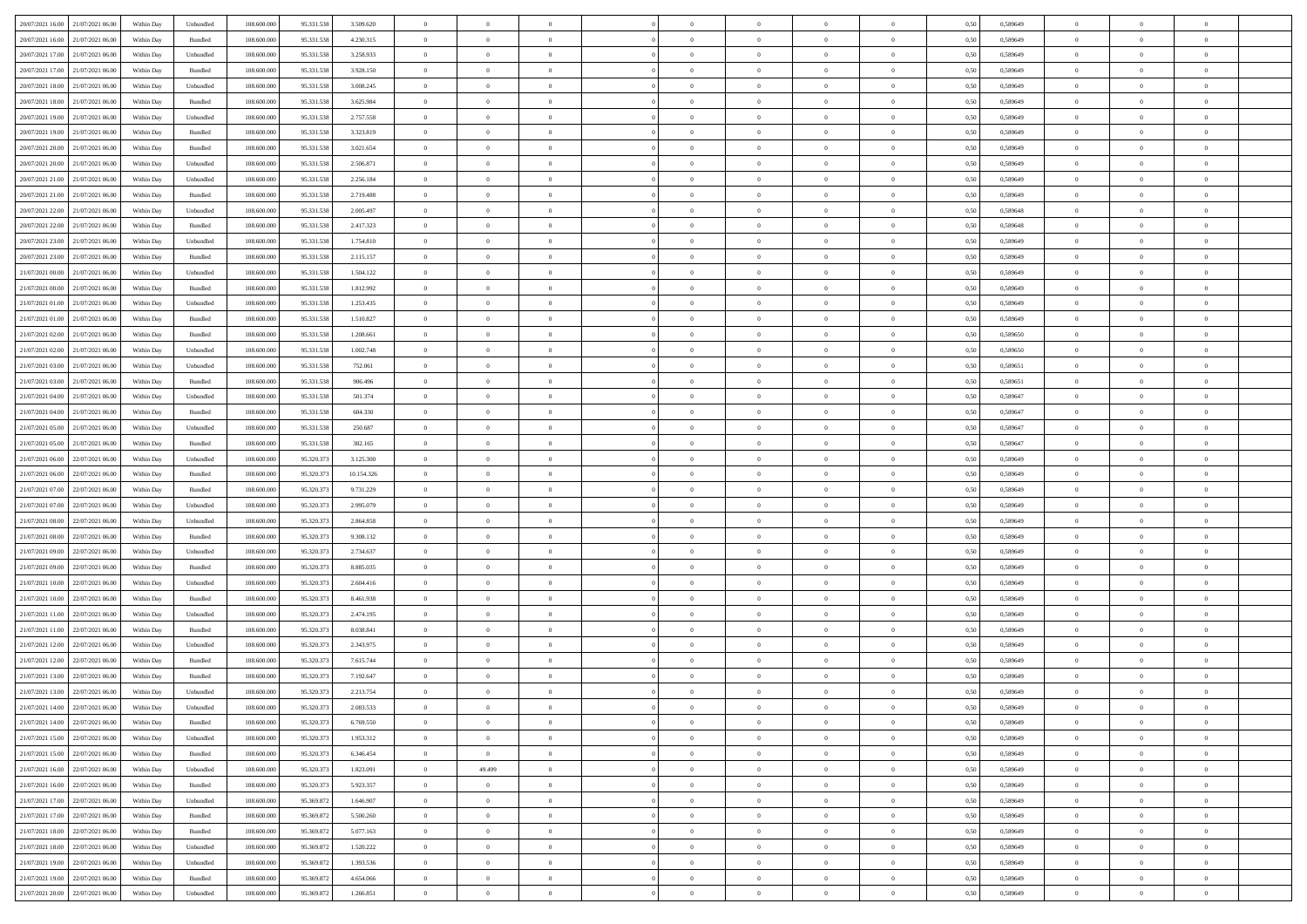|                                      |            |                             |             |            |            | $\overline{0}$ | $\overline{0}$ |                | $\overline{0}$ | $\theta$       |                | $\theta$       |      |          | $\theta$       | $\theta$       | $\overline{0}$ |  |
|--------------------------------------|------------|-----------------------------|-------------|------------|------------|----------------|----------------|----------------|----------------|----------------|----------------|----------------|------|----------|----------------|----------------|----------------|--|
| 20/07/2021 16:00 21/07/2021 06:00    | Within Day | Unbundled                   | 108.600.000 | 95.331.538 | 3.509.620  |                |                |                |                |                |                |                | 0,50 | 0,589649 |                |                |                |  |
| 20/07/2021 16:00<br>21/07/2021 06:00 | Within Day | Bundled                     | 108.600.00  | 95.331.538 | 4.230.315  | $\bf{0}$       | $\bf{0}$       | $\bf{0}$       | $\bf{0}$       | $\overline{0}$ | $\overline{0}$ | $\bf{0}$       | 0,50 | 0,589649 | $\,$ 0 $\,$    | $\bf{0}$       | $\overline{0}$ |  |
| 20/07/2021 17:00<br>21/07/2021 06:00 | Within Day | Unbundled                   | 108,600,000 | 95.331.538 | 3.258.933  | $\overline{0}$ | $\bf{0}$       | $\overline{0}$ | $\bf{0}$       | $\overline{0}$ | $\overline{0}$ | $\bf{0}$       | 0.50 | 0.589649 | $\bf{0}$       | $\overline{0}$ | $\bf{0}$       |  |
| 20/07/2021 17:00<br>21/07/2021 06:00 |            |                             | 108.600.000 |            |            | $\overline{0}$ | $\overline{0}$ | $\overline{0}$ | $\overline{0}$ | $\theta$       | $\overline{0}$ |                |      |          | $\,$ 0 $\,$    | $\,$ 0 $\,$    | $\overline{0}$ |  |
|                                      | Within Day | Bundled                     |             | 95.331.538 | 3.928.150  |                |                |                |                |                |                | $\bf{0}$       | 0,50 | 0,589649 |                |                |                |  |
| 20/07/2021 18:00<br>21/07/2021 06.00 | Within Day | Unbundled                   | 108.600.00  | 95.331.538 | 3.008.245  | $\bf{0}$       | $\overline{0}$ | $\bf{0}$       | $\overline{0}$ | $\bf{0}$       | $\overline{0}$ | $\bf{0}$       | 0,50 | 0,589649 | $\,$ 0 $\,$    | $\bf{0}$       | $\overline{0}$ |  |
| 20/07/2021 18:00<br>21/07/2021 06:00 | Within Day | Bundled                     | 108,600,000 | 95.331.538 | 3.625.984  | $\overline{0}$ | $\bf{0}$       | $\overline{0}$ | $\bf{0}$       | $\overline{0}$ | $\overline{0}$ | $\bf{0}$       | 0.50 | 0.589649 | $\,$ 0 $\,$    | $\theta$       | $\overline{0}$ |  |
| 20/07/2021 19:00<br>21/07/2021 06:00 | Within Day | Unbundled                   | 108.600.000 | 95.331.538 | 2.757.558  | $\overline{0}$ | $\overline{0}$ | $\overline{0}$ | $\overline{0}$ | $\overline{0}$ | $\overline{0}$ | $\bf{0}$       | 0,50 | 0,589649 | $\,$ 0 $\,$    | $\theta$       | $\overline{0}$ |  |
|                                      |            |                             |             |            |            |                |                |                |                |                |                |                |      |          |                |                |                |  |
| 20/07/2021 19:00<br>21/07/2021 06:00 | Within Day | Bundled                     | 108.600.00  | 95.331.538 | 3.323.819  | $\bf{0}$       | $\bf{0}$       | $\bf{0}$       | $\bf{0}$       | $\overline{0}$ | $\overline{0}$ | $\bf{0}$       | 0,50 | 0,589649 | $\,$ 0 $\,$    | $\bf{0}$       | $\overline{0}$ |  |
| 20/07/2021 20:00<br>21/07/2021 06:00 | Within Day | Bundled                     | 108,600,000 | 95.331.538 | 3.021.654  | $\overline{0}$ | $\bf{0}$       | $\overline{0}$ | $\bf{0}$       | $\overline{0}$ | $\overline{0}$ | $\bf{0}$       | 0.50 | 0.589649 | $\bf{0}$       | $\overline{0}$ | $\overline{0}$ |  |
| 20/07/2021 20:00<br>21/07/2021 06:00 | Within Day | Unbundled                   | 108.600.000 | 95.331.538 | 2.506.871  | $\bf{0}$       | $\bf{0}$       | $\overline{0}$ | $\overline{0}$ | $\overline{0}$ | $\overline{0}$ | $\bf{0}$       | 0,50 | 0,589649 | $\,$ 0 $\,$    | $\,$ 0 $\,$    | $\overline{0}$ |  |
|                                      |            |                             |             |            |            |                |                |                |                |                |                |                |      |          |                |                |                |  |
| 20/07/2021 21:00<br>21/07/2021 06:00 | Within Day | Unbundled                   | 108.600.00  | 95.331.538 | 2.256.184  | $\bf{0}$       | $\bf{0}$       | $\bf{0}$       | $\bf{0}$       | $\overline{0}$ | $\overline{0}$ | $\bf{0}$       | 0,50 | 0,589649 | $\,$ 0 $\,$    | $\bf{0}$       | $\overline{0}$ |  |
| 20/07/2021 21:00<br>21/07/2021 06:00 | Within Day | Bundled                     | 108,600,000 | 95.331.538 | 2.719.488  | $\overline{0}$ | $\bf{0}$       | $\overline{0}$ | $\overline{0}$ | $\overline{0}$ | $\overline{0}$ | $\bf{0}$       | 0.50 | 0.589649 | $\bf{0}$       | $\,$ 0 $\,$    | $\,$ 0         |  |
| 20/07/2021 22:00<br>21/07/2021 06:00 | Within Day | Unbundled                   | 108.600.000 | 95.331.538 | 2.005.497  | $\overline{0}$ | $\bf{0}$       | $\overline{0}$ | $\theta$       | $\theta$       | $\overline{0}$ | $\bf{0}$       | 0,50 | 0,589648 | $\,$ 0 $\,$    | $\,$ 0 $\,$    | $\overline{0}$ |  |
| 20/07/2021 22:00<br>21/07/2021 06:00 | Within Day | Bundled                     | 108.600.00  | 95.331.538 | 2.417.323  | $\bf{0}$       | $\bf{0}$       | $\bf{0}$       | $\bf{0}$       | $\bf{0}$       | $\overline{0}$ | $\bf{0}$       | 0,50 | 0,589648 | $\,$ 0 $\,$    | $\bf{0}$       | $\overline{0}$ |  |
|                                      |            |                             |             |            |            |                |                |                |                |                |                |                |      |          |                |                |                |  |
| 20/07/2021 23:00<br>21/07/2021 06:00 | Within Day | Unbundled                   | 108,600,000 | 95.331.538 | 1.754.810  | $\overline{0}$ | $\bf{0}$       | $\overline{0}$ | $\bf{0}$       | $\overline{0}$ | $\overline{0}$ | $\bf{0}$       | 0.50 | 0.589649 | $\,$ 0 $\,$    | $\bf{0}$       | $\overline{0}$ |  |
| 20/07/2021 23:00<br>21/07/2021 06:00 | Within Day | Bundled                     | 108.600.000 | 95.331.538 | 2.115.157  | $\overline{0}$ | $\overline{0}$ | $\overline{0}$ | $\overline{0}$ | $\overline{0}$ | $\overline{0}$ | $\bf{0}$       | 0,50 | 0,589649 | $\theta$       | $\theta$       | $\overline{0}$ |  |
| 21/07/2021 00:00<br>21/07/2021 06:00 | Within Day | Unbundled                   | 108.600.00  | 95.331.538 | 1.504.122  | $\bf{0}$       | $\bf{0}$       | $\bf{0}$       | $\overline{0}$ | $\overline{0}$ | $\overline{0}$ | $\bf{0}$       | 0,50 | 0,589649 | $\,$ 0 $\,$    | $\bf{0}$       | $\overline{0}$ |  |
|                                      |            |                             |             |            |            |                |                |                |                |                |                |                |      |          |                |                |                |  |
| 21/07/2021 00:00<br>21/07/2021 06:00 | Within Day | Bundled                     | 108,600,000 | 95.331.538 | 1.812.992  | $\overline{0}$ | $\bf{0}$       | $\overline{0}$ | $\bf{0}$       | $\bf{0}$       | $\overline{0}$ | $\bf{0}$       | 0.50 | 0.589649 | $\bf{0}$       | $\overline{0}$ | $\bf{0}$       |  |
| 21/07/2021 01:00<br>21/07/2021 06:00 | Within Day | Unbundled                   | 108.600.000 | 95.331.538 | 1.253.435  | $\overline{0}$ | $\bf{0}$       | $\overline{0}$ | $\overline{0}$ | $\overline{0}$ | $\overline{0}$ | $\bf{0}$       | 0,50 | 0,589649 | $\,$ 0 $\,$    | $\bf{0}$       | $\overline{0}$ |  |
| 21/07/2021 01:00<br>21/07/2021 06:00 | Within Day | Bundled                     | 108.600.00  | 95.331.538 | 1.510.827  | $\bf{0}$       | $\bf{0}$       | $\bf{0}$       | $\bf{0}$       | $\overline{0}$ | $\overline{0}$ | $\bf{0}$       | 0,50 | 0,589649 | $\,$ 0 $\,$    | $\bf{0}$       | $\overline{0}$ |  |
| 21/07/2021 02:00<br>21/07/2021 06:00 | Within Day | Bundled                     | 108,600,000 | 95.331.538 | 1.208.661  | $\overline{0}$ | $\bf{0}$       | $\overline{0}$ | $\overline{0}$ | $\bf{0}$       | $\overline{0}$ | $\bf{0}$       | 0.50 | 0.589650 | $\bf{0}$       | $\,$ 0 $\,$    | $\,$ 0         |  |
|                                      |            |                             |             |            |            | $\overline{0}$ |                |                |                |                |                |                |      |          | $\theta$       | $\theta$       |                |  |
| 21/07/2021 02:00<br>21/07/2021 06:00 | Within Day | Unbundled                   | 108.600.000 | 95.331.538 | 1.002.748  |                | $\overline{0}$ | $\overline{0}$ | $\overline{0}$ | $\theta$       | $\overline{0}$ | $\bf{0}$       | 0,50 | 0,589650 |                |                | $\overline{0}$ |  |
| 21/07/2021 03:00<br>21/07/2021 06:00 | Within Day | Unbundled                   | 108.600.00  | 95.331.538 | 752.061    | $\bf{0}$       | $\bf{0}$       | $\bf{0}$       | $\bf{0}$       | $\overline{0}$ | $\overline{0}$ | $\bf{0}$       | 0,50 | 0,589651 | $\,$ 0 $\,$    | $\bf{0}$       | $\overline{0}$ |  |
| 21/07/2021 03:00<br>21/07/2021 06:00 | Within Day | Bundled                     | 108,600,000 | 95.331.538 | 906.496    | $\overline{0}$ | $\bf{0}$       | $\overline{0}$ | $\bf{0}$       | $\overline{0}$ | $\overline{0}$ | $\bf{0}$       | 0.50 | 0.589651 | $\,$ 0 $\,$    | $\overline{0}$ | $\overline{0}$ |  |
| 21/07/2021 04:00<br>21/07/2021 06:00 | Within Day | Unbundled                   | 108.600.000 | 95.331.538 | 501.374    | $\overline{0}$ | $\overline{0}$ | $\overline{0}$ | $\overline{0}$ | $\overline{0}$ | $\overline{0}$ | $\bf{0}$       | 0,50 | 0,589647 | $\,$ 0 $\,$    | $\theta$       | $\overline{0}$ |  |
|                                      |            |                             |             |            |            |                |                |                |                |                |                |                |      |          |                |                |                |  |
| 21/07/2021 04:00<br>21/07/2021 06:00 | Within Day | Bundled                     | 108.600.00  | 95.331.538 | 604.330    | $\bf{0}$       | $\overline{0}$ | $\bf{0}$       | $\overline{0}$ | $\overline{0}$ | $\overline{0}$ | $\bf{0}$       | 0,50 | 0,589647 | $\,$ 0 $\,$    | $\bf{0}$       | $\overline{0}$ |  |
| 21/07/2021 05:00<br>21/07/2021 06:00 | Within Day | Unbundled                   | 108,600,000 | 95.331.538 | 250.687    | $\overline{0}$ | $\bf{0}$       | $\overline{0}$ | $\bf{0}$       | $\overline{0}$ | $\overline{0}$ | $\bf{0}$       | 0.50 | 0.589647 | $\bf{0}$       | $\overline{0}$ | $\overline{0}$ |  |
| 21/07/2021 05:00<br>21/07/2021 06:00 | Within Day | Bundled                     | 108.600.000 | 95.331.538 | 302.165    | $\overline{0}$ | $\bf{0}$       | $\overline{0}$ | $\overline{0}$ | $\overline{0}$ | $\overline{0}$ | $\bf{0}$       | 0,50 | 0,589647 | $\theta$       | $\bf{0}$       | $\overline{0}$ |  |
| 21/07/2021 06:00<br>22/07/2021 06:00 | Within Day | Unbundled                   | 108.600.00  | 95.320.37  | 3.125.300  | $\bf{0}$       | $\bf{0}$       | $\bf{0}$       | $\bf{0}$       | $\overline{0}$ | $\overline{0}$ | $\bf{0}$       | 0,50 | 0,589649 | $\,$ 0 $\,$    | $\bf{0}$       | $\overline{0}$ |  |
|                                      |            |                             |             |            |            |                |                |                |                |                |                |                |      |          |                |                |                |  |
| 21/07/2021 06:00<br>22/07/2021 06:00 | Within Day | Bundled                     | 108,600,000 | 95.320.37  | 10.154.326 | $\overline{0}$ | $\bf{0}$       | $\overline{0}$ | $\overline{0}$ | $\overline{0}$ | $\overline{0}$ | $\bf{0}$       | 0.50 | 0.589649 | $\bf{0}$       | $\,$ 0 $\,$    | $\,$ 0         |  |
| 21/07/2021 07:00<br>22/07/2021 06:00 | Within Day | Bundled                     | 108.600.000 | 95.320.37  | 9.731.229  | $\overline{0}$ | $\overline{0}$ | $\overline{0}$ | $\overline{0}$ | $\overline{0}$ | $\overline{0}$ | $\bf{0}$       | 0.50 | 0.589649 | $\theta$       | $\theta$       | $\overline{0}$ |  |
| 21/07/2021 07:00<br>22/07/2021 06.00 | Within Day | Unbundled                   | 108.600.00  | 95.320.37  | 2.995.079  | $\bf{0}$       | $\bf{0}$       | $\bf{0}$       | $\bf{0}$       | $\overline{0}$ | $\overline{0}$ | $\bf{0}$       | 0,50 | 0,589649 | $\,$ 0 $\,$    | $\bf{0}$       | $\overline{0}$ |  |
| 21/07/2021 08:00<br>22/07/2021 06:00 | Within Day | Unbundled                   | 108,600,000 | 95.320.37  | 2.864.858  | $\overline{0}$ | $\bf{0}$       | $\overline{0}$ | $\bf{0}$       | $\overline{0}$ | $\overline{0}$ | $\bf{0}$       | 0.50 | 0.589649 | $\,$ 0 $\,$    | $\bf{0}$       | $\overline{0}$ |  |
|                                      |            |                             |             |            |            |                |                |                |                |                |                |                |      |          |                |                |                |  |
| 21/07/2021 08:00<br>22/07/2021 06:00 | Within Dav | Bundled                     | 108.600.000 | 95.320.37  | 9.308.132  | $\overline{0}$ | $\overline{0}$ | $\overline{0}$ | $\overline{0}$ | $\overline{0}$ | $\overline{0}$ | $\bf{0}$       | 0.50 | 0.589649 | $\theta$       | $\theta$       | $\overline{0}$ |  |
| 21/07/2021 09:00<br>22/07/2021 06.00 | Within Day | Unbundled                   | 108.600.00  | 95.320.37  | 2.734.637  | $\bf{0}$       | $\bf{0}$       | $\bf{0}$       | $\bf{0}$       | $\overline{0}$ | $\overline{0}$ | $\bf{0}$       | 0,50 | 0,589649 | $\,$ 0 $\,$    | $\bf{0}$       | $\overline{0}$ |  |
| 21/07/2021 09:00<br>22/07/2021 06:00 | Within Day | Bundled                     | 108,600,000 | 95.320.37  | 8.885.035  | $\overline{0}$ | $\bf{0}$       | $\overline{0}$ | $\bf{0}$       | $\overline{0}$ | $\overline{0}$ | $\bf{0}$       | 0.50 | 0.589649 | $\bf{0}$       | $\overline{0}$ | $\bf{0}$       |  |
| 21/07/2021 10:00<br>22/07/2021 06:00 | Within Day | Unbundled                   | 108.600.000 | 95.320.37  | 2.604.416  | $\overline{0}$ | $\overline{0}$ | $\overline{0}$ | $\overline{0}$ | $\overline{0}$ | $\overline{0}$ | $\bf{0}$       | 0.50 | 0.589649 | $\theta$       | $\theta$       | $\overline{0}$ |  |
|                                      |            |                             |             |            |            |                |                |                |                |                |                |                |      |          |                |                |                |  |
| 21/07/2021 10:00<br>22/07/2021 06.00 | Within Day | Bundled                     | 108.600.00  | 95.320.37  | 8.461.938  | $\bf{0}$       | $\bf{0}$       | $\bf{0}$       | $\bf{0}$       | $\overline{0}$ | $\overline{0}$ | $\bf{0}$       | 0,50 | 0,589649 | $\,$ 0 $\,$    | $\bf{0}$       | $\overline{0}$ |  |
| 21/07/2021 11:00<br>22/07/2021 06:00 | Within Day | Unbundled                   | 108,600,000 | 95.320.37  | 2.474.195  | $\overline{0}$ | $\bf{0}$       | $\overline{0}$ | $\overline{0}$ | $\bf{0}$       | $\overline{0}$ | $\bf{0}$       | 0.50 | 0.589649 | $\bf{0}$       | $\,$ 0 $\,$    | $\,$ 0         |  |
| 21/07/2021 11:00<br>22/07/2021 06:00 | Within Dav | Bundled                     | 108.600.000 | 95.320.373 | 8.038.841  | $\overline{0}$ | $\overline{0}$ | $\overline{0}$ | $\overline{0}$ | $\overline{0}$ | $\overline{0}$ | $\bf{0}$       | 0.50 | 0.589649 | $\theta$       | $\theta$       | $\overline{0}$ |  |
| 21/07/2021 12:00<br>22/07/2021 06.00 | Within Day | Unbundled                   | 108.600.00  | 95.320.37  | 2.343.975  | $\bf{0}$       | $\bf{0}$       | $\bf{0}$       | $\bf{0}$       | $\overline{0}$ | $\overline{0}$ | $\bf{0}$       | 0,50 | 0,589649 | $\,$ 0 $\,$    | $\bf{0}$       | $\overline{0}$ |  |
|                                      |            |                             |             |            |            |                |                |                |                |                |                |                |      |          |                |                |                |  |
| 21/07/2021 12:00<br>22/07/2021 06:00 | Within Day | Bundled                     | 108,600,000 | 95.320.37  | 7.615.744  | $\overline{0}$ | $\bf{0}$       | $\overline{0}$ | $\bf{0}$       | $\overline{0}$ | $\overline{0}$ | $\bf{0}$       | 0.50 | 0.589649 | $\bf{0}$       | $\theta$       | $\overline{0}$ |  |
| 21/07/2021 13:00<br>22/07/2021 06:00 | Within Day | Bundled                     | 108.600.000 | 95.320.37  | 7.192.647  | $\overline{0}$ | $\overline{0}$ | $\overline{0}$ | $\overline{0}$ | $\theta$       | $\overline{0}$ | $\overline{0}$ | 0.5( | 0.589649 | $\theta$       | $\theta$       | $\overline{0}$ |  |
| 21/07/2021 13:00<br>22/07/2021 06:00 | Within Day | Unbundled                   | 108.600.000 | 95.320.37  | 2.213.754  | $\bf{0}$       | $\bf{0}$       | $\bf{0}$       | $\bf{0}$       | $\bf{0}$       | $\overline{0}$ | $\bf{0}$       | 0,50 | 0,589649 | $\,$ 0 $\,$    | $\overline{0}$ | $\overline{0}$ |  |
| 21/07/2021 14:00 22/07/2021 06:00    | Within Day | $\ensuremath{\mathsf{Unb}}$ | 108.600.000 | 95.320.373 | 2.083.533  | $\bf{0}$       | $\bf{0}$       |                | $\overline{0}$ | $\bf{0}$       |                |                | 0,50 | 0.589649 | $\bf{0}$       | $\bf{0}$       |                |  |
|                                      |            |                             |             |            |            |                |                |                |                |                |                |                |      |          |                |                |                |  |
| 21/07/2021 14:00 22/07/2021 06:00    | Within Day | Bundled                     | 108.600.000 | 95.320.373 | 6.769.550  | $\overline{0}$ | $\overline{0}$ | $\Omega$       | $\theta$       | $\overline{0}$ | $\overline{0}$ | $\bf{0}$       | 0,50 | 0,589649 | $\theta$       | $\theta$       | $\overline{0}$ |  |
| 21/07/2021 15:00<br>22/07/2021 06:00 | Within Day | Unbundled                   | 108.600.00  | 95.320.37  | 1.953.312  | $\overline{0}$ | $\bf{0}$       | $\overline{0}$ | $\overline{0}$ | $\bf{0}$       | $\overline{0}$ | $\bf{0}$       | 0,50 | 0,589649 | $\bf{0}$       | $\overline{0}$ | $\bf{0}$       |  |
| 21/07/2021 15:00 22/07/2021 06:00    | Within Day | Bundled                     | 108,600,000 | 95.320.373 | 6.346.454  | $\overline{0}$ | $\overline{0}$ | $\overline{0}$ | $\overline{0}$ | $\mathbf{0}$   | $\overline{0}$ | $\,$ 0 $\,$    | 0.50 | 0.589649 | $\overline{0}$ | $\bf{0}$       | $\bf{0}$       |  |
| 21/07/2021 16:00 22/07/2021 06:00    | Within Dav | Unbundled                   | 108.600.000 | 95.320.373 | 1.823.091  | $\overline{0}$ | 49.499         | $\overline{0}$ | $\overline{0}$ | $\overline{0}$ | $\overline{0}$ | $\bf{0}$       | 0.50 | 0.589649 | $\overline{0}$ | $\theta$       | $\overline{0}$ |  |
|                                      |            |                             |             |            |            |                |                |                |                |                |                |                |      |          |                |                |                |  |
| 21/07/2021 16:00<br>22/07/2021 06:00 | Within Day | Bundled                     | 108.600.000 | 95.320.373 | 5.923.357  | $\overline{0}$ | $\bf{0}$       | $\overline{0}$ | $\overline{0}$ | $\bf{0}$       | $\overline{0}$ | $\bf{0}$       | 0,50 | 0,589649 | $\bf{0}$       | $\overline{0}$ | $\overline{0}$ |  |
| 21/07/2021 17:00 22/07/2021 06:00    | Within Day | Unbundled                   | 108,600,000 | 95.369.872 | 1.646.907  | $\overline{0}$ | $\bf{0}$       | $\overline{0}$ | $\overline{0}$ | $\bf{0}$       | $\overline{0}$ | $\bf{0}$       | 0.50 | 0.589649 | $\,$ 0 $\,$    | $\overline{0}$ | $\,$ 0         |  |
| 21/07/2021 17:00 22/07/2021 06:00    | Within Dav | Bundled                     | 108.600.000 | 95.369.872 | 5.500.260  | $\overline{0}$ | $\overline{0}$ | $\overline{0}$ | $\overline{0}$ | $\overline{0}$ | $\overline{0}$ | $\bf{0}$       | 0.50 | 0.589649 | $\overline{0}$ | $\theta$       | $\overline{0}$ |  |
| 22/07/2021 06:00<br>21/07/2021 18:00 |            |                             |             |            |            |                | $\overline{0}$ |                |                | $\overline{0}$ |                |                |      |          | $\bf{0}$       | $\overline{0}$ | $\,$ 0         |  |
|                                      | Within Day | Bundled                     | 108.600.00  | 95.369.872 | 5.077.163  | $\overline{0}$ |                | $\overline{0}$ | $\overline{0}$ |                | $\overline{0}$ | $\bf{0}$       | 0,50 | 0,589649 |                |                |                |  |
| 21/07/2021 18:00 22/07/2021 06:00    | Within Day | Unbundled                   | 108,600,000 | 95.369.872 | 1.520.222  | $\overline{0}$ | $\overline{0}$ | $\overline{0}$ | $\overline{0}$ | $\overline{0}$ | $\overline{0}$ | $\bf{0}$       | 0.50 | 0.589649 | $\mathbf{0}$   | $\bf{0}$       | $\,$ 0         |  |
| 21/07/2021 19:00 22/07/2021 06:00    | Within Dav | Unbundled                   | 108.600.000 | 95.369.872 | 1.393.536  | $\overline{0}$ | $\overline{0}$ | $\overline{0}$ | $\overline{0}$ | $\overline{0}$ | $\overline{0}$ | $\bf{0}$       | 0.50 | 0.589649 | $\overline{0}$ | $\theta$       | $\overline{0}$ |  |
| 21/07/2021 19:00<br>22/07/2021 06:00 | Within Day | Bundled                     | 108.600.00  | 95.369.872 | 4.654.066  | $\overline{0}$ | $\bf{0}$       | $\overline{0}$ | $\bf{0}$       | $\overline{0}$ | $\overline{0}$ | $\bf{0}$       | 0,50 | 0,589649 | $\bf{0}$       | $\,0\,$        | $\bf{0}$       |  |
|                                      |            |                             |             |            |            |                |                |                |                |                |                |                |      |          |                |                |                |  |
| 21/07/2021 20:00 22/07/2021 06:00    | Within Day | ${\sf Unbundred}$           | 108.600.000 | 95.369.872 | 1.266.851  | $\,$ 0 $\,$    | $\bf{0}$       | $\overline{0}$ | $\overline{0}$ | $\,$ 0 $\,$    | $\overline{0}$ | $\bf{0}$       | 0,50 | 0,589649 | $\overline{0}$ | $\,$ 0 $\,$    | $\,$ 0 $\,$    |  |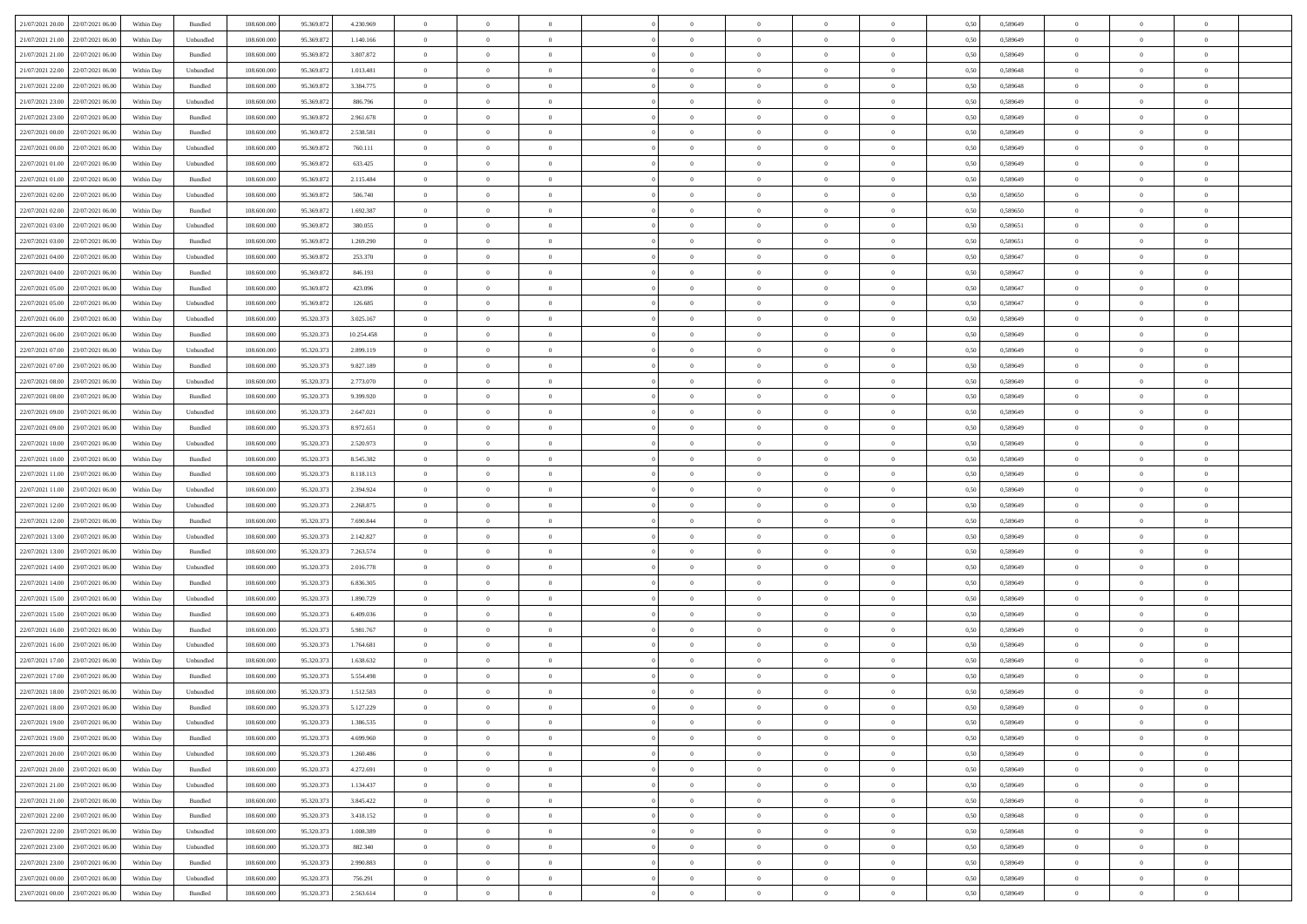| 21/07/2021 20.00 22/07/2021 06:00    | Within Day | Bundled            | 108.600.000 | 95.369.872 | 4.230.969  | $\overline{0}$ | $\overline{0}$ |                | $\overline{0}$ | $\theta$       |                | $\theta$       | 0,50 | 0,589649 | $\theta$       | $\theta$       | $\overline{0}$ |  |
|--------------------------------------|------------|--------------------|-------------|------------|------------|----------------|----------------|----------------|----------------|----------------|----------------|----------------|------|----------|----------------|----------------|----------------|--|
|                                      |            |                    |             |            |            |                |                |                |                |                |                |                |      |          |                |                |                |  |
| 21/07/2021 21:00<br>22/07/2021 06:00 | Within Day | Unbundled          | 108.600.00  | 95.369.87  | 1.140.166  | $\bf{0}$       | $\bf{0}$       | $\bf{0}$       | $\bf{0}$       | $\overline{0}$ | $\overline{0}$ | $\bf{0}$       | 0,50 | 0,589649 | $\,$ 0 $\,$    | $\bf{0}$       | $\overline{0}$ |  |
| 21/07/2021 21:00<br>22/07/2021 06:00 | Within Day | Bundled            | 108,600,000 | 95.369.87  | 3.807.872  | $\overline{0}$ | $\bf{0}$       | $\overline{0}$ | $\bf{0}$       | $\bf{0}$       | $\overline{0}$ | $\bf{0}$       | 0.50 | 0.589649 | $\overline{0}$ | $\overline{0}$ | $\bf{0}$       |  |
| 21/07/2021 22:00<br>22/07/2021 06:00 | Within Day | Unbundled          | 108.600.000 | 95.369.872 | 1.013.481  | $\overline{0}$ | $\overline{0}$ | $\overline{0}$ | $\overline{0}$ | $\theta$       | $\overline{0}$ | $\bf{0}$       | 0,50 | 0,589648 | $\theta$       | $\theta$       | $\overline{0}$ |  |
| 21/07/2021 22.00<br>22/07/2021 06.00 | Within Day | Bundled            | 108.600.00  | 95.369.87  | 3.384.775  | $\bf{0}$       | $\overline{0}$ | $\bf{0}$       | $\overline{0}$ | $\bf{0}$       | $\overline{0}$ | $\bf{0}$       | 0,50 | 0,589648 | $\,$ 0 $\,$    | $\bf{0}$       | $\overline{0}$ |  |
| 21/07/2021 23:00<br>22/07/2021 06:00 | Within Day | Unbundled          | 108,600,000 | 95.369.87  | 886,796    | $\overline{0}$ | $\overline{0}$ | $\overline{0}$ | $\bf{0}$       | $\overline{0}$ | $\overline{0}$ | $\bf{0}$       | 0.50 | 0.589649 | $\,$ 0 $\,$    | $\theta$       | $\overline{0}$ |  |
|                                      |            |                    |             |            |            | $\overline{0}$ | $\overline{0}$ | $\overline{0}$ | $\overline{0}$ | $\overline{0}$ | $\overline{0}$ |                |      |          | $\theta$       | $\theta$       |                |  |
| 21/07/2021 23:00<br>22/07/2021 06:00 | Within Day | Bundled            | 108.600.000 | 95.369.872 | 2.961.678  |                |                |                |                |                |                | $\bf{0}$       | 0,50 | 0,589649 |                |                | $\overline{0}$ |  |
| 22/07/2021 00:00<br>22/07/2021 06.00 | Within Day | Bundled            | 108.600.00  | 95.369.87  | 2.538.581  | $\bf{0}$       | $\bf{0}$       | $\bf{0}$       | $\overline{0}$ | $\overline{0}$ | $\overline{0}$ | $\bf{0}$       | 0,50 | 0,589649 | $\,$ 0 $\,$    | $\bf{0}$       | $\overline{0}$ |  |
| 22/07/2021 00:00<br>22/07/2021 06:00 | Within Day | Unbundled          | 108 600 000 | 95.369.87  | 760.111    | $\overline{0}$ | $\bf{0}$       | $\overline{0}$ | $\bf{0}$       | $\overline{0}$ | $\overline{0}$ | $\bf{0}$       | 0.50 | 0.589649 | $\bf{0}$       | $\overline{0}$ | $\overline{0}$ |  |
| 22/07/2021 01:00<br>22/07/2021 06:00 | Within Day | Unbundled          | 108.600.000 | 95.369.872 | 633.425    | $\overline{0}$ | $\bf{0}$       | $\overline{0}$ | $\overline{0}$ | $\overline{0}$ | $\overline{0}$ | $\bf{0}$       | 0,50 | 0,589649 | $\,$ 0 $\,$    | $\bf{0}$       | $\overline{0}$ |  |
| 22/07/2021 01:00<br>22/07/2021 06.00 | Within Day | Bundled            | 108.600.00  | 95.369.872 | 2.115.484  | $\bf{0}$       | $\bf{0}$       | $\bf{0}$       | $\bf{0}$       | $\overline{0}$ | $\overline{0}$ | $\bf{0}$       | 0,50 | 0,589649 | $\,$ 0 $\,$    | $\bf{0}$       | $\overline{0}$ |  |
| 22/07/2021 02:00<br>22/07/2021 06:00 | Within Day | Unbundled          | 108,600,000 | 95.369.87  | 506,740    | $\overline{0}$ | $\bf{0}$       | $\overline{0}$ | $\overline{0}$ | $\overline{0}$ | $\overline{0}$ | $\bf{0}$       | 0.50 | 0.589650 | $\bf{0}$       | $\overline{0}$ | $\,$ 0         |  |
| 22/07/2021 02:00<br>22/07/2021 06:00 | Within Day | Bundled            | 108.600.000 | 95.369.872 | 1.692.387  | $\overline{0}$ | $\overline{0}$ | $\overline{0}$ | $\theta$       | $\theta$       | $\overline{0}$ | $\bf{0}$       | 0,50 | 0,589650 | $\,$ 0 $\,$    | $\theta$       | $\overline{0}$ |  |
|                                      |            |                    |             |            |            |                | $\overline{0}$ |                |                |                | $\overline{0}$ |                |      |          | $\,$ 0 $\,$    | $\bf{0}$       | $\overline{0}$ |  |
| 22/07/2021 03:00<br>22/07/2021 06:00 | Within Day | Unbundled          | 108.600.00  | 95.369.87  | 380.055    | $\bf{0}$       |                | $\bf{0}$       | $\bf{0}$       | $\bf{0}$       |                | $\bf{0}$       | 0,50 | 0,589651 |                |                |                |  |
| 22/07/2021 03:00<br>22/07/2021 06:00 | Within Day | Bundled            | 108,600,000 | 95.369.87  | 1.269.290  | $\overline{0}$ | $\bf{0}$       | $\overline{0}$ | $\bf{0}$       | $\overline{0}$ | $\theta$       | $\bf{0}$       | 0.50 | 0.589651 | $\,$ 0 $\,$    | $\theta$       | $\overline{0}$ |  |
| 22/07/2021 04:00<br>22/07/2021 06:00 | Within Day | Unbundled          | 108.600.000 | 95.369.872 | 253.370    | $\overline{0}$ | $\overline{0}$ | $\overline{0}$ | $\overline{0}$ | $\overline{0}$ | $\overline{0}$ | $\bf{0}$       | 0,50 | 0,589647 | $\theta$       | $\theta$       | $\overline{0}$ |  |
| 22/07/2021 04:00<br>22/07/2021 06.00 | Within Day | Bundled            | 108.600.00  | 95.369.87  | 846.193    | $\bf{0}$       | $\bf{0}$       | $\bf{0}$       | $\overline{0}$ | $\overline{0}$ | $\overline{0}$ | $\bf{0}$       | 0,50 | 0,589647 | $\,$ 0 $\,$    | $\bf{0}$       | $\overline{0}$ |  |
| 22/07/2021 05:00<br>22/07/2021 06:00 | Within Day | Bundled            | 108 600 000 | 95.369.87  | 423.096    | $\overline{0}$ | $\bf{0}$       | $\overline{0}$ | $\bf{0}$       | $\bf{0}$       | $\overline{0}$ | $\bf{0}$       | 0.50 | 0.589647 | $\bf{0}$       | $\overline{0}$ | $\bf{0}$       |  |
| 22/07/2021 05:00<br>22/07/2021 06:00 | Within Day | Unbundled          | 108.600.000 | 95.369.872 | 126.685    | $\overline{0}$ | $\bf{0}$       | $\overline{0}$ | $\overline{0}$ | $\overline{0}$ | $\overline{0}$ | $\bf{0}$       | 0,50 | 0,589647 | $\,$ 0 $\,$    | $\bf{0}$       | $\overline{0}$ |  |
| 22/07/2021 06:00<br>23/07/2021 06:00 | Within Day | Unbundled          | 108.600.00  | 95.320.37  | 3.025.167  | $\bf{0}$       | $\bf{0}$       | $\bf{0}$       | $\bf{0}$       | $\overline{0}$ | $\overline{0}$ | $\bf{0}$       | 0,50 | 0,589649 | $\,$ 0 $\,$    | $\bf{0}$       | $\overline{0}$ |  |
| 22/07/2021 06:00<br>23/07/2021 06:00 |            | Bundled            | 108,600,000 | 95.320.37  |            |                | $\bf{0}$       |                |                | $\bf{0}$       | $\overline{0}$ |                | 0.50 | 0.589649 | $\bf{0}$       | $\overline{0}$ | $\,$ 0         |  |
|                                      | Within Day |                    |             |            | 10.254.458 | $\overline{0}$ |                | $\overline{0}$ | $\overline{0}$ |                |                | $\bf{0}$       |      |          |                |                |                |  |
| 22/07/2021 07:00<br>23/07/2021 06:00 | Within Day | Unbundled          | 108.600.000 | 95.320.373 | 2.899.119  | $\overline{0}$ | $\overline{0}$ | $\overline{0}$ | $\theta$       | $\theta$       | $\overline{0}$ | $\bf{0}$       | 0,50 | 0,589649 | $\theta$       | $\theta$       | $\overline{0}$ |  |
| 22/07/2021 07:00<br>23/07/2021 06:00 | Within Day | Bundled            | 108.600.00  | 95.320.37  | 9.827.189  | $\bf{0}$       | $\bf{0}$       | $\bf{0}$       | $\bf{0}$       | $\overline{0}$ | $\overline{0}$ | $\bf{0}$       | 0,50 | 0,589649 | $\,$ 0 $\,$    | $\bf{0}$       | $\overline{0}$ |  |
| 22/07/2021 08:00<br>23/07/2021 06:00 | Within Day | Unbundled          | 108 600 000 | 95.320.37  | 2.773.070  | $\overline{0}$ | $\bf{0}$       | $\overline{0}$ | $\bf{0}$       | $\overline{0}$ | $\overline{0}$ | $\bf{0}$       | 0.50 | 0.589649 | $\,$ 0 $\,$    | $\theta$       | $\overline{0}$ |  |
| 22/07/2021 08:00<br>23/07/2021 06:00 | Within Day | Bundled            | 108.600.000 | 95.320.373 | 9.399.920  | $\overline{0}$ | $\overline{0}$ | $\overline{0}$ | $\overline{0}$ | $\overline{0}$ | $\overline{0}$ | $\bf{0}$       | 0,50 | 0,589649 | $\,$ 0 $\,$    | $\theta$       | $\overline{0}$ |  |
| 22/07/2021 09:00<br>23/07/2021 06.00 | Within Day | Unbundled          | 108.600.00  | 95.320.37  | 2.647.021  | $\bf{0}$       | $\overline{0}$ | $\bf{0}$       | $\overline{0}$ | $\overline{0}$ | $\overline{0}$ | $\bf{0}$       | 0,50 | 0,589649 | $\,$ 0 $\,$    | $\bf{0}$       | $\overline{0}$ |  |
| 22/07/2021 09:00<br>23/07/2021 06:00 | Within Day | Bundled            | 108,600,000 | 95.320.37  | 8.972.651  | $\overline{0}$ | $\bf{0}$       | $\overline{0}$ | $\bf{0}$       | $\overline{0}$ | $\overline{0}$ | $\bf{0}$       | 0.50 | 0.589649 | $\bf{0}$       | $\overline{0}$ | $\overline{0}$ |  |
| 22/07/2021 10:00<br>23/07/2021 06:00 | Within Day | Unbundled          | 108.600.000 | 95.320.373 | 2.520.973  | $\overline{0}$ | $\bf{0}$       | $\overline{0}$ | $\overline{0}$ | $\overline{0}$ | $\overline{0}$ | $\bf{0}$       | 0,50 | 0,589649 | $\theta$       | $\theta$       | $\overline{0}$ |  |
| 22/07/2021 10:00<br>23/07/2021 06.00 | Within Day | Bundled            | 108.600.00  | 95.320.37  | 8.545.382  | $\bf{0}$       | $\bf{0}$       | $\bf{0}$       | $\bf{0}$       | $\overline{0}$ | $\overline{0}$ | $\bf{0}$       | 0,50 | 0,589649 | $\,$ 0 $\,$    | $\bf{0}$       | $\overline{0}$ |  |
|                                      |            |                    |             |            |            |                |                |                |                |                |                |                |      |          |                |                |                |  |
| 22/07/2021 11:00<br>23/07/2021 06:00 | Within Day | Bundled            | 108,600,000 | 95.320.37  | 8.118.113  | $\overline{0}$ | $\bf{0}$       | $\overline{0}$ | $\bf{0}$       | $\overline{0}$ | $\overline{0}$ | $\bf{0}$       | 0.50 | 0.589649 | $\bf{0}$       | $\overline{0}$ | $\,$ 0         |  |
| 22/07/2021 11:00<br>23/07/2021 06:00 | Within Day | Unbundled          | 108.600.000 | 95.320.37  | 2.394.924  | $\overline{0}$ | $\overline{0}$ | $\overline{0}$ | $\overline{0}$ | $\overline{0}$ | $\overline{0}$ | $\bf{0}$       | 0.50 | 0.589649 | $\theta$       | $\theta$       | $\overline{0}$ |  |
| 22/07/2021 12:00<br>23/07/2021 06:00 | Within Day | Unbundled          | 108.600.00  | 95.320.37  | 2.268.875  | $\bf{0}$       | $\bf{0}$       | $\bf{0}$       | $\bf{0}$       | $\overline{0}$ | $\overline{0}$ | $\bf{0}$       | 0,50 | 0,589649 | $\,$ 0 $\,$    | $\bf{0}$       | $\overline{0}$ |  |
| 22/07/2021 12:00<br>23/07/2021 06:00 | Within Day | Bundled            | 108,600,000 | 95.320.37  | 7.690.844  | $\overline{0}$ | $\bf{0}$       | $\overline{0}$ | $\bf{0}$       | $\overline{0}$ | $\overline{0}$ | $\bf{0}$       | 0.50 | 0.589649 | $\,$ 0 $\,$    | $\bf{0}$       | $\overline{0}$ |  |
| 22/07/2021 13:00<br>23/07/2021 06:00 | Within Dav | Unbundled          | 108.600.000 | 95.320.373 | 2.142.827  | $\overline{0}$ | $\overline{0}$ | $\overline{0}$ | $\overline{0}$ | $\overline{0}$ | $\overline{0}$ | $\bf{0}$       | 0.50 | 0.589649 | $\theta$       | $\theta$       | $\overline{0}$ |  |
| 22/07/2021 13:00<br>23/07/2021 06:00 | Within Day | Bundled            | 108.600.00  | 95.320.37  | 7.263.574  | $\bf{0}$       | $\bf{0}$       | $\bf{0}$       | $\bf{0}$       | $\overline{0}$ | $\overline{0}$ | $\bf{0}$       | 0,50 | 0,589649 | $\,$ 0 $\,$    | $\bf{0}$       | $\overline{0}$ |  |
| 22/07/2021 14:00<br>23/07/2021 06:00 | Within Day | Unbundled          | 108,600,000 | 95.320.37  | 2.016.778  | $\overline{0}$ | $\bf{0}$       | $\overline{0}$ | $\bf{0}$       | $\overline{0}$ | $\overline{0}$ | $\bf{0}$       | 0.50 | 0.589649 | $\bf{0}$       | $\overline{0}$ | $\bf{0}$       |  |
| 22/07/2021 14:00<br>23/07/2021 06:00 | Within Day | Bundled            | 108.600.000 | 95.320.37  | 6.836.305  | $\overline{0}$ | $\overline{0}$ | $\overline{0}$ | $\overline{0}$ | $\overline{0}$ | $\overline{0}$ | $\bf{0}$       | 0.50 | 0.589649 | $\theta$       | $\theta$       | $\overline{0}$ |  |
| 23/07/2021 06.00                     | Within Day | Unbundled          | 108.600.00  | 95.320.37  | 1.890.729  | $\bf{0}$       | $\bf{0}$       | $\bf{0}$       | $\bf{0}$       | $\overline{0}$ | $\bf{0}$       | $\bf{0}$       | 0,50 | 0,589649 | $\,$ 0 $\,$    | $\bf{0}$       | $\overline{0}$ |  |
| 22/07/2021 15:00                     |            |                    |             |            |            |                |                |                |                |                |                |                |      |          |                |                |                |  |
| 22/07/2021 15:00<br>23/07/2021 06:00 | Within Day | Bundled            | 108,600,000 | 95.320.37  | 6.409.036  | $\overline{0}$ | $\bf{0}$       | $\overline{0}$ | $\overline{0}$ | $\bf{0}$       | $\overline{0}$ | $\bf{0}$       | 0.50 | 0.589649 | $\,$ 0 $\,$    | $\,$ 0 $\,$    | $\,$ 0         |  |
| 22/07/2021 16:00<br>23/07/2021 06:00 | Within Dav | Bundled            | 108.600.000 | 95.320.373 | 5.981.767  | $\overline{0}$ | $\overline{0}$ | $\overline{0}$ | $\overline{0}$ | $\overline{0}$ | $\overline{0}$ | $\bf{0}$       | 0.50 | 0.589649 | $\theta$       | $\theta$       | $\overline{0}$ |  |
| 22/07/2021 16:00<br>23/07/2021 06.00 | Within Day | Unbundled          | 108.600.00  | 95.320.37  | 1.764.681  | $\bf{0}$       | $\bf{0}$       | $\bf{0}$       | $\bf{0}$       | $\overline{0}$ | $\overline{0}$ | $\bf{0}$       | 0,50 | 0,589649 | $\,$ 0 $\,$    | $\bf{0}$       | $\overline{0}$ |  |
| 22/07/2021 17:00<br>23/07/2021 06:00 | Within Day | Unbundled          | 108,600,000 | 95.320.37  | 1.638.632  | $\overline{0}$ | $\overline{0}$ | $\overline{0}$ | $\bf{0}$       | $\overline{0}$ | $\Omega$       | $\bf{0}$       | 0.50 | 0.589649 | $\bf{0}$       | $\theta$       | $\overline{0}$ |  |
| 22/07/2021 17:00<br>23/07/2021 06:00 | Within Day | Bundled            | 108.600.000 | 95.320.37  | 5.554.498  | $\overline{0}$ | $\overline{0}$ | $\Omega$       | $\overline{0}$ | $\theta$       | $\overline{0}$ | $\overline{0}$ | 0.5( | 0.589649 | $\theta$       | $\theta$       | $\overline{0}$ |  |
| 22/07/2021 18:00<br>23/07/2021 06:00 | Within Day | Unbundled          | 108.600.000 | 95.320.37  | 1.512.583  | $\bf{0}$       | $\bf{0}$       | $\bf{0}$       | $\bf{0}$       | $\bf{0}$       | $\overline{0}$ | $\bf{0}$       | 0,50 | 0,589649 | $\overline{0}$ | $\overline{0}$ | $\overline{0}$ |  |
| 22/07/2021 18:00 23/07/2021 06:00    | Within Day | $\mathbf B$ undled | 108.600.000 | 95.320.373 | 5.127.229  | $\bf{0}$       | $\theta$       |                | $\overline{0}$ |                |                |                | 0,50 | 0.589649 | $\bf{0}$       | $\bf{0}$       |                |  |
| 22/07/2021 19:00 23/07/2021 06:00    | Within Day | Unbundled          | 108.600.000 | 95.320.373 | 1.386.535  | $\overline{0}$ | $\overline{0}$ | $\Omega$       | $\overline{0}$ | $\overline{0}$ | $\overline{0}$ | $\bf{0}$       | 0,50 | 0,589649 | $\theta$       | $\theta$       | $\overline{0}$ |  |
|                                      |            |                    |             |            |            |                |                |                |                |                |                |                |      |          |                |                |                |  |
| 22/07/2021 19:00<br>23/07/2021 06:00 | Within Day | Bundled            | 108.600.00  | 95.320.37  | 4.699.960  | $\overline{0}$ | $\bf{0}$       | $\overline{0}$ | $\overline{0}$ | $\bf{0}$       | $\overline{0}$ | $\bf{0}$       | 0,50 | 0,589649 | $\bf{0}$       | $\overline{0}$ | $\bf{0}$       |  |
| 22/07/2021 20:00 23/07/2021 06:00    | Within Day | Unbundled          | 108,600,000 | 95.320.373 | 1.260.486  | $\overline{0}$ | $\overline{0}$ | $\overline{0}$ | $\overline{0}$ | $\mathbf{0}$   | $\overline{0}$ | $\,$ 0 $\,$    | 0.50 | 0.589649 | $\overline{0}$ | $\bf{0}$       | $\overline{0}$ |  |
| 22/07/2021 20.00 23/07/2021 06:00    | Within Day | Bundled            | 108.600.000 | 95.320.373 | 4.272.691  | $\overline{0}$ | $\overline{0}$ | $\overline{0}$ | $\overline{0}$ | $\overline{0}$ | $\overline{0}$ | $\bf{0}$       | 0,50 | 0.589649 | $\overline{0}$ | $\theta$       | $\overline{0}$ |  |
| 22/07/2021 21:00<br>23/07/2021 06:00 | Within Day | Unbundled          | 108.600.000 | 95.320.373 | 1.134.437  | $\overline{0}$ | $\bf{0}$       | $\overline{0}$ | $\overline{0}$ | $\bf{0}$       | $\overline{0}$ | $\bf{0}$       | 0,50 | 0,589649 | $\bf{0}$       | $\overline{0}$ | $\overline{0}$ |  |
| 22/07/2021 21:00 23/07/2021 06:00    | Within Day | Bundled            | 108,600,000 | 95.320.373 | 3.845.422  | $\overline{0}$ | $\bf{0}$       | $\overline{0}$ | $\overline{0}$ | $\bf{0}$       | $\overline{0}$ | $\bf{0}$       | 0.50 | 0.589649 | $\,$ 0 $\,$    | $\overline{0}$ | $\,$ 0         |  |
| 22/07/2021 22:00 23/07/2021 06:00    | Within Dav | Bundled            | 108.600.000 | 95.320.373 | 3.418.152  | $\overline{0}$ | $\overline{0}$ | $\overline{0}$ | $\overline{0}$ | $\overline{0}$ | $\overline{0}$ | $\bf{0}$       | 0,50 | 0.589648 | $\overline{0}$ | $\theta$       | $\overline{0}$ |  |
| 23/07/2021 06:00<br>22/07/2021 22:00 | Within Day | Unbundled          | 108.600.00  | 95.320.37  | 1.008.389  | $\overline{0}$ | $\overline{0}$ | $\overline{0}$ | $\overline{0}$ | $\overline{0}$ | $\overline{0}$ | $\bf{0}$       | 0,50 | 0,589648 | $\bf{0}$       | $\overline{0}$ | $\,$ 0         |  |
|                                      |            | Unbundled          | 108,600,000 | 95.320.37  | 882,340    |                | $\overline{0}$ |                |                |                | $\overline{0}$ |                | 0.50 | 0.589649 |                |                | $\,$ 0         |  |
| 22/07/2021 23:00 23/07/2021 06:00    | Within Day |                    |             |            |            | $\overline{0}$ |                | $\overline{0}$ | $\overline{0}$ | $\overline{0}$ |                | $\bf{0}$       |      |          | $\mathbf{0}$   | $\bf{0}$       |                |  |
| 22/07/2021 23:00 23/07/2021 06:00    | Within Dav | Bundled            | 108.600.000 | 95.320.373 | 2.990.883  | $\overline{0}$ | $\overline{0}$ | $\overline{0}$ | $\overline{0}$ | $\overline{0}$ | $\overline{0}$ | $\bf{0}$       | 0,50 | 0.589649 | $\overline{0}$ | $\theta$       | $\overline{0}$ |  |
| 23/07/2021 00:00<br>23/07/2021 06:00 | Within Day | Unbundled          | 108.600.00  | 95.320.37  | 756.291    | $\overline{0}$ | $\bf{0}$       | $\overline{0}$ | $\overline{0}$ | $\overline{0}$ | $\overline{0}$ | $\bf{0}$       | 0,50 | 0,589649 | $\bf{0}$       | $\overline{0}$ | $\bf{0}$       |  |
| 23/07/2021 00:00 23/07/2021 06:00    | Within Day | Bundled            | 108.600.000 | 95.320.373 | 2.563.614  | $\,$ 0 $\,$    | $\bf{0}$       | $\overline{0}$ | $\overline{0}$ | $\,$ 0 $\,$    | $\overline{0}$ | $\,$ 0 $\,$    | 0,50 | 0,589649 | $\overline{0}$ | $\,$ 0 $\,$    | $\,$ 0 $\,$    |  |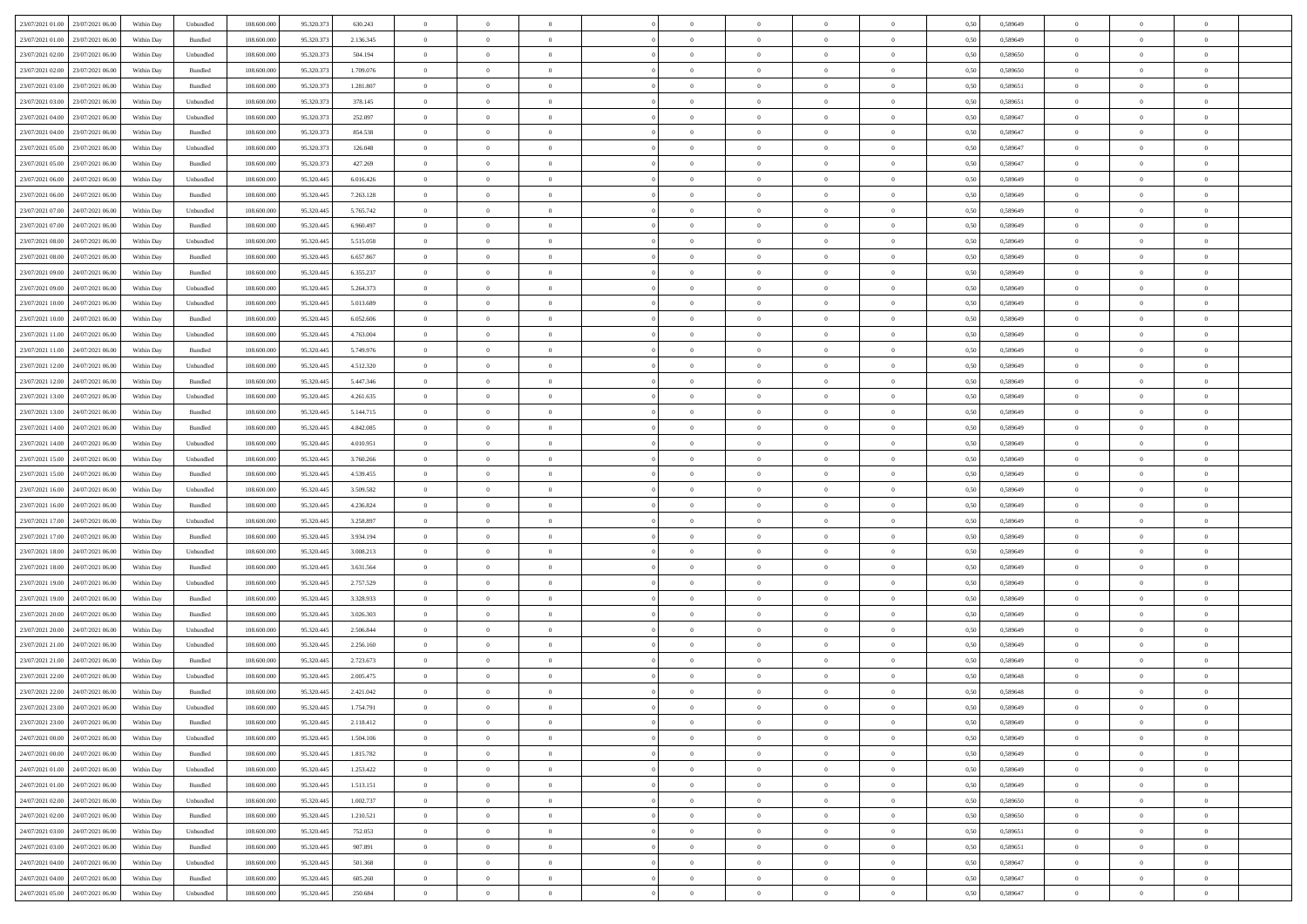| 23/07/2021 01:00 23/07/2021 06:00           | Within Day | Unbundled                   | 108.600.000 | 95.320.373 | 630.243   | $\overline{0}$ | $\overline{0}$ |                | $\overline{0}$ | $\theta$       |                | $\theta$       | 0,50 | 0,589649 | $\theta$       | $\theta$       | $\overline{0}$ |  |
|---------------------------------------------|------------|-----------------------------|-------------|------------|-----------|----------------|----------------|----------------|----------------|----------------|----------------|----------------|------|----------|----------------|----------------|----------------|--|
| 23/07/2021 01:00<br>23/07/2021 06:00        | Within Day | Bundled                     | 108.600.00  | 95.320.37  | 2.136.345 | $\bf{0}$       | $\bf{0}$       | $\bf{0}$       | $\bf{0}$       | $\overline{0}$ | $\overline{0}$ | $\bf{0}$       | 0,50 | 0,589649 | $\,$ 0 $\,$    | $\bf{0}$       | $\overline{0}$ |  |
| 23/07/2021 02:00<br>23/07/2021 06:00        | Within Day | Unbundled                   | 108,600,000 | 95.320.373 | 504.194   | $\overline{0}$ | $\bf{0}$       | $\overline{0}$ | $\bf{0}$       | $\bf{0}$       | $\overline{0}$ | $\bf{0}$       | 0.50 | 0.589650 | $\bf{0}$       | $\overline{0}$ | $\bf{0}$       |  |
|                                             |            |                             |             |            |           | $\overline{0}$ |                |                |                |                |                |                |      |          | $\theta$       | $\theta$       |                |  |
| 23/07/2021 02:00<br>23/07/2021 06:00        | Within Day | Bundled                     | 108.600.000 | 95.320.373 | 1.709.076 |                | $\overline{0}$ | $\overline{0}$ | $\overline{0}$ | $\theta$       | $\overline{0}$ | $\bf{0}$       | 0,50 | 0,589650 |                |                | $\overline{0}$ |  |
| 23/07/2021 03:00<br>23/07/2021 06.00        | Within Day | Bundled                     | 108.600.00  | 95.320.37  | 1.281.807 | $\bf{0}$       | $\overline{0}$ | $\bf{0}$       | $\overline{0}$ | $\theta$       | $\overline{0}$ | $\bf{0}$       | 0,50 | 0,589651 | $\,$ 0 $\,$    | $\bf{0}$       | $\overline{0}$ |  |
| 23/07/2021 03:00<br>23/07/2021 06:00        | Within Day | Unbundled                   | 108,600,000 | 95.320.37  | 378.145   | $\overline{0}$ | $\overline{0}$ | $\overline{0}$ | $\bf{0}$       | $\overline{0}$ | $\theta$       | $\bf{0}$       | 0.50 | 0.589651 | $\,$ 0 $\,$    | $\theta$       | $\overline{0}$ |  |
| 23/07/2021 04:00<br>23/07/2021 06:00        | Within Day | Unbundled                   | 108.600.000 | 95.320.373 | 252.097   | $\overline{0}$ | $\overline{0}$ | $\overline{0}$ | $\overline{0}$ | $\overline{0}$ | $\overline{0}$ | $\bf{0}$       | 0,50 | 0,589647 | $\theta$       | $\theta$       | $\overline{0}$ |  |
|                                             |            |                             |             |            |           |                | $\bf{0}$       | $\bf{0}$       | $\overline{0}$ | $\overline{0}$ | $\overline{0}$ |                |      |          | $\,$ 0 $\,$    | $\bf{0}$       | $\overline{0}$ |  |
| 23/07/2021 04:00<br>23/07/2021 06.00        | Within Day | Bundled                     | 108.600.00  | 95.320.37  | 854.538   | $\bf{0}$       |                |                |                |                |                | $\bf{0}$       | 0,50 | 0,589647 |                |                |                |  |
| 23/07/2021 05:00<br>23/07/2021 06:00        | Within Day | Unbundled                   | 108,600,000 | 95.320.37  | 126,048   | $\overline{0}$ | $\bf{0}$       | $\overline{0}$ | $\bf{0}$       | $\overline{0}$ | $\overline{0}$ | $\bf{0}$       | 0.50 | 0.589647 | $\bf{0}$       | $\overline{0}$ | $\overline{0}$ |  |
| 23/07/2021 05:00<br>23/07/2021 06:00        | Within Day | Bundled                     | 108.600.000 | 95.320.373 | 427.269   | $\overline{0}$ | $\bf{0}$       | $\overline{0}$ | $\overline{0}$ | $\overline{0}$ | $\overline{0}$ | $\bf{0}$       | 0,50 | 0,589647 | $\,$ 0 $\,$    | $\bf{0}$       | $\overline{0}$ |  |
| 23/07/2021 06:00<br>24/07/2021 06.00        | Within Day | Unbundled                   | 108.600.00  | 95.320.445 | 6.016.426 | $\bf{0}$       | $\bf{0}$       | $\bf{0}$       | $\bf{0}$       | $\overline{0}$ | $\overline{0}$ | $\bf{0}$       | 0,50 | 0,589649 | $\,$ 0 $\,$    | $\bf{0}$       | $\overline{0}$ |  |
| 23/07/2021 06:00<br>24/07/2021 06:00        | Within Day | Bundled                     | 108,600,000 | 95.320.445 | 7.263.128 | $\overline{0}$ | $\bf{0}$       | $\overline{0}$ | $\overline{0}$ | $\bf{0}$       | $\overline{0}$ | $\bf{0}$       | 0.50 | 0.589649 | $\bf{0}$       | $\overline{0}$ | $\,$ 0         |  |
|                                             |            |                             |             |            |           |                |                |                |                |                |                |                |      |          |                |                |                |  |
| 23/07/2021 07:00<br>24/07/2021 06:00        | Within Day | Unbundled                   | 108.600.000 | 95.320.445 | 5.765.742 | $\overline{0}$ | $\overline{0}$ | $\overline{0}$ | $\theta$       | $\theta$       | $\overline{0}$ | $\bf{0}$       | 0,50 | 0,589649 | $\,$ 0 $\,$    | $\theta$       | $\overline{0}$ |  |
| 23/07/2021 07:00<br>24/07/2021 06.00        | Within Day | Bundled                     | 108.600.00  | 95.320.445 | 6.960.497 | $\bf{0}$       | $\overline{0}$ | $\bf{0}$       | $\bf{0}$       | $\bf{0}$       | $\overline{0}$ | $\bf{0}$       | 0,50 | 0,589649 | $\,$ 0 $\,$    | $\bf{0}$       | $\overline{0}$ |  |
| 23/07/2021 08:00<br>24/07/2021 06:00        | Within Day | Unbundled                   | 108 600 000 | 95.320.44  | 5.515.058 | $\overline{0}$ | $\bf{0}$       | $\overline{0}$ | $\bf{0}$       | $\overline{0}$ | $\theta$       | $\bf{0}$       | 0.50 | 0.589649 | $\,$ 0 $\,$    | $\theta$       | $\overline{0}$ |  |
| 23/07/2021 08:00<br>24/07/2021 06:00        | Within Day | Bundled                     | 108.600.000 | 95.320.445 | 6.657.867 | $\overline{0}$ | $\overline{0}$ | $\overline{0}$ | $\overline{0}$ | $\overline{0}$ | $\overline{0}$ | $\bf{0}$       | 0,50 | 0,589649 | $\theta$       | $\theta$       | $\overline{0}$ |  |
| 23/07/2021 09:00<br>24/07/2021 06.00        | Within Day | Bundled                     | 108.600.00  | 95.320.445 | 6.355.237 | $\bf{0}$       | $\bf{0}$       | $\bf{0}$       | $\overline{0}$ | $\overline{0}$ | $\overline{0}$ | $\bf{0}$       | 0,50 | 0,589649 | $\,$ 0 $\,$    | $\bf{0}$       | $\overline{0}$ |  |
|                                             |            |                             |             |            |           |                |                |                |                |                |                |                |      |          |                |                |                |  |
| 23/07/2021 09:00<br>24/07/2021 06:00        | Within Day | Unbundled                   | 108,600,000 | 95.320.44  | 5.264.373 | $\overline{0}$ | $\bf{0}$       | $\overline{0}$ | $\bf{0}$       | $\overline{0}$ | $\overline{0}$ | $\bf{0}$       | 0.50 | 0.589649 | $\bf{0}$       | $\overline{0}$ | $\bf{0}$       |  |
| 23/07/2021 10:00<br>24/07/2021 06:00        | Within Day | Unbundled                   | 108.600.000 | 95.320.445 | 5.013.689 | $\overline{0}$ | $\bf{0}$       | $\overline{0}$ | $\overline{0}$ | $\overline{0}$ | $\overline{0}$ | $\bf{0}$       | 0,50 | 0,589649 | $\,$ 0 $\,$    | $\bf{0}$       | $\overline{0}$ |  |
| 23/07/2021 10:00<br>24/07/2021 06.00        | Within Day | Bundled                     | 108.600.00  | 95.320.445 | 6.052.606 | $\bf{0}$       | $\bf{0}$       | $\bf{0}$       | $\bf{0}$       | $\overline{0}$ | $\overline{0}$ | $\bf{0}$       | 0,50 | 0,589649 | $\,$ 0 $\,$    | $\bf{0}$       | $\overline{0}$ |  |
| 23/07/2021 11:00<br>24/07/2021 06:00        | Within Day | Unbundled                   | 108,600,000 | 95.320.445 | 4.763.004 | $\overline{0}$ | $\bf{0}$       | $\overline{0}$ | $\overline{0}$ | $\bf{0}$       | $\overline{0}$ | $\bf{0}$       | 0.50 | 0.589649 | $\bf{0}$       | $\overline{0}$ | $\,$ 0         |  |
| 23/07/2021 11:00<br>24/07/2021 06:00        | Within Day | Bundled                     | 108.600.000 | 95.320.445 | 5.749.976 | $\overline{0}$ | $\overline{0}$ | $\overline{0}$ | $\theta$       | $\theta$       | $\overline{0}$ | $\bf{0}$       | 0,50 | 0,589649 | $\theta$       | $\theta$       | $\overline{0}$ |  |
|                                             |            |                             |             |            |           |                |                |                |                |                |                |                |      |          |                |                |                |  |
| 23/07/2021 12:00<br>24/07/2021 06.00        | Within Day | Unbundled                   | 108.600.00  | 95.320.445 | 4.512.320 | $\bf{0}$       | $\bf{0}$       | $\bf{0}$       | $\bf{0}$       | $\overline{0}$ | $\overline{0}$ | $\bf{0}$       | 0,50 | 0,589649 | $\,$ 0 $\,$    | $\bf{0}$       | $\overline{0}$ |  |
| 23/07/2021 12:00<br>24/07/2021 06:00        | Within Day | Bundled                     | 108,600,000 | 95.320.44  | 5.447.346 | $\overline{0}$ | $\overline{0}$ | $\overline{0}$ | $\bf{0}$       | $\overline{0}$ | $\theta$       | $\bf{0}$       | 0.50 | 0.589649 | $\,$ 0 $\,$    | $\theta$       | $\overline{0}$ |  |
| 23/07/2021 13:00<br>24/07/2021 06:00        | Within Day | Unbundled                   | 108.600.000 | 95.320.445 | 4.261.635 | $\overline{0}$ | $\overline{0}$ | $\overline{0}$ | $\overline{0}$ | $\overline{0}$ | $\overline{0}$ | $\bf{0}$       | 0,50 | 0,589649 | $\,$ 0 $\,$    | $\theta$       | $\overline{0}$ |  |
| 23/07/2021 13:00<br>24/07/2021 06.00        | Within Day | Bundled                     | 108.600.00  | 95.320.445 | 5.144.715 | $\bf{0}$       | $\overline{0}$ | $\bf{0}$       | $\overline{0}$ | $\overline{0}$ | $\overline{0}$ | $\bf{0}$       | 0,50 | 0,589649 | $\,$ 0 $\,$    | $\bf{0}$       | $\overline{0}$ |  |
| 23/07/2021 14:00<br>24/07/2021 06:00        | Within Day | Bundled                     | 108,600,000 | 95.320.445 | 4.842.085 | $\overline{0}$ | $\bf{0}$       | $\overline{0}$ | $\bf{0}$       | $\overline{0}$ | $\overline{0}$ | $\bf{0}$       | 0.50 | 0.589649 | $\bf{0}$       | $\overline{0}$ | $\overline{0}$ |  |
| 23/07/2021 14:00<br>24/07/2021 06:00        | Within Day | Unbundled                   | 108.600.000 | 95.320.445 | 4.010.951 | $\overline{0}$ | $\overline{0}$ | $\overline{0}$ | $\overline{0}$ | $\overline{0}$ | $\overline{0}$ | $\bf{0}$       | 0,50 | 0,589649 | $\theta$       | $\theta$       | $\overline{0}$ |  |
|                                             |            |                             |             |            |           |                |                |                |                |                |                |                |      |          |                |                |                |  |
| 23/07/2021 15:00<br>24/07/2021 06.00        | Within Day | Unbundled                   | 108.600.00  | 95.320.445 | 3.760.266 | $\bf{0}$       | $\bf{0}$       | $\bf{0}$       | $\bf{0}$       | $\overline{0}$ | $\overline{0}$ | $\bf{0}$       | 0,50 | 0,589649 | $\,$ 0 $\,$    | $\bf{0}$       | $\overline{0}$ |  |
| 23/07/2021 15:00<br>24/07/2021 06.00        | Within Day | Bundled                     | 108,600,000 | 95.320.445 | 4.539.455 | $\overline{0}$ | $\bf{0}$       | $\overline{0}$ | $\bf{0}$       | $\bf{0}$       | $\overline{0}$ | $\bf{0}$       | 0.50 | 0.589649 | $\bf{0}$       | $\overline{0}$ | $\,$ 0         |  |
| 23/07/2021 16:00<br>24/07/2021 06:00        | Within Day | Unbundled                   | 108.600.000 | 95.320.445 | 3.509.582 | $\overline{0}$ | $\overline{0}$ | $\overline{0}$ | $\overline{0}$ | $\overline{0}$ | $\overline{0}$ | $\bf{0}$       | 0.50 | 0.589649 | $\theta$       | $\theta$       | $\overline{0}$ |  |
| 23/07/2021 16:00<br>24/07/2021 06.00        | Within Day | Bundled                     | 108.600.00  | 95.320.445 | 4.236.824 | $\bf{0}$       | $\bf{0}$       | $\bf{0}$       | $\bf{0}$       | $\overline{0}$ | $\overline{0}$ | $\bf{0}$       | 0,50 | 0,589649 | $\,$ 0 $\,$    | $\bf{0}$       | $\overline{0}$ |  |
| 23/07/2021 17:00<br>24/07/2021 06:00        | Within Day | Unbundled                   | 108,600,000 | 95.320.445 | 3.258.897 | $\overline{0}$ | $\bf{0}$       | $\overline{0}$ | $\bf{0}$       | $\overline{0}$ | $\overline{0}$ | $\bf{0}$       | 0.50 | 0.589649 | $\,$ 0 $\,$    | $\bf{0}$       | $\overline{0}$ |  |
|                                             |            |                             |             |            |           |                |                |                |                |                |                |                |      |          |                |                |                |  |
| 23/07/2021 17:00<br>24/07/2021 06:00        | Within Dav | Bundled                     | 108.600.000 | 95.320.445 | 3.934.194 | $\overline{0}$ | $\overline{0}$ | $\overline{0}$ | $\overline{0}$ | $\overline{0}$ | $\overline{0}$ | $\bf{0}$       | 0.50 | 0.589649 | $\theta$       | $\theta$       | $\overline{0}$ |  |
| 23/07/2021 18:00<br>24/07/2021 06.00        | Within Day | Unbundled                   | 108.600.00  | 95.320.445 | 3.008.213 | $\bf{0}$       | $\bf{0}$       | $\bf{0}$       | $\bf{0}$       | $\overline{0}$ | $\overline{0}$ | $\bf{0}$       | 0,50 | 0,589649 | $\,$ 0 $\,$    | $\bf{0}$       | $\overline{0}$ |  |
| 23/07/2021 18:00<br>24/07/2021 06:00        | Within Day | Bundled                     | 108,600,000 | 95.320.44  | 3.631.564 | $\overline{0}$ | $\bf{0}$       | $\overline{0}$ | $\bf{0}$       | $\overline{0}$ | $\overline{0}$ | $\bf{0}$       | 0.50 | 0.589649 | $\bf{0}$       | $\overline{0}$ | $\overline{0}$ |  |
| 23/07/2021 19:00<br>24/07/2021 06:00        | Within Day | Unbundled                   | 108.600.000 | 95.320.445 | 2.757.529 | $\overline{0}$ | $\overline{0}$ | $\overline{0}$ | $\overline{0}$ | $\overline{0}$ | $\overline{0}$ | $\bf{0}$       | 0.50 | 0.589649 | $\theta$       | $\theta$       | $\overline{0}$ |  |
| 23/07/2021 19:00<br>24/07/2021 06.00        | Within Day | Bundled                     | 108.600.00  | 95.320.445 | 3.328.933 | $\bf{0}$       | $\bf{0}$       | $\bf{0}$       | $\bf{0}$       | $\overline{0}$ | $\overline{0}$ | $\bf{0}$       | 0,50 | 0,589649 | $\,$ 0 $\,$    | $\bf{0}$       | $\overline{0}$ |  |
| 23/07/2021 20:00<br>24/07/2021 06.00        |            | Bundled                     | 108,600,000 | 95.320.445 | 3.026.303 |                | $\bf{0}$       | $\overline{0}$ |                | $\bf{0}$       | $\overline{0}$ |                | 0.50 | 0.589649 | $\bf{0}$       | $\overline{0}$ | $\,$ 0         |  |
|                                             | Within Day |                             |             |            |           | $\overline{0}$ |                |                | $\overline{0}$ |                |                | $\bf{0}$       |      |          |                |                |                |  |
| 23/07/2021 20:00<br>24/07/2021 06:00        | Within Dav | Unbundled                   | 108.600.000 | 95.320.445 | 2.506.844 | $\overline{0}$ | $\overline{0}$ | $\overline{0}$ | $\overline{0}$ | $\overline{0}$ | $\overline{0}$ | $\bf{0}$       | 0.50 | 0.589649 | $\theta$       | $\theta$       | $\overline{0}$ |  |
| 23/07/2021 21:00<br>24/07/2021 06.00        | Within Day | Unbundled                   | 108.600.00  | 95.320.445 | 2.256.160 | $\bf{0}$       | $\bf{0}$       | $\bf{0}$       | $\bf{0}$       | $\overline{0}$ | $\overline{0}$ | $\bf{0}$       | 0,50 | 0,589649 | $\,$ 0 $\,$    | $\bf{0}$       | $\overline{0}$ |  |
| 23/07/2021 21:00<br>24/07/2021 06:00        | Within Day | Bundled                     | 108,600,000 | 95.320.44  | 2.723.673 | $\overline{0}$ | $\overline{0}$ | $\overline{0}$ | $\bf{0}$       | $\overline{0}$ | $\Omega$       | $\bf{0}$       | 0.50 | 0.589649 | $\bf{0}$       | $\theta$       | $\overline{0}$ |  |
| 23/07/2021 22:00<br>24/07/2021 06:00        | Within Dav | Unbundled                   | 108.600.000 | 95.320.445 | 2.005.475 | $\overline{0}$ | $\overline{0}$ | $\Omega$       | $\overline{0}$ | $\theta$       | $\overline{0}$ | $\overline{0}$ | 0.5( | 0.589648 | $\theta$       | $\theta$       | $\overline{0}$ |  |
| 23/07/2021 22:00<br>24/07/2021 06:00        | Within Day | Bundled                     | 108.600.000 | 95.320.445 | 2.421.042 | $\bf{0}$       | $\bf{0}$       | $\bf{0}$       | $\bf{0}$       | $\bf{0}$       | $\overline{0}$ | $\bf{0}$       | 0,50 | 0,589648 | $\overline{0}$ | $\bf{0}$       | $\overline{0}$ |  |
|                                             |            |                             |             |            |           |                |                |                |                |                |                |                |      |          |                |                |                |  |
| $23/07/2021\ 23.00\qquad 24/07/2021\ 06.00$ | Within Day | $\ensuremath{\mathsf{Unb}}$ | 108.600.000 | 95.320.445 | 1.754.791 | $\bf{0}$       | $\theta$       |                | $\overline{0}$ |                |                |                | 0,50 | 0.589649 | $\bf{0}$       | $\overline{0}$ |                |  |
| 23/07/2021 23:00 24/07/2021 06:00           | Within Day | Bundled                     | 108.600.000 | 95.320.445 | 2.118.412 | $\overline{0}$ | $\overline{0}$ | $\Omega$       | $\theta$       | $\overline{0}$ | $\overline{0}$ | $\bf{0}$       | 0,50 | 0,589649 | $\theta$       | $\theta$       | $\overline{0}$ |  |
| 24/07/2021 00:00<br>24/07/2021 06:00        | Within Day | Unbundled                   | 108.600.00  | 95.320.445 | 1.504.106 | $\overline{0}$ | $\bf{0}$       | $\overline{0}$ | $\overline{0}$ | $\bf{0}$       | $\overline{0}$ | $\bf{0}$       | 0,50 | 0,589649 | $\bf{0}$       | $\overline{0}$ | $\bf{0}$       |  |
| 24/07/2021 00:00 24/07/2021 06:00           | Within Day | Bundled                     | 108,600,000 | 95.320.445 | 1.815.782 | $\overline{0}$ | $\overline{0}$ | $\overline{0}$ | $\overline{0}$ | $\mathbf{0}$   | $\overline{0}$ | $\,$ 0 $\,$    | 0.50 | 0.589649 | $\overline{0}$ | $\bf{0}$       | $\bf{0}$       |  |
| 24/07/2021 01:00 24/07/2021 06:00           | Within Day | Unbundled                   | 108.600.000 | 95.320.445 | 1.253.422 | $\overline{0}$ | $\overline{0}$ | $\overline{0}$ | $\overline{0}$ | $\overline{0}$ | $\overline{0}$ | $\bf{0}$       | 0,50 | 0.589649 | $\overline{0}$ | $\theta$       | $\overline{0}$ |  |
|                                             |            |                             |             |            |           |                |                |                |                |                |                |                |      |          |                |                |                |  |
| 24/07/2021 01:00<br>24/07/2021 06:00        | Within Day | Bundled                     | 108.600.000 | 95.320.445 | 1.513.151 | $\overline{0}$ | $\bf{0}$       | $\overline{0}$ | $\overline{0}$ | $\bf{0}$       | $\overline{0}$ | $\bf{0}$       | 0,50 | 0,589649 | $\bf{0}$       | $\overline{0}$ | $\overline{0}$ |  |
| 24/07/2021 02:00 24/07/2021 06:00           | Within Day | Unbundled                   | 108,600,000 | 95.320.445 | 1.002.737 | $\overline{0}$ | $\bf{0}$       | $\overline{0}$ | $\overline{0}$ | $\bf{0}$       | $\overline{0}$ | $\bf{0}$       | 0.50 | 0.589650 | $\,$ 0 $\,$    | $\overline{0}$ | $\,$ 0         |  |
| 24/07/2021 02:00 24/07/2021 06:00           | Within Dav | Bundled                     | 108.600.000 | 95.320.445 | 1.210.521 | $\overline{0}$ | $\overline{0}$ | $\overline{0}$ | $\overline{0}$ | $\overline{0}$ | $\overline{0}$ | $\bf{0}$       | 0.50 | 0,589650 | $\overline{0}$ | $\theta$       | $\overline{0}$ |  |
| 24/07/2021 06:00<br>24/07/2021 03:00        | Within Day | Unbundled                   | 108.600.00  | 95.320.445 | 752.053   | $\overline{0}$ | $\overline{0}$ | $\overline{0}$ | $\overline{0}$ | $\overline{0}$ | $\overline{0}$ | $\bf{0}$       | 0,50 | 0,589651 | $\bf{0}$       | $\overline{0}$ | $\,$ 0         |  |
| 24/07/2021 03:00 24/07/2021 06:00           | Within Day | Bundled                     | 108,600,000 | 95.320.445 | 907.891   | $\overline{0}$ | $\overline{0}$ | $\overline{0}$ | $\overline{0}$ | $\overline{0}$ | $\overline{0}$ | $\bf{0}$       | 0.50 | 0.589651 | $\mathbf{0}$   | $\bf{0}$       | $\,$ 0         |  |
|                                             |            |                             |             |            |           |                |                |                |                |                |                |                |      |          |                |                |                |  |
| 24/07/2021 04:00 24/07/2021 06:00           | Within Dav | Unbundled                   | 108.600.000 | 95.320.445 | 501.368   | $\overline{0}$ | $\overline{0}$ | $\overline{0}$ | $\overline{0}$ | $\overline{0}$ | $\overline{0}$ | $\bf{0}$       | 0,50 | 0,589647 | $\overline{0}$ | $\theta$       | $\overline{0}$ |  |
| 24/07/2021 04:00<br>24/07/2021 06:00        | Within Day | Bundled                     | 108.600.00  | 95.320.445 | 605.260   | $\overline{0}$ | $\bf{0}$       | $\overline{0}$ | $\overline{0}$ | $\overline{0}$ | $\overline{0}$ | $\bf{0}$       | 0,50 | 0,589647 | $\bf{0}$       | $\overline{0}$ | $\bf{0}$       |  |
| 24/07/2021 05:00 24/07/2021 06:00           | Within Day | Unbundled                   | 108.600.000 | 95.320.445 | 250.684   | $\,$ 0 $\,$    | $\bf{0}$       | $\overline{0}$ | $\overline{0}$ | $\,$ 0 $\,$    | $\overline{0}$ | $\,$ 0 $\,$    | 0,50 | 0,589647 | $\overline{0}$ | $\,$ 0 $\,$    | $\,$ 0 $\,$    |  |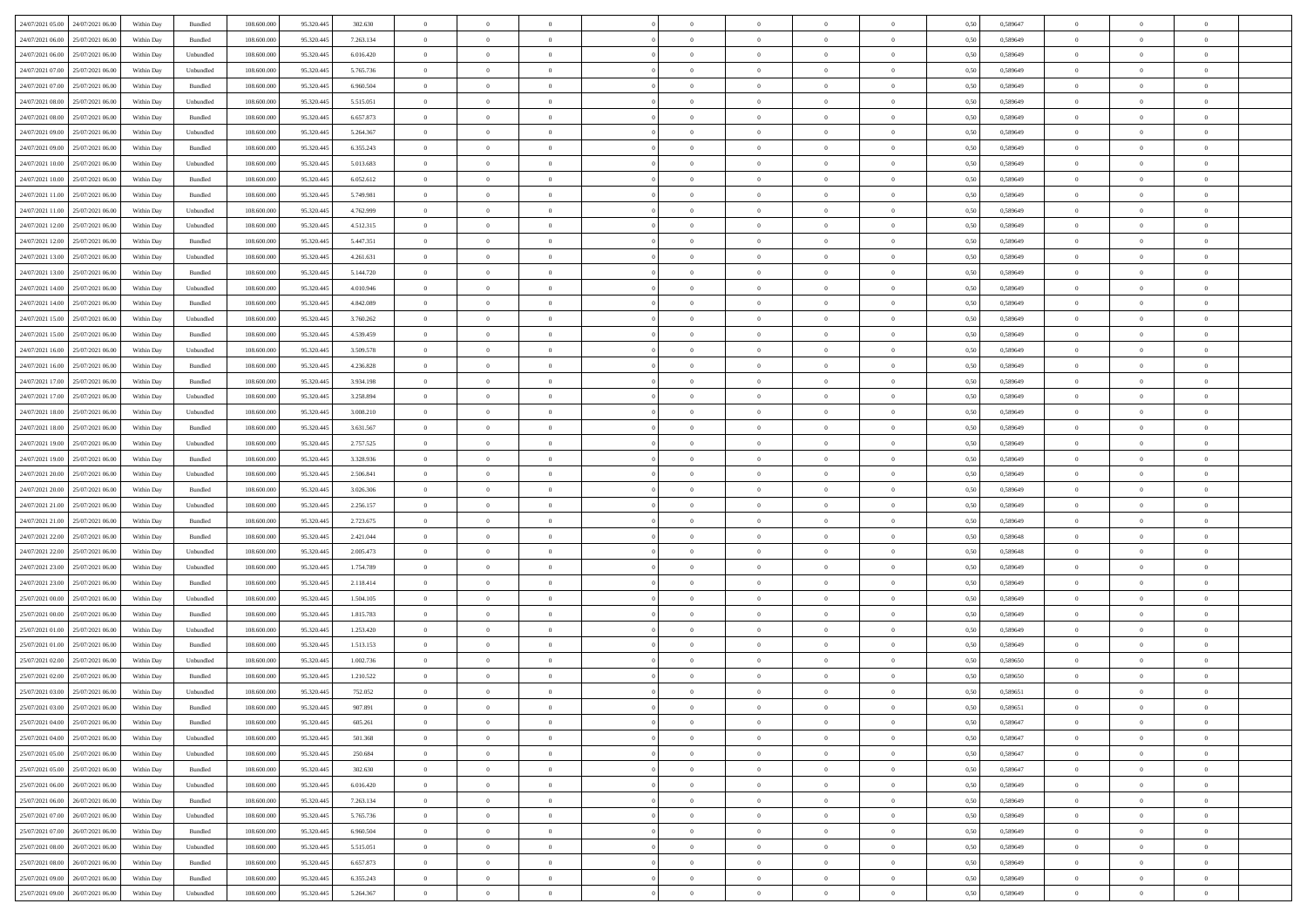| 24/07/2021 05:00 24/07/2021 06:00    | Within Day | Bundled           | 108.600.000 | 95.320.445 | 302.630   | $\overline{0}$ | $\theta$       |                | $\overline{0}$ | $\theta$       |                | $\theta$       | 0,50 | 0,589647 | $\theta$       | $\theta$       | $\theta$       |  |
|--------------------------------------|------------|-------------------|-------------|------------|-----------|----------------|----------------|----------------|----------------|----------------|----------------|----------------|------|----------|----------------|----------------|----------------|--|
| 24/07/2021 06:00<br>25/07/2021 06.00 | Within Day | Bundled           | 108.600.00  | 95.320.445 | 7.263.134 | $\bf{0}$       | $\bf{0}$       | $\bf{0}$       | $\bf{0}$       | $\overline{0}$ | $\overline{0}$ | $\bf{0}$       | 0,50 | 0,589649 | $\,$ 0 $\,$    | $\bf{0}$       | $\overline{0}$ |  |
| 24/07/2021 06:00<br>25/07/2021 06:00 | Within Day | Unbundled         | 108,600,000 | 95.320.445 | 6.016.420 | $\overline{0}$ | $\bf{0}$       | $\overline{0}$ | $\bf{0}$       | $\bf{0}$       | $\overline{0}$ | $\bf{0}$       | 0.50 | 0.589649 | $\bf{0}$       | $\overline{0}$ | $\bf{0}$       |  |
| 24/07/2021 07:00<br>25/07/2021 06:00 |            |                   | 108.600.000 |            |           | $\overline{0}$ | $\overline{0}$ | $\overline{0}$ | $\theta$       | $\theta$       | $\overline{0}$ |                |      |          | $\theta$       | $\theta$       | $\overline{0}$ |  |
|                                      | Within Day | Unbundled         |             | 95.320.445 | 5.765.736 |                |                |                |                |                |                | $\bf{0}$       | 0,50 | 0,589649 |                |                |                |  |
| 24/07/2021 07:00<br>25/07/2021 06.00 | Within Day | Bundled           | 108.600.00  | 95.320.445 | 6.960.504 | $\bf{0}$       | $\overline{0}$ | $\bf{0}$       | $\overline{0}$ | $\theta$       | $\overline{0}$ | $\bf{0}$       | 0,50 | 0,589649 | $\,$ 0 $\,$    | $\bf{0}$       | $\overline{0}$ |  |
| 24/07/2021 08:00<br>25/07/2021 06:00 | Within Day | Unbundled         | 108,600,000 | 95.320.44  | 5.515.051 | $\overline{0}$ | $\overline{0}$ | $\overline{0}$ | $\bf{0}$       | $\overline{0}$ | $\theta$       | $\bf{0}$       | 0.50 | 0.589649 | $\,$ 0 $\,$    | $\theta$       | $\overline{0}$ |  |
| 24/07/2021 08:00<br>25/07/2021 06:00 | Within Day | Bundled           | 108.600.000 | 95.320.445 | 6.657.873 | $\overline{0}$ | $\overline{0}$ | $\overline{0}$ | $\overline{0}$ | $\overline{0}$ | $\overline{0}$ | $\bf{0}$       | 0,50 | 0,589649 | $\theta$       | $\theta$       | $\overline{0}$ |  |
|                                      |            |                   |             |            |           |                |                |                |                |                |                |                |      |          |                |                |                |  |
| 24/07/2021 09:00<br>25/07/2021 06.00 | Within Day | Unbundled         | 108.600.00  | 95.320.445 | 5.264.367 | $\overline{0}$ | $\overline{0}$ | $\bf{0}$       | $\overline{0}$ | $\overline{0}$ | $\overline{0}$ | $\bf{0}$       | 0,50 | 0,589649 | $\,$ 0 $\,$    | $\bf{0}$       | $\overline{0}$ |  |
| 24/07/2021 09:00<br>25/07/2021 06:00 | Within Day | Bundled           | 108,600,000 | 95.320.44  | 6.355.243 | $\overline{0}$ | $\bf{0}$       | $\overline{0}$ | $\bf{0}$       | $\overline{0}$ | $\overline{0}$ | $\bf{0}$       | 0.50 | 0.589649 | $\bf{0}$       | $\overline{0}$ | $\overline{0}$ |  |
| 24/07/2021 10:00<br>25/07/2021 06:00 | Within Day | Unbundled         | 108.600.000 | 95.320.445 | 5.013.683 | $\overline{0}$ | $\bf{0}$       | $\overline{0}$ | $\overline{0}$ | $\overline{0}$ | $\overline{0}$ | $\bf{0}$       | 0,50 | 0,589649 | $\,$ 0 $\,$    | $\bf{0}$       | $\overline{0}$ |  |
| 24/07/2021 10:00<br>25/07/2021 06.00 | Within Day | Bundled           | 108.600.00  | 95.320.445 | 6.052.612 | $\bf{0}$       | $\overline{0}$ | $\bf{0}$       | $\bf{0}$       | $\bf{0}$       | $\overline{0}$ | $\bf{0}$       | 0,50 | 0,589649 | $\,$ 0 $\,$    | $\bf{0}$       | $\overline{0}$ |  |
|                                      |            |                   |             |            |           |                |                |                |                |                |                |                |      |          |                |                |                |  |
| 24/07/2021 11:00<br>25/07/2021 06:00 | Within Day | Bundled           | 108,600,000 | 95.320.445 | 5.749.981 | $\overline{0}$ | $\bf{0}$       | $\overline{0}$ | $\overline{0}$ | $\bf{0}$       | $\overline{0}$ | $\bf{0}$       | 0.50 | 0.589649 | $\bf{0}$       | $\overline{0}$ | $\,$ 0         |  |
| 24/07/2021 11:00<br>25/07/2021 06:00 | Within Day | Unbundled         | 108.600.000 | 95.320.445 | 4.762.999 | $\overline{0}$ | $\overline{0}$ | $\overline{0}$ | $\theta$       | $\theta$       | $\overline{0}$ | $\bf{0}$       | 0,50 | 0,589649 | $\theta$       | $\theta$       | $\overline{0}$ |  |
| 24/07/2021 12:00<br>25/07/2021 06.00 | Within Day | Unbundled         | 108.600.00  | 95.320.445 | 4.512.315 | $\bf{0}$       | $\overline{0}$ | $\bf{0}$       | $\overline{0}$ | $\bf{0}$       | $\overline{0}$ | $\bf{0}$       | 0,50 | 0,589649 | $\,$ 0 $\,$    | $\bf{0}$       | $\overline{0}$ |  |
| 24/07/2021 12:00<br>25/07/2021 06:00 | Within Day | Bundled           | 108,600,000 | 95.320.445 | 5.447.351 | $\overline{0}$ | $\overline{0}$ | $\overline{0}$ | $\bf{0}$       | $\overline{0}$ | $\theta$       | $\bf{0}$       | 0.50 | 0.589649 | $\,$ 0 $\,$    | $\theta$       | $\overline{0}$ |  |
|                                      |            |                   |             |            |           |                |                |                |                |                |                |                |      |          |                |                |                |  |
| 24/07/2021 13:00<br>25/07/2021 06:00 | Within Day | Unbundled         | 108.600.000 | 95.320.445 | 4.261.631 | $\overline{0}$ | $\overline{0}$ | $\overline{0}$ | $\overline{0}$ | $\overline{0}$ | $\overline{0}$ | $\bf{0}$       | 0,50 | 0,589649 | $\theta$       | $\theta$       | $\overline{0}$ |  |
| 24/07/2021 13:00<br>25/07/2021 06.00 | Within Day | Bundled           | 108.600.00  | 95.320.445 | 5.144.720 | $\bf{0}$       | $\overline{0}$ | $\bf{0}$       | $\overline{0}$ | $\bf{0}$       | $\overline{0}$ | $\bf{0}$       | 0,50 | 0,589649 | $\,$ 0 $\,$    | $\bf{0}$       | $\overline{0}$ |  |
| 24/07/2021 14:00<br>25/07/2021 06:00 | Within Day | Unbundled         | 108 600 000 | 95.320.44  | 4.010.946 | $\overline{0}$ | $\bf{0}$       | $\overline{0}$ | $\bf{0}$       | $\overline{0}$ | $\overline{0}$ | $\bf{0}$       | 0.50 | 0.589649 | $\bf{0}$       | $\overline{0}$ | $\bf{0}$       |  |
| 24/07/2021 14:00<br>25/07/2021 06:00 | Within Day | Bundled           | 108.600.000 | 95.320.445 | 4.842.089 | $\overline{0}$ | $\bf{0}$       | $\overline{0}$ | $\overline{0}$ | $\overline{0}$ | $\overline{0}$ | $\bf{0}$       | 0,50 | 0,589649 | $\,$ 0 $\,$    | $\theta$       | $\overline{0}$ |  |
|                                      |            |                   |             |            |           |                |                |                |                |                |                |                |      |          |                |                |                |  |
| 24/07/2021 15:00<br>25/07/2021 06.00 | Within Day | Unbundled         | 108.600.00  | 95.320.445 | 3.760.262 | $\bf{0}$       | $\bf{0}$       | $\bf{0}$       | $\bf{0}$       | $\overline{0}$ | $\overline{0}$ | $\bf{0}$       | 0,50 | 0,589649 | $\,$ 0 $\,$    | $\bf{0}$       | $\overline{0}$ |  |
| 24/07/2021 15:00<br>25/07/2021 06:00 | Within Day | Bundled           | 108,600,000 | 95.320.445 | 4.539.459 | $\overline{0}$ | $\bf{0}$       | $\overline{0}$ | $\overline{0}$ | $\bf{0}$       | $\overline{0}$ | $\bf{0}$       | 0.50 | 0.589649 | $\bf{0}$       | $\overline{0}$ | $\,$ 0         |  |
| 24/07/2021 16:00<br>25/07/2021 06:00 | Within Day | Unbundled         | 108.600.000 | 95.320.445 | 3.509.578 | $\overline{0}$ | $\overline{0}$ | $\overline{0}$ | $\theta$       | $\theta$       | $\overline{0}$ | $\bf{0}$       | 0,50 | 0,589649 | $\theta$       | $\theta$       | $\overline{0}$ |  |
| 24/07/2021 16:00<br>25/07/2021 06.00 | Within Day | Bundled           | 108.600.00  | 95.320.445 | 4.236.828 | $\bf{0}$       | $\overline{0}$ | $\bf{0}$       | $\bf{0}$       | $\overline{0}$ | $\overline{0}$ | $\bf{0}$       | 0,50 | 0,589649 | $\,$ 0 $\,$    | $\bf{0}$       | $\overline{0}$ |  |
|                                      |            |                   |             |            |           |                |                |                |                |                |                |                |      |          |                |                |                |  |
| 24/07/2021 17:00<br>25/07/2021 06:00 | Within Day | Bundled           | 108 600 000 | 95.320.44  | 3.934.198 | $\overline{0}$ | $\overline{0}$ | $\overline{0}$ | $\overline{0}$ | $\overline{0}$ | $\theta$       | $\bf{0}$       | 0.50 | 0.589649 | $\,$ 0 $\,$    | $\theta$       | $\overline{0}$ |  |
| 24/07/2021 17:00<br>25/07/2021 06:00 | Within Day | Unbundled         | 108.600.000 | 95.320.445 | 3.258.894 | $\overline{0}$ | $\overline{0}$ | $\overline{0}$ | $\overline{0}$ | $\overline{0}$ | $\overline{0}$ | $\bf{0}$       | 0,50 | 0,589649 | $\theta$       | $\theta$       | $\overline{0}$ |  |
| 24/07/2021 18:00<br>25/07/2021 06.00 | Within Day | Unbundled         | 108.600.00  | 95.320.445 | 3.008.210 | $\bf{0}$       | $\overline{0}$ | $\bf{0}$       | $\overline{0}$ | $\bf{0}$       | $\overline{0}$ | $\bf{0}$       | 0,50 | 0,589649 | $\,$ 0 $\,$    | $\bf{0}$       | $\overline{0}$ |  |
| 24/07/2021 18:00<br>25/07/2021 06:00 | Within Day | Bundled           | 108,600,000 | 95.320.44  | 3.631.567 | $\overline{0}$ | $\bf{0}$       | $\overline{0}$ | $\bf{0}$       | $\overline{0}$ | $\overline{0}$ | $\bf{0}$       | 0.50 | 0.589649 | $\bf{0}$       | $\overline{0}$ | $\overline{0}$ |  |
|                                      |            |                   |             |            |           | $\overline{0}$ | $\overline{0}$ | $\overline{0}$ | $\overline{0}$ | $\overline{0}$ | $\overline{0}$ |                |      |          | $\theta$       | $\theta$       | $\overline{0}$ |  |
| 24/07/2021 19:00<br>25/07/2021 06:00 | Within Day | Unbundled         | 108.600.000 | 95.320.445 | 2.757.525 |                |                |                |                |                |                | $\bf{0}$       | 0,50 | 0,589649 |                |                |                |  |
| 24/07/2021 19:00<br>25/07/2021 06.00 | Within Day | Bundled           | 108.600.00  | 95.320.445 | 3.328.936 | $\bf{0}$       | $\bf{0}$       | $\bf{0}$       | $\bf{0}$       | $\overline{0}$ | $\overline{0}$ | $\bf{0}$       | 0,50 | 0,589649 | $\,$ 0 $\,$    | $\bf{0}$       | $\overline{0}$ |  |
| 24/07/2021 20:00<br>25/07/2021 06:00 | Within Day | Unbundled         | 108,600,000 | 95.320.445 | 2.506.841 | $\overline{0}$ | $\bf{0}$       | $\overline{0}$ | $\bf{0}$       | $\bf{0}$       | $\overline{0}$ | $\bf{0}$       | 0.50 | 0.589649 | $\bf{0}$       | $\overline{0}$ | $\,$ 0         |  |
| 24/07/2021 20:00<br>25/07/2021 06:00 | Within Day | Bundled           | 108.600.000 | 95.320.445 | 3.026.306 | $\overline{0}$ | $\overline{0}$ | $\overline{0}$ | $\overline{0}$ | $\overline{0}$ | $\overline{0}$ | $\bf{0}$       | 0.50 | 0.589649 | $\theta$       | $\theta$       | $\overline{0}$ |  |
| 24/07/2021 21:00<br>25/07/2021 06.00 | Within Day | Unbundled         | 108.600.00  | 95.320.445 | 2.256.157 | $\bf{0}$       | $\overline{0}$ | $\bf{0}$       | $\bf{0}$       | $\,$ 0 $\,$    | $\overline{0}$ | $\bf{0}$       | 0,50 | 0,589649 | $\,$ 0 $\,$    | $\bf{0}$       | $\overline{0}$ |  |
|                                      |            |                   |             |            |           |                |                |                |                |                |                |                |      |          |                |                |                |  |
| 24/07/2021 21:00<br>25/07/2021 06:00 | Within Day | Bundled           | 108,600,000 | 95.320.445 | 2.723.675 | $\overline{0}$ | $\bf{0}$       | $\overline{0}$ | $\bf{0}$       | $\overline{0}$ | $\theta$       | $\bf{0}$       | 0.50 | 0.589649 | $\,$ 0 $\,$    | $\theta$       | $\overline{0}$ |  |
| 24/07/2021 22:00<br>25/07/2021 06:00 | Within Dav | Bundled           | 108.600.000 | 95.320.445 | 2.421.044 | $\overline{0}$ | $\overline{0}$ | $\overline{0}$ | $\overline{0}$ | $\overline{0}$ | $\overline{0}$ | $\bf{0}$       | 0.50 | 0.589648 | $\theta$       | $\theta$       | $\overline{0}$ |  |
| 24/07/2021 22.00<br>25/07/2021 06.00 | Within Day | Unbundled         | 108.600.00  | 95.320.445 | 2.005.473 | $\bf{0}$       | $\bf{0}$       | $\bf{0}$       | $\overline{0}$ | $\overline{0}$ | $\overline{0}$ | $\bf{0}$       | 0,50 | 0,589648 | $\,$ 0 $\,$    | $\bf{0}$       | $\overline{0}$ |  |
| 24/07/2021 23:00<br>25/07/2021 06:00 | Within Day | Unbundled         | 108,600,000 | 95.320.44  | 1.754.789 | $\overline{0}$ | $\bf{0}$       | $\overline{0}$ | $\bf{0}$       | $\overline{0}$ | $\overline{0}$ | $\bf{0}$       | 0.50 | 0.589649 | $\bf{0}$       | $\overline{0}$ | $\overline{0}$ |  |
|                                      |            |                   |             |            |           |                |                |                |                |                |                |                |      |          |                |                |                |  |
| 24/07/2021 23:00<br>25/07/2021 06:00 | Within Day | Bundled           | 108.600.000 | 95.320.445 | 2.118.414 | $\overline{0}$ | $\overline{0}$ | $\overline{0}$ | $\overline{0}$ | $\overline{0}$ | $\overline{0}$ | $\bf{0}$       | 0.50 | 0.589649 | $\theta$       | $\theta$       | $\overline{0}$ |  |
| 25/07/2021 00:00<br>25/07/2021 06.00 | Within Day | Unbundled         | 108.600.00  | 95.320.445 | 1.504.105 | $\bf{0}$       | $\bf{0}$       | $\bf{0}$       | $\bf{0}$       | $\overline{0}$ | $\overline{0}$ | $\bf{0}$       | 0,50 | 0,589649 | $\,$ 0 $\,$    | $\bf{0}$       | $\overline{0}$ |  |
| 25/07/2021 00:00<br>25/07/2021 06:00 | Within Day | Bundled           | 108,600,000 | 95.320.445 | 1.815.783 | $\overline{0}$ | $\bf{0}$       | $\overline{0}$ | $\overline{0}$ | $\bf{0}$       | $\overline{0}$ | $\bf{0}$       | 0.50 | 0.589649 | $\bf{0}$       | $\overline{0}$ | $\,$ 0         |  |
| 25/07/2021 01:00<br>25/07/2021 06:00 | Within Dav | Unbundled         | 108.600.000 | 95.320.445 | 1.253.420 | $\overline{0}$ | $\overline{0}$ | $\overline{0}$ | $\overline{0}$ | $\overline{0}$ | $\overline{0}$ | $\bf{0}$       | 0.50 | 0.589649 | $\theta$       | $\theta$       | $\overline{0}$ |  |
| 25/07/2021 01:00<br>25/07/2021 06.00 | Within Day | Bundled           | 108.600.00  | 95.320.445 | 1.513.153 | $\bf{0}$       | $\bf{0}$       | $\bf{0}$       | $\bf{0}$       | $\overline{0}$ | $\overline{0}$ | $\bf{0}$       | 0,50 | 0,589649 | $\,$ 0 $\,$    | $\bf{0}$       | $\overline{0}$ |  |
|                                      |            |                   |             |            |           |                |                |                |                |                |                |                |      |          |                |                |                |  |
| 25/07/2021 02:00<br>25/07/2021 06:00 | Within Day | Unbundled         | 108 600 000 | 95.320.44  | 1.002.736 | $\overline{0}$ | $\overline{0}$ | $\overline{0}$ | $\overline{0}$ | $\overline{0}$ | $\Omega$       | $\bf{0}$       | 0.50 | 0.589650 | $\bf{0}$       | $\theta$       | $\overline{0}$ |  |
| 25/07/2021 02:00<br>25/07/2021 06:00 | Within Dav | Bundled           | 108.600.000 | 95.320.445 | 1.210.522 | $\overline{0}$ | $\overline{0}$ | $\Omega$       | $\overline{0}$ | $\theta$       | $\overline{0}$ | $\overline{0}$ | 0.5( | 0.589650 | $\theta$       | $\theta$       | $\overline{0}$ |  |
| 25/07/2021 03:00<br>25/07/2021 06:00 | Within Day | Unbundled         | 108.600.00  | 95.320.445 | 752.052   | $\bf{0}$       | $\bf{0}$       | $\bf{0}$       | $\bf{0}$       | $\bf{0}$       | $\overline{0}$ | $\bf{0}$       | 0,50 | 0,589651 | $\overline{0}$ | $\bf{0}$       | $\overline{0}$ |  |
| 25/07/2021 03:00 25/07/2021 06:00    | Within Day | Bundled           | 108.600.000 | 95.320.445 | 907 891   | $\bf{0}$       | $\Omega$       |                | $\Omega$       |                |                |                | 0,50 | 0.589651 | $\bf{0}$       | $\overline{0}$ |                |  |
|                                      |            |                   |             |            |           |                |                |                |                |                |                |                |      |          |                |                |                |  |
| 25/07/2021 04:00 25/07/2021 06:00    | Within Day | Bundled           | 108.600.000 | 95.320.445 | 605.261   | $\overline{0}$ | $\overline{0}$ | $\Omega$       | $\theta$       | $\overline{0}$ | $\overline{0}$ | $\bf{0}$       | 0,50 | 0,589647 | $\theta$       | $\theta$       | $\overline{0}$ |  |
| 25/07/2021 04:00<br>25/07/2021 06:00 | Within Day | Unbundled         | 108.600.00  | 95.320.445 | 501.368   | $\overline{0}$ | $\bf{0}$       | $\overline{0}$ | $\overline{0}$ | $\bf{0}$       | $\overline{0}$ | $\bf{0}$       | 0,50 | 0,589647 | $\bf{0}$       | $\overline{0}$ | $\bf{0}$       |  |
| 25/07/2021 05:00 25/07/2021 06:00    | Within Day | Unbundled         | 108,600,000 | 95.320.445 | 250.684   | $\overline{0}$ | $\overline{0}$ | $\overline{0}$ | $\overline{0}$ | $\mathbf{0}$   | $\overline{0}$ | $\,$ 0 $\,$    | 0.50 | 0.589647 | $\overline{0}$ | $\bf{0}$       | $\bf{0}$       |  |
| 25/07/2021 05:00 25/07/2021 06:00    | Within Dav | Bundled           | 108.600.000 | 95.320.445 | 302.630   | $\overline{0}$ | $\overline{0}$ | $\overline{0}$ | $\overline{0}$ | $\overline{0}$ | $\overline{0}$ | $\bf{0}$       | 0,50 | 0,589647 | $\overline{0}$ | $\theta$       | $\overline{0}$ |  |
|                                      |            |                   |             |            |           |                |                |                |                |                |                |                |      |          |                |                |                |  |
| 25/07/2021 06:00<br>26/07/2021 06:00 | Within Day | Unbundled         | 108.600.000 | 95.320.445 | 6.016.420 | $\overline{0}$ | $\bf{0}$       | $\overline{0}$ | $\overline{0}$ | $\bf{0}$       | $\overline{0}$ | $\bf{0}$       | 0,50 | 0,589649 | $\bf{0}$       | $\overline{0}$ | $\overline{0}$ |  |
| 25/07/2021 06:00<br>26/07/2021 06:00 | Within Day | Bundled           | 108,600,000 | 95.320.445 | 7.263.134 | $\overline{0}$ | $\bf{0}$       | $\overline{0}$ | $\overline{0}$ | $\bf{0}$       | $\overline{0}$ | $\bf{0}$       | 0.50 | 0.589649 | $\,$ 0 $\,$    | $\overline{0}$ | $\,$ 0         |  |
| 25/07/2021 07:00<br>26/07/2021 06:00 | Within Dav | Unbundled         | 108.600.000 | 95.320.445 | 5.765.736 | $\overline{0}$ | $\overline{0}$ | $\overline{0}$ | $\overline{0}$ | $\overline{0}$ | $\overline{0}$ | $\bf{0}$       | 0,50 | 0.589649 | $\overline{0}$ | $\theta$       | $\overline{0}$ |  |
| 25/07/2021 07:00<br>26/07/2021 06:00 | Within Day | Bundled           | 108.600.00  | 95.320.445 | 6.960.504 | $\overline{0}$ | $\overline{0}$ | $\overline{0}$ | $\overline{0}$ | $\overline{0}$ | $\overline{0}$ | $\bf{0}$       | 0,50 | 0,589649 | $\bf{0}$       | $\overline{0}$ | $\,$ 0         |  |
|                                      |            |                   |             |            |           |                |                |                |                |                |                |                |      |          |                |                |                |  |
| 25/07/2021 08:00<br>26/07/2021 06:00 | Within Day | Unbundled         | 108,600,000 | 95.320.445 | 5.515.051 | $\overline{0}$ | $\overline{0}$ | $\overline{0}$ | $\overline{0}$ | $\overline{0}$ | $\overline{0}$ | $\bf{0}$       | 0.50 | 0.589649 | $\mathbf{0}$   | $\bf{0}$       | $\,$ 0         |  |
| 25/07/2021 08:00 26/07/2021 06:00    | Within Dav | Bundled           | 108.600.000 | 95.320.445 | 6.657.873 | $\overline{0}$ | $\overline{0}$ | $\overline{0}$ | $\overline{0}$ | $\overline{0}$ | $\overline{0}$ | $\bf{0}$       | 0,50 | 0.589649 | $\overline{0}$ | $\theta$       | $\overline{0}$ |  |
| 25/07/2021 09:00<br>26/07/2021 06.00 | Within Day | Bundled           | 108.600.00  | 95.320.445 | 6.355.243 | $\overline{0}$ | $\bf{0}$       | $\overline{0}$ | $\overline{0}$ | $\overline{0}$ | $\overline{0}$ | $\bf{0}$       | 0,50 | 0,589649 | $\bf{0}$       | $\overline{0}$ | $\bf{0}$       |  |
| 25/07/2021 09:00 26/07/2021 06:00    | Within Day | ${\sf Unbundred}$ | 108.600.000 | 95.320.445 | 5.264.367 | $\,$ 0 $\,$    | $\bf{0}$       | $\overline{0}$ | $\overline{0}$ | $\,$ 0 $\,$    | $\overline{0}$ | $\,$ 0 $\,$    | 0,50 | 0,589649 | $\overline{0}$ | $\,$ 0 $\,$    | $\,$ 0 $\,$    |  |
|                                      |            |                   |             |            |           |                |                |                |                |                |                |                |      |          |                |                |                |  |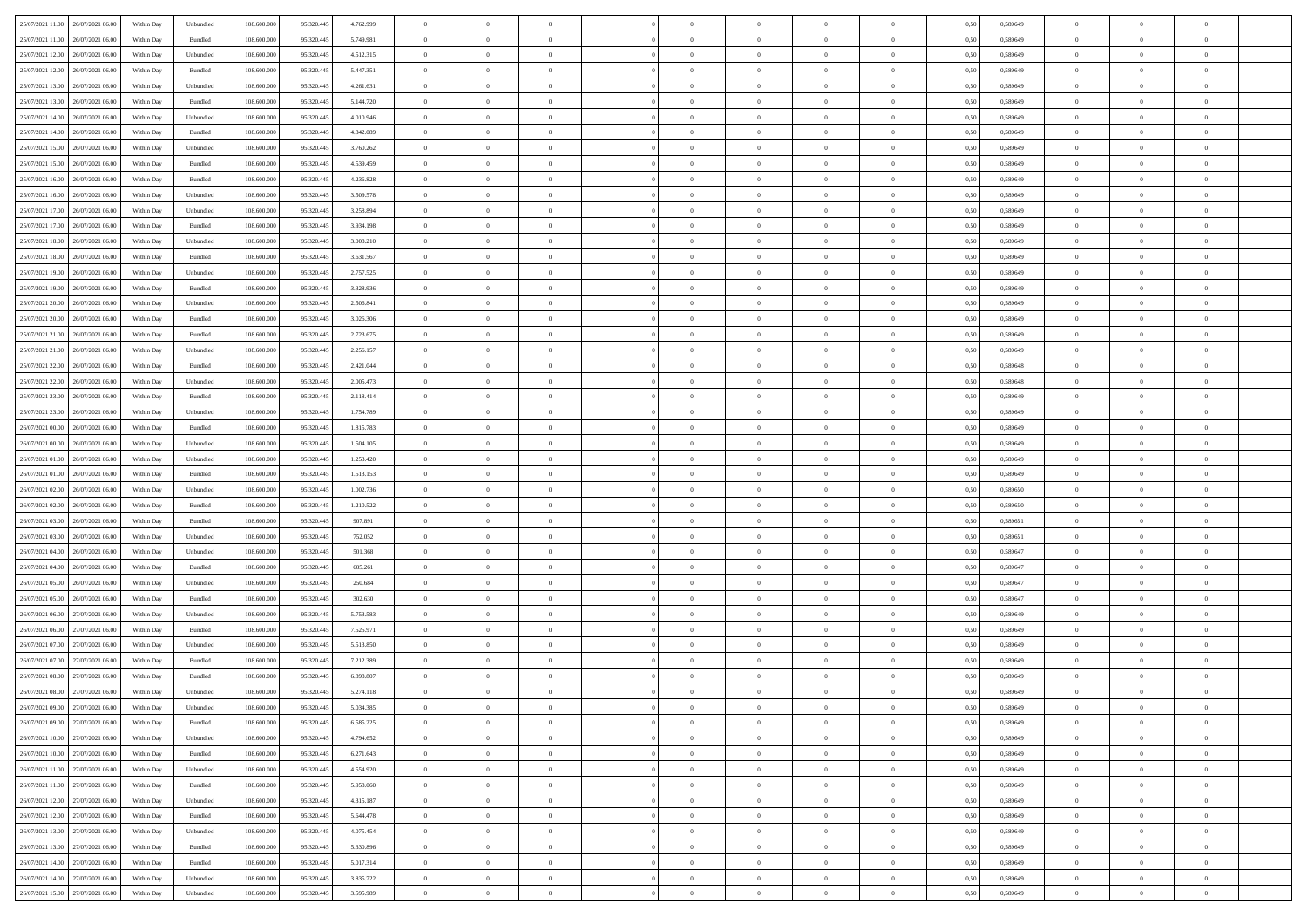| 25/07/2021 11:00 26/07/2021 06:00    | Within Day | Unbundled                   | 108.600.000 | 95.320.445 | 4.762.999 | $\overline{0}$ | $\overline{0}$ |                | $\overline{0}$ | $\theta$       |                | $\theta$       | 0,50 | 0,589649 | $\theta$       | $\theta$       | $\overline{0}$ |  |
|--------------------------------------|------------|-----------------------------|-------------|------------|-----------|----------------|----------------|----------------|----------------|----------------|----------------|----------------|------|----------|----------------|----------------|----------------|--|
| 25/07/2021 11:00<br>26/07/2021 06.00 | Within Day | Bundled                     | 108.600.00  | 95.320.445 | 5.749.981 | $\bf{0}$       | $\bf{0}$       | $\bf{0}$       | $\bf{0}$       | $\overline{0}$ | $\bf{0}$       | $\bf{0}$       | 0,50 | 0,589649 | $\,$ 0 $\,$    | $\bf{0}$       | $\overline{0}$ |  |
| 25/07/2021 12:00<br>26/07/2021 06:00 | Within Day | Unbundled                   | 108,600,000 | 95.320.445 | 4.512.315 | $\overline{0}$ | $\bf{0}$       | $\overline{0}$ | $\bf{0}$       | $\overline{0}$ | $\overline{0}$ | $\bf{0}$       | 0.50 | 0.589649 | $\bf{0}$       | $\overline{0}$ | $\bf{0}$       |  |
| 25/07/2021 12:00<br>26/07/2021 06:00 |            |                             | 108.600.000 |            |           | $\overline{0}$ | $\overline{0}$ | $\overline{0}$ | $\overline{0}$ | $\theta$       | $\overline{0}$ |                |      |          | $\theta$       | $\theta$       | $\overline{0}$ |  |
|                                      | Within Day | Bundled                     |             | 95.320.445 | 5.447.351 |                |                |                |                |                |                | $\bf{0}$       | 0,50 | 0,589649 |                |                |                |  |
| 25/07/2021 13:00<br>26/07/2021 06.00 | Within Day | Unbundled                   | 108.600.00  | 95.320.445 | 4.261.631 | $\bf{0}$       | $\overline{0}$ | $\bf{0}$       | $\overline{0}$ | $\bf{0}$       | $\overline{0}$ | $\bf{0}$       | 0,50 | 0,589649 | $\,$ 0 $\,$    | $\bf{0}$       | $\overline{0}$ |  |
| 25/07/2021 13:00<br>26/07/2021 06:00 | Within Day | Bundled                     | 108,600,000 | 95.320.44  | 5.144.720 | $\overline{0}$ | $\bf{0}$       | $\overline{0}$ | $\bf{0}$       | $\overline{0}$ | $\theta$       | $\bf{0}$       | 0.50 | 0.589649 | $\,$ 0 $\,$    | $\theta$       | $\overline{0}$ |  |
| 25/07/2021 14:00<br>26/07/2021 06:00 | Within Day | Unbundled                   | 108.600.000 | 95.320.445 | 4.010.946 | $\overline{0}$ | $\overline{0}$ | $\overline{0}$ | $\overline{0}$ | $\overline{0}$ | $\overline{0}$ | $\bf{0}$       | 0,50 | 0,589649 | $\theta$       | $\theta$       | $\overline{0}$ |  |
|                                      |            |                             |             |            |           |                |                |                |                |                |                |                |      |          |                |                |                |  |
| 25/07/2021 14:00<br>26/07/2021 06.00 | Within Day | Bundled                     | 108.600.00  | 95.320.445 | 4.842.089 | $\bf{0}$       | $\bf{0}$       | $\bf{0}$       | $\overline{0}$ | $\overline{0}$ | $\overline{0}$ | $\bf{0}$       | 0,50 | 0,589649 | $\,$ 0 $\,$    | $\bf{0}$       | $\overline{0}$ |  |
| 25/07/2021 15:00<br>26/07/2021 06:00 | Within Day | Unbundled                   | 108,600,000 | 95.320.44  | 3.760.262 | $\overline{0}$ | $\bf{0}$       | $\overline{0}$ | $\bf{0}$       | $\overline{0}$ | $\overline{0}$ | $\bf{0}$       | 0.50 | 0.589649 | $\bf{0}$       | $\overline{0}$ | $\bf{0}$       |  |
| 25/07/2021 15:00<br>26/07/2021 06:00 | Within Day | Bundled                     | 108.600.000 | 95.320.445 | 4.539.459 | $\bf{0}$       | $\bf{0}$       | $\overline{0}$ | $\overline{0}$ | $\overline{0}$ | $\overline{0}$ | $\bf{0}$       | 0,50 | 0,589649 | $\,$ 0 $\,$    | $\bf{0}$       | $\overline{0}$ |  |
| 25/07/2021 16:00<br>26/07/2021 06.00 | Within Day | Bundled                     | 108.600.00  | 95.320.445 | 4.236.828 | $\bf{0}$       | $\bf{0}$       | $\bf{0}$       | $\bf{0}$       | $\overline{0}$ | $\overline{0}$ | $\bf{0}$       | 0,50 | 0,589649 | $\,$ 0 $\,$    | $\bf{0}$       | $\overline{0}$ |  |
|                                      |            |                             |             |            |           |                |                |                |                |                |                |                |      |          |                |                |                |  |
| 25/07/2021 16:00<br>26/07/2021 06:00 | Within Day | Unbundled                   | 108,600,000 | 95.320.445 | 3.509.578 | $\overline{0}$ | $\bf{0}$       | $\overline{0}$ | $\overline{0}$ | $\overline{0}$ | $\overline{0}$ | $\bf{0}$       | 0.50 | 0.589649 | $\bf{0}$       | $\,$ 0 $\,$    | $\,$ 0         |  |
| 25/07/2021 17:00<br>26/07/2021 06:00 | Within Day | Unbundled                   | 108.600.000 | 95.320.445 | 3.258.894 | $\overline{0}$ | $\overline{0}$ | $\overline{0}$ | $\theta$       | $\theta$       | $\overline{0}$ | $\bf{0}$       | 0,50 | 0,589649 | $\theta$       | $\theta$       | $\overline{0}$ |  |
| 25/07/2021 17:00<br>26/07/2021 06.00 | Within Day | Bundled                     | 108.600.00  | 95.320.445 | 3.934.198 | $\bf{0}$       | $\overline{0}$ | $\bf{0}$       | $\bf{0}$       | $\overline{0}$ | $\overline{0}$ | $\bf{0}$       | 0,50 | 0,589649 | $\,$ 0 $\,$    | $\bf{0}$       | $\overline{0}$ |  |
|                                      |            |                             | 108 600 000 |            |           |                |                |                |                |                | $\theta$       |                |      |          |                |                |                |  |
| 25/07/2021 18:00<br>26/07/2021 06:00 | Within Day | Unbundled                   |             | 95.320.445 | 3.008.210 | $\overline{0}$ | $\bf{0}$       | $\overline{0}$ | $\bf{0}$       | $\overline{0}$ |                | $\bf{0}$       | 0.50 | 0.589649 | $\,$ 0 $\,$    | $\theta$       | $\overline{0}$ |  |
| 25/07/2021 18:00<br>26/07/2021 06:00 | Within Day | Bundled                     | 108.600.000 | 95.320.445 | 3.631.567 | $\overline{0}$ | $\overline{0}$ | $\overline{0}$ | $\overline{0}$ | $\overline{0}$ | $\overline{0}$ | $\bf{0}$       | 0,50 | 0,589649 | $\theta$       | $\theta$       | $\overline{0}$ |  |
| 25/07/2021 19:00<br>26/07/2021 06.00 | Within Day | Unbundled                   | 108.600.00  | 95.320.445 | 2.757.525 | $\bf{0}$       | $\bf{0}$       | $\bf{0}$       | $\overline{0}$ | $\overline{0}$ | $\overline{0}$ | $\bf{0}$       | 0,50 | 0,589649 | $\,$ 0 $\,$    | $\bf{0}$       | $\overline{0}$ |  |
| 25/07/2021 19:00<br>26/07/2021 06:00 | Within Day | Bundled                     | 108 600 000 | 95.320.44  | 3.328.936 | $\overline{0}$ | $\bf{0}$       | $\overline{0}$ | $\bf{0}$       | $\bf{0}$       | $\overline{0}$ | $\bf{0}$       | 0.50 | 0.589649 | $\bf{0}$       | $\overline{0}$ | $\bf{0}$       |  |
| 25/07/2021 20:00<br>26/07/2021 06:00 | Within Day | Unbundled                   | 108.600.000 | 95.320.445 | 2.506.841 | $\overline{0}$ | $\bf{0}$       | $\overline{0}$ | $\overline{0}$ | $\overline{0}$ | $\overline{0}$ | $\bf{0}$       | 0,50 | 0,589649 | $\,$ 0 $\,$    | $\bf{0}$       | $\overline{0}$ |  |
|                                      |            |                             |             |            |           |                |                |                |                |                |                |                |      |          |                |                |                |  |
| 25/07/2021 20:00<br>26/07/2021 06.00 | Within Day | Bundled                     | 108.600.00  | 95.320.445 | 3.026.306 | $\bf{0}$       | $\bf{0}$       | $\overline{0}$ | $\bf{0}$       | $\overline{0}$ | $\overline{0}$ | $\bf{0}$       | 0,50 | 0,589649 | $\,$ 0 $\,$    | $\bf{0}$       | $\overline{0}$ |  |
| 25/07/2021 21:00<br>26/07/2021 06:00 | Within Day | Bundled                     | 108,600,000 | 95.320.445 | 2.723.675 | $\overline{0}$ | $\bf{0}$       | $\overline{0}$ | $\overline{0}$ | $\overline{0}$ | $\overline{0}$ | $\bf{0}$       | 0.50 | 0.589649 | $\bf{0}$       | $\overline{0}$ | $\,$ 0         |  |
| 25/07/2021 21:00<br>26/07/2021 06:00 | Within Day | Unbundled                   | 108.600.000 | 95.320.445 | 2.256.157 | $\overline{0}$ | $\overline{0}$ | $\overline{0}$ | $\theta$       | $\overline{0}$ | $\overline{0}$ | $\bf{0}$       | 0,50 | 0,589649 | $\theta$       | $\theta$       | $\overline{0}$ |  |
|                                      |            |                             |             |            |           |                | $\bf{0}$       |                |                | $\overline{0}$ | $\overline{0}$ |                |      |          | $\,$ 0 $\,$    | $\bf{0}$       | $\overline{0}$ |  |
| 25/07/2021 22.00<br>26/07/2021 06.00 | Within Day | Bundled                     | 108.600.00  | 95.320.445 | 2.421.044 | $\bf{0}$       |                | $\bf{0}$       | $\bf{0}$       |                |                | $\bf{0}$       | 0,50 | 0,589648 |                |                |                |  |
| 25/07/2021 22.00<br>26/07/2021 06:00 | Within Day | Unbundled                   | 108 600 000 | 95.320.44  | 2.005.473 | $\overline{0}$ | $\bf{0}$       | $\overline{0}$ | $\bf{0}$       | $\overline{0}$ | $\overline{0}$ | $\bf{0}$       | 0.50 | 0.589648 | $\,$ 0 $\,$    | $\theta$       | $\overline{0}$ |  |
| 25/07/2021 23:00<br>26/07/2021 06:00 | Within Day | Bundled                     | 108.600.000 | 95.320.445 | 2.118.414 | $\overline{0}$ | $\overline{0}$ | $\overline{0}$ | $\overline{0}$ | $\overline{0}$ | $\overline{0}$ | $\bf{0}$       | 0,50 | 0,589649 | $\,$ 0 $\,$    | $\theta$       | $\overline{0}$ |  |
| 25/07/2021 23:00<br>26/07/2021 06.00 | Within Day | Unbundled                   | 108.600.00  | 95.320.445 | 1.754.789 | $\bf{0}$       | $\overline{0}$ | $\bf{0}$       | $\overline{0}$ | $\overline{0}$ | $\overline{0}$ | $\bf{0}$       | 0,50 | 0,589649 | $\,$ 0 $\,$    | $\bf{0}$       | $\overline{0}$ |  |
| 26/07/2021 00:00<br>26/07/2021 06:00 | Within Day | Bundled                     | 108,600,000 | 95.320.44  | 1.815.783 | $\overline{0}$ | $\bf{0}$       | $\overline{0}$ | $\bf{0}$       | $\overline{0}$ | $\overline{0}$ | $\bf{0}$       | 0.50 | 0.589649 | $\bf{0}$       | $\overline{0}$ | $\bf{0}$       |  |
|                                      |            |                             |             |            |           |                |                |                |                |                |                |                |      |          |                |                |                |  |
| 26/07/2021 00:00<br>26/07/2021 06:00 | Within Day | Unbundled                   | 108.600.000 | 95.320.445 | 1.504.105 | $\overline{0}$ | $\bf{0}$       | $\overline{0}$ | $\overline{0}$ | $\overline{0}$ | $\overline{0}$ | $\bf{0}$       | 0,50 | 0,589649 | $\theta$       | $\theta$       | $\overline{0}$ |  |
| 26/07/2021 01:00<br>26/07/2021 06.00 | Within Day | Unbundled                   | 108.600.00  | 95.320.445 | 1.253.420 | $\bf{0}$       | $\bf{0}$       | $\bf{0}$       | $\bf{0}$       | $\overline{0}$ | $\overline{0}$ | $\bf{0}$       | 0,50 | 0,589649 | $\,$ 0 $\,$    | $\bf{0}$       | $\overline{0}$ |  |
| 26/07/2021 01:00<br>26/07/2021 06:00 | Within Day | Bundled                     | 108,600,000 | 95.320.445 | 1.513.153 | $\overline{0}$ | $\bf{0}$       | $\overline{0}$ | $\bf{0}$       | $\overline{0}$ | $\overline{0}$ | $\bf{0}$       | 0.50 | 0.589649 | $\bf{0}$       | $\,$ 0 $\,$    | $\,$ 0         |  |
| 26/07/2021 02:00<br>26/07/2021 06:00 | Within Day | Unbundled                   | 108.600.000 | 95.320.445 | 1.002.736 | $\overline{0}$ | $\overline{0}$ | $\overline{0}$ | $\overline{0}$ | $\overline{0}$ | $\overline{0}$ | $\bf{0}$       | 0.50 | 0.589650 | $\theta$       | $\theta$       | $\overline{0}$ |  |
|                                      |            |                             |             |            |           |                |                |                |                |                |                |                |      |          |                |                |                |  |
| 26/07/2021 02:00<br>26/07/2021 06.00 | Within Day | Bundled                     | 108.600.00  | 95.320.445 | 1.210.522 | $\bf{0}$       | $\bf{0}$       | $\bf{0}$       | $\bf{0}$       | $\overline{0}$ | $\overline{0}$ | $\bf{0}$       | 0,50 | 0,589650 | $\,$ 0 $\,$    | $\bf{0}$       | $\overline{0}$ |  |
| 26/07/2021 03:00<br>26/07/2021 06:00 | Within Day | Bundled                     | 108,600,000 | 95.320.445 | 907.891   | $\overline{0}$ | $\bf{0}$       | $\overline{0}$ | $\bf{0}$       | $\overline{0}$ | $\overline{0}$ | $\bf{0}$       | 0.50 | 0.589651 | $\,$ 0 $\,$    | $\bf{0}$       | $\overline{0}$ |  |
| 26/07/2021 03:00<br>26/07/2021 06:00 | Within Dav | Unbundled                   | 108.600.000 | 95.320.445 | 752.052   | $\overline{0}$ | $\overline{0}$ | $\overline{0}$ | $\overline{0}$ | $\overline{0}$ | $\overline{0}$ | $\bf{0}$       | 0.50 | 0,589651 | $\theta$       | $\theta$       | $\overline{0}$ |  |
| 26/07/2021 04:00<br>26/07/2021 06.00 | Within Day | Unbundled                   | 108.600.00  | 95.320.445 | 501.368   | $\bf{0}$       | $\bf{0}$       | $\bf{0}$       | $\bf{0}$       | $\overline{0}$ | $\overline{0}$ | $\bf{0}$       | 0,50 | 0,589647 | $\,$ 0 $\,$    | $\bf{0}$       | $\overline{0}$ |  |
| 26/07/2021 04:00<br>26/07/2021 06:00 |            | Bundled                     | 108,600,000 | 95.320.44  | 605.261   |                | $\bf{0}$       | $\overline{0}$ |                | $\overline{0}$ | $\overline{0}$ |                | 0.50 | 0.589647 | $\bf{0}$       | $\overline{0}$ | $\bf{0}$       |  |
|                                      | Within Day |                             |             |            |           | $\overline{0}$ |                |                | $\bf{0}$       |                |                | $\bf{0}$       |      |          |                |                |                |  |
| 26/07/2021 05:00<br>26/07/2021 06:00 | Within Day | Unbundled                   | 108.600.000 | 95.320.445 | 250.684   | $\overline{0}$ | $\overline{0}$ | $\overline{0}$ | $\overline{0}$ | $\overline{0}$ | $\overline{0}$ | $\bf{0}$       | 0.50 | 0.589647 | $\theta$       | $\theta$       | $\overline{0}$ |  |
| 26/07/2021 05:00<br>26/07/2021 06.00 | Within Day | Bundled                     | 108.600.00  | 95.320.445 | 302.630   | $\bf{0}$       | $\bf{0}$       | $\bf{0}$       | $\bf{0}$       | $\overline{0}$ | $\overline{0}$ | $\bf{0}$       | 0,50 | 0,589647 | $\,$ 0 $\,$    | $\bf{0}$       | $\overline{0}$ |  |
| 26/07/2021 06:00<br>27/07/2021 06:00 | Within Day | Unbundled                   | 108,600,000 | 95.320.445 | 5.753.583 | $\overline{0}$ | $\bf{0}$       | $\overline{0}$ | $\overline{0}$ | $\bf{0}$       | $\overline{0}$ | $\bf{0}$       | 0.50 | 0.589649 | $\bf{0}$       | $\,$ 0 $\,$    | $\,$ 0         |  |
| 26/07/2021 06:00<br>27/07/2021 06:00 | Within Dav | Bundled                     | 108.600.000 | 95.320.445 | 7.525.971 | $\overline{0}$ | $\overline{0}$ | $\overline{0}$ | $\overline{0}$ | $\overline{0}$ | $\overline{0}$ | $\bf{0}$       | 0.50 | 0.589649 | $\theta$       | $\theta$       | $\overline{0}$ |  |
|                                      |            |                             |             |            |           |                |                |                |                |                |                |                |      |          |                |                |                |  |
| 26/07/2021 07:00<br>27/07/2021 06.00 | Within Day | Unbundled                   | 108.600.00  | 95.320.445 | 5.513.850 | $\bf{0}$       | $\bf{0}$       | $\bf{0}$       | $\bf{0}$       | $\overline{0}$ | $\overline{0}$ | $\bf{0}$       | 0,50 | 0,589649 | $\,$ 0 $\,$    | $\bf{0}$       | $\overline{0}$ |  |
| 26/07/2021 07:00<br>27/07/2021 06:00 | Within Day | Bundled                     | 108,600,000 | 95.320.44  | 7.212.389 | $\overline{0}$ | $\overline{0}$ | $\overline{0}$ | $\bf{0}$       | $\overline{0}$ | $\Omega$       | $\bf{0}$       | 0.50 | 0.589649 | $\bf{0}$       | $\theta$       | $\overline{0}$ |  |
| 26/07/2021 08:00<br>27/07/2021 06:00 | Within Dav | Bundled                     | 108.600.000 | 95.320.445 | 6,898,807 | $\overline{0}$ | $\overline{0}$ | $\overline{0}$ | $\overline{0}$ | $\theta$       | $\overline{0}$ | $\overline{0}$ | 0.5( | 0.589649 | $\theta$       | $\theta$       | $\overline{0}$ |  |
| 26/07/2021 08:00<br>27/07/2021 06:00 | Within Day | Unbundled                   | 108.600.000 | 95.320.445 | 5.274.118 | $\bf{0}$       | $\bf{0}$       | $\bf{0}$       | $\bf{0}$       | $\bf{0}$       | $\overline{0}$ | $\bf{0}$       | 0,50 | 0,589649 | $\overline{0}$ | $\overline{0}$ | $\overline{0}$ |  |
| 26/07/2021 09:00 27/07/2021 06:00    |            |                             | 108.600.000 |            | 5.034.385 |                |                |                |                |                |                |                |      | 0.589649 |                |                |                |  |
|                                      | Within Day | $\ensuremath{\mathsf{Unb}}$ |             | 95.320.445 |           | $\bf{0}$       | $\theta$       |                | $\overline{0}$ | $\Omega$       |                |                | 0,50 |          | $\bf{0}$       | $\bf{0}$       |                |  |
| 26/07/2021 09:00 27/07/2021 06:00    | Within Day | Bundled                     | 108.600.000 | 95.320.445 | 6.585.225 | $\overline{0}$ | $\overline{0}$ | $\Omega$       | $\theta$       | $\overline{0}$ | $\overline{0}$ | $\bf{0}$       | 0,50 | 0,589649 | $\theta$       | $\theta$       | $\overline{0}$ |  |
| 26/07/2021 10:00<br>27/07/2021 06:00 | Within Day | Unbundled                   | 108.600.00  | 95.320.445 | 4.794.652 | $\overline{0}$ | $\bf{0}$       | $\overline{0}$ | $\overline{0}$ | $\bf{0}$       | $\overline{0}$ | $\bf{0}$       | 0,50 | 0,589649 | $\bf{0}$       | $\overline{0}$ | $\bf{0}$       |  |
| 26/07/2021 10:00 27/07/2021 06:00    | Within Day | Bundled                     | 108,600,000 | 95.320.445 | 6.271.643 | $\overline{0}$ | $\overline{0}$ | $\overline{0}$ | $\overline{0}$ | $\mathbf{0}$   | $\overline{0}$ | $\,$ 0 $\,$    | 0.50 | 0.589649 | $\overline{0}$ | $\bf{0}$       | $\bf{0}$       |  |
| 26/07/2021 11:00 27/07/2021 06:00    | Within Dav | Unbundled                   | 108.600.000 | 95.320.445 | 4.554.920 | $\overline{0}$ | $\overline{0}$ | $\overline{0}$ | $\overline{0}$ | $\overline{0}$ | $\overline{0}$ | $\bf{0}$       | 0,50 | 0.589649 | $\overline{0}$ | $\theta$       | $\overline{0}$ |  |
|                                      |            |                             |             |            |           |                |                |                |                |                |                |                |      |          |                |                |                |  |
| 26/07/2021 11:00<br>27/07/2021 06:00 | Within Day | Bundled                     | 108.600.000 | 95.320.445 | 5.958.060 | $\overline{0}$ | $\bf{0}$       | $\overline{0}$ | $\overline{0}$ | $\bf{0}$       | $\overline{0}$ | $\bf{0}$       | 0,50 | 0,589649 | $\bf{0}$       | $\overline{0}$ | $\overline{0}$ |  |
| 26/07/2021 12:00 27/07/2021 06:00    | Within Day | Unbundled                   | 108,600,000 | 95.320.445 | 4.315.187 | $\overline{0}$ | $\bf{0}$       | $\overline{0}$ | $\overline{0}$ | $\bf{0}$       | $\overline{0}$ | $\bf{0}$       | 0.50 | 0.589649 | $\,$ 0 $\,$    | $\overline{0}$ | $\,$ 0         |  |
| 26/07/2021 12:00 27/07/2021 06:00    | Within Dav | Bundled                     | 108.600.000 | 95.320.445 | 5.644.478 | $\overline{0}$ | $\overline{0}$ | $\overline{0}$ | $\overline{0}$ | $\overline{0}$ | $\overline{0}$ | $\bf{0}$       | 0,50 | 0.589649 | $\overline{0}$ | $\theta$       | $\overline{0}$ |  |
| 27/07/2021 06:00<br>26/07/2021 13:00 |            |                             |             |            |           |                | $\overline{0}$ |                |                | $\overline{0}$ |                |                |      |          | $\bf{0}$       | $\overline{0}$ | $\,$ 0         |  |
|                                      | Within Day | Unbundled                   | 108.600.00  | 95.320.445 | 4.075.454 | $\overline{0}$ |                | $\overline{0}$ | $\overline{0}$ |                | $\overline{0}$ | $\bf{0}$       | 0,50 | 0,589649 |                |                |                |  |
| 26/07/2021 13:00 27/07/2021 06:00    | Within Day | Bundled                     | 108,600,000 | 95.320.445 | 5.330.896 | $\overline{0}$ | $\overline{0}$ | $\overline{0}$ | $\overline{0}$ | $\overline{0}$ | $\overline{0}$ | $\bf{0}$       | 0.50 | 0.589649 | $\mathbf{0}$   | $\bf{0}$       | $\,$ 0         |  |
| 26/07/2021 14:00 27/07/2021 06:00    | Within Dav | Bundled                     | 108.600.000 | 95.320.445 | 5.017.314 | $\overline{0}$ | $\overline{0}$ | $\overline{0}$ | $\overline{0}$ | $\overline{0}$ | $\overline{0}$ | $\bf{0}$       | 0,50 | 0.589649 | $\overline{0}$ | $\theta$       | $\overline{0}$ |  |
| 26/07/2021 14:00<br>27/07/2021 06:00 | Within Day | Unbundled                   | 108.600.00  | 95.320.445 | 3.835.722 | $\overline{0}$ | $\bf{0}$       | $\overline{0}$ | $\overline{0}$ | $\overline{0}$ | $\overline{0}$ | $\bf{0}$       | 0,50 | 0,589649 | $\bf{0}$       | $\overline{0}$ | $\bf{0}$       |  |
|                                      |            |                             |             |            |           |                |                |                |                |                |                |                |      |          |                |                |                |  |
| 26/07/2021 15:00 27/07/2021 06:00    | Within Day | Unbundled                   | 108.600.000 | 95.320.445 | 3.595.989 | $\,$ 0 $\,$    | $\bf{0}$       | $\overline{0}$ | $\overline{0}$ | $\,$ 0 $\,$    | $\overline{0}$ | $\,$ 0 $\,$    | 0,50 | 0,589649 | $\overline{0}$ | $\,$ 0 $\,$    | $\,$ 0 $\,$    |  |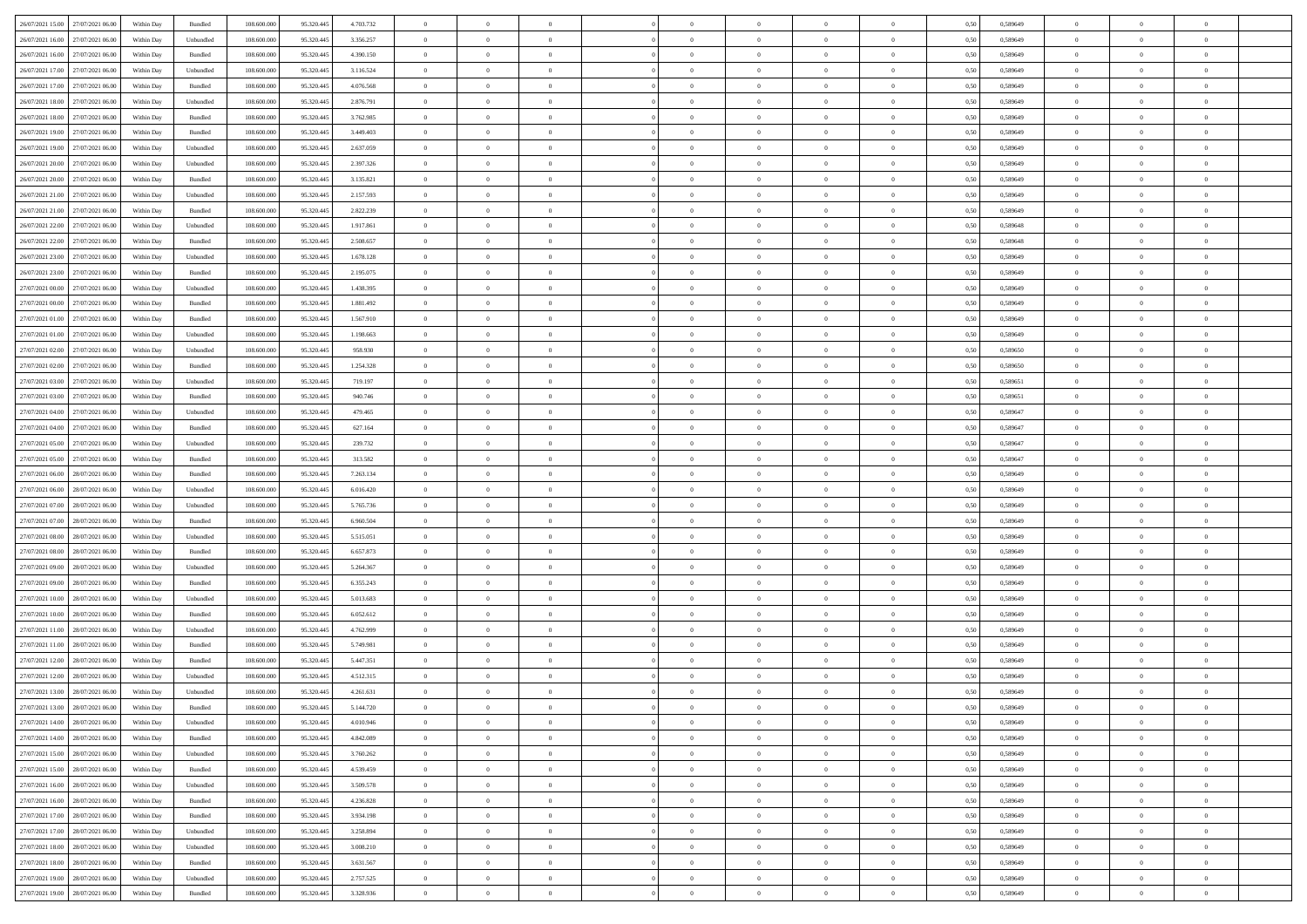| 26/07/2021 15:00 27/07/2021 06:00    | Within Day | Bundled   | 108.600.000 | 95.320.445 | 4.703.732 | $\overline{0}$ | $\theta$       |                | $\overline{0}$ | $\theta$       |                | $\theta$       | 0,50 | 0,589649 | $\theta$       | $\theta$       | $\overline{0}$ |  |
|--------------------------------------|------------|-----------|-------------|------------|-----------|----------------|----------------|----------------|----------------|----------------|----------------|----------------|------|----------|----------------|----------------|----------------|--|
| 26/07/2021 16:00<br>27/07/2021 06.00 | Within Day | Unbundled | 108.600.00  | 95.320.445 | 3.356.257 | $\bf{0}$       | $\bf{0}$       | $\bf{0}$       | $\bf{0}$       | $\overline{0}$ | $\overline{0}$ | $\bf{0}$       | 0,50 | 0,589649 | $\,$ 0 $\,$    | $\bf{0}$       | $\overline{0}$ |  |
| 26/07/2021 16:00<br>27/07/2021 06:00 | Within Day | Bundled   | 108,600,000 | 95.320.445 | 4.390.150 | $\overline{0}$ | $\bf{0}$       | $\overline{0}$ | $\bf{0}$       | $\bf{0}$       | $\overline{0}$ | $\bf{0}$       | 0.50 | 0.589649 | $\bf{0}$       | $\overline{0}$ | $\bf{0}$       |  |
| 26/07/2021 17:00<br>27/07/2021 06:00 |            |           | 108.600.000 |            |           | $\overline{0}$ | $\overline{0}$ | $\overline{0}$ | $\theta$       | $\theta$       | $\overline{0}$ |                |      |          | $\theta$       | $\theta$       | $\overline{0}$ |  |
|                                      | Within Day | Unbundled |             | 95.320.445 | 3.116.524 |                |                |                |                |                |                | $\bf{0}$       | 0,50 | 0,589649 |                |                |                |  |
| 26/07/2021 17:00<br>27/07/2021 06.00 | Within Day | Bundled   | 108.600.00  | 95.320.445 | 4.076.568 | $\overline{0}$ | $\overline{0}$ | $\bf{0}$       | $\overline{0}$ | $\theta$       | $\overline{0}$ | $\bf{0}$       | 0,50 | 0,589649 | $\,$ 0 $\,$    | $\bf{0}$       | $\overline{0}$ |  |
| 26/07/2021 18:00<br>27/07/2021 06:00 | Within Day | Unbundled | 108,600,000 | 95.320.44  | 2.876.791 | $\overline{0}$ | $\overline{0}$ | $\overline{0}$ | $\bf{0}$       | $\overline{0}$ | $\theta$       | $\bf{0}$       | 0.50 | 0.589649 | $\,$ 0 $\,$    | $\theta$       | $\overline{0}$ |  |
| 26/07/2021 18:00<br>27/07/2021 06:00 | Within Day | Bundled   | 108.600.000 | 95.320.445 | 3.762.985 | $\overline{0}$ | $\overline{0}$ | $\overline{0}$ | $\overline{0}$ | $\overline{0}$ | $\overline{0}$ | $\bf{0}$       | 0,50 | 0,589649 | $\theta$       | $\theta$       | $\overline{0}$ |  |
|                                      |            |           |             |            |           |                |                |                |                |                |                |                |      |          |                |                |                |  |
| 26/07/2021 19:00<br>27/07/2021 06.00 | Within Day | Bundled   | 108.600.00  | 95.320.445 | 3.449.403 | $\bf{0}$       | $\bf{0}$       | $\bf{0}$       | $\overline{0}$ | $\overline{0}$ | $\overline{0}$ | $\bf{0}$       | 0,50 | 0,589649 | $\,$ 0 $\,$    | $\bf{0}$       | $\overline{0}$ |  |
| 26/07/2021 19:00<br>27/07/2021 06:00 | Within Day | Unbundled | 108,600,000 | 95.320.44  | 2.637.059 | $\overline{0}$ | $\bf{0}$       | $\overline{0}$ | $\bf{0}$       | $\overline{0}$ | $\overline{0}$ | $\bf{0}$       | 0.50 | 0.589649 | $\bf{0}$       | $\overline{0}$ | $\overline{0}$ |  |
| 26/07/2021 20:00<br>27/07/2021 06:00 | Within Day | Unbundled | 108.600.000 | 95.320.445 | 2.397.326 | $\bf{0}$       | $\bf{0}$       | $\overline{0}$ | $\overline{0}$ | $\overline{0}$ | $\overline{0}$ | $\bf{0}$       | 0,50 | 0,589649 | $\,$ 0 $\,$    | $\bf{0}$       | $\overline{0}$ |  |
| 26/07/2021 20:00<br>27/07/2021 06.00 | Within Day | Bundled   | 108.600.00  | 95.320.445 | 3.135.821 | $\bf{0}$       | $\overline{0}$ | $\bf{0}$       | $\bf{0}$       | $\overline{0}$ | $\overline{0}$ | $\bf{0}$       | 0,50 | 0,589649 | $\,$ 0 $\,$    | $\bf{0}$       | $\overline{0}$ |  |
|                                      |            |           |             |            |           |                |                |                |                |                |                |                |      |          |                |                |                |  |
| 26/07/2021 21:00<br>27/07/2021 06:00 | Within Day | Unbundled | 108,600,000 | 95.320.445 | 2.157.593 | $\overline{0}$ | $\bf{0}$       | $\overline{0}$ | $\bf{0}$       | $\overline{0}$ | $\overline{0}$ | $\bf{0}$       | 0.50 | 0.589649 | $\bf{0}$       | $\overline{0}$ | $\,$ 0         |  |
| 26/07/2021 21:00<br>27/07/2021 06:00 | Within Day | Bundled   | 108.600.000 | 95.320.445 | 2.822.239 | $\overline{0}$ | $\overline{0}$ | $\overline{0}$ | $\theta$       | $\theta$       | $\overline{0}$ | $\bf{0}$       | 0,50 | 0,589649 | $\theta$       | $\theta$       | $\overline{0}$ |  |
| 26/07/2021 22:00<br>27/07/2021 06.00 | Within Day | Unbundled | 108.600.00  | 95.320.445 | 1.917.861 | $\bf{0}$       | $\overline{0}$ | $\bf{0}$       | $\overline{0}$ | $\bf{0}$       | $\overline{0}$ | $\bf{0}$       | 0,50 | 0,589648 | $\,$ 0 $\,$    | $\bf{0}$       | $\overline{0}$ |  |
| 26/07/2021 22:00<br>27/07/2021 06:00 | Within Day | Bundled   | 108,600,000 | 95.320.44  | 2.508.657 | $\overline{0}$ | $\overline{0}$ | $\overline{0}$ | $\bf{0}$       | $\overline{0}$ | $\theta$       | $\bf{0}$       | 0.50 | 0.589648 | $\,$ 0 $\,$    | $\theta$       | $\overline{0}$ |  |
| 26/07/2021 23:00<br>27/07/2021 06:00 | Within Day | Unbundled | 108.600.000 | 95.320.445 | 1.678.128 | $\overline{0}$ | $\overline{0}$ | $\overline{0}$ | $\overline{0}$ | $\overline{0}$ | $\overline{0}$ | $\bf{0}$       | 0,50 | 0,589649 | $\theta$       | $\theta$       | $\overline{0}$ |  |
|                                      |            |           |             |            |           |                |                |                |                |                |                |                |      |          |                |                |                |  |
| 26/07/2021 23:00<br>27/07/2021 06.00 | Within Day | Bundled   | 108.600.00  | 95.320.445 | 2.195.075 | $\bf{0}$       | $\overline{0}$ | $\bf{0}$       | $\overline{0}$ | $\overline{0}$ | $\overline{0}$ | $\bf{0}$       | 0,50 | 0,589649 | $\,$ 0 $\,$    | $\bf{0}$       | $\overline{0}$ |  |
| 27/07/2021 00:00<br>27/07/2021 06:00 | Within Day | Unbundled | 108 600 000 | 95.320.44  | 1.438.395 | $\overline{0}$ | $\bf{0}$       | $\overline{0}$ | $\bf{0}$       | $\overline{0}$ | $\overline{0}$ | $\bf{0}$       | 0.50 | 0.589649 | $\bf{0}$       | $\overline{0}$ | $\bf{0}$       |  |
| 27/07/2021 00:00<br>27/07/2021 06:00 | Within Day | Bundled   | 108.600.000 | 95.320.445 | 1.881.492 | $\overline{0}$ | $\bf{0}$       | $\overline{0}$ | $\overline{0}$ | $\overline{0}$ | $\overline{0}$ | $\bf{0}$       | 0,50 | 0,589649 | $\,$ 0 $\,$    | $\bf{0}$       | $\overline{0}$ |  |
| 27/07/2021 01:00<br>27/07/2021 06.00 | Within Day | Bundled   | 108.600.00  | 95.320.445 | 1.567.910 | $\bf{0}$       | $\bf{0}$       | $\bf{0}$       | $\bf{0}$       | $\overline{0}$ | $\overline{0}$ | $\bf{0}$       | 0,50 | 0,589649 | $\,$ 0 $\,$    | $\bf{0}$       | $\overline{0}$ |  |
|                                      |            |           |             |            |           |                |                |                |                |                |                |                |      |          |                |                |                |  |
| 27/07/2021 01:00<br>27/07/2021 06:00 | Within Day | Unbundled | 108,600,000 | 95.320.445 | 1.198.663 | $\overline{0}$ | $\bf{0}$       | $\overline{0}$ | $\overline{0}$ | $\bf{0}$       | $\overline{0}$ | $\bf{0}$       | 0.50 | 0.589649 | $\bf{0}$       | $\overline{0}$ | $\,$ 0         |  |
| 27/07/2021 02:00<br>27/07/2021 06:00 | Within Day | Unbundled | 108.600.000 | 95.320.445 | 958.930   | $\overline{0}$ | $\overline{0}$ | $\overline{0}$ | $\theta$       | $\theta$       | $\overline{0}$ | $\bf{0}$       | 0,50 | 0,589650 | $\theta$       | $\theta$       | $\overline{0}$ |  |
| 27/07/2021 02:00<br>27/07/2021 06.00 | Within Day | Bundled   | 108.600.00  | 95.320.445 | 1.254.328 | $\bf{0}$       | $\overline{0}$ | $\bf{0}$       | $\bf{0}$       | $\overline{0}$ | $\overline{0}$ | $\bf{0}$       | 0,50 | 0,589650 | $\,$ 0 $\,$    | $\bf{0}$       | $\overline{0}$ |  |
| 27/07/2021 03:00<br>27/07/2021 06:00 | Within Day | Unbundled | 108 600 000 | 95.320.44  | 719.197   | $\overline{0}$ | $\overline{0}$ | $\overline{0}$ | $\bf{0}$       | $\overline{0}$ | $\theta$       | $\bf{0}$       | 0.50 | 0.589651 | $\,$ 0 $\,$    | $\theta$       | $\overline{0}$ |  |
| 27/07/2021 03:00<br>27/07/2021 06:00 | Within Day | Bundled   | 108.600.000 | 95.320.445 | 940.746   | $\overline{0}$ | $\overline{0}$ | $\overline{0}$ | $\overline{0}$ | $\overline{0}$ | $\overline{0}$ | $\bf{0}$       | 0,50 | 0,589651 | $\theta$       | $\theta$       | $\overline{0}$ |  |
|                                      |            |           |             |            |           |                |                |                |                |                |                |                |      |          |                |                |                |  |
| 27/07/2021 04:00<br>27/07/2021 06.00 | Within Day | Unbundled | 108.600.00  | 95.320.445 | 479.465   | $\bf{0}$       | $\overline{0}$ | $\bf{0}$       | $\overline{0}$ | $\bf{0}$       | $\overline{0}$ | $\bf{0}$       | 0,50 | 0,589647 | $\,$ 0 $\,$    | $\bf{0}$       | $\overline{0}$ |  |
| 27/07/2021 04:00<br>27/07/2021 06:00 | Within Day | Bundled   | 108,600,000 | 95.320.44  | 627.164   | $\overline{0}$ | $\bf{0}$       | $\overline{0}$ | $\bf{0}$       | $\overline{0}$ | $\overline{0}$ | $\bf{0}$       | 0.50 | 0.589647 | $\bf{0}$       | $\overline{0}$ | $\overline{0}$ |  |
| 27/07/2021 05:00<br>27/07/2021 06:00 | Within Day | Unbundled | 108.600.000 | 95.320.445 | 239.732   | $\overline{0}$ | $\overline{0}$ | $\overline{0}$ | $\overline{0}$ | $\overline{0}$ | $\overline{0}$ | $\bf{0}$       | 0,50 | 0,589647 | $\theta$       | $\theta$       | $\overline{0}$ |  |
| 27/07/2021 05:00<br>27/07/2021 06.00 | Within Day | Bundled   | 108.600.00  | 95.320.445 | 313.582   | $\bf{0}$       | $\bf{0}$       | $\bf{0}$       | $\bf{0}$       | $\overline{0}$ | $\overline{0}$ | $\bf{0}$       | 0,50 | 0,589647 | $\,$ 0 $\,$    | $\bf{0}$       | $\overline{0}$ |  |
|                                      |            |           |             |            |           |                |                |                |                |                |                |                |      |          |                |                |                |  |
| 27/07/2021 06:00<br>28/07/2021 06:00 | Within Day | Bundled   | 108,600,000 | 95.320.445 | 7.263.134 | $\overline{0}$ | $\bf{0}$       | $\overline{0}$ | $\bf{0}$       | $\bf{0}$       | $\overline{0}$ | $\bf{0}$       | 0.50 | 0.589649 | $\bf{0}$       | $\overline{0}$ | $\,$ 0         |  |
| 27/07/2021 06:00<br>28/07/2021 06:00 | Within Day | Unbundled | 108.600.000 | 95.320.445 | 6.016.420 | $\overline{0}$ | $\overline{0}$ | $\overline{0}$ | $\overline{0}$ | $\overline{0}$ | $\overline{0}$ | $\bf{0}$       | 0.50 | 0.589649 | $\theta$       | $\theta$       | $\overline{0}$ |  |
| 27/07/2021 07:00<br>28/07/2021 06:00 | Within Day | Unbundled | 108.600.00  | 95.320.445 | 5.765.736 | $\bf{0}$       | $\overline{0}$ | $\bf{0}$       | $\bf{0}$       | $\overline{0}$ | $\overline{0}$ | $\bf{0}$       | 0,50 | 0,589649 | $\,$ 0 $\,$    | $\bf{0}$       | $\overline{0}$ |  |
| 27/07/2021 07:00<br>28/07/2021 06:00 | Within Day | Bundled   | 108,600,000 | 95.320.445 | 6.960.504 | $\overline{0}$ | $\bf{0}$       | $\overline{0}$ | $\bf{0}$       | $\overline{0}$ | $\overline{0}$ | $\bf{0}$       | 0.50 | 0.589649 | $\,$ 0 $\,$    | $\theta$       | $\overline{0}$ |  |
| 27/07/2021 08:00<br>28/07/2021 06:00 | Within Dav | Unbundled | 108.600.000 | 95.320.445 | 5.515.051 | $\overline{0}$ | $\overline{0}$ | $\overline{0}$ | $\overline{0}$ | $\overline{0}$ | $\overline{0}$ | $\bf{0}$       | 0.50 | 0.589649 | $\theta$       | $\theta$       | $\overline{0}$ |  |
|                                      |            |           |             |            |           |                |                |                |                |                |                |                |      |          |                |                |                |  |
| 27/07/2021 08:00<br>28/07/2021 06:00 | Within Day | Bundled   | 108.600.00  | 95.320.445 | 6.657.873 | $\bf{0}$       | $\bf{0}$       | $\bf{0}$       | $\bf{0}$       | $\overline{0}$ | $\overline{0}$ | $\bf{0}$       | 0,50 | 0,589649 | $\,$ 0 $\,$    | $\bf{0}$       | $\overline{0}$ |  |
| 27/07/2021 09:00<br>28/07/2021 06:00 | Within Day | Unbundled | 108,600,000 | 95.320.44  | 5.264.367 | $\overline{0}$ | $\bf{0}$       | $\overline{0}$ | $\bf{0}$       | $\overline{0}$ | $\overline{0}$ | $\bf{0}$       | 0.50 | 0.589649 | $\bf{0}$       | $\overline{0}$ | $\bf{0}$       |  |
| 27/07/2021 09:00<br>28/07/2021 06:00 | Within Dav | Bundled   | 108.600.000 | 95.320.445 | 6.355.243 | $\overline{0}$ | $\overline{0}$ | $\overline{0}$ | $\overline{0}$ | $\overline{0}$ | $\overline{0}$ | $\bf{0}$       | 0.50 | 0.589649 | $\theta$       | $\theta$       | $\overline{0}$ |  |
| 27/07/2021 10:00<br>28/07/2021 06:00 | Within Day | Unbundled | 108.600.00  | 95.320.445 | 5.013.683 | $\bf{0}$       | $\bf{0}$       | $\bf{0}$       | $\bf{0}$       | $\overline{0}$ | $\overline{0}$ | $\bf{0}$       | 0,50 | 0,589649 | $\,$ 0 $\,$    | $\bf{0}$       | $\overline{0}$ |  |
| 28/07/2021 06:00                     |            | Bundled   | 108,600,000 | 95.320.445 |           |                |                |                |                |                | $\overline{0}$ |                |      | 0.589649 |                |                | $\,$ 0         |  |
| 27/07/2021 10:00                     | Within Day |           |             |            | 6.052.612 | $\overline{0}$ | $\bf{0}$       | $\overline{0}$ | $\overline{0}$ | $\bf{0}$       |                | $\bf{0}$       | 0.50 |          | $\bf{0}$       | $\overline{0}$ |                |  |
| 27/07/2021 11:00<br>28/07/2021 06:00 | Within Dav | Unbundled | 108.600.000 | 95.320.445 | 4.762.999 | $\overline{0}$ | $\overline{0}$ | $\overline{0}$ | $\overline{0}$ | $\overline{0}$ | $\overline{0}$ | $\bf{0}$       | 0.50 | 0.589649 | $\theta$       | $\theta$       | $\overline{0}$ |  |
| 27/07/2021 11:00<br>28/07/2021 06:00 | Within Day | Bundled   | 108.600.00  | 95.320.445 | 5.749.981 | $\bf{0}$       | $\bf{0}$       | $\bf{0}$       | $\bf{0}$       | $\overline{0}$ | $\overline{0}$ | $\bf{0}$       | 0,50 | 0,589649 | $\,$ 0 $\,$    | $\bf{0}$       | $\overline{0}$ |  |
| 27/07/2021 12:00<br>28/07/2021 06:00 | Within Day | Bundled   | 108,600,000 | 95.320.44  | 5.447.351 | $\overline{0}$ | $\overline{0}$ | $\overline{0}$ | $\bf{0}$       | $\overline{0}$ | $\Omega$       | $\bf{0}$       | 0.50 | 0.589649 | $\bf{0}$       | $\theta$       | $\overline{0}$ |  |
| 27/07/2021 12:00<br>28/07/2021 06:00 | Within Dav | Unbundled | 108.600.000 | 95.320.445 | 4.512.315 | $\overline{0}$ | $\overline{0}$ | $\Omega$       | $\overline{0}$ | $\theta$       | $\overline{0}$ | $\overline{0}$ | 0.5( | 0.589649 | $\theta$       | $\theta$       | $\overline{0}$ |  |
|                                      |            |           |             |            |           |                |                |                |                |                |                |                |      |          |                |                |                |  |
| 27/07/2021 13:00<br>28/07/2021 06:00 | Within Day | Unbundled | 108.600.000 | 95.320.445 | 4.261.631 | $\bf{0}$       | $\bf{0}$       | $\bf{0}$       | $\bf{0}$       | $\bf{0}$       | $\overline{0}$ | $\bf{0}$       | 0,50 | 0,589649 | $\overline{0}$ | $\bf{0}$       | $\overline{0}$ |  |
| 27/07/2021 13:00 28/07/2021 06:00    | Within Day | Bundled   | 108.600.000 | 95.320.445 | 5.144.720 | $\bf{0}$       | $\theta$       |                | $\Omega$       |                |                |                | 0,50 | 0.589649 | $\bf{0}$       | $\overline{0}$ |                |  |
| 27/07/2021 14:00 28/07/2021 06:00    | Within Day | Unbundled | 108.600.000 | 95.320.445 | 4.010.946 | $\overline{0}$ | $\overline{0}$ | $\Omega$       | $\theta$       | $\overline{0}$ | $\overline{0}$ | $\bf{0}$       | 0,50 | 0,589649 | $\theta$       | $\theta$       | $\overline{0}$ |  |
| 27/07/2021 14:00<br>28/07/2021 06:00 | Within Day | Bundled   | 108.600.00  | 95.320.445 | 4.842.089 | $\overline{0}$ | $\bf{0}$       | $\overline{0}$ | $\overline{0}$ | $\bf{0}$       | $\overline{0}$ | $\bf{0}$       | 0,50 | 0,589649 | $\bf{0}$       | $\overline{0}$ | $\bf{0}$       |  |
| 27/07/2021 15:00 28/07/2021 06:00    | Within Day | Unbundled | 108,600,000 | 95.320.445 | 3.760.262 | $\overline{0}$ | $\bf{0}$       | $\overline{0}$ | $\overline{0}$ | $\mathbf{0}$   | $\overline{0}$ | $\,$ 0 $\,$    | 0.50 | 0.589649 | $\overline{0}$ | $\bf{0}$       | $\bf{0}$       |  |
|                                      |            |           |             |            |           |                |                |                |                |                |                |                |      |          |                |                |                |  |
| 27/07/2021 15:00 28/07/2021 06:00    | Within Dav | Bundled   | 108.600.000 | 95.320.445 | 4.539.459 | $\overline{0}$ | $\overline{0}$ | $\overline{0}$ | $\overline{0}$ | $\overline{0}$ | $\overline{0}$ | $\bf{0}$       | 0,50 | 0.589649 | $\overline{0}$ | $\theta$       | $\overline{0}$ |  |
| 27/07/2021 16:00<br>28/07/2021 06:00 | Within Day | Unbundled | 108.600.000 | 95.320.445 | 3.509.578 | $\overline{0}$ | $\bf{0}$       | $\overline{0}$ | $\overline{0}$ | $\bf{0}$       | $\overline{0}$ | $\bf{0}$       | 0,50 | 0,589649 | $\bf{0}$       | $\overline{0}$ | $\overline{0}$ |  |
| 27/07/2021 16:00 28/07/2021 06:00    | Within Day | Bundled   | 108,600,000 | 95.320.445 | 4.236.828 | $\overline{0}$ | $\bf{0}$       | $\overline{0}$ | $\overline{0}$ | $\bf{0}$       | $\overline{0}$ | $\bf{0}$       | 0.50 | 0.589649 | $\,$ 0 $\,$    | $\overline{0}$ | $\,$ 0         |  |
| 27/07/2021 17:00 28/07/2021 06:00    | Within Dav | Bundled   | 108.600.000 | 95.320.445 | 3.934.198 | $\overline{0}$ | $\overline{0}$ | $\overline{0}$ | $\overline{0}$ | $\overline{0}$ | $\overline{0}$ | $\bf{0}$       | 0,50 | 0.589649 | $\overline{0}$ | $\theta$       | $\overline{0}$ |  |
|                                      |            |           |             |            |           |                |                |                |                |                |                |                |      |          |                |                |                |  |
| 27/07/2021 17:00<br>28/07/2021 06:00 | Within Day | Unbundled | 108.600.00  | 95.320.445 | 3.258.894 | $\overline{0}$ | $\overline{0}$ | $\overline{0}$ | $\overline{0}$ | $\overline{0}$ | $\overline{0}$ | $\bf{0}$       | 0,50 | 0,589649 | $\bf{0}$       | $\overline{0}$ | $\,$ 0         |  |
| 27/07/2021 18:00 28/07/2021 06:00    | Within Day | Unbundled | 108,600,000 | 95.320.445 | 3.008.210 | $\overline{0}$ | $\overline{0}$ | $\overline{0}$ | $\overline{0}$ | $\overline{0}$ | $\overline{0}$ | $\bf{0}$       | 0.50 | 0.589649 | $\mathbf{0}$   | $\bf{0}$       | $\,$ 0         |  |
| 27/07/2021 18:00 28/07/2021 06:00    | Within Dav | Bundled   | 108.600.000 | 95.320.445 | 3.631.567 | $\overline{0}$ | $\overline{0}$ | $\overline{0}$ | $\overline{0}$ | $\overline{0}$ | $\overline{0}$ | $\bf{0}$       | 0,50 | 0.589649 | $\overline{0}$ | $\theta$       | $\overline{0}$ |  |
| 27/07/2021 19:00<br>28/07/2021 06:00 | Within Day | Unbundled | 108.600.00  | 95.320.445 | 2.757.525 | $\overline{0}$ | $\bf{0}$       | $\overline{0}$ | $\bf{0}$       | $\overline{0}$ | $\overline{0}$ | $\bf{0}$       | 0,50 | 0,589649 | $\bf{0}$       | $\,$ 0 $\,$    | $\bf{0}$       |  |
|                                      |            |           |             |            |           |                |                |                |                |                |                |                |      |          |                |                |                |  |
| 27/07/2021 19:00 28/07/2021 06:00    | Within Day | Bundled   | 108.600.000 | 95.320.445 | 3.328.936 | $\,$ 0 $\,$    | $\bf{0}$       | $\overline{0}$ | $\overline{0}$ | $\,$ 0 $\,$    | $\overline{0}$ | $\bf{0}$       | 0,50 | 0,589649 | $\overline{0}$ | $\,$ 0 $\,$    | $\,$ 0 $\,$    |  |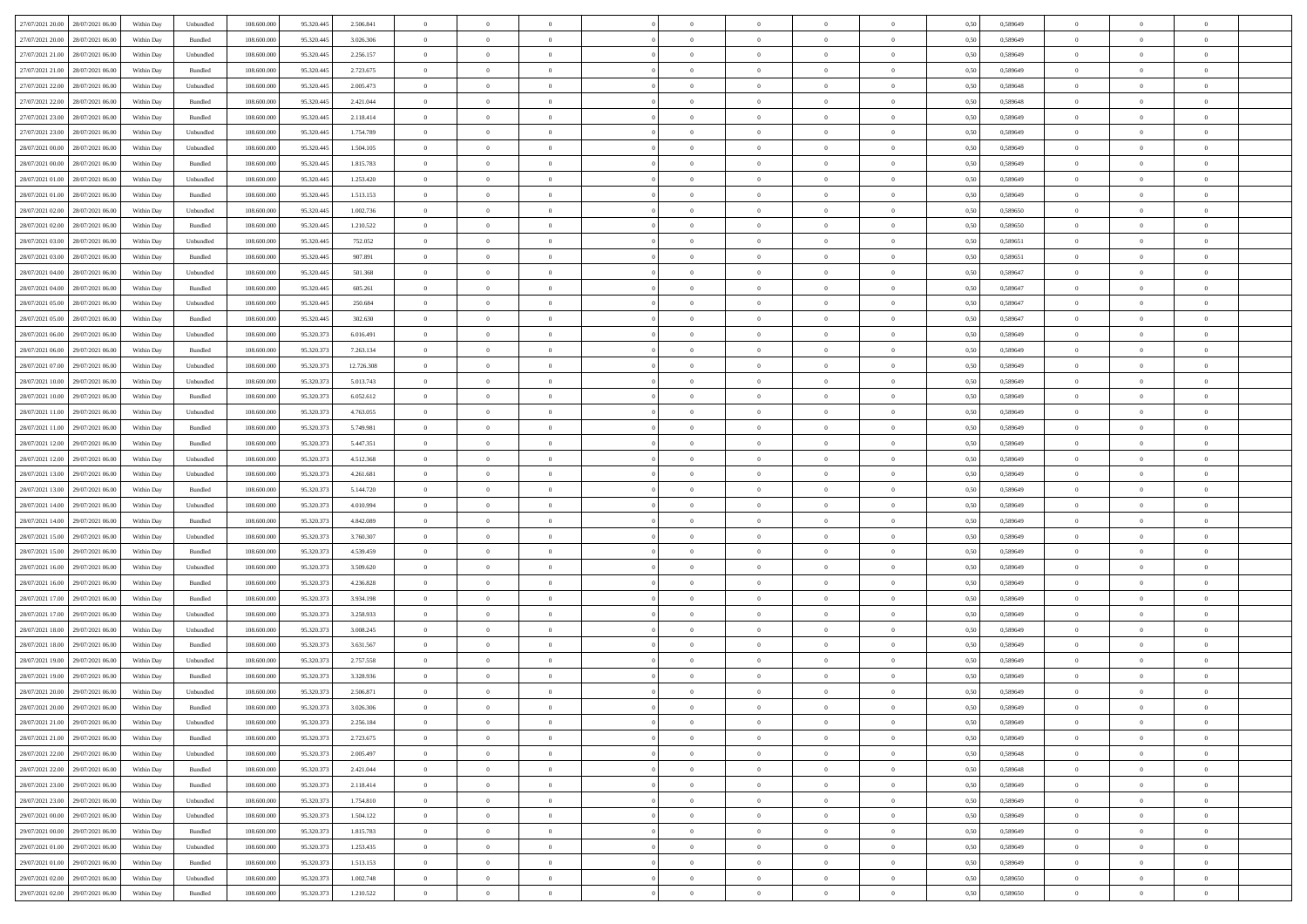| 27/07/2021 20:00 28/07/2021 06:00    | Within Day | Unbundled          | 108.600.000 | 95.320.445 | 2.506.841  | $\overline{0}$ | $\overline{0}$ |                | $\overline{0}$ | $\theta$       |                | $\theta$       | 0,50 | 0,589649 | $\theta$       | $\theta$       | $\overline{0}$ |  |
|--------------------------------------|------------|--------------------|-------------|------------|------------|----------------|----------------|----------------|----------------|----------------|----------------|----------------|------|----------|----------------|----------------|----------------|--|
| 27/07/2021 20:00<br>28/07/2021 06:00 | Within Day | Bundled            | 108.600.00  | 95.320.445 | 3.026.306  | $\bf{0}$       | $\bf{0}$       | $\bf{0}$       | $\overline{0}$ | $\overline{0}$ | $\overline{0}$ | $\bf{0}$       | 0,50 | 0,589649 | $\,$ 0 $\,$    | $\bf{0}$       | $\overline{0}$ |  |
| 27/07/2021 21:00<br>28/07/2021 06:00 | Within Day | Unbundled          | 108,600,000 | 95.320.445 | 2.256.157  | $\overline{0}$ | $\bf{0}$       | $\overline{0}$ | $\bf{0}$       | $\bf{0}$       | $\overline{0}$ | $\bf{0}$       | 0.50 | 0.589649 | $\bf{0}$       | $\overline{0}$ | $\overline{0}$ |  |
| 27/07/2021 21:00<br>28/07/2021 06:00 |            |                    | 108.600.000 |            |            | $\overline{0}$ | $\overline{0}$ | $\overline{0}$ | $\theta$       | $\theta$       | $\overline{0}$ |                |      |          | $\theta$       | $\theta$       | $\overline{0}$ |  |
|                                      | Within Day | Bundled            |             | 95.320.445 | 2.723.675  |                |                |                |                |                |                | $\bf{0}$       | 0,50 | 0,589649 |                |                |                |  |
| 27/07/2021 22.00<br>28/07/2021 06:00 | Within Day | Unbundled          | 108.600.00  | 95.320.445 | 2.005.473  | $\bf{0}$       | $\overline{0}$ | $\bf{0}$       | $\overline{0}$ | $\theta$       | $\overline{0}$ | $\bf{0}$       | 0,50 | 0,589648 | $\,$ 0 $\,$    | $\bf{0}$       | $\overline{0}$ |  |
| 27/07/2021 22:00<br>28/07/2021 06:00 | Within Day | Bundled            | 108,600,000 | 95.320.44  | 2.421.044  | $\overline{0}$ | $\overline{0}$ | $\overline{0}$ | $\bf{0}$       | $\overline{0}$ | $\theta$       | $\bf{0}$       | 0.50 | 0.589648 | $\,$ 0 $\,$    | $\theta$       | $\overline{0}$ |  |
| 27/07/2021 23:00<br>28/07/2021 06:00 | Within Day | Bundled            | 108.600.000 | 95.320.445 | 2.118.414  | $\overline{0}$ | $\overline{0}$ | $\overline{0}$ | $\overline{0}$ | $\overline{0}$ | $\overline{0}$ | $\bf{0}$       | 0,50 | 0,589649 | $\theta$       | $\theta$       | $\overline{0}$ |  |
|                                      |            |                    |             |            |            |                |                |                |                |                |                |                |      |          |                |                |                |  |
| 27/07/2021 23:00<br>28/07/2021 06:00 | Within Day | Unbundled          | 108.600.00  | 95.320.445 | 1.754.789  | $\bf{0}$       | $\bf{0}$       | $\bf{0}$       | $\overline{0}$ | $\overline{0}$ | $\overline{0}$ | $\bf{0}$       | 0,50 | 0,589649 | $\,$ 0 $\,$    | $\bf{0}$       | $\overline{0}$ |  |
| 28/07/2021 00:00<br>28/07/2021 06:00 | Within Day | Unbundled          | 108,600,000 | 95.320.445 | 1.504.105  | $\overline{0}$ | $\bf{0}$       | $\overline{0}$ | $\bf{0}$       | $\overline{0}$ | $\overline{0}$ | $\bf{0}$       | 0.50 | 0.589649 | $\bf{0}$       | $\overline{0}$ | $\overline{0}$ |  |
| 28/07/2021 00:00<br>28/07/2021 06:00 | Within Day | Bundled            | 108.600.000 | 95.320.445 | 1.815.783  | $\overline{0}$ | $\bf{0}$       | $\overline{0}$ | $\overline{0}$ | $\overline{0}$ | $\overline{0}$ | $\bf{0}$       | 0,50 | 0,589649 | $\,$ 0 $\,$    | $\bf{0}$       | $\overline{0}$ |  |
| 28/07/2021 01:00<br>28/07/2021 06:00 | Within Day | Unbundled          | 108.600.00  | 95.320.445 | 1.253.420  | $\bf{0}$       | $\overline{0}$ | $\bf{0}$       | $\bf{0}$       | $\bf{0}$       | $\overline{0}$ | $\bf{0}$       | 0,50 | 0,589649 | $\,$ 0 $\,$    | $\bf{0}$       | $\overline{0}$ |  |
|                                      |            |                    |             |            |            |                |                |                |                |                |                |                |      |          |                |                |                |  |
| 28/07/2021 01:00<br>28/07/2021 06:00 | Within Day | Bundled            | 108,600,000 | 95.320.445 | 1.513.153  | $\overline{0}$ | $\bf{0}$       | $\overline{0}$ | $\overline{0}$ | $\bf{0}$       | $\overline{0}$ | $\bf{0}$       | 0.50 | 0.589649 | $\bf{0}$       | $\overline{0}$ | $\,$ 0         |  |
| 28/07/2021 02:00<br>28/07/2021 06:00 | Within Day | Unbundled          | 108.600.000 | 95.320.445 | 1.002.736  | $\overline{0}$ | $\overline{0}$ | $\overline{0}$ | $\theta$       | $\theta$       | $\overline{0}$ | $\bf{0}$       | 0,50 | 0,589650 | $\theta$       | $\theta$       | $\overline{0}$ |  |
| 28/07/2021 02:00<br>28/07/2021 06:00 | Within Day | Bundled            | 108.600.00  | 95.320.445 | 1.210.522  | $\bf{0}$       | $\overline{0}$ | $\bf{0}$       | $\overline{0}$ | $\theta$       | $\overline{0}$ | $\bf{0}$       | 0,50 | 0,589650 | $\,$ 0 $\,$    | $\bf{0}$       | $\overline{0}$ |  |
|                                      |            |                    | 108 600 000 |            |            |                |                |                |                |                |                |                |      |          |                |                |                |  |
| 28/07/2021 03:00<br>28/07/2021 06:00 | Within Day | Unbundled          |             | 95.320.44  | 752.052    | $\overline{0}$ | $\overline{0}$ | $\overline{0}$ | $\bf{0}$       | $\overline{0}$ | $\Omega$       | $\bf{0}$       | 0.50 | 0.589651 | $\,$ 0 $\,$    | $\theta$       | $\overline{0}$ |  |
| 28/07/2021 03:00<br>28/07/2021 06:00 | Within Day | Bundled            | 108.600.000 | 95.320.445 | 907.891    | $\overline{0}$ | $\overline{0}$ | $\overline{0}$ | $\overline{0}$ | $\overline{0}$ | $\overline{0}$ | $\bf{0}$       | 0,50 | 0,589651 | $\theta$       | $\theta$       | $\overline{0}$ |  |
| 28/07/2021 04:00<br>28/07/2021 06:00 | Within Day | Unbundled          | 108.600.00  | 95.320.445 | 501.368    | $\bf{0}$       | $\bf{0}$       | $\bf{0}$       | $\overline{0}$ | $\bf{0}$       | $\overline{0}$ | $\bf{0}$       | 0,50 | 0,589647 | $\,$ 0 $\,$    | $\bf{0}$       | $\overline{0}$ |  |
| 28/07/2021 04:00<br>28/07/2021 06:00 | Within Day | Bundled            | 108,600,000 | 95.320.44  | 605.261    | $\overline{0}$ | $\bf{0}$       | $\overline{0}$ | $\bf{0}$       | $\overline{0}$ | $\overline{0}$ | $\bf{0}$       | 0.50 | 0.589647 | $\bf{0}$       | $\overline{0}$ | $\overline{0}$ |  |
| 28/07/2021 05:00<br>28/07/2021 06:00 | Within Day | Unbundled          | 108.600.000 | 95.320.445 | 250.684    | $\overline{0}$ | $\bf{0}$       | $\overline{0}$ | $\overline{0}$ | $\overline{0}$ | $\overline{0}$ | $\bf{0}$       | 0,50 | 0,589647 | $\,$ 0 $\,$    | $\bf{0}$       | $\overline{0}$ |  |
|                                      |            |                    |             |            |            |                |                |                |                |                |                |                |      |          |                |                |                |  |
| 28/07/2021 05:00<br>28/07/2021 06:00 | Within Day | Bundled            | 108.600.00  | 95.320.445 | 302.630    | $\bf{0}$       | $\bf{0}$       | $\bf{0}$       | $\bf{0}$       | $\overline{0}$ | $\overline{0}$ | $\bf{0}$       | 0,50 | 0,589647 | $\,$ 0 $\,$    | $\bf{0}$       | $\overline{0}$ |  |
| 28/07/2021 06:00<br>29/07/2021 06:00 | Within Day | Unbundled          | 108,600,000 | 95.320.37  | 6.016.491  | $\overline{0}$ | $\bf{0}$       | $\overline{0}$ | $\overline{0}$ | $\bf{0}$       | $\overline{0}$ | $\bf{0}$       | 0.50 | 0.589649 | $\bf{0}$       | $\overline{0}$ | $\,$ 0         |  |
| 28/07/2021 06:00<br>29/07/2021 06:00 | Within Day | Bundled            | 108.600.000 | 95.320.373 | 7.263.134  | $\overline{0}$ | $\overline{0}$ | $\overline{0}$ | $\theta$       | $\theta$       | $\overline{0}$ | $\bf{0}$       | 0,50 | 0,589649 | $\theta$       | $\theta$       | $\overline{0}$ |  |
| 28/07/2021 07:00<br>29/07/2021 06.00 | Within Day | Unbundled          | 108.600.00  | 95.320.37  | 12.726.308 | $\bf{0}$       | $\overline{0}$ | $\bf{0}$       | $\bf{0}$       | $\,$ 0 $\,$    | $\overline{0}$ | $\bf{0}$       | 0,50 | 0,589649 | $\,$ 0 $\,$    | $\bf{0}$       | $\overline{0}$ |  |
|                                      |            |                    |             |            |            |                |                |                |                |                |                |                |      |          |                |                |                |  |
| 28/07/2021 10:00<br>29/07/2021 06:00 | Within Day | Unbundled          | 108,600,000 | 95.320.37  | 5.013.743  | $\overline{0}$ | $\overline{0}$ | $\overline{0}$ | $\overline{0}$ | $\overline{0}$ | $\theta$       | $\bf{0}$       | 0.50 | 0.589649 | $\,$ 0 $\,$    | $\theta$       | $\overline{0}$ |  |
| 28/07/2021 10:00<br>29/07/2021 06:00 | Within Day | Bundled            | 108.600.000 | 95.320.373 | 6.052.612  | $\overline{0}$ | $\overline{0}$ | $\overline{0}$ | $\overline{0}$ | $\overline{0}$ | $\overline{0}$ | $\bf{0}$       | 0,50 | 0,589649 | $\theta$       | $\theta$       | $\overline{0}$ |  |
| 28/07/2021 11:00<br>29/07/2021 06.00 | Within Day | Unbundled          | 108.600.00  | 95.320.37  | 4.763.055  | $\bf{0}$       | $\overline{0}$ | $\bf{0}$       | $\overline{0}$ | $\bf{0}$       | $\overline{0}$ | $\bf{0}$       | 0,50 | 0,589649 | $\,$ 0 $\,$    | $\bf{0}$       | $\overline{0}$ |  |
| 28/07/2021 11:00<br>29/07/2021 06:00 | Within Day | Bundled            | 108,600,000 | 95.320.37  | 5.749.981  | $\overline{0}$ | $\bf{0}$       | $\overline{0}$ | $\bf{0}$       | $\overline{0}$ | $\overline{0}$ | $\bf{0}$       | 0.50 | 0.589649 | $\bf{0}$       | $\overline{0}$ | $\overline{0}$ |  |
|                                      |            |                    |             |            |            |                |                |                |                |                |                |                |      |          |                |                |                |  |
| 28/07/2021 12:00<br>29/07/2021 06:00 | Within Day | Bundled            | 108.600.000 | 95.320.373 | 5.447.351  | $\overline{0}$ | $\overline{0}$ | $\overline{0}$ | $\overline{0}$ | $\overline{0}$ | $\overline{0}$ | $\bf{0}$       | 0,50 | 0,589649 | $\theta$       | $\theta$       | $\overline{0}$ |  |
| 28/07/2021 12:00<br>29/07/2021 06.00 | Within Day | Unbundled          | 108.600.00  | 95.320.37  | 4.512.368  | $\bf{0}$       | $\bf{0}$       | $\bf{0}$       | $\bf{0}$       | $\overline{0}$ | $\overline{0}$ | $\bf{0}$       | 0,50 | 0,589649 | $\,$ 0 $\,$    | $\bf{0}$       | $\overline{0}$ |  |
| 28/07/2021 13:00<br>29/07/2021 06:00 | Within Day | Unbundled          | 108,600,000 | 95.320.37  | 4.261.681  | $\overline{0}$ | $\bf{0}$       | $\overline{0}$ | $\bf{0}$       | $\bf{0}$       | $\overline{0}$ | $\bf{0}$       | 0.50 | 0.589649 | $\bf{0}$       | $\overline{0}$ | $\,$ 0         |  |
| 28/07/2021 13:00<br>29/07/2021 06:00 | Within Day | Bundled            | 108.600.000 | 95.320.37  | 5.144.720  | $\overline{0}$ | $\overline{0}$ | $\overline{0}$ | $\overline{0}$ | $\overline{0}$ | $\overline{0}$ | $\bf{0}$       | 0.50 | 0.589649 | $\theta$       | $\theta$       | $\overline{0}$ |  |
|                                      |            |                    |             |            |            |                |                |                |                |                |                |                |      |          |                |                |                |  |
| 28/07/2021 14:00<br>29/07/2021 06.00 | Within Day | Unbundled          | 108.600.00  | 95.320.37  | 4.010.994  | $\bf{0}$       | $\overline{0}$ | $\bf{0}$       | $\bf{0}$       | $\,$ 0 $\,$    | $\overline{0}$ | $\bf{0}$       | 0,50 | 0,589649 | $\,$ 0 $\,$    | $\bf{0}$       | $\overline{0}$ |  |
| 28/07/2021 14:00<br>29/07/2021 06:00 | Within Day | Bundled            | 108,600,000 | 95.320.37  | 4.842.089  | $\overline{0}$ | $\bf{0}$       | $\overline{0}$ | $\bf{0}$       | $\overline{0}$ | $\Omega$       | $\bf{0}$       | 0.50 | 0.589649 | $\,$ 0 $\,$    | $\theta$       | $\overline{0}$ |  |
| 28/07/2021 15:00<br>29/07/2021 06:00 | Within Dav | Unbundled          | 108.600.000 | 95.320.373 | 3.760.307  | $\overline{0}$ | $\overline{0}$ | $\overline{0}$ | $\overline{0}$ | $\overline{0}$ | $\overline{0}$ | $\bf{0}$       | 0.50 | 0.589649 | $\theta$       | $\theta$       | $\overline{0}$ |  |
| 28/07/2021 15:00<br>29/07/2021 06.00 | Within Day | Bundled            | 108.600.00  | 95.320.37  | 4.539.459  | $\bf{0}$       | $\bf{0}$       | $\bf{0}$       | $\bf{0}$       | $\bf{0}$       | $\overline{0}$ | $\bf{0}$       | 0,50 | 0,589649 | $\,$ 0 $\,$    | $\bf{0}$       | $\overline{0}$ |  |
|                                      |            |                    |             |            |            |                |                |                |                |                |                |                |      |          |                |                |                |  |
| 28/07/2021 16:00<br>29/07/2021 06:00 | Within Day | Unbundled          | 108,600,000 | 95.320.37  | 3.509.620  | $\overline{0}$ | $\bf{0}$       | $\overline{0}$ | $\bf{0}$       | $\overline{0}$ | $\overline{0}$ | $\bf{0}$       | 0.50 | 0.589649 | $\bf{0}$       | $\overline{0}$ | $\overline{0}$ |  |
| 28/07/2021 16:00<br>29/07/2021 06:00 | Within Dav | Bundled            | 108.600.000 | 95.320.37  | 4.236.828  | $\overline{0}$ | $\overline{0}$ | $\overline{0}$ | $\overline{0}$ | $\overline{0}$ | $\overline{0}$ | $\bf{0}$       | 0.50 | 0.589649 | $\theta$       | $\theta$       | $\overline{0}$ |  |
| 28/07/2021 17:00<br>29/07/2021 06.00 | Within Day | Bundled            | 108.600.00  | 95.320.37  | 3.934.198  | $\bf{0}$       | $\bf{0}$       | $\bf{0}$       | $\bf{0}$       | $\overline{0}$ | $\overline{0}$ | $\bf{0}$       | 0,50 | 0,589649 | $\,$ 0 $\,$    | $\bf{0}$       | $\overline{0}$ |  |
| 28/07/2021 17:00<br>29/07/2021 06:00 | Within Day | Unbundled          | 108,600,000 | 95.320.37  | 3.258.933  | $\overline{0}$ | $\bf{0}$       | $\overline{0}$ | $\overline{0}$ | $\bf{0}$       | $\overline{0}$ | $\bf{0}$       | 0.50 | 0.589649 | $\bf{0}$       | $\overline{0}$ | $\bf{0}$       |  |
|                                      |            |                    |             |            |            |                |                |                |                |                |                |                |      |          |                |                |                |  |
| 28/07/2021 18:00<br>29/07/2021 06:00 | Within Day | Unbundled          | 108.600.000 | 95.320.373 | 3.008.245  | $\overline{0}$ | $\overline{0}$ | $\overline{0}$ | $\overline{0}$ | $\overline{0}$ | $\overline{0}$ | $\bf{0}$       | 0.50 | 0.589649 | $\theta$       | $\theta$       | $\overline{0}$ |  |
| 28/07/2021 18:00<br>29/07/2021 06.00 | Within Day | Bundled            | 108.600.00  | 95.320.37  | 3.631.567  | $\bf{0}$       | $\bf{0}$       | $\bf{0}$       | $\bf{0}$       | $\overline{0}$ | $\overline{0}$ | $\bf{0}$       | 0,50 | 0,589649 | $\,$ 0 $\,$    | $\bf{0}$       | $\overline{0}$ |  |
| 28/07/2021 19:00<br>29/07/2021 06:00 | Within Day | Unbundled          | 108,600,000 | 95.320.37  | 2.757.558  | $\overline{0}$ | $\overline{0}$ | $\overline{0}$ | $\bf{0}$       | $\overline{0}$ | $\Omega$       | $\bf{0}$       | 0.50 | 0.589649 | $\bf{0}$       | $\theta$       | $\overline{0}$ |  |
| 28/07/2021 19:00<br>29/07/2021 06:00 | Within Dav | Bundled            | 108.600.000 | 95.320.37  | 3.328.936  | $\overline{0}$ | $\overline{0}$ | $\Omega$       | $\overline{0}$ | $\theta$       | $\Omega$       | $\overline{0}$ | 0.5( | 0.589649 | $\theta$       | $\theta$       | $\overline{0}$ |  |
| 28/07/2021 20:00<br>29/07/2021 06.00 | Within Day | Unbundled          | 108.600.000 | 95.320.37  | 2.506.871  | $\bf{0}$       | $\bf{0}$       | $\bf{0}$       | $\bf{0}$       | $\bf{0}$       | $\overline{0}$ | $\bf{0}$       | 0,50 | 0,589649 | $\,$ 0 $\,$    | $\bf{0}$       | $\overline{0}$ |  |
|                                      |            |                    |             |            |            |                |                |                |                |                |                |                |      |          |                |                |                |  |
| 28/07/2021 20:00 29/07/2021 06:00    | Within Day | $\mathbf B$ undled | 108.600.000 | 95.320.373 | 3.026.306  | $\bf{0}$       | $\Omega$       |                | $\overline{0}$ |                |                |                | 0,50 | 0.589649 | $\theta$       | $\overline{0}$ |                |  |
| 28/07/2021 21:00 29/07/2021 06:00    | Within Day | Unbundled          | 108.600.000 | 95.320.373 | 2.256.184  | $\overline{0}$ | $\overline{0}$ | $\Omega$       | $\theta$       | $\overline{0}$ | $\overline{0}$ | $\bf{0}$       | 0,50 | 0,589649 | $\theta$       | $\overline{0}$ | $\overline{0}$ |  |
| 28/07/2021 21:00<br>29/07/2021 06:00 | Within Day | Bundled            | 108.600.00  | 95.320.37  | 2.723.675  | $\overline{0}$ | $\bf{0}$       | $\overline{0}$ | $\overline{0}$ | $\bf{0}$       | $\overline{0}$ | $\bf{0}$       | 0,50 | 0,589649 | $\bf{0}$       | $\overline{0}$ | $\bf{0}$       |  |
|                                      |            |                    |             |            |            |                |                |                |                |                |                |                |      |          |                |                |                |  |
| 28/07/2021 22:00 29/07/2021 06:00    | Within Day | Unbundled          | 108,600,000 | 95.320.373 | 2.005.497  | $\overline{0}$ | $\bf{0}$       | $\overline{0}$ | $\overline{0}$ | $\mathbf{0}$   | $\overline{0}$ | $\,$ 0 $\,$    | 0.50 | 0.589648 | $\overline{0}$ | $\bf{0}$       | $\,$ 0 $\,$    |  |
| 28/07/2021 22:00 29/07/2021 06:00    | Within Dav | Bundled            | 108.600.000 | 95.320.373 | 2.421.044  | $\overline{0}$ | $\overline{0}$ | $\overline{0}$ | $\overline{0}$ | $\overline{0}$ | $\overline{0}$ | $\bf{0}$       | 0,50 | 0.589648 | $\overline{0}$ | $\theta$       | $\overline{0}$ |  |
| 28/07/2021 23:00<br>29/07/2021 06.00 | Within Day | Bundled            | 108.600.000 | 95.320.373 | 2.118.414  | $\overline{0}$ | $\bf{0}$       | $\overline{0}$ | $\overline{0}$ | $\overline{0}$ | $\overline{0}$ | $\bf{0}$       | 0,50 | 0,589649 | $\bf{0}$       | $\overline{0}$ | $\overline{0}$ |  |
| 28/07/2021 23:00<br>29/07/2021 06:00 | Within Day | Unbundled          | 108,600,000 | 95.320.37  | 1.754.810  | $\overline{0}$ | $\bf{0}$       | $\overline{0}$ | $\overline{0}$ | $\overline{0}$ | $\overline{0}$ | $\bf{0}$       | 0.50 | 0.589649 | $\,$ 0 $\,$    | $\overline{0}$ | $\,$ 0         |  |
| 29/07/2021 00:00                     |            |                    |             |            |            |                | $\overline{0}$ |                |                | $\overline{0}$ |                |                |      |          | $\overline{0}$ | $\theta$       | $\overline{0}$ |  |
| 29/07/2021 06:00                     | Within Dav | Unbundled          | 108.600.000 | 95.320.373 | 1.504.122  | $\overline{0}$ |                | $\overline{0}$ | $\overline{0}$ |                | $\overline{0}$ | $\bf{0}$       | 0,50 | 0.589649 |                |                |                |  |
| 29/07/2021 00:00<br>29/07/2021 06.00 | Within Day | Bundled            | 108.600.00  | 95.320.37  | 1.815.783  | $\overline{0}$ | $\overline{0}$ | $\overline{0}$ | $\overline{0}$ | $\overline{0}$ | $\overline{0}$ | $\bf{0}$       | 0,50 | 0,589649 | $\bf{0}$       | $\overline{0}$ | $\,$ 0         |  |
| 29/07/2021 06:00<br>29/07/2021 01:00 | Within Day | Unbundled          | 108,600,000 | 95.320.37  | 1.253.435  | $\overline{0}$ | $\overline{0}$ | $\overline{0}$ | $\overline{0}$ | $\overline{0}$ | $\overline{0}$ | $\bf{0}$       | 0.50 | 0.589649 | $\mathbf{0}$   | $\bf{0}$       | $\,$ 0         |  |
| 29/07/2021 01:00 29/07/2021 06:00    | Within Dav | Bundled            | 108.600.000 | 95.320.373 | 1.513.153  | $\overline{0}$ | $\overline{0}$ | $\overline{0}$ | $\overline{0}$ | $\overline{0}$ | $\overline{0}$ | $\bf{0}$       | 0,50 | 0.589649 | $\overline{0}$ | $\theta$       | $\overline{0}$ |  |
|                                      |            |                    |             |            |            |                |                |                |                |                |                |                |      |          |                |                |                |  |
| 29/07/2021 02:00<br>29/07/2021 06.00 | Within Day | Unbundled          | 108.600.00  | 95.320.37  | 1.002.748  | $\overline{0}$ | $\bf{0}$       | $\overline{0}$ | $\bf{0}$       | $\overline{0}$ | $\overline{0}$ | $\bf{0}$       | 0,50 | 0,589650 | $\bf{0}$       | $\,0\,$        | $\bf{0}$       |  |
| 29/07/2021 02:00 29/07/2021 06:00    | Within Day | Bundled            | 108.600.000 | 95.320.373 | 1.210.522  | $\,$ 0 $\,$    | $\bf{0}$       | $\overline{0}$ | $\overline{0}$ | $\,$ 0 $\,$    | $\overline{0}$ | $\,$ 0 $\,$    | 0,50 | 0,589650 | $\overline{0}$ | $\,$ 0 $\,$    | $\,$ 0 $\,$    |  |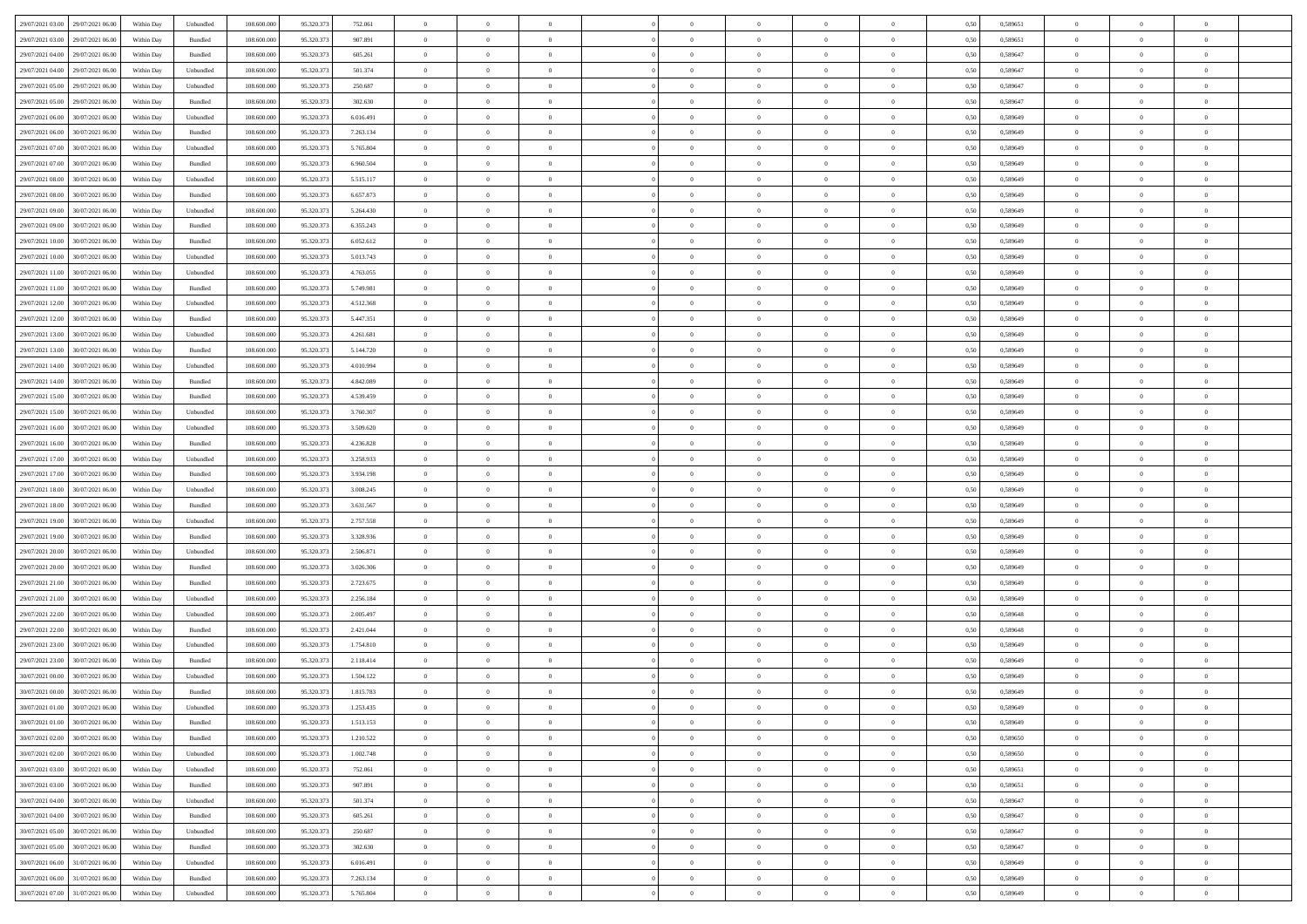| 29/07/2021 03:00 29/07/2021 06:00               | Within Day | Unbundled                   | 108.600.000 | 95.320.373 | 752.061   | $\overline{0}$ | $\overline{0}$ |                | $\overline{0}$ | $\theta$       |                | $\theta$       | 0,50 | 0,589651 | $\theta$       | $\theta$       | $\overline{0}$ |  |
|-------------------------------------------------|------------|-----------------------------|-------------|------------|-----------|----------------|----------------|----------------|----------------|----------------|----------------|----------------|------|----------|----------------|----------------|----------------|--|
| 29/07/2021 03:00<br>29/07/2021 06.00            | Within Day | Bundled                     | 108.600.00  | 95.320.37  | 907.891   | $\bf{0}$       | $\bf{0}$       | $\bf{0}$       | $\bf{0}$       | $\overline{0}$ | $\overline{0}$ | $\bf{0}$       | 0,50 | 0,589651 | $\,$ 0 $\,$    | $\bf{0}$       | $\overline{0}$ |  |
| 29/07/2021 04:00<br>29/07/2021 06:00            | Within Day | Bundled                     | 108,600,000 | 95.320.37  | 605.261   | $\overline{0}$ | $\bf{0}$       | $\overline{0}$ | $\bf{0}$       | $\bf{0}$       | $\overline{0}$ | $\bf{0}$       | 0.50 | 0.589647 | $\bf{0}$       | $\overline{0}$ | $\overline{0}$ |  |
| 29/07/2021 04:00<br>29/07/2021 06:00            |            |                             | 108.600.000 |            |           | $\overline{0}$ | $\overline{0}$ | $\overline{0}$ | $\theta$       | $\theta$       | $\overline{0}$ |                |      |          | $\theta$       | $\theta$       | $\overline{0}$ |  |
|                                                 | Within Day | Unbundled                   |             | 95.320.37  | 501.374   |                |                |                |                |                |                | $\bf{0}$       | 0,50 | 0,589647 |                |                |                |  |
| 29/07/2021 05:00<br>29/07/2021 06.00            | Within Day | Unbundled                   | 108.600.00  | 95.320.37  | 250.687   | $\bf{0}$       | $\overline{0}$ | $\bf{0}$       | $\overline{0}$ | $\theta$       | $\overline{0}$ | $\bf{0}$       | 0,50 | 0,589647 | $\,$ 0 $\,$    | $\bf{0}$       | $\overline{0}$ |  |
| 29/07/2021 05:00<br>29/07/2021 06:00            | Within Day | Bundled                     | 108,600,000 | 95.320.37  | 302.630   | $\overline{0}$ | $\overline{0}$ | $\overline{0}$ | $\bf{0}$       | $\overline{0}$ | $\theta$       | $\bf{0}$       | 0.50 | 0.589647 | $\,$ 0 $\,$    | $\theta$       | $\overline{0}$ |  |
| 29/07/2021 06:00<br>30/07/2021 06:00            | Within Day | Unbundled                   | 108.600.000 | 95.320.373 | 6.016.491 | $\overline{0}$ | $\overline{0}$ | $\overline{0}$ | $\overline{0}$ | $\overline{0}$ | $\overline{0}$ | $\bf{0}$       | 0,50 | 0,589649 | $\theta$       | $\theta$       | $\overline{0}$ |  |
|                                                 |            |                             |             |            |           |                |                |                |                |                |                |                |      |          |                |                |                |  |
| 29/07/2021 06:00<br>30/07/2021 06.00            | Within Day | Bundled                     | 108.600.00  | 95.320.37  | 7.263.134 | $\bf{0}$       | $\bf{0}$       | $\bf{0}$       | $\overline{0}$ | $\overline{0}$ | $\overline{0}$ | $\bf{0}$       | 0,50 | 0,589649 | $\,$ 0 $\,$    | $\bf{0}$       | $\overline{0}$ |  |
| 29/07/2021 07:00<br>30/07/2021 06:00            | Within Day | Unbundled                   | 108,600,000 | 95.320.37  | 5.765.804 | $\overline{0}$ | $\bf{0}$       | $\overline{0}$ | $\bf{0}$       | $\overline{0}$ | $\overline{0}$ | $\bf{0}$       | 0.50 | 0.589649 | $\bf{0}$       | $\overline{0}$ | $\overline{0}$ |  |
| 29/07/2021 07:00<br>30/07/2021 06:00            | Within Day | Bundled                     | 108.600.000 | 95.320.373 | 6.960.504 | $\overline{0}$ | $\bf{0}$       | $\overline{0}$ | $\overline{0}$ | $\overline{0}$ | $\overline{0}$ | $\bf{0}$       | 0,50 | 0,589649 | $\,$ 0 $\,$    | $\bf{0}$       | $\overline{0}$ |  |
| 29/07/2021 08:00<br>30/07/2021 06.00            | Within Day | Unbundled                   | 108.600.00  | 95.320.37  | 5.515.117 | $\bf{0}$       | $\overline{0}$ | $\bf{0}$       | $\bf{0}$       | $\bf{0}$       | $\overline{0}$ | $\bf{0}$       | 0,50 | 0,589649 | $\,$ 0 $\,$    | $\bf{0}$       | $\overline{0}$ |  |
|                                                 |            |                             |             |            |           |                |                |                |                |                |                |                |      |          |                |                |                |  |
| 29/07/2021 08:00<br>30/07/2021 06:00            | Within Day | Bundled                     | 108,600,000 | 95.320.37  | 6.657.873 | $\overline{0}$ | $\bf{0}$       | $\overline{0}$ | $\overline{0}$ | $\bf{0}$       | $\overline{0}$ | $\bf{0}$       | 0.50 | 0.589649 | $\bf{0}$       | $\overline{0}$ | $\,$ 0         |  |
| 29/07/2021 09:00<br>30/07/2021 06:00            | Within Day | Unbundled                   | 108.600.000 | 95.320.37  | 5.264.430 | $\overline{0}$ | $\overline{0}$ | $\overline{0}$ | $\theta$       | $\theta$       | $\overline{0}$ | $\bf{0}$       | 0,50 | 0,589649 | $\,$ 0 $\,$    | $\theta$       | $\overline{0}$ |  |
| 29/07/2021 09:00<br>30/07/2021 06:00            | Within Day | Bundled                     | 108.600.00  | 95.320.37  | 6.355.243 | $\bf{0}$       | $\overline{0}$ | $\bf{0}$       | $\overline{0}$ | $\bf{0}$       | $\overline{0}$ | $\bf{0}$       | 0,50 | 0,589649 | $\,$ 0 $\,$    | $\bf{0}$       | $\overline{0}$ |  |
|                                                 |            |                             |             |            |           |                |                |                |                |                | $\theta$       |                |      |          |                |                |                |  |
| 29/07/2021 10:00<br>30/07/2021 06:00            | Within Day | Bundled                     | 108,600,000 | 95.320.37  | 6.052.612 | $\overline{0}$ | $\bf{0}$       | $\overline{0}$ | $\bf{0}$       | $\overline{0}$ |                | $\bf{0}$       | 0.50 | 0.589649 | $\,$ 0 $\,$    | $\theta$       | $\overline{0}$ |  |
| 29/07/2021 10:00<br>30/07/2021 06:00            | Within Day | Unbundled                   | 108.600.000 | 95.320.373 | 5.013.743 | $\overline{0}$ | $\overline{0}$ | $\overline{0}$ | $\overline{0}$ | $\overline{0}$ | $\overline{0}$ | $\bf{0}$       | 0,50 | 0,589649 | $\theta$       | $\theta$       | $\overline{0}$ |  |
| 29/07/2021 11:00<br>30/07/2021 06.00            | Within Day | Unbundled                   | 108.600.00  | 95.320.37  | 4.763.055 | $\bf{0}$       | $\bf{0}$       | $\bf{0}$       | $\overline{0}$ | $\bf{0}$       | $\overline{0}$ | $\bf{0}$       | 0,50 | 0,589649 | $\,$ 0 $\,$    | $\bf{0}$       | $\overline{0}$ |  |
| 29/07/2021 11:00<br>30/07/2021 06:00            | Within Day | Bundled                     | 108,600,000 | 95.320.37  | 5.749.981 | $\overline{0}$ | $\bf{0}$       | $\overline{0}$ | $\bf{0}$       | $\overline{0}$ | $\overline{0}$ | $\bf{0}$       | 0.50 | 0.589649 | $\bf{0}$       | $\overline{0}$ | $\overline{0}$ |  |
| 29/07/2021 12:00<br>30/07/2021 06:00            |            |                             | 108.600.000 |            |           | $\overline{0}$ | $\bf{0}$       | $\overline{0}$ | $\overline{0}$ | $\overline{0}$ | $\overline{0}$ |                |      |          | $\,$ 0 $\,$    | $\bf{0}$       | $\overline{0}$ |  |
|                                                 | Within Day | Unbundled                   |             | 95.320.373 | 4.512.368 |                |                |                |                |                |                | $\bf{0}$       | 0,50 | 0,589649 |                |                |                |  |
| 29/07/2021 12:00<br>30/07/2021 06.00            | Within Day | Bundled                     | 108.600.00  | 95.320.37  | 5.447.351 | $\bf{0}$       | $\bf{0}$       | $\bf{0}$       | $\bf{0}$       | $\overline{0}$ | $\overline{0}$ | $\bf{0}$       | 0,50 | 0,589649 | $\,$ 0 $\,$    | $\bf{0}$       | $\overline{0}$ |  |
| 29/07/2021 13:00<br>30/07/2021 06:00            | Within Day | Unbundled                   | 108,600,000 | 95.320.37  | 4.261.681 | $\overline{0}$ | $\bf{0}$       | $\overline{0}$ | $\overline{0}$ | $\bf{0}$       | $\overline{0}$ | $\bf{0}$       | 0.50 | 0.589649 | $\bf{0}$       | $\overline{0}$ | $\bf{0}$       |  |
| 29/07/2021 13:00<br>30/07/2021 06:00            | Within Day | Bundled                     | 108.600.000 | 95.320.37  | 5.144.720 | $\overline{0}$ | $\overline{0}$ | $\overline{0}$ | $\theta$       | $\theta$       | $\overline{0}$ | $\bf{0}$       | 0,50 | 0,589649 | $\theta$       | $\theta$       | $\overline{0}$ |  |
|                                                 |            |                             |             |            |           |                | $\bf{0}$       |                |                | $\overline{0}$ | $\overline{0}$ |                |      |          | $\,$ 0 $\,$    | $\bf{0}$       | $\overline{0}$ |  |
| 29/07/2021 14:00<br>30/07/2021 06.00            | Within Day | Unbundled                   | 108.600.00  | 95.320.37  | 4.010.994 | $\bf{0}$       |                | $\bf{0}$       | $\bf{0}$       |                |                | $\bf{0}$       | 0,50 | 0,589649 |                |                |                |  |
| 29/07/2021 14:00<br>30/07/2021 06:00            | Within Day | Bundled                     | 108,600,000 | 95.320.37  | 4.842.089 | $\overline{0}$ | $\overline{0}$ | $\overline{0}$ | $\bf{0}$       | $\overline{0}$ | $\theta$       | $\bf{0}$       | 0.50 | 0.589649 | $\,$ 0 $\,$    | $\theta$       | $\overline{0}$ |  |
| 29/07/2021 15:00<br>30/07/2021 06:00            | Within Day | Bundled                     | 108.600.000 | 95.320.373 | 4.539.459 | $\overline{0}$ | $\overline{0}$ | $\overline{0}$ | $\overline{0}$ | $\overline{0}$ | $\overline{0}$ | $\bf{0}$       | 0,50 | 0,589649 | $\,$ 0 $\,$    | $\theta$       | $\overline{0}$ |  |
| 29/07/2021 15:00<br>30/07/2021 06.00            | Within Day | Unbundled                   | 108.600.00  | 95.320.37  | 3.760.307 | $\bf{0}$       | $\overline{0}$ | $\bf{0}$       | $\overline{0}$ | $\bf{0}$       | $\overline{0}$ | $\bf{0}$       | 0,50 | 0,589649 | $\,$ 0 $\,$    | $\bf{0}$       | $\overline{0}$ |  |
| 29/07/2021 16:00<br>30/07/2021 06:00            | Within Day | Unbundled                   | 108,600,000 | 95.320.37  | 3.509.620 | $\overline{0}$ | $\bf{0}$       | $\overline{0}$ | $\bf{0}$       | $\overline{0}$ | $\overline{0}$ | $\bf{0}$       | 0.50 | 0.589649 | $\bf{0}$       | $\overline{0}$ | $\overline{0}$ |  |
|                                                 |            |                             |             |            |           |                |                |                |                |                |                |                |      |          |                |                |                |  |
| 29/07/2021 16:00<br>30/07/2021 06:00            | Within Day | Bundled                     | 108.600.000 | 95.320.373 | 4.236.828 | $\overline{0}$ | $\bf{0}$       | $\overline{0}$ | $\overline{0}$ | $\overline{0}$ | $\overline{0}$ | $\bf{0}$       | 0,50 | 0,589649 | $\theta$       | $\theta$       | $\overline{0}$ |  |
| 29/07/2021 17:00<br>30/07/2021 06.00            | Within Day | Unbundled                   | 108.600.00  | 95.320.37  | 3.258.933 | $\bf{0}$       | $\bf{0}$       | $\bf{0}$       | $\bf{0}$       | $\overline{0}$ | $\overline{0}$ | $\bf{0}$       | 0,50 | 0,589649 | $\,$ 0 $\,$    | $\bf{0}$       | $\overline{0}$ |  |
| 29/07/2021 17:00<br>30/07/2021 06:00            | Within Day | Bundled                     | 108,600,000 | 95.320.37  | 3.934.198 | $\overline{0}$ | $\bf{0}$       | $\overline{0}$ | $\bf{0}$       | $\bf{0}$       | $\overline{0}$ | $\bf{0}$       | 0.50 | 0.589649 | $\bf{0}$       | $\overline{0}$ | $\bf{0}$       |  |
| 29/07/2021 18:00<br>30/07/2021 06:00            | Within Day | Unbundled                   | 108.600.000 | 95.320.37  | 3.008.245 | $\overline{0}$ | $\overline{0}$ | $\overline{0}$ | $\overline{0}$ | $\overline{0}$ | $\overline{0}$ | $\bf{0}$       | 0.50 | 0.589649 | $\theta$       | $\theta$       | $\overline{0}$ |  |
|                                                 |            |                             |             |            |           |                |                |                |                |                |                |                |      |          |                |                |                |  |
| 29/07/2021 18:00<br>30/07/2021 06.00            | Within Day | Bundled                     | 108.600.00  | 95.320.37  | 3.631.567 | $\bf{0}$       | $\overline{0}$ | $\bf{0}$       | $\bf{0}$       | $\overline{0}$ | $\overline{0}$ | $\bf{0}$       | 0,50 | 0,589649 | $\,$ 0 $\,$    | $\bf{0}$       | $\overline{0}$ |  |
| 29/07/2021 19:00<br>30/07/2021 06:00            | Within Day | Unbundled                   | 108,600,000 | 95.320.37  | 2.757.558 | $\overline{0}$ | $\bf{0}$       | $\overline{0}$ | $\bf{0}$       | $\overline{0}$ | $\overline{0}$ | $\bf{0}$       | 0.50 | 0.589649 | $\,$ 0 $\,$    | $\bf{0}$       | $\overline{0}$ |  |
| 29/07/2021 19:00<br>30/07/2021 06:00            | Within Dav | Bundled                     | 108.600.000 | 95.320.373 | 3.328.936 | $\overline{0}$ | $\overline{0}$ | $\overline{0}$ | $\overline{0}$ | $\overline{0}$ | $\overline{0}$ | $\bf{0}$       | 0.50 | 0.589649 | $\theta$       | $\theta$       | $\overline{0}$ |  |
| 29/07/2021 20:00<br>30/07/2021 06:00            | Within Day | Unbundled                   | 108.600.00  | 95.320.37  | 2.506.871 | $\bf{0}$       | $\bf{0}$       | $\bf{0}$       | $\bf{0}$       | $\overline{0}$ | $\overline{0}$ | $\bf{0}$       | 0,50 | 0,589649 | $\,$ 0 $\,$    | $\bf{0}$       | $\overline{0}$ |  |
|                                                 |            |                             |             |            |           |                |                |                |                |                |                |                |      |          |                |                |                |  |
| 29/07/2021 20:00<br>30/07/2021 06:00            | Within Day | Bundled                     | 108,600,000 | 95.320.37  | 3.026.306 | $\overline{0}$ | $\bf{0}$       | $\overline{0}$ | $\bf{0}$       | $\overline{0}$ | $\overline{0}$ | $\bf{0}$       | 0.50 | 0.589649 | $\bf{0}$       | $\overline{0}$ | $\overline{0}$ |  |
| 29/07/2021 21:00<br>30/07/2021 06:00            | Within Dav | Bundled                     | 108.600.000 | 95.320.37  | 2.723.675 | $\overline{0}$ | $\overline{0}$ | $\overline{0}$ | $\overline{0}$ | $\overline{0}$ | $\overline{0}$ | $\bf{0}$       | 0.50 | 0.589649 | $\theta$       | $\theta$       | $\overline{0}$ |  |
| 29/07/2021 21:00<br>30/07/2021 06.00            | Within Day | Unbundled                   | 108.600.00  | 95.320.37  | 2.256.184 | $\bf{0}$       | $\bf{0}$       | $\bf{0}$       | $\bf{0}$       | $\overline{0}$ | $\overline{0}$ | $\bf{0}$       | 0,50 | 0,589649 | $\,$ 0 $\,$    | $\bf{0}$       | $\overline{0}$ |  |
| 29/07/2021 22.00<br>30/07/2021 06:00            | Within Day | Unbundled                   | 108,600,000 | 95.320.37  | 2.005.497 | $\overline{0}$ | $\bf{0}$       | $\overline{0}$ | $\overline{0}$ | $\bf{0}$       | $\overline{0}$ | $\bf{0}$       | 0.50 | 0.589648 | $\bf{0}$       | $\overline{0}$ | $\overline{0}$ |  |
| 29/07/2021 22:00                                |            |                             |             |            |           |                | $\overline{0}$ |                |                | $\overline{0}$ |                |                |      |          | $\theta$       | $\theta$       | $\overline{0}$ |  |
| 30/07/2021 06:00                                | Within Dav | Bundled                     | 108.600.000 | 95.320.373 | 2.421.044 | $\overline{0}$ |                | $\overline{0}$ | $\overline{0}$ |                | $\overline{0}$ | $\bf{0}$       | 0.50 | 0.589648 |                |                |                |  |
| 29/07/2021 23:00<br>30/07/2021 06.00            | Within Day | Unbundled                   | 108.600.00  | 95.320.37  | 1.754.810 | $\bf{0}$       | $\bf{0}$       | $\bf{0}$       | $\bf{0}$       | $\overline{0}$ | $\overline{0}$ | $\bf{0}$       | 0,50 | 0,589649 | $\,$ 0 $\,$    | $\bf{0}$       | $\overline{0}$ |  |
| 29/07/2021 23:00<br>30/07/2021 06:00            | Within Day | Bundled                     | 108,600,000 | 95.320.37  | 2.118.414 | $\overline{0}$ | $\overline{0}$ | $\overline{0}$ | $\bf{0}$       | $\overline{0}$ | $\Omega$       | $\bf{0}$       | 0.50 | 0.589649 | $\bf{0}$       | $\theta$       | $\overline{0}$ |  |
| 30/07/2021 00:00<br>30/07/2021 06:00            | Within Dav | Unbundled                   | 108.600.000 | 95.320.37  | 1.504.122 | $\overline{0}$ | $\overline{0}$ | $\Omega$       | $\overline{0}$ | $\theta$       | $\overline{0}$ | $\overline{0}$ | 0.5( | 0.589649 | $\theta$       | $\theta$       | $\overline{0}$ |  |
| 30/07/2021 00:00<br>30/07/2021 06:00            | Within Day | Bundled                     | 108.600.000 | 95.320.37  | 1.815.783 | $\bf{0}$       | $\bf{0}$       | $\bf{0}$       | $\bf{0}$       | $\bf{0}$       | $\overline{0}$ | $\bf{0}$       | 0,50 | 0,589649 | $\,$ 0 $\,$    | $\bf{0}$       | $\overline{0}$ |  |
|                                                 |            |                             |             |            |           |                |                |                |                |                |                |                |      |          |                |                |                |  |
| $30/07/2021\ 01.00 \qquad \  30/07/2021\ 06.00$ | Within Day | $\ensuremath{\mathsf{Unb}}$ | 108.600.000 | 95.320.373 | 1.253.435 | $\bf{0}$       | $\theta$       |                | $\Omega$       |                |                |                | 0,50 | 0.589649 | $\bf{0}$       | $\overline{0}$ |                |  |
| 30/07/2021 01:00 30/07/2021 06:00               | Within Day | Bundled                     | 108.600.000 | 95.320.373 | 1.513.153 | $\overline{0}$ | $\overline{0}$ | $\overline{0}$ | $\theta$       | $\overline{0}$ | $\overline{0}$ | $\bf{0}$       | 0,50 | 0,589649 | $\theta$       | $\overline{0}$ | $\overline{0}$ |  |
| 30/07/2021 02:00<br>30/07/2021 06:00            | Within Day | Bundled                     | 108.600.00  | 95.320.37  | 1.210.522 | $\overline{0}$ | $\bf{0}$       | $\overline{0}$ | $\overline{0}$ | $\bf{0}$       | $\overline{0}$ | $\bf{0}$       | 0,50 | 0,589650 | $\bf{0}$       | $\overline{0}$ | $\bf{0}$       |  |
| 30/07/2021 02:00<br>30/07/2021 06:00            | Within Day | Unbundled                   | 108,600,000 | 95.320.373 | 1.002.748 | $\overline{0}$ | $\overline{0}$ | $\overline{0}$ | $\overline{0}$ | $\mathbf{0}$   | $\overline{0}$ | $\,$ 0 $\,$    | 0.50 | 0.589650 | $\overline{0}$ | $\bf{0}$       | $\bf{0}$       |  |
|                                                 |            |                             |             |            |           |                |                |                |                |                |                |                |      |          |                |                |                |  |
| 30/07/2021 03:00<br>30/07/2021 06:00            | Within Dav | Unbundled                   | 108.600.000 | 95.320.373 | 752.061   | $\overline{0}$ | $\overline{0}$ | $\overline{0}$ | $\overline{0}$ | $\overline{0}$ | $\overline{0}$ | $\bf{0}$       | 0,50 | 0,589651 | $\overline{0}$ | $\theta$       | $\overline{0}$ |  |
| 30/07/2021 03:00<br>30/07/2021 06:00            | Within Day | Bundled                     | 108.600.000 | 95.320.373 | 907.891   | $\overline{0}$ | $\bf{0}$       | $\overline{0}$ | $\overline{0}$ | $\bf{0}$       | $\overline{0}$ | $\bf{0}$       | 0,50 | 0,589651 | $\bf{0}$       | $\overline{0}$ | $\overline{0}$ |  |
| 30/07/2021 04:00<br>30/07/2021 06:00            | Within Day | Unbundled                   | 108,600,000 | 95.320.37  | 501.374   | $\overline{0}$ | $\bf{0}$       | $\overline{0}$ | $\overline{0}$ | $\bf{0}$       | $\overline{0}$ | $\bf{0}$       | 0.50 | 0.589647 | $\,$ 0 $\,$    | $\overline{0}$ | $\,$ 0         |  |
| 30/07/2021 04:00<br>30/07/2021 06:00            | Within Dav | Bundled                     | 108.600.000 | 95.320.373 | 605.261   | $\overline{0}$ | $\overline{0}$ | $\overline{0}$ | $\overline{0}$ | $\overline{0}$ | $\overline{0}$ | $\bf{0}$       | 0.50 | 0,589647 | $\overline{0}$ | $\theta$       | $\overline{0}$ |  |
|                                                 |            |                             |             |            |           |                |                |                |                |                |                |                |      |          |                |                |                |  |
| 30/07/2021 05:00<br>30/07/2021 06:00            | Within Day | Unbundled                   | 108.600.00  | 95.320.37  | 250.687   | $\overline{0}$ | $\overline{0}$ | $\overline{0}$ | $\overline{0}$ | $\overline{0}$ | $\overline{0}$ | $\bf{0}$       | 0,50 | 0,589647 | $\bf{0}$       | $\overline{0}$ | $\,$ 0         |  |
| 30/07/2021 05:00<br>30/07/2021 06:00            | Within Day | Bundled                     | 108,600,000 | 95.320.37  | 302.630   | $\overline{0}$ | $\overline{0}$ | $\overline{0}$ | $\overline{0}$ | $\overline{0}$ | $\overline{0}$ | $\bf{0}$       | 0.50 | 0.589647 | $\mathbf{0}$   | $\bf{0}$       | $\,$ 0         |  |
| 30/07/2021 06:00<br>31/07/2021 06:00            | Within Dav | Unbundled                   | 108.600.000 | 95.320.373 | 6.016.491 | $\overline{0}$ | $\overline{0}$ | $\overline{0}$ | $\overline{0}$ | $\overline{0}$ | $\overline{0}$ | $\bf{0}$       | 0,50 | 0.589649 | $\overline{0}$ | $\theta$       | $\overline{0}$ |  |
| 30/07/2021 06:00<br>31/07/2021 06:00            | Within Day | Bundled                     | 108.600.00  | 95.320.37  | 7.263.134 | $\overline{0}$ | $\bf{0}$       | $\overline{0}$ | $\overline{0}$ | $\overline{0}$ | $\overline{0}$ | $\bf{0}$       | 0,50 | 0,589649 | $\bf{0}$       | $\overline{0}$ | $\bf{0}$       |  |
|                                                 |            |                             |             |            |           |                |                |                |                |                |                |                |      |          |                |                |                |  |
| 30/07/2021 07:00 31/07/2021 06:00               | Within Day | Unbundled                   | 108.600.000 | 95.320.373 | 5.765.804 | $\,$ 0 $\,$    | $\bf{0}$       | $\overline{0}$ | $\overline{0}$ | $\,$ 0 $\,$    | $\overline{0}$ | $\,$ 0 $\,$    | 0,50 | 0,589649 | $\overline{0}$ | $\,$ 0 $\,$    | $\,$ 0 $\,$    |  |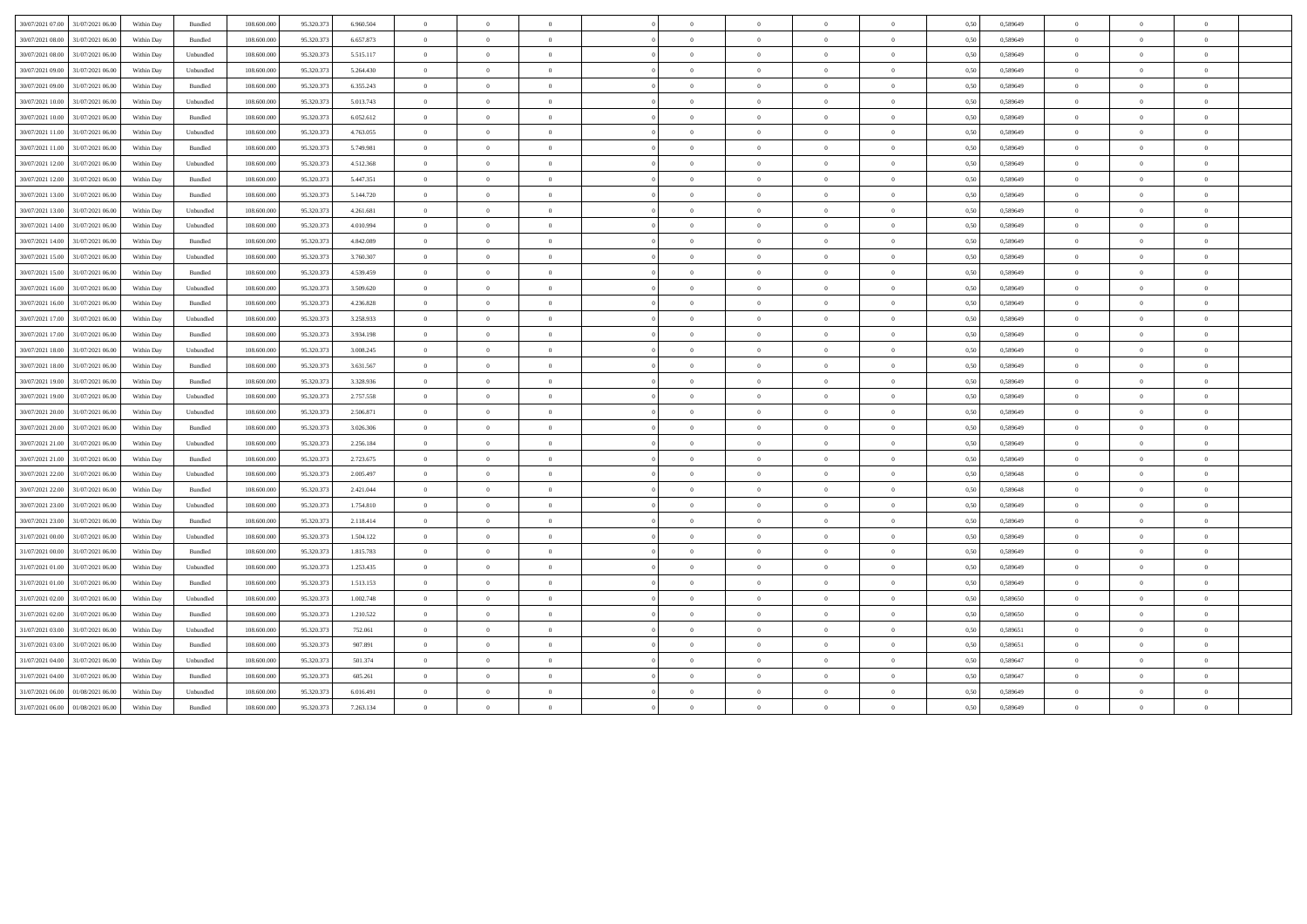| 30/07/2021 07:00 | 31/07/2021 06:00 | Within Day | Bundled            | 108.600.000 | 95.320.373 | 6.960.504 | $\Omega$       | $\Omega$       |                |                | $\Omega$       | $\Omega$       |                | 0,50 | 0,589649 | $\overline{0}$ | $\Omega$       |                |  |
|------------------|------------------|------------|--------------------|-------------|------------|-----------|----------------|----------------|----------------|----------------|----------------|----------------|----------------|------|----------|----------------|----------------|----------------|--|
| 30/07/2021 08:00 | 31/07/2021 06.00 | Within Day | Bundled            | 108.600.000 | 95.320.37  | 6.657.873 | $\overline{0}$ | $\overline{0}$ | $\theta$       | $\Omega$       | $\bf{0}$       | $\theta$       | $\overline{0}$ | 0.50 | 0,589649 | $\theta$       | $\overline{0}$ |                |  |
| 30/07/2021 08:00 | 31/07/2021 06:00 | Within Day | Unbundled          | 108,600,000 | 95.320.37  | 5.515.117 | $\overline{0}$ | $\overline{0}$ | $\theta$       | $\Omega$       | $\bf{0}$       | $\overline{0}$ | $\overline{0}$ | 0.50 | 0.589649 | $\overline{0}$ | $\Omega$       | $\theta$       |  |
| 30/07/2021 09:00 | 31/07/2021 06:00 | Within Day | Unbundled          | 108.600.000 | 95.320.373 | 5.264.430 | $\overline{0}$ | $\overline{0}$ | $\Omega$       | $\Omega$       | $\overline{0}$ | $\Omega$       | $\theta$       | 0,50 | 0,589649 | $\overline{0}$ | $\Omega$       |                |  |
| 30/07/2021 09:00 | 31/07/2021 06.00 | Within Day | Bundled            | 108.600.000 | 95.320.37  | 6.355.243 | $\bf{0}$       | $\overline{0}$ | $\overline{0}$ | $\overline{0}$ | $\bf{0}$       | $\bf{0}$       | $\overline{0}$ | 0,50 | 0,589649 | $\overline{0}$ | $\bf{0}$       | $\theta$       |  |
| 30/07/2021 10:00 | 31/07/2021 06:00 | Within Dav | Unbundled          | 108 600 000 | 95.320.373 | 5.013.743 | $\overline{0}$ | $\theta$       | $\Omega$       | $\Omega$       | $\bf{0}$       | $\theta$       | $\theta$       | 0.50 | 0.589649 | $\overline{0}$ | $\Omega$       | $\theta$       |  |
| 30/07/2021 10:00 | 31/07/2021 06.00 | Within Day | Bundled            | 108.600.000 | 95.320.37  | 6.052.612 | $\overline{0}$ | $\overline{0}$ | $\theta$       | $\Omega$       | $\overline{0}$ | $\theta$       | $\theta$       | 0.50 | 0,589649 | $\overline{0}$ | $\Omega$       | $\theta$       |  |
| 30/07/2021 11:00 | 31/07/2021 06:00 | Within Dav | Unbundled          | 108 600 000 | 95.320.37  | 4 763 055 | $\Omega$       | $\overline{0}$ | $\Omega$       | $\Omega$       | $\overline{0}$ | $\theta$       | $\theta$       | 0.50 | 0.589649 | $\overline{0}$ | $\theta$       | $\theta$       |  |
| 30/07/2021 11:00 | 31/07/2021 06:00 | Within Dav | Bundled            | 108.600.000 | 95.320.37  | 5.749.981 | $\overline{0}$ | $\overline{0}$ | $\overline{0}$ | $\Omega$       | $\overline{0}$ | $\theta$       | $\overline{0}$ | 0,50 | 0,589649 | $\overline{0}$ | $\overline{0}$ | $\theta$       |  |
| 30/07/2021 12:00 | 31/07/2021 06:00 | Within Day | Unbundled          | 108.600.000 | 95.320.37  | 4.512.368 | $\overline{0}$ | $\overline{0}$ | $\theta$       | $\Omega$       | $\bf{0}$       | $\overline{0}$ | $\theta$       | 0.50 | 0.589649 | $\overline{0}$ | $\overline{0}$ | $\theta$       |  |
| 30/07/2021 12:00 | 31/07/2021 06:00 | Within Day | <b>Bundled</b>     | 108 600 000 | 95.320.37  | 5.447.351 | $\overline{0}$ | $\theta$       | $\overline{0}$ | $\Omega$       | $\theta$       | $\Omega$       | $\theta$       | 0.50 | 0.589649 | $\Omega$       | $\Omega$       | $\theta$       |  |
| 30/07/2021 13:00 | 31/07/2021 06:00 | Within Day | Bundled            | 108.600.000 | 95.320.37  | 5.144.720 | $\overline{0}$ | $\overline{0}$ | $\Omega$       | $\Omega$       | $\overline{0}$ | $\theta$       | $\theta$       | 0,50 | 0,589649 | $\overline{0}$ | $\Omega$       |                |  |
| 30/07/2021 13:00 | 31/07/2021 06:00 | Within Day | Unbundled          | 108,600,000 | 95.320.37  | 4.261.681 | $\overline{0}$ | $\Omega$       | $\Omega$       | $\theta$       | $\bf{0}$       | $\Omega$       | $\theta$       | 0.50 | 0.589649 | $\overline{0}$ | $\Omega$       |                |  |
| 30/07/2021 14:00 | 31/07/2021 06:00 | Within Day | Unbundled          | 108.600.000 | 95.320.373 | 4.010.994 | $\overline{0}$ | $\overline{0}$ | $\overline{0}$ | $\Omega$       | $\bf{0}$       | $\overline{0}$ | $\bf{0}$       | 0,50 | 0,589649 | $\overline{0}$ | $\overline{0}$ | $\theta$       |  |
| 30/07/2021 14:00 | 31/07/2021 06.00 | Within Day | Bundled            | 108.600.000 | 95.320.37  | 4.842.089 | $\overline{0}$ | $\overline{0}$ | $\overline{0}$ | $\Omega$       | $\overline{0}$ | $\theta$       | $\overline{0}$ | 0.50 | 0,589649 | $\overline{0}$ | $\overline{0}$ |                |  |
| 30/07/2021 15:00 | 31/07/2021 06:00 | Within Day | Unbundled          | 108,600,000 | 95.320.37  | 3 760 307 | $\Omega$       | $\Omega$       | $\Omega$       |                | $\Omega$       | $\Omega$       | $\mathbf{a}$   | 0.50 | 0.589649 | $\Omega$       | $\Omega$       |                |  |
| 30/07/2021 15:00 | 31/07/2021 06:00 | Within Day | Bundled            | 108.600.000 | 95.320.37  | 4.539.459 | $\bf{0}$       | $\overline{0}$ | $\overline{0}$ | $\overline{0}$ | $\bf{0}$       | $\overline{0}$ | $\bf{0}$       | 0,50 | 0,589649 | $\overline{0}$ | $\overline{0}$ | $\overline{0}$ |  |
| 30/07/2021 16:00 | 31/07/2021 06:00 | Within Day | Unbundled          | 108.600.000 | 95.320.37  | 3.509.620 | $\overline{0}$ | $\overline{0}$ | $\overline{0}$ | $\sqrt{2}$     | $\overline{0}$ | $\overline{0}$ | $\overline{0}$ | 0,50 | 0,589649 | $\overline{0}$ | $\overline{0}$ | $\theta$       |  |
| 30/07/2021 16:00 | 31/07/2021 06:00 | Within Day | Bundled            | 108.600.000 | 95.320.37  | 4.236.828 | $\overline{0}$ | $\overline{0}$ | $\overline{0}$ | $\Omega$       | $\overline{0}$ | $\Omega$       | $\theta$       | 0,50 | 0,589649 | $\overline{0}$ | $\Omega$       |                |  |
| 30/07/2021 17:00 | 31/07/2021 06.00 | Within Day | Unbundled          | 108.600.000 | 95.320.37  | 3.258.933 | $\overline{0}$ | $\theta$       | $\overline{0}$ | $\overline{0}$ | $\bf{0}$       | $\theta$       | $\overline{0}$ | 0,50 | 0,589649 | $\overline{0}$ | $\overline{0}$ | $\theta$       |  |
| 30/07/2021 17:00 | 31/07/2021 06:00 | Within Day | Bundled            | 108,600,000 | 95.320.37  | 3.934.198 | $\overline{0}$ | $\overline{0}$ | $\Omega$       | $\theta$       | $\overline{0}$ | $\overline{0}$ | $\theta$       | 0.50 | 0.589649 | $\overline{0}$ | $\Omega$       | $\theta$       |  |
| 30/07/2021 18:00 | 31/07/2021 06:00 | Within Day | Unbundled          | 108.600.000 | 95.320.37  | 3.008.245 | $\overline{0}$ | $\overline{0}$ | $\overline{0}$ | $\Omega$       | $\bf{0}$       | $\theta$       | $\overline{0}$ | 0,50 | 0,589649 | $\overline{0}$ | $\overline{0}$ |                |  |
| 30/07/2021 18:00 | 31/07/2021 06:00 | Within Day | Bundled            | 108,600,000 | 95.320.37  | 3.631.567 | $\overline{0}$ | $\bf{0}$       | $\overline{0}$ | $\overline{0}$ | $\bf{0}$       | $\overline{0}$ | $\overline{0}$ | 0.50 | 0.589649 | $\overline{0}$ | $\overline{0}$ | $\overline{0}$ |  |
| 30/07/2021 19:00 | 31/07/2021 06:00 | Within Day | <b>Bundled</b>     | 108 600 000 | 95.320.37  | 3 328 936 | $\overline{0}$ | $\theta$       | $\Omega$       | $\sqrt{2}$     | $\theta$       | $\theta$       | $\theta$       | 0.50 | 0.589649 | $\overline{0}$ | $\Omega$       |                |  |
| 30/07/2021 19:00 | 31/07/2021 06.00 | Within Day | Unbundled          | 108.600.000 | 95.320.37  | 2.757.558 | $\bf{0}$       | $\bf{0}$       | $\overline{0}$ | $\Omega$       | $\overline{0}$ | $\theta$       | $\overline{0}$ | 0,50 | 0,589649 | $\theta$       | $\overline{0}$ |                |  |
| 30/07/2021 20:00 | 31/07/2021 06:00 | Within Day | Unbundled          | 108 600 000 | 95.320.37  | 2.506.871 | $\overline{0}$ | $\Omega$       | $\overline{0}$ | $\theta$       | $\bf{0}$       | $\theta$       | $\theta$       | 0.50 | 0.589649 | $\overline{0}$ | $\Omega$       | $\mathbf{a}$   |  |
| 30/07/2021 20:00 | 31/07/2021 06:00 | Within Day | Bundled            | 108.600.000 | 95.320.373 | 3.026.306 | $\overline{0}$ | $\overline{0}$ | $\Omega$       | $\Omega$       | $\overline{0}$ | $\theta$       | $\theta$       | 0,50 | 0,589649 | $\overline{0}$ | $\Omega$       | $\theta$       |  |
| 30/07/2021 21:00 | 31/07/2021 06:00 | Within Day | Unbundled          | 108,600,000 | 95.320.37  | 2.256.184 | $\overline{0}$ | $\overline{0}$ | $\theta$       | $\sqrt{2}$     | $\overline{0}$ | $\overline{0}$ | $\theta$       | 0.50 | 0.589649 | $\overline{0}$ | $\theta$       | $\theta$       |  |
| 30/07/2021 21:00 | 31/07/2021 06:00 | Within Dav | Bundled            | 108.600.000 | 95.320.373 | 2.723.675 | $\overline{0}$ | $\overline{0}$ | $\overline{0}$ | $\Omega$       | $\overline{0}$ | $\theta$       | $\overline{0}$ | 0.50 | 0,589649 | $\overline{0}$ | $\overline{0}$ | $\theta$       |  |
| 30/07/2021 22.00 | 31/07/2021 06:00 | Within Day | Unbundled          | 108.600.000 | 95.320.37  | 2.005.497 | $\overline{0}$ | $\overline{0}$ | $\overline{0}$ | $\Omega$       | $\overline{0}$ | $\theta$       | $\theta$       | 0,50 | 0,589648 | $\overline{0}$ | $\overline{0}$ |                |  |
| 30/07/2021 22.00 | 31/07/2021 06:00 | Within Day | Bundled            | 108.600.000 | 95.320.37  | 2.421.044 | $\overline{0}$ | $\overline{0}$ | $\overline{0}$ | $\Omega$       | $\overline{0}$ | $\overline{0}$ | $\theta$       | 0.50 | 0,589648 | $\overline{0}$ | $\overline{0}$ | $\theta$       |  |
| 30/07/2021 23:00 | 31/07/2021 06.00 | Within Day | Unbundled          | 108.600.000 | 95.320.373 | 1.754.810 | $\overline{0}$ | $\overline{0}$ | $\overline{0}$ | $\Omega$       | $\overline{0}$ | $\theta$       | $\theta$       | 0,50 | 0,589649 | $\overline{0}$ | $\Omega$       |                |  |
| 30/07/2021 23:00 | 31/07/2021 06:00 | Within Day | Bundled            | 108.600.000 | 95.320.37  | 2.118.414 | $\overline{0}$ | $\overline{0}$ | $\theta$       | $\Omega$       | $\overline{0}$ | $\Omega$       | $\theta$       | 0,50 | 0,589649 | $\overline{0}$ | $\Omega$       | $\theta$       |  |
| 31/07/2021 00:00 | 31/07/2021 06:00 | Within Day | Unbundled          | 108,600,000 | 95.320.37  | 1.504.122 | $\Omega$       | $\Omega$       | $\theta$       | $\theta$       | $\theta$       | $\Omega$       | $\theta$       | 0.50 | 0.589649 | $\overline{0}$ | $\Omega$       | $\theta$       |  |
| 31/07/2021 00:00 | 31/07/2021 06.00 | Within Day | Bundled            | 108.600.000 | 95.320.37  | 1.815.783 | $\overline{0}$ | $\overline{0}$ | $\overline{0}$ | $\Omega$       | $\overline{0}$ | $\theta$       | $\overline{0}$ | 0,50 | 0,589649 | $\overline{0}$ | $\overline{0}$ |                |  |
| 31/07/2021 01:00 | 31/07/2021 06:00 | Within Day | Unbundled          | 108,600,000 | 95.320.37  | 1.253.435 | $\overline{0}$ | $\Omega$       | $\theta$       | $\Omega$       | $\overline{0}$ | $\Omega$       | $\theta$       | 0.50 | 0.589649 | $\overline{0}$ | $\Omega$       |                |  |
| 31/07/2021 01:00 | 31/07/2021 06:00 | Within Day | <b>Bundled</b>     | 108,600,000 | 95.320.373 | 1.513.153 | $\overline{0}$ | $\theta$       | $\overline{0}$ | $\Omega$       | $\overline{0}$ | $\theta$       | $\overline{0}$ | 0.50 | 0.589649 | $\overline{0}$ | $\Omega$       | $\theta$       |  |
| 31/07/2021 02.00 | 31/07/2021 06.00 | Within Day | Unbundled          | 108.600.000 | 95.320.37  | 1.002.748 | $\overline{0}$ | $\bf{0}$       | $\overline{0}$ | $\theta$       | $\bf{0}$       | $\overline{0}$ | $\overline{0}$ | 0,50 | 0,589650 | $\overline{0}$ | $\overline{0}$ |                |  |
| 31/07/2021 02:00 | 31/07/2021 06:00 | Within Day | <b>Bundled</b>     | 108 600 000 | 95.320.37  | 1 210 522 | $\theta$       | $\Omega$       | $\Omega$       |                | $\Omega$       | $\Omega$       | $\mathbf{a}$   | 0.50 | 0.589650 | $\Omega$       | $\Omega$       |                |  |
| 31/07/2021 03:00 | 31/07/2021 06:00 | Within Day | Unbundled          | 108.600.000 | 95.320.37  | 752.061   | $\overline{0}$ | $\overline{0}$ | $\overline{0}$ | $\Omega$       | $\bf{0}$       | $\overline{0}$ | $\bf{0}$       | 0,50 | 0,589651 | $\overline{0}$ | $\overline{0}$ | $\theta$       |  |
| 31/07/2021 03:00 | 31/07/2021 06.00 | Within Day | Bundled            | 108 600 000 | 95.320.37  | 907.891   | $\overline{0}$ | $\overline{0}$ | $\theta$       | $\Omega$       | $\overline{0}$ | $\overline{0}$ | $\theta$       | 0.50 | 0.589651 | $\overline{0}$ | $\theta$       |                |  |
| 31/07/2021 04:00 | 31/07/2021 06:00 | Within Day | Unbundled          | 108.600.000 | 95.320.37  | 501.374   | $\overline{0}$ | $\overline{0}$ | $\Omega$       |                | $\overline{0}$ | $\overline{0}$ | $\theta$       | 0.50 | 0,589647 | $\overline{0}$ | $^{\circ}$     |                |  |
| 31/07/2021 04:00 | 31/07/2021 06.00 | Within Day | $\mathbf B$ undled | 108.600.000 | 95.320.37  | 605.261   | $\overline{0}$ | $\overline{0}$ | $\overline{0}$ | $\overline{0}$ | $\bf{0}$       | $\theta$       | $\overline{0}$ | 0.50 | 0,589647 | $\overline{0}$ | $\overline{0}$ | $\overline{0}$ |  |
| 31/07/2021 06:00 | 01/08/2021 06:00 | Within Dav | Unbundled          | 108 600 000 | 95.320.37  | 6.016.491 | $\Omega$       | $\Omega$       | $\theta$       | $\sqrt{2}$     | $\theta$       | $\Omega$       | $\theta$       | 0.50 | 0.589649 | $\theta$       | $\Omega$       | $\theta$       |  |
| 31/07/2021 06:00 | 01/08/2021 06:00 | Within Day | Bundled            | 108.600.000 | 95.320.373 | 7.263.134 | $\overline{0}$ | $\theta$       |                |                |                |                |                | 0,50 | 0,589649 | $\theta$       | $\Omega$       |                |  |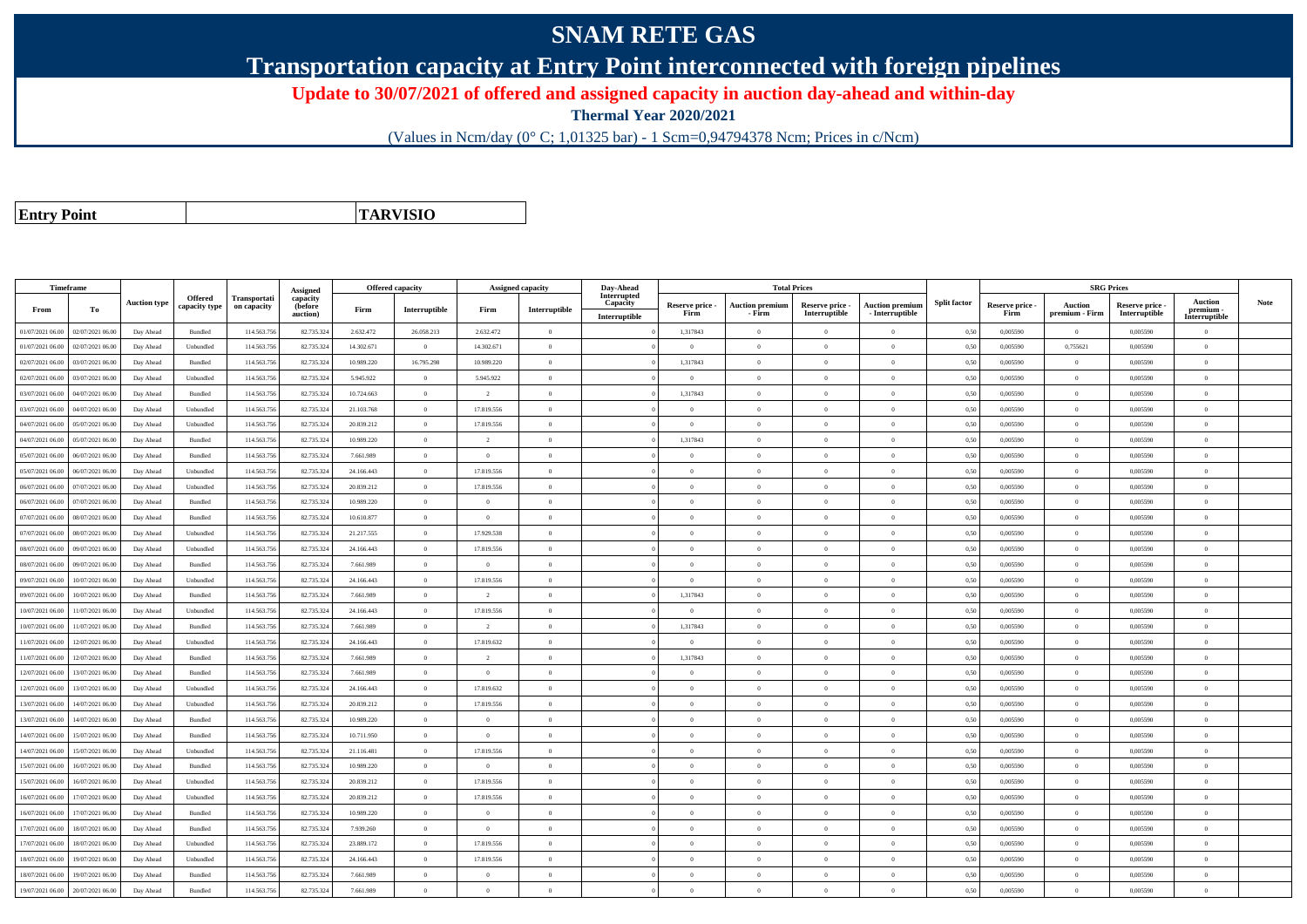## **SNAM RETE GAS**

**Transportation capacity at Entry Point interconnected with foreign pipelines**

**Update to 30/07/2021 of offered and assigned capacity in auction day-ahead and within-day**

**Thermal Year 2020/2021**

(Values in Ncm/day (0° C; 1,01325 bar) - 1 Scm=0,94794378 Ncm; Prices in c/Ncm)

**Entry Point**

**TARVISIO**

| Timeframe        |                  |                     |                                 |                                    | Assigned                        | Offered capacity |                |                | Assigned capacity | Day-Ahead                                |                         | <b>Total Prices</b>              |                                  |                                           |                     |                         | <b>SRG Prices</b>         |                                  |                                       |      |
|------------------|------------------|---------------------|---------------------------------|------------------------------------|---------------------------------|------------------|----------------|----------------|-------------------|------------------------------------------|-------------------------|----------------------------------|----------------------------------|-------------------------------------------|---------------------|-------------------------|---------------------------|----------------------------------|---------------------------------------|------|
| From             | To               | <b>Auction type</b> | <b>Offered</b><br>capacity type | <b>Transportati</b><br>on capacity | capacity<br>(before<br>auction) | Firm             | Interruptible  | Firm           | Interruptible     | Interrupted<br>Capacity<br>Interruptible | Reserve price -<br>Firm | <b>Auction premium</b><br>- Firm | Reserve price -<br>Interruptible | <b>Auction premium</b><br>- Interruptible | <b>Split factor</b> | Reserve price -<br>Firm | Auction<br>premium - Firm | Reserve price -<br>Interruptible | Auction<br>premium -<br>Interruptible | Note |
| 01/07/2021 06:00 | 02/07/2021 06:00 | Day Ahead           | Bundled                         | 114.563.75                         | 82.735.324                      | 2.632.472        | 26.058.213     | 2.632.472      | $\overline{0}$    |                                          | 1,317843                | $\theta$                         | $\Omega$                         | $\theta$                                  | 0,50                | 0,005590                | $\theta$                  | 0.005590                         | $\overline{0}$                        |      |
| 01/07/2021 06:00 | 02/07/2021 06.00 | Day Ahead           | Unbundled                       | 114.563.75                         | 82.735.324                      | 14.302.671       | $\Omega$       | 14.302.671     | $\theta$          |                                          | $\Omega$                |                                  | $\Omega$                         | $\Omega$                                  | 0,50                | 0,005590                | 0,755621                  | 0,005590                         | $\theta$                              |      |
| 02/07/2021 06:00 | 03/07/2021 06:00 | Day Ahead           | Bundled                         | 114.563.75                         | 82.735.324                      | 10.989.220       | 16.795.298     | 10.989.220     | $\overline{0}$    |                                          | 1,317843                | $\theta$                         | $\overline{0}$                   | $\overline{0}$                            | 0,50                | 0,005590                | $\overline{0}$            | 0,005590                         | $\bf{0}$                              |      |
| 02/07/2021 06:00 | 03/07/2021 06.00 | Day Ahead           | Unbundled                       | 114.563.75                         | 82.735.324                      | 5.945.922        | $\overline{0}$ | 5.945.922      | $\overline{0}$    |                                          | $\overline{0}$          | $\Omega$                         | $\overline{0}$                   | $\bf{0}$                                  | 0,50                | 0,005590                | $\overline{0}$            | 0,005590                         | $\overline{0}$                        |      |
| 03/07/2021 06:00 | 04/07/2021 06:00 | Day Ahead           | Bundled                         | 114,563,756                        | 82,735,324                      | 10.724.663       | $\overline{0}$ | $\overline{2}$ | $\overline{0}$    |                                          | 1.317843                | $\Omega$                         | $\theta$                         | $\overline{0}$                            | 0.50                | 0.005590                | $\overline{0}$            | 0.005590                         | $\theta$                              |      |
| 03/07/2021 06:00 | 04/07/2021 06.0  | Day Ahead           | Unbundled                       | 114.563.75                         | 82.735.32                       | 21.103.768       | $\overline{0}$ | 17.819.556     | $\overline{0}$    |                                          | $\Omega$                | $\theta$                         | $\theta$                         | $\bf{0}$                                  | 0.50                | 0,005590                | $\overline{0}$            | 0,005590                         | $\Omega$                              |      |
| 04/07/2021 06:00 | 05/07/2021 06.00 | Day Ahead           | Unbundled                       | 114.563.75                         | 82.735.324                      | 20.839.212       | $\overline{0}$ | 17.819.556     | $\overline{0}$    |                                          | $\overline{0}$          | $\theta$                         | $\overline{0}$                   | $\overline{0}$                            | 0,50                | 0,005590                | $\overline{0}$            | 0,005590                         | $\overline{0}$                        |      |
| 04/07/2021 06:00 | 05/07/2021 06.00 | Day Ahead           | Bundled                         | 114.563.75                         | 82.735.324                      | 10.989.220       | $\overline{0}$ | $\overline{2}$ | $\theta$          |                                          | 1,317843                | $\theta$                         | $\Omega$                         | $\bf{0}$                                  | 0,50                | 0.005590                | $\Omega$                  | 0.005590                         | $\theta$                              |      |
| 05/07/2021 06.00 | 06/07/2021 06.0  | Day Ahead           | Bundled                         | 114.563.75                         | 82.735.32                       | 7.661.989        | $\overline{0}$ | $\overline{0}$ | $\theta$          |                                          | $\theta$                |                                  | $\overline{0}$                   | $\overline{0}$                            | 0,50                | 0,005590                | $\Omega$                  | 0,005590                         | $\overline{0}$                        |      |
| 05/07/2021 06:00 | 06/07/2021 06:00 | Day Ahead           | Unbundled                       | 114.563.756                        | 82.735.324                      | 24.166.443       | $\overline{0}$ | 17.819.556     | $\overline{0}$    |                                          | $\theta$                | $\theta$                         | $\theta$                         | $\bf{0}$                                  | 0,50                | 0.005590                | $\overline{0}$            | 0.005590                         | $\theta$                              |      |
| 06/07/2021 06:00 | 07/07/2021 06.00 | Day Ahead           | Unbundled                       | 114.563.75                         | 82.735.324                      | 20.839.212       | $\,$ 0 $\,$    | 17.819.556     | $\overline{0}$    |                                          | $\overline{0}$          | $\theta$                         | $\overline{0}$                   | $\overline{0}$                            | 0.50                | 0,005590                | $\overline{0}$            | 0.005590                         | $\overline{0}$                        |      |
| 06/07/2021 06:00 | 07/07/2021 06.0  | Day Ahead           | Bundled                         | 114.563.75                         | 82.735.32                       | 10.989.220       | $\overline{0}$ | $\Omega$       | $\theta$          |                                          | $\Omega$                |                                  | $\Omega$                         | $\overline{0}$                            | 0,50                | 0,005590                | $\theta$                  | 0,005590                         | $\Omega$                              |      |
| 07/07/2021 06:00 | 08/07/2021 06:00 | Day Ahead           | Bundled                         | 114.563.75                         | 82.735.32                       | 10.610.877       | $\overline{0}$ | $\overline{0}$ | $\overline{0}$    |                                          | $\theta$                | $\theta$                         | $\Omega$                         | $\overline{0}$                            | 0.50                | 0,005590                | $\overline{0}$            | 0,005590                         | $\theta$                              |      |
| 07/07/2021 06:00 | 08/07/2021 06:00 | Day Ahead           | Unbundled                       | 114.563.75                         | 82.735.324                      | 21.217.555       | $\overline{0}$ | 17.929.538     | $\theta$          |                                          | $\theta$                | $\theta$                         | $\Omega$                         | $\bf{0}$                                  | 0,50                | 0,005590                | $\overline{0}$            | 0,005590                         | $\theta$                              |      |
| 08/07/2021 06:00 | 09/07/2021 06:00 | Day Ahead           | Unbundled                       | 114.563.75                         | 82,735,324                      | 24.166.443       | $\overline{0}$ | 17.819.556     | $\overline{0}$    |                                          | $\overline{0}$          | $\Omega$                         | $\overline{0}$                   | $\overline{0}$                            | 0.50                | 0.005590                | $\overline{0}$            | 0.005590                         | $\overline{0}$                        |      |
| 08/07/2021 06:00 | 09/07/2021 06.00 | Day Ahead           | Bundled                         | 114.563.75                         | 82.735.324                      | 7.661.989        | $\overline{0}$ | $\overline{0}$ | $\overline{0}$    |                                          | $\overline{0}$          | $\theta$                         | $\overline{0}$                   | $\bf{0}$                                  | 0,50                | 0,005590                | $\overline{0}$            | 0,005590                         | $\overline{0}$                        |      |
| 09/07/2021 06:00 | 10/07/2021 06:00 | Day Ahead           | Unbundled                       | 114.563.75                         | 82.735.324                      | 24.166.443       | $\overline{0}$ | 17.819.556     | $\overline{0}$    |                                          | $\overline{0}$          | $\bf{0}$                         | $\overline{0}$                   | $\overline{0}$                            | 0,50                | 0,005590                | $\overline{0}$            | 0,005590                         | $\overline{0}$                        |      |
| 09/07/2021 06:00 | 10/07/2021 06:00 | Day Ahead           | Bundled                         | 114.563.75                         | 82.735.324                      | 7.661.989        | $\overline{0}$ | $\overline{2}$ | $\overline{0}$    |                                          | 1,317843                | $\theta$                         | $\theta$                         | $\bf{0}$                                  | 0.50                | 0.005590                | $\overline{0}$            | 0.005590                         | $\theta$                              |      |
| 10/07/2021 06.0  | 1/07/2021 06.0   | Day Ahead           | Unbundled                       | 114.563.75                         | 82.735.32                       | 24.166.443       | $\overline{0}$ | 17.819.556     | $\overline{0}$    |                                          | $\overline{0}$          |                                  | $\overline{0}$                   | $\overline{0}$                            | 0,50                | 0,005590                | $\overline{0}$            | 0,005590                         | $\Omega$                              |      |
| 10/07/2021 06:00 | 11/07/2021 06.00 | Day Ahead           | Bundled                         | 114.563.75                         | 82.735.324                      | 7.661.989        | $\overline{0}$ | $\overline{2}$ | $\Omega$          |                                          | 1,317843                |                                  | $\Omega$                         | $\overline{0}$                            | 0,50                | 0,005590                | $\overline{0}$            | 0,005590                         | $\theta$                              |      |
| 11/07/2021 06:00 | 12/07/2021 06:00 | Day Ahead           | Unbundled                       | 114.563.75                         | 82.735.324                      | 24.166.443       | $\overline{0}$ | 17.819.632     | $\overline{0}$    |                                          | $\theta$                | $\Omega$                         | $\theta$                         | $\overline{0}$                            | 0.50                | 0.005590                | $\overline{0}$            | 0.005590                         | $\overline{0}$                        |      |
| 11/07/2021 06:00 | 12/07/2021 06:00 | Day Ahead           | Bundled                         | 114.563.75                         | 82.735.324                      | 7.661.989        | $\theta$       | $\overline{2}$ | $\Omega$          |                                          | 1,317843                |                                  | $\theta$                         | $\theta$                                  | 0,50                | 0,005590                | $\Omega$                  | 0,005590                         | $\theta$                              |      |
| 12/07/2021 06:00 | 13/07/2021 06:00 | Day Ahead           | Bundled                         | 114,563,756                        | 82,735,324                      | 7.661.989        | $\overline{0}$ | $\overline{0}$ | $\overline{0}$    |                                          | $\overline{0}$          | $\theta$                         | $\overline{0}$                   | $\overline{0}$                            | 0.50                | 0.005590                | $\overline{0}$            | 0.005590                         | $\overline{0}$                        |      |
| 12/07/2021 06:00 | 13/07/2021 06:00 | Day Ahead           | Unbundled                       | 114.563.75                         | 82.735.324                      | 24.166.443       | $\overline{0}$ | 17.819.632     | $\overline{0}$    |                                          | $\overline{0}$          | $\theta$                         | $\overline{0}$                   | $\overline{0}$                            | 0.50                | 0,005590                | $\overline{0}$            | 0,005590                         | $\overline{0}$                        |      |
| 13/07/2021 06:00 | 14/07/2021 06.00 | Day Ahead           | Unbundled                       | 114.563.75                         | 82.735.32                       | 20.839.212       | $\overline{0}$ | 17.819.556     | $\overline{0}$    |                                          | $\overline{0}$          | $\Omega$                         | $\overline{0}$                   | $\overline{0}$                            | 0,50                | 0,005590                | $\overline{0}$            | 0,005590                         | $\bf{0}$                              |      |
| 13/07/2021 06:00 | 14/07/2021 06:00 | Day Ahead           | $\mathbf B$ undled              | 114.563.75                         | 82.735.324                      | 10.989.220       | $\overline{0}$ | $\overline{0}$ | $\overline{0}$    |                                          | $\theta$                | $\Omega$                         | $\Omega$                         | $\bf{0}$                                  | 0,50                | 0,005590                | $\overline{0}$            | 0.005590                         | $\theta$                              |      |
| 14/07/2021 06:00 | 15/07/2021 06:00 | Day Ahead           | Bundled                         | 114.563.75                         | 82.735.324                      | 10.711.950       | $\overline{0}$ | $\overline{0}$ | $\overline{0}$    |                                          | $\overline{0}$          | $\theta$                         | $\overline{0}$                   | $\overline{0}$                            | 0,50                | 0,005590                | $\overline{0}$            | 0,005590                         | $\overline{0}$                        |      |
| 14/07/2021 06:00 | 15/07/2021 06.00 | Day Ahead           | Unbundled                       | 114.563.75                         | 82.735.324                      | 21.116.481       | $\overline{0}$ | 17.819.556     | $\theta$          |                                          | $\theta$                | $\Omega$                         | $\Omega$                         | $\theta$                                  | 0.50                | 0.005590                | $\Omega$                  | 0.005590                         | $\Omega$                              |      |
| 15/07/2021 06:00 | 16/07/2021 06:00 | Day Ahead           | Bundled                         | 114.563.75                         | 82.735.324                      | 10.989.220       | $\overline{0}$ | $\Omega$       | $\overline{0}$    |                                          | $\theta$                | $\Omega$                         | $\theta$                         | $\bf{0}$                                  | 0,50                | 0,005590                | $\theta$                  | 0.005590                         | $\theta$                              |      |
| 15/07/2021 06:00 | 16/07/2021 06:00 | Day Ahead           | Unbundled                       | 114.563.756                        | 82.735.324                      | 20.839.212       | $\overline{0}$ | 17.819.556     | $\Omega$          |                                          | $\theta$                | $\Omega$                         | $\overline{0}$                   | $\bf{0}$                                  | 0,50                | 0,005590                | $\overline{0}$            | 0.005590                         | $\theta$                              |      |
| 16/07/2021 06:00 | 17/07/2021 06:00 | Day Ahead           | Unbundled                       | 114,563,75                         | 82.735.324                      | 20.839.212       | $\overline{0}$ | 17.819.556     | $\overline{0}$    |                                          | $\overline{0}$          | $\Omega$                         | $\theta$                         | $\overline{0}$                            | 0.50                | 0.005590                | $\overline{0}$            | 0.005590                         | $\overline{0}$                        |      |
| 16/07/2021 06:00 | 17/07/2021 06.00 | Day Ahead           | Bundled                         | 114.563.75                         | 82.735.32                       | 10.989.220       | $\overline{0}$ | $\overline{0}$ | $\overline{0}$    |                                          | $\overline{0}$          | $\Omega$                         | $\overline{0}$                   | $\overline{0}$                            | 0.50                | 0,005590                | $\overline{0}$            | 0,005590                         | $\bf{0}$                              |      |
| 17/07/2021 06.00 | 18/07/2021 06:00 | Day Ahead           | Bundled                         | 114.563.75                         | 82.735.324                      | 7.939.260        | $\overline{0}$ | $\overline{0}$ | $\overline{0}$    |                                          | $\Omega$                | $\Omega$                         | $\overline{0}$                   | $\overline{0}$                            | 0,50                | 0,005590                | $\Omega$                  | 0,005590                         | $\Omega$                              |      |
| 17/07/2021 06.00 | 18/07/2021 06:00 | Day Ahead           | Unbundled                       | 114.563.75                         | 82.735.324                      | 23.889.172       | $\overline{0}$ | 17.819.556     | $\overline{0}$    |                                          | $\Omega$                | $\Omega$                         | $\overline{0}$                   | $\overline{0}$                            | 0,50                | 0,005590                | $\overline{0}$            | 0,005590                         | $\theta$                              |      |
| 18/07/2021 06:00 | 19/07/2021 06.0  | Day Ahead           | Unbundled                       | 114.563.75                         | 82.735.32                       | 24.166.443       | $\overline{0}$ | 17.819.556     | $\overline{0}$    |                                          | $\overline{0}$          | $\theta$                         | $\overline{0}$                   | $\overline{0}$                            | 0,50                | 0,005590                | $\overline{0}$            | 0,005590                         | $\overline{0}$                        |      |
| 18/07/2021 06:00 | 19/07/2021 06:00 | Day Ahead           | Bundled                         | 114.563.75                         | 82.735.324                      | 7.661.989        | $\overline{0}$ | $\theta$       | $\Omega$          |                                          | $\theta$                | $\theta$                         | $\theta$                         | $\bf{0}$                                  | 0,50                | 0,005590                | $\overline{0}$            | 0.005590                         | $\overline{0}$                        |      |
| 19/07/2021 06:00 | 20/07/2021 06:00 | Day Ahead           | Bundled                         | 114.563.756                        | 82.735.324                      | 7.661.989        | $\overline{0}$ | $\theta$       | $\theta$          |                                          | $\overline{0}$          |                                  | $\Omega$                         | $\Omega$                                  | 0,50                | 0,005590                | $\overline{0}$            | 0.005590                         | $\overline{0}$                        |      |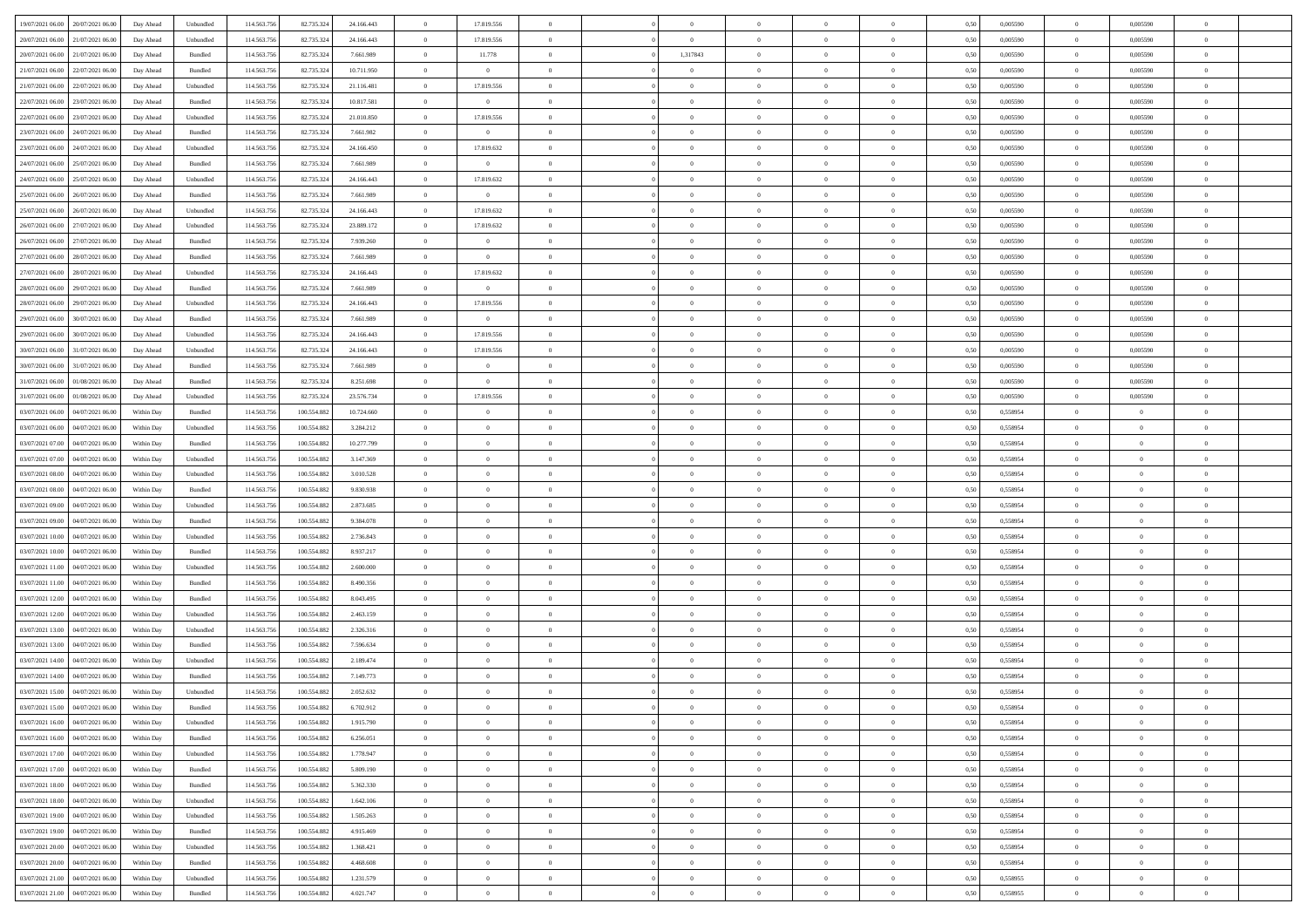| 19/07/2021 06:00 20/07/2021 06:00            | Day Ahead  | Unbundled | 114.563.75  | 82.735.324  | 24.166.443 | $\overline{0}$ | 17.819.556     |                | $\overline{0}$ | $\bf{0}$       | $\overline{0}$ | $\theta$       | 0,50 | 0,005590 | $\overline{0}$ | 0.005590       | $\bf{0}$       |  |
|----------------------------------------------|------------|-----------|-------------|-------------|------------|----------------|----------------|----------------|----------------|----------------|----------------|----------------|------|----------|----------------|----------------|----------------|--|
|                                              |            |           |             |             |            |                |                |                |                |                |                |                |      |          |                |                |                |  |
| 20/07/2021 06:00<br>21/07/2021 06:00         | Day Ahead  | Unbundled | 114.563.75  | 82.735.324  | 24.166.443 | $\overline{0}$ | 17.819.556     | $\overline{0}$ | $\overline{0}$ | $\,$ 0         | $\overline{0}$ | $\bf{0}$       | 0,50 | 0,005590 | $\bf{0}$       | 0,005590       | $\bf{0}$       |  |
| 20/07/2021 06:00<br>21/07/2021 06:00         | Day Ahead  | Bundled   | 114.563.75  | 82.735.324  | 7.661.989  | $\overline{0}$ | 11.778         | $\overline{0}$ | 1,317843       | $\bf{0}$       | $\overline{0}$ | $\overline{0}$ | 0.50 | 0.005590 | $\overline{0}$ | 0.005590       | $\bf{0}$       |  |
| 21/07/2021 06:00<br>22/07/2021 06:00         | Day Ahead  | Bundled   | 114.563.75  | 82.735.324  | 10.711.950 | $\overline{0}$ | $\overline{0}$ | $\overline{0}$ | $\overline{0}$ | $\bf{0}$       | $\overline{0}$ | $\theta$       | 0,50 | 0,005590 | $\,$ 0 $\,$    | 0,005590       | $\overline{0}$ |  |
| 21/07/2021 06:00<br>22/07/2021 06.00         | Day Ahead  | Unbundled | 114.563.75  | 82.735.324  | 21.116.481 | $\overline{0}$ | 17.819.556     | $\overline{0}$ |                | $\bf{0}$       | $\overline{0}$ | $\bf{0}$       | 0,50 | 0,005590 | $\bf{0}$       | 0,005590       | $\bf{0}$       |  |
| 22/07/2021 06:00<br>23/07/2021 06:00         | Day Ahead  | Bundled   | 114,563,75  | 82.735.32   | 10.817.581 | $\overline{0}$ | $\overline{0}$ | $\overline{0}$ | $\overline{0}$ | $\bf{0}$       | $\overline{0}$ | $\overline{0}$ | 0.50 | 0.005590 | $\bf{0}$       | 0.005590       | $\bf{0}$       |  |
|                                              |            |           |             |             |            |                |                |                |                |                |                |                |      |          |                |                |                |  |
| 22/07/2021 06:00<br>23/07/2021 06:00         | Day Ahead  | Unbundled | 114.563.75  | 82.735.324  | 21.010.850 | $\overline{0}$ | 17.819.556     | $\overline{0}$ | $\overline{0}$ | $\bf{0}$       | $\overline{0}$ | $\overline{0}$ | 0,50 | 0,005590 | $\,$ 0 $\,$    | 0,005590       | $\overline{0}$ |  |
| 23/07/2021 06:00<br>24/07/2021 06.00         | Day Ahead  | Bundled   | 114.563.75  | 82.735.32   | 7.661.982  | $\bf{0}$       | $\bf{0}$       | $\overline{0}$ | $\overline{0}$ | $\,$ 0         | $\overline{0}$ | $\bf{0}$       | 0,50 | 0,005590 | $\bf{0}$       | 0,005590       | $\bf{0}$       |  |
| 23/07/2021 06:00<br>24/07/2021 06:00         | Day Ahead  | Unbundled | 114,563,75  | 82.735.32   | 24.166.450 | $\overline{0}$ | 17.819.632     | $\overline{0}$ | $\overline{0}$ | $\bf{0}$       | $\overline{0}$ | $\overline{0}$ | 0.50 | 0.005590 | $\overline{0}$ | 0.005590       | $\bf{0}$       |  |
| 24/07/2021 06:00<br>25/07/2021 06:00         | Day Ahead  | Bundled   | 114.563.756 | 82.735.324  | 7.661.989  | $\overline{0}$ | $\overline{0}$ | $\overline{0}$ | $\overline{0}$ | $\bf{0}$       | $\overline{0}$ | $\overline{0}$ | 0,50 | 0,005590 | $\overline{0}$ | 0.005590       | $\bf{0}$       |  |
| 24/07/2021 06:00<br>25/07/2021 06.00         | Day Ahead  | Unbundled | 114.563.75  | 82.735.324  | 24.166.443 | $\overline{0}$ | 17.819.632     | $\overline{0}$ | $\overline{0}$ | $\,$ 0         | $\overline{0}$ | $\bf{0}$       | 0,50 | 0,005590 | $\bf{0}$       | 0,005590       | $\bf{0}$       |  |
| 25/07/2021 06:00<br>26/07/2021 06:00         | Day Ahead  | Bundled   | 114.563.75  | 82.735.32   | 7.661.989  | $\overline{0}$ | $\overline{0}$ | $\overline{0}$ | $\overline{0}$ | $\,$ 0 $\,$    | $\overline{0}$ | $\overline{0}$ | 0.50 | 0.005590 | $\,$ 0 $\,$    | 0.005590       | $\bf{0}$       |  |
|                                              |            |           |             |             |            | $\overline{0}$ |                | $\overline{0}$ | $\overline{0}$ | $\bf{0}$       | $\overline{0}$ | $\theta$       |      |          | $\,0\,$        |                | $\overline{0}$ |  |
| 25/07/2021 06:00<br>26/07/2021 06:00         | Day Ahead  | Unbundled | 114.563.75  | 82.735.324  | 24.166.443 |                | 17.819.632     |                |                |                |                |                | 0,50 | 0,005590 |                | 0,005590       |                |  |
| 26/07/2021 06:00<br>27/07/2021 06.00         | Day Ahead  | Unbundled | 114.563.75  | 82.735.32   | 23.889.172 | $\bf{0}$       | 17.819.632     | $\overline{0}$ |                | $\,$ 0         | $\overline{0}$ | $\bf{0}$       | 0,50 | 0,005590 | $\bf{0}$       | 0,005590       | $\bf{0}$       |  |
| 26/07/2021 06:00<br>27/07/2021 06:00         | Day Ahead  | Bundled   | 114,563,75  | 82.735.32   | 7.939.260  | $\overline{0}$ | $\overline{0}$ | $\overline{0}$ | $\overline{0}$ | $\bf{0}$       | $\overline{0}$ | $\overline{0}$ | 0.50 | 0.005590 | $\bf{0}$       | 0.005590       | $\bf{0}$       |  |
| 27/07/2021 06:00<br>28/07/2021 06:00         | Day Ahead  | Bundled   | 114.563.75  | 82.735.324  | 7.661.989  | $\overline{0}$ | $\overline{0}$ | $\overline{0}$ | $\overline{0}$ | $\bf{0}$       | $\overline{0}$ | $\overline{0}$ | 0,50 | 0,005590 | $\,0\,$        | 0.005590       | $\overline{0}$ |  |
| 27/07/2021 06:00<br>28/07/2021 06:00         | Day Ahead  | Unbundled | 114.563.75  | 82.735.32   | 24.166.443 | $\overline{0}$ | 17.819.632     | $\overline{0}$ |                | $\,$ 0         | $\overline{0}$ | $\bf{0}$       | 0,50 | 0,005590 | $\bf{0}$       | 0,005590       | $\bf{0}$       |  |
| 28/07/2021 06:00<br>29/07/2021 06:00         | Day Ahead  | Bundled   | 114,563,75  | 82.735.32   | 7.661.989  | $\overline{0}$ | $\overline{0}$ | $\overline{0}$ | $\overline{0}$ | $\bf{0}$       | $\overline{0}$ | $\overline{0}$ | 0.50 | 0.005590 | $\overline{0}$ | 0.005590       | $\bf{0}$       |  |
| 28/07/2021 06:00<br>29/07/2021 06:00         | Day Ahead  | Unbundled | 114.563.75  | 82.735.324  | 24.166.443 | $\overline{0}$ | 17.819.556     | $\overline{0}$ | $\overline{0}$ | $\bf{0}$       | $\overline{0}$ | $\overline{0}$ | 0,50 | 0,005590 | $\,0\,$        | 0,005590       | $\bf{0}$       |  |
|                                              |            |           |             |             |            |                |                |                |                |                |                |                |      |          |                |                |                |  |
| 29/07/2021 06:00<br>30/07/2021 06:00         | Day Ahead  | Bundled   | 114.563.75  | 82.735.324  | 7.661.989  | $\bf{0}$       | $\bf{0}$       | $\overline{0}$ | $\overline{0}$ | $\,$ 0         | $\overline{0}$ | $\bf{0}$       | 0,50 | 0,005590 | $\bf{0}$       | 0,005590       | $\bf{0}$       |  |
| 29/07/2021 06:00<br>30/07/2021 06:00         | Day Ahead  | Unbundled | 114.563.75  | 82.735.324  | 24.166.443 | $\overline{0}$ | 17.819.556     | $\overline{0}$ | $\overline{0}$ | $\,$ 0 $\,$    | $\overline{0}$ | $\overline{0}$ | 0.50 | 0.005590 | $\overline{0}$ | 0.005590       | $\bf{0}$       |  |
| 30/07/2021 06:00<br>31/07/2021 06:00         | Day Ahead  | Unbundled | 114.563.75  | 82.735.324  | 24.166.443 | $\overline{0}$ | 17.819.556     | $\overline{0}$ | $\overline{0}$ | $\,$ 0         | $\overline{0}$ | $\overline{0}$ | 0,50 | 0,005590 | $\,0\,$        | 0,005590       | $\overline{0}$ |  |
| 30/07/2021 06:00<br>31/07/2021 06.00         | Day Ahead  | Bundled   | 114.563.75  | 82.735.324  | 7.661.989  | $\bf{0}$       | $\theta$       | $\overline{0}$ | $\overline{0}$ | $\,$ 0         | $\overline{0}$ | $\bf{0}$       | 0,50 | 0,005590 | $\bf{0}$       | 0,005590       | $\bf{0}$       |  |
| 31/07/2021 06:00<br>01/08/2021 06:00         | Day Ahead  | Bundled   | 114,563,75  | 82.735.32   | 8.251.698  | $\overline{0}$ | $\overline{0}$ | $\overline{0}$ | $\overline{0}$ | $\bf{0}$       | $\overline{0}$ | $\overline{0}$ | 0.50 | 0.005590 | $\bf{0}$       | 0.005590       | $\bf{0}$       |  |
| 31/07/2021 06:00<br>01/08/2021 06:00         | Day Ahead  | Unbundled | 114.563.75  | 82.735.324  | 23.576.734 | $\overline{0}$ | 17.819.556     | $\overline{0}$ | $\overline{0}$ | $\,$ 0         | $\overline{0}$ | $\overline{0}$ | 0,50 | 0,005590 | $\,0\,$        | 0,005590       | $\overline{0}$ |  |
| 03/07/2021 06:00<br>04/07/2021 06.00         | Within Day | Bundled   | 114.563.75  | 100.554.88  | 10.724.660 | $\overline{0}$ | $\theta$       | $\overline{0}$ |                | $\,$ 0         | $\overline{0}$ | $\bf{0}$       | 0,50 | 0,558954 | $\bf{0}$       | $\overline{0}$ | $\bf{0}$       |  |
|                                              |            |           |             |             |            |                |                |                |                |                |                |                |      |          |                |                |                |  |
| 03/07/2021 06:00<br>04/07/2021 06:00         | Within Day | Unbundled | 114.563.75  | 100.554.882 | 3.284.212  | $\overline{0}$ | $\overline{0}$ | $\overline{0}$ | $\overline{0}$ | $\bf{0}$       | $\overline{0}$ | $\overline{0}$ | 0.50 | 0.558954 | $\bf{0}$       | $\overline{0}$ | $\bf{0}$       |  |
| 03/07/2021 07:00<br>04/07/2021 06:00         | Within Day | Bundled   | 114.563.75  | 100.554.882 | 10.277.799 | $\overline{0}$ | $\overline{0}$ | $\overline{0}$ | $\overline{0}$ | $\bf{0}$       | $\overline{0}$ | $\overline{0}$ | 0,50 | 0,558954 | $\,0\,$        | $\overline{0}$ | $\overline{0}$ |  |
| 03/07/2021 07:00<br>04/07/2021 06.00         | Within Day | Unbundled | 114.563.75  | 100.554.882 | 3.147.369  | $\bf{0}$       | $\overline{0}$ | $\overline{0}$ | $\overline{0}$ | $\bf{0}$       | $\overline{0}$ | $\bf{0}$       | 0,50 | 0,558954 | $\bf{0}$       | $\overline{0}$ | $\bf{0}$       |  |
| 03/07/2021 08:00<br>04/07/2021 06:00         | Within Day | Unbundled | 114.563.75  | 100.554.882 | 3.010.528  | $\overline{0}$ | $\overline{0}$ | $\overline{0}$ | $\overline{0}$ | $\,$ 0 $\,$    | $\overline{0}$ | $\overline{0}$ | 0.50 | 0.558954 | $\overline{0}$ | $\bf{0}$       | $\bf{0}$       |  |
| 03/07/2021 08:00<br>04/07/2021 06:00         | Within Day | Bundled   | 114.563.75  | 100.554.882 | 9.830.938  | $\overline{0}$ | $\overline{0}$ | $\theta$       | $\Omega$       | $\overline{0}$ | $\overline{0}$ | $\overline{0}$ | 0.50 | 0,558954 | $\mathbf{0}$   | $\overline{0}$ | $\overline{0}$ |  |
| 03/07/2021 09:00<br>04/07/2021 06.00         | Within Day | Unbundled | 114.563.75  | 100.554.882 | 2.873.685  | $\overline{0}$ | $\theta$       | $\overline{0}$ |                | $\,$ 0         | $\overline{0}$ | $\bf{0}$       | 0,50 | 0,558954 | $\bf{0}$       | $\overline{0}$ | $\bf{0}$       |  |
| 03/07/2021 09:00<br>04/07/2021 06:00         | Within Day | Bundled   | 114.563.75  | 100.554.882 | 9.384.078  | $\overline{0}$ | $\overline{0}$ | $\overline{0}$ | $\overline{0}$ | $\bf{0}$       | $\overline{0}$ | $\overline{0}$ | 0.50 | 0.558954 | $\bf{0}$       | $\overline{0}$ | $\bf{0}$       |  |
|                                              |            |           |             |             |            |                |                |                |                |                |                |                |      |          |                |                |                |  |
| 03/07/2021 10:00<br>04/07/2021 06:00         | Within Day | Unbundled | 114.563.75  | 100.554.882 | 2.736.843  | $\overline{0}$ | $\overline{0}$ | $\Omega$       | $\Omega$       | $\mathbf{0}$   | $\overline{0}$ | $\overline{0}$ | 0.50 | 0,558954 | $\mathbf{0}$   | $\overline{0}$ | $\overline{0}$ |  |
| 03/07/2021 10:00<br>04/07/2021 06.00         | Within Day | Bundled   | 114.563.75  | 100.554.882 | 8.937.217  | $\overline{0}$ | $\theta$       | $\overline{0}$ |                | $\,$ 0         | $\overline{0}$ | $\bf{0}$       | 0,50 | 0,558954 | $\bf{0}$       | $\overline{0}$ | $\bf{0}$       |  |
| 03/07/2021 11:00<br>04/07/2021 06:00         | Within Day | Unbundled | 114.563.75  | 100.554.882 | 2.600,000  | $\overline{0}$ | $\overline{0}$ | $\overline{0}$ | $\overline{0}$ | $\bf{0}$       | $\overline{0}$ | $\overline{0}$ | 0.50 | 0.558954 | $\bf{0}$       | $\overline{0}$ | $\bf{0}$       |  |
| 03/07/2021 11:00<br>04/07/2021 06:00         | Within Day | Bundled   | 114.563.75  | 100.554.882 | 8.490.356  | $\overline{0}$ | $\overline{0}$ | $\overline{0}$ | $\Omega$       | $\overline{0}$ | $\overline{0}$ | $\overline{0}$ | 0.50 | 0,558954 | $\mathbf{0}$   | $\overline{0}$ | $\overline{0}$ |  |
| 03/07/2021 12:00<br>04/07/2021 06.00         | Within Day | Bundled   | 114.563.75  | 100.554.882 | 8.043.495  | $\bf{0}$       | $\overline{0}$ | $\overline{0}$ | $\overline{0}$ | $\bf{0}$       | $\overline{0}$ | $\bf{0}$       | 0,50 | 0,558954 | $\bf{0}$       | $\overline{0}$ | $\bf{0}$       |  |
| 03/07/2021 12:00<br>04/07/2021 06:00         | Within Day | Unbundled | 114.563.75  | 100.554.882 | 2.463.159  | $\overline{0}$ | $\overline{0}$ | $\overline{0}$ | $\overline{0}$ | $\,$ 0 $\,$    | $\overline{0}$ | $\overline{0}$ | 0.50 | 0.558954 | $\overline{0}$ | $\bf{0}$       | $\bf{0}$       |  |
| 03/07/2021 13:00<br>04/07/2021 06:00         | Within Day | Unbundled | 114.563.75  | 100.554.882 | 2.326.316  | $\overline{0}$ | $\overline{0}$ | $\Omega$       | $\Omega$       | $\mathbf{0}$   | $\overline{0}$ | $\overline{0}$ | 0.50 | 0,558954 | $\mathbf{0}$   | $\overline{0}$ | $\overline{0}$ |  |
|                                              |            |           |             |             |            |                |                |                |                |                |                |                |      |          |                |                |                |  |
| 03/07/2021 13:00<br>04/07/2021 06.00         | Within Day | Bundled   | 114.563.75  | 100.554.882 | 7.596.634  | $\overline{0}$ | $\overline{0}$ | $\overline{0}$ | $\overline{0}$ | $\,$ 0         | $\overline{0}$ | $\bf{0}$       | 0,50 | 0,558954 | $\bf{0}$       | $\overline{0}$ | $\bf{0}$       |  |
| 03/07/2021 14:00<br>04/07/2021 06:00         | Within Day | Unbundled | 114.563.75  | 100.554.882 | 2.189.474  | $\overline{0}$ | $\overline{0}$ | $\overline{0}$ | $\overline{0}$ | $\bf{0}$       | $\overline{0}$ | $\overline{0}$ | 0.50 | 0.558954 | $\bf{0}$       | $\overline{0}$ | $\bf{0}$       |  |
| 03/07/2021 14:00<br>04/07/2021 06:00         | Within Day | Bundled   | 114.563.75  | 100.554.882 | 7.149.773  | $\overline{0}$ | $\Omega$       | $\Omega$       | $\Omega$       | $\bf{0}$       | $\overline{0}$ | $\theta$       | 0.50 | 0,558954 | $\mathbf{0}$   | $\overline{0}$ | $\overline{0}$ |  |
| 03/07/2021 15:00<br>04/07/2021 06:00         | Within Day | Unbundled | 114.563.75  | 100.554.882 | 2.052.632  | $\overline{0}$ | $\overline{0}$ | $\overline{0}$ | $\overline{0}$ | $\,$ 0         | $\overline{0}$ | $\bf{0}$       | 0,50 | 0,558954 | $\bf{0}$       | $\overline{0}$ | $\,$ 0         |  |
| $03/07/2021\ 15.00 \qquad 04/07/2021\ 06.00$ | Within Day | Bundled   | 114.563.756 | 100.554.882 | 6.702.912  | $\bf{0}$       | $\theta$       |                |                |                |                |                | 0,50 | 0.558954 | $\theta$       | $\Omega$       |                |  |
| 03/07/2021 16:00 04/07/2021 06:00            | Within Day | Unbundled | 114.563.756 | 100.554.882 | 1.915.790  | $\theta$       | $\overline{0}$ | $\Omega$       | $\Omega$       | $\overline{0}$ | $\overline{0}$ | $\mathbf{0}$   | 0,50 | 0,558954 | $\theta$       | $\overline{0}$ | $\overline{0}$ |  |
| 03/07/2021 16:00<br>04/07/2021 06:00         | Within Day | Bundled   | 114.563.75  | 100.554.882 | 6.256.051  | $\overline{0}$ | $\bf{0}$       | $\overline{0}$ | $\bf{0}$       | $\overline{0}$ | $\overline{0}$ | $\mathbf{0}$   | 0,50 | 0,558954 | $\overline{0}$ | $\bf{0}$       | $\bf{0}$       |  |
|                                              |            |           |             |             |            |                |                |                |                |                |                |                |      |          |                |                |                |  |
| 03/07/2021 17:00   04/07/2021 06:00          | Within Day | Unbundled | 114,563,756 | 100.554.882 | 1.778.947  | $\overline{0}$ | $\overline{0}$ | $\overline{0}$ | $\overline{0}$ | $\overline{0}$ | $\overline{0}$ | $\mathbf{0}$   | 0.50 | 0.558954 | $\overline{0}$ | $\,$ 0 $\,$    | $\,$ 0 $\,$    |  |
| 03/07/2021 17:00  04/07/2021 06:00           | Within Dav | Bundled   | 114.563.756 | 100.554.882 | 5.809.190  | $\overline{0}$ | $\overline{0}$ | $\overline{0}$ | $\overline{0}$ | $\overline{0}$ | $\overline{0}$ | $\overline{0}$ | 0,50 | 0,558954 | $\theta$       | $\overline{0}$ | $\bf{0}$       |  |
| 03/07/2021 18:00<br>04/07/2021 06:00         | Within Day | Bundled   | 114.563.75  | 100.554.882 | 5.362.330  | $\overline{0}$ | $\overline{0}$ | $\overline{0}$ | $\overline{0}$ | $\bf{0}$       | $\overline{0}$ | $\bf{0}$       | 0,50 | 0,558954 | $\overline{0}$ | $\bf{0}$       | $\bf{0}$       |  |
| 03/07/2021 18:00 04/07/2021 06:00            | Within Day | Unbundled | 114.563.756 | 100.554.882 | 1.642.106  | $\overline{0}$ | $\overline{0}$ | $\overline{0}$ | $\overline{0}$ | $\,$ 0 $\,$    | $\overline{0}$ | $\overline{0}$ | 0.50 | 0.558954 | $\overline{0}$ | $\overline{0}$ | $\bf{0}$       |  |
| 03/07/2021 19:00 04/07/2021 06:00            | Within Dav | Unbundled | 114.563.756 | 100.554.882 | 1.505.263  | $\overline{0}$ | $\overline{0}$ | $\overline{0}$ | $\overline{0}$ | $\mathbf{0}$   | $\overline{0}$ | $\overline{0}$ | 0,50 | 0,558954 | $\overline{0}$ | $\overline{0}$ | $\bf{0}$       |  |
| 04/07/2021 06:00<br>03/07/2021 19:00         | Within Day | Bundled   | 114.563.75  | 100.554.882 | 4.915.469  | $\overline{0}$ | $\,$ 0         | $\overline{0}$ | $\bf{0}$       | $\,$ 0 $\,$    | $\overline{0}$ | $\mathbf{0}$   | 0,50 | 0,558954 | $\overline{0}$ | $\,$ 0 $\,$    | $\bf{0}$       |  |
| 03/07/2021 20:00 04/07/2021 06:00            | Within Day | Unbundled | 114.563.75  | 100.554.882 | 1.368.421  | $\overline{0}$ | $\overline{0}$ | $\overline{0}$ | $\overline{0}$ | $\,$ 0 $\,$    | $\overline{0}$ | $\overline{0}$ | 0.50 | 0.558954 | $\overline{0}$ | $\,$ 0 $\,$    | $\bf{0}$       |  |
|                                              |            |           |             |             |            |                |                |                |                |                |                |                |      |          |                |                |                |  |
| 03/07/2021 20:00 04/07/2021 06:00            | Within Dav | Bundled   | 114.563.75  | 100.554.882 | 4.468.608  | $\overline{0}$ | $\overline{0}$ | $\overline{0}$ | $\overline{0}$ | $\overline{0}$ | $\overline{0}$ | $\overline{0}$ | 0,50 | 0,558954 | $\overline{0}$ | $\overline{0}$ | $\bf{0}$       |  |
| 03/07/2021 21:00<br>04/07/2021 06:00         | Within Day | Unbundled | 114.563.75  | 100.554.882 | 1.231.579  | $\overline{0}$ | $\overline{0}$ | $\overline{0}$ | $\bf{0}$       | $\bf{0}$       | $\overline{0}$ | $\bf{0}$       | 0,50 | 0,558955 | $\overline{0}$ | $\bf{0}$       | $\bf{0}$       |  |
| 03/07/2021 21.00 04/07/2021 06:00            | Within Day | Bundled   | 114.563.756 | 100.554.882 | 4.021.747  | $\overline{0}$ | $\overline{0}$ | $\overline{0}$ | $\overline{0}$ | $\,$ 0 $\,$    | $\overline{0}$ | $\overline{0}$ | 0,50 | 0,558955 | $\,$ 0 $\,$    | $\,$ 0 $\,$    | $\bf{0}$       |  |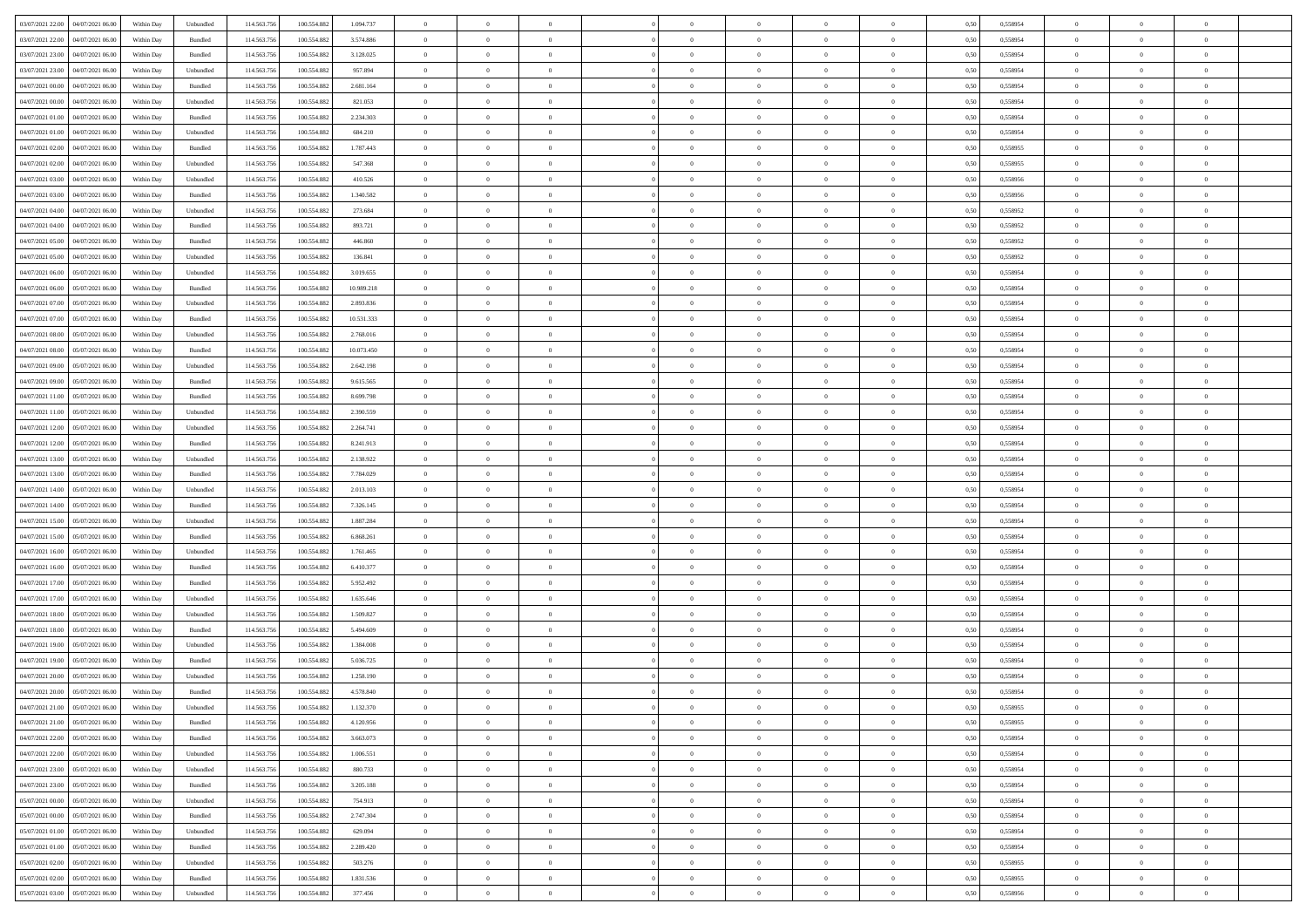| 03/07/2021 22.00<br>04/07/2021 06:00 | Within Day | Unbundled         | 114.563.756 | 100.554.882 | 1.094.737  | $\overline{0}$ | $\overline{0}$ | $\overline{0}$ | $\theta$       | $\theta$       |                | $\overline{0}$ | 0,50 | 0,558954 | $\theta$       | $\theta$       | $\overline{0}$ |  |
|--------------------------------------|------------|-------------------|-------------|-------------|------------|----------------|----------------|----------------|----------------|----------------|----------------|----------------|------|----------|----------------|----------------|----------------|--|
|                                      |            |                   |             |             |            |                |                |                |                |                |                |                |      |          |                |                |                |  |
| 03/07/2021 22.00<br>04/07/2021 06.0  | Within Day | Bundled           | 114.563.75  | 100.554.882 | 3.574.886  | $\overline{0}$ | $\overline{0}$ | $\overline{0}$ | $\,$ 0 $\,$    | $\bf{0}$       | $\overline{0}$ | $\mathbf{0}$   | 0,50 | 0,558954 | $\,$ 0 $\,$    | $\bf{0}$       | $\overline{0}$ |  |
| 03/07/2021 23.00<br>04/07/2021 06:00 | Within Day | Bundled           | 114,563,756 | 100.554.882 | 3.128.025  | $\overline{0}$ | $\overline{0}$ | $\overline{0}$ | $\bf{0}$       | $\bf{0}$       | $\overline{0}$ | $\,$ 0 $\,$    | 0.50 | 0.558954 | $\bf{0}$       | $\overline{0}$ | $\bf{0}$       |  |
| 03/07/2021 23.00<br>04/07/2021 06:00 | Within Day | Unbundled         | 114.563.756 | 100.554.882 | 957.894    | $\overline{0}$ | $\overline{0}$ | $\overline{0}$ | $\bf{0}$       | $\overline{0}$ | $\overline{0}$ | $\,$ 0 $\,$    | 0,50 | 0,558954 | $\theta$       | $\overline{0}$ | $\overline{0}$ |  |
| 04/07/2021 00.00<br>04/07/2021 06.0  | Within Day | Bundled           | 114.563.75  | 100.554.882 | 2.681.164  | $\overline{0}$ | $\overline{0}$ | $\overline{0}$ | $\bf{0}$       | $\overline{0}$ | $\overline{0}$ | $\bf{0}$       | 0,50 | 0,558954 | $\,$ 0 $\,$    | $\bf{0}$       | $\overline{0}$ |  |
| 04/07/2021 00:00<br>04/07/2021 06:00 | Within Day | Unbundled         | 114,563,75  | 100.554.882 | 821.053    | $\overline{0}$ | $\overline{0}$ | $\overline{0}$ | $\bf{0}$       | $\bf{0}$       | $\overline{0}$ | $\mathbf{0}$   | 0.50 | 0.558954 | $\,$ 0 $\,$    | $\overline{0}$ | $\overline{0}$ |  |
| 04/07/2021 01:00<br>04/07/2021 06:00 | Within Day | Bundled           | 114.563.756 | 100.554.882 | 2.234.303  | $\overline{0}$ | $\overline{0}$ | $\overline{0}$ | $\bf{0}$       | $\overline{0}$ | $\overline{0}$ | $\bf{0}$       | 0,50 | 0,558954 | $\theta$       | $\theta$       | $\overline{0}$ |  |
| 04/07/2021 01.00<br>04/07/2021 06.0  | Within Day | Unbundled         | 114.563.75  | 100.554.882 | 684.210    | $\overline{0}$ | $\overline{0}$ | $\overline{0}$ | $\,$ 0 $\,$    | $\bf{0}$       | $\overline{0}$ | $\mathbf{0}$   | 0,50 | 0,558954 | $\,$ 0 $\,$    | $\bf{0}$       | $\overline{0}$ |  |
| 04/07/2021 02:00<br>04/07/2021 06:00 | Within Day | Bundled           | 114,563,75  | 100.554.882 | 1.787.443  | $\overline{0}$ | $\overline{0}$ | $\overline{0}$ | $\bf{0}$       | $\bf{0}$       | $\overline{0}$ | $\mathbf{0}$   | 0.50 | 0.558955 | $\bf{0}$       | $\overline{0}$ | $\bf{0}$       |  |
| 04/07/2021 02.00<br>04/07/2021 06:00 | Within Day | Unbundled         | 114.563.756 | 100.554.882 | 547.368    | $\overline{0}$ | $\overline{0}$ | $\overline{0}$ | $\bf{0}$       | $\bf{0}$       | $\overline{0}$ | $\,$ 0 $\,$    | 0,50 | 0,558955 | $\,$ 0         | $\overline{0}$ | $\overline{0}$ |  |
|                                      |            |                   |             |             |            |                |                |                |                |                |                |                |      |          |                |                |                |  |
| 04/07/2021 03:00<br>04/07/2021 06.0  | Within Day | Unbundled         | 114.563.75  | 100.554.882 | 410.526    | $\overline{0}$ | $\overline{0}$ | $\overline{0}$ | $\,$ 0 $\,$    | $\bf{0}$       | $\overline{0}$ | $\bf{0}$       | 0,50 | 0,558956 | $\,$ 0 $\,$    | $\bf{0}$       | $\overline{0}$ |  |
| 04/07/2021 03.00<br>04/07/2021 06:00 | Within Day | Bundled           | 114,563,756 | 100.554.882 | 1.340.582  | $\overline{0}$ | $\overline{0}$ | $\overline{0}$ | $\bf{0}$       | $\bf{0}$       | $\overline{0}$ | $\,$ 0 $\,$    | 0.50 | 0.558956 | $\bf{0}$       | $\overline{0}$ | $\,$ 0         |  |
| 04/07/2021 04.00<br>04/07/2021 06:00 | Within Day | Unbundled         | 114.563.756 | 100.554.882 | 273.684    | $\overline{0}$ | $\overline{0}$ | $\overline{0}$ | $\overline{0}$ | $\overline{0}$ | $\overline{0}$ | $\,$ 0 $\,$    | 0,50 | 0,558952 | $\,$ 0 $\,$    | $\overline{0}$ | $\overline{0}$ |  |
| 04/07/2021 04.00<br>04/07/2021 06.0  | Within Day | Bundled           | 114.563.75  | 100.554.882 | 893.721    | $\overline{0}$ | $\overline{0}$ | $\overline{0}$ | $\bf{0}$       | $\bf{0}$       | $\overline{0}$ | $\bf{0}$       | 0,50 | 0,558952 | $\,$ 0 $\,$    | $\bf{0}$       | $\overline{0}$ |  |
| 04/07/2021 05:00<br>04/07/2021 06:00 | Within Day | Bundled           | 114,563,756 | 100.554.882 | 446,860    | $\overline{0}$ | $\overline{0}$ | $\overline{0}$ | $\bf{0}$       | $\overline{0}$ | $\overline{0}$ | $\mathbf{0}$   | 0.50 | 0.558952 | $\,$ 0 $\,$    | $\overline{0}$ | $\overline{0}$ |  |
| 04/07/2021 05:00<br>04/07/2021 06:00 | Within Day | Unbundled         | 114.563.756 | 100.554.882 | 136.841    | $\overline{0}$ | $\overline{0}$ | $\overline{0}$ | $\bf{0}$       | $\overline{0}$ | $\overline{0}$ | $\bf{0}$       | 0,50 | 0,558952 | $\theta$       | $\theta$       | $\overline{0}$ |  |
| 04/07/2021 06.00<br>05/07/2021 06.0  | Within Day | Unbundled         | 114.563.75  | 100.554.882 | 3.019.655  | $\overline{0}$ | $\overline{0}$ | $\overline{0}$ | $\overline{0}$ | $\bf{0}$       | $\overline{0}$ | $\bf{0}$       | 0,50 | 0,558954 | $\,$ 0 $\,$    | $\bf{0}$       | $\overline{0}$ |  |
| 04/07/2021 06:00<br>05/07/2021 06:00 | Within Day | Bundled           | 114,563,75  | 100.554.882 | 10.989.218 | $\overline{0}$ | $\overline{0}$ | $\overline{0}$ | $\bf{0}$       | $\bf{0}$       | $\overline{0}$ | $\mathbf{0}$   | 0.50 | 0.558954 | $\bf{0}$       | $\overline{0}$ | $\,$ 0         |  |
| 04/07/2021 07:00<br>05/07/2021 06:00 | Within Day | Unbundled         | 114.563.756 | 100.554.882 | 2.893.836  | $\overline{0}$ | $\overline{0}$ | $\overline{0}$ | $\bf{0}$       | $\overline{0}$ | $\overline{0}$ | $\bf{0}$       | 0,50 | 0,558954 | $\,$ 0 $\,$    | $\overline{0}$ | $\overline{0}$ |  |
|                                      |            |                   |             |             |            |                |                |                |                |                |                |                |      |          |                |                |                |  |
| 04/07/2021 07:00<br>05/07/2021 06.0  | Within Day | Bundled           | 114.563.75  | 100.554.882 | 10.531.333 | $\overline{0}$ | $\overline{0}$ | $\overline{0}$ | $\overline{0}$ | $\bf{0}$       | $\overline{0}$ | $\mathbf{0}$   | 0,50 | 0,558954 | $\,$ 0 $\,$    | $\bf{0}$       | $\overline{0}$ |  |
| 04/07/2021 08:00<br>05/07/2021 06:00 | Within Day | Unbundled         | 114,563,756 | 100.554.882 | 2.768.016  | $\overline{0}$ | $\overline{0}$ | $\overline{0}$ | $\bf{0}$       | $\overline{0}$ | $\overline{0}$ | $\,$ 0 $\,$    | 0.50 | 0.558954 | $\bf{0}$       | $\overline{0}$ | $\,$ 0         |  |
| 04/07/2021 08:00<br>05/07/2021 06:00 | Within Day | Bundled           | 114.563.756 | 100.554.882 | 10.073.450 | $\overline{0}$ | $\overline{0}$ | $\overline{0}$ | $\overline{0}$ | $\overline{0}$ | $\overline{0}$ | $\,$ 0 $\,$    | 0,50 | 0,558954 | $\theta$       | $\overline{0}$ | $\overline{0}$ |  |
| 04/07/2021 09.00<br>05/07/2021 06.0  | Within Day | Unbundled         | 114.563.75  | 100.554.882 | 2.642.198  | $\overline{0}$ | $\overline{0}$ | $\overline{0}$ | $\overline{0}$ | $\bf{0}$       | $\overline{0}$ | $\bf{0}$       | 0,50 | 0,558954 | $\,$ 0 $\,$    | $\bf{0}$       | $\overline{0}$ |  |
| 04/07/2021 09:00<br>05/07/2021 06:00 | Within Day | Bundled           | 114,563,75  | 100.554.882 | 9.615.565  | $\overline{0}$ | $\overline{0}$ | $\overline{0}$ | $\bf{0}$       | $\bf{0}$       | $\overline{0}$ | $\mathbf{0}$   | 0.50 | 0.558954 | $\,$ 0 $\,$    | $\overline{0}$ | $\overline{0}$ |  |
| 04/07/2021 11:00<br>05/07/2021 06:00 | Within Day | Bundled           | 114.563.756 | 100.554.882 | 8.699.798  | $\overline{0}$ | $\overline{0}$ | $\overline{0}$ | $\bf{0}$       | $\overline{0}$ | $\overline{0}$ | $\bf{0}$       | 0,50 | 0,558954 | $\,$ 0 $\,$    | $\theta$       | $\overline{0}$ |  |
| 04/07/2021 11.00<br>05/07/2021 06.0  | Within Day | Unbundled         | 114.563.75  | 100.554.882 | 2.390.559  | $\overline{0}$ | $\overline{0}$ | $\overline{0}$ | $\,$ 0 $\,$    | $\bf{0}$       | $\overline{0}$ | $\bf{0}$       | 0,50 | 0,558954 | $\,$ 0 $\,$    | $\bf{0}$       | $\overline{0}$ |  |
| 04/07/2021 12:00<br>05/07/2021 06:00 | Within Day | Unbundled         | 114,563,756 | 100.554.882 | 2.264.741  | $\overline{0}$ | $\overline{0}$ | $\overline{0}$ | $\bf{0}$       | $\bf{0}$       | $\overline{0}$ | $\mathbf{0}$   | 0.50 | 0.558954 | $\bf{0}$       | $\overline{0}$ | $\bf{0}$       |  |
| 04/07/2021 12:00<br>05/07/2021 06:00 | Within Day | Bundled           | 114.563.756 | 100.554.882 | 8.241.913  | $\overline{0}$ | $\overline{0}$ | $\overline{0}$ | $\bf{0}$       | $\overline{0}$ | $\overline{0}$ | $\,$ 0 $\,$    | 0,50 | 0,558954 | $\overline{0}$ | $\overline{0}$ | $\overline{0}$ |  |
| 04/07/2021 13:00<br>05/07/2021 06.0  | Within Day | Unbundled         | 114.563.75  | 100.554.882 | 2.138.922  | $\overline{0}$ | $\overline{0}$ | $\overline{0}$ | $\overline{0}$ | $\bf{0}$       | $\overline{0}$ | $\mathbf{0}$   | 0,50 | 0,558954 | $\overline{0}$ | $\bf{0}$       | $\overline{0}$ |  |
| 05/07/2021 06:00                     |            |                   | 114,563,756 | 100.554.882 | 7.784.029  |                |                |                |                | $\overline{0}$ | $\overline{0}$ |                | 0.50 | 0.558954 | $\bf{0}$       | $\overline{0}$ | $\,$ 0         |  |
| 04/07/2021 13:00                     | Within Day | Bundled           |             |             |            | $\overline{0}$ | $\overline{0}$ | $\overline{0}$ | $\bf{0}$       |                |                | $\,$ 0 $\,$    |      |          |                |                |                |  |
| 04/07/2021 14:00<br>05/07/2021 06:00 | Within Day | Unbundled         | 114.563.756 | 100.554.882 | 2.013.103  | $\overline{0}$ | $\overline{0}$ | $\overline{0}$ | $\overline{0}$ | $\overline{0}$ | $\overline{0}$ | $\overline{0}$ | 0.50 | 0,558954 | $\theta$       | $\overline{0}$ | $\overline{0}$ |  |
| 04/07/2021 14:00<br>05/07/2021 06.0  | Within Day | Bundled           | 114.563.75  | 100.554.882 | 7.326.145  | $\overline{0}$ | $\overline{0}$ | $\overline{0}$ | $\overline{0}$ | $\bf{0}$       | $\overline{0}$ | $\bf{0}$       | 0,50 | 0,558954 | $\,$ 0 $\,$    | $\bf{0}$       | $\overline{0}$ |  |
| 04/07/2021 15:00<br>05/07/2021 06:00 | Within Day | Unbundled         | 114.563.756 | 100.554.882 | 1.887.284  | $\overline{0}$ | $\overline{0}$ | $\overline{0}$ | $\bf{0}$       | $\bf{0}$       | $\overline{0}$ | $\mathbf{0}$   | 0.50 | 0.558954 | $\,$ 0 $\,$    | $\bf{0}$       | $\overline{0}$ |  |
| 04/07/2021 15:00<br>05/07/2021 06:00 | Within Day | Bundled           | 114.563.756 | 100.554.882 | 6.868.261  | $\overline{0}$ | $\overline{0}$ | $\overline{0}$ | $\overline{0}$ | $\overline{0}$ | $\overline{0}$ | $\mathbf{0}$   | 0.50 | 0,558954 | $\theta$       | $\theta$       | $\overline{0}$ |  |
| 04/07/2021 16:00<br>05/07/2021 06.0  | Within Day | Unbundled         | 114.563.75  | 100.554.882 | 1.761.465  | $\overline{0}$ | $\overline{0}$ | $\overline{0}$ | $\overline{0}$ | $\bf{0}$       | $\overline{0}$ | $\bf{0}$       | 0,50 | 0,558954 | $\,$ 0 $\,$    | $\bf{0}$       | $\overline{0}$ |  |
| 04/07/2021 16:00<br>05/07/2021 06:00 | Within Day | Bundled           | 114,563,75  | 100.554.882 | 6.410.377  | $\overline{0}$ | $\overline{0}$ | $\overline{0}$ | $\bf{0}$       | $\bf{0}$       | $\overline{0}$ | $\mathbf{0}$   | 0.50 | 0.558954 | $\bf{0}$       | $\overline{0}$ | $\bf{0}$       |  |
| 04/07/2021 17:00<br>05/07/2021 06:00 | Within Day | Bundled           | 114.563.756 | 100.554.882 | 5.952.492  | $\overline{0}$ | $\overline{0}$ | $\overline{0}$ | $\overline{0}$ | $\overline{0}$ | $\overline{0}$ | $\mathbf{0}$   | 0.50 | 0,558954 | $\overline{0}$ | $\overline{0}$ | $\overline{0}$ |  |
| 04/07/2021 17.00<br>05/07/2021 06.0  | Within Day | Unbundled         | 114.563.75  | 100.554.882 | 1.635.646  | $\overline{0}$ | $\overline{0}$ | $\overline{0}$ | $\overline{0}$ | $\bf{0}$       | $\overline{0}$ | $\mathbf{0}$   | 0,50 | 0,558954 | $\overline{0}$ | $\bf{0}$       | $\overline{0}$ |  |
| 04/07/2021 18:00<br>05/07/2021 06:00 | Within Day | Unbundled         | 114,563,756 | 100.554.882 | 1.509.827  | $\overline{0}$ | $\overline{0}$ | $\overline{0}$ | $\bf{0}$       | $\overline{0}$ | $\overline{0}$ | $\,$ 0 $\,$    | 0.50 | 0.558954 | $\bf{0}$       | $\overline{0}$ | $\,$ 0         |  |
| 04/07/2021 18:00<br>05/07/2021 06:00 | Within Day | Bundled           | 114.563.756 | 100.554.882 | 5.494.609  | $\overline{0}$ | $\overline{0}$ | $\overline{0}$ | $\overline{0}$ | $\overline{0}$ | $\overline{0}$ | $\overline{0}$ | 0.50 | 0,558954 | $\theta$       | $\theta$       | $\overline{0}$ |  |
|                                      |            |                   |             |             |            |                |                |                |                |                |                |                |      |          |                |                |                |  |
| 04/07/2021 19:00<br>05/07/2021 06.0  | Within Day | Unbundled         | 114.563.75  | 100.554.882 | 1.384.008  | $\overline{0}$ | $\overline{0}$ | $\overline{0}$ | $\overline{0}$ | $\bf{0}$       | $\overline{0}$ | $\bf{0}$       | 0,50 | 0,558954 | $\,$ 0 $\,$    | $\bf{0}$       | $\overline{0}$ |  |
| 04/07/2021 19:00<br>05/07/2021 06:00 | Within Day | Bundled           | 114.563.756 | 100.554.882 | 5.036.725  | $\overline{0}$ | $\overline{0}$ | $\overline{0}$ | $\overline{0}$ | $\bf{0}$       | $\overline{0}$ | $\mathbf{0}$   | 0.50 | 0.558954 | $\,$ 0 $\,$    | $\theta$       | $\overline{0}$ |  |
| 04/07/2021 20:00<br>05/07/2021 06:00 | Within Day | Unbundled         | 114.563.756 | 100.554.882 | 1.258.190  | $\overline{0}$ | $\overline{0}$ | $\overline{0}$ | $\overline{0}$ | $\overline{0}$ | $\Omega$       | $\overline{0}$ | 0.50 | 0,558954 | $\theta$       | $\theta$       | $\overline{0}$ |  |
| 04/07/2021 20:00<br>05/07/2021 06:00 | Within Day | Bundled           | 114.563.756 | 100.554.882 | 4.578.840  | $\overline{0}$ | $\overline{0}$ | $\overline{0}$ | $\overline{0}$ | $\bf{0}$       | $\overline{0}$ | $\mathbf{0}$   | 0,50 | 0,558954 | $\overline{0}$ | $\overline{0}$ | $\overline{0}$ |  |
| 04/07/2021 21:00 05/07/2021 06:00    | Within Day | ${\sf Unbundred}$ | 114.563.756 | 100.554.882 | 1.132.370  | $\bf{0}$       | $\,$ 0 $\,$    |                | $\bf{0}$       |                |                |                | 0,50 | 0.558955 | $\theta$       | $\overline{0}$ |                |  |
| 04/07/2021 21.00   05/07/2021 06:00  | Within Dav | Bundled           | 114.563.756 | 100.554.882 | 4.120.956  | $\overline{0}$ | $\overline{0}$ | $\overline{0}$ | $\overline{0}$ | $\overline{0}$ | $\overline{0}$ | $\overline{0}$ | 0,50 | 0,558955 | $\theta$       | $\theta$       | $\overline{0}$ |  |
| 04/07/2021 22.00<br>05/07/2021 06.00 | Within Day | Bundled           | 114.563.756 | 100.554.882 | 3.663.073  | $\overline{0}$ | $\overline{0}$ | $\overline{0}$ | $\bf{0}$       | $\overline{0}$ | $\overline{0}$ | $\bf{0}$       | 0,50 | 0,558954 | $\overline{0}$ | $\overline{0}$ | $\bf{0}$       |  |
| 04/07/2021 22.00<br>05/07/2021 06:00 | Within Day | Unbundled         | 114.563.756 | 100.554.882 | 1.006.551  | $\overline{0}$ | $\overline{0}$ | $\overline{0}$ | $\,$ 0 $\,$    | $\bf{0}$       | $\overline{0}$ | $\mathbf{0}$   | 0.50 | 0.558954 | $\overline{0}$ | $\overline{0}$ | $\bf{0}$       |  |
| 04/07/2021 23:00<br>05/07/2021 06:00 | Within Dav | Unbundled         | 114.563.756 | 100.554.882 | 880.733    | $\overline{0}$ | $\overline{0}$ | $\overline{0}$ | $\overline{0}$ | $\overline{0}$ | $\overline{0}$ | $\mathbf{0}$   | 0,50 | 0,558954 | $\overline{0}$ | $\theta$       | $\overline{0}$ |  |
| 04/07/2021 23.00<br>05/07/2021 06:00 | Within Day | Bundled           | 114.563.756 | 100.554.882 | 3.205.188  | $\overline{0}$ | $\overline{0}$ | $\overline{0}$ | $\bf{0}$       | $\bf{0}$       | $\overline{0}$ | $\mathbf{0}$   | 0,50 | 0,558954 | $\overline{0}$ | $\overline{0}$ | $\overline{0}$ |  |
| 05/07/2021 00:00<br>05/07/2021 06:00 | Within Day | Unbundled         | 114.563.756 | 100.554.882 | 754.913    | $\overline{0}$ | $\overline{0}$ | $\overline{0}$ | $\bf{0}$       | $\overline{0}$ | $\overline{0}$ | $\mathbf{0}$   | 0.50 | 0.558954 | $\,$ 0 $\,$    | $\overline{0}$ | $\,$ 0         |  |
|                                      |            |                   |             |             |            |                |                |                |                |                |                |                |      |          |                |                |                |  |
| 05/07/2021 00:00<br>05/07/2021 06:00 | Within Day | Bundled           | 114.563.756 | 100.554.882 | 2.747.304  | $\overline{0}$ | $\overline{0}$ | $\overline{0}$ | $\overline{0}$ | $\overline{0}$ | $\overline{0}$ | $\mathbf{0}$   | 0,50 | 0,558954 | $\overline{0}$ | $\theta$       | $\overline{0}$ |  |
| 05/07/2021 06:00<br>05/07/2021 01:00 | Within Day | Unbundled         | 114.563.75  | 100.554.882 | 629.094    | $\overline{0}$ | $\overline{0}$ | $\overline{0}$ | $\bf{0}$       | $\bf{0}$       | $\overline{0}$ | $\,$ 0 $\,$    | 0,50 | 0,558954 | $\bf{0}$       | $\overline{0}$ | $\,$ 0         |  |
| 05/07/2021 01:00<br>05/07/2021 06:00 | Within Day | Bundled           | 114.563.756 | 100.554.882 | 2.289.420  | $\overline{0}$ | $\overline{0}$ | $\overline{0}$ | $\bf{0}$       | $\overline{0}$ | $\overline{0}$ | $\,$ 0 $\,$    | 0.50 | 0.558954 | $\overline{0}$ | $\bf{0}$       | $\,$ 0         |  |
| 05/07/2021 02:00<br>05/07/2021 06:00 | Within Dav | Unbundled         | 114.563.756 | 100.554.882 | 503.276    | $\overline{0}$ | $\overline{0}$ | $\overline{0}$ | $\overline{0}$ | $\overline{0}$ | $\overline{0}$ | $\mathbf{0}$   | 0,50 | 0,558955 | $\overline{0}$ | $\theta$       | $\overline{0}$ |  |
| 05/07/2021 02.00<br>05/07/2021 06.00 | Within Day | Bundled           | 114.563.756 | 100.554.882 | 1.831.536  | $\overline{0}$ | $\overline{0}$ | $\overline{0}$ | $\bf{0}$       | $\bf{0}$       | $\overline{0}$ | $\mathbf{0}$   | 0,50 | 0,558955 | $\bf{0}$       | $\bf{0}$       | $\bf{0}$       |  |
| 05/07/2021 03:00 05/07/2021 06:00    | Within Day | Unbundled         | 114.563.756 | 100.554.882 | 377.456    | $\,$ 0 $\,$    | $\overline{0}$ | $\overline{0}$ | $\bf{0}$       | $\,$ 0         | $\overline{0}$ | $\,$ 0 $\,$    | 0,50 | 0,558956 | $\overline{0}$ | $\,$ 0 $\,$    | $\,$ 0 $\,$    |  |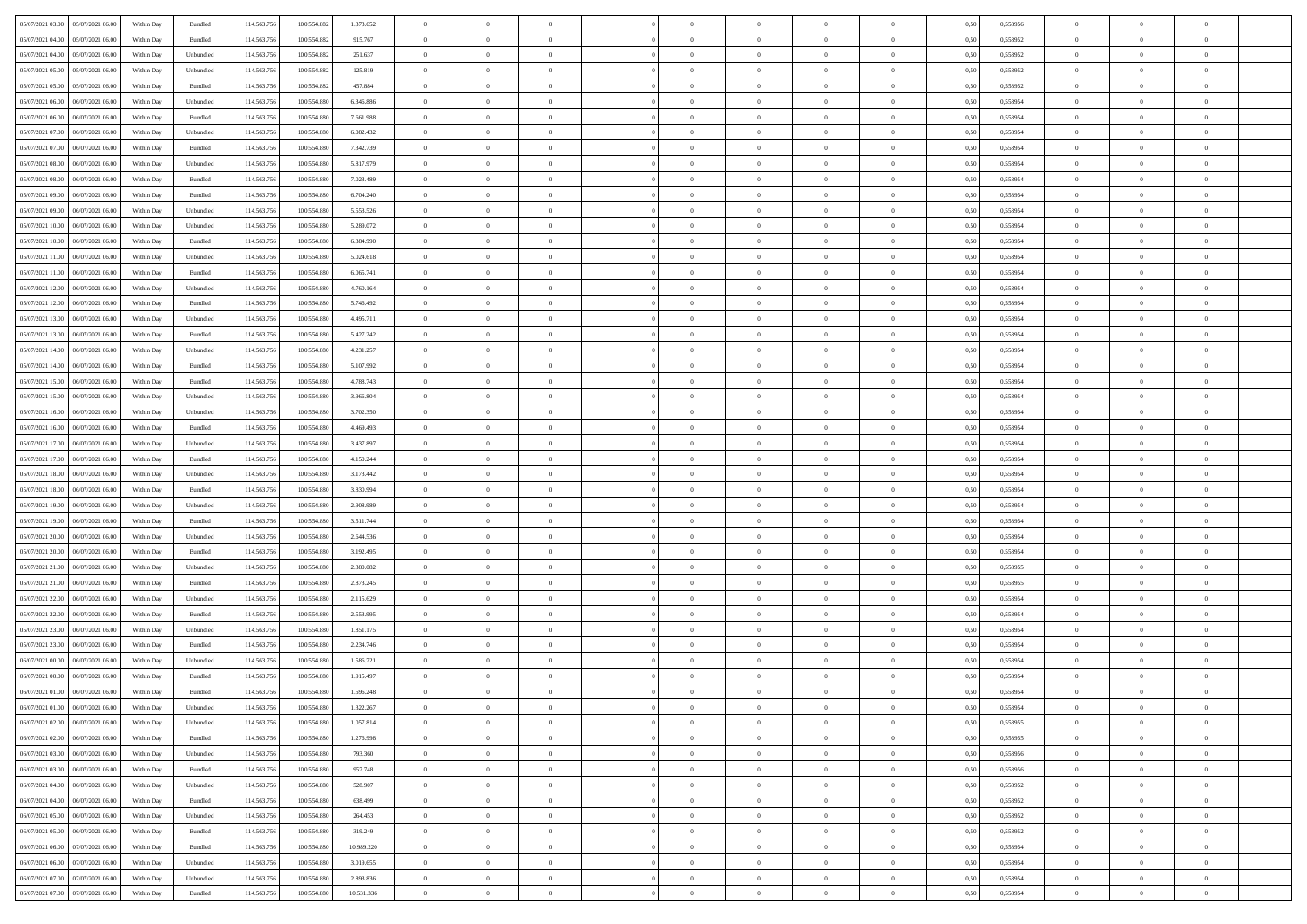| 05/07/2021 03:00<br>05/07/2021 06:00 | Within Day | Bundled           | 114.563.756 | 100.554.882 | 1.373.652  | $\overline{0}$ | $\overline{0}$ |                | $\theta$       | $\theta$       |                | $\overline{0}$ | 0,50 | 0,558956 | $\theta$       | $\theta$       | $\overline{0}$ |  |
|--------------------------------------|------------|-------------------|-------------|-------------|------------|----------------|----------------|----------------|----------------|----------------|----------------|----------------|------|----------|----------------|----------------|----------------|--|
|                                      |            |                   |             |             |            |                | $\overline{0}$ |                | $\,$ 0 $\,$    | $\bf{0}$       | $\overline{0}$ | $\bf{0}$       |      |          | $\,$ 0 $\,$    | $\theta$       | $\overline{0}$ |  |
| 05/07/2021 04:00<br>05/07/2021 06.0  | Within Day | Bundled           | 114.563.75  | 100.554.882 | 915.767    | $\overline{0}$ |                | $\overline{0}$ |                |                |                |                | 0,50 | 0,558952 |                |                |                |  |
| 05/07/2021 04:00<br>05/07/2021 06:00 | Within Day | Unbundled         | 114.563.756 | 100.554.882 | 251.637    | $\overline{0}$ | $\overline{0}$ | $\overline{0}$ | $\bf{0}$       | $\bf{0}$       | $\overline{0}$ | $\mathbf{0}$   | 0.50 | 0.558952 | $\bf{0}$       | $\overline{0}$ | $\overline{0}$ |  |
| 05/07/2021 05:00<br>05/07/2021 06:00 | Within Day | Unbundled         | 114.563.756 | 100.554.882 | 125.819    | $\overline{0}$ | $\overline{0}$ | $\overline{0}$ | $\overline{0}$ | $\overline{0}$ | $\overline{0}$ | $\bf{0}$       | 0,50 | 0,558952 | $\theta$       | $\theta$       | $\overline{0}$ |  |
| 05/07/2021 05:00<br>05/07/2021 06.0  | Within Day | Bundled           | 114.563.75  | 100.554.882 | 457.884    | $\bf{0}$       | $\overline{0}$ | $\bf{0}$       | $\overline{0}$ | $\overline{0}$ | $\overline{0}$ | $\bf{0}$       | 0,50 | 0,558952 | $\,$ 0 $\,$    | $\theta$       | $\overline{0}$ |  |
| 05/07/2021 06:00<br>06/07/2021 06:00 | Within Day | Unbundled         | 114.563.756 | 100,554,880 | 6,346,886  | $\overline{0}$ | $\overline{0}$ | $\overline{0}$ | $\overline{0}$ | $\bf{0}$       | $\overline{0}$ | $\mathbf{0}$   | 0.50 | 0.558954 | $\bf{0}$       | $\theta$       | $\overline{0}$ |  |
| 05/07/2021 06:00<br>06/07/2021 06:00 | Within Day | Bundled           | 114.563.756 | 100.554.880 | 7.661.988  | $\overline{0}$ | $\overline{0}$ | $\overline{0}$ | $\overline{0}$ | $\overline{0}$ | $\overline{0}$ | $\bf{0}$       | 0,50 | 0,558954 | $\theta$       | $\theta$       | $\overline{0}$ |  |
| 05/07/2021 07:00<br>06/07/2021 06.0  | Within Day | Unbundled         | 114.563.75  | 100.554.880 | 6.082.432  | $\bf{0}$       | $\overline{0}$ | $\overline{0}$ | $\bf{0}$       | $\bf{0}$       | $\overline{0}$ | $\bf{0}$       | 0,50 | 0,558954 | $\,$ 0 $\,$    | $\bf{0}$       | $\overline{0}$ |  |
| 05/07/2021 07:00<br>06/07/2021 06:00 | Within Day | Bundled           | 114,563,756 | 100,554,880 | 7.342.739  | $\overline{0}$ | $\overline{0}$ | $\overline{0}$ | $\overline{0}$ | $\overline{0}$ | $\overline{0}$ | $\mathbf{0}$   | 0.50 | 0.558954 | $\,$ 0 $\,$    | $\overline{0}$ | $\overline{0}$ |  |
|                                      |            |                   |             |             |            |                |                |                |                |                |                |                |      |          |                |                |                |  |
| 05/07/2021 08:00<br>06/07/2021 06:00 | Within Day | Unbundled         | 114.563.756 | 100.554.880 | 5.817.979  | $\overline{0}$ | $\overline{0}$ | $\overline{0}$ | $\bf{0}$       | $\overline{0}$ | $\overline{0}$ | $\bf{0}$       | 0,50 | 0,558954 | $\,$ 0 $\,$    | $\theta$       | $\overline{0}$ |  |
| 05/07/2021 08:00<br>06/07/2021 06.0  | Within Day | Bundled           | 114.563.75  | 100.554.880 | 7.023.489  | $\overline{0}$ | $\overline{0}$ | $\overline{0}$ | $\bf{0}$       | $\bf{0}$       | $\overline{0}$ | $\bf{0}$       | 0,50 | 0,558954 | $\,$ 0 $\,$    | $\bf{0}$       | $\overline{0}$ |  |
| 05/07/2021 09:00<br>06/07/2021 06:00 | Within Day | Bundled           | 114.563.756 | 100,554,880 | 6.704.240  | $\overline{0}$ | $\overline{0}$ | $\overline{0}$ | $\bf{0}$       | $\bf{0}$       | $\overline{0}$ | $\,$ 0 $\,$    | 0.50 | 0.558954 | $\bf{0}$       | $\overline{0}$ | $\bf{0}$       |  |
| 05/07/2021 09:00<br>06/07/2021 06:00 | Within Day | Unbundled         | 114.563.756 | 100.554.880 | 5.553.526  | $\overline{0}$ | $\overline{0}$ | $\overline{0}$ | $\overline{0}$ | $\overline{0}$ | $\overline{0}$ | $\bf{0}$       | 0,50 | 0,558954 | $\theta$       | $\theta$       | $\overline{0}$ |  |
| 05/07/2021 10:00<br>06/07/2021 06.0  | Within Day | Unbundled         | 114.563.75  | 100.554.880 | 5.289.072  | $\overline{0}$ | $\overline{0}$ | $\bf{0}$       | $\bf{0}$       | $\bf{0}$       | $\overline{0}$ | $\bf{0}$       | 0,50 | 0,558954 | $\,$ 0 $\,$    | $\bf{0}$       | $\overline{0}$ |  |
| 05/07/2021 10:00<br>06/07/2021 06:00 | Within Day | Bundled           | 114.563.756 | 100,554,880 | 6.384.990  | $\overline{0}$ | $\overline{0}$ | $\overline{0}$ | $\overline{0}$ | $\overline{0}$ | $\overline{0}$ | $\mathbf{0}$   | 0.50 | 0.558954 | $\bf{0}$       | $\theta$       | $\overline{0}$ |  |
| 05/07/2021 11:00<br>06/07/2021 06:00 | Within Day | Unbundled         | 114.563.756 | 100.554.880 | 5.024.618  | $\overline{0}$ | $\overline{0}$ | $\overline{0}$ | $\overline{0}$ | $\overline{0}$ | $\overline{0}$ | $\bf{0}$       | 0,50 | 0,558954 | $\theta$       | $\theta$       | $\overline{0}$ |  |
| 05/07/2021 11:00<br>06/07/2021 06.0  | Within Day | Bundled           | 114.563.75  | 100.554.880 | 6.065.741  | $\overline{0}$ | $\overline{0}$ | $\overline{0}$ | $\bf{0}$       | $\overline{0}$ | $\overline{0}$ | $\bf{0}$       | 0,50 | 0,558954 | $\,$ 0 $\,$    | $\bf{0}$       | $\overline{0}$ |  |
| 05/07/2021 12:00<br>06/07/2021 06:00 | Within Day | Unbundled         | 114,563,75  | 100,554,880 | 4.760.164  | $\overline{0}$ | $\overline{0}$ | $\overline{0}$ | $\overline{0}$ | $\bf{0}$       | $\overline{0}$ | $\mathbf{0}$   | 0.50 | 0.558954 | $\,$ 0 $\,$    | $\overline{0}$ | $\bf{0}$       |  |
|                                      |            |                   |             |             |            |                |                |                |                |                |                |                |      |          |                |                |                |  |
| 05/07/2021 12:00<br>06/07/2021 06:00 | Within Day | Bundled           | 114.563.756 | 100.554.880 | 5.746.492  | $\overline{0}$ | $\overline{0}$ | $\overline{0}$ | $\overline{0}$ | $\overline{0}$ | $\overline{0}$ | $\bf{0}$       | 0,50 | 0,558954 | $\,$ 0 $\,$    | $\theta$       | $\overline{0}$ |  |
| 05/07/2021 13:00<br>06/07/2021 06.0  | Within Day | Unbundled         | 114.563.75  | 100.554.880 | 4.495.711  | $\overline{0}$ | $\overline{0}$ | $\overline{0}$ | $\bf{0}$       | $\bf{0}$       | $\overline{0}$ | $\bf{0}$       | 0,50 | 0,558954 | $\,$ 0 $\,$    | $\bf{0}$       | $\overline{0}$ |  |
| 05/07/2021 13:00<br>06/07/2021 06:00 | Within Day | Bundled           | 114.563.756 | 100,554,880 | 5.427.242  | $\overline{0}$ | $\overline{0}$ | $\overline{0}$ | $\bf{0}$       | $\bf{0}$       | $\overline{0}$ | $\,$ 0 $\,$    | 0.50 | 0.558954 | $\bf{0}$       | $\overline{0}$ | $\,$ 0         |  |
| 05/07/2021 14:00<br>06/07/2021 06:00 | Within Day | Unbundled         | 114.563.756 | 100.554.880 | 4.231.257  | $\overline{0}$ | $\overline{0}$ | $\overline{0}$ | $\overline{0}$ | $\overline{0}$ | $\overline{0}$ | $\,$ 0 $\,$    | 0,50 | 0,558954 | $\theta$       | $\theta$       | $\overline{0}$ |  |
| 05/07/2021 14:00<br>06/07/2021 06.0  | Within Day | Bundled           | 114.563.75  | 100.554.880 | 5.107.992  | $\overline{0}$ | $\overline{0}$ | $\overline{0}$ | $\bf{0}$       | $\bf{0}$       | $\overline{0}$ | $\bf{0}$       | 0,50 | 0,558954 | $\,$ 0 $\,$    | $\bf{0}$       | $\overline{0}$ |  |
| 05/07/2021 15:00<br>06/07/2021 06:00 | Within Day | Bundled           | 114,563,75  | 100,554,880 | 4.788.743  | $\overline{0}$ | $\overline{0}$ | $\overline{0}$ | $\overline{0}$ | $\bf{0}$       | $\overline{0}$ | $\mathbf{0}$   | 0.50 | 0.558954 | $\bf{0}$       | $\theta$       | $\overline{0}$ |  |
| 05/07/2021 15:00<br>06/07/2021 06:00 | Within Day | Unbundled         | 114.563.756 | 100.554.880 | 3.966.804  | $\overline{0}$ | $\overline{0}$ | $\overline{0}$ | $\overline{0}$ | $\overline{0}$ | $\overline{0}$ | $\bf{0}$       | 0,50 | 0,558954 | $\theta$       | $\theta$       | $\overline{0}$ |  |
| 05/07/2021 16:00<br>06/07/2021 06.0  | Within Day | Unbundled         | 114.563.75  | 100.554.880 | 3.702.350  | $\overline{0}$ | $\overline{0}$ | $\overline{0}$ | $\overline{0}$ | $\overline{0}$ | $\overline{0}$ | $\bf{0}$       | 0,50 | 0,558954 | $\,$ 0 $\,$    | $\bf{0}$       | $\overline{0}$ |  |
| 05/07/2021 16:00<br>06/07/2021 06:00 |            | Bundled           | 114,563,756 | 100,554,880 | 4.469.493  |                |                | $\overline{0}$ |                | $\bf{0}$       | $\overline{0}$ |                | 0.50 | 0.558954 | $\,$ 0 $\,$    | $\overline{0}$ | $\overline{0}$ |  |
|                                      | Within Day |                   |             |             |            | $\overline{0}$ | $\overline{0}$ |                | $\overline{0}$ |                |                | $\mathbf{0}$   |      |          |                |                |                |  |
| 05/07/2021 17:00<br>06/07/2021 06:00 | Within Day | Unbundled         | 114.563.756 | 100.554.880 | 3.437.897  | $\overline{0}$ | $\overline{0}$ | $\overline{0}$ | $\overline{0}$ | $\overline{0}$ | $\overline{0}$ | $\bf{0}$       | 0,50 | 0,558954 | $\theta$       | $\theta$       | $\overline{0}$ |  |
| 05/07/2021 17:00<br>06/07/2021 06.0  | Within Day | Bundled           | 114.563.75  | 100.554.880 | 4.150.244  | $\overline{0}$ | $\overline{0}$ | $\overline{0}$ | $\,$ 0 $\,$    | $\bf{0}$       | $\overline{0}$ | $\bf{0}$       | 0,50 | 0,558954 | $\,$ 0 $\,$    | $\bf{0}$       | $\overline{0}$ |  |
| 05/07/2021 18:00<br>06/07/2021 06:00 | Within Day | Unbundled         | 114,563,756 | 100,554,880 | 3.173.442  | $\overline{0}$ | $\overline{0}$ | $\overline{0}$ | $\bf{0}$       | $\bf{0}$       | $\overline{0}$ | $\,$ 0 $\,$    | 0.50 | 0.558954 | $\bf{0}$       | $\overline{0}$ | $\bf{0}$       |  |
| 05/07/2021 18:00<br>06/07/2021 06:00 | Within Day | Bundled           | 114.563.756 | 100,554,880 | 3.830.994  | $\overline{0}$ | $\overline{0}$ | $\overline{0}$ | $\overline{0}$ | $\overline{0}$ | $\overline{0}$ | $\overline{0}$ | 0.50 | 0.558954 | $\theta$       | $\theta$       | $\overline{0}$ |  |
| 05/07/2021 19:00<br>06/07/2021 06.0  | Within Day | Unbundled         | 114.563.75  | 100.554.880 | 2.908.989  | $\overline{0}$ | $\overline{0}$ | $\overline{0}$ | $\bf{0}$       | $\overline{0}$ | $\overline{0}$ | $\bf{0}$       | 0,50 | 0,558954 | $\,$ 0 $\,$    | $\bf{0}$       | $\overline{0}$ |  |
| 05/07/2021 19:00<br>06/07/2021 06:00 | Within Day | Bundled           | 114.563.756 | 100,554,880 | 3.511.744  | $\overline{0}$ | $\overline{0}$ | $\overline{0}$ | $\overline{0}$ | $\overline{0}$ | $\overline{0}$ | $\mathbf{0}$   | 0.50 | 0.558954 | $\,$ 0 $\,$    | $\theta$       | $\overline{0}$ |  |
| 05/07/2021 20:00<br>06/07/2021 06:00 | Within Day | Unbundled         | 114.563.756 | 100.554.880 | 2.644.536  | $\overline{0}$ | $\overline{0}$ | $\overline{0}$ | $\overline{0}$ | $\overline{0}$ | $\overline{0}$ | $\overline{0}$ | 0.50 | 0,558954 | $\theta$       | $\theta$       | $\overline{0}$ |  |
| 05/07/2021 20.00<br>06/07/2021 06.0  | Within Day | Bundled           | 114.563.75  | 100.554.880 | 3.192.495  | $\overline{0}$ | $\overline{0}$ | $\overline{0}$ | $\bf{0}$       | $\overline{0}$ | $\overline{0}$ | $\bf{0}$       | 0,50 | 0,558954 | $\,$ 0 $\,$    | $\bf{0}$       | $\overline{0}$ |  |
| 05/07/2021 21:00<br>06/07/2021 06:00 | Within Day | Unbundled         | 114,563,75  | 100,554,880 | 2,380,082  | $\overline{0}$ | $\overline{0}$ | $\overline{0}$ | $\overline{0}$ | $\bf{0}$       | $\overline{0}$ | $\mathbf{0}$   | 0.50 | 0.558955 | $\,$ 0 $\,$    | $\overline{0}$ | $\overline{0}$ |  |
| 05/07/2021 21:00<br>06/07/2021 06:00 | Within Day | Bundled           | 114.563.756 | 100.554.880 | 2.873.245  | $\overline{0}$ | $\overline{0}$ | $\overline{0}$ | $\overline{0}$ | $\overline{0}$ | $\overline{0}$ | $\overline{0}$ | 0.50 | 0,558955 | $\theta$       | $\theta$       | $\overline{0}$ |  |
|                                      |            |                   |             |             |            |                |                |                |                |                |                |                |      |          |                |                |                |  |
| 05/07/2021 22.00<br>06/07/2021 06.0  | Within Day | Unbundled         | 114.563.75  | 100.554.880 | 2.115.629  | $\overline{0}$ | $\overline{0}$ | $\overline{0}$ | $\overline{0}$ | $\bf{0}$       | $\overline{0}$ | $\bf{0}$       | 0,50 | 0,558954 | $\,$ 0 $\,$    | $\bf{0}$       | $\overline{0}$ |  |
| 05/07/2021 22.00<br>06/07/2021 06:00 | Within Day | Bundled           | 114.563.756 | 100.554.880 | 2.553.995  | $\overline{0}$ | $\overline{0}$ | $\overline{0}$ | $\bf{0}$       | $\bf{0}$       | $\overline{0}$ | $\,$ 0 $\,$    | 0.50 | 0.558954 | $\bf{0}$       | $\overline{0}$ | $\bf{0}$       |  |
| 05/07/2021 23:00<br>06/07/2021 06:00 | Within Day | Unbundled         | 114.563.756 | 100.554.880 | 1.851.175  | $\overline{0}$ | $\overline{0}$ | $\overline{0}$ | $\overline{0}$ | $\overline{0}$ | $\overline{0}$ | $\overline{0}$ | 0.50 | 0,558954 | $\theta$       | $\theta$       | $\overline{0}$ |  |
| 05/07/2021 23.00<br>06/07/2021 06.0  | Within Day | Bundled           | 114.563.75  | 100.554.880 | 2.234.746  | $\overline{0}$ | $\overline{0}$ | $\overline{0}$ | $\bf{0}$       | $\bf{0}$       | $\overline{0}$ | $\bf{0}$       | 0,50 | 0,558954 | $\,$ 0 $\,$    | $\bf{0}$       | $\overline{0}$ |  |
| 06/07/2021 00:00<br>06/07/2021 06:00 | Within Day | Unbundled         | 114.563.756 | 100,554,880 | 1.586.721  | $\overline{0}$ | $\overline{0}$ | $\overline{0}$ | $\overline{0}$ | $\bf{0}$       | $\overline{0}$ | $\mathbf{0}$   | 0.50 | 0.558954 | $\,$ 0 $\,$    | $\theta$       | $\overline{0}$ |  |
| 06/07/2021 00:00<br>06/07/2021 06:00 | Within Day | Bundled           | 114.563.756 | 100.554.880 | 1.915.497  | $\overline{0}$ | $\overline{0}$ | $\overline{0}$ | $\overline{0}$ | $\overline{0}$ | $\Omega$       | $\overline{0}$ | 0.50 | 0,558954 | $\theta$       | $\theta$       | $\overline{0}$ |  |
| 06/07/2021 01:00<br>06/07/2021 06.00 | Within Day | Bundled           | 114.563.756 | 100.554.880 | 1.596.248  | $\overline{0}$ | $\overline{0}$ | $\bf{0}$       | $\overline{0}$ | $\bf{0}$       | $\overline{0}$ | $\bf{0}$       | 0,50 | 0,558954 | $\overline{0}$ | $\bf{0}$       | $\overline{0}$ |  |
|                                      | Within Day | ${\sf Unbundred}$ | 114.563.756 | 100.554.880 | 1.322.267  | $\bf{0}$       | $\,0\,$        |                | $\bf{0}$       |                |                |                | 0,50 | 0.558954 | $\theta$       | $\overline{0}$ |                |  |
|                                      | Within Day | Unbundled         | 114.563.756 | 100.554.880 | 1.057.814  | $\overline{0}$ | $\overline{0}$ | $\overline{0}$ | $\overline{0}$ | $\overline{0}$ | $\overline{0}$ | $\overline{0}$ | 0,50 | 0,558955 | $\theta$       | $\theta$       | $\overline{0}$ |  |
|                                      |            |                   |             |             |            |                |                |                |                |                |                |                |      |          |                |                |                |  |
| 06/07/2021 02:00<br>06/07/2021 06.00 | Within Day | Bundled           | 114.563.756 | 100.554.880 | 1.276.998  | $\overline{0}$ | $\overline{0}$ | $\overline{0}$ | $\bf{0}$       | $\overline{0}$ | $\overline{0}$ | $\bf{0}$       | 0,50 | 0,558955 | $\overline{0}$ | $\overline{0}$ | $\bf{0}$       |  |
| 06/07/2021 03:00<br>06/07/2021 06:00 | Within Day | Unbundled         | 114.563.756 | 100.554.880 | 793.360    | $\overline{0}$ | $\overline{0}$ | $\overline{0}$ | $\,$ 0 $\,$    | $\bf{0}$       | $\overline{0}$ | $\mathbf{0}$   | 0.50 | 0.558956 | $\overline{0}$ | $\overline{0}$ | $\bf{0}$       |  |
| 06/07/2021 03:00<br>06/07/2021 06:00 | Within Dav | Bundled           | 114.563.756 | 100.554.880 | 957.748    | $\overline{0}$ | $\overline{0}$ | $\overline{0}$ | $\overline{0}$ | $\overline{0}$ | $\overline{0}$ | $\mathbf{0}$   | 0,50 | 0,558956 | $\overline{0}$ | $\theta$       | $\overline{0}$ |  |
| 06/07/2021 04:00<br>06/07/2021 06:00 | Within Day | Unbundled         | 114.563.756 | 100.554.880 | 528.907    | $\overline{0}$ | $\overline{0}$ | $\overline{0}$ | $\bf{0}$       | $\bf{0}$       | $\overline{0}$ | $\mathbf{0}$   | 0,50 | 0,558952 | $\overline{0}$ | $\overline{0}$ | $\overline{0}$ |  |
| 06/07/2021 04:00<br>06/07/2021 06:00 | Within Day | Bundled           | 114.563.756 | 100.554.880 | 638.499    | $\overline{0}$ | $\overline{0}$ | $\overline{0}$ | $\bf{0}$       | $\overline{0}$ | $\overline{0}$ | $\mathbf{0}$   | 0.50 | 0.558952 | $\,$ 0 $\,$    | $\overline{0}$ | $\overline{0}$ |  |
| 06/07/2021 05:00<br>06/07/2021 06:00 | Within Dav | Unbundled         | 114.563.756 | 100.554.880 | 264.453    | $\overline{0}$ | $\overline{0}$ | $\overline{0}$ | $\overline{0}$ | $\overline{0}$ | $\overline{0}$ | $\mathbf{0}$   | 0,50 | 0,558952 | $\overline{0}$ | $\theta$       | $\overline{0}$ |  |
| 06/07/2021 05:00<br>06/07/2021 06:00 | Within Day | Bundled           | 114.563.75  | 100.554.880 | 319.249    | $\overline{0}$ | $\overline{0}$ | $\overline{0}$ | $\bf{0}$       | $\bf{0}$       | $\overline{0}$ | $\,$ 0 $\,$    | 0,50 | 0,558952 | $\bf{0}$       | $\overline{0}$ | $\,$ 0         |  |
| 06/07/2021 06:00<br>07/07/2021 06:00 | Within Day | Bundled           | 114.563.756 | 100.554.880 | 10.989.220 | $\overline{0}$ | $\overline{0}$ | $\overline{0}$ | $\overline{0}$ | $\overline{0}$ | $\overline{0}$ | $\,$ 0 $\,$    | 0.50 | 0.558954 | $\overline{0}$ | $\bf{0}$       | $\,$ 0         |  |
| 06/07/2021 06:00<br>07/07/2021 06:00 | Within Dav | Unbundled         | 114.563.756 | 100.554.880 | 3.019.655  | $\overline{0}$ | $\overline{0}$ | $\overline{0}$ | $\overline{0}$ | $\overline{0}$ | $\overline{0}$ | $\mathbf{0}$   | 0,50 | 0,558954 | $\overline{0}$ | $\theta$       | $\overline{0}$ |  |
|                                      |            |                   |             |             |            |                |                |                |                |                |                |                |      |          |                |                |                |  |
| 06/07/2021 07:00<br>07/07/2021 06.0  | Within Day | Unbundled         | 114.563.756 | 100.554.880 | 2.893.836  | $\overline{0}$ | $\overline{0}$ | $\overline{0}$ | $\bf{0}$       | $\bf{0}$       | $\overline{0}$ | $\,$ 0 $\,$    | 0,50 | 0,558954 | $\bf{0}$       | $\bf{0}$       | $\bf{0}$       |  |
| 06/07/2021 07:00 07/07/2021 06:00    | Within Day | Bundled           | 114.563.756 | 100.554.880 | 10.531.336 | $\overline{0}$ | $\overline{0}$ | $\overline{0}$ | $\bf{0}$       | $\,$ 0         | $\overline{0}$ | $\,0\,$        | 0,50 | 0,558954 | $\overline{0}$ | $\,$ 0 $\,$    | $\,$ 0 $\,$    |  |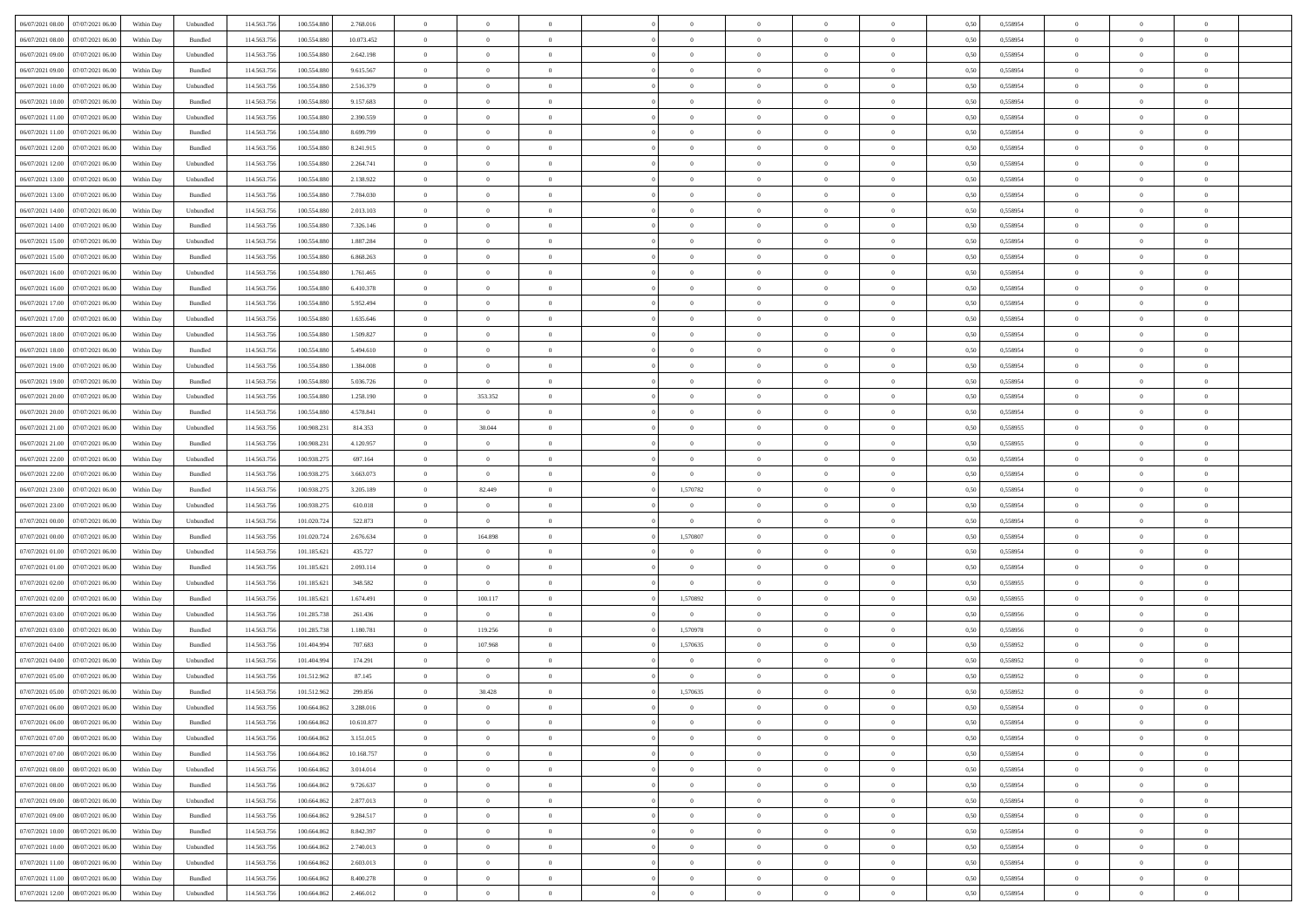| 06/07/2021 08:00 07/07/2021 06:00            | Within Day | Unbundled                   | 114.563.756 | 100.554.880 | 2.768.016  | $\overline{0}$ | $\overline{0}$ |                | $\overline{0}$ | $\theta$       |                | $\theta$       | 0,50 | 0,558954 | $\theta$       | $\theta$       | $\overline{0}$ |  |
|----------------------------------------------|------------|-----------------------------|-------------|-------------|------------|----------------|----------------|----------------|----------------|----------------|----------------|----------------|------|----------|----------------|----------------|----------------|--|
| 06/07/2021 08:00<br>07/07/2021 06:00         | Within Day | Bundled                     | 114.563.75  | 100.554.88  | 10.073.452 | $\bf{0}$       | $\bf{0}$       | $\bf{0}$       | $\overline{0}$ | $\overline{0}$ | $\overline{0}$ | $\bf{0}$       | 0,50 | 0,558954 | $\,$ 0 $\,$    | $\bf{0}$       | $\overline{0}$ |  |
| 06/07/2021 09:00<br>07/07/2021 06:00         | Within Day | Unbundled                   | 114,563,75  | 100.554.880 | 2.642.198  | $\overline{0}$ | $\bf{0}$       | $\overline{0}$ | $\bf{0}$       | $\bf{0}$       | $\overline{0}$ | $\bf{0}$       | 0.50 | 0.558954 | $\bf{0}$       | $\overline{0}$ | $\overline{0}$ |  |
| 06/07/2021 09:00<br>07/07/2021 06:00         | Within Day | Bundled                     | 114.563.75  | 100.554.880 | 9.615.567  | $\overline{0}$ | $\overline{0}$ | $\overline{0}$ | $\theta$       | $\theta$       | $\overline{0}$ | $\bf{0}$       | 0,50 | 0,558954 | $\theta$       | $\theta$       | $\overline{0}$ |  |
|                                              |            |                             |             |             |            |                |                |                |                |                |                |                |      |          |                |                |                |  |
| 06/07/2021 10:00<br>07/07/2021 06.00         | Within Day | Unbundled                   | 114.563.75  | 100.554.88  | 2.516.379  | $\bf{0}$       | $\overline{0}$ | $\bf{0}$       | $\overline{0}$ | $\theta$       | $\overline{0}$ | $\bf{0}$       | 0,50 | 0,558954 | $\,$ 0 $\,$    | $\bf{0}$       | $\overline{0}$ |  |
| 06/07/2021 10:00<br>07/07/2021 06:00         | Within Day | Bundled                     | 114,563,75  | 100.554.88  | 9.157.683  | $\overline{0}$ | $\overline{0}$ | $\overline{0}$ | $\bf{0}$       | $\overline{0}$ | $\theta$       | $\bf{0}$       | 0.50 | 0.558954 | $\,$ 0 $\,$    | $\theta$       | $\overline{0}$ |  |
| 06/07/2021 11:00<br>07/07/2021 06:00         | Within Day | Unbundled                   | 114.563.75  | 100.554.880 | 2.390.559  | $\overline{0}$ | $\overline{0}$ | $\overline{0}$ | $\overline{0}$ | $\overline{0}$ | $\overline{0}$ | $\bf{0}$       | 0,50 | 0,558954 | $\theta$       | $\theta$       | $\overline{0}$ |  |
| 06/07/2021 11:00<br>07/07/2021 06.00         | Within Day | Bundled                     | 114.563.75  | 100.554.88  | 8.699.799  | $\bf{0}$       | $\overline{0}$ | $\bf{0}$       | $\overline{0}$ | $\overline{0}$ | $\overline{0}$ | $\bf{0}$       | 0,50 | 0,558954 | $\,$ 0 $\,$    | $\bf{0}$       | $\overline{0}$ |  |
| 06/07/2021 12:00<br>07/07/2021 06:00         | Within Day | Bundled                     | 114,563,75  | 100.554.880 | 8.241.915  | $\overline{0}$ | $\bf{0}$       | $\overline{0}$ | $\bf{0}$       | $\overline{0}$ | $\overline{0}$ | $\bf{0}$       | 0.50 | 0.558954 | $\bf{0}$       | $\overline{0}$ | $\overline{0}$ |  |
| 06/07/2021 12:00<br>07/07/2021 06:00         | Within Day | Unbundled                   | 114.563.75  | 100.554.880 | 2.264.741  | $\bf{0}$       | $\bf{0}$       | $\overline{0}$ | $\overline{0}$ | $\overline{0}$ | $\overline{0}$ | $\bf{0}$       | 0,50 | 0,558954 | $\,$ 0 $\,$    | $\bf{0}$       | $\overline{0}$ |  |
|                                              |            |                             |             |             |            |                |                |                |                |                |                |                |      |          |                |                |                |  |
| 06/07/2021 13:00<br>07/07/2021 06.00         | Within Day | Unbundled                   | 114.563.75  | 100.554.880 | 2.138.922  | $\bf{0}$       | $\overline{0}$ | $\bf{0}$       | $\bf{0}$       | $\bf{0}$       | $\overline{0}$ | $\bf{0}$       | 0,50 | 0,558954 | $\,$ 0 $\,$    | $\bf{0}$       | $\overline{0}$ |  |
| 06/07/2021 13:00<br>07/07/2021 06:00         | Within Day | Bundled                     | 114,563,75  | 100,554,880 | 7.784.030  | $\overline{0}$ | $\bf{0}$       | $\overline{0}$ | $\overline{0}$ | $\bf{0}$       | $\overline{0}$ | $\bf{0}$       | 0.50 | 0.558954 | $\bf{0}$       | $\overline{0}$ | $\,$ 0         |  |
| 06/07/2021 14:00<br>07/07/2021 06:00         | Within Day | Unbundled                   | 114.563.75  | 100.554.880 | 2.013.103  | $\overline{0}$ | $\overline{0}$ | $\overline{0}$ | $\theta$       | $\theta$       | $\overline{0}$ | $\bf{0}$       | 0,50 | 0,558954 | $\theta$       | $\theta$       | $\overline{0}$ |  |
| 06/07/2021 14:00<br>07/07/2021 06.00         | Within Day | Bundled                     | 114.563.75  | 100.554.88  | 7.326.146  | $\bf{0}$       | $\overline{0}$ | $\bf{0}$       | $\overline{0}$ | $\bf{0}$       | $\overline{0}$ | $\bf{0}$       | 0,50 | 0,558954 | $\bf{0}$       | $\bf{0}$       | $\overline{0}$ |  |
| 06/07/2021 15:00<br>07/07/2021 06:00         | Within Day | Unbundled                   | 114,563,75  | 100.554.880 | 1.887.284  | $\overline{0}$ | $\bf{0}$       | $\overline{0}$ | $\bf{0}$       | $\overline{0}$ | $\theta$       | $\bf{0}$       | 0.50 | 0.558954 | $\theta$       | $\theta$       | $\overline{0}$ |  |
| 06/07/2021 15:00<br>07/07/2021 06:00         | Within Day | Bundled                     | 114.563.75  | 100.554.880 | 6.868.263  | $\overline{0}$ | $\overline{0}$ | $\overline{0}$ | $\overline{0}$ | $\overline{0}$ | $\overline{0}$ | $\bf{0}$       | 0,50 | 0,558954 | $\theta$       | $\theta$       | $\overline{0}$ |  |
|                                              |            |                             |             |             |            |                |                |                |                |                |                |                |      |          |                |                |                |  |
| 06/07/2021 16:00<br>07/07/2021 06.00         | Within Day | Unbundled                   | 114.563.75  | 100.554.880 | 1.761.465  | $\bf{0}$       | $\bf{0}$       | $\bf{0}$       | $\overline{0}$ | $\bf{0}$       | $\overline{0}$ | $\bf{0}$       | 0,50 | 0,558954 | $\,$ 0 $\,$    | $\bf{0}$       | $\overline{0}$ |  |
| 06/07/2021 16:00<br>07/07/2021 06:00         | Within Day | Bundled                     | 114,563,75  | 100.554.880 | 6.410.378  | $\overline{0}$ | $\bf{0}$       | $\overline{0}$ | $\bf{0}$       | $\overline{0}$ | $\overline{0}$ | $\bf{0}$       | 0.50 | 0.558954 | $\bf{0}$       | $\overline{0}$ | $\overline{0}$ |  |
| 06/07/2021 17:00<br>07/07/2021 06:00         | Within Day | Bundled                     | 114.563.75  | 100.554.880 | 5.952.494  | $\overline{0}$ | $\bf{0}$       | $\overline{0}$ | $\overline{0}$ | $\overline{0}$ | $\overline{0}$ | $\bf{0}$       | 0,50 | 0,558954 | $\,$ 0 $\,$    | $\bf{0}$       | $\overline{0}$ |  |
| 06/07/2021 17:00<br>07/07/2021 06.00         | Within Day | Unbundled                   | 114.563.75  | 100.554.880 | 1.635.646  | $\bf{0}$       | $\bf{0}$       | $\bf{0}$       | $\bf{0}$       | $\overline{0}$ | $\overline{0}$ | $\bf{0}$       | 0,50 | 0,558954 | $\,$ 0 $\,$    | $\bf{0}$       | $\overline{0}$ |  |
| 06/07/2021 18:00<br>07/07/2021 06:00         | Within Day | Unbundled                   | 114,563,75  | 100,554,880 | 1.509.827  | $\overline{0}$ | $\bf{0}$       | $\overline{0}$ | $\overline{0}$ | $\bf{0}$       | $\overline{0}$ | $\bf{0}$       | 0.50 | 0.558954 | $\bf{0}$       | $\overline{0}$ | $\,$ 0         |  |
| 06/07/2021 18:00<br>07/07/2021 06:00         | Within Day | Bundled                     | 114.563.75  | 100.554.880 | 5.494.610  | $\overline{0}$ | $\overline{0}$ | $\overline{0}$ | $\theta$       | $\theta$       | $\overline{0}$ | $\bf{0}$       | 0,50 | 0,558954 | $\theta$       | $\theta$       | $\overline{0}$ |  |
|                                              |            |                             |             |             |            |                |                |                |                |                |                |                |      |          |                |                |                |  |
| 06/07/2021 19:00<br>07/07/2021 06.00         | Within Day | Unbundled                   | 114.563.75  | 100.554.880 | 1.384.008  | $\bf{0}$       | $\overline{0}$ | $\bf{0}$       | $\bf{0}$       | $\overline{0}$ | $\overline{0}$ | $\bf{0}$       | 0,50 | 0,558954 | $\,$ 0 $\,$    | $\bf{0}$       | $\overline{0}$ |  |
| 06/07/2021 19:00<br>07/07/2021 06:00         | Within Day | Bundled                     | 114,563,75  | 100.554.880 | 5.036.726  | $\overline{0}$ | $\overline{0}$ | $\overline{0}$ | $\bf{0}$       | $\overline{0}$ | $\theta$       | $\bf{0}$       | 0.50 | 0.558954 | $\,$ 0 $\,$    | $\theta$       | $\overline{0}$ |  |
| 06/07/2021 20:00<br>07/07/2021 06:00         | Within Day | Unbundled                   | 114.563.75  | 100.554.880 | 1.258.190  | $\overline{0}$ | 353.352        | $\overline{0}$ | $\overline{0}$ | $\overline{0}$ | $\overline{0}$ | $\bf{0}$       | 0,50 | 0,558954 | $\theta$       | $\theta$       | $\overline{0}$ |  |
| 06/07/2021 20:00<br>07/07/2021 06.00         | Within Day | Bundled                     | 114.563.75  | 100.554.88  | 4.578.841  | $\bf{0}$       | $\bf{0}$       | $\bf{0}$       | $\overline{0}$ | $\bf{0}$       | $\overline{0}$ | $\bf{0}$       | 0,50 | 0,558954 | $\,$ 0 $\,$    | $\bf{0}$       | $\overline{0}$ |  |
| 06/07/2021 21:00<br>07/07/2021 06:00         | Within Day | Unbundled                   | 114.563.75  | 100.908.23  | 814.353    | $\overline{0}$ | 30,044         | $\overline{0}$ | $\bf{0}$       | $\overline{0}$ | $\overline{0}$ | $\bf{0}$       | 0.50 | 0.558955 | $\bf{0}$       | $\overline{0}$ | $\overline{0}$ |  |
| 06/07/2021 21:00<br>07/07/2021 06:00         | Within Day | Bundled                     | 114.563.75  | 100.908.231 | 4.120.957  | $\overline{0}$ | $\overline{0}$ | $\overline{0}$ | $\overline{0}$ | $\overline{0}$ | $\overline{0}$ | $\bf{0}$       | 0,50 | 0,558955 | $\theta$       | $\theta$       | $\overline{0}$ |  |
| 06/07/2021 22:00<br>07/07/2021 06.00         | Within Day | Unbundled                   | 114.563.75  | 100.938.275 | 697.164    | $\bf{0}$       | $\bf{0}$       | $\bf{0}$       | $\bf{0}$       | $\overline{0}$ | $\overline{0}$ | $\bf{0}$       | 0,50 | 0,558954 | $\,$ 0 $\,$    | $\bf{0}$       | $\overline{0}$ |  |
|                                              |            |                             |             |             |            |                |                |                |                |                |                |                |      |          |                |                |                |  |
| 06/07/2021 22:00<br>07/07/2021 06:00         | Within Day | Bundled                     | 114.563.75  | 100.938.275 | 3.663.073  | $\overline{0}$ | $\overline{0}$ | $\overline{0}$ | $\overline{0}$ | $\bf{0}$       | $\overline{0}$ | $\bf{0}$       | 0.50 | 0.558954 | $\bf{0}$       | $\overline{0}$ | $\,$ 0         |  |
| 06/07/2021 23:00<br>07/07/2021 06:00         | Within Day | Bundled                     | 114.563.75  | 100.938.27  | 3.205.189  | $\overline{0}$ | 82.449         | $\overline{0}$ | 1,570782       | $\overline{0}$ | $\overline{0}$ | $\bf{0}$       | 0.50 | 0.558954 | $\theta$       | $\theta$       | $\overline{0}$ |  |
| 06/07/2021 23:00<br>07/07/2021 06.00         | Within Day | Unbundled                   | 114.563.75  | 100.938.27  | 610.018    | $\bf{0}$       | $\overline{0}$ | $\bf{0}$       | $\overline{0}$ | $\overline{0}$ | $\overline{0}$ | $\bf{0}$       | 0,50 | 0,558954 | $\,$ 0 $\,$    | $\bf{0}$       | $\overline{0}$ |  |
| 07/07/2021 00:00<br>07/07/2021 06:00         | Within Day | Unbundled                   | 114,563,75  | 101.020.72  | 522.873    | $\overline{0}$ | $\overline{0}$ | $\overline{0}$ | $\overline{0}$ | $\overline{0}$ | $\Omega$       | $\bf{0}$       | 0.50 | 0.558954 | $\,$ 0 $\,$    | $\bf{0}$       | $\overline{0}$ |  |
| 07/07/2021 00:00<br>07/07/2021 06:00         | Within Dav | Bundled                     | 114.563.75  | 101.020.724 | 2.676.634  | $\overline{0}$ | 164.898        | $\overline{0}$ | 1,570807       | $\overline{0}$ | $\overline{0}$ | $\bf{0}$       | 0.50 | 0,558954 | $\theta$       | $\theta$       | $\overline{0}$ |  |
| 07/07/2021 01:00<br>07/07/2021 06.00         | Within Day | Unbundled                   | 114.563.75  | 101.185.62  | 435.727    | $\bf{0}$       | $\theta$       | $\bf{0}$       |                | $\overline{0}$ | $\overline{0}$ | $\bf{0}$       | 0,50 | 0,558954 | $\,$ 0 $\,$    | $\bf{0}$       | $\overline{0}$ |  |
| 07/07/2021 01:00<br>07/07/2021 06:00         | Within Day | Bundled                     | 114,563,75  | 101.185.62  | 2.093.114  | $\overline{0}$ | $\bf{0}$       | $\overline{0}$ | $\bf{0}$       | $\overline{0}$ | $\overline{0}$ | $\bf{0}$       | 0.50 | 0.558954 | $\bf{0}$       | $\overline{0}$ | $\overline{0}$ |  |
|                                              |            |                             |             |             |            |                |                |                |                |                |                |                |      |          |                |                |                |  |
| 07/07/2021 02:00<br>07/07/2021 06:00         | Within Day | Unbundled                   | 114.563.75  | 101.185.62  | 348,582    | $\overline{0}$ | $\overline{0}$ | $\overline{0}$ | $\overline{0}$ | $\overline{0}$ | $\overline{0}$ | $\bf{0}$       | 0.50 | 0,558955 | $\theta$       | $\theta$       | $\overline{0}$ |  |
| 07/07/2021 02:00<br>07/07/2021 06.00         | Within Day | Bundled                     | 114.563.75  | 101.185.621 | 1.674.491  | $\bf{0}$       | 100.117        | $\bf{0}$       | 1,570892       | $\overline{0}$ | $\overline{0}$ | $\bf{0}$       | 0,50 | 0,558955 | $\,$ 0 $\,$    | $\bf{0}$       | $\overline{0}$ |  |
| 07/07/2021 03:00<br>07/07/2021 06:00         | Within Day | Unbundled                   | 114.563.75  | 101.285.738 | 261.436    | $\overline{0}$ | $\overline{0}$ | $\overline{0}$ | $\overline{0}$ | $\overline{0}$ | $\overline{0}$ | $\bf{0}$       | 0.50 | 0.558956 | $\bf{0}$       | $\overline{0}$ | $\overline{0}$ |  |
| 07/07/2021 03:00<br>07/07/2021 06:00         | Within Day | Bundled                     | 114.563.75  | 101.285.738 | 1.180.781  | $\overline{0}$ | 119.256        | $\overline{0}$ | 1,570978       | $\theta$       | $\overline{0}$ | $\bf{0}$       | 0.50 | 0,558956 | $\theta$       | $\theta$       | $\overline{0}$ |  |
| 07/07/2021 04:00<br>07/07/2021 06.00         | Within Day | Bundled                     | 114.563.75  | 101.404.99  | 707.683    | $\bf{0}$       | 107.968        | $\bf{0}$       | 1,570635       | $\overline{0}$ | $\overline{0}$ | $\bf{0}$       | 0,50 | 0,558952 | $\,$ 0 $\,$    | $\bf{0}$       | $\overline{0}$ |  |
| 07/07/2021 04:00<br>07/07/2021 06:00         | Within Day | Unbundled                   | 114,563,75  | 101.404.99  | 174.291    | $\overline{0}$ | $\overline{0}$ | $\overline{0}$ | $\overline{0}$ | $\theta$       | $\Omega$       | $\bf{0}$       | 0.50 | 0.558952 | $\,$ 0 $\,$    | $\theta$       | $\overline{0}$ |  |
| 07/07/2021 05:00<br>07/07/2021 06:00         | Within Day | Unbundled                   | 114.563.75  | 101.512.962 | 87.145     | $\overline{0}$ | $\overline{0}$ | $\overline{0}$ | $\overline{0}$ | $\theta$       | $\overline{0}$ | $\overline{0}$ | 0.5( | 0,558952 | $\theta$       | $\theta$       | $\overline{0}$ |  |
| 07/07/2021 05:00<br>07/07/2021 06:00         | Within Day | Bundled                     | 114.563.75  | 101.512.962 | 299.856    | $\bf{0}$       | 30.428         | $\bf{0}$       | 1,570635       | $\bf{0}$       | $\overline{0}$ | $\bf{0}$       | 0,50 | 0,558952 | $\,$ 0 $\,$    | $\overline{0}$ | $\overline{0}$ |  |
|                                              |            |                             |             |             |            |                |                |                |                |                |                |                |      |          |                |                |                |  |
| $07/07/2021\ 06.00 \qquad 08/07/2021\ 06.00$ | Within Day | $\ensuremath{\mathsf{Unb}}$ | 114.563.756 | 100.664.862 | 3.288.016  | $\bf{0}$       | $\Omega$       |                | $\overline{0}$ | $\bf{0}$       |                |                | 0,50 | 0.558954 | $\theta$       | $\overline{0}$ |                |  |
| 07/07/2021 06:00 08/07/2021 06:00            | Within Day | Bundled                     | 114.563.756 | 100.664.862 | 10.610.877 | $\overline{0}$ | $\overline{0}$ | $\Omega$       | $\theta$       | $\overline{0}$ | $\overline{0}$ | $\bf{0}$       | 0,50 | 0,558954 | $\theta$       | $\theta$       | $\overline{0}$ |  |
| 07/07/2021 07:00<br>08/07/2021 06:00         | Within Day | Unbundled                   | 114.563.75  | 100.664.86  | 3.151.015  | $\overline{0}$ | $\bf{0}$       | $\overline{0}$ | $\overline{0}$ | $\bf{0}$       | $\overline{0}$ | $\bf{0}$       | 0,50 | 0,558954 | $\bf{0}$       | $\overline{0}$ | $\bf{0}$       |  |
| 07/07/2021 07:00   08/07/2021 06:00          | Within Day | Bundled                     | 114,563,756 | 100.664.862 | 10.168.757 | $\overline{0}$ | $\bf{0}$       | $\overline{0}$ | $\overline{0}$ | $\mathbf{0}$   | $\overline{0}$ | $\,$ 0 $\,$    | 0.50 | 0.558954 | $\overline{0}$ | $\bf{0}$       | $\,$ 0 $\,$    |  |
| 07/07/2021 08:00 08/07/2021 06:00            | Within Dav | Unbundled                   | 114.563.756 | 100.664.862 | 3.014.014  | $\overline{0}$ | $\overline{0}$ | $\overline{0}$ | $\overline{0}$ | $\overline{0}$ | $\overline{0}$ | $\bf{0}$       | 0,50 | 0,558954 | $\theta$       | $\theta$       | $\overline{0}$ |  |
| 07/07/2021 08:00<br>08/07/2021 06:00         | Within Day | Bundled                     | 114.563.75  | 100.664.862 | 9.726.637  | $\overline{0}$ | $\bf{0}$       | $\overline{0}$ | $\overline{0}$ | $\bf{0}$       | $\overline{0}$ | $\bf{0}$       | 0,50 | 0,558954 | $\bf{0}$       | $\overline{0}$ | $\overline{0}$ |  |
|                                              |            |                             |             |             |            |                |                |                |                |                |                |                |      |          |                |                |                |  |
| 07/07/2021 09:00<br>08/07/2021 06:00         | Within Day | Unbundled                   | 114.563.756 | 100.664.862 | 2.877.013  | $\overline{0}$ | $\bf{0}$       | $\overline{0}$ | $\overline{0}$ | $\overline{0}$ | $\overline{0}$ | $\bf{0}$       | 0.50 | 0.558954 | $\,$ 0 $\,$    | $\overline{0}$ | $\overline{0}$ |  |
| 07/07/2021 09:00<br>08/07/2021 06:00         | Within Dav | Bundled                     | 114.563.756 | 100.664.862 | 9.284.517  | $\overline{0}$ | $\overline{0}$ | $\overline{0}$ | $\overline{0}$ | $\overline{0}$ | $\overline{0}$ | $\bf{0}$       | 0.50 | 0,558954 | $\overline{0}$ | $\theta$       | $\overline{0}$ |  |
| 07/07/2021 10:00<br>08/07/2021 06:00         | Within Day | Bundled                     | 114.563.75  | 100.664.862 | 8.842.397  | $\overline{0}$ | $\overline{0}$ | $\overline{0}$ | $\overline{0}$ | $\overline{0}$ | $\overline{0}$ | $\bf{0}$       | 0,50 | 0,558954 | $\bf{0}$       | $\overline{0}$ | $\,$ 0         |  |
| 07/07/2021 10:00  08/07/2021 06:00           | Within Day | Unbundled                   | 114.563.75  | 100.664.862 | 2.740.013  | $\overline{0}$ | $\overline{0}$ | $\overline{0}$ | $\overline{0}$ | $\overline{0}$ | $\overline{0}$ | $\bf{0}$       | 0.50 | 0.558954 | $\mathbf{0}$   | $\bf{0}$       | $\,$ 0         |  |
| 07/07/2021 11:00  08/07/2021 06:00           | Within Dav | Unbundled                   | 114.563.756 | 100.664.862 | 2.603.013  | $\overline{0}$ | $\overline{0}$ | $\overline{0}$ | $\overline{0}$ | $\overline{0}$ | $\overline{0}$ | $\bf{0}$       | 0,50 | 0,558954 | $\overline{0}$ | $\theta$       | $\overline{0}$ |  |
| 07/07/2021 11:00<br>08/07/2021 06:00         | Within Day | Bundled                     | 114.563.75  | 100.664.862 | 8.400.278  | $\overline{0}$ | $\bf{0}$       | $\overline{0}$ | $\overline{0}$ | $\overline{0}$ | $\bf{0}$       | $\bf{0}$       | 0,50 | 0,558954 | $\bf{0}$       | $\,$ 0 $\,$    | $\bf{0}$       |  |
|                                              |            |                             |             |             |            |                |                |                |                |                |                |                |      |          |                |                |                |  |
| 07/07/2021 12:00 08/07/2021 06:00            | Within Day | ${\sf Unbundred}$           | 114.563.756 | 100.664.862 | 2.466.012  | $\overline{0}$ | $\bf{0}$       | $\overline{0}$ | $\overline{0}$ | $\,$ 0 $\,$    | $\overline{0}$ | $\bf{0}$       | 0,50 | 0,558954 | $\overline{0}$ | $\,$ 0 $\,$    | $\,$ 0 $\,$    |  |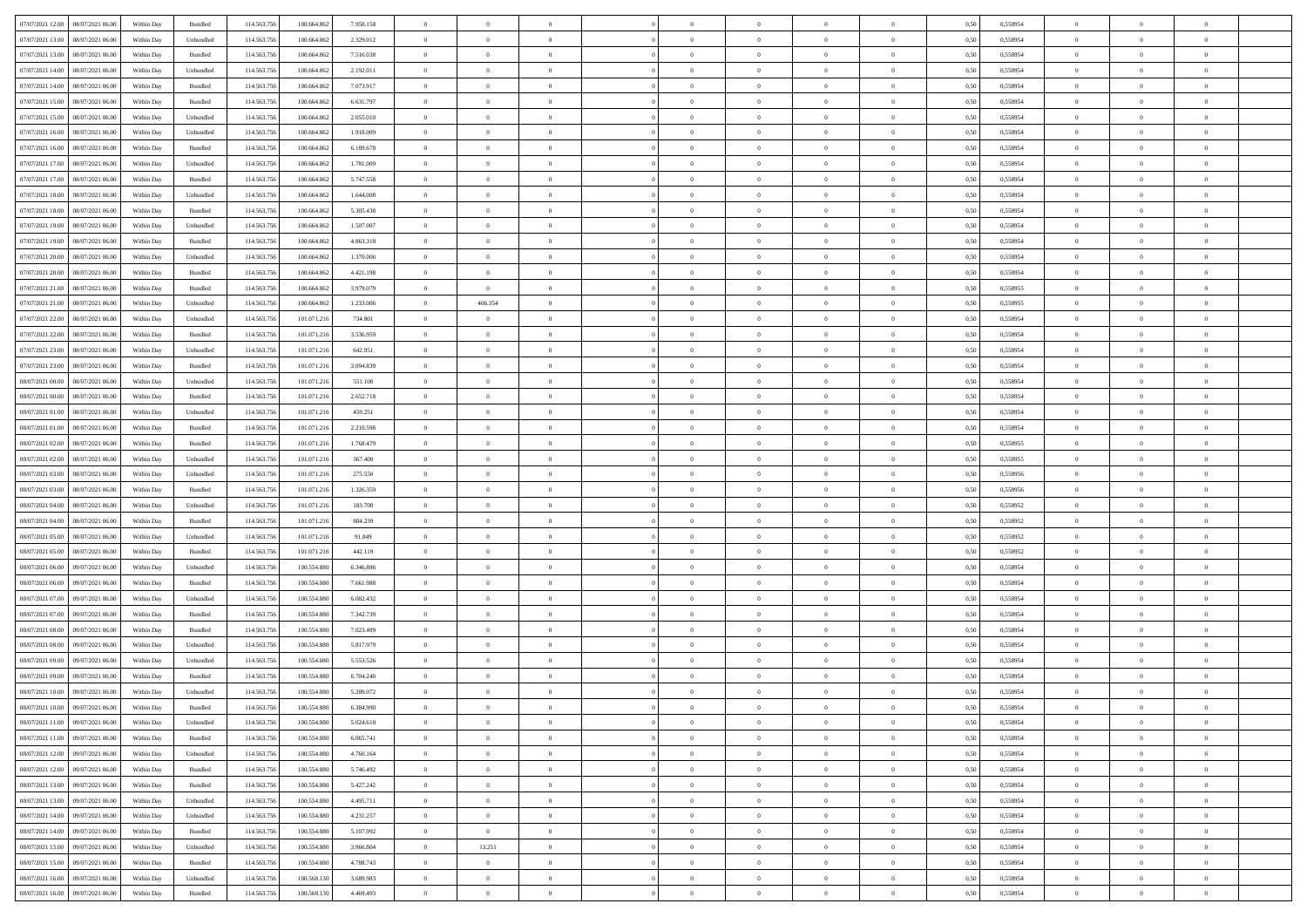| 07/07/2021 12:00   08/07/2021 06:00          | Within Day | Bundled   | 114.563.75  | 100.664.862 | 7.958.158 | $\overline{0}$ | $\overline{0}$ |                | $\overline{0}$ | $\theta$       |                | $\theta$       | 0,50 | 0,558954 | $\theta$       | $\theta$       | $\overline{0}$ |  |
|----------------------------------------------|------------|-----------|-------------|-------------|-----------|----------------|----------------|----------------|----------------|----------------|----------------|----------------|------|----------|----------------|----------------|----------------|--|
|                                              |            |           |             |             |           |                |                |                |                |                |                |                |      |          |                |                |                |  |
| 07/07/2021 13:00<br>08/07/2021 06:00         | Within Day | Unbundled | 114.563.75  | 100.664.86  | 2.329.012 | $\bf{0}$       | $\bf{0}$       | $\bf{0}$       | $\bf{0}$       | $\overline{0}$ | $\overline{0}$ | $\bf{0}$       | 0,50 | 0,558954 | $\,$ 0 $\,$    | $\bf{0}$       | $\overline{0}$ |  |
| 07/07/2021 13:00<br>08/07/2021 06:00         | Within Day | Bundled   | 114,563,75  | 100.664.862 | 7.516.038 | $\overline{0}$ | $\bf{0}$       | $\overline{0}$ | $\bf{0}$       | $\bf{0}$       | $\overline{0}$ | $\bf{0}$       | 0.50 | 0.558954 | $\bf{0}$       | $\overline{0}$ | $\overline{0}$ |  |
| 07/07/2021 14:00<br>08/07/2021 06:00         | Within Day | Unbundled | 114.563.75  | 100.664.862 | 2.192.011 | $\overline{0}$ | $\overline{0}$ | $\overline{0}$ | $\theta$       | $\theta$       | $\overline{0}$ | $\bf{0}$       | 0,50 | 0,558954 | $\theta$       | $\theta$       | $\overline{0}$ |  |
| 07/07/2021 14:00<br>08/07/2021 06:00         | Within Day | Bundled   | 114.563.75  | 100.664.86  | 7.073.917 | $\overline{0}$ | $\overline{0}$ | $\bf{0}$       | $\overline{0}$ | $\theta$       | $\overline{0}$ | $\bf{0}$       | 0,50 | 0,558954 | $\,$ 0 $\,$    | $\bf{0}$       | $\overline{0}$ |  |
| 07/07/2021 15:00<br>08/07/2021 06:00         | Within Day | Bundled   | 114,563,75  | 100.664.862 | 6.631.797 | $\overline{0}$ | $\overline{0}$ | $\overline{0}$ | $\bf{0}$       | $\overline{0}$ | $\theta$       | $\bf{0}$       | 0.50 | 0.558954 | $\,$ 0 $\,$    | $\theta$       | $\overline{0}$ |  |
|                                              |            |           |             |             |           | $\overline{0}$ | $\overline{0}$ | $\overline{0}$ | $\overline{0}$ | $\overline{0}$ | $\overline{0}$ |                |      |          | $\theta$       | $\theta$       | $\overline{0}$ |  |
| 07/07/2021 15:00<br>08/07/2021 06:00         | Within Day | Unbundled | 114.563.75  | 100.664.862 | 2.055.010 |                |                |                |                |                |                | $\bf{0}$       | 0,50 | 0,558954 |                |                |                |  |
| 07/07/2021 16:00<br>08/07/2021 06:00         | Within Day | Unbundled | 114.563.75  | 100.664.86  | 1.918.009 | $\bf{0}$       | $\overline{0}$ | $\bf{0}$       | $\overline{0}$ | $\overline{0}$ | $\overline{0}$ | $\bf{0}$       | 0,50 | 0,558954 | $\,$ 0 $\,$    | $\bf{0}$       | $\overline{0}$ |  |
| 07/07/2021 16:00<br>08/07/2021 06:00         | Within Day | Bundled   | 114,563,75  | 100.664.862 | 6.189.678 | $\overline{0}$ | $\bf{0}$       | $\overline{0}$ | $\bf{0}$       | $\overline{0}$ | $\overline{0}$ | $\bf{0}$       | 0.50 | 0.558954 | $\bf{0}$       | $\overline{0}$ | $\overline{0}$ |  |
| 07/07/2021 17:00<br>08/07/2021 06:00         | Within Day | Unbundled | 114.563.75  | 100.664.862 | 1.781.009 | $\overline{0}$ | $\bf{0}$       | $\overline{0}$ | $\overline{0}$ | $\overline{0}$ | $\overline{0}$ | $\bf{0}$       | 0,50 | 0,558954 | $\,$ 0 $\,$    | $\bf{0}$       | $\overline{0}$ |  |
| 07/07/2021 17:00<br>08/07/2021 06:00         | Within Day | Bundled   | 114.563.75  | 100.664.862 | 5.747.558 | $\bf{0}$       | $\overline{0}$ | $\bf{0}$       | $\bf{0}$       | $\bf{0}$       | $\overline{0}$ | $\bf{0}$       | 0,50 | 0,558954 | $\,$ 0 $\,$    | $\bf{0}$       | $\overline{0}$ |  |
| 07/07/2021 18:00<br>08/07/2021 06:00         | Within Day | Unbundled | 114,563,75  | 100.664.862 | 1.644.008 | $\overline{0}$ | $\bf{0}$       | $\overline{0}$ | $\overline{0}$ | $\bf{0}$       | $\overline{0}$ | $\bf{0}$       | 0.50 | 0.558954 | $\bf{0}$       | $\overline{0}$ | $\,$ 0         |  |
| 07/07/2021 18:00<br>08/07/2021 06:00         | Within Day | Bundled   | 114.563.75  | 100.664.862 | 5.305.438 | $\overline{0}$ | $\overline{0}$ | $\overline{0}$ | $\theta$       | $\theta$       | $\overline{0}$ | $\bf{0}$       | 0,50 | 0,558954 | $\theta$       | $\theta$       | $\overline{0}$ |  |
|                                              |            |           |             |             |           |                | $\overline{0}$ |                | $\overline{0}$ |                | $\overline{0}$ |                |      |          | $\,$ 0 $\,$    | $\bf{0}$       | $\overline{0}$ |  |
| 07/07/2021 19:00<br>08/07/2021 06:00         | Within Day | Unbundled | 114.563.75  | 100.664.86  | 1.507.007 | $\bf{0}$       |                | $\bf{0}$       |                | $\bf{0}$       |                | $\bf{0}$       | 0,50 | 0,558954 |                |                |                |  |
| 07/07/2021 19:00<br>08/07/2021 06:00         | Within Day | Bundled   | 114,563,75  | 100.664.862 | 4.863.318 | $\overline{0}$ | $\overline{0}$ | $\overline{0}$ | $\bf{0}$       | $\overline{0}$ | $\theta$       | $\bf{0}$       | 0.50 | 0.558954 | $\,$ 0 $\,$    | $\theta$       | $\overline{0}$ |  |
| 07/07/2021 20:00<br>08/07/2021 06:00         | Within Day | Unbundled | 114.563.75  | 100.664.862 | 1.370.006 | $\overline{0}$ | $\overline{0}$ | $\overline{0}$ | $\overline{0}$ | $\overline{0}$ | $\overline{0}$ | $\bf{0}$       | 0,50 | 0,558954 | $\theta$       | $\theta$       | $\overline{0}$ |  |
| 07/07/2021 20:00<br>08/07/2021 06:00         | Within Day | Bundled   | 114.563.75  | 100.664.86  | 4.421.198 | $\bf{0}$       | $\overline{0}$ | $\bf{0}$       | $\overline{0}$ | $\bf{0}$       | $\overline{0}$ | $\bf{0}$       | 0,50 | 0,558954 | $\,$ 0 $\,$    | $\bf{0}$       | $\overline{0}$ |  |
| 07/07/2021 21:00<br>08/07/2021 06:00         | Within Day | Bundled   | 114,563,75  | 100.664.862 | 3.979.079 | $\overline{0}$ | $\overline{0}$ | $\overline{0}$ | $\bf{0}$       | $\overline{0}$ | $\overline{0}$ | $\bf{0}$       | 0.50 | 0.558955 | $\bf{0}$       | $\overline{0}$ | $\overline{0}$ |  |
| 07/07/2021 21:00<br>08/07/2021 06:00         | Within Day | Unbundled | 114.563.75  | 100.664.862 | 1.233.006 | $\overline{0}$ | 406.354        | $\overline{0}$ | $\overline{0}$ | $\overline{0}$ | $\overline{0}$ | $\bf{0}$       | 0,50 | 0,558955 | $\,$ 0 $\,$    | $\bf{0}$       | $\overline{0}$ |  |
| 07/07/2021 22.00<br>08/07/2021 06:00         | Within Day | Unbundled | 114.563.75  | 101.071.21  | 734.801   | $\bf{0}$       | $\overline{0}$ | $\bf{0}$       | $\bf{0}$       | $\overline{0}$ | $\overline{0}$ | $\bf{0}$       | 0,50 | 0,558954 | $\,$ 0 $\,$    | $\bf{0}$       | $\overline{0}$ |  |
| 07/07/2021 22:00<br>08/07/2021 06:00         | Within Day | Bundled   | 114,563,75  | 101.071.216 | 3.536.959 | $\overline{0}$ | $\bf{0}$       | $\overline{0}$ | $\overline{0}$ | $\bf{0}$       | $\overline{0}$ | $\bf{0}$       | 0.50 | 0.558954 | $\bf{0}$       | $\overline{0}$ | $\,$ 0         |  |
|                                              |            |           |             |             |           |                |                |                |                |                |                |                |      |          |                |                |                |  |
| 07/07/2021 23:00<br>08/07/2021 06:00         | Within Day | Unbundled | 114.563.75  | 101.071.216 | 642.951   | $\overline{0}$ | $\overline{0}$ | $\overline{0}$ | $\theta$       | $\theta$       | $\overline{0}$ | $\bf{0}$       | 0,50 | 0,558954 | $\theta$       | $\theta$       | $\overline{0}$ |  |
| 07/07/2021 23:00<br>08/07/2021 06:00         | Within Day | Bundled   | 114.563.75  | 101.071.21  | 3.094.839 | $\bf{0}$       | $\bf{0}$       | $\bf{0}$       | $\bf{0}$       | $\,$ 0 $\,$    | $\overline{0}$ | $\bf{0}$       | 0,50 | 0,558954 | $\,$ 0 $\,$    | $\bf{0}$       | $\overline{0}$ |  |
| 08/07/2021 00:00<br>08/07/2021 06:00         | Within Day | Unbundled | 114,563,75  | 101.071.216 | 551.100   | $\overline{0}$ | $\overline{0}$ | $\overline{0}$ | $\bf{0}$       | $\overline{0}$ | $\theta$       | $\bf{0}$       | 0.50 | 0.558954 | $\,$ 0 $\,$    | $\theta$       | $\overline{0}$ |  |
| 08/07/2021 00:00<br>08/07/2021 06:00         | Within Day | Bundled   | 114.563.75  | 101.071.216 | 2.652.718 | $\overline{0}$ | $\overline{0}$ | $\overline{0}$ | $\overline{0}$ | $\overline{0}$ | $\overline{0}$ | $\bf{0}$       | 0,50 | 0,558954 | $\theta$       | $\theta$       | $\overline{0}$ |  |
| 08/07/2021 01:00<br>08/07/2021 06:00         | Within Day | Unbundled | 114.563.75  | 101.071.21  | 459.251   | $\bf{0}$       | $\overline{0}$ | $\bf{0}$       | $\overline{0}$ | $\bf{0}$       | $\overline{0}$ | $\bf{0}$       | 0,50 | 0,558954 | $\,$ 0 $\,$    | $\bf{0}$       | $\overline{0}$ |  |
| 08/07/2021 01:00<br>08/07/2021 06:00         | Within Day | Bundled   | 114,563,75  | 101.071.21  | 2.210.598 | $\overline{0}$ | $\bf{0}$       | $\overline{0}$ | $\bf{0}$       | $\overline{0}$ | $\overline{0}$ | $\bf{0}$       | 0.50 | 0.558954 | $\bf{0}$       | $\overline{0}$ | $\overline{0}$ |  |
| 08/07/2021 02:00<br>08/07/2021 06:00         | Within Day | Bundled   | 114.563.75  | 101.071.216 | 1.768.479 | $\overline{0}$ | $\bf{0}$       | $\overline{0}$ | $\overline{0}$ | $\overline{0}$ | $\overline{0}$ | $\bf{0}$       | 0,50 | 0,558955 | $\theta$       | $\theta$       | $\overline{0}$ |  |
|                                              |            |           |             |             |           |                |                |                |                |                |                |                |      |          |                |                |                |  |
| 08/07/2021 02:00<br>08/07/2021 06:00         | Within Day | Unbundled | 114.563.75  | 101.071.216 | 367.400   | $\bf{0}$       | $\bf{0}$       | $\bf{0}$       | $\bf{0}$       | $\overline{0}$ | $\overline{0}$ | $\bf{0}$       | 0,50 | 0,558955 | $\,$ 0 $\,$    | $\bf{0}$       | $\overline{0}$ |  |
| 08/07/2021 03:00<br>08/07/2021 06:00         | Within Day | Unbundled | 114,563,75  | 101.071.216 | 275.550   | $\overline{0}$ | $\bf{0}$       | $\overline{0}$ | $\bf{0}$       | $\bf{0}$       | $\overline{0}$ | $\bf{0}$       | 0.50 | 0.558956 | $\bf{0}$       | $\overline{0}$ | $\,$ 0         |  |
| 08/07/2021 03:00<br>08/07/2021 06:00         | Within Day | Bundled   | 114.563.75  | 101.071.21  | 1.326.359 | $\overline{0}$ | $\overline{0}$ | $\overline{0}$ | $\overline{0}$ | $\overline{0}$ | $\overline{0}$ | $\bf{0}$       | 0.50 | 0.558956 | $\theta$       | $\theta$       | $\overline{0}$ |  |
| 08/07/2021 04:00<br>08/07/2021 06:00         | Within Day | Unbundled | 114.563.75  | 101.071.21  | 183.700   | $\bf{0}$       | $\overline{0}$ | $\bf{0}$       | $\bf{0}$       | $\,$ 0 $\,$    | $\overline{0}$ | $\bf{0}$       | 0,50 | 0,558952 | $\,$ 0 $\,$    | $\bf{0}$       | $\overline{0}$ |  |
| 08/07/2021 04:00<br>08/07/2021 06:00         | Within Day | Bundled   | 114,563,75  | 101.071.216 | 884.239   | $\overline{0}$ | $\bf{0}$       | $\overline{0}$ | $\bf{0}$       | $\overline{0}$ | $\Omega$       | $\bf{0}$       | 0.50 | 0.558952 | $\,$ 0 $\,$    | $\bf{0}$       | $\overline{0}$ |  |
| 08/07/2021 05:00<br>08/07/2021 06:00         | Within Dav | Unbundled | 114.563.75  | 101.071.216 | 91.849    | $\overline{0}$ | $\overline{0}$ | $\overline{0}$ | $\overline{0}$ | $\theta$       | $\overline{0}$ | $\bf{0}$       | 0.5( | 0,558952 | $\theta$       | $\theta$       | $\overline{0}$ |  |
| 08/07/2021 05:00<br>08/07/2021 06:00         | Within Day | Bundled   | 114.563.75  | 101.071.21  | 442.119   | $\bf{0}$       | $\bf{0}$       | $\bf{0}$       | $\bf{0}$       | $\bf{0}$       | $\overline{0}$ | $\bf{0}$       | 0,50 | 0,558952 | $\,$ 0 $\,$    | $\bf{0}$       | $\overline{0}$ |  |
| 08/07/2021 06:00<br>09/07/2021 06:00         | Within Day | Unbundled | 114,563,75  | 100.554.880 | 6,346,886 | $\overline{0}$ | $\bf{0}$       | $\overline{0}$ | $\bf{0}$       | $\overline{0}$ | $\overline{0}$ | $\bf{0}$       | 0.50 | 0.558954 | $\bf{0}$       | $\overline{0}$ | $\overline{0}$ |  |
| 08/07/2021 06:00<br>09/07/2021 06:00         | Within Dav | Bundled   | 114.563.75  | 100,554,880 | 7.661.988 | $\overline{0}$ | $\overline{0}$ | $\overline{0}$ | $\overline{0}$ | $\overline{0}$ | $\overline{0}$ | $\bf{0}$       | 0.50 | 0,558954 | $\theta$       | $\theta$       | $\overline{0}$ |  |
|                                              |            |           |             |             |           |                |                |                |                |                |                |                |      |          |                |                |                |  |
| 08/07/2021 07:00<br>09/07/2021 06.00         | Within Day | Unbundled | 114.563.75  | 100.554.88  | 6.082.432 | $\bf{0}$       | $\bf{0}$       | $\bf{0}$       | $\bf{0}$       | $\overline{0}$ | $\overline{0}$ | $\bf{0}$       | 0,50 | 0,558954 | $\,$ 0 $\,$    | $\bf{0}$       | $\overline{0}$ |  |
| 08/07/2021 07:00<br>09/07/2021 06:00         | Within Day | Bundled   | 114.563.75  | 100,554,880 | 7.342.739 | $\overline{0}$ | $\bf{0}$       | $\overline{0}$ | $\overline{0}$ | $\bf{0}$       | $\overline{0}$ | $\bf{0}$       | 0.50 | 0.558954 | $\bf{0}$       | $\overline{0}$ | $\overline{0}$ |  |
| 08/07/2021 08:00<br>09/07/2021 06:00         | Within Dav | Bundled   | 114.563.75  | 100.554.880 | 7.023.489 | $\overline{0}$ | $\overline{0}$ | $\overline{0}$ | $\overline{0}$ | $\overline{0}$ | $\overline{0}$ | $\bf{0}$       | 0.50 | 0,558954 | $\theta$       | $\theta$       | $\overline{0}$ |  |
| 08/07/2021 08:00<br>09/07/2021 06.00         | Within Day | Unbundled | 114.563.75  | 100.554.88  | 5.817.979 | $\bf{0}$       | $\bf{0}$       | $\bf{0}$       | $\bf{0}$       | $\overline{0}$ | $\overline{0}$ | $\bf{0}$       | 0,50 | 0,558954 | $\,$ 0 $\,$    | $\bf{0}$       | $\overline{0}$ |  |
| 08/07/2021 09:00<br>09/07/2021 06:00         | Within Day | Unbundled | 114,563,75  | 100.554.880 | 5.553.526 | $\overline{0}$ | $\overline{0}$ | $\overline{0}$ | $\bf{0}$       | $\overline{0}$ | $\Omega$       | $\bf{0}$       | 0.50 | 0.558954 | $\,$ 0 $\,$    | $\theta$       | $\overline{0}$ |  |
| 08/07/2021 09:00<br>09/07/2021 06:00         | Within Dav | Bundled   | 114.563.75  | 100,554,880 | 6.704.240 | $\overline{0}$ | $\overline{0}$ | $\Omega$       | $\overline{0}$ | $\theta$       | $\overline{0}$ | $\overline{0}$ | 0.5( | 0,558954 | $\theta$       | $\theta$       | $\overline{0}$ |  |
| 09/07/2021 06:00<br>08/07/2021 10:00         | Within Day | Unbundled | 114.563.75  | 100.554.880 | 5.289.072 | $\bf{0}$       | $\bf{0}$       | $\bf{0}$       | $\bf{0}$       | $\bf{0}$       | $\overline{0}$ | $\bf{0}$       | 0,50 | 0,558954 | $\overline{0}$ | $\overline{0}$ | $\overline{0}$ |  |
| $08/07/2021\ 10.00 \qquad 09/07/2021\ 06.00$ | Within Day | Bundled   | 114.563.756 | 100.554.880 | 6.384.990 | $\overline{0}$ | $\Omega$       |                | $\Omega$       |                |                |                | 0,50 | 0.558954 | $\theta$       | $\overline{0}$ |                |  |
|                                              |            |           |             |             |           |                |                |                |                |                |                |                |      |          |                |                |                |  |
| 08/07/2021 11:00 09/07/2021 06:00            | Within Day | Unbundled | 114.563.756 | 100.554.880 | 5.024.618 | $\overline{0}$ | $\overline{0}$ | $\Omega$       | $\theta$       | $\overline{0}$ | $\overline{0}$ | $\bf{0}$       | 0,50 | 0,558954 | $\theta$       | $\theta$       | $\overline{0}$ |  |
| 08/07/2021 11:00<br>09/07/2021 06:00         | Within Day | Bundled   | 114.563.75  | 100.554.880 | 6.065.741 | $\overline{0}$ | $\bf{0}$       | $\overline{0}$ | $\overline{0}$ | $\bf{0}$       | $\overline{0}$ | $\bf{0}$       | 0,50 | 0,558954 | $\bf{0}$       | $\overline{0}$ | $\bf{0}$       |  |
| 08/07/2021 12:00 09/07/2021 06:00            | Within Day | Unbundled | 114,563,756 | 100,554,880 | 4.760.164 | $\overline{0}$ | $\bf{0}$       | $\overline{0}$ | $\overline{0}$ | $\mathbf{0}$   | $\overline{0}$ | $\,$ 0 $\,$    | 0.50 | 0.558954 | $\overline{0}$ | $\bf{0}$       | $\overline{0}$ |  |
| 08/07/2021 12:00 09/07/2021 06:00            | Within Dav | Bundled   | 114.563.756 | 100.554.880 | 5.746.492 | $\overline{0}$ | $\overline{0}$ | $\overline{0}$ | $\overline{0}$ | $\overline{0}$ | $\overline{0}$ | $\bf{0}$       | 0,50 | 0,558954 | $\theta$       | $\theta$       | $\overline{0}$ |  |
| 08/07/2021 13:00<br>09/07/2021 06:00         | Within Day | Bundled   | 114.563.75  | 100.554.880 | 5.427.242 | $\overline{0}$ | $\bf{0}$       | $\overline{0}$ | $\overline{0}$ | $\bf{0}$       | $\overline{0}$ | $\bf{0}$       | 0,50 | 0,558954 | $\bf{0}$       | $\overline{0}$ | $\overline{0}$ |  |
| 08/07/2021 13:00<br>09/07/2021 06:00         | Within Day | Unbundled | 114.563.756 | 100,554,880 | 4.495.711 | $\overline{0}$ | $\bf{0}$       | $\overline{0}$ | $\overline{0}$ | $\bf{0}$       | $\overline{0}$ | $\bf{0}$       | 0.50 | 0.558954 | $\,$ 0 $\,$    | $\overline{0}$ | $\,$ 0         |  |
| 08/07/2021 14:00<br>09/07/2021 06:00         | Within Dav | Unbundled | 114.563.756 | 100.554.880 | 4.231.257 | $\overline{0}$ | $\overline{0}$ | $\overline{0}$ | $\overline{0}$ | $\overline{0}$ | $\overline{0}$ | $\bf{0}$       | 0.50 | 0,558954 | $\overline{0}$ | $\theta$       | $\overline{0}$ |  |
| 08/07/2021 14:00<br>09/07/2021 06:00         | Within Day | Bundled   | 114.563.75  | 100.554.880 | 5.107.992 | $\overline{0}$ | $\overline{0}$ | $\overline{0}$ | $\overline{0}$ | $\overline{0}$ | $\overline{0}$ | $\bf{0}$       | 0,50 | 0,558954 | $\bf{0}$       | $\overline{0}$ | $\,$ 0         |  |
|                                              |            |           |             |             |           |                |                |                |                |                |                |                |      |          |                |                |                |  |
| 09/07/2021 06:00<br>08/07/2021 15:00         | Within Day | Unbundled | 114.563.75  | 100,554,880 | 3.966.804 | $\overline{0}$ | 13.251         | $\overline{0}$ | $\overline{0}$ | $\overline{0}$ | $\overline{0}$ | $\bf{0}$       | 0.50 | 0.558954 | $\mathbf{0}$   | $\bf{0}$       | $\,$ 0         |  |
| 08/07/2021 15:00 09/07/2021 06:00            | Within Dav | Bundled   | 114.563.756 | 100.554.880 | 4.788.743 | $\overline{0}$ | $\overline{0}$ | $\overline{0}$ | $\overline{0}$ | $\overline{0}$ | $\overline{0}$ | $\bf{0}$       | 0,50 | 0,558954 | $\overline{0}$ | $\theta$       | $\overline{0}$ |  |
| 08/07/2021 16:00<br>09/07/2021 06.00         | Within Day | Unbundled | 114.563.75  | 100.568.13  | 3.689.983 | $\overline{0}$ | $\bf{0}$       | $\overline{0}$ | $\overline{0}$ | $\overline{0}$ | $\overline{0}$ | $\bf{0}$       | 0,50 | 0,558954 | $\bf{0}$       | $\overline{0}$ | $\bf{0}$       |  |
| 08/07/2021 16:00 09/07/2021 06:00            | Within Day | Bundled   | 114.563.756 | 100.568.130 | 4.469.493 | $\overline{0}$ | $\bf{0}$       | $\overline{0}$ | $\overline{0}$ | $\,$ 0 $\,$    | $\overline{0}$ | $\bf{0}$       | 0,50 | 0,558954 | $\overline{0}$ | $\,$ 0 $\,$    | $\,$ 0 $\,$    |  |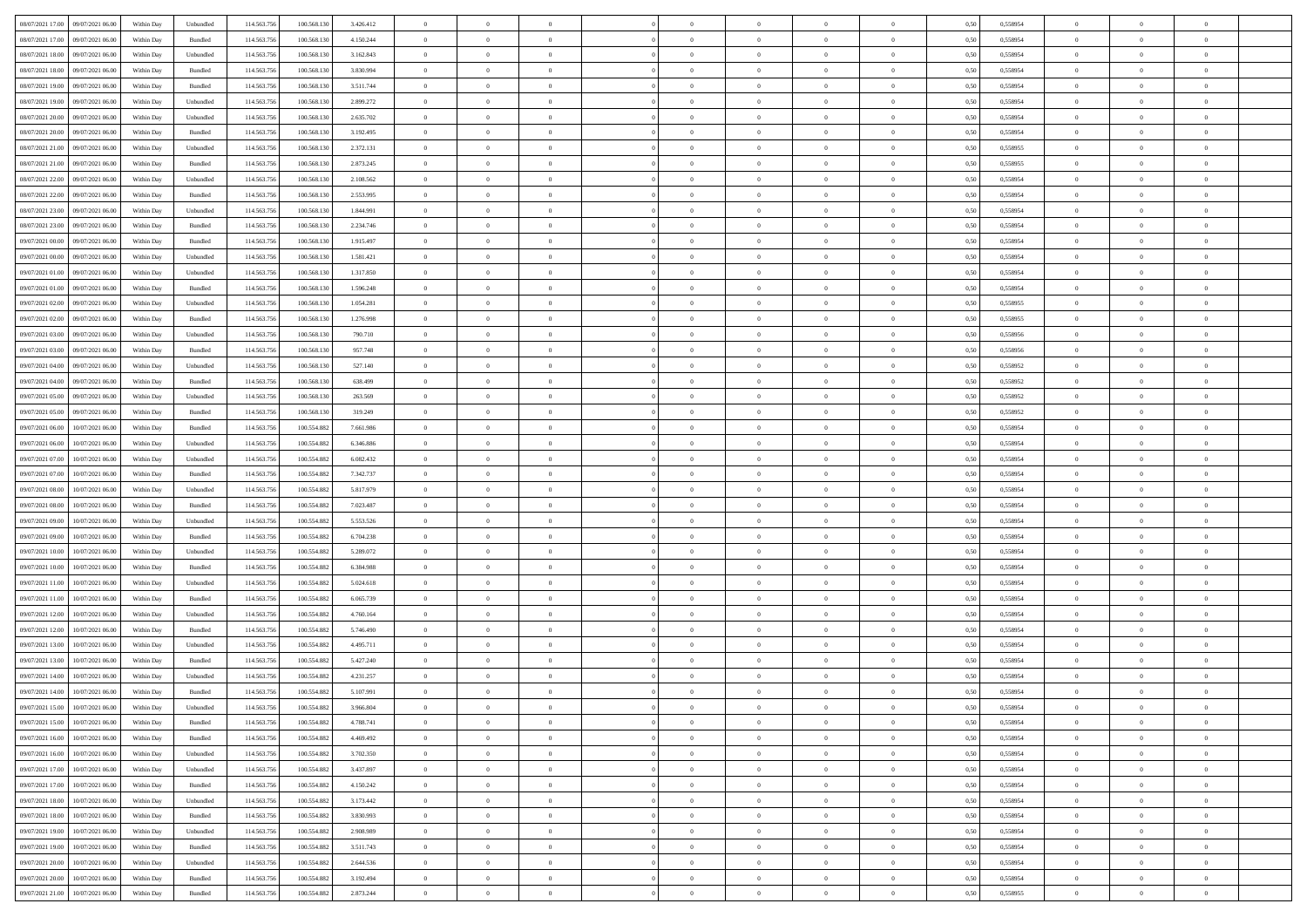| 08/07/2021 17:00<br>09/07/2021 06:00 | Within Day | Unbundled          | 114.563.756 | 100.568.130 | 3.426.412 | $\overline{0}$ | $\overline{0}$ | $\overline{0}$ | $\theta$       | $\theta$       |                | $\overline{0}$ | 0,50 | 0,558954 | $\theta$       | $\theta$       | $\theta$       |  |
|--------------------------------------|------------|--------------------|-------------|-------------|-----------|----------------|----------------|----------------|----------------|----------------|----------------|----------------|------|----------|----------------|----------------|----------------|--|
|                                      |            |                    |             |             |           |                |                |                |                |                |                |                |      |          |                |                |                |  |
| 08/07/2021 17:00<br>09/07/2021 06.0  | Within Day | Bundled            | 114.563.75  | 100.568.130 | 4.150.244 | $\overline{0}$ | $\overline{0}$ | $\overline{0}$ | $\overline{0}$ | $\bf{0}$       | $\overline{0}$ | $\mathbf{0}$   | 0,50 | 0,558954 | $\overline{0}$ | $\bf{0}$       | $\overline{0}$ |  |
| 08/07/2021 18:00<br>09/07/2021 06:00 | Within Day | Unbundled          | 114,563,756 | 100.568.130 | 3.162.843 | $\overline{0}$ | $\overline{0}$ | $\overline{0}$ | $\bf{0}$       | $\bf{0}$       | $\overline{0}$ | $\,$ 0 $\,$    | 0.50 | 0.558954 | $\bf{0}$       | $\overline{0}$ | $\,$ 0         |  |
| 08/07/2021 18:00<br>09/07/2021 06:00 | Within Day | Bundled            | 114.563.756 | 100.568.130 | 3.830.994 | $\overline{0}$ | $\overline{0}$ | $\overline{0}$ | $\bf{0}$       | $\overline{0}$ | $\overline{0}$ | $\,$ 0 $\,$    | 0,50 | 0,558954 | $\theta$       | $\overline{0}$ | $\overline{0}$ |  |
| 08/07/2021 19:00<br>09/07/2021 06.0  | Within Day | Bundled            | 114.563.75  | 100.568.130 | 3.511.744 | $\overline{0}$ | $\overline{0}$ | $\overline{0}$ | $\,$ 0 $\,$    | $\overline{0}$ | $\overline{0}$ | $\bf{0}$       | 0,50 | 0,558954 | $\,$ 0 $\,$    | $\bf{0}$       | $\overline{0}$ |  |
| 08/07/2021 19:00<br>09/07/2021 06:00 | Within Day | Unbundled          | 114,563,75  | 100,568,130 | 2.899.272 | $\overline{0}$ | $\overline{0}$ | $\overline{0}$ | $\bf{0}$       | $\bf{0}$       | $\overline{0}$ | $\mathbf{0}$   | 0.50 | 0.558954 | $\,$ 0 $\,$    | $\overline{0}$ | $\overline{0}$ |  |
| 08/07/2021 20:00<br>09/07/2021 06:00 | Within Day | Unbundled          | 114.563.756 | 100.568.130 | 2.635.702 | $\overline{0}$ | $\overline{0}$ | $\overline{0}$ | $\bf{0}$       | $\overline{0}$ | $\overline{0}$ | $\bf{0}$       | 0,50 | 0,558954 | $\theta$       | $\theta$       | $\overline{0}$ |  |
|                                      |            |                    |             |             |           |                |                |                |                |                |                |                |      |          |                |                |                |  |
| 08/07/2021 20:00<br>09/07/2021 06.0  | Within Day | Bundled            | 114.563.75  | 100.568.130 | 3.192.495 | $\overline{0}$ | $\overline{0}$ | $\overline{0}$ | $\overline{0}$ | $\bf{0}$       | $\overline{0}$ | $\mathbf{0}$   | 0,50 | 0,558954 | $\,$ 0 $\,$    | $\bf{0}$       | $\overline{0}$ |  |
| 08/07/2021 21:00<br>09/07/2021 06:00 | Within Day | Unbundled          | 114,563,75  | 100,568,130 | 2.372.131 | $\overline{0}$ | $\overline{0}$ | $\overline{0}$ | $\bf{0}$       | $\bf{0}$       | $\overline{0}$ | $\mathbf{0}$   | 0.50 | 0.558955 | $\bf{0}$       | $\overline{0}$ | $\bf{0}$       |  |
| 08/07/2021 21:00<br>09/07/2021 06:00 | Within Day | Bundled            | 114.563.756 | 100.568.130 | 2.873.245 | $\overline{0}$ | $\overline{0}$ | $\overline{0}$ | $\bf{0}$       | $\bf{0}$       | $\overline{0}$ | $\,$ 0 $\,$    | 0,50 | 0,558955 | $\,$ 0         | $\overline{0}$ | $\overline{0}$ |  |
| 08/07/2021 22.00<br>09/07/2021 06.0  | Within Day | Unbundled          | 114.563.75  | 100.568.130 | 2.108.562 | $\overline{0}$ | $\overline{0}$ | $\overline{0}$ | $\,$ 0 $\,$    | $\bf{0}$       | $\overline{0}$ | $\bf{0}$       | 0,50 | 0,558954 | $\,$ 0 $\,$    | $\bf{0}$       | $\overline{0}$ |  |
| 08/07/2021 22.00<br>09/07/2021 06:00 | Within Day | Bundled            | 114,563,756 | 100,568,130 | 2.553.995 | $\overline{0}$ | $\overline{0}$ | $\overline{0}$ | $\bf{0}$       | $\bf{0}$       | $\overline{0}$ | $\,$ 0 $\,$    | 0.50 | 0.558954 | $\bf{0}$       | $\overline{0}$ | $\,$ 0         |  |
| 08/07/2021 23:00<br>09/07/2021 06:00 | Within Day | Unbundled          | 114.563.756 | 100.568.130 | 1.844.991 | $\overline{0}$ | $\overline{0}$ | $\overline{0}$ | $\overline{0}$ | $\overline{0}$ | $\overline{0}$ | $\,$ 0 $\,$    | 0,50 | 0,558954 | $\,$ 0 $\,$    | $\overline{0}$ | $\overline{0}$ |  |
|                                      |            |                    |             |             |           |                |                |                |                |                |                |                |      |          |                |                |                |  |
| 08/07/2021 23.00<br>09/07/2021 06.0  | Within Day | Bundled            | 114.563.75  | 100.568.130 | 2.234.746 | $\overline{0}$ | $\overline{0}$ | $\overline{0}$ | $\,$ 0 $\,$    | $\bf{0}$       | $\overline{0}$ | $\bf{0}$       | 0,50 | 0,558954 | $\,$ 0 $\,$    | $\bf{0}$       | $\overline{0}$ |  |
| 09/07/2021 00:00<br>09/07/2021 06:00 | Within Day | Bundled            | 114,563,756 | 100,568,130 | 1.915.497 | $\overline{0}$ | $\overline{0}$ | $\overline{0}$ | $\bf{0}$       | $\overline{0}$ | $\overline{0}$ | $\mathbf{0}$   | 0.50 | 0,558954 | $\,$ 0 $\,$    | $\overline{0}$ | $\overline{0}$ |  |
| 09/07/2021 00:00<br>09/07/2021 06:00 | Within Day | Unbundled          | 114.563.756 | 100.568.130 | 1.581.421 | $\overline{0}$ | $\overline{0}$ | $\overline{0}$ | $\bf{0}$       | $\overline{0}$ | $\overline{0}$ | $\bf{0}$       | 0,50 | 0,558954 | $\theta$       | $\theta$       | $\overline{0}$ |  |
| 09/07/2021 01:00<br>09/07/2021 06.0  | Within Day | Unbundled          | 114.563.75  | 100.568.130 | 1.317.850 | $\overline{0}$ | $\overline{0}$ | $\overline{0}$ | $\overline{0}$ | $\bf{0}$       | $\overline{0}$ | $\bf{0}$       | 0,50 | 0,558954 | $\,$ 0 $\,$    | $\bf{0}$       | $\overline{0}$ |  |
| 09/07/2021 01:00<br>09/07/2021 06:00 | Within Day | Bundled            | 114,563,75  | 100,568,130 | 1.596.248 | $\overline{0}$ | $\overline{0}$ | $\overline{0}$ | $\bf{0}$       | $\bf{0}$       | $\overline{0}$ | $\mathbf{0}$   | 0.50 | 0.558954 | $\bf{0}$       | $\overline{0}$ | $\,$ 0         |  |
| 09/07/2021 02:00<br>09/07/2021 06:00 | Within Day | Unbundled          | 114.563.756 | 100.568.130 | 1.054.281 | $\overline{0}$ | $\overline{0}$ | $\overline{0}$ | $\bf{0}$       | $\overline{0}$ | $\overline{0}$ | $\bf{0}$       | 0,50 | 0,558955 | $\,$ 0 $\,$    | $\overline{0}$ | $\overline{0}$ |  |
| 09/07/2021 02:00<br>09/07/2021 06.0  | Within Day | Bundled            | 114.563.75  | 100.568.130 | 1.276.998 | $\overline{0}$ | $\overline{0}$ | $\overline{0}$ | $\overline{0}$ | $\bf{0}$       | $\overline{0}$ | $\mathbf{0}$   | 0,50 | 0,558955 | $\,$ 0 $\,$    | $\bf{0}$       | $\overline{0}$ |  |
|                                      |            |                    |             |             |           |                |                |                |                |                |                |                |      |          |                |                |                |  |
| 09/07/2021 03:00<br>09/07/2021 06:00 | Within Day | Unbundled          | 114,563,756 | 100,568,130 | 790.710   | $\overline{0}$ | $\overline{0}$ | $\overline{0}$ | $\bf{0}$       | $\overline{0}$ | $\overline{0}$ | $\,$ 0 $\,$    | 0.50 | 0.558956 | $\bf{0}$       | $\overline{0}$ | $\,$ 0         |  |
| 09/07/2021 03:00<br>09/07/2021 06:00 | Within Day | Bundled            | 114.563.756 | 100.568.130 | 957.748   | $\overline{0}$ | $\overline{0}$ | $\overline{0}$ | $\overline{0}$ | $\overline{0}$ | $\overline{0}$ | $\,$ 0 $\,$    | 0,50 | 0,558956 | $\theta$       | $\overline{0}$ | $\overline{0}$ |  |
| 09/07/2021 04:00<br>09/07/2021 06.0  | Within Day | Unbundled          | 114.563.75  | 100.568.130 | 527.140   | $\overline{0}$ | $\overline{0}$ | $\overline{0}$ | $\overline{0}$ | $\bf{0}$       | $\overline{0}$ | $\bf{0}$       | 0,50 | 0,558952 | $\,$ 0 $\,$    | $\bf{0}$       | $\overline{0}$ |  |
| 09/07/2021 04:00<br>09/07/2021 06:00 | Within Day | Bundled            | 114,563,75  | 100,568,130 | 638 499   | $\overline{0}$ | $\overline{0}$ | $\overline{0}$ | $\bf{0}$       | $\bf{0}$       | $\overline{0}$ | $\mathbf{0}$   | 0.50 | 0.558952 | $\,$ 0 $\,$    | $\overline{0}$ | $\overline{0}$ |  |
| 09/07/2021 05:00<br>09/07/2021 06:00 | Within Day | Unbundled          | 114.563.756 | 100.568.130 | 263.569   | $\overline{0}$ | $\overline{0}$ | $\overline{0}$ | $\bf{0}$       | $\overline{0}$ | $\overline{0}$ | $\bf{0}$       | 0,50 | 0,558952 | $\theta$       | $\theta$       | $\overline{0}$ |  |
| 09/07/2021 05:00<br>09/07/2021 06.0  | Within Day | Bundled            | 114.563.75  | 100.568.130 | 319.249   | $\overline{0}$ | $\overline{0}$ | $\overline{0}$ | $\,$ 0 $\,$    | $\bf{0}$       | $\overline{0}$ | $\bf{0}$       | 0,50 | 0,558952 | $\,$ 0 $\,$    | $\bf{0}$       | $\overline{0}$ |  |
| 09/07/2021 06:00<br>10/07/2021 06:00 |            | Bundled            | 114,563,756 | 100.554.882 | 7.661.986 |                |                | $\overline{0}$ |                | $\bf{0}$       | $\overline{0}$ | $\,$ 0 $\,$    | 0.50 | 0.558954 | $\bf{0}$       | $\overline{0}$ | $\bf{0}$       |  |
|                                      | Within Day |                    |             |             |           | $\overline{0}$ | $\overline{0}$ |                | $\bf{0}$       |                |                |                |      |          |                |                |                |  |
| 09/07/2021 06:00<br>10/07/2021 06:00 | Within Day | Unbundled          | 114.563.756 | 100.554.882 | 6.346.886 | $\overline{0}$ | $\overline{0}$ | $\overline{0}$ | $\bf{0}$       | $\overline{0}$ | $\overline{0}$ | $\,$ 0 $\,$    | 0,50 | 0,558954 | $\,$ 0         | $\overline{0}$ | $\overline{0}$ |  |
| 09/07/2021 07:00<br>10/07/2021 06.00 | Within Day | Unbundled          | 114.563.75  | 100.554.882 | 6.082.432 | $\overline{0}$ | $\overline{0}$ | $\overline{0}$ | $\overline{0}$ | $\bf{0}$       | $\overline{0}$ | $\mathbf{0}$   | 0,50 | 0,558954 | $\overline{0}$ | $\bf{0}$       | $\overline{0}$ |  |
| 09/07/2021 07.00<br>10/07/2021 06:00 | Within Day | Bundled            | 114,563,756 | 100.554.882 | 7.342.737 | $\overline{0}$ | $\overline{0}$ | $\overline{0}$ | $\bf{0}$       | $\overline{0}$ | $\overline{0}$ | $\,$ 0 $\,$    | 0.50 | 0.558954 | $\bf{0}$       | $\overline{0}$ | $\,$ 0         |  |
| 09/07/2021 08:00<br>10/07/2021 06:00 | Within Day | Unbundled          | 114.563.756 | 100.554.882 | 5.817.979 | $\overline{0}$ | $\overline{0}$ | $\overline{0}$ | $\overline{0}$ | $\overline{0}$ | $\overline{0}$ | $\overline{0}$ | 0.50 | 0,558954 | $\theta$       | $\overline{0}$ | $\overline{0}$ |  |
| 09/07/2021 08.00<br>10/07/2021 06.00 | Within Day | Bundled            | 114.563.75  | 100.554.882 | 7.023.487 | $\overline{0}$ | $\overline{0}$ | $\overline{0}$ | $\overline{0}$ | $\bf{0}$       | $\overline{0}$ | $\bf{0}$       | 0,50 | 0,558954 | $\,$ 0 $\,$    | $\bf{0}$       | $\overline{0}$ |  |
| 09/07/2021 09:00<br>10/07/2021 06:00 | Within Day | Unbundled          | 114.563.756 | 100.554.882 | 5.553.526 | $\overline{0}$ | $\overline{0}$ | $\overline{0}$ | $\bf{0}$       | $\bf{0}$       | $\overline{0}$ | $\mathbf{0}$   | 0.50 | 0.558954 | $\,$ 0 $\,$    | $\bf{0}$       | $\overline{0}$ |  |
| 09/07/2021 09:00<br>10/07/2021 06:00 | Within Day | Bundled            | 114.563.756 | 100.554.882 | 6.704.238 | $\overline{0}$ | $\overline{0}$ | $\overline{0}$ | $\overline{0}$ | $\overline{0}$ | $\overline{0}$ | $\mathbf{0}$   | 0.50 | 0,558954 | $\theta$       | $\theta$       | $\overline{0}$ |  |
|                                      |            |                    |             |             |           |                |                |                |                |                |                |                |      |          |                |                |                |  |
| 09/07/2021 10:00<br>10/07/2021 06.00 | Within Day | Unbundled          | 114.563.75  | 100.554.882 | 5.289.072 | $\overline{0}$ | $\overline{0}$ | $\overline{0}$ | $\overline{0}$ | $\bf{0}$       | $\overline{0}$ | $\bf{0}$       | 0,50 | 0,558954 | $\,$ 0 $\,$    | $\bf{0}$       | $\overline{0}$ |  |
| 09/07/2021 10:00<br>10/07/2021 06:00 | Within Day | Bundled            | 114,563,75  | 100.554.882 | 6384,988  | $\overline{0}$ | $\overline{0}$ | $\overline{0}$ | $\bf{0}$       | $\bf{0}$       | $\overline{0}$ | $\mathbf{0}$   | 0.50 | 0.558954 | $\bf{0}$       | $\overline{0}$ | $\bf{0}$       |  |
| 09/07/2021 11:00<br>10/07/2021 06:00 | Within Day | Unbundled          | 114.563.756 | 100.554.882 | 5.024.618 | $\overline{0}$ | $\overline{0}$ | $\overline{0}$ | $\overline{0}$ | $\overline{0}$ | $\overline{0}$ | $\mathbf{0}$   | 0.50 | 0,558954 | $\overline{0}$ | $\overline{0}$ | $\overline{0}$ |  |
| 09/07/2021 11:00<br>10/07/2021 06.00 | Within Day | Bundled            | 114.563.75  | 100.554.882 | 6.065.739 | $\overline{0}$ | $\overline{0}$ | $\overline{0}$ | $\overline{0}$ | $\bf{0}$       | $\overline{0}$ | $\mathbf{0}$   | 0,50 | 0,558954 | $\overline{0}$ | $\overline{0}$ | $\overline{0}$ |  |
| 09/07/2021 12:00<br>10/07/2021 06:00 | Within Day | Unbundled          | 114,563,756 | 100.554.882 | 4.760.164 | $\overline{0}$ | $\overline{0}$ | $\overline{0}$ | $\bf{0}$       | $\overline{0}$ | $\overline{0}$ | $\,$ 0 $\,$    | 0.50 | 0.558954 | $\bf{0}$       | $\overline{0}$ | $\,$ 0         |  |
| 09/07/2021 12:00<br>10/07/2021 06:00 | Within Day | Bundled            | 114.563.756 | 100.554.882 | 5.746.490 | $\overline{0}$ | $\overline{0}$ | $\overline{0}$ | $\overline{0}$ | $\overline{0}$ | $\overline{0}$ | $\overline{0}$ | 0.50 | 0,558954 | $\theta$       | $\theta$       | $\overline{0}$ |  |
| 09/07/2021 13:00<br>10/07/2021 06.00 | Within Day | Unbundled          | 114.563.75  | 100.554.882 | 4.495.711 | $\overline{0}$ | $\overline{0}$ | $\overline{0}$ | $\overline{0}$ | $\bf{0}$       | $\overline{0}$ | $\bf{0}$       | 0,50 | 0,558954 | $\,$ 0 $\,$    | $\bf{0}$       | $\overline{0}$ |  |
|                                      |            |                    |             |             |           |                |                |                |                |                |                |                |      |          |                |                |                |  |
| 09/07/2021 13:00<br>10/07/2021 06:00 | Within Day | Bundled            | 114.563.756 | 100.554.882 | 5.427.240 | $\overline{0}$ | $\overline{0}$ | $\overline{0}$ | $\overline{0}$ | $\bf{0}$       | $\overline{0}$ | $\mathbf{0}$   | 0.50 | 0.558954 | $\,$ 0 $\,$    | $\theta$       | $\overline{0}$ |  |
| 09/07/2021 14:00<br>10/07/2021 06:00 | Within Day | Unbundled          | 114.563.756 | 100.554.882 | 4.231.257 | $\overline{0}$ | $\overline{0}$ | $\overline{0}$ | $\overline{0}$ | $\overline{0}$ | $\Omega$       | $\overline{0}$ | 0.50 | 0,558954 | $\theta$       | $\theta$       | $\overline{0}$ |  |
| 09/07/2021 14:00<br>10/07/2021 06:00 | Within Day | Bundled            | 114.563.756 | 100.554.882 | 5.107.991 | $\overline{0}$ | $\overline{0}$ | $\overline{0}$ | $\overline{0}$ | $\bf{0}$       | $\overline{0}$ | $\mathbf{0}$   | 0,50 | 0,558954 | $\overline{0}$ | $\overline{0}$ | $\overline{0}$ |  |
| 09/07/2021 15:00<br>10/07/2021 06:00 | Within Day | ${\sf Unbundred}$  | 114.563.756 | 100.554.882 | 3.966.804 | $\bf{0}$       | $\,$ 0 $\,$    |                | $\bf{0}$       |                |                |                | 0,50 | 0.558954 | $\theta$       | $\overline{0}$ |                |  |
| 09/07/2021 15:00<br>10/07/2021 06:00 | Within Dav | Bundled            | 114.563.756 | 100.554.882 | 4.788.741 | $\overline{0}$ | $\overline{0}$ | $\overline{0}$ | $\overline{0}$ | $\overline{0}$ | $\overline{0}$ | $\overline{0}$ | 0,50 | 0,558954 | $\theta$       | $\theta$       | $\overline{0}$ |  |
| 09/07/2021 16:00<br>10/07/2021 06:00 | Within Day | Bundled            | 114.563.756 | 100.554.882 | 4.469.492 | $\overline{0}$ | $\overline{0}$ | $\overline{0}$ | $\bf{0}$       | $\overline{0}$ | $\overline{0}$ | $\overline{0}$ | 0,50 | 0,558954 | $\overline{0}$ | $\overline{0}$ | $\bf{0}$       |  |
|                                      |            |                    |             |             |           |                |                |                |                |                |                |                |      |          |                |                |                |  |
| 09/07/2021 16:00<br>10/07/2021 06:00 | Within Day | Unbundled          | 114.563.756 | 100.554.882 | 3.702.350 | $\overline{0}$ | $\overline{0}$ | $\overline{0}$ | $\,$ 0 $\,$    | $\bf{0}$       | $\overline{0}$ | $\mathbf{0}$   | 0.50 | 0.558954 | $\overline{0}$ | $\bf{0}$       | $\overline{0}$ |  |
| 09/07/2021 17:00<br>10/07/2021 06:00 | Within Dav | Unbundled          | 114.563.756 | 100.554.882 | 3.437.897 | $\overline{0}$ | $\overline{0}$ | $\overline{0}$ | $\overline{0}$ | $\overline{0}$ | $\overline{0}$ | $\mathbf{0}$   | 0,50 | 0,558954 | $\overline{0}$ | $\theta$       | $\overline{0}$ |  |
| 09/07/2021 17.00<br>10/07/2021 06:00 | Within Day | Bundled            | 114.563.756 | 100.554.882 | 4.150.242 | $\overline{0}$ | $\overline{0}$ | $\overline{0}$ | $\bf{0}$       | $\bf{0}$       | $\overline{0}$ | $\mathbf{0}$   | 0,50 | 0,558954 | $\overline{0}$ | $\overline{0}$ | $\overline{0}$ |  |
| 09/07/2021 18:00<br>10/07/2021 06:00 | Within Day | Unbundled          | 114.563.756 | 100.554.882 | 3.173.442 | $\overline{0}$ | $\overline{0}$ | $\overline{0}$ | $\bf{0}$       | $\overline{0}$ | $\overline{0}$ | $\mathbf{0}$   | 0.50 | 0.558954 | $\,$ 0 $\,$    | $\theta$       | $\,$ 0         |  |
| 09/07/2021 18:00<br>10/07/2021 06:00 | Within Day | Bundled            | 114.563.756 | 100.554.882 | 3.830.993 | $\overline{0}$ | $\overline{0}$ | $\overline{0}$ | $\overline{0}$ | $\overline{0}$ | $\overline{0}$ | $\mathbf{0}$   | 0,50 | 0,558954 | $\overline{0}$ | $\theta$       | $\overline{0}$ |  |
| 09/07/2021 19:00<br>10/07/2021 06:00 | Within Day | Unbundled          | 114.563.75  | 100.554.882 | 2.908.989 | $\overline{0}$ | $\overline{0}$ | $\overline{0}$ | $\bf{0}$       | $\bf{0}$       | $\overline{0}$ | $\,$ 0 $\,$    | 0,50 | 0,558954 | $\bf{0}$       | $\overline{0}$ | $\,$ 0         |  |
| 09/07/2021 19:00<br>10/07/2021 06:00 |            | Bundled            |             | 100.554.882 | 3.511.743 |                |                |                |                | $\overline{0}$ | $\overline{0}$ |                | 0.50 | 0.558954 |                |                | $\,$ 0         |  |
|                                      | Within Day |                    | 114.563.756 |             |           | $\overline{0}$ | $\overline{0}$ | $\overline{0}$ | $\bf{0}$       |                |                | $\,$ 0 $\,$    |      |          | $\overline{0}$ | $\bf{0}$       |                |  |
| 09/07/2021 20:00<br>10/07/2021 06:00 | Within Dav | Unbundled          | 114.563.756 | 100.554.882 | 2.644.536 | $\overline{0}$ | $\overline{0}$ | $\overline{0}$ | $\overline{0}$ | $\overline{0}$ | $\overline{0}$ | $\mathbf{0}$   | 0,50 | 0,558954 | $\overline{0}$ | $\theta$       | $\overline{0}$ |  |
| 09/07/2021 20.00<br>10/07/2021 06.00 | Within Day | Bundled            | 114.563.756 | 100.554.882 | 3.192.494 | $\overline{0}$ | $\overline{0}$ | $\overline{0}$ | $\bf{0}$       | $\bf{0}$       | $\overline{0}$ | $\mathbf{0}$   | 0,50 | 0,558954 | $\bf{0}$       | $\bf{0}$       | $\bf{0}$       |  |
| 09/07/2021 21.00 10/07/2021 06.00    | Within Day | $\mathbf B$ undled | 114.563.756 | 100.554.882 | 2.873.244 | $\overline{0}$ | $\overline{0}$ | $\overline{0}$ | $\bf{0}$       | $\,$ 0         | $\overline{0}$ | $\,0\,$        | 0,50 | 0,558955 | $\overline{0}$ | $\,$ 0 $\,$    | $\,$ 0 $\,$    |  |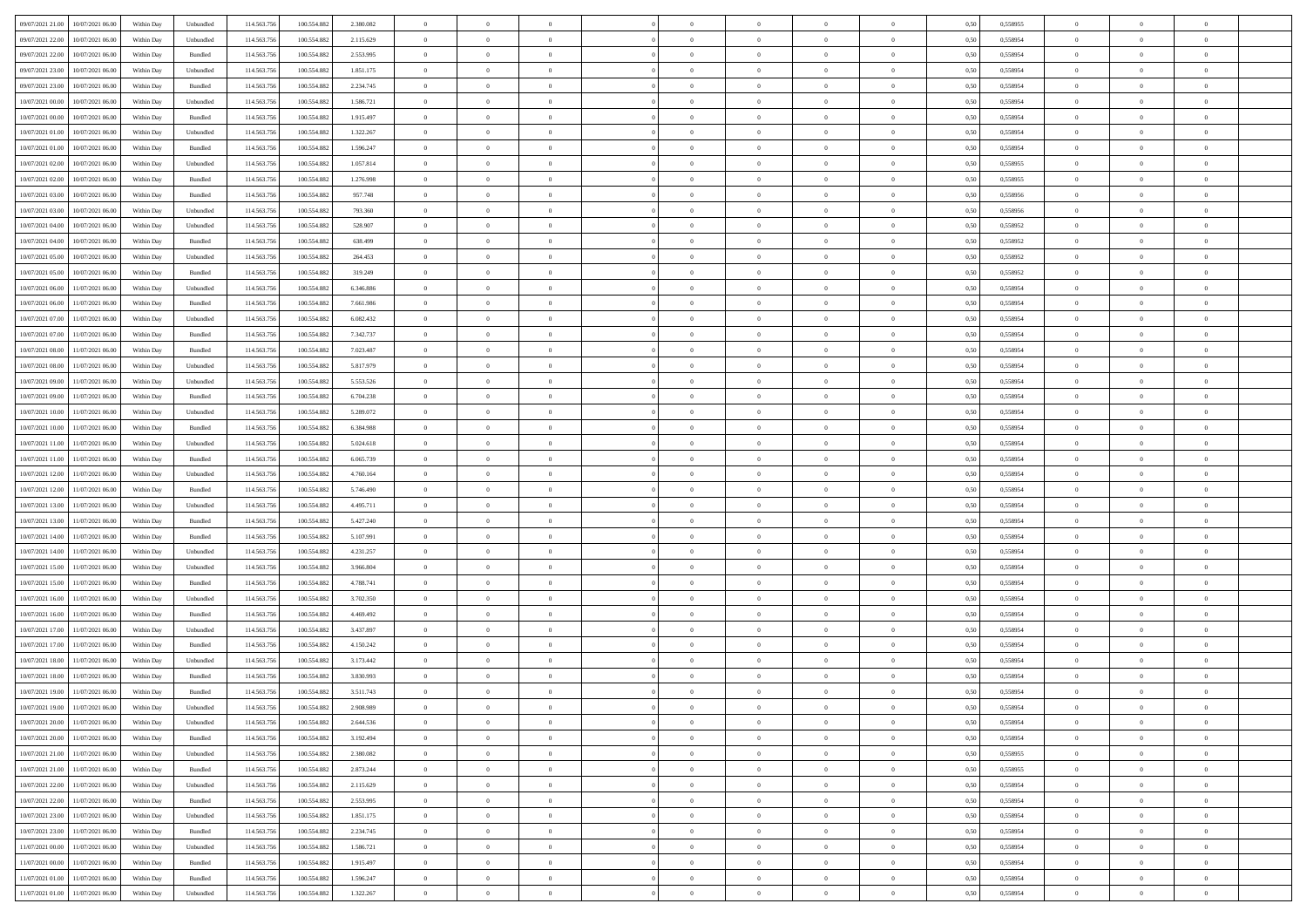|                                              |            |                             |             |             |           | $\overline{0}$ | $\overline{0}$ |                | $\overline{0}$ | $\theta$       |                | $\theta$       |      |          | $\theta$       | $\theta$       | $\overline{0}$ |  |
|----------------------------------------------|------------|-----------------------------|-------------|-------------|-----------|----------------|----------------|----------------|----------------|----------------|----------------|----------------|------|----------|----------------|----------------|----------------|--|
| 09/07/2021 21:00<br>10/07/2021 06:00         | Within Day | Unbundled                   | 114.563.75  | 100.554.882 | 2.380.082 |                |                |                |                |                |                |                | 0,50 | 0,558955 |                |                |                |  |
| 09/07/2021 22.00<br>10/07/2021 06:00         | Within Day | Unbundled                   | 114.563.75  | 100.554.88  | 2.115.629 | $\bf{0}$       | $\bf{0}$       | $\bf{0}$       | $\bf{0}$       | $\overline{0}$ | $\overline{0}$ | $\bf{0}$       | 0,50 | 0,558954 | $\,$ 0 $\,$    | $\bf{0}$       | $\overline{0}$ |  |
| 09/07/2021 22:00<br>10/07/2021 06:00         | Within Day | Bundled                     | 114,563,75  | 100.554.882 | 2.553.995 | $\overline{0}$ | $\bf{0}$       | $\overline{0}$ | $\bf{0}$       | $\bf{0}$       | $\overline{0}$ | $\bf{0}$       | 0.50 | 0.558954 | $\bf{0}$       | $\overline{0}$ | $\bf{0}$       |  |
| 09/07/2021 23:00<br>10/07/2021 06:00         | Within Day | Unbundled                   | 114.563.75  | 100.554.882 | 1.851.175 | $\overline{0}$ | $\overline{0}$ | $\overline{0}$ | $\theta$       | $\theta$       | $\overline{0}$ | $\bf{0}$       | 0,50 | 0,558954 | $\theta$       | $\theta$       | $\overline{0}$ |  |
| 09/07/2021 23:00<br>10/07/2021 06:00         | Within Day | Bundled                     | 114.563.75  | 100.554.882 | 2.234.745 | $\bf{0}$       | $\overline{0}$ | $\bf{0}$       | $\overline{0}$ | $\bf{0}$       | $\overline{0}$ | $\bf{0}$       | 0,50 | 0,558954 | $\,$ 0 $\,$    | $\bf{0}$       | $\overline{0}$ |  |
|                                              |            |                             |             |             |           |                |                |                |                |                |                |                |      |          |                |                |                |  |
| 10/07/2021 00:00<br>10/07/2021 06:00         | Within Day | Unbundled                   | 114,563,75  | 100.554.882 | 1.586.721 | $\overline{0}$ | $\bf{0}$       | $\overline{0}$ | $\bf{0}$       | $\overline{0}$ | $\theta$       | $\bf{0}$       | 0.50 | 0.558954 | $\,$ 0 $\,$    | $\theta$       | $\overline{0}$ |  |
| 10/07/2021 00:00<br>10/07/2021 06:00         | Within Day | Bundled                     | 114.563.75  | 100.554.882 | 1.915.497 | $\overline{0}$ | $\overline{0}$ | $\overline{0}$ | $\overline{0}$ | $\overline{0}$ | $\overline{0}$ | $\bf{0}$       | 0,50 | 0,558954 | $\theta$       | $\theta$       | $\overline{0}$ |  |
| 10/07/2021 01:00<br>10/07/2021 06:00         | Within Day | Unbundled                   | 114.563.75  | 100.554.88  | 1.322.267 | $\bf{0}$       | $\bf{0}$       | $\bf{0}$       | $\overline{0}$ | $\overline{0}$ | $\overline{0}$ | $\bf{0}$       | 0,50 | 0,558954 | $\,$ 0 $\,$    | $\bf{0}$       | $\overline{0}$ |  |
| 10/07/2021 01:00<br>10/07/2021 06:00         | Within Day | Bundled                     | 114,563,75  | 100.554.882 | 1.596.247 | $\overline{0}$ | $\bf{0}$       | $\overline{0}$ | $\bf{0}$       | $\overline{0}$ | $\overline{0}$ | $\bf{0}$       | 0.50 | 0.558954 | $\bf{0}$       | $\overline{0}$ | $\overline{0}$ |  |
| 10/07/2021 02:00<br>10/07/2021 06:00         | Within Day | Unbundled                   | 114.563.75  | 100.554.882 | 1.057.814 | $\bf{0}$       | $\bf{0}$       | $\overline{0}$ | $\overline{0}$ | $\overline{0}$ | $\overline{0}$ | $\bf{0}$       | 0,50 | 0,558955 | $\,$ 0 $\,$    | $\,$ 0 $\,$    | $\overline{0}$ |  |
| 10/07/2021 02:00<br>10/07/2021 06:00         | Within Day | Bundled                     | 114.563.75  | 100.554.882 | 1.276.998 | $\bf{0}$       | $\bf{0}$       | $\bf{0}$       | $\bf{0}$       | $\overline{0}$ | $\overline{0}$ | $\bf{0}$       | 0,50 | 0,558955 | $\,$ 0 $\,$    | $\bf{0}$       | $\overline{0}$ |  |
| 10/07/2021 03:00<br>10/07/2021 06:00         | Within Day | Bundled                     | 114,563,75  | 100.554.882 | 957.748   | $\overline{0}$ | $\bf{0}$       | $\overline{0}$ | $\overline{0}$ | $\overline{0}$ | $\overline{0}$ | $\bf{0}$       | 0.50 | 0.558956 | $\bf{0}$       | $\,$ 0 $\,$    | $\,$ 0         |  |
|                                              |            |                             |             |             |           |                |                |                |                |                |                |                |      |          |                |                |                |  |
| 10/07/2021 03:00<br>10/07/2021 06:00         | Within Day | Unbundled                   | 114.563.75  | 100.554.882 | 793.360   | $\overline{0}$ | $\overline{0}$ | $\overline{0}$ | $\theta$       | $\theta$       | $\overline{0}$ | $\bf{0}$       | 0,50 | 0,558956 | $\,$ 0 $\,$    | $\theta$       | $\overline{0}$ |  |
| 10/07/2021 04:00<br>10/07/2021 06:00         | Within Day | Unbundled                   | 114.563.75  | 100.554.88  | 528.907   | $\bf{0}$       | $\overline{0}$ | $\bf{0}$       | $\bf{0}$       | $\bf{0}$       | $\overline{0}$ | $\bf{0}$       | 0,50 | 0,558952 | $\,$ 0 $\,$    | $\bf{0}$       | $\overline{0}$ |  |
| 10/07/2021 04:00<br>10/07/2021 06:00         | Within Day | Bundled                     | 114,563,75  | 100.554.882 | 638.499   | $\overline{0}$ | $\bf{0}$       | $\overline{0}$ | $\bf{0}$       | $\overline{0}$ | $\theta$       | $\bf{0}$       | 0.50 | 0.558952 | $\,$ 0 $\,$    | $\bf{0}$       | $\overline{0}$ |  |
| 10/07/2021 05:00<br>10/07/2021 06:00         | Within Day | Unbundled                   | 114.563.75  | 100.554.882 | 264.453   | $\overline{0}$ | $\overline{0}$ | $\overline{0}$ | $\overline{0}$ | $\overline{0}$ | $\overline{0}$ | $\bf{0}$       | 0,50 | 0,558952 | $\theta$       | $\theta$       | $\overline{0}$ |  |
| 10/07/2021 05:00<br>10/07/2021 06:00         | Within Day | Bundled                     | 114.563.75  | 100.554.882 | 319.249   | $\bf{0}$       | $\bf{0}$       | $\bf{0}$       | $\overline{0}$ | $\overline{0}$ | $\overline{0}$ | $\bf{0}$       | 0,50 | 0,558952 | $\,$ 0 $\,$    | $\bf{0}$       | $\overline{0}$ |  |
| 10/07/2021 06:00<br>11/07/2021 06:00         | Within Day | Unbundled                   | 114,563,75  | 100.554.882 | 6,346,886 | $\overline{0}$ | $\bf{0}$       | $\overline{0}$ | $\bf{0}$       | $\overline{0}$ | $\overline{0}$ | $\bf{0}$       | 0.50 | 0.558954 | $\bf{0}$       | $\overline{0}$ | $\bf{0}$       |  |
| 10/07/2021 06:00<br>11/07/2021 06:00         | Within Day | Bundled                     | 114.563.75  | 100.554.882 | 7.661.986 | $\overline{0}$ | $\bf{0}$       | $\overline{0}$ | $\overline{0}$ | $\overline{0}$ | $\overline{0}$ | $\bf{0}$       | 0,50 | 0,558954 | $\,$ 0 $\,$    | $\bf{0}$       | $\overline{0}$ |  |
|                                              |            |                             |             |             |           |                |                |                |                |                |                |                |      |          |                |                |                |  |
| 10/07/2021 07:00<br>11/07/2021 06:00         | Within Day | Unbundled                   | 114.563.75  | 100.554.882 | 6.082.432 | $\bf{0}$       | $\bf{0}$       | $\bf{0}$       | $\bf{0}$       | $\overline{0}$ | $\overline{0}$ | $\bf{0}$       | 0,50 | 0,558954 | $\,$ 0 $\,$    | $\bf{0}$       | $\overline{0}$ |  |
| 10/07/2021 07:00<br>11/07/2021 06:00         | Within Day | Bundled                     | 114.563.75  | 100.554.882 | 7.342.737 | $\overline{0}$ | $\bf{0}$       | $\overline{0}$ | $\overline{0}$ | $\bf{0}$       | $\overline{0}$ | $\bf{0}$       | 0.50 | 0.558954 | $\bf{0}$       | $\overline{0}$ | $\,$ 0         |  |
| 10/07/2021 08:00<br>11/07/2021 06:00         | Within Day | Bundled                     | 114.563.75  | 100.554.882 | 7.023.487 | $\overline{0}$ | $\overline{0}$ | $\overline{0}$ | $\overline{0}$ | $\theta$       | $\overline{0}$ | $\bf{0}$       | 0,50 | 0,558954 | $\theta$       | $\theta$       | $\overline{0}$ |  |
| 10/07/2021 08:00<br>11/07/2021 06:00         | Within Day | Unbundled                   | 114.563.75  | 100.554.882 | 5.817.979 | $\bf{0}$       | $\bf{0}$       | $\bf{0}$       | $\bf{0}$       | $\overline{0}$ | $\overline{0}$ | $\bf{0}$       | 0,50 | 0,558954 | $\,$ 0 $\,$    | $\bf{0}$       | $\overline{0}$ |  |
| 10/07/2021 09:00<br>11/07/2021 06:00         | Within Day | Unbundled                   | 114,563,75  | 100.554.882 | 5.553.526 | $\overline{0}$ | $\bf{0}$       | $\overline{0}$ | $\bf{0}$       | $\overline{0}$ | $\theta$       | $\bf{0}$       | 0.50 | 0.558954 | $\,$ 0 $\,$    | $\theta$       | $\overline{0}$ |  |
| 10/07/2021 09:00<br>11/07/2021 06:00         | Within Day | Bundled                     | 114.563.75  | 100.554.882 | 6.704.238 | $\overline{0}$ | $\overline{0}$ | $\overline{0}$ | $\overline{0}$ | $\overline{0}$ | $\overline{0}$ | $\bf{0}$       | 0,50 | 0,558954 | $\theta$       | $\theta$       | $\overline{0}$ |  |
| 10/07/2021 10:00<br>11/07/2021 06:00         | Within Day | Unbundled                   | 114.563.75  | 100.554.88  | 5.289.072 | $\bf{0}$       | $\overline{0}$ | $\bf{0}$       | $\overline{0}$ | $\overline{0}$ | $\overline{0}$ | $\bf{0}$       | 0,50 | 0,558954 | $\,$ 0 $\,$    | $\bf{0}$       | $\overline{0}$ |  |
|                                              |            |                             |             |             |           |                |                |                |                |                |                |                |      |          |                |                |                |  |
| 10/07/2021 10:00<br>11/07/2021 06:00         | Within Day | Bundled                     | 114,563,75  | 100.554.882 | 6.384.988 | $\overline{0}$ | $\bf{0}$       | $\overline{0}$ | $\bf{0}$       | $\overline{0}$ | $\overline{0}$ | $\bf{0}$       | 0.50 | 0.558954 | $\bf{0}$       | $\overline{0}$ | $\overline{0}$ |  |
| 10/07/2021 11:00<br>11/07/2021 06:00         | Within Day | Unbundled                   | 114.563.75  | 100.554.882 | 5.024.618 | $\overline{0}$ | $\bf{0}$       | $\overline{0}$ | $\overline{0}$ | $\overline{0}$ | $\overline{0}$ | $\bf{0}$       | 0,50 | 0,558954 | $\theta$       | $\theta$       | $\overline{0}$ |  |
| 10/07/2021 11:00<br>11/07/2021 06:00         | Within Day | Bundled                     | 114.563.75  | 100.554.882 | 6.065.739 | $\bf{0}$       | $\bf{0}$       | $\bf{0}$       | $\bf{0}$       | $\overline{0}$ | $\overline{0}$ | $\bf{0}$       | 0,50 | 0,558954 | $\,$ 0 $\,$    | $\bf{0}$       | $\overline{0}$ |  |
| 10/07/2021 12:00<br>11/07/2021 06:00         | Within Day | Unbundled                   | 114,563,75  | 100.554.882 | 4.760.164 | $\overline{0}$ | $\bf{0}$       | $\overline{0}$ | $\bf{0}$       | $\bf{0}$       | $\overline{0}$ | $\bf{0}$       | 0.50 | 0.558954 | $\bf{0}$       | $\,$ 0 $\,$    | $\,$ 0         |  |
| 10/07/2021 12:00<br>11/07/2021 06:00         | Within Day | Bundled                     | 114.563.75  | 100.554.882 | 5.746.490 | $\overline{0}$ | $\overline{0}$ | $\overline{0}$ | $\overline{0}$ | $\overline{0}$ | $\overline{0}$ | $\bf{0}$       | 0.50 | 0.558954 | $\theta$       | $\theta$       | $\overline{0}$ |  |
| 10/07/2021 13:00<br>11/07/2021 06:00         | Within Day | Unbundled                   | 114.563.75  | 100.554.882 | 4.495.711 | $\bf{0}$       | $\bf{0}$       | $\bf{0}$       | $\bf{0}$       | $\overline{0}$ | $\overline{0}$ | $\bf{0}$       | 0,50 | 0,558954 | $\,$ 0 $\,$    | $\bf{0}$       | $\overline{0}$ |  |
| 10/07/2021 13:00<br>11/07/2021 06:00         | Within Day | Bundled                     | 114,563,75  | 100.554.882 | 5.427.240 | $\overline{0}$ | $\bf{0}$       | $\overline{0}$ | $\bf{0}$       | $\overline{0}$ | $\overline{0}$ | $\bf{0}$       | 0.50 | 0.558954 | $\,$ 0 $\,$    | $\bf{0}$       | $\overline{0}$ |  |
| 10/07/2021 14:00<br>11/07/2021 06:00         | Within Dav | Bundled                     | 114.563.75  | 100.554.882 | 5.107.991 | $\overline{0}$ | $\overline{0}$ | $\overline{0}$ | $\overline{0}$ | $\overline{0}$ | $\overline{0}$ | $\bf{0}$       | 0.5( | 0,558954 | $\theta$       | $\theta$       | $\overline{0}$ |  |
|                                              |            |                             |             |             |           |                |                |                |                |                | $\overline{0}$ |                |      |          |                |                |                |  |
| 10/07/2021 14:00<br>11/07/2021 06:00         | Within Day | Unbundled                   | 114.563.75  | 100.554.882 | 4.231.257 | $\bf{0}$       | $\bf{0}$       | $\bf{0}$       | $\bf{0}$       | $\overline{0}$ |                | $\bf{0}$       | 0,50 | 0,558954 | $\,$ 0 $\,$    | $\bf{0}$       | $\overline{0}$ |  |
| 10/07/2021 15:00<br>11/07/2021 06:00         | Within Day | Unbundled                   | 114,563,75  | 100.554.882 | 3.966.804 | $\overline{0}$ | $\bf{0}$       | $\overline{0}$ | $\bf{0}$       | $\overline{0}$ | $\overline{0}$ | $\bf{0}$       | 0.50 | 0.558954 | $\bf{0}$       | $\overline{0}$ | $\bf{0}$       |  |
| 10/07/2021 15:00<br>11/07/2021 06:00         | Within Dav | Bundled                     | 114.563.75  | 100.554.882 | 4.788.741 | $\overline{0}$ | $\overline{0}$ | $\overline{0}$ | $\overline{0}$ | $\overline{0}$ | $\overline{0}$ | $\bf{0}$       | 0.50 | 0,558954 | $\theta$       | $\theta$       | $\overline{0}$ |  |
| 10/07/2021 16:00<br>11/07/2021 06:00         | Within Day | Unbundled                   | 114.563.75  | 100.554.882 | 3.702.350 | $\bf{0}$       | $\bf{0}$       | $\bf{0}$       | $\bf{0}$       | $\overline{0}$ | $\bf{0}$       | $\bf{0}$       | 0,50 | 0,558954 | $\,$ 0 $\,$    | $\bf{0}$       | $\overline{0}$ |  |
| 10/07/2021 16:00<br>11/07/2021 06:00         | Within Day | Bundled                     | 114,563,75  | 100.554.882 | 4.469.492 | $\overline{0}$ | $\bf{0}$       | $\overline{0}$ | $\overline{0}$ | $\bf{0}$       | $\overline{0}$ | $\bf{0}$       | 0.50 | 0.558954 | $\bf{0}$       | $\,$ 0 $\,$    | $\,$ 0         |  |
| 10/07/2021 17:00<br>11/07/2021 06:00         | Within Dav | Unbundled                   | 114.563.75  | 100.554.882 | 3.437.897 | $\overline{0}$ | $\overline{0}$ | $\overline{0}$ | $\overline{0}$ | $\overline{0}$ | $\overline{0}$ | $\bf{0}$       | 0.50 | 0,558954 | $\theta$       | $\theta$       | $\overline{0}$ |  |
| 10/07/2021 17:00<br>11/07/2021 06:00         | Within Day | Bundled                     | 114.563.75  | 100.554.882 | 4.150.242 | $\bf{0}$       | $\bf{0}$       | $\bf{0}$       | $\bf{0}$       | $\overline{0}$ | $\overline{0}$ | $\bf{0}$       | 0,50 | 0,558954 | $\,$ 0 $\,$    | $\bf{0}$       | $\overline{0}$ |  |
| 10/07/2021 18:00<br>11/07/2021 06:00         | Within Day | Unbundled                   | 114,563,75  | 100.554.882 | 3.173.442 | $\overline{0}$ | $\overline{0}$ | $\overline{0}$ | $\bf{0}$       | $\overline{0}$ | $\overline{0}$ | $\bf{0}$       | 0.50 | 0.558954 | $\bf{0}$       | $\theta$       | $\overline{0}$ |  |
| 10/07/2021 18:00<br>11/07/2021 06:00         | Within Dav | Bundled                     | 114.563.75  | 100,554,882 | 3.830.993 | $\overline{0}$ | $\overline{0}$ | $\overline{0}$ | $\overline{0}$ | $\theta$       | $\overline{0}$ | $\overline{0}$ | 0.5( | 0,558954 | $\theta$       | $\theta$       | $\overline{0}$ |  |
|                                              |            |                             |             |             |           |                |                |                |                |                |                |                |      |          |                |                |                |  |
| 10/07/2021 19:00<br>11/07/2021 06:00         | Within Day | Bundled                     | 114.563.75  | 100.554.882 | 3.511.743 | $\bf{0}$       | $\bf{0}$       | $\bf{0}$       | $\bf{0}$       | $\bf{0}$       | $\overline{0}$ | $\bf{0}$       | 0,50 | 0,558954 | $\overline{0}$ | $\overline{0}$ | $\overline{0}$ |  |
| $10/07/2021\ 19.00 \qquad 11/07/2021\ 06.00$ | Within Day | $\ensuremath{\mathsf{Unb}}$ | 114.563.756 | 100.554.882 | 2.908.989 | $\bf{0}$       | $\theta$       |                | $\overline{0}$ |                |                |                | 0,50 | 0.558954 | $\bf{0}$       | $\overline{0}$ |                |  |
| 10/07/2021 20:00 11/07/2021 06:00            | Within Day | Unbundled                   | 114.563.756 | 100.554.882 | 2.644.536 | $\overline{0}$ | $\overline{0}$ | $\Omega$       | $\theta$       | $\overline{0}$ | $\overline{0}$ | $\bf{0}$       | 0,50 | 0,558954 | $\theta$       | $\overline{0}$ | $\overline{0}$ |  |
| 10/07/2021 20:00<br>11/07/2021 06:00         | Within Day | Bundled                     | 114.563.75  | 100.554.882 | 3.192.494 | $\overline{0}$ | $\bf{0}$       | $\overline{0}$ | $\overline{0}$ | $\bf{0}$       | $\overline{0}$ | $\bf{0}$       | 0,50 | 0,558954 | $\bf{0}$       | $\overline{0}$ | $\bf{0}$       |  |
| 10/07/2021 21:00 11/07/2021 06:00            | Within Day | Unbundled                   | 114,563,756 | 100.554.882 | 2.380.082 | $\overline{0}$ | $\bf{0}$       | $\overline{0}$ | $\overline{0}$ | $\mathbf{0}$   | $\overline{0}$ | $\,$ 0 $\,$    | 0.50 | 0.558955 | $\overline{0}$ | $\bf{0}$       | $\,$ 0 $\,$    |  |
| 10/07/2021 21:00 11/07/2021 06:00            | Within Dav | Bundled                     | 114.563.756 | 100.554.882 | 2.873.244 | $\overline{0}$ | $\overline{0}$ | $\overline{0}$ | $\overline{0}$ | $\overline{0}$ | $\overline{0}$ | $\bf{0}$       | 0,50 | 0,558955 | $\overline{0}$ | $\theta$       | $\overline{0}$ |  |
| 10/07/2021 22:00<br>11/07/2021 06:00         | Within Day | Unbundled                   | 114.563.75  | 100.554.882 | 2.115.629 | $\overline{0}$ | $\bf{0}$       | $\overline{0}$ | $\overline{0}$ | $\bf{0}$       | $\overline{0}$ | $\bf{0}$       | 0,50 | 0,558954 | $\bf{0}$       | $\overline{0}$ | $\overline{0}$ |  |
|                                              |            |                             |             |             |           |                |                |                |                |                |                |                |      |          |                |                | $\overline{0}$ |  |
| 10/07/2021 22:00<br>11/07/2021 06:00         | Within Day | Bundled                     | 114.563.756 | 100.554.882 | 2.553.995 | $\overline{0}$ | $\bf{0}$       | $\overline{0}$ | $\overline{0}$ | $\bf{0}$       | $\overline{0}$ | $\bf{0}$       | 0.50 | 0.558954 | $\,$ 0 $\,$    | $\overline{0}$ |                |  |
| 10/07/2021 23:00<br>11/07/2021 06:00         | Within Dav | Unbundled                   | 114.563.756 | 100.554.882 | 1.851.175 | $\overline{0}$ | $\overline{0}$ | $\overline{0}$ | $\overline{0}$ | $\overline{0}$ | $\overline{0}$ | $\bf{0}$       | 0.50 | 0,558954 | $\overline{0}$ | $\theta$       | $\overline{0}$ |  |
| 10/07/2021 23:00<br>11/07/2021 06:00         | Within Day | Bundled                     | 114.563.75  | 100.554.882 | 2.234.745 | $\overline{0}$ | $\overline{0}$ | $\overline{0}$ | $\overline{0}$ | $\overline{0}$ | $\overline{0}$ | $\bf{0}$       | 0,50 | 0,558954 | $\bf{0}$       | $\overline{0}$ | $\,$ 0         |  |
| 11/07/2021 06:00<br>11/07/2021 00:00         | Within Day | Unbundled                   | 114.563.75  | 100.554.882 | 1.586.721 | $\overline{0}$ | $\overline{0}$ | $\overline{0}$ | $\overline{0}$ | $\overline{0}$ | $\overline{0}$ | $\bf{0}$       | 0.50 | 0.558954 | $\mathbf{0}$   | $\bf{0}$       | $\,$ 0         |  |
| 11/07/2021 00:00 11/07/2021 06:00            | Within Dav | Bundled                     | 114.563.756 | 100.554.882 | 1.915.497 | $\overline{0}$ | $\overline{0}$ | $\overline{0}$ | $\overline{0}$ | $\overline{0}$ | $\overline{0}$ | $\bf{0}$       | 0,50 | 0,558954 | $\overline{0}$ | $\theta$       | $\overline{0}$ |  |
| 11/07/2021 01:00<br>11/07/2021 06:00         | Within Day | Bundled                     | 114.563.75  | 100.554.882 | 1.596.247 | $\overline{0}$ | $\bf{0}$       | $\overline{0}$ | $\bf{0}$       | $\overline{0}$ | $\overline{0}$ | $\bf{0}$       | 0,50 | 0,558954 | $\bf{0}$       | $\overline{0}$ | $\bf{0}$       |  |
| 11/07/2021 01:00 11/07/2021 06:00            | Within Day | ${\sf Unbundred}$           | 114.563.756 | 100.554.882 | 1.322.267 | $\overline{0}$ | $\bf{0}$       | $\overline{0}$ | $\overline{0}$ | $\,$ 0 $\,$    | $\overline{0}$ | $\bf{0}$       | 0,50 | 0,558954 | $\overline{0}$ | $\,$ 0 $\,$    | $\,$ 0 $\,$    |  |
|                                              |            |                             |             |             |           |                |                |                |                |                |                |                |      |          |                |                |                |  |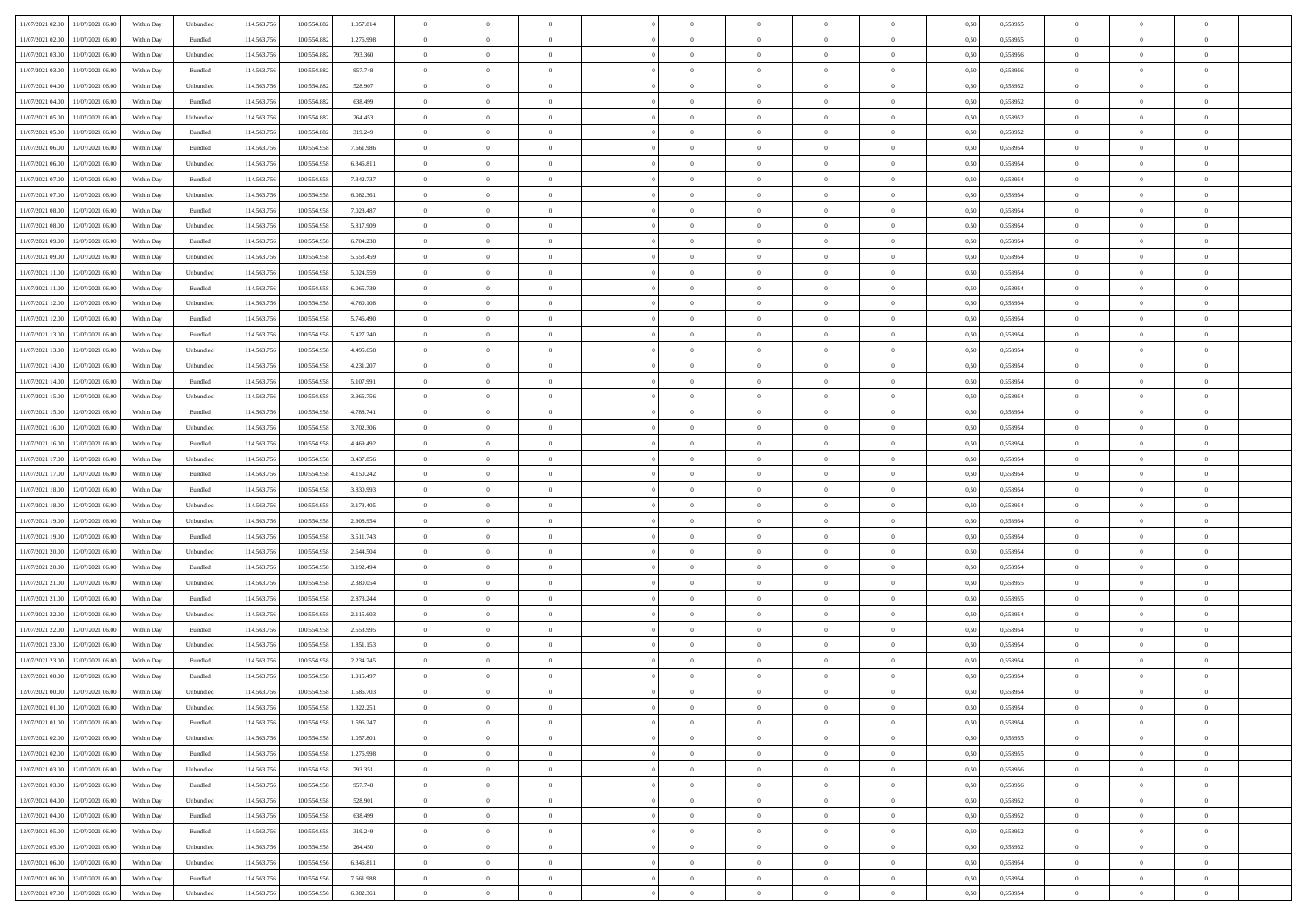|                                      |            |                             |             |             |           | $\overline{0}$ | $\overline{0}$ |                | $\overline{0}$ | $\theta$       |                | $\theta$       |      |          | $\theta$       | $\theta$       | $\overline{0}$ |  |
|--------------------------------------|------------|-----------------------------|-------------|-------------|-----------|----------------|----------------|----------------|----------------|----------------|----------------|----------------|------|----------|----------------|----------------|----------------|--|
| 11/07/2021 02:00 11/07/2021 06:00    | Within Day | Unbundled                   | 114.563.756 | 100.554.882 | 1.057.814 |                |                |                |                |                |                |                | 0,50 | 0,558955 |                |                |                |  |
| 11/07/2021 02:00<br>11/07/2021 06:00 | Within Day | Bundled                     | 114.563.75  | 100.554.88  | 1.276.998 | $\bf{0}$       | $\bf{0}$       | $\bf{0}$       | $\bf{0}$       | $\overline{0}$ | $\overline{0}$ | $\bf{0}$       | 0,50 | 0,558955 | $\,$ 0 $\,$    | $\bf{0}$       | $\overline{0}$ |  |
| 11/07/2021 03:00<br>11/07/2021 06:00 | Within Day | Unbundled                   | 114,563,75  | 100.554.882 | 793.360   | $\overline{0}$ | $\bf{0}$       | $\overline{0}$ | $\bf{0}$       | $\overline{0}$ | $\overline{0}$ | $\bf{0}$       | 0.50 | 0.558956 | $\overline{0}$ | $\overline{0}$ | $\overline{0}$ |  |
| 11/07/2021 03:00<br>11/07/2021 06:00 | Within Day | Bundled                     | 114.563.75  | 100.554.882 | 957.748   | $\overline{0}$ | $\overline{0}$ | $\overline{0}$ | $\overline{0}$ | $\theta$       | $\overline{0}$ | $\bf{0}$       | 0,50 | 0,558956 | $\,$ 0 $\,$    | $\,$ 0 $\,$    | $\overline{0}$ |  |
| 11/07/2021 04:00<br>11/07/2021 06:00 | Within Day | Unbundled                   | 114.563.75  | 100.554.882 | 528.907   | $\bf{0}$       | $\bf{0}$       | $\bf{0}$       | $\overline{0}$ | $\bf{0}$       | $\overline{0}$ | $\bf{0}$       | 0,50 | 0,558952 | $\,$ 0 $\,$    | $\bf{0}$       | $\overline{0}$ |  |
|                                      |            |                             |             |             |           |                |                |                |                |                |                |                |      |          |                |                |                |  |
| 11/07/2021 04:00<br>11/07/2021 06:00 | Within Day | Bundled                     | 114,563,75  | 100.554.882 | 638.499   | $\overline{0}$ | $\bf{0}$       | $\overline{0}$ | $\bf{0}$       | $\overline{0}$ | $\overline{0}$ | $\bf{0}$       | 0.50 | 0.558952 | $\,$ 0 $\,$    | $\bf{0}$       | $\overline{0}$ |  |
| 11/07/2021 05:00<br>11/07/2021 06:00 | Within Day | Unbundled                   | 114.563.75  | 100.554.882 | 264.453   | $\overline{0}$ | $\bf{0}$       | $\overline{0}$ | $\overline{0}$ | $\overline{0}$ | $\overline{0}$ | $\bf{0}$       | 0,50 | 0,558952 | $\,$ 0 $\,$    | $\theta$       | $\overline{0}$ |  |
| 11/07/2021 05:00<br>11/07/2021 06:00 | Within Day | Bundled                     | 114.563.75  | 100.554.88  | 319.249   | $\bf{0}$       | $\bf{0}$       | $\bf{0}$       | $\bf{0}$       | $\overline{0}$ | $\overline{0}$ | $\bf{0}$       | 0,50 | 0,558952 | $\,$ 0 $\,$    | $\bf{0}$       | $\overline{0}$ |  |
| 11/07/2021 06:00<br>12/07/2021 06:00 | Within Day | Bundled                     | 114,563,75  | 100.554.958 | 7.661.986 | $\overline{0}$ | $\bf{0}$       | $\overline{0}$ | $\bf{0}$       | $\overline{0}$ | $\overline{0}$ | $\bf{0}$       | 0.50 | 0.558954 | $\bf{0}$       | $\overline{0}$ | $\overline{0}$ |  |
| 11/07/2021 06:00<br>12/07/2021 06:00 | Within Day | Unbundled                   | 114.563.75  | 100.554.958 | 6.346.811 | $\bf{0}$       | $\bf{0}$       | $\overline{0}$ | $\overline{0}$ | $\overline{0}$ | $\overline{0}$ | $\bf{0}$       | 0,50 | 0,558954 | $\,$ 0 $\,$    | $\,$ 0 $\,$    | $\overline{0}$ |  |
| 11/07/2021 07:00<br>12/07/2021 06:00 | Within Day | Bundled                     | 114.563.75  | 100.554.958 | 7.342.737 | $\bf{0}$       | $\bf{0}$       | $\bf{0}$       | $\bf{0}$       | $\overline{0}$ | $\overline{0}$ | $\bf{0}$       | 0,50 | 0,558954 | $\,$ 0 $\,$    | $\bf{0}$       | $\overline{0}$ |  |
| 11/07/2021 07:00<br>12/07/2021 06:00 | Within Day | Unbundled                   | 114,563,75  | 100.554.958 | 6.082.361 | $\overline{0}$ | $\bf{0}$       | $\overline{0}$ | $\overline{0}$ | $\overline{0}$ | $\overline{0}$ | $\bf{0}$       | 0.50 | 0.558954 | $\bf{0}$       | $\,$ 0 $\,$    | $\,$ 0         |  |
|                                      |            |                             |             |             |           | $\overline{0}$ |                | $\overline{0}$ | $\theta$       | $\theta$       | $\overline{0}$ |                |      |          | $\,$ 0 $\,$    | $\,$ 0 $\,$    |                |  |
| 11/07/2021 08:00<br>12/07/2021 06:00 | Within Day | Bundled                     | 114.563.75  | 100.554.958 | 7.023.487 |                | $\bf{0}$       |                |                |                |                | $\bf{0}$       | 0,50 | 0,558954 |                |                | $\overline{0}$ |  |
| 11/07/2021 08:00<br>12/07/2021 06:00 | Within Day | Unbundled                   | 114.563.75  | 100.554.958 | 5.817.909 | $\bf{0}$       | $\overline{0}$ | $\bf{0}$       | $\bf{0}$       | $\bf{0}$       | $\overline{0}$ | $\bf{0}$       | 0,50 | 0,558954 | $\,$ 0 $\,$    | $\bf{0}$       | $\overline{0}$ |  |
| 11/07/2021 09:00<br>12/07/2021 06:00 | Within Day | Bundled                     | 114,563,75  | 100.554.958 | 6.704.238 | $\overline{0}$ | $\bf{0}$       | $\overline{0}$ | $\bf{0}$       | $\overline{0}$ | $\overline{0}$ | $\bf{0}$       | 0.50 | 0.558954 | $\,$ 0 $\,$    | $\bf{0}$       | $\overline{0}$ |  |
| 11/07/2021 09:00<br>12/07/2021 06:00 | Within Day | Unbundled                   | 114.563.75  | 100.554.958 | 5.553.459 | $\overline{0}$ | $\bf{0}$       | $\overline{0}$ | $\overline{0}$ | $\overline{0}$ | $\overline{0}$ | $\bf{0}$       | 0,50 | 0,558954 | $\theta$       | $\theta$       | $\overline{0}$ |  |
| 11/07/2021 11:00<br>12/07/2021 06:00 | Within Day | Unbundled                   | 114.563.75  | 100.554.958 | 5.024.559 | $\bf{0}$       | $\bf{0}$       | $\bf{0}$       | $\overline{0}$ | $\overline{0}$ | $\overline{0}$ | $\bf{0}$       | 0,50 | 0,558954 | $\,$ 0 $\,$    | $\bf{0}$       | $\overline{0}$ |  |
| 11/07/2021 11:00<br>12/07/2021 06:00 | Within Day | Bundled                     | 114,563,75  | 100.554.958 | 6.065.739 | $\overline{0}$ | $\bf{0}$       | $\overline{0}$ | $\bf{0}$       | $\bf{0}$       | $\overline{0}$ | $\bf{0}$       | 0.50 | 0.558954 | $\bf{0}$       | $\overline{0}$ | $\bf{0}$       |  |
| 11/07/2021 12:00<br>12/07/2021 06:00 | Within Day | Unbundled                   | 114.563.75  | 100.554.958 | 4.760.108 | $\overline{0}$ | $\bf{0}$       | $\overline{0}$ | $\overline{0}$ | $\overline{0}$ | $\overline{0}$ | $\bf{0}$       | 0,50 | 0,558954 | $\,$ 0 $\,$    | $\bf{0}$       | $\overline{0}$ |  |
| 11/07/2021 12:00<br>12/07/2021 06:00 | Within Day | Bundled                     | 114.563.75  | 100.554.958 | 5.746.490 | $\bf{0}$       | $\bf{0}$       | $\bf{0}$       | $\bf{0}$       | $\overline{0}$ | $\overline{0}$ | $\bf{0}$       | 0,50 | 0,558954 | $\,$ 0 $\,$    | $\bf{0}$       | $\overline{0}$ |  |
|                                      |            |                             |             |             |           |                |                |                |                |                |                |                |      |          |                |                |                |  |
| 11/07/2021 13:00<br>12/07/2021 06:00 | Within Day | Bundled                     | 114.563.75  | 100.554.958 | 5.427.240 | $\overline{0}$ | $\bf{0}$       | $\overline{0}$ | $\overline{0}$ | $\bf{0}$       | $\overline{0}$ | $\bf{0}$       | 0.50 | 0.558954 | $\bf{0}$       | $\,$ 0 $\,$    | $\,$ 0         |  |
| 11/07/2021 13:00<br>12/07/2021 06:00 | Within Day | Unbundled                   | 114.563.75  | 100.554.958 | 4.495.658 | $\overline{0}$ | $\overline{0}$ | $\overline{0}$ | $\overline{0}$ | $\theta$       | $\overline{0}$ | $\bf{0}$       | 0,50 | 0,558954 | $\theta$       | $\theta$       | $\overline{0}$ |  |
| 11/07/2021 14:00<br>12/07/2021 06:00 | Within Day | Unbundled                   | 114.563.75  | 100.554.958 | 4.231.207 | $\bf{0}$       | $\bf{0}$       | $\bf{0}$       | $\bf{0}$       | $\overline{0}$ | $\overline{0}$ | $\bf{0}$       | 0,50 | 0,558954 | $\,$ 0 $\,$    | $\bf{0}$       | $\overline{0}$ |  |
| 11/07/2021 14:00<br>12/07/2021 06:00 | Within Day | Bundled                     | 114,563,75  | 100.554.958 | 5.107.991 | $\overline{0}$ | $\bf{0}$       | $\overline{0}$ | $\bf{0}$       | $\overline{0}$ | $\overline{0}$ | $\bf{0}$       | 0.50 | 0.558954 | $\,$ 0 $\,$    | $\overline{0}$ | $\overline{0}$ |  |
| 11/07/2021 15:00<br>12/07/2021 06:00 | Within Day | Unbundled                   | 114.563.75  | 100.554.958 | 3.966.756 | $\overline{0}$ | $\overline{0}$ | $\overline{0}$ | $\overline{0}$ | $\overline{0}$ | $\overline{0}$ | $\bf{0}$       | 0,50 | 0,558954 | $\,$ 0 $\,$    | $\theta$       | $\overline{0}$ |  |
| 11/07/2021 15:00<br>12/07/2021 06:00 | Within Day | Bundled                     | 114.563.75  | 100.554.958 | 4.788.741 | $\bf{0}$       | $\overline{0}$ | $\bf{0}$       | $\overline{0}$ | $\overline{0}$ | $\overline{0}$ | $\bf{0}$       | 0,50 | 0,558954 | $\,$ 0 $\,$    | $\bf{0}$       | $\overline{0}$ |  |
| 11/07/2021 16:00<br>12/07/2021 06:00 | Within Day | Unbundled                   | 114,563,75  | 100.554.958 | 3.702.306 | $\overline{0}$ | $\bf{0}$       | $\overline{0}$ | $\bf{0}$       | $\overline{0}$ | $\overline{0}$ | $\bf{0}$       | 0.50 | 0.558954 | $\bf{0}$       | $\overline{0}$ | $\overline{0}$ |  |
| 11/07/2021 16:00<br>12/07/2021 06:00 | Within Day | Bundled                     | 114.563.75  | 100.554.958 | 4.469.492 | $\overline{0}$ | $\bf{0}$       | $\overline{0}$ | $\overline{0}$ | $\overline{0}$ | $\overline{0}$ | $\bf{0}$       | 0,50 | 0,558954 | $\theta$       | $\bf{0}$       | $\overline{0}$ |  |
|                                      |            |                             |             |             |           | $\bf{0}$       | $\bf{0}$       | $\bf{0}$       |                | $\overline{0}$ |                |                |      |          | $\,$ 0 $\,$    | $\bf{0}$       | $\overline{0}$ |  |
| 11/07/2021 17:00<br>12/07/2021 06:00 | Within Day | Unbundled                   | 114.563.75  | 100.554.958 | 3.437.856 |                |                |                | $\bf{0}$       |                | $\bf{0}$       | $\bf{0}$       | 0,50 | 0,558954 |                |                |                |  |
| 11/07/2021 17:00<br>12/07/2021 06:00 | Within Day | Bundled                     | 114,563,75  | 100.554.958 | 4.150.242 | $\overline{0}$ | $\bf{0}$       | $\overline{0}$ | $\overline{0}$ | $\bf{0}$       | $\overline{0}$ | $\bf{0}$       | 0.50 | 0.558954 | $\bf{0}$       | $\,$ 0 $\,$    | $\,$ 0         |  |
| 11/07/2021 18:00<br>12/07/2021 06:00 | Within Day | Bundled                     | 114.563.75  | 100.554.958 | 3.830.993 | $\overline{0}$ | $\overline{0}$ | $\overline{0}$ | $\overline{0}$ | $\overline{0}$ | $\overline{0}$ | $\bf{0}$       | 0.50 | 0.558954 | $\theta$       | $\theta$       | $\overline{0}$ |  |
| 11/07/2021 18:00<br>12/07/2021 06:00 | Within Day | Unbundled                   | 114.563.75  | 100.554.958 | 3.173.405 | $\bf{0}$       | $\bf{0}$       | $\bf{0}$       | $\bf{0}$       | $\overline{0}$ | $\overline{0}$ | $\bf{0}$       | 0,50 | 0,558954 | $\,$ 0 $\,$    | $\bf{0}$       | $\overline{0}$ |  |
| 11/07/2021 19:00<br>12/07/2021 06:00 | Within Day | Unbundled                   | 114,563,75  | 100.554.958 | 2.908.954 | $\overline{0}$ | $\bf{0}$       | $\overline{0}$ | $\bf{0}$       | $\overline{0}$ | $\overline{0}$ | $\bf{0}$       | 0.50 | 0.558954 | $\,$ 0 $\,$    | $\bf{0}$       | $\overline{0}$ |  |
| 11/07/2021 19:00<br>12/07/2021 06:00 | Within Dav | Bundled                     | 114.563.75  | 100.554.958 | 3.511.743 | $\overline{0}$ | $\overline{0}$ | $\overline{0}$ | $\overline{0}$ | $\overline{0}$ | $\overline{0}$ | $\bf{0}$       | 0.50 | 0,558954 | $\theta$       | $\theta$       | $\overline{0}$ |  |
| 11/07/2021 20:00<br>12/07/2021 06:00 | Within Day | Unbundled                   | 114.563.75  | 100.554.958 | 2.644.504 | $\bf{0}$       | $\bf{0}$       | $\bf{0}$       | $\bf{0}$       | $\overline{0}$ | $\overline{0}$ | $\bf{0}$       | 0,50 | 0,558954 | $\,$ 0 $\,$    | $\bf{0}$       | $\overline{0}$ |  |
| 11/07/2021 20:00<br>12/07/2021 06:00 | Within Day | Bundled                     | 114,563,75  | 100.554.958 | 3.192.494 | $\overline{0}$ | $\bf{0}$       | $\overline{0}$ | $\bf{0}$       | $\overline{0}$ | $\overline{0}$ | $\bf{0}$       | 0.50 | 0.558954 | $\bf{0}$       | $\overline{0}$ | $\overline{0}$ |  |
| 11/07/2021 21:00<br>12/07/2021 06:00 | Within Day | Unbundled                   | 114.563.75  | 100,554,958 | 2.380.054 | $\overline{0}$ | $\overline{0}$ | $\overline{0}$ | $\overline{0}$ | $\overline{0}$ | $\overline{0}$ | $\bf{0}$       | 0.50 | 0,558955 | $\theta$       | $\theta$       | $\overline{0}$ |  |
|                                      |            |                             |             |             |           |                |                |                |                |                |                |                |      |          |                |                |                |  |
| 11/07/2021 21:00<br>12/07/2021 06:00 | Within Day | Bundled                     | 114.563.75  | 100.554.958 | 2.873.244 | $\bf{0}$       | $\bf{0}$       | $\bf{0}$       | $\bf{0}$       | $\overline{0}$ | $\bf{0}$       | $\bf{0}$       | 0,50 | 0,558955 | $\,$ 0 $\,$    | $\bf{0}$       | $\overline{0}$ |  |
| 11/07/2021 22:00<br>12/07/2021 06:00 | Within Day | Unbundled                   | 114.563.75  | 100.554.958 | 2.115.603 | $\overline{0}$ | $\bf{0}$       | $\overline{0}$ | $\overline{0}$ | $\bf{0}$       | $\overline{0}$ | $\bf{0}$       | 0.50 | 0.558954 | $\,$ 0 $\,$    | $\,$ 0 $\,$    | $\,$ 0         |  |
| 11/07/2021 22:00<br>12/07/2021 06:00 | Within Day | Bundled                     | 114.563.75  | 100.554.958 | 2.553.995 | $\overline{0}$ | $\overline{0}$ | $\overline{0}$ | $\overline{0}$ | $\overline{0}$ | $\overline{0}$ | $\bf{0}$       | 0.50 | 0.558954 | $\theta$       | $\theta$       | $\overline{0}$ |  |
| 11/07/2021 23:00<br>12/07/2021 06:00 | Within Day | Unbundled                   | 114.563.75  | 100.554.958 | 1.851.153 | $\bf{0}$       | $\bf{0}$       | $\bf{0}$       | $\bf{0}$       | $\overline{0}$ | $\overline{0}$ | $\bf{0}$       | 0,50 | 0,558954 | $\,$ 0 $\,$    | $\bf{0}$       | $\overline{0}$ |  |
| 11/07/2021 23:00<br>12/07/2021 06:00 | Within Day | Bundled                     | 114,563,75  | 100.554.958 | 2.234.745 | $\overline{0}$ | $\bf{0}$       | $\overline{0}$ | $\bf{0}$       | $\overline{0}$ | $\overline{0}$ | $\bf{0}$       | 0.50 | 0.558954 | $\bf{0}$       | $\bf{0}$       | $\overline{0}$ |  |
| 12/07/2021 00:00<br>12/07/2021 06:00 | Within Dav | Bundled                     | 114.563.75  | 100,554,958 | 1.915.497 | $\overline{0}$ | $\overline{0}$ | $\overline{0}$ | $\theta$       | $\theta$       | $\overline{0}$ | $\overline{0}$ | 0.5( | 0,558954 | $\theta$       | $\theta$       | $\overline{0}$ |  |
| 12/07/2021 00:00<br>12/07/2021 06:00 | Within Day | Unbundled                   | 114.563.75  | 100.554.958 | 1.586.703 | $\bf{0}$       | $\bf{0}$       | $\bf{0}$       | $\bf{0}$       | $\bf{0}$       | $\overline{0}$ | $\bf{0}$       | 0,50 | 0,558954 | $\overline{0}$ | $\overline{0}$ | $\overline{0}$ |  |
| 12/07/2021 01:00 12/07/2021 06:00    | Within Day | $\ensuremath{\mathsf{Unb}}$ | 114.563.756 | 100.554.958 | 1.322.251 | $\bf{0}$       | $\theta$       |                | $\overline{0}$ |                |                |                | 0,50 | 0.558954 | $\theta$       | $\bf{0}$       |                |  |
| 12/07/2021 01:00 12/07/2021 06:00    |            |                             |             |             |           | $\overline{0}$ | $\overline{0}$ | $\Omega$       |                | $\overline{0}$ |                |                |      |          | $\theta$       | $\theta$       | $\overline{0}$ |  |
|                                      | Within Day | Bundled                     | 114.563.756 | 100.554.958 | 1.596.247 |                |                |                | $\theta$       |                | $\overline{0}$ | $\bf{0}$       | 0,50 | 0,558954 |                |                |                |  |
| 12/07/2021 02:00<br>12/07/2021 06:00 | Within Day | Unbundled                   | 114.563.75  | 100.554.958 | 1.057.801 | $\overline{0}$ | $\bf{0}$       | $\overline{0}$ | $\overline{0}$ | $\bf{0}$       | $\overline{0}$ | $\bf{0}$       | 0,50 | 0,558955 | $\bf{0}$       | $\overline{0}$ | $\bf{0}$       |  |
| 12/07/2021 02:00 12/07/2021 06:00    | Within Day | Bundled                     | 114,563,756 | 100.554.958 | 1.276.998 | $\overline{0}$ | $\overline{0}$ | $\overline{0}$ | $\overline{0}$ | $\mathbf{0}$   | $\overline{0}$ | $\,$ 0 $\,$    | 0.50 | 0.558955 | $\overline{0}$ | $\bf{0}$       | $\bf{0}$       |  |
| 12/07/2021 03:00 12/07/2021 06:00    | Within Day | Unbundled                   | 114.563.756 | 100.554.958 | 793.351   | $\overline{0}$ | $\overline{0}$ | $\overline{0}$ | $\overline{0}$ | $\overline{0}$ | $\overline{0}$ | $\bf{0}$       | 0,50 | 0,558956 | $\overline{0}$ | $\theta$       | $\overline{0}$ |  |
| 12/07/2021 03:00<br>12/07/2021 06:00 | Within Day | Bundled                     | 114.563.75  | 100.554.958 | 957.748   | $\overline{0}$ | $\bf{0}$       | $\overline{0}$ | $\overline{0}$ | $\bf{0}$       | $\overline{0}$ | $\bf{0}$       | 0,50 | 0,558956 | $\bf{0}$       | $\overline{0}$ | $\overline{0}$ |  |
| 12/07/2021 04:00<br>12/07/2021 06:00 | Within Day | Unbundled                   | 114.563.756 | 100.554.958 | 528,901   | $\overline{0}$ | $\bf{0}$       | $\overline{0}$ | $\overline{0}$ | $\bf{0}$       | $\overline{0}$ | $\bf{0}$       | 0.50 | 0.558952 | $\,$ 0 $\,$    | $\overline{0}$ | $\overline{0}$ |  |
| 12/07/2021 04:00<br>12/07/2021 06:00 | Within Dav | Bundled                     | 114.563.756 | 100.554.958 | 638,499   | $\overline{0}$ | $\overline{0}$ | $\overline{0}$ | $\overline{0}$ | $\overline{0}$ | $\overline{0}$ | $\bf{0}$       | 0.50 | 0,558952 | $\overline{0}$ | $\theta$       | $\overline{0}$ |  |
| 12/07/2021 06:00<br>12/07/2021 05:00 | Within Day | Bundled                     | 114.563.75  | 100.554.958 | 319.249   | $\overline{0}$ | $\overline{0}$ | $\overline{0}$ | $\overline{0}$ | $\overline{0}$ | $\overline{0}$ | $\bf{0}$       | 0,50 | 0,558952 | $\bf{0}$       | $\overline{0}$ | $\,$ 0         |  |
| 12/07/2021 05:00<br>12/07/2021 06:00 |            | Unbundled                   | 114.563.75  | 100.554.958 | 264.450   | $\overline{0}$ | $\overline{0}$ |                |                | $\overline{0}$ | $\overline{0}$ |                | 0.50 | 0.558952 | $\mathbf{0}$   | $\bf{0}$       | $\,$ 0         |  |
|                                      | Within Day |                             |             |             |           |                |                | $\overline{0}$ | $\overline{0}$ |                |                | $\bf{0}$       |      |          |                |                |                |  |
| 12/07/2021 06:00 13/07/2021 06:00    | Within Dav | Unbundled                   | 114.563.756 | 100.554.956 | 6.346.811 | $\overline{0}$ | $\overline{0}$ | $\overline{0}$ | $\overline{0}$ | $\overline{0}$ | $\overline{0}$ | $\bf{0}$       | 0,50 | 0,558954 | $\overline{0}$ | $\theta$       | $\overline{0}$ |  |
| 12/07/2021 06:00<br>13/07/2021 06:00 | Within Day | Bundled                     | 114.563.75  | 100.554.956 | 7.661.988 | $\overline{0}$ | $\bf{0}$       | $\overline{0}$ | $\overline{0}$ | $\overline{0}$ | $\overline{0}$ | $\bf{0}$       | 0,50 | 0,558954 | $\bf{0}$       | $\overline{0}$ | $\bf{0}$       |  |
| 12/07/2021 07:00 13/07/2021 06:00    | Within Day | ${\sf Unbundred}$           | 114.563.756 | 100.554.956 | 6.082.361 | $\overline{0}$ | $\bf{0}$       | $\overline{0}$ | $\overline{0}$ | $\,$ 0 $\,$    | $\overline{0}$ | $\bf{0}$       | 0,50 | 0,558954 | $\overline{0}$ | $\,$ 0 $\,$    | $\,$ 0 $\,$    |  |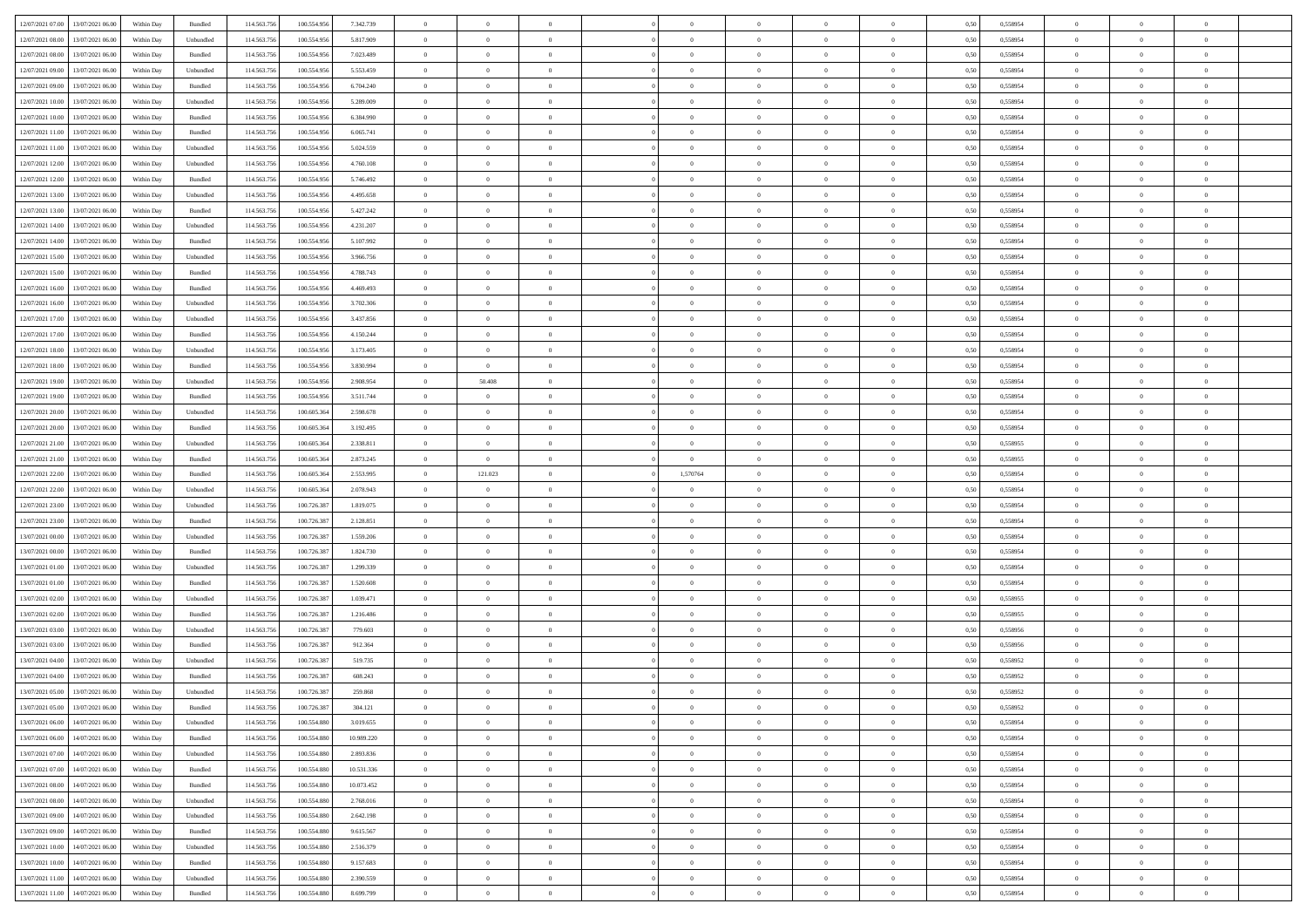|                                                  |            |           | 114.563.75  |             |            | $\overline{0}$ | $\theta$       |                | $\overline{0}$ | $\theta$       |                | $\theta$       |      |          | $\theta$       | $\theta$       | $\theta$       |  |
|--------------------------------------------------|------------|-----------|-------------|-------------|------------|----------------|----------------|----------------|----------------|----------------|----------------|----------------|------|----------|----------------|----------------|----------------|--|
| 12/07/2021 07:00 13/07/2021 06:00                | Within Day | Bundled   |             | 100.554.956 | 7.342.739  |                |                |                |                |                |                |                | 0,50 | 0,558954 |                |                |                |  |
| 12/07/2021 08:00<br>13/07/2021 06:00             | Within Day | Unbundled | 114.563.75  | 100.554.95  | 5.817.909  | $\bf{0}$       | $\bf{0}$       | $\bf{0}$       | $\bf{0}$       | $\overline{0}$ | $\overline{0}$ | $\bf{0}$       | 0,50 | 0,558954 | $\,$ 0 $\,$    | $\bf{0}$       | $\overline{0}$ |  |
| 12/07/2021 08:00<br>13/07/2021 06:00             | Within Day | Bundled   | 114,563,75  | 100.554.956 | 7.023.489  | $\overline{0}$ | $\bf{0}$       | $\overline{0}$ | $\bf{0}$       | $\bf{0}$       | $\overline{0}$ | $\bf{0}$       | 0.50 | 0.558954 | $\bf{0}$       | $\overline{0}$ | $\bf{0}$       |  |
| 12/07/2021 09:00<br>13/07/2021 06:00             | Within Day | Unbundled | 114.563.75  | 100.554.956 | 5.553.459  | $\overline{0}$ | $\overline{0}$ | $\overline{0}$ | $\theta$       | $\theta$       | $\overline{0}$ | $\bf{0}$       | 0,50 | 0,558954 | $\theta$       | $\theta$       | $\overline{0}$ |  |
|                                                  |            |           |             |             |            |                |                |                |                |                |                |                |      |          |                |                |                |  |
| 12/07/2021 09:00<br>13/07/2021 06:00             | Within Day | Bundled   | 114.563.75  | 100.554.95  | 6.704.240  | $\bf{0}$       | $\overline{0}$ | $\bf{0}$       | $\overline{0}$ | $\bf{0}$       | $\overline{0}$ | $\bf{0}$       | 0,50 | 0,558954 | $\,$ 0 $\,$    | $\bf{0}$       | $\overline{0}$ |  |
| 12/07/2021 10:00<br>13/07/2021 06:00             | Within Day | Unbundled | 114,563,75  | 100.554.95  | 5.289.009  | $\overline{0}$ | $\bf{0}$       | $\overline{0}$ | $\bf{0}$       | $\overline{0}$ | $\theta$       | $\bf{0}$       | 0.50 | 0.558954 | $\,$ 0 $\,$    | $\theta$       | $\overline{0}$ |  |
| 12/07/2021 10:00<br>13/07/2021 06:00             | Within Day | Bundled   | 114.563.75  | 100.554.956 | 6.384.990  | $\overline{0}$ | $\overline{0}$ | $\overline{0}$ | $\overline{0}$ | $\overline{0}$ | $\overline{0}$ | $\bf{0}$       | 0,50 | 0,558954 | $\theta$       | $\theta$       | $\overline{0}$ |  |
| 12/07/2021 11:00<br>13/07/2021 06:00             | Within Day | Bundled   | 114.563.75  | 100.554.95  | 6.065.741  | $\bf{0}$       | $\bf{0}$       | $\bf{0}$       | $\overline{0}$ | $\overline{0}$ | $\overline{0}$ | $\bf{0}$       | 0,50 | 0,558954 | $\,$ 0 $\,$    | $\bf{0}$       | $\overline{0}$ |  |
| 12/07/2021 11:00<br>13/07/2021 06:00             | Within Day | Unbundled | 114,563,75  | 100.554.956 | 5.024.559  | $\overline{0}$ | $\bf{0}$       | $\overline{0}$ | $\bf{0}$       | $\overline{0}$ | $\overline{0}$ | $\bf{0}$       | 0.50 | 0.558954 | $\bf{0}$       | $\overline{0}$ | $\overline{0}$ |  |
|                                                  |            |           |             |             |            |                |                |                |                |                |                |                |      |          |                |                |                |  |
| 12/07/2021 12:00<br>13/07/2021 06:00             | Within Day | Unbundled | 114.563.75  | 100.554.956 | 4.760.108  | $\bf{0}$       | $\bf{0}$       | $\overline{0}$ | $\overline{0}$ | $\overline{0}$ | $\overline{0}$ | $\bf{0}$       | 0,50 | 0,558954 | $\,$ 0 $\,$    | $\bf{0}$       | $\overline{0}$ |  |
| 12/07/2021 12:00<br>13/07/2021 06:00             | Within Day | Bundled   | 114.563.75  | 100.554.95  | 5.746.492  | $\bf{0}$       | $\bf{0}$       | $\bf{0}$       | $\bf{0}$       | $\overline{0}$ | $\overline{0}$ | $\bf{0}$       | 0,50 | 0,558954 | $\,$ 0 $\,$    | $\bf{0}$       | $\overline{0}$ |  |
| 12/07/2021 13:00<br>13/07/2021 06:00             | Within Day | Unbundled | 114,563,75  | 100.554.956 | 4.495.658  | $\overline{0}$ | $\bf{0}$       | $\overline{0}$ | $\overline{0}$ | $\overline{0}$ | $\overline{0}$ | $\bf{0}$       | 0.50 | 0.558954 | $\bf{0}$       | $\overline{0}$ | $\,$ 0         |  |
| 12/07/2021 13:00<br>13/07/2021 06:00             | Within Day | Bundled   | 114.563.75  | 100.554.956 | 5.427.242  | $\overline{0}$ | $\overline{0}$ | $\overline{0}$ | $\theta$       | $\theta$       | $\overline{0}$ | $\bf{0}$       | 0,50 | 0,558954 | $\,$ 0 $\,$    | $\theta$       | $\overline{0}$ |  |
|                                                  |            |           |             |             |            |                | $\overline{0}$ |                |                |                | $\overline{0}$ |                |      |          | $\,$ 0 $\,$    | $\bf{0}$       | $\overline{0}$ |  |
| 12/07/2021 14:00<br>13/07/2021 06:00             | Within Day | Unbundled | 114.563.75  | 100.554.95  | 4.231.207  | $\bf{0}$       |                | $\bf{0}$       | $\bf{0}$       | $\bf{0}$       |                | $\bf{0}$       | 0,50 | 0,558954 |                |                |                |  |
| 12/07/2021 14:00<br>13/07/2021 06:00             | Within Day | Bundled   | 114,563,75  | 100.554.956 | 5.107.992  | $\overline{0}$ | $\bf{0}$       | $\overline{0}$ | $\bf{0}$       | $\overline{0}$ | $\theta$       | $\bf{0}$       | 0.50 | 0.558954 | $\,$ 0 $\,$    | $\theta$       | $\overline{0}$ |  |
| 12/07/2021 15:00<br>13/07/2021 06:00             | Within Day | Unbundled | 114.563.75  | 100.554.956 | 3.966.756  | $\overline{0}$ | $\overline{0}$ | $\overline{0}$ | $\overline{0}$ | $\overline{0}$ | $\overline{0}$ | $\bf{0}$       | 0,50 | 0,558954 | $\theta$       | $\theta$       | $\overline{0}$ |  |
| 12/07/2021 15:00<br>13/07/2021 06:00             | Within Day | Bundled   | 114.563.75  | 100.554.95  | 4.788.743  | $\bf{0}$       | $\bf{0}$       | $\bf{0}$       | $\overline{0}$ | $\overline{0}$ | $\overline{0}$ | $\bf{0}$       | 0,50 | 0,558954 | $\,$ 0 $\,$    | $\bf{0}$       | $\overline{0}$ |  |
| 12/07/2021 16:00<br>13/07/2021 06:00             | Within Day | Bundled   | 114,563,75  | 100.554.95  | 4.469.493  | $\overline{0}$ | $\bf{0}$       | $\overline{0}$ | $\bf{0}$       | $\overline{0}$ | $\overline{0}$ | $\bf{0}$       | 0.50 | 0.558954 | $\bf{0}$       | $\overline{0}$ | $\bf{0}$       |  |
|                                                  |            |           |             |             |            |                |                |                |                |                |                |                |      |          |                |                |                |  |
| 12/07/2021 16:00<br>13/07/2021 06:00             | Within Day | Unbundled | 114.563.75  | 100.554.956 | 3.702.306  | $\overline{0}$ | $\bf{0}$       | $\overline{0}$ | $\overline{0}$ | $\overline{0}$ | $\overline{0}$ | $\bf{0}$       | 0,50 | 0,558954 | $\,$ 0 $\,$    | $\bf{0}$       | $\overline{0}$ |  |
| 12/07/2021 17:00<br>13/07/2021 06:00             | Within Day | Unbundled | 114.563.75  | 100.554.95  | 3.437.856  | $\bf{0}$       | $\bf{0}$       | $\bf{0}$       | $\bf{0}$       | $\overline{0}$ | $\overline{0}$ | $\bf{0}$       | 0,50 | 0,558954 | $\,$ 0 $\,$    | $\bf{0}$       | $\overline{0}$ |  |
| 12/07/2021 17:00<br>13/07/2021 06:00             | Within Day | Bundled   | 114,563,75  | 100.554.956 | 4.150.244  | $\overline{0}$ | $\bf{0}$       | $\overline{0}$ | $\overline{0}$ | $\bf{0}$       | $\overline{0}$ | $\bf{0}$       | 0.50 | 0.558954 | $\bf{0}$       | $\overline{0}$ | $\,$ 0         |  |
| 12/07/2021 18:00<br>13/07/2021 06:00             | Within Day | Unbundled | 114.563.75  | 100.554.956 | 3.173.405  | $\overline{0}$ | $\overline{0}$ | $\overline{0}$ | $\theta$       | $\theta$       | $\overline{0}$ | $\bf{0}$       | 0,50 | 0,558954 | $\theta$       | $\theta$       | $\overline{0}$ |  |
| 12/07/2021 18:00<br>13/07/2021 06:00             | Within Day | Bundled   | 114.563.75  | 100.554.95  | 3.830.994  | $\bf{0}$       | $\bf{0}$       | $\bf{0}$       | $\bf{0}$       | $\overline{0}$ | $\overline{0}$ | $\bf{0}$       | 0,50 | 0,558954 | $\,$ 0 $\,$    | $\bf{0}$       | $\overline{0}$ |  |
|                                                  |            |           |             |             |            |                |                |                |                |                |                |                |      |          |                |                |                |  |
| 12/07/2021 19:00<br>13/07/2021 06:00             | Within Day | Unbundled | 114,563,75  | 100.554.95  | 2.908.954  | $\overline{0}$ | 50.408         | $\overline{0}$ | $\bf{0}$       | $\overline{0}$ | $\theta$       | $\bf{0}$       | 0.50 | 0.558954 | $\,$ 0 $\,$    | $\theta$       | $\overline{0}$ |  |
| 12/07/2021 19:00<br>13/07/2021 06:00             | Within Day | Bundled   | 114.563.75  | 100.554.956 | 3.511.744  | $\overline{0}$ | $\overline{0}$ | $\overline{0}$ | $\overline{0}$ | $\overline{0}$ | $\overline{0}$ | $\bf{0}$       | 0,50 | 0,558954 | $\theta$       | $\theta$       | $\overline{0}$ |  |
| 12/07/2021 20:00<br>13/07/2021 06:00             | Within Day | Unbundled | 114.563.75  | 100.605.36  | 2.598.678  | $\bf{0}$       | $\overline{0}$ | $\bf{0}$       | $\overline{0}$ | $\overline{0}$ | $\overline{0}$ | $\bf{0}$       | 0,50 | 0,558954 | $\,$ 0 $\,$    | $\bf{0}$       | $\overline{0}$ |  |
| 12/07/2021 20:00<br>13/07/2021 06:00             | Within Day | Bundled   | 114.563.75  | 100.605.36  | 3.192.495  | $\overline{0}$ | $\bf{0}$       | $\overline{0}$ | $\bf{0}$       | $\overline{0}$ | $\overline{0}$ | $\bf{0}$       | 0.50 | 0.558954 | $\bf{0}$       | $\overline{0}$ | $\overline{0}$ |  |
| 12/07/2021 21:00<br>13/07/2021 06:00             | Within Day | Unbundled | 114.563.75  | 100.605.364 | 2.338.811  | $\overline{0}$ | $\bf{0}$       | $\overline{0}$ | $\overline{0}$ | $\overline{0}$ | $\overline{0}$ | $\bf{0}$       | 0,50 | 0,558955 | $\theta$       | $\theta$       | $\overline{0}$ |  |
| 12/07/2021 21:00<br>13/07/2021 06:00             | Within Day | Bundled   | 114.563.75  | 100.605.36  | 2.873.245  | $\bf{0}$       | $\bf{0}$       | $\bf{0}$       | $\bf{0}$       | $\overline{0}$ | $\overline{0}$ | $\bf{0}$       | 0,50 | 0,558955 | $\,$ 0 $\,$    | $\bf{0}$       | $\overline{0}$ |  |
|                                                  |            |           |             |             |            |                |                |                |                |                |                |                |      |          |                |                |                |  |
| 12/07/2021 22:00<br>13/07/2021 06:00             | Within Day | Bundled   | 114,563,75  | 100.605.36  | 2.553.995  | $\overline{0}$ | 121.023        | $\overline{0}$ | 1,570764       | $\bf{0}$       | $\overline{0}$ | $\bf{0}$       | 0.50 | 0.558954 | $\bf{0}$       | $\overline{0}$ | $\,$ 0         |  |
| 12/07/2021 22:00<br>13/07/2021 06:00             | Within Day | Unbundled | 114.563.75  | 100,605.36  | 2.078.943  | $\overline{0}$ | $\overline{0}$ | $\overline{0}$ | $\overline{0}$ | $\overline{0}$ | $\overline{0}$ | $\bf{0}$       | 0.50 | 0.558954 | $\theta$       | $\theta$       | $\overline{0}$ |  |
|                                                  |            |           |             |             |            |                |                |                |                |                |                |                |      |          |                |                |                |  |
| 12/07/2021 23:00<br>13/07/2021 06:00             | Within Day | Unbundled | 114.563.75  | 100.726.38  | 1.819.075  | $\bf{0}$       | $\overline{0}$ | $\bf{0}$       | $\bf{0}$       | $\overline{0}$ | $\overline{0}$ | $\bf{0}$       | 0,50 | 0,558954 | $\,$ 0 $\,$    | $\bf{0}$       | $\overline{0}$ |  |
| 12/07/2021 23:00<br>13/07/2021 06:00             | Within Day | Bundled   | 114,563,75  | 100.726.38  | 2.128.851  | $\overline{0}$ | $\bf{0}$       | $\overline{0}$ | $\bf{0}$       | $\overline{0}$ | $\overline{0}$ | $\bf{0}$       | 0.50 | 0.558954 | $\,$ 0 $\,$    | $\bf{0}$       | $\overline{0}$ |  |
|                                                  |            |           |             |             |            |                |                |                |                |                |                |                |      |          |                |                |                |  |
| 13/07/2021 00:00<br>13/07/2021 06:00             | Within Dav | Unbundled | 114.563.75  | 100.726.387 | 1.559.206  | $\overline{0}$ | $\overline{0}$ | $\overline{0}$ | $\overline{0}$ | $\overline{0}$ | $\overline{0}$ | $\bf{0}$       | 0.5( | 0,558954 | $\theta$       | $\theta$       | $\overline{0}$ |  |
| 13/07/2021 00:00<br>13/07/2021 06:00             | Within Day | Bundled   | 114.563.75  | 100.726.38  | 1.824.730  | $\bf{0}$       | $\bf{0}$       | $\bf{0}$       | $\bf{0}$       | $\overline{0}$ | $\overline{0}$ | $\bf{0}$       | 0,50 | 0,558954 | $\,$ 0 $\,$    | $\bf{0}$       | $\overline{0}$ |  |
| 13/07/2021 01:00<br>13/07/2021 06:00             | Within Day | Unbundled | 114,563,75  | 100.726.38  | 1.299.339  | $\overline{0}$ | $\bf{0}$       | $\overline{0}$ | $\bf{0}$       | $\overline{0}$ | $\overline{0}$ | $\bf{0}$       | 0.50 | 0.558954 | $\bf{0}$       | $\overline{0}$ | $\bf{0}$       |  |
| 13/07/2021 01:00<br>13/07/2021 06:00             | Within Dav | Bundled   | 114.563.75  | 100.726.387 | 1.520.608  | $\overline{0}$ | $\overline{0}$ | $\overline{0}$ | $\overline{0}$ | $\overline{0}$ | $\overline{0}$ | $\bf{0}$       | 0.50 | 0,558954 | $\theta$       | $\theta$       | $\overline{0}$ |  |
| 13/07/2021 02:00<br>13/07/2021 06:00             | Within Day | Unbundled | 114.563.75  | 100.726.38  | 1.039.471  | $\bf{0}$       | $\bf{0}$       | $\bf{0}$       | $\bf{0}$       | $\overline{0}$ | $\overline{0}$ | $\bf{0}$       | 0,50 | 0,558955 | $\,$ 0 $\,$    | $\bf{0}$       | $\overline{0}$ |  |
|                                                  |            | Bundled   | 114,563,75  | 100.726.387 |            |                |                |                |                |                | $\overline{0}$ |                | 0.50 | 0.558955 |                |                |                |  |
| 13/07/2021 02:00<br>13/07/2021 06:00             | Within Day |           |             |             | 1.216.486  | $\overline{0}$ | $\bf{0}$       | $\overline{0}$ | $\overline{0}$ | $\bf{0}$       |                | $\bf{0}$       |      |          | $\bf{0}$       | $\overline{0}$ | $\,$ 0         |  |
| 13/07/2021 03:00<br>13/07/2021 06:00             | Within Dav | Unbundled | 114.563.75  | 100.726.387 | 779.603    | $\overline{0}$ | $\overline{0}$ | $\overline{0}$ | $\overline{0}$ | $\overline{0}$ | $\overline{0}$ | $\bf{0}$       | 0.50 | 0,558956 | $\theta$       | $\theta$       | $\overline{0}$ |  |
| 13/07/2021 03:00<br>13/07/2021 06:00             | Within Day | Bundled   | 114.563.75  | 100.726.38  | 912.364    | $\bf{0}$       | $\bf{0}$       | $\bf{0}$       | $\bf{0}$       | $\overline{0}$ | $\overline{0}$ | $\bf{0}$       | 0,50 | 0,558956 | $\,$ 0 $\,$    | $\bf{0}$       | $\overline{0}$ |  |
| 13/07/2021 04:00<br>13/07/2021 06:00             | Within Day | Unbundled | 114,563,75  | 100.726.38  | 519.735    | $\overline{0}$ | $\overline{0}$ | $\overline{0}$ | $\bf{0}$       | $\overline{0}$ | $\overline{0}$ | $\bf{0}$       | 0.50 | 0.558952 | $\bf{0}$       | $\theta$       | $\overline{0}$ |  |
| 13/07/2021 04:00<br>13/07/2021 06:00             | Within Dav | Bundled   | 114.563.75  | 100.726.387 | 608.243    | $\overline{0}$ | $\overline{0}$ | $\overline{0}$ | $\overline{0}$ | $\theta$       | $\overline{0}$ | $\overline{0}$ | 0.5( | 0,558952 | $\theta$       | $\theta$       | $\overline{0}$ |  |
|                                                  |            |           |             |             |            | $\bf{0}$       | $\bf{0}$       | $\bf{0}$       | $\bf{0}$       | $\bf{0}$       | $\overline{0}$ |                |      |          | $\overline{0}$ | $\overline{0}$ | $\overline{0}$ |  |
| 13/07/2021 05:00<br>13/07/2021 06:00             | Within Day | Unbundled | 114.563.75  | 100.726.387 | 259.868    |                |                |                |                |                |                | $\bf{0}$       | 0,50 | 0,558952 |                |                |                |  |
| $13/07/2021\;05.00\quad \  \  13/07/2021\;06.00$ | Within Day | Bundled   | 114.563.756 | 100.726.387 | 304.121    | $\bf{0}$       | $\theta$       |                | $\Omega$       |                |                |                | 0,50 | 0,558952 | $\bf{0}$       | $\overline{0}$ |                |  |
| 13/07/2021 06:00 14/07/2021 06:00                | Within Day | Unbundled | 114.563.756 | 100.554.880 | 3.019.655  | $\overline{0}$ | $\overline{0}$ | $\Omega$       | $\theta$       | $\overline{0}$ | $\overline{0}$ | $\bf{0}$       | 0,50 | 0,558954 | $\theta$       | $\theta$       | $\overline{0}$ |  |
| 13/07/2021 06:00<br>14/07/2021 06.00             | Within Day | Bundled   | 114.563.75  | 100.554.88  | 10.989.220 | $\overline{0}$ | $\bf{0}$       | $\overline{0}$ | $\overline{0}$ | $\bf{0}$       | $\overline{0}$ | $\bf{0}$       | 0,50 | 0,558954 | $\bf{0}$       | $\overline{0}$ | $\bf{0}$       |  |
| 13/07/2021 07:00 14/07/2021 06:00                | Within Day | Unbundled | 114,563,756 | 100,554,880 | 2.893.836  | $\overline{0}$ | $\bf{0}$       | $\overline{0}$ | $\overline{0}$ | $\mathbf{0}$   | $\overline{0}$ | $\,$ 0 $\,$    | 0.50 | 0.558954 | $\overline{0}$ | $\bf{0}$       | $\bf{0}$       |  |
|                                                  | Within Dav | Bundled   |             |             |            |                | $\overline{0}$ |                |                | $\overline{0}$ |                |                |      |          | $\overline{0}$ | $\theta$       | $\overline{0}$ |  |
| 13/07/2021 07:00 14/07/2021 06:00                |            |           | 114.563.756 | 100.554.880 | 10.531.336 | $\overline{0}$ |                | $\overline{0}$ | $\overline{0}$ |                | $\overline{0}$ | $\bf{0}$       | 0,50 | 0,558954 |                |                |                |  |
| 13/07/2021 08:00<br>14/07/2021 06.00             | Within Day | Bundled   | 114.563.75  | 100.554.880 | 10.073.452 | $\overline{0}$ | $\bf{0}$       | $\overline{0}$ | $\overline{0}$ | $\bf{0}$       | $\overline{0}$ | $\bf{0}$       | 0,50 | 0,558954 | $\bf{0}$       | $\overline{0}$ | $\overline{0}$ |  |
| 13/07/2021 08:00<br>14/07/2021 06:00             | Within Day | Unbundled | 114.563.756 | 100,554,880 | 2.768.016  | $\overline{0}$ | $\bf{0}$       | $\overline{0}$ | $\overline{0}$ | $\overline{0}$ | $\overline{0}$ | $\bf{0}$       | 0.50 | 0.558954 | $\,$ 0 $\,$    | $\overline{0}$ | $\overline{0}$ |  |
| 13/07/2021 09:00<br>14/07/2021 06:00             | Within Dav | Unbundled | 114.563.756 | 100.554.880 | 2.642.198  | $\overline{0}$ | $\overline{0}$ | $\overline{0}$ | $\overline{0}$ | $\overline{0}$ | $\overline{0}$ | $\bf{0}$       | 0.50 | 0,558954 | $\overline{0}$ | $\theta$       | $\overline{0}$ |  |
| 14/07/2021 06:00<br>13/07/2021 09:00             | Within Day | Bundled   | 114.563.75  | 100.554.880 | 9.615.567  | $\overline{0}$ | $\overline{0}$ | $\overline{0}$ | $\overline{0}$ | $\overline{0}$ | $\overline{0}$ | $\bf{0}$       | 0,50 | 0,558954 | $\bf{0}$       | $\overline{0}$ | $\,$ 0         |  |
|                                                  |            |           |             |             |            |                |                |                |                |                |                |                |      |          |                |                |                |  |
| 13/07/2021 10:00<br>14/07/2021 06:00             | Within Day | Unbundled | 114.563.75  | 100,554,880 | 2.516.379  | $\overline{0}$ | $\overline{0}$ | $\overline{0}$ | $\overline{0}$ | $\overline{0}$ | $\overline{0}$ | $\bf{0}$       | 0.50 | 0.558954 | $\mathbf{0}$   | $\bf{0}$       | $\,$ 0         |  |
| 13/07/2021 10:00 14/07/2021 06:00                | Within Dav | Bundled   | 114.563.756 | 100.554.880 | 9.157.683  | $\overline{0}$ | $\overline{0}$ | $\overline{0}$ | $\overline{0}$ | $\overline{0}$ | $\overline{0}$ | $\bf{0}$       | 0,50 | 0,558954 | $\overline{0}$ | $\theta$       | $\overline{0}$ |  |
| 13/07/2021 11:00<br>14/07/2021 06.00             | Within Day | Unbundled | 114.563.75  | 100.554.880 | 2.390.559  | $\overline{0}$ | $\bf{0}$       | $\overline{0}$ | $\overline{0}$ | $\overline{0}$ | $\overline{0}$ | $\bf{0}$       | 0,50 | 0,558954 | $\bf{0}$       | $\,$ 0 $\,$    | $\bf{0}$       |  |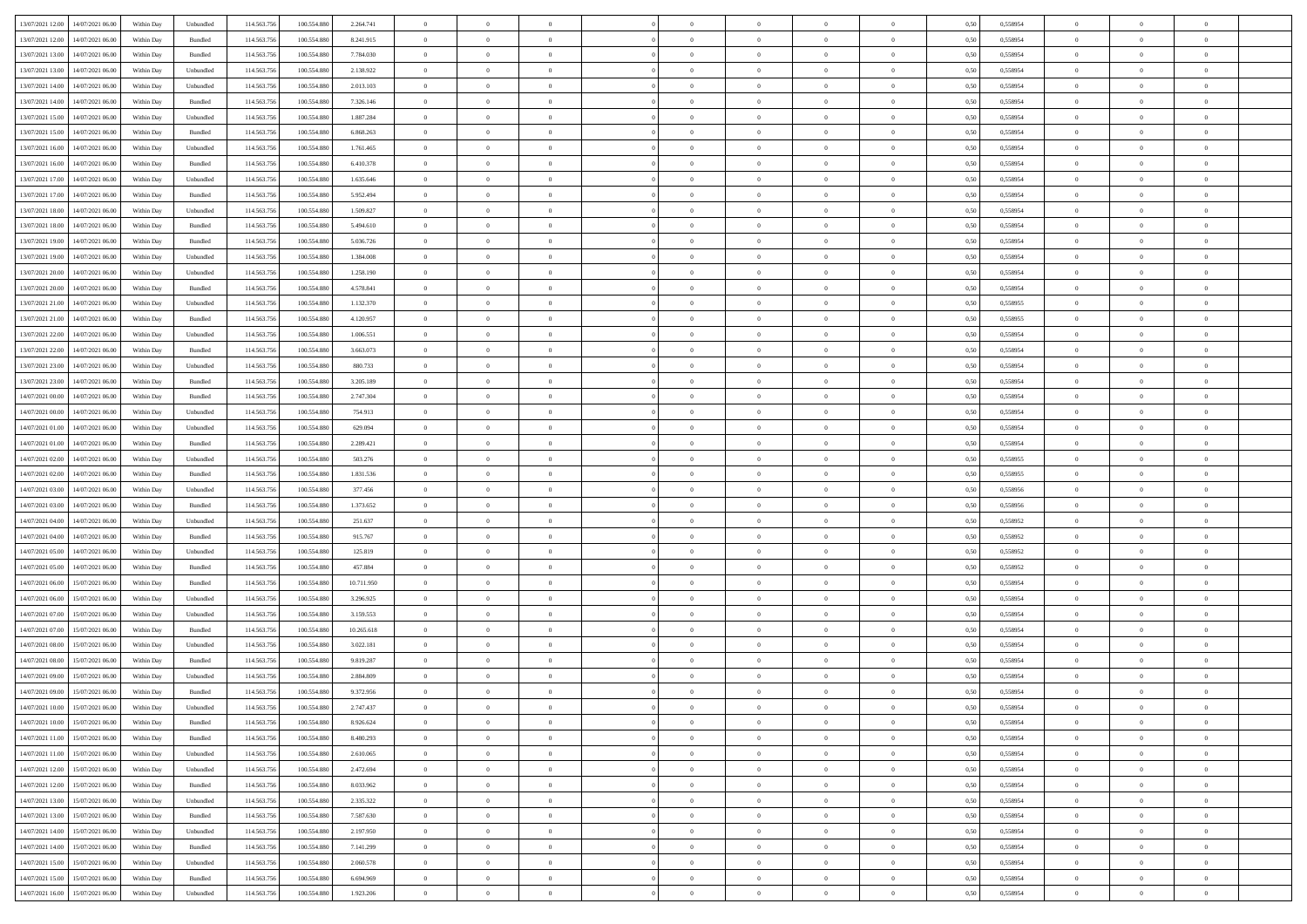| 13/07/2021 12:00 14/07/2021 06:00            | Within Day | Unbundled                   | 114.563.756 | 100.554.880     | 2.264.741  | $\overline{0}$ | $\overline{0}$ |                | $\overline{0}$ | $\theta$       |                | $\theta$       | 0,50 | 0,558954 | $\theta$       | $\theta$       | $\overline{0}$ |  |
|----------------------------------------------|------------|-----------------------------|-------------|-----------------|------------|----------------|----------------|----------------|----------------|----------------|----------------|----------------|------|----------|----------------|----------------|----------------|--|
|                                              |            |                             |             |                 |            |                |                |                |                |                |                |                |      |          |                |                |                |  |
| 13/07/2021 12:00<br>14/07/2021 06.00         | Within Day | Bundled                     | 114.563.75  | 100.554.88      | 8.241.915  | $\bf{0}$       | $\bf{0}$       | $\bf{0}$       | $\bf{0}$       | $\overline{0}$ | $\overline{0}$ | $\bf{0}$       | 0,50 | 0,558954 | $\,$ 0 $\,$    | $\bf{0}$       | $\overline{0}$ |  |
| 13/07/2021 13:00<br>14/07/2021 06:00         | Within Day | Bundled                     | 114.563.75  | 100,554,880     | 7.784.030  | $\overline{0}$ | $\bf{0}$       | $\overline{0}$ | $\bf{0}$       | $\overline{0}$ | $\overline{0}$ | $\bf{0}$       | 0.50 | 0.558954 | $\bf{0}$       | $\overline{0}$ | $\bf{0}$       |  |
| 13/07/2021 13:00<br>14/07/2021 06:00         | Within Day | Unbundled                   | 114.563.75  | 100.554.880     | 2.138.922  | $\overline{0}$ | $\overline{0}$ | $\overline{0}$ | $\overline{0}$ | $\theta$       | $\overline{0}$ | $\bf{0}$       | 0,50 | 0,558954 | $\theta$       | $\,$ 0 $\,$    | $\overline{0}$ |  |
| 13/07/2021 14:00<br>14/07/2021 06:00         | Within Day | Unbundled                   | 114.563.75  | 100.554.88      | 2.013.103  | $\bf{0}$       | $\overline{0}$ | $\bf{0}$       | $\overline{0}$ | $\bf{0}$       | $\overline{0}$ | $\bf{0}$       | 0,50 | 0,558954 | $\,$ 0 $\,$    | $\bf{0}$       | $\overline{0}$ |  |
| 13/07/2021 14:00<br>14/07/2021 06:00         | Within Day | Bundled                     | 114,563,75  | 100.554.880     | 7.326.146  | $\overline{0}$ | $\bf{0}$       | $\overline{0}$ | $\bf{0}$       | $\overline{0}$ | $\overline{0}$ | $\bf{0}$       | 0.50 | 0.558954 | $\,$ 0 $\,$    | $\theta$       | $\overline{0}$ |  |
| 13/07/2021 15:00<br>14/07/2021 06:00         |            |                             | 114.563.75  |                 |            | $\overline{0}$ | $\overline{0}$ | $\overline{0}$ | $\overline{0}$ | $\overline{0}$ | $\overline{0}$ |                |      |          | $\,$ 0 $\,$    | $\theta$       | $\overline{0}$ |  |
|                                              | Within Day | Unbundled                   |             | 100.554.880     | 1.887.284  |                |                |                |                |                |                | $\bf{0}$       | 0,50 | 0,558954 |                |                |                |  |
| 13/07/2021 15:00<br>14/07/2021 06.00         | Within Day | Bundled                     | 114.563.75  | 100.554.88      | 6.868.263  | $\bf{0}$       | $\bf{0}$       | $\bf{0}$       | $\bf{0}$       | $\overline{0}$ | $\overline{0}$ | $\bf{0}$       | 0,50 | 0,558954 | $\,$ 0 $\,$    | $\bf{0}$       | $\overline{0}$ |  |
| 13/07/2021 16:00<br>14/07/2021 06:00         | Within Day | Unbundled                   | 114,563,75  | 100.554.880     | 1.761.465  | $\overline{0}$ | $\bf{0}$       | $\overline{0}$ | $\bf{0}$       | $\overline{0}$ | $\overline{0}$ | $\bf{0}$       | 0.50 | 0.558954 | $\bf{0}$       | $\overline{0}$ | $\overline{0}$ |  |
| 13/07/2021 16:00<br>14/07/2021 06:00         | Within Day | Bundled                     | 114.563.756 | 100.554.880     | 6.410.378  | $\overline{0}$ | $\bf{0}$       | $\overline{0}$ | $\overline{0}$ | $\overline{0}$ | $\overline{0}$ | $\bf{0}$       | 0,50 | 0,558954 | $\,$ 0 $\,$    | $\,$ 0 $\,$    | $\overline{0}$ |  |
| 13/07/2021 17:00<br>14/07/2021 06.00         | Within Day | Unbundled                   | 114.563.75  | 100.554.880     | 1.635.646  | $\bf{0}$       | $\bf{0}$       | $\bf{0}$       | $\bf{0}$       | $\overline{0}$ | $\overline{0}$ | $\bf{0}$       | 0,50 | 0,558954 | $\,$ 0 $\,$    | $\bf{0}$       | $\overline{0}$ |  |
| 13/07/2021 17:00<br>14/07/2021 06:00         | Within Day | Bundled                     | 114,563,75  | 100,554,880     | 5.952.494  | $\overline{0}$ | $\bf{0}$       | $\overline{0}$ | $\overline{0}$ | $\overline{0}$ | $\overline{0}$ | $\bf{0}$       | 0.50 | 0.558954 | $\bf{0}$       | $\,$ 0 $\,$    | $\,$ 0         |  |
| 13/07/2021 18:00<br>14/07/2021 06:00         | Within Day | Unbundled                   | 114.563.75  | 100.554.880     | 1.509.827  | $\overline{0}$ | $\bf{0}$       | $\overline{0}$ | $\theta$       | $\theta$       | $\overline{0}$ | $\bf{0}$       | 0,50 | 0,558954 | $\,$ 0 $\,$    | $\,$ 0 $\,$    | $\overline{0}$ |  |
|                                              |            |                             |             |                 |            |                | $\bf{0}$       |                |                | $\overline{0}$ | $\overline{0}$ |                |      |          | $\,$ 0 $\,$    | $\bf{0}$       | $\overline{0}$ |  |
| 13/07/2021 18:00<br>14/07/2021 06.00         | Within Day | Bundled                     | 114.563.75  | 100.554.88      | 5.494.610  | $\bf{0}$       |                | $\bf{0}$       | $\bf{0}$       |                |                | $\bf{0}$       | 0,50 | 0,558954 |                |                |                |  |
| 13/07/2021 19:00<br>14/07/2021 06:00         | Within Day | Bundled                     | 114,563,75  | 100.554.880     | 5.036.726  | $\overline{0}$ | $\bf{0}$       | $\overline{0}$ | $\bf{0}$       | $\overline{0}$ | $\overline{0}$ | $\bf{0}$       | 0.50 | 0.558954 | $\,$ 0 $\,$    | $\bf{0}$       | $\overline{0}$ |  |
| 13/07/2021 19:00<br>14/07/2021 06:00         | Within Day | Unbundled                   | 114.563.75  | 100.554.880     | 1.384.008  | $\overline{0}$ | $\bf{0}$       | $\overline{0}$ | $\overline{0}$ | $\overline{0}$ | $\overline{0}$ | $\bf{0}$       | 0,50 | 0,558954 | $\theta$       | $\theta$       | $\overline{0}$ |  |
| 13/07/2021 20:00<br>14/07/2021 06.00         | Within Day | Unbundled                   | 114.563.75  | 100.554.880     | 1.258.190  | $\bf{0}$       | $\bf{0}$       | $\bf{0}$       | $\overline{0}$ | $\overline{0}$ | $\overline{0}$ | $\bf{0}$       | 0,50 | 0,558954 | $\,$ 0 $\,$    | $\bf{0}$       | $\overline{0}$ |  |
| 13/07/2021 20:00<br>14/07/2021 06:00         | Within Day | Bundled                     | 114,563,75  | 100.554.880     | 4.578.841  | $\overline{0}$ | $\bf{0}$       | $\overline{0}$ | $\bf{0}$       | $\bf{0}$       | $\overline{0}$ | $\bf{0}$       | 0.50 | 0.558954 | $\bf{0}$       | $\overline{0}$ | $\bf{0}$       |  |
| 13/07/2021 21:00<br>14/07/2021 06:00         | Within Day | Unbundled                   | 114.563.75  | 100.554.880     | 1.132.370  | $\bf{0}$       | $\bf{0}$       | $\overline{0}$ | $\overline{0}$ | $\overline{0}$ | $\overline{0}$ | $\bf{0}$       | 0,50 | 0,558955 | $\,$ 0 $\,$    | $\bf{0}$       | $\overline{0}$ |  |
| 13/07/2021 21:00<br>14/07/2021 06.00         | Within Day | Bundled                     | 114.563.75  | 100.554.88      | 4.120.957  | $\bf{0}$       | $\bf{0}$       | $\bf{0}$       | $\bf{0}$       | $\overline{0}$ | $\overline{0}$ | $\bf{0}$       | 0,50 | 0,558955 | $\,$ 0 $\,$    | $\bf{0}$       | $\overline{0}$ |  |
| 13/07/2021 22:00<br>14/07/2021 06:00         | Within Day | Unbundled                   | 114.563.75  | 100,554,880     | 1.006.551  | $\overline{0}$ | $\bf{0}$       | $\overline{0}$ | $\overline{0}$ | $\bf{0}$       | $\overline{0}$ | $\bf{0}$       | 0.50 | 0.558954 | $\bf{0}$       | $\,$ 0 $\,$    | $\,$ 0         |  |
|                                              |            |                             |             |                 |            |                |                |                |                |                |                |                |      |          |                |                |                |  |
| 13/07/2021 22:00<br>14/07/2021 06:00         | Within Day | Bundled                     | 114.563.75  | 100.554.880     | 3.663.073  | $\overline{0}$ | $\overline{0}$ | $\overline{0}$ | $\overline{0}$ | $\theta$       | $\overline{0}$ | $\bf{0}$       | 0,50 | 0,558954 | $\theta$       | $\theta$       | $\overline{0}$ |  |
| 13/07/2021 23:00<br>14/07/2021 06.00         | Within Day | Unbundled                   | 114.563.75  | 100.554.880     | 880.733    | $\bf{0}$       | $\bf{0}$       | $\bf{0}$       | $\bf{0}$       | $\overline{0}$ | $\overline{0}$ | $\bf{0}$       | 0,50 | 0,558954 | $\,$ 0 $\,$    | $\bf{0}$       | $\overline{0}$ |  |
| 13/07/2021 23:00<br>14/07/2021 06:00         | Within Day | Bundled                     | 114,563,75  | 100.554.880     | 3.205.189  | $\overline{0}$ | $\bf{0}$       | $\overline{0}$ | $\bf{0}$       | $\overline{0}$ | $\theta$       | $\bf{0}$       | 0.50 | 0.558954 | $\,$ 0 $\,$    | $\overline{0}$ | $\overline{0}$ |  |
| 14/07/2021 00:00<br>14/07/2021 06:00         | Within Day | Bundled                     | 114.563.75  | 100.554.880     | 2.747.304  | $\overline{0}$ | $\overline{0}$ | $\overline{0}$ | $\overline{0}$ | $\overline{0}$ | $\overline{0}$ | $\bf{0}$       | 0,50 | 0,558954 | $\,$ 0 $\,$    | $\theta$       | $\overline{0}$ |  |
| 14/07/2021 00:00<br>14/07/2021 06.00         | Within Day | Unbundled                   | 114.563.75  | 100.554.88      | 754.913    | $\bf{0}$       | $\overline{0}$ | $\bf{0}$       | $\overline{0}$ | $\overline{0}$ | $\overline{0}$ | $\bf{0}$       | 0,50 | 0,558954 | $\,$ 0 $\,$    | $\bf{0}$       | $\overline{0}$ |  |
| 14/07/2021 01:00<br>14/07/2021 06:00         | Within Day | Unbundled                   | 114,563,75  | 100,554,880     | 629.094    | $\overline{0}$ | $\bf{0}$       | $\overline{0}$ | $\bf{0}$       | $\overline{0}$ | $\overline{0}$ | $\bf{0}$       | 0.50 | 0.558954 | $\bf{0}$       | $\overline{0}$ | $\overline{0}$ |  |
| 14/07/2021 01:00<br>14/07/2021 06:00         | Within Day | Bundled                     | 114.563.75  | 100.554.880     | 2.289.421  | $\overline{0}$ | $\bf{0}$       | $\overline{0}$ | $\overline{0}$ | $\overline{0}$ | $\overline{0}$ | $\bf{0}$       | 0,50 | 0,558954 | $\,$ 0 $\,$    | $\bf{0}$       | $\overline{0}$ |  |
| 14/07/2021 02:00<br>14/07/2021 06:00         | Within Day | Unbundled                   | 114.563.75  | 100.554.880     | 503.276    | $\bf{0}$       | $\bf{0}$       | $\bf{0}$       | $\bf{0}$       | $\overline{0}$ | $\bf{0}$       | $\bf{0}$       | 0,50 | 0,558955 | $\,$ 0 $\,$    | $\bf{0}$       | $\overline{0}$ |  |
|                                              |            |                             |             |                 |            |                |                |                |                |                |                |                |      |          |                |                |                |  |
| 14/07/2021 02:00<br>14/07/2021 06:00         | Within Day | Bundled                     | 114,563,75  | 100.554.880     | 1.831.536  | $\overline{0}$ | $\bf{0}$       | $\overline{0}$ | $\overline{0}$ | $\bf{0}$       | $\overline{0}$ | $\bf{0}$       | 0.50 | 0.558955 | $\bf{0}$       | $\,$ 0 $\,$    | $\,$ 0         |  |
| 14/07/2021 03:00<br>14/07/2021 06:00         | Within Day | Unbundled                   | 114.563.75  | 100,554,880     | 377,456    | $\overline{0}$ | $\overline{0}$ | $\overline{0}$ | $\overline{0}$ | $\overline{0}$ | $\overline{0}$ | $\bf{0}$       | 0.50 | 0.558956 | $\theta$       | $\theta$       | $\overline{0}$ |  |
| 14/07/2021 03:00<br>14/07/2021 06.00         | Within Day | Bundled                     | 114.563.75  | 100.554.88      | 1.373.652  | $\bf{0}$       | $\bf{0}$       | $\bf{0}$       | $\bf{0}$       | $\overline{0}$ | $\overline{0}$ | $\bf{0}$       | 0,50 | 0,558956 | $\,$ 0 $\,$    | $\bf{0}$       | $\overline{0}$ |  |
| 14/07/2021 04:00<br>14/07/2021 06:00         | Within Day | Unbundled                   | 114,563,75  | 100,554,880     | 251.637    | $\overline{0}$ | $\bf{0}$       | $\overline{0}$ | $\bf{0}$       | $\overline{0}$ | $\overline{0}$ | $\bf{0}$       | 0.50 | 0.558952 | $\,$ 0 $\,$    | $\bf{0}$       | $\overline{0}$ |  |
| 14/07/2021 04:00<br>14/07/2021 06:00         | Within Dav | Bundled                     | 114.563.75  | 100.554.880     | 915.767    | $\overline{0}$ | $\overline{0}$ | $\overline{0}$ | $\overline{0}$ | $\overline{0}$ | $\overline{0}$ | $\bf{0}$       | 0.50 | 0,558952 | $\theta$       | $\theta$       | $\overline{0}$ |  |
| 14/07/2021 05:00<br>14/07/2021 06.00         | Within Day | Unbundled                   | 114.563.75  | 100.554.88      | 125.819    | $\bf{0}$       | $\bf{0}$       | $\bf{0}$       | $\bf{0}$       | $\overline{0}$ | $\overline{0}$ | $\bf{0}$       | 0,50 | 0,558952 | $\,$ 0 $\,$    | $\bf{0}$       | $\overline{0}$ |  |
| 14/07/2021 05:00<br>14/07/2021 06:00         | Within Day | Bundled                     | 114,563,75  | 100.554.88      | 457.884    | $\overline{0}$ | $\bf{0}$       | $\overline{0}$ | $\bf{0}$       | $\overline{0}$ | $\overline{0}$ | $\bf{0}$       | 0.50 | 0.558952 | $\bf{0}$       | $\overline{0}$ | $\overline{0}$ |  |
| 14/07/2021 06:00<br>15/07/2021 06:00         | Within Dav | Bundled                     | 114.563.75  | 100,554,880     | 10.711.950 | $\overline{0}$ | $\overline{0}$ | $\overline{0}$ | $\overline{0}$ | $\overline{0}$ | $\overline{0}$ | $\bf{0}$       | 0.50 | 0,558954 | $\theta$       | $\theta$       | $\overline{0}$ |  |
| 15/07/2021 06:00                             | Within Day | Unbundled                   | 114.563.75  | 100.554.88      | 3.296.925  | $\bf{0}$       | $\bf{0}$       | $\bf{0}$       | $\bf{0}$       | $\overline{0}$ | $\bf{0}$       | $\bf{0}$       | 0,50 | 0,558954 | $\,$ 0 $\,$    | $\bf{0}$       | $\overline{0}$ |  |
| 14/07/2021 06:00                             |            |                             |             |                 |            |                |                |                |                |                |                |                |      |          |                |                |                |  |
| 14/07/2021 07:00<br>15/07/2021 06:00         | Within Day | Unbundled                   | 114,563,75  | 100,554,880     | 3.159.553  | $\overline{0}$ | $\bf{0}$       | $\overline{0}$ | $\overline{0}$ | $\bf{0}$       | $\overline{0}$ | $\bf{0}$       | 0.50 | 0.558954 | $\bf{0}$       | $\,$ 0 $\,$    | $\,$ 0         |  |
| 14/07/2021 07:00<br>15/07/2021 06:00         | Within Day | Bundled                     | 114.563.75  | 100.554.880     | 10.265.618 | $\overline{0}$ | $\overline{0}$ | $\overline{0}$ | $\overline{0}$ | $\overline{0}$ | $\overline{0}$ | $\bf{0}$       | 0.50 | 0.558954 | $\theta$       | $\theta$       | $\overline{0}$ |  |
| 14/07/2021 08:00<br>15/07/2021 06:00         | Within Day | Unbundled                   | 114.563.75  | 100.554.88      | 3.022.181  | $\bf{0}$       | $\bf{0}$       | $\bf{0}$       | $\overline{0}$ | $\overline{0}$ | $\overline{0}$ | $\bf{0}$       | 0,50 | 0,558954 | $\,$ 0 $\,$    | $\bf{0}$       | $\overline{0}$ |  |
| 14/07/2021 08:00<br>15/07/2021 06:00         | Within Day | Bundled                     | 114,563,75  | 100.554.880     | 9.819.287  | $\overline{0}$ | $\bf{0}$       | $\overline{0}$ | $\bf{0}$       | $\overline{0}$ | $\overline{0}$ | $\bf{0}$       | 0.50 | 0.558954 | $\bf{0}$       | $\bf{0}$       | $\overline{0}$ |  |
| 14/07/2021 09:00<br>15/07/2021 06:00         | Within Day | Unbundled                   | 114.563.75  | 100,554,880     | 2.884.809  | $\overline{0}$ | $\overline{0}$ | $\overline{0}$ | $\overline{0}$ | $\theta$       | $\overline{0}$ | $\overline{0}$ | 0.5( | 0,558954 | $\theta$       | $\theta$       | $\overline{0}$ |  |
| 14/07/2021 09:00<br>15/07/2021 06:00         | Within Day | Bundled                     | 114.563.75  | 100.554.880     | 9.372.956  | $\bf{0}$       | $\bf{0}$       | $\bf{0}$       | $\bf{0}$       | $\bf{0}$       | $\overline{0}$ | $\bf{0}$       | 0,50 | 0,558954 | $\,$ 0 $\,$    | $\overline{0}$ | $\overline{0}$ |  |
| $14/07/2021\ 10.00 \qquad 15/07/2021\ 06.00$ | Within Day | $\ensuremath{\mathsf{Unb}}$ | 114.563.756 | $100.554.880\,$ | 2.747.437  | $\bf{0}$       | $\theta$       |                | $\Omega$       |                |                |                | 0,50 | 0.558954 | $\bf{0}$       | $\bf{0}$       |                |  |
| 14/07/2021 10:00 15/07/2021 06:00            | Within Day | Bundled                     | 114.563.756 | 100.554.880     | 8.926.624  | $\overline{0}$ | $\overline{0}$ | $\Omega$       | $\theta$       | $\overline{0}$ | $\overline{0}$ | $\bf{0}$       | 0,50 | 0,558954 | $\theta$       | $\theta$       | $\overline{0}$ |  |
|                                              |            |                             |             |                 |            |                |                |                |                |                |                |                |      |          |                |                |                |  |
| 14/07/2021 11:00<br>15/07/2021 06:00         | Within Day | Bundled                     | 114.563.75  | 100.554.880     | 8.480.293  | $\overline{0}$ | $\bf{0}$       | $\overline{0}$ | $\overline{0}$ | $\bf{0}$       | $\overline{0}$ | $\bf{0}$       | 0,50 | 0,558954 | $\bf{0}$       | $\overline{0}$ | $\bf{0}$       |  |
| 14/07/2021 11:00 15/07/2021 06:00            | Within Day | Unbundled                   | 114,563,756 | 100,554,880     | 2.610.065  | $\overline{0}$ | $\bf{0}$       | $\overline{0}$ | $\overline{0}$ | $\mathbf{0}$   | $\overline{0}$ | $\,$ 0 $\,$    | 0.50 | 0.558954 | $\overline{0}$ | $\bf{0}$       | $\bf{0}$       |  |
| 14/07/2021 12:00 15/07/2021 06:00            | Within Day | Unbundled                   | 114.563.756 | 100.554.880     | 2.472.694  | $\overline{0}$ | $\overline{0}$ | $\overline{0}$ | $\overline{0}$ | $\overline{0}$ | $\overline{0}$ | $\bf{0}$       | 0,50 | 0,558954 | $\overline{0}$ | $\theta$       | $\overline{0}$ |  |
| 14/07/2021 12:00<br>15/07/2021 06:00         | Within Day | Bundled                     | 114.563.75  | 100.554.880     | 8.033.962  | $\overline{0}$ | $\bf{0}$       | $\overline{0}$ | $\overline{0}$ | $\bf{0}$       | $\overline{0}$ | $\bf{0}$       | 0,50 | 0,558954 | $\bf{0}$       | $\overline{0}$ | $\overline{0}$ |  |
| 14/07/2021 13:00<br>15/07/2021 06:00         | Within Day | Unbundled                   | 114.563.756 | 100,554,880     | 2.335.322  | $\overline{0}$ | $\bf{0}$       | $\overline{0}$ | $\overline{0}$ | $\bf{0}$       | $\overline{0}$ | $\bf{0}$       | 0.50 | 0.558954 | $\,$ 0 $\,$    | $\overline{0}$ | $\,$ 0         |  |
| 14/07/2021 13:00<br>15/07/2021 06:00         | Within Dav | Bundled                     | 114.563.756 | 100.554.880     | 7.587.630  | $\overline{0}$ | $\overline{0}$ | $\overline{0}$ | $\overline{0}$ | $\overline{0}$ | $\overline{0}$ | $\bf{0}$       | 0.50 | 0,558954 | $\overline{0}$ | $\theta$       | $\overline{0}$ |  |
| 15/07/2021 06:00<br>14/07/2021 14:00         | Within Day | Unbundled                   | 114.563.75  | 100.554.880     | 2.197.950  | $\overline{0}$ | $\overline{0}$ | $\overline{0}$ | $\overline{0}$ | $\overline{0}$ | $\overline{0}$ | $\bf{0}$       | 0,50 | 0,558954 | $\bf{0}$       | $\overline{0}$ | $\,$ 0         |  |
|                                              |            |                             |             |                 |            |                |                |                |                |                |                |                |      |          |                |                |                |  |
| 14/07/2021 14:00<br>15/07/2021 06:00         | Within Day | Bundled                     | 114.563.75  | 100,554,880     | 7.141.299  | $\overline{0}$ | $\overline{0}$ | $\overline{0}$ | $\overline{0}$ | $\overline{0}$ | $\overline{0}$ | $\bf{0}$       | 0.50 | 0.558954 | $\mathbf{0}$   | $\bf{0}$       | $\,$ 0         |  |
| 14/07/2021 15:00<br>15/07/2021 06:00         | Within Dav | Unbundled                   | 114.563.756 | 100.554.880     | 2.060.578  | $\overline{0}$ | $\overline{0}$ | $\overline{0}$ | $\overline{0}$ | $\overline{0}$ | $\overline{0}$ | $\bf{0}$       | 0,50 | 0,558954 | $\overline{0}$ | $\theta$       | $\overline{0}$ |  |
| 14/07/2021 15:00<br>15/07/2021 06:00         | Within Day | Bundled                     | 114.563.75  | 100.554.880     | 6.694.969  | $\overline{0}$ | $\bf{0}$       | $\overline{0}$ | $\overline{0}$ | $\overline{0}$ | $\overline{0}$ | $\bf{0}$       | 0,50 | 0,558954 | $\bf{0}$       | $\overline{0}$ | $\bf{0}$       |  |
| 14/07/2021 16:00 15/07/2021 06:00            | Within Day | ${\sf Unbundred}$           | 114.563.756 | 100.554.880     | 1.923.206  | $\overline{0}$ | $\bf{0}$       | $\overline{0}$ | $\overline{0}$ | $\,$ 0 $\,$    | $\overline{0}$ | $\bf{0}$       | 0,50 | 0,558954 | $\overline{0}$ | $\,$ 0 $\,$    | $\,$ 0 $\,$    |  |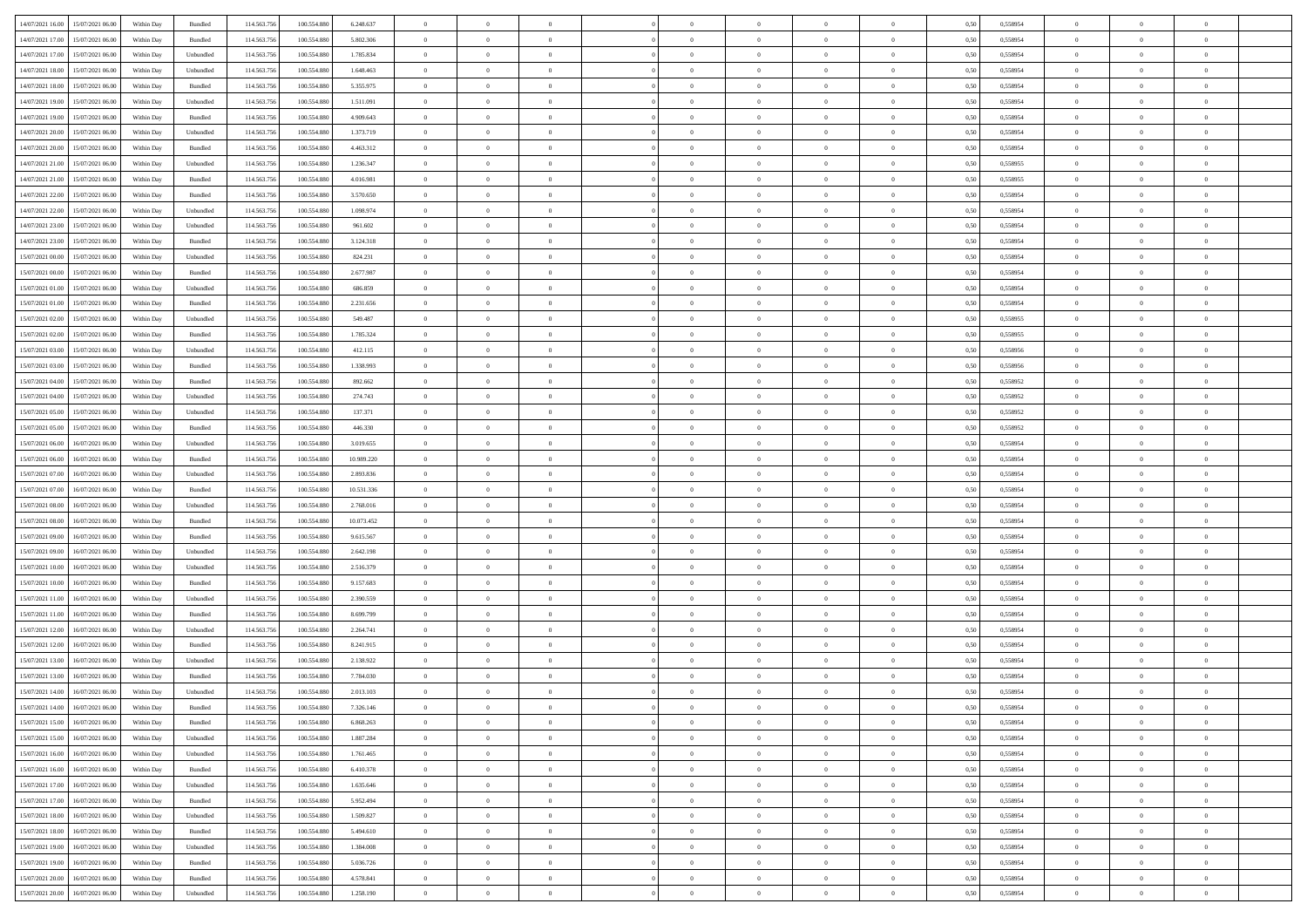| 14/07/2021 16:00 15/07/2021 06:00            | Within Day | Bundled           | 114.563.75  | 100.554.880     | 6.248.637  | $\overline{0}$ | $\overline{0}$ |                | $\overline{0}$ | $\theta$       |                | $\theta$       | 0,50 | 0,558954 | $\theta$       | $\theta$       | $\overline{0}$ |  |
|----------------------------------------------|------------|-------------------|-------------|-----------------|------------|----------------|----------------|----------------|----------------|----------------|----------------|----------------|------|----------|----------------|----------------|----------------|--|
|                                              |            |                   |             |                 |            |                |                |                |                |                |                |                |      |          |                |                |                |  |
| 14/07/2021 17:00<br>15/07/2021 06:00         | Within Day | Bundled           | 114.563.75  | 100.554.88      | 5.802.306  | $\bf{0}$       | $\bf{0}$       | $\bf{0}$       | $\bf{0}$       | $\overline{0}$ | $\overline{0}$ | $\bf{0}$       | 0,50 | 0,558954 | $\,$ 0 $\,$    | $\bf{0}$       | $\overline{0}$ |  |
| 14/07/2021 17:00<br>15/07/2021 06:00         | Within Day | Unbundled         | 114,563,75  | 100,554,880     | 1.785.834  | $\overline{0}$ | $\bf{0}$       | $\overline{0}$ | $\bf{0}$       | $\bf{0}$       | $\overline{0}$ | $\bf{0}$       | 0.50 | 0.558954 | $\bf{0}$       | $\overline{0}$ | $\bf{0}$       |  |
| 14/07/2021 18:00<br>15/07/2021 06:00         | Within Day | Unbundled         | 114.563.75  | 100.554.880     | 1.648.463  | $\overline{0}$ | $\overline{0}$ | $\overline{0}$ | $\overline{0}$ | $\theta$       | $\overline{0}$ | $\bf{0}$       | 0,50 | 0,558954 | $\theta$       | $\theta$       | $\overline{0}$ |  |
| 14/07/2021 18:00<br>15/07/2021 06:00         | Within Day | Bundled           | 114.563.75  | 100.554.880     | 5.355.975  | $\bf{0}$       | $\overline{0}$ | $\bf{0}$       | $\overline{0}$ | $\bf{0}$       | $\overline{0}$ | $\bf{0}$       | 0,50 | 0,558954 | $\,$ 0 $\,$    | $\bf{0}$       | $\overline{0}$ |  |
| 14/07/2021 19:00<br>15/07/2021 06:00         | Within Day | Unbundled         | 114,563,75  | 100.554.880     | 1.511.091  | $\overline{0}$ | $\bf{0}$       | $\overline{0}$ | $\bf{0}$       | $\overline{0}$ | $\theta$       | $\bf{0}$       | 0.50 | 0.558954 | $\,$ 0 $\,$    | $\theta$       | $\overline{0}$ |  |
|                                              |            |                   |             |                 |            | $\overline{0}$ | $\overline{0}$ | $\overline{0}$ | $\overline{0}$ | $\overline{0}$ | $\overline{0}$ |                |      |          | $\theta$       | $\theta$       |                |  |
| 14/07/2021 19:00<br>15/07/2021 06:00         | Within Day | Bundled           | 114.563.75  | 100.554.880     | 4.909.643  |                |                |                |                |                |                | $\bf{0}$       | 0,50 | 0,558954 |                |                | $\overline{0}$ |  |
| 14/07/2021 20:00<br>15/07/2021 06:00         | Within Day | Unbundled         | 114.563.75  | 100.554.88      | 1.373.719  | $\bf{0}$       | $\bf{0}$       | $\bf{0}$       | $\overline{0}$ | $\overline{0}$ | $\overline{0}$ | $\bf{0}$       | 0,50 | 0,558954 | $\,$ 0 $\,$    | $\bf{0}$       | $\overline{0}$ |  |
| 14/07/2021 20:00<br>15/07/2021 06:00         | Within Day | Bundled           | 114,563,75  | 100.554.880     | 4.463.312  | $\overline{0}$ | $\bf{0}$       | $\overline{0}$ | $\bf{0}$       | $\overline{0}$ | $\overline{0}$ | $\bf{0}$       | 0.50 | 0.558954 | $\bf{0}$       | $\overline{0}$ | $\overline{0}$ |  |
| 14/07/2021 21:00<br>15/07/2021 06:00         | Within Day | Unbundled         | 114.563.75  | 100.554.880     | 1.236.347  | $\bf{0}$       | $\bf{0}$       | $\overline{0}$ | $\overline{0}$ | $\overline{0}$ | $\overline{0}$ | $\bf{0}$       | 0,50 | 0,558955 | $\,$ 0 $\,$    | $\bf{0}$       | $\overline{0}$ |  |
| 14/07/2021 21:00<br>15/07/2021 06:00         | Within Day | Bundled           | 114.563.75  | 100.554.880     | 4.016.981  | $\bf{0}$       | $\bf{0}$       | $\bf{0}$       | $\bf{0}$       | $\overline{0}$ | $\overline{0}$ | $\bf{0}$       | 0,50 | 0,558955 | $\,$ 0 $\,$    | $\bf{0}$       | $\overline{0}$ |  |
| 14/07/2021 22:00<br>15/07/2021 06:00         | Within Day | Bundled           | 114,563,75  | 100.554.880     | 3.570.650  | $\overline{0}$ | $\bf{0}$       | $\overline{0}$ | $\overline{0}$ | $\overline{0}$ | $\overline{0}$ | $\bf{0}$       | 0.50 | 0.558954 | $\bf{0}$       | $\,$ 0 $\,$    | $\,$ 0         |  |
| 14/07/2021 22:00<br>15/07/2021 06:00         | Within Day | Unbundled         | 114.563.75  | 100.554.880     | 1.098.974  | $\overline{0}$ | $\overline{0}$ | $\overline{0}$ | $\theta$       | $\theta$       | $\overline{0}$ | $\bf{0}$       | 0,50 | 0,558954 | $\,$ 0 $\,$    | $\theta$       | $\overline{0}$ |  |
| 14/07/2021 23:00<br>15/07/2021 06:00         | Within Day | Unbundled         | 114.563.75  | 100.554.88      | 961.602    | $\bf{0}$       | $\overline{0}$ | $\bf{0}$       | $\bf{0}$       | $\overline{0}$ | $\overline{0}$ | $\bf{0}$       | 0,50 | 0,558954 | $\,$ 0 $\,$    | $\bf{0}$       | $\overline{0}$ |  |
|                                              |            |                   |             |                 |            |                |                |                |                |                |                |                |      |          |                |                |                |  |
| 14/07/2021 23:00<br>15/07/2021 06:00         | Within Day | Bundled           | 114,563,75  | 100.554.880     | 3.124.318  | $\overline{0}$ | $\bf{0}$       | $\overline{0}$ | $\bf{0}$       | $\overline{0}$ | $\theta$       | $\bf{0}$       | 0.50 | 0.558954 | $\,$ 0 $\,$    | $\theta$       | $\overline{0}$ |  |
| 15/07/2021 00:00<br>15/07/2021 06:00         | Within Day | Unbundled         | 114.563.75  | 100.554.880     | 824.231    | $\overline{0}$ | $\overline{0}$ | $\overline{0}$ | $\overline{0}$ | $\overline{0}$ | $\overline{0}$ | $\bf{0}$       | 0,50 | 0,558954 | $\theta$       | $\theta$       | $\overline{0}$ |  |
| 15/07/2021 00:00<br>15/07/2021 06:00         | Within Day | Bundled           | 114.563.75  | 100.554.880     | 2.677.987  | $\bf{0}$       | $\bf{0}$       | $\bf{0}$       | $\overline{0}$ | $\overline{0}$ | $\overline{0}$ | $\bf{0}$       | 0,50 | 0,558954 | $\,$ 0 $\,$    | $\bf{0}$       | $\overline{0}$ |  |
| 15/07/2021 01:00<br>15/07/2021 06:00         | Within Day | Unbundled         | 114,563,75  | 100.554.88      | 686.859    | $\overline{0}$ | $\bf{0}$       | $\overline{0}$ | $\bf{0}$       | $\bf{0}$       | $\overline{0}$ | $\bf{0}$       | 0.50 | 0.558954 | $\bf{0}$       | $\overline{0}$ | $\bf{0}$       |  |
| 15/07/2021 01:00<br>15/07/2021 06:00         | Within Day | Bundled           | 114.563.75  | 100.554.880     | 2.231.656  | $\overline{0}$ | $\bf{0}$       | $\overline{0}$ | $\overline{0}$ | $\overline{0}$ | $\overline{0}$ | $\bf{0}$       | 0,50 | 0,558954 | $\,$ 0 $\,$    | $\bf{0}$       | $\overline{0}$ |  |
| 15/07/2021 02:00<br>15/07/2021 06:00         | Within Day | Unbundled         | 114.563.75  | 100.554.88      | 549.487    | $\bf{0}$       | $\bf{0}$       | $\bf{0}$       | $\bf{0}$       | $\overline{0}$ | $\overline{0}$ | $\bf{0}$       | 0,50 | 0,558955 | $\,$ 0 $\,$    | $\bf{0}$       | $\overline{0}$ |  |
| 15/07/2021 02:00<br>15/07/2021 06:00         | Within Day | Bundled           | 114,563,75  | 100,554,880     | 1.785.324  | $\overline{0}$ | $\bf{0}$       | $\overline{0}$ | $\overline{0}$ | $\bf{0}$       | $\overline{0}$ | $\bf{0}$       | 0.50 | 0.558955 | $\bf{0}$       | $\overline{0}$ | $\,$ 0         |  |
|                                              |            |                   |             |                 |            | $\overline{0}$ | $\overline{0}$ | $\overline{0}$ | $\overline{0}$ | $\theta$       | $\overline{0}$ |                |      |          | $\theta$       | $\theta$       | $\overline{0}$ |  |
| 15/07/2021 03:00<br>15/07/2021 06:00         | Within Day | Unbundled         | 114.563.75  | 100.554.880     | 412.115    |                |                |                |                |                |                | $\bf{0}$       | 0,50 | 0,558956 |                |                |                |  |
| 15/07/2021 03:00<br>15/07/2021 06:00         | Within Day | Bundled           | 114.563.75  | 100.554.88      | 1.338.993  | $\bf{0}$       | $\bf{0}$       | $\bf{0}$       | $\bf{0}$       | $\overline{0}$ | $\overline{0}$ | $\bf{0}$       | 0,50 | 0,558956 | $\,$ 0 $\,$    | $\bf{0}$       | $\overline{0}$ |  |
| 15/07/2021 04:00<br>15/07/2021 06:00         | Within Day | Bundled           | 114,563,75  | 100.554.88      | 892.662    | $\overline{0}$ | $\bf{0}$       | $\overline{0}$ | $\bf{0}$       | $\overline{0}$ | $\theta$       | $\bf{0}$       | 0.50 | 0.558952 | $\,$ 0 $\,$    | $\theta$       | $\overline{0}$ |  |
| 15/07/2021 04:00<br>15/07/2021 06:00         | Within Day | Unbundled         | 114.563.75  | 100.554.880     | 274.743    | $\overline{0}$ | $\overline{0}$ | $\overline{0}$ | $\overline{0}$ | $\overline{0}$ | $\overline{0}$ | $\bf{0}$       | 0,50 | 0,558952 | $\,$ 0 $\,$    | $\theta$       | $\overline{0}$ |  |
| 15/07/2021 05:00<br>15/07/2021 06:00         | Within Day | Unbundled         | 114.563.75  | 100.554.88      | 137.371    | $\bf{0}$       | $\overline{0}$ | $\bf{0}$       | $\overline{0}$ | $\overline{0}$ | $\overline{0}$ | $\bf{0}$       | 0,50 | 0,558952 | $\,$ 0 $\,$    | $\bf{0}$       | $\overline{0}$ |  |
| 15/07/2021 05:00<br>15/07/2021 06:00         | Within Day | Bundled           | 114,563,75  | 100.554.88      | 446.330    | $\overline{0}$ | $\bf{0}$       | $\overline{0}$ | $\bf{0}$       | $\overline{0}$ | $\overline{0}$ | $\bf{0}$       | 0.50 | 0.558952 | $\bf{0}$       | $\overline{0}$ | $\overline{0}$ |  |
| 15/07/2021 06:00<br>16/07/2021 06:00         | Within Day | Unbundled         | 114.563.75  | 100.554.880     | 3.019.655  | $\overline{0}$ | $\bf{0}$       | $\overline{0}$ | $\overline{0}$ | $\overline{0}$ | $\overline{0}$ | $\bf{0}$       | 0,50 | 0,558954 | $\theta$       | $\bf{0}$       | $\overline{0}$ |  |
| 15/07/2021 06:00<br>16/07/2021 06:00         | Within Day | Bundled           | 114.563.75  | 100.554.88      | 10.989.220 | $\bf{0}$       | $\bf{0}$       | $\bf{0}$       | $\bf{0}$       | $\overline{0}$ | $\bf{0}$       | $\bf{0}$       | 0,50 | 0,558954 | $\,$ 0 $\,$    | $\bf{0}$       | $\overline{0}$ |  |
|                                              |            |                   |             |                 |            |                |                |                |                |                |                |                |      |          |                |                |                |  |
| 15/07/2021 07:00<br>16/07/2021 06:00         | Within Day | Unbundled         | 114,563,75  | 100.554.880     | 2.893.836  | $\overline{0}$ | $\bf{0}$       | $\overline{0}$ | $\overline{0}$ | $\bf{0}$       | $\overline{0}$ | $\bf{0}$       | 0.50 | 0.558954 | $\bf{0}$       | $\,$ 0 $\,$    | $\,$ 0         |  |
| 15/07/2021 07:00<br>16/07/2021 06:00         | Within Day | Bundled           | 114.563.75  | 100,554,880     | 10.531.336 | $\overline{0}$ | $\overline{0}$ | $\overline{0}$ | $\overline{0}$ | $\overline{0}$ | $\overline{0}$ | $\bf{0}$       | 0.50 | 0.558954 | $\theta$       | $\theta$       | $\overline{0}$ |  |
| 15/07/2021 08:00<br>16/07/2021 06:00         | Within Day | Unbundled         | 114.563.75  | 100.554.88      | 2.768.016  | $\bf{0}$       | $\bf{0}$       | $\bf{0}$       | $\bf{0}$       | $\overline{0}$ | $\overline{0}$ | $\bf{0}$       | 0,50 | 0,558954 | $\,$ 0 $\,$    | $\bf{0}$       | $\overline{0}$ |  |
| 15/07/2021 08:00<br>16/07/2021 06:00         | Within Day | Bundled           | 114,563,75  | 100,554,880     | 10.073.452 | $\overline{0}$ | $\bf{0}$       | $\overline{0}$ | $\bf{0}$       | $\overline{0}$ | $\overline{0}$ | $\bf{0}$       | 0.50 | 0.558954 | $\,$ 0 $\,$    | $\bf{0}$       | $\overline{0}$ |  |
| 15/07/2021 09:00<br>16/07/2021 06:00         | Within Dav | Bundled           | 114.563.75  | 100.554.880     | 9.615.567  | $\overline{0}$ | $\overline{0}$ | $\overline{0}$ | $\overline{0}$ | $\overline{0}$ | $\overline{0}$ | $\bf{0}$       | 0.5( | 0,558954 | $\theta$       | $\theta$       | $\overline{0}$ |  |
| 15/07/2021 09:00<br>16/07/2021 06:00         | Within Day | Unbundled         | 114.563.75  | 100.554.88      | 2.642.198  | $\bf{0}$       | $\bf{0}$       | $\bf{0}$       | $\bf{0}$       | $\overline{0}$ | $\overline{0}$ | $\bf{0}$       | 0,50 | 0,558954 | $\,$ 0 $\,$    | $\bf{0}$       | $\overline{0}$ |  |
| 15/07/2021 10:00<br>16/07/2021 06:00         | Within Day | Unbundled         | 114,563,75  | 100.554.880     | 2.516.379  | $\overline{0}$ | $\bf{0}$       | $\overline{0}$ | $\bf{0}$       | $\overline{0}$ | $\overline{0}$ | $\bf{0}$       | 0.50 | 0.558954 | $\bf{0}$       | $\overline{0}$ | $\bf{0}$       |  |
| 15/07/2021 10:00<br>16/07/2021 06:00         | Within Dav | Bundled           | 114.563.75  | 100,554,880     | 9.157.683  | $\overline{0}$ | $\overline{0}$ | $\overline{0}$ | $\overline{0}$ | $\overline{0}$ | $\overline{0}$ | $\bf{0}$       | 0.50 | 0,558954 | $\theta$       | $\theta$       | $\overline{0}$ |  |
|                                              |            |                   |             |                 |            |                |                |                |                |                |                |                |      |          |                |                |                |  |
| 15/07/2021 11:00<br>16/07/2021 06:00         | Within Day | Unbundled         | 114.563.75  | 100.554.88      | 2.390.559  | $\bf{0}$       | $\bf{0}$       | $\bf{0}$       | $\bf{0}$       | $\overline{0}$ | $\bf{0}$       | $\bf{0}$       | 0,50 | 0,558954 | $\,$ 0 $\,$    | $\bf{0}$       | $\overline{0}$ |  |
| 15/07/2021 11:00<br>16/07/2021 06:00         | Within Day | Bundled           | 114,563,75  | 100,554,880     | 8.699.799  | $\overline{0}$ | $\bf{0}$       | $\overline{0}$ | $\overline{0}$ | $\bf{0}$       | $\overline{0}$ | $\bf{0}$       | 0.50 | 0.558954 | $\bf{0}$       | $\,$ 0 $\,$    | $\,$ 0         |  |
| 15/07/2021 12:00<br>16/07/2021 06:00         | Within Dav | Unbundled         | 114.563.75  | 100.554.880     | 2.264.741  | $\overline{0}$ | $\overline{0}$ | $\overline{0}$ | $\overline{0}$ | $\overline{0}$ | $\overline{0}$ | $\bf{0}$       | 0.50 | 0,558954 | $\theta$       | $\theta$       | $\overline{0}$ |  |
| 15/07/2021 12:00<br>16/07/2021 06:00         | Within Day | Bundled           | 114.563.75  | 100.554.88      | 8.241.915  | $\bf{0}$       | $\bf{0}$       | $\bf{0}$       | $\bf{0}$       | $\overline{0}$ | $\overline{0}$ | $\bf{0}$       | 0,50 | 0,558954 | $\,$ 0 $\,$    | $\bf{0}$       | $\overline{0}$ |  |
| 15/07/2021 13:00<br>16/07/2021 06:00         | Within Day | Unbundled         | 114,563,75  | 100.554.88      | 2.138.922  | $\overline{0}$ | $\overline{0}$ | $\overline{0}$ | $\bf{0}$       | $\overline{0}$ | $\overline{0}$ | $\bf{0}$       | 0.50 | 0.558954 | $\bf{0}$       | $\theta$       | $\overline{0}$ |  |
| 15/07/2021 13:00<br>16/07/2021 06:00         | Within Dav | Bundled           | 114.563.75  | 100,554,880     | 7.784.030  | $\overline{0}$ | $\overline{0}$ | $\overline{0}$ | $\theta$       | $\theta$       | $\overline{0}$ | $\overline{0}$ | 0.5( | 0,558954 | $\theta$       | $\theta$       | $\overline{0}$ |  |
| 15/07/2021 14:00<br>16/07/2021 06:00         | Within Day | Unbundled         | 114.563.75  | 100.554.880     | 2.013.103  | $\bf{0}$       | $\bf{0}$       | $\bf{0}$       | $\bf{0}$       | $\bf{0}$       | $\overline{0}$ | $\bf{0}$       | 0,50 | 0,558954 | $\overline{0}$ | $\overline{0}$ | $\overline{0}$ |  |
| $15/07/2021\ 14.00 \qquad 16/07/2021\ 06.00$ | Within Day | Bundled           | 114.563.756 | $100.554.880\,$ | 7.326.146  | $\bf{0}$       | $\theta$       |                | $\overline{0}$ | $\Omega$       |                |                | 0,50 | 0.558954 | $\bf{0}$       | $\bf{0}$       |                |  |
| 15/07/2021 15:00 16/07/2021 06:00            | Within Day | Bundled           | 114.563.756 | 100.554.880     | 6.868.263  | $\overline{0}$ | $\overline{0}$ | $\Omega$       | $\theta$       | $\overline{0}$ | $\overline{0}$ | $\bf{0}$       | 0,50 | 0,558954 | $\theta$       | $\theta$       | $\overline{0}$ |  |
|                                              |            |                   |             |                 |            |                |                |                |                |                |                |                |      |          |                |                |                |  |
| 15/07/2021 15:00<br>16/07/2021 06:00         | Within Day | Unbundled         | 114.563.75  | 100.554.880     | 1.887.284  | $\overline{0}$ | $\bf{0}$       | $\overline{0}$ | $\overline{0}$ | $\bf{0}$       | $\overline{0}$ | $\bf{0}$       | 0,50 | 0,558954 | $\bf{0}$       | $\overline{0}$ | $\bf{0}$       |  |
| 15/07/2021 16:00 16/07/2021 06:00            | Within Day | Unbundled         | 114,563,756 | 100,554,880     | 1.761.465  | $\overline{0}$ | $\bf{0}$       | $\overline{0}$ | $\overline{0}$ | $\mathbf{0}$   | $\overline{0}$ | $\,$ 0 $\,$    | 0.50 | 0.558954 | $\overline{0}$ | $\bf{0}$       | $\bf{0}$       |  |
| 15/07/2021 16:00 16/07/2021 06:00            | Within Dav | Bundled           | 114.563.756 | 100.554.880     | 6.410.378  | $\overline{0}$ | $\overline{0}$ | $\overline{0}$ | $\overline{0}$ | $\overline{0}$ | $\overline{0}$ | $\bf{0}$       | 0,50 | 0,558954 | $\overline{0}$ | $\theta$       | $\overline{0}$ |  |
| 15/07/2021 17:00<br>16/07/2021 06:00         | Within Day | Unbundled         | 114.563.75  | 100.554.880     | 1.635.646  | $\overline{0}$ | $\bf{0}$       | $\overline{0}$ | $\overline{0}$ | $\bf{0}$       | $\overline{0}$ | $\bf{0}$       | 0,50 | 0,558954 | $\bf{0}$       | $\overline{0}$ | $\overline{0}$ |  |
| 15/07/2021 17:00<br>16/07/2021 06:00         | Within Day | Bundled           | 114.563.756 | 100,554,880     | 5.952.494  | $\overline{0}$ | $\bf{0}$       | $\overline{0}$ | $\overline{0}$ | $\overline{0}$ | $\overline{0}$ | $\bf{0}$       | 0.50 | 0.558954 | $\,$ 0 $\,$    | $\overline{0}$ | $\overline{0}$ |  |
| 15/07/2021 18:00<br>16/07/2021 06:00         | Within Dav | Unbundled         | 114.563.756 | 100.554.880     | 1.509.827  | $\overline{0}$ | $\overline{0}$ | $\overline{0}$ | $\overline{0}$ | $\overline{0}$ | $\overline{0}$ | $\bf{0}$       | 0.50 | 0,558954 | $\overline{0}$ | $\theta$       | $\overline{0}$ |  |
| 15/07/2021 18:00<br>16/07/2021 06:00         | Within Day | Bundled           | 114.563.75  | 100.554.880     | 5.494.610  | $\overline{0}$ | $\overline{0}$ | $\overline{0}$ | $\overline{0}$ | $\overline{0}$ | $\overline{0}$ | $\bf{0}$       | 0,50 | 0,558954 | $\bf{0}$       | $\overline{0}$ | $\,$ 0         |  |
| 16/07/2021 06:00                             |            | Unbundled         | 114.563.75  | 100,554,880     | 1.384,008  |                | $\overline{0}$ | $\overline{0}$ |                |                | $\overline{0}$ |                | 0.50 | 0.558954 |                |                | $\,$ 0         |  |
| 15/07/2021 19:00                             | Within Day |                   |             |                 |            | $\overline{0}$ |                |                | $\overline{0}$ | $\overline{0}$ |                | $\bf{0}$       |      |          | $\mathbf{0}$   | $\bf{0}$       |                |  |
| 15/07/2021 19:00<br>16/07/2021 06:00         | Within Dav | Bundled           | 114.563.756 | 100.554.880     | 5.036.726  | $\overline{0}$ | $\overline{0}$ | $\overline{0}$ | $\overline{0}$ | $\overline{0}$ | $\overline{0}$ | $\bf{0}$       | 0,50 | 0,558954 | $\overline{0}$ | $\theta$       | $\overline{0}$ |  |
| 15/07/2021 20:00<br>16/07/2021 06:00         | Within Day | Bundled           | 114.563.75  | 100.554.880     | 4.578.841  | $\overline{0}$ | $\bf{0}$       | $\overline{0}$ | $\overline{0}$ | $\overline{0}$ | $\overline{0}$ | $\bf{0}$       | 0,50 | 0,558954 | $\bf{0}$       | $\overline{0}$ | $\bf{0}$       |  |
| 15/07/2021 20:00 16/07/2021 06:00            | Within Day | ${\sf Unbundred}$ | 114.563.756 | 100.554.880     | 1.258.190  | $\overline{0}$ | $\bf{0}$       | $\overline{0}$ | $\overline{0}$ | $\,$ 0 $\,$    | $\overline{0}$ | $\bf{0}$       | 0,50 | 0,558954 | $\overline{0}$ | $\,$ 0 $\,$    | $\,$ 0 $\,$    |  |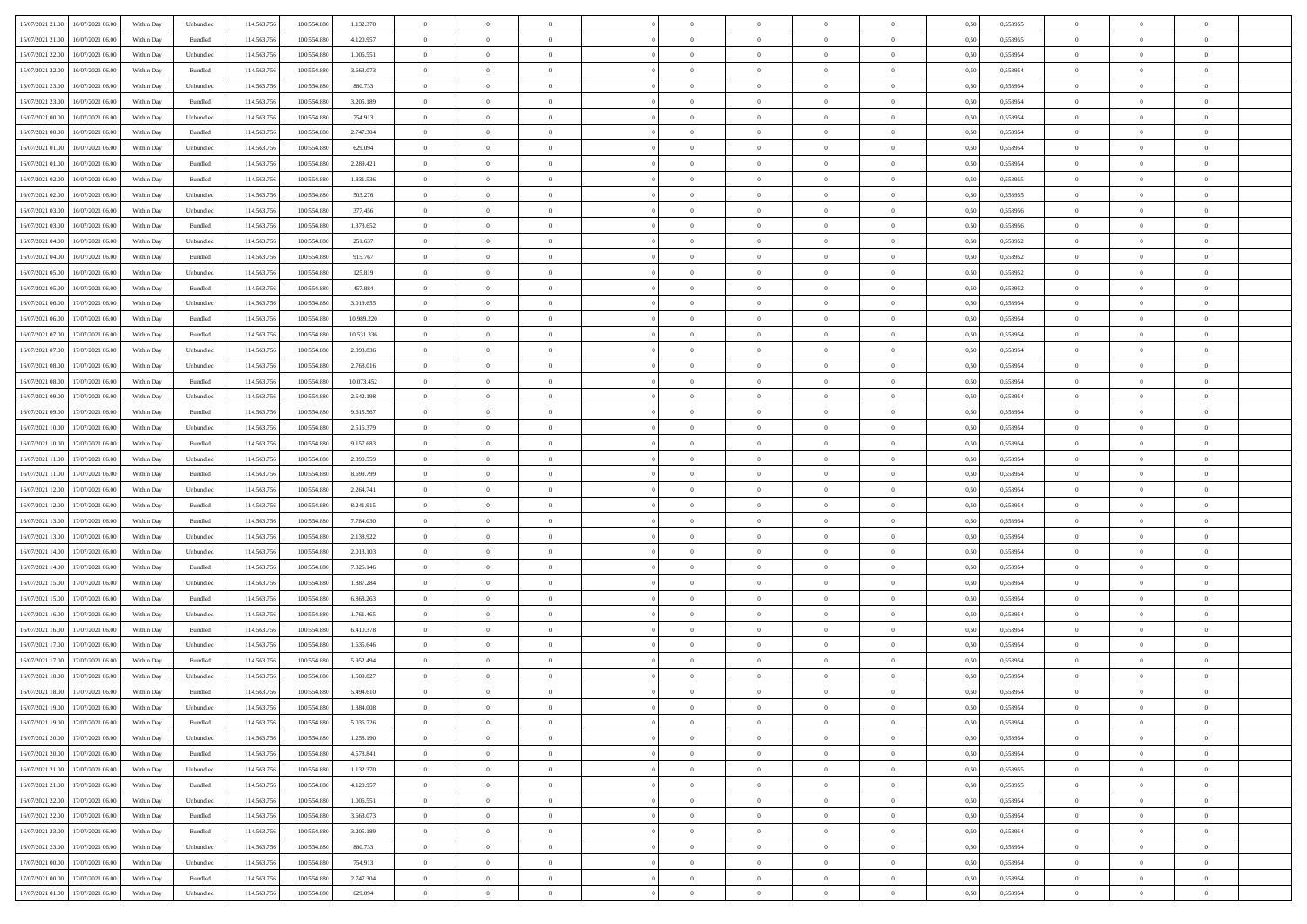|                                             |            |                             |             |                 |            | $\overline{0}$ | $\overline{0}$ |                | $\overline{0}$ | $\theta$       |                | $\theta$       |      |          | $\theta$       | $\theta$       | $\overline{0}$ |  |
|---------------------------------------------|------------|-----------------------------|-------------|-----------------|------------|----------------|----------------|----------------|----------------|----------------|----------------|----------------|------|----------|----------------|----------------|----------------|--|
| 15/07/2021 21:00<br>16/07/2021 06:00        | Within Day | Unbundled                   | 114.563.756 | 100.554.880     | 1.132.370  |                |                |                |                |                |                |                | 0,50 | 0,558955 |                |                |                |  |
| 15/07/2021 21:00<br>16/07/2021 06:00        | Within Day | Bundled                     | 114.563.75  | 100.554.88      | 4.120.957  | $\bf{0}$       | $\bf{0}$       | $\bf{0}$       | $\bf{0}$       | $\overline{0}$ | $\overline{0}$ | $\bf{0}$       | 0,50 | 0,558955 | $\,$ 0 $\,$    | $\bf{0}$       | $\overline{0}$ |  |
| 15/07/2021 22:00<br>16/07/2021 06:00        | Within Day | Unbundled                   | 114,563,75  | 100,554,880     | 1.006.551  | $\overline{0}$ | $\bf{0}$       | $\overline{0}$ | $\bf{0}$       | $\bf{0}$       | $\overline{0}$ | $\bf{0}$       | 0.50 | 0.558954 | $\bf{0}$       | $\overline{0}$ | $\bf{0}$       |  |
| 15/07/2021 22:00<br>16/07/2021 06:00        |            |                             | 114.563.75  |                 |            | $\overline{0}$ | $\overline{0}$ | $\overline{0}$ | $\overline{0}$ | $\theta$       | $\overline{0}$ |                |      |          | $\theta$       | $\theta$       | $\overline{0}$ |  |
|                                             | Within Day | Bundled                     |             | 100.554.880     | 3.663.073  |                |                |                |                |                |                | $\bf{0}$       | 0,50 | 0,558954 |                |                |                |  |
| 15/07/2021 23:00<br>16/07/2021 06:00        | Within Day | Unbundled                   | 114.563.75  | 100.554.88      | 880.733    | $\bf{0}$       | $\overline{0}$ | $\bf{0}$       | $\overline{0}$ | $\bf{0}$       | $\overline{0}$ | $\bf{0}$       | 0,50 | 0,558954 | $\,$ 0 $\,$    | $\bf{0}$       | $\overline{0}$ |  |
| 15/07/2021 23:00<br>16/07/2021 06:00        | Within Day | Bundled                     | 114,563,75  | 100.554.880     | 3.205.189  | $\overline{0}$ | $\bf{0}$       | $\overline{0}$ | $\bf{0}$       | $\overline{0}$ | $\overline{0}$ | $\bf{0}$       | 0.50 | 0.558954 | $\,$ 0 $\,$    | $\theta$       | $\overline{0}$ |  |
| 16/07/2021 00:00<br>16/07/2021 06:00        | Within Day | Unbundled                   | 114.563.75  | 100.554.880     | 754.913    | $\overline{0}$ | $\overline{0}$ | $\overline{0}$ | $\overline{0}$ | $\overline{0}$ | $\overline{0}$ | $\bf{0}$       | 0,50 | 0,558954 | $\theta$       | $\theta$       | $\overline{0}$ |  |
|                                             |            |                             |             |                 |            |                |                |                |                |                |                |                |      |          |                |                |                |  |
| 16/07/2021 00:00<br>16/07/2021 06:00        | Within Day | Bundled                     | 114.563.75  | 100.554.88      | 2.747.304  | $\bf{0}$       | $\bf{0}$       | $\bf{0}$       | $\bf{0}$       | $\overline{0}$ | $\overline{0}$ | $\bf{0}$       | 0,50 | 0,558954 | $\,$ 0 $\,$    | $\bf{0}$       | $\overline{0}$ |  |
| 16/07/2021 01:00<br>16/07/2021 06:00        | Within Day | Unbundled                   | 114.563.75  | 100.554.880     | 629.094    | $\overline{0}$ | $\bf{0}$       | $\overline{0}$ | $\bf{0}$       | $\overline{0}$ | $\overline{0}$ | $\bf{0}$       | 0.50 | 0.558954 | $\bf{0}$       | $\overline{0}$ | $\overline{0}$ |  |
| 16/07/2021 01:00<br>16/07/2021 06:00        | Within Day | Bundled                     | 114.563.75  | 100.554.880     | 2.289.421  | $\overline{0}$ | $\bf{0}$       | $\overline{0}$ | $\overline{0}$ | $\overline{0}$ | $\overline{0}$ | $\bf{0}$       | 0,50 | 0,558954 | $\,$ 0 $\,$    | $\bf{0}$       | $\overline{0}$ |  |
|                                             |            |                             |             |                 |            |                |                |                |                |                |                |                |      |          |                |                |                |  |
| 16/07/2021 02:00<br>16/07/2021 06:00        | Within Day | Bundled                     | 114.563.75  | 100.554.880     | 1.831.536  | $\bf{0}$       | $\bf{0}$       | $\bf{0}$       | $\bf{0}$       | $\overline{0}$ | $\overline{0}$ | $\bf{0}$       | 0,50 | 0,558955 | $\,$ 0 $\,$    | $\bf{0}$       | $\overline{0}$ |  |
| 16/07/2021 02:00<br>16/07/2021 06:00        | Within Day | Unbundled                   | 114,563,75  | 100,554,880     | 503.276    | $\overline{0}$ | $\bf{0}$       | $\overline{0}$ | $\overline{0}$ | $\overline{0}$ | $\overline{0}$ | $\bf{0}$       | 0.50 | 0.558955 | $\bf{0}$       | $\overline{0}$ | $\,$ 0         |  |
| 16/07/2021 03:00<br>16/07/2021 06:00        | Within Day | Unbundled                   | 114.563.75  | 100.554.880     | 377.456    | $\overline{0}$ | $\overline{0}$ | $\overline{0}$ | $\theta$       | $\theta$       | $\overline{0}$ | $\bf{0}$       | 0,50 | 0,558956 | $\,$ 0 $\,$    | $\,$ 0 $\,$    | $\overline{0}$ |  |
| 16/07/2021 03:00<br>16/07/2021 06:00        | Within Day | Bundled                     | 114.563.75  | 100.554.88      | 1.373.652  | $\bf{0}$       | $\overline{0}$ | $\bf{0}$       | $\bf{0}$       | $\overline{0}$ | $\overline{0}$ | $\bf{0}$       | 0,50 | 0,558956 | $\,$ 0 $\,$    | $\bf{0}$       | $\overline{0}$ |  |
|                                             |            |                             |             |                 |            |                |                |                |                |                |                |                |      |          |                |                |                |  |
| 16/07/2021 04:00<br>16/07/2021 06:00        | Within Day | Unbundled                   | 114,563,75  | 100.554.880     | 251.637    | $\overline{0}$ | $\bf{0}$       | $\overline{0}$ | $\bf{0}$       | $\overline{0}$ | $\overline{0}$ | $\bf{0}$       | 0.50 | 0.558952 | $\,$ 0 $\,$    | $\bf{0}$       | $\overline{0}$ |  |
| 16/07/2021 04:00<br>16/07/2021 06:00        | Within Day | Bundled                     | 114.563.75  | 100.554.880     | 915.767    | $\overline{0}$ | $\overline{0}$ | $\overline{0}$ | $\overline{0}$ | $\overline{0}$ | $\overline{0}$ | $\bf{0}$       | 0,50 | 0,558952 | $\theta$       | $\theta$       | $\overline{0}$ |  |
| 16/07/2021 05:00<br>16/07/2021 06:00        | Within Day | Unbundled                   | 114.563.75  | 100.554.88      | 125.819    | $\bf{0}$       | $\bf{0}$       | $\bf{0}$       | $\overline{0}$ | $\overline{0}$ | $\overline{0}$ | $\bf{0}$       | 0,50 | 0,558952 | $\,$ 0 $\,$    | $\bf{0}$       | $\overline{0}$ |  |
|                                             |            |                             |             |                 |            |                |                |                |                |                |                |                |      |          |                |                |                |  |
| 16/07/2021 05:00<br>16/07/2021 06:00        | Within Day | Bundled                     | 114,563,75  | 100.554.88      | 457.884    | $\overline{0}$ | $\bf{0}$       | $\overline{0}$ | $\bf{0}$       | $\bf{0}$       | $\overline{0}$ | $\bf{0}$       | 0.50 | 0.558952 | $\bf{0}$       | $\overline{0}$ | $\bf{0}$       |  |
| 16/07/2021 06:00<br>17/07/2021 06:00        | Within Day | Unbundled                   | 114.563.75  | 100.554.880     | 3.019.655  | $\overline{0}$ | $\bf{0}$       | $\overline{0}$ | $\overline{0}$ | $\overline{0}$ | $\overline{0}$ | $\bf{0}$       | 0,50 | 0,558954 | $\,$ 0 $\,$    | $\bf{0}$       | $\overline{0}$ |  |
| 16/07/2021 06:00<br>17/07/2021 06:00        | Within Day | Bundled                     | 114.563.75  | 100.554.88      | 10.989.220 | $\bf{0}$       | $\bf{0}$       | $\bf{0}$       | $\bf{0}$       | $\overline{0}$ | $\overline{0}$ | $\bf{0}$       | 0,50 | 0,558954 | $\,$ 0 $\,$    | $\bf{0}$       | $\overline{0}$ |  |
| 16/07/2021 07:00<br>17/07/2021 06:00        | Within Day | Bundled                     | 114.563.75  | 100,554,880     | 10.531.336 | $\overline{0}$ | $\bf{0}$       | $\overline{0}$ | $\overline{0}$ | $\bf{0}$       | $\overline{0}$ | $\bf{0}$       | 0.50 | 0.558954 | $\bf{0}$       | $\overline{0}$ | $\,$ 0         |  |
| 16/07/2021 07:00<br>17/07/2021 06:00        | Within Day | Unbundled                   | 114.563.75  | 100.554.880     | 2.893.836  | $\overline{0}$ | $\overline{0}$ | $\overline{0}$ | $\overline{0}$ | $\theta$       | $\overline{0}$ | $\bf{0}$       | 0,50 | 0,558954 | $\theta$       | $\theta$       | $\overline{0}$ |  |
|                                             |            |                             |             |                 |            |                |                |                |                |                |                |                |      |          |                |                |                |  |
| 16/07/2021 08:00<br>17/07/2021 06:00        | Within Day | Unbundled                   | 114.563.75  | 100.554.880     | 2.768.016  | $\bf{0}$       | $\bf{0}$       | $\bf{0}$       | $\bf{0}$       | $\overline{0}$ | $\overline{0}$ | $\bf{0}$       | 0,50 | 0,558954 | $\,$ 0 $\,$    | $\bf{0}$       | $\overline{0}$ |  |
| 16/07/2021 08:00<br>17/07/2021 06:00        | Within Day | Bundled                     | 114,563,75  | 100.554.88      | 10.073.452 | $\overline{0}$ | $\bf{0}$       | $\overline{0}$ | $\bf{0}$       | $\overline{0}$ | $\overline{0}$ | $\bf{0}$       | 0.50 | 0.558954 | $\,$ 0 $\,$    | $\theta$       | $\overline{0}$ |  |
| 16/07/2021 09:00<br>17/07/2021 06:00        | Within Day | Unbundled                   | 114.563.75  | 100.554.880     | 2.642.198  | $\overline{0}$ | $\overline{0}$ | $\overline{0}$ | $\overline{0}$ | $\overline{0}$ | $\overline{0}$ | $\bf{0}$       | 0,50 | 0,558954 | $\,$ 0 $\,$    | $\theta$       | $\overline{0}$ |  |
| 17/07/2021 06:00                            | Within Day | Bundled                     | 114.563.75  | 100.554.88      | 9.615.567  | $\bf{0}$       | $\overline{0}$ | $\bf{0}$       | $\overline{0}$ | $\overline{0}$ | $\overline{0}$ | $\bf{0}$       | 0,50 | 0,558954 | $\,$ 0 $\,$    | $\bf{0}$       | $\overline{0}$ |  |
| 16/07/2021 09:00                            |            |                             |             |                 |            |                |                |                |                |                |                |                |      |          |                |                |                |  |
| 16/07/2021 10:00<br>17/07/2021 06:00        | Within Day | Unbundled                   | 114.563.75  | 100.554.880     | 2.516.379  | $\overline{0}$ | $\bf{0}$       | $\overline{0}$ | $\bf{0}$       | $\overline{0}$ | $\overline{0}$ | $\bf{0}$       | 0.50 | 0.558954 | $\bf{0}$       | $\overline{0}$ | $\overline{0}$ |  |
| 16/07/2021 10:00<br>17/07/2021 06:00        | Within Day | Bundled                     | 114.563.75  | 100.554.880     | 9.157.683  | $\overline{0}$ | $\bf{0}$       | $\overline{0}$ | $\overline{0}$ | $\overline{0}$ | $\overline{0}$ | $\bf{0}$       | 0,50 | 0,558954 | $\theta$       | $\bf{0}$       | $\overline{0}$ |  |
| 16/07/2021 11:00<br>17/07/2021 06:00        | Within Day | Unbundled                   | 114.563.75  | 100.554.880     | 2.390.559  | $\bf{0}$       | $\bf{0}$       | $\bf{0}$       | $\bf{0}$       | $\overline{0}$ | $\overline{0}$ | $\bf{0}$       | 0,50 | 0,558954 | $\,$ 0 $\,$    | $\bf{0}$       | $\overline{0}$ |  |
| 16/07/2021 11:00<br>17/07/2021 06:00        | Within Day | Bundled                     | 114,563,75  | 100.554.880     | 8.699.799  | $\overline{0}$ | $\bf{0}$       | $\overline{0}$ | $\overline{0}$ | $\bf{0}$       | $\overline{0}$ | $\bf{0}$       | 0.50 | 0.558954 | $\bf{0}$       | $\overline{0}$ | $\,$ 0         |  |
|                                             |            |                             |             |                 |            |                |                |                |                |                |                |                |      |          |                |                |                |  |
| 16/07/2021 12:00<br>17/07/2021 06:00        | Within Day | Unbundled                   | 114.563.75  | 100,554,880     | 2.264.741  | $\overline{0}$ | $\overline{0}$ | $\overline{0}$ | $\overline{0}$ | $\overline{0}$ | $\overline{0}$ | $\bf{0}$       | 0.50 | 0.558954 | $\theta$       | $\theta$       | $\overline{0}$ |  |
| 16/07/2021 12:00<br>17/07/2021 06:00        | Within Day | Bundled                     | 114.563.75  | 100.554.88      | 8.241.915  | $\bf{0}$       | $\bf{0}$       | $\bf{0}$       | $\bf{0}$       | $\overline{0}$ | $\overline{0}$ | $\bf{0}$       | 0,50 | 0,558954 | $\,$ 0 $\,$    | $\bf{0}$       | $\overline{0}$ |  |
| 16/07/2021 13:00<br>17/07/2021 06:00        | Within Day | Bundled                     | 114,563,75  | 100.554.880     | 7.784.030  | $\overline{0}$ | $\bf{0}$       | $\overline{0}$ | $\bf{0}$       | $\overline{0}$ | $\overline{0}$ | $\bf{0}$       | 0.50 | 0.558954 | $\,$ 0 $\,$    | $\bf{0}$       | $\overline{0}$ |  |
| 16/07/2021 13:00<br>17/07/2021 06:00        | Within Dav | Unbundled                   | 114.563.75  | 100.554.880     | 2.138.922  | $\overline{0}$ | $\overline{0}$ | $\overline{0}$ | $\overline{0}$ | $\overline{0}$ | $\overline{0}$ | $\bf{0}$       | 0.5( | 0,558954 | $\theta$       | $\theta$       | $\overline{0}$ |  |
|                                             |            |                             |             |                 |            |                |                |                |                |                |                |                |      |          |                |                |                |  |
| 16/07/2021 14:00<br>17/07/2021 06:00        | Within Day | Unbundled                   | 114.563.75  | 100.554.880     | 2.013.103  | $\bf{0}$       | $\bf{0}$       | $\bf{0}$       | $\bf{0}$       | $\overline{0}$ | $\overline{0}$ | $\bf{0}$       | 0,50 | 0,558954 | $\,$ 0 $\,$    | $\bf{0}$       | $\overline{0}$ |  |
| 16/07/2021 14:00<br>17/07/2021 06:00        | Within Day | Bundled                     | 114,563,75  | 100.554.880     | 7.326.146  | $\overline{0}$ | $\bf{0}$       | $\overline{0}$ | $\bf{0}$       | $\overline{0}$ | $\overline{0}$ | $\bf{0}$       | 0.50 | 0.558954 | $\bf{0}$       | $\overline{0}$ | $\overline{0}$ |  |
| 16/07/2021 15:00<br>17/07/2021 06:00        | Within Dav | Unbundled                   | 114.563.75  | 100,554,880     | 1.887.284  | $\overline{0}$ | $\overline{0}$ | $\overline{0}$ | $\overline{0}$ | $\overline{0}$ | $\overline{0}$ | $\bf{0}$       | 0.50 | 0,558954 | $\theta$       | $\theta$       | $\overline{0}$ |  |
| 16/07/2021 15:00<br>17/07/2021 06:00        | Within Day | Bundled                     | 114.563.75  | 100.554.88      | 6.868.263  | $\bf{0}$       | $\bf{0}$       | $\bf{0}$       | $\bf{0}$       | $\overline{0}$ | $\bf{0}$       | $\bf{0}$       | 0,50 | 0,558954 | $\,$ 0 $\,$    | $\bf{0}$       | $\overline{0}$ |  |
|                                             |            |                             |             |                 |            |                |                |                |                |                |                |                |      |          |                |                |                |  |
| 16/07/2021 16:00<br>17/07/2021 06:00        | Within Day | Unbundled                   | 114.563.75  | 100,554,880     | 1.761.465  | $\overline{0}$ | $\bf{0}$       | $\overline{0}$ | $\overline{0}$ | $\bf{0}$       | $\overline{0}$ | $\bf{0}$       | 0.50 | 0.558954 | $\bf{0}$       | $\overline{0}$ | $\,$ 0         |  |
| 16/07/2021 16:00<br>17/07/2021 06:00        | Within Dav | Bundled                     | 114.563.75  | 100.554.880     | 6.410.378  | $\overline{0}$ | $\overline{0}$ | $\overline{0}$ | $\overline{0}$ | $\overline{0}$ | $\overline{0}$ | $\bf{0}$       | 0.50 | 0,558954 | $\theta$       | $\theta$       | $\overline{0}$ |  |
| 16/07/2021 17:00<br>17/07/2021 06:00        | Within Day | Unbundled                   | 114.563.75  | 100.554.88      | 1.635.646  | $\bf{0}$       | $\bf{0}$       | $\bf{0}$       | $\bf{0}$       | $\overline{0}$ | $\overline{0}$ | $\bf{0}$       | 0,50 | 0,558954 | $\,$ 0 $\,$    | $\bf{0}$       | $\overline{0}$ |  |
| 16/07/2021 17:00<br>17/07/2021 06:00        | Within Day | Bundled                     | 114,563,75  | 100.554.880     | 5.952.494  | $\overline{0}$ | $\overline{0}$ | $\overline{0}$ | $\bf{0}$       | $\overline{0}$ | $\overline{0}$ | $\bf{0}$       | 0.50 | 0.558954 | $\bf{0}$       | $\theta$       | $\overline{0}$ |  |
|                                             |            |                             |             |                 |            |                |                |                |                |                |                |                |      |          |                |                |                |  |
| 16/07/2021 18:00<br>17/07/2021 06:00        | Within Day | Unbundled                   | 114.563.75  | 100,554,880     | 1.509.827  | $\overline{0}$ | $\overline{0}$ | $\overline{0}$ | $\theta$       | $\theta$       | $\overline{0}$ | $\overline{0}$ | 0.5( | 0,558954 | $\theta$       | $\theta$       | $\overline{0}$ |  |
| 16/07/2021 18:00<br>17/07/2021 06:00        | Within Day | Bundled                     | 114.563.75  | 100.554.880     | 5.494.610  | $\bf{0}$       | $\bf{0}$       | $\bf{0}$       | $\bf{0}$       | $\bf{0}$       | $\overline{0}$ | $\bf{0}$       | 0,50 | 0,558954 | $\overline{0}$ | $\bf{0}$       | $\overline{0}$ |  |
| $16/07/2021\ 19.00\qquad 17/07/2021\ 06.00$ | Within Day | $\ensuremath{\mathsf{Unb}}$ | 114.563.756 | $100.554.880\,$ | 1.384,008  | $\bf{0}$       | $\theta$       |                | $\Omega$       |                |                |                | 0,50 | 0.558954 | $\bf{0}$       | $\overline{0}$ |                |  |
| 16/07/2021 19:00 17/07/2021 06:00           | Within Day | Bundled                     | 114.563.756 | 100.554.880     | 5.036.726  | $\overline{0}$ | $\overline{0}$ | $\Omega$       | $\theta$       | $\overline{0}$ | $\overline{0}$ | $\bf{0}$       | 0,50 | 0,558954 | $\theta$       | $\theta$       | $\overline{0}$ |  |
|                                             |            |                             |             |                 |            |                |                |                |                |                |                |                |      |          |                |                |                |  |
| 16/07/2021 20:00<br>17/07/2021 06:00        | Within Day | Unbundled                   | 114.563.75  | 100.554.880     | 1.258.190  | $\overline{0}$ | $\bf{0}$       | $\overline{0}$ | $\overline{0}$ | $\bf{0}$       | $\overline{0}$ | $\bf{0}$       | 0,50 | 0,558954 | $\bf{0}$       | $\overline{0}$ | $\bf{0}$       |  |
| 16/07/2021 20:00 17/07/2021 06:00           | Within Day | Bundled                     | 114,563,756 | 100,554,880     | 4.578.841  | $\overline{0}$ | $\overline{0}$ | $\overline{0}$ | $\overline{0}$ | $\mathbf{0}$   | $\overline{0}$ | $\,$ 0 $\,$    | 0.50 | 0.558954 | $\overline{0}$ | $\bf{0}$       | $\bf{0}$       |  |
| 16/07/2021 21:00 17/07/2021 06:00           | Within Day | Unbundled                   | 114.563.756 | 100.554.880     | 1.132.370  | $\overline{0}$ | $\overline{0}$ | $\overline{0}$ | $\overline{0}$ | $\overline{0}$ | $\overline{0}$ | $\bf{0}$       | 0,50 | 0,558955 | $\overline{0}$ | $\theta$       | $\overline{0}$ |  |
| 16/07/2021 21:00<br>17/07/2021 06:00        | Within Day | Bundled                     | 114.563.75  | 100.554.880     | 4.120.957  | $\overline{0}$ | $\bf{0}$       | $\overline{0}$ | $\overline{0}$ | $\bf{0}$       | $\overline{0}$ | $\bf{0}$       | 0,50 | 0,558955 | $\bf{0}$       | $\overline{0}$ | $\overline{0}$ |  |
|                                             |            |                             |             |                 |            |                |                |                |                |                |                |                |      |          |                |                |                |  |
| 16/07/2021 22:00<br>17/07/2021 06:00        | Within Day | Unbundled                   | 114.563.756 | 100,554,880     | 1.006.551  | $\overline{0}$ | $\bf{0}$       | $\overline{0}$ | $\overline{0}$ | $\bf{0}$       | $\overline{0}$ | $\bf{0}$       | 0.50 | 0.558954 | $\,$ 0 $\,$    | $\overline{0}$ | $\,$ 0         |  |
| 16/07/2021 22:00<br>17/07/2021 06:00        | Within Dav | Bundled                     | 114.563.756 | 100.554.880     | 3.663.073  | $\overline{0}$ | $\overline{0}$ | $\overline{0}$ | $\overline{0}$ | $\overline{0}$ | $\overline{0}$ | $\bf{0}$       | 0.50 | 0,558954 | $\overline{0}$ | $\theta$       | $\overline{0}$ |  |
| 17/07/2021 06:00<br>16/07/2021 23:00        | Within Day | Bundled                     | 114.563.75  | 100.554.880     | 3.205.189  | $\overline{0}$ | $\overline{0}$ | $\overline{0}$ | $\overline{0}$ | $\overline{0}$ | $\overline{0}$ | $\bf{0}$       | 0,50 | 0,558954 | $\bf{0}$       | $\overline{0}$ | $\,$ 0         |  |
| 16/07/2021 23:00<br>17/07/2021 06:00        | Within Day | Unbundled                   | 114.563.75  | 100,554,880     | 880,733    | $\overline{0}$ | $\overline{0}$ | $\overline{0}$ | $\overline{0}$ | $\overline{0}$ | $\overline{0}$ | $\bf{0}$       | 0.50 | 0.558954 | $\mathbf{0}$   | $\bf{0}$       | $\,$ 0         |  |
|                                             |            |                             |             |                 |            |                |                |                |                |                |                |                |      |          |                |                |                |  |
| 17/07/2021 00:00 17/07/2021 06:00           | Within Dav | Unbundled                   | 114.563.756 | 100.554.880     | 754.913    | $\overline{0}$ | $\overline{0}$ | $\overline{0}$ | $\overline{0}$ | $\overline{0}$ | $\overline{0}$ | $\bf{0}$       | 0,50 | 0,558954 | $\overline{0}$ | $\theta$       | $\overline{0}$ |  |
| 17/07/2021 00:00<br>17/07/2021 06:00        | Within Day | Bundled                     | 114.563.75  | 100.554.880     | 2.747.304  | $\overline{0}$ | $\bf{0}$       | $\overline{0}$ | $\overline{0}$ | $\overline{0}$ | $\overline{0}$ | $\bf{0}$       | 0,50 | 0,558954 | $\bf{0}$       | $\overline{0}$ | $\bf{0}$       |  |
| 17/07/2021 01:00 17/07/2021 06:00           | Within Day | Unbundled                   | 114.563.756 | 100.554.880     | 629.094    | $\overline{0}$ | $\bf{0}$       | $\overline{0}$ | $\overline{0}$ | $\,$ 0 $\,$    | $\overline{0}$ | $\bf{0}$       | 0,50 | 0,558954 | $\overline{0}$ | $\,$ 0 $\,$    | $\,$ 0 $\,$    |  |
|                                             |            |                             |             |                 |            |                |                |                |                |                |                |                |      |          |                |                |                |  |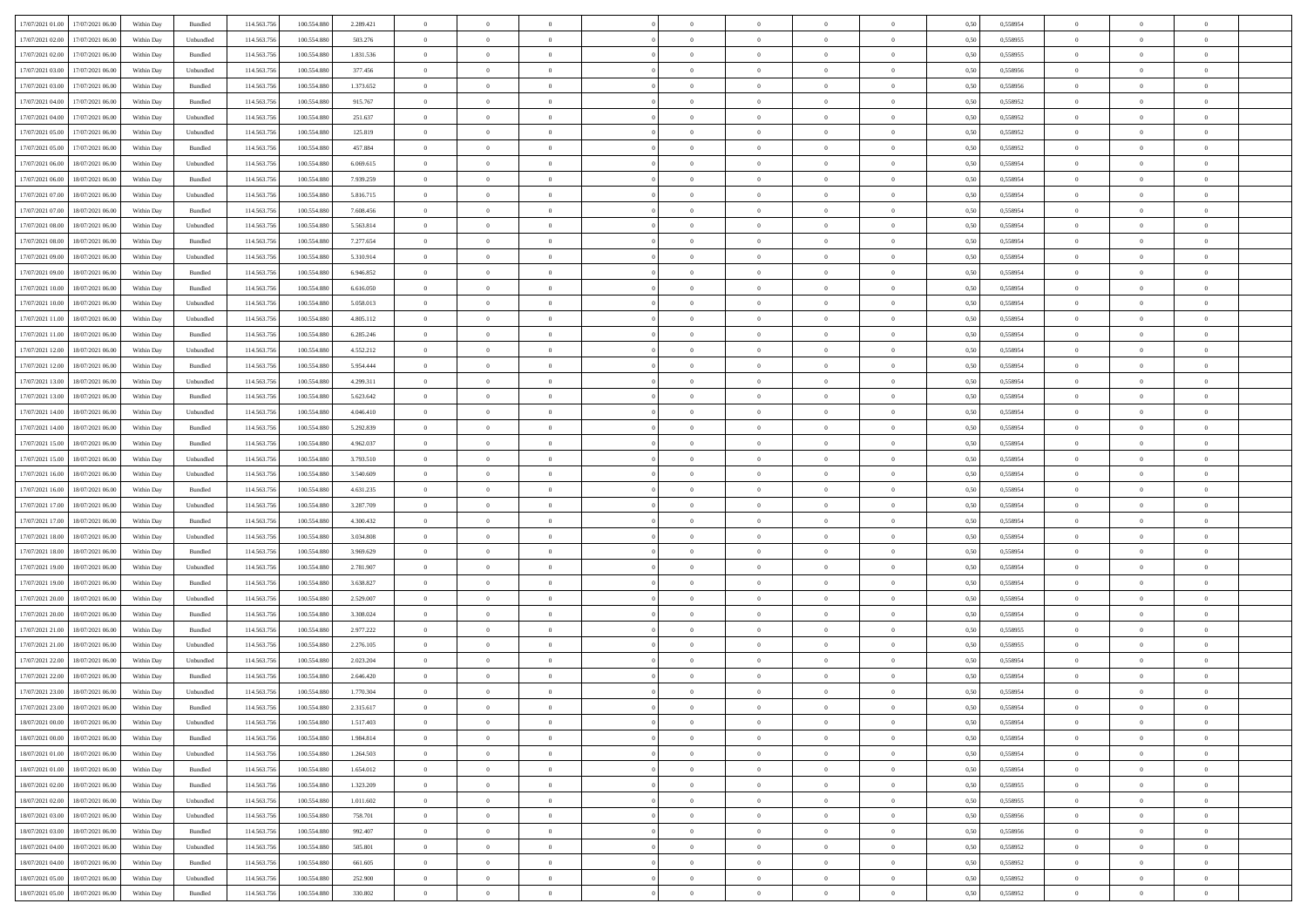| 17/07/2021 01:00 17/07/2021 06:00            |            |           | 114.563.75  |             |           | $\overline{0}$ | $\overline{0}$ |                | $\overline{0}$ | $\theta$       |                | $\theta$       |      | 0,558954 | $\theta$       | $\theta$       | $\overline{0}$ |  |
|----------------------------------------------|------------|-----------|-------------|-------------|-----------|----------------|----------------|----------------|----------------|----------------|----------------|----------------|------|----------|----------------|----------------|----------------|--|
|                                              | Within Day | Bundled   |             | 100.554.880 | 2.289.421 |                |                |                |                |                |                |                | 0,50 |          |                |                |                |  |
| 17/07/2021 02:00<br>17/07/2021 06:00         | Within Day | Unbundled | 114.563.75  | 100.554.88  | 503.276   | $\bf{0}$       | $\bf{0}$       | $\bf{0}$       | $\bf{0}$       | $\overline{0}$ | $\overline{0}$ | $\bf{0}$       | 0,50 | 0,558955 | $\,$ 0 $\,$    | $\bf{0}$       | $\overline{0}$ |  |
| 17/07/2021 02:00<br>17/07/2021 06:00         | Within Day | Bundled   | 114,563,75  | 100.554.880 | 1.831.536 | $\overline{0}$ | $\bf{0}$       | $\overline{0}$ | $\bf{0}$       | $\bf{0}$       | $\overline{0}$ | $\bf{0}$       | 0.50 | 0.558955 | $\bf{0}$       | $\overline{0}$ | $\bf{0}$       |  |
| 17/07/2021 03:00<br>17/07/2021 06:00         | Within Day | Unbundled | 114.563.75  | 100.554.880 | 377.456   | $\overline{0}$ | $\overline{0}$ | $\overline{0}$ | $\theta$       | $\theta$       | $\overline{0}$ | $\bf{0}$       | 0,50 | 0,558956 | $\theta$       | $\theta$       | $\overline{0}$ |  |
|                                              |            |           |             |             |           |                |                |                |                |                |                |                |      |          |                |                |                |  |
| 17/07/2021 03:00<br>17/07/2021 06:00         | Within Day | Bundled   | 114.563.75  | 100.554.88  | 1.373.652 | $\bf{0}$       | $\overline{0}$ | $\bf{0}$       | $\overline{0}$ | $\bf{0}$       | $\overline{0}$ | $\bf{0}$       | 0,50 | 0,558956 | $\,$ 0 $\,$    | $\bf{0}$       | $\overline{0}$ |  |
| 17/07/2021 04:00<br>17/07/2021 06:00         | Within Day | Bundled   | 114,563,75  | 100.554.88  | 915.767   | $\overline{0}$ | $\bf{0}$       | $\overline{0}$ | $\bf{0}$       | $\overline{0}$ | $\theta$       | $\bf{0}$       | 0.50 | 0.558952 | $\,$ 0 $\,$    | $\theta$       | $\overline{0}$ |  |
| 17/07/2021 04:00<br>17/07/2021 06:00         | Within Day | Unbundled | 114.563.75  | 100.554.880 | 251.637   | $\overline{0}$ | $\overline{0}$ | $\overline{0}$ | $\overline{0}$ | $\overline{0}$ | $\overline{0}$ | $\bf{0}$       | 0,50 | 0,558952 | $\theta$       | $\theta$       | $\overline{0}$ |  |
| 17/07/2021 05:00<br>17/07/2021 06:00         | Within Day | Unbundled | 114.563.75  | 100.554.88  | 125.819   | $\bf{0}$       | $\bf{0}$       | $\bf{0}$       | $\overline{0}$ | $\overline{0}$ | $\overline{0}$ | $\bf{0}$       | 0,50 | 0,558952 | $\,$ 0 $\,$    | $\bf{0}$       | $\overline{0}$ |  |
| 17/07/2021 05:00<br>17/07/2021 06:00         | Within Day | Bundled   | 114,563,75  | 100.554.88  | 457.884   | $\overline{0}$ | $\bf{0}$       | $\overline{0}$ | $\bf{0}$       | $\overline{0}$ | $\overline{0}$ | $\bf{0}$       | 0.50 | 0.558952 | $\bf{0}$       | $\overline{0}$ | $\overline{0}$ |  |
|                                              |            |           |             |             |           |                |                |                |                |                |                |                |      |          |                |                |                |  |
| 17/07/2021 06:00<br>18/07/2021 06:00         | Within Day | Unbundled | 114.563.75  | 100.554.880 | 6.069.615 | $\overline{0}$ | $\bf{0}$       | $\overline{0}$ | $\overline{0}$ | $\overline{0}$ | $\overline{0}$ | $\bf{0}$       | 0,50 | 0,558954 | $\,$ 0 $\,$    | $\bf{0}$       | $\overline{0}$ |  |
| 17/07/2021 06:00<br>18/07/2021 06:00         | Within Day | Bundled   | 114.563.75  | 100.554.880 | 7.939.259 | $\bf{0}$       | $\bf{0}$       | $\bf{0}$       | $\bf{0}$       | $\overline{0}$ | $\overline{0}$ | $\bf{0}$       | 0,50 | 0,558954 | $\,$ 0 $\,$    | $\bf{0}$       | $\overline{0}$ |  |
| 17/07/2021 07:00<br>18/07/2021 06:00         | Within Day | Unbundled | 114,563,75  | 100,554,880 | 5.816.715 | $\overline{0}$ | $\bf{0}$       | $\overline{0}$ | $\overline{0}$ | $\overline{0}$ | $\overline{0}$ | $\bf{0}$       | 0.50 | 0.558954 | $\bf{0}$       | $\overline{0}$ | $\,$ 0         |  |
| 17/07/2021 07:00<br>18/07/2021 06:00         | Within Day | Bundled   | 114.563.75  | 100.554.880 | 7.608.456 | $\overline{0}$ | $\overline{0}$ | $\overline{0}$ | $\theta$       | $\theta$       | $\overline{0}$ | $\bf{0}$       | 0,50 | 0,558954 | $\,$ 0 $\,$    | $\theta$       | $\overline{0}$ |  |
|                                              |            |           |             |             |           |                | $\overline{0}$ |                |                |                | $\overline{0}$ |                |      |          | $\,$ 0 $\,$    | $\bf{0}$       | $\overline{0}$ |  |
| 17/07/2021 08:00<br>18/07/2021 06:00         | Within Day | Unbundled | 114.563.75  | 100.554.88  | 5.563.814 | $\bf{0}$       |                | $\bf{0}$       | $\bf{0}$       | $\bf{0}$       |                | $\bf{0}$       | 0,50 | 0,558954 |                |                |                |  |
| 17/07/2021 08:00<br>18/07/2021 06:00         | Within Day | Bundled   | 114,563,75  | 100.554.880 | 7.277.654 | $\overline{0}$ | $\bf{0}$       | $\overline{0}$ | $\bf{0}$       | $\overline{0}$ | $\theta$       | $\bf{0}$       | 0.50 | 0.558954 | $\,$ 0 $\,$    | $\theta$       | $\overline{0}$ |  |
| 17/07/2021 09:00<br>18/07/2021 06:00         | Within Day | Unbundled | 114.563.75  | 100.554.880 | 5.310.914 | $\overline{0}$ | $\overline{0}$ | $\overline{0}$ | $\overline{0}$ | $\overline{0}$ | $\overline{0}$ | $\bf{0}$       | 0,50 | 0,558954 | $\theta$       | $\theta$       | $\overline{0}$ |  |
| 17/07/2021 09:00<br>18/07/2021 06:00         | Within Day | Bundled   | 114.563.75  | 100.554.880 | 6.946.852 | $\bf{0}$       | $\bf{0}$       | $\bf{0}$       | $\overline{0}$ | $\overline{0}$ | $\overline{0}$ | $\bf{0}$       | 0,50 | 0,558954 | $\,$ 0 $\,$    | $\bf{0}$       | $\overline{0}$ |  |
| 17/07/2021 10:00<br>18/07/2021 06:00         | Within Day | Bundled   | 114,563,75  | 100.554.880 | 6.616.050 | $\overline{0}$ | $\bf{0}$       | $\overline{0}$ | $\bf{0}$       | $\overline{0}$ | $\overline{0}$ | $\bf{0}$       | 0.50 | 0.558954 | $\bf{0}$       | $\overline{0}$ | $\bf{0}$       |  |
| 17/07/2021 10:00<br>18/07/2021 06:00         | Within Day | Unbundled | 114.563.75  | 100.554.880 | 5.058.013 | $\overline{0}$ | $\bf{0}$       | $\overline{0}$ | $\overline{0}$ | $\overline{0}$ | $\overline{0}$ | $\bf{0}$       | 0,50 | 0,558954 | $\,$ 0 $\,$    | $\bf{0}$       | $\overline{0}$ |  |
|                                              |            |           |             |             |           |                |                |                |                |                |                |                |      |          |                |                |                |  |
| 17/07/2021 11:00<br>18/07/2021 06:00         | Within Day | Unbundled | 114.563.75  | 100.554.88  | 4.805.112 | $\bf{0}$       | $\bf{0}$       | $\bf{0}$       | $\bf{0}$       | $\overline{0}$ | $\overline{0}$ | $\bf{0}$       | 0,50 | 0,558954 | $\,$ 0 $\,$    | $\bf{0}$       | $\overline{0}$ |  |
| 17/07/2021 11:00<br>18/07/2021 06:00         | Within Day | Bundled   | 114,563,75  | 100,554,880 | 6.285.246 | $\overline{0}$ | $\bf{0}$       | $\overline{0}$ | $\overline{0}$ | $\bf{0}$       | $\overline{0}$ | $\bf{0}$       | 0.50 | 0.558954 | $\bf{0}$       | $\overline{0}$ | $\,$ 0         |  |
| 17/07/2021 12:00<br>18/07/2021 06:00         | Within Day | Unbundled | 114.563.75  | 100.554.880 | 4.552.212 | $\overline{0}$ | $\overline{0}$ | $\overline{0}$ | $\theta$       | $\theta$       | $\overline{0}$ | $\bf{0}$       | 0,50 | 0,558954 | $\theta$       | $\theta$       | $\overline{0}$ |  |
| 17/07/2021 12:00<br>18/07/2021 06:00         | Within Day | Bundled   | 114.563.75  | 100.554.88  | 5.954.444 | $\bf{0}$       | $\bf{0}$       | $\bf{0}$       | $\bf{0}$       | $\overline{0}$ | $\overline{0}$ | $\bf{0}$       | 0,50 | 0,558954 | $\,$ 0 $\,$    | $\bf{0}$       | $\overline{0}$ |  |
| 17/07/2021 13:00<br>18/07/2021 06:00         | Within Day | Unbundled | 114,563,75  | 100.554.880 | 4.299.311 | $\overline{0}$ | $\bf{0}$       | $\overline{0}$ | $\bf{0}$       | $\overline{0}$ | $\theta$       | $\bf{0}$       | 0.50 | 0.558954 | $\,$ 0 $\,$    | $\theta$       | $\overline{0}$ |  |
|                                              |            |           |             |             |           | $\overline{0}$ | $\overline{0}$ | $\overline{0}$ | $\overline{0}$ | $\overline{0}$ | $\overline{0}$ |                |      |          | $\theta$       | $\theta$       |                |  |
| 17/07/2021 13:00<br>18/07/2021 06:00         | Within Day | Bundled   | 114.563.75  | 100.554.880 | 5.623.642 |                |                |                |                |                |                | $\bf{0}$       | 0,50 | 0,558954 |                |                | $\overline{0}$ |  |
| 17/07/2021 14:00<br>18/07/2021 06:00         | Within Day | Unbundled | 114.563.75  | 100.554.88  | 4.046.410 | $\bf{0}$       | $\overline{0}$ | $\bf{0}$       | $\overline{0}$ | $\overline{0}$ | $\overline{0}$ | $\bf{0}$       | 0,50 | 0,558954 | $\,$ 0 $\,$    | $\bf{0}$       | $\overline{0}$ |  |
| 17/07/2021 14:00<br>18/07/2021 06:00         | Within Day | Bundled   | 114,563,75  | 100,554,880 | 5.292.839 | $\overline{0}$ | $\bf{0}$       | $\overline{0}$ | $\bf{0}$       | $\overline{0}$ | $\overline{0}$ | $\bf{0}$       | 0.50 | 0.558954 | $\bf{0}$       | $\overline{0}$ | $\overline{0}$ |  |
| 17/07/2021 15:00<br>18/07/2021 06:00         | Within Day | Bundled   | 114.563.75  | 100.554.880 | 4.962.037 | $\overline{0}$ | $\bf{0}$       | $\overline{0}$ | $\overline{0}$ | $\overline{0}$ | $\overline{0}$ | $\bf{0}$       | 0,50 | 0,558954 | $\theta$       | $\theta$       | $\overline{0}$ |  |
| 17/07/2021 15:00<br>18/07/2021 06:00         | Within Day | Unbundled | 114.563.75  | 100.554.880 | 3.793.510 | $\bf{0}$       | $\bf{0}$       | $\bf{0}$       | $\bf{0}$       | $\overline{0}$ | $\overline{0}$ | $\bf{0}$       | 0,50 | 0,558954 | $\,$ 0 $\,$    | $\bf{0}$       | $\overline{0}$ |  |
| 17/07/2021 16:00<br>18/07/2021 06:00         | Within Day | Unbundled | 114,563,75  | 100.554.880 | 3.540.609 | $\overline{0}$ | $\bf{0}$       | $\overline{0}$ | $\bf{0}$       | $\bf{0}$       | $\overline{0}$ | $\bf{0}$       | 0.50 | 0.558954 | $\bf{0}$       | $\overline{0}$ | $\,$ 0         |  |
| 17/07/2021 16:00<br>18/07/2021 06:00         | Within Day | Bundled   | 114.563.75  | 100,554,880 | 4.631.235 | $\overline{0}$ | $\overline{0}$ | $\overline{0}$ | $\overline{0}$ | $\overline{0}$ | $\overline{0}$ | $\bf{0}$       | 0.50 | 0.558954 | $\theta$       | $\theta$       | $\overline{0}$ |  |
|                                              |            |           |             |             |           |                |                |                |                |                |                |                |      |          |                |                |                |  |
| 17/07/2021 17:00<br>18/07/2021 06:00         | Within Day | Unbundled | 114.563.75  | 100.554.88  | 3.287.709 | $\bf{0}$       | $\bf{0}$       | $\bf{0}$       | $\bf{0}$       | $\overline{0}$ | $\overline{0}$ | $\bf{0}$       | 0,50 | 0,558954 | $\,$ 0 $\,$    | $\bf{0}$       | $\overline{0}$ |  |
| 17/07/2021 17:00<br>18/07/2021 06:00         | Within Day | Bundled   | 114,563,75  | 100,554,880 | 4.300.432 | $\overline{0}$ | $\bf{0}$       | $\overline{0}$ | $\bf{0}$       | $\overline{0}$ | $\overline{0}$ | $\bf{0}$       | 0.50 | 0.558954 | $\,$ 0 $\,$    | $\bf{0}$       | $\overline{0}$ |  |
| 17/07/2021 18:00<br>18/07/2021 06:00         | Within Dav | Unbundled | 114.563.75  | 100.554.880 | 3.034.808 | $\overline{0}$ | $\overline{0}$ | $\overline{0}$ | $\overline{0}$ | $\overline{0}$ | $\overline{0}$ | $\bf{0}$       | 0.5( | 0,558954 | $\theta$       | $\theta$       | $\overline{0}$ |  |
| 17/07/2021 18:00<br>18/07/2021 06:00         | Within Day | Bundled   | 114.563.75  | 100.554.880 | 3.969.629 | $\bf{0}$       | $\bf{0}$       | $\bf{0}$       | $\bf{0}$       | $\overline{0}$ | $\overline{0}$ | $\bf{0}$       | 0,50 | 0,558954 | $\,$ 0 $\,$    | $\bf{0}$       | $\overline{0}$ |  |
| 17/07/2021 19:00<br>18/07/2021 06:00         | Within Day | Unbundled | 114,563,75  | 100.554.880 | 2.781.907 | $\overline{0}$ | $\bf{0}$       | $\overline{0}$ | $\bf{0}$       | $\overline{0}$ | $\overline{0}$ | $\bf{0}$       | 0.50 | 0.558954 | $\bf{0}$       | $\overline{0}$ | $\bf{0}$       |  |
| 18/07/2021 06:00                             | Within Dav | Bundled   | 114.563.75  | 100,554,880 | 3.638.827 | $\overline{0}$ | $\overline{0}$ | $\overline{0}$ | $\overline{0}$ | $\overline{0}$ | $\overline{0}$ | $\bf{0}$       | 0.50 | 0,558954 | $\theta$       | $\theta$       | $\overline{0}$ |  |
| 17/07/2021 19:00                             |            |           |             |             |           |                |                |                |                |                |                |                |      |          |                |                |                |  |
| 17/07/2021 20:00<br>18/07/2021 06:00         | Within Day | Unbundled | 114.563.75  | 100.554.88  | 2.529.007 | $\bf{0}$       | $\bf{0}$       | $\bf{0}$       | $\bf{0}$       | $\overline{0}$ | $\bf{0}$       | $\bf{0}$       | 0,50 | 0,558954 | $\,$ 0 $\,$    | $\bf{0}$       | $\overline{0}$ |  |
| 17/07/2021 20:00<br>18/07/2021 06:00         | Within Day | Bundled   | 114.563.75  | 100,554,880 | 3.308.024 | $\overline{0}$ | $\bf{0}$       | $\overline{0}$ | $\overline{0}$ | $\bf{0}$       | $\overline{0}$ | $\bf{0}$       | 0.50 | 0.558954 | $\bf{0}$       | $\overline{0}$ | $\,$ 0         |  |
| 17/07/2021 21:00<br>18/07/2021 06:00         | Within Dav | Bundled   | 114.563.75  | 100.554.880 | 2.977.222 | $\overline{0}$ | $\overline{0}$ | $\overline{0}$ | $\overline{0}$ | $\overline{0}$ | $\overline{0}$ | $\bf{0}$       | 0.50 | 0,558955 | $\theta$       | $\theta$       | $\overline{0}$ |  |
| 17/07/2021 21:00<br>18/07/2021 06:00         | Within Day | Unbundled | 114.563.75  | 100.554.88  | 2.276.105 | $\bf{0}$       | $\bf{0}$       | $\bf{0}$       | $\bf{0}$       | $\overline{0}$ | $\overline{0}$ | $\bf{0}$       | 0,50 | 0,558955 | $\,$ 0 $\,$    | $\bf{0}$       | $\overline{0}$ |  |
| 17/07/2021 22:00<br>18/07/2021 06:00         | Within Day | Unbundled | 114,563,75  | 100.554.880 | 2.023.204 | $\overline{0}$ | $\overline{0}$ | $\overline{0}$ | $\bf{0}$       | $\overline{0}$ | $\overline{0}$ | $\bf{0}$       | 0.50 | 0.558954 | $\bf{0}$       | $\theta$       | $\overline{0}$ |  |
| 17/07/2021 22:00<br>18/07/2021 06:00         | Within Dav | Bundled   | 114.563.75  | 100,554,880 | 2.646.420 | $\overline{0}$ | $\overline{0}$ | $\overline{0}$ | $\overline{0}$ | $\theta$       | $\overline{0}$ | $\overline{0}$ | 0.5( | 0,558954 | $\theta$       | $\theta$       | $\overline{0}$ |  |
|                                              |            |           |             |             |           |                |                |                |                |                |                |                |      |          |                |                |                |  |
| 17/07/2021 23:00<br>18/07/2021 06:00         | Within Day | Unbundled | 114.563.75  | 100.554.880 | 1.770.304 | $\bf{0}$       | $\bf{0}$       | $\bf{0}$       | $\bf{0}$       | $\bf{0}$       | $\overline{0}$ | $\bf{0}$       | 0,50 | 0,558954 | $\overline{0}$ | $\overline{0}$ | $\overline{0}$ |  |
| $17/07/2021\ 23.00 \qquad 18/07/2021\ 06.00$ | Within Day | Bundled   | 114.563.756 | 100.554.880 | 2.315.617 | $\bf{0}$       | $\theta$       |                | $\overline{0}$ |                |                |                | 0,50 | 0.558954 | $\theta$       | $\overline{0}$ |                |  |
| 18/07/2021 00:00 18/07/2021 06:00            | Within Day | Unbundled | 114.563.756 | 100.554.880 | 1.517.403 | $\overline{0}$ | $\overline{0}$ | $\Omega$       | $\theta$       | $\overline{0}$ | $\overline{0}$ | $\bf{0}$       | 0,50 | 0,558954 | $\theta$       | $\theta$       | $\overline{0}$ |  |
| 18/07/2021 00:00<br>18/07/2021 06:00         | Within Day | Bundled   | 114.563.75  | 100.554.880 | 1.984.814 | $\overline{0}$ | $\bf{0}$       | $\overline{0}$ | $\overline{0}$ | $\bf{0}$       | $\overline{0}$ | $\bf{0}$       | 0,50 | 0,558954 | $\bf{0}$       | $\overline{0}$ | $\bf{0}$       |  |
| 18/07/2021 01:00 18/07/2021 06:00            | Within Day | Unbundled | 114,563,756 | 100,554,880 | 1.264.503 | $\overline{0}$ | $\overline{0}$ | $\overline{0}$ | $\overline{0}$ | $\mathbf{0}$   | $\overline{0}$ | $\,$ 0 $\,$    | 0.50 | 0.558954 | $\overline{0}$ | $\bf{0}$       | $\overline{0}$ |  |
|                                              |            |           |             |             |           |                |                |                |                |                |                |                |      |          |                |                |                |  |
| 18/07/2021 01:00 18/07/2021 06:00            | Within Dav | Bundled   | 114.563.756 | 100.554.880 | 1.654.012 | $\overline{0}$ | $\overline{0}$ | $\overline{0}$ | $\overline{0}$ | $\overline{0}$ | $\overline{0}$ | $\bf{0}$       | 0,50 | 0,558954 | $\overline{0}$ | $\theta$       | $\overline{0}$ |  |
| 18/07/2021 02:00<br>18/07/2021 06:00         | Within Day | Bundled   | 114.563.75  | 100.554.880 | 1.323.209 | $\overline{0}$ | $\bf{0}$       | $\overline{0}$ | $\overline{0}$ | $\bf{0}$       | $\overline{0}$ | $\bf{0}$       | 0,50 | 0,558955 | $\bf{0}$       | $\overline{0}$ | $\overline{0}$ |  |
| 18/07/2021 02:00<br>18/07/2021 06:00         | Within Day | Unbundled | 114.563.756 | 100,554,880 | 1.011.602 | $\overline{0}$ | $\bf{0}$       | $\overline{0}$ | $\overline{0}$ | $\bf{0}$       | $\overline{0}$ | $\bf{0}$       | 0.50 | 0.558955 | $\,$ 0 $\,$    | $\overline{0}$ | $\overline{0}$ |  |
| 18/07/2021 03:00<br>18/07/2021 06:00         | Within Dav | Unbundled | 114.563.756 | 100.554.880 | 758.701   | $\overline{0}$ | $\overline{0}$ | $\overline{0}$ | $\overline{0}$ | $\overline{0}$ | $\overline{0}$ | $\bf{0}$       | 0.50 | 0,558956 | $\overline{0}$ | $\theta$       | $\overline{0}$ |  |
| 18/07/2021 06:00<br>18/07/2021 03:00         | Within Day | Bundled   | 114.563.75  | 100.554.880 | 992.407   | $\overline{0}$ | $\overline{0}$ | $\overline{0}$ | $\overline{0}$ | $\overline{0}$ | $\overline{0}$ | $\bf{0}$       | 0,50 | 0,558956 | $\bf{0}$       | $\overline{0}$ | $\,$ 0         |  |
| 18/07/2021 04:00<br>18/07/2021 06:00         | Within Day | Unbundled | 114.563.75  | 100,554,880 | 505,801   | $\overline{0}$ | $\overline{0}$ | $\overline{0}$ | $\overline{0}$ | $\overline{0}$ | $\overline{0}$ | $\bf{0}$       | 0.50 | 0.558952 | $\mathbf{0}$   | $\bf{0}$       | $\,$ 0         |  |
|                                              |            |           |             |             |           |                |                |                |                |                |                |                |      |          |                |                |                |  |
| 18/07/2021 04:00<br>18/07/2021 06:00         | Within Dav | Bundled   | 114.563.756 | 100.554.880 | 661,605   | $\overline{0}$ | $\overline{0}$ | $\overline{0}$ | $\overline{0}$ | $\overline{0}$ | $\overline{0}$ | $\bf{0}$       | 0,50 | 0,558952 | $\overline{0}$ | $\theta$       | $\overline{0}$ |  |
| 18/07/2021 05:00<br>18/07/2021 06:00         | Within Day | Unbundled | 114.563.75  | 100.554.880 | 252.900   | $\overline{0}$ | $\bf{0}$       | $\overline{0}$ | $\overline{0}$ | $\overline{0}$ | $\overline{0}$ | $\bf{0}$       | 0,50 | 0,558952 | $\bf{0}$       | $\overline{0}$ | $\bf{0}$       |  |
| 18/07/2021 05:00 18/07/2021 06:00            | Within Day | Bundled   | 114.563.756 | 100.554.880 | 330.802   | $\overline{0}$ | $\bf{0}$       | $\overline{0}$ | $\overline{0}$ | $\,$ 0 $\,$    | $\overline{0}$ | $\bf{0}$       | 0,50 | 0,558952 | $\overline{0}$ | $\,$ 0 $\,$    | $\,$ 0 $\,$    |  |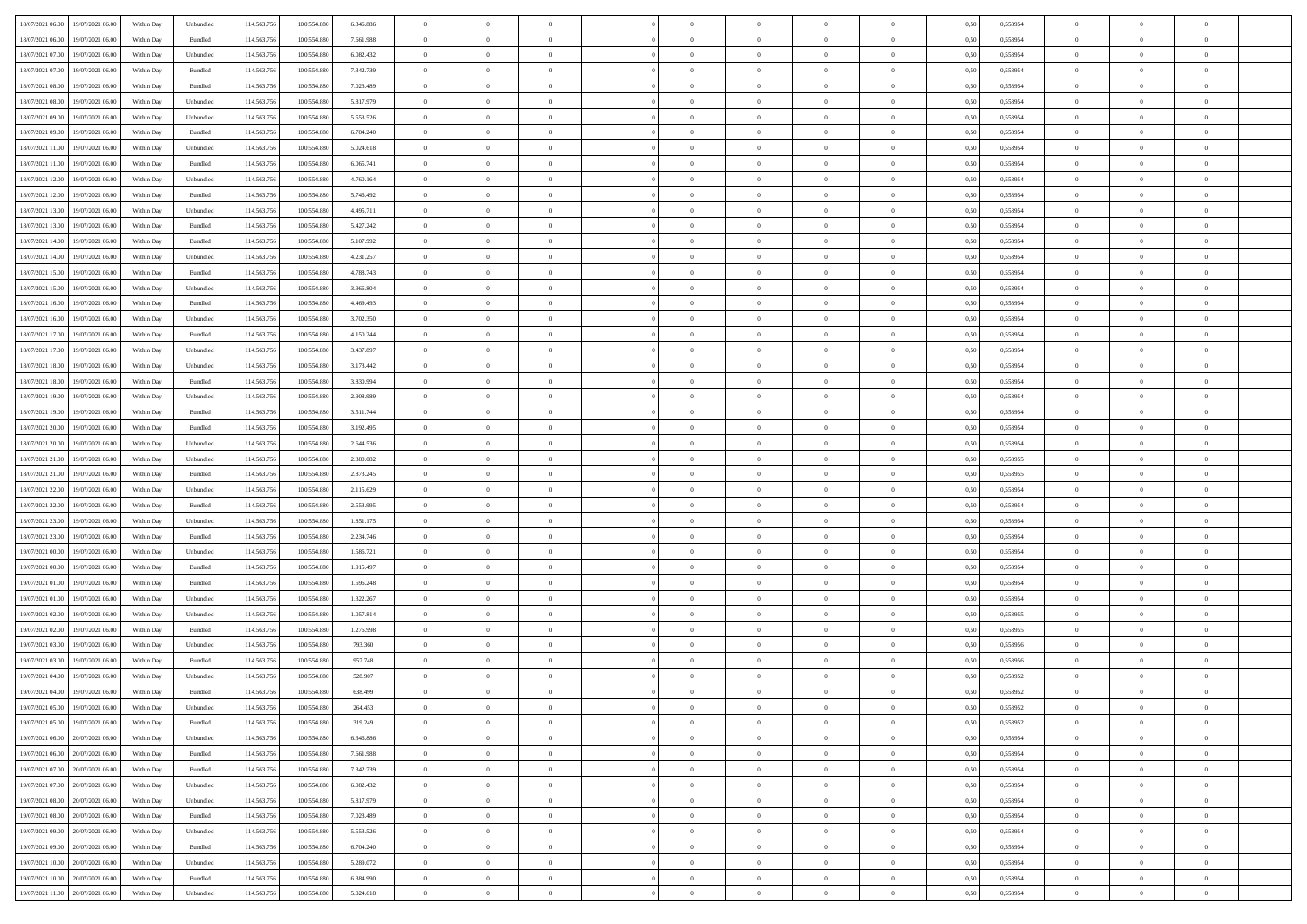| 18/07/2021 06:00<br>19/07/2021 06:00       | Within Day | Unbundled                   | 114.563.756 | 100.554.880 | 6.346.886 | $\overline{0}$ | $\overline{0}$ |                | $\overline{0}$ | $\theta$       |                | $\theta$       | 0,50 | 0,558954 | $\theta$       | $\theta$       | $\overline{0}$ |  |
|--------------------------------------------|------------|-----------------------------|-------------|-------------|-----------|----------------|----------------|----------------|----------------|----------------|----------------|----------------|------|----------|----------------|----------------|----------------|--|
| 18/07/2021 06:00<br>19/07/2021 06:00       | Within Day | Bundled                     | 114.563.75  | 100.554.88  | 7.661.988 | $\bf{0}$       | $\bf{0}$       | $\bf{0}$       | $\overline{0}$ | $\overline{0}$ | $\overline{0}$ | $\bf{0}$       | 0,50 | 0,558954 | $\,$ 0 $\,$    | $\bf{0}$       | $\overline{0}$ |  |
| 18/07/2021 07:00<br>19/07/2021 06:00       | Within Day | Unbundled                   | 114,563,75  | 100,554,880 | 6.082.432 | $\overline{0}$ | $\bf{0}$       | $\overline{0}$ | $\bf{0}$       | $\bf{0}$       | $\overline{0}$ | $\bf{0}$       | 0.50 | 0.558954 | $\bf{0}$       | $\overline{0}$ | $\overline{0}$ |  |
| 18/07/2021 07:00<br>19/07/2021 06:00       |            |                             | 114.563.75  |             |           | $\overline{0}$ | $\overline{0}$ | $\overline{0}$ | $\theta$       | $\theta$       | $\overline{0}$ |                |      |          | $\theta$       | $\theta$       | $\overline{0}$ |  |
|                                            | Within Day | Bundled                     |             | 100.554.880 | 7.342.739 |                |                |                |                |                |                | $\bf{0}$       | 0,50 | 0,558954 |                |                |                |  |
| 18/07/2021 08:00<br>19/07/2021 06:00       | Within Day | Bundled                     | 114.563.75  | 100.554.88  | 7.023.489 | $\bf{0}$       | $\overline{0}$ | $\bf{0}$       | $\overline{0}$ | $\theta$       | $\overline{0}$ | $\bf{0}$       | 0,50 | 0,558954 | $\,$ 0 $\,$    | $\bf{0}$       | $\overline{0}$ |  |
| 18/07/2021 08:00<br>19/07/2021 06:00       | Within Day | Unbundled                   | 114,563,75  | 100.554.880 | 5.817.979 | $\overline{0}$ | $\bf{0}$       | $\overline{0}$ | $\bf{0}$       | $\overline{0}$ | $\theta$       | $\bf{0}$       | 0.50 | 0.558954 | $\,$ 0 $\,$    | $\theta$       | $\overline{0}$ |  |
| 18/07/2021 09:00<br>19/07/2021 06:00       | Within Day | Unbundled                   | 114.563.75  | 100.554.880 | 5.553.526 | $\overline{0}$ | $\overline{0}$ | $\overline{0}$ | $\overline{0}$ | $\overline{0}$ | $\overline{0}$ | $\bf{0}$       | 0,50 | 0,558954 | $\theta$       | $\theta$       | $\overline{0}$ |  |
|                                            |            |                             |             |             |           |                |                |                |                |                |                |                |      |          |                |                |                |  |
| 18/07/2021 09:00<br>19/07/2021 06:00       | Within Day | Bundled                     | 114.563.75  | 100.554.88  | 6.704.240 | $\bf{0}$       | $\bf{0}$       | $\bf{0}$       | $\overline{0}$ | $\overline{0}$ | $\overline{0}$ | $\bf{0}$       | 0,50 | 0,558954 | $\,$ 0 $\,$    | $\bf{0}$       | $\overline{0}$ |  |
| 18/07/2021 11:00<br>19/07/2021 06:00       | Within Day | Unbundled                   | 114,563,75  | 100.554.880 | 5.024.618 | $\overline{0}$ | $\bf{0}$       | $\overline{0}$ | $\bf{0}$       | $\overline{0}$ | $\overline{0}$ | $\bf{0}$       | 0.50 | 0.558954 | $\bf{0}$       | $\overline{0}$ | $\overline{0}$ |  |
| 18/07/2021 11:00<br>19/07/2021 06:00       | Within Day | Bundled                     | 114.563.75  | 100.554.880 | 6.065.741 | $\overline{0}$ | $\bf{0}$       | $\overline{0}$ | $\overline{0}$ | $\overline{0}$ | $\overline{0}$ | $\bf{0}$       | 0,50 | 0,558954 | $\,$ 0 $\,$    | $\bf{0}$       | $\overline{0}$ |  |
| 18/07/2021 12:00<br>19/07/2021 06:00       | Within Day | Unbundled                   | 114.563.75  | 100.554.880 | 4.760.164 | $\bf{0}$       | $\overline{0}$ | $\bf{0}$       | $\bf{0}$       | $\bf{0}$       | $\overline{0}$ | $\bf{0}$       | 0,50 | 0,558954 | $\,$ 0 $\,$    | $\bf{0}$       | $\overline{0}$ |  |
|                                            |            |                             |             |             |           |                |                |                |                |                |                |                |      |          |                |                |                |  |
| 18/07/2021 12:00<br>19/07/2021 06:00       | Within Day | Bundled                     | 114,563,75  | 100.554.880 | 5.746.492 | $\overline{0}$ | $\bf{0}$       | $\overline{0}$ | $\overline{0}$ | $\bf{0}$       | $\overline{0}$ | $\bf{0}$       | 0.50 | 0.558954 | $\bf{0}$       | $\overline{0}$ | $\,$ 0         |  |
| 18/07/2021 13:00<br>19/07/2021 06:00       | Within Day | Unbundled                   | 114.563.75  | 100.554.880 | 4.495.711 | $\overline{0}$ | $\overline{0}$ | $\overline{0}$ | $\theta$       | $\theta$       | $\overline{0}$ | $\bf{0}$       | 0,50 | 0,558954 | $\,$ 0 $\,$    | $\theta$       | $\overline{0}$ |  |
| 18/07/2021 13:00<br>19/07/2021 06:00       | Within Day | Bundled                     | 114.563.75  | 100.554.88  | 5.427.242 | $\bf{0}$       | $\overline{0}$ | $\bf{0}$       | $\overline{0}$ | $\bf{0}$       | $\overline{0}$ | $\bf{0}$       | 0,50 | 0,558954 | $\,$ 0 $\,$    | $\bf{0}$       | $\overline{0}$ |  |
|                                            |            |                             |             |             |           |                |                |                |                |                | $\theta$       |                |      |          |                |                |                |  |
| 18/07/2021 14:00<br>19/07/2021 06:00       | Within Day | Bundled                     | 114,563,75  | 100.554.880 | 5.107.992 | $\overline{0}$ | $\bf{0}$       | $\overline{0}$ | $\bf{0}$       | $\overline{0}$ |                | $\bf{0}$       | 0.50 | 0.558954 | $\,$ 0 $\,$    | $\theta$       | $\overline{0}$ |  |
| 18/07/2021 14:00<br>19/07/2021 06:00       | Within Day | Unbundled                   | 114.563.75  | 100.554.880 | 4.231.257 | $\overline{0}$ | $\overline{0}$ | $\overline{0}$ | $\overline{0}$ | $\overline{0}$ | $\overline{0}$ | $\bf{0}$       | 0,50 | 0,558954 | $\theta$       | $\theta$       | $\overline{0}$ |  |
| 18/07/2021 15:00<br>19/07/2021 06:00       | Within Day | Bundled                     | 114.563.75  | 100.554.880 | 4.788.743 | $\bf{0}$       | $\bf{0}$       | $\bf{0}$       | $\overline{0}$ | $\bf{0}$       | $\overline{0}$ | $\bf{0}$       | 0,50 | 0,558954 | $\,$ 0 $\,$    | $\bf{0}$       | $\overline{0}$ |  |
| 18/07/2021 15:00<br>19/07/2021 06:00       | Within Day | Unbundled                   | 114,563,75  | 100.554.880 | 3.966.804 | $\overline{0}$ | $\bf{0}$       | $\overline{0}$ | $\bf{0}$       | $\overline{0}$ | $\overline{0}$ | $\bf{0}$       | 0.50 | 0.558954 | $\bf{0}$       | $\overline{0}$ | $\overline{0}$ |  |
| 18/07/2021 16:00<br>19/07/2021 06:00       | Within Day | Bundled                     | 114.563.75  | 100.554.880 | 4.469.493 | $\overline{0}$ | $\bf{0}$       | $\overline{0}$ | $\overline{0}$ | $\overline{0}$ | $\overline{0}$ | $\bf{0}$       | 0,50 | 0,558954 | $\,$ 0 $\,$    | $\bf{0}$       | $\overline{0}$ |  |
|                                            |            |                             |             |             |           |                |                |                |                |                |                |                |      |          |                |                |                |  |
| 18/07/2021 16:00<br>19/07/2021 06:00       | Within Day | Unbundled                   | 114.563.75  | 100.554.88  | 3.702.350 | $\bf{0}$       | $\bf{0}$       | $\bf{0}$       | $\bf{0}$       | $\overline{0}$ | $\overline{0}$ | $\bf{0}$       | 0,50 | 0,558954 | $\,$ 0 $\,$    | $\bf{0}$       | $\overline{0}$ |  |
| 18/07/2021 17:00<br>19/07/2021 06:00       | Within Day | Bundled                     | 114,563,75  | 100,554,880 | 4.150.244 | $\overline{0}$ | $\bf{0}$       | $\overline{0}$ | $\overline{0}$ | $\bf{0}$       | $\overline{0}$ | $\bf{0}$       | 0.50 | 0.558954 | $\bf{0}$       | $\overline{0}$ | $\overline{0}$ |  |
| 18/07/2021 17:00<br>19/07/2021 06:00       | Within Day | Unbundled                   | 114.563.75  | 100.554.880 | 3.437.897 | $\overline{0}$ | $\overline{0}$ | $\overline{0}$ | $\theta$       | $\theta$       | $\overline{0}$ | $\bf{0}$       | 0,50 | 0,558954 | $\theta$       | $\theta$       | $\overline{0}$ |  |
| 18/07/2021 18:00<br>19/07/2021 06:00       | Within Day | Unbundled                   | 114.563.75  | 100.554.880 | 3.173.442 | $\bf{0}$       | $\bf{0}$       | $\bf{0}$       | $\bf{0}$       | $\overline{0}$ | $\overline{0}$ | $\bf{0}$       | 0,50 | 0,558954 | $\,$ 0 $\,$    | $\bf{0}$       | $\overline{0}$ |  |
|                                            |            |                             |             |             |           |                |                |                |                |                |                |                |      |          |                |                |                |  |
| 18/07/2021 18:00<br>19/07/2021 06:00       | Within Day | Bundled                     | 114,563,75  | 100.554.880 | 3.830.994 | $\overline{0}$ | $\bf{0}$       | $\overline{0}$ | $\bf{0}$       | $\overline{0}$ | $\theta$       | $\bf{0}$       | 0.50 | 0.558954 | $\,$ 0 $\,$    | $\theta$       | $\overline{0}$ |  |
| 18/07/2021 19:00<br>19/07/2021 06:00       | Within Day | Unbundled                   | 114.563.75  | 100.554.880 | 2.908.989 | $\overline{0}$ | $\overline{0}$ | $\overline{0}$ | $\overline{0}$ | $\overline{0}$ | $\overline{0}$ | $\bf{0}$       | 0,50 | 0,558954 | $\,$ 0 $\,$    | $\theta$       | $\overline{0}$ |  |
| 18/07/2021 19:00<br>19/07/2021 06:00       | Within Day | Bundled                     | 114.563.75  | 100.554.88  | 3.511.744 | $\bf{0}$       | $\overline{0}$ | $\bf{0}$       | $\overline{0}$ | $\bf{0}$       | $\overline{0}$ | $\bf{0}$       | 0,50 | 0,558954 | $\,$ 0 $\,$    | $\bf{0}$       | $\overline{0}$ |  |
| 18/07/2021 20:00<br>19/07/2021 06:00       | Within Day | Bundled                     | 114.563.75  | 100,554,880 | 3.192.495 | $\overline{0}$ | $\bf{0}$       | $\overline{0}$ | $\bf{0}$       | $\overline{0}$ | $\overline{0}$ | $\bf{0}$       | 0.50 | 0.558954 | $\bf{0}$       | $\overline{0}$ | $\overline{0}$ |  |
|                                            |            |                             |             |             |           |                |                |                |                |                |                |                |      |          |                |                |                |  |
| 18/07/2021 20:00<br>19/07/2021 06:00       | Within Day | Unbundled                   | 114.563.75  | 100.554.880 | 2.644.536 | $\overline{0}$ | $\bf{0}$       | $\overline{0}$ | $\overline{0}$ | $\overline{0}$ | $\overline{0}$ | $\bf{0}$       | 0,50 | 0,558954 | $\theta$       | $\theta$       | $\overline{0}$ |  |
| 18/07/2021 21:00<br>19/07/2021 06:00       | Within Day | Unbundled                   | 114.563.75  | 100.554.880 | 2.380.082 | $\bf{0}$       | $\bf{0}$       | $\bf{0}$       | $\bf{0}$       | $\overline{0}$ | $\overline{0}$ | $\bf{0}$       | 0,50 | 0,558955 | $\,$ 0 $\,$    | $\bf{0}$       | $\overline{0}$ |  |
| 18/07/2021 21:00<br>19/07/2021 06:00       | Within Day | Bundled                     | 114,563,75  | 100.554.880 | 2.873.245 | $\overline{0}$ | $\bf{0}$       | $\overline{0}$ | $\bf{0}$       | $\bf{0}$       | $\overline{0}$ | $\bf{0}$       | 0.50 | 0.558955 | $\bf{0}$       | $\overline{0}$ | $\overline{0}$ |  |
| 18/07/2021 22:00<br>19/07/2021 06:00       | Within Day | Unbundled                   | 114.563.75  | 100,554,880 | 2.115.629 | $\overline{0}$ | $\overline{0}$ | $\overline{0}$ | $\overline{0}$ | $\overline{0}$ | $\overline{0}$ | $\bf{0}$       | 0.50 | 0.558954 | $\theta$       | $\theta$       | $\overline{0}$ |  |
|                                            |            |                             |             |             |           |                |                |                |                |                |                |                |      |          |                |                |                |  |
| 18/07/2021 22:00<br>19/07/2021 06:00       | Within Day | Bundled                     | 114.563.75  | 100.554.88  | 2.553.995 | $\bf{0}$       | $\overline{0}$ | $\bf{0}$       | $\bf{0}$       | $\,$ 0 $\,$    | $\overline{0}$ | $\bf{0}$       | 0,50 | 0,558954 | $\,$ 0 $\,$    | $\bf{0}$       | $\overline{0}$ |  |
| 18/07/2021 23:00<br>19/07/2021 06:00       | Within Day | Unbundled                   | 114,563,75  | 100.554.880 | 1.851.175 | $\overline{0}$ | $\bf{0}$       | $\overline{0}$ | $\bf{0}$       | $\overline{0}$ | $\Omega$       | $\bf{0}$       | 0.50 | 0.558954 | $\,$ 0 $\,$    | $\bf{0}$       | $\overline{0}$ |  |
| 18/07/2021 23:00<br>19/07/2021 06:00       | Within Dav | Bundled                     | 114.563.75  | 100.554.880 | 2.234.746 | $\overline{0}$ | $\overline{0}$ | $\overline{0}$ | $\overline{0}$ | $\theta$       | $\overline{0}$ | $\bf{0}$       | 0.5( | 0,558954 | $\theta$       | $\theta$       | $\overline{0}$ |  |
| 19/07/2021 00:00<br>19/07/2021 06:00       | Within Day | Unbundled                   | 114.563.75  | 100.554.880 | 1.586.721 | $\bf{0}$       | $\bf{0}$       | $\bf{0}$       | $\bf{0}$       | $\bf{0}$       | $\overline{0}$ | $\bf{0}$       | 0,50 | 0,558954 | $\,$ 0 $\,$    | $\bf{0}$       | $\overline{0}$ |  |
| 19/07/2021 00:00<br>19/07/2021 06:00       |            | Bundled                     | 114,563,75  | 100.554.880 | 1.915.497 |                | $\bf{0}$       | $\overline{0}$ |                | $\overline{0}$ | $\overline{0}$ |                | 0.50 | 0.558954 | $\bf{0}$       | $\overline{0}$ | $\overline{0}$ |  |
|                                            | Within Day |                             |             |             |           | $\overline{0}$ |                |                | $\bf{0}$       |                |                | $\bf{0}$       |      |          |                |                |                |  |
| 19/07/2021 01:00<br>19/07/2021 06:00       | Within Dav | Bundled                     | 114.563.75  | 100,554,880 | 1.596.248 | $\overline{0}$ | $\overline{0}$ | $\overline{0}$ | $\overline{0}$ | $\overline{0}$ | $\overline{0}$ | $\bf{0}$       | 0.50 | 0,558954 | $\theta$       | $\theta$       | $\overline{0}$ |  |
| 19/07/2021 01:00<br>19/07/2021 06:00       | Within Day | Unbundled                   | 114.563.75  | 100.554.88  | 1.322.267 | $\bf{0}$       | $\bf{0}$       | $\bf{0}$       | $\bf{0}$       | $\overline{0}$ | $\overline{0}$ | $\bf{0}$       | 0,50 | 0,558954 | $\,$ 0 $\,$    | $\bf{0}$       | $\overline{0}$ |  |
| 19/07/2021 02:00<br>19/07/2021 06:00       | Within Day | Unbundled                   | 114,563,75  | 100,554,880 | 1.057.814 | $\overline{0}$ | $\bf{0}$       | $\overline{0}$ | $\overline{0}$ | $\bf{0}$       | $\overline{0}$ | $\bf{0}$       | 0.50 | 0.558955 | $\bf{0}$       | $\overline{0}$ | $\overline{0}$ |  |
| 19/07/2021 02:00<br>19/07/2021 06:00       | Within Dav | Bundled                     | 114.563.75  | 100.554.880 | 1.276.998 | $\overline{0}$ | $\overline{0}$ | $\overline{0}$ | $\overline{0}$ | $\overline{0}$ | $\overline{0}$ | $\bf{0}$       | 0.50 | 0,558955 | $\theta$       | $\theta$       | $\overline{0}$ |  |
|                                            |            |                             |             |             |           |                |                |                |                |                |                |                |      |          |                |                |                |  |
| 19/07/2021 03:00<br>19/07/2021 06:00       | Within Day | Unbundled                   | 114.563.75  | 100.554.88  | 793.360   | $\bf{0}$       | $\bf{0}$       | $\bf{0}$       | $\bf{0}$       | $\overline{0}$ | $\overline{0}$ | $\bf{0}$       | 0,50 | 0,558956 | $\,$ 0 $\,$    | $\bf{0}$       | $\overline{0}$ |  |
| 19/07/2021 03:00<br>19/07/2021 06:00       | Within Day | Bundled                     | 114,563,75  | 100.554.880 | 957.748   | $\overline{0}$ | $\overline{0}$ | $\overline{0}$ | $\bf{0}$       | $\bf{0}$       | $\Omega$       | $\bf{0}$       | 0.50 | 0.558956 | $\,$ 0 $\,$    | $\theta$       | $\overline{0}$ |  |
| 19/07/2021 04:00<br>19/07/2021 06:00       | Within Dav | Unbundled                   | 114.563.75  | 100,554,880 | 528,907   | $\overline{0}$ | $\overline{0}$ | $\overline{0}$ | $\overline{0}$ | $\theta$       | $\overline{0}$ | $\overline{0}$ | 0.5( | 0,558952 | $\theta$       | $\theta$       | $\overline{0}$ |  |
| 19/07/2021 04:00<br>19/07/2021 06:00       | Within Day | Bundled                     | 114.563.75  | 100.554.880 | 638.499   | $\bf{0}$       | $\bf{0}$       | $\bf{0}$       | $\bf{0}$       | $\bf{0}$       | $\overline{0}$ | $\bf{0}$       | 0,50 | 0,558952 | $\overline{0}$ | $\overline{0}$ | $\overline{0}$ |  |
|                                            |            |                             |             |             |           |                |                |                |                |                |                |                |      |          |                |                |                |  |
| $19/07/2021\;05.00\qquad19/07/2021\;06.00$ | Within Day | $\ensuremath{\mathsf{Unb}}$ | 114.563.756 | 100.554.880 | 264.453   | $\overline{0}$ | $\Omega$       |                | $\overline{0}$ |                |                |                | 0,50 | 0,558952 | $\theta$       | $\overline{0}$ |                |  |
| 19/07/2021 05:00 19/07/2021 06:00          | Within Day | Bundled                     | 114.563.756 | 100.554.880 | 319.249   | $\overline{0}$ | $\overline{0}$ | $\Omega$       | $\theta$       | $\overline{0}$ | $\overline{0}$ | $\bf{0}$       | 0,50 | 0,558952 | $\theta$       | $\theta$       | $\overline{0}$ |  |
| 19/07/2021 06:00<br>20/07/2021 06:00       | Within Day | Unbundled                   | 114.563.75  | 100.554.880 | 6.346.886 | $\overline{0}$ | $\bf{0}$       | $\overline{0}$ | $\overline{0}$ | $\bf{0}$       | $\overline{0}$ | $\bf{0}$       | 0,50 | 0,558954 | $\bf{0}$       | $\overline{0}$ | $\bf{0}$       |  |
| 19/07/2021 06:00 20/07/2021 06:00          | Within Day | Bundled                     | 114.563.756 | 100,554,880 | 7.661.988 | $\overline{0}$ | $\bf{0}$       | $\overline{0}$ | $\overline{0}$ | $\mathbf{0}$   | $\overline{0}$ | $\,$ 0 $\,$    | 0.50 | 0.558954 | $\overline{0}$ | $\bf{0}$       | $\bf{0}$       |  |
|                                            |            |                             |             |             |           |                |                |                |                |                |                |                |      |          |                |                |                |  |
| 19/07/2021 07:00 20/07/2021 06:00          | Within Dav | Bundled                     | 114.563.756 | 100.554.880 | 7.342.739 | $\overline{0}$ | $\overline{0}$ | $\overline{0}$ | $\overline{0}$ | $\overline{0}$ | $\overline{0}$ | $\bf{0}$       | 0,50 | 0,558954 | $\overline{0}$ | $\theta$       | $\overline{0}$ |  |
| 19/07/2021 07:00<br>20/07/2021 06:00       | Within Day | Unbundled                   | 114.563.75  | 100.554.880 | 6.082.432 | $\overline{0}$ | $\bf{0}$       | $\overline{0}$ | $\overline{0}$ | $\bf{0}$       | $\overline{0}$ | $\bf{0}$       | 0,50 | 0,558954 | $\bf{0}$       | $\overline{0}$ | $\overline{0}$ |  |
| 19/07/2021 08:00<br>20/07/2021 06:00       | Within Day | Unbundled                   | 114.563.756 | 100,554,880 | 5.817.979 | $\overline{0}$ | $\bf{0}$       | $\overline{0}$ | $\overline{0}$ | $\overline{0}$ | $\overline{0}$ | $\bf{0}$       | 0.50 | 0.558954 | $\,$ 0 $\,$    | $\overline{0}$ | $\overline{0}$ |  |
| 19/07/2021 08:00<br>20/07/2021 06:00       | Within Dav | Bundled                     | 114.563.756 | 100.554.880 | 7.023.489 | $\overline{0}$ | $\overline{0}$ | $\overline{0}$ | $\overline{0}$ | $\overline{0}$ | $\overline{0}$ | $\bf{0}$       | 0.50 | 0,558954 | $\overline{0}$ | $\theta$       | $\overline{0}$ |  |
|                                            |            |                             |             |             |           |                |                |                |                |                |                |                |      |          |                |                |                |  |
| 19/07/2021 09:00<br>20/07/2021 06:00       | Within Day | Unbundled                   | 114.563.75  | 100.554.880 | 5.553.526 | $\overline{0}$ | $\overline{0}$ | $\overline{0}$ | $\overline{0}$ | $\overline{0}$ | $\overline{0}$ | $\bf{0}$       | 0,50 | 0,558954 | $\bf{0}$       | $\overline{0}$ | $\,$ 0         |  |
| 20/07/2021 06:00<br>19/07/2021 09:00       | Within Day | Bundled                     | 114.563.75  | 100,554,880 | 6.704.240 | $\overline{0}$ | $\overline{0}$ | $\overline{0}$ | $\overline{0}$ | $\overline{0}$ | $\overline{0}$ | $\bf{0}$       | 0.50 | 0.558954 | $\mathbf{0}$   | $\bf{0}$       | $\,$ 0         |  |
| 19/07/2021 10:00 20/07/2021 06:00          | Within Dav | Unbundled                   | 114.563.756 | 100.554.880 | 5.289.072 | $\overline{0}$ | $\overline{0}$ | $\overline{0}$ | $\overline{0}$ | $\overline{0}$ | $\overline{0}$ | $\bf{0}$       | 0,50 | 0,558954 | $\overline{0}$ | $\theta$       | $\overline{0}$ |  |
| 19/07/2021 10:00<br>20/07/2021 06:00       | Within Day | Bundled                     | 114.563.75  | 100.554.880 | 6.384.990 | $\overline{0}$ | $\bf{0}$       | $\overline{0}$ | $\overline{0}$ | $\overline{0}$ | $\overline{0}$ | $\bf{0}$       | 0,50 | 0,558954 | $\bf{0}$       | $\overline{0}$ | $\bf{0}$       |  |
|                                            |            |                             |             |             |           |                |                |                |                |                |                |                |      |          |                |                |                |  |
| 19/07/2021 11:00 20/07/2021 06:00          | Within Day | Unbundled                   | 114.563.756 | 100.554.880 | 5.024.618 | $\overline{0}$ | $\bf{0}$       | $\overline{0}$ | $\overline{0}$ | $\,$ 0 $\,$    | $\overline{0}$ | $\bf{0}$       | 0,50 | 0,558954 | $\overline{0}$ | $\,$ 0 $\,$    | $\,$ 0 $\,$    |  |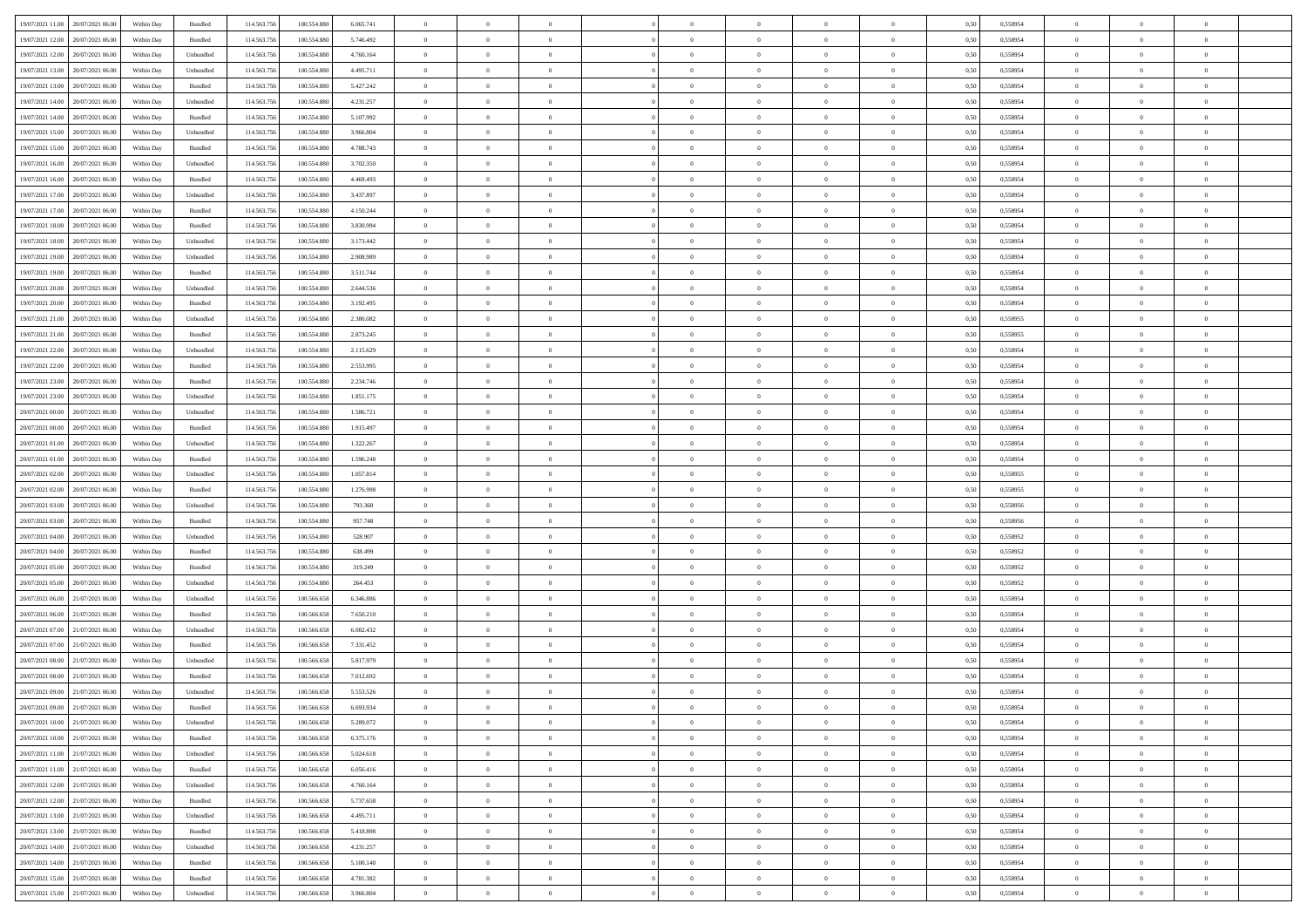| 19/07/2021 11:00 20/07/2021 06:00            | Within Day | Bundled            | 114.563.75  | 100.554.880 | 6.065.741 | $\overline{0}$ | $\overline{0}$ |                | $\overline{0}$ | $\theta$       |                | $\theta$       | 0,50 | 0,558954 | $\theta$       | $\theta$       | $\overline{0}$ |  |
|----------------------------------------------|------------|--------------------|-------------|-------------|-----------|----------------|----------------|----------------|----------------|----------------|----------------|----------------|------|----------|----------------|----------------|----------------|--|
|                                              |            |                    |             |             |           |                |                |                |                |                |                |                |      |          |                |                |                |  |
| 19/07/2021 12:00<br>20/07/2021 06:00         | Within Day | Bundled            | 114.563.75  | 100.554.88  | 5.746.492 | $\bf{0}$       | $\bf{0}$       | $\bf{0}$       | $\bf{0}$       | $\overline{0}$ | $\bf{0}$       | $\bf{0}$       | 0,50 | 0,558954 | $\,$ 0 $\,$    | $\bf{0}$       | $\overline{0}$ |  |
| 19/07/2021 12:00<br>20/07/2021 06:00         | Within Day | Unbundled          | 114,563,75  | 100,554,880 | 4.760.164 | $\overline{0}$ | $\bf{0}$       | $\overline{0}$ | $\overline{0}$ | $\overline{0}$ | $\overline{0}$ | $\bf{0}$       | 0.50 | 0.558954 | $\bf{0}$       | $\overline{0}$ | $\bf{0}$       |  |
| 19/07/2021 13:00<br>20/07/2021 06:00         | Within Day | Unbundled          | 114.563.75  | 100.554.880 | 4.495.711 | $\overline{0}$ | $\overline{0}$ | $\overline{0}$ | $\overline{0}$ | $\theta$       | $\overline{0}$ | $\bf{0}$       | 0,50 | 0,558954 | $\theta$       | $\theta$       | $\overline{0}$ |  |
| 19/07/2021 13:00<br>20/07/2021 06:00         | Within Day | Bundled            | 114.563.75  | 100.554.880 | 5.427.242 | $\bf{0}$       | $\overline{0}$ | $\bf{0}$       | $\overline{0}$ | $\bf{0}$       | $\overline{0}$ | $\bf{0}$       | 0,50 | 0,558954 | $\,$ 0 $\,$    | $\bf{0}$       | $\overline{0}$ |  |
| 19/07/2021 14:00<br>20/07/2021 06:00         | Within Day | Unbundled          | 114,563,75  | 100.554.880 | 4.231.257 | $\overline{0}$ | $\bf{0}$       | $\overline{0}$ | $\bf{0}$       | $\overline{0}$ | $\overline{0}$ | $\bf{0}$       | 0.50 | 0.558954 | $\,$ 0 $\,$    | $\theta$       | $\overline{0}$ |  |
|                                              |            |                    |             |             |           | $\overline{0}$ | $\overline{0}$ | $\overline{0}$ | $\overline{0}$ | $\overline{0}$ | $\overline{0}$ |                |      |          | $\theta$       | $\theta$       |                |  |
| 19/07/2021 14:00<br>20/07/2021 06:00         | Within Day | Bundled            | 114.563.75  | 100.554.880 | 5.107.992 |                |                |                |                |                |                | $\bf{0}$       | 0,50 | 0,558954 |                |                | $\overline{0}$ |  |
| 19/07/2021 15:00<br>20/07/2021 06:00         | Within Day | Unbundled          | 114.563.75  | 100.554.88  | 3.966.804 | $\bf{0}$       | $\bf{0}$       | $\bf{0}$       | $\bf{0}$       | $\overline{0}$ | $\overline{0}$ | $\bf{0}$       | 0,50 | 0,558954 | $\,$ 0 $\,$    | $\bf{0}$       | $\overline{0}$ |  |
| 19/07/2021 15:00<br>20/07/2021 06:00         | Within Day | Bundled            | 114,563,75  | 100.554.880 | 4.788.743 | $\overline{0}$ | $\bf{0}$       | $\overline{0}$ | $\bf{0}$       | $\overline{0}$ | $\overline{0}$ | $\bf{0}$       | 0.50 | 0.558954 | $\bf{0}$       | $\overline{0}$ | $\bf{0}$       |  |
| 19/07/2021 16:00<br>20/07/2021 06:00         | Within Day | Unbundled          | 114.563.75  | 100.554.880 | 3.702.350 | $\bf{0}$       | $\bf{0}$       | $\overline{0}$ | $\overline{0}$ | $\overline{0}$ | $\overline{0}$ | $\bf{0}$       | 0,50 | 0,558954 | $\,$ 0 $\,$    | $\,$ 0 $\,$    | $\overline{0}$ |  |
| 19/07/2021 16:00<br>20/07/2021 06:00         | Within Day | Bundled            | 114.563.75  | 100.554.880 | 4.469.493 | $\bf{0}$       | $\bf{0}$       | $\bf{0}$       | $\bf{0}$       | $\overline{0}$ | $\overline{0}$ | $\bf{0}$       | 0,50 | 0,558954 | $\,$ 0 $\,$    | $\bf{0}$       | $\overline{0}$ |  |
| 19/07/2021 17:00<br>20/07/2021 06:00         | Within Day | Unbundled          | 114,563,75  | 100.554.880 | 3.437.897 | $\overline{0}$ | $\bf{0}$       | $\overline{0}$ | $\overline{0}$ | $\overline{0}$ | $\overline{0}$ | $\bf{0}$       | 0.50 | 0.558954 | $\bf{0}$       | $\,$ 0 $\,$    | $\,$ 0         |  |
| 19/07/2021 17:00<br>20/07/2021 06:00         | Within Day | Bundled            | 114.563.75  | 100.554.880 | 4.150.244 | $\overline{0}$ | $\overline{0}$ | $\overline{0}$ | $\theta$       | $\theta$       | $\overline{0}$ | $\bf{0}$       | 0,50 | 0,558954 | $\,$ 0 $\,$    | $\theta$       | $\overline{0}$ |  |
|                                              |            |                    |             |             |           |                | $\overline{0}$ |                |                | $\overline{0}$ | $\overline{0}$ |                |      |          | $\,$ 0 $\,$    | $\bf{0}$       | $\overline{0}$ |  |
| 19/07/2021 18:00<br>20/07/2021 06:00         | Within Day | Bundled            | 114.563.75  | 100.554.88  | 3.830.994 | $\bf{0}$       |                | $\bf{0}$       | $\bf{0}$       |                |                | $\bf{0}$       | 0,50 | 0,558954 |                |                |                |  |
| 19/07/2021 18:00<br>20/07/2021 06:00         | Within Day | Unbundled          | 114,563,75  | 100.554.880 | 3.173.442 | $\overline{0}$ | $\bf{0}$       | $\overline{0}$ | $\bf{0}$       | $\overline{0}$ | $\theta$       | $\bf{0}$       | 0.50 | 0.558954 | $\,$ 0 $\,$    | $\bf{0}$       | $\overline{0}$ |  |
| 19/07/2021 19:00<br>20/07/2021 06:00         | Within Day | Unbundled          | 114.563.75  | 100.554.880 | 2.908.989 | $\overline{0}$ | $\overline{0}$ | $\overline{0}$ | $\overline{0}$ | $\overline{0}$ | $\overline{0}$ | $\bf{0}$       | 0,50 | 0,558954 | $\theta$       | $\theta$       | $\overline{0}$ |  |
| 19/07/2021 19:00<br>20/07/2021 06:00         | Within Day | Bundled            | 114.563.75  | 100.554.880 | 3.511.744 | $\bf{0}$       | $\bf{0}$       | $\bf{0}$       | $\overline{0}$ | $\overline{0}$ | $\overline{0}$ | $\bf{0}$       | 0,50 | 0,558954 | $\,$ 0 $\,$    | $\bf{0}$       | $\overline{0}$ |  |
| 19/07/2021 20:00<br>20/07/2021 06:00         | Within Day | Unbundled          | 114,563,75  | 100.554.880 | 2.644.536 | $\overline{0}$ | $\bf{0}$       | $\overline{0}$ | $\bf{0}$       | $\bf{0}$       | $\overline{0}$ | $\bf{0}$       | 0.50 | 0.558954 | $\bf{0}$       | $\overline{0}$ | $\bf{0}$       |  |
| 19/07/2021 20:00<br>20/07/2021 06:00         | Within Day | Bundled            | 114.563.75  | 100.554.880 | 3.192.495 | $\overline{0}$ | $\bf{0}$       | $\overline{0}$ | $\overline{0}$ | $\overline{0}$ | $\overline{0}$ | $\bf{0}$       | 0,50 | 0,558954 | $\,$ 0 $\,$    | $\bf{0}$       | $\overline{0}$ |  |
| 19/07/2021 21:00<br>20/07/2021 06:00         | Within Day | Unbundled          | 114.563.75  | 100.554.880 | 2.380.082 | $\bf{0}$       | $\bf{0}$       | $\bf{0}$       | $\bf{0}$       | $\overline{0}$ | $\overline{0}$ | $\bf{0}$       | 0,50 | 0,558955 | $\,$ 0 $\,$    | $\bf{0}$       | $\overline{0}$ |  |
| 19/07/2021 21:00<br>20/07/2021 06:00         | Within Day | Bundled            | 114,563,75  | 100,554,880 | 2.873.245 | $\overline{0}$ | $\bf{0}$       | $\overline{0}$ | $\overline{0}$ | $\bf{0}$       | $\overline{0}$ | $\bf{0}$       | 0.50 | 0.558955 | $\bf{0}$       | $\,$ 0 $\,$    | $\,$ 0         |  |
|                                              |            |                    |             |             |           |                |                |                |                |                |                |                |      |          |                |                |                |  |
| 19/07/2021 22:00<br>20/07/2021 06:00         | Within Day | Unbundled          | 114.563.75  | 100.554.880 | 2.115.629 | $\overline{0}$ | $\overline{0}$ | $\overline{0}$ | $\overline{0}$ | $\theta$       | $\overline{0}$ | $\bf{0}$       | 0,50 | 0,558954 | $\theta$       | $\theta$       | $\overline{0}$ |  |
| 19/07/2021 22.00<br>20/07/2021 06:00         | Within Day | Bundled            | 114.563.75  | 100.554.88  | 2.553.995 | $\bf{0}$       | $\bf{0}$       | $\bf{0}$       | $\bf{0}$       | $\overline{0}$ | $\overline{0}$ | $\bf{0}$       | 0,50 | 0,558954 | $\,$ 0 $\,$    | $\bf{0}$       | $\overline{0}$ |  |
| 19/07/2021 23:00<br>20/07/2021 06:00         | Within Day | Bundled            | 114,563,75  | 100.554.880 | 2.234.746 | $\overline{0}$ | $\bf{0}$       | $\overline{0}$ | $\bf{0}$       | $\overline{0}$ | $\overline{0}$ | $\bf{0}$       | 0.50 | 0.558954 | $\,$ 0 $\,$    | $\overline{0}$ | $\overline{0}$ |  |
| 19/07/2021 23:00<br>20/07/2021 06:00         | Within Day | Unbundled          | 114.563.75  | 100.554.880 | 1.851.175 | $\overline{0}$ | $\overline{0}$ | $\overline{0}$ | $\overline{0}$ | $\overline{0}$ | $\overline{0}$ | $\bf{0}$       | 0,50 | 0,558954 | $\theta$       | $\theta$       | $\overline{0}$ |  |
| 20/07/2021 00:00<br>20/07/2021 06:00         | Within Day | Unbundled          | 114.563.75  | 100.554.88  | 1.586.721 | $\bf{0}$       | $\overline{0}$ | $\bf{0}$       | $\overline{0}$ | $\overline{0}$ | $\overline{0}$ | $\bf{0}$       | 0,50 | 0,558954 | $\,$ 0 $\,$    | $\bf{0}$       | $\overline{0}$ |  |
| 20/07/2021 00:00<br>20/07/2021 06:00         | Within Day | Bundled            | 114,563,75  | 100.554.880 | 1.915.497 | $\overline{0}$ | $\bf{0}$       | $\overline{0}$ | $\bf{0}$       | $\overline{0}$ | $\overline{0}$ | $\bf{0}$       | 0.50 | 0.558954 | $\bf{0}$       | $\overline{0}$ | $\bf{0}$       |  |
| 20/07/2021 01:00<br>20/07/2021 06:00         | Within Day | Unbundled          | 114.563.75  | 100.554.880 | 1.322.267 | $\overline{0}$ | $\bf{0}$       | $\overline{0}$ | $\overline{0}$ | $\overline{0}$ | $\overline{0}$ | $\bf{0}$       | 0,50 | 0,558954 | $\theta$       | $\theta$       | $\overline{0}$ |  |
|                                              |            |                    |             |             |           |                |                |                |                |                |                |                |      |          |                |                |                |  |
| 20/07/2021 01:00<br>20/07/2021 06:00         | Within Day | Bundled            | 114.563.75  | 100.554.880 | 1.596.248 | $\bf{0}$       | $\bf{0}$       | $\bf{0}$       | $\bf{0}$       | $\overline{0}$ | $\bf{0}$       | $\bf{0}$       | 0,50 | 0,558954 | $\,$ 0 $\,$    | $\bf{0}$       | $\overline{0}$ |  |
| 20/07/2021 02:00<br>20/07/2021 06:00         | Within Day | Unbundled          | 114,563,75  | 100.554.880 | 1.057.814 | $\overline{0}$ | $\bf{0}$       | $\overline{0}$ | $\overline{0}$ | $\overline{0}$ | $\overline{0}$ | $\bf{0}$       | 0.50 | 0.558955 | $\bf{0}$       | $\,$ 0 $\,$    | $\,$ 0         |  |
| 20/07/2021 02:00<br>20/07/2021 06:00         | Within Day | Bundled            | 114.563.75  | 100,554,880 | 1.276.998 | $\overline{0}$ | $\overline{0}$ | $\overline{0}$ | $\overline{0}$ | $\overline{0}$ | $\overline{0}$ | $\bf{0}$       | 0.50 | 0,558955 | $\theta$       | $\theta$       | $\overline{0}$ |  |
| 20/07/2021 03:00<br>20/07/2021 06:00         | Within Day | Unbundled          | 114.563.75  | 100.554.88  | 793.360   | $\bf{0}$       | $\bf{0}$       | $\bf{0}$       | $\bf{0}$       | $\overline{0}$ | $\overline{0}$ | $\bf{0}$       | 0,50 | 0,558956 | $\,$ 0 $\,$    | $\bf{0}$       | $\overline{0}$ |  |
| 20/07/2021 03:00<br>20/07/2021 06:00         | Within Day | Bundled            | 114,563,75  | 100.554.880 | 957.748   | $\overline{0}$ | $\bf{0}$       | $\overline{0}$ | $\bf{0}$       | $\overline{0}$ | $\overline{0}$ | $\bf{0}$       | 0.50 | 0.558956 | $\,$ 0 $\,$    | $\bf{0}$       | $\overline{0}$ |  |
| 20/07/2021 04:00<br>20/07/2021 06:00         | Within Dav | Unbundled          | 114.563.75  | 100.554.880 | 528,907   | $\overline{0}$ | $\overline{0}$ | $\overline{0}$ | $\overline{0}$ | $\overline{0}$ | $\overline{0}$ | $\bf{0}$       | 0.5( | 0,558952 | $\theta$       | $\theta$       | $\overline{0}$ |  |
| 20/07/2021 04:00<br>20/07/2021 06:00         | Within Day | Bundled            | 114.563.75  | 100.554.88  | 638.499   | $\bf{0}$       | $\bf{0}$       | $\bf{0}$       | $\bf{0}$       | $\overline{0}$ | $\overline{0}$ | $\bf{0}$       | 0,50 | 0,558952 | $\,$ 0 $\,$    | $\bf{0}$       | $\overline{0}$ |  |
| 20/07/2021 05:00<br>20/07/2021 06:00         | Within Day | Bundled            | 114,563,75  | 100.554.880 | 319.249   | $\overline{0}$ | $\bf{0}$       | $\overline{0}$ | $\bf{0}$       | $\overline{0}$ | $\overline{0}$ | $\bf{0}$       | 0.50 | 0.558952 | $\bf{0}$       | $\overline{0}$ | $\bf{0}$       |  |
| 20/07/2021 05:00<br>20/07/2021 06:00         | Within Dav | Unbundled          | 114.563.75  | 100,554,880 | 264.453   | $\overline{0}$ | $\overline{0}$ | $\overline{0}$ | $\overline{0}$ | $\overline{0}$ | $\overline{0}$ | $\bf{0}$       | 0.50 | 0,558952 | $\theta$       | $\theta$       | $\overline{0}$ |  |
|                                              |            |                    |             |             |           |                |                |                |                |                |                |                |      |          |                |                |                |  |
| 20/07/2021 06:00<br>21/07/2021 06.00         | Within Day | Unbundled          | 114.563.75  | 100.566.658 | 6.346.886 | $\bf{0}$       | $\bf{0}$       | $\bf{0}$       | $\bf{0}$       | $\overline{0}$ | $\bf{0}$       | $\bf{0}$       | 0,50 | 0,558954 | $\,$ 0 $\,$    | $\bf{0}$       | $\overline{0}$ |  |
| 20/07/2021 06:00<br>21/07/2021 06:00         | Within Day | Bundled            | 114,563,75  | 100,566,658 | 7.650.210 | $\overline{0}$ | $\bf{0}$       | $\overline{0}$ | $\overline{0}$ | $\bf{0}$       | $\overline{0}$ | $\bf{0}$       | 0.50 | 0.558954 | $\,$ 0 $\,$    | $\,$ 0 $\,$    | $\,$ 0         |  |
| 20/07/2021 07:00<br>21/07/2021 06:00         | Within Dav | Unbundled          | 114.563.75  | 100.566.658 | 6.082.432 | $\overline{0}$ | $\overline{0}$ | $\overline{0}$ | $\overline{0}$ | $\overline{0}$ | $\overline{0}$ | $\bf{0}$       | 0.50 | 0,558954 | $\theta$       | $\theta$       | $\overline{0}$ |  |
| 20/07/2021 07:00<br>21/07/2021 06:00         | Within Day | Bundled            | 114.563.75  | 100.566.658 | 7.331.452 | $\bf{0}$       | $\bf{0}$       | $\bf{0}$       | $\bf{0}$       | $\overline{0}$ | $\overline{0}$ | $\bf{0}$       | 0,50 | 0,558954 | $\,$ 0 $\,$    | $\bf{0}$       | $\overline{0}$ |  |
| 20/07/2021 08:00<br>21/07/2021 06:00         | Within Day | Unbundled          | 114,563,75  | 100.566.658 | 5.817.979 | $\overline{0}$ | $\overline{0}$ | $\overline{0}$ | $\bf{0}$       | $\overline{0}$ | $\overline{0}$ | $\bf{0}$       | 0.50 | 0.558954 | $\bf{0}$       | $\theta$       | $\overline{0}$ |  |
| 20/07/2021 08:00<br>21/07/2021 06:00         | Within Day | Bundled            | 114.563.75  | 100,566,658 | 7.012.692 | $\overline{0}$ | $\overline{0}$ | $\overline{0}$ | $\theta$       | $\theta$       | $\overline{0}$ | $\overline{0}$ | 0.5( | 0,558954 | $\theta$       | $\theta$       | $\overline{0}$ |  |
| 20/07/2021 09:00<br>21/07/2021 06:00         | Within Day | Unbundled          | 114.563.75  | 100.566.658 | 5.553.526 | $\bf{0}$       | $\bf{0}$       | $\bf{0}$       | $\bf{0}$       | $\bf{0}$       | $\overline{0}$ | $\bf{0}$       | 0,50 | 0,558954 | $\overline{0}$ | $\overline{0}$ | $\overline{0}$ |  |
| $20/07/2021\;09.00 \qquad 21/07/2021\;06.00$ | Within Day | $\mathbf B$ undled | 114.563.756 | 100.566.658 | 6.693.934 | $\bf{0}$       | $\theta$       |                | $\overline{0}$ | $\Omega$       |                |                | 0,50 | 0.558954 | $\bf{0}$       | $\bf{0}$       |                |  |
| 20/07/2021 10:00 21/07/2021 06:00            | Within Day | Unbundled          | 114.563.756 | 100.566.658 | 5.289.072 | $\overline{0}$ | $\overline{0}$ | $\Omega$       | $\theta$       | $\overline{0}$ | $\overline{0}$ | $\bf{0}$       | 0,50 | 0,558954 | $\theta$       | $\theta$       | $\overline{0}$ |  |
|                                              |            |                    |             |             |           |                |                |                |                |                |                |                |      |          |                |                |                |  |
| 20/07/2021 10:00<br>21/07/2021 06:00         | Within Day | Bundled            | 114.563.75  | 100.566.658 | 6.375.176 | $\overline{0}$ | $\bf{0}$       | $\overline{0}$ | $\overline{0}$ | $\bf{0}$       | $\overline{0}$ | $\bf{0}$       | 0,50 | 0,558954 | $\bf{0}$       | $\overline{0}$ | $\bf{0}$       |  |
| 20/07/2021 11:00 21/07/2021 06:00            | Within Day | Unbundled          | 114,563,756 | 100,566,658 | 5.024.618 | $\overline{0}$ | $\bf{0}$       | $\overline{0}$ | $\overline{0}$ | $\mathbf{0}$   | $\overline{0}$ | $\,$ 0 $\,$    | 0.50 | 0.558954 | $\overline{0}$ | $\bf{0}$       | $\,$ 0 $\,$    |  |
| 20/07/2021 11:00 21/07/2021 06:00            | Within Dav | Bundled            | 114.563.756 | 100.566.658 | 6.056.416 | $\overline{0}$ | $\overline{0}$ | $\overline{0}$ | $\overline{0}$ | $\overline{0}$ | $\overline{0}$ | $\bf{0}$       | 0,50 | 0,558954 | $\overline{0}$ | $\theta$       | $\overline{0}$ |  |
| 20/07/2021 12:00 21/07/2021 06:00            | Within Day | Unbundled          | 114.563.75  | 100.566.658 | 4.760.164 | $\overline{0}$ | $\bf{0}$       | $\overline{0}$ | $\overline{0}$ | $\bf{0}$       | $\overline{0}$ | $\bf{0}$       | 0,50 | 0,558954 | $\bf{0}$       | $\overline{0}$ | $\overline{0}$ |  |
| 20/07/2021 12:00 21/07/2021 06:00            | Within Day | Bundled            | 114.563.756 | 100,566,658 | 5.737.658 | $\overline{0}$ | $\bf{0}$       | $\overline{0}$ | $\overline{0}$ | $\bf{0}$       | $\overline{0}$ | $\bf{0}$       | 0.50 | 0.558954 | $\,$ 0 $\,$    | $\overline{0}$ | $\,$ 0         |  |
| 20/07/2021 13:00 21/07/2021 06:00            | Within Dav | Unbundled          | 114.563.756 | 100.566.658 | 4.495.711 | $\overline{0}$ | $\overline{0}$ | $\overline{0}$ | $\overline{0}$ | $\overline{0}$ | $\overline{0}$ | $\bf{0}$       | 0.50 | 0,558954 | $\overline{0}$ | $\theta$       | $\overline{0}$ |  |
| 21/07/2021 06:00<br>20/07/2021 13:00         | Within Day | Bundled            | 114.563.75  | 100.566.658 | 5.418.898 | $\overline{0}$ | $\overline{0}$ | $\overline{0}$ | $\overline{0}$ | $\overline{0}$ | $\overline{0}$ | $\bf{0}$       | 0,50 | 0,558954 | $\bf{0}$       | $\overline{0}$ | $\,$ 0         |  |
|                                              |            |                    |             |             |           |                |                |                |                |                |                |                |      |          |                |                |                |  |
| 20/07/2021 14:00 21/07/2021 06:00            | Within Day | Unbundled          | 114.563.75  | 100,566,658 | 4.231.257 | $\overline{0}$ | $\overline{0}$ | $\overline{0}$ | $\overline{0}$ | $\overline{0}$ | $\overline{0}$ | $\bf{0}$       | 0.50 | 0.558954 | $\mathbf{0}$   | $\bf{0}$       | $\,$ 0         |  |
| 20/07/2021 14:00 21/07/2021 06:00            | Within Dav | Bundled            | 114.563.756 | 100.566.658 | 5.100.140 | $\overline{0}$ | $\overline{0}$ | $\overline{0}$ | $\overline{0}$ | $\overline{0}$ | $\overline{0}$ | $\bf{0}$       | 0,50 | 0,558954 | $\overline{0}$ | $\theta$       | $\overline{0}$ |  |
| 20/07/2021 15:00<br>21/07/2021 06:00         | Within Day | Bundled            | 114.563.75  | 100.566.658 | 4.781.382 | $\overline{0}$ | $\bf{0}$       | $\overline{0}$ | $\overline{0}$ | $\overline{0}$ | $\overline{0}$ | $\bf{0}$       | 0,50 | 0,558954 | $\bf{0}$       | $\,0\,$        | $\bf{0}$       |  |
| 20/07/2021 15:00 21/07/2021 06:00            | Within Day | ${\sf Unbundred}$  | 114.563.756 | 100.566.658 | 3.966.804 | $\overline{0}$ | $\bf{0}$       | $\overline{0}$ | $\overline{0}$ | $\,$ 0 $\,$    | $\overline{0}$ | $\bf{0}$       | 0,50 | 0,558954 | $\overline{0}$ | $\,$ 0 $\,$    | $\,$ 0 $\,$    |  |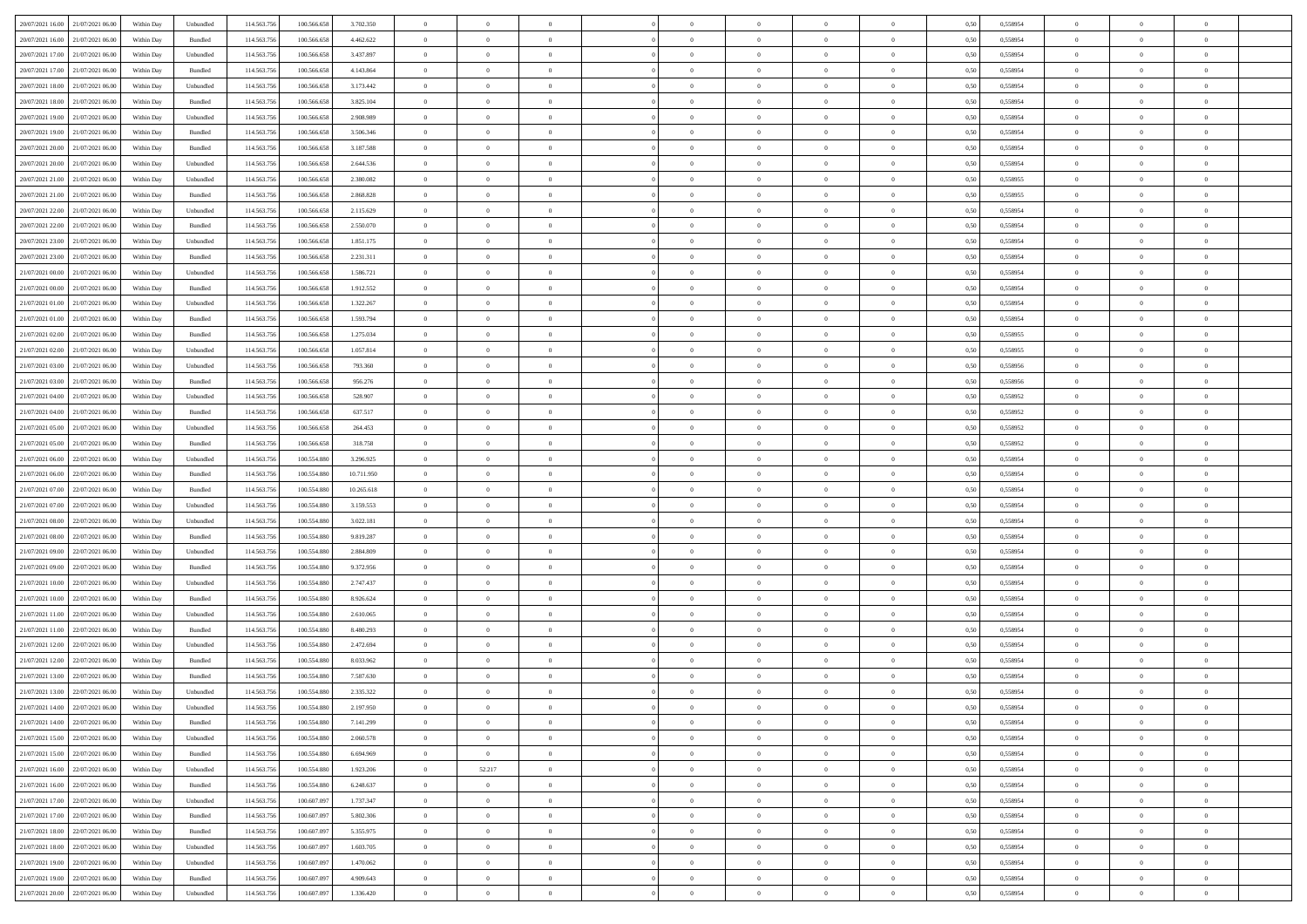| 20/07/2021 16:00 21/07/2021 06:00    | Within Day | Unbundled                   | 114.563.756 | 100.566.658     | 3.702.350  | $\overline{0}$ | $\overline{0}$   |                | $\overline{0}$ | $\theta$       |                | $\theta$       | 0,50 | 0,558954 | $\theta$       | $\theta$       | $\overline{0}$ |  |
|--------------------------------------|------------|-----------------------------|-------------|-----------------|------------|----------------|------------------|----------------|----------------|----------------|----------------|----------------|------|----------|----------------|----------------|----------------|--|
| 20/07/2021 16:00<br>21/07/2021 06:00 | Within Day | Bundled                     | 114.563.75  | 100.566.658     | 4.462.622  | $\bf{0}$       | $\bf{0}$         | $\bf{0}$       | $\bf{0}$       | $\overline{0}$ | $\overline{0}$ | $\bf{0}$       | 0,50 | 0,558954 | $\,$ 0 $\,$    | $\bf{0}$       | $\overline{0}$ |  |
| 20/07/2021 17:00<br>21/07/2021 06:00 | Within Day | Unbundled                   | 114,563,75  | 100.566.658     | 3.437.897  | $\overline{0}$ | $\bf{0}$         | $\overline{0}$ | $\bf{0}$       | $\overline{0}$ | $\overline{0}$ | $\bf{0}$       | 0.50 | 0.558954 | $\overline{0}$ | $\overline{0}$ | $\bf{0}$       |  |
| 20/07/2021 17:00<br>21/07/2021 06:00 |            |                             | 114.563.75  |                 |            | $\overline{0}$ | $\overline{0}$   | $\overline{0}$ | $\overline{0}$ | $\theta$       | $\overline{0}$ |                |      |          | $\theta$       | $\overline{0}$ | $\overline{0}$ |  |
|                                      | Within Day | Bundled                     |             | 100.566.658     | 4.143.864  |                |                  |                |                |                |                | $\bf{0}$       | 0,50 | 0,558954 |                |                |                |  |
| 20/07/2021 18:00<br>21/07/2021 06.00 | Within Day | Unbundled                   | 114.563.75  | 100.566.658     | 3.173.442  | $\bf{0}$       | $\bf{0}$         | $\bf{0}$       | $\overline{0}$ | $\bf{0}$       | $\overline{0}$ | $\bf{0}$       | 0,50 | 0,558954 | $\,$ 0 $\,$    | $\bf{0}$       | $\overline{0}$ |  |
| 20/07/2021 18:00<br>21/07/2021 06:00 | Within Day | Bundled                     | 114,563,75  | 100.566.658     | 3.825.104  | $\overline{0}$ | $\bf{0}$         | $\overline{0}$ | $\bf{0}$       | $\overline{0}$ | $\overline{0}$ | $\bf{0}$       | 0.50 | 0.558954 | $\,$ 0 $\,$    | $\overline{0}$ | $\overline{0}$ |  |
| 20/07/2021 19:00<br>21/07/2021 06:00 | Within Day | Unbundled                   | 114.563.75  | 100.566.658     | 2.908.989  | $\overline{0}$ | $\bf{0}$         | $\overline{0}$ | $\overline{0}$ | $\overline{0}$ | $\overline{0}$ | $\bf{0}$       | 0,50 | 0,558954 | $\,$ 0 $\,$    | $\theta$       | $\overline{0}$ |  |
|                                      |            |                             |             |                 |            |                |                  |                |                |                |                |                |      |          |                |                |                |  |
| 20/07/2021 19:00<br>21/07/2021 06:00 | Within Day | Bundled                     | 114.563.75  | 100.566.658     | 3.506.346  | $\bf{0}$       | $\bf{0}$         | $\bf{0}$       | $\bf{0}$       | $\overline{0}$ | $\overline{0}$ | $\bf{0}$       | 0,50 | 0,558954 | $\,$ 0 $\,$    | $\bf{0}$       | $\overline{0}$ |  |
| 20/07/2021 20:00<br>21/07/2021 06:00 | Within Day | Bundled                     | 114,563,75  | 100.566.658     | 3.187.588  | $\overline{0}$ | $\bf{0}$         | $\overline{0}$ | $\bf{0}$       | $\overline{0}$ | $\overline{0}$ | $\bf{0}$       | 0.50 | 0.558954 | $\bf{0}$       | $\overline{0}$ | $\overline{0}$ |  |
| 20/07/2021 20:00<br>21/07/2021 06:00 | Within Day | Unbundled                   | 114.563.75  | 100.566.658     | 2.644.536  | $\bf{0}$       | $\bf{0}$         | $\overline{0}$ | $\overline{0}$ | $\overline{0}$ | $\overline{0}$ | $\bf{0}$       | 0,50 | 0,558954 | $\,$ 0 $\,$    | $\overline{0}$ | $\overline{0}$ |  |
| 20/07/2021 21:00<br>21/07/2021 06:00 | Within Day | Unbundled                   | 114.563.75  | 100.566.658     | 2.380.082  | $\bf{0}$       | $\bf{0}$         | $\bf{0}$       | $\bf{0}$       | $\overline{0}$ | $\overline{0}$ | $\bf{0}$       | 0,50 | 0,558955 | $\,$ 0 $\,$    | $\bf{0}$       | $\overline{0}$ |  |
|                                      |            |                             |             |                 |            |                |                  |                |                |                |                |                |      |          |                |                |                |  |
| 20/07/2021 21:00<br>21/07/2021 06:00 | Within Day | Bundled                     | 114,563,75  | 100.566.658     | 2.868.828  | $\overline{0}$ | $\bf{0}$         | $\overline{0}$ | $\overline{0}$ | $\overline{0}$ | $\overline{0}$ | $\bf{0}$       | 0.50 | 0.558955 | $\bf{0}$       | $\,$ 0 $\,$    | $\,$ 0         |  |
| 20/07/2021 22:00<br>21/07/2021 06:00 | Within Day | Unbundled                   | 114.563.75  | 100.566.658     | 2.115.629  | $\overline{0}$ | $\bf{0}$         | $\overline{0}$ | $\theta$       | $\theta$       | $\overline{0}$ | $\bf{0}$       | 0,50 | 0,558954 | $\,$ 0 $\,$    | $\,$ 0 $\,$    | $\overline{0}$ |  |
| 20/07/2021 22:00<br>21/07/2021 06:00 | Within Day | Bundled                     | 114.563.75  | 100.566.658     | 2.550.070  | $\bf{0}$       | $\bf{0}$         | $\bf{0}$       | $\bf{0}$       | $\overline{0}$ | $\overline{0}$ | $\bf{0}$       | 0,50 | 0,558954 | $\,$ 0 $\,$    | $\bf{0}$       | $\overline{0}$ |  |
|                                      |            |                             |             |                 |            |                |                  |                |                |                |                |                |      |          |                |                |                |  |
| 20/07/2021 23:00<br>21/07/2021 06:00 | Within Day | Unbundled                   | 114,563,75  | 100.566.658     | 1.851.175  | $\overline{0}$ | $\bf{0}$         | $\overline{0}$ | $\bf{0}$       | $\overline{0}$ | $\overline{0}$ | $\bf{0}$       | 0.50 | 0.558954 | $\,$ 0 $\,$    | $\bf{0}$       | $\overline{0}$ |  |
| 20/07/2021 23:00<br>21/07/2021 06:00 | Within Day | Bundled                     | 114.563.75  | 100.566.658     | 2.231.311  | $\overline{0}$ | $\overline{0}$   | $\overline{0}$ | $\overline{0}$ | $\overline{0}$ | $\overline{0}$ | $\bf{0}$       | 0,50 | 0,558954 | $\theta$       | $\theta$       | $\overline{0}$ |  |
| 21/07/2021 00:00<br>21/07/2021 06:00 | Within Day | Unbundled                   | 114.563.75  | 100.566.658     | 1.586.721  | $\bf{0}$       | $\bf{0}$         | $\bf{0}$       | $\bf{0}$       | $\overline{0}$ | $\overline{0}$ | $\bf{0}$       | 0,50 | 0,558954 | $\,$ 0 $\,$    | $\bf{0}$       | $\overline{0}$ |  |
| 21/07/2021 00:00<br>21/07/2021 06:00 | Within Day | Bundled                     | 114,563,75  | 100.566.658     | 1.912.552  | $\overline{0}$ | $\bf{0}$         | $\overline{0}$ | $\bf{0}$       | $\overline{0}$ | $\overline{0}$ | $\bf{0}$       | 0.50 | 0.558954 | $\bf{0}$       | $\overline{0}$ | $\bf{0}$       |  |
| 21/07/2021 01:00<br>21/07/2021 06:00 | Within Day | Unbundled                   | 114.563.75  | 100.566.658     | 1.322.267  | $\overline{0}$ | $\bf{0}$         | $\overline{0}$ | $\overline{0}$ | $\overline{0}$ | $\overline{0}$ | $\bf{0}$       | 0,50 | 0,558954 | $\,$ 0 $\,$    | $\bf{0}$       | $\overline{0}$ |  |
|                                      |            |                             |             |                 |            |                |                  |                |                |                |                |                |      |          |                |                |                |  |
| 21/07/2021 01:00<br>21/07/2021 06:00 | Within Day | Bundled                     | 114.563.75  | 100.566.658     | 1.593.794  | $\bf{0}$       | $\bf{0}$         | $\bf{0}$       | $\bf{0}$       | $\overline{0}$ | $\overline{0}$ | $\bf{0}$       | 0,50 | 0,558954 | $\,$ 0 $\,$    | $\bf{0}$       | $\overline{0}$ |  |
| 21/07/2021 02:00<br>21/07/2021 06:00 | Within Day | Bundled                     | 114.563.75  | 100.566.658     | 1.275.034  | $\overline{0}$ | $\bf{0}$         | $\overline{0}$ | $\overline{0}$ | $\overline{0}$ | $\overline{0}$ | $\bf{0}$       | 0.50 | 0.558955 | $\bf{0}$       | $\,$ 0 $\,$    | $\,$ 0         |  |
| 21/07/2021 02:00<br>21/07/2021 06:00 | Within Day | Unbundled                   | 114.563.75  | 100.566.658     | 1.057.814  | $\overline{0}$ | $\overline{0}$   | $\overline{0}$ | $\overline{0}$ | $\theta$       | $\overline{0}$ | $\bf{0}$       | 0,50 | 0,558955 | $\theta$       | $\overline{0}$ | $\overline{0}$ |  |
|                                      |            |                             |             |                 |            |                | $\bf{0}$         |                |                | $\overline{0}$ | $\overline{0}$ |                |      |          | $\,$ 0 $\,$    | $\bf{0}$       | $\overline{0}$ |  |
| 21/07/2021 03:00<br>21/07/2021 06:00 | Within Day | Unbundled                   | 114.563.75  | 100.566.658     | 793.360    | $\bf{0}$       |                  | $\bf{0}$       | $\bf{0}$       |                |                | $\bf{0}$       | 0,50 | 0,558956 |                |                |                |  |
| 21/07/2021 03:00<br>21/07/2021 06:00 | Within Day | Bundled                     | 114,563,75  | 100.566.658     | 956.276    | $\overline{0}$ | $\bf{0}$         | $\overline{0}$ | $\bf{0}$       | $\overline{0}$ | $\overline{0}$ | $\bf{0}$       | 0.50 | 0.558956 | $\bf{0}$       | $\overline{0}$ | $\overline{0}$ |  |
| 21/07/2021 04:00<br>21/07/2021 06:00 | Within Day | Unbundled                   | 114.563.75  | 100.566.658     | 528.907    | $\overline{0}$ | $\overline{0}$   | $\overline{0}$ | $\overline{0}$ | $\overline{0}$ | $\overline{0}$ | $\bf{0}$       | 0,50 | 0,558952 | $\,$ 0 $\,$    | $\theta$       | $\overline{0}$ |  |
| 21/07/2021 04:00<br>21/07/2021 06:00 | Within Day | Bundled                     | 114.563.75  | 100.566.658     | 637.517    | $\bf{0}$       | $\bf{0}$         | $\bf{0}$       | $\bf{0}$       | $\overline{0}$ | $\overline{0}$ | $\bf{0}$       | 0,50 | 0,558952 | $\,$ 0 $\,$    | $\bf{0}$       | $\overline{0}$ |  |
| 21/07/2021 05:00<br>21/07/2021 06:00 | Within Day | Unbundled                   | 114.563.75  | 100.566.658     | 264.453    | $\overline{0}$ | $\bf{0}$         | $\overline{0}$ | $\bf{0}$       | $\overline{0}$ | $\overline{0}$ | $\bf{0}$       | 0.50 | 0.558952 | $\bf{0}$       | $\overline{0}$ | $\overline{0}$ |  |
|                                      |            |                             |             |                 |            |                |                  |                |                |                |                |                |      |          |                |                |                |  |
| 21/07/2021 05:00<br>21/07/2021 06:00 | Within Day | Bundled                     | 114.563.75  | 100.566.658     | 318.758    | $\overline{0}$ | $\bf{0}$         | $\overline{0}$ | $\overline{0}$ | $\overline{0}$ | $\overline{0}$ | $\bf{0}$       | 0,50 | 0,558952 | $\,$ 0 $\,$    | $\overline{0}$ | $\overline{0}$ |  |
| 21/07/2021 06:00<br>22/07/2021 06:00 | Within Day | Unbundled                   | 114.563.75  | 100.554.880     | 3.296.925  | $\bf{0}$       | $\bf{0}$         | $\bf{0}$       | $\bf{0}$       | $\overline{0}$ | $\overline{0}$ | $\bf{0}$       | 0,50 | 0,558954 | $\,$ 0 $\,$    | $\bf{0}$       | $\overline{0}$ |  |
| 21/07/2021 06:00<br>22/07/2021 06:00 | Within Day | Bundled                     | 114,563,75  | 100.554.880     | 10.711.950 | $\overline{0}$ | $\bf{0}$         | $\overline{0}$ | $\overline{0}$ | $\overline{0}$ | $\overline{0}$ | $\bf{0}$       | 0.50 | 0.558954 | $\bf{0}$       | $\,$ 0 $\,$    | $\,$ 0         |  |
| 21/07/2021 07:00<br>22/07/2021 06:00 | Within Day | Bundled                     | 114.563.75  | 100,554,880     | 10.265.618 | $\overline{0}$ | $\overline{0}$   | $\overline{0}$ | $\overline{0}$ | $\overline{0}$ | $\overline{0}$ | $\bf{0}$       | 0.50 | 0.558954 | $\theta$       | $\overline{0}$ | $\overline{0}$ |  |
|                                      |            |                             |             |                 |            |                |                  |                |                |                |                |                |      |          |                |                |                |  |
| 21/07/2021 07:00<br>22/07/2021 06.00 | Within Day | Unbundled                   | 114.563.75  | 100.554.88      | 3.159.553  | $\bf{0}$       | $\bf{0}$         | $\bf{0}$       | $\bf{0}$       | $\overline{0}$ | $\overline{0}$ | $\bf{0}$       | 0,50 | 0,558954 | $\,$ 0 $\,$    | $\bf{0}$       | $\overline{0}$ |  |
| 21/07/2021 08:00<br>22/07/2021 06:00 | Within Day | Unbundled                   | 114,563,75  | 100.554.880     | 3.022.181  | $\overline{0}$ | $\bf{0}$         | $\overline{0}$ | $\bf{0}$       | $\overline{0}$ | $\overline{0}$ | $\bf{0}$       | 0.50 | 0.558954 | $\bf{0}$       | $\bf{0}$       | $\overline{0}$ |  |
| 21/07/2021 08:00<br>22/07/2021 06:00 | Within Dav | Bundled                     | 114.563.75  | 100.554.880     | 9.819.287  | $\overline{0}$ | $\overline{0}$   | $\overline{0}$ | $\overline{0}$ | $\overline{0}$ | $\overline{0}$ | $\bf{0}$       | 0.50 | 0,558954 | $\theta$       | $\theta$       | $\overline{0}$ |  |
| 21/07/2021 09:00<br>22/07/2021 06.00 | Within Day | Unbundled                   | 114.563.75  | 100.554.880     | 2.884.809  | $\bf{0}$       | $\bf{0}$         | $\bf{0}$       | $\bf{0}$       | $\overline{0}$ | $\overline{0}$ | $\bf{0}$       | 0,50 | 0,558954 | $\,$ 0 $\,$    | $\bf{0}$       | $\overline{0}$ |  |
| 21/07/2021 09:00<br>22/07/2021 06:00 | Within Day | Bundled                     | 114,563,75  | 100.554.880     | 9.372.956  | $\overline{0}$ | $\bf{0}$         | $\overline{0}$ | $\bf{0}$       | $\overline{0}$ | $\overline{0}$ | $\bf{0}$       | 0.50 | 0.558954 | $\bf{0}$       | $\overline{0}$ | $\bf{0}$       |  |
|                                      |            |                             |             |                 |            |                |                  |                |                |                |                |                |      |          |                |                |                |  |
| 21/07/2021 10:00<br>22/07/2021 06:00 | Within Day | Unbundled                   | 114.563.75  | 100,554,880     | 2.747.437  | $\overline{0}$ | $\overline{0}$   | $\overline{0}$ | $\overline{0}$ | $\overline{0}$ | $\overline{0}$ | $\bf{0}$       | 0.50 | 0,558954 | $\theta$       | $\overline{0}$ | $\overline{0}$ |  |
| 21/07/2021 10:00<br>22/07/2021 06.00 | Within Day | Bundled                     | 114.563.75  | 100.554.88      | 8.926.624  | $\bf{0}$       | $\bf{0}$         | $\bf{0}$       | $\bf{0}$       | $\overline{0}$ | $\bf{0}$       | $\bf{0}$       | 0,50 | 0,558954 | $\,$ 0 $\,$    | $\bf{0}$       | $\overline{0}$ |  |
| 21/07/2021 11:00<br>22/07/2021 06:00 | Within Day | Unbundled                   | 114.563.75  | 100,554,880     | 2.610.065  | $\overline{0}$ | $\bf{0}$         | $\overline{0}$ | $\overline{0}$ | $\bf{0}$       | $\overline{0}$ | $\bf{0}$       | 0.50 | 0.558954 | $\,$ 0 $\,$    | $\,$ 0 $\,$    | $\,$ 0         |  |
| 21/07/2021 11:00<br>22/07/2021 06:00 | Within Dav | Bundled                     | 114.563.75  | 100.554.880     | 8.480.293  | $\overline{0}$ | $\overline{0}$   | $\overline{0}$ | $\overline{0}$ | $\overline{0}$ | $\overline{0}$ | $\bf{0}$       | 0.50 | 0.558954 | $\theta$       | $\theta$       | $\overline{0}$ |  |
|                                      |            |                             |             |                 |            |                |                  |                |                |                |                |                |      |          |                |                |                |  |
| 21/07/2021 12:00<br>22/07/2021 06.00 | Within Day | Unbundled                   | 114.563.75  | 100.554.88      | 2.472.694  | $\bf{0}$       | $\bf{0}$         | $\bf{0}$       | $\bf{0}$       | $\overline{0}$ | $\overline{0}$ | $\bf{0}$       | 0,50 | 0,558954 | $\,$ 0 $\,$    | $\bf{0}$       | $\overline{0}$ |  |
| 21/07/2021 12:00<br>22/07/2021 06:00 | Within Day | Bundled                     | 114,563,75  | 100.554.880     | 8.033.962  | $\overline{0}$ | $\bf{0}$         | $\overline{0}$ | $\bf{0}$       | $\overline{0}$ | $\overline{0}$ | $\bf{0}$       | 0.50 | 0.558954 | $\bf{0}$       | $\overline{0}$ | $\overline{0}$ |  |
| 21/07/2021 13:00<br>22/07/2021 06:00 | Within Day | Bundled                     | 114.563.75  | 100,554,880     | 7.587.630  | $\overline{0}$ | $\overline{0}$   | $\overline{0}$ | $\overline{0}$ | $\theta$       | $\overline{0}$ | $\overline{0}$ | 0.5( | 0,558954 | $\theta$       | $\theta$       | $\overline{0}$ |  |
| 21/07/2021 13:00<br>22/07/2021 06:00 | Within Day | Unbundled                   | 114.563.75  | 100.554.880     | 2.335.322  | $\bf{0}$       | $\bf{0}$         | $\bf{0}$       | $\bf{0}$       | $\overline{0}$ | $\overline{0}$ | $\bf{0}$       | 0,50 | 0,558954 | $\overline{0}$ | $\overline{0}$ | $\overline{0}$ |  |
| 21/07/2021 14:00 22/07/2021 06:00    |            |                             |             |                 |            |                |                  |                |                |                |                |                |      | 0.558954 |                |                |                |  |
|                                      | Within Day | $\ensuremath{\mathsf{Unb}}$ | 114.563.756 | $100.554.880\,$ | 2.197.950  | $\bf{0}$       | $\boldsymbol{0}$ |                | $\overline{0}$ | $\bf{0}$       |                |                | 0,50 |          | $\bf{0}$       | $\,$ 0         |                |  |
| 21/07/2021 14:00 22/07/2021 06:00    | Within Day | Bundled                     | 114.563.756 | 100.554.880     | 7.141.299  | $\overline{0}$ | $\overline{0}$   | $\Omega$       | $\theta$       | $\overline{0}$ | $\overline{0}$ | $\bf{0}$       | 0,50 | 0,558954 | $\theta$       | $\theta$       | $\overline{0}$ |  |
| 21/07/2021 15:00<br>22/07/2021 06:00 | Within Day | Unbundled                   | 114.563.75  | 100.554.880     | 2.060.578  | $\overline{0}$ | $\bf{0}$         | $\overline{0}$ | $\overline{0}$ | $\bf{0}$       | $\overline{0}$ | $\bf{0}$       | 0,50 | 0,558954 | $\bf{0}$       | $\overline{0}$ | $\bf{0}$       |  |
| 21/07/2021 15:00 22/07/2021 06:00    | Within Day | Bundled                     | 114,563,756 | 100,554,880     | 6.694.969  | $\overline{0}$ | $\overline{0}$   | $\overline{0}$ | $\overline{0}$ | $\mathbf{0}$   | $\overline{0}$ | $\,$ 0 $\,$    | 0.50 | 0.558954 | $\overline{0}$ | $\bf{0}$       | $\overline{0}$ |  |
|                                      |            |                             |             |                 |            |                |                  |                |                | $\overline{0}$ |                |                |      |          | $\overline{0}$ | $\theta$       | $\overline{0}$ |  |
| 21/07/2021 16:00 22/07/2021 06:00    | Within Dav | Unbundled                   | 114.563.756 | 100.554.880     | 1.923.206  | $\overline{0}$ | 52.217           | $\overline{0}$ | $\overline{0}$ |                | $\overline{0}$ | $\bf{0}$       | 0,50 | 0,558954 |                |                |                |  |
| 21/07/2021 16:00<br>22/07/2021 06:00 | Within Day | Bundled                     | 114.563.75  | 100.554.880     | 6.248.637  | $\overline{0}$ | $\bf{0}$         | $\overline{0}$ | $\overline{0}$ | $\bf{0}$       | $\overline{0}$ | $\bf{0}$       | 0,50 | 0,558954 | $\bf{0}$       | $\overline{0}$ | $\overline{0}$ |  |
| 21/07/2021 17:00 22/07/2021 06:00    | Within Day | Unbundled                   | 114.563.756 | 100,607,097     | 1.737.347  | $\overline{0}$ | $\bf{0}$         | $\overline{0}$ | $\overline{0}$ | $\bf{0}$       | $\overline{0}$ | $\bf{0}$       | 0.50 | 0.558954 | $\,$ 0 $\,$    | $\overline{0}$ | $\,$ 0         |  |
| 21/07/2021 17:00 22/07/2021 06:00    | Within Dav | Bundled                     | 114.563.756 | 100.607.097     | 5.802.306  | $\overline{0}$ | $\overline{0}$   | $\overline{0}$ | $\overline{0}$ | $\overline{0}$ | $\overline{0}$ | $\bf{0}$       | 0.50 | 0,558954 | $\overline{0}$ | $\theta$       | $\overline{0}$ |  |
| 22/07/2021 06:00                     |            |                             |             |                 |            |                | $\overline{0}$   |                |                | $\overline{0}$ |                |                |      |          | $\bf{0}$       | $\overline{0}$ | $\,$ 0         |  |
| 21/07/2021 18:00                     | Within Day | Bundled                     | 114.563.75  | 100.607.097     | 5.355.975  | $\overline{0}$ |                  | $\overline{0}$ | $\overline{0}$ |                | $\overline{0}$ | $\bf{0}$       | 0,50 | 0,558954 |                |                |                |  |
| 21/07/2021 18:00 22/07/2021 06:00    | Within Day | Unbundled                   | 114.563.75  | 100,607,097     | 1.603.705  | $\overline{0}$ | $\overline{0}$   | $\overline{0}$ | $\overline{0}$ | $\overline{0}$ | $\overline{0}$ | $\bf{0}$       | 0.50 | 0.558954 | $\mathbf{0}$   | $\bf{0}$       | $\,$ 0         |  |
| 21/07/2021 19:00 22/07/2021 06:00    | Within Dav | Unbundled                   | 114.563.756 | 100.607.097     | 1.470.062  | $\overline{0}$ | $\overline{0}$   | $\overline{0}$ | $\overline{0}$ | $\overline{0}$ | $\overline{0}$ | $\bf{0}$       | 0.50 | 0,558954 | $\overline{0}$ | $\theta$       | $\overline{0}$ |  |
| 21/07/2021 19:00<br>22/07/2021 06:00 | Within Day | Bundled                     | 114.563.75  | 100.607.097     | 4.909.643  | $\overline{0}$ | $\bf{0}$         | $\overline{0}$ | $\bf{0}$       | $\overline{0}$ | $\overline{0}$ | $\bf{0}$       | 0,50 | 0,558954 | $\bf{0}$       | $\,$ 0 $\,$    | $\bf{0}$       |  |
| 21/07/2021 20:00 22/07/2021 06:00    |            |                             |             |                 |            |                |                  |                |                |                |                |                |      |          |                |                |                |  |
|                                      | Within Day | ${\sf Unbundred}$           | 114.563.756 | 100.607.097     | 1.336.420  | $\overline{0}$ | $\bf{0}$         | $\overline{0}$ | $\overline{0}$ | $\,$ 0 $\,$    | $\overline{0}$ | $\bf{0}$       | 0,50 | 0,558954 | $\overline{0}$ | $\,$ 0 $\,$    | $\,$ 0 $\,$    |  |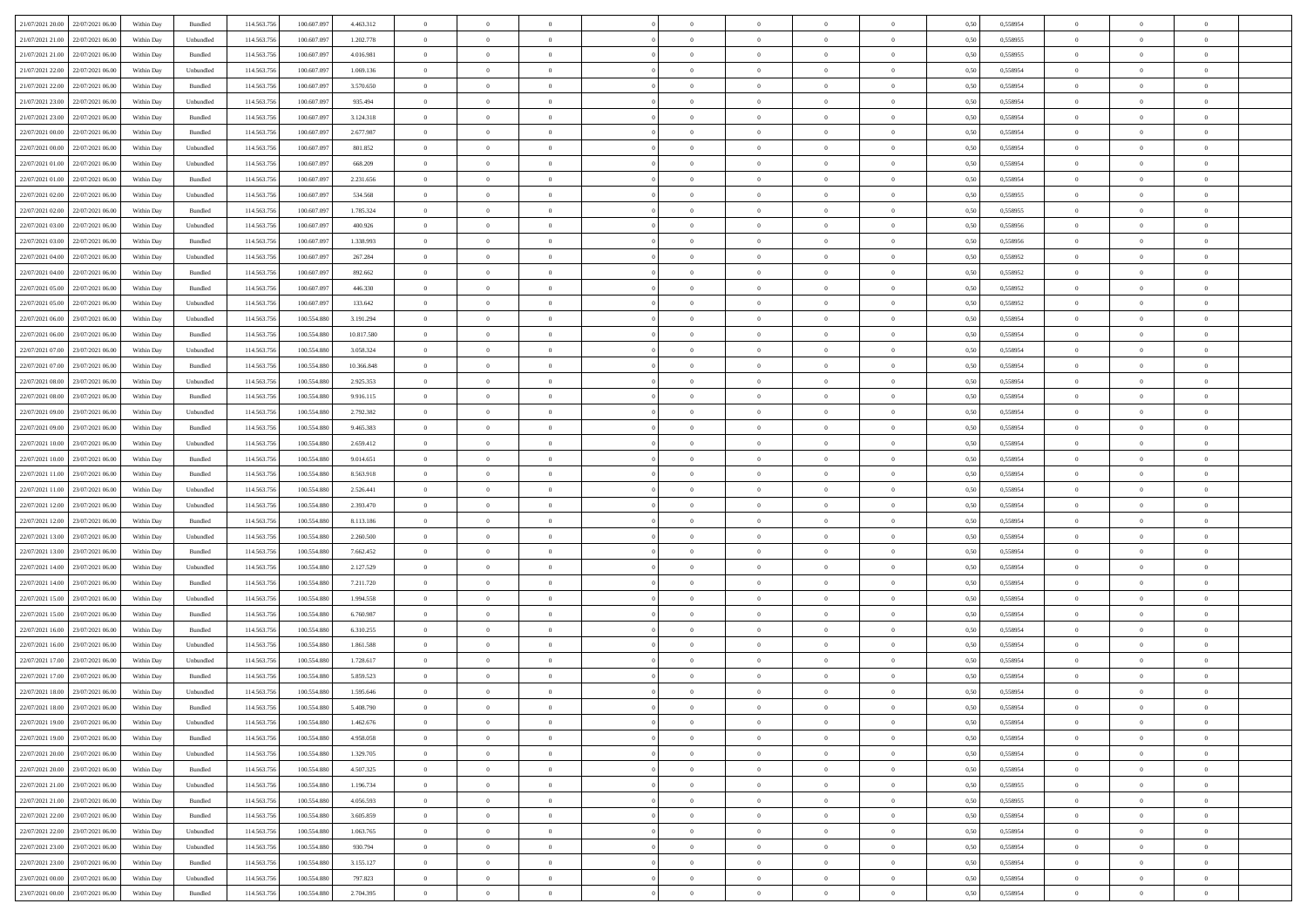| 21/07/2021 20.00 22/07/2021 06:00    | Within Day | Bundled            | 114.563.756 | 100.607.097 | 4.463.312  | $\overline{0}$ | $\overline{0}$   |                | $\overline{0}$ | $\theta$       |                | $\theta$       | 0,50 | 0,558954 | $\theta$       | $\theta$       | $\overline{0}$ |  |
|--------------------------------------|------------|--------------------|-------------|-------------|------------|----------------|------------------|----------------|----------------|----------------|----------------|----------------|------|----------|----------------|----------------|----------------|--|
|                                      |            |                    |             |             |            |                |                  |                |                |                |                |                |      |          |                |                |                |  |
| 21/07/2021 21:00<br>22/07/2021 06:00 | Within Day | Unbundled          | 114.563.75  | 100.607.09  | 1.202.778  | $\bf{0}$       | $\bf{0}$         | $\bf{0}$       | $\bf{0}$       | $\overline{0}$ | $\bf{0}$       | $\bf{0}$       | 0,50 | 0,558955 | $\,$ 0 $\,$    | $\bf{0}$       | $\overline{0}$ |  |
| 21/07/2021 21:00<br>22/07/2021 06:00 | Within Day | Bundled            | 114,563,75  | 100,607.097 | 4.016.981  | $\overline{0}$ | $\bf{0}$         | $\overline{0}$ | $\overline{0}$ | $\overline{0}$ | $\overline{0}$ | $\bf{0}$       | 0.50 | 0.558955 | $\overline{0}$ | $\,$ 0 $\,$    | $\bf{0}$       |  |
| 21/07/2021 22:00<br>22/07/2021 06:00 | Within Day | Unbundled          | 114.563.75  | 100.607.097 | 1.069.136  | $\overline{0}$ | $\overline{0}$   | $\overline{0}$ | $\overline{0}$ | $\theta$       | $\overline{0}$ | $\bf{0}$       | 0,50 | 0,558954 | $\theta$       | $\overline{0}$ | $\overline{0}$ |  |
| 21/07/2021 22.00<br>22/07/2021 06:00 | Within Day | Bundled            | 114.563.75  | 100.607.09  | 3.570.650  | $\bf{0}$       | $\overline{0}$   | $\bf{0}$       | $\overline{0}$ | $\bf{0}$       | $\overline{0}$ | $\bf{0}$       | 0,50 | 0,558954 | $\,$ 0 $\,$    | $\bf{0}$       | $\overline{0}$ |  |
| 21/07/2021 23:00<br>22/07/2021 06:00 | Within Day | Unbundled          | 114,563,75  | 100,607.097 | 935.494    | $\overline{0}$ | $\bf{0}$         | $\overline{0}$ | $\bf{0}$       | $\overline{0}$ | $\overline{0}$ | $\bf{0}$       | 0.50 | 0.558954 | $\,$ 0 $\,$    | $\bf{0}$       | $\overline{0}$ |  |
|                                      |            |                    |             |             |            | $\overline{0}$ | $\overline{0}$   | $\overline{0}$ | $\overline{0}$ | $\overline{0}$ | $\overline{0}$ |                |      |          |                | $\theta$       |                |  |
| 21/07/2021 23:00<br>22/07/2021 06:00 | Within Day | Bundled            | 114.563.75  | 100.607.097 | 3.124.318  |                |                  |                |                |                |                | $\bf{0}$       | 0,50 | 0,558954 | $\,$ 0 $\,$    |                | $\overline{0}$ |  |
| 22/07/2021 00:00<br>22/07/2021 06.00 | Within Day | Bundled            | 114.563.75  | 100.607.09  | 2.677.987  | $\bf{0}$       | $\bf{0}$         | $\bf{0}$       | $\bf{0}$       | $\overline{0}$ | $\overline{0}$ | $\bf{0}$       | 0,50 | 0,558954 | $\,$ 0 $\,$    | $\bf{0}$       | $\overline{0}$ |  |
| 22/07/2021 00:00<br>22/07/2021 06:00 | Within Day | Unbundled          | 114,563,75  | 100,607.097 | 801.852    | $\overline{0}$ | $\bf{0}$         | $\overline{0}$ | $\bf{0}$       | $\overline{0}$ | $\overline{0}$ | $\bf{0}$       | 0.50 | 0.558954 | $\bf{0}$       | $\overline{0}$ | $\overline{0}$ |  |
| 22/07/2021 01:00<br>22/07/2021 06:00 | Within Day | Unbundled          | 114.563.75  | 100.607.097 | 668.209    | $\bf{0}$       | $\bf{0}$         | $\overline{0}$ | $\overline{0}$ | $\overline{0}$ | $\overline{0}$ | $\bf{0}$       | 0,50 | 0,558954 | $\,$ 0 $\,$    | $\,$ 0 $\,$    | $\overline{0}$ |  |
| 22/07/2021 01:00<br>22/07/2021 06:00 | Within Day | Bundled            | 114.563.75  | 100.607.09  | 2.231.656  | $\bf{0}$       | $\bf{0}$         | $\bf{0}$       | $\bf{0}$       | $\overline{0}$ | $\overline{0}$ | $\bf{0}$       | 0,50 | 0,558954 | $\,$ 0 $\,$    | $\bf{0}$       | $\overline{0}$ |  |
| 22/07/2021 02:00<br>22/07/2021 06:00 | Within Day | Unbundled          | 114,563,75  | 100,607.097 | 534,568    | $\overline{0}$ | $\bf{0}$         | $\overline{0}$ | $\overline{0}$ | $\overline{0}$ | $\overline{0}$ | $\bf{0}$       | 0.50 | 0.558955 | $\bf{0}$       | $\,$ 0 $\,$    | $\,$ 0         |  |
| 22/07/2021 02:00<br>22/07/2021 06:00 | Within Day | Bundled            | 114.563.75  | 100.607.097 | 1.785.324  | $\overline{0}$ | $\bf{0}$         | $\overline{0}$ | $\theta$       | $\theta$       | $\overline{0}$ | $\bf{0}$       | 0,50 | 0,558955 | $\,$ 0 $\,$    | $\,$ 0 $\,$    | $\overline{0}$ |  |
|                                      |            |                    |             |             |            |                | $\bf{0}$         |                |                | $\overline{0}$ | $\overline{0}$ |                |      |          | $\,$ 0 $\,$    | $\bf{0}$       | $\overline{0}$ |  |
| 22/07/2021 03:00<br>22/07/2021 06:00 | Within Day | Unbundled          | 114.563.75  | 100.607.09  | 400.926    | $\bf{0}$       |                  | $\bf{0}$       | $\bf{0}$       |                |                | $\bf{0}$       | 0,50 | 0,558956 |                |                |                |  |
| 22/07/2021 03:00<br>22/07/2021 06:00 | Within Day | Bundled            | 114,563,75  | 100,607.097 | 1.338.993  | $\overline{0}$ | $\bf{0}$         | $\overline{0}$ | $\bf{0}$       | $\overline{0}$ | $\overline{0}$ | $\bf{0}$       | 0.50 | 0.558956 | $\,$ 0 $\,$    | $\bf{0}$       | $\overline{0}$ |  |
| 22/07/2021 04:00<br>22/07/2021 06:00 | Within Day | Unbundled          | 114.563.75  | 100.607.097 | 267.284    | $\overline{0}$ | $\overline{0}$   | $\overline{0}$ | $\overline{0}$ | $\overline{0}$ | $\overline{0}$ | $\bf{0}$       | 0,50 | 0,558952 | $\theta$       | $\theta$       | $\overline{0}$ |  |
| 22/07/2021 04:00<br>22/07/2021 06.00 | Within Day | Bundled            | 114.563.75  | 100.607.097 | 892.662    | $\bf{0}$       | $\bf{0}$         | $\bf{0}$       | $\overline{0}$ | $\overline{0}$ | $\overline{0}$ | $\bf{0}$       | 0,50 | 0,558952 | $\,$ 0 $\,$    | $\bf{0}$       | $\overline{0}$ |  |
| 22/07/2021 05:00<br>22/07/2021 06:00 | Within Day | Bundled            | 114,563,75  | 100,607.097 | 446.330    | $\overline{0}$ | $\bf{0}$         | $\overline{0}$ | $\bf{0}$       | $\bf{0}$       | $\overline{0}$ | $\bf{0}$       | 0.50 | 0.558952 | $\bf{0}$       | $\overline{0}$ | $\bf{0}$       |  |
| 22/07/2021 05:00<br>22/07/2021 06:00 | Within Day | Unbundled          | 114.563.75  | 100.607.097 | 133.642    | $\overline{0}$ | $\bf{0}$         | $\overline{0}$ | $\overline{0}$ | $\overline{0}$ | $\overline{0}$ | $\bf{0}$       | 0,50 | 0,558952 | $\,$ 0 $\,$    | $\bf{0}$       | $\overline{0}$ |  |
| 22/07/2021 06:00<br>23/07/2021 06:00 | Within Day | Unbundled          | 114.563.75  | 100.554.88  | 3.191.294  | $\bf{0}$       | $\bf{0}$         | $\bf{0}$       | $\bf{0}$       | $\overline{0}$ | $\overline{0}$ | $\bf{0}$       | 0,50 | 0,558954 | $\,$ 0 $\,$    | $\bf{0}$       | $\overline{0}$ |  |
|                                      |            |                    |             |             |            |                |                  |                |                |                |                |                |      |          |                |                |                |  |
| 22/07/2021 06:00<br>23/07/2021 06:00 | Within Day | Bundled            | 114,563,75  | 100,554,880 | 10.817.580 | $\overline{0}$ | $\bf{0}$         | $\overline{0}$ | $\overline{0}$ | $\overline{0}$ | $\overline{0}$ | $\bf{0}$       | 0.50 | 0.558954 | $\,$ 0 $\,$    | $\,$ 0 $\,$    | $\,$ 0         |  |
| 22/07/2021 07:00<br>23/07/2021 06:00 | Within Day | Unbundled          | 114.563.75  | 100.554.880 | 3.058.324  | $\overline{0}$ | $\overline{0}$   | $\overline{0}$ | $\overline{0}$ | $\theta$       | $\overline{0}$ | $\bf{0}$       | 0,50 | 0,558954 | $\theta$       | $\theta$       | $\overline{0}$ |  |
| 22/07/2021 07:00<br>23/07/2021 06:00 | Within Day | Bundled            | 114.563.75  | 100.554.88  | 10.366.848 | $\bf{0}$       | $\bf{0}$         | $\bf{0}$       | $\bf{0}$       | $\overline{0}$ | $\overline{0}$ | $\bf{0}$       | 0,50 | 0,558954 | $\,$ 0 $\,$    | $\bf{0}$       | $\overline{0}$ |  |
| 22/07/2021 08:00<br>23/07/2021 06:00 | Within Day | Unbundled          | 114,563,75  | 100.554.88  | 2.925.353  | $\overline{0}$ | $\bf{0}$         | $\overline{0}$ | $\bf{0}$       | $\overline{0}$ | $\overline{0}$ | $\bf{0}$       | 0.50 | 0.558954 | $\,$ 0 $\,$    | $\overline{0}$ | $\overline{0}$ |  |
| 22/07/2021 08:00<br>23/07/2021 06:00 | Within Day | Bundled            | 114.563.75  | 100.554.880 | 9.916.115  | $\overline{0}$ | $\overline{0}$   | $\overline{0}$ | $\overline{0}$ | $\overline{0}$ | $\overline{0}$ | $\bf{0}$       | 0,50 | 0,558954 | $\,$ 0 $\,$    | $\theta$       | $\overline{0}$ |  |
| 22/07/2021 09:00<br>23/07/2021 06.00 | Within Day | Unbundled          | 114.563.75  | 100.554.88  | 2.792.382  | $\bf{0}$       | $\overline{0}$   | $\bf{0}$       | $\bf{0}$       | $\overline{0}$ | $\overline{0}$ | $\bf{0}$       | 0,50 | 0,558954 | $\,$ 0 $\,$    | $\bf{0}$       | $\overline{0}$ |  |
| 22/07/2021 09:00<br>23/07/2021 06:00 | Within Day | Bundled            | 114,563,75  | 100,554,880 | 9.465.383  | $\overline{0}$ | $\bf{0}$         | $\overline{0}$ | $\bf{0}$       | $\overline{0}$ | $\overline{0}$ | $\bf{0}$       | 0.50 | 0.558954 | $\bf{0}$       | $\overline{0}$ | $\overline{0}$ |  |
| 22/07/2021 10:00<br>23/07/2021 06:00 | Within Day | Unbundled          | 114.563.75  | 100.554.880 | 2.659.412  | $\overline{0}$ | $\bf{0}$         | $\overline{0}$ | $\overline{0}$ | $\overline{0}$ | $\overline{0}$ | $\bf{0}$       | 0,50 | 0,558954 | $\,$ 0 $\,$    | $\,$ 0 $\,$    | $\overline{0}$ |  |
|                                      |            |                    |             |             |            |                |                  |                |                |                |                |                |      |          |                |                |                |  |
| 22/07/2021 10:00<br>23/07/2021 06.00 | Within Day | Bundled            | 114.563.75  | 100.554.880 | 9.014.651  | $\bf{0}$       | $\bf{0}$         | $\bf{0}$       | $\bf{0}$       | $\overline{0}$ | $\bf{0}$       | $\bf{0}$       | 0,50 | 0,558954 | $\,$ 0 $\,$    | $\bf{0}$       | $\overline{0}$ |  |
| 22/07/2021 11:00<br>23/07/2021 06:00 | Within Day | Bundled            | 114,563,75  | 100.554.880 | 8.563.918  | $\overline{0}$ | $\bf{0}$         | $\overline{0}$ | $\overline{0}$ | $\overline{0}$ | $\overline{0}$ | $\bf{0}$       | 0.50 | 0.558954 | $\bf{0}$       | $\,$ 0 $\,$    | $\,$ 0         |  |
| 22/07/2021 11:00<br>23/07/2021 06:00 | Within Day | Unbundled          | 114.563.75  | 100,554,880 | 2.526.441  | $\overline{0}$ | $\overline{0}$   | $\overline{0}$ | $\overline{0}$ | $\overline{0}$ | $\overline{0}$ | $\bf{0}$       | 0.50 | 0,558954 | $\theta$       | $\theta$       | $\overline{0}$ |  |
| 22/07/2021 12:00<br>23/07/2021 06:00 | Within Day | Unbundled          | 114.563.75  | 100.554.88  | 2.393.470  | $\bf{0}$       | $\bf{0}$         | $\bf{0}$       | $\bf{0}$       | $\overline{0}$ | $\overline{0}$ | $\bf{0}$       | 0,50 | 0,558954 | $\,$ 0 $\,$    | $\bf{0}$       | $\overline{0}$ |  |
| 22/07/2021 12:00<br>23/07/2021 06:00 | Within Day | Bundled            | 114,563,75  | 100.554.880 | 8.113.186  | $\overline{0}$ | $\bf{0}$         | $\overline{0}$ | $\bf{0}$       | $\overline{0}$ | $\overline{0}$ | $\bf{0}$       | 0.50 | 0.558954 | $\,$ 0 $\,$    | $\bf{0}$       | $\overline{0}$ |  |
| 22/07/2021 13:00<br>23/07/2021 06:00 | Within Dav | Unbundled          | 114.563.75  | 100.554.880 | 2.260.500  | $\overline{0}$ | $\overline{0}$   | $\overline{0}$ | $\overline{0}$ | $\overline{0}$ | $\overline{0}$ | $\bf{0}$       | 0.50 | 0,558954 | $\theta$       | $\theta$       | $\overline{0}$ |  |
| 22/07/2021 13:00<br>23/07/2021 06.00 | Within Day | Bundled            | 114.563.75  | 100.554.880 | 7.662.452  | $\bf{0}$       | $\bf{0}$         | $\bf{0}$       | $\bf{0}$       | $\overline{0}$ | $\overline{0}$ | $\bf{0}$       | 0,50 | 0,558954 | $\,$ 0 $\,$    | $\bf{0}$       | $\overline{0}$ |  |
| 22/07/2021 14:00<br>23/07/2021 06:00 | Within Day | Unbundled          | 114,563,75  | 100.554.880 | 2.127.529  | $\overline{0}$ | $\bf{0}$         | $\overline{0}$ | $\bf{0}$       | $\overline{0}$ | $\overline{0}$ | $\bf{0}$       | 0.50 | 0.558954 | $\bf{0}$       | $\overline{0}$ | $\bf{0}$       |  |
|                                      |            |                    |             |             |            |                |                  |                |                |                |                |                |      |          |                |                |                |  |
| 22/07/2021 14:00<br>23/07/2021 06:00 | Within Day | Bundled            | 114.563.75  | 100,554,880 | 7.211.720  | $\overline{0}$ | $\overline{0}$   | $\overline{0}$ | $\overline{0}$ | $\overline{0}$ | $\overline{0}$ | $\bf{0}$       | 0.50 | 0,558954 | $\theta$       | $\overline{0}$ | $\overline{0}$ |  |
| 22/07/2021 15:00<br>23/07/2021 06.00 | Within Day | Unbundled          | 114.563.75  | 100.554.88  | 1.994.558  | $\bf{0}$       | $\bf{0}$         | $\bf{0}$       | $\bf{0}$       | $\overline{0}$ | $\overline{0}$ | $\bf{0}$       | 0,50 | 0,558954 | $\,$ 0 $\,$    | $\bf{0}$       | $\overline{0}$ |  |
| 22/07/2021 15:00<br>23/07/2021 06:00 | Within Day | Bundled            | 114.563.75  | 100,554,880 | 6.760.987  | $\overline{0}$ | $\bf{0}$         | $\overline{0}$ | $\overline{0}$ | $\bf{0}$       | $\overline{0}$ | $\bf{0}$       | 0.50 | 0.558954 | $\,$ 0 $\,$    | $\,$ 0 $\,$    | $\,$ 0         |  |
| 22/07/2021 16:00<br>23/07/2021 06:00 | Within Dav | Bundled            | 114.563.75  | 100.554.880 | 6.310.255  | $\overline{0}$ | $\overline{0}$   | $\overline{0}$ | $\overline{0}$ | $\overline{0}$ | $\overline{0}$ | $\bf{0}$       | 0.50 | 0,558954 | $\theta$       | $\theta$       | $\overline{0}$ |  |
| 22/07/2021 16:00<br>23/07/2021 06.00 | Within Day | Unbundled          | 114.563.75  | 100.554.880 | 1.861.588  | $\bf{0}$       | $\bf{0}$         | $\bf{0}$       | $\bf{0}$       | $\overline{0}$ | $\overline{0}$ | $\bf{0}$       | 0,50 | 0,558954 | $\,$ 0 $\,$    | $\bf{0}$       | $\overline{0}$ |  |
| 22/07/2021 17:00<br>23/07/2021 06:00 | Within Day | Unbundled          | 114,563,75  | 100.554.880 | 1.728.617  | $\overline{0}$ | $\bf{0}$         | $\overline{0}$ | $\bf{0}$       | $\overline{0}$ | $\overline{0}$ | $\bf{0}$       | 0.50 | 0.558954 | $\bf{0}$       | $\bf{0}$       | $\overline{0}$ |  |
| 22/07/2021 17:00<br>23/07/2021 06:00 | Within Day | Bundled            | 114.563.75  | 100,554,880 | 5.859.523  | $\overline{0}$ | $\overline{0}$   | $\overline{0}$ | $\theta$       | $\theta$       | $\overline{0}$ | $\overline{0}$ | 0.5( | 0,558954 | $\theta$       | $\theta$       | $\overline{0}$ |  |
| 22/07/2021 18:00<br>23/07/2021 06:00 | Within Day | Unbundled          | 114.563.75  | 100.554.880 | 1.595.646  | $\bf{0}$       | $\bf{0}$         | $\bf{0}$       | $\bf{0}$       | $\bf{0}$       | $\overline{0}$ | $\bf{0}$       | 0,50 | 0,558954 | $\overline{0}$ | $\overline{0}$ | $\overline{0}$ |  |
| 22/07/2021 18:00 23/07/2021 06:00    | Within Day | $\mathbf B$ undled | 114.563.756 | 100.554.880 | 5.408.790  | $\bf{0}$       | $\boldsymbol{0}$ |                | $\overline{0}$ | $\bf{0}$       |                |                | 0,50 | 0.558954 | $\bf{0}$       | $\bf{0}$       |                |  |
|                                      |            |                    |             |             |            |                |                  |                |                |                |                |                |      |          |                |                |                |  |
| 22/07/2021 19:00 23/07/2021 06:00    | Within Day | Unbundled          | 114.563.756 | 100.554.880 | 1.462.676  | $\overline{0}$ | $\overline{0}$   | $\Omega$       | $\overline{0}$ | $\overline{0}$ | $\overline{0}$ | $\bf{0}$       | 0,50 | 0,558954 | $\theta$       | $\theta$       | $\overline{0}$ |  |
| 22/07/2021 19:00<br>23/07/2021 06:00 | Within Day | Bundled            | 114.563.75  | 100.554.880 | 4.958.058  | $\overline{0}$ | $\bf{0}$         | $\overline{0}$ | $\overline{0}$ | $\bf{0}$       | $\overline{0}$ | $\bf{0}$       | 0,50 | 0,558954 | $\bf{0}$       | $\overline{0}$ | $\bf{0}$       |  |
| 22/07/2021 20:00 23/07/2021 06:00    | Within Day | Unbundled          | 114,563,756 | 100,554,880 | 1.329.705  | $\overline{0}$ | $\overline{0}$   | $\overline{0}$ | $\overline{0}$ | $\mathbf{0}$   | $\overline{0}$ | $\,$ 0 $\,$    | 0.50 | 0.558954 | $\overline{0}$ | $\bf{0}$       | $\overline{0}$ |  |
| 22/07/2021 20.00 23/07/2021 06:00    | Within Day | Bundled            | 114.563.756 | 100.554.880 | 4.507.325  | $\overline{0}$ | $\overline{0}$   | $\overline{0}$ | $\overline{0}$ | $\overline{0}$ | $\overline{0}$ | $\bf{0}$       | 0,50 | 0,558954 | $\overline{0}$ | $\theta$       | $\overline{0}$ |  |
| 22/07/2021 21:00<br>23/07/2021 06:00 | Within Day | Unbundled          | 114.563.75  | 100.554.880 | 1.196.734  | $\overline{0}$ | $\bf{0}$         | $\overline{0}$ | $\overline{0}$ | $\bf{0}$       | $\overline{0}$ | $\bf{0}$       | 0,50 | 0,558955 | $\bf{0}$       | $\overline{0}$ | $\overline{0}$ |  |
| 22/07/2021 21:00 23/07/2021 06:00    | Within Day | Bundled            | 114.563.756 | 100,554,880 | 4.056.593  | $\overline{0}$ | $\bf{0}$         | $\overline{0}$ | $\overline{0}$ | $\bf{0}$       | $\overline{0}$ | $\bf{0}$       | 0.50 | 0.558955 | $\,$ 0 $\,$    | $\overline{0}$ | $\,$ 0         |  |
| 22/07/2021 22:00 23/07/2021 06:00    | Within Day | Bundled            | 114.563.756 | 100.554.880 | 3.605.859  | $\overline{0}$ | $\overline{0}$   | $\overline{0}$ | $\overline{0}$ | $\overline{0}$ | $\overline{0}$ | $\bf{0}$       | 0.50 | 0,558954 | $\overline{0}$ | $\theta$       | $\overline{0}$ |  |
|                                      |            |                    |             |             |            |                |                  |                |                |                |                |                |      |          |                |                |                |  |
| 23/07/2021 06:00<br>22/07/2021 22:00 | Within Day | Unbundled          | 114.563.75  | 100.554.880 | 1.063.765  | $\overline{0}$ | $\overline{0}$   | $\overline{0}$ | $\overline{0}$ | $\overline{0}$ | $\overline{0}$ | $\bf{0}$       | 0,50 | 0,558954 | $\bf{0}$       | $\overline{0}$ | $\,$ 0         |  |
| 22/07/2021 23:00 23/07/2021 06:00    | Within Day | Unbundled          | 114.563.75  | 100,554,880 | 930.794    | $\overline{0}$ | $\overline{0}$   | $\overline{0}$ | $\overline{0}$ | $\overline{0}$ | $\overline{0}$ | $\bf{0}$       | 0.50 | 0.558954 | $\mathbf{0}$   | $\bf{0}$       | $\,$ 0         |  |
| 22/07/2021 23:00 23/07/2021 06:00    | Within Dav | Bundled            | 114.563.756 | 100.554.880 | 3.155.127  | $\overline{0}$ | $\overline{0}$   | $\overline{0}$ | $\overline{0}$ | $\overline{0}$ | $\overline{0}$ | $\bf{0}$       | 0,50 | 0,558954 | $\overline{0}$ | $\theta$       | $\overline{0}$ |  |
| 23/07/2021 00:00<br>23/07/2021 06:00 | Within Day | Unbundled          | 114.563.75  | 100.554.880 | 797.823    | $\overline{0}$ | $\bf{0}$         | $\overline{0}$ | $\overline{0}$ | $\overline{0}$ | $\overline{0}$ | $\bf{0}$       | 0,50 | 0,558954 | $\bf{0}$       | $\overline{0}$ | $\bf{0}$       |  |
| 23/07/2021 00:00 23/07/2021 06:00    | Within Day | Bundled            | 114.563.756 | 100.554.880 | 2.704.395  | $\overline{0}$ | $\bf{0}$         | $\overline{0}$ | $\overline{0}$ | $\,$ 0 $\,$    | $\overline{0}$ | $\,$ 0 $\,$    | 0,50 | 0,558954 | $\overline{0}$ | $\,$ 0 $\,$    | $\,$ 0 $\,$    |  |
|                                      |            |                    |             |             |            |                |                  |                |                |                |                |                |      |          |                |                |                |  |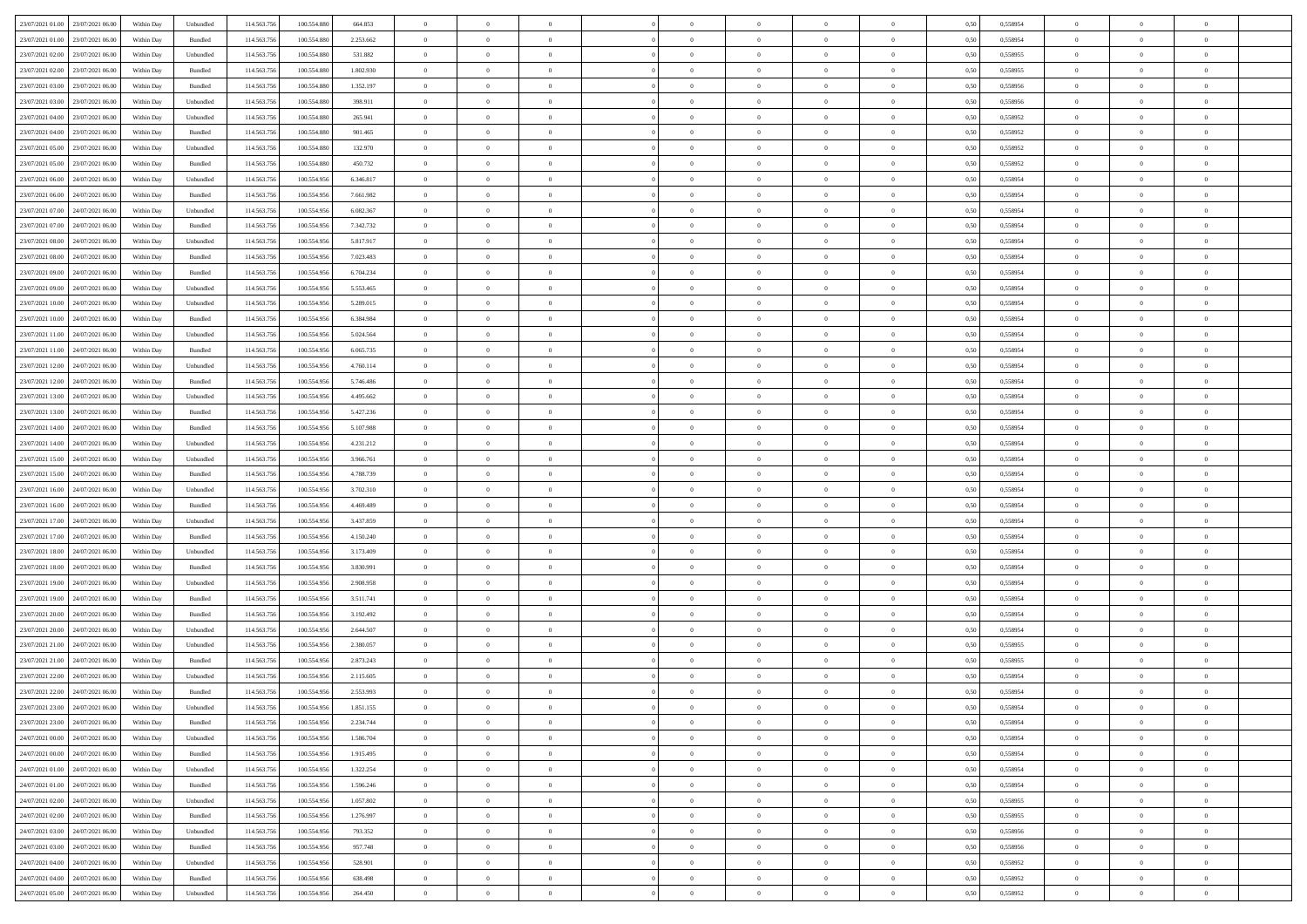| 23/07/2021 01:00 23/07/2021 06:00           | Within Day | Unbundled                   | 114.563.756 | 100.554.880 | 664.853   | $\overline{0}$ | $\overline{0}$ |                | $\overline{0}$ | $\theta$       |                | $\theta$       | 0,50 | 0,558954 | $\theta$       | $\theta$       | $\overline{0}$ |  |
|---------------------------------------------|------------|-----------------------------|-------------|-------------|-----------|----------------|----------------|----------------|----------------|----------------|----------------|----------------|------|----------|----------------|----------------|----------------|--|
| 23/07/2021 01:00<br>23/07/2021 06:00        | Within Day | Bundled                     | 114.563.75  | 100.554.88  | 2.253.662 | $\bf{0}$       | $\bf{0}$       | $\bf{0}$       | $\bf{0}$       | $\overline{0}$ | $\overline{0}$ | $\bf{0}$       | 0,50 | 0,558954 | $\,$ 0 $\,$    | $\bf{0}$       | $\overline{0}$ |  |
| 23/07/2021 02:00<br>23/07/2021 06:00        | Within Day | Unbundled                   | 114,563,75  | 100.554.880 | 531.882   | $\overline{0}$ | $\bf{0}$       | $\overline{0}$ | $\bf{0}$       | $\bf{0}$       | $\overline{0}$ | $\bf{0}$       | 0.50 | 0.558955 | $\bf{0}$       | $\overline{0}$ | $\overline{0}$ |  |
| 23/07/2021 02:00<br>23/07/2021 06:00        |            |                             | 114.563.75  |             |           | $\overline{0}$ | $\overline{0}$ | $\overline{0}$ | $\theta$       | $\theta$       | $\overline{0}$ |                |      |          | $\theta$       | $\theta$       | $\overline{0}$ |  |
|                                             | Within Day | Bundled                     |             | 100.554.880 | 1.802.930 |                |                |                |                |                |                | $\bf{0}$       | 0,50 | 0,558955 |                |                |                |  |
| 23/07/2021 03:00<br>23/07/2021 06.00        | Within Day | Bundled                     | 114.563.75  | 100.554.88  | 1.352.197 | $\overline{0}$ | $\overline{0}$ | $\bf{0}$       | $\overline{0}$ | $\bf{0}$       | $\overline{0}$ | $\bf{0}$       | 0,50 | 0,558956 | $\,$ 0 $\,$    | $\bf{0}$       | $\overline{0}$ |  |
| 23/07/2021 03:00<br>23/07/2021 06:00        | Within Day | Unbundled                   | 114,563,75  | 100.554.88  | 398.911   | $\overline{0}$ | $\bf{0}$       | $\overline{0}$ | $\bf{0}$       | $\overline{0}$ | $\theta$       | $\bf{0}$       | 0.50 | 0.558956 | $\,$ 0 $\,$    | $\theta$       | $\overline{0}$ |  |
| 23/07/2021 04:00<br>23/07/2021 06:00        | Within Day | Unbundled                   | 114.563.75  | 100.554.880 | 265.941   | $\overline{0}$ | $\overline{0}$ | $\overline{0}$ | $\overline{0}$ | $\overline{0}$ | $\overline{0}$ | $\bf{0}$       | 0,50 | 0,558952 | $\theta$       | $\theta$       | $\overline{0}$ |  |
|                                             |            |                             |             |             |           |                |                |                |                |                |                |                |      |          |                |                |                |  |
| 23/07/2021 04:00<br>23/07/2021 06.00        | Within Day | Bundled                     | 114.563.75  | 100.554.88  | 901.465   | $\bf{0}$       | $\bf{0}$       | $\bf{0}$       | $\overline{0}$ | $\overline{0}$ | $\overline{0}$ | $\bf{0}$       | 0,50 | 0,558952 | $\,$ 0 $\,$    | $\bf{0}$       | $\overline{0}$ |  |
| 23/07/2021 05:00<br>23/07/2021 06:00        | Within Day | Unbundled                   | 114,563,75  | 100.554.880 | 132.970   | $\overline{0}$ | $\bf{0}$       | $\overline{0}$ | $\bf{0}$       | $\overline{0}$ | $\overline{0}$ | $\bf{0}$       | 0.50 | 0.558952 | $\bf{0}$       | $\overline{0}$ | $\overline{0}$ |  |
| 23/07/2021 05:00<br>23/07/2021 06:00        | Within Day | Bundled                     | 114.563.75  | 100.554.880 | 450.732   | $\bf{0}$       | $\bf{0}$       | $\overline{0}$ | $\overline{0}$ | $\overline{0}$ | $\overline{0}$ | $\bf{0}$       | 0,50 | 0,558952 | $\,$ 0 $\,$    | $\bf{0}$       | $\overline{0}$ |  |
| 23/07/2021 06:00<br>24/07/2021 06.00        | Within Day | Unbundled                   | 114.563.75  | 100.554.95  | 6.346.817 | $\bf{0}$       | $\bf{0}$       | $\bf{0}$       | $\bf{0}$       | $\overline{0}$ | $\overline{0}$ | $\bf{0}$       | 0,50 | 0,558954 | $\,$ 0 $\,$    | $\bf{0}$       | $\overline{0}$ |  |
|                                             |            |                             |             |             |           |                |                |                |                |                |                |                |      |          |                |                |                |  |
| 23/07/2021 06:00<br>24/07/2021 06:00        | Within Day | Bundled                     | 114,563,75  | 100.554.956 | 7.661.982 | $\overline{0}$ | $\bf{0}$       | $\overline{0}$ | $\overline{0}$ | $\overline{0}$ | $\overline{0}$ | $\bf{0}$       | 0.50 | 0.558954 | $\bf{0}$       | $\overline{0}$ | $\,$ 0         |  |
| 23/07/2021 07:00<br>24/07/2021 06:00        | Within Day | Unbundled                   | 114.563.75  | 100.554.956 | 6.082.367 | $\overline{0}$ | $\overline{0}$ | $\overline{0}$ | $\theta$       | $\theta$       | $\overline{0}$ | $\bf{0}$       | 0,50 | 0,558954 | $\,$ 0 $\,$    | $\theta$       | $\overline{0}$ |  |
| 23/07/2021 07:00<br>24/07/2021 06.00        | Within Day | Bundled                     | 114.563.75  | 100.554.95  | 7.342.732 | $\bf{0}$       | $\overline{0}$ | $\bf{0}$       | $\bf{0}$       | $\bf{0}$       | $\overline{0}$ | $\bf{0}$       | 0,50 | 0,558954 | $\,$ 0 $\,$    | $\bf{0}$       | $\overline{0}$ |  |
|                                             |            |                             |             |             |           |                |                |                |                |                | $\theta$       |                |      |          |                |                |                |  |
| 23/07/2021 08:00<br>24/07/2021 06:00        | Within Day | Unbundled                   | 114,563,75  | 100.554.956 | 5.817.917 | $\overline{0}$ | $\bf{0}$       | $\overline{0}$ | $\bf{0}$       | $\overline{0}$ |                | $\bf{0}$       | 0.50 | 0.558954 | $\,$ 0 $\,$    | $\theta$       | $\overline{0}$ |  |
| 23/07/2021 08:00<br>24/07/2021 06:00        | Within Day | Bundled                     | 114.563.75  | 100.554.956 | 7.023.483 | $\overline{0}$ | $\overline{0}$ | $\overline{0}$ | $\overline{0}$ | $\overline{0}$ | $\overline{0}$ | $\bf{0}$       | 0,50 | 0,558954 | $\theta$       | $\theta$       | $\overline{0}$ |  |
| 23/07/2021 09:00<br>24/07/2021 06.00        | Within Day | Bundled                     | 114.563.75  | 100.554.95  | 6.704.234 | $\bf{0}$       | $\bf{0}$       | $\bf{0}$       | $\overline{0}$ | $\overline{0}$ | $\overline{0}$ | $\bf{0}$       | 0,50 | 0,558954 | $\,$ 0 $\,$    | $\bf{0}$       | $\overline{0}$ |  |
| 23/07/2021 09:00<br>24/07/2021 06:00        | Within Day | Unbundled                   | 114,563,75  | 100.554.95  | 5.553.465 | $\overline{0}$ | $\bf{0}$       | $\overline{0}$ | $\bf{0}$       | $\overline{0}$ | $\overline{0}$ | $\bf{0}$       | 0.50 | 0.558954 | $\bf{0}$       | $\overline{0}$ | $\overline{0}$ |  |
| 23/07/2021 10:00<br>24/07/2021 06:00        | Within Day | Unbundled                   | 114.563.75  | 100.554.956 | 5.289.015 | $\overline{0}$ | $\bf{0}$       | $\overline{0}$ | $\overline{0}$ | $\overline{0}$ | $\overline{0}$ | $\bf{0}$       | 0,50 | 0,558954 | $\,$ 0 $\,$    | $\bf{0}$       | $\overline{0}$ |  |
|                                             |            |                             |             |             |           |                |                |                |                |                |                |                |      |          |                |                |                |  |
| 23/07/2021 10:00<br>24/07/2021 06.00        | Within Day | Bundled                     | 114.563.75  | 100.554.95  | 6.384.984 | $\bf{0}$       | $\bf{0}$       | $\bf{0}$       | $\bf{0}$       | $\overline{0}$ | $\overline{0}$ | $\bf{0}$       | 0,50 | 0,558954 | $\,$ 0 $\,$    | $\bf{0}$       | $\overline{0}$ |  |
| 23/07/2021 11:00<br>24/07/2021 06:00        | Within Day | Unbundled                   | 114,563,75  | 100.554.956 | 5.024.564 | $\overline{0}$ | $\bf{0}$       | $\overline{0}$ | $\overline{0}$ | $\bf{0}$       | $\overline{0}$ | $\bf{0}$       | 0.50 | 0.558954 | $\bf{0}$       | $\overline{0}$ | $\,$ 0         |  |
| 23/07/2021 11:00<br>24/07/2021 06:00        | Within Day | Bundled                     | 114.563.75  | 100.554.956 | 6.065.735 | $\overline{0}$ | $\overline{0}$ | $\overline{0}$ | $\overline{0}$ | $\theta$       | $\overline{0}$ | $\bf{0}$       | 0,50 | 0,558954 | $\theta$       | $\theta$       | $\overline{0}$ |  |
|                                             |            |                             |             |             |           |                | $\bf{0}$       |                |                | $\overline{0}$ | $\overline{0}$ |                |      |          | $\,$ 0 $\,$    | $\bf{0}$       | $\overline{0}$ |  |
| 23/07/2021 12:00<br>24/07/2021 06.00        | Within Day | Unbundled                   | 114.563.75  | 100.554.956 | 4.760.114 | $\bf{0}$       |                | $\bf{0}$       | $\bf{0}$       |                |                | $\bf{0}$       | 0,50 | 0,558954 |                |                |                |  |
| 23/07/2021 12:00<br>24/07/2021 06:00        | Within Day | Bundled                     | 114,563,75  | 100.554.95  | 5.746.486 | $\overline{0}$ | $\bf{0}$       | $\overline{0}$ | $\bf{0}$       | $\overline{0}$ | $\theta$       | $\bf{0}$       | 0.50 | 0.558954 | $\,$ 0 $\,$    | $\theta$       | $\overline{0}$ |  |
| 23/07/2021 13:00<br>24/07/2021 06:00        | Within Day | Unbundled                   | 114.563.75  | 100.554.956 | 4.495.662 | $\overline{0}$ | $\overline{0}$ | $\overline{0}$ | $\overline{0}$ | $\overline{0}$ | $\overline{0}$ | $\bf{0}$       | 0,50 | 0,558954 | $\,$ 0 $\,$    | $\theta$       | $\overline{0}$ |  |
| 23/07/2021 13:00<br>24/07/2021 06.00        | Within Day | Bundled                     | 114.563.75  | 100.554.95  | 5.427.236 | $\bf{0}$       | $\overline{0}$ | $\bf{0}$       | $\overline{0}$ | $\overline{0}$ | $\overline{0}$ | $\bf{0}$       | 0,50 | 0,558954 | $\,$ 0 $\,$    | $\bf{0}$       | $\overline{0}$ |  |
| 23/07/2021 14:00<br>24/07/2021 06:00        | Within Day | Bundled                     | 114.563.75  | 100.554.956 | 5.107.988 | $\overline{0}$ | $\bf{0}$       | $\overline{0}$ | $\bf{0}$       | $\overline{0}$ | $\overline{0}$ | $\bf{0}$       | 0.50 | 0.558954 | $\bf{0}$       | $\overline{0}$ | $\overline{0}$ |  |
|                                             |            |                             |             |             |           |                |                |                |                |                |                |                |      |          |                |                |                |  |
| 23/07/2021 14:00<br>24/07/2021 06:00        | Within Day | Unbundled                   | 114.563.75  | 100.554.956 | 4.231.212 | $\overline{0}$ | $\bf{0}$       | $\overline{0}$ | $\overline{0}$ | $\overline{0}$ | $\overline{0}$ | $\bf{0}$       | 0,50 | 0,558954 | $\theta$       | $\theta$       | $\overline{0}$ |  |
| 23/07/2021 15:00<br>24/07/2021 06.00        | Within Day | Unbundled                   | 114.563.75  | 100.554.956 | 3.966.761 | $\bf{0}$       | $\bf{0}$       | $\bf{0}$       | $\bf{0}$       | $\overline{0}$ | $\overline{0}$ | $\bf{0}$       | 0,50 | 0,558954 | $\,$ 0 $\,$    | $\bf{0}$       | $\overline{0}$ |  |
| 23/07/2021 15:00<br>24/07/2021 06:00        | Within Day | Bundled                     | 114,563,75  | 100.554.956 | 4.788.739 | $\overline{0}$ | $\bf{0}$       | $\overline{0}$ | $\overline{0}$ | $\bf{0}$       | $\overline{0}$ | $\bf{0}$       | 0.50 | 0.558954 | $\bf{0}$       | $\overline{0}$ | $\,$ 0         |  |
| 23/07/2021 16:00<br>24/07/2021 06:00        | Within Day | Unbundled                   | 114.563.75  | 100.554.956 | 3.702.310 | $\overline{0}$ | $\overline{0}$ | $\overline{0}$ | $\overline{0}$ | $\overline{0}$ | $\overline{0}$ | $\bf{0}$       | 0.50 | 0.558954 | $\theta$       | $\theta$       | $\overline{0}$ |  |
|                                             |            |                             |             |             |           |                |                |                |                |                |                |                |      |          |                |                |                |  |
| 23/07/2021 16:00<br>24/07/2021 06.00        | Within Day | Bundled                     | 114.563.75  | 100.554.95  | 4.469.489 | $\bf{0}$       | $\bf{0}$       | $\bf{0}$       | $\bf{0}$       | $\overline{0}$ | $\overline{0}$ | $\bf{0}$       | 0,50 | 0,558954 | $\,$ 0 $\,$    | $\bf{0}$       | $\overline{0}$ |  |
| 23/07/2021 17:00<br>24/07/2021 06:00        | Within Day | Unbundled                   | 114,563,75  | 100.554.956 | 3.437.859 | $\overline{0}$ | $\bf{0}$       | $\overline{0}$ | $\bf{0}$       | $\overline{0}$ | $\overline{0}$ | $\bf{0}$       | 0.50 | 0.558954 | $\,$ 0 $\,$    | $\bf{0}$       | $\overline{0}$ |  |
| 23/07/2021 17:00<br>24/07/2021 06:00        | Within Dav | Bundled                     | 114.563.75  | 100.554.956 | 4.150.240 | $\overline{0}$ | $\overline{0}$ | $\overline{0}$ | $\overline{0}$ | $\overline{0}$ | $\overline{0}$ | $\bf{0}$       | 0.5( | 0,558954 | $\theta$       | $\theta$       | $\overline{0}$ |  |
| 23/07/2021 18:00<br>24/07/2021 06.00        | Within Day | Unbundled                   | 114.563.75  | 100.554.95  | 3.173.409 | $\bf{0}$       | $\bf{0}$       | $\bf{0}$       | $\bf{0}$       | $\overline{0}$ | $\overline{0}$ | $\bf{0}$       | 0,50 | 0,558954 | $\,$ 0 $\,$    | $\bf{0}$       | $\overline{0}$ |  |
| 23/07/2021 18:00<br>24/07/2021 06:00        |            | Bundled                     | 114,563,75  | 100.554.95  | 3.830.991 |                | $\bf{0}$       | $\overline{0}$ |                | $\overline{0}$ | $\overline{0}$ |                | 0.50 | 0.558954 | $\bf{0}$       | $\overline{0}$ | $\overline{0}$ |  |
|                                             | Within Day |                             |             |             |           | $\overline{0}$ |                |                | $\bf{0}$       |                |                | $\bf{0}$       |      |          |                |                |                |  |
| 23/07/2021 19:00<br>24/07/2021 06:00        | Within Day | Unbundled                   | 114.563.75  | 100,554,956 | 2.908.958 | $\overline{0}$ | $\overline{0}$ | $\overline{0}$ | $\overline{0}$ | $\overline{0}$ | $\overline{0}$ | $\bf{0}$       | 0.50 | 0,558954 | $\theta$       | $\theta$       | $\overline{0}$ |  |
| 23/07/2021 19:00<br>24/07/2021 06.00        | Within Day | Bundled                     | 114.563.75  | 100.554.95  | 3.511.741 | $\bf{0}$       | $\bf{0}$       | $\bf{0}$       | $\bf{0}$       | $\overline{0}$ | $\overline{0}$ | $\bf{0}$       | 0,50 | 0,558954 | $\,$ 0 $\,$    | $\bf{0}$       | $\overline{0}$ |  |
| 23/07/2021 20:00<br>24/07/2021 06.00        | Within Day | Bundled                     | 114.563.75  | 100.554.956 | 3.192.492 | $\overline{0}$ | $\bf{0}$       | $\overline{0}$ | $\overline{0}$ | $\bf{0}$       | $\overline{0}$ | $\bf{0}$       | 0.50 | 0.558954 | $\bf{0}$       | $\,$ 0 $\,$    | $\,$ 0         |  |
| 23/07/2021 20:00<br>24/07/2021 06:00        | Within Dav | Unbundled                   | 114.563.75  | 100.554.956 | 2.644.507 | $\overline{0}$ | $\overline{0}$ | $\overline{0}$ | $\overline{0}$ | $\overline{0}$ | $\overline{0}$ | $\bf{0}$       | 0.50 | 0,558954 | $\theta$       | $\theta$       | $\overline{0}$ |  |
|                                             |            |                             |             |             |           |                |                |                |                |                |                |                |      |          |                |                |                |  |
| 23/07/2021 21:00<br>24/07/2021 06.00        | Within Day | Unbundled                   | 114.563.75  | 100.554.95  | 2.380.057 | $\bf{0}$       | $\bf{0}$       | $\bf{0}$       | $\bf{0}$       | $\overline{0}$ | $\overline{0}$ | $\bf{0}$       | 0,50 | 0,558955 | $\,$ 0 $\,$    | $\bf{0}$       | $\overline{0}$ |  |
| 23/07/2021 21:00<br>24/07/2021 06:00        | Within Day | Bundled                     | 114,563,75  | 100.554.95  | 2.873.243 | $\overline{0}$ | $\overline{0}$ | $\overline{0}$ | $\bf{0}$       | $\overline{0}$ | $\Omega$       | $\bf{0}$       | 0.50 | 0.558955 | $\bf{0}$       | $\theta$       | $\overline{0}$ |  |
| 23/07/2021 22:00<br>24/07/2021 06:00        | Within Dav | Unbundled                   | 114.563.75  | 100,554,956 | 2.115.605 | $\overline{0}$ | $\overline{0}$ | $\overline{0}$ | $\theta$       | $\theta$       | $\overline{0}$ | $\overline{0}$ | 0.5( | 0,558954 | $\theta$       | $\theta$       | $\overline{0}$ |  |
| 23/07/2021 22:00<br>24/07/2021 06:00        | Within Day | Bundled                     | 114.563.75  | 100.554.956 | 2.553.993 | $\bf{0}$       | $\bf{0}$       | $\bf{0}$       | $\bf{0}$       | $\bf{0}$       | $\overline{0}$ | $\bf{0}$       | 0,50 | 0,558954 | $\overline{0}$ | $\overline{0}$ | $\overline{0}$ |  |
|                                             |            |                             |             |             |           |                |                |                |                |                |                |                |      |          |                |                |                |  |
| $23/07/2021\ 23.00\qquad 24/07/2021\ 06.00$ | Within Day | $\ensuremath{\mathsf{Unb}}$ | 114.563.756 | 100.554.956 | 1.851.155 | $\bf{0}$       | $\theta$       |                | $\overline{0}$ |                |                |                | 0,50 | 0.558954 | $\bf{0}$       | $\overline{0}$ |                |  |
| 23/07/2021 23:00 24/07/2021 06:00           | Within Day | Bundled                     | 114.563.756 | 100.554.956 | 2.234.744 | $\overline{0}$ | $\overline{0}$ | $\Omega$       | $\theta$       | $\overline{0}$ | $\overline{0}$ | $\bf{0}$       | 0,50 | 0,558954 | $\theta$       | $\theta$       | $\overline{0}$ |  |
| 24/07/2021 00:00<br>24/07/2021 06:00        | Within Day | Unbundled                   | 114.563.75  | 100.554.95  | 1.586.704 | $\overline{0}$ | $\bf{0}$       | $\overline{0}$ | $\overline{0}$ | $\bf{0}$       | $\overline{0}$ | $\bf{0}$       | 0,50 | 0,558954 | $\bf{0}$       | $\overline{0}$ | $\bf{0}$       |  |
| 24/07/2021 00:00 24/07/2021 06:00           | Within Day | Bundled                     | 114,563,756 | 100.554.956 | 1.915.495 | $\overline{0}$ | $\bf{0}$       | $\overline{0}$ | $\overline{0}$ | $\mathbf{0}$   | $\overline{0}$ | $\,$ 0 $\,$    | 0.50 | 0.558954 | $\overline{0}$ | $\bf{0}$       | $\overline{0}$ |  |
|                                             |            |                             |             |             |           |                |                |                |                |                |                |                |      |          |                |                |                |  |
| 24/07/2021 01:00 24/07/2021 06:00           | Within Day | Unbundled                   | 114.563.756 | 100.554.956 | 1.322.254 | $\overline{0}$ | $\overline{0}$ | $\overline{0}$ | $\overline{0}$ | $\overline{0}$ | $\overline{0}$ | $\bf{0}$       | 0,50 | 0,558954 | $\overline{0}$ | $\theta$       | $\overline{0}$ |  |
| 24/07/2021 01:00<br>24/07/2021 06:00        | Within Day | Bundled                     | 114.563.75  | 100.554.956 | 1.596.246 | $\overline{0}$ | $\bf{0}$       | $\overline{0}$ | $\overline{0}$ | $\bf{0}$       | $\overline{0}$ | $\bf{0}$       | 0,50 | 0,558954 | $\bf{0}$       | $\overline{0}$ | $\overline{0}$ |  |
| 24/07/2021 02:00 24/07/2021 06:00           | Within Day | Unbundled                   | 114.563.756 | 100.554.956 | 1.057.802 | $\overline{0}$ | $\bf{0}$       | $\overline{0}$ | $\overline{0}$ | $\bf{0}$       | $\overline{0}$ | $\bf{0}$       | 0.50 | 0.558955 | $\,$ 0 $\,$    | $\overline{0}$ | $\,$ 0         |  |
| 24/07/2021 02:00 24/07/2021 06:00           | Within Dav | Bundled                     | 114.563.756 | 100.554.956 | 1.276.997 | $\overline{0}$ | $\overline{0}$ | $\overline{0}$ | $\overline{0}$ | $\overline{0}$ | $\overline{0}$ | $\bf{0}$       | 0.50 | 0,558955 | $\overline{0}$ | $\theta$       | $\overline{0}$ |  |
|                                             |            |                             |             |             |           |                |                |                |                |                |                |                |      |          |                |                |                |  |
| 24/07/2021 06:00<br>24/07/2021 03:00        | Within Day | Unbundled                   | 114.563.75  | 100.554.956 | 793.352   | $\overline{0}$ | $\overline{0}$ | $\overline{0}$ | $\overline{0}$ | $\overline{0}$ | $\overline{0}$ | $\bf{0}$       | 0,50 | 0,558956 | $\bf{0}$       | $\overline{0}$ | $\,$ 0         |  |
| 24/07/2021 03:00 24/07/2021 06:00           | Within Day | Bundled                     | 114.563.75  | 100.554.956 | 957.748   | $\overline{0}$ | $\overline{0}$ | $\overline{0}$ | $\overline{0}$ | $\overline{0}$ | $\overline{0}$ | $\bf{0}$       | 0.50 | 0.558956 | $\mathbf{0}$   | $\bf{0}$       | $\,$ 0         |  |
| 24/07/2021 04:00 24/07/2021 06:00           | Within Dav | Unbundled                   | 114.563.756 | 100.554.956 | 528,901   | $\overline{0}$ | $\overline{0}$ | $\overline{0}$ | $\overline{0}$ | $\overline{0}$ | $\overline{0}$ | $\bf{0}$       | 0,50 | 0,558952 | $\overline{0}$ | $\theta$       | $\overline{0}$ |  |
| 24/07/2021 04:00<br>24/07/2021 06:00        | Within Day | Bundled                     | 114.563.75  | 100.554.956 | 638.498   | $\overline{0}$ | $\bf{0}$       | $\overline{0}$ | $\overline{0}$ | $\overline{0}$ | $\overline{0}$ | $\bf{0}$       | 0,50 | 0,558952 | $\bf{0}$       | $\overline{0}$ | $\bf{0}$       |  |
|                                             |            |                             |             |             |           |                |                |                |                |                |                |                |      |          |                |                |                |  |
| 24/07/2021 05:00 24/07/2021 06:00           | Within Day | Unbundled                   | 114.563.756 | 100.554.956 | 264.450   | $\overline{0}$ | $\bf{0}$       | $\overline{0}$ | $\overline{0}$ | $\,$ 0 $\,$    | $\overline{0}$ | $\bf{0}$       | 0,50 | 0,558952 | $\overline{0}$ | $\,$ 0 $\,$    | $\,$ 0 $\,$    |  |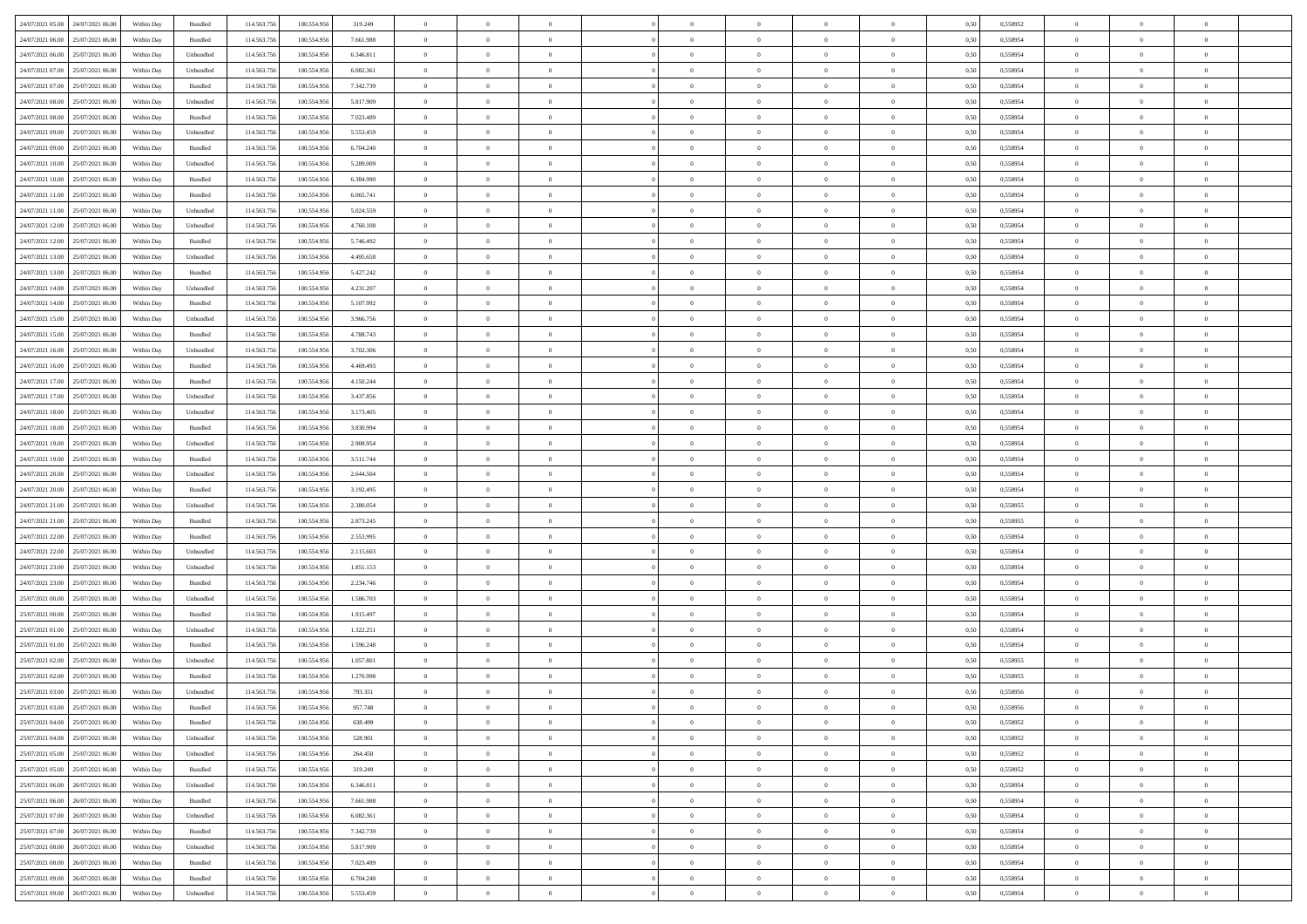| 24/07/2021 05:00 24/07/2021 06:00    | Within Day | Bundled           | 114.563.75  | 100.554.956 | 319.249   | $\overline{0}$ | $\overline{0}$ |                | $\overline{0}$ | $\theta$       |                | $\theta$       | 0,50 | 0,558952 | $\theta$       | $\theta$       | $\overline{0}$ |  |
|--------------------------------------|------------|-------------------|-------------|-------------|-----------|----------------|----------------|----------------|----------------|----------------|----------------|----------------|------|----------|----------------|----------------|----------------|--|
| 24/07/2021 06:00<br>25/07/2021 06.00 | Within Day | Bundled           | 114.563.75  | 100.554.95  | 7.661.988 | $\bf{0}$       | $\bf{0}$       | $\bf{0}$       | $\bf{0}$       | $\overline{0}$ | $\overline{0}$ | $\bf{0}$       | 0,50 | 0,558954 | $\,$ 0 $\,$    | $\bf{0}$       | $\overline{0}$ |  |
| 24/07/2021 06:00<br>25/07/2021 06:00 | Within Day | Unbundled         | 114,563,75  | 100.554.956 | 6.346.811 | $\overline{0}$ | $\bf{0}$       | $\overline{0}$ | $\bf{0}$       | $\bf{0}$       | $\overline{0}$ | $\bf{0}$       | 0.50 | 0.558954 | $\bf{0}$       | $\overline{0}$ | $\overline{0}$ |  |
| 24/07/2021 07:00<br>25/07/2021 06:00 |            |                   | 114.563.75  |             |           | $\overline{0}$ | $\overline{0}$ | $\overline{0}$ | $\theta$       | $\theta$       | $\overline{0}$ |                |      |          | $\theta$       | $\theta$       | $\overline{0}$ |  |
|                                      | Within Day | Unbundled         |             | 100.554.956 | 6.082.361 |                |                |                |                |                |                | $\bf{0}$       | 0,50 | 0,558954 |                |                |                |  |
| 24/07/2021 07:00<br>25/07/2021 06.00 | Within Day | Bundled           | 114.563.75  | 100.554.95  | 7.342.739 | $\bf{0}$       | $\overline{0}$ | $\bf{0}$       | $\overline{0}$ | $\bf{0}$       | $\overline{0}$ | $\bf{0}$       | 0,50 | 0,558954 | $\,$ 0 $\,$    | $\bf{0}$       | $\overline{0}$ |  |
| 24/07/2021 08:00<br>25/07/2021 06:00 | Within Day | Unbundled         | 114,563,75  | 100.554.95  | 5.817.909 | $\overline{0}$ | $\bf{0}$       | $\overline{0}$ | $\bf{0}$       | $\overline{0}$ | $\theta$       | $\bf{0}$       | 0.50 | 0.558954 | $\,$ 0 $\,$    | $\theta$       | $\overline{0}$ |  |
| 24/07/2021 08:00<br>25/07/2021 06:00 | Within Day | Bundled           | 114.563.75  | 100.554.956 | 7.023.489 | $\overline{0}$ | $\overline{0}$ | $\overline{0}$ | $\overline{0}$ | $\overline{0}$ | $\overline{0}$ | $\bf{0}$       | 0,50 | 0,558954 | $\theta$       | $\theta$       | $\overline{0}$ |  |
|                                      |            |                   |             |             |           |                |                |                |                |                |                |                |      |          |                |                |                |  |
| 24/07/2021 09:00<br>25/07/2021 06.00 | Within Day | Unbundled         | 114.563.75  | 100.554.95  | 5.553.459 | $\overline{0}$ | $\bf{0}$       | $\bf{0}$       | $\overline{0}$ | $\overline{0}$ | $\overline{0}$ | $\bf{0}$       | 0,50 | 0,558954 | $\,$ 0 $\,$    | $\bf{0}$       | $\overline{0}$ |  |
| 24/07/2021 09:00<br>25/07/2021 06:00 | Within Day | Bundled           | 114,563,75  | 100.554.956 | 6.704.240 | $\overline{0}$ | $\bf{0}$       | $\overline{0}$ | $\bf{0}$       | $\overline{0}$ | $\overline{0}$ | $\bf{0}$       | 0.50 | 0.558954 | $\bf{0}$       | $\overline{0}$ | $\overline{0}$ |  |
| 24/07/2021 10:00<br>25/07/2021 06:00 | Within Day | Unbundled         | 114.563.75  | 100.554.956 | 5.289.009 | $\overline{0}$ | $\bf{0}$       | $\overline{0}$ | $\overline{0}$ | $\overline{0}$ | $\overline{0}$ | $\bf{0}$       | 0,50 | 0,558954 | $\,$ 0 $\,$    | $\,$ 0 $\,$    | $\overline{0}$ |  |
| 24/07/2021 10:00<br>25/07/2021 06.00 | Within Day | Bundled           | 114.563.75  | 100.554.95  | 6.384.990 | $\bf{0}$       | $\bf{0}$       | $\bf{0}$       | $\bf{0}$       | $\overline{0}$ | $\overline{0}$ | $\bf{0}$       | 0,50 | 0,558954 | $\,$ 0 $\,$    | $\bf{0}$       | $\overline{0}$ |  |
|                                      |            |                   |             |             |           |                |                |                |                |                |                |                |      |          |                |                |                |  |
| 24/07/2021 11:00<br>25/07/2021 06:00 | Within Day | Bundled           | 114,563,75  | 100.554.956 | 6.065.741 | $\overline{0}$ | $\bf{0}$       | $\overline{0}$ | $\overline{0}$ | $\overline{0}$ | $\overline{0}$ | $\bf{0}$       | 0.50 | 0.558954 | $\bf{0}$       | $\,$ 0 $\,$    | $\,$ 0         |  |
| 24/07/2021 11:00<br>25/07/2021 06:00 | Within Day | Unbundled         | 114.563.75  | 100.554.956 | 5.024.559 | $\overline{0}$ | $\overline{0}$ | $\overline{0}$ | $\theta$       | $\theta$       | $\overline{0}$ | $\bf{0}$       | 0,50 | 0,558954 | $\,$ 0 $\,$    | $\theta$       | $\overline{0}$ |  |
| 24/07/2021 12:00<br>25/07/2021 06.00 | Within Day | Unbundled         | 114.563.75  | 100.554.95  | 4.760.108 | $\bf{0}$       | $\overline{0}$ | $\bf{0}$       | $\bf{0}$       | $\bf{0}$       | $\overline{0}$ | $\bf{0}$       | 0,50 | 0,558954 | $\,$ 0 $\,$    | $\bf{0}$       | $\overline{0}$ |  |
|                                      |            |                   |             |             |           |                |                |                |                |                | $\theta$       |                |      |          |                |                |                |  |
| 24/07/2021 12:00<br>25/07/2021 06:00 | Within Day | Bundled           | 114,563,75  | 100.554.956 | 5.746.492 | $\overline{0}$ | $\bf{0}$       | $\overline{0}$ | $\bf{0}$       | $\overline{0}$ |                | $\bf{0}$       | 0.50 | 0.558954 | $\,$ 0 $\,$    | $\theta$       | $\overline{0}$ |  |
| 24/07/2021 13:00<br>25/07/2021 06:00 | Within Day | Unbundled         | 114.563.75  | 100.554.956 | 4.495.658 | $\overline{0}$ | $\overline{0}$ | $\overline{0}$ | $\overline{0}$ | $\overline{0}$ | $\overline{0}$ | $\bf{0}$       | 0,50 | 0,558954 | $\theta$       | $\theta$       | $\overline{0}$ |  |
| 24/07/2021 13:00<br>25/07/2021 06.00 | Within Day | Bundled           | 114.563.75  | 100.554.956 | 5.427.242 | $\bf{0}$       | $\bf{0}$       | $\bf{0}$       | $\overline{0}$ | $\overline{0}$ | $\overline{0}$ | $\bf{0}$       | 0,50 | 0,558954 | $\,$ 0 $\,$    | $\bf{0}$       | $\overline{0}$ |  |
| 24/07/2021 14:00<br>25/07/2021 06:00 | Within Day | Unbundled         | 114,563,75  | 100.554.956 | 4.231.207 | $\overline{0}$ | $\bf{0}$       | $\overline{0}$ | $\bf{0}$       | $\overline{0}$ | $\overline{0}$ | $\bf{0}$       | 0.50 | 0.558954 | $\bf{0}$       | $\overline{0}$ | $\bf{0}$       |  |
| 24/07/2021 14:00<br>25/07/2021 06:00 | Within Day | Bundled           | 114.563.75  | 100.554.956 | 5.107.992 | $\overline{0}$ | $\bf{0}$       | $\overline{0}$ | $\overline{0}$ | $\overline{0}$ | $\overline{0}$ | $\bf{0}$       | 0,50 | 0,558954 | $\,$ 0 $\,$    | $\bf{0}$       | $\overline{0}$ |  |
|                                      |            |                   |             |             |           |                |                |                |                |                |                |                |      |          |                |                |                |  |
| 24/07/2021 15:00<br>25/07/2021 06.00 | Within Day | Unbundled         | 114.563.75  | 100.554.95  | 3.966.756 | $\bf{0}$       | $\bf{0}$       | $\bf{0}$       | $\bf{0}$       | $\overline{0}$ | $\overline{0}$ | $\bf{0}$       | 0,50 | 0,558954 | $\,$ 0 $\,$    | $\bf{0}$       | $\overline{0}$ |  |
| 24/07/2021 15:00<br>25/07/2021 06:00 | Within Day | Bundled           | 114,563,75  | 100.554.956 | 4.788.743 | $\overline{0}$ | $\bf{0}$       | $\overline{0}$ | $\overline{0}$ | $\bf{0}$       | $\overline{0}$ | $\bf{0}$       | 0.50 | 0.558954 | $\bf{0}$       | $\overline{0}$ | $\,$ 0         |  |
| 24/07/2021 16:00<br>25/07/2021 06:00 | Within Day | Unbundled         | 114.563.75  | 100.554.956 | 3.702.306 | $\overline{0}$ | $\overline{0}$ | $\overline{0}$ | $\overline{0}$ | $\theta$       | $\overline{0}$ | $\bf{0}$       | 0,50 | 0,558954 | $\theta$       | $\theta$       | $\overline{0}$ |  |
|                                      |            |                   |             |             |           |                | $\bf{0}$       |                |                | $\overline{0}$ | $\overline{0}$ |                |      |          | $\,$ 0 $\,$    | $\bf{0}$       | $\overline{0}$ |  |
| 24/07/2021 16:00<br>25/07/2021 06.00 | Within Day | Bundled           | 114.563.75  | 100.554.95  | 4.469.493 | $\bf{0}$       |                | $\bf{0}$       | $\bf{0}$       |                |                | $\bf{0}$       | 0,50 | 0,558954 |                |                |                |  |
| 24/07/2021 17:00<br>25/07/2021 06:00 | Within Day | Bundled           | 114,563,75  | 100.554.95  | 4.150.244 | $\overline{0}$ | $\bf{0}$       | $\overline{0}$ | $\bf{0}$       | $\overline{0}$ | $\theta$       | $\bf{0}$       | 0.50 | 0.558954 | $\,$ 0 $\,$    | $\theta$       | $\overline{0}$ |  |
| 24/07/2021 17:00<br>25/07/2021 06:00 | Within Day | Unbundled         | 114.563.75  | 100.554.956 | 3.437.856 | $\overline{0}$ | $\overline{0}$ | $\overline{0}$ | $\overline{0}$ | $\overline{0}$ | $\overline{0}$ | $\bf{0}$       | 0,50 | 0,558954 | $\,$ 0 $\,$    | $\theta$       | $\overline{0}$ |  |
| 24/07/2021 18:00<br>25/07/2021 06.00 | Within Day | Unbundled         | 114.563.75  | 100.554.95  | 3.173.405 | $\bf{0}$       | $\overline{0}$ | $\bf{0}$       | $\overline{0}$ | $\overline{0}$ | $\overline{0}$ | $\bf{0}$       | 0,50 | 0,558954 | $\,$ 0 $\,$    | $\bf{0}$       | $\overline{0}$ |  |
| 24/07/2021 18:00<br>25/07/2021 06:00 | Within Day | Bundled           | 114,563,75  | 100.554.956 | 3.830.994 | $\overline{0}$ | $\bf{0}$       | $\overline{0}$ | $\bf{0}$       | $\overline{0}$ | $\overline{0}$ | $\bf{0}$       | 0.50 | 0.558954 | $\bf{0}$       | $\overline{0}$ | $\overline{0}$ |  |
|                                      |            |                   |             |             |           |                |                |                |                |                |                |                |      |          |                |                |                |  |
| 24/07/2021 19:00<br>25/07/2021 06:00 | Within Day | Unbundled         | 114.563.75  | 100.554.956 | 2.908.954 | $\overline{0}$ | $\bf{0}$       | $\overline{0}$ | $\overline{0}$ | $\overline{0}$ | $\overline{0}$ | $\bf{0}$       | 0,50 | 0,558954 | $\theta$       | $\theta$       | $\overline{0}$ |  |
| 24/07/2021 19:00<br>25/07/2021 06.00 | Within Day | Bundled           | 114.563.75  | 100.554.95  | 3.511.744 | $\bf{0}$       | $\bf{0}$       | $\bf{0}$       | $\bf{0}$       | $\overline{0}$ | $\overline{0}$ | $\bf{0}$       | 0,50 | 0,558954 | $\,$ 0 $\,$    | $\bf{0}$       | $\overline{0}$ |  |
| 24/07/2021 20:00<br>25/07/2021 06:00 | Within Day | Unbundled         | 114,563,75  | 100.554.956 | 2.644.504 | $\overline{0}$ | $\bf{0}$       | $\overline{0}$ | $\overline{0}$ | $\bf{0}$       | $\overline{0}$ | $\bf{0}$       | 0.50 | 0.558954 | $\bf{0}$       | $\,$ 0 $\,$    | $\,$ 0         |  |
| 24/07/2021 20:00<br>25/07/2021 06:00 | Within Day | Bundled           | 114.563.75  | 100.554.956 | 3.192.495 | $\overline{0}$ | $\overline{0}$ | $\overline{0}$ | $\overline{0}$ | $\overline{0}$ | $\overline{0}$ | $\bf{0}$       | 0.50 | 0.558954 | $\theta$       | $\theta$       | $\overline{0}$ |  |
|                                      |            |                   |             |             |           |                |                |                |                |                |                |                |      |          |                |                |                |  |
| 24/07/2021 21:00<br>25/07/2021 06.00 | Within Day | Unbundled         | 114.563.75  | 100.554.95  | 2.380.054 | $\bf{0}$       | $\overline{0}$ | $\bf{0}$       | $\bf{0}$       | $\overline{0}$ | $\overline{0}$ | $\bf{0}$       | 0,50 | 0,558955 | $\,$ 0 $\,$    | $\bf{0}$       | $\overline{0}$ |  |
| 24/07/2021 21:00<br>25/07/2021 06:00 | Within Day | Bundled           | 114,563,75  | 100.554.956 | 2.873.245 | $\overline{0}$ | $\bf{0}$       | $\overline{0}$ | $\bf{0}$       | $\overline{0}$ | $\overline{0}$ | $\bf{0}$       | 0.50 | 0.558955 | $\,$ 0 $\,$    | $\bf{0}$       | $\overline{0}$ |  |
| 24/07/2021 22:00<br>25/07/2021 06:00 | Within Dav | Bundled           | 114.563.75  | 100.554.956 | 2.553.995 | $\overline{0}$ | $\overline{0}$ | $\overline{0}$ | $\overline{0}$ | $\overline{0}$ | $\overline{0}$ | $\bf{0}$       | 0.5( | 0,558954 | $\theta$       | $\theta$       | $\overline{0}$ |  |
| 24/07/2021 22.00<br>25/07/2021 06.00 | Within Day | Unbundled         | 114.563.75  | 100.554.95  | 2.115.603 | $\bf{0}$       | $\bf{0}$       | $\bf{0}$       | $\bf{0}$       | $\overline{0}$ | $\overline{0}$ | $\bf{0}$       | 0,50 | 0,558954 | $\,$ 0 $\,$    | $\bf{0}$       | $\overline{0}$ |  |
| 24/07/2021 23:00<br>25/07/2021 06:00 |            | Unbundled         | 114,563,75  | 100.554.95  | 1.851.153 |                | $\bf{0}$       | $\overline{0}$ |                | $\overline{0}$ | $\overline{0}$ |                | 0.50 | 0.558954 | $\bf{0}$       | $\overline{0}$ | $\bf{0}$       |  |
|                                      | Within Day |                   |             |             |           | $\overline{0}$ |                |                | $\bf{0}$       |                |                | $\bf{0}$       |      |          |                |                |                |  |
| 24/07/2021 23:00<br>25/07/2021 06:00 | Within Day | Bundled           | 114.563.75  | 100,554,956 | 2.234.746 | $\overline{0}$ | $\overline{0}$ | $\overline{0}$ | $\overline{0}$ | $\overline{0}$ | $\overline{0}$ | $\bf{0}$       | 0.50 | 0,558954 | $\theta$       | $\theta$       | $\overline{0}$ |  |
| 25/07/2021 00:00<br>25/07/2021 06.00 | Within Day | Unbundled         | 114.563.75  | 100.554.95  | 1.586.703 | $\bf{0}$       | $\bf{0}$       | $\bf{0}$       | $\bf{0}$       | $\overline{0}$ | $\overline{0}$ | $\bf{0}$       | 0,50 | 0,558954 | $\,$ 0 $\,$    | $\bf{0}$       | $\overline{0}$ |  |
| 25/07/2021 00:00<br>25/07/2021 06:00 | Within Day | Bundled           | 114,563,75  | 100.554.956 | 1.915.497 | $\overline{0}$ | $\bf{0}$       | $\overline{0}$ | $\overline{0}$ | $\bf{0}$       | $\overline{0}$ | $\bf{0}$       | 0.50 | 0.558954 | $\,$ 0 $\,$    | $\,$ 0 $\,$    | $\,$ 0         |  |
| 25/07/2021 01:00<br>25/07/2021 06:00 | Within Dav | Unbundled         | 114.563.75  | 100.554.956 | 1.322.251 | $\overline{0}$ | $\overline{0}$ | $\overline{0}$ | $\overline{0}$ | $\overline{0}$ | $\overline{0}$ | $\bf{0}$       | 0.50 | 0,558954 | $\theta$       | $\theta$       | $\overline{0}$ |  |
|                                      |            |                   |             |             |           |                |                |                |                |                |                |                |      |          |                |                |                |  |
| 25/07/2021 01:00<br>25/07/2021 06.00 | Within Day | Bundled           | 114.563.75  | 100.554.95  | 1.596.248 | $\bf{0}$       | $\bf{0}$       | $\bf{0}$       | $\bf{0}$       | $\overline{0}$ | $\overline{0}$ | $\bf{0}$       | 0,50 | 0,558954 | $\,$ 0 $\,$    | $\bf{0}$       | $\overline{0}$ |  |
| 25/07/2021 02:00<br>25/07/2021 06:00 | Within Day | Unbundled         | 114,563,75  | 100.554.95  | 1.057.801 | $\overline{0}$ | $\overline{0}$ | $\overline{0}$ | $\bf{0}$       | $\overline{0}$ | $\overline{0}$ | $\bf{0}$       | 0.50 | 0.558955 | $\bf{0}$       | $\theta$       | $\overline{0}$ |  |
| 25/07/2021 02:00<br>25/07/2021 06:00 | Within Dav | Bundled           | 114.563.75  | 100,554,956 | 1.276.998 | $\overline{0}$ | $\overline{0}$ | $\Omega$       | $\theta$       | $\theta$       | $\overline{0}$ | $\overline{0}$ | 0.5( | 0,558955 | $\theta$       | $\theta$       | $\overline{0}$ |  |
| 25/07/2021 03:00<br>25/07/2021 06:00 | Within Day | Unbundled         | 114.563.75  | 100.554.956 | 793.351   | $\bf{0}$       | $\bf{0}$       | $\bf{0}$       | $\bf{0}$       | $\bf{0}$       | $\overline{0}$ | $\bf{0}$       | 0,50 | 0,558956 | $\overline{0}$ | $\overline{0}$ | $\overline{0}$ |  |
|                                      |            |                   |             |             |           |                |                |                |                |                |                |                |      |          |                |                |                |  |
| 25/07/2021 03:00 25/07/2021 06:00    | Within Day | Bundled           | 114.563.756 | 100.554.956 | 957.748   | $\bf{0}$       | $\theta$       |                | $\overline{0}$ |                |                |                | 0,50 | 0,558956 | $\bf{0}$       | $\overline{0}$ |                |  |
| 25/07/2021 04:00 25/07/2021 06:00    | Within Day | Bundled           | 114.563.756 | 100.554.956 | 638.499   | $\overline{0}$ | $\overline{0}$ | $\Omega$       | $\theta$       | $\overline{0}$ | $\overline{0}$ | $\bf{0}$       | 0,50 | 0,558952 | $\theta$       | $\theta$       | $\overline{0}$ |  |
| 25/07/2021 04:00<br>25/07/2021 06:00 | Within Day | Unbundled         | 114.563.75  | 100.554.956 | 528.901   | $\overline{0}$ | $\bf{0}$       | $\overline{0}$ | $\overline{0}$ | $\bf{0}$       | $\overline{0}$ | $\bf{0}$       | 0,50 | 0,558952 | $\bf{0}$       | $\overline{0}$ | $\bf{0}$       |  |
| 25/07/2021 05:00 25/07/2021 06:00    | Within Day | Unbundled         | 114,563,756 | 100.554.956 | 264.450   | $\overline{0}$ | $\bf{0}$       | $\overline{0}$ | $\overline{0}$ | $\mathbf{0}$   | $\overline{0}$ | $\,$ 0 $\,$    | 0.50 | 0.558952 | $\overline{0}$ | $\bf{0}$       | $\overline{0}$ |  |
|                                      |            |                   |             |             |           |                |                |                |                |                |                |                |      |          |                |                |                |  |
| 25/07/2021 05:00 25/07/2021 06:00    | Within Dav | Bundled           | 114.563.756 | 100.554.956 | 319.249   | $\overline{0}$ | $\overline{0}$ | $\overline{0}$ | $\overline{0}$ | $\overline{0}$ | $\overline{0}$ | $\bf{0}$       | 0.50 | 0,558952 | $\overline{0}$ | $\theta$       | $\overline{0}$ |  |
| 25/07/2021 06:00<br>26/07/2021 06:00 | Within Day | Unbundled         | 114.563.75  | 100.554.956 | 6.346.811 | $\overline{0}$ | $\bf{0}$       | $\overline{0}$ | $\overline{0}$ | $\bf{0}$       | $\overline{0}$ | $\bf{0}$       | 0,50 | 0,558954 | $\bf{0}$       | $\overline{0}$ | $\overline{0}$ |  |
| 25/07/2021 06:00<br>26/07/2021 06:00 | Within Day | Bundled           | 114.563.756 | 100.554.956 | 7.661.988 | $\overline{0}$ | $\bf{0}$       | $\overline{0}$ | $\overline{0}$ | $\bf{0}$       | $\overline{0}$ | $\bf{0}$       | 0.50 | 0.558954 | $\,$ 0 $\,$    | $\overline{0}$ | $\overline{0}$ |  |
| 25/07/2021 07:00<br>26/07/2021 06:00 | Within Dav | Unbundled         | 114.563.756 | 100.554.956 | 6.082.361 | $\overline{0}$ | $\overline{0}$ | $\overline{0}$ | $\overline{0}$ | $\overline{0}$ | $\overline{0}$ | $\bf{0}$       | 0.50 | 0,558954 | $\overline{0}$ | $\theta$       | $\overline{0}$ |  |
|                                      |            |                   |             |             |           |                | $\overline{0}$ |                |                | $\overline{0}$ |                |                |      |          | $\bf{0}$       | $\overline{0}$ | $\,$ 0         |  |
| 25/07/2021 07:00<br>26/07/2021 06:00 | Within Day | Bundled           | 114.563.75  | 100.554.956 | 7.342.739 | $\overline{0}$ |                | $\overline{0}$ | $\overline{0}$ |                | $\overline{0}$ | $\bf{0}$       | 0,50 | 0,558954 |                |                |                |  |
| 25/07/2021 08:00<br>26/07/2021 06:00 | Within Day | Unbundled         | 114.563.75  | 100.554.956 | 5.817.909 | $\overline{0}$ | $\overline{0}$ | $\overline{0}$ | $\overline{0}$ | $\overline{0}$ | $\overline{0}$ | $\bf{0}$       | 0.50 | 0.558954 | $\mathbf{0}$   | $\bf{0}$       | $\,$ 0         |  |
| 25/07/2021 08:00 26/07/2021 06:00    | Within Dav | Bundled           | 114.563.756 | 100.554.956 | 7.023.489 | $\overline{0}$ | $\overline{0}$ | $\overline{0}$ | $\overline{0}$ | $\overline{0}$ | $\overline{0}$ | $\bf{0}$       | 0,50 | 0,558954 | $\overline{0}$ | $\theta$       | $\overline{0}$ |  |
| 25/07/2021 09:00<br>26/07/2021 06.00 | Within Day | Bundled           | 114.563.75  | 100.554.95  | 6.704.240 | $\overline{0}$ | $\bf{0}$       | $\overline{0}$ | $\overline{0}$ | $\overline{0}$ | $\overline{0}$ | $\bf{0}$       | 0,50 | 0,558954 | $\bf{0}$       | $\overline{0}$ | $\bf{0}$       |  |
|                                      |            |                   |             |             |           |                |                |                |                |                |                |                |      |          |                |                |                |  |
| 25/07/2021 09:00 26/07/2021 06:00    | Within Day | ${\sf Unbundred}$ | 114.563.756 | 100.554.956 | 5.553.459 | $\overline{0}$ | $\bf{0}$       | $\overline{0}$ | $\overline{0}$ | $\,$ 0 $\,$    | $\overline{0}$ | $\bf{0}$       | 0,50 | 0,558954 | $\overline{0}$ | $\,$ 0 $\,$    | $\,$ 0 $\,$    |  |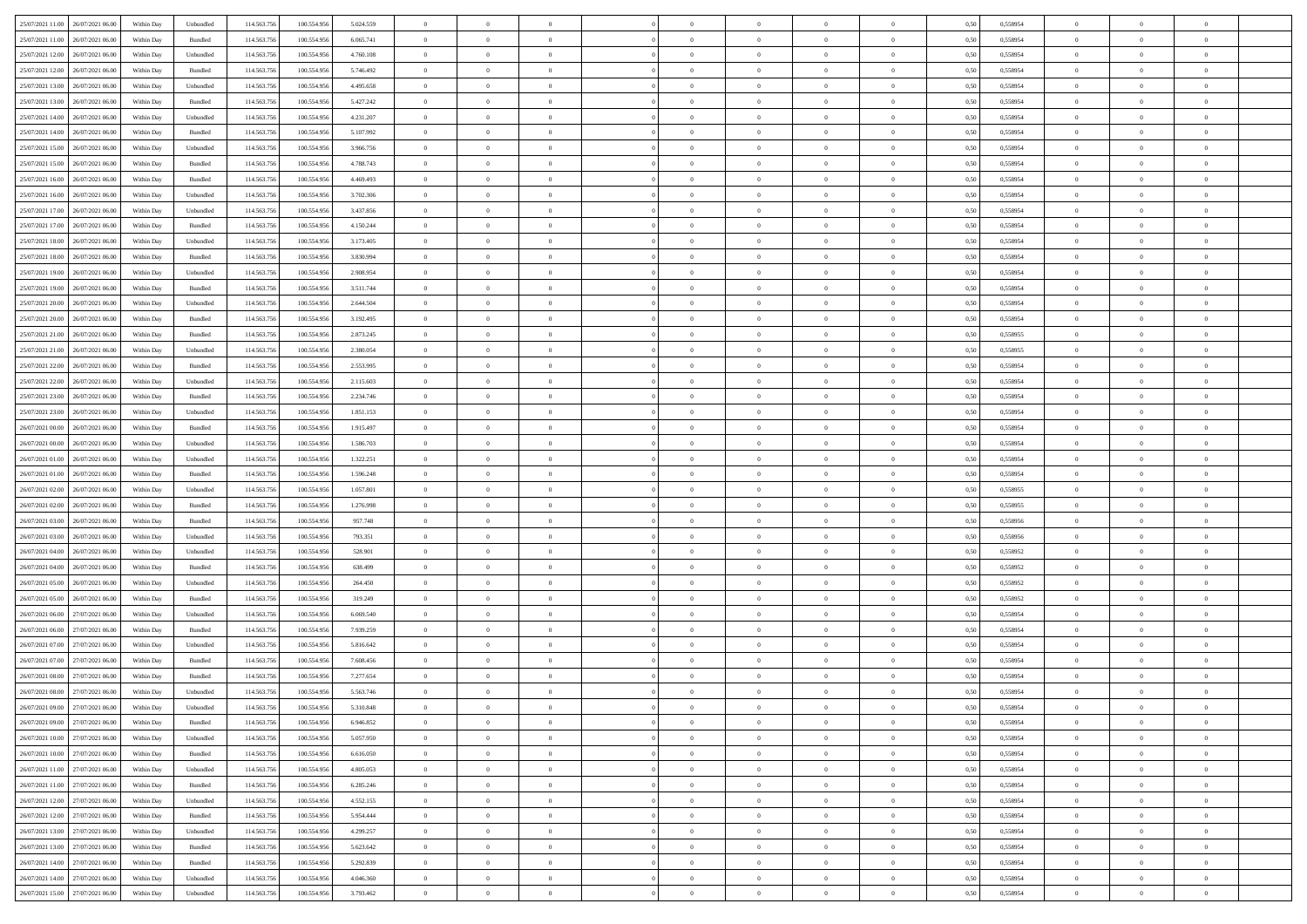| 25/07/2021 11:00 26/07/2021 06:00    | Within Day | Unbundled                   | 114.563.756 | 100.554.956 | 5.024.559 | $\overline{0}$ | $\overline{0}$ |                | $\overline{0}$ | $\theta$       |                | $\theta$       | 0,50 | 0,558954 | $\theta$       | $\theta$       | $\overline{0}$ |  |
|--------------------------------------|------------|-----------------------------|-------------|-------------|-----------|----------------|----------------|----------------|----------------|----------------|----------------|----------------|------|----------|----------------|----------------|----------------|--|
| 25/07/2021 11:00<br>26/07/2021 06.00 | Within Day | Bundled                     | 114.563.75  | 100.554.95  | 6.065.741 | $\bf{0}$       | $\bf{0}$       | $\bf{0}$       | $\bf{0}$       | $\overline{0}$ | $\overline{0}$ | $\bf{0}$       | 0,50 | 0,558954 | $\,$ 0 $\,$    | $\bf{0}$       | $\overline{0}$ |  |
| 25/07/2021 12:00<br>26/07/2021 06:00 | Within Day | Unbundled                   | 114,563,75  | 100.554.956 | 4.760.108 | $\overline{0}$ | $\bf{0}$       | $\overline{0}$ | $\bf{0}$       | $\overline{0}$ | $\overline{0}$ | $\bf{0}$       | 0.50 | 0.558954 | $\bf{0}$       | $\overline{0}$ | $\bf{0}$       |  |
| 25/07/2021 12:00<br>26/07/2021 06:00 | Within Day | Bundled                     | 114.563.75  | 100.554.956 | 5.746.492 | $\overline{0}$ | $\overline{0}$ | $\overline{0}$ | $\overline{0}$ | $\theta$       | $\overline{0}$ | $\bf{0}$       | 0,50 | 0,558954 | $\theta$       | $\theta$       | $\overline{0}$ |  |
|                                      |            |                             |             |             |           |                |                |                |                |                |                |                |      |          |                |                |                |  |
| 25/07/2021 13:00<br>26/07/2021 06.00 | Within Day | Unbundled                   | 114.563.75  | 100.554.95  | 4.495.658 | $\bf{0}$       | $\overline{0}$ | $\bf{0}$       | $\overline{0}$ | $\bf{0}$       | $\overline{0}$ | $\bf{0}$       | 0,50 | 0,558954 | $\,$ 0 $\,$    | $\bf{0}$       | $\overline{0}$ |  |
| 25/07/2021 13:00<br>26/07/2021 06:00 | Within Day | Bundled                     | 114,563,75  | 100.554.956 | 5.427.242 | $\overline{0}$ | $\bf{0}$       | $\overline{0}$ | $\bf{0}$       | $\overline{0}$ | $\overline{0}$ | $\bf{0}$       | 0.50 | 0.558954 | $\,$ 0 $\,$    | $\theta$       | $\overline{0}$ |  |
| 25/07/2021 14:00<br>26/07/2021 06:00 | Within Day | Unbundled                   | 114.563.75  | 100.554.956 | 4.231.207 | $\overline{0}$ | $\overline{0}$ | $\overline{0}$ | $\overline{0}$ | $\overline{0}$ | $\overline{0}$ | $\bf{0}$       | 0,50 | 0,558954 | $\theta$       | $\theta$       | $\overline{0}$ |  |
|                                      |            |                             |             |             |           |                |                |                |                |                |                |                |      |          |                |                |                |  |
| 25/07/2021 14:00<br>26/07/2021 06.00 | Within Day | Bundled                     | 114.563.75  | 100.554.95  | 5.107.992 | $\bf{0}$       | $\bf{0}$       | $\bf{0}$       | $\overline{0}$ | $\overline{0}$ | $\overline{0}$ | $\bf{0}$       | 0,50 | 0,558954 | $\,$ 0 $\,$    | $\bf{0}$       | $\overline{0}$ |  |
| 25/07/2021 15:00<br>26/07/2021 06:00 | Within Day | Unbundled                   | 114,563,75  | 100.554.956 | 3.966.756 | $\overline{0}$ | $\bf{0}$       | $\overline{0}$ | $\bf{0}$       | $\overline{0}$ | $\overline{0}$ | $\bf{0}$       | 0.50 | 0.558954 | $\bf{0}$       | $\overline{0}$ | $\overline{0}$ |  |
| 25/07/2021 15:00<br>26/07/2021 06:00 | Within Day | Bundled                     | 114.563.75  | 100.554.956 | 4.788.743 | $\overline{0}$ | $\bf{0}$       | $\overline{0}$ | $\overline{0}$ | $\overline{0}$ | $\overline{0}$ | $\bf{0}$       | 0,50 | 0,558954 | $\,$ 0 $\,$    | $\,$ 0 $\,$    | $\overline{0}$ |  |
| 25/07/2021 16:00<br>26/07/2021 06.00 | Within Day | Bundled                     | 114.563.75  | 100.554.95  | 4.469.493 | $\bf{0}$       | $\bf{0}$       | $\bf{0}$       | $\bf{0}$       | $\overline{0}$ | $\overline{0}$ | $\bf{0}$       | 0,50 | 0,558954 | $\,$ 0 $\,$    | $\bf{0}$       | $\overline{0}$ |  |
|                                      |            |                             |             |             |           |                |                |                |                |                |                |                |      |          |                |                |                |  |
| 25/07/2021 16:00<br>26/07/2021 06:00 | Within Day | Unbundled                   | 114,563,75  | 100.554.956 | 3.702.306 | $\overline{0}$ | $\bf{0}$       | $\overline{0}$ | $\overline{0}$ | $\overline{0}$ | $\overline{0}$ | $\bf{0}$       | 0.50 | 0.558954 | $\bf{0}$       | $\,$ 0 $\,$    | $\,$ 0         |  |
| 25/07/2021 17:00<br>26/07/2021 06:00 | Within Day | Unbundled                   | 114.563.75  | 100.554.956 | 3.437.856 | $\overline{0}$ | $\bf{0}$       | $\overline{0}$ | $\theta$       | $\theta$       | $\overline{0}$ | $\bf{0}$       | 0,50 | 0,558954 | $\,$ 0 $\,$    | $\theta$       | $\overline{0}$ |  |
| 25/07/2021 17:00<br>26/07/2021 06.00 | Within Day | Bundled                     | 114.563.75  | 100.554.95  | 4.150.244 | $\bf{0}$       | $\overline{0}$ | $\bf{0}$       | $\bf{0}$       | $\overline{0}$ | $\overline{0}$ | $\bf{0}$       | 0,50 | 0,558954 | $\,$ 0 $\,$    | $\bf{0}$       | $\overline{0}$ |  |
| 25/07/2021 18:00<br>26/07/2021 06:00 | Within Day | Unbundled                   | 114,563,75  | 100.554.956 | 3.173.405 | $\overline{0}$ | $\bf{0}$       | $\overline{0}$ | $\bf{0}$       | $\overline{0}$ | $\overline{0}$ | $\bf{0}$       | 0.50 | 0.558954 | $\,$ 0 $\,$    | $\bf{0}$       | $\overline{0}$ |  |
|                                      |            |                             |             |             |           | $\overline{0}$ | $\overline{0}$ | $\overline{0}$ | $\overline{0}$ | $\overline{0}$ | $\overline{0}$ |                |      |          | $\theta$       | $\theta$       | $\overline{0}$ |  |
| 25/07/2021 18:00<br>26/07/2021 06:00 | Within Day | Bundled                     | 114.563.75  | 100.554.956 | 3.830.994 |                |                |                |                |                |                | $\bf{0}$       | 0,50 | 0,558954 |                |                |                |  |
| 25/07/2021 19:00<br>26/07/2021 06.00 | Within Day | Unbundled                   | 114.563.75  | 100.554.95  | 2.908.954 | $\bf{0}$       | $\bf{0}$       | $\bf{0}$       | $\overline{0}$ | $\overline{0}$ | $\overline{0}$ | $\bf{0}$       | 0,50 | 0,558954 | $\,$ 0 $\,$    | $\bf{0}$       | $\overline{0}$ |  |
| 25/07/2021 19:00<br>26/07/2021 06:00 | Within Day | Bundled                     | 114,563,75  | 100.554.95  | 3.511.744 | $\overline{0}$ | $\bf{0}$       | $\overline{0}$ | $\bf{0}$       | $\bf{0}$       | $\overline{0}$ | $\bf{0}$       | 0.50 | 0.558954 | $\bf{0}$       | $\overline{0}$ | $\bf{0}$       |  |
| 25/07/2021 20:00<br>26/07/2021 06:00 | Within Day | Unbundled                   | 114.563.75  | 100.554.956 | 2.644.504 | $\overline{0}$ | $\bf{0}$       | $\overline{0}$ | $\overline{0}$ | $\overline{0}$ | $\overline{0}$ | $\bf{0}$       | 0,50 | 0,558954 | $\,$ 0 $\,$    | $\bf{0}$       | $\overline{0}$ |  |
| 25/07/2021 20:00<br>26/07/2021 06.00 | Within Day | Bundled                     | 114.563.75  | 100.554.95  | 3.192.495 | $\bf{0}$       | $\bf{0}$       | $\bf{0}$       | $\bf{0}$       | $\overline{0}$ | $\overline{0}$ | $\bf{0}$       | 0,50 | 0,558954 | $\,$ 0 $\,$    | $\bf{0}$       | $\overline{0}$ |  |
|                                      |            |                             |             |             |           |                |                |                |                |                |                |                |      |          |                |                |                |  |
| 25/07/2021 21:00<br>26/07/2021 06:00 | Within Day | Bundled                     | 114,563,75  | 100.554.956 | 2.873.245 | $\overline{0}$ | $\bf{0}$       | $\overline{0}$ | $\overline{0}$ | $\bf{0}$       | $\overline{0}$ | $\bf{0}$       | 0.50 | 0.558955 | $\bf{0}$       | $\,$ 0 $\,$    | $\,$ 0         |  |
| 25/07/2021 21:00<br>26/07/2021 06:00 | Within Day | Unbundled                   | 114.563.75  | 100.554.956 | 2.380.054 | $\overline{0}$ | $\overline{0}$ | $\overline{0}$ | $\overline{0}$ | $\theta$       | $\overline{0}$ | $\bf{0}$       | 0,50 | 0,558955 | $\theta$       | $\theta$       | $\overline{0}$ |  |
| 25/07/2021 22.00<br>26/07/2021 06.00 | Within Day | Bundled                     | 114.563.75  | 100.554.95  | 2.553.995 | $\bf{0}$       | $\bf{0}$       | $\bf{0}$       | $\bf{0}$       | $\overline{0}$ | $\overline{0}$ | $\bf{0}$       | 0,50 | 0,558954 | $\,$ 0 $\,$    | $\bf{0}$       | $\overline{0}$ |  |
| 25/07/2021 22.00<br>26/07/2021 06:00 | Within Day | Unbundled                   | 114,563,75  | 100.554.95  | 2.115.603 | $\overline{0}$ | $\bf{0}$       | $\overline{0}$ | $\bf{0}$       | $\overline{0}$ | $\theta$       | $\bf{0}$       | 0.50 | 0.558954 | $\,$ 0 $\,$    | $\theta$       | $\overline{0}$ |  |
|                                      |            |                             |             |             |           |                |                |                |                |                |                |                |      |          |                |                |                |  |
| 25/07/2021 23:00<br>26/07/2021 06:00 | Within Day | Bundled                     | 114.563.75  | 100.554.956 | 2.234.746 | $\overline{0}$ | $\overline{0}$ | $\overline{0}$ | $\overline{0}$ | $\overline{0}$ | $\overline{0}$ | $\bf{0}$       | 0,50 | 0,558954 | $\,$ 0 $\,$    | $\theta$       | $\overline{0}$ |  |
| 25/07/2021 23:00<br>26/07/2021 06.00 | Within Day | Unbundled                   | 114.563.75  | 100.554.95  | 1.851.153 | $\bf{0}$       | $\overline{0}$ | $\bf{0}$       | $\overline{0}$ | $\overline{0}$ | $\overline{0}$ | $\bf{0}$       | 0,50 | 0,558954 | $\,$ 0 $\,$    | $\bf{0}$       | $\overline{0}$ |  |
| 26/07/2021 00:00<br>26/07/2021 06:00 | Within Day | Bundled                     | 114,563,75  | 100.554.956 | 1.915.497 | $\overline{0}$ | $\bf{0}$       | $\overline{0}$ | $\bf{0}$       | $\overline{0}$ | $\overline{0}$ | $\bf{0}$       | 0.50 | 0.558954 | $\bf{0}$       | $\overline{0}$ | $\overline{0}$ |  |
| 26/07/2021 00:00<br>26/07/2021 06:00 | Within Day | Unbundled                   | 114.563.75  | 100.554.956 | 1.586.703 | $\overline{0}$ | $\bf{0}$       | $\overline{0}$ | $\overline{0}$ | $\overline{0}$ | $\overline{0}$ | $\bf{0}$       | 0,50 | 0,558954 | $\theta$       | $\theta$       | $\overline{0}$ |  |
|                                      |            |                             |             |             |           |                |                |                |                |                |                |                |      |          |                |                |                |  |
| 26/07/2021 01:00<br>26/07/2021 06.00 | Within Day | Unbundled                   | 114.563.75  | 100.554.95  | 1.322.251 | $\bf{0}$       | $\bf{0}$       | $\bf{0}$       | $\bf{0}$       | $\overline{0}$ | $\bf{0}$       | $\bf{0}$       | 0,50 | 0,558954 | $\,$ 0 $\,$    | $\bf{0}$       | $\overline{0}$ |  |
| 26/07/2021 01:00<br>26/07/2021 06:00 | Within Day | Bundled                     | 114,563,75  | 100.554.956 | 1.596.248 | $\overline{0}$ | $\bf{0}$       | $\overline{0}$ | $\overline{0}$ | $\bf{0}$       | $\overline{0}$ | $\bf{0}$       | 0.50 | 0.558954 | $\bf{0}$       | $\,$ 0 $\,$    | $\,$ 0         |  |
| 26/07/2021 02:00<br>26/07/2021 06:00 | Within Day | Unbundled                   | 114.563.75  | 100.554.956 | 1.057.801 | $\overline{0}$ | $\overline{0}$ | $\overline{0}$ | $\overline{0}$ | $\overline{0}$ | $\overline{0}$ | $\bf{0}$       | 0.50 | 0.558955 | $\theta$       | $\theta$       | $\overline{0}$ |  |
| 26/07/2021 02:00<br>26/07/2021 06.00 | Within Day | Bundled                     | 114.563.75  | 100.554.95  | 1.276.998 | $\bf{0}$       | $\bf{0}$       | $\bf{0}$       | $\bf{0}$       | $\overline{0}$ | $\overline{0}$ | $\bf{0}$       | 0,50 | 0,558955 | $\,$ 0 $\,$    | $\bf{0}$       | $\overline{0}$ |  |
| 26/07/2021 03:00<br>26/07/2021 06:00 | Within Day | Bundled                     | 114,563,75  | 100.554.956 | 957.748   | $\overline{0}$ | $\bf{0}$       | $\overline{0}$ | $\bf{0}$       | $\overline{0}$ | $\overline{0}$ | $\bf{0}$       | 0.50 | 0.558956 | $\,$ 0 $\,$    | $\bf{0}$       | $\overline{0}$ |  |
|                                      |            |                             |             |             |           |                |                |                |                |                |                |                |      |          |                |                |                |  |
| 26/07/2021 03:00<br>26/07/2021 06:00 | Within Dav | Unbundled                   | 114.563.75  | 100.554.956 | 793.351   | $\overline{0}$ | $\overline{0}$ | $\overline{0}$ | $\overline{0}$ | $\overline{0}$ | $\overline{0}$ | $\bf{0}$       | 0.50 | 0,558956 | $\theta$       | $\theta$       | $\overline{0}$ |  |
| 26/07/2021 04:00<br>26/07/2021 06.00 | Within Day | Unbundled                   | 114.563.75  | 100.554.95  | 528.901   | $\bf{0}$       | $\bf{0}$       | $\bf{0}$       | $\bf{0}$       | $\overline{0}$ | $\overline{0}$ | $\bf{0}$       | 0,50 | 0,558952 | $\,$ 0 $\,$    | $\bf{0}$       | $\overline{0}$ |  |
| 26/07/2021 04:00<br>26/07/2021 06:00 | Within Day | Bundled                     | 114,563,75  | 100.554.95  | 638.499   | $\overline{0}$ | $\bf{0}$       | $\overline{0}$ | $\bf{0}$       | $\overline{0}$ | $\overline{0}$ | $\bf{0}$       | 0.50 | 0.558952 | $\bf{0}$       | $\overline{0}$ | $\bf{0}$       |  |
| 26/07/2021 05:00<br>26/07/2021 06:00 | Within Day | Unbundled                   | 114.563.75  | 100,554,956 | 264,450   | $\overline{0}$ | $\overline{0}$ | $\overline{0}$ | $\overline{0}$ | $\overline{0}$ | $\overline{0}$ | $\bf{0}$       | 0.50 | 0,558952 | $\theta$       | $\theta$       | $\overline{0}$ |  |
|                                      |            |                             |             |             |           | $\bf{0}$       | $\bf{0}$       | $\bf{0}$       |                | $\overline{0}$ |                |                |      |          | $\,$ 0 $\,$    | $\bf{0}$       | $\overline{0}$ |  |
| 26/07/2021 05:00<br>26/07/2021 06.00 | Within Day | Bundled                     | 114.563.75  | 100.554.95  | 319.249   |                |                |                | $\bf{0}$       |                | $\bf{0}$       | $\bf{0}$       | 0,50 | 0,558952 |                |                |                |  |
| 26/07/2021 06:00<br>27/07/2021 06:00 | Within Day | Unbundled                   | 114.563.75  | 100.554.956 | 6.069.540 | $\overline{0}$ | $\bf{0}$       | $\overline{0}$ | $\overline{0}$ | $\bf{0}$       | $\overline{0}$ | $\bf{0}$       | 0.50 | 0.558954 | $\,$ 0 $\,$    | $\,$ 0 $\,$    | $\,$ 0         |  |
| 26/07/2021 06:00<br>27/07/2021 06:00 | Within Day | Bundled                     | 114.563.75  | 100.554.956 | 7.939.259 | $\overline{0}$ | $\overline{0}$ | $\overline{0}$ | $\overline{0}$ | $\overline{0}$ | $\overline{0}$ | $\bf{0}$       | 0.50 | 0,558954 | $\theta$       | $\theta$       | $\overline{0}$ |  |
| 26/07/2021 07:00<br>27/07/2021 06.00 | Within Day | Unbundled                   | 114.563.75  | 100.554.95  | 5.816.642 | $\bf{0}$       | $\bf{0}$       | $\bf{0}$       | $\bf{0}$       | $\overline{0}$ | $\overline{0}$ | $\bf{0}$       | 0,50 | 0,558954 | $\,$ 0 $\,$    | $\bf{0}$       | $\overline{0}$ |  |
| 26/07/2021 07:00<br>27/07/2021 06:00 | Within Day | Bundled                     | 114,563,75  | 100.554.95  | 7.608.456 | $\overline{0}$ | $\bf{0}$       | $\overline{0}$ | $\bf{0}$       | $\overline{0}$ | $\overline{0}$ | $\bf{0}$       | 0.50 | 0.558954 | $\bf{0}$       | $\theta$       | $\overline{0}$ |  |
| 26/07/2021 08:00                     |            |                             |             |             |           |                |                |                |                |                |                |                |      |          |                |                |                |  |
| 27/07/2021 06:00                     | Within Dav | Bundled                     | 114.563.75  | 100,554,956 | 7.277.654 | $\overline{0}$ | $\overline{0}$ | $\overline{0}$ | $\theta$       | $\theta$       | $\overline{0}$ | $\overline{0}$ | 0.5( | 0,558954 | $\theta$       | $\theta$       | $\overline{0}$ |  |
| 26/07/2021 08:00<br>27/07/2021 06:00 | Within Day | Unbundled                   | 114.563.75  | 100.554.956 | 5.563.746 | $\bf{0}$       | $\bf{0}$       | $\bf{0}$       | $\bf{0}$       | $\bf{0}$       | $\overline{0}$ | $\bf{0}$       | 0,50 | 0,558954 | $\overline{0}$ | $\overline{0}$ | $\overline{0}$ |  |
| 26/07/2021 09:00 27/07/2021 06:00    | Within Day | $\ensuremath{\mathsf{Unb}}$ | 114.563.756 | 100.554.956 | 5.310.848 | $\bf{0}$       | $\theta$       |                | $\overline{0}$ |                |                |                | 0,50 | 0.558954 | $\bf{0}$       | $\bf{0}$       |                |  |
| 26/07/2021 09:00 27/07/2021 06:00    | Within Day | Bundled                     | 114.563.756 | 100.554.956 | 6.946.852 | $\overline{0}$ | $\overline{0}$ | $\Omega$       | $\theta$       | $\overline{0}$ | $\overline{0}$ | $\bf{0}$       | 0,50 | 0,558954 | $\theta$       | $\theta$       | $\overline{0}$ |  |
| 26/07/2021 10:00<br>27/07/2021 06:00 | Within Day | Unbundled                   | 114.563.75  | 100.554.95  | 5.057.950 | $\overline{0}$ | $\bf{0}$       | $\overline{0}$ | $\overline{0}$ | $\bf{0}$       | $\overline{0}$ |                | 0,50 | 0,558954 | $\bf{0}$       | $\overline{0}$ | $\bf{0}$       |  |
|                                      |            |                             |             |             |           |                |                |                |                |                |                | $\bf{0}$       |      |          |                |                |                |  |
| 26/07/2021 10:00 27/07/2021 06:00    | Within Day | Bundled                     | 114,563,756 | 100.554.956 | 6.616.050 | $\overline{0}$ | $\bf{0}$       | $\overline{0}$ | $\overline{0}$ | $\mathbf{0}$   | $\overline{0}$ | $\,$ 0 $\,$    | 0.50 | 0.558954 | $\overline{0}$ | $\bf{0}$       | $\overline{0}$ |  |
| 26/07/2021 11:00 27/07/2021 06:00    | Within Dav | Unbundled                   | 114.563.756 | 100.554.956 | 4.805.053 | $\overline{0}$ | $\overline{0}$ | $\overline{0}$ | $\overline{0}$ | $\overline{0}$ | $\overline{0}$ | $\bf{0}$       | 0,50 | 0,558954 | $\overline{0}$ | $\theta$       | $\overline{0}$ |  |
| 26/07/2021 11:00<br>27/07/2021 06:00 | Within Day | Bundled                     | 114.563.75  | 100.554.956 | 6.285.246 | $\overline{0}$ | $\bf{0}$       | $\overline{0}$ | $\overline{0}$ | $\bf{0}$       | $\overline{0}$ | $\bf{0}$       | 0,50 | 0,558954 | $\bf{0}$       | $\overline{0}$ | $\overline{0}$ |  |
| 26/07/2021 12:00 27/07/2021 06:00    | Within Day | Unbundled                   | 114.563.756 | 100.554.956 | 4.552.155 | $\overline{0}$ | $\bf{0}$       | $\overline{0}$ | $\overline{0}$ | $\bf{0}$       | $\overline{0}$ | $\bf{0}$       | 0.50 | 0.558954 | $\,$ 0 $\,$    | $\overline{0}$ | $\,$ 0         |  |
|                                      |            |                             |             |             |           |                |                |                |                |                |                |                |      |          |                |                |                |  |
| 26/07/2021 12:00 27/07/2021 06:00    | Within Dav | Bundled                     | 114.563.756 | 100.554.956 | 5.954.444 | $\overline{0}$ | $\overline{0}$ | $\overline{0}$ | $\overline{0}$ | $\overline{0}$ | $\overline{0}$ | $\bf{0}$       | 0.50 | 0,558954 | $\overline{0}$ | $\theta$       | $\overline{0}$ |  |
| 27/07/2021 06:00<br>26/07/2021 13:00 | Within Day | Unbundled                   | 114.563.75  | 100.554.956 | 4.299.257 | $\overline{0}$ | $\overline{0}$ | $\overline{0}$ | $\overline{0}$ | $\overline{0}$ | $\overline{0}$ | $\bf{0}$       | 0,50 | 0,558954 | $\bf{0}$       | $\overline{0}$ | $\,$ 0         |  |
| 26/07/2021 13:00 27/07/2021 06:00    | Within Day | Bundled                     | 114.563.756 | 100.554.956 | 5.623.642 | $\overline{0}$ | $\overline{0}$ | $\overline{0}$ | $\overline{0}$ | $\overline{0}$ | $\overline{0}$ | $\bf{0}$       | 0.50 | 0.558954 | $\mathbf{0}$   | $\bf{0}$       | $\,$ 0         |  |
| 26/07/2021 14:00 27/07/2021 06:00    | Within Dav | Bundled                     | 114.563.756 | 100.554.956 | 5.292.839 | $\overline{0}$ | $\overline{0}$ | $\overline{0}$ | $\overline{0}$ | $\overline{0}$ | $\overline{0}$ | $\bf{0}$       | 0,50 | 0,558954 | $\overline{0}$ | $\theta$       | $\overline{0}$ |  |
|                                      |            |                             |             |             |           |                | $\bf{0}$       |                |                | $\overline{0}$ |                |                |      |          | $\bf{0}$       | $\overline{0}$ | $\bf{0}$       |  |
| 26/07/2021 14:00<br>27/07/2021 06:00 | Within Day | Unbundled                   | 114.563.75  | 100.554.956 | 4.046.360 | $\overline{0}$ |                | $\overline{0}$ | $\overline{0}$ |                | $\overline{0}$ | $\bf{0}$       | 0,50 | 0,558954 |                |                |                |  |
| 26/07/2021 15:00 27/07/2021 06:00    | Within Day | Unbundled                   | 114.563.756 | 100.554.956 | 3.793.462 | $\overline{0}$ | $\bf{0}$       | $\overline{0}$ | $\overline{0}$ | $\,$ 0 $\,$    | $\overline{0}$ | $\bf{0}$       | 0,50 | 0,558954 | $\overline{0}$ | $\,$ 0 $\,$    | $\,$ 0 $\,$    |  |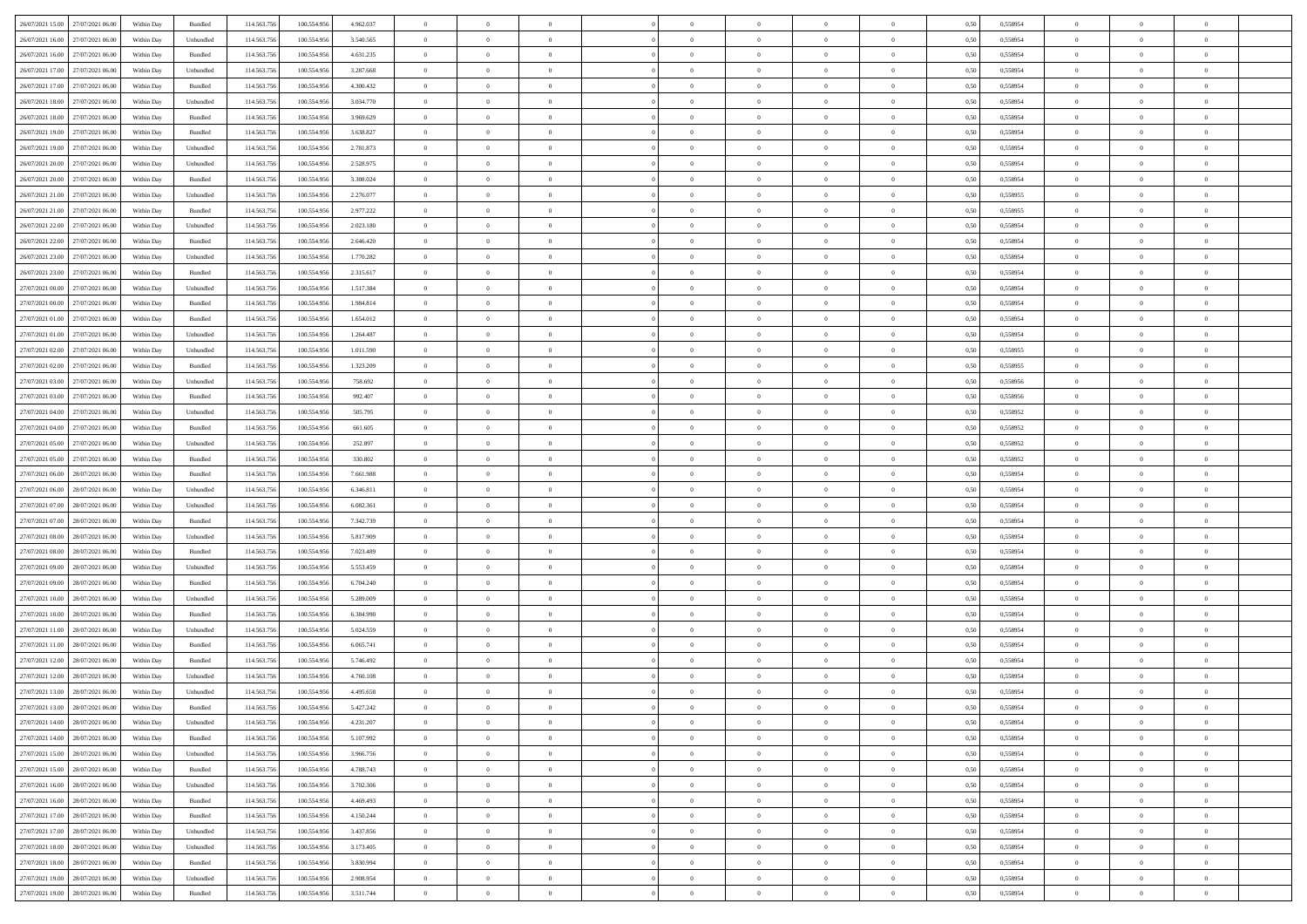| 26/07/2021 15:00 27/07/2021 06:00    | Within Day | Bundled            | 114.563.75  | 100.554.956 | 4.962.037 | $\overline{0}$                   | $\theta$       |                | $\overline{0}$ | $\theta$       |                | $\theta$       | 0,50 | 0,558954 | $\theta$       | $\theta$       | $\overline{0}$ |  |
|--------------------------------------|------------|--------------------|-------------|-------------|-----------|----------------------------------|----------------|----------------|----------------|----------------|----------------|----------------|------|----------|----------------|----------------|----------------|--|
|                                      |            |                    |             |             |           |                                  |                |                |                |                |                |                |      |          |                |                |                |  |
| 26/07/2021 16:00<br>27/07/2021 06.00 | Within Day | Unbundled          | 114.563.75  | 100.554.95  | 3.540.565 | $\bf{0}$                         | $\bf{0}$       | $\bf{0}$       | $\bf{0}$       | $\overline{0}$ | $\overline{0}$ | $\bf{0}$       | 0,50 | 0,558954 | $\,$ 0 $\,$    | $\bf{0}$       | $\overline{0}$ |  |
| 26/07/2021 16:00<br>27/07/2021 06:00 | Within Day | Bundled            | 114,563,75  | 100.554.956 | 4.631.235 | $\overline{0}$                   | $\bf{0}$       | $\overline{0}$ | $\bf{0}$       | $\overline{0}$ | $\overline{0}$ | $\bf{0}$       | 0.50 | 0.558954 | $\overline{0}$ | $\overline{0}$ | $\bf{0}$       |  |
| 26/07/2021 17:00<br>27/07/2021 06:00 | Within Day | Unbundled          | 114.563.75  | 100.554.956 | 3.287.668 | $\overline{0}$                   | $\overline{0}$ | $\overline{0}$ | $\theta$       | $\theta$       | $\overline{0}$ | $\bf{0}$       | 0,50 | 0,558954 | $\theta$       | $\theta$       | $\overline{0}$ |  |
| 26/07/2021 17:00<br>27/07/2021 06.00 | Within Day | Bundled            | 114.563.75  | 100.554.95  | 4.300.432 | $\bf{0}$                         | $\overline{0}$ | $\bf{0}$       | $\overline{0}$ | $\bf{0}$       | $\overline{0}$ | $\bf{0}$       | 0,50 | 0,558954 | $\,$ 0 $\,$    | $\bf{0}$       | $\overline{0}$ |  |
| 26/07/2021 18:00<br>27/07/2021 06:00 | Within Day | Unbundled          | 114,563,75  | 100.554.956 | 3.034.770 | $\overline{0}$                   | $\bf{0}$       | $\overline{0}$ | $\bf{0}$       | $\overline{0}$ | $\overline{0}$ | $\bf{0}$       | 0.50 | 0.558954 | $\,$ 0 $\,$    | $\theta$       | $\overline{0}$ |  |
|                                      |            |                    |             |             |           | $\overline{0}$                   | $\overline{0}$ | $\overline{0}$ | $\overline{0}$ | $\overline{0}$ | $\overline{0}$ |                |      |          | $\theta$       | $\theta$       |                |  |
| 26/07/2021 18:00<br>27/07/2021 06:00 | Within Day | Bundled            | 114.563.75  | 100.554.956 | 3.969.629 |                                  |                |                |                |                |                | $\bf{0}$       | 0,50 | 0,558954 |                |                | $\overline{0}$ |  |
| 26/07/2021 19:00<br>27/07/2021 06.00 | Within Day | Bundled            | 114.563.75  | 100.554.95  | 3.638.827 | $\bf{0}$                         | $\bf{0}$       | $\bf{0}$       | $\overline{0}$ | $\overline{0}$ | $\overline{0}$ | $\bf{0}$       | 0,50 | 0,558954 | $\,$ 0 $\,$    | $\bf{0}$       | $\overline{0}$ |  |
| 26/07/2021 19:00<br>27/07/2021 06:00 | Within Day | Unbundled          | 114,563,75  | 100.554.956 | 2.781.873 | $\overline{0}$                   | $\bf{0}$       | $\overline{0}$ | $\bf{0}$       | $\overline{0}$ | $\overline{0}$ | $\bf{0}$       | 0.50 | 0.558954 | $\bf{0}$       | $\overline{0}$ | $\overline{0}$ |  |
| 26/07/2021 20:00<br>27/07/2021 06:00 | Within Day | Unbundled          | 114.563.75  | 100.554.956 | 2.528.975 | $\bf{0}$                         | $\bf{0}$       | $\overline{0}$ | $\overline{0}$ | $\overline{0}$ | $\overline{0}$ | $\bf{0}$       | 0,50 | 0,558954 | $\,$ 0 $\,$    | $\bf{0}$       | $\overline{0}$ |  |
| 26/07/2021 20:00<br>27/07/2021 06.00 | Within Day | Bundled            | 114.563.75  | 100.554.956 | 3.308.024 | $\bf{0}$                         | $\bf{0}$       | $\bf{0}$       | $\bf{0}$       | $\overline{0}$ | $\overline{0}$ | $\bf{0}$       | 0,50 | 0,558954 | $\,$ 0 $\,$    | $\bf{0}$       | $\overline{0}$ |  |
| 26/07/2021 21:00<br>27/07/2021 06:00 | Within Day | Unbundled          | 114,563,75  | 100.554.956 | 2.276.077 | $\overline{0}$                   | $\bf{0}$       | $\overline{0}$ | $\overline{0}$ | $\overline{0}$ | $\overline{0}$ | $\bf{0}$       | 0.50 | 0.558955 | $\bf{0}$       | $\,$ 0 $\,$    | $\,$ 0         |  |
| 26/07/2021 21:00<br>27/07/2021 06:00 | Within Day | Bundled            | 114.563.75  | 100.554.956 | 2.977.222 | $\overline{0}$                   | $\overline{0}$ | $\overline{0}$ | $\theta$       | $\theta$       | $\overline{0}$ | $\bf{0}$       | 0,50 | 0,558955 | $\,$ 0 $\,$    | $\theta$       | $\overline{0}$ |  |
|                                      |            |                    |             |             |           |                                  | $\overline{0}$ |                |                |                | $\overline{0}$ |                |      |          | $\,$ 0 $\,$    | $\bf{0}$       | $\overline{0}$ |  |
| 26/07/2021 22:00<br>27/07/2021 06.00 | Within Day | Unbundled          | 114.563.75  | 100.554.95  | 2.023.180 | $\bf{0}$                         |                | $\bf{0}$       | $\bf{0}$       | $\bf{0}$       |                | $\bf{0}$       | 0,50 | 0,558954 |                |                |                |  |
| 26/07/2021 22:00<br>27/07/2021 06:00 | Within Day | Bundled            | 114,563,75  | 100.554.956 | 2.646.420 | $\overline{0}$                   | $\bf{0}$       | $\overline{0}$ | $\bf{0}$       | $\overline{0}$ | $\overline{0}$ | $\bf{0}$       | 0.50 | 0.558954 | $\,$ 0 $\,$    | $\bf{0}$       | $\overline{0}$ |  |
| 26/07/2021 23:00<br>27/07/2021 06:00 | Within Day | Unbundled          | 114.563.75  | 100.554.956 | 1.770.282 | $\overline{0}$                   | $\overline{0}$ | $\overline{0}$ | $\overline{0}$ | $\overline{0}$ | $\overline{0}$ | $\bf{0}$       | 0,50 | 0,558954 | $\theta$       | $\theta$       | $\overline{0}$ |  |
| 26/07/2021 23:00<br>27/07/2021 06.00 | Within Day | Bundled            | 114.563.75  | 100.554.956 | 2.315.617 | $\bf{0}$                         | $\bf{0}$       | $\bf{0}$       | $\overline{0}$ | $\overline{0}$ | $\overline{0}$ | $\bf{0}$       | 0,50 | 0,558954 | $\,$ 0 $\,$    | $\bf{0}$       | $\overline{0}$ |  |
| 27/07/2021 00:00<br>27/07/2021 06:00 | Within Day | Unbundled          | 114,563,75  | 100.554.956 | 1.517.384 | $\overline{0}$                   | $\bf{0}$       | $\overline{0}$ | $\bf{0}$       | $\bf{0}$       | $\overline{0}$ | $\bf{0}$       | 0.50 | 0.558954 | $\bf{0}$       | $\overline{0}$ | $\bf{0}$       |  |
| 27/07/2021 00:00<br>27/07/2021 06:00 | Within Day | Bundled            | 114.563.75  | 100.554.956 | 1.984.814 | $\overline{0}$                   | $\bf{0}$       | $\overline{0}$ | $\overline{0}$ | $\overline{0}$ | $\overline{0}$ | $\bf{0}$       | 0,50 | 0,558954 | $\,$ 0 $\,$    | $\bf{0}$       | $\overline{0}$ |  |
| 27/07/2021 01:00<br>27/07/2021 06.00 | Within Day | Bundled            | 114.563.75  | 100.554.95  | 1.654.012 | $\bf{0}$                         | $\bf{0}$       | $\bf{0}$       | $\bf{0}$       | $\overline{0}$ | $\overline{0}$ | $\bf{0}$       | 0,50 | 0,558954 | $\,$ 0 $\,$    | $\bf{0}$       | $\overline{0}$ |  |
| 27/07/2021 01:00<br>27/07/2021 06:00 |            | Unbundled          | 114,563,75  | 100.554.956 |           |                                  | $\bf{0}$       |                |                | $\bf{0}$       | $\overline{0}$ |                | 0.50 | 0.558954 | $\bf{0}$       | $\overline{0}$ | $\,$ 0         |  |
|                                      | Within Day |                    |             |             | 1.264.487 | $\overline{0}$<br>$\overline{0}$ | $\overline{0}$ | $\overline{0}$ | $\overline{0}$ |                |                | $\bf{0}$       |      |          | $\theta$       | $\theta$       |                |  |
| 27/07/2021 02:00<br>27/07/2021 06:00 | Within Day | Unbundled          | 114.563.75  | 100.554.956 | 1.011.590 |                                  |                | $\overline{0}$ | $\overline{0}$ | $\theta$       | $\overline{0}$ | $\bf{0}$       | 0,50 | 0,558955 |                |                | $\overline{0}$ |  |
| 27/07/2021 02:00<br>27/07/2021 06.00 | Within Day | Bundled            | 114.563.75  | 100.554.95  | 1.323.209 | $\bf{0}$                         | $\bf{0}$       | $\bf{0}$       | $\bf{0}$       | $\overline{0}$ | $\overline{0}$ | $\bf{0}$       | 0,50 | 0,558955 | $\,$ 0 $\,$    | $\bf{0}$       | $\overline{0}$ |  |
| 27/07/2021 03:00<br>27/07/2021 06:00 | Within Day | Unbundled          | 114,563,75  | 100.554.95  | 758.692   | $\overline{0}$                   | $\bf{0}$       | $\overline{0}$ | $\bf{0}$       | $\overline{0}$ | $\overline{0}$ | $\bf{0}$       | 0.50 | 0.558956 | $\,$ 0 $\,$    | $\theta$       | $\overline{0}$ |  |
| 27/07/2021 03:00<br>27/07/2021 06:00 | Within Day | Bundled            | 114.563.75  | 100.554.956 | 992.407   | $\overline{0}$                   | $\overline{0}$ | $\overline{0}$ | $\overline{0}$ | $\overline{0}$ | $\overline{0}$ | $\bf{0}$       | 0,50 | 0,558956 | $\theta$       | $\theta$       | $\overline{0}$ |  |
| 27/07/2021 04:00<br>27/07/2021 06.00 | Within Day | Unbundled          | 114.563.75  | 100.554.95  | 505.795   | $\bf{0}$                         | $\overline{0}$ | $\bf{0}$       | $\overline{0}$ | $\overline{0}$ | $\overline{0}$ | $\bf{0}$       | 0,50 | 0,558952 | $\,$ 0 $\,$    | $\bf{0}$       | $\overline{0}$ |  |
| 27/07/2021 04:00<br>27/07/2021 06:00 | Within Day | Bundled            | 114,563,75  | 100.554.95  | 661.605   | $\overline{0}$                   | $\bf{0}$       | $\overline{0}$ | $\bf{0}$       | $\overline{0}$ | $\overline{0}$ | $\bf{0}$       | 0.50 | 0.558952 | $\bf{0}$       | $\overline{0}$ | $\overline{0}$ |  |
| 27/07/2021 05:00<br>27/07/2021 06:00 | Within Day | Unbundled          | 114.563.75  | 100.554.956 | 252.897   | $\overline{0}$                   | $\bf{0}$       | $\overline{0}$ | $\overline{0}$ | $\overline{0}$ | $\overline{0}$ | $\bf{0}$       | 0,50 | 0,558952 | $\theta$       | $\theta$       | $\overline{0}$ |  |
|                                      |            |                    |             |             |           |                                  |                |                |                |                |                |                |      |          |                |                |                |  |
| 27/07/2021 05:00<br>27/07/2021 06.00 | Within Day | Bundled            | 114.563.75  | 100.554.95  | 330.802   | $\bf{0}$                         | $\bf{0}$       | $\bf{0}$       | $\bf{0}$       | $\overline{0}$ | $\overline{0}$ | $\bf{0}$       | 0,50 | 0,558952 | $\,$ 0 $\,$    | $\bf{0}$       | $\overline{0}$ |  |
| 27/07/2021 06:00<br>28/07/2021 06:00 | Within Day | Bundled            | 114,563,75  | 100.554.956 | 7.661.988 | $\overline{0}$                   | $\bf{0}$       | $\overline{0}$ | $\bf{0}$       | $\bf{0}$       | $\overline{0}$ | $\bf{0}$       | 0.50 | 0.558954 | $\bf{0}$       | $\,$ 0 $\,$    | $\,$ 0         |  |
| 27/07/2021 06:00<br>28/07/2021 06:00 | Within Day | Unbundled          | 114.563.75  | 100,554,956 | 6.346.811 | $\overline{0}$                   | $\overline{0}$ | $\overline{0}$ | $\overline{0}$ | $\overline{0}$ | $\overline{0}$ | $\bf{0}$       | 0.50 | 0.558954 | $\theta$       | $\theta$       | $\overline{0}$ |  |
| 27/07/2021 07:00<br>28/07/2021 06:00 | Within Day | Unbundled          | 114.563.75  | 100.554.95  | 6.082.361 | $\bf{0}$                         | $\bf{0}$       | $\bf{0}$       | $\bf{0}$       | $\overline{0}$ | $\overline{0}$ | $\bf{0}$       | 0,50 | 0,558954 | $\,$ 0 $\,$    | $\bf{0}$       | $\overline{0}$ |  |
| 27/07/2021 07:00<br>28/07/2021 06:00 | Within Day | Bundled            | 114,563,75  | 100.554.956 | 7.342.739 | $\overline{0}$                   | $\bf{0}$       | $\overline{0}$ | $\bf{0}$       | $\overline{0}$ | $\overline{0}$ | $\bf{0}$       | 0.50 | 0.558954 | $\,$ 0 $\,$    | $\bf{0}$       | $\overline{0}$ |  |
| 27/07/2021 08:00<br>28/07/2021 06:00 | Within Dav | Unbundled          | 114.563.75  | 100.554.956 | 5.817.909 | $\overline{0}$                   | $\overline{0}$ | $\overline{0}$ | $\overline{0}$ | $\overline{0}$ | $\overline{0}$ | $\bf{0}$       | 0.5( | 0,558954 | $\theta$       | $\theta$       | $\overline{0}$ |  |
| 27/07/2021 08:00<br>28/07/2021 06:00 | Within Day | Bundled            | 114.563.75  | 100.554.95  | 7.023.489 | $\bf{0}$                         | $\bf{0}$       | $\bf{0}$       | $\bf{0}$       | $\overline{0}$ | $\overline{0}$ | $\bf{0}$       | 0,50 | 0,558954 | $\,$ 0 $\,$    | $\bf{0}$       | $\overline{0}$ |  |
| 27/07/2021 09:00<br>28/07/2021 06:00 | Within Day | Unbundled          | 114,563,75  | 100.554.95  | 5.553.459 | $\overline{0}$                   | $\bf{0}$       | $\overline{0}$ | $\bf{0}$       | $\overline{0}$ | $\overline{0}$ | $\bf{0}$       | 0.50 | 0.558954 | $\bf{0}$       | $\overline{0}$ | $\bf{0}$       |  |
| 27/07/2021 09:00<br>28/07/2021 06:00 | Within Dav | Bundled            | 114.563.75  | 100,554,956 | 6.704.240 | $\overline{0}$                   | $\overline{0}$ | $\overline{0}$ | $\overline{0}$ | $\overline{0}$ | $\overline{0}$ | $\bf{0}$       | 0.50 | 0,558954 | $\theta$       | $\theta$       | $\overline{0}$ |  |
|                                      |            |                    |             |             |           |                                  |                |                |                |                |                |                |      |          |                |                |                |  |
| 27/07/2021 10:00<br>28/07/2021 06:00 | Within Day | Unbundled          | 114.563.75  | 100.554.95  | 5.289.009 | $\bf{0}$                         | $\bf{0}$       | $\bf{0}$       | $\bf{0}$       | $\overline{0}$ | $\overline{0}$ | $\bf{0}$       | 0,50 | 0,558954 | $\,$ 0 $\,$    | $\bf{0}$       | $\overline{0}$ |  |
| 27/07/2021 10:00<br>28/07/2021 06:00 | Within Day | Bundled            | 114,563,75  | 100.554.956 | 6.384.990 | $\overline{0}$                   | $\bf{0}$       | $\overline{0}$ | $\overline{0}$ | $\bf{0}$       | $\overline{0}$ | $\bf{0}$       | 0.50 | 0.558954 | $\,$ 0 $\,$    | $\,$ 0 $\,$    | $\,$ 0         |  |
| 27/07/2021 11:00<br>28/07/2021 06:00 | Within Dav | Unbundled          | 114.563.75  | 100.554.956 | 5.024.559 | $\overline{0}$                   | $\overline{0}$ | $\overline{0}$ | $\overline{0}$ | $\overline{0}$ | $\overline{0}$ | $\bf{0}$       | 0.50 | 0,558954 | $\theta$       | $\theta$       | $\overline{0}$ |  |
| 27/07/2021 11:00<br>28/07/2021 06:00 | Within Day | Bundled            | 114.563.75  | 100.554.95  | 6.065.741 | $\bf{0}$                         | $\bf{0}$       | $\bf{0}$       | $\bf{0}$       | $\overline{0}$ | $\overline{0}$ | $\bf{0}$       | 0,50 | 0,558954 | $\,$ 0 $\,$    | $\bf{0}$       | $\overline{0}$ |  |
| 27/07/2021 12:00<br>28/07/2021 06:00 | Within Day | Bundled            | 114,563,75  | 100.554.95  | 5.746.492 | $\overline{0}$                   | $\overline{0}$ | $\overline{0}$ | $\bf{0}$       | $\overline{0}$ | $\overline{0}$ | $\bf{0}$       | 0.50 | 0.558954 | $\bf{0}$       | $\theta$       | $\overline{0}$ |  |
| 27/07/2021 12:00<br>28/07/2021 06:00 | Within Dav | Unbundled          | 114.563.75  | 100,554,956 | 4.760.108 | $\overline{0}$                   | $\overline{0}$ | $\overline{0}$ | $\overline{0}$ | $\theta$       | $\overline{0}$ | $\overline{0}$ | 0.5( | 0,558954 | $\theta$       | $\theta$       | $\overline{0}$ |  |
| 27/07/2021 13:00<br>28/07/2021 06:00 | Within Day | Unbundled          | 114.563.75  | 100.554.956 | 4.495.658 | $\bf{0}$                         | $\bf{0}$       | $\bf{0}$       | $\bf{0}$       | $\bf{0}$       | $\overline{0}$ | $\bf{0}$       | 0,50 | 0,558954 | $\overline{0}$ | $\overline{0}$ | $\overline{0}$ |  |
| 27/07/2021 13:00 28/07/2021 06:00    | Within Day | $\mathbf B$ undled | 114.563.756 | 100.554.956 | 5.427.242 | $\bf{0}$                         | $\theta$       |                | $\Omega$       |                |                |                | 0,50 | 0.558954 | $\bf{0}$       | $\overline{0}$ |                |  |
|                                      |            |                    |             |             |           |                                  |                |                |                |                |                |                |      |          |                |                |                |  |
| 27/07/2021 14:00 28/07/2021 06:00    | Within Day | Unbundled          | 114.563.756 | 100.554.956 | 4.231.207 | $\overline{0}$                   | $\overline{0}$ | $\Omega$       | $\theta$       | $\overline{0}$ | $\overline{0}$ | $\bf{0}$       | 0,50 | 0,558954 | $\theta$       | $\theta$       | $\overline{0}$ |  |
| 27/07/2021 14:00<br>28/07/2021 06:00 | Within Day | Bundled            | 114.563.75  | 100.554.95  | 5.107.992 | $\overline{0}$                   | $\bf{0}$       | $\overline{0}$ | $\overline{0}$ | $\bf{0}$       | $\overline{0}$ | $\bf{0}$       | 0,50 | 0,558954 | $\bf{0}$       | $\overline{0}$ | $\bf{0}$       |  |
| 27/07/2021 15:00 28/07/2021 06:00    | Within Day | Unbundled          | 114,563,756 | 100.554.956 | 3.966.756 | $\overline{0}$                   | $\bf{0}$       | $\overline{0}$ | $\overline{0}$ | $\mathbf{0}$   | $\overline{0}$ | $\,$ 0 $\,$    | 0.50 | 0.558954 | $\overline{0}$ | $\bf{0}$       | $\bf{0}$       |  |
| 27/07/2021 15:00 28/07/2021 06:00    | Within Dav | Bundled            | 114.563.756 | 100.554.956 | 4.788.743 | $\overline{0}$                   | $\overline{0}$ | $\overline{0}$ | $\overline{0}$ | $\overline{0}$ | $\overline{0}$ | $\bf{0}$       | 0,50 | 0,558954 | $\overline{0}$ | $\theta$       | $\overline{0}$ |  |
| 27/07/2021 16:00<br>28/07/2021 06:00 | Within Day | Unbundled          | 114.563.75  | 100.554.956 | 3.702.306 | $\overline{0}$                   | $\bf{0}$       | $\overline{0}$ | $\overline{0}$ | $\bf{0}$       | $\overline{0}$ | $\bf{0}$       | 0,50 | 0,558954 | $\bf{0}$       | $\overline{0}$ | $\overline{0}$ |  |
| 27/07/2021 16:00 28/07/2021 06:00    | Within Day | Bundled            | 114.563.756 | 100.554.956 | 4.469.493 | $\overline{0}$                   | $\bf{0}$       | $\overline{0}$ | $\overline{0}$ | $\overline{0}$ | $\overline{0}$ | $\bf{0}$       | 0.50 | 0.558954 | $\,$ 0 $\,$    | $\overline{0}$ | $\overline{0}$ |  |
| 27/07/2021 17:00 28/07/2021 06:00    | Within Dav | Bundled            | 114.563.756 | 100.554.956 | 4.150.244 | $\overline{0}$                   | $\overline{0}$ | $\overline{0}$ | $\overline{0}$ | $\overline{0}$ | $\overline{0}$ | $\bf{0}$       | 0.50 | 0,558954 | $\overline{0}$ | $\theta$       | $\overline{0}$ |  |
| 27/07/2021 17:00<br>28/07/2021 06:00 | Within Day | Unbundled          | 114.563.75  | 100.554.956 | 3.437.856 | $\overline{0}$                   | $\overline{0}$ | $\overline{0}$ | $\overline{0}$ | $\overline{0}$ | $\overline{0}$ | $\bf{0}$       | 0,50 | 0,558954 | $\bf{0}$       | $\overline{0}$ | $\,$ 0         |  |
|                                      |            |                    |             |             |           |                                  |                |                |                |                |                |                |      |          |                |                |                |  |
| 27/07/2021 18:00 28/07/2021 06:00    | Within Day | Unbundled          | 114.563.75  | 100.554.956 | 3.173.405 | $\overline{0}$                   | $\overline{0}$ | $\overline{0}$ | $\overline{0}$ | $\overline{0}$ | $\overline{0}$ | $\bf{0}$       | 0.50 | 0.558954 | $\mathbf{0}$   | $\bf{0}$       | $\,$ 0         |  |
| 27/07/2021 18:00 28/07/2021 06:00    | Within Dav | Bundled            | 114.563.756 | 100.554.956 | 3.830.994 | $\overline{0}$                   | $\overline{0}$ | $\overline{0}$ | $\overline{0}$ | $\overline{0}$ | $\overline{0}$ | $\bf{0}$       | 0,50 | 0,558954 | $\overline{0}$ | $\theta$       | $\overline{0}$ |  |
| 27/07/2021 19:00<br>28/07/2021 06:00 | Within Day | Unbundled          | 114.563.75  | 100.554.95  | 2.908.954 | $\overline{0}$                   | $\bf{0}$       | $\overline{0}$ | $\overline{0}$ | $\overline{0}$ | $\overline{0}$ | $\bf{0}$       | 0,50 | 0,558954 | $\bf{0}$       | $\,$ 0 $\,$    | $\bf{0}$       |  |
| 27/07/2021 19:00 28/07/2021 06:00    | Within Day | Bundled            | 114.563.756 | 100.554.956 | 3.511.744 | $\overline{0}$                   | $\bf{0}$       | $\overline{0}$ | $\overline{0}$ | $\,$ 0 $\,$    | $\overline{0}$ | $\bf{0}$       | 0,50 | 0,558954 | $\overline{0}$ | $\,$ 0 $\,$    | $\,$ 0 $\,$    |  |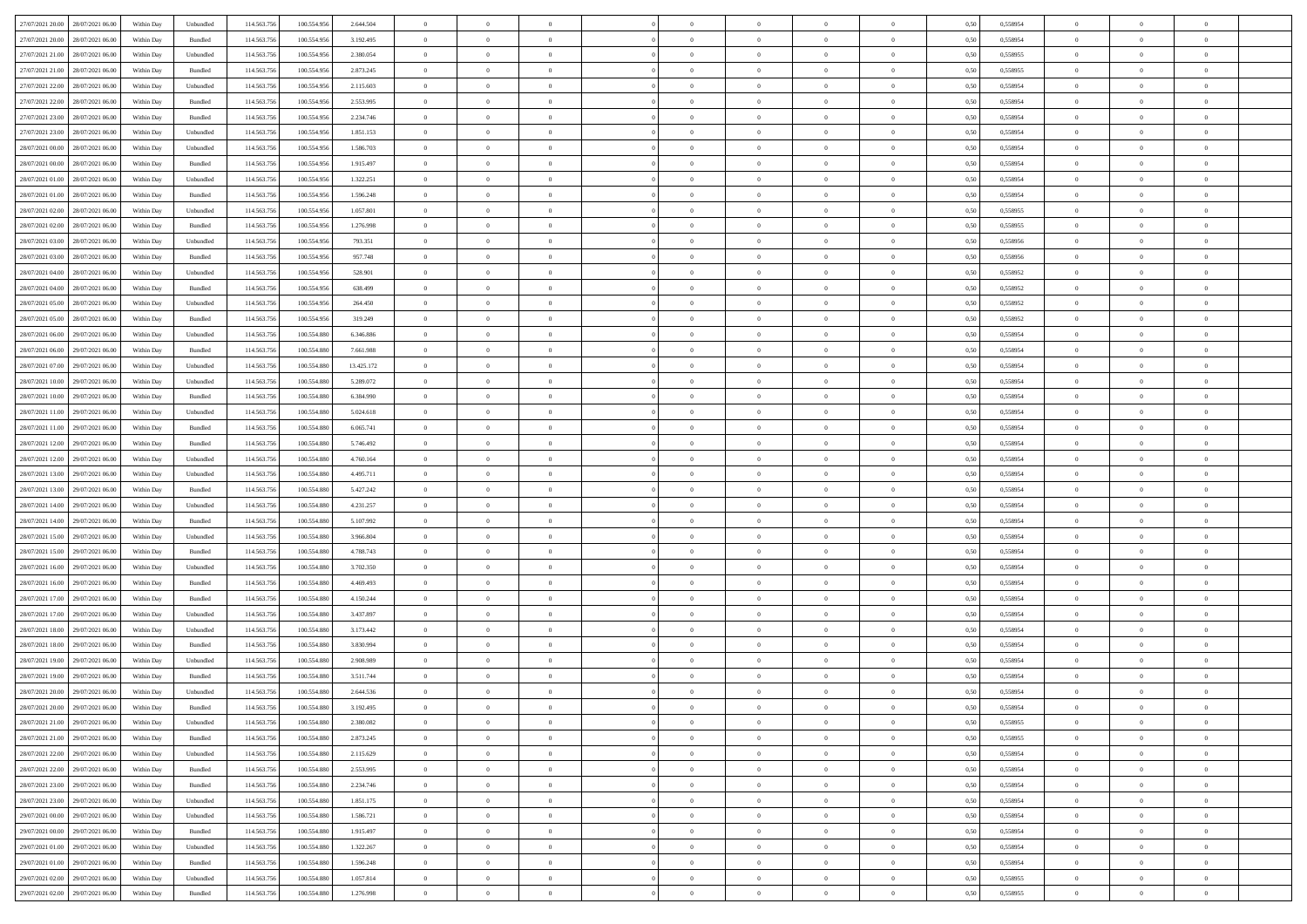| 27/07/2021 20:00<br>28/07/2021 06:00 | Within Day | Unbundled          | 114.563.756 | 100.554.956 | 2.644.504  | $\overline{0}$ | $\overline{0}$ | $\overline{0}$ | $\theta$       | $\theta$       |                | $\overline{0}$ | 0,50 | 0,558954 | $\theta$       | $\theta$       | $\theta$       |  |
|--------------------------------------|------------|--------------------|-------------|-------------|------------|----------------|----------------|----------------|----------------|----------------|----------------|----------------|------|----------|----------------|----------------|----------------|--|
|                                      |            |                    |             |             |            |                |                |                |                |                |                |                |      |          |                |                |                |  |
| 27/07/2021 20.00<br>28/07/2021 06.00 | Within Day | Bundled            | 114.563.75  | 100.554.956 | 3.192.495  | $\overline{0}$ | $\overline{0}$ | $\overline{0}$ | $\overline{0}$ | $\bf{0}$       | $\overline{0}$ | $\mathbf{0}$   | 0,50 | 0,558954 | $\overline{0}$ | $\bf{0}$       | $\overline{0}$ |  |
| 27/07/2021 21.00<br>28/07/2021 06:00 | Within Day | Unbundled          | 114.563.756 | 100.554.956 | 2.380.054  | $\overline{0}$ | $\overline{0}$ | $\overline{0}$ | $\bf{0}$       | $\bf{0}$       | $\overline{0}$ | $\,$ 0 $\,$    | 0.50 | 0.558955 | $\bf{0}$       | $\overline{0}$ | $\,$ 0         |  |
| 27/07/2021 21.00<br>28/07/2021 06:00 | Within Day | Bundled            | 114.563.756 | 100.554.956 | 2.873.245  | $\overline{0}$ | $\overline{0}$ | $\overline{0}$ | $\bf{0}$       | $\overline{0}$ | $\overline{0}$ | $\,$ 0 $\,$    | 0,50 | 0,558955 | $\theta$       | $\overline{0}$ | $\overline{0}$ |  |
| 27/07/2021 22.00<br>28/07/2021 06.00 | Within Day | Unbundled          | 114.563.75  | 100.554.956 | 2.115.603  | $\overline{0}$ | $\overline{0}$ | $\overline{0}$ | $\,$ 0 $\,$    | $\bf{0}$       | $\overline{0}$ | $\bf{0}$       | 0,50 | 0,558954 | $\,$ 0 $\,$    | $\bf{0}$       | $\overline{0}$ |  |
| 27/07/2021 22.00<br>28/07/2021 06:00 | Within Day | Bundled            | 114,563,75  | 100,554,956 | 2.553.995  | $\overline{0}$ | $\overline{0}$ | $\overline{0}$ | $\bf{0}$       | $\bf{0}$       | $\overline{0}$ | $\mathbf{0}$   | 0.50 | 0.558954 | $\,$ 0 $\,$    | $\overline{0}$ | $\overline{0}$ |  |
| 27/07/2021 23:00<br>28/07/2021 06:00 | Within Day | Bundled            | 114.563.756 | 100.554.956 | 2.234.746  | $\overline{0}$ | $\overline{0}$ | $\overline{0}$ | $\bf{0}$       | $\overline{0}$ | $\overline{0}$ | $\bf{0}$       | 0,50 | 0,558954 | $\theta$       | $\theta$       | $\overline{0}$ |  |
|                                      |            |                    |             |             |            |                |                |                |                |                |                |                |      |          |                |                |                |  |
| 27/07/2021 23.00<br>28/07/2021 06.00 | Within Day | Unbundled          | 114.563.75  | 100.554.956 | 1.851.153  | $\overline{0}$ | $\overline{0}$ | $\overline{0}$ | $\overline{0}$ | $\bf{0}$       | $\overline{0}$ | $\mathbf{0}$   | 0,50 | 0,558954 | $\,$ 0 $\,$    | $\bf{0}$       | $\overline{0}$ |  |
| 28/07/2021 00:00<br>28/07/2021 06:00 | Within Day | Unbundled          | 114,563,756 | 100,554,956 | 1.586.703  | $\overline{0}$ | $\overline{0}$ | $\overline{0}$ | $\bf{0}$       | $\bf{0}$       | $\overline{0}$ | $\mathbf{0}$   | 0.50 | 0.558954 | $\bf{0}$       | $\overline{0}$ | $\bf{0}$       |  |
| 28/07/2021 00:00<br>28/07/2021 06:00 | Within Day | Bundled            | 114.563.756 | 100.554.956 | 1.915.497  | $\overline{0}$ | $\overline{0}$ | $\overline{0}$ | $\bf{0}$       | $\bf{0}$       | $\overline{0}$ | $\,$ 0 $\,$    | 0,50 | 0,558954 | $\,$ 0         | $\overline{0}$ | $\overline{0}$ |  |
| 28/07/2021 01:00<br>28/07/2021 06.00 | Within Day | Unbundled          | 114.563.75  | 100.554.956 | 1.322.251  | $\overline{0}$ | $\overline{0}$ | $\overline{0}$ | $\,$ 0 $\,$    | $\bf{0}$       | $\overline{0}$ | $\bf{0}$       | 0,50 | 0,558954 | $\,$ 0 $\,$    | $\bf{0}$       | $\overline{0}$ |  |
| 28/07/2021 01:00<br>28/07/2021 06:00 | Within Day | Bundled            | 114,563,756 | 100,554,956 | 1.596.248  | $\overline{0}$ | $\overline{0}$ | $\overline{0}$ | $\bf{0}$       | $\overline{0}$ | $\overline{0}$ | $\,$ 0 $\,$    | 0.50 | 0.558954 | $\bf{0}$       | $\overline{0}$ | $\,$ 0         |  |
| 28/07/2021 02:00<br>28/07/2021 06:00 | Within Day | Unbundled          | 114.563.756 | 100.554.956 | 1.057.801  | $\overline{0}$ | $\overline{0}$ | $\overline{0}$ | $\overline{0}$ | $\overline{0}$ | $\overline{0}$ | $\,$ 0 $\,$    | 0,50 | 0,558955 | $\,$ 0 $\,$    | $\overline{0}$ | $\overline{0}$ |  |
|                                      |            |                    |             |             |            |                |                |                |                |                |                |                |      |          |                |                |                |  |
| 28/07/2021 02:00<br>28/07/2021 06.00 | Within Day | Bundled            | 114.563.75  | 100.554.956 | 1.276.998  | $\overline{0}$ | $\overline{0}$ | $\overline{0}$ | $\overline{0}$ | $\bf{0}$       | $\overline{0}$ | $\bf{0}$       | 0,50 | 0,558955 | $\,$ 0 $\,$    | $\bf{0}$       | $\overline{0}$ |  |
| 28/07/2021 03:00<br>28/07/2021 06:00 | Within Day | Unbundled          | 114,563,756 | 100,554,956 | 793.351    | $\overline{0}$ | $\overline{0}$ | $\overline{0}$ | $\bf{0}$       | $\overline{0}$ | $\overline{0}$ | $\mathbf{0}$   | 0.50 | 0.558956 | $\,$ 0 $\,$    | $\overline{0}$ | $\overline{0}$ |  |
| 28/07/2021 03:00<br>28/07/2021 06:00 | Within Day | Bundled            | 114.563.756 | 100.554.956 | 957.748    | $\overline{0}$ | $\overline{0}$ | $\overline{0}$ | $\bf{0}$       | $\overline{0}$ | $\overline{0}$ | $\bf{0}$       | 0,50 | 0,558956 | $\theta$       | $\theta$       | $\overline{0}$ |  |
| 28/07/2021 04:00<br>28/07/2021 06.00 | Within Day | Unbundled          | 114.563.75  | 100.554.956 | 528.901    | $\overline{0}$ | $\overline{0}$ | $\overline{0}$ | $\,$ 0 $\,$    | $\bf{0}$       | $\overline{0}$ | $\bf{0}$       | 0,50 | 0,558952 | $\,$ 0 $\,$    | $\bf{0}$       | $\overline{0}$ |  |
| 28/07/2021 04:00<br>28/07/2021 06:00 | Within Day | Bundled            | 114,563,75  | 100,554,956 | 638 499    | $\overline{0}$ | $\overline{0}$ | $\overline{0}$ | $\bf{0}$       | $\bf{0}$       | $\overline{0}$ | $\mathbf{0}$   | 0.50 | 0.558952 | $\bf{0}$       | $\overline{0}$ | $\,$ 0         |  |
| 28/07/2021 05:00<br>28/07/2021 06:00 | Within Day | Unbundled          | 114.563.756 | 100.554.956 | 264.450    | $\overline{0}$ | $\overline{0}$ | $\overline{0}$ | $\bf{0}$       | $\overline{0}$ | $\overline{0}$ | $\bf{0}$       | 0,50 | 0,558952 | $\,$ 0 $\,$    | $\overline{0}$ | $\overline{0}$ |  |
|                                      |            |                    |             |             |            |                | $\overline{0}$ |                | $\overline{0}$ | $\bf{0}$       | $\overline{0}$ |                |      |          | $\,$ 0 $\,$    | $\bf{0}$       | $\overline{0}$ |  |
| 28/07/2021 05:00<br>28/07/2021 06.00 | Within Day | Bundled            | 114.563.75  | 100.554.956 | 319.249    | $\overline{0}$ |                | $\overline{0}$ |                |                |                | $\mathbf{0}$   | 0,50 | 0,558952 |                |                |                |  |
| 28/07/2021 06:00<br>29/07/2021 06:00 | Within Day | Unbundled          | 114,563,756 | 100.554.880 | 6,346,886  | $\overline{0}$ | $\overline{0}$ | $\overline{0}$ | $\bf{0}$       | $\overline{0}$ | $\overline{0}$ | $\,$ 0 $\,$    | 0.50 | 0.558954 | $\bf{0}$       | $\overline{0}$ | $\,$ 0         |  |
| 28/07/2021 06:00<br>29/07/2021 06.00 | Within Day | Bundled            | 114.563.756 | 100.554.880 | 7.661.988  | $\overline{0}$ | $\overline{0}$ | $\overline{0}$ | $\overline{0}$ | $\overline{0}$ | $\overline{0}$ | $\,$ 0 $\,$    | 0,50 | 0,558954 | $\theta$       | $\overline{0}$ | $\overline{0}$ |  |
| 28/07/2021 07:00<br>29/07/2021 06.00 | Within Day | Unbundled          | 114.563.75  | 100.554.880 | 13.425.172 | $\overline{0}$ | $\overline{0}$ | $\overline{0}$ | $\overline{0}$ | $\bf{0}$       | $\overline{0}$ | $\bf{0}$       | 0,50 | 0,558954 | $\,$ 0 $\,$    | $\bf{0}$       | $\overline{0}$ |  |
| 28/07/2021 10:00<br>29/07/2021 06:00 | Within Day | Unbundled          | 114,563,75  | 100,554,880 | 5.289.072  | $\overline{0}$ | $\overline{0}$ | $\overline{0}$ | $\bf{0}$       | $\bf{0}$       | $\overline{0}$ | $\mathbf{0}$   | 0.50 | 0.558954 | $\,$ 0 $\,$    | $\overline{0}$ | $\overline{0}$ |  |
| 28/07/2021 10:00<br>29/07/2021 06.00 | Within Day | Bundled            | 114.563.756 | 100.554.880 | 6.384.990  | $\overline{0}$ | $\overline{0}$ | $\overline{0}$ | $\bf{0}$       | $\overline{0}$ | $\overline{0}$ | $\bf{0}$       | 0,50 | 0,558954 | $\theta$       | $\theta$       | $\overline{0}$ |  |
| 28/07/2021 11:00<br>29/07/2021 06.00 | Within Day | Unbundled          | 114.563.75  | 100.554.880 | 5.024.618  | $\overline{0}$ | $\overline{0}$ | $\overline{0}$ | $\,$ 0 $\,$    | $\bf{0}$       | $\overline{0}$ | $\bf{0}$       | 0,50 | 0,558954 | $\,$ 0 $\,$    | $\bf{0}$       | $\overline{0}$ |  |
|                                      |            |                    |             |             |            |                |                |                |                |                |                |                |      |          |                |                |                |  |
| 28/07/2021 11:00<br>29/07/2021 06:00 | Within Day | Bundled            | 114,563,756 | 100,554,880 | 6.065.741  | $\overline{0}$ | $\overline{0}$ | $\overline{0}$ | $\bf{0}$       | $\bf{0}$       | $\overline{0}$ | $\,$ 0 $\,$    | 0.50 | 0,558954 | $\bf{0}$       | $\overline{0}$ | $\bf{0}$       |  |
| 28/07/2021 12:00<br>29/07/2021 06.00 | Within Day | Bundled            | 114.563.756 | 100.554.880 | 5.746.492  | $\overline{0}$ | $\overline{0}$ | $\overline{0}$ | $\bf{0}$       | $\overline{0}$ | $\overline{0}$ | $\,$ 0 $\,$    | 0,50 | 0,558954 | $\overline{0}$ | $\overline{0}$ | $\overline{0}$ |  |
| 28/07/2021 12:00<br>29/07/2021 06.00 | Within Day | Unbundled          | 114.563.75  | 100.554.880 | 4.760.164  | $\overline{0}$ | $\overline{0}$ | $\overline{0}$ | $\overline{0}$ | $\bf{0}$       | $\overline{0}$ | $\mathbf{0}$   | 0,50 | 0,558954 | $\overline{0}$ | $\bf{0}$       | $\overline{0}$ |  |
| 28/07/2021 13:00<br>29/07/2021 06:00 | Within Day | Unbundled          | 114,563,756 | 100,554,880 | 4.495.711  | $\overline{0}$ | $\overline{0}$ | $\overline{0}$ | $\bf{0}$       | $\overline{0}$ | $\overline{0}$ | $\,$ 0 $\,$    | 0.50 | 0.558954 | $\bf{0}$       | $\overline{0}$ | $\,$ 0         |  |
| 28/07/2021 13:00<br>29/07/2021 06:00 | Within Day | Bundled            | 114.563.756 | 100.554.880 | 5.427.242  | $\overline{0}$ | $\overline{0}$ | $\overline{0}$ | $\overline{0}$ | $\overline{0}$ | $\overline{0}$ | $\overline{0}$ | 0.50 | 0,558954 | $\theta$       | $\overline{0}$ | $\overline{0}$ |  |
| 28/07/2021 14:00<br>29/07/2021 06.00 | Within Day | Unbundled          | 114.563.75  | 100.554.880 | 4.231.257  | $\overline{0}$ | $\overline{0}$ | $\overline{0}$ | $\overline{0}$ | $\bf{0}$       | $\overline{0}$ | $\bf{0}$       | 0,50 | 0,558954 | $\,$ 0 $\,$    | $\bf{0}$       | $\overline{0}$ |  |
|                                      |            |                    |             |             |            |                |                |                |                |                |                |                |      |          |                |                |                |  |
| 28/07/2021 14:00<br>29/07/2021 06:00 | Within Day | Bundled            | 114,563,756 | 100,554,880 | 5.107.992  | $\overline{0}$ | $\overline{0}$ | $\overline{0}$ | $\bf{0}$       | $\bf{0}$       | $\overline{0}$ | $\mathbf{0}$   | 0.50 | 0.558954 | $\,$ 0 $\,$    | $\bf{0}$       | $\overline{0}$ |  |
| 28/07/2021 15:00<br>29/07/2021 06:00 | Within Day | Unbundled          | 114.563.756 | 100.554.880 | 3.966.804  | $\overline{0}$ | $\overline{0}$ | $\overline{0}$ | $\overline{0}$ | $\overline{0}$ | $\overline{0}$ | $\mathbf{0}$   | 0.50 | 0,558954 | $\theta$       | $\theta$       | $\overline{0}$ |  |
| 28/07/2021 15:00<br>29/07/2021 06.00 | Within Day | Bundled            | 114.563.75  | 100.554.880 | 4.788.743  | $\overline{0}$ | $\overline{0}$ | $\overline{0}$ | $\overline{0}$ | $\bf{0}$       | $\overline{0}$ | $\bf{0}$       | 0,50 | 0,558954 | $\,$ 0 $\,$    | $\bf{0}$       | $\overline{0}$ |  |
| 28/07/2021 16:00<br>29/07/2021 06:00 | Within Day | Unbundled          | 114,563,75  | 100,554,880 | 3.702.350  | $\overline{0}$ | $\overline{0}$ | $\overline{0}$ | $\bf{0}$       | $\bf{0}$       | $\overline{0}$ | $\mathbf{0}$   | 0.50 | 0.558954 | $\bf{0}$       | $\overline{0}$ | $\bf{0}$       |  |
| 28/07/2021 16:00<br>29/07/2021 06.00 | Within Day | Bundled            | 114.563.756 | 100.554.880 | 4.469.493  | $\overline{0}$ | $\overline{0}$ | $\overline{0}$ | $\overline{0}$ | $\overline{0}$ | $\overline{0}$ | $\mathbf{0}$   | 0.50 | 0,558954 | $\overline{0}$ | $\overline{0}$ | $\overline{0}$ |  |
| 28/07/2021 17:00<br>29/07/2021 06.00 | Within Day | Bundled            | 114.563.75  | 100.554.880 | 4.150.244  | $\overline{0}$ | $\overline{0}$ | $\overline{0}$ | $\overline{0}$ | $\bf{0}$       | $\overline{0}$ | $\mathbf{0}$   | 0,50 | 0,558954 | $\overline{0}$ | $\overline{0}$ | $\overline{0}$ |  |
| 28/07/2021 17:00<br>29/07/2021 06:00 | Within Day | Unbundled          | 114,563,756 | 100.554.880 | 3.437.897  | $\overline{0}$ | $\overline{0}$ | $\overline{0}$ | $\bf{0}$       | $\overline{0}$ | $\overline{0}$ | $\,$ 0 $\,$    | 0.50 | 0.558954 | $\bf{0}$       | $\overline{0}$ | $\,$ 0         |  |
|                                      |            |                    |             |             |            |                |                |                |                |                |                |                |      |          |                |                |                |  |
| 28/07/2021 18:00<br>29/07/2021 06:00 | Within Day | Unbundled          | 114.563.756 | 100.554.880 | 3.173.442  | $\overline{0}$ | $\overline{0}$ | $\overline{0}$ | $\overline{0}$ | $\overline{0}$ | $\overline{0}$ | $\overline{0}$ | 0.50 | 0,558954 | $\theta$       | $\theta$       | $\overline{0}$ |  |
| 28/07/2021 18:00<br>29/07/2021 06.00 | Within Day | Bundled            | 114.563.75  | 100.554.880 | 3.830.994  | $\overline{0}$ | $\overline{0}$ | $\overline{0}$ | $\overline{0}$ | $\bf{0}$       | $\overline{0}$ | $\bf{0}$       | 0,50 | 0,558954 | $\,$ 0 $\,$    | $\bf{0}$       | $\overline{0}$ |  |
| 28/07/2021 19:00<br>29/07/2021 06:00 | Within Day | Unbundled          | 114.563.756 | 100,554,880 | 2.908.989  | $\overline{0}$ | $\overline{0}$ | $\overline{0}$ | $\overline{0}$ | $\bf{0}$       | $\overline{0}$ | $\mathbf{0}$   | 0.50 | 0.558954 | $\,$ 0 $\,$    | $\theta$       | $\overline{0}$ |  |
| 28/07/2021 19:00<br>29/07/2021 06.00 | Within Day | Bundled            | 114.563.756 | 100.554.880 | 3.511.744  | $\overline{0}$ | $\overline{0}$ | $\overline{0}$ | $\overline{0}$ | $\overline{0}$ | $\Omega$       | $\overline{0}$ | 0.50 | 0,558954 | $\theta$       | $\theta$       | $\overline{0}$ |  |
| 28/07/2021 20:00<br>29/07/2021 06.00 | Within Day | Unbundled          | 114.563.756 | 100.554.880 | 2.644.536  | $\overline{0}$ | $\overline{0}$ | $\overline{0}$ | $\overline{0}$ | $\bf{0}$       | $\overline{0}$ | $\bf{0}$       | 0,50 | 0,558954 | $\overline{0}$ | $\overline{0}$ | $\overline{0}$ |  |
| 28/07/2021 20:00 29/07/2021 06:00    | Within Day | $\mathbf B$ undled | 114.563.756 | 100.554.880 | 3.192.495  | $\bf{0}$       | $\,$ 0 $\,$    |                | $\bf{0}$       |                |                |                | 0,50 | 0.558954 | $\theta$       | $\overline{0}$ |                |  |
|                                      |            |                    |             |             |            |                | $\overline{0}$ |                |                | $\overline{0}$ |                | $\overline{0}$ |      |          | $\theta$       | $\theta$       | $\overline{0}$ |  |
| 28/07/2021 21:00<br>29/07/2021 06:00 | Within Day | Unbundled          | 114.563.756 | 100.554.880 | 2.380.082  | $\overline{0}$ |                | $\overline{0}$ | $\overline{0}$ |                | $\overline{0}$ |                | 0,50 | 0,558955 |                |                |                |  |
| 28/07/2021 21:00<br>29/07/2021 06.00 | Within Day | Bundled            | 114.563.756 | 100.554.880 | 2.873.245  | $\overline{0}$ | $\overline{0}$ | $\overline{0}$ | $\bf{0}$       | $\overline{0}$ | $\overline{0}$ | $\bf{0}$       | 0,50 | 0,558955 | $\overline{0}$ | $\overline{0}$ | $\bf{0}$       |  |
| 28/07/2021 22:00<br>29/07/2021 06:00 | Within Day | Unbundled          | 114.563.756 | 100.554.880 | 2.115.629  | $\overline{0}$ | $\overline{0}$ | $\overline{0}$ | $\,$ 0 $\,$    | $\bf{0}$       | $\overline{0}$ | $\mathbf{0}$   | 0.50 | 0.558954 | $\overline{0}$ | $\bf{0}$       | $\overline{0}$ |  |
| 28/07/2021 22:00<br>29/07/2021 06:00 | Within Dav | Bundled            | 114.563.756 | 100.554.880 | 2.553.995  | $\overline{0}$ | $\overline{0}$ | $\overline{0}$ | $\overline{0}$ | $\overline{0}$ | $\overline{0}$ | $\mathbf{0}$   | 0,50 | 0,558954 | $\overline{0}$ | $\theta$       | $\overline{0}$ |  |
| 28/07/2021 23:00<br>29/07/2021 06:00 | Within Day | Bundled            | 114.563.756 | 100.554.880 | 2.234.746  | $\overline{0}$ | $\overline{0}$ | $\overline{0}$ | $\bf{0}$       | $\bf{0}$       | $\overline{0}$ | $\mathbf{0}$   | 0,50 | 0,558954 | $\overline{0}$ | $\overline{0}$ | $\overline{0}$ |  |
| 28/07/2021 23:00<br>29/07/2021 06:00 | Within Day | Unbundled          | 114.563.756 | 100.554.880 | 1.851.175  | $\overline{0}$ | $\overline{0}$ | $\overline{0}$ | $\bf{0}$       | $\overline{0}$ | $\overline{0}$ | $\mathbf{0}$   | 0.50 | 0.558954 | $\,$ 0 $\,$    | $\theta$       | $\,$ 0         |  |
| 29/07/2021 00:00<br>29/07/2021 06:00 | Within Day | Unbundled          | 114.563.756 | 100.554.880 | 1.586.721  | $\overline{0}$ | $\overline{0}$ | $\overline{0}$ | $\overline{0}$ | $\overline{0}$ | $\overline{0}$ | $\mathbf{0}$   | 0,50 | 0,558954 | $\overline{0}$ | $\theta$       | $\overline{0}$ |  |
|                                      |            |                    |             |             |            |                |                |                |                |                |                |                |      |          |                |                |                |  |
| 29/07/2021 06.00<br>29/07/2021 00:00 | Within Day | Bundled            | 114.563.75  | 100.554.880 | 1.915.497  | $\overline{0}$ | $\overline{0}$ | $\overline{0}$ | $\bf{0}$       | $\bf{0}$       | $\overline{0}$ | $\,$ 0 $\,$    | 0,50 | 0,558954 | $\bf{0}$       | $\overline{0}$ | $\,$ 0         |  |
| 29/07/2021 01:00<br>29/07/2021 06:00 | Within Day | Unbundled          | 114,563,756 | 100.554.880 | 1.322.267  | $\overline{0}$ | $\overline{0}$ | $\overline{0}$ | $\bf{0}$       | $\overline{0}$ | $\overline{0}$ | $\,$ 0 $\,$    | 0.50 | 0.558954 | $\overline{0}$ | $\bf{0}$       | $\,$ 0         |  |
| 29/07/2021 01:00<br>29/07/2021 06:00 | Within Dav | Bundled            | 114.563.756 | 100.554.880 | 1.596.248  | $\overline{0}$ | $\overline{0}$ | $\overline{0}$ | $\overline{0}$ | $\overline{0}$ | $\overline{0}$ | $\mathbf{0}$   | 0,50 | 0,558954 | $\overline{0}$ | $\theta$       | $\overline{0}$ |  |
| 29/07/2021 02.00<br>29/07/2021 06.00 | Within Day | Unbundled          | 114.563.756 | 100.554.880 | 1.057.814  | $\overline{0}$ | $\overline{0}$ | $\overline{0}$ | $\bf{0}$       | $\bf{0}$       | $\overline{0}$ | $\mathbf{0}$   | 0,50 | 0,558955 | $\bf{0}$       | $\bf{0}$       | $\bf{0}$       |  |
| 29/07/2021 02:00 29/07/2021 06:00    | Within Day | Bundled            | 114.563.756 | 100.554.880 | 1.276.998  | $\overline{0}$ | $\overline{0}$ | $\overline{0}$ | $\bf{0}$       | $\,$ 0         | $\overline{0}$ | $\,0\,$        | 0,50 | 0,558955 | $\overline{0}$ | $\,$ 0 $\,$    | $\,$ 0 $\,$    |  |
|                                      |            |                    |             |             |            |                |                |                |                |                |                |                |      |          |                |                |                |  |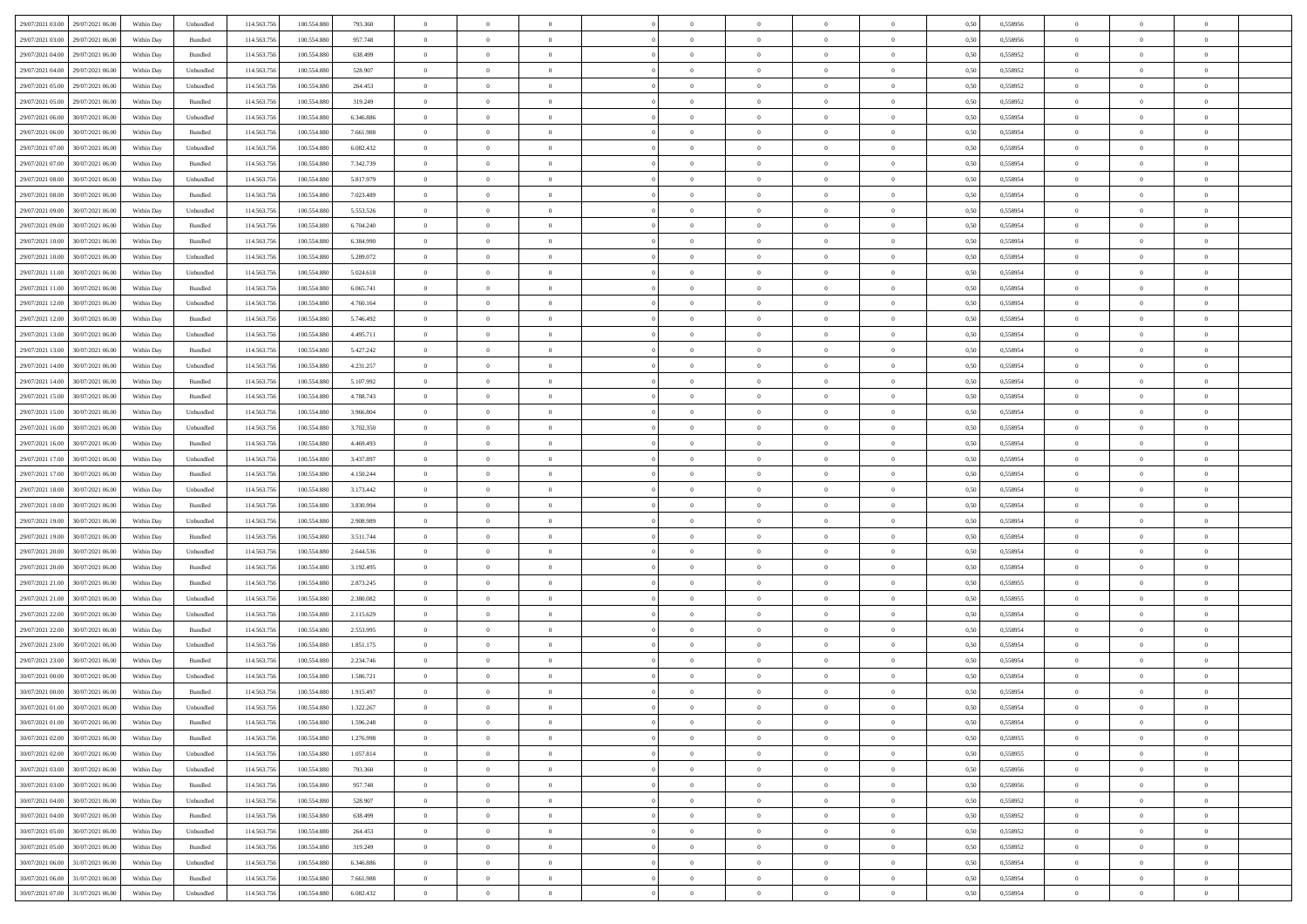| 29/07/2021 03:00 29/07/2021 06:00                   | Within Day | Unbundled                   | 114.563.756 | 100.554.880     | 793.360   | $\overline{0}$ | $\theta$       |                | $\overline{0}$ | $\theta$       |                | $\theta$       | 0,50 | 0,558956 | $\theta$       | $\theta$       | $\theta$       |  |
|-----------------------------------------------------|------------|-----------------------------|-------------|-----------------|-----------|----------------|----------------|----------------|----------------|----------------|----------------|----------------|------|----------|----------------|----------------|----------------|--|
| 29/07/2021 03:00<br>29/07/2021 06.00                | Within Day | Bundled                     | 114.563.75  | 100.554.88      | 957.748   | $\bf{0}$       | $\bf{0}$       | $\bf{0}$       | $\bf{0}$       | $\overline{0}$ | $\overline{0}$ | $\bf{0}$       | 0,50 | 0,558956 | $\,$ 0 $\,$    | $\bf{0}$       | $\overline{0}$ |  |
| 29/07/2021 04:00<br>29/07/2021 06:00                | Within Day | Bundled                     | 114,563,75  | 100.554.880     | 638.499   | $\overline{0}$ | $\bf{0}$       | $\overline{0}$ | $\bf{0}$       | $\bf{0}$       | $\overline{0}$ | $\bf{0}$       | 0.50 | 0.558952 | $\bf{0}$       | $\overline{0}$ | $\overline{0}$ |  |
| 29/07/2021 04:00<br>29/07/2021 06:00                |            |                             | 114.563.75  |                 |           | $\overline{0}$ | $\overline{0}$ | $\overline{0}$ | $\theta$       | $\theta$       | $\overline{0}$ |                |      |          | $\theta$       | $\theta$       | $\overline{0}$ |  |
|                                                     | Within Day | Unbundled                   |             | 100.554.880     | 528.907   |                |                |                |                |                |                | $\bf{0}$       | 0,50 | 0,558952 |                |                |                |  |
| 29/07/2021 05:00<br>29/07/2021 06.00                | Within Day | Unbundled                   | 114.563.75  | 100.554.88      | 264.453   | $\bf{0}$       | $\overline{0}$ | $\bf{0}$       | $\overline{0}$ | $\bf{0}$       | $\overline{0}$ | $\bf{0}$       | 0,50 | 0,558952 | $\,$ 0 $\,$    | $\bf{0}$       | $\overline{0}$ |  |
| 29/07/2021 05:00<br>29/07/2021 06:00                | Within Day | Bundled                     | 114,563,75  | 100.554.880     | 319.249   | $\overline{0}$ | $\bf{0}$       | $\overline{0}$ | $\bf{0}$       | $\overline{0}$ | $\overline{0}$ | $\bf{0}$       | 0.50 | 0.558952 | $\,$ 0 $\,$    | $\theta$       | $\overline{0}$ |  |
| 29/07/2021 06:00<br>30/07/2021 06:00                | Within Day | Unbundled                   | 114.563.75  | 100.554.880     | 6.346.886 | $\overline{0}$ | $\overline{0}$ | $\overline{0}$ | $\overline{0}$ | $\overline{0}$ | $\overline{0}$ | $\bf{0}$       | 0,50 | 0,558954 | $\theta$       | $\theta$       | $\overline{0}$ |  |
|                                                     |            |                             |             |                 |           |                |                |                |                |                |                |                |      |          |                |                |                |  |
| 29/07/2021 06:00<br>30/07/2021 06:00                | Within Day | Bundled                     | 114.563.75  | 100.554.88      | 7.661.988 | $\bf{0}$       | $\bf{0}$       | $\bf{0}$       | $\overline{0}$ | $\overline{0}$ | $\overline{0}$ | $\bf{0}$       | 0,50 | 0,558954 | $\,$ 0 $\,$    | $\bf{0}$       | $\overline{0}$ |  |
| 29/07/2021 07:00<br>30/07/2021 06:00                | Within Day | Unbundled                   | 114,563,75  | 100.554.880     | 6.082.432 | $\overline{0}$ | $\bf{0}$       | $\overline{0}$ | $\bf{0}$       | $\overline{0}$ | $\overline{0}$ | $\bf{0}$       | 0.50 | 0.558954 | $\bf{0}$       | $\overline{0}$ | $\overline{0}$ |  |
| 29/07/2021 07:00<br>30/07/2021 06:00                | Within Day | Bundled                     | 114.563.75  | 100.554.880     | 7.342.739 | $\bf{0}$       | $\bf{0}$       | $\overline{0}$ | $\overline{0}$ | $\overline{0}$ | $\overline{0}$ | $\bf{0}$       | 0,50 | 0,558954 | $\,$ 0 $\,$    | $\bf{0}$       | $\overline{0}$ |  |
| 29/07/2021 08:00<br>30/07/2021 06:00                | Within Day | Unbundled                   | 114.563.75  | 100.554.880     | 5.817.979 | $\bf{0}$       | $\bf{0}$       | $\bf{0}$       | $\bf{0}$       | $\overline{0}$ | $\overline{0}$ | $\bf{0}$       | 0,50 | 0,558954 | $\,$ 0 $\,$    | $\bf{0}$       | $\overline{0}$ |  |
|                                                     |            |                             |             |                 |           |                |                |                |                |                |                |                |      |          |                |                |                |  |
| 29/07/2021 08:00<br>30/07/2021 06:00                | Within Day | Bundled                     | 114,563,75  | 100.554.880     | 7.023.489 | $\overline{0}$ | $\bf{0}$       | $\overline{0}$ | $\overline{0}$ | $\overline{0}$ | $\overline{0}$ | $\bf{0}$       | 0.50 | 0.558954 | $\bf{0}$       | $\overline{0}$ | $\,$ 0         |  |
| 29/07/2021 09:00<br>30/07/2021 06:00                | Within Day | Unbundled                   | 114.563.75  | 100.554.880     | 5.553.526 | $\overline{0}$ | $\overline{0}$ | $\overline{0}$ | $\theta$       | $\theta$       | $\overline{0}$ | $\bf{0}$       | 0,50 | 0,558954 | $\,$ 0 $\,$    | $\theta$       | $\overline{0}$ |  |
| 29/07/2021 09:00<br>30/07/2021 06:00                | Within Day | Bundled                     | 114.563.75  | 100.554.88      | 6.704.240 | $\bf{0}$       | $\overline{0}$ | $\bf{0}$       | $\bf{0}$       | $\bf{0}$       | $\overline{0}$ | $\bf{0}$       | 0,50 | 0,558954 | $\,$ 0 $\,$    | $\bf{0}$       | $\overline{0}$ |  |
|                                                     |            |                             |             |                 |           |                |                |                |                |                |                |                |      |          |                |                |                |  |
| 29/07/2021 10:00<br>30/07/2021 06:00                | Within Day | Bundled                     | 114,563,75  | 100.554.880     | 6.384.990 | $\overline{0}$ | $\bf{0}$       | $\overline{0}$ | $\bf{0}$       | $\overline{0}$ | $\overline{0}$ | $\bf{0}$       | 0.50 | 0.558954 | $\,$ 0 $\,$    | $\bf{0}$       | $\overline{0}$ |  |
| 29/07/2021 10:00<br>30/07/2021 06:00                | Within Day | Unbundled                   | 114.563.75  | 100.554.880     | 5.289.072 | $\overline{0}$ | $\overline{0}$ | $\overline{0}$ | $\overline{0}$ | $\overline{0}$ | $\overline{0}$ | $\bf{0}$       | 0,50 | 0,558954 | $\theta$       | $\theta$       | $\overline{0}$ |  |
| 29/07/2021 11:00<br>30/07/2021 06:00                | Within Day | Unbundled                   | 114.563.75  | 100.554.880     | 5.024.618 | $\bf{0}$       | $\bf{0}$       | $\bf{0}$       | $\overline{0}$ | $\overline{0}$ | $\overline{0}$ | $\bf{0}$       | 0,50 | 0,558954 | $\,$ 0 $\,$    | $\bf{0}$       | $\overline{0}$ |  |
| 29/07/2021 11:00<br>30/07/2021 06:00                | Within Day | Bundled                     | 114,563,75  | 100.554.880     | 6.065.741 | $\overline{0}$ | $\bf{0}$       | $\overline{0}$ | $\bf{0}$       | $\overline{0}$ | $\overline{0}$ | $\bf{0}$       | 0.50 | 0.558954 | $\bf{0}$       | $\overline{0}$ | $\overline{0}$ |  |
| 29/07/2021 12:00<br>30/07/2021 06:00                | Within Day | Unbundled                   | 114.563.75  | 100.554.880     | 4.760.164 | $\overline{0}$ | $\bf{0}$       | $\overline{0}$ | $\overline{0}$ | $\overline{0}$ | $\overline{0}$ | $\bf{0}$       | 0,50 | 0,558954 | $\,$ 0 $\,$    | $\bf{0}$       | $\overline{0}$ |  |
|                                                     |            |                             |             |                 |           |                |                |                |                |                |                |                |      |          |                |                |                |  |
| 29/07/2021 12:00<br>30/07/2021 06:00                | Within Day | Bundled                     | 114.563.75  | 100.554.88      | 5.746.492 | $\bf{0}$       | $\bf{0}$       | $\bf{0}$       | $\bf{0}$       | $\overline{0}$ | $\overline{0}$ | $\bf{0}$       | 0,50 | 0,558954 | $\,$ 0 $\,$    | $\bf{0}$       | $\overline{0}$ |  |
| 29/07/2021 13:00<br>30/07/2021 06:00                | Within Day | Unbundled                   | 114,563,75  | 100,554,880     | 4.495.711 | $\overline{0}$ | $\bf{0}$       | $\overline{0}$ | $\overline{0}$ | $\bf{0}$       | $\overline{0}$ | $\bf{0}$       | 0.50 | 0.558954 | $\bf{0}$       | $\overline{0}$ | $\,$ 0         |  |
| 29/07/2021 13:00<br>30/07/2021 06:00                | Within Day | Bundled                     | 114.563.75  | 100.554.880     | 5.427.242 | $\overline{0}$ | $\overline{0}$ | $\overline{0}$ | $\theta$       | $\theta$       | $\overline{0}$ | $\bf{0}$       | 0,50 | 0,558954 | $\theta$       | $\theta$       | $\overline{0}$ |  |
|                                                     |            |                             |             |                 |           |                | $\bf{0}$       |                |                | $\overline{0}$ | $\overline{0}$ |                |      |          | $\,$ 0 $\,$    | $\bf{0}$       | $\overline{0}$ |  |
| 29/07/2021 14:00<br>30/07/2021 06:00                | Within Day | Unbundled                   | 114.563.75  | 100.554.880     | 4.231.257 | $\bf{0}$       |                | $\bf{0}$       | $\bf{0}$       |                |                | $\bf{0}$       | 0,50 | 0,558954 |                |                |                |  |
| 29/07/2021 14:00<br>30/07/2021 06:00                | Within Day | Bundled                     | 114,563,75  | 100.554.88      | 5.107.992 | $\overline{0}$ | $\bf{0}$       | $\overline{0}$ | $\bf{0}$       | $\overline{0}$ | $\overline{0}$ | $\bf{0}$       | 0.50 | 0.558954 | $\,$ 0 $\,$    | $\theta$       | $\overline{0}$ |  |
| 29/07/2021 15:00<br>30/07/2021 06:00                | Within Day | Bundled                     | 114.563.75  | 100.554.880     | 4.788.743 | $\overline{0}$ | $\overline{0}$ | $\overline{0}$ | $\overline{0}$ | $\overline{0}$ | $\overline{0}$ | $\bf{0}$       | 0,50 | 0,558954 | $\theta$       | $\theta$       | $\overline{0}$ |  |
| 29/07/2021 15:00<br>30/07/2021 06:00                | Within Day | Unbundled                   | 114.563.75  | 100.554.88      | 3.966.804 | $\bf{0}$       | $\overline{0}$ | $\bf{0}$       | $\overline{0}$ | $\overline{0}$ | $\overline{0}$ | $\bf{0}$       | 0,50 | 0,558954 | $\,$ 0 $\,$    | $\bf{0}$       | $\overline{0}$ |  |
| 29/07/2021 16:00<br>30/07/2021 06:00                | Within Day | Unbundled                   | 114,563,75  | 100,554,880     | 3.702.350 | $\overline{0}$ | $\bf{0}$       | $\overline{0}$ | $\bf{0}$       | $\overline{0}$ | $\overline{0}$ | $\bf{0}$       | 0.50 | 0.558954 | $\bf{0}$       | $\overline{0}$ | $\overline{0}$ |  |
|                                                     |            |                             |             |                 |           |                |                |                |                |                |                |                |      |          |                |                |                |  |
| 29/07/2021 16:00<br>30/07/2021 06:00                | Within Day | Bundled                     | 114.563.75  | 100.554.880     | 4.469.493 | $\overline{0}$ | $\bf{0}$       | $\overline{0}$ | $\overline{0}$ | $\overline{0}$ | $\overline{0}$ | $\bf{0}$       | 0,50 | 0,558954 | $\theta$       | $\theta$       | $\overline{0}$ |  |
| 29/07/2021 17:00<br>30/07/2021 06:00                | Within Day | Unbundled                   | 114.563.75  | 100.554.880     | 3.437.897 | $\bf{0}$       | $\bf{0}$       | $\bf{0}$       | $\bf{0}$       | $\overline{0}$ | $\overline{0}$ | $\bf{0}$       | 0,50 | 0,558954 | $\,$ 0 $\,$    | $\bf{0}$       | $\overline{0}$ |  |
| 29/07/2021 17:00<br>30/07/2021 06:00                | Within Day | Bundled                     | 114,563,75  | 100.554.880     | 4.150.244 | $\overline{0}$ | $\bf{0}$       | $\overline{0}$ | $\bf{0}$       | $\bf{0}$       | $\overline{0}$ | $\bf{0}$       | 0.50 | 0.558954 | $\bf{0}$       | $\overline{0}$ | $\,$ 0         |  |
| 29/07/2021 18:00<br>30/07/2021 06:00                | Within Day | Unbundled                   | 114.563.75  | 100,554,880     | 3.173.442 | $\overline{0}$ | $\overline{0}$ | $\overline{0}$ | $\overline{0}$ | $\overline{0}$ | $\overline{0}$ | $\bf{0}$       | 0.50 | 0.558954 | $\theta$       | $\theta$       | $\overline{0}$ |  |
|                                                     |            |                             |             |                 |           |                |                |                |                |                |                |                |      |          |                |                |                |  |
| 29/07/2021 18:00<br>30/07/2021 06:00                | Within Day | Bundled                     | 114.563.75  | 100.554.88      | 3.830.994 | $\bf{0}$       | $\overline{0}$ | $\bf{0}$       | $\bf{0}$       | $\overline{0}$ | $\overline{0}$ | $\bf{0}$       | 0,50 | 0,558954 | $\,$ 0 $\,$    | $\bf{0}$       | $\overline{0}$ |  |
| 29/07/2021 19:00<br>30/07/2021 06:00                | Within Day | Unbundled                   | 114,563,75  | 100.554.880     | 2.908.989 | $\overline{0}$ | $\bf{0}$       | $\overline{0}$ | $\bf{0}$       | $\overline{0}$ | $\overline{0}$ | $\bf{0}$       | 0.50 | 0.558954 | $\,$ 0 $\,$    | $\bf{0}$       | $\overline{0}$ |  |
| 29/07/2021 19:00<br>30/07/2021 06:00                | Within Dav | Bundled                     | 114.563.75  | 100.554.880     | 3.511.744 | $\overline{0}$ | $\overline{0}$ | $\overline{0}$ | $\overline{0}$ | $\overline{0}$ | $\overline{0}$ | $\bf{0}$       | 0.5( | 0,558954 | $\theta$       | $\theta$       | $\overline{0}$ |  |
| 29/07/2021 20:00<br>30/07/2021 06:00                | Within Day | Unbundled                   | 114.563.75  | 100.554.880     | 2.644.536 | $\bf{0}$       | $\bf{0}$       | $\bf{0}$       | $\bf{0}$       | $\overline{0}$ | $\overline{0}$ | $\bf{0}$       | 0,50 | 0,558954 | $\,$ 0 $\,$    | $\bf{0}$       | $\overline{0}$ |  |
|                                                     |            |                             |             |                 |           |                |                |                |                |                |                |                |      |          |                |                |                |  |
| 29/07/2021 20:00<br>30/07/2021 06:00                | Within Day | Bundled                     | 114,563,75  | 100.554.880     | 3.192.495 | $\overline{0}$ | $\bf{0}$       | $\overline{0}$ | $\bf{0}$       | $\overline{0}$ | $\overline{0}$ | $\bf{0}$       | 0.50 | 0.558954 | $\bf{0}$       | $\overline{0}$ | $\overline{0}$ |  |
| 29/07/2021 21:00<br>30/07/2021 06:00                | Within Dav | Bundled                     | 114.563.75  | 100,554,880     | 2.873.245 | $\overline{0}$ | $\overline{0}$ | $\overline{0}$ | $\overline{0}$ | $\overline{0}$ | $\overline{0}$ | $\bf{0}$       | 0.50 | 0,558955 | $\theta$       | $\theta$       | $\overline{0}$ |  |
| 29/07/2021 21:00<br>30/07/2021 06:00                | Within Day | Unbundled                   | 114.563.75  | 100.554.88      | 2.380.082 | $\bf{0}$       | $\bf{0}$       | $\bf{0}$       | $\bf{0}$       | $\overline{0}$ | $\overline{0}$ | $\bf{0}$       | 0,50 | 0,558955 | $\,$ 0 $\,$    | $\bf{0}$       | $\overline{0}$ |  |
| 29/07/2021 22.00<br>30/07/2021 06:00                | Within Day | Unbundled                   | 114,563,75  | 100,554,880     | 2.115.629 | $\overline{0}$ | $\bf{0}$       | $\overline{0}$ | $\overline{0}$ | $\bf{0}$       | $\overline{0}$ | $\bf{0}$       | 0.50 | 0.558954 | $\bf{0}$       | $\overline{0}$ | $\,$ 0         |  |
| 29/07/2021 22:00<br>30/07/2021 06:00                | Within Dav | Bundled                     | 114.563.75  | 100.554.880     | 2.553.995 | $\overline{0}$ | $\overline{0}$ | $\overline{0}$ | $\overline{0}$ | $\overline{0}$ | $\overline{0}$ | $\bf{0}$       | 0.50 | 0,558954 | $\theta$       | $\theta$       | $\overline{0}$ |  |
|                                                     |            |                             |             |                 |           |                |                |                |                |                |                |                |      |          |                |                |                |  |
| 29/07/2021 23:00<br>30/07/2021 06:00                | Within Day | Unbundled                   | 114.563.75  | 100.554.88      | 1.851.175 | $\bf{0}$       | $\bf{0}$       | $\bf{0}$       | $\bf{0}$       | $\overline{0}$ | $\overline{0}$ | $\bf{0}$       | 0,50 | 0,558954 | $\,$ 0 $\,$    | $\bf{0}$       | $\overline{0}$ |  |
| 29/07/2021 23:00<br>30/07/2021 06:00                | Within Day | Bundled                     | 114,563,75  | 100.554.88      | 2.234.746 | $\overline{0}$ | $\overline{0}$ | $\overline{0}$ | $\bf{0}$       | $\overline{0}$ | $\overline{0}$ | $\bf{0}$       | 0.50 | 0.558954 | $\,$ 0 $\,$    | $\theta$       | $\overline{0}$ |  |
| 30/07/2021 00:00<br>30/07/2021 06:00                | Within Dav | Unbundled                   | 114.563.75  | 100,554,880     | 1.586.721 | $\overline{0}$ | $\overline{0}$ | $\overline{0}$ | $\overline{0}$ | $\theta$       | $\overline{0}$ | $\overline{0}$ | 0.5( | 0,558954 | $\theta$       | $\theta$       | $\overline{0}$ |  |
| 30/07/2021 00:00<br>30/07/2021 06:00                | Within Day | Bundled                     | 114.563.75  | 100.554.880     | 1.915.497 | $\bf{0}$       | $\bf{0}$       | $\bf{0}$       | $\bf{0}$       | $\bf{0}$       | $\overline{0}$ | $\bf{0}$       | 0,50 | 0,558954 | $\overline{0}$ | $\bf{0}$       | $\overline{0}$ |  |
|                                                     |            |                             |             |                 |           |                |                |                |                |                |                |                |      |          |                |                |                |  |
| $30/07/2021\ 01.00 \qquad \qquad 30/07/2021\ 06.00$ | Within Day | $\ensuremath{\mathsf{Unb}}$ | 114.563.756 | $100.554.880\,$ | 1.322.267 | $\bf{0}$       | $\theta$       |                | $\Omega$       |                |                |                | 0,50 | 0.558954 | $\theta$       | $\overline{0}$ |                |  |
| 30/07/2021 01:00 30/07/2021 06:00                   | Within Day | Bundled                     | 114.563.756 | 100.554.880     | 1.596.248 | $\overline{0}$ | $\overline{0}$ | $\Omega$       | $\theta$       | $\overline{0}$ | $\overline{0}$ | $\bf{0}$       | 0,50 | 0,558954 | $\theta$       | $\theta$       | $\overline{0}$ |  |
| 30/07/2021 02:00<br>30/07/2021 06:00                | Within Day | Bundled                     | 114.563.75  | 100.554.880     | 1.276.998 | $\overline{0}$ | $\bf{0}$       | $\overline{0}$ | $\overline{0}$ | $\bf{0}$       | $\overline{0}$ | $\bf{0}$       | 0,50 | 0,558955 | $\bf{0}$       | $\overline{0}$ | $\bf{0}$       |  |
| 30/07/2021 02:00<br>30/07/2021 06:00                | Within Day | Unbundled                   | 114,563,756 | 100,554,880     | 1.057.814 | $\overline{0}$ | $\bf{0}$       | $\overline{0}$ | $\overline{0}$ | $\mathbf{0}$   | $\overline{0}$ | $\,$ 0 $\,$    | 0.50 | 0.558955 | $\overline{0}$ | $\bf{0}$       | $\bf{0}$       |  |
|                                                     |            |                             |             |                 |           |                |                |                |                |                |                |                |      |          |                |                |                |  |
| 30/07/2021 03:00<br>30/07/2021 06:00                | Within Dav | Unbundled                   | 114.563.756 | 100.554.880     | 793.360   | $\overline{0}$ | $\overline{0}$ | $\overline{0}$ | $\overline{0}$ | $\overline{0}$ | $\overline{0}$ | $\bf{0}$       | 0,50 | 0,558956 | $\overline{0}$ | $\theta$       | $\overline{0}$ |  |
| 30/07/2021 03:00<br>30/07/2021 06:00                | Within Day | Bundled                     | 114.563.75  | 100.554.880     | 957.748   | $\overline{0}$ | $\bf{0}$       | $\overline{0}$ | $\overline{0}$ | $\bf{0}$       | $\overline{0}$ | $\bf{0}$       | 0,50 | 0,558956 | $\bf{0}$       | $\overline{0}$ | $\overline{0}$ |  |
| 30/07/2021 04:00<br>30/07/2021 06:00                | Within Day | Unbundled                   | 114.563.756 | 100,554,880     | 528,907   | $\overline{0}$ | $\bf{0}$       | $\overline{0}$ | $\overline{0}$ | $\bf{0}$       | $\overline{0}$ | $\bf{0}$       | 0.50 | 0.558952 | $\,$ 0 $\,$    | $\overline{0}$ | $\overline{0}$ |  |
| 30/07/2021 04:00<br>30/07/2021 06:00                | Within Dav | Bundled                     | 114.563.756 | 100.554.880     | 638,499   | $\overline{0}$ | $\overline{0}$ | $\overline{0}$ | $\overline{0}$ | $\overline{0}$ | $\overline{0}$ | $\bf{0}$       | 0.50 | 0,558952 | $\overline{0}$ | $\theta$       | $\overline{0}$ |  |
|                                                     |            |                             |             |                 |           |                |                |                |                |                |                |                |      |          |                |                |                |  |
| 30/07/2021 05:00<br>30/07/2021 06:00                | Within Day | Unbundled                   | 114.563.75  | 100.554.880     | 264.453   | $\overline{0}$ | $\overline{0}$ | $\overline{0}$ | $\overline{0}$ | $\overline{0}$ | $\overline{0}$ | $\bf{0}$       | 0,50 | 0,558952 | $\bf{0}$       | $\overline{0}$ | $\,$ 0         |  |
| 30/07/2021 05:00<br>30/07/2021 06:00                | Within Day | Bundled                     | 114.563.75  | 100,554,880     | 319.249   | $\overline{0}$ | $\overline{0}$ | $\overline{0}$ | $\overline{0}$ | $\overline{0}$ | $\overline{0}$ | $\bf{0}$       | 0.50 | 0.558952 | $\mathbf{0}$   | $\bf{0}$       | $\,$ 0         |  |
| 30/07/2021 06:00<br>31/07/2021 06:00                | Within Dav | Unbundled                   | 114.563.756 | 100.554.880     | 6.346.886 | $\overline{0}$ | $\overline{0}$ | $\overline{0}$ | $\overline{0}$ | $\overline{0}$ | $\overline{0}$ | $\bf{0}$       | 0,50 | 0,558954 | $\overline{0}$ | $\theta$       | $\overline{0}$ |  |
| 30/07/2021 06:00<br>31/07/2021 06.00                | Within Day | Bundled                     | 114.563.75  | 100.554.880     | 7.661.988 | $\overline{0}$ | $\bf{0}$       | $\overline{0}$ | $\overline{0}$ | $\overline{0}$ | $\overline{0}$ | $\bf{0}$       | 0,50 | 0,558954 | $\bf{0}$       | $\overline{0}$ | $\bf{0}$       |  |
|                                                     |            |                             |             |                 |           |                |                |                |                |                |                |                |      |          |                |                |                |  |
| 30/07/2021 07:00 31/07/2021 06:00                   | Within Day | Unbundled                   | 114.563.756 | 100.554.880     | 6.082.432 | $\overline{0}$ | $\bf{0}$       | $\overline{0}$ | $\overline{0}$ | $\,$ 0 $\,$    | $\overline{0}$ | $\,$ 0 $\,$    | 0,50 | 0,558954 | $\overline{0}$ | $\,$ 0 $\,$    | $\,$ 0 $\,$    |  |